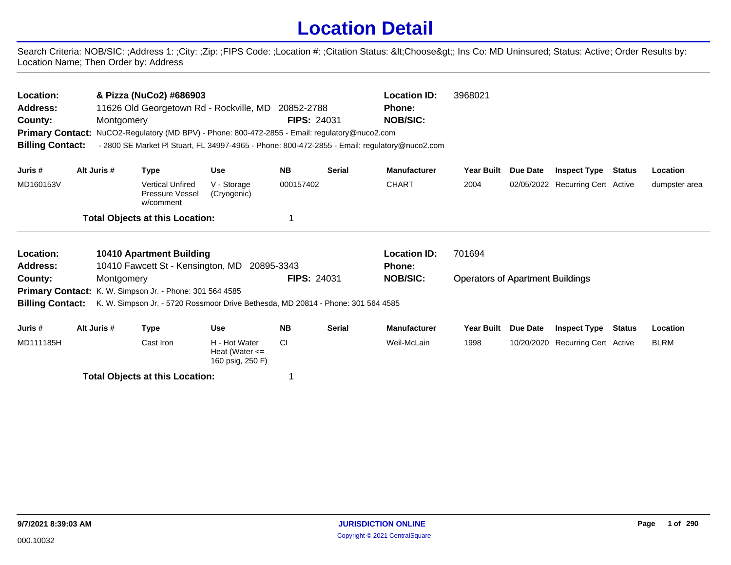## **Location Detail**

Search Criteria: NOB/SIC: ;Address 1: ;City: ;Zip: ;FIPS Code: ;Location #: ;Citation Status: <Choose&gt;; Ins Co: MD Uninsured; Status: Active; Order Results by: Location Name; Then Order by: Address

| Location:<br>Address:<br>County:<br><b>Billing Contact:</b> | Montgomery  | & Pizza (NuCo2) #686903<br>11626 Old Georgetown Rd - Rockville, MD 20852-2788<br>Primary Contact: NuCO2-Regulatory (MD BPV) - Phone: 800-472-2855 - Email: regulatory@nuco2.com<br>- 2800 SE Market PI Stuart, FL 34997-4965 - Phone: 800-472-2855 - Email: regulatory@nuco2.com |                                                         | <b>FIPS: 24031</b> |               | <b>Location ID:</b><br><b>Phone:</b><br><b>NOB/SIC:</b> | 3968021                                 |            |                                  |               |               |
|-------------------------------------------------------------|-------------|----------------------------------------------------------------------------------------------------------------------------------------------------------------------------------------------------------------------------------------------------------------------------------|---------------------------------------------------------|--------------------|---------------|---------------------------------------------------------|-----------------------------------------|------------|----------------------------------|---------------|---------------|
| Juris #                                                     | Alt Juris # | <b>Type</b>                                                                                                                                                                                                                                                                      | <b>Use</b>                                              | <b>NB</b>          | <b>Serial</b> | <b>Manufacturer</b>                                     | <b>Year Built</b>                       | Due Date   | <b>Inspect Type</b>              | <b>Status</b> | Location      |
| MD160153V                                                   |             | <b>Vertical Unfired</b><br><b>Pressure Vessel</b><br>w/comment                                                                                                                                                                                                                   | V - Storage<br>(Cryogenic)                              | 000157402          |               | <b>CHART</b>                                            | 2004                                    |            | 02/05/2022 Recurring Cert Active |               | dumpster area |
|                                                             |             | <b>Total Objects at this Location:</b>                                                                                                                                                                                                                                           |                                                         |                    |               |                                                         |                                         |            |                                  |               |               |
| Location:                                                   |             | <b>10410 Apartment Building</b>                                                                                                                                                                                                                                                  |                                                         |                    |               | <b>Location ID:</b>                                     | 701694                                  |            |                                  |               |               |
| Address:                                                    |             | 10410 Fawcett St - Kensington, MD                                                                                                                                                                                                                                                | 20895-3343                                              |                    |               | Phone:                                                  |                                         |            |                                  |               |               |
| County:                                                     | Montgomery  |                                                                                                                                                                                                                                                                                  |                                                         | <b>FIPS: 24031</b> |               | <b>NOB/SIC:</b>                                         | <b>Operators of Apartment Buildings</b> |            |                                  |               |               |
| <b>Billing Contact:</b>                                     |             | Primary Contact: K. W. Simpson Jr. - Phone: 301 564 4585<br>K. W. Simpson Jr. - 5720 Rossmoor Drive Bethesda, MD 20814 - Phone: 301 564 4585                                                                                                                                     |                                                         |                    |               |                                                         |                                         |            |                                  |               |               |
| Juris #                                                     | Alt Juris # | <b>Type</b>                                                                                                                                                                                                                                                                      | <b>Use</b>                                              | <b>NB</b>          | <b>Serial</b> | <b>Manufacturer</b>                                     | <b>Year Built</b>                       | Due Date   | <b>Inspect Type</b>              | <b>Status</b> | Location      |
| MD111185H                                                   |             | Cast Iron                                                                                                                                                                                                                                                                        | H - Hot Water<br>Heat (Water $\leq$<br>160 psig, 250 F) | <b>CI</b>          |               | Weil-McLain                                             | 1998                                    | 10/20/2020 | Recurring Cert Active            |               | <b>BLRM</b>   |

**Total Objects at this Location:** 1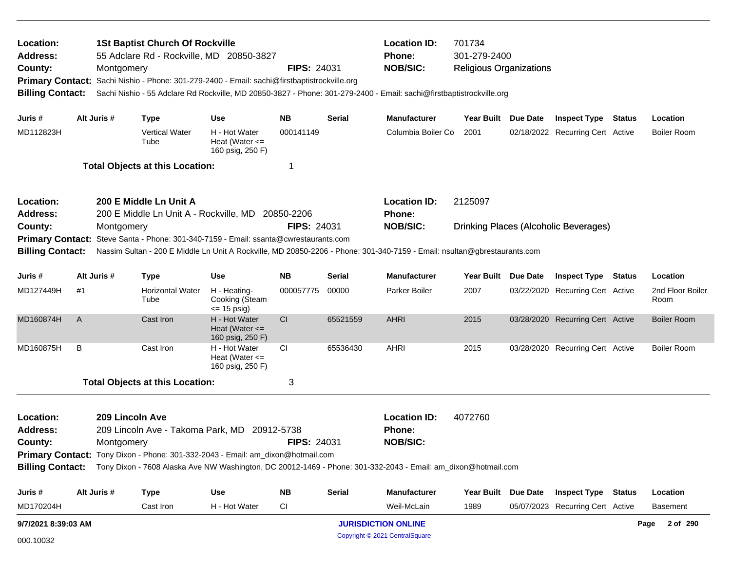| Location:<br><b>Address:</b><br>County:<br><b>Primary Contact:</b><br><b>Billing Contact:</b> |                                   | Montgomery  | <b>1St Baptist Church Of Rockville</b><br>55 Adclare Rd - Rockville, MD 20850-3827<br>Sachi Nishio - Phone: 301-279-2400 - Email: sachi@firstbaptistrockville.org |                                                         | <b>FIPS: 24031</b> |                            | <b>Location ID:</b><br>Phone:<br><b>NOB/SIC:</b><br>Sachi Nishio - 55 Adclare Rd Rockville, MD 20850-3827 - Phone: 301-279-2400 - Email: sachi@firstbaptistrockville.org | 701734<br>301-279-2400<br><b>Religious Organizations</b> |                 |                                              |                          |
|-----------------------------------------------------------------------------------------------|-----------------------------------|-------------|-------------------------------------------------------------------------------------------------------------------------------------------------------------------|---------------------------------------------------------|--------------------|----------------------------|--------------------------------------------------------------------------------------------------------------------------------------------------------------------------|----------------------------------------------------------|-----------------|----------------------------------------------|--------------------------|
| Juris #                                                                                       |                                   | Alt Juris # | <b>Type</b>                                                                                                                                                       | Use                                                     | <b>NB</b>          | Serial                     | <b>Manufacturer</b>                                                                                                                                                      | Year Built Due Date                                      |                 | <b>Inspect Type Status</b>                   | Location                 |
| MD112823H                                                                                     |                                   |             | Vertical Water<br>Tube                                                                                                                                            | H - Hot Water<br>Heat (Water $\leq$<br>160 psig, 250 F) | 000141149          |                            | Columbia Boiler Co                                                                                                                                                       | 2001                                                     |                 | 02/18/2022 Recurring Cert Active             | <b>Boiler Room</b>       |
|                                                                                               |                                   |             | <b>Total Objects at this Location:</b>                                                                                                                            |                                                         | -1                 |                            |                                                                                                                                                                          |                                                          |                 |                                              |                          |
| Location:<br><b>Address:</b><br>County:                                                       |                                   |             | 200 E Middle Ln Unit A<br>200 E Middle Ln Unit A - Rockville, MD 20850-2206                                                                                       |                                                         | <b>FIPS: 24031</b> |                            | <b>Location ID:</b><br><b>Phone:</b><br><b>NOB/SIC:</b>                                                                                                                  | 2125097                                                  |                 |                                              |                          |
| <b>Primary Contact:</b>                                                                       |                                   | Montgomery  | Steve Santa - Phone: 301-340-7159 - Email: ssanta@cwrestaurants.com                                                                                               |                                                         |                    |                            |                                                                                                                                                                          |                                                          |                 | <b>Drinking Places (Alcoholic Beverages)</b> |                          |
| <b>Billing Contact:</b>                                                                       |                                   |             |                                                                                                                                                                   |                                                         |                    |                            | Nassim Sultan - 200 E Middle Ln Unit A Rockville, MD 20850-2206 - Phone: 301-340-7159 - Email: nsultan@gbrestaurants.com                                                 |                                                          |                 |                                              |                          |
| Juris #                                                                                       | Alt Juris #<br>Use<br><b>Type</b> |             |                                                                                                                                                                   |                                                         | <b>NB</b>          | Serial                     | <b>Manufacturer</b>                                                                                                                                                      | <b>Year Built</b>                                        | <b>Due Date</b> | <b>Inspect Type Status</b>                   | Location                 |
| MD127449H                                                                                     | #1                                |             | <b>Horizontal Water</b><br>Tube                                                                                                                                   | H - Heating-<br>Cooking (Steam<br>$= 15$ psig)          | 000057775          | 00000                      | Parker Boiler                                                                                                                                                            | 2007                                                     |                 | 03/22/2020 Recurring Cert Active             | 2nd Floor Boiler<br>Room |
| MD160874H                                                                                     | A                                 |             | Cast Iron                                                                                                                                                         | H - Hot Water<br>Heat (Water $\leq$<br>160 psig, 250 F) | <b>CI</b>          | 65521559                   | <b>AHRI</b>                                                                                                                                                              | 2015                                                     |                 | 03/28/2020 Recurring Cert Active             | <b>Boiler Room</b>       |
| MD160875H                                                                                     | В                                 |             | Cast Iron                                                                                                                                                         | H - Hot Water<br>Heat (Water $\leq$<br>160 psig, 250 F) | <b>CI</b>          | 65536430                   | <b>AHRI</b>                                                                                                                                                              | 2015                                                     |                 | 03/28/2020 Recurring Cert Active             | <b>Boiler Room</b>       |
|                                                                                               |                                   |             | <b>Total Objects at this Location:</b>                                                                                                                            |                                                         | 3                  |                            |                                                                                                                                                                          |                                                          |                 |                                              |                          |
| Location:<br><b>Address:</b><br>County:                                                       |                                   | Montgomery  | 209 Lincoln Ave<br>209 Lincoln Ave - Takoma Park, MD 20912-5738                                                                                                   |                                                         | FIPS: 24031        |                            | <b>Location ID:</b><br>Phone:<br><b>NOB/SIC:</b>                                                                                                                         | 4072760                                                  |                 |                                              |                          |
|                                                                                               |                                   |             | Primary Contact: Tony Dixon - Phone: 301-332-2043 - Email: am_dixon@hotmail.com                                                                                   |                                                         |                    |                            |                                                                                                                                                                          |                                                          |                 |                                              |                          |
|                                                                                               |                                   |             |                                                                                                                                                                   |                                                         |                    |                            | Billing Contact: Tony Dixon - 7608 Alaska Ave NW Washington, DC 20012-1469 - Phone: 301-332-2043 - Email: am_dixon@hotmail.com                                           |                                                          |                 |                                              |                          |
| Juris #                                                                                       |                                   | Alt Juris # | <b>Type</b>                                                                                                                                                       | <b>Use</b>                                              | <b>NB</b>          | Serial                     | <b>Manufacturer</b>                                                                                                                                                      | Year Built Due Date                                      |                 | <b>Inspect Type Status</b>                   | Location                 |
| MD170204H                                                                                     |                                   |             | Cast Iron                                                                                                                                                         | H - Hot Water                                           | CI                 |                            | Weil-McLain                                                                                                                                                              | 1989                                                     |                 | 05/07/2023 Recurring Cert Active             | <b>Basement</b>          |
| 9/7/2021 8:39:03 AM                                                                           |                                   |             |                                                                                                                                                                   |                                                         |                    | <b>JURISDICTION ONLINE</b> |                                                                                                                                                                          |                                                          |                 | Page 2 of 290                                |                          |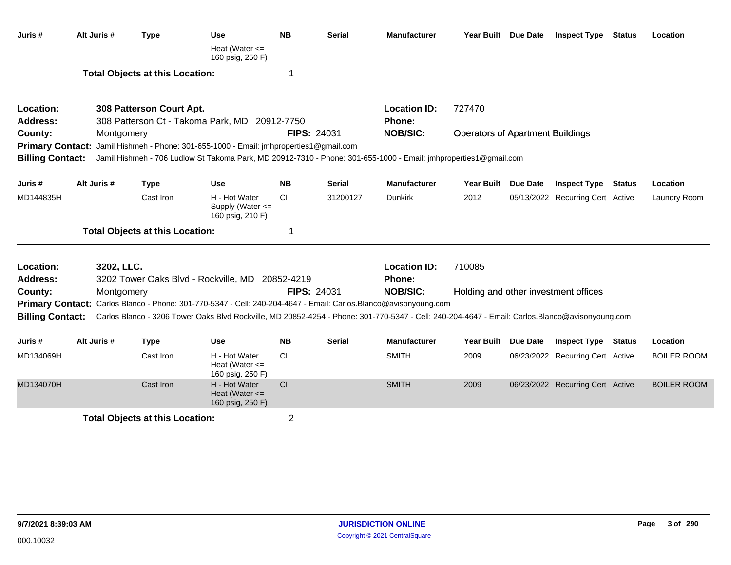| Juris #                 | Alt Juris # | <b>Type</b>                            | Use                                                                                                                                             | <b>NB</b>      | <b>Serial</b>      | <b>Manufacturer</b> |                                         | Year Built Due Date | <b>Inspect Type Status</b>           | Location           |
|-------------------------|-------------|----------------------------------------|-------------------------------------------------------------------------------------------------------------------------------------------------|----------------|--------------------|---------------------|-----------------------------------------|---------------------|--------------------------------------|--------------------|
|                         |             |                                        | Heat (Water $\leq$<br>160 psig, 250 F)                                                                                                          |                |                    |                     |                                         |                     |                                      |                    |
|                         |             | <b>Total Objects at this Location:</b> |                                                                                                                                                 | -1             |                    |                     |                                         |                     |                                      |                    |
| Location:               |             | 308 Patterson Court Apt.               |                                                                                                                                                 |                |                    | <b>Location ID:</b> | 727470                                  |                     |                                      |                    |
| <b>Address:</b>         |             |                                        | 308 Patterson Ct - Takoma Park, MD 20912-7750                                                                                                   |                |                    | <b>Phone:</b>       |                                         |                     |                                      |                    |
| County:                 | Montgomery  |                                        |                                                                                                                                                 |                | <b>FIPS: 24031</b> | <b>NOB/SIC:</b>     | <b>Operators of Apartment Buildings</b> |                     |                                      |                    |
|                         |             |                                        | Primary Contact: Jamil Hishmeh - Phone: 301-655-1000 - Email: jmhproperties1@gmail.com                                                          |                |                    |                     |                                         |                     |                                      |                    |
| <b>Billing Contact:</b> |             |                                        | Jamil Hishmeh - 706 Ludlow St Takoma Park, MD 20912-7310 - Phone: 301-655-1000 - Email: jmhproperties1@gmail.com                                |                |                    |                     |                                         |                     |                                      |                    |
| Juris #                 | Alt Juris # | <b>Type</b>                            | Use                                                                                                                                             | <b>NB</b>      | <b>Serial</b>      | <b>Manufacturer</b> | Year Built Due Date                     |                     | <b>Inspect Type Status</b>           | Location           |
| MD144835H               |             | Cast Iron                              | H - Hot Water<br>Supply (Water <=<br>160 psig, 210 F)                                                                                           | <b>CI</b>      | 31200127           | Dunkirk             | 2012                                    |                     | 05/13/2022 Recurring Cert Active     | Laundry Room       |
|                         |             | <b>Total Objects at this Location:</b> |                                                                                                                                                 | -1             |                    |                     |                                         |                     |                                      |                    |
| Location:               | 3202, LLC.  |                                        |                                                                                                                                                 |                |                    | <b>Location ID:</b> | 710085                                  |                     |                                      |                    |
| Address:                |             |                                        | 3202 Tower Oaks Blvd - Rockville, MD                                                                                                            | 20852-4219     |                    | Phone:              |                                         |                     |                                      |                    |
| County:                 | Montgomery  |                                        |                                                                                                                                                 |                | <b>FIPS: 24031</b> | <b>NOB/SIC:</b>     |                                         |                     | Holding and other investment offices |                    |
| <b>Primary Contact:</b> |             |                                        | Carlos Blanco - Phone: 301-770-5347 - Cell: 240-204-4647 - Email: Carlos.Blanco@avisonyoung.com                                                 |                |                    |                     |                                         |                     |                                      |                    |
| <b>Billing Contact:</b> |             |                                        | Carlos Blanco - 3206 Tower Oaks Blvd Rockville, MD 20852-4254 - Phone: 301-770-5347 - Cell: 240-204-4647 - Email: Carlos.Blanco@avisonyoung.com |                |                    |                     |                                         |                     |                                      |                    |
| Juris #                 | Alt Juris # | <b>Type</b>                            | Use                                                                                                                                             | <b>NB</b>      | <b>Serial</b>      | <b>Manufacturer</b> | Year Built Due Date                     |                     | <b>Inspect Type Status</b>           | Location           |
| MD134069H               |             | Cast Iron                              | H - Hot Water<br>Heat (Water $\leq$<br>160 psig, 250 F)                                                                                         | <b>CI</b>      |                    | <b>SMITH</b>        | 2009                                    |                     | 06/23/2022 Recurring Cert Active     | <b>BOILER ROOM</b> |
| MD134070H               |             | Cast Iron                              | H - Hot Water<br>Heat (Water $\leq$<br>160 psig, 250 F)                                                                                         | CI             |                    | <b>SMITH</b>        | 2009                                    |                     | 06/23/2022 Recurring Cert Active     | <b>BOILER ROOM</b> |
|                         |             | <b>Total Objects at this Location:</b> |                                                                                                                                                 | $\overline{2}$ |                    |                     |                                         |                     |                                      |                    |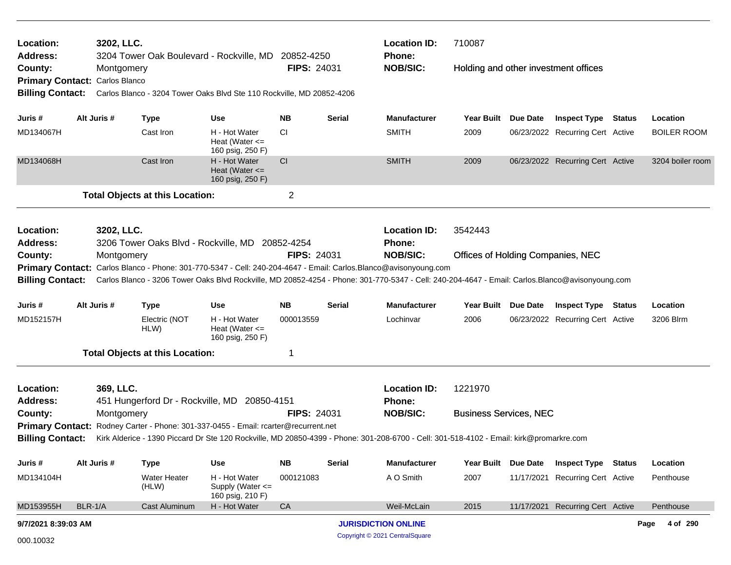| Location:<br><b>Address:</b>              |         | 3202, LLC.  |                                        | 3204 Tower Oak Boulevard - Rockville, MD                                            | 20852-4250         |               | <b>Location ID:</b><br><b>Phone:</b>                                                                                                                                                                                                                                                 | 710087                            |                 |                                      |                    |
|-------------------------------------------|---------|-------------|----------------------------------------|-------------------------------------------------------------------------------------|--------------------|---------------|--------------------------------------------------------------------------------------------------------------------------------------------------------------------------------------------------------------------------------------------------------------------------------------|-----------------------------------|-----------------|--------------------------------------|--------------------|
| County:<br>Primary Contact: Carlos Blanco |         | Montgomery  |                                        |                                                                                     | <b>FIPS: 24031</b> |               | <b>NOB/SIC:</b>                                                                                                                                                                                                                                                                      |                                   |                 | Holding and other investment offices |                    |
| <b>Billing Contact:</b>                   |         |             |                                        | Carlos Blanco - 3204 Tower Oaks Blvd Ste 110 Rockville, MD 20852-4206               |                    |               |                                                                                                                                                                                                                                                                                      |                                   |                 |                                      |                    |
| Juris #                                   |         | Alt Juris # | <b>Type</b>                            | Use                                                                                 | <b>NB</b>          | <b>Serial</b> | <b>Manufacturer</b>                                                                                                                                                                                                                                                                  | Year Built                        | <b>Due Date</b> | <b>Inspect Type Status</b>           | Location           |
| MD134067H                                 |         |             | Cast Iron                              | H - Hot Water<br>Heat (Water $\leq$<br>160 psig, 250 F)                             | CI                 |               | <b>SMITH</b>                                                                                                                                                                                                                                                                         | 2009                              |                 | 06/23/2022 Recurring Cert Active     | <b>BOILER ROOM</b> |
| MD134068H                                 |         |             | Cast Iron                              | H - Hot Water<br>Heat (Water $\leq$<br>160 psig, 250 F)                             | CI                 |               | <b>SMITH</b>                                                                                                                                                                                                                                                                         | 2009                              |                 | 06/23/2022 Recurring Cert Active     | 3204 boiler room   |
|                                           |         |             | <b>Total Objects at this Location:</b> |                                                                                     | $\overline{2}$     |               |                                                                                                                                                                                                                                                                                      |                                   |                 |                                      |                    |
| Location:                                 |         | 3202, LLC.  |                                        |                                                                                     |                    |               | <b>Location ID:</b>                                                                                                                                                                                                                                                                  | 3542443                           |                 |                                      |                    |
| <b>Address:</b>                           |         |             |                                        | 3206 Tower Oaks Blvd - Rockville, MD 20852-4254                                     |                    |               | <b>Phone:</b>                                                                                                                                                                                                                                                                        |                                   |                 |                                      |                    |
| County:                                   |         | Montgomery  |                                        |                                                                                     | <b>FIPS: 24031</b> |               | <b>NOB/SIC:</b>                                                                                                                                                                                                                                                                      | Offices of Holding Companies, NEC |                 |                                      |                    |
|                                           |         |             |                                        |                                                                                     |                    |               | Primary Contact: Carlos Blanco - Phone: 301-770-5347 - Cell: 240-204-4647 - Email: Carlos.Blanco@avisonyoung.com<br>Billing Contact: Carlos Blanco - 3206 Tower Oaks Blvd Rockville, MD 20852-4254 - Phone: 301-770-5347 - Cell: 240-204-4647 - Email: Carlos.Blanco@avisonyoung.com |                                   |                 |                                      |                    |
| Juris #                                   |         | Alt Juris # | <b>Type</b>                            | <b>Use</b>                                                                          | <b>NB</b>          | <b>Serial</b> | <b>Manufacturer</b>                                                                                                                                                                                                                                                                  | Year Built Due Date               |                 | <b>Inspect Type Status</b>           | Location           |
| MD152157H                                 |         |             | Electric (NOT<br>HLW)                  | H - Hot Water<br>Heat (Water $\leq$<br>160 psig, 250 F)                             | 000013559          |               | Lochinvar                                                                                                                                                                                                                                                                            | 2006                              |                 | 06/23/2022 Recurring Cert Active     | 3206 Blrm          |
|                                           |         |             | <b>Total Objects at this Location:</b> |                                                                                     | 1                  |               |                                                                                                                                                                                                                                                                                      |                                   |                 |                                      |                    |
| Location:                                 |         | 369, LLC.   |                                        |                                                                                     |                    |               | <b>Location ID:</b>                                                                                                                                                                                                                                                                  | 1221970                           |                 |                                      |                    |
| <b>Address:</b>                           |         |             |                                        | 451 Hungerford Dr - Rockville, MD 20850-4151                                        |                    |               | <b>Phone:</b>                                                                                                                                                                                                                                                                        |                                   |                 |                                      |                    |
| County:                                   |         | Montgomery  |                                        |                                                                                     | <b>FIPS: 24031</b> |               | <b>NOB/SIC:</b>                                                                                                                                                                                                                                                                      | <b>Business Services, NEC</b>     |                 |                                      |                    |
| <b>Billing Contact:</b>                   |         |             |                                        | Primary Contact: Rodney Carter - Phone: 301-337-0455 - Email: rcarter@recurrent.net |                    |               | Kirk Alderice - 1390 Piccard Dr Ste 120 Rockville, MD 20850-4399 - Phone: 301-208-6700 - Cell: 301-518-4102 - Email: kirk@promarkre.com                                                                                                                                              |                                   |                 |                                      |                    |
| Juris #                                   |         | Alt Juris # | <b>Type</b>                            | <b>Use</b>                                                                          | <b>NB</b>          | <b>Serial</b> | <b>Manufacturer</b>                                                                                                                                                                                                                                                                  | <b>Year Built</b>                 | <b>Due Date</b> | <b>Inspect Type Status</b>           | Location           |
| MD134104H                                 |         |             | <b>Water Heater</b><br>(HLW)           | H - Hot Water<br>Supply (Water <=<br>160 psig, 210 F)                               | 000121083          |               | A O Smith                                                                                                                                                                                                                                                                            | 2007                              | 11/17/2021      | <b>Recurring Cert Active</b>         | Penthouse          |
| MD153955H                                 | BLR-1/A |             | <b>Cast Aluminum</b>                   | H - Hot Water                                                                       | CA                 |               | Weil-McLain                                                                                                                                                                                                                                                                          | 2015                              |                 | 11/17/2021 Recurring Cert Active     | Penthouse          |
| 9/7/2021 8:39:03 AM                       |         |             |                                        |                                                                                     |                    |               | <b>JURISDICTION ONLINE</b>                                                                                                                                                                                                                                                           |                                   |                 |                                      | 4 of 290<br>Page   |
| 000.10032                                 |         |             |                                        |                                                                                     |                    |               | Copyright © 2021 CentralSquare                                                                                                                                                                                                                                                       |                                   |                 |                                      |                    |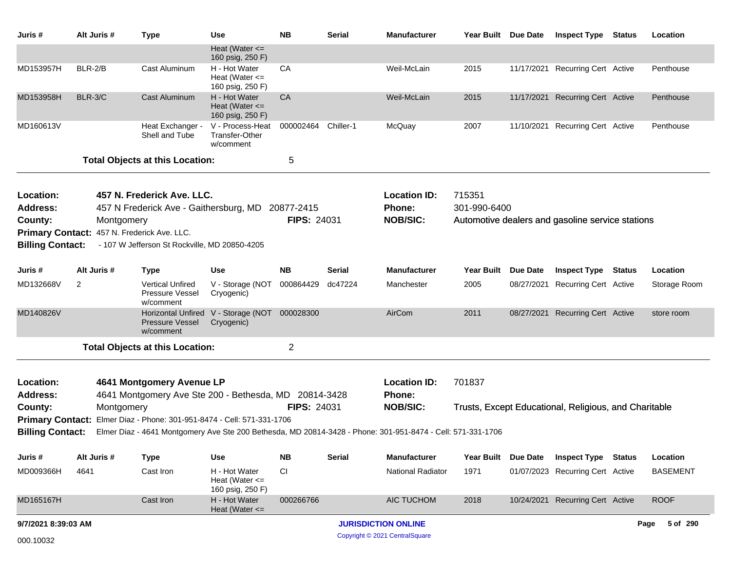| Juris #                    | Alt Juris #    | <b>Type</b>                                                            | Use                                                     | <b>NB</b>          | <b>Serial</b> | <b>Manufacturer</b>                                                                                         | Year Built Due Date |                 | <b>Inspect Type</b>                                   | Status | Location         |
|----------------------------|----------------|------------------------------------------------------------------------|---------------------------------------------------------|--------------------|---------------|-------------------------------------------------------------------------------------------------------------|---------------------|-----------------|-------------------------------------------------------|--------|------------------|
|                            |                |                                                                        | Heat (Water $\leq$<br>160 psig, 250 F)                  |                    |               |                                                                                                             |                     |                 |                                                       |        |                  |
| MD153957H                  | BLR-2/B        | Cast Aluminum                                                          | H - Hot Water<br>Heat (Water $\leq$<br>160 psig, 250 F) | CA                 |               | Weil-McLain                                                                                                 | 2015                |                 | 11/17/2021 Recurring Cert Active                      |        | Penthouse        |
| MD153958H                  | BLR-3/C        | <b>Cast Aluminum</b>                                                   | H - Hot Water<br>Heat (Water $\leq$<br>160 psig, 250 F) | CA                 |               | Weil-McLain                                                                                                 | 2015                | 11/17/2021      | <b>Recurring Cert Active</b>                          |        | Penthouse        |
| MD160613V                  |                | Heat Exchanger -<br>Shell and Tube                                     | V - Process-Heat<br>Transfer-Other<br>w/comment         | 000002464          | Chiller-1     | McQuay                                                                                                      | 2007                |                 | 11/10/2021 Recurring Cert Active                      |        | Penthouse        |
|                            |                | <b>Total Objects at this Location:</b>                                 |                                                         | 5                  |               |                                                                                                             |                     |                 |                                                       |        |                  |
| Location:                  |                | 457 N. Frederick Ave. LLC.                                             |                                                         |                    |               | <b>Location ID:</b>                                                                                         | 715351              |                 |                                                       |        |                  |
| <b>Address:</b>            |                | 457 N Frederick Ave - Gaithersburg, MD                                 |                                                         | 20877-2415         |               | Phone:                                                                                                      | 301-990-6400        |                 |                                                       |        |                  |
| County:                    | Montgomery     |                                                                        |                                                         | <b>FIPS: 24031</b> |               | <b>NOB/SIC:</b>                                                                                             |                     |                 | Automotive dealers and gasoline service stations      |        |                  |
| <b>Primary Contact:</b>    |                | 457 N. Frederick Ave. LLC.                                             |                                                         |                    |               |                                                                                                             |                     |                 |                                                       |        |                  |
| <b>Billing Contact:</b>    |                | - 107 W Jefferson St Rockville, MD 20850-4205                          |                                                         |                    |               |                                                                                                             |                     |                 |                                                       |        |                  |
| Juris #                    | Alt Juris #    | <b>Type</b>                                                            | <b>Use</b>                                              | <b>NB</b>          | <b>Serial</b> | <b>Manufacturer</b>                                                                                         | <b>Year Built</b>   | <b>Due Date</b> | <b>Inspect Type</b>                                   | Status | Location         |
| MD132668V                  | $\overline{2}$ | <b>Vertical Unfired</b><br>Pressure Vessel<br>w/comment                | V - Storage (NOT<br>Cryogenic)                          | 000864429          | dc47224       | Manchester                                                                                                  | 2005                |                 | 08/27/2021 Recurring Cert Active                      |        | Storage Room     |
| MD140826V                  |                | <b>Pressure Vessel</b><br>w/comment                                    | Horizontal Unfired V - Storage (NOT<br>Cryogenic)       | 000028300          |               | AirCom                                                                                                      | 2011                | 08/27/2021      | <b>Recurring Cert Active</b>                          |        | store room       |
|                            |                | <b>Total Objects at this Location:</b>                                 |                                                         | $\overline{2}$     |               |                                                                                                             |                     |                 |                                                       |        |                  |
|                            |                |                                                                        |                                                         |                    |               |                                                                                                             |                     |                 |                                                       |        |                  |
| Location:                  |                | 4641 Montgomery Avenue LP                                              |                                                         |                    |               | <b>Location ID:</b>                                                                                         | 701837              |                 |                                                       |        |                  |
| <b>Address:</b><br>County: | Montgomery     | 4641 Montgomery Ave Ste 200 - Bethesda, MD 20814-3428                  |                                                         | <b>FIPS: 24031</b> |               | Phone:<br><b>NOB/SIC:</b>                                                                                   |                     |                 | Trusts, Except Educational, Religious, and Charitable |        |                  |
|                            |                | Primary Contact: Elmer Diaz - Phone: 301-951-8474 - Cell: 571-331-1706 |                                                         |                    |               |                                                                                                             |                     |                 |                                                       |        |                  |
| <b>Billing Contact:</b>    |                |                                                                        |                                                         |                    |               | Elmer Diaz - 4641 Montgomery Ave Ste 200 Bethesda, MD 20814-3428 - Phone: 301-951-8474 - Cell: 571-331-1706 |                     |                 |                                                       |        |                  |
| Juris #                    | Alt Juris #    | <b>Type</b>                                                            | Use                                                     | <b>NB</b>          | <b>Serial</b> | <b>Manufacturer</b>                                                                                         | Year Built          | Due Date        | <b>Inspect Type Status</b>                            |        | Location         |
| MD009366H                  | 4641           | Cast Iron                                                              | H - Hot Water<br>Heat (Water $\leq$<br>160 psig, 250 F) | <b>CI</b>          |               | <b>National Radiator</b>                                                                                    | 1971                |                 | 01/07/2023 Recurring Cert Active                      |        | <b>BASEMENT</b>  |
| MD165167H                  |                | Cast Iron                                                              | H - Hot Water<br>Heat (Water $\leq$                     | 000266766          |               | AIC TUCHOM                                                                                                  | 2018                |                 | 10/24/2021 Recurring Cert Active                      |        | <b>ROOF</b>      |
| 9/7/2021 8:39:03 AM        |                |                                                                        |                                                         |                    |               | <b>JURISDICTION ONLINE</b>                                                                                  |                     |                 |                                                       |        | 5 of 290<br>Page |
| 000.10032                  |                |                                                                        |                                                         |                    |               | Copyright © 2021 CentralSquare                                                                              |                     |                 |                                                       |        |                  |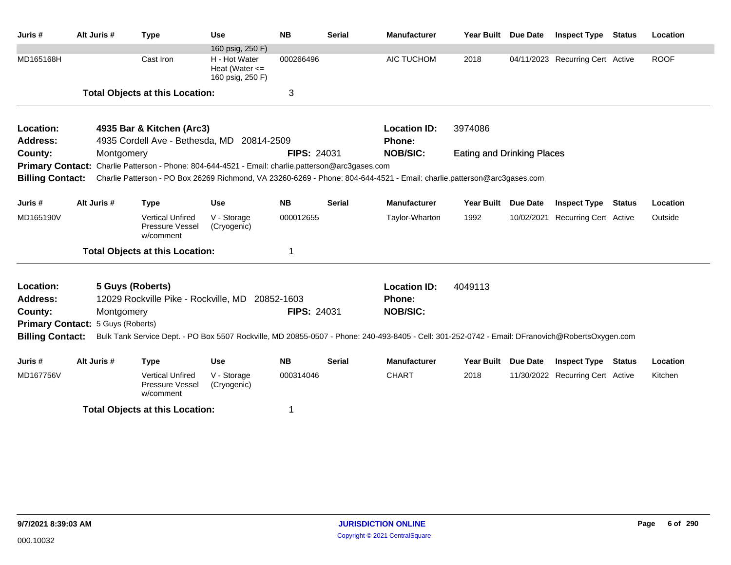| Juris #                                                                                            | Alt Juris #                       | <b>Type</b>                                                                                       | Use                                                     | <b>NB</b>          | <b>Serial</b> | <b>Manufacturer</b>                                                                                                                             | Year Built Due Date               |                                  | <b>Inspect Type Status</b>       | Location    |
|----------------------------------------------------------------------------------------------------|-----------------------------------|---------------------------------------------------------------------------------------------------|---------------------------------------------------------|--------------------|---------------|-------------------------------------------------------------------------------------------------------------------------------------------------|-----------------------------------|----------------------------------|----------------------------------|-------------|
|                                                                                                    |                                   |                                                                                                   | 160 psig, 250 F)                                        |                    |               |                                                                                                                                                 |                                   |                                  |                                  |             |
| MD165168H                                                                                          |                                   | Cast Iron                                                                                         | H - Hot Water<br>Heat (Water $\leq$<br>160 psig, 250 F) | 000266496          |               | AIC TUCHOM                                                                                                                                      | 2018                              |                                  | 04/11/2023 Recurring Cert Active | <b>ROOF</b> |
|                                                                                                    |                                   | <b>Total Objects at this Location:</b>                                                            |                                                         | 3                  |               |                                                                                                                                                 |                                   |                                  |                                  |             |
| Location:                                                                                          |                                   | 4935 Bar & Kitchen (Arc3)                                                                         |                                                         |                    |               | <b>Location ID:</b>                                                                                                                             | 3974086                           |                                  |                                  |             |
| <b>Address:</b>                                                                                    |                                   | 4935 Cordell Ave - Bethesda, MD 20814-2509                                                        |                                                         |                    |               | Phone:                                                                                                                                          |                                   |                                  |                                  |             |
| County:                                                                                            | Montgomery                        |                                                                                                   |                                                         | <b>FIPS: 24031</b> |               | <b>NOB/SIC:</b>                                                                                                                                 | <b>Eating and Drinking Places</b> |                                  |                                  |             |
|                                                                                                    |                                   | Primary Contact: Charlie Patterson - Phone: 804-644-4521 - Email: charlie.patterson@arc3gases.com |                                                         |                    |               |                                                                                                                                                 |                                   |                                  |                                  |             |
| <b>Billing Contact:</b>                                                                            |                                   |                                                                                                   |                                                         |                    |               | Charlie Patterson - PO Box 26269 Richmond, VA 23260-6269 - Phone: 804-644-4521 - Email: charlie.patterson@arc3gases.com                         |                                   |                                  |                                  |             |
| Juris #                                                                                            | Alt Juris #                       | <b>Type</b>                                                                                       | <b>Use</b>                                              | <b>NB</b>          | <b>Serial</b> | <b>Manufacturer</b>                                                                                                                             | Year Built Due Date               |                                  | <b>Inspect Type Status</b>       | Location    |
| MD165190V                                                                                          |                                   | <b>Vertical Unfired</b><br>Pressure Vessel<br>w/comment                                           | V - Storage<br>(Cryogenic)                              | 000012655          |               | Taylor-Wharton                                                                                                                                  | 1992                              | 10/02/2021                       | Recurring Cert Active            | Outside     |
|                                                                                                    |                                   | <b>Total Objects at this Location:</b>                                                            |                                                         | 1                  |               |                                                                                                                                                 |                                   |                                  |                                  |             |
| Location:                                                                                          |                                   | 5 Guys (Roberts)                                                                                  |                                                         |                    |               | <b>Location ID:</b>                                                                                                                             | 4049113                           |                                  |                                  |             |
| <b>Address:</b>                                                                                    |                                   | 12029 Rockville Pike - Rockville, MD 20852-1603                                                   |                                                         |                    |               | Phone:                                                                                                                                          |                                   |                                  |                                  |             |
| County:                                                                                            | Montgomery                        |                                                                                                   |                                                         | <b>FIPS: 24031</b> |               | <b>NOB/SIC:</b>                                                                                                                                 |                                   |                                  |                                  |             |
|                                                                                                    | Primary Contact: 5 Guys (Roberts) |                                                                                                   |                                                         |                    |               |                                                                                                                                                 |                                   |                                  |                                  |             |
| <b>Billing Contact:</b>                                                                            |                                   |                                                                                                   |                                                         |                    |               | Bulk Tank Service Dept. - PO Box 5507 Rockville, MD 20855-0507 - Phone: 240-493-8405 - Cell: 301-252-0742 - Email: DFranovich@RobertsOxygen.com |                                   |                                  |                                  |             |
| Juris #                                                                                            | Alt Juris #                       | <b>Type</b>                                                                                       | Use                                                     | <b>NB</b>          | <b>Serial</b> | <b>Manufacturer</b>                                                                                                                             | Year Built Due Date               |                                  | <b>Inspect Type Status</b>       | Location    |
| MD167756V<br><b>Vertical Unfired</b><br>V - Storage<br>Pressure Vessel<br>(Cryogenic)<br>w/comment |                                   |                                                                                                   | 000314046                                               |                    | <b>CHART</b>  | 2018                                                                                                                                            |                                   | 11/30/2022 Recurring Cert Active | Kitchen                          |             |
|                                                                                                    |                                   | <b>Total Objects at this Location:</b>                                                            |                                                         | 1                  |               |                                                                                                                                                 |                                   |                                  |                                  |             |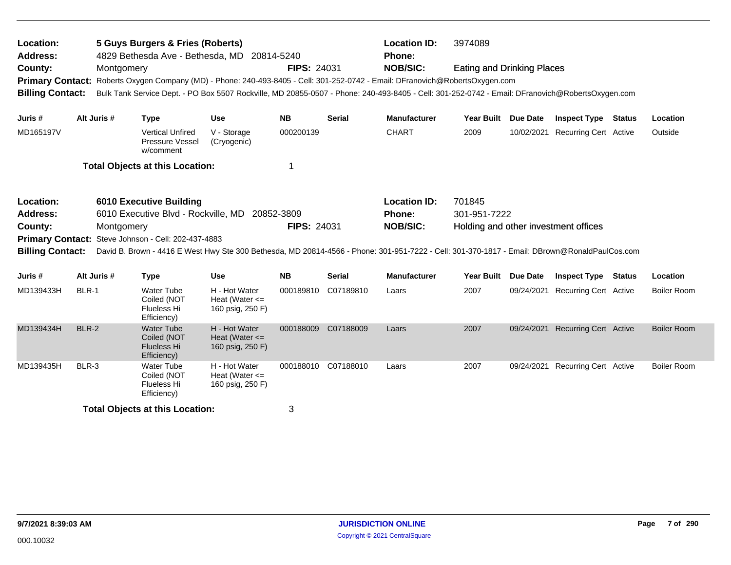| Location:<br>Address:<br>County:                                   | <b>Primary Contact:</b><br><b>Billing Contact:</b><br>Alt Juris # |            | 5 Guys Burgers & Fries (Roberts)<br>Montgomery                                        | 4829 Bethesda Ave - Bethesda, MD 20814-5240             | <b>FIPS: 24031</b>  |                     | <b>Location ID:</b><br><b>Phone:</b><br><b>NOB/SIC:</b><br>Roberts Oxygen Company (MD) - Phone: 240-493-8405 - Cell: 301-252-0742 - Email: DFranovich@RobertsOxygen.com<br>Bulk Tank Service Dept. - PO Box 5507 Rockville, MD 20855-0507 - Phone: 240-493-8405 - Cell: 301-252-0742 - Email: DFranovich@RobertsOxygen.com | 3974089<br><b>Eating and Drinking Places</b>                   |            |                                  |        |                    |
|--------------------------------------------------------------------|-------------------------------------------------------------------|------------|---------------------------------------------------------------------------------------|---------------------------------------------------------|---------------------|---------------------|----------------------------------------------------------------------------------------------------------------------------------------------------------------------------------------------------------------------------------------------------------------------------------------------------------------------------|----------------------------------------------------------------|------------|----------------------------------|--------|--------------------|
| Juris #                                                            |                                                                   |            | <b>Type</b>                                                                           | <b>Use</b>                                              | <b>NB</b>           | <b>Serial</b>       | <b>Manufacturer</b>                                                                                                                                                                                                                                                                                                        | Year Built Due Date                                            |            | <b>Inspect Type Status</b>       |        | Location           |
| MD165197V                                                          |                                                                   |            | <b>Vertical Unfired</b><br>Pressure Vessel<br>w/comment                               | V - Storage<br>(Cryogenic)                              | 000200139           |                     | <b>CHART</b>                                                                                                                                                                                                                                                                                                               | 2009                                                           |            | 10/02/2021 Recurring Cert Active |        | Outside            |
|                                                                    |                                                                   |            | <b>Total Objects at this Location:</b>                                                |                                                         | 1                   |                     |                                                                                                                                                                                                                                                                                                                            |                                                                |            |                                  |        |                    |
| Location:<br><b>Address:</b><br>County:<br><b>Billing Contact:</b> |                                                                   | Montgomery | <b>6010 Executive Building</b><br>Primary Contact: Steve Johnson - Cell: 202-437-4883 | 6010 Executive Blvd - Rockville, MD 20852-3809          | <b>FIPS: 24031</b>  |                     | <b>Location ID:</b><br>Phone:<br><b>NOB/SIC:</b><br>David B. Brown - 4416 E West Hwy Ste 300 Bethesda, MD 20814-4566 - Phone: 301-951-7222 - Cell: 301-370-1817 - Email: DBrown@RonaldPaulCos.com                                                                                                                          | 701845<br>301-951-7222<br>Holding and other investment offices |            |                                  |        |                    |
| Juris #                                                            | Alt Juris #                                                       |            | <b>Type</b>                                                                           | <b>Use</b>                                              | <b>NB</b>           | Serial              | <b>Manufacturer</b>                                                                                                                                                                                                                                                                                                        | Year Built Due Date                                            |            | <b>Inspect Type</b>              | Status | Location           |
| MD139433H                                                          | BLR-1                                                             |            | Water Tube<br>Coiled (NOT<br>Flueless Hi<br>Efficiency)                               | H - Hot Water<br>Heat (Water $\leq$<br>160 psig, 250 F) | 000189810           | C07189810           | Laars                                                                                                                                                                                                                                                                                                                      | 2007                                                           | 09/24/2021 | <b>Recurring Cert Active</b>     |        | <b>Boiler Room</b> |
| MD139434H                                                          | <b>BLR-2</b>                                                      |            | <b>Water Tube</b><br>Coiled (NOT<br><b>Flueless Hi</b><br>Efficiency)                 | H - Hot Water<br>Heat (Water $\leq$<br>160 psig, 250 F) | 000188009 C07188009 |                     | Laars                                                                                                                                                                                                                                                                                                                      | 2007                                                           |            | 09/24/2021 Recurring Cert Active |        | <b>Boiler Room</b> |
| MD139435H                                                          | BLR-3                                                             |            | <b>Water Tube</b><br>Coiled (NOT<br>Flueless Hi<br>Efficiency)                        | H - Hot Water<br>Heat (Water $\leq$<br>160 psig, 250 F) |                     | 000188010 C07188010 | Laars                                                                                                                                                                                                                                                                                                                      | 2007                                                           |            | 09/24/2021 Recurring Cert Active |        | <b>Boiler Room</b> |
| <b>Total Objects at this Location:</b>                             |                                                                   |            |                                                                                       |                                                         | 3                   |                     |                                                                                                                                                                                                                                                                                                                            |                                                                |            |                                  |        |                    |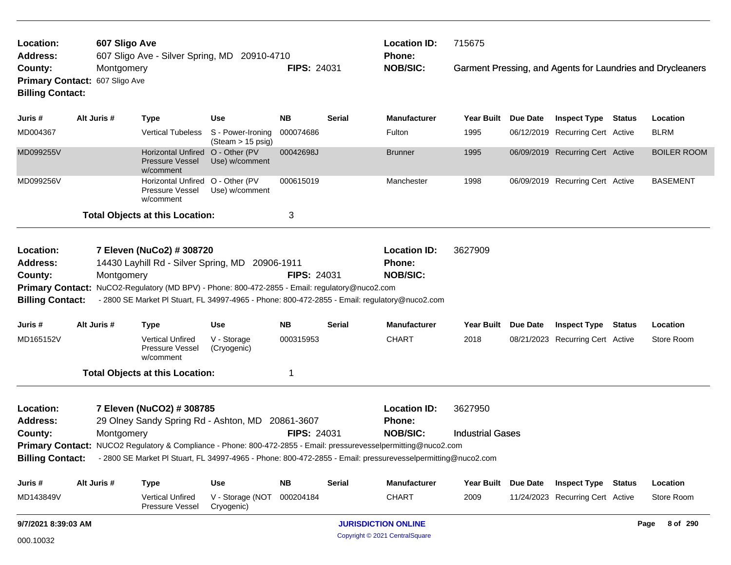| Location:<br><b>Address:</b>                                       |                                              | 607 Sligo Ave<br>607 Sligo Ave - Silver Spring, MD 20910-4710                                                                                                                                                                                                                                                                     |                                                  |                    |               | <b>Location ID:</b><br>Phone:                           | 715675                             |                 |                                  |                                                            |
|--------------------------------------------------------------------|----------------------------------------------|-----------------------------------------------------------------------------------------------------------------------------------------------------------------------------------------------------------------------------------------------------------------------------------------------------------------------------------|--------------------------------------------------|--------------------|---------------|---------------------------------------------------------|------------------------------------|-----------------|----------------------------------|------------------------------------------------------------|
| County:<br><b>Billing Contact:</b>                                 | Montgomery<br>Primary Contact: 607 Sligo Ave |                                                                                                                                                                                                                                                                                                                                   |                                                  | <b>FIPS: 24031</b> |               | <b>NOB/SIC:</b>                                         |                                    |                 |                                  | Garment Pressing, and Agents for Laundries and Drycleaners |
| Juris #                                                            | Alt Juris #                                  | <b>Type</b>                                                                                                                                                                                                                                                                                                                       | <b>Use</b>                                       | <b>NB</b>          | Serial        | Manufacturer                                            | Year Built Due Date                |                 | <b>Inspect Type Status</b>       | Location                                                   |
| MD004367                                                           |                                              | <b>Vertical Tubeless</b>                                                                                                                                                                                                                                                                                                          | S - Power-Ironing<br>$(Steam > 15 \text{ psig})$ | 000074686          |               | Fulton                                                  | 1995                               |                 | 06/12/2019 Recurring Cert Active | <b>BLRM</b>                                                |
| MD099255V                                                          |                                              | <b>Horizontal Unfired</b><br><b>Pressure Vessel</b><br>w/comment                                                                                                                                                                                                                                                                  | O - Other (PV<br>Use) w/comment                  | 00042698J          |               | Brunner                                                 | 1995                               |                 | 06/09/2019 Recurring Cert Active | <b>BOILER ROOM</b>                                         |
| MD099256V                                                          |                                              | Horizontal Unfired O - Other (PV<br>Pressure Vessel<br>w/comment                                                                                                                                                                                                                                                                  | Use) w/comment                                   | 000615019          |               | Manchester                                              | 1998                               |                 | 06/09/2019 Recurring Cert Active | <b>BASEMENT</b>                                            |
|                                                                    |                                              | <b>Total Objects at this Location:</b>                                                                                                                                                                                                                                                                                            |                                                  | 3                  |               |                                                         |                                    |                 |                                  |                                                            |
| Location:<br><b>Address:</b><br>County:<br><b>Billing Contact:</b> | Montgomery                                   | 7 Eleven (NuCo2) # 308720<br>14430 Layhill Rd - Silver Spring, MD 20906-1911<br>Primary Contact: NuCO2-Regulatory (MD BPV) - Phone: 800-472-2855 - Email: regulatory@nuco2.com<br>- 2800 SE Market PI Stuart, FL 34997-4965 - Phone: 800-472-2855 - Email: regulatory@nuco2.com                                                   |                                                  | <b>FIPS: 24031</b> |               | <b>Location ID:</b><br><b>Phone:</b><br><b>NOB/SIC:</b> | 3627909                            |                 |                                  |                                                            |
| Juris #                                                            | Alt Juris #                                  | <b>Type</b>                                                                                                                                                                                                                                                                                                                       | <b>Use</b>                                       | <b>NB</b>          | <b>Serial</b> | Manufacturer                                            | Year Built                         | <b>Due Date</b> | <b>Inspect Type Status</b>       | Location                                                   |
| MD165152V                                                          |                                              | <b>Vertical Unfired</b><br>Pressure Vessel<br>w/comment                                                                                                                                                                                                                                                                           | V - Storage<br>(Cryogenic)                       | 000315953          |               | <b>CHART</b>                                            | 2018                               |                 | 08/21/2023 Recurring Cert Active | Store Room                                                 |
|                                                                    |                                              | <b>Total Objects at this Location:</b>                                                                                                                                                                                                                                                                                            |                                                  | 1                  |               |                                                         |                                    |                 |                                  |                                                            |
| Location:<br><b>Address:</b><br>County:                            | Montgomery                                   | 7 Eleven (NuCO2) # 308785<br>29 Olney Sandy Spring Rd - Ashton, MD 20861-3607<br>Primary Contact: NUCO2 Regulatory & Compliance - Phone: 800-472-2855 - Email: pressurevesselpermitting@nuco2.com<br>Billing Contact: - 2800 SE Market PI Stuart, FL 34997-4965 - Phone: 800-472-2855 - Email: pressurevesselpermitting@nuco2.com |                                                  | <b>FIPS: 24031</b> |               | <b>Location ID:</b><br>Phone:<br><b>NOB/SIC:</b>        | 3627950<br><b>Industrial Gases</b> |                 |                                  |                                                            |
| Juris #                                                            | Alt Juris #                                  | Type                                                                                                                                                                                                                                                                                                                              | <b>Use</b>                                       | NB                 | Serial        | Manufacturer                                            | Year Built Due Date                |                 | <b>Inspect Type Status</b>       | Location                                                   |
| MD143849V                                                          |                                              | <b>Vertical Unfired</b><br>Pressure Vessel                                                                                                                                                                                                                                                                                        | V - Storage (NOT<br>Cryogenic)                   | 000204184          |               | <b>CHART</b>                                            | 2009                               |                 | 11/24/2023 Recurring Cert Active | Store Room                                                 |
| 9/7/2021 8:39:03 AM                                                |                                              |                                                                                                                                                                                                                                                                                                                                   |                                                  |                    |               | <b>JURISDICTION ONLINE</b>                              |                                    |                 |                                  | 8 of 290<br>Page                                           |
| 000.10032                                                          |                                              |                                                                                                                                                                                                                                                                                                                                   |                                                  |                    |               | Copyright © 2021 CentralSquare                          |                                    |                 |                                  |                                                            |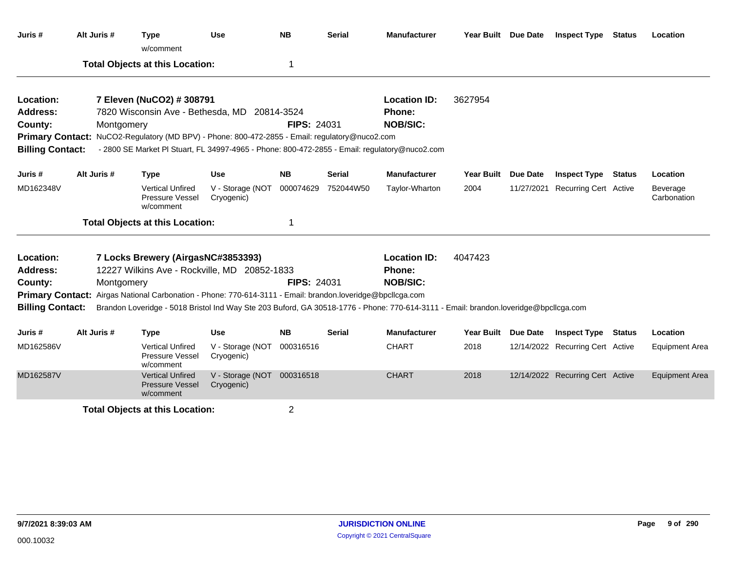| Juris #                 | Alt Juris # | <b>Type</b><br>w/comment                                                                                                             | <b>Use</b>                               | <b>NB</b>          | <b>Serial</b> | <b>Manufacturer</b> | Year Built Due Date |                 | <b>Inspect Type Status</b>       |               | Location                |
|-------------------------|-------------|--------------------------------------------------------------------------------------------------------------------------------------|------------------------------------------|--------------------|---------------|---------------------|---------------------|-----------------|----------------------------------|---------------|-------------------------|
|                         |             | <b>Total Objects at this Location:</b>                                                                                               |                                          | 1                  |               |                     |                     |                 |                                  |               |                         |
| Location:               |             | 7 Eleven (NuCO2) # 308791                                                                                                            |                                          |                    |               | <b>Location ID:</b> | 3627954             |                 |                                  |               |                         |
| <b>Address:</b>         |             | 7820 Wisconsin Ave - Bethesda, MD 20814-3524                                                                                         |                                          |                    |               | <b>Phone:</b>       |                     |                 |                                  |               |                         |
| County:                 | Montgomery  |                                                                                                                                      |                                          | <b>FIPS: 24031</b> |               | <b>NOB/SIC:</b>     |                     |                 |                                  |               |                         |
|                         |             | Primary Contact: NuCO2-Regulatory (MD BPV) - Phone: 800-472-2855 - Email: regulatory@nuco2.com                                       |                                          |                    |               |                     |                     |                 |                                  |               |                         |
| <b>Billing Contact:</b> |             | - 2800 SE Market PI Stuart, FL 34997-4965 - Phone: 800-472-2855 - Email: regulatory@nuco2.com                                        |                                          |                    |               |                     |                     |                 |                                  |               |                         |
| Juris #                 | Alt Juris # | <b>Type</b>                                                                                                                          | <b>Use</b>                               | <b>NB</b>          | <b>Serial</b> | <b>Manufacturer</b> | <b>Year Built</b>   | <b>Due Date</b> | <b>Inspect Type</b>              | Status        | Location                |
| MD162348V               |             | <b>Vertical Unfired</b><br>Pressure Vessel<br>w/comment                                                                              | V - Storage (NOT<br>Cryogenic)           | 000074629          | 752044W50     | Taylor-Wharton      | 2004                |                 | 11/27/2021 Recurring Cert Active |               | Beverage<br>Carbonation |
|                         |             | <b>Total Objects at this Location:</b>                                                                                               |                                          | 1                  |               |                     |                     |                 |                                  |               |                         |
| Location:               |             | 7 Locks Brewery (AirgasNC#3853393)                                                                                                   |                                          |                    |               | <b>Location ID:</b> | 4047423             |                 |                                  |               |                         |
| <b>Address:</b>         |             | 12227 Wilkins Ave - Rockville, MD 20852-1833                                                                                         |                                          |                    |               | Phone:              |                     |                 |                                  |               |                         |
| County:                 | Montgomery  |                                                                                                                                      |                                          | FIPS: 24031        |               | <b>NOB/SIC:</b>     |                     |                 |                                  |               |                         |
|                         |             | Primary Contact: Airgas National Carbonation - Phone: 770-614-3111 - Email: brandon.loveridge@bpcllcga.com                           |                                          |                    |               |                     |                     |                 |                                  |               |                         |
| <b>Billing Contact:</b> |             | Brandon Loveridge - 5018 Bristol Ind Way Ste 203 Buford, GA 30518-1776 - Phone: 770-614-3111 - Email: brandon.loveridge@bpcllcga.com |                                          |                    |               |                     |                     |                 |                                  |               |                         |
| Juris #                 | Alt Juris # | <b>Type</b>                                                                                                                          | <b>Use</b>                               | <b>NB</b>          | <b>Serial</b> | <b>Manufacturer</b> | <b>Year Built</b>   | Due Date        | <b>Inspect Type</b>              | <b>Status</b> | Location                |
| MD162586V               |             | <b>Vertical Unfired</b><br>Pressure Vessel<br>w/comment                                                                              | V - Storage (NOT<br>Cryogenic)           | 000316516          |               | <b>CHART</b>        | 2018                |                 | 12/14/2022 Recurring Cert Active |               | <b>Equipment Area</b>   |
| MD162587V               |             | <b>Vertical Unfired</b><br><b>Pressure Vessel</b><br>w/comment                                                                       | V - Storage (NOT 000316518<br>Cryogenic) |                    |               | <b>CHART</b>        | 2018                |                 | 12/14/2022 Recurring Cert Active |               | <b>Equipment Area</b>   |
|                         |             | <b>Total Objects at this Location:</b>                                                                                               |                                          | $\overline{2}$     |               |                     |                     |                 |                                  |               |                         |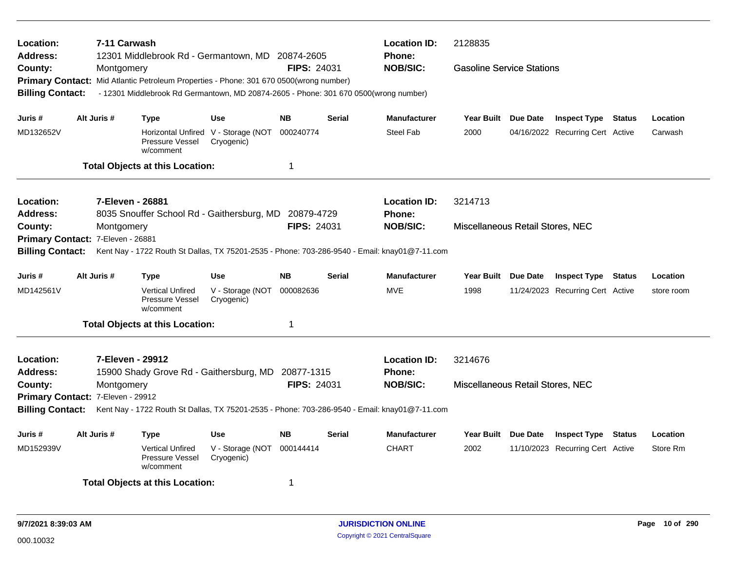| Location:<br><b>Address:</b> | 7-11 Carwash                      | 12301 Middlebrook Rd - Germantown, MD 20874-2605                                       |                                                   |                    |               | <b>Location ID:</b><br><b>Phone:</b>                                                          | 2128835                          |                                  |            |
|------------------------------|-----------------------------------|----------------------------------------------------------------------------------------|---------------------------------------------------|--------------------|---------------|-----------------------------------------------------------------------------------------------|----------------------------------|----------------------------------|------------|
| County:                      | Montgomery                        |                                                                                        |                                                   | <b>FIPS: 24031</b> |               | <b>NOB/SIC:</b>                                                                               | <b>Gasoline Service Stations</b> |                                  |            |
|                              |                                   | Primary Contact: Mid Atlantic Petroleum Properties - Phone: 301 670 0500(wrong number) |                                                   |                    |               |                                                                                               |                                  |                                  |            |
| <b>Billing Contact:</b>      |                                   | - 12301 Middlebrook Rd Germantown, MD 20874-2605 - Phone: 301 670 0500(wrong number)   |                                                   |                    |               |                                                                                               |                                  |                                  |            |
| Juris #                      | Alt Juris #                       | <b>Type</b>                                                                            | <b>Use</b>                                        | <b>NB</b>          | <b>Serial</b> | <b>Manufacturer</b>                                                                           | Year Built Due Date              | <b>Inspect Type Status</b>       | Location   |
| MD132652V                    |                                   | Pressure Vessel<br>w/comment                                                           | Horizontal Unfired V - Storage (NOT<br>Cryogenic) | 000240774          |               | Steel Fab                                                                                     | 2000                             | 04/16/2022 Recurring Cert Active | Carwash    |
|                              |                                   | <b>Total Objects at this Location:</b>                                                 |                                                   | 1                  |               |                                                                                               |                                  |                                  |            |
| Location:                    | 7-Eleven - 26881                  |                                                                                        |                                                   |                    |               | <b>Location ID:</b>                                                                           | 3214713                          |                                  |            |
| <b>Address:</b>              |                                   | 8035 Snouffer School Rd - Gaithersburg, MD 20879-4729                                  |                                                   |                    |               | <b>Phone:</b>                                                                                 |                                  |                                  |            |
| County:                      | Montgomery                        |                                                                                        |                                                   | <b>FIPS: 24031</b> |               | <b>NOB/SIC:</b>                                                                               | Miscellaneous Retail Stores, NEC |                                  |            |
| <b>Primary Contact:</b>      | 7-Eleven - 26881                  |                                                                                        |                                                   |                    |               |                                                                                               |                                  |                                  |            |
| <b>Billing Contact:</b>      |                                   |                                                                                        |                                                   |                    |               | Kent Nay - 1722 Routh St Dallas, TX 75201-2535 - Phone: 703-286-9540 - Email: knay01@7-11.com |                                  |                                  |            |
| Juris #                      | Alt Juris #                       | <b>Type</b>                                                                            | <b>Use</b>                                        | <b>NB</b>          | <b>Serial</b> | <b>Manufacturer</b>                                                                           | Year Built Due Date              | <b>Inspect Type Status</b>       | Location   |
| MD142561V                    |                                   | <b>Vertical Unfired</b><br>Pressure Vessel<br>w/comment                                | V - Storage (NOT<br>Cryogenic)                    | 000082636          |               | <b>MVE</b>                                                                                    | 1998                             | 11/24/2023 Recurring Cert Active | store room |
|                              |                                   | <b>Total Objects at this Location:</b>                                                 |                                                   | 1                  |               |                                                                                               |                                  |                                  |            |
| Location:                    |                                   | 7-Eleven - 29912                                                                       |                                                   |                    |               | <b>Location ID:</b>                                                                           | 3214676                          |                                  |            |
| Address:                     |                                   | 15900 Shady Grove Rd - Gaithersburg, MD 20877-1315                                     |                                                   |                    |               | Phone:                                                                                        |                                  |                                  |            |
| County:                      | Montgomery                        |                                                                                        |                                                   | FIPS: 24031        |               | <b>NOB/SIC:</b>                                                                               | Miscellaneous Retail Stores, NEC |                                  |            |
|                              | Primary Contact: 7-Eleven - 29912 |                                                                                        |                                                   |                    |               |                                                                                               |                                  |                                  |            |
| <b>Billing Contact:</b>      |                                   |                                                                                        |                                                   |                    |               | Kent Nay - 1722 Routh St Dallas, TX 75201-2535 - Phone: 703-286-9540 - Email: knay01@7-11.com |                                  |                                  |            |
| Juris #                      | Alt Juris #                       | <b>Type</b>                                                                            | <b>Use</b>                                        | <b>NB</b>          | Serial        | <b>Manufacturer</b>                                                                           | Year Built Due Date              | <b>Inspect Type Status</b>       | Location   |
| MD152939V                    |                                   | <b>Vertical Unfired</b><br>Pressure Vessel<br>w/comment                                | V - Storage (NOT<br>Cryogenic)                    | 000144414          |               | <b>CHART</b>                                                                                  | 2002                             | 11/10/2023 Recurring Cert Active | Store Rm   |
|                              |                                   | <b>Total Objects at this Location:</b>                                                 |                                                   | 1                  |               |                                                                                               |                                  |                                  |            |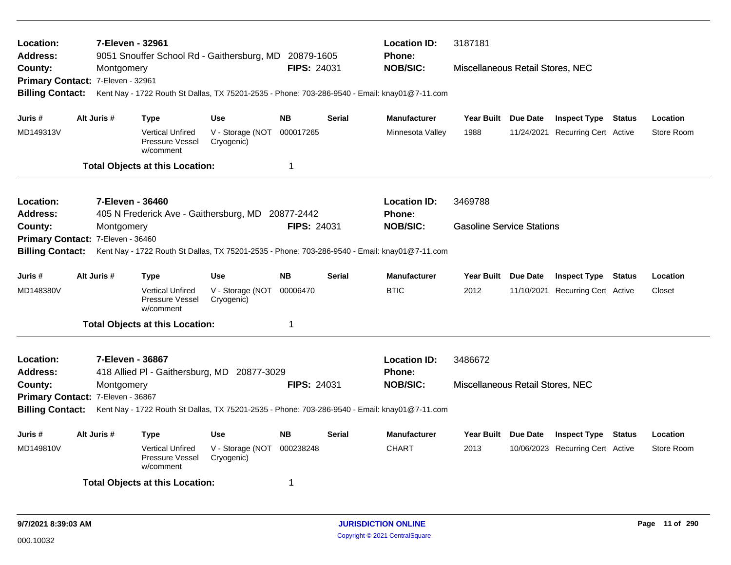| Location:<br>Address:                        |  | 7-Eleven - 32961 |                                                                | 9051 Snouffer School Rd - Gaithersburg, MD 20879-1605                                         |                    |               | <b>Location ID:</b><br><b>Phone:</b> | 3187181                          |                                  |            |
|----------------------------------------------|--|------------------|----------------------------------------------------------------|-----------------------------------------------------------------------------------------------|--------------------|---------------|--------------------------------------|----------------------------------|----------------------------------|------------|
| County:                                      |  | Montgomery       |                                                                |                                                                                               | <b>FIPS: 24031</b> |               | <b>NOB/SIC:</b>                      | Miscellaneous Retail Stores, NEC |                                  |            |
| Primary Contact: 7-Eleven - 32961            |  |                  |                                                                |                                                                                               |                    |               |                                      |                                  |                                  |            |
| <b>Billing Contact:</b>                      |  |                  |                                                                | Kent Nay - 1722 Routh St Dallas, TX 75201-2535 - Phone: 703-286-9540 - Email: knay01@7-11.com |                    |               |                                      |                                  |                                  |            |
| Juris #                                      |  | Alt Juris #      | Type                                                           | <b>Use</b>                                                                                    | <b>NB</b>          | <b>Serial</b> | <b>Manufacturer</b>                  | Year Built Due Date              | <b>Inspect Type Status</b>       | Location   |
| MD149313V                                    |  |                  | <b>Vertical Unfired</b><br>Pressure Vessel<br>w/comment        | V - Storage (NOT<br>Cryogenic)                                                                | 000017265          |               | Minnesota Valley                     | 1988                             | 11/24/2021 Recurring Cert Active | Store Room |
|                                              |  |                  | <b>Total Objects at this Location:</b>                         |                                                                                               | 1                  |               |                                      |                                  |                                  |            |
| Location:                                    |  | 7-Eleven - 36460 |                                                                |                                                                                               |                    |               | <b>Location ID:</b>                  | 3469788                          |                                  |            |
| Address:                                     |  |                  |                                                                | 405 N Frederick Ave - Gaithersburg, MD 20877-2442                                             | <b>FIPS: 24031</b> |               | Phone:<br><b>NOB/SIC:</b>            | <b>Gasoline Service Stations</b> |                                  |            |
| County:<br>Primary Contact: 7-Eleven - 36460 |  | Montgomery       |                                                                |                                                                                               |                    |               |                                      |                                  |                                  |            |
| <b>Billing Contact:</b>                      |  |                  |                                                                | Kent Nay - 1722 Routh St Dallas, TX 75201-2535 - Phone: 703-286-9540 - Email: knay01@7-11.com |                    |               |                                      |                                  |                                  |            |
|                                              |  |                  |                                                                |                                                                                               |                    |               |                                      |                                  |                                  |            |
| Juris #                                      |  | Alt Juris #      | <b>Type</b>                                                    | <b>Use</b>                                                                                    | <b>NB</b>          | Serial        | <b>Manufacturer</b>                  | Year Built Due Date              | <b>Inspect Type Status</b>       | Location   |
| MD148380V                                    |  |                  | <b>Vertical Unfired</b><br>Pressure Vessel<br>w/comment        | V - Storage (NOT<br>Cryogenic)                                                                | 00006470           |               | <b>BTIC</b>                          | 2012                             | 11/10/2021 Recurring Cert Active | Closet     |
|                                              |  |                  | <b>Total Objects at this Location:</b>                         |                                                                                               | 1                  |               |                                      |                                  |                                  |            |
| Location:                                    |  | 7-Eleven - 36867 |                                                                |                                                                                               |                    |               | <b>Location ID:</b>                  | 3486672                          |                                  |            |
| <b>Address:</b>                              |  |                  |                                                                | 418 Allied PI - Gaithersburg, MD 20877-3029                                                   |                    |               | <b>Phone:</b>                        |                                  |                                  |            |
| County:                                      |  | Montgomery       |                                                                |                                                                                               | <b>FIPS: 24031</b> |               | <b>NOB/SIC:</b>                      | Miscellaneous Retail Stores, NEC |                                  |            |
| Primary Contact: 7-Eleven - 36867            |  |                  |                                                                |                                                                                               |                    |               |                                      |                                  |                                  |            |
| <b>Billing Contact:</b>                      |  |                  |                                                                | Kent Nay - 1722 Routh St Dallas, TX 75201-2535 - Phone: 703-286-9540 - Email: knay01@7-11.com |                    |               |                                      |                                  |                                  |            |
| Juris #                                      |  | Alt Juris #      | <b>Type</b>                                                    | <b>Use</b>                                                                                    | <b>NB</b>          | Serial        | <b>Manufacturer</b>                  | Year Built Due Date              | <b>Inspect Type Status</b>       | Location   |
| MD149810V                                    |  |                  | <b>Vertical Unfired</b><br><b>Pressure Vessel</b><br>w/comment | V - Storage (NOT<br>Cryogenic)                                                                | 000238248          |               | <b>CHART</b>                         | 2013                             | 10/06/2023 Recurring Cert Active | Store Room |
|                                              |  |                  | <b>Total Objects at this Location:</b>                         |                                                                                               | 1                  |               |                                      |                                  |                                  |            |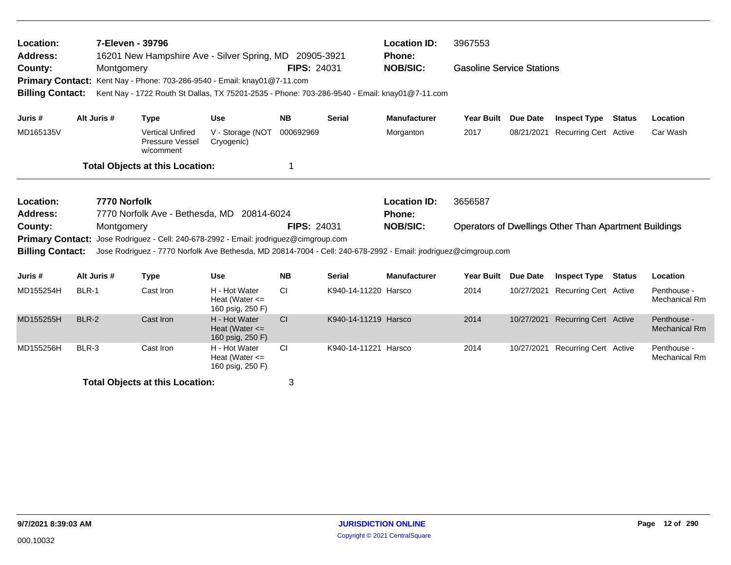| Location:<br><b>Address:</b><br>County:<br><b>Primary Contact:</b><br><b>Billing Contact:</b> |              | 7-Eleven - 39796<br>Montgomery |                                                         | 16201 New Hampshire Ave - Silver Spring, MD 20905-3921<br>Kent Nay - Phone: 703-286-9540 - Email: knay01@7-11.com<br>Kent Nay - 1722 Routh St Dallas, TX 75201-2535 - Phone: 703-286-9540 - Email: knay01@7-11.com                    | <b>FIPS: 24031</b> |                      | <b>Location ID:</b><br><b>Phone:</b><br><b>NOB/SIC:</b> | 3967553<br><b>Gasoline Service Stations</b> |                 |                                                       |               |                                     |
|-----------------------------------------------------------------------------------------------|--------------|--------------------------------|---------------------------------------------------------|---------------------------------------------------------------------------------------------------------------------------------------------------------------------------------------------------------------------------------------|--------------------|----------------------|---------------------------------------------------------|---------------------------------------------|-----------------|-------------------------------------------------------|---------------|-------------------------------------|
| Juris #                                                                                       | Alt Juris #  |                                | <b>Type</b>                                             | <b>Use</b>                                                                                                                                                                                                                            | <b>NB</b>          | <b>Serial</b>        | <b>Manufacturer</b>                                     | <b>Year Built</b>                           | <b>Due Date</b> | <b>Inspect Type</b>                                   | <b>Status</b> | Location                            |
| MD165135V                                                                                     |              |                                | <b>Vertical Unfired</b><br>Pressure Vessel<br>w/comment | V - Storage (NOT<br>Cryogenic)                                                                                                                                                                                                        | 000692969          |                      | Morganton                                               | 2017                                        | 08/21/2021      | <b>Recurring Cert Active</b>                          |               | Car Wash                            |
|                                                                                               |              |                                | <b>Total Objects at this Location:</b>                  |                                                                                                                                                                                                                                       | 1                  |                      |                                                         |                                             |                 |                                                       |               |                                     |
| Location:<br><b>Address:</b><br>County:<br><b>Primary Contact:</b><br><b>Billing Contact:</b> |              | 7770 Norfolk<br>Montgomery     |                                                         | 7770 Norfolk Ave - Bethesda, MD 20814-6024<br>Jose Rodriguez - Cell: 240-678-2992 - Email: jrodriguez@cimgroup.com<br>Jose Rodriguez - 7770 Norfolk Ave Bethesda, MD 20814-7004 - Cell: 240-678-2992 - Email: jrodriguez@cimgroup.com | <b>FIPS: 24031</b> |                      | <b>Location ID:</b><br>Phone:<br><b>NOB/SIC:</b>        | 3656587                                     |                 | Operators of Dwellings Other Than Apartment Buildings |               |                                     |
| Juris #                                                                                       | Alt Juris #  |                                | <b>Type</b>                                             | <b>Use</b>                                                                                                                                                                                                                            | <b>NB</b>          | <b>Serial</b>        | <b>Manufacturer</b>                                     | Year Built                                  | <b>Due Date</b> | <b>Inspect Type</b>                                   | <b>Status</b> | Location                            |
| MD155254H                                                                                     | BLR-1        |                                | Cast Iron                                               | H - Hot Water<br>Heat (Water $\leq$<br>160 psig, 250 F)                                                                                                                                                                               | <b>CI</b>          | K940-14-11220 Harsco |                                                         | 2014                                        | 10/27/2021      | <b>Recurring Cert Active</b>                          |               | Penthouse -<br>Mechanical Rm        |
| MD155255H                                                                                     | <b>BLR-2</b> |                                | Cast Iron                                               | H - Hot Water<br>Heat (Water $\leq$<br>160 psig, 250 F)                                                                                                                                                                               | <b>CI</b>          | K940-14-11219 Harsco |                                                         | 2014                                        | 10/27/2021      | <b>Recurring Cert Active</b>                          |               | Penthouse -<br><b>Mechanical Rm</b> |
| MD155256H                                                                                     | BLR-3        |                                | Cast Iron                                               | H - Hot Water<br>Heat (Water $\leq$<br>160 psig, 250 F)                                                                                                                                                                               | <b>CI</b>          | K940-14-11221 Harsco |                                                         | 2014                                        | 10/27/2021      | <b>Recurring Cert Active</b>                          |               | Penthouse -<br>Mechanical Rm        |
|                                                                                               |              |                                | <b>Total Objects at this Location:</b>                  |                                                                                                                                                                                                                                       | 3                  |                      |                                                         |                                             |                 |                                                       |               |                                     |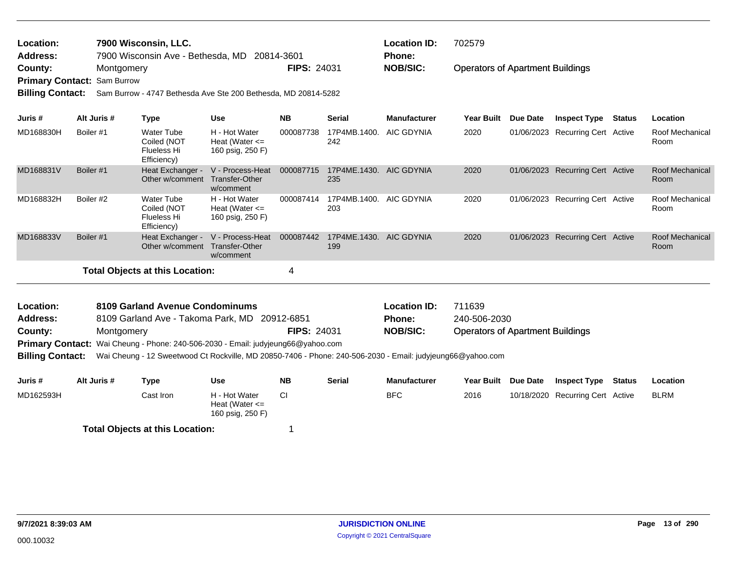| Location:<br><b>Address:</b><br>County:<br><b>Billing Contact:</b> | Montgomery<br>Primary Contact: Sam Burrow | 7900 Wisconsin, LLC.<br>7900 Wisconsin Ave - Bethesda, MD<br>Sam Burrow - 4747 Bethesda Ave Ste 200 Bethesda, MD 20814-5282 |                                                         | 20814-3601<br><b>FIPS: 24031</b> |                     | <b>Location ID:</b><br><b>Phone:</b><br><b>NOB/SIC:</b> | 702579<br><b>Operators of Apartment Buildings</b> |            |                              |        |                         |
|--------------------------------------------------------------------|-------------------------------------------|-----------------------------------------------------------------------------------------------------------------------------|---------------------------------------------------------|----------------------------------|---------------------|---------------------------------------------------------|---------------------------------------------------|------------|------------------------------|--------|-------------------------|
| Juris #                                                            | Alt Juris #                               | <b>Type</b>                                                                                                                 | Use                                                     | <b>NB</b>                        | Serial              | <b>Manufacturer</b>                                     | <b>Year Built</b>                                 | Due Date   | <b>Inspect Type</b>          | Status | Location                |
| MD168830H                                                          | Boiler #1                                 | <b>Water Tube</b><br>Coiled (NOT<br>Flueless Hi<br>Efficiency)                                                              | H - Hot Water<br>Heat (Water $\leq$<br>160 psig, 250 F) | 000087738                        | 17P4MB.1400.<br>242 | AIC GDYNIA                                              | 2020                                              | 01/06/2023 | <b>Recurring Cert Active</b> |        | Roof Mechanical<br>Room |
| MD168831V                                                          | Boiler #1                                 | Heat Exchanger -<br>Other w/comment                                                                                         | V - Process-Heat<br>Transfer-Other<br>w/comment         | 000087715                        | 17P4ME.1430.<br>235 | <b>AIC GDYNIA</b>                                       | 2020                                              | 01/06/2023 | <b>Recurring Cert Active</b> |        | Roof Mechanical<br>Room |
| MD168832H                                                          | Boiler #2                                 | Water Tube<br>Coiled (NOT<br>Flueless Hi<br>Efficiency)                                                                     | H - Hot Water<br>Heat (Water $\leq$<br>160 psig, 250 F) | 000087414                        | 17P4MB.1400.<br>203 | AIC GDYNIA                                              | 2020                                              | 01/06/2023 | <b>Recurring Cert Active</b> |        | Roof Mechanical<br>Room |
| MD168833V                                                          | Boiler #1                                 | Heat Exchanger -<br>Other w/comment                                                                                         | V - Process-Heat<br>Transfer-Other<br>w/comment         | 000087442                        | 17P4ME.1430.<br>199 | <b>AIC GDYNIA</b>                                       | 2020                                              | 01/06/2023 | Recurring Cert Active        |        | Roof Mechanical<br>Room |
|                                                                    |                                           | <b>Total Objects at this Location:</b>                                                                                      |                                                         | 4                                |                     |                                                         |                                                   |            |                              |        |                         |

| <b>Location:</b> | 8109 Garland Avenue Condominums                                                  |                    | <b>Location ID:</b> | 711639                                  |
|------------------|----------------------------------------------------------------------------------|--------------------|---------------------|-----------------------------------------|
| <b>Address:</b>  | 8109 Garland Ave - Takoma Park, MD 20912-6851                                    |                    | <b>Phone:</b>       | 240-506-2030                            |
| County:          | Montgomery                                                                       | <b>FIPS: 24031</b> | <b>NOB/SIC:</b>     | <b>Operators of Apartment Buildings</b> |
|                  | Primary Contact: Wai Cheung - Phone: 240-506-2030 - Email: judyjeung66@yahoo.com |                    |                     |                                         |
|                  |                                                                                  |                    |                     |                                         |

**Billing Contact:** Wai Cheung - 12 Sweetwood Ct Rockville, MD 20850-7406 - Phone: 240-506-2030 - Email: judyjeung66@yahoo.com

| Juris #   | Alt Juris # | Type                                   | Use                                                     | <b>NB</b> | Serial | <b>Manufacturer</b> | <b>Year Built</b> | <b>Due Date</b> | <b>Inspect Type</b>              | Status | Location    |
|-----------|-------------|----------------------------------------|---------------------------------------------------------|-----------|--------|---------------------|-------------------|-----------------|----------------------------------|--------|-------------|
| MD162593H |             | Cast Iron                              | H - Hot Water<br>Heat (Water $\leq$<br>160 psig, 250 F) |           |        | <b>BFC</b>          | 2016              |                 | 10/18/2020 Recurring Cert Active |        | <b>BLRM</b> |
|           |             | <b>Total Objects at this Location:</b> |                                                         |           |        |                     |                   |                 |                                  |        |             |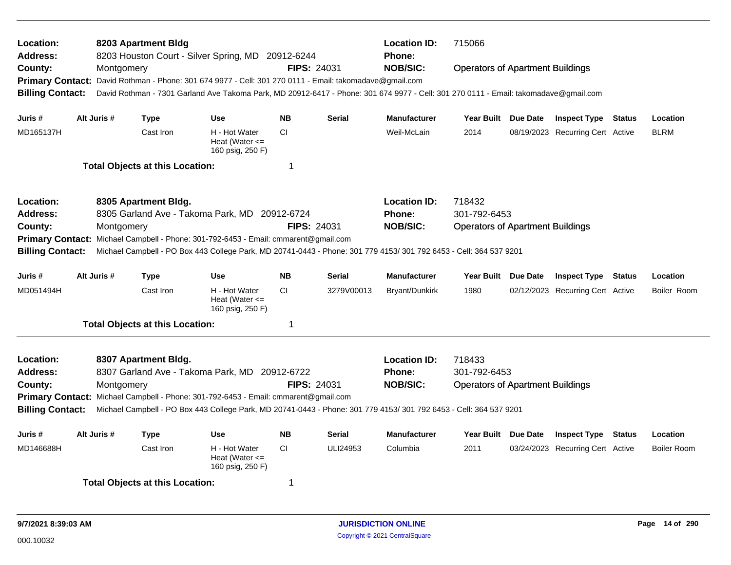| Location:<br>Address:                                                                                                                                                                                                                |  |             | 8203 Apartment Bldg                    | 8203 Houston Court - Silver Spring, MD 20912-6244                                      |                    |               | <b>Location ID:</b><br>Phone:<br><b>NOB/SIC:</b>                                                                                     | 715066                                  |                                  |                    |
|--------------------------------------------------------------------------------------------------------------------------------------------------------------------------------------------------------------------------------------|--|-------------|----------------------------------------|----------------------------------------------------------------------------------------|--------------------|---------------|--------------------------------------------------------------------------------------------------------------------------------------|-----------------------------------------|----------------------------------|--------------------|
| County:                                                                                                                                                                                                                              |  | Montgomery  |                                        |                                                                                        | <b>FIPS: 24031</b> |               |                                                                                                                                      | <b>Operators of Apartment Buildings</b> |                                  |                    |
| <b>Primary Contact:</b>                                                                                                                                                                                                              |  |             |                                        | David Rothman - Phone: 301 674 9977 - Cell: 301 270 0111 - Email: takomadave@gmail.com |                    |               |                                                                                                                                      |                                         |                                  |                    |
| <b>Billing Contact:</b>                                                                                                                                                                                                              |  |             |                                        |                                                                                        |                    |               | David Rothman - 7301 Garland Ave Takoma Park, MD 20912-6417 - Phone: 301 674 9977 - Cell: 301 270 0111 - Email: takomadave@gmail.com |                                         |                                  |                    |
| Juris #                                                                                                                                                                                                                              |  | Alt Juris # | <b>Type</b>                            | <b>Use</b>                                                                             | <b>NB</b>          | <b>Serial</b> | <b>Manufacturer</b>                                                                                                                  | Year Built Due Date                     | <b>Inspect Type Status</b>       | Location           |
| MD165137H                                                                                                                                                                                                                            |  |             | Cast Iron                              | H - Hot Water<br>Heat (Water $\leq$<br>160 psig, 250 F)                                | <b>CI</b>          |               | Weil-McLain                                                                                                                          | 2014                                    | 08/19/2023 Recurring Cert Active | <b>BLRM</b>        |
|                                                                                                                                                                                                                                      |  |             | <b>Total Objects at this Location:</b> |                                                                                        | 1                  |               |                                                                                                                                      |                                         |                                  |                    |
| Location:                                                                                                                                                                                                                            |  |             | 8305 Apartment Bldg.                   |                                                                                        |                    |               | <b>Location ID:</b>                                                                                                                  | 718432                                  |                                  |                    |
| Address:                                                                                                                                                                                                                             |  |             |                                        | 8305 Garland Ave - Takoma Park, MD 20912-6724                                          |                    |               | <b>Phone:</b>                                                                                                                        | 301-792-6453                            |                                  |                    |
| County:                                                                                                                                                                                                                              |  | Montgomery  |                                        |                                                                                        | <b>FIPS: 24031</b> |               | <b>NOB/SIC:</b>                                                                                                                      | <b>Operators of Apartment Buildings</b> |                                  |                    |
| <b>Primary Contact:</b>                                                                                                                                                                                                              |  |             |                                        | Michael Campbell - Phone: 301-792-6453 - Email: cmmarent@gmail.com                     |                    |               |                                                                                                                                      |                                         |                                  |                    |
| <b>Billing Contact:</b>                                                                                                                                                                                                              |  |             |                                        |                                                                                        |                    |               | Michael Campbell - PO Box 443 College Park, MD 20741-0443 - Phone: 301 779 4153/ 301 792 6453 - Cell: 364 537 9201                   |                                         |                                  |                    |
| Juris #                                                                                                                                                                                                                              |  | Alt Juris # | <b>Type</b>                            | <b>Use</b>                                                                             | <b>NB</b>          | <b>Serial</b> | <b>Manufacturer</b>                                                                                                                  | Year Built Due Date                     | <b>Inspect Type Status</b>       | Location           |
| MD051494H                                                                                                                                                                                                                            |  |             | Cast Iron                              | H - Hot Water<br>Heat (Water $\leq$<br>160 psig, 250 F)                                | <b>CI</b>          | 3279V00013    | Bryant/Dunkirk                                                                                                                       | 1980                                    | 02/12/2023 Recurring Cert Active | Boiler Room        |
|                                                                                                                                                                                                                                      |  |             | <b>Total Objects at this Location:</b> |                                                                                        | 1                  |               |                                                                                                                                      |                                         |                                  |                    |
| Location:                                                                                                                                                                                                                            |  |             | 8307 Apartment Bldg.                   |                                                                                        |                    |               | <b>Location ID:</b>                                                                                                                  | 718433                                  |                                  |                    |
| Address:                                                                                                                                                                                                                             |  |             |                                        | 8307 Garland Ave - Takoma Park, MD 20912-6722                                          |                    |               | <b>Phone:</b>                                                                                                                        | 301-792-6453                            |                                  |                    |
| County:                                                                                                                                                                                                                              |  | Montgomery  |                                        |                                                                                        | <b>FIPS: 24031</b> |               | <b>NOB/SIC:</b>                                                                                                                      | <b>Operators of Apartment Buildings</b> |                                  |                    |
|                                                                                                                                                                                                                                      |  |             |                                        |                                                                                        |                    |               |                                                                                                                                      |                                         |                                  |                    |
| Primary Contact: Michael Campbell - Phone: 301-792-6453 - Email: cmmarent@gmail.com<br><b>Billing Contact:</b><br>Michael Campbell - PO Box 443 College Park, MD 20741-0443 - Phone: 301 779 4153/ 301 792 6453 - Cell: 364 537 9201 |  |             |                                        |                                                                                        |                    |               |                                                                                                                                      |                                         |                                  |                    |
| Juris #                                                                                                                                                                                                                              |  | Alt Juris # | <b>Type</b>                            | <b>Use</b>                                                                             | <b>NB</b>          | Serial        | <b>Manufacturer</b>                                                                                                                  | Year Built Due Date                     | <b>Inspect Type Status</b>       | Location           |
| MD146688H                                                                                                                                                                                                                            |  |             | Cast Iron                              | H - Hot Water<br>Heat (Water $\leq$<br>160 psig, 250 F)                                | <b>CI</b>          | ULI24953      | Columbia                                                                                                                             | 2011                                    | 03/24/2023 Recurring Cert Active | <b>Boiler Room</b> |
|                                                                                                                                                                                                                                      |  |             | <b>Total Objects at this Location:</b> |                                                                                        | 1                  |               |                                                                                                                                      |                                         |                                  |                    |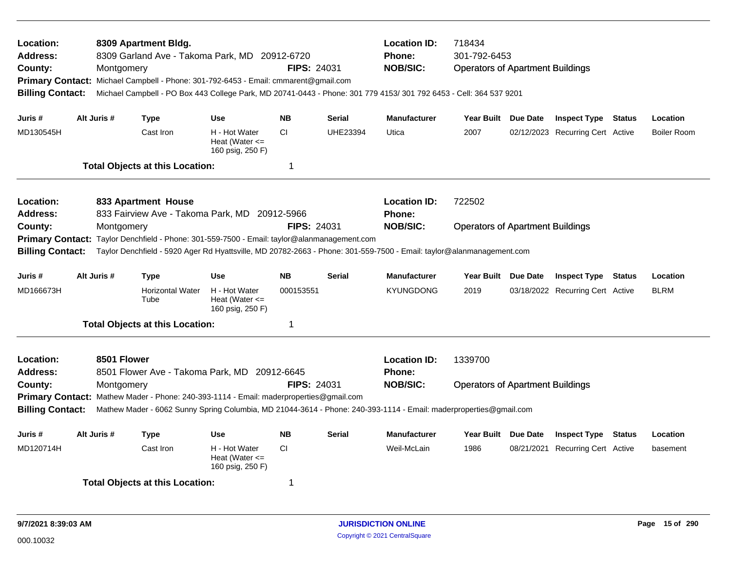| Location:<br><b>Address:</b><br>County:<br><b>Billing Contact:</b>                                                                                                                                                                                                                                      |  | Montgomery                | 8309 Apartment Bldg.<br>8309 Garland Ave - Takoma Park, MD 20912-6720<br>Primary Contact: Michael Campbell - Phone: 301-792-6453 - Email: cmmarent@gmail.com |                                                         | FIPS: 24031 |                 | <b>Location ID:</b><br>Phone:<br><b>NOB/SIC:</b><br>Michael Campbell - PO Box 443 College Park, MD 20741-0443 - Phone: 301 779 4153/ 301 792 6453 - Cell: 364 537 9201 | 718434<br>301-792-6453<br><b>Operators of Apartment Buildings</b> |                                  |        |                    |
|---------------------------------------------------------------------------------------------------------------------------------------------------------------------------------------------------------------------------------------------------------------------------------------------------------|--|---------------------------|--------------------------------------------------------------------------------------------------------------------------------------------------------------|---------------------------------------------------------|-------------|-----------------|------------------------------------------------------------------------------------------------------------------------------------------------------------------------|-------------------------------------------------------------------|----------------------------------|--------|--------------------|
| Juris #                                                                                                                                                                                                                                                                                                 |  | Alt Juris #               | <b>Type</b>                                                                                                                                                  | <b>Use</b>                                              | <b>NB</b>   | <b>Serial</b>   | <b>Manufacturer</b>                                                                                                                                                    | Year Built Due Date                                               | <b>Inspect Type Status</b>       |        | Location           |
| MD130545H                                                                                                                                                                                                                                                                                               |  |                           | Cast Iron                                                                                                                                                    | H - Hot Water<br>Heat (Water $\leq$<br>160 psig, 250 F) | CI.         | <b>UHE23394</b> | Utica                                                                                                                                                                  | 2007                                                              | 02/12/2023 Recurring Cert Active |        | <b>Boiler Room</b> |
|                                                                                                                                                                                                                                                                                                         |  |                           | <b>Total Objects at this Location:</b>                                                                                                                       |                                                         | $\mathbf 1$ |                 |                                                                                                                                                                        |                                                                   |                                  |        |                    |
| <b>Location:</b><br><b>Address:</b>                                                                                                                                                                                                                                                                     |  |                           | 833 Apartment House<br>833 Fairview Ave - Takoma Park, MD 20912-5966                                                                                         |                                                         |             |                 | <b>Location ID:</b><br><b>Phone:</b>                                                                                                                                   | 722502                                                            |                                  |        |                    |
| <b>FIPS: 24031</b><br>County:<br>Montgomery<br><b>Primary Contact:</b><br>Taylor Denchfield - Phone: 301-559-7500 - Email: taylor@alanmanagement.com<br><b>Billing Contact:</b><br>Taylor Denchfield - 5920 Ager Rd Hyattsville, MD 20782-2663 - Phone: 301-559-7500 - Email: taylor@alanmanagement.com |  |                           |                                                                                                                                                              |                                                         |             |                 | <b>NOB/SIC:</b>                                                                                                                                                        | <b>Operators of Apartment Buildings</b>                           |                                  |        |                    |
| Juris #                                                                                                                                                                                                                                                                                                 |  | Alt Juris #               | <b>Type</b>                                                                                                                                                  | <b>Use</b>                                              | <b>NB</b>   | <b>Serial</b>   | <b>Manufacturer</b>                                                                                                                                                    | Year Built Due Date                                               | <b>Inspect Type Status</b>       |        | Location           |
| MD166673H                                                                                                                                                                                                                                                                                               |  |                           | <b>Horizontal Water</b><br>Tube                                                                                                                              | H - Hot Water<br>Heat (Water $\leq$<br>160 psig, 250 F) | 000153551   |                 | <b>KYUNGDONG</b>                                                                                                                                                       | 2019                                                              | 03/18/2022 Recurring Cert Active |        | <b>BLRM</b>        |
|                                                                                                                                                                                                                                                                                                         |  |                           | <b>Total Objects at this Location:</b>                                                                                                                       |                                                         | -1          |                 |                                                                                                                                                                        |                                                                   |                                  |        |                    |
| Location:<br><b>Address:</b><br>County:<br><b>Billing Contact:</b>                                                                                                                                                                                                                                      |  | 8501 Flower<br>Montgomery | 8501 Flower Ave - Takoma Park, MD 20912-6645<br>Primary Contact: Mathew Mader - Phone: 240-393-1114 - Email: maderproperties@gmail.com                       |                                                         | FIPS: 24031 |                 | <b>Location ID:</b><br>Phone:<br><b>NOB/SIC:</b><br>Mathew Mader - 6062 Sunny Spring Columbia, MD 21044-3614 - Phone: 240-393-1114 - Email: maderproperties@gmail.com  | 1339700<br><b>Operators of Apartment Buildings</b>                |                                  |        |                    |
| Juris #                                                                                                                                                                                                                                                                                                 |  | Alt Juris #               | <b>Type</b>                                                                                                                                                  | <b>Use</b>                                              | <b>NB</b>   | <b>Serial</b>   | <b>Manufacturer</b>                                                                                                                                                    | Year Built Due Date                                               | <b>Inspect Type</b>              | Status | Location           |
| MD120714H                                                                                                                                                                                                                                                                                               |  |                           | Cast Iron                                                                                                                                                    | H - Hot Water<br>Heat (Water $\leq$<br>160 psig, 250 F) | CI.         |                 | Weil-McLain                                                                                                                                                            | 1986                                                              | 08/21/2021 Recurring Cert Active |        | basement           |
|                                                                                                                                                                                                                                                                                                         |  |                           | <b>Total Objects at this Location:</b>                                                                                                                       |                                                         | -1          |                 |                                                                                                                                                                        |                                                                   |                                  |        |                    |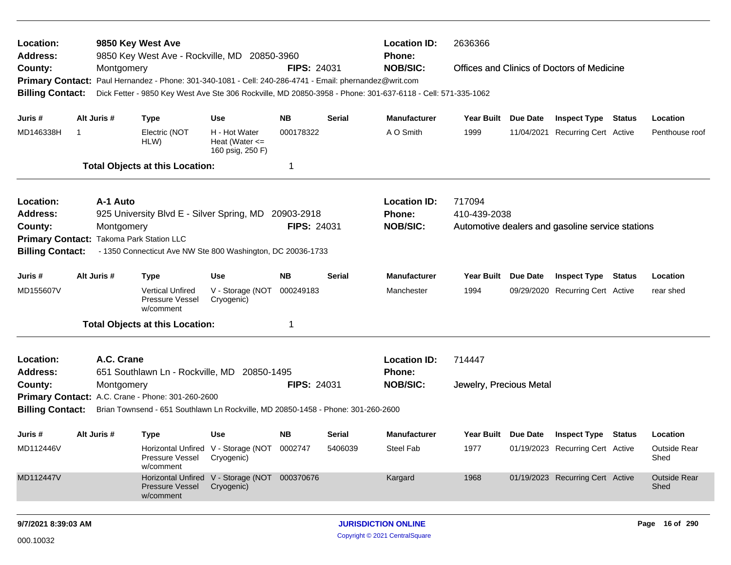| Location:<br><b>Address:</b>                                                                                                                                                                                                                                                                 |                                                                                        |             | 9850 Key West Ave<br>9850 Key West Ave - Rockville, MD 20850-3960                |                                                                                                                                                                               |                    |                    | <b>Location ID:</b><br>Phone:                                                                                                                                                                                                                                | 2636366                 |  |                                         |  |                             |  |
|----------------------------------------------------------------------------------------------------------------------------------------------------------------------------------------------------------------------------------------------------------------------------------------------|----------------------------------------------------------------------------------------|-------------|----------------------------------------------------------------------------------|-------------------------------------------------------------------------------------------------------------------------------------------------------------------------------|--------------------|--------------------|--------------------------------------------------------------------------------------------------------------------------------------------------------------------------------------------------------------------------------------------------------------|-------------------------|--|-----------------------------------------|--|-----------------------------|--|
| County:<br><b>Primary Contact:</b>                                                                                                                                                                                                                                                           |                                                                                        | Montgomery  |                                                                                  | <b>NOB/SIC:</b><br><b>FIPS: 24031</b><br>Offices and Clinics of Doctors of Medicine<br>Paul Hernandez - Phone: 301-340-1081 - Cell: 240-286-4741 - Email: phernandez@writ.com |                    |                    |                                                                                                                                                                                                                                                              |                         |  |                                         |  |                             |  |
| Dick Fetter - 9850 Key West Ave Ste 306 Rockville, MD 20850-3958 - Phone: 301-637-6118 - Cell: 571-335-1062<br><b>Billing Contact:</b><br>Alt Juris #<br>NΒ<br>Serial<br><b>Manufacturer</b><br>Juris #<br>Type<br>Use<br>MD146338H<br>H - Hot Water<br>A O Smith<br>1999<br>000178322<br>-1 |                                                                                        |             |                                                                                  |                                                                                                                                                                               |                    |                    |                                                                                                                                                                                                                                                              |                         |  |                                         |  |                             |  |
|                                                                                                                                                                                                                                                                                              |                                                                                        |             |                                                                                  |                                                                                                                                                                               |                    |                    |                                                                                                                                                                                                                                                              | Year Built Due Date     |  | <b>Inspect Type Status</b>              |  | Location                    |  |
|                                                                                                                                                                                                                                                                                              |                                                                                        |             | Electric (NOT<br>HLW)                                                            | Heat (Water $\leq$<br>160 psig, 250 F)                                                                                                                                        |                    |                    |                                                                                                                                                                                                                                                              |                         |  | 11/04/2021 Recurring Cert Active        |  | Penthouse roof              |  |
|                                                                                                                                                                                                                                                                                              |                                                                                        |             | <b>Total Objects at this Location:</b>                                           |                                                                                                                                                                               | 1                  |                    |                                                                                                                                                                                                                                                              |                         |  |                                         |  |                             |  |
| Location:                                                                                                                                                                                                                                                                                    |                                                                                        | A-1 Auto    |                                                                                  |                                                                                                                                                                               |                    |                    | <b>Location ID:</b>                                                                                                                                                                                                                                          | 717094                  |  |                                         |  |                             |  |
| Address:                                                                                                                                                                                                                                                                                     |                                                                                        |             | 925 University Blvd E - Silver Spring, MD 20903-2918                             |                                                                                                                                                                               |                    |                    | Phone:<br>410-439-2038<br><b>NOB/SIC:</b><br>Automotive dealers and gasoline service stations<br><b>Inspect Type Status</b><br><b>Manufacturer</b><br>Year Built Due Date<br>Location<br>1994<br>09/29/2020 Recurring Cert Active<br>Manchester<br>rear shed |                         |  |                                         |  |                             |  |
| County:<br>Montgomery<br>Primary Contact: Takoma Park Station LLC                                                                                                                                                                                                                            |                                                                                        |             |                                                                                  |                                                                                                                                                                               |                    | <b>FIPS: 24031</b> |                                                                                                                                                                                                                                                              |                         |  |                                         |  |                             |  |
|                                                                                                                                                                                                                                                                                              | <b>Billing Contact:</b><br>- 1350 Connecticut Ave NW Ste 800 Washington, DC 20036-1733 |             |                                                                                  |                                                                                                                                                                               |                    |                    |                                                                                                                                                                                                                                                              |                         |  |                                         |  |                             |  |
|                                                                                                                                                                                                                                                                                              |                                                                                        |             |                                                                                  |                                                                                                                                                                               |                    |                    |                                                                                                                                                                                                                                                              |                         |  |                                         |  |                             |  |
| Juris #                                                                                                                                                                                                                                                                                      |                                                                                        | Alt Juris # | <b>Type</b>                                                                      | <b>Use</b>                                                                                                                                                                    | <b>NB</b>          | <b>Serial</b>      |                                                                                                                                                                                                                                                              |                         |  |                                         |  |                             |  |
| MD155607V                                                                                                                                                                                                                                                                                    |                                                                                        |             | <b>Vertical Unfired</b><br>Pressure Vessel<br>w/comment                          | V - Storage (NOT<br>Cryogenic)                                                                                                                                                | 000249183          |                    |                                                                                                                                                                                                                                                              |                         |  |                                         |  |                             |  |
|                                                                                                                                                                                                                                                                                              |                                                                                        |             | <b>Total Objects at this Location:</b>                                           |                                                                                                                                                                               | 1                  |                    |                                                                                                                                                                                                                                                              |                         |  |                                         |  |                             |  |
| Location:                                                                                                                                                                                                                                                                                    |                                                                                        | A.C. Crane  |                                                                                  |                                                                                                                                                                               |                    |                    | <b>Location ID:</b>                                                                                                                                                                                                                                          | 714447                  |  |                                         |  |                             |  |
| <b>Address:</b>                                                                                                                                                                                                                                                                              |                                                                                        |             | 651 Southlawn Ln - Rockville, MD 20850-1495                                      |                                                                                                                                                                               |                    |                    | <b>Phone:</b>                                                                                                                                                                                                                                                |                         |  |                                         |  |                             |  |
| County:                                                                                                                                                                                                                                                                                      |                                                                                        | Montgomery  |                                                                                  |                                                                                                                                                                               | <b>FIPS: 24031</b> |                    | <b>NOB/SIC:</b>                                                                                                                                                                                                                                              | Jewelry, Precious Metal |  |                                         |  |                             |  |
|                                                                                                                                                                                                                                                                                              |                                                                                        |             | Primary Contact: A.C. Crane - Phone: 301-260-2600                                |                                                                                                                                                                               |                    |                    |                                                                                                                                                                                                                                                              |                         |  |                                         |  |                             |  |
| <b>Billing Contact:</b>                                                                                                                                                                                                                                                                      |                                                                                        |             | Brian Townsend - 651 Southlawn Ln Rockville, MD 20850-1458 - Phone: 301-260-2600 |                                                                                                                                                                               |                    |                    |                                                                                                                                                                                                                                                              |                         |  |                                         |  |                             |  |
| Juris #                                                                                                                                                                                                                                                                                      |                                                                                        | Alt Juris # | <b>Type</b>                                                                      | <b>Use</b>                                                                                                                                                                    | NΒ                 | Serial             | <b>Manufacturer</b>                                                                                                                                                                                                                                          |                         |  | Year Built Due Date Inspect Type Status |  | Location                    |  |
| MD112446V                                                                                                                                                                                                                                                                                    |                                                                                        |             | Pressure Vessel Cryogenic)<br>w/comment                                          | Horizontal Unfired V - Storage (NOT 0002747                                                                                                                                   |                    | 5406039            | Steel Fab                                                                                                                                                                                                                                                    | 1977                    |  | 01/19/2023 Recurring Cert Active        |  | <b>Outside Rear</b><br>Shed |  |
| MD112447V                                                                                                                                                                                                                                                                                    |                                                                                        |             | Pressure Vessel<br>w/comment                                                     | Horizontal Unfired V - Storage (NOT 000370676<br>Cryogenic)                                                                                                                   |                    |                    | Kargard                                                                                                                                                                                                                                                      | 1968                    |  | 01/19/2023 Recurring Cert Active        |  | <b>Outside Rear</b><br>Shed |  |
| 9/7/2021 8:39:03 AM                                                                                                                                                                                                                                                                          |                                                                                        |             |                                                                                  |                                                                                                                                                                               |                    |                    | <b>JURISDICTION ONLINE</b>                                                                                                                                                                                                                                   |                         |  |                                         |  | Page 16 of 290              |  |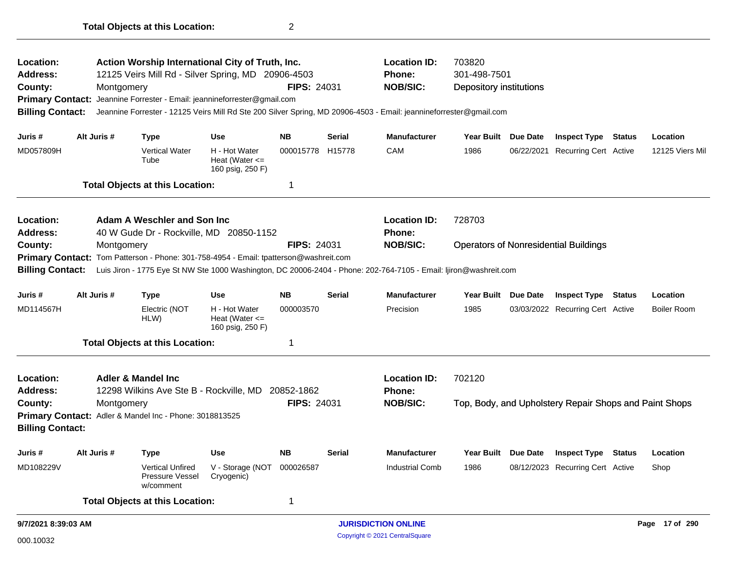| Action Worship International City of Truth, Inc.<br>Location:<br>Address:<br>12125 Veirs Mill Rd - Silver Spring, MD 20906-4503<br>County:<br>Montgomery<br>Jeannine Forrester - Email: jeannineforrester@gmail.com<br><b>Primary Contact:</b><br>Jeannine Forrester - 12125 Veirs Mill Rd Ste 200 Silver Spring, MD 20906-4503 - Email: jeannineforrester@gmail.com<br><b>Billing Contact:</b> |  |             |                                                                                      |                                                         | <b>FIPS: 24031</b> |               | <b>Location ID:</b><br>Phone:<br><b>NOB/SIC:</b> | 703820<br>301-498-7501<br>Depository institutions |                 |                                                        |               |                    |
|-------------------------------------------------------------------------------------------------------------------------------------------------------------------------------------------------------------------------------------------------------------------------------------------------------------------------------------------------------------------------------------------------|--|-------------|--------------------------------------------------------------------------------------|---------------------------------------------------------|--------------------|---------------|--------------------------------------------------|---------------------------------------------------|-----------------|--------------------------------------------------------|---------------|--------------------|
|                                                                                                                                                                                                                                                                                                                                                                                                 |  |             |                                                                                      |                                                         |                    |               |                                                  |                                                   |                 |                                                        |               |                    |
| Juris #                                                                                                                                                                                                                                                                                                                                                                                         |  | Alt Juris # | <b>Type</b>                                                                          | <b>Use</b>                                              | <b>NB</b>          | <b>Serial</b> | <b>Manufacturer</b>                              | Year Built Due Date                               |                 | <b>Inspect Type Status</b>                             |               | Location           |
| MD057809H                                                                                                                                                                                                                                                                                                                                                                                       |  |             | <b>Vertical Water</b><br>Tube                                                        | H - Hot Water<br>Heat (Water $\leq$<br>160 psig, 250 F) | 000015778 H15778   |               | CAM                                              | 1986                                              | 06/22/2021      | <b>Recurring Cert Active</b>                           |               | 12125 Viers Mil    |
|                                                                                                                                                                                                                                                                                                                                                                                                 |  |             | <b>Total Objects at this Location:</b>                                               |                                                         | $\mathbf 1$        |               |                                                  |                                                   |                 |                                                        |               |                    |
| Location:<br>Address:                                                                                                                                                                                                                                                                                                                                                                           |  |             | Adam A Weschler and Son Inc.<br>40 W Gude Dr - Rockville, MD 20850-1152              |                                                         |                    |               | <b>Location ID:</b><br><b>Phone:</b>             | 728703                                            |                 |                                                        |               |                    |
| County:                                                                                                                                                                                                                                                                                                                                                                                         |  | Montgomery  |                                                                                      |                                                         | <b>FIPS: 24031</b> |               | <b>NOB/SIC:</b>                                  |                                                   |                 | <b>Operators of Nonresidential Buildings</b>           |               |                    |
| Primary Contact: Tom Patterson - Phone: 301-758-4954 - Email: tpatterson@washreit.com<br>Luis Jiron - 1775 Eye St NW Ste 1000 Washington, DC 20006-2404 - Phone: 202-764-7105 - Email: ljiron@washreit.com<br><b>Billing Contact:</b>                                                                                                                                                           |  |             |                                                                                      |                                                         |                    |               |                                                  |                                                   |                 |                                                        |               |                    |
| Juris #                                                                                                                                                                                                                                                                                                                                                                                         |  | Alt Juris # | <b>Type</b>                                                                          | <b>Use</b>                                              | <b>NB</b>          | <b>Serial</b> | <b>Manufacturer</b>                              | Year Built                                        | <b>Due Date</b> | <b>Inspect Type Status</b>                             |               | Location           |
| MD114567H                                                                                                                                                                                                                                                                                                                                                                                       |  |             | Electric (NOT<br>HLW)                                                                | H - Hot Water<br>Heat (Water $\leq$<br>160 psig, 250 F) | 000003570          |               | Precision                                        | 1985                                              |                 | 03/03/2022 Recurring Cert Active                       |               | <b>Boiler Room</b> |
|                                                                                                                                                                                                                                                                                                                                                                                                 |  |             | <b>Total Objects at this Location:</b>                                               |                                                         | 1                  |               |                                                  |                                                   |                 |                                                        |               |                    |
| Location:<br><b>Address:</b>                                                                                                                                                                                                                                                                                                                                                                    |  |             | <b>Adler &amp; Mandel Inc.</b><br>12298 Wilkins Ave Ste B - Rockville, MD 20852-1862 |                                                         |                    |               | <b>Location ID:</b><br>Phone:                    | 702120                                            |                 |                                                        |               |                    |
| County:                                                                                                                                                                                                                                                                                                                                                                                         |  | Montgomery  |                                                                                      |                                                         | <b>FIPS: 24031</b> |               | <b>NOB/SIC:</b>                                  |                                                   |                 | Top, Body, and Upholstery Repair Shops and Paint Shops |               |                    |
| <b>Billing Contact:</b>                                                                                                                                                                                                                                                                                                                                                                         |  |             | Primary Contact: Adler & Mandel Inc - Phone: 3018813525                              |                                                         |                    |               |                                                  |                                                   |                 |                                                        |               |                    |
| Juris #                                                                                                                                                                                                                                                                                                                                                                                         |  | Alt Juris # | Type                                                                                 | <b>Use</b>                                              | <b>NB</b>          | <b>Serial</b> | <b>Manufacturer</b>                              | <b>Year Built</b>                                 | <b>Due Date</b> | <b>Inspect Type</b>                                    | <b>Status</b> | Location           |
| MD108229V                                                                                                                                                                                                                                                                                                                                                                                       |  |             | <b>Vertical Unfired</b><br>Pressure Vessel<br>w/comment                              | V - Storage (NOT<br>Cryogenic)                          | 000026587          |               | <b>Industrial Comb</b>                           | 1986                                              |                 | 08/12/2023 Recurring Cert Active                       |               | Shop               |
|                                                                                                                                                                                                                                                                                                                                                                                                 |  |             | <b>Total Objects at this Location:</b>                                               |                                                         | 1                  |               |                                                  |                                                   |                 |                                                        |               |                    |
| 9/7/2021 8:39:03 AM                                                                                                                                                                                                                                                                                                                                                                             |  |             |                                                                                      |                                                         |                    |               | <b>JURISDICTION ONLINE</b>                       |                                                   |                 |                                                        |               | Page 17 of 290     |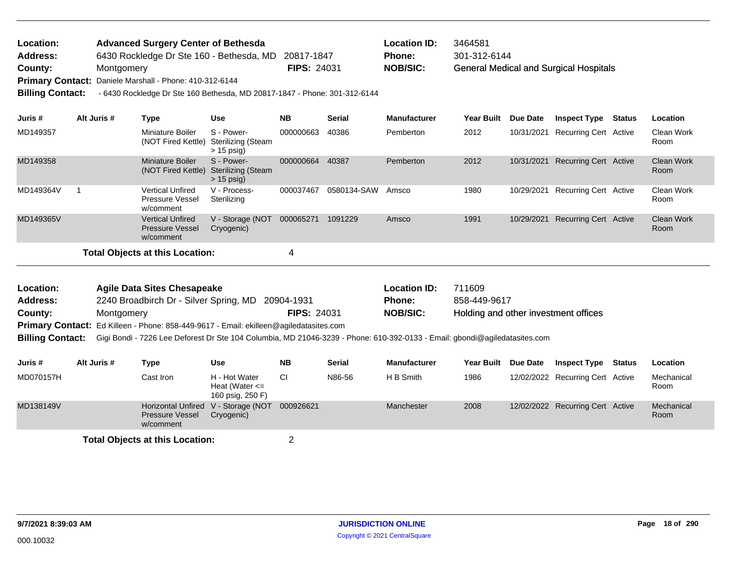| Location:               |             |            | <b>Advanced Surgery Center of Bethesda</b>                                |                                                         |                    |               | Location ID:        | 3464581           |            |                                               |               |                           |
|-------------------------|-------------|------------|---------------------------------------------------------------------------|---------------------------------------------------------|--------------------|---------------|---------------------|-------------------|------------|-----------------------------------------------|---------------|---------------------------|
| <b>Address:</b>         |             |            | 6430 Rockledge Dr Ste 160 - Bethesda, MD                                  |                                                         | 20817-1847         |               | <b>Phone:</b>       | 301-312-6144      |            |                                               |               |                           |
| County:                 |             | Montgomery |                                                                           |                                                         | <b>FIPS: 24031</b> |               | <b>NOB/SIC:</b>     |                   |            | <b>General Medical and Surgical Hospitals</b> |               |                           |
| <b>Primary Contact:</b> |             |            | Daniele Marshall - Phone: 410-312-6144                                    |                                                         |                    |               |                     |                   |            |                                               |               |                           |
| <b>Billing Contact:</b> |             |            | - 6430 Rockledge Dr Ste 160 Bethesda, MD 20817-1847 - Phone: 301-312-6144 |                                                         |                    |               |                     |                   |            |                                               |               |                           |
|                         |             |            |                                                                           |                                                         |                    |               |                     |                   |            |                                               |               |                           |
| Juris #                 | Alt Juris # |            | Type                                                                      | <b>Use</b>                                              | <b>NB</b>          | <b>Serial</b> | <b>Manufacturer</b> | <b>Year Built</b> | Due Date   | <b>Inspect Type</b>                           | <b>Status</b> | Location                  |
| MD149357                |             |            | Miniature Boiler<br>(NOT Fired Kettle)                                    | S - Power-<br>Sterilizing (Steam<br>$> 15$ psig)        | 000000663          | 40386         | Pemberton           | 2012              | 10/31/2021 | Recurring Cert Active                         |               | Clean Work<br>Room        |
| MD149358                |             |            | Miniature Boiler<br>(NOT Fired Kettle)                                    | S - Power-<br><b>Sterilizing (Steam</b><br>$> 15$ psig) | 000000664          | 40387         | Pemberton           | 2012              | 10/31/2021 | Recurring Cert Active                         |               | <b>Clean Work</b><br>Room |
| MD149364V               |             |            | <b>Vertical Unfired</b><br><b>Pressure Vessel</b><br>w/comment            | V - Process-<br>Sterilizing                             | 000037467          | 0580134-SAW   | Amsco               | 1980              | 10/29/2021 | Recurring Cert Active                         |               | <b>Clean Work</b><br>Room |
| MD149365V               |             |            | <b>Vertical Unfired</b><br><b>Pressure Vessel</b><br>w/comment            | V - Storage (NOT<br>Cryogenic)                          | 000065271          | 1091229       | Amsco               | 1991              | 10/29/2021 | <b>Recurring Cert Active</b>                  |               | <b>Clean Work</b><br>Room |

Holding and other investment offices 2240 Broadbirch Dr - Silver Spring, MD 20904-1931 **County:** Montgomery **NOB/SIC: PIPS:** 24031 **NOB/SIC:** Primary Contact: Ed Killeen - Phone: 858-449-9617 - Email: ekilleen@agiledatasites.com **Agile Data Sites Chesapeake Location ID:** 711609 **Address: Location: FIPS:** 24031 **Phone:** 858-449-9617

**Billing Contact:** Gigi Bondi - 7226 Lee Deforest Dr Ste 104 Columbia, MD 21046-3239 - Phone: 610-392-0133 - Email: gbondi@agiledatasites.com

| Juris #   | Alt Juris # | Type                                | Use                                                     | <b>NB</b> | <b>Serial</b> | <b>Manufacturer</b> |      | Year Built Due Date Inspect Type | Status | Location           |
|-----------|-------------|-------------------------------------|---------------------------------------------------------|-----------|---------------|---------------------|------|----------------------------------|--------|--------------------|
| MD070157H |             | Cast Iron                           | H - Hot Water<br>Heat (Water $\leq$<br>160 psig, 250 F) | СI        | N86-56        | H B Smith           | 1986 | 12/02/2022 Recurring Cert Active |        | Mechanical<br>Room |
| MD138149V |             | <b>Pressure Vessel</b><br>w/comment | Horizontal Unfired V - Storage (NOT<br>Cryogenic)       | 000926621 |               | Manchester          | 2008 | 12/02/2022 Recurring Cert Active |        | Mechanical<br>Room |
|           |             |                                     |                                                         |           |               |                     |      |                                  |        |                    |

**Total Objects at this Location:** 2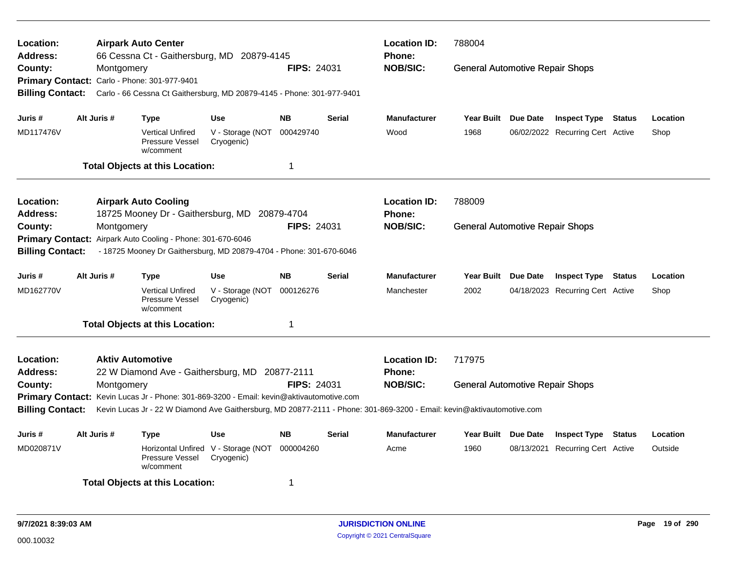| Location:<br><b>Address:</b>                                                                                                                                                                                                                  |             |                         | <b>Airpark Auto Center</b><br>66 Cessna Ct - Gaithersburg, MD 20879-4145 |                                                   |                    |               | <b>Location ID:</b><br><b>Phone:</b> | 788004                                 |          |                                  |  |          |
|-----------------------------------------------------------------------------------------------------------------------------------------------------------------------------------------------------------------------------------------------|-------------|-------------------------|--------------------------------------------------------------------------|---------------------------------------------------|--------------------|---------------|--------------------------------------|----------------------------------------|----------|----------------------------------|--|----------|
| County:                                                                                                                                                                                                                                       |             | Montgomery              |                                                                          |                                                   | <b>FIPS: 24031</b> |               | <b>NOB/SIC:</b>                      | <b>General Automotive Repair Shops</b> |          |                                  |  |          |
|                                                                                                                                                                                                                                               |             |                         | Primary Contact: Carlo - Phone: 301-977-9401                             |                                                   |                    |               |                                      |                                        |          |                                  |  |          |
| <b>Billing Contact:</b>                                                                                                                                                                                                                       |             |                         | Carlo - 66 Cessna Ct Gaithersburg, MD 20879-4145 - Phone: 301-977-9401   |                                                   |                    |               |                                      |                                        |          |                                  |  |          |
| Juris #                                                                                                                                                                                                                                       | Alt Juris # |                         | <b>Type</b>                                                              | <b>Use</b>                                        | <b>NB</b>          | Serial        | <b>Manufacturer</b>                  | Year Built Due Date                    |          | <b>Inspect Type Status</b>       |  | Location |
| MD117476V                                                                                                                                                                                                                                     |             |                         | <b>Vertical Unfired</b><br>Pressure Vessel<br>w/comment                  | V - Storage (NOT<br>Cryogenic)                    | 000429740          |               | Wood                                 | 1968                                   |          | 06/02/2022 Recurring Cert Active |  | Shop     |
|                                                                                                                                                                                                                                               |             |                         | <b>Total Objects at this Location:</b>                                   |                                                   | $\mathbf 1$        |               |                                      |                                        |          |                                  |  |          |
| <b>Location:</b>                                                                                                                                                                                                                              |             |                         | <b>Airpark Auto Cooling</b>                                              |                                                   |                    |               | <b>Location ID:</b>                  | 788009                                 |          |                                  |  |          |
| Address:                                                                                                                                                                                                                                      |             |                         | 18725 Mooney Dr - Gaithersburg, MD 20879-4704                            |                                                   |                    |               | Phone:                               |                                        |          |                                  |  |          |
| County:                                                                                                                                                                                                                                       |             | Montgomery              |                                                                          |                                                   | <b>FIPS: 24031</b> |               | <b>NOB/SIC:</b>                      | <b>General Automotive Repair Shops</b> |          |                                  |  |          |
|                                                                                                                                                                                                                                               |             |                         |                                                                          |                                                   |                    |               |                                      |                                        |          |                                  |  |          |
| Primary Contact: Airpark Auto Cooling - Phone: 301-670-6046<br>- 18725 Mooney Dr Gaithersburg, MD 20879-4704 - Phone: 301-670-6046<br><b>Billing Contact:</b>                                                                                 |             |                         |                                                                          |                                                   |                    |               |                                      |                                        |          |                                  |  |          |
| Juris #                                                                                                                                                                                                                                       | Alt Juris # |                         | Type                                                                     | <b>Use</b>                                        | <b>NB</b>          | Serial        | <b>Manufacturer</b>                  | Year Built Due Date                    |          | <b>Inspect Type Status</b>       |  | Location |
| MD162770V                                                                                                                                                                                                                                     |             |                         | <b>Vertical Unfired</b><br>Pressure Vessel<br>w/comment                  | V - Storage (NOT<br>Cryogenic)                    | 000126276          |               | Manchester                           | 2002                                   |          | 04/18/2023 Recurring Cert Active |  | Shop     |
|                                                                                                                                                                                                                                               |             |                         | <b>Total Objects at this Location:</b>                                   |                                                   | $\mathbf 1$        |               |                                      |                                        |          |                                  |  |          |
| Location:                                                                                                                                                                                                                                     |             | <b>Aktiv Automotive</b> |                                                                          |                                                   |                    |               | <b>Location ID:</b>                  | 717975                                 |          |                                  |  |          |
| <b>Address:</b>                                                                                                                                                                                                                               |             |                         | 22 W Diamond Ave - Gaithersburg, MD                                      |                                                   | 20877-2111         |               | <b>Phone:</b>                        |                                        |          |                                  |  |          |
| County:                                                                                                                                                                                                                                       |             | Montgomery              |                                                                          |                                                   | FIPS: 24031        |               | <b>NOB/SIC:</b>                      | <b>General Automotive Repair Shops</b> |          |                                  |  |          |
|                                                                                                                                                                                                                                               |             |                         |                                                                          |                                                   |                    |               |                                      |                                        |          |                                  |  |          |
| Primary Contact: Kevin Lucas Jr - Phone: 301-869-3200 - Email: kevin@aktivautomotive.com<br><b>Billing Contact:</b><br>Kevin Lucas Jr - 22 W Diamond Ave Gaithersburg, MD 20877-2111 - Phone: 301-869-3200 - Email: kevin@aktivautomotive.com |             |                         |                                                                          |                                                   |                    |               |                                      |                                        |          |                                  |  |          |
| Juris #                                                                                                                                                                                                                                       | Alt Juris # |                         | <b>Type</b>                                                              | <b>Use</b>                                        | <b>NB</b>          | <b>Serial</b> | <b>Manufacturer</b>                  | <b>Year Built</b>                      | Due Date | <b>Inspect Type Status</b>       |  | Location |
| MD020871V                                                                                                                                                                                                                                     |             |                         | <b>Pressure Vessel</b><br>w/comment                                      | Horizontal Unfired V - Storage (NOT<br>Cryogenic) | 000004260          |               | Acme                                 | 1960                                   |          | 08/13/2021 Recurring Cert Active |  | Outside  |
| <b>Total Objects at this Location:</b><br>-1                                                                                                                                                                                                  |             |                         |                                                                          |                                                   |                    |               |                                      |                                        |          |                                  |  |          |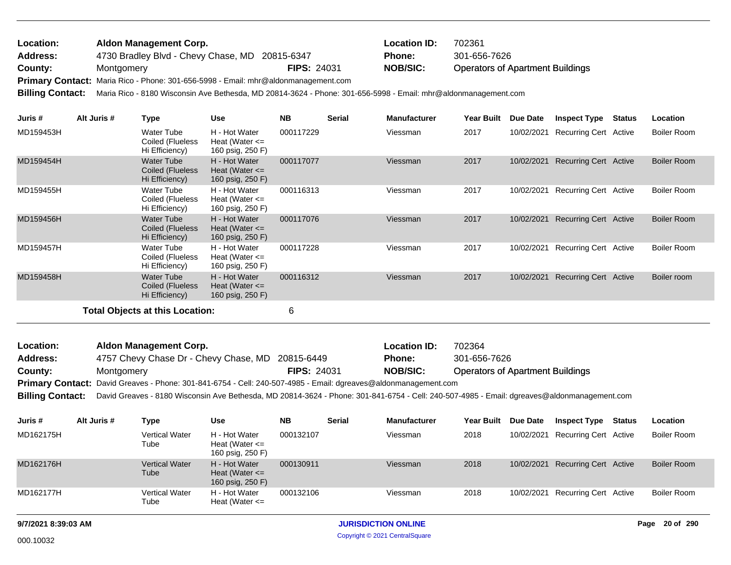| Location: | Aldon Management Corp.                                                             |                    | <b>Location ID:</b> | 702361                                  |
|-----------|------------------------------------------------------------------------------------|--------------------|---------------------|-----------------------------------------|
| Address:  | 4730 Bradley Blvd - Chevy Chase, MD 20815-6347                                     |                    | <b>Phone:</b>       | 301-656-7626                            |
| County:   | Montgomery                                                                         | <b>FIPS: 24031</b> | <b>NOB/SIC:</b>     | <b>Operators of Apartment Buildings</b> |
|           | Primary Contact: Maria Rico - Phone: 301-656-5998 - Email: mhr@aldonmanagement.com |                    |                     |                                         |

**Billing Contact:** Maria Rico - 8180 Wisconsin Ave Bethesda, MD 20814-3624 - Phone: 301-656-5998 - Email: mhr@aldonmanagement.com

| Juris #   | Alt Juris # | Type                                                    | <b>Use</b>                                              | <b>NB</b> | <b>Serial</b> | <b>Manufacturer</b> | <b>Year Built</b> | Due Date   | <b>Inspect Type</b>          | Status | Location           |
|-----------|-------------|---------------------------------------------------------|---------------------------------------------------------|-----------|---------------|---------------------|-------------------|------------|------------------------------|--------|--------------------|
| MD159453H |             | Water Tube<br>Coiled (Flueless<br>Hi Efficiency)        | H - Hot Water<br>Heat (Water $\leq$<br>160 psig, 250 F) | 000117229 |               | Viessman            | 2017              | 10/02/2021 | <b>Recurring Cert Active</b> |        | Boiler Room        |
| MD159454H |             | <b>Water Tube</b><br>Coiled (Flueless<br>Hi Efficiency) | H - Hot Water<br>Heat (Water $\leq$<br>160 psig, 250 F) | 000117077 |               | Viessman            | 2017              | 10/02/2021 | <b>Recurring Cert Active</b> |        | <b>Boiler Room</b> |
| MD159455H |             | Water Tube<br>Coiled (Flueless<br>Hi Efficiency)        | H - Hot Water<br>Heat (Water $\leq$<br>160 psig, 250 F) | 000116313 |               | Viessman            | 2017              | 10/02/2021 | <b>Recurring Cert Active</b> |        | Boiler Room        |
| MD159456H |             | <b>Water Tube</b><br>Coiled (Flueless<br>Hi Efficiency) | H - Hot Water<br>Heat (Water $\leq$<br>160 psig, 250 F) | 000117076 |               | Viessman            | 2017              | 10/02/2021 | <b>Recurring Cert Active</b> |        | <b>Boiler Room</b> |
| MD159457H |             | Water Tube<br>Coiled (Flueless<br>Hi Efficiency)        | H - Hot Water<br>Heat (Water $\leq$<br>160 psig, 250 F) | 000117228 |               | Viessman            | 2017              | 10/02/2021 | Recurring Cert Active        |        | Boiler Room        |
| MD159458H |             | <b>Water Tube</b><br>Coiled (Flueless<br>Hi Efficiency) | H - Hot Water<br>Heat (Water $\leq$<br>160 psig, 250 F) | 000116312 |               | Viessman            | 2017              | 10/02/2021 | Recurring Cert Active        |        | Boiler room        |
|           |             | Total Objects at this Location:                         |                                                         | 6         |               |                     |                   |            |                              |        |                    |

Operators of Apartment Buildings 4757 Chevy Chase Dr - Chevy Chase, MD 20815-6449 **County:** Montgomery **NOB/SIC: PIPS:** 24031 **NOB/SIC:** Primary Contact: David Greaves - Phone: 301-841-6754 - Cell: 240-507-4985 - Email: dgreaves@aldonmanagement.com **Billing Contact:** David Greaves - 8180 Wisconsin Ave Bethesda, MD 20814-3624 - Phone: 301-841-6754 - Cell: 240-507-4985 - Email: dgreaves@aldonmanagement.com **Aldon Management Corp. Location ID:** 702364 **Address: Location: FIPS:** 24031 **Phone:** 301-656-7626

| Juris #   | Alt Juris # | Type                          | Use                                                     | <b>NB</b> | <b>Serial</b> | <b>Manufacturer</b> | <b>Year Built</b> | <b>Due Date</b> | <b>Inspect Type</b>   | Status | Location           |
|-----------|-------------|-------------------------------|---------------------------------------------------------|-----------|---------------|---------------------|-------------------|-----------------|-----------------------|--------|--------------------|
| MD162175H |             | <b>Vertical Water</b><br>Tube | H - Hot Water<br>Heat (Water $\leq$<br>160 psig, 250 F) | 000132107 |               | Viessman            | 2018              | 10/02/2021      | Recurring Cert Active |        | Boiler Room        |
| MD162176H |             | Vertical Water<br>Tube        | H - Hot Water<br>Heat (Water $\leq$<br>160 psig, 250 F) | 000130911 |               | Viessman            | 2018              | 10/02/2021      | Recurring Cert Active |        | Boiler Room        |
| MD162177H |             | <b>Vertical Water</b><br>Tube | H - Hot Water<br>Heat (Water $\leq$                     | 000132106 |               | Viessman            | 2018              | 10/02/2021      | Recurring Cert Active |        | <b>Boiler Room</b> |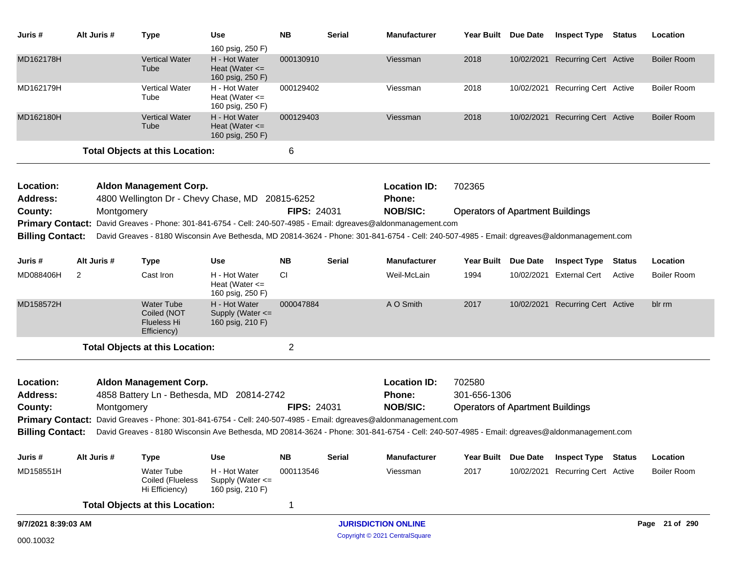| Juris #                      | Alt Juris # | <b>Type</b>                                                                      | Use                                                                         | <b>NB</b>          | <b>Serial</b> | <b>Manufacturer</b>                                                                                                                         | Year Built Due Date                     |                 | <b>Inspect Type Status</b>       |               | Location           |
|------------------------------|-------------|----------------------------------------------------------------------------------|-----------------------------------------------------------------------------|--------------------|---------------|---------------------------------------------------------------------------------------------------------------------------------------------|-----------------------------------------|-----------------|----------------------------------|---------------|--------------------|
| MD162178H                    |             | <b>Vertical Water</b><br>Tube                                                    | 160 psig, 250 F)<br>H - Hot Water<br>Heat (Water $\leq$<br>160 psig, 250 F) | 000130910          |               | Viessman                                                                                                                                    | 2018                                    |                 | 10/02/2021 Recurring Cert Active |               | <b>Boiler Room</b> |
| MD162179H                    |             | Vertical Water<br>Tube                                                           | H - Hot Water<br>Heat (Water $\leq$<br>160 psig, 250 F)                     | 000129402          |               | Viessman                                                                                                                                    | 2018                                    |                 | 10/02/2021 Recurring Cert Active |               | <b>Boiler Room</b> |
| MD162180H                    |             | <b>Vertical Water</b><br>Tube                                                    | H - Hot Water<br>Heat (Water $\leq$<br>160 psig, 250 F)                     | 000129403          |               | Viessman                                                                                                                                    | 2018                                    |                 | 10/02/2021 Recurring Cert Active |               | <b>Boiler Room</b> |
|                              |             | <b>Total Objects at this Location:</b>                                           |                                                                             | 6                  |               |                                                                                                                                             |                                         |                 |                                  |               |                    |
| Location:<br>Address:        |             | <b>Aldon Management Corp.</b><br>4800 Wellington Dr - Chevy Chase, MD 20815-6252 |                                                                             |                    |               | <b>Location ID:</b><br><b>Phone:</b>                                                                                                        | 702365                                  |                 |                                  |               |                    |
| County:                      | Montgomery  |                                                                                  |                                                                             | <b>FIPS: 24031</b> |               | <b>NOB/SIC:</b>                                                                                                                             | <b>Operators of Apartment Buildings</b> |                 |                                  |               |                    |
| <b>Primary Contact:</b>      |             |                                                                                  |                                                                             |                    |               | David Greaves - Phone: 301-841-6754 - Cell: 240-507-4985 - Email: dgreaves@aldonmanagement.com                                              |                                         |                 |                                  |               |                    |
| <b>Billing Contact:</b>      |             |                                                                                  |                                                                             |                    |               | David Greaves - 8180 Wisconsin Ave Bethesda, MD 20814-3624 - Phone: 301-841-6754 - Cell: 240-507-4985 - Email: dgreaves@aldonmanagement.com |                                         |                 |                                  |               |                    |
| Juris #                      | Alt Juris # | <b>Type</b>                                                                      | <b>Use</b>                                                                  | <b>NB</b>          | <b>Serial</b> | <b>Manufacturer</b>                                                                                                                         | <b>Year Built</b>                       | <b>Due Date</b> | <b>Inspect Type</b>              | <b>Status</b> | Location           |
| MD088406H                    | 2           | Cast Iron                                                                        | H - Hot Water<br>Heat (Water $\leq$<br>160 psig, 250 F)                     | <b>CI</b>          |               | Weil-McLain                                                                                                                                 | 1994                                    |                 | 10/02/2021 External Cert         | Active        | <b>Boiler Room</b> |
| MD158572H                    |             | <b>Water Tube</b><br>Coiled (NOT<br><b>Flueless Hi</b><br>Efficiency)            | H - Hot Water<br>Supply (Water <=<br>160 psig, 210 F)                       | 000047884          |               | A O Smith                                                                                                                                   | 2017                                    |                 | 10/02/2021 Recurring Cert Active |               | blr rm             |
|                              |             | <b>Total Objects at this Location:</b>                                           |                                                                             | 2                  |               |                                                                                                                                             |                                         |                 |                                  |               |                    |
| Location:<br><b>Address:</b> |             | <b>Aldon Management Corp.</b><br>4858 Battery Ln - Bethesda, MD 20814-2742       |                                                                             |                    |               | <b>Location ID:</b><br>Phone:                                                                                                               | 702580<br>301-656-1306                  |                 |                                  |               |                    |
| County:                      | Montgomery  |                                                                                  |                                                                             | <b>FIPS: 24031</b> |               | <b>NOB/SIC:</b>                                                                                                                             | <b>Operators of Apartment Buildings</b> |                 |                                  |               |                    |
|                              |             |                                                                                  |                                                                             |                    |               | Primary Contact: David Greaves - Phone: 301-841-6754 - Cell: 240-507-4985 - Email: dgreaves@aldonmanagement.com                             |                                         |                 |                                  |               |                    |
| <b>Billing Contact:</b>      |             |                                                                                  |                                                                             |                    |               | David Greaves - 8180 Wisconsin Ave Bethesda, MD 20814-3624 - Phone: 301-841-6754 - Cell: 240-507-4985 - Email: dgreaves@aldonmanagement.com |                                         |                 |                                  |               |                    |
| Juris #                      | Alt Juris # | <b>Type</b>                                                                      | <b>Use</b>                                                                  | <b>NB</b>          | <b>Serial</b> | <b>Manufacturer</b>                                                                                                                         | <b>Year Built</b>                       | <b>Due Date</b> | <b>Inspect Type</b>              | <b>Status</b> | Location           |
| MD158551H                    |             | Water Tube<br>Coiled (Flueless<br>Hi Efficiency)                                 | H - Hot Water<br>Supply (Water <=<br>160 psig, 210 F)                       | 000113546          |               | Viessman                                                                                                                                    | 2017                                    |                 | 10/02/2021 Recurring Cert Active |               | <b>Boiler Room</b> |
|                              |             | <b>Total Objects at this Location:</b>                                           |                                                                             | 1                  |               |                                                                                                                                             |                                         |                 |                                  |               |                    |
| 9/7/2021 8:39:03 AM          |             |                                                                                  |                                                                             |                    |               | <b>JURISDICTION ONLINE</b>                                                                                                                  |                                         |                 |                                  |               | Page 21 of 290     |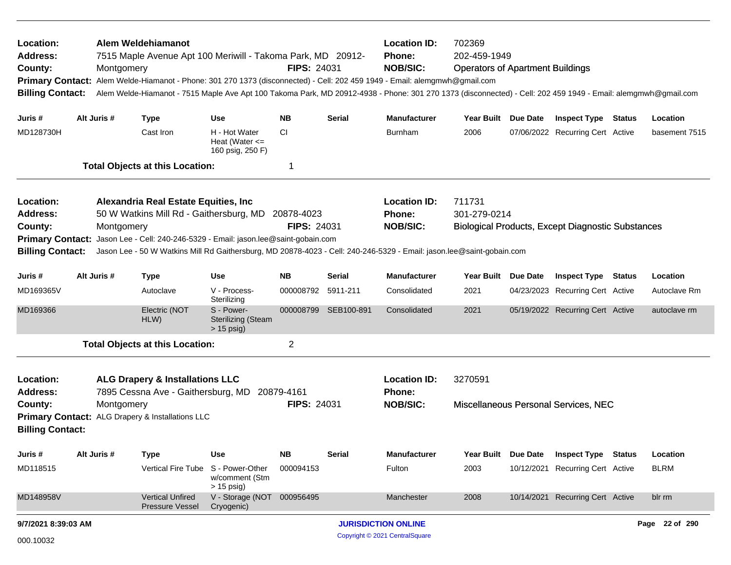| Location:<br>Alem Weldehiamanot<br><b>Address:</b><br>7515 Maple Avenue Apt 100 Meriwill - Takoma Park, MD 20912-<br>County:<br>Montgomery<br>Alem Welde-Hiamanot - Phone: 301 270 1373 (disconnected) - Cell: 202 459 1949 - Email: alemgmwh@gmail.com<br><b>Primary Contact:</b><br><b>Billing Contact:</b><br>Alt Juris # |             |             |                                                                                                                                                        |                                                         | <b>FIPS: 24031</b>               |                      | <b>Location ID:</b><br>702369<br>202-459-1949<br><b>Phone:</b><br><b>NOB/SIC:</b><br><b>Operators of Apartment Buildings</b><br>Alem Welde-Hiamanot - 7515 Maple Ave Apt 100 Takoma Park, MD 20912-4938 - Phone: 301 270 1373 (disconnected) - Cell: 202 459 1949 - Email: alemgmwh@gmail.com |                        |                 |                                                          |        |                |
|------------------------------------------------------------------------------------------------------------------------------------------------------------------------------------------------------------------------------------------------------------------------------------------------------------------------------|-------------|-------------|--------------------------------------------------------------------------------------------------------------------------------------------------------|---------------------------------------------------------|----------------------------------|----------------------|-----------------------------------------------------------------------------------------------------------------------------------------------------------------------------------------------------------------------------------------------------------------------------------------------|------------------------|-----------------|----------------------------------------------------------|--------|----------------|
| Juris #                                                                                                                                                                                                                                                                                                                      |             |             | <b>Type</b>                                                                                                                                            | <b>Use</b>                                              | <b>NB</b>                        | <b>Serial</b>        | <b>Manufacturer</b>                                                                                                                                                                                                                                                                           | Year Built Due Date    |                 | <b>Inspect Type Status</b>                               |        | Location       |
| MD128730H                                                                                                                                                                                                                                                                                                                    |             |             | Cast Iron                                                                                                                                              | H - Hot Water<br>Heat (Water $\leq$<br>160 psig, 250 F) | CI                               |                      | <b>Burnham</b>                                                                                                                                                                                                                                                                                | 2006                   |                 | 07/06/2022 Recurring Cert Active                         |        | basement 7515  |
|                                                                                                                                                                                                                                                                                                                              |             |             | <b>Total Objects at this Location:</b>                                                                                                                 |                                                         | -1                               |                      |                                                                                                                                                                                                                                                                                               |                        |                 |                                                          |        |                |
| Location:<br><b>Address:</b><br>County:<br><b>Primary Contact:</b><br><b>Billing Contact:</b>                                                                                                                                                                                                                                |             | Montgomery  | Alexandria Real Estate Equities, Inc.<br>50 W Watkins Mill Rd - Gaithersburg, MD<br>Jason Lee - Cell: 240-246-5329 - Email: jason.lee@saint-gobain.com |                                                         | 20878-4023<br><b>FIPS: 24031</b> |                      | <b>Location ID:</b><br>Phone:<br><b>NOB/SIC:</b><br>Jason Lee - 50 W Watkins Mill Rd Gaithersburg, MD 20878-4023 - Cell: 240-246-5329 - Email: jason.lee@saint-gobain.com                                                                                                                     | 711731<br>301-279-0214 |                 | <b>Biological Products, Except Diagnostic Substances</b> |        |                |
| Juris#                                                                                                                                                                                                                                                                                                                       |             | Alt Juris # | <b>Type</b>                                                                                                                                            | <b>Use</b>                                              | <b>NB</b>                        | <b>Serial</b>        | <b>Manufacturer</b>                                                                                                                                                                                                                                                                           | <b>Year Built</b>      | <b>Due Date</b> | <b>Inspect Type Status</b>                               |        | Location       |
| MD169365V                                                                                                                                                                                                                                                                                                                    |             |             | Autoclave                                                                                                                                              | V - Process-<br>Sterilizing                             | 000008792                        | 5911-211             | Consolidated                                                                                                                                                                                                                                                                                  | 2021                   |                 | 04/23/2023 Recurring Cert Active                         |        | Autoclave Rm   |
| MD169366                                                                                                                                                                                                                                                                                                                     |             |             | Electric (NOT<br>HLW)                                                                                                                                  | S - Power-<br><b>Sterilizing (Steam</b><br>$> 15$ psig) |                                  | 000008799 SEB100-891 | Consolidated                                                                                                                                                                                                                                                                                  | 2021                   |                 | 05/19/2022 Recurring Cert Active                         |        | autoclave rm   |
|                                                                                                                                                                                                                                                                                                                              |             |             | <b>Total Objects at this Location:</b>                                                                                                                 |                                                         | $\overline{2}$                   |                      |                                                                                                                                                                                                                                                                                               |                        |                 |                                                          |        |                |
| Location:<br><b>Address:</b><br>County:<br><b>Primary Contact:</b><br><b>Billing Contact:</b>                                                                                                                                                                                                                                |             | Montgomery  | <b>ALG Drapery &amp; Installations LLC</b><br>7895 Cessna Ave - Gaithersburg, MD 20879-4161<br>ALG Drapery & Installations LLC                         |                                                         | <b>FIPS: 24031</b>               |                      | <b>Location ID:</b><br><b>Phone:</b><br><b>NOB/SIC:</b>                                                                                                                                                                                                                                       | 3270591                |                 | Miscellaneous Personal Services, NEC                     |        |                |
| Juris #                                                                                                                                                                                                                                                                                                                      | Alt Juris # |             | <b>Type</b>                                                                                                                                            | <b>Use</b>                                              | <b>NB</b>                        | <b>Serial</b>        | <b>Manufacturer</b>                                                                                                                                                                                                                                                                           | <b>Year Built</b>      | Due Date        | <b>Inspect Type</b>                                      | Status | Location       |
| MD118515                                                                                                                                                                                                                                                                                                                     |             |             | <b>Vertical Fire Tube</b>                                                                                                                              | S - Power-Other<br>w/comment (Stm<br>$> 15$ psig)       | 000094153                        |                      | Fulton                                                                                                                                                                                                                                                                                        | 2003                   |                 | 10/12/2021 Recurring Cert Active                         |        | <b>BLRM</b>    |
| MD148958V                                                                                                                                                                                                                                                                                                                    |             |             | <b>Vertical Unfired</b><br><b>Pressure Vessel</b>                                                                                                      | V - Storage (NOT<br>Cryogenic)                          | 000956495                        |                      | Manchester                                                                                                                                                                                                                                                                                    | 2008                   |                 | 10/14/2021 Recurring Cert Active                         |        | blr rm         |
| 9/7/2021 8:39:03 AM                                                                                                                                                                                                                                                                                                          |             |             |                                                                                                                                                        |                                                         |                                  |                      | <b>JURISDICTION ONLINE</b>                                                                                                                                                                                                                                                                    |                        |                 |                                                          |        | Page 22 of 290 |
| 000.10032                                                                                                                                                                                                                                                                                                                    |             |             |                                                                                                                                                        |                                                         |                                  |                      | Copyright © 2021 CentralSquare                                                                                                                                                                                                                                                                |                        |                 |                                                          |        |                |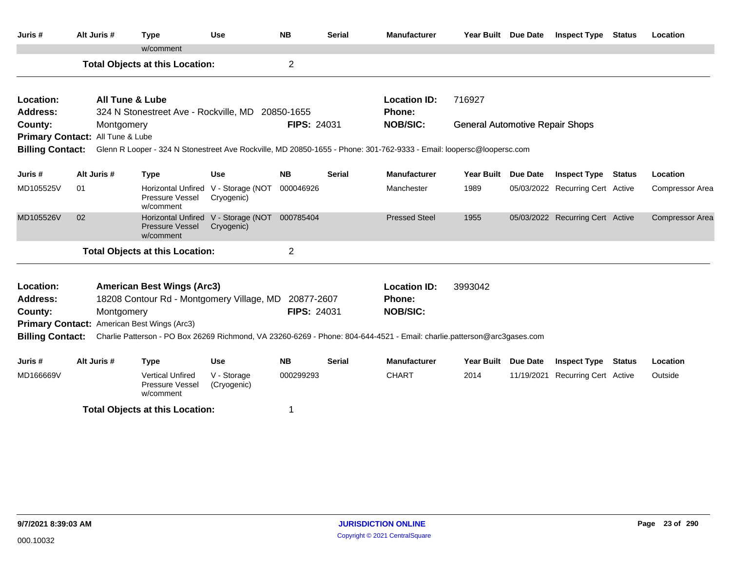| Juris #                          | Alt Juris #                      | <b>Type</b>                                                                                                             | <b>Use</b>                                        | <b>NB</b>          | <b>Serial</b> | <b>Manufacturer</b>           | Year Built Due Date                    |                 | <b>Inspect Type</b>              | <b>Status</b> | Location               |
|----------------------------------|----------------------------------|-------------------------------------------------------------------------------------------------------------------------|---------------------------------------------------|--------------------|---------------|-------------------------------|----------------------------------------|-----------------|----------------------------------|---------------|------------------------|
|                                  |                                  | w/comment                                                                                                               |                                                   |                    |               |                               |                                        |                 |                                  |               |                        |
|                                  |                                  | <b>Total Objects at this Location:</b>                                                                                  |                                                   | $\overline{2}$     |               |                               |                                        |                 |                                  |               |                        |
| Location:<br><b>Address:</b>     |                                  | <b>All Tune &amp; Lube</b><br>324 N Stonestreet Ave - Rockville, MD 20850-1655                                          |                                                   |                    |               | <b>Location ID:</b><br>Phone: | 716927                                 |                 |                                  |               |                        |
| County:                          | <b>FIPS: 24031</b><br>Montgomery |                                                                                                                         |                                                   |                    |               | <b>NOB/SIC:</b>               | <b>General Automotive Repair Shops</b> |                 |                                  |               |                        |
| Primary Contact: All Tune & Lube |                                  |                                                                                                                         |                                                   |                    |               |                               |                                        |                 |                                  |               |                        |
| <b>Billing Contact:</b>          |                                  | Glenn R Looper - 324 N Stonestreet Ave Rockville, MD 20850-1655 - Phone: 301-762-9333 - Email: loopersc@loopersc.com    |                                                   |                    |               |                               |                                        |                 |                                  |               |                        |
|                                  |                                  |                                                                                                                         |                                                   |                    |               |                               |                                        |                 |                                  |               |                        |
| Juris #                          | Alt Juris #                      | Type                                                                                                                    | <b>Use</b>                                        | <b>NB</b>          | <b>Serial</b> | <b>Manufacturer</b>           | <b>Year Built</b>                      | <b>Due Date</b> | <b>Inspect Type Status</b>       |               | Location               |
| MD105525V                        | 01                               | Pressure Vessel<br>w/comment                                                                                            | Horizontal Unfired V - Storage (NOT<br>Cryogenic) | 000046926          |               | Manchester                    | 1989                                   |                 | 05/03/2022 Recurring Cert Active |               | <b>Compressor Area</b> |
| MD105526V                        | 02                               | Pressure Vessel<br>w/comment                                                                                            | Horizontal Unfired V - Storage (NOT<br>Cryogenic) | 000785404          |               | <b>Pressed Steel</b>          | 1955                                   |                 | 05/03/2022 Recurring Cert Active |               | Compressor Area        |
|                                  |                                  | <b>Total Objects at this Location:</b>                                                                                  |                                                   | $\overline{2}$     |               |                               |                                        |                 |                                  |               |                        |
| Location:                        |                                  | <b>American Best Wings (Arc3)</b>                                                                                       |                                                   |                    |               | <b>Location ID:</b>           | 3993042                                |                 |                                  |               |                        |
| <b>Address:</b>                  |                                  | 18208 Contour Rd - Montgomery Village, MD 20877-2607                                                                    |                                                   |                    |               | Phone:                        |                                        |                 |                                  |               |                        |
| County:                          |                                  | Montgomery                                                                                                              |                                                   | <b>FIPS: 24031</b> |               | <b>NOB/SIC:</b>               |                                        |                 |                                  |               |                        |
|                                  |                                  | Primary Contact: American Best Wings (Arc3)                                                                             |                                                   |                    |               |                               |                                        |                 |                                  |               |                        |
| <b>Billing Contact:</b>          |                                  | Charlie Patterson - PO Box 26269 Richmond, VA 23260-6269 - Phone: 804-644-4521 - Email: charlie.patterson@arc3gases.com |                                                   |                    |               |                               |                                        |                 |                                  |               |                        |
| Juris #                          | Alt Juris #                      | <b>Type</b>                                                                                                             | <b>Use</b>                                        | <b>NB</b>          | Serial        | <b>Manufacturer</b>           | <b>Year Built</b>                      | <b>Due Date</b> | <b>Inspect Type</b>              | <b>Status</b> | Location               |
| MD166669V                        |                                  | <b>Vertical Unfired</b><br>Pressure Vessel<br>w/comment                                                                 | V - Storage<br>(Cryogenic)                        | 000299293          |               | <b>CHART</b>                  | 2014                                   |                 | 11/19/2021 Recurring Cert Active |               | Outside                |
|                                  |                                  | <b>Total Objects at this Location:</b>                                                                                  |                                                   | 1                  |               |                               |                                        |                 |                                  |               |                        |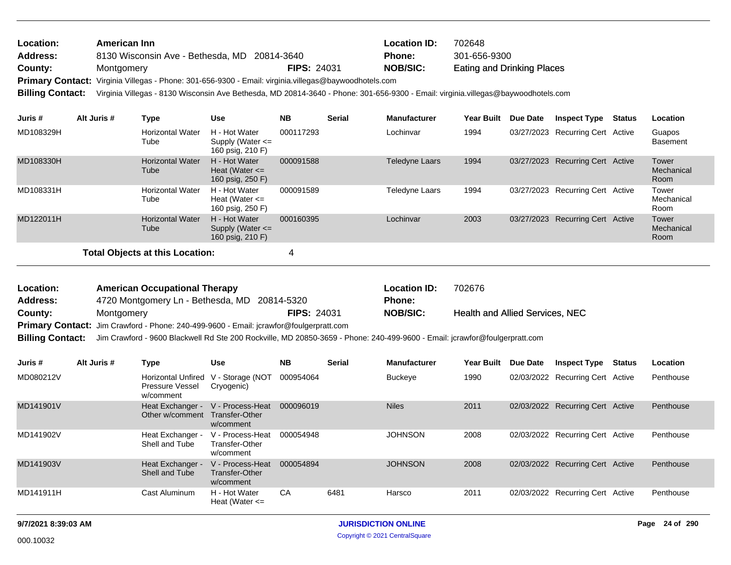| <b>Location:</b>        | American Inn                                                                                                                      |                    | <b>Location ID:</b> | 702648                            |
|-------------------------|-----------------------------------------------------------------------------------------------------------------------------------|--------------------|---------------------|-----------------------------------|
| <b>Address:</b>         | 8130 Wisconsin Ave - Bethesda, MD 20814-3640                                                                                      |                    | <b>Phone:</b>       | 301-656-9300                      |
| County:                 | Montgomery                                                                                                                        | <b>FIPS: 24031</b> | <b>NOB/SIC:</b>     | <b>Eating and Drinking Places</b> |
|                         | Primary Contact: Virginia Villegas - Phone: 301-656-9300 - Email: virginia.villegas@baywoodhotels.com                             |                    |                     |                                   |
| <b>Billing Contact:</b> | Virginia Villegas - 8130 Wisconsin Ave Bethesda, MD 20814-3640 - Phone: 301-656-9300 - Email: virginia.villegas@baywoodhotels.com |                    |                     |                                   |

| Juris #   | Alt Juris # | Type                                   | <b>Use</b>                                                | <b>NB</b> | <b>Serial</b> | <b>Manufacturer</b>   | <b>Year Built</b> | <b>Due Date</b> | <b>Inspect Type</b>              | Status | Location                    |
|-----------|-------------|----------------------------------------|-----------------------------------------------------------|-----------|---------------|-----------------------|-------------------|-----------------|----------------------------------|--------|-----------------------------|
| MD108329H |             | <b>Horizontal Water</b><br>Tube        | H - Hot Water<br>Supply (Water $\leq$<br>160 psig, 210 F) | 000117293 |               | Lochinvar             | 1994              |                 | 03/27/2023 Recurring Cert Active |        | Guapos<br><b>Basement</b>   |
| MD108330H |             | <b>Horizontal Water</b><br>Tube        | H - Hot Water<br>Heat (Water $\leq$<br>160 psig, 250 F)   | 000091588 |               | <b>Teledyne Laars</b> | 1994              |                 | 03/27/2023 Recurring Cert Active |        | Tower<br>Mechanical<br>Room |
| MD108331H |             | <b>Horizontal Water</b><br>Tube        | H - Hot Water<br>Heat (Water $\leq$<br>160 psig, 250 F)   | 000091589 |               | Teledyne Laars        | 1994              |                 | 03/27/2023 Recurring Cert Active |        | Tower<br>Mechanical<br>Room |
| MD122011H |             | <b>Horizontal Water</b><br>Tube        | H - Hot Water<br>Supply (Water $\leq$<br>160 psig, 210 F) | 000160395 |               | Lochinvar             | 2003              |                 | 03/27/2023 Recurring Cert Active |        | Tower<br>Mechanical<br>Room |
|           |             | <b>Total Objects at this Location:</b> |                                                           | 4         |               |                       |                   |                 |                                  |        |                             |

Health and Allied Services, NEC 4720 Montgomery Ln - Bethesda, MD 20814-5320 **County:** Montgomery **NOB/SIC: NOB/SIC: NOB/SIC:** Primary Contact: Jim Crawford - Phone: 240-499-9600 - Email: jcrawfor@foulgerpratt.com **American Occupational Therapy Location ID:** 702676 **Address: Location: FIPS:** 24031 **Phone:**

**Billing Contact:** Jim Crawford - 9600 Blackwell Rd Ste 200 Rockville, MD 20850-3659 - Phone: 240-499-9600 - Email: jcrawfor@foulgerpratt.com

| Juris #   | Alt Juris # | Type                                               | <b>Use</b>                                      | <b>NB</b> | <b>Serial</b> | <b>Manufacturer</b> | <b>Year Built</b> | Due Date | <b>Inspect Type</b>              | Status | <b>Location</b> |
|-----------|-------------|----------------------------------------------------|-------------------------------------------------|-----------|---------------|---------------------|-------------------|----------|----------------------------------|--------|-----------------|
| MD080212V |             | Horizontal Unfired<br>Pressure Vessel<br>w/comment | V - Storage (NOT<br>Cryogenic)                  | 000954064 |               | Buckeye             | 1990              |          | 02/03/2022 Recurring Cert Active |        | Penthouse       |
| MD141901V |             | Heat Exchanger -<br>Other w/comment                | V - Process-Heat<br>Transfer-Other<br>w/comment | 000096019 |               | <b>Niles</b>        | 2011              |          | 02/03/2022 Recurring Cert Active |        | Penthouse       |
| MD141902V |             | Heat Exchanger -<br>Shell and Tube                 | V - Process-Heat<br>Transfer-Other<br>w/comment | 000054948 |               | <b>JOHNSON</b>      | 2008              |          | 02/03/2022 Recurring Cert Active |        | Penthouse       |
| MD141903V |             | Heat Exchanger -<br>Shell and Tube                 | V - Process-Heat<br>Transfer-Other<br>w/comment | 000054894 |               | <b>JOHNSON</b>      | 2008              |          | 02/03/2022 Recurring Cert Active |        | Penthouse       |
| MD141911H |             | Cast Aluminum                                      | H - Hot Water<br>Heat (Water $\leq$             | CA        | 6481          | Harsco              | 2011              |          | 02/03/2022 Recurring Cert Active |        | Penthouse       |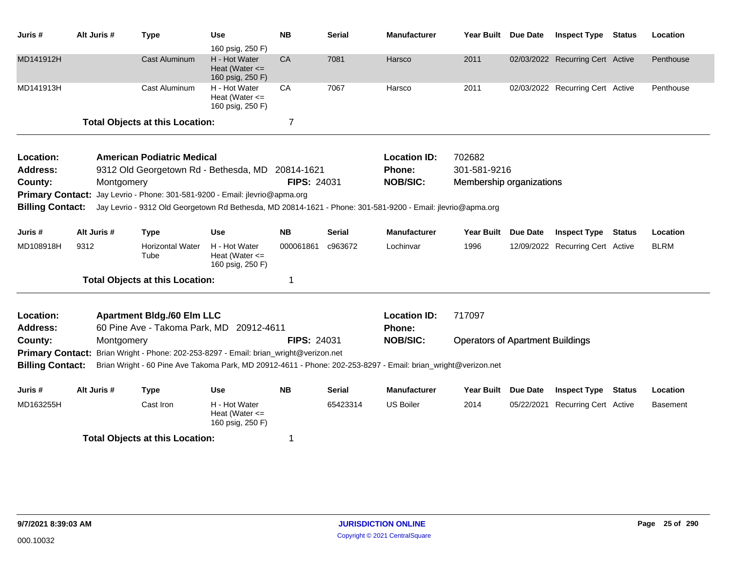| Juris #                 |      | Alt Juris # | <b>Type</b>                                                                                                   | <b>Use</b><br>160 psig, 250 F)                          | <b>NB</b>          | <b>Serial</b> | <b>Manufacturer</b> | Year Built Due Date                     |                 | <b>Inspect Type Status</b>       |               | Location    |
|-------------------------|------|-------------|---------------------------------------------------------------------------------------------------------------|---------------------------------------------------------|--------------------|---------------|---------------------|-----------------------------------------|-----------------|----------------------------------|---------------|-------------|
| MD141912H               |      |             | <b>Cast Aluminum</b>                                                                                          | H - Hot Water<br>Heat (Water $\leq$<br>160 psig, 250 F) | CA                 | 7081          | Harsco              | 2011                                    |                 | 02/03/2022 Recurring Cert Active |               | Penthouse   |
| MD141913H               |      |             | Cast Aluminum                                                                                                 | H - Hot Water<br>Heat (Water $\leq$<br>160 psig, 250 F) | CA                 | 7067          | Harsco              | 2011                                    |                 | 02/03/2022 Recurring Cert Active |               | Penthouse   |
|                         |      |             | <b>Total Objects at this Location:</b>                                                                        |                                                         | $\overline{7}$     |               |                     |                                         |                 |                                  |               |             |
| Location:               |      |             | <b>American Podiatric Medical</b>                                                                             |                                                         |                    |               | <b>Location ID:</b> | 702682                                  |                 |                                  |               |             |
| <b>Address:</b>         |      |             | 9312 Old Georgetown Rd - Bethesda, MD                                                                         |                                                         | 20814-1621         |               | Phone:              | 301-581-9216                            |                 |                                  |               |             |
| County:                 |      | Montgomery  |                                                                                                               |                                                         | <b>FIPS: 24031</b> |               | <b>NOB/SIC:</b>     | Membership organizations                |                 |                                  |               |             |
| <b>Primary Contact:</b> |      |             | Jay Levrio - Phone: 301-581-9200 - Email: jlevrio@apma.org                                                    |                                                         |                    |               |                     |                                         |                 |                                  |               |             |
| <b>Billing Contact:</b> |      |             | Jay Levrio - 9312 Old Georgetown Rd Bethesda, MD 20814-1621 - Phone: 301-581-9200 - Email: jlevrio@apma.org   |                                                         |                    |               |                     |                                         |                 |                                  |               |             |
| Juris #                 |      | Alt Juris # | <b>Type</b>                                                                                                   | <b>Use</b>                                              | <b>NB</b>          | <b>Serial</b> | <b>Manufacturer</b> | <b>Year Built</b>                       | <b>Due Date</b> | <b>Inspect Type</b>              | <b>Status</b> | Location    |
| MD108918H               | 9312 |             | <b>Horizontal Water</b><br>Tube                                                                               | H - Hot Water<br>Heat (Water $\leq$<br>160 psig, 250 F) | 000061861          | c963672       | Lochinvar           | 1996                                    |                 | 12/09/2022 Recurring Cert Active |               | <b>BLRM</b> |
|                         |      |             | <b>Total Objects at this Location:</b>                                                                        |                                                         | 1                  |               |                     |                                         |                 |                                  |               |             |
| Location:               |      |             | <b>Apartment Bldg./60 Elm LLC</b>                                                                             |                                                         |                    |               | <b>Location ID:</b> | 717097                                  |                 |                                  |               |             |
| <b>Address:</b>         |      |             | 60 Pine Ave - Takoma Park, MD 20912-4611                                                                      |                                                         |                    |               | Phone:              |                                         |                 |                                  |               |             |
| County:                 |      | Montgomery  |                                                                                                               |                                                         | <b>FIPS: 24031</b> |               | <b>NOB/SIC:</b>     | <b>Operators of Apartment Buildings</b> |                 |                                  |               |             |
| <b>Primary Contact:</b> |      |             | Brian Wright - Phone: 202-253-8297 - Email: brian_wright@verizon.net                                          |                                                         |                    |               |                     |                                         |                 |                                  |               |             |
| <b>Billing Contact:</b> |      |             | Brian Wright - 60 Pine Ave Takoma Park, MD 20912-4611 - Phone: 202-253-8297 - Email: brian_wright@verizon.net |                                                         |                    |               |                     |                                         |                 |                                  |               |             |
| Juris #                 |      | Alt Juris # | <b>Type</b>                                                                                                   | <b>Use</b>                                              | <b>NB</b>          | <b>Serial</b> | <b>Manufacturer</b> | <b>Year Built</b>                       | <b>Due Date</b> | <b>Inspect Type Status</b>       |               | Location    |
| MD163255H               |      |             | Cast Iron                                                                                                     | H - Hot Water<br>Heat (Water $\leq$<br>160 psig, 250 F) |                    | 65423314      | <b>US Boiler</b>    | 2014                                    | 05/22/2021      | Recurring Cert Active            |               | Basement    |
|                         |      |             | <b>Total Objects at this Location:</b>                                                                        |                                                         | 1                  |               |                     |                                         |                 |                                  |               |             |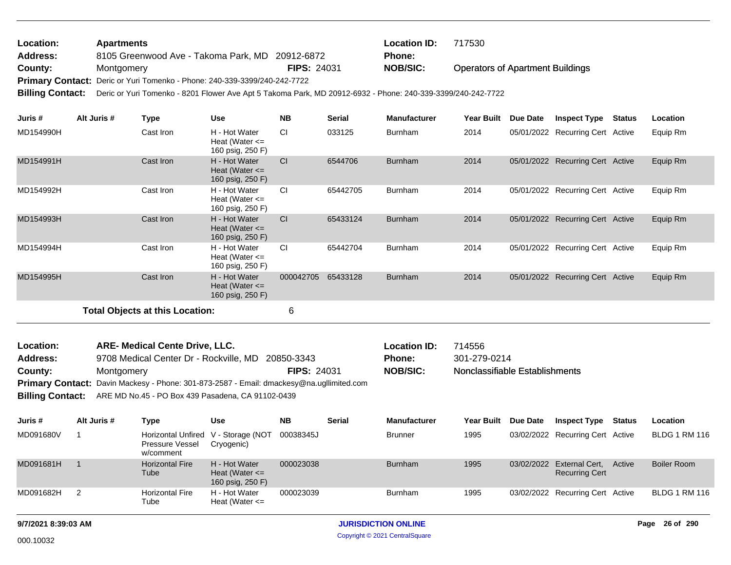| Location:               | <b>Apartments</b>                                                                                           |                    | <b>Location ID:</b> | 717530                                  |  |  |  |  |  |  |
|-------------------------|-------------------------------------------------------------------------------------------------------------|--------------------|---------------------|-----------------------------------------|--|--|--|--|--|--|
| Address:                | 8105 Greenwood Ave - Takoma Park, MD 20912-6872                                                             |                    | <b>Phone:</b>       |                                         |  |  |  |  |  |  |
| County:                 | Montgomery                                                                                                  | <b>FIPS: 24031</b> | NOB/SIC:            | <b>Operators of Apartment Buildings</b> |  |  |  |  |  |  |
|                         | Primary Contact: Deric or Yuri Tomenko - Phone: 240-339-3399/240-242-7722                                   |                    |                     |                                         |  |  |  |  |  |  |
| <b>Billing Contact:</b> | Deric or Yuri Tomenko - 8201 Flower Ave Apt 5 Takoma Park, MD 20912-6932 - Phone: 240-339-3399/240-242-7722 |                    |                     |                                         |  |  |  |  |  |  |

| Juris #   | Alt Juris # | Type                                   | <b>Use</b>                                              | <b>NB</b> | <b>Serial</b> | <b>Manufacturer</b> | <b>Year Built</b> | Due Date   | <b>Inspect Type</b>              | <b>Status</b> | Location |
|-----------|-------------|----------------------------------------|---------------------------------------------------------|-----------|---------------|---------------------|-------------------|------------|----------------------------------|---------------|----------|
| MD154990H |             | Cast Iron                              | H - Hot Water<br>Heat (Water $\leq$<br>160 psig, 250 F) | <b>CI</b> | 033125        | <b>Burnham</b>      | 2014              |            | 05/01/2022 Recurring Cert Active |               | Equip Rm |
| MD154991H |             | Cast Iron                              | H - Hot Water<br>Heat (Water $\leq$<br>160 psig, 250 F) | <b>CI</b> | 6544706       | <b>Burnham</b>      | 2014              | 05/01/2022 | Recurring Cert Active            |               | Equip Rm |
| MD154992H |             | Cast Iron                              | H - Hot Water<br>Heat (Water $\leq$<br>160 psig, 250 F) | <b>CI</b> | 65442705      | <b>Burnham</b>      | 2014              |            | 05/01/2022 Recurring Cert Active |               | Equip Rm |
| MD154993H |             | Cast Iron                              | H - Hot Water<br>Heat (Water $\leq$<br>160 psig, 250 F) | <b>CI</b> | 65433124      | <b>Burnham</b>      | 2014              |            | 05/01/2022 Recurring Cert Active |               | Equip Rm |
| MD154994H |             | Cast Iron                              | H - Hot Water<br>Heat (Water $\leq$<br>160 psig, 250 F) | <b>CI</b> | 65442704      | <b>Burnham</b>      | 2014              |            | 05/01/2022 Recurring Cert Active |               | Equip Rm |
| MD154995H |             | Cast Iron                              | H - Hot Water<br>Heat (Water $\leq$<br>160 psig, 250 F) | 000042705 | 65433128      | <b>Burnham</b>      | 2014              | 05/01/2022 | <b>Recurring Cert Active</b>     |               | Equip Rm |
|           |             | <b>Total Objects at this Location:</b> |                                                         | 6         |               |                     |                   |            |                                  |               |          |

| <b>Location:</b> | <b>ARE- Medical Cente Drive, LLC.</b>                                                    |                    | <b>Location ID:</b> | 714556                         |
|------------------|------------------------------------------------------------------------------------------|--------------------|---------------------|--------------------------------|
| <b>Address:</b>  | 9708 Medical Center Dr - Rockville, MD 20850-3343                                        |                    | <b>Phone:</b>       | 301-279-0214                   |
| County:          | Montgomery                                                                               | <b>FIPS: 24031</b> | <b>NOB/SIC:</b>     | Nonclassifiable Establishments |
|                  | Primary Contact: Davin Mackesy - Phone: 301-873-2587 - Email: dmackesy@na.ugllimited.com |                    |                     |                                |
|                  | <b>Billing Contact:</b> ARE MD No.45 - PO Box 439 Pasadena, CA 91102-0439                |                    |                     |                                |

| Juris #   | Alt Juris # | Type                           | Use                                                         | <b>NB</b> | <b>Serial</b> | <b>Manufacturer</b> | <b>Year Built</b> | <b>Due Date</b> | <b>Inspect Type</b>                                       | Status | <b>Location</b>      |
|-----------|-------------|--------------------------------|-------------------------------------------------------------|-----------|---------------|---------------------|-------------------|-----------------|-----------------------------------------------------------|--------|----------------------|
| MD091680V |             | Pressure Vessel<br>w/comment   | Horizontal Unfired V - Storage (NOT 00038345J<br>Cryogenic) |           |               | <b>Brunner</b>      | 1995              |                 | 03/02/2022 Recurring Cert Active                          |        | <b>BLDG 1 RM 116</b> |
| MD091681H |             | <b>Horizontal Fire</b><br>Tube | H - Hot Water<br>Heat (Water $\leq$<br>160 psig, 250 F)     | 000023038 |               | <b>Burnham</b>      | 1995              |                 | 03/02/2022 External Cert, Active<br><b>Recurring Cert</b> |        | Boiler Room          |
| MD091682H |             | <b>Horizontal Fire</b><br>Tube | H - Hot Water<br>Heat (Water $\leq$                         | 000023039 |               | <b>Burnham</b>      | 1995              |                 | 03/02/2022 Recurring Cert Active                          |        | <b>BLDG 1 RM 116</b> |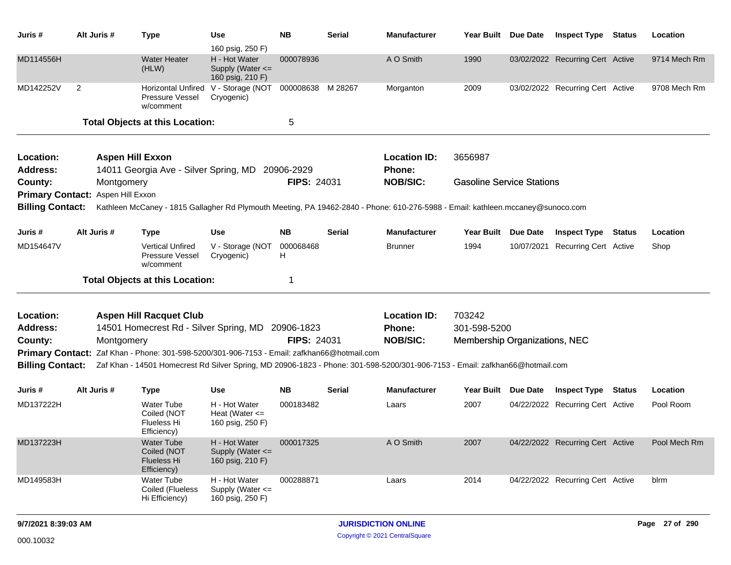| Juris #                                                       | Alt Juris #                    | <b>Type</b>                                                                                                                                                                                                                 | Use                                                                       | <b>NB</b>          | <b>Serial</b> | <b>Manufacturer</b>                  | Year Built Due Date              |            | <b>Inspect Type Status</b>       | Location     |
|---------------------------------------------------------------|--------------------------------|-----------------------------------------------------------------------------------------------------------------------------------------------------------------------------------------------------------------------------|---------------------------------------------------------------------------|--------------------|---------------|--------------------------------------|----------------------------------|------------|----------------------------------|--------------|
| MD114556H                                                     |                                | <b>Water Heater</b><br>(HLW)                                                                                                                                                                                                | 160 psig, 250 F)<br>H - Hot Water<br>Supply (Water <=<br>160 psig, 210 F) | 000078936          |               | A O Smith                            | 1990                             |            | 03/02/2022 Recurring Cert Active | 9714 Mech Rm |
| MD142252V                                                     | $\overline{2}$                 | Pressure Vessel<br>w/comment                                                                                                                                                                                                | Horizontal Unfired V - Storage (NOT<br>Cryogenic)                         | 000008638 M 28267  |               | Morganton                            | 2009                             |            | 03/02/2022 Recurring Cert Active | 9708 Mech Rm |
|                                                               |                                | <b>Total Objects at this Location:</b>                                                                                                                                                                                      |                                                                           | 5                  |               |                                      |                                  |            |                                  |              |
| Location:<br><b>Address:</b>                                  | <b>Aspen Hill Exxon</b>        | 14011 Georgia Ave - Silver Spring, MD 20906-2929                                                                                                                                                                            |                                                                           |                    |               | <b>Location ID:</b><br>Phone:        | 3656987                          |            |                                  |              |
| County:<br><b>Primary Contact:</b><br><b>Billing Contact:</b> | Montgomery<br>Aspen Hill Exxon | Kathleen McCaney - 1815 Gallagher Rd Plymouth Meeting, PA 19462-2840 - Phone: 610-276-5988 - Email: kathleen.mccaney@sunoco.com                                                                                             |                                                                           | <b>FIPS: 24031</b> |               | <b>NOB/SIC:</b>                      | <b>Gasoline Service Stations</b> |            |                                  |              |
| Juris #                                                       | Alt Juris #                    | <b>Type</b>                                                                                                                                                                                                                 | <b>Use</b>                                                                | <b>NB</b>          | Serial        | <b>Manufacturer</b>                  | Year Built Due Date              |            | <b>Inspect Type Status</b>       | Location     |
| MD154647V                                                     |                                | <b>Vertical Unfired</b><br>Pressure Vessel<br>w/comment                                                                                                                                                                     | V - Storage (NOT<br>Cryogenic)                                            | 000068468<br>H     |               | <b>Brunner</b>                       | 1994                             | 10/07/2021 | <b>Recurring Cert Active</b>     | Shop         |
|                                                               |                                | <b>Total Objects at this Location:</b>                                                                                                                                                                                      |                                                                           | 1                  |               |                                      |                                  |            |                                  |              |
| Location:<br><b>Address:</b>                                  |                                | <b>Aspen Hill Racquet Club</b><br>14501 Homecrest Rd - Silver Spring, MD                                                                                                                                                    |                                                                           | 20906-1823         |               | <b>Location ID:</b><br><b>Phone:</b> | 703242<br>301-598-5200           |            |                                  |              |
| County:                                                       | Montgomery                     |                                                                                                                                                                                                                             |                                                                           | <b>FIPS: 24031</b> |               | <b>NOB/SIC:</b>                      | Membership Organizations, NEC    |            |                                  |              |
| <b>Billing Contact:</b>                                       |                                | Primary Contact: Zaf Khan - Phone: 301-598-5200/301-906-7153 - Email: zafkhan66@hotmail.com<br>Zaf Khan - 14501 Homecrest Rd Silver Spring, MD 20906-1823 - Phone: 301-598-5200/301-906-7153 - Email: zafkhan66@hotmail.com |                                                                           |                    |               |                                      |                                  |            |                                  |              |
| Juris #                                                       | Alt Juris #                    | <b>Type</b>                                                                                                                                                                                                                 | <b>Use</b>                                                                | NΒ                 | Serial        | <b>Manufacturer</b>                  | Year Built Due Date              |            | <b>Inspect Type Status</b>       | Location     |
| MD137222H                                                     |                                | <b>Water Tube</b><br>Coiled (NOT<br>Flueless Hi<br>Efficiency)                                                                                                                                                              | H - Hot Water<br>Heat (Water $\leq$<br>160 psig, 250 F)                   | 000183482          |               | Laars                                | 2007                             |            | 04/22/2022 Recurring Cert Active | Pool Room    |
| MD137223H                                                     |                                | Water Tube<br>Coiled (NOT<br><b>Flueless Hi</b><br>Efficiency)                                                                                                                                                              | H - Hot Water<br>Supply (Water <=<br>160 psig, 210 F)                     | 000017325          |               | A O Smith                            | 2007                             |            | 04/22/2022 Recurring Cert Active | Pool Mech Rm |
| MD149583H                                                     |                                | <b>Water Tube</b><br>Coiled (Flueless<br>Hi Efficiency)                                                                                                                                                                     | H - Hot Water<br>Supply (Water <=<br>160 psig, 250 F)                     | 000288871          |               | Laars                                | 2014                             |            | 04/22/2022 Recurring Cert Active | blrm         |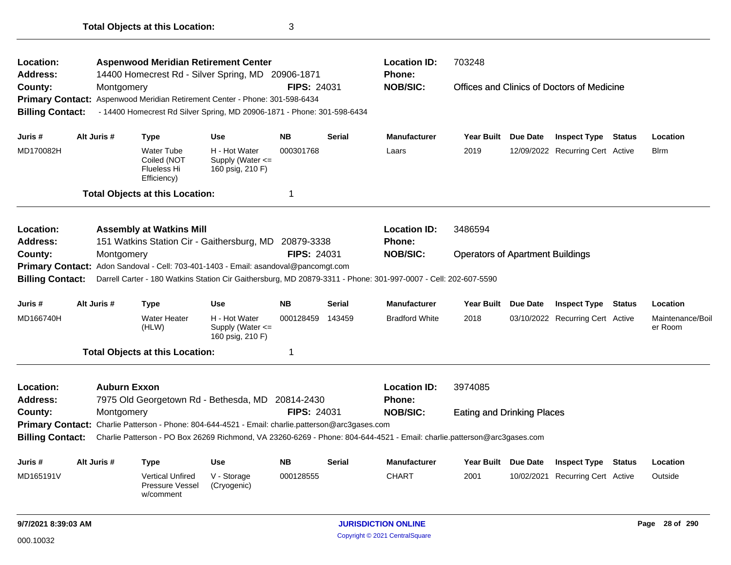| Location:<br><b>Address:</b>                                  |                     | <b>Aspenwood Meridian Retirement Center</b><br>14400 Homecrest Rd - Silver Spring, MD 20906-1871                                      |                                                           |                    |               | <b>Location ID:</b><br><b>Phone:</b>                                                                                    | 703248                                  |                 |                                            |               |                             |
|---------------------------------------------------------------|---------------------|---------------------------------------------------------------------------------------------------------------------------------------|-----------------------------------------------------------|--------------------|---------------|-------------------------------------------------------------------------------------------------------------------------|-----------------------------------------|-----------------|--------------------------------------------|---------------|-----------------------------|
| County:<br><b>Primary Contact:</b><br><b>Billing Contact:</b> | Montgomery          | Aspenwood Meridian Retirement Center - Phone: 301-598-6434<br>- 14400 Homecrest Rd Silver Spring, MD 20906-1871 - Phone: 301-598-6434 |                                                           | <b>FIPS: 24031</b> |               | <b>NOB/SIC:</b>                                                                                                         |                                         |                 | Offices and Clinics of Doctors of Medicine |               |                             |
| Juris #                                                       | Alt Juris #         | <b>Type</b>                                                                                                                           | <b>Use</b>                                                | <b>NB</b>          | <b>Serial</b> | <b>Manufacturer</b>                                                                                                     | <b>Year Built</b>                       | Due Date        | <b>Inspect Type</b>                        | Status        | Location                    |
| MD170082H                                                     |                     | <b>Water Tube</b><br>Coiled (NOT<br><b>Flueless Hi</b><br>Efficiency)                                                                 | H - Hot Water<br>Supply (Water $\leq$<br>160 psig, 210 F) | 000301768          |               | Laars                                                                                                                   | 2019                                    |                 | 12/09/2022 Recurring Cert Active           |               | Blrm                        |
|                                                               |                     | <b>Total Objects at this Location:</b>                                                                                                |                                                           | 1                  |               |                                                                                                                         |                                         |                 |                                            |               |                             |
| Location:                                                     |                     | <b>Assembly at Watkins Mill</b>                                                                                                       |                                                           |                    |               | <b>Location ID:</b>                                                                                                     | 3486594                                 |                 |                                            |               |                             |
| <b>Address:</b>                                               |                     | 151 Watkins Station Cir - Gaithersburg, MD                                                                                            |                                                           | 20879-3338         |               | <b>Phone:</b>                                                                                                           |                                         |                 |                                            |               |                             |
| County:<br><b>Primary Contact:</b>                            | Montgomery          | Adon Sandoval - Cell: 703-401-1403 - Email: asandoval@pancomgt.com                                                                    |                                                           | <b>FIPS: 24031</b> |               | <b>NOB/SIC:</b>                                                                                                         | <b>Operators of Apartment Buildings</b> |                 |                                            |               |                             |
| <b>Billing Contact:</b>                                       |                     |                                                                                                                                       |                                                           |                    |               | Darrell Carter - 180 Watkins Station Cir Gaithersburg, MD 20879-3311 - Phone: 301-997-0007 - Cell: 202-607-5590         |                                         |                 |                                            |               |                             |
| Juris #                                                       | Alt Juris #         | Type                                                                                                                                  | <b>Use</b>                                                | <b>NB</b>          | <b>Serial</b> | <b>Manufacturer</b>                                                                                                     | <b>Year Built</b>                       | Due Date        | <b>Inspect Type</b>                        | <b>Status</b> | Location                    |
| MD166740H                                                     |                     | <b>Water Heater</b><br>(HLW)                                                                                                          | H - Hot Water<br>Supply (Water $\leq$<br>160 psig, 210 F) | 000128459          | 143459        | <b>Bradford White</b>                                                                                                   | 2018                                    |                 | 03/10/2022 Recurring Cert Active           |               | Maintenance/Boil<br>er Room |
|                                                               |                     | <b>Total Objects at this Location:</b>                                                                                                |                                                           | -1                 |               |                                                                                                                         |                                         |                 |                                            |               |                             |
| Location:<br><b>Address:</b>                                  | <b>Auburn Exxon</b> | 7975 Old Georgetown Rd - Bethesda, MD 20814-2430                                                                                      |                                                           |                    |               | <b>Location ID:</b><br><b>Phone:</b>                                                                                    | 3974085                                 |                 |                                            |               |                             |
| County:                                                       | Montgomery          |                                                                                                                                       |                                                           | <b>FIPS: 24031</b> |               | <b>NOB/SIC:</b>                                                                                                         | <b>Eating and Drinking Places</b>       |                 |                                            |               |                             |
|                                                               |                     | Primary Contact: Charlie Patterson - Phone: 804-644-4521 - Email: charlie.patterson@arc3gases.com                                     |                                                           |                    |               |                                                                                                                         |                                         |                 |                                            |               |                             |
| <b>Billing Contact:</b>                                       |                     |                                                                                                                                       |                                                           |                    |               | Charlie Patterson - PO Box 26269 Richmond, VA 23260-6269 - Phone: 804-644-4521 - Email: charlie.patterson@arc3gases.com |                                         |                 |                                            |               |                             |
| Juris #                                                       | Alt Juris #         | <b>Type</b>                                                                                                                           | <b>Use</b>                                                | <b>NB</b>          | <b>Serial</b> | <b>Manufacturer</b>                                                                                                     | <b>Year Built</b>                       | <b>Due Date</b> | <b>Inspect Type</b>                        | Status        | Location                    |
| MD165191V                                                     |                     | <b>Vertical Unfired</b><br>Pressure Vessel<br>w/comment                                                                               | V - Storage<br>(Cryogenic)                                | 000128555          |               | <b>CHART</b>                                                                                                            | 2001                                    | 10/02/2021      | <b>Recurring Cert</b> Active               |               | Outside                     |
| 9/7/2021 8:39:03 AM                                           |                     |                                                                                                                                       |                                                           |                    |               | <b>JURISDICTION ONLINE</b>                                                                                              |                                         |                 |                                            |               | Page 28 of 290              |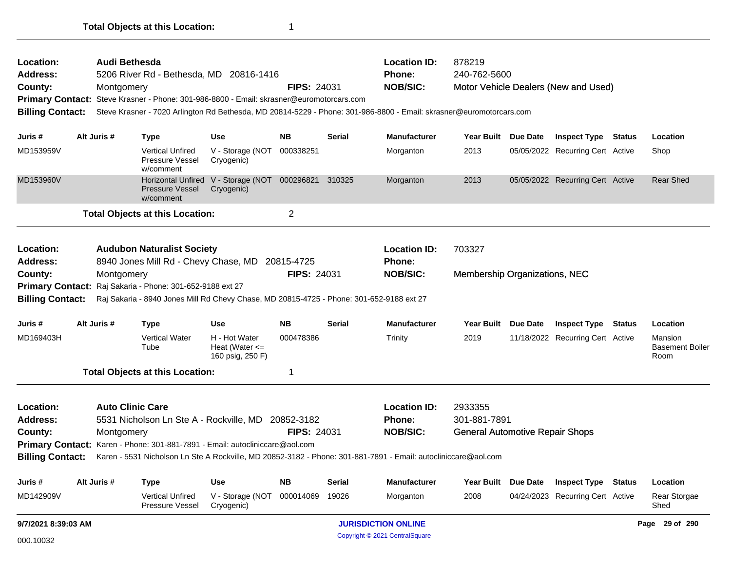| Location:<br><b>Address:</b><br>County:<br><b>Billing Contact:</b><br>Juris #<br>MD142909V          | Montgomery<br>Alt Juris # | 5531 Nicholson Ln Ste A - Rockville, MD 20852-3182<br>Primary Contact: Karen - Phone: 301-881-7891 - Email: autocliniccare@aol.com<br><b>Type</b><br><b>Vertical Unfired</b><br>Pressure Vessel | <b>Use</b><br>V - Storage (NOT<br>Cryogenic)                       | FIPS: 24031<br><b>NB</b><br>000014069 | <b>Serial</b><br>19026 | <b>Phone:</b><br><b>NOB/SIC:</b><br>Karen - 5531 Nicholson Ln Ste A Rockville, MD 20852-3182 - Phone: 301-881-7891 - Email: autocliniccare@aol.com<br><b>Manufacturer</b><br>Morganton | 301-881-7891<br><b>General Automotive Repair Shops</b><br><b>Year Built</b><br>2008 | <b>Due Date</b> | <b>Inspect Type</b><br>04/24/2023 Recurring Cert Active | Status | Location<br>Rear Storgae<br>Shed          |
|-----------------------------------------------------------------------------------------------------|---------------------------|-------------------------------------------------------------------------------------------------------------------------------------------------------------------------------------------------|--------------------------------------------------------------------|---------------------------------------|------------------------|----------------------------------------------------------------------------------------------------------------------------------------------------------------------------------------|-------------------------------------------------------------------------------------|-----------------|---------------------------------------------------------|--------|-------------------------------------------|
|                                                                                                     |                           |                                                                                                                                                                                                 |                                                                    |                                       |                        |                                                                                                                                                                                        |                                                                                     |                 |                                                         |        |                                           |
|                                                                                                     |                           |                                                                                                                                                                                                 |                                                                    |                                       |                        |                                                                                                                                                                                        |                                                                                     |                 |                                                         |        |                                           |
|                                                                                                     |                           |                                                                                                                                                                                                 |                                                                    |                                       |                        |                                                                                                                                                                                        |                                                                                     |                 |                                                         |        |                                           |
|                                                                                                     |                           |                                                                                                                                                                                                 |                                                                    |                                       |                        |                                                                                                                                                                                        |                                                                                     |                 |                                                         |        |                                           |
|                                                                                                     |                           |                                                                                                                                                                                                 |                                                                    |                                       |                        |                                                                                                                                                                                        |                                                                                     |                 |                                                         |        |                                           |
|                                                                                                     |                           |                                                                                                                                                                                                 |                                                                    |                                       |                        |                                                                                                                                                                                        |                                                                                     |                 |                                                         |        |                                           |
|                                                                                                     |                           | <b>Auto Clinic Care</b>                                                                                                                                                                         |                                                                    |                                       |                        | <b>Location ID:</b>                                                                                                                                                                    | 2933355                                                                             |                 |                                                         |        |                                           |
|                                                                                                     |                           | <b>Total Objects at this Location:</b>                                                                                                                                                          |                                                                    | 1                                     |                        |                                                                                                                                                                                        |                                                                                     |                 |                                                         |        |                                           |
| MD169403H                                                                                           |                           | <b>Vertical Water</b><br>Tube                                                                                                                                                                   | H - Hot Water<br>Heat (Water $\leq$<br>160 psig, 250 F)            | 000478386                             |                        | Trinity                                                                                                                                                                                | 2019                                                                                |                 | 11/18/2022 Recurring Cert Active                        |        | Mansion<br><b>Basement Boiler</b><br>Room |
| Juris #                                                                                             | Alt Juris #               | Type                                                                                                                                                                                            | <b>Use</b>                                                         | <b>NB</b>                             | <b>Serial</b>          | <b>Manufacturer</b>                                                                                                                                                                    | <b>Year Built</b>                                                                   | Due Date        | <b>Inspect Type</b>                                     | Status | Location                                  |
| <b>Billing Contact:</b>                                                                             |                           | Raj Sakaria - 8940 Jones Mill Rd Chevy Chase, MD 20815-4725 - Phone: 301-652-9188 ext 27                                                                                                        |                                                                    |                                       |                        |                                                                                                                                                                                        |                                                                                     |                 |                                                         |        |                                           |
|                                                                                                     |                           | Primary Contact: Raj Sakaria - Phone: 301-652-9188 ext 27                                                                                                                                       |                                                                    |                                       |                        |                                                                                                                                                                                        |                                                                                     |                 |                                                         |        |                                           |
| County:                                                                                             | Montgomery                |                                                                                                                                                                                                 |                                                                    | <b>FIPS: 24031</b>                    |                        | <b>NOB/SIC:</b>                                                                                                                                                                        | Membership Organizations, NEC                                                       |                 |                                                         |        |                                           |
| Location:<br><b>Address:</b>                                                                        |                           | <b>Audubon Naturalist Society</b><br>8940 Jones Mill Rd - Chevy Chase, MD                                                                                                                       |                                                                    | 20815-4725                            |                        | <b>Location ID:</b><br><b>Phone:</b>                                                                                                                                                   | 703327                                                                              |                 |                                                         |        |                                           |
|                                                                                                     |                           | <b>Total Objects at this Location:</b>                                                                                                                                                          |                                                                    | 2                                     |                        |                                                                                                                                                                                        |                                                                                     |                 |                                                         |        |                                           |
| MD153960V                                                                                           |                           | Pressure Vessel<br>w/comment                                                                                                                                                                    | Horizontal Unfired V - Storage (NOT 000296821 310325<br>Cryogenic) |                                       |                        | Morganton                                                                                                                                                                              | 2013                                                                                |                 | 05/05/2022 Recurring Cert Active                        |        | <b>Rear Shed</b>                          |
| MD153959V                                                                                           |                           | <b>Vertical Unfired</b><br>Pressure Vessel<br>w/comment                                                                                                                                         | V - Storage (NOT<br>Cryogenic)                                     | 000338251                             |                        | Morganton                                                                                                                                                                              | 2013                                                                                |                 | 05/05/2022 Recurring Cert Active                        |        | Shop                                      |
| Juris #                                                                                             | Alt Juris #               | <b>Type</b>                                                                                                                                                                                     | <b>Use</b>                                                         | <b>NB</b>                             | <b>Serial</b>          | <b>Manufacturer</b>                                                                                                                                                                    | Year Built Due Date                                                                 |                 | <b>Inspect Type Status</b>                              |        | Location                                  |
| <b>Billing Contact:</b>                                                                             |                           |                                                                                                                                                                                                 |                                                                    |                                       |                        | Steve Krasner - 7020 Arlington Rd Bethesda, MD 20814-5229 - Phone: 301-986-8800 - Email: skrasner@euromotorcars.com                                                                    |                                                                                     |                 |                                                         |        |                                           |
|                                                                                                     | Montgomery                |                                                                                                                                                                                                 |                                                                    | <b>FIPS: 24031</b>                    |                        | <b>NOB/SIC:</b>                                                                                                                                                                        |                                                                                     |                 | Motor Vehicle Dealers (New and Used)                    |        |                                           |
| County:<br>Primary Contact: Steve Krasner - Phone: 301-986-8800 - Email: skrasner@euromotorcars.com |                           | 5206 River Rd - Bethesda, MD 20816-1416                                                                                                                                                         |                                                                    |                                       |                        | <b>Phone:</b>                                                                                                                                                                          | 240-762-5600                                                                        |                 |                                                         |        |                                           |
| <b>Address:</b>                                                                                     |                           | Audi Bethesda                                                                                                                                                                                   |                                                                    |                                       |                        | <b>Location ID:</b>                                                                                                                                                                    | 878219                                                                              |                 |                                                         |        |                                           |

Copyright © 2021 CentralSquare 000.10032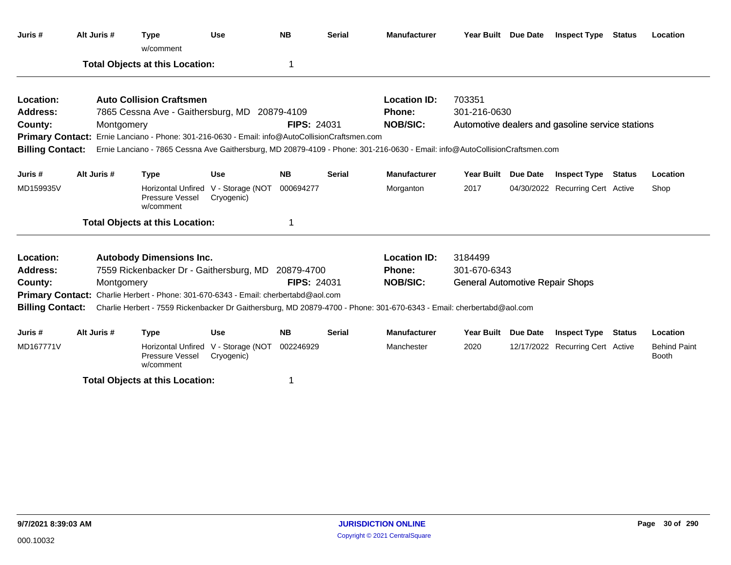| Juris #                 | Alt Juris # | <b>Type</b><br>w/comment                                                                       | <b>Use</b>                                        | <b>NB</b>          | <b>Serial</b> | <b>Manufacturer</b>                                                                                                         | Year Built Due Date                    | <b>Inspect Type Status</b>                       |               | Location                            |
|-------------------------|-------------|------------------------------------------------------------------------------------------------|---------------------------------------------------|--------------------|---------------|-----------------------------------------------------------------------------------------------------------------------------|----------------------------------------|--------------------------------------------------|---------------|-------------------------------------|
|                         |             | <b>Total Objects at this Location:</b>                                                         |                                                   | 1                  |               |                                                                                                                             |                                        |                                                  |               |                                     |
| Location:               |             | <b>Auto Collision Craftsmen</b>                                                                |                                                   |                    |               | <b>Location ID:</b>                                                                                                         | 703351                                 |                                                  |               |                                     |
| <b>Address:</b>         |             | 7865 Cessna Ave - Gaithersburg, MD 20879-4109                                                  |                                                   |                    |               | <b>Phone:</b>                                                                                                               | 301-216-0630                           |                                                  |               |                                     |
| County:                 | Montgomery  |                                                                                                |                                                   | FIPS: 24031        |               | <b>NOB/SIC:</b>                                                                                                             |                                        | Automotive dealers and gasoline service stations |               |                                     |
|                         |             | Primary Contact: Ernie Lanciano - Phone: 301-216-0630 - Email: info@AutoCollisionCraftsmen.com |                                                   |                    |               |                                                                                                                             |                                        |                                                  |               |                                     |
| <b>Billing Contact:</b> |             |                                                                                                |                                                   |                    |               | Ernie Lanciano - 7865 Cessna Ave Gaithersburg, MD 20879-4109 - Phone: 301-216-0630 - Email: info@AutoCollisionCraftsmen.com |                                        |                                                  |               |                                     |
| Juris #                 | Alt Juris # | <b>Type</b>                                                                                    | Use                                               | <b>NB</b>          | Serial        | <b>Manufacturer</b>                                                                                                         | Year Built Due Date                    | <b>Inspect Type Status</b>                       |               | Location                            |
| MD159935V               |             | Pressure Vessel<br>w/comment                                                                   | Horizontal Unfired V - Storage (NOT<br>Cryogenic) | 000694277          |               | Morganton                                                                                                                   | 2017                                   | 04/30/2022 Recurring Cert Active                 |               | Shop                                |
|                         |             | <b>Total Objects at this Location:</b>                                                         |                                                   |                    |               |                                                                                                                             |                                        |                                                  |               |                                     |
| Location:               |             | <b>Autobody Dimensions Inc.</b>                                                                |                                                   |                    |               | <b>Location ID:</b>                                                                                                         | 3184499                                |                                                  |               |                                     |
| <b>Address:</b>         |             | 7559 Rickenbacker Dr - Gaithersburg, MD                                                        |                                                   | 20879-4700         |               | Phone:                                                                                                                      | 301-670-6343                           |                                                  |               |                                     |
| County:                 | Montgomery  |                                                                                                |                                                   | <b>FIPS: 24031</b> |               | <b>NOB/SIC:</b>                                                                                                             | <b>General Automotive Repair Shops</b> |                                                  |               |                                     |
|                         |             | Primary Contact: Charlie Herbert - Phone: 301-670-6343 - Email: cherbertabd@aol.com            |                                                   |                    |               |                                                                                                                             |                                        |                                                  |               |                                     |
| <b>Billing Contact:</b> |             |                                                                                                |                                                   |                    |               | Charlie Herbert - 7559 Rickenbacker Dr Gaithersburg, MD 20879-4700 - Phone: 301-670-6343 - Email: cherbertabd@aol.com       |                                        |                                                  |               |                                     |
| Juris #                 | Alt Juris # | <b>Type</b>                                                                                    | <b>Use</b>                                        | <b>NB</b>          | <b>Serial</b> | <b>Manufacturer</b>                                                                                                         | Year Built Due Date                    | <b>Inspect Type</b>                              | <b>Status</b> | Location                            |
| MD167771V               |             | <b>Horizontal Unfired</b><br><b>Pressure Vessel</b><br>w/comment                               | V - Storage (NOT<br>Cryogenic)                    | 002246929          |               | Manchester                                                                                                                  | 2020                                   | 12/17/2022 Recurring Cert Active                 |               | <b>Behind Paint</b><br><b>Booth</b> |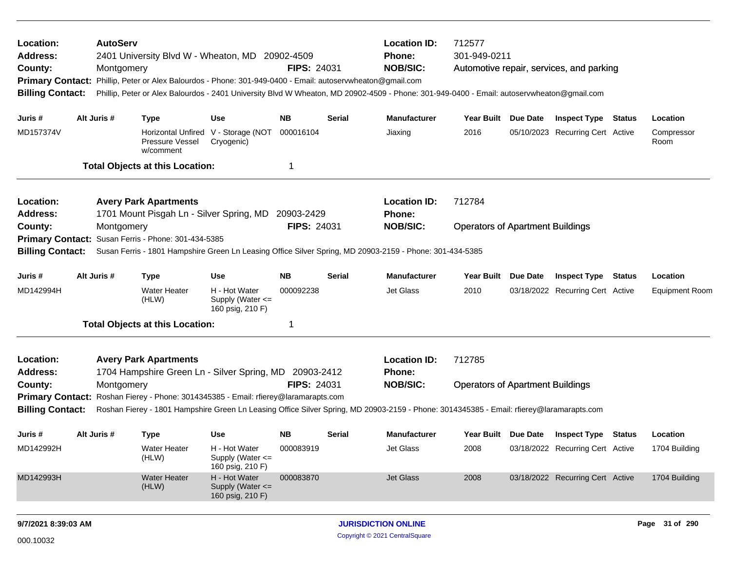| Location:<br><b>Address:</b><br>County:<br><b>Primary Contact:</b><br><b>Billing Contact:</b> | <b>AutoServ</b><br>Montgomery | 2401 University Blvd W - Wheaton, MD 20902-4509<br>Phillip, Peter or Alex Balourdos - Phone: 301-949-0400 - Email: autoservwheaton@gmail.com |                                                       | <b>FIPS: 24031</b> |        | <b>Location ID:</b><br>Phone:<br><b>NOB/SIC:</b><br>Phillip, Peter or Alex Balourdos - 2401 University Blvd W Wheaton, MD 20902-4509 - Phone: 301-949-0400 - Email: autoservwheaton@gmail.com | 712577<br>301-949-0211                  |                 | Automotive repair, services, and parking |                       |
|-----------------------------------------------------------------------------------------------|-------------------------------|----------------------------------------------------------------------------------------------------------------------------------------------|-------------------------------------------------------|--------------------|--------|-----------------------------------------------------------------------------------------------------------------------------------------------------------------------------------------------|-----------------------------------------|-----------------|------------------------------------------|-----------------------|
| Juris #                                                                                       | Alt Juris #                   | <b>Type</b>                                                                                                                                  | <b>Use</b>                                            | NΒ                 | Serial | <b>Manufacturer</b>                                                                                                                                                                           | Year Built Due Date                     |                 | <b>Inspect Type Status</b>               | Location              |
| MD157374V                                                                                     |                               | Pressure Vessel<br>w/comment                                                                                                                 | Horizontal Unfired V - Storage (NOT<br>Cryogenic)     | 000016104          |        | Jiaxing                                                                                                                                                                                       | 2016                                    |                 | 05/10/2023 Recurring Cert Active         | Compressor<br>Room    |
|                                                                                               |                               | <b>Total Objects at this Location:</b>                                                                                                       |                                                       | 1                  |        |                                                                                                                                                                                               |                                         |                 |                                          |                       |
| Location:<br><b>Address:</b>                                                                  |                               | <b>Avery Park Apartments</b><br>1701 Mount Pisgah Ln - Silver Spring, MD                                                                     |                                                       | 20903-2429         |        | <b>Location ID:</b><br><b>Phone:</b>                                                                                                                                                          | 712784                                  |                 |                                          |                       |
| County:                                                                                       | Montgomery                    |                                                                                                                                              |                                                       | <b>FIPS: 24031</b> |        | <b>NOB/SIC:</b>                                                                                                                                                                               | <b>Operators of Apartment Buildings</b> |                 |                                          |                       |
| <b>Primary Contact:</b>                                                                       |                               | Susan Ferris - Phone: 301-434-5385                                                                                                           |                                                       |                    |        |                                                                                                                                                                                               |                                         |                 |                                          |                       |
| <b>Billing Contact:</b>                                                                       |                               |                                                                                                                                              |                                                       |                    |        | Susan Ferris - 1801 Hampshire Green Ln Leasing Office Silver Spring, MD 20903-2159 - Phone: 301-434-5385                                                                                      |                                         |                 |                                          |                       |
| Juris #                                                                                       | Alt Juris #                   | <b>Type</b>                                                                                                                                  | <b>Use</b>                                            | <b>NB</b>          | Serial | <b>Manufacturer</b>                                                                                                                                                                           | <b>Year Built</b>                       | <b>Due Date</b> | <b>Inspect Type Status</b>               | Location              |
| MD142994H                                                                                     |                               | <b>Water Heater</b><br>(HLW)                                                                                                                 | H - Hot Water<br>Supply (Water <=<br>160 psig, 210 F) | 000092238          |        | <b>Jet Glass</b>                                                                                                                                                                              | 2010                                    |                 | 03/18/2022 Recurring Cert Active         | <b>Equipment Room</b> |
|                                                                                               |                               | <b>Total Objects at this Location:</b>                                                                                                       |                                                       | 1                  |        |                                                                                                                                                                                               |                                         |                 |                                          |                       |
| Location:<br><b>Address:</b>                                                                  |                               | <b>Avery Park Apartments</b><br>1704 Hampshire Green Ln - Silver Spring, MD 20903-2412                                                       |                                                       |                    |        | <b>Location ID:</b><br><b>Phone:</b>                                                                                                                                                          | 712785                                  |                 |                                          |                       |
| County:                                                                                       | Montgomery                    |                                                                                                                                              |                                                       | <b>FIPS: 24031</b> |        | <b>NOB/SIC:</b>                                                                                                                                                                               | <b>Operators of Apartment Buildings</b> |                 |                                          |                       |
|                                                                                               |                               | Primary Contact: Roshan Fierey - Phone: 3014345385 - Email: rfierey@laramarapts.com                                                          |                                                       |                    |        |                                                                                                                                                                                               |                                         |                 |                                          |                       |
| <b>Billing Contact:</b>                                                                       |                               |                                                                                                                                              |                                                       |                    |        | Roshan Fierey - 1801 Hampshire Green Ln Leasing Office Silver Spring, MD 20903-2159 - Phone: 3014345385 - Email: rfierey@laramarapts.com                                                      |                                         |                 |                                          |                       |
| Juris #                                                                                       | Alt Juris #                   | <b>Type</b>                                                                                                                                  | <b>Use</b>                                            | <b>NB</b>          | Serial | <b>Manufacturer</b>                                                                                                                                                                           | Year Built Due Date                     |                 | <b>Inspect Type Status</b>               | Location              |
| MD142992H                                                                                     |                               | Water Heater<br>(HLW)                                                                                                                        | H - Hot Water<br>Supply (Water <=<br>160 psig, 210 F) | 000083919          |        | Jet Glass                                                                                                                                                                                     | 2008                                    |                 | 03/18/2022 Recurring Cert Active         | 1704 Building         |
| MD142993H                                                                                     |                               | <b>Water Heater</b><br>(HLW)                                                                                                                 | H - Hot Water<br>Supply (Water <=<br>160 psig, 210 F) | 000083870          |        | Jet Glass                                                                                                                                                                                     | 2008                                    |                 | 03/18/2022 Recurring Cert Active         | 1704 Building         |
| 9/7/2021 8:39:03 AM                                                                           |                               |                                                                                                                                              |                                                       |                    |        | <b>JURISDICTION ONLINE</b>                                                                                                                                                                    |                                         |                 |                                          | Page 31 of 290        |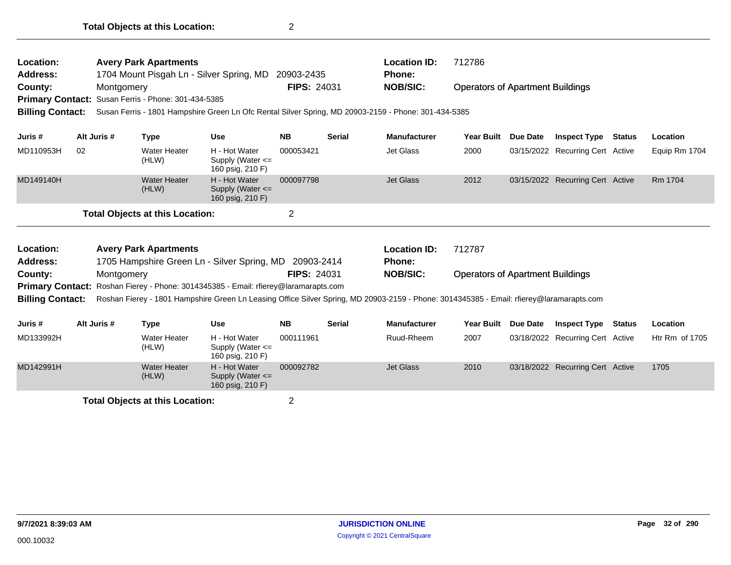| Location:<br><b>Address:</b><br>County:<br><b>Billing Contact:</b> | Montgomery  | <b>Avery Park Apartments</b><br>Primary Contact: Susan Ferris - Phone: 301-434-5385 | 1704 Mount Pisgah Ln - Silver Spring, MD                                            | 20903-2435<br><b>FIPS: 24031</b> |               | <b>Location ID:</b><br>Phone:<br><b>NOB/SIC:</b><br>Susan Ferris - 1801 Hampshire Green Ln Ofc Rental Silver Spring, MD 20903-2159 - Phone: 301-434-5385 | 712786<br><b>Operators of Apartment Buildings</b> |                 |                                  |               |                |
|--------------------------------------------------------------------|-------------|-------------------------------------------------------------------------------------|-------------------------------------------------------------------------------------|----------------------------------|---------------|----------------------------------------------------------------------------------------------------------------------------------------------------------|---------------------------------------------------|-----------------|----------------------------------|---------------|----------------|
| Juris #                                                            | Alt Juris # | <b>Type</b>                                                                         | <b>Use</b>                                                                          | <b>NB</b>                        | <b>Serial</b> | <b>Manufacturer</b>                                                                                                                                      | <b>Year Built</b>                                 | Due Date        | <b>Inspect Type</b>              | <b>Status</b> | Location       |
| MD110953H                                                          | 02          | <b>Water Heater</b><br>(HLW)                                                        | H - Hot Water<br>Supply (Water $\leq$<br>160 psig, 210 F)                           | 000053421                        |               | Jet Glass                                                                                                                                                | 2000                                              |                 | 03/15/2022 Recurring Cert Active |               | Equip Rm 1704  |
| MD149140H                                                          |             | <b>Water Heater</b><br>(HLW)                                                        | H - Hot Water<br>Supply (Water <=<br>160 psig, 210 F)                               | 000097798                        |               | <b>Jet Glass</b>                                                                                                                                         | 2012                                              |                 | 03/15/2022 Recurring Cert Active |               | Rm 1704        |
|                                                                    |             | <b>Total Objects at this Location:</b>                                              |                                                                                     | 2                                |               |                                                                                                                                                          |                                                   |                 |                                  |               |                |
| Location:<br><b>Address:</b>                                       |             | <b>Avery Park Apartments</b>                                                        | 1705 Hampshire Green Ln - Silver Spring, MD 20903-2414                              |                                  |               | <b>Location ID:</b><br><b>Phone:</b>                                                                                                                     | 712787                                            |                 |                                  |               |                |
| County:                                                            | Montgomery  |                                                                                     |                                                                                     | <b>FIPS: 24031</b>               |               | <b>NOB/SIC:</b>                                                                                                                                          | <b>Operators of Apartment Buildings</b>           |                 |                                  |               |                |
|                                                                    |             |                                                                                     | Primary Contact: Roshan Fierey - Phone: 3014345385 - Email: rfierey@laramarapts.com |                                  |               |                                                                                                                                                          |                                                   |                 |                                  |               |                |
| <b>Billing Contact:</b>                                            |             |                                                                                     |                                                                                     |                                  |               | Roshan Fierey - 1801 Hampshire Green Ln Leasing Office Silver Spring, MD 20903-2159 - Phone: 3014345385 - Email: rfierey@laramarapts.com                 |                                                   |                 |                                  |               |                |
| Juris #                                                            | Alt Juris # | <b>Type</b>                                                                         | <b>Use</b>                                                                          | <b>NB</b>                        | <b>Serial</b> | <b>Manufacturer</b>                                                                                                                                      | <b>Year Built</b>                                 | <b>Due Date</b> | <b>Inspect Type Status</b>       |               | Location       |
| MD133992H                                                          |             | <b>Water Heater</b><br>(HLW)                                                        | H - Hot Water<br>Supply (Water $\leq$<br>160 psig, 210 F)                           | 000111961                        |               | Ruud-Rheem                                                                                                                                               | 2007                                              |                 | 03/18/2022 Recurring Cert Active |               | Htr Rm of 1705 |
| MD142991H                                                          |             | <b>Water Heater</b>                                                                 | H - Hot Water                                                                       | 000092782                        |               | <b>Jet Glass</b>                                                                                                                                         | 2010                                              |                 | 03/18/2022 Recurring Cert Active |               | 1705           |

(HLW)

Supply (Water <= 160 psig, 210 F)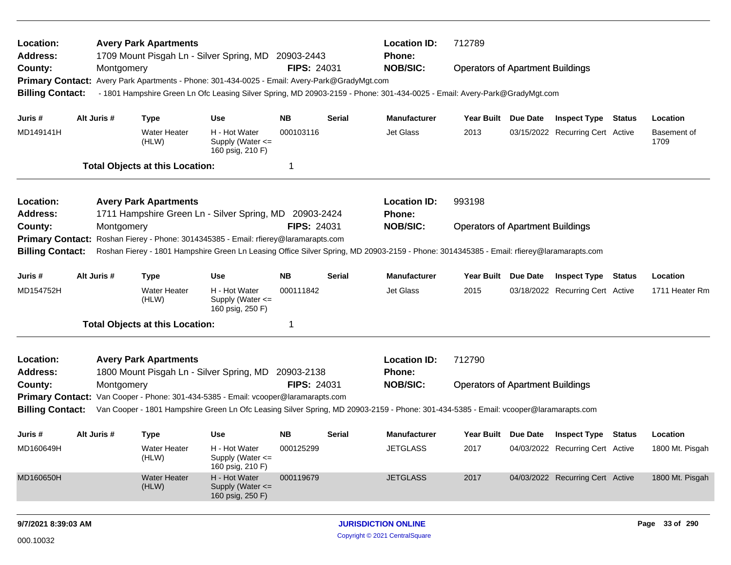| Location:<br><b>Address:</b> |             |            | <b>Avery Park Apartments</b>           | 1709 Mount Pisgah Ln - Silver Spring, MD 20903-2443                                           |                    |        | <b>Location ID:</b><br>Phone:                                                                                                            | 712789                                  |                     |                                         |                     |
|------------------------------|-------------|------------|----------------------------------------|-----------------------------------------------------------------------------------------------|--------------------|--------|------------------------------------------------------------------------------------------------------------------------------------------|-----------------------------------------|---------------------|-----------------------------------------|---------------------|
| County:                      |             | Montgomery |                                        |                                                                                               | <b>FIPS: 24031</b> |        | <b>NOB/SIC:</b>                                                                                                                          | <b>Operators of Apartment Buildings</b> |                     |                                         |                     |
|                              |             |            |                                        | Primary Contact: Avery Park Apartments - Phone: 301-434-0025 - Email: Avery-Park@GradyMgt.com |                    |        |                                                                                                                                          |                                         |                     |                                         |                     |
| <b>Billing Contact:</b>      |             |            |                                        |                                                                                               |                    |        | - 1801 Hampshire Green Ln Ofc Leasing Silver Spring, MD 20903-2159 - Phone: 301-434-0025 - Email: Avery-Park@GradyMgt.com                |                                         |                     |                                         |                     |
| Juris #                      | Alt Juris # |            | <b>Type</b>                            | <b>Use</b>                                                                                    | NB.                | Serial | <b>Manufacturer</b>                                                                                                                      |                                         | Year Built Due Date | <b>Inspect Type Status</b>              | Location            |
| MD149141H                    |             |            | <b>Water Heater</b><br>(HLW)           | H - Hot Water<br>Supply (Water $\leq$<br>160 psig, 210 F)                                     | 000103116          |        | Jet Glass                                                                                                                                | 2013                                    |                     | 03/15/2022 Recurring Cert Active        | Basement of<br>1709 |
|                              |             |            | <b>Total Objects at this Location:</b> |                                                                                               | -1                 |        |                                                                                                                                          |                                         |                     |                                         |                     |
| Location:                    |             |            | <b>Avery Park Apartments</b>           |                                                                                               |                    |        | <b>Location ID:</b>                                                                                                                      | 993198                                  |                     |                                         |                     |
| <b>Address:</b>              |             |            |                                        | 1711 Hampshire Green Ln - Silver Spring, MD 20903-2424                                        |                    |        | Phone:                                                                                                                                   |                                         |                     |                                         |                     |
| County:                      |             | Montgomery |                                        |                                                                                               | <b>FIPS: 24031</b> |        | <b>NOB/SIC:</b>                                                                                                                          | <b>Operators of Apartment Buildings</b> |                     |                                         |                     |
| <b>Primary Contact:</b>      |             |            |                                        | Roshan Fierey - Phone: 3014345385 - Email: rfierey@laramarapts.com                            |                    |        |                                                                                                                                          |                                         |                     |                                         |                     |
| <b>Billing Contact:</b>      |             |            |                                        |                                                                                               |                    |        | Roshan Fierey - 1801 Hampshire Green Ln Leasing Office Silver Spring, MD 20903-2159 - Phone: 3014345385 - Email: rfierey@laramarapts.com |                                         |                     |                                         |                     |
| Juris #                      | Alt Juris # |            | <b>Type</b>                            | <b>Use</b>                                                                                    | NB.                | Serial | <b>Manufacturer</b>                                                                                                                      | Year Built Due Date                     |                     | <b>Inspect Type Status</b>              | Location            |
| MD154752H                    |             |            | <b>Water Heater</b><br>(HLW)           | H - Hot Water<br>Supply (Water <=<br>160 psig, 250 F)                                         | 000111842          |        | Jet Glass                                                                                                                                | 2015                                    |                     | 03/18/2022 Recurring Cert Active        | 1711 Heater Rm      |
|                              |             |            | <b>Total Objects at this Location:</b> |                                                                                               | -1                 |        |                                                                                                                                          |                                         |                     |                                         |                     |
| Location:                    |             |            | <b>Avery Park Apartments</b>           |                                                                                               |                    |        | <b>Location ID:</b>                                                                                                                      | 712790                                  |                     |                                         |                     |
| <b>Address:</b>              |             |            |                                        | 1800 Mount Pisgah Ln - Silver Spring, MD 20903-2138                                           |                    |        | Phone:                                                                                                                                   |                                         |                     |                                         |                     |
| County:                      |             | Montgomery |                                        |                                                                                               | <b>FIPS: 24031</b> |        | <b>NOB/SIC:</b>                                                                                                                          | <b>Operators of Apartment Buildings</b> |                     |                                         |                     |
| <b>Billing Contact:</b>      |             |            |                                        | Primary Contact: Van Cooper - Phone: 301-434-5385 - Email: vcooper@laramarapts.com            |                    |        | Van Cooper - 1801 Hampshire Green Ln Ofc Leasing Silver Spring, MD 20903-2159 - Phone: 301-434-5385 - Email: vcooper@laramarapts.com     |                                         |                     |                                         |                     |
| Juris #                      | Alt Juris # |            | <b>Type</b>                            | <b>Use</b>                                                                                    | NB.                | Serial | <b>Manufacturer</b>                                                                                                                      |                                         |                     | Year Built Due Date Inspect Type Status | Location            |
| MD160649H                    |             |            | Water Heater<br>(HLW)                  | H - Hot Water<br>Supply (Water <=<br>160 psig, 210 F)                                         | 000125299          |        | <b>JETGLASS</b>                                                                                                                          | 2017                                    |                     | 04/03/2022 Recurring Cert Active        | 1800 Mt. Pisgah     |
| MD160650H                    |             |            | <b>Water Heater</b><br>(HLW)           | H - Hot Water<br>Supply (Water <=<br>160 psig, 250 F)                                         | 000119679          |        | <b>JETGLASS</b>                                                                                                                          | 2017                                    |                     | 04/03/2022 Recurring Cert Active        | 1800 Mt. Pisgah     |
| 9/7/2021 8:39:03 AM          |             |            |                                        |                                                                                               |                    |        | <b>JURISDICTION ONLINE</b>                                                                                                               |                                         |                     |                                         | Page 33 of 290      |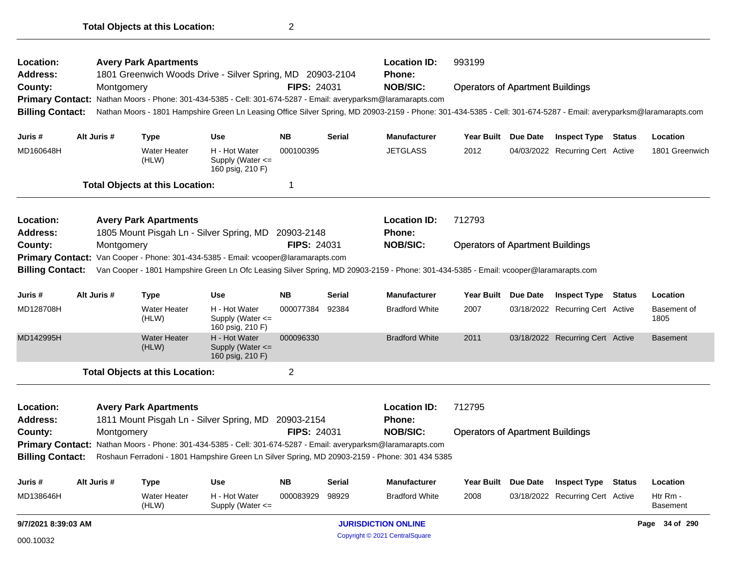| Location:<br><b>Address:</b> |             | <b>Avery Park Apartments</b>           | 1801 Greenwich Woods Drive - Silver Spring, MD 20903-2104         |                    |               | <b>Location ID:</b><br><b>Phone:</b>                                                                                                                               | 993199                                  |          |                                  |               |                      |
|------------------------------|-------------|----------------------------------------|-------------------------------------------------------------------|--------------------|---------------|--------------------------------------------------------------------------------------------------------------------------------------------------------------------|-----------------------------------------|----------|----------------------------------|---------------|----------------------|
| County:                      | Montgomery  |                                        |                                                                   | <b>FIPS: 24031</b> |               | <b>NOB/SIC:</b>                                                                                                                                                    | <b>Operators of Apartment Buildings</b> |          |                                  |               |                      |
| <b>Primary Contact:</b>      |             |                                        |                                                                   |                    |               | Nathan Moors - Phone: 301-434-5385 - Cell: 301-674-5287 - Email: averyparksm@laramarapts.com                                                                       |                                         |          |                                  |               |                      |
| <b>Billing Contact:</b>      |             |                                        |                                                                   |                    |               | Nathan Moors - 1801 Hampshire Green Ln Leasing Office Silver Spring, MD 20903-2159 - Phone: 301-434-5385 - Cell: 301-674-5287 - Email: averyparksm@laramarapts.com |                                         |          |                                  |               |                      |
| Juris #                      | Alt Juris # | Type                                   | <b>Use</b>                                                        | <b>NB</b>          | <b>Serial</b> | <b>Manufacturer</b>                                                                                                                                                | <b>Year Built</b>                       | Due Date | <b>Inspect Type Status</b>       |               | Location             |
| MD160648H                    |             | <b>Water Heater</b><br>(HLW)           | H - Hot Water<br>Supply (Water $\leq$<br>160 psig, 210 F)         | 000100395          |               | <b>JETGLASS</b>                                                                                                                                                    | 2012                                    |          | 04/03/2022 Recurring Cert Active |               | 1801 Greenwich       |
|                              |             | <b>Total Objects at this Location:</b> |                                                                   | 1                  |               |                                                                                                                                                                    |                                         |          |                                  |               |                      |
| Location:                    |             | <b>Avery Park Apartments</b>           |                                                                   |                    |               | <b>Location ID:</b>                                                                                                                                                | 712793                                  |          |                                  |               |                      |
| <b>Address:</b><br>County:   | Montgomery  |                                        | 1805 Mount Pisgah Ln - Silver Spring, MD 20903-2148               | FIPS: 24031        |               | <b>Phone:</b><br><b>NOB/SIC:</b>                                                                                                                                   | <b>Operators of Apartment Buildings</b> |          |                                  |               |                      |
| <b>Primary Contact:</b>      |             |                                        | Van Cooper - Phone: 301-434-5385 - Email: vcooper@laramarapts.com |                    |               |                                                                                                                                                                    |                                         |          |                                  |               |                      |
| <b>Billing Contact:</b>      |             |                                        |                                                                   |                    |               | Van Cooper - 1801 Hampshire Green Ln Ofc Leasing Silver Spring, MD 20903-2159 - Phone: 301-434-5385 - Email: vcooper@laramarapts.com                               |                                         |          |                                  |               |                      |
|                              |             |                                        |                                                                   |                    |               |                                                                                                                                                                    |                                         |          |                                  |               |                      |
| Juris #                      | Alt Juris # | <b>Type</b>                            | <b>Use</b>                                                        | <b>NB</b>          | <b>Serial</b> | <b>Manufacturer</b>                                                                                                                                                | <b>Year Built</b>                       | Due Date | <b>Inspect Type</b>              | Status        | Location             |
| MD128708H                    |             | <b>Water Heater</b><br>(HLW)           | H - Hot Water<br>Supply (Water $\leq$<br>160 psig, 210 F)         | 000077384          | 92384         | <b>Bradford White</b>                                                                                                                                              | 2007                                    |          | 03/18/2022 Recurring Cert Active |               | Basement of<br>1805  |
| MD142995H                    |             | <b>Water Heater</b><br>(HLW)           | H - Hot Water<br>Supply (Water $\leq$<br>160 psig, 210 F)         | 000096330          |               | <b>Bradford White</b>                                                                                                                                              | 2011                                    |          | 03/18/2022 Recurring Cert Active |               | <b>Basement</b>      |
|                              |             | <b>Total Objects at this Location:</b> |                                                                   | $\overline{2}$     |               |                                                                                                                                                                    |                                         |          |                                  |               |                      |
| Location:                    |             | <b>Avery Park Apartments</b>           |                                                                   |                    |               | <b>Location ID:</b>                                                                                                                                                | 712795                                  |          |                                  |               |                      |
| Address:                     |             |                                        | 1811 Mount Pisgah Ln - Silver Spring, MD 20903-2154               |                    |               | Phone:                                                                                                                                                             |                                         |          |                                  |               |                      |
| County:                      | Montgomery  |                                        |                                                                   | <b>FIPS: 24031</b> |               | <b>NOB/SIC:</b>                                                                                                                                                    | <b>Operators of Apartment Buildings</b> |          |                                  |               |                      |
| <b>Primary Contact:</b>      |             |                                        |                                                                   |                    |               | Nathan Moors - Phone: 301-434-5385 - Cell: 301-674-5287 - Email: averyparksm@laramarapts.com                                                                       |                                         |          |                                  |               |                      |
| <b>Billing Contact:</b>      |             |                                        |                                                                   |                    |               | Roshaun Ferradoni - 1801 Hampshire Green Ln Silver Spring, MD 20903-2159 - Phone: 301 434 5385                                                                     |                                         |          |                                  |               |                      |
| Juris #                      | Alt Juris # | <b>Type</b>                            | <b>Use</b>                                                        | NΒ                 | <b>Serial</b> | <b>Manufacturer</b>                                                                                                                                                | <b>Year Built</b>                       | Due Date | <b>Inspect Type</b>              | <b>Status</b> | Location             |
| MD138646H                    |             | <b>Water Heater</b><br>(HLW)           | H - Hot Water<br>Supply (Water $\leq$                             | 000083929          | 98929         | <b>Bradford White</b>                                                                                                                                              | 2008                                    |          | 03/18/2022 Recurring Cert Active |               | Htr Rm -<br>Basement |
| 9/7/2021 8:39:03 AM          |             |                                        |                                                                   |                    |               | <b>JURISDICTION ONLINE</b>                                                                                                                                         |                                         |          |                                  |               | Page 34 of 290       |

Copyright © 2021 CentralSquare 000.10032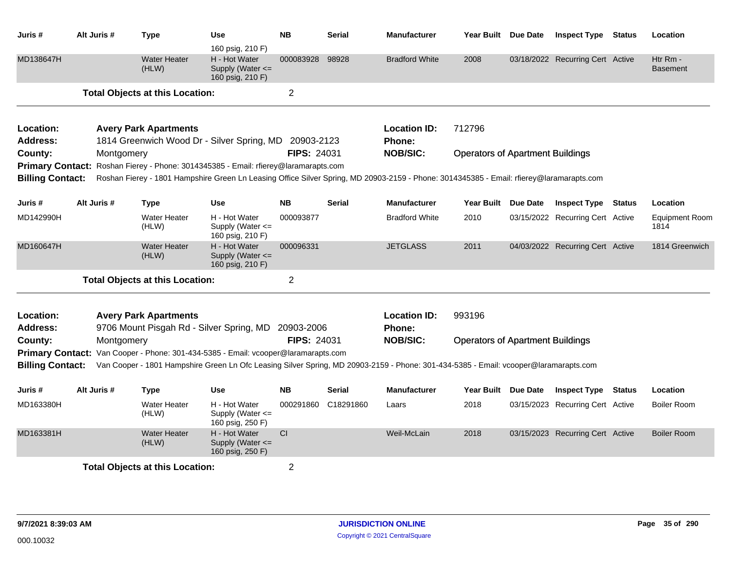| Juris #                      | Alt Juris # | <b>Type</b>                                                                                                                              | <b>Use</b>                                                                    | <b>NB</b>          | <b>Serial</b>       | <b>Manufacturer</b>                  |                                         | Year Built Due Date | <b>Inspect Type Status</b>       |               | Location                      |
|------------------------------|-------------|------------------------------------------------------------------------------------------------------------------------------------------|-------------------------------------------------------------------------------|--------------------|---------------------|--------------------------------------|-----------------------------------------|---------------------|----------------------------------|---------------|-------------------------------|
| MD138647H                    |             | <b>Water Heater</b><br>(HLW)                                                                                                             | 160 psig, 210 F)<br>H - Hot Water<br>Supply (Water $\leq$<br>160 psig, 210 F) | 000083928          | 98928               | <b>Bradford White</b>                | 2008                                    |                     | 03/18/2022 Recurring Cert Active |               | Htr Rm -<br><b>Basement</b>   |
|                              |             | <b>Total Objects at this Location:</b>                                                                                                   |                                                                               | $\overline{2}$     |                     |                                      |                                         |                     |                                  |               |                               |
| Location:<br><b>Address:</b> |             | <b>Avery Park Apartments</b><br>1814 Greenwich Wood Dr - Silver Spring, MD 20903-2123                                                    |                                                                               |                    |                     | <b>Location ID:</b><br><b>Phone:</b> | 712796                                  |                     |                                  |               |                               |
| County:                      | Montgomery  |                                                                                                                                          |                                                                               | <b>FIPS: 24031</b> |                     | <b>NOB/SIC:</b>                      | <b>Operators of Apartment Buildings</b> |                     |                                  |               |                               |
| <b>Primary Contact:</b>      |             | Roshan Fierey - Phone: 3014345385 - Email: rfierey@laramarapts.com                                                                       |                                                                               |                    |                     |                                      |                                         |                     |                                  |               |                               |
| <b>Billing Contact:</b>      |             | Roshan Fierey - 1801 Hampshire Green Ln Leasing Office Silver Spring, MD 20903-2159 - Phone: 3014345385 - Email: rfierey@laramarapts.com |                                                                               |                    |                     |                                      |                                         |                     |                                  |               |                               |
| Juris #                      | Alt Juris # | <b>Type</b>                                                                                                                              | <b>Use</b>                                                                    | <b>NB</b>          | <b>Serial</b>       | <b>Manufacturer</b>                  | <b>Year Built</b>                       | Due Date            | <b>Inspect Type Status</b>       |               | Location                      |
| MD142990H                    |             | <b>Water Heater</b><br>(HLW)                                                                                                             | H - Hot Water<br>Supply (Water $\leq$<br>160 psig, 210 F)                     | 000093877          |                     | <b>Bradford White</b>                | 2010                                    |                     | 03/15/2022 Recurring Cert Active |               | <b>Equipment Room</b><br>1814 |
| MD160647H                    |             | <b>Water Heater</b><br>(HLW)                                                                                                             | H - Hot Water<br>Supply (Water <=<br>160 psig, 210 F)                         | 000096331          |                     | <b>JETGLASS</b>                      | 2011                                    |                     | 04/03/2022 Recurring Cert Active |               | 1814 Greenwich                |
|                              |             | <b>Total Objects at this Location:</b>                                                                                                   |                                                                               | $\overline{2}$     |                     |                                      |                                         |                     |                                  |               |                               |
| Location:<br>Address:        |             | <b>Avery Park Apartments</b><br>9706 Mount Pisgah Rd - Silver Spring, MD 20903-2006                                                      |                                                                               |                    |                     | <b>Location ID:</b><br><b>Phone:</b> | 993196                                  |                     |                                  |               |                               |
| County:                      | Montgomery  |                                                                                                                                          |                                                                               | <b>FIPS: 24031</b> |                     | <b>NOB/SIC:</b>                      | <b>Operators of Apartment Buildings</b> |                     |                                  |               |                               |
| <b>Primary Contact:</b>      |             | Van Cooper - Phone: 301-434-5385 - Email: vcooper@laramarapts.com                                                                        |                                                                               |                    |                     |                                      |                                         |                     |                                  |               |                               |
| <b>Billing Contact:</b>      |             | Van Cooper - 1801 Hampshire Green Ln Ofc Leasing Silver Spring, MD 20903-2159 - Phone: 301-434-5385 - Email: vcooper@laramarapts.com     |                                                                               |                    |                     |                                      |                                         |                     |                                  |               |                               |
| Juris #                      | Alt Juris # | <b>Type</b>                                                                                                                              | <b>Use</b>                                                                    | <b>NB</b>          | <b>Serial</b>       | Manufacturer                         | Year Built                              | <b>Due Date</b>     | <b>Inspect Type</b>              | <b>Status</b> | Location                      |
| MD163380H                    |             | <b>Water Heater</b><br>(HLW)                                                                                                             | H - Hot Water<br>Supply (Water $\leq$<br>160 psig, 250 F)                     |                    | 000291860 C18291860 | Laars                                | 2018                                    |                     | 03/15/2023 Recurring Cert Active |               | <b>Boiler Room</b>            |
| MD163381H                    |             | <b>Water Heater</b><br>(HLW)                                                                                                             | H - Hot Water<br>Supply (Water <=<br>160 psig, 250 F)                         | <b>CI</b>          |                     | Weil-McLain                          | 2018                                    |                     | 03/15/2023 Recurring Cert Active |               | <b>Boiler Room</b>            |
|                              |             | <b>Total Objects at this Location:</b>                                                                                                   |                                                                               | $\overline{2}$     |                     |                                      |                                         |                     |                                  |               |                               |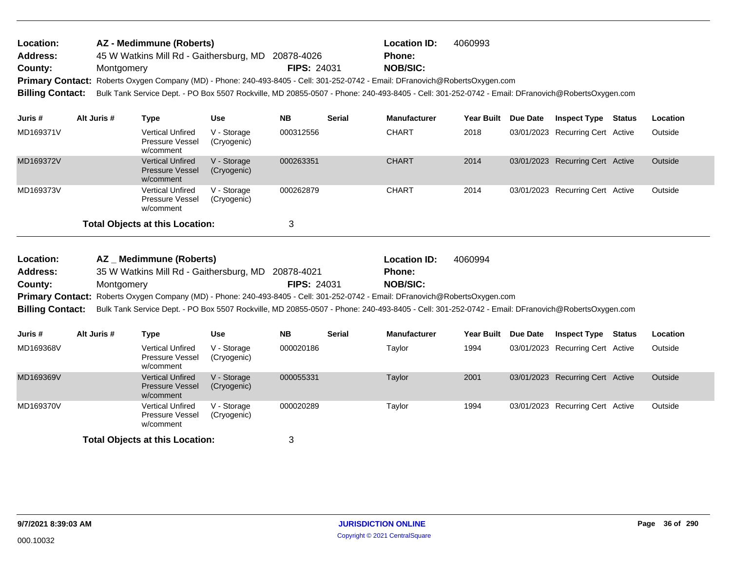| Location:               | AZ - Medimmune (Roberts)                                                                                                      |                    | <b>Location ID:</b> | 4060993                                                                                                                                         |
|-------------------------|-------------------------------------------------------------------------------------------------------------------------------|--------------------|---------------------|-------------------------------------------------------------------------------------------------------------------------------------------------|
| <b>Address:</b>         | 45 W Watkins Mill Rd - Gaithersburg, MD                                                                                       | 20878-4026         | <b>Phone:</b>       |                                                                                                                                                 |
| County:                 | Montgomery                                                                                                                    | <b>FIPS: 24031</b> | <b>NOB/SIC:</b>     |                                                                                                                                                 |
|                         | Primary Contact: Roberts Oxygen Company (MD) - Phone: 240-493-8405 - Cell: 301-252-0742 - Email: DFranovich@RobertsOxygen.com |                    |                     |                                                                                                                                                 |
| <b>Billing Contact:</b> |                                                                                                                               |                    |                     | Bulk Tank Service Dept. - PO Box 5507 Rockville, MD 20855-0507 - Phone: 240-493-8405 - Cell: 301-252-0742 - Email: DFranovich@RobertsOxygen.com |
|                         |                                                                                                                               |                    |                     |                                                                                                                                                 |

| Juris #   | Alt Juris # | Type                                                           | <b>Use</b>                 | <b>NB</b> | <b>Serial</b> | <b>Manufacturer</b> | Year Built | Due Date | <b>Inspect Type</b>              | <b>Status</b> | <b>Location</b> |
|-----------|-------------|----------------------------------------------------------------|----------------------------|-----------|---------------|---------------------|------------|----------|----------------------------------|---------------|-----------------|
| MD169371V |             | <b>Vertical Unfired</b><br><b>Pressure Vessel</b><br>w/comment | V - Storage<br>(Cryogenic) | 000312556 |               | <b>CHART</b>        | 2018       |          | 03/01/2023 Recurring Cert Active |               | Outside         |
| MD169372V |             | <b>Vertical Unfired</b><br><b>Pressure Vessel</b><br>w/comment | V - Storage<br>(Cryogenic) | 000263351 |               | <b>CHART</b>        | 2014       |          | 03/01/2023 Recurring Cert Active |               | Outside         |
| MD169373V |             | <b>Vertical Unfired</b><br><b>Pressure Vessel</b><br>w/comment | V - Storage<br>(Cryogenic) | 000262879 |               | <b>CHART</b>        | 2014       |          | 03/01/2023 Recurring Cert Active |               | Outside         |
|           |             | <b>Total Objects at this Location:</b>                         |                            | 3         |               |                     |            |          |                                  |               |                 |

| <b>Location:</b> | AZ Medimmune (Roberts)                                                                                                                                           |                    | Location ID:    | 4060994 |
|------------------|------------------------------------------------------------------------------------------------------------------------------------------------------------------|--------------------|-----------------|---------|
| <b>Address:</b>  | 35 W Watkins Mill Rd - Gaithersburg, MD 20878-4021                                                                                                               |                    | <b>Phone:</b>   |         |
| County:          | Montgomery                                                                                                                                                       | <b>FIPS: 24031</b> | <b>NOB/SIC:</b> |         |
|                  | Primary Contact: Roberts Oxygen Company (MD) - Phone: 240-493-8405 - Cell: 301-252-0742 - Email: DFranovich@RobertsOxygen.com                                    |                    |                 |         |
|                  | Billing Contact: Bulk Tank Service Dept. - PO Box 5507 Rockville, MD 20855-0507 - Phone: 240-493-8405 - Cell: 301-252-0742 - Email: DFranovich@RobertsOxygen.com |                    |                 |         |

| Juris #                                | Alt Juris # | Type                                                           | Use                        | <b>NB</b> | <b>Serial</b> | <b>Manufacturer</b> | <b>Year Built</b> | Due Date | <b>Inspect Type</b>              | Status | Location |
|----------------------------------------|-------------|----------------------------------------------------------------|----------------------------|-----------|---------------|---------------------|-------------------|----------|----------------------------------|--------|----------|
| MD169368V                              |             | <b>Vertical Unfired</b><br>Pressure Vessel<br>w/comment        | V - Storage<br>(Cryogenic) | 000020186 |               | Taylor              | 1994              |          | 03/01/2023 Recurring Cert Active |        | Outside  |
| MD169369V                              |             | <b>Vertical Unfired</b><br><b>Pressure Vessel</b><br>w/comment | V - Storage<br>(Cryogenic) | 000055331 |               | Taylor              | 2001              |          | 03/01/2023 Recurring Cert Active |        | Outside  |
| MD169370V                              |             | <b>Vertical Unfired</b><br><b>Pressure Vessel</b><br>w/comment | V - Storage<br>(Cryogenic) | 000020289 |               | Taylor              | 1994              |          | 03/01/2023 Recurring Cert Active |        | Outside  |
| <b>Total Objects at this Location:</b> |             |                                                                |                            |           |               |                     |                   |          |                                  |        |          |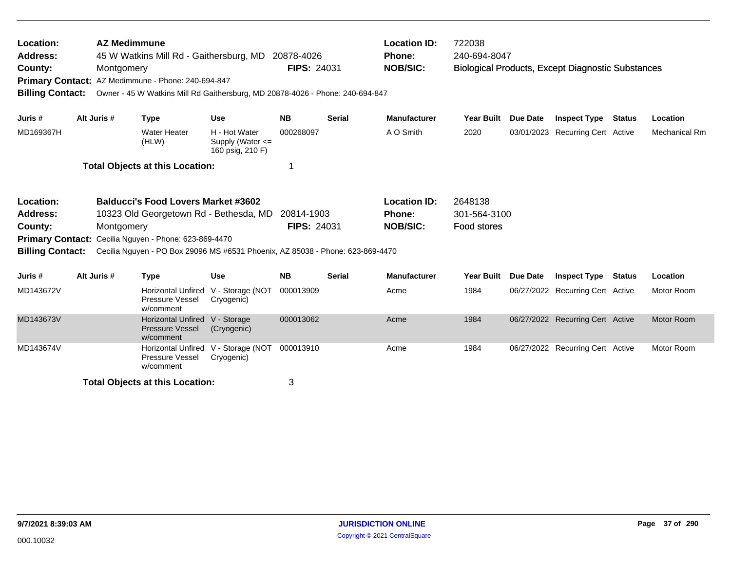| Location:<br><b>Address:</b><br>County:                                                       | <b>AZ Medimmune</b><br>45 W Watkins Mill Rd - Gaithersburg, MD 20878-4026<br>Montgomery<br>Primary Contact: AZ Medimmune - Phone: 240-694-847<br><b>Billing Contact:</b><br>Owner - 45 W Watkins Mill Rd Gaithersburg, MD 20878-4026 - Phone: 240-694-847<br>Alt Juris # |             |                                                                                                                              |                                                           | FIPS: 24031                                                                                                                                                                   |               | <b>Location ID:</b><br><b>Phone:</b><br><b>NOB/SIC:</b> | 722038<br>240-694-8047                 |                 | <b>Biological Products, Except Diagnostic Substances</b> |  |                      |
|-----------------------------------------------------------------------------------------------|--------------------------------------------------------------------------------------------------------------------------------------------------------------------------------------------------------------------------------------------------------------------------|-------------|------------------------------------------------------------------------------------------------------------------------------|-----------------------------------------------------------|-------------------------------------------------------------------------------------------------------------------------------------------------------------------------------|---------------|---------------------------------------------------------|----------------------------------------|-----------------|----------------------------------------------------------|--|----------------------|
| Juris #                                                                                       |                                                                                                                                                                                                                                                                          |             | <b>Type</b>                                                                                                                  | <b>Use</b>                                                | <b>NB</b>                                                                                                                                                                     | <b>Serial</b> | <b>Manufacturer</b>                                     | <b>Year Built</b>                      | <b>Due Date</b> | <b>Inspect Type Status</b>                               |  | Location             |
| MD169367H                                                                                     |                                                                                                                                                                                                                                                                          |             | <b>Water Heater</b><br>(HLW)                                                                                                 | H - Hot Water<br>Supply (Water $\leq$<br>160 psig, 210 F) | 000268097                                                                                                                                                                     |               | A O Smith                                               | 2020                                   |                 | 03/01/2023 Recurring Cert Active                         |  | <b>Mechanical Rm</b> |
|                                                                                               |                                                                                                                                                                                                                                                                          |             | <b>Total Objects at this Location:</b>                                                                                       |                                                           | 1                                                                                                                                                                             |               |                                                         |                                        |                 |                                                          |  |                      |
| Location:<br><b>Address:</b><br>County:<br><b>Primary Contact:</b><br><b>Billing Contact:</b> |                                                                                                                                                                                                                                                                          | Montgomery  | <b>Balducci's Food Lovers Market #3602</b><br>10323 Old Georgetown Rd - Bethesda, MD<br>Cecilia Nguyen - Phone: 623-869-4470 |                                                           | <b>Location ID:</b><br>20814-1903<br><b>Phone:</b><br><b>FIPS: 24031</b><br><b>NOB/SIC:</b><br>Cecilia Nguyen - PO Box 29096 MS #6531 Phoenix, AZ 85038 - Phone: 623-869-4470 |               |                                                         | 2648138<br>301-564-3100<br>Food stores |                 |                                                          |  |                      |
| Juris #                                                                                       |                                                                                                                                                                                                                                                                          | Alt Juris # | <b>Type</b>                                                                                                                  | <b>Use</b>                                                | <b>NB</b>                                                                                                                                                                     | <b>Serial</b> | <b>Manufacturer</b>                                     | <b>Year Built</b>                      | <b>Due Date</b> | <b>Inspect Type Status</b>                               |  | Location             |
| MD143672V                                                                                     |                                                                                                                                                                                                                                                                          |             | Horizontal Unfired V - Storage (NOT<br>Pressure Vessel<br>w/comment                                                          | Cryogenic)                                                | 000013909                                                                                                                                                                     |               | Acme                                                    | 1984                                   |                 | 06/27/2022 Recurring Cert Active                         |  | Motor Room           |
| MD143673V                                                                                     |                                                                                                                                                                                                                                                                          |             | Horizontal Unfired V - Storage<br><b>Pressure Vessel</b><br>w/comment                                                        | (Cryogenic)                                               | 000013062                                                                                                                                                                     |               | Acme                                                    | 1984                                   |                 | 06/27/2022 Recurring Cert Active                         |  | <b>Motor Room</b>    |
| MD143674V                                                                                     |                                                                                                                                                                                                                                                                          |             | Horizontal Unfired V - Storage (NOT<br>Pressure Vessel<br>w/comment                                                          | Cryogenic)                                                | 000013910                                                                                                                                                                     |               | Acme                                                    | 1984                                   |                 | 06/27/2022 Recurring Cert Active                         |  | Motor Room           |
|                                                                                               |                                                                                                                                                                                                                                                                          |             | <b>Total Objects at this Location:</b>                                                                                       |                                                           | 3                                                                                                                                                                             |               |                                                         |                                        |                 |                                                          |  |                      |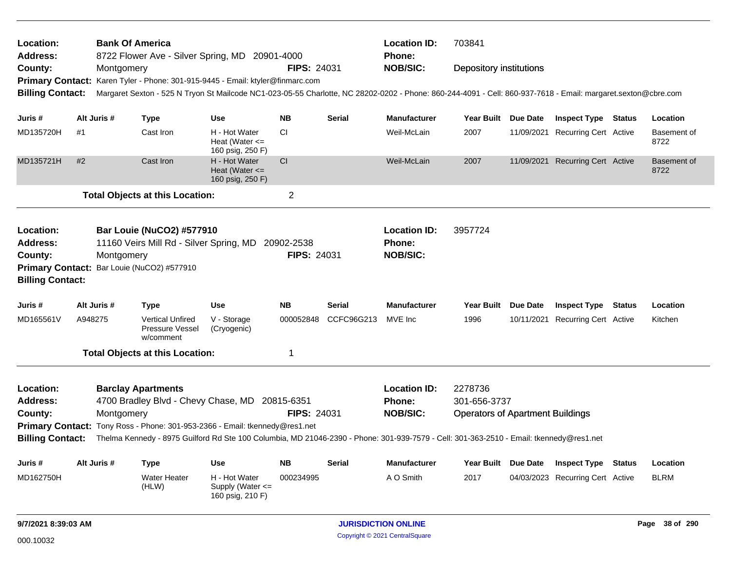| Location:<br><b>Address:</b> |             | <b>Bank Of America</b> |                                                         | 8722 Flower Ave - Silver Spring, MD 20901-4000                                                                                                                |                    |               | <b>Location ID:</b><br><b>Phone:</b> | 703841                                  |  |                                  |               |                     |
|------------------------------|-------------|------------------------|---------------------------------------------------------|---------------------------------------------------------------------------------------------------------------------------------------------------------------|--------------------|---------------|--------------------------------------|-----------------------------------------|--|----------------------------------|---------------|---------------------|
| County:                      |             | Montgomery             |                                                         |                                                                                                                                                               | <b>FIPS: 24031</b> |               | <b>NOB/SIC:</b>                      | <b>Depository institutions</b>          |  |                                  |               |                     |
|                              |             |                        |                                                         | Primary Contact: Karen Tyler - Phone: 301-915-9445 - Email: ktyler@finmarc.com                                                                                |                    |               |                                      |                                         |  |                                  |               |                     |
| <b>Billing Contact:</b>      |             |                        |                                                         | Margaret Sexton - 525 N Tryon St Mailcode NC1-023-05-55 Charlotte, NC 28202-0202 - Phone: 860-244-4091 - Cell: 860-937-7618 - Email: margaret.sexton@cbre.com |                    |               |                                      |                                         |  |                                  |               |                     |
|                              |             |                        |                                                         |                                                                                                                                                               |                    |               |                                      |                                         |  |                                  |               |                     |
| Juris #                      | Alt Juris # |                        | Type                                                    | <b>Use</b>                                                                                                                                                    | <b>NB</b>          | <b>Serial</b> | <b>Manufacturer</b>                  | Year Built Due Date                     |  | <b>Inspect Type Status</b>       |               | Location            |
| MD135720H                    | #1          |                        | Cast Iron                                               | H - Hot Water<br>Heat (Water $\leq$<br>160 psig, 250 F)                                                                                                       | <b>CI</b>          |               | Weil-McLain                          | 2007                                    |  | 11/09/2021 Recurring Cert Active |               | Basement of<br>8722 |
| MD135721H                    | #2          |                        | Cast Iron                                               | H - Hot Water<br>Heat (Water $\leq$<br>160 psig, 250 F)                                                                                                       | <b>CI</b>          |               | Weil-McLain                          | 2007                                    |  | 11/09/2021 Recurring Cert Active |               | Basement of<br>8722 |
|                              |             |                        | <b>Total Objects at this Location:</b>                  |                                                                                                                                                               | $\overline{2}$     |               |                                      |                                         |  |                                  |               |                     |
| Location:                    |             |                        | <b>Bar Louie (NuCO2) #577910</b>                        |                                                                                                                                                               |                    |               | <b>Location ID:</b>                  | 3957724                                 |  |                                  |               |                     |
| Address:                     |             |                        |                                                         | 11160 Veirs Mill Rd - Silver Spring, MD 20902-2538                                                                                                            |                    |               | Phone:                               |                                         |  |                                  |               |                     |
| County:                      |             | Montgomery             |                                                         |                                                                                                                                                               | <b>FIPS: 24031</b> |               | <b>NOB/SIC:</b>                      |                                         |  |                                  |               |                     |
| <b>Billing Contact:</b>      |             |                        | Primary Contact: Bar Louie (NuCO2) #577910              |                                                                                                                                                               |                    |               |                                      |                                         |  |                                  |               |                     |
| Juris #                      |             | Alt Juris #            | Type                                                    | <b>Use</b>                                                                                                                                                    | <b>NB</b>          | <b>Serial</b> | <b>Manufacturer</b>                  | Year Built Due Date                     |  | <b>Inspect Type Status</b>       |               | Location            |
| MD165561V                    | A948275     |                        | <b>Vertical Unfired</b><br>Pressure Vessel<br>w/comment | V - Storage<br>(Cryogenic)                                                                                                                                    | 000052848          | CCFC96G213    | MVE Inc                              | 1996                                    |  | 10/11/2021 Recurring Cert Active |               | Kitchen             |
|                              |             |                        | <b>Total Objects at this Location:</b>                  |                                                                                                                                                               | 1                  |               |                                      |                                         |  |                                  |               |                     |
| Location:                    |             |                        | <b>Barclay Apartments</b>                               |                                                                                                                                                               |                    |               | <b>Location ID:</b>                  | 2278736                                 |  |                                  |               |                     |
| <b>Address:</b>              |             |                        |                                                         | 4700 Bradley Blvd - Chevy Chase, MD 20815-6351                                                                                                                |                    |               | <b>Phone:</b>                        | 301-656-3737                            |  |                                  |               |                     |
| County:                      |             | Montgomery             |                                                         |                                                                                                                                                               | <b>FIPS: 24031</b> |               | <b>NOB/SIC:</b>                      | <b>Operators of Apartment Buildings</b> |  |                                  |               |                     |
|                              |             |                        |                                                         | Primary Contact: Tony Ross - Phone: 301-953-2366 - Email: tkennedy@res1.net                                                                                   |                    |               |                                      |                                         |  |                                  |               |                     |
| <b>Billing Contact:</b>      |             |                        |                                                         | Thelma Kennedy - 8975 Guilford Rd Ste 100 Columbia, MD 21046-2390 - Phone: 301-939-7579 - Cell: 301-363-2510 - Email: tkennedy@res1.net                       |                    |               |                                      |                                         |  |                                  |               |                     |
| Juris #                      | Alt Juris # |                        | <b>Type</b>                                             | <b>Use</b>                                                                                                                                                    | <b>NB</b>          | Serial        | <b>Manufacturer</b>                  | Year Built Due Date                     |  | <b>Inspect Type</b>              | <b>Status</b> | Location            |
| MD162750H                    |             |                        | <b>Water Heater</b><br>(HLW)                            | H - Hot Water<br>Supply (Water $\leq$<br>160 psig, 210 F)                                                                                                     | 000234995          |               | A O Smith                            | 2017                                    |  | 04/03/2023 Recurring Cert Active |               | <b>BLRM</b>         |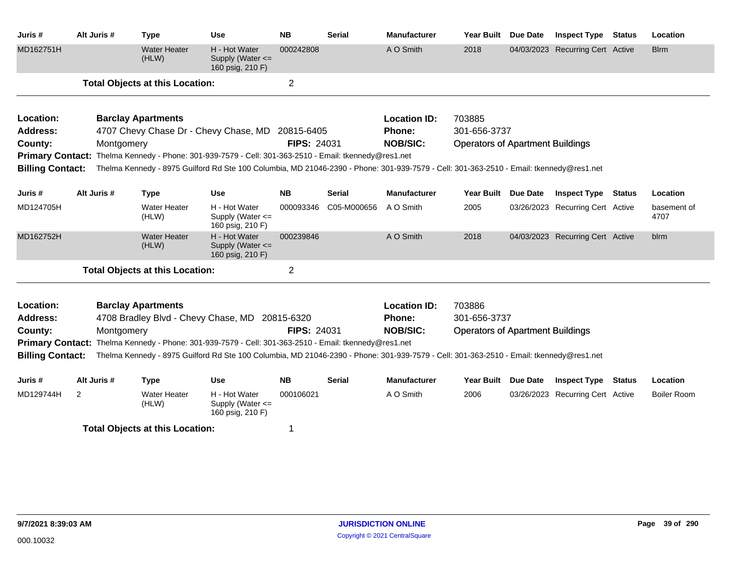| Juris #                                | Alt Juris #                                                                                                                                                                                                                                      | <b>Type</b>                            | <b>Use</b>                                                                                                                              | <b>NB</b>          | <b>Serial</b> | <b>Manufacturer</b> | <b>Year Built</b>                       | <b>Due Date</b> | <b>Inspect Type</b>              | <b>Status</b> | Location            |
|----------------------------------------|--------------------------------------------------------------------------------------------------------------------------------------------------------------------------------------------------------------------------------------------------|----------------------------------------|-----------------------------------------------------------------------------------------------------------------------------------------|--------------------|---------------|---------------------|-----------------------------------------|-----------------|----------------------------------|---------------|---------------------|
| MD162751H                              |                                                                                                                                                                                                                                                  | <b>Water Heater</b><br>(HLW)           | H - Hot Water<br>Supply (Water <=<br>160 psig, 210 F)                                                                                   | 000242808          |               | A O Smith           | 2018                                    |                 | 04/03/2023 Recurring Cert Active |               | <b>Blrm</b>         |
|                                        |                                                                                                                                                                                                                                                  | <b>Total Objects at this Location:</b> |                                                                                                                                         | $\overline{2}$     |               |                     |                                         |                 |                                  |               |                     |
| Location:                              |                                                                                                                                                                                                                                                  | <b>Barclay Apartments</b>              |                                                                                                                                         |                    |               | <b>Location ID:</b> | 703885                                  |                 |                                  |               |                     |
| Address:                               |                                                                                                                                                                                                                                                  |                                        | 4707 Chevy Chase Dr - Chevy Chase, MD 20815-6405                                                                                        |                    |               | <b>Phone:</b>       | 301-656-3737                            |                 |                                  |               |                     |
| County:                                | Montgomery                                                                                                                                                                                                                                       |                                        |                                                                                                                                         | <b>FIPS: 24031</b> |               | <b>NOB/SIC:</b>     | <b>Operators of Apartment Buildings</b> |                 |                                  |               |                     |
| <b>Billing Contact:</b>                |                                                                                                                                                                                                                                                  |                                        | Primary Contact: Thelma Kennedy - Phone: 301-939-7579 - Cell: 301-363-2510 - Email: tkennedy@res1.net                                   |                    |               |                     |                                         |                 |                                  |               |                     |
|                                        |                                                                                                                                                                                                                                                  |                                        | Thelma Kennedy - 8975 Guilford Rd Ste 100 Columbia, MD 21046-2390 - Phone: 301-939-7579 - Cell: 301-363-2510 - Email: tkennedy@res1.net |                    |               |                     |                                         |                 |                                  |               |                     |
| Juris #                                | Alt Juris #                                                                                                                                                                                                                                      | <b>Type</b>                            | <b>Use</b>                                                                                                                              | <b>NB</b>          | Serial        | <b>Manufacturer</b> | <b>Year Built</b>                       | <b>Due Date</b> | <b>Inspect Type Status</b>       |               | Location            |
| MD124705H                              |                                                                                                                                                                                                                                                  | <b>Water Heater</b><br>(HLW)           | H - Hot Water<br>Supply (Water <=<br>160 psig, 210 F)                                                                                   | 000093346          | C05-M000656   | A O Smith           | 2005                                    |                 | 03/26/2023 Recurring Cert Active |               | basement of<br>4707 |
| MD162752H                              |                                                                                                                                                                                                                                                  | <b>Water Heater</b><br>(HLW)           | H - Hot Water<br>Supply (Water <=<br>160 psig, 210 F)                                                                                   | 000239846          |               | A O Smith           | 2018                                    |                 | 04/03/2023 Recurring Cert Active |               | blrm                |
|                                        |                                                                                                                                                                                                                                                  | <b>Total Objects at this Location:</b> |                                                                                                                                         | $\overline{2}$     |               |                     |                                         |                 |                                  |               |                     |
| Location:                              |                                                                                                                                                                                                                                                  | <b>Barclay Apartments</b>              |                                                                                                                                         |                    |               | <b>Location ID:</b> | 703886                                  |                 |                                  |               |                     |
| Address:                               |                                                                                                                                                                                                                                                  |                                        | 4708 Bradley Blvd - Chevy Chase, MD 20815-6320                                                                                          |                    |               | Phone:              | 301-656-3737                            |                 |                                  |               |                     |
| County:                                | Montgomery                                                                                                                                                                                                                                       |                                        |                                                                                                                                         | <b>FIPS: 24031</b> |               | <b>NOB/SIC:</b>     | <b>Operators of Apartment Buildings</b> |                 |                                  |               |                     |
| <b>Billing Contact:</b>                | Primary Contact: Thelma Kennedy - Phone: 301-939-7579 - Cell: 301-363-2510 - Email: tkennedy@res1.net<br>Thelma Kennedy - 8975 Guilford Rd Ste 100 Columbia, MD 21046-2390 - Phone: 301-939-7579 - Cell: 301-363-2510 - Email: tkennedy@res1.net |                                        |                                                                                                                                         |                    |               |                     |                                         |                 |                                  |               |                     |
| Juris #                                | Alt Juris #                                                                                                                                                                                                                                      | <b>Type</b>                            | <b>Use</b>                                                                                                                              | <b>NB</b>          | <b>Serial</b> | <b>Manufacturer</b> | <b>Year Built</b>                       | <b>Due Date</b> | <b>Inspect Type</b>              | <b>Status</b> | Location            |
| MD129744H                              | $\overline{2}$                                                                                                                                                                                                                                   | <b>Water Heater</b><br>(HLW)           | H - Hot Water<br>Supply (Water $\leq$<br>160 psig, 210 F)                                                                               | 000106021          |               | A O Smith           | 2006                                    |                 | 03/26/2023 Recurring Cert Active |               | <b>Boiler Room</b>  |
| <b>Total Objects at this Location:</b> |                                                                                                                                                                                                                                                  |                                        | 1                                                                                                                                       |                    |               |                     |                                         |                 |                                  |               |                     |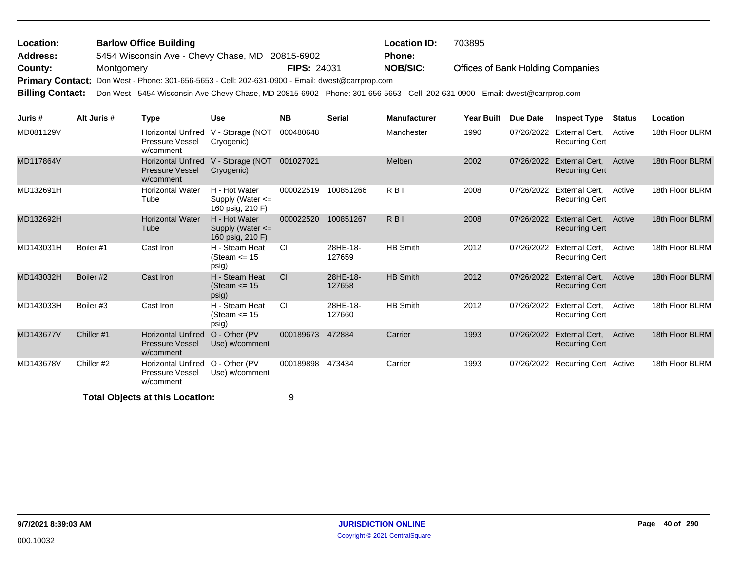## Offices of Bank Holding Companies 5454 Wisconsin Ave - Chevy Chase, MD 20815-6902 **County:** Montgomery **NOB/SIC: PIPS:** 24031 **NOB/SIC:** Primary Contact: Don West - Phone: 301-656-5653 - Cell: 202-631-0900 - Email: dwest@carrprop.com **Billing Contact:** Don West - 5454 Wisconsin Ave Chevy Chase, MD 20815-6902 - Phone: 301-656-5653 - Cell: 202-631-0900 - Email: dwest@carrprop.com **Barlow Office Building Location ID:** 703895 **Address: Location: FIPS:** 24031 **Phone:**

| Juris #   | Alt Juris # | Type                                                             | <b>Use</b>                                                | <b>NB</b> | <b>Serial</b>      | <b>Manufacturer</b> | <b>Year Built</b> | Due Date   | <b>Inspect Type</b>                            | <b>Status</b> | Location        |
|-----------|-------------|------------------------------------------------------------------|-----------------------------------------------------------|-----------|--------------------|---------------------|-------------------|------------|------------------------------------------------|---------------|-----------------|
| MD081129V |             | <b>Horizontal Unfired</b><br>Pressure Vessel<br>w/comment        | V - Storage (NOT<br>Cryogenic)                            | 000480648 |                    | Manchester          | 1990              | 07/26/2022 | External Cert.<br><b>Recurring Cert</b>        | Active        | 18th Floor BLRM |
| MD117864V |             | <b>Horizontal Unfired</b><br><b>Pressure Vessel</b><br>w/comment | V - Storage (NOT<br>Cryogenic)                            | 001027021 |                    | Melben              | 2002              | 07/26/2022 | External Cert.<br><b>Recurring Cert</b>        | Active        | 18th Floor BLRM |
| MD132691H |             | <b>Horizontal Water</b><br>Tube                                  | H - Hot Water<br>Supply (Water $\leq$<br>160 psig, 210 F) | 000022519 | 100851266          | R <sub>B</sub>      | 2008              | 07/26/2022 | External Cert,<br><b>Recurring Cert</b>        | Active        | 18th Floor BLRM |
| MD132692H |             | <b>Horizontal Water</b><br>Tube                                  | H - Hot Water<br>Supply (Water $\leq$<br>160 psig, 210 F) | 000022520 | 100851267          | R <sub>BI</sub>     | 2008              | 07/26/2022 | <b>External Cert.</b><br><b>Recurring Cert</b> | Active        | 18th Floor BLRM |
| MD143031H | Boiler #1   | Cast Iron                                                        | H - Steam Heat<br>(Steam $\le$ 15<br>psig)                | <b>CI</b> | 28HE-18-<br>127659 | <b>HB Smith</b>     | 2012              | 07/26/2022 | <b>External Cert.</b><br><b>Recurring Cert</b> | Active        | 18th Floor BLRM |
| MD143032H | Boiler #2   | Cast Iron                                                        | H - Steam Heat<br>(Steam $\le$ 15<br>psig)                | <b>CI</b> | 28HE-18-<br>127658 | <b>HB Smith</b>     | 2012              | 07/26/2022 | External Cert.<br><b>Recurring Cert</b>        | Active        | 18th Floor BLRM |
| MD143033H | Boiler #3   | Cast Iron                                                        | H - Steam Heat<br>(Steam $\le$ 15<br>psig)                | <b>CI</b> | 28HE-18-<br>127660 | <b>HB Smith</b>     | 2012              | 07/26/2022 | External Cert,<br><b>Recurring Cert</b>        | Active        | 18th Floor BLRM |
| MD143677V | Chiller #1  | <b>Horizontal Unfired</b><br><b>Pressure Vessel</b><br>w/comment | O - Other (PV)<br>Use) w/comment                          | 000189673 | 472884             | Carrier             | 1993              | 07/26/2022 | External Cert,<br><b>Recurring Cert</b>        | Active        | 18th Floor BLRM |
| MD143678V | Chiller #2  | <b>Horizontal Unfired</b><br>Pressure Vessel<br>w/comment        | O - Other (PV<br>Use) w/comment                           | 000189898 | 473434             | Carrier             | 1993              | 07/26/2022 | <b>Recurring Cert Active</b>                   |               | 18th Floor BLRM |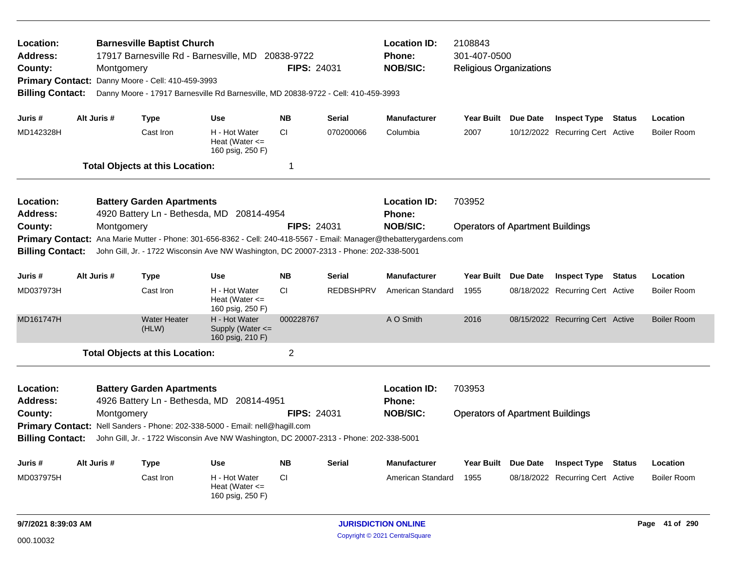| Location:<br>Address:<br>County:<br><b>Primary Contact:</b><br><b>Billing Contact:</b>                            |                                                                                                                                                                                                                                          | <b>Barnesville Baptist Church</b><br>17917 Barnesville Rd - Barnesville, MD<br>20838-9722<br><b>FIPS: 24031</b><br>Montgomery<br>Danny Moore - Cell: 410-459-3993<br>Danny Moore - 17917 Barnesville Rd Barnesville, MD 20838-9722 - Cell: 410-459-3993 |                                                                               |                                                         |                    |                  | <b>Location ID:</b><br><b>Phone:</b><br><b>NOB/SIC:</b> | 2108843<br>301-407-0500<br><b>Religious Organizations</b> |  |                                  |               |                    |
|-------------------------------------------------------------------------------------------------------------------|------------------------------------------------------------------------------------------------------------------------------------------------------------------------------------------------------------------------------------------|---------------------------------------------------------------------------------------------------------------------------------------------------------------------------------------------------------------------------------------------------------|-------------------------------------------------------------------------------|---------------------------------------------------------|--------------------|------------------|---------------------------------------------------------|-----------------------------------------------------------|--|----------------------------------|---------------|--------------------|
| Juris #                                                                                                           | Alt Juris #                                                                                                                                                                                                                              |                                                                                                                                                                                                                                                         | <b>Type</b>                                                                   | <b>Use</b>                                              | <b>NB</b>          | Serial           | <b>Manufacturer</b>                                     | Year Built Due Date                                       |  | <b>Inspect Type Status</b>       |               | Location           |
| MD142328H                                                                                                         |                                                                                                                                                                                                                                          |                                                                                                                                                                                                                                                         | Cast Iron                                                                     | H - Hot Water<br>Heat (Water $\leq$<br>160 psig, 250 F) | <b>CI</b>          | 070200066        | Columbia                                                | 2007                                                      |  | 10/12/2022 Recurring Cert Active |               | <b>Boiler Room</b> |
|                                                                                                                   |                                                                                                                                                                                                                                          |                                                                                                                                                                                                                                                         | <b>Total Objects at this Location:</b>                                        |                                                         | 1                  |                  |                                                         |                                                           |  |                                  |               |                    |
| Location:<br><b>Address:</b>                                                                                      |                                                                                                                                                                                                                                          |                                                                                                                                                                                                                                                         | <b>Battery Garden Apartments</b><br>4920 Battery Ln - Bethesda, MD 20814-4954 |                                                         |                    |                  | <b>Location ID:</b><br>Phone:                           | 703952                                                    |  |                                  |               |                    |
| County:                                                                                                           |                                                                                                                                                                                                                                          | Montgomery                                                                                                                                                                                                                                              |                                                                               |                                                         | <b>FIPS: 24031</b> |                  | <b>NOB/SIC:</b>                                         | <b>Operators of Apartment Buildings</b>                   |  |                                  |               |                    |
|                                                                                                                   | Primary Contact: Ana Marie Mutter - Phone: 301-656-8362 - Cell: 240-418-5567 - Email: Manager@thebatterygardens.com<br>John Gill, Jr. - 1722 Wisconsin Ave NW Washington, DC 20007-2313 - Phone: 202-338-5001<br><b>Billing Contact:</b> |                                                                                                                                                                                                                                                         |                                                                               |                                                         |                    |                  |                                                         |                                                           |  |                                  |               |                    |
| Juris #                                                                                                           | Alt Juris #                                                                                                                                                                                                                              |                                                                                                                                                                                                                                                         | <b>Type</b>                                                                   | <b>Use</b>                                              | <b>NB</b>          | Serial           | <b>Manufacturer</b>                                     | Year Built Due Date                                       |  | <b>Inspect Type</b>              | Status        | Location           |
| MD037973H                                                                                                         |                                                                                                                                                                                                                                          |                                                                                                                                                                                                                                                         | Cast Iron                                                                     | H - Hot Water<br>Heat (Water $\leq$<br>160 psig, 250 F) | <b>CI</b>          | <b>REDBSHPRV</b> | American Standard                                       | 1955                                                      |  | 08/18/2022 Recurring Cert Active |               | <b>Boiler Room</b> |
| MD161747H                                                                                                         |                                                                                                                                                                                                                                          |                                                                                                                                                                                                                                                         | <b>Water Heater</b><br>(HLW)                                                  | H - Hot Water<br>Supply (Water <=<br>160 psig, 210 F)   | 000228767          |                  | A O Smith                                               | 2016                                                      |  | 08/15/2022 Recurring Cert Active |               | <b>Boiler Room</b> |
|                                                                                                                   |                                                                                                                                                                                                                                          |                                                                                                                                                                                                                                                         | <b>Total Objects at this Location:</b>                                        |                                                         | $\overline{c}$     |                  |                                                         |                                                           |  |                                  |               |                    |
| Location:<br><b>Address:</b>                                                                                      |                                                                                                                                                                                                                                          |                                                                                                                                                                                                                                                         | <b>Battery Garden Apartments</b><br>4926 Battery Ln - Bethesda, MD            | 20814-4951                                              |                    |                  | <b>Location ID:</b><br><b>Phone:</b>                    | 703953                                                    |  |                                  |               |                    |
| County:                                                                                                           |                                                                                                                                                                                                                                          | Montgomery                                                                                                                                                                                                                                              |                                                                               |                                                         | <b>FIPS: 24031</b> |                  | <b>NOB/SIC:</b>                                         | <b>Operators of Apartment Buildings</b>                   |  |                                  |               |                    |
|                                                                                                                   |                                                                                                                                                                                                                                          |                                                                                                                                                                                                                                                         | Primary Contact: Nell Sanders - Phone: 202-338-5000 - Email: nell@hagill.com  |                                                         |                    |                  |                                                         |                                                           |  |                                  |               |                    |
| <b>Billing Contact:</b><br>John Gill, Jr. - 1722 Wisconsin Ave NW Washington, DC 20007-2313 - Phone: 202-338-5001 |                                                                                                                                                                                                                                          |                                                                                                                                                                                                                                                         |                                                                               |                                                         |                    |                  |                                                         |                                                           |  |                                  |               |                    |
| Juris #                                                                                                           | Alt Juris #                                                                                                                                                                                                                              |                                                                                                                                                                                                                                                         | <b>Type</b>                                                                   | Use                                                     | <b>NB</b>          | <b>Serial</b>    | <b>Manufacturer</b>                                     | Year Built Due Date                                       |  | <b>Inspect Type</b>              | <b>Status</b> | Location           |
| MD037975H                                                                                                         |                                                                                                                                                                                                                                          |                                                                                                                                                                                                                                                         | Cast Iron                                                                     | H - Hot Water<br>Heat (Water $\leq$<br>160 psig, 250 F) | <b>CI</b>          |                  | American Standard                                       | 1955                                                      |  | 08/18/2022 Recurring Cert Active |               | <b>Boiler Room</b> |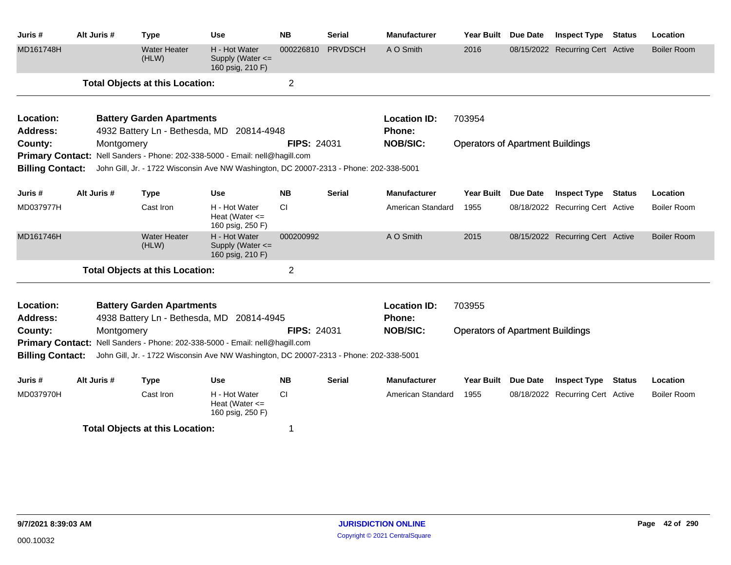| Juris#                  | Alt Juris # | <b>Type</b>                                                                            | <b>Use</b>                                                | <b>NB</b>          | <b>Serial</b>  | <b>Manufacturer</b> | <b>Year Built</b>                       | <b>Due Date</b> | <b>Inspect Type</b>              | <b>Status</b> | Location           |
|-------------------------|-------------|----------------------------------------------------------------------------------------|-----------------------------------------------------------|--------------------|----------------|---------------------|-----------------------------------------|-----------------|----------------------------------|---------------|--------------------|
| MD161748H               |             | <b>Water Heater</b><br>(HLW)                                                           | H - Hot Water<br>Supply (Water $\leq$<br>160 psig, 210 F) | 000226810          | <b>PRVDSCH</b> | A O Smith           | 2016                                    |                 | 08/15/2022 Recurring Cert Active |               | <b>Boiler Room</b> |
|                         |             | <b>Total Objects at this Location:</b>                                                 |                                                           | $\overline{2}$     |                |                     |                                         |                 |                                  |               |                    |
| Location:               |             | <b>Battery Garden Apartments</b>                                                       |                                                           |                    |                | <b>Location ID:</b> | 703954                                  |                 |                                  |               |                    |
| <b>Address:</b>         |             | 4932 Battery Ln - Bethesda, MD 20814-4948                                              |                                                           |                    |                | Phone:              |                                         |                 |                                  |               |                    |
| County:                 | Montgomery  |                                                                                        |                                                           | <b>FIPS: 24031</b> |                | <b>NOB/SIC:</b>     | <b>Operators of Apartment Buildings</b> |                 |                                  |               |                    |
|                         |             | Primary Contact: Nell Sanders - Phone: 202-338-5000 - Email: nell@hagill.com           |                                                           |                    |                |                     |                                         |                 |                                  |               |                    |
| <b>Billing Contact:</b> |             | John Gill, Jr. - 1722 Wisconsin Ave NW Washington, DC 20007-2313 - Phone: 202-338-5001 |                                                           |                    |                |                     |                                         |                 |                                  |               |                    |
| Juris #                 | Alt Juris # | <b>Type</b>                                                                            | Use                                                       | <b>NB</b>          | <b>Serial</b>  | <b>Manufacturer</b> | <b>Year Built</b>                       | Due Date        | <b>Inspect Type Status</b>       |               | Location           |
| MD037977H               |             | Cast Iron                                                                              | H - Hot Water<br>Heat (Water $\leq$ =<br>160 psig, 250 F) | <b>CI</b>          |                | American Standard   | 1955                                    |                 | 08/18/2022 Recurring Cert Active |               | Boiler Room        |
| MD161746H               |             | <b>Water Heater</b><br>(HLW)                                                           | H - Hot Water<br>Supply (Water $\leq$<br>160 psig, 210 F) | 000200992          |                | A O Smith           | 2015                                    |                 | 08/15/2022 Recurring Cert Active |               | <b>Boiler Room</b> |
|                         |             | <b>Total Objects at this Location:</b>                                                 |                                                           | $\overline{2}$     |                |                     |                                         |                 |                                  |               |                    |
| Location:               |             | <b>Battery Garden Apartments</b>                                                       |                                                           |                    |                | <b>Location ID:</b> | 703955                                  |                 |                                  |               |                    |
| <b>Address:</b>         |             | 4938 Battery Ln - Bethesda, MD 20814-4945                                              |                                                           |                    |                | Phone:              |                                         |                 |                                  |               |                    |
| County:                 | Montgomery  |                                                                                        |                                                           | <b>FIPS: 24031</b> |                | <b>NOB/SIC:</b>     | <b>Operators of Apartment Buildings</b> |                 |                                  |               |                    |
|                         |             | Primary Contact: Nell Sanders - Phone: 202-338-5000 - Email: nell@hagill.com           |                                                           |                    |                |                     |                                         |                 |                                  |               |                    |
| <b>Billing Contact:</b> |             | John Gill, Jr. - 1722 Wisconsin Ave NW Washington, DC 20007-2313 - Phone: 202-338-5001 |                                                           |                    |                |                     |                                         |                 |                                  |               |                    |
| Juris #                 | Alt Juris # | <b>Type</b>                                                                            | <b>Use</b>                                                | <b>NB</b>          | <b>Serial</b>  | <b>Manufacturer</b> | <b>Year Built</b>                       | <b>Due Date</b> | <b>Inspect Type</b>              | <b>Status</b> | Location           |
| MD037970H               |             | Cast Iron                                                                              | H - Hot Water<br>Heat (Water $\leq$<br>160 psig, 250 F)   | <b>CI</b>          |                | American Standard   | 1955                                    |                 | 08/18/2022 Recurring Cert Active |               | Boiler Room        |
|                         |             | <b>Total Objects at this Location:</b>                                                 |                                                           |                    |                |                     |                                         |                 |                                  |               |                    |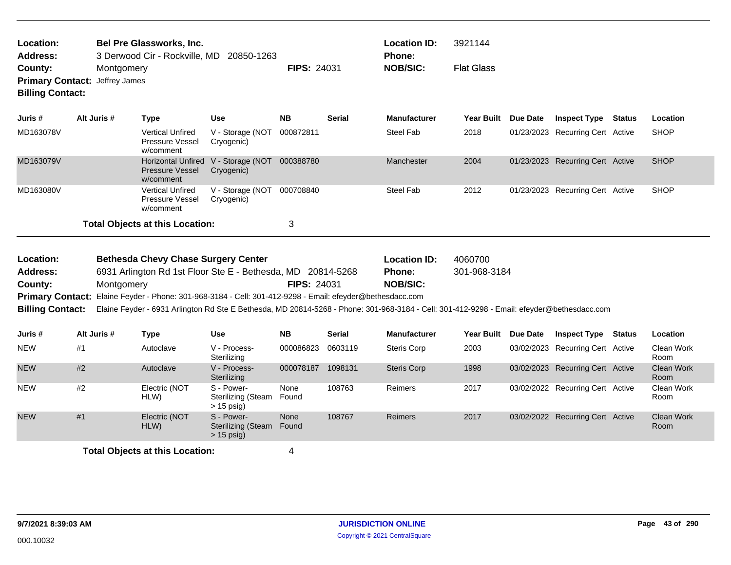| <b>Bel Pre Glassworks, Inc.</b><br>Location:<br><b>Address:</b><br>3 Derwood Cir - Rockville, MD 20850-1263<br>County:<br>Montgomery<br><b>Primary Contact:</b><br>Jeffrey James<br><b>Billing Contact:</b> |             |                                                                                                                                            | <b>FIPS: 24031</b>                                          |                    | <b>Location ID:</b><br>Phone:<br><b>NOB/SIC:</b> | 3921144<br><b>Flat Glass</b>                            |                         |                 |                                  |               |                           |
|-------------------------------------------------------------------------------------------------------------------------------------------------------------------------------------------------------------|-------------|--------------------------------------------------------------------------------------------------------------------------------------------|-------------------------------------------------------------|--------------------|--------------------------------------------------|---------------------------------------------------------|-------------------------|-----------------|----------------------------------|---------------|---------------------------|
| Juris #                                                                                                                                                                                                     | Alt Juris # | <b>Type</b>                                                                                                                                | <b>Use</b>                                                  | <b>NB</b>          | <b>Serial</b>                                    | <b>Manufacturer</b>                                     | <b>Year Built</b>       | <b>Due Date</b> | <b>Inspect Type Status</b>       |               | Location                  |
| MD163078V                                                                                                                                                                                                   |             | <b>Vertical Unfired</b><br>Pressure Vessel<br>w/comment                                                                                    | V - Storage (NOT<br>Cryogenic)                              | 000872811          |                                                  | <b>Steel Fab</b>                                        | 2018                    |                 | 01/23/2023 Recurring Cert Active |               | <b>SHOP</b>               |
| MD163079V                                                                                                                                                                                                   |             | Pressure Vessel<br>w/comment                                                                                                               | Horizontal Unfired V - Storage (NOT 000388780<br>Cryogenic) |                    |                                                  | Manchester                                              | 2004                    |                 | 01/23/2023 Recurring Cert Active |               | <b>SHOP</b>               |
| MD163080V                                                                                                                                                                                                   |             | <b>Vertical Unfired</b><br>Pressure Vessel<br>w/comment                                                                                    | V - Storage (NOT 000708840<br>Cryogenic)                    |                    |                                                  | Steel Fab                                               | 2012                    |                 | 01/23/2023 Recurring Cert Active |               | <b>SHOP</b>               |
|                                                                                                                                                                                                             |             | <b>Total Objects at this Location:</b>                                                                                                     |                                                             | 3                  |                                                  |                                                         |                         |                 |                                  |               |                           |
| Location:<br>Address:<br>County:                                                                                                                                                                            |             | <b>Bethesda Chevy Chase Surgery Center</b><br>6931 Arlington Rd 1st Floor Ste E - Bethesda, MD 20814-5268<br>Montgomery                    |                                                             | <b>FIPS: 24031</b> |                                                  | <b>Location ID:</b><br><b>Phone:</b><br><b>NOB/SIC:</b> | 4060700<br>301-968-3184 |                 |                                  |               |                           |
| <b>Primary Contact:</b>                                                                                                                                                                                     |             | Elaine Feyder - Phone: 301-968-3184 - Cell: 301-412-9298 - Email: efeyder@bethesdacc.com                                                   |                                                             |                    |                                                  |                                                         |                         |                 |                                  |               |                           |
| <b>Billing Contact:</b>                                                                                                                                                                                     |             | Elaine Feyder - 6931 Arlington Rd Ste E Bethesda, MD 20814-5268 - Phone: 301-968-3184 - Cell: 301-412-9298 - Email: efeyder@bethesdacc.com |                                                             |                    |                                                  |                                                         |                         |                 |                                  |               |                           |
| Juris #                                                                                                                                                                                                     | Alt Juris # | <b>Type</b>                                                                                                                                | <b>Use</b>                                                  | <b>NB</b>          | <b>Serial</b>                                    | <b>Manufacturer</b>                                     | <b>Year Built</b>       | <b>Due Date</b> | <b>Inspect Type</b>              | <b>Status</b> | Location                  |
| <b>NEW</b>                                                                                                                                                                                                  | #1          | Autoclave                                                                                                                                  | V - Process-<br>Sterilizing                                 | 000086823          | 0603119                                          | <b>Steris Corp</b>                                      | 2003                    |                 | 03/02/2023 Recurring Cert Active |               | Clean Work<br>Room        |
| <b>NEW</b>                                                                                                                                                                                                  | #2          | Autoclave                                                                                                                                  | V - Process-<br>Sterilizing                                 | 000078187 1098131  |                                                  | <b>Steris Corp</b>                                      | 1998                    |                 | 03/02/2023 Recurring Cert Active |               | <b>Clean Work</b><br>Room |
| <b>NEW</b>                                                                                                                                                                                                  | #2          | Electric (NOT<br>HLW)                                                                                                                      | S - Power-<br><b>Sterilizing (Steam</b><br>$> 15$ psig)     | None<br>Found      | 108763                                           | Reimers                                                 | 2017                    |                 | 03/02/2022 Recurring Cert Active |               | Clean Work<br>Room        |
| <b>NEW</b>                                                                                                                                                                                                  | #1          | Electric (NOT<br>HLW)                                                                                                                      | S - Power-<br>Sterilizing (Steam Found                      | None               | 108767                                           | Reimers                                                 | 2017                    |                 | 03/02/2022 Recurring Cert Active |               | <b>Clean Work</b><br>Room |

**Total Objects at this Location:** 4

Sterilizing (Steam > 15 psig)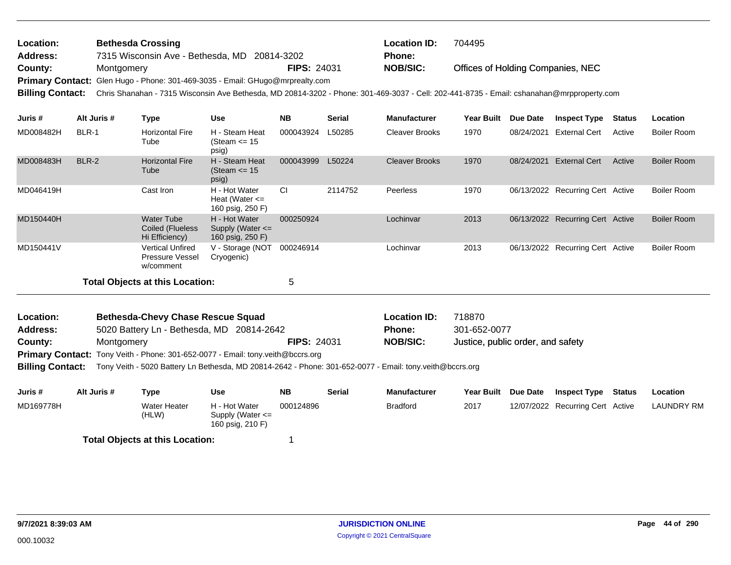| Location:       | <b>Bethesda Crossing</b>                                                                                                                                   |                    | <b>Location ID:</b> | 704495                            |
|-----------------|------------------------------------------------------------------------------------------------------------------------------------------------------------|--------------------|---------------------|-----------------------------------|
| <b>Address:</b> | 7315 Wisconsin Ave - Bethesda, MD 20814-3202                                                                                                               |                    | <b>Phone:</b>       |                                   |
| County:         | Montgomery                                                                                                                                                 | <b>FIPS: 24031</b> | NOB/SIC:            | Offices of Holding Companies, NEC |
|                 | Primary Contact: Glen Hugo - Phone: 301-469-3035 - Email: GHugo@mrprealty.com                                                                              |                    |                     |                                   |
|                 | Billing Contact: Chris Shanahan - 7315 Wisconsin Ave Bethesda, MD 20814-3202 - Phone: 301-469-3037 - Cell: 202-441-8735 - Email: cshanahan@mrpproperty.com |                    |                     |                                   |

| Juris #   | Alt Juris # | Type                                                           | Use                                                       | <b>NB</b> | <b>Serial</b> | <b>Manufacturer</b>   | <b>Year Built</b> | Due Date   | <b>Inspect Type</b>              | <b>Status</b> | Location           |
|-----------|-------------|----------------------------------------------------------------|-----------------------------------------------------------|-----------|---------------|-----------------------|-------------------|------------|----------------------------------|---------------|--------------------|
| MD008482H | BLR-1       | <b>Horizontal Fire</b><br>Tube                                 | H - Steam Heat<br>(Steam $\leq$ 15<br>psig)               | 000043924 | L50285        | Cleaver Brooks        | 1970              | 08/24/2021 | <b>External Cert</b>             | Active        | Boiler Room        |
| MD008483H | BLR-2       | <b>Horizontal Fire</b><br>Tube                                 | H - Steam Heat<br>(Steam $\le$ 15<br>psig)                | 000043999 | L50224        | <b>Cleaver Brooks</b> | 1970              | 08/24/2021 | <b>External Cert</b>             | Active        | Boiler Room        |
| MD046419H |             | Cast Iron                                                      | H - Hot Water<br>Heat (Water $\leq$<br>160 psig, 250 F)   | CI        | 2114752       | Peerless              | 1970              |            | 06/13/2022 Recurring Cert Active |               | Boiler Room        |
| MD150440H |             | <b>Water Tube</b><br>Coiled (Flueless<br>Hi Efficiency)        | H - Hot Water<br>Supply (Water $\leq$<br>160 psig, 250 F) | 000250924 |               | Lochinvar             | 2013              |            | 06/13/2022 Recurring Cert Active |               | <b>Boiler Room</b> |
| MD150441V |             | <b>Vertical Unfired</b><br><b>Pressure Vessel</b><br>w/comment | V - Storage (NOT<br>Cryogenic)                            | 000246914 |               | Lochinvar             | 2013              |            | 06/13/2022 Recurring Cert Active |               | Boiler Room        |
|           |             | <b>Total Objects at this Location:</b>                         |                                                           | 5         |               |                       |                   |            |                                  |               |                    |

| <b>Location:</b> | <b>Bethesda-Chevy Chase Rescue Squad</b>                                               |                    | <b>Location ID:</b> | 718870                            |
|------------------|----------------------------------------------------------------------------------------|--------------------|---------------------|-----------------------------------|
| Address:         | 5020 Battery Ln - Bethesda, MD 20814-2642                                              |                    | <b>Phone:</b>       | 301-652-0077                      |
| County:          | Montgomery                                                                             | <b>FIPS: 24031</b> | <b>NOB/SIC:</b>     | Justice, public order, and safety |
|                  | <b>Primary Contact:</b> Tony Veith - Phone: 301-652-0077 - Email: tony.veith@bccrs.org |                    |                     |                                   |

**Billing Contact:** Tony Veith - 5020 Battery Ln Bethesda, MD 20814-2642 - Phone: 301-652-0077 - Email: tony.veith@bccrs.org

| Juris #   | Alt Juris # | Type                         | Use                                                       | <b>NB</b> | <b>Serial</b> | <b>Manufacturer</b> | Year Built Due Date | <b>Inspect Type</b>              | Status | Location          |
|-----------|-------------|------------------------------|-----------------------------------------------------------|-----------|---------------|---------------------|---------------------|----------------------------------|--------|-------------------|
| MD169778H |             | <b>Water Heater</b><br>(HLW) | H - Hot Water<br>Supply (Water $\leq$<br>160 psig, 210 F) | 000124896 |               | Bradford            | 2017                | 12/07/2022 Recurring Cert Active |        | <b>LAUNDRY RM</b> |
|           |             |                              |                                                           |           |               |                     |                     |                                  |        |                   |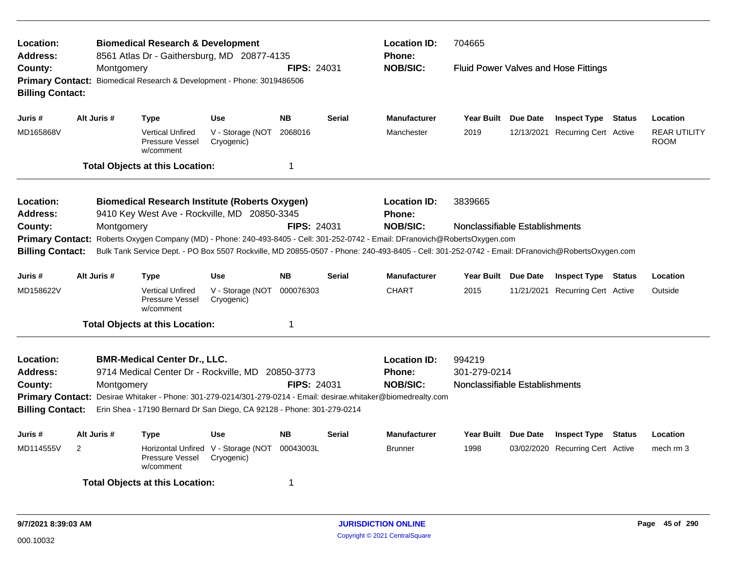| Location:<br>Address:                                                                             |                                                                                                                                                                            | <b>Biomedical Research &amp; Development</b><br>8561 Atlas Dr - Gaithersburg, MD 20877-4135                     |                                                   | <b>Location ID:</b><br>704665<br><b>Phone:</b> |                    |                                      |                                |          |                                             |        |                                    |
|---------------------------------------------------------------------------------------------------|----------------------------------------------------------------------------------------------------------------------------------------------------------------------------|-----------------------------------------------------------------------------------------------------------------|---------------------------------------------------|------------------------------------------------|--------------------|--------------------------------------|--------------------------------|----------|---------------------------------------------|--------|------------------------------------|
| County:<br><b>Billing Contact:</b>                                                                | Montgomery                                                                                                                                                                 | Primary Contact: Biomedical Research & Development - Phone: 3019486506                                          |                                                   | <b>FIPS: 24031</b>                             |                    | <b>NOB/SIC:</b>                      |                                |          | <b>Fluid Power Valves and Hose Fittings</b> |        |                                    |
| Juris #                                                                                           | Alt Juris #                                                                                                                                                                | <b>Type</b>                                                                                                     | <b>Use</b>                                        | <b>NB</b>                                      | <b>Serial</b>      | <b>Manufacturer</b>                  | Year Built Due Date            |          | <b>Inspect Type Status</b>                  |        | Location                           |
| MD165868V                                                                                         |                                                                                                                                                                            | <b>Vertical Unfired</b><br><b>Pressure Vessel</b><br>w/comment                                                  | V - Storage (NOT<br>Cryogenic)                    | 2068016                                        |                    | Manchester                           | 2019                           |          | 12/13/2021 Recurring Cert Active            |        | <b>REAR UTILITY</b><br><b>ROOM</b> |
|                                                                                                   |                                                                                                                                                                            | <b>Total Objects at this Location:</b>                                                                          |                                                   | -1                                             |                    |                                      |                                |          |                                             |        |                                    |
| Location:<br><b>Address:</b>                                                                      |                                                                                                                                                                            | <b>Biomedical Research Institute (Roberts Oxygen)</b><br>9410 Key West Ave - Rockville, MD 20850-3345           |                                                   |                                                |                    | <b>Location ID:</b><br><b>Phone:</b> | 3839665                        |          |                                             |        |                                    |
| County:                                                                                           | Montgomery                                                                                                                                                                 |                                                                                                                 |                                                   |                                                | <b>FIPS: 24031</b> | <b>NOB/SIC:</b>                      | Nonclassifiable Establishments |          |                                             |        |                                    |
|                                                                                                   | Roberts Oxygen Company (MD) - Phone: 240-493-8405 - Cell: 301-252-0742 - Email: DFranovich@RobertsOxygen.com<br><b>Primary Contact:</b>                                    |                                                                                                                 |                                                   |                                                |                    |                                      |                                |          |                                             |        |                                    |
|                                                                                                   | Bulk Tank Service Dept. - PO Box 5507 Rockville, MD 20855-0507 - Phone: 240-493-8405 - Cell: 301-252-0742 - Email: DFranovich@RobertsOxygen.com<br><b>Billing Contact:</b> |                                                                                                                 |                                                   |                                                |                    |                                      |                                |          |                                             |        |                                    |
| Juris #                                                                                           | Alt Juris #                                                                                                                                                                | <b>Type</b>                                                                                                     | <b>Use</b>                                        | <b>NB</b>                                      | <b>Serial</b>      | <b>Manufacturer</b>                  | Year Built Due Date            |          | <b>Inspect Type Status</b>                  |        | Location                           |
| MD158622V                                                                                         |                                                                                                                                                                            | <b>Vertical Unfired</b><br><b>Pressure Vessel</b><br>w/comment                                                  | V - Storage (NOT<br>Cryogenic)                    | 000076303                                      |                    | <b>CHART</b>                         | 2015                           |          | 11/21/2021 Recurring Cert Active            |        | Outside                            |
|                                                                                                   |                                                                                                                                                                            | <b>Total Objects at this Location:</b>                                                                          |                                                   | -1                                             |                    |                                      |                                |          |                                             |        |                                    |
| Location:<br>Address:                                                                             |                                                                                                                                                                            | <b>BMR-Medical Center Dr., LLC.</b><br>9714 Medical Center Dr - Rockville, MD                                   |                                                   | 20850-3773                                     |                    | <b>Location ID:</b><br><b>Phone:</b> | 994219<br>301-279-0214         |          |                                             |        |                                    |
| County:                                                                                           | Montgomery                                                                                                                                                                 |                                                                                                                 |                                                   | <b>FIPS: 24031</b>                             |                    | <b>NOB/SIC:</b>                      | Nonclassifiable Establishments |          |                                             |        |                                    |
|                                                                                                   |                                                                                                                                                                            | Primary Contact: Desirae Whitaker - Phone: 301-279-0214/301-279-0214 - Email: desirae.whitaker@biomedrealty.com |                                                   |                                                |                    |                                      |                                |          |                                             |        |                                    |
| Erin Shea - 17190 Bernard Dr San Diego, CA 92128 - Phone: 301-279-0214<br><b>Billing Contact:</b> |                                                                                                                                                                            |                                                                                                                 |                                                   |                                                |                    |                                      |                                |          |                                             |        |                                    |
| Juris #                                                                                           | Alt Juris #                                                                                                                                                                | <b>Type</b>                                                                                                     | <b>Use</b>                                        | <b>NB</b>                                      | <b>Serial</b>      | <b>Manufacturer</b>                  | <b>Year Built</b>              | Due Date | <b>Inspect Type</b>                         | Status | Location                           |
| MD114555V                                                                                         | $\overline{2}$                                                                                                                                                             | Pressure Vessel<br>w/comment                                                                                    | Horizontal Unfired V - Storage (NOT<br>Cryogenic) | 00043003L                                      |                    | <b>Brunner</b>                       | 1998                           |          | 03/02/2020 Recurring Cert Active            |        | mech rm 3                          |
| <b>Total Objects at this Location:</b><br>-1                                                      |                                                                                                                                                                            |                                                                                                                 |                                                   |                                                |                    |                                      |                                |          |                                             |        |                                    |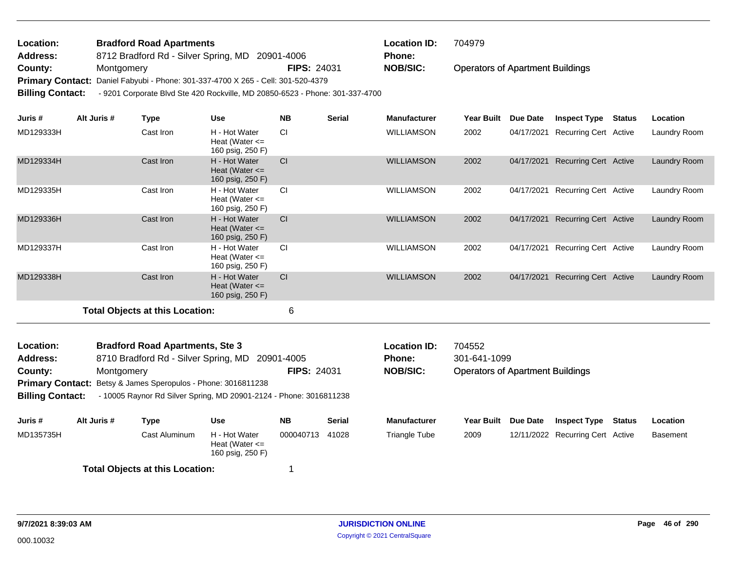| Location: | <b>Bradford Road Apartments</b>                                                               |                    | <b>Location ID:</b> | 704979                                  |  |  |  |  |  |  |
|-----------|-----------------------------------------------------------------------------------------------|--------------------|---------------------|-----------------------------------------|--|--|--|--|--|--|
| Address:  | 8712 Bradford Rd - Silver Spring, MD 20901-4006                                               |                    | <b>Phone:</b>       |                                         |  |  |  |  |  |  |
| County:   | Montgomery                                                                                    | <b>FIPS: 24031</b> | <b>NOB/SIC:</b>     | <b>Operators of Apartment Buildings</b> |  |  |  |  |  |  |
|           | Primary Contact: Daniel Fabyubi - Phone: 301-337-4700 X 265 - Cell: 301-520-4379              |                    |                     |                                         |  |  |  |  |  |  |
|           | Billing Contact: - 9201 Corporate Blvd Ste 420 Rockville, MD 20850-6523 - Phone: 301-337-4700 |                    |                     |                                         |  |  |  |  |  |  |

| Juris #   | Alt Juris # | Type                                   | Use                                                     | <b>NB</b> | <b>Serial</b> | <b>Manufacturer</b> | Year Built | <b>Due Date</b> | <b>Inspect Type</b>          | <b>Status</b> | Location     |
|-----------|-------------|----------------------------------------|---------------------------------------------------------|-----------|---------------|---------------------|------------|-----------------|------------------------------|---------------|--------------|
| MD129333H |             | Cast Iron                              | H - Hot Water<br>Heat (Water $\leq$<br>160 psig, 250 F) | <b>CI</b> |               | <b>WILLIAMSON</b>   | 2002       | 04/17/2021      | <b>Recurring Cert Active</b> |               | Laundry Room |
| MD129334H |             | Cast Iron                              | H - Hot Water<br>Heat (Water $\leq$<br>160 psig, 250 F) | CI        |               | <b>WILLIAMSON</b>   | 2002       | 04/17/2021      | Recurring Cert Active        |               | Laundry Room |
| MD129335H |             | Cast Iron                              | H - Hot Water<br>Heat (Water $\leq$<br>160 psig, 250 F) | <b>CI</b> |               | WILLIAMSON          | 2002       | 04/17/2021      | <b>Recurring Cert Active</b> |               | Laundry Room |
| MD129336H |             | Cast Iron                              | H - Hot Water<br>Heat (Water $\leq$<br>160 psig, 250 F) | <b>CI</b> |               | <b>WILLIAMSON</b>   | 2002       | 04/17/2021      | Recurring Cert Active        |               | Laundry Room |
| MD129337H |             | Cast Iron                              | H - Hot Water<br>Heat (Water $\leq$<br>160 psig, 250 F) | <b>CI</b> |               | <b>WILLIAMSON</b>   | 2002       | 04/17/2021      | Recurring Cert Active        |               | Laundry Room |
| MD129338H |             | Cast Iron                              | H - Hot Water<br>Heat (Water $\leq$<br>160 psig, 250 F) | CI        |               | <b>WILLIAMSON</b>   | 2002       | 04/17/2021      | <b>Recurring Cert Active</b> |               | Laundry Room |
|           |             | <b>Total Objects at this Location:</b> |                                                         | 6         |               |                     |            |                 |                              |               |              |
|           |             |                                        |                                                         |           |               |                     |            |                 |                              |               |              |

| Location:               |             | <b>Bradford Road Apartments, Ste 3</b>                               |                                                         |                    |               | <b>Location ID:</b> | 704552                                  |                 |                                  |        |          |
|-------------------------|-------------|----------------------------------------------------------------------|---------------------------------------------------------|--------------------|---------------|---------------------|-----------------------------------------|-----------------|----------------------------------|--------|----------|
| <b>Address:</b>         |             | 8710 Bradford Rd - Silver Spring, MD                                 |                                                         | 20901-4005         |               | <b>Phone:</b>       | 301-641-1099                            |                 |                                  |        |          |
| County:                 | Montgomery  |                                                                      |                                                         | <b>FIPS: 24031</b> |               | <b>NOB/SIC:</b>     | <b>Operators of Apartment Buildings</b> |                 |                                  |        |          |
|                         |             | <b>Primary Contact:</b> Betsy & James Speropulos - Phone: 3016811238 |                                                         |                    |               |                     |                                         |                 |                                  |        |          |
| <b>Billing Contact:</b> |             | - 10005 Raynor Rd Silver Spring, MD 20901-2124 - Phone: 3016811238   |                                                         |                    |               |                     |                                         |                 |                                  |        |          |
|                         |             |                                                                      |                                                         |                    |               |                     |                                         |                 |                                  |        |          |
| Juris #                 | Alt Juris # | Type                                                                 | Use                                                     | <b>NB</b>          | <b>Serial</b> | <b>Manufacturer</b> | <b>Year Built</b>                       | <b>Due Date</b> | <b>Inspect Type</b>              | Status | Location |
| MD135735H               |             | Cast Aluminum                                                        | H - Hot Water<br>Heat (Water $\leq$<br>160 psig, 250 F) | 000040713          | 41028         | Triangle Tube       | 2009                                    |                 | 12/11/2022 Recurring Cert Active |        | Basement |
|                         |             | <b>Total Objects at this Location:</b>                               |                                                         |                    |               |                     |                                         |                 |                                  |        |          |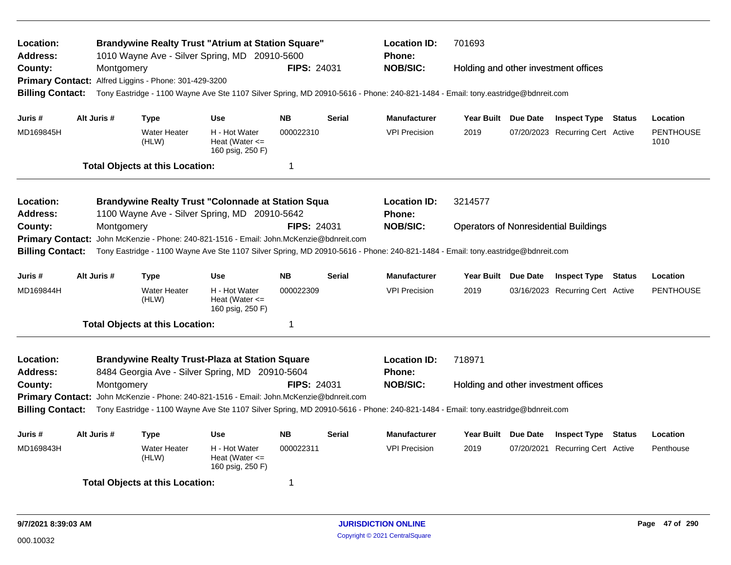| <b>Brandywine Realty Trust "Atrium at Station Square"</b><br>Location:<br>1010 Wayne Ave - Silver Spring, MD 20910-5600<br><b>Address:</b><br>County:<br>Montgomery<br>Primary Contact: Alfred Liggins - Phone: 301-429-3200<br><b>Billing Contact:</b><br>Tony Eastridge - 1100 Wayne Ave Ste 1107 Silver Spring, MD 20910-5616 - Phone: 240-821-1484 - Email: tony.eastridge@bdnreit.com<br>Alt Juris #<br>NB<br>Juris #<br><b>Type</b><br>Use<br>MD169845H<br><b>Water Heater</b><br>H - Hot Water |             |                                                                        |                                                                                                                                                                                                                                                                                                                        |                    | <b>FIPS: 24031</b><br><b>Serial</b>                                                                                             | <b>Location ID:</b><br><b>Phone:</b><br><b>NOB/SIC:</b><br><b>Manufacturer</b> | 701693<br>Year Built Due Date        | Holding and other investment offices<br><b>Inspect Type Status</b> |               | Location                 |
|-------------------------------------------------------------------------------------------------------------------------------------------------------------------------------------------------------------------------------------------------------------------------------------------------------------------------------------------------------------------------------------------------------------------------------------------------------------------------------------------------------|-------------|------------------------------------------------------------------------|------------------------------------------------------------------------------------------------------------------------------------------------------------------------------------------------------------------------------------------------------------------------------------------------------------------------|--------------------|---------------------------------------------------------------------------------------------------------------------------------|--------------------------------------------------------------------------------|--------------------------------------|--------------------------------------------------------------------|---------------|--------------------------|
|                                                                                                                                                                                                                                                                                                                                                                                                                                                                                                       |             | (HLW)                                                                  | Heat (Water $\leq$<br>160 psig, 250 F)                                                                                                                                                                                                                                                                                 | 000022310          |                                                                                                                                 | <b>VPI Precision</b>                                                           | 2019                                 | 07/20/2023 Recurring Cert Active                                   |               | <b>PENTHOUSE</b><br>1010 |
|                                                                                                                                                                                                                                                                                                                                                                                                                                                                                                       |             | <b>Total Objects at this Location:</b>                                 |                                                                                                                                                                                                                                                                                                                        | 1                  |                                                                                                                                 |                                                                                |                                      |                                                                    |               |                          |
| Location:<br><b>Address:</b><br>County:                                                                                                                                                                                                                                                                                                                                                                                                                                                               | Montgomery  |                                                                        | <b>Brandywine Realty Trust "Colonnade at Station Squa</b><br>1100 Wayne Ave - Silver Spring, MD 20910-5642                                                                                                                                                                                                             | <b>FIPS: 24031</b> |                                                                                                                                 | <b>Location ID:</b><br>Phone:<br><b>NOB/SIC:</b>                               | 3214577                              | <b>Operators of Nonresidential Buildings</b>                       |               |                          |
| <b>Primary Contact:</b><br><b>Billing Contact:</b>                                                                                                                                                                                                                                                                                                                                                                                                                                                    |             | John McKenzie - Phone: 240-821-1516 - Email: John McKenzie@bdnreit.com |                                                                                                                                                                                                                                                                                                                        |                    | Tony Eastridge - 1100 Wayne Ave Ste 1107 Silver Spring, MD 20910-5616 - Phone: 240-821-1484 - Email: tony.eastridge@bdnreit.com |                                                                                |                                      |                                                                    |               |                          |
| Juris #                                                                                                                                                                                                                                                                                                                                                                                                                                                                                               | Alt Juris # | <b>Type</b>                                                            | <b>Use</b>                                                                                                                                                                                                                                                                                                             | <b>NB</b>          | <b>Serial</b>                                                                                                                   | <b>Manufacturer</b>                                                            | Year Built Due Date                  | <b>Inspect Type Status</b>                                         |               | Location                 |
| MD169844H                                                                                                                                                                                                                                                                                                                                                                                                                                                                                             |             | <b>Water Heater</b><br>(HLW)                                           | H - Hot Water<br>Heat (Water $\leq$<br>160 psig, 250 F)                                                                                                                                                                                                                                                                | 000022309          |                                                                                                                                 | <b>VPI Precision</b>                                                           | 2019                                 | 03/16/2023 Recurring Cert Active                                   |               | <b>PENTHOUSE</b>         |
|                                                                                                                                                                                                                                                                                                                                                                                                                                                                                                       |             | <b>Total Objects at this Location:</b>                                 |                                                                                                                                                                                                                                                                                                                        | 1                  |                                                                                                                                 |                                                                                |                                      |                                                                    |               |                          |
| Location:<br><b>Address:</b><br>County:<br><b>Primary Contact:</b><br><b>Billing Contact:</b>                                                                                                                                                                                                                                                                                                                                                                                                         | Montgomery  |                                                                        | <b>Brandywine Realty Trust-Plaza at Station Square</b><br>8484 Georgia Ave - Silver Spring, MD 20910-5604<br>John McKenzie - Phone: 240-821-1516 - Email: John.McKenzie@bdnreit.com<br>Tony Eastridge - 1100 Wayne Ave Ste 1107 Silver Spring, MD 20910-5616 - Phone: 240-821-1484 - Email: tony.eastridge@bdnreit.com | <b>FIPS: 24031</b> | <b>Location ID:</b><br><b>Phone:</b><br><b>NOB/SIC:</b>                                                                         | 718971                                                                         | Holding and other investment offices |                                                                    |               |                          |
| Juris #                                                                                                                                                                                                                                                                                                                                                                                                                                                                                               | Alt Juris # | <b>Type</b>                                                            | <b>Use</b>                                                                                                                                                                                                                                                                                                             | <b>NB</b>          | <b>Serial</b>                                                                                                                   | Manufacturer                                                                   | Year Built Due Date                  | <b>Inspect Type</b>                                                | <b>Status</b> | Location                 |
| MD169843H                                                                                                                                                                                                                                                                                                                                                                                                                                                                                             |             | <b>Water Heater</b><br>(HLW)                                           | H - Hot Water<br>Heat (Water $\leq$<br>160 psig, 250 F)                                                                                                                                                                                                                                                                | 000022311          |                                                                                                                                 | <b>VPI Precision</b>                                                           | 2019                                 | 07/20/2021 Recurring Cert Active                                   |               | Penthouse                |
|                                                                                                                                                                                                                                                                                                                                                                                                                                                                                                       |             | <b>Total Objects at this Location:</b>                                 |                                                                                                                                                                                                                                                                                                                        | 1                  |                                                                                                                                 |                                                                                |                                      |                                                                    |               |                          |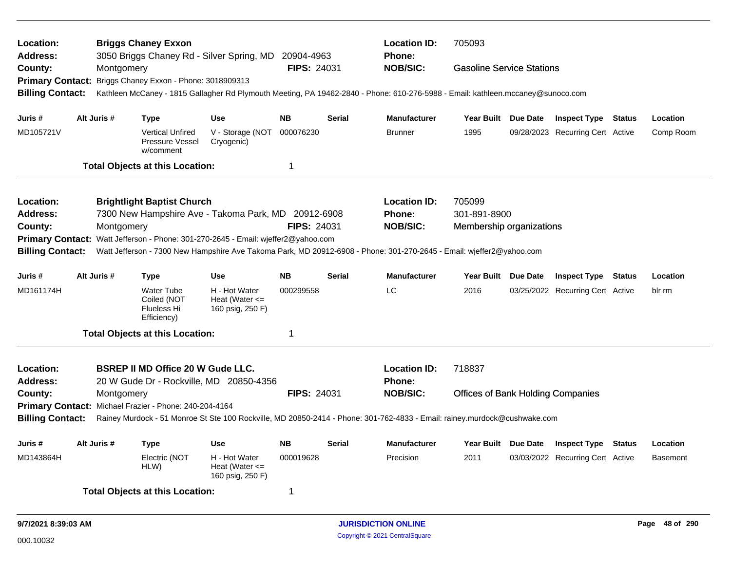| Location:<br><b>Address:</b> |             |            | <b>Briggs Chaney Exxon</b>                                            | 3050 Briggs Chaney Rd - Silver Spring, MD 20904-4963                                                                            |                    |               | <b>Location ID:</b><br><b>Phone:</b> | 705093                                   |  |                                  |        |                 |
|------------------------------|-------------|------------|-----------------------------------------------------------------------|---------------------------------------------------------------------------------------------------------------------------------|--------------------|---------------|--------------------------------------|------------------------------------------|--|----------------------------------|--------|-----------------|
| County:                      |             | Montgomery |                                                                       |                                                                                                                                 | <b>FIPS: 24031</b> |               | <b>NOB/SIC:</b>                      | <b>Gasoline Service Stations</b>         |  |                                  |        |                 |
| <b>Primary Contact:</b>      |             |            | Briggs Chaney Exxon - Phone: 3018909313                               |                                                                                                                                 |                    |               |                                      |                                          |  |                                  |        |                 |
| <b>Billing Contact:</b>      |             |            |                                                                       | Kathleen McCaney - 1815 Gallagher Rd Plymouth Meeting, PA 19462-2840 - Phone: 610-276-5988 - Email: kathleen.mccaney@sunoco.com |                    |               |                                      |                                          |  |                                  |        |                 |
| Juris #                      | Alt Juris # |            | <b>Type</b>                                                           | <b>Use</b>                                                                                                                      | <b>NB</b>          | <b>Serial</b> | <b>Manufacturer</b>                  | Year Built Due Date                      |  | <b>Inspect Type Status</b>       |        | Location        |
| MD105721V                    |             |            | <b>Vertical Unfired</b><br><b>Pressure Vessel</b><br>w/comment        | V - Storage (NOT<br>Cryogenic)                                                                                                  | 000076230          |               | <b>Brunner</b>                       | 1995                                     |  | 09/28/2023 Recurring Cert Active |        | Comp Room       |
|                              |             |            | <b>Total Objects at this Location:</b>                                |                                                                                                                                 | $\overline{1}$     |               |                                      |                                          |  |                                  |        |                 |
| Location:                    |             |            | <b>Brightlight Baptist Church</b>                                     |                                                                                                                                 |                    |               | <b>Location ID:</b>                  | 705099                                   |  |                                  |        |                 |
| <b>Address:</b>              |             |            |                                                                       | 7300 New Hampshire Ave - Takoma Park, MD 20912-6908                                                                             |                    |               | <b>Phone:</b>                        | 301-891-8900                             |  |                                  |        |                 |
| County:                      |             | Montgomery |                                                                       |                                                                                                                                 | <b>FIPS: 24031</b> |               | <b>NOB/SIC:</b>                      | Membership organizations                 |  |                                  |        |                 |
|                              |             |            |                                                                       | Primary Contact: Watt Jefferson - Phone: 301-270-2645 - Email: wjeffer2@yahoo.com                                               |                    |               |                                      |                                          |  |                                  |        |                 |
| <b>Billing Contact:</b>      |             |            |                                                                       | Watt Jefferson - 7300 New Hampshire Ave Takoma Park, MD 20912-6908 - Phone: 301-270-2645 - Email: wjeffer2@yahoo.com            |                    |               |                                      |                                          |  |                                  |        |                 |
| Juris #                      | Alt Juris # |            | <b>Type</b>                                                           | <b>Use</b>                                                                                                                      | <b>NB</b>          | <b>Serial</b> | <b>Manufacturer</b>                  | Year Built Due Date                      |  | <b>Inspect Type Status</b>       |        | Location        |
| MD161174H                    |             |            | <b>Water Tube</b><br>Coiled (NOT<br><b>Flueless Hi</b><br>Efficiency) | H - Hot Water<br>Heat (Water $\leq$<br>160 psig, 250 F)                                                                         | 000299558          |               | LC                                   | 2016                                     |  | 03/25/2022 Recurring Cert Active |        | blr rm          |
|                              |             |            | <b>Total Objects at this Location:</b>                                |                                                                                                                                 | -1                 |               |                                      |                                          |  |                                  |        |                 |
| Location:<br><b>Address:</b> |             |            | <b>BSREP II MD Office 20 W Gude LLC.</b>                              | 20 W Gude Dr - Rockville, MD 20850-4356                                                                                         |                    |               | <b>Location ID:</b><br>Phone:        | 718837                                   |  |                                  |        |                 |
| County:                      |             | Montgomery |                                                                       |                                                                                                                                 | <b>FIPS: 24031</b> |               | <b>NOB/SIC:</b>                      | <b>Offices of Bank Holding Companies</b> |  |                                  |        |                 |
|                              |             |            | Primary Contact: Michael Frazier - Phone: 240-204-4164                |                                                                                                                                 |                    |               |                                      |                                          |  |                                  |        |                 |
| <b>Billing Contact:</b>      |             |            |                                                                       | Rainey Murdock - 51 Monroe St Ste 100 Rockville, MD 20850-2414 - Phone: 301-762-4833 - Email: rainey.murdock@cushwake.com       |                    |               |                                      |                                          |  |                                  |        |                 |
| Juris #                      | Alt Juris # |            | <b>Type</b>                                                           | <b>Use</b>                                                                                                                      | <b>NB</b>          | <b>Serial</b> | <b>Manufacturer</b>                  | Year Built Due Date                      |  | <b>Inspect Type</b>              | Status | Location        |
| MD143864H                    |             |            | Electric (NOT<br>HLW)                                                 | H - Hot Water<br>Heat (Water $\leq$<br>160 psig, 250 F)                                                                         | 000019628          |               | Precision                            | 2011                                     |  | 03/03/2022 Recurring Cert Active |        | <b>Basement</b> |
|                              |             |            | <b>Total Objects at this Location:</b>                                |                                                                                                                                 | -1                 |               |                                      |                                          |  |                                  |        |                 |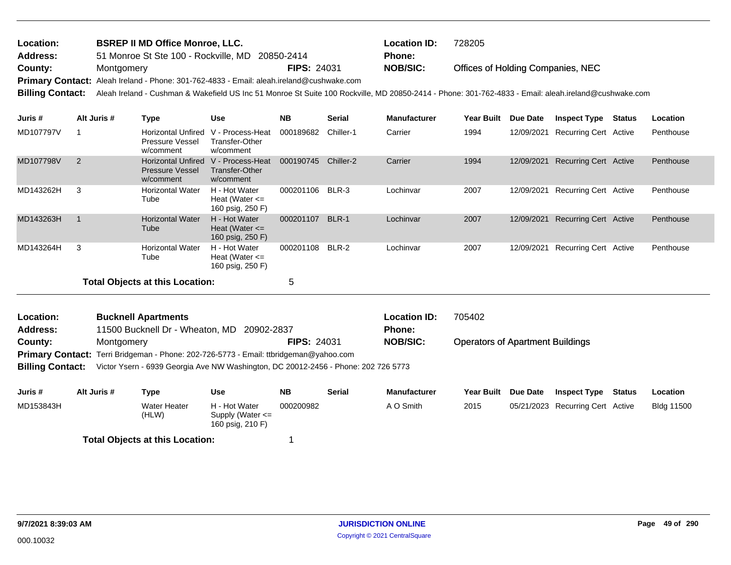| Location: | <b>BSREP II MD Office Monroe, LLC.</b>                                                          |                    | Location ID:    | 728205                                                                                                                                                                |
|-----------|-------------------------------------------------------------------------------------------------|--------------------|-----------------|-----------------------------------------------------------------------------------------------------------------------------------------------------------------------|
| Address:  | 51 Monroe St Ste 100 - Rockville, MD 20850-2414                                                 |                    | <b>Phone:</b>   |                                                                                                                                                                       |
| County:   | Montgomery                                                                                      | <b>FIPS: 24031</b> | <b>NOB/SIC:</b> | Offices of Holding Companies, NEC                                                                                                                                     |
|           | <b>Primary Contact:</b> Aleah Ireland - Phone: 301-762-4833 - Email: aleah.ireland@cushwake.com |                    |                 |                                                                                                                                                                       |
|           |                                                                                                 |                    |                 | Billing Contact: Aleah Ireland - Cushman & Wakefield US Inc 51 Monroe St Suite 100 Rockville, MD 20850-2414 - Phone: 301-762-4833 - Email: aleah.ireland@cushwake.com |

| Juris #   | Alt Juris # | Type                                                             | <b>Use</b>                                              | <b>NB</b> | <b>Serial</b> | <b>Manufacturer</b> | <b>Year Built</b> | Due Date   | <b>Inspect Type</b>          | Status | Location  |
|-----------|-------------|------------------------------------------------------------------|---------------------------------------------------------|-----------|---------------|---------------------|-------------------|------------|------------------------------|--------|-----------|
| MD107797V |             | <b>Horizontal Unfired</b><br><b>Pressure Vessel</b><br>w/comment | V - Process-Heat<br>Transfer-Other<br>w/comment         | 000189682 | Chiller-1     | Carrier             | 1994              | 12/09/2021 | Recurring Cert Active        |        | Penthouse |
| MD107798V | 2           | <b>Horizontal Unfired</b><br><b>Pressure Vessel</b><br>w/comment | V - Process-Heat<br>Transfer-Other<br>w/comment         | 000190745 | Chiller-2     | Carrier             | 1994              | 12/09/2021 | <b>Recurring Cert Active</b> |        | Penthouse |
| MD143262H | 3           | <b>Horizontal Water</b><br>Tube                                  | H - Hot Water<br>Heat (Water $\leq$<br>160 psig, 250 F) | 000201106 | BLR-3         | Lochinvar           | 2007              | 12/09/2021 | <b>Recurring Cert Active</b> |        | Penthouse |
| MD143263H |             | <b>Horizontal Water</b><br>Tube                                  | H - Hot Water<br>Heat (Water $\leq$<br>160 psig, 250 F) | 000201107 | BLR-1         | Lochinvar           | 2007              | 12/09/2021 | <b>Recurring Cert Active</b> |        | Penthouse |
| MD143264H | 3           | <b>Horizontal Water</b><br>Tube                                  | H - Hot Water<br>Heat (Water $\leq$<br>160 psig, 250 F) | 000201108 | BLR-2         | Lochinvar           | 2007              | 12/09/2021 | <b>Recurring Cert Active</b> |        | Penthouse |
|           |             | <b>Total Objects at this Location:</b>                           |                                                         | 5         |               |                     |                   |            |                              |        |           |

| <b>Location:</b> | <b>Bucknell Apartments</b>                                                                                 |                    | <b>Location ID:</b> | 705402                                  |
|------------------|------------------------------------------------------------------------------------------------------------|--------------------|---------------------|-----------------------------------------|
| <b>Address:</b>  | 11500 Bucknell Dr - Wheaton, MD 20902-2837                                                                 |                    | <b>Phone:</b>       |                                         |
| County:          | Montgomery                                                                                                 | <b>FIPS: 24031</b> | <b>NOB/SIC:</b>     | <b>Operators of Apartment Buildings</b> |
|                  | <b>Primary Contact:</b> Terri Bridgeman - Phone: 202-726-5773 - Email: ttbridgeman@yahoo.com               |                    |                     |                                         |
|                  | <b>Dillian Cantoni</b> : Victor Vasue, CO20 Cassais Ave NW Washington, DC 20042 2456. Dhana: 200 726 5772. |                    |                     |                                         |

**Billing Contact:** Victor Ysern - 6939 Georgia Ave NW Washington, DC 20012-2456 - Phone: 202 726 5773

| Juris #   | Alt Juris # | Type                            | Use                                                       | <b>NB</b> | Serial | <b>Manufacturer</b> | Year Built Due Date | <b>Inspect Type</b>              | Status | Location          |
|-----------|-------------|---------------------------------|-----------------------------------------------------------|-----------|--------|---------------------|---------------------|----------------------------------|--------|-------------------|
| MD153843H |             | <b>Water Heater</b><br>(HLW)    | H - Hot Water<br>Supply (Water $\leq$<br>160 psig, 210 F) | 000200982 |        | A O Smith           | 2015                | 05/21/2023 Recurring Cert Active |        | <b>Bldg 11500</b> |
|           |             | Tatal Okiasta at this Lagation. |                                                           |           |        |                     |                     |                                  |        |                   |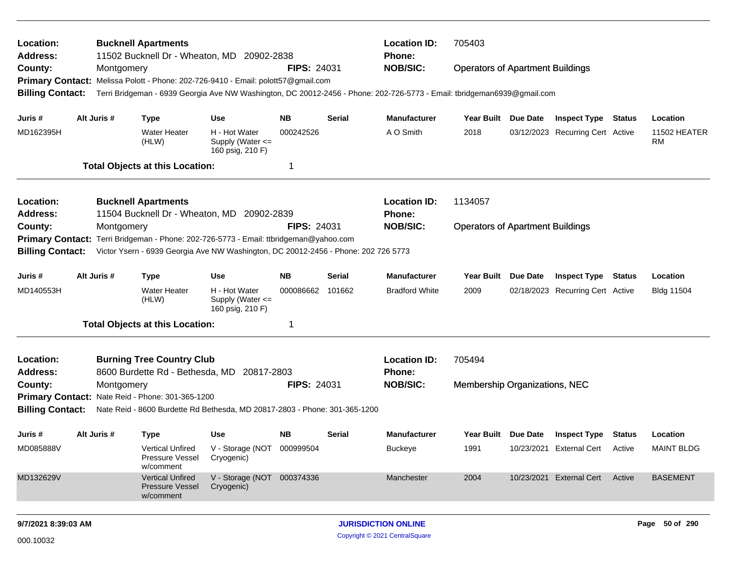| Location:<br><b>Address:</b>                                                          |             | <b>Bucknell Apartments</b><br>11502 Bucknell Dr - Wheaton, MD 20902-2838           |                                                       |                    |               | <b>Location ID:</b><br>Phone:                                                                                           | 705403                                  |            |                                  |               |                           |  |
|---------------------------------------------------------------------------------------|-------------|------------------------------------------------------------------------------------|-------------------------------------------------------|--------------------|---------------|-------------------------------------------------------------------------------------------------------------------------|-----------------------------------------|------------|----------------------------------|---------------|---------------------------|--|
| County:                                                                               | Montgomery  |                                                                                    |                                                       | <b>FIPS: 24031</b> |               | <b>NOB/SIC:</b>                                                                                                         | <b>Operators of Apartment Buildings</b> |            |                                  |               |                           |  |
| Primary Contact: Melissa Polott - Phone: 202-726-9410 - Email: polott57@gmail.com     |             |                                                                                    |                                                       |                    |               |                                                                                                                         |                                         |            |                                  |               |                           |  |
| <b>Billing Contact:</b>                                                               |             |                                                                                    |                                                       |                    |               | Terri Bridgeman - 6939 Georgia Ave NW Washington, DC 20012-2456 - Phone: 202-726-5773 - Email: tbridgeman6939@gmail.com |                                         |            |                                  |               |                           |  |
| Juris #                                                                               | Alt Juris # | <b>Type</b>                                                                        | <b>Use</b>                                            | <b>NB</b>          | <b>Serial</b> | <b>Manufacturer</b>                                                                                                     | Year Built Due Date                     |            | <b>Inspect Type Status</b>       |               | Location                  |  |
| MD162395H                                                                             |             | <b>Water Heater</b><br>(HLW)                                                       | H - Hot Water<br>Supply (Water <=<br>160 psig, 210 F) | 000242526          |               | A O Smith                                                                                                               | 2018                                    | 03/12/2023 | <b>Recurring Cert Active</b>     |               | 11502 HEATER<br><b>RM</b> |  |
|                                                                                       |             | <b>Total Objects at this Location:</b>                                             |                                                       | 1                  |               |                                                                                                                         |                                         |            |                                  |               |                           |  |
| Location:                                                                             |             | <b>Bucknell Apartments</b>                                                         |                                                       |                    |               | <b>Location ID:</b>                                                                                                     | 1134057                                 |            |                                  |               |                           |  |
| <b>Address:</b>                                                                       |             | 11504 Bucknell Dr - Wheaton, MD 20902-2839                                         |                                                       |                    |               | <b>Phone:</b>                                                                                                           |                                         |            |                                  |               |                           |  |
| County:                                                                               | Montgomery  |                                                                                    |                                                       | <b>FIPS: 24031</b> |               | <b>NOB/SIC:</b>                                                                                                         | <b>Operators of Apartment Buildings</b> |            |                                  |               |                           |  |
| Primary Contact: Terri Bridgeman - Phone: 202-726-5773 - Email: ttbridgeman@yahoo.com |             |                                                                                    |                                                       |                    |               |                                                                                                                         |                                         |            |                                  |               |                           |  |
| <b>Billing Contact:</b>                                                               |             | Victor Ysern - 6939 Georgia Ave NW Washington, DC 20012-2456 - Phone: 202 726 5773 |                                                       |                    |               |                                                                                                                         |                                         |            |                                  |               |                           |  |
| Juris #                                                                               | Alt Juris # | <b>Type</b>                                                                        | <b>Use</b>                                            | <b>NB</b>          | <b>Serial</b> | <b>Manufacturer</b>                                                                                                     | Year Built                              | Due Date   | <b>Inspect Type</b>              | <b>Status</b> | Location                  |  |
| MD140553H                                                                             |             | <b>Water Heater</b><br>(HLW)                                                       | H - Hot Water<br>Supply (Water <=<br>160 psig, 210 F) | 000086662          | 101662        | <b>Bradford White</b>                                                                                                   | 2009                                    |            | 02/18/2023 Recurring Cert Active |               | <b>Bldg 11504</b>         |  |
|                                                                                       |             | <b>Total Objects at this Location:</b>                                             |                                                       | -1                 |               |                                                                                                                         |                                         |            |                                  |               |                           |  |
| Location:<br><b>Address:</b>                                                          |             | <b>Burning Tree Country Club</b><br>8600 Burdette Rd - Bethesda, MD                | 20817-2803                                            |                    |               | <b>Location ID:</b><br>Phone:                                                                                           | 705494                                  |            |                                  |               |                           |  |
| County:                                                                               | Montgomery  |                                                                                    |                                                       | <b>FIPS: 24031</b> |               | <b>NOB/SIC:</b>                                                                                                         | Membership Organizations, NEC           |            |                                  |               |                           |  |
| Primary Contact: Nate Reid - Phone: 301-365-1200                                      |             |                                                                                    |                                                       |                    |               |                                                                                                                         |                                         |            |                                  |               |                           |  |
| <b>Billing Contact:</b>                                                               |             | Nate Reid - 8600 Burdette Rd Bethesda, MD 20817-2803 - Phone: 301-365-1200         |                                                       |                    |               |                                                                                                                         |                                         |            |                                  |               |                           |  |
| Juris #                                                                               | Alt Juris # | <b>Type</b>                                                                        | Use                                                   | <b>NB</b>          | <b>Serial</b> | <b>Manufacturer</b>                                                                                                     | Year Built Due Date                     |            | <b>Inspect Type</b>              | Status        | Location                  |  |
| MD085888V                                                                             |             | Vertical Unfired<br>Pressure Vessel<br>w/comment                                   | V - Storage (NOT 000999504<br>Cryogenic)              |                    |               | <b>Buckeye</b>                                                                                                          | 1991                                    |            | 10/23/2021 External Cert         | Active        | <b>MAINT BLDG</b>         |  |
| MD132629V                                                                             |             | <b>Vertical Unfired</b><br><b>Pressure Vessel</b><br>w/comment                     | V - Storage (NOT 000374336<br>Cryogenic)              |                    |               | Manchester                                                                                                              | 2004                                    |            | 10/23/2021 External Cert         | Active        | <b>BASEMENT</b>           |  |
| 9/7/2021 8:39:03 AM                                                                   |             |                                                                                    |                                                       |                    |               | <b>JURISDICTION ONLINE</b>                                                                                              |                                         |            |                                  |               | Page 50 of 290            |  |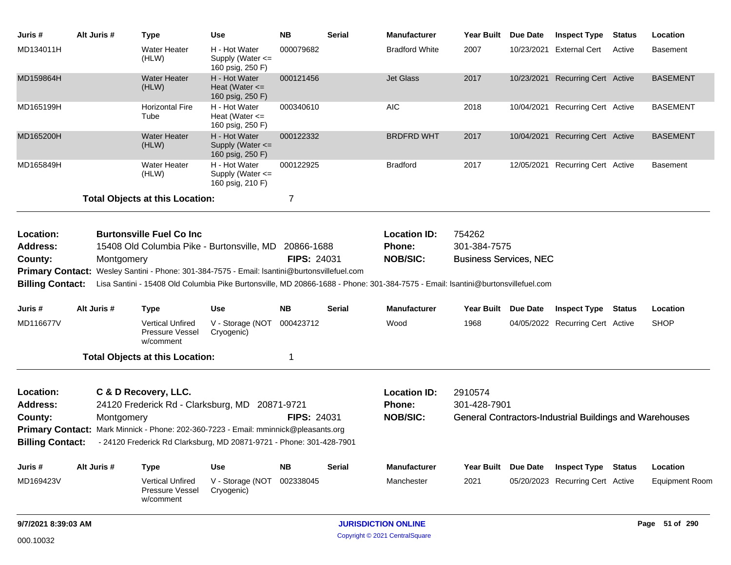| Juris #                                 | Alt Juris # | <b>Type</b>                                                                                                                                                                                                                                            | <b>Use</b>                                                | <b>NB</b>                        | <b>Serial</b> | Manufacturer                                                                                                                    |                                                         | Year Built Due Date | <b>Inspect Type</b>                                            | <b>Status</b> | Location              |
|-----------------------------------------|-------------|--------------------------------------------------------------------------------------------------------------------------------------------------------------------------------------------------------------------------------------------------------|-----------------------------------------------------------|----------------------------------|---------------|---------------------------------------------------------------------------------------------------------------------------------|---------------------------------------------------------|---------------------|----------------------------------------------------------------|---------------|-----------------------|
| MD134011H                               |             | <b>Water Heater</b><br>(HLW)                                                                                                                                                                                                                           | H - Hot Water<br>Supply (Water $\leq$<br>160 psig, 250 F) | 000079682                        |               | <b>Bradford White</b>                                                                                                           | 2007                                                    |                     | 10/23/2021 External Cert                                       | Active        | <b>Basement</b>       |
| MD159864H                               |             | <b>Water Heater</b><br>(HLW)                                                                                                                                                                                                                           | H - Hot Water<br>Heat (Water $\leq$<br>160 psig, 250 F)   | 000121456                        |               | <b>Jet Glass</b>                                                                                                                | 2017                                                    |                     | 10/23/2021 Recurring Cert Active                               |               | <b>BASEMENT</b>       |
| MD165199H                               |             | <b>Horizontal Fire</b><br>Tube                                                                                                                                                                                                                         | H - Hot Water<br>Heat (Water $\leq$<br>160 psig, 250 F)   | 000340610                        |               | <b>AIC</b>                                                                                                                      | 2018                                                    |                     | 10/04/2021 Recurring Cert Active                               |               | <b>BASEMENT</b>       |
| MD165200H                               |             | <b>Water Heater</b><br>(HLW)                                                                                                                                                                                                                           | H - Hot Water<br>Supply (Water $\leq$<br>160 psig, 250 F) | 000122332                        |               | BRDFRD WHT                                                                                                                      | 2017                                                    |                     | 10/04/2021 Recurring Cert Active                               |               | <b>BASEMENT</b>       |
| MD165849H                               |             | <b>Water Heater</b><br>(HLW)                                                                                                                                                                                                                           | H - Hot Water<br>Supply (Water <=<br>160 psig, 210 F)     | 000122925                        |               | Bradford                                                                                                                        | 2017                                                    |                     | 12/05/2021 Recurring Cert Active                               |               | <b>Basement</b>       |
|                                         |             | <b>Total Objects at this Location:</b>                                                                                                                                                                                                                 |                                                           | 7                                |               |                                                                                                                                 |                                                         |                     |                                                                |               |                       |
| Location:<br><b>Address:</b><br>County: | Montgomery  | <b>Burtonsville Fuel Co Inc.</b><br>15408 Old Columbia Pike - Burtonsville, MD<br>Primary Contact: Wesley Santini - Phone: 301-384-7575 - Email: Isantini@burtonsvillefuel.com                                                                         |                                                           | 20866-1688<br><b>FIPS: 24031</b> |               | <b>Location ID:</b><br>Phone:<br><b>NOB/SIC:</b>                                                                                | 754262<br>301-384-7575<br><b>Business Services, NEC</b> |                     |                                                                |               |                       |
| <b>Billing Contact:</b>                 |             |                                                                                                                                                                                                                                                        |                                                           |                                  |               | Lisa Santini - 15408 Old Columbia Pike Burtonsville, MD 20866-1688 - Phone: 301-384-7575 - Email: Isantini@burtonsvillefuel.com |                                                         |                     |                                                                |               |                       |
| Juris #                                 | Alt Juris # | <b>Type</b>                                                                                                                                                                                                                                            | <b>Use</b>                                                | <b>NB</b>                        | Serial        | Manufacturer                                                                                                                    |                                                         | Year Built Due Date | Inspect Type                                                   | Status        | Location              |
| MD116677V                               |             | <b>Vertical Unfired</b><br>Pressure Vessel<br>w/comment                                                                                                                                                                                                | V - Storage (NOT<br>Cryogenic)                            | 000423712                        |               | Wood                                                                                                                            | 1968                                                    |                     | 04/05/2022 Recurring Cert Active                               |               | <b>SHOP</b>           |
|                                         |             | <b>Total Objects at this Location:</b>                                                                                                                                                                                                                 |                                                           | 1                                |               |                                                                                                                                 |                                                         |                     |                                                                |               |                       |
| Location:<br><b>Address:</b><br>County: | Montgomery  | C & D Recovery, LLC.<br>24120 Frederick Rd - Clarksburg, MD 20871-9721<br>Primary Contact: Mark Minnick - Phone: 202-360-7223 - Email: mminnick@pleasants.org<br>Billing Contact: - 24120 Frederick Rd Clarksburg, MD 20871-9721 - Phone: 301-428-7901 |                                                           | <b>FIPS: 24031</b>               |               | <b>Location ID:</b><br>Phone:<br><b>NOB/SIC:</b>                                                                                | 2910574<br>301-428-7901                                 |                     | <b>General Contractors-Industrial Buildings and Warehouses</b> |               |                       |
| Juris #                                 | Alt Juris # | <b>Type</b>                                                                                                                                                                                                                                            | <b>Use</b>                                                | <b>NB</b>                        | <b>Serial</b> | <b>Manufacturer</b>                                                                                                             |                                                         | Year Built Due Date | <b>Inspect Type Status</b>                                     |               | Location              |
| MD169423V                               |             | <b>Vertical Unfired</b><br>Pressure Vessel<br>w/comment                                                                                                                                                                                                | V - Storage (NOT<br>Cryogenic)                            | 002338045                        |               | Manchester                                                                                                                      | 2021                                                    |                     | 05/20/2023 Recurring Cert Active                               |               | <b>Equipment Room</b> |
| 9/7/2021 8:39:03 AM                     |             |                                                                                                                                                                                                                                                        |                                                           |                                  |               | <b>JURISDICTION ONLINE</b>                                                                                                      |                                                         |                     |                                                                |               | Page 51 of 290        |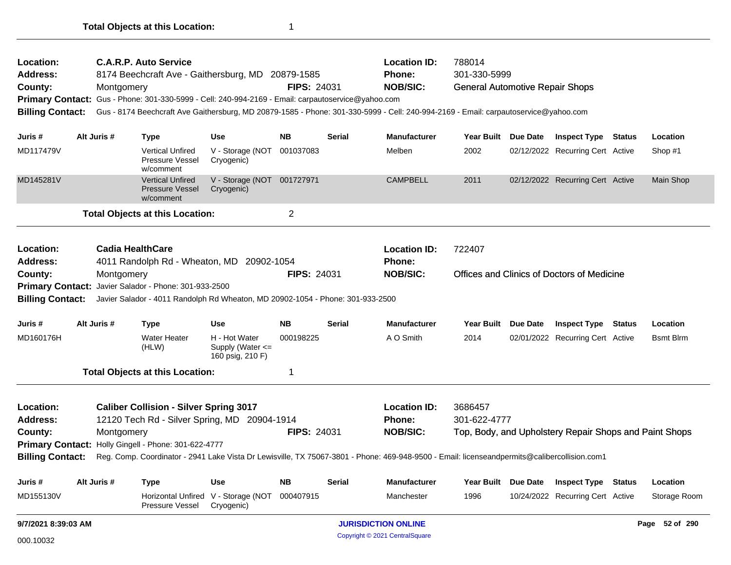| Location:<br>Address:<br>County: | <b>C.A.R.P. Auto Service</b><br>8174 Beechcraft Ave - Gaithersburg, MD 20879-1585<br>Montgomery<br>Primary Contact: Gus - Phone: 301-330-5999 - Cell: 240-994-2169 - Email: carpautoservice@yahoo.com<br>Gus - 8174 Beechcraft Ave Gaithersburg, MD 20879-1585 - Phone: 301-330-5999 - Cell: 240-994-2169 - Email: carpautoservice@yahoo.com<br><b>Billing Contact:</b> |                         |                                                                                |                                                       |                         | FIPS: 24031   | <b>Location ID:</b><br>Phone:<br><b>NOB/SIC:</b>                                                                                             | 788014<br>301-330-5999<br><b>General Automotive Repair Shops</b> |          |                                                        |               |                  |  |
|----------------------------------|-------------------------------------------------------------------------------------------------------------------------------------------------------------------------------------------------------------------------------------------------------------------------------------------------------------------------------------------------------------------------|-------------------------|--------------------------------------------------------------------------------|-------------------------------------------------------|-------------------------|---------------|----------------------------------------------------------------------------------------------------------------------------------------------|------------------------------------------------------------------|----------|--------------------------------------------------------|---------------|------------------|--|
| Juris #                          |                                                                                                                                                                                                                                                                                                                                                                         | Alt Juris #             | <b>Type</b>                                                                    | Use                                                   | <b>NB</b>               | <b>Serial</b> | <b>Manufacturer</b>                                                                                                                          | Year Built Due Date                                              |          | <b>Inspect Type Status</b>                             |               | Location         |  |
| MD117479V                        |                                                                                                                                                                                                                                                                                                                                                                         |                         | <b>Vertical Unfired</b><br><b>Pressure Vessel</b><br>w/comment                 | V - Storage (NOT<br>Cryogenic)                        | 001037083               |               | Melben                                                                                                                                       | 2002                                                             |          | 02/12/2022 Recurring Cert Active                       |               | Shop #1          |  |
| MD145281V                        |                                                                                                                                                                                                                                                                                                                                                                         |                         | <b>Vertical Unfired</b><br><b>Pressure Vessel</b><br>w/comment                 | V - Storage (NOT 001727971<br>Cryogenic)              |                         |               | <b>CAMPBELL</b>                                                                                                                              | 2011                                                             |          | 02/12/2022 Recurring Cert Active                       |               | Main Shop        |  |
|                                  |                                                                                                                                                                                                                                                                                                                                                                         |                         | <b>Total Objects at this Location:</b>                                         |                                                       | $\overline{\mathbf{c}}$ |               |                                                                                                                                              |                                                                  |          |                                                        |               |                  |  |
| Location:<br><b>Address:</b>     |                                                                                                                                                                                                                                                                                                                                                                         | <b>Cadia HealthCare</b> | 4011 Randolph Rd - Wheaton, MD 20902-1054                                      |                                                       |                         |               | <b>Location ID:</b><br>Phone:                                                                                                                | 722407                                                           |          |                                                        |               |                  |  |
| County:                          |                                                                                                                                                                                                                                                                                                                                                                         | Montgomery              |                                                                                |                                                       | <b>FIPS: 24031</b>      |               | <b>NOB/SIC:</b>                                                                                                                              |                                                                  |          | Offices and Clinics of Doctors of Medicine             |               |                  |  |
|                                  |                                                                                                                                                                                                                                                                                                                                                                         |                         | Primary Contact: Javier Salador - Phone: 301-933-2500                          |                                                       |                         |               |                                                                                                                                              |                                                                  |          |                                                        |               |                  |  |
| <b>Billing Contact:</b>          |                                                                                                                                                                                                                                                                                                                                                                         |                         | Javier Salador - 4011 Randolph Rd Wheaton, MD 20902-1054 - Phone: 301-933-2500 |                                                       |                         |               |                                                                                                                                              |                                                                  |          |                                                        |               |                  |  |
| Juris #                          |                                                                                                                                                                                                                                                                                                                                                                         | Alt Juris #             | <b>Type</b>                                                                    | Use                                                   | <b>NB</b>               | <b>Serial</b> | <b>Manufacturer</b>                                                                                                                          | <b>Year Built</b>                                                | Due Date | <b>Inspect Type Status</b>                             |               | Location         |  |
| MD160176H                        |                                                                                                                                                                                                                                                                                                                                                                         |                         | <b>Water Heater</b><br>(HLW)                                                   | H - Hot Water<br>Supply (Water <=<br>160 psig, 210 F) | 000198225               |               | A O Smith                                                                                                                                    | 2014                                                             |          | 02/01/2022 Recurring Cert Active                       |               | <b>Bsmt Blrm</b> |  |
|                                  |                                                                                                                                                                                                                                                                                                                                                                         |                         | <b>Total Objects at this Location:</b>                                         |                                                       | 1                       |               |                                                                                                                                              |                                                                  |          |                                                        |               |                  |  |
| Location:                        |                                                                                                                                                                                                                                                                                                                                                                         |                         | <b>Caliber Collision - Silver Spring 3017</b>                                  |                                                       |                         |               | <b>Location ID:</b>                                                                                                                          | 3686457                                                          |          |                                                        |               |                  |  |
| <b>Address:</b>                  |                                                                                                                                                                                                                                                                                                                                                                         |                         | 12120 Tech Rd - Silver Spring, MD 20904-1914                                   |                                                       |                         |               | <b>Phone:</b>                                                                                                                                | 301-622-4777                                                     |          |                                                        |               |                  |  |
| County:                          |                                                                                                                                                                                                                                                                                                                                                                         | Montgomery              |                                                                                |                                                       | <b>FIPS: 24031</b>      |               | <b>NOB/SIC:</b>                                                                                                                              |                                                                  |          | Top, Body, and Upholstery Repair Shops and Paint Shops |               |                  |  |
| <b>Billing Contact:</b>          |                                                                                                                                                                                                                                                                                                                                                                         |                         | Primary Contact: Holly Gingell - Phone: 301-622-4777                           |                                                       |                         |               | Reg. Comp. Coordinator - 2941 Lake Vista Dr Lewisville, TX 75067-3801 - Phone: 469-948-9500 - Email: licenseandpermits@calibercollision.com1 |                                                                  |          |                                                        |               |                  |  |
|                                  |                                                                                                                                                                                                                                                                                                                                                                         |                         |                                                                                |                                                       |                         |               |                                                                                                                                              |                                                                  |          |                                                        |               |                  |  |
| Juris #                          |                                                                                                                                                                                                                                                                                                                                                                         | Alt Juris #             | <b>Type</b>                                                                    | <b>Use</b>                                            | <b>NB</b>               | <b>Serial</b> | <b>Manufacturer</b>                                                                                                                          | <b>Year Built</b>                                                | Due Date | <b>Inspect Type</b>                                    | <b>Status</b> | Location         |  |
| MD155130V                        |                                                                                                                                                                                                                                                                                                                                                                         |                         | <b>Horizontal Unfired</b><br>Pressure Vessel                                   | V - Storage (NOT<br>Cryogenic)                        | 000407915               |               | Manchester                                                                                                                                   | 1996                                                             |          | 10/24/2022 Recurring Cert Active                       |               | Storage Room     |  |
| 9/7/2021 8:39:03 AM              |                                                                                                                                                                                                                                                                                                                                                                         |                         |                                                                                |                                                       |                         |               | <b>JURISDICTION ONLINE</b>                                                                                                                   |                                                                  |          |                                                        |               | Page 52 of 290   |  |
| 000.10032                        |                                                                                                                                                                                                                                                                                                                                                                         |                         |                                                                                |                                                       |                         |               | Copyright © 2021 CentralSquare                                                                                                               |                                                                  |          |                                                        |               |                  |  |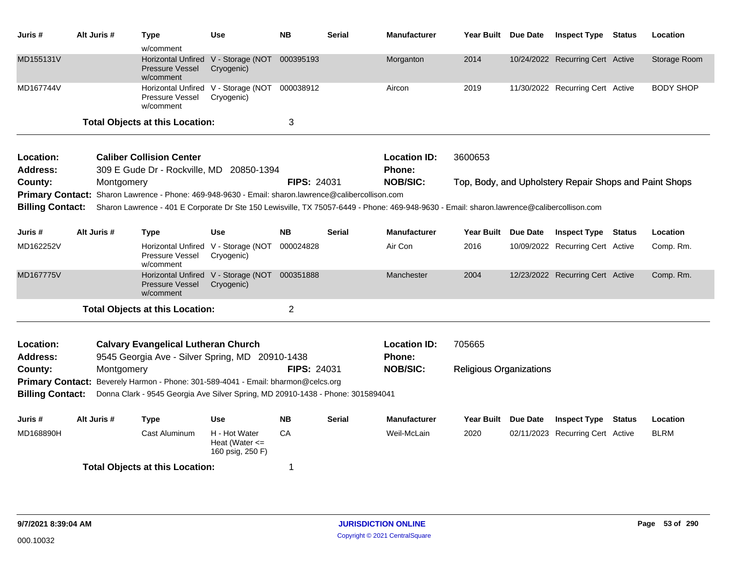| Juris #                                                       | Alt Juris # | <b>Type</b><br>w/comment                                                                                                                            | Use                                                         | <b>NB</b>          | <b>Serial</b> | <b>Manufacturer</b>                  | Year Built Due Date            | <b>Inspect Type Status</b>                             |               | Location         |
|---------------------------------------------------------------|-------------|-----------------------------------------------------------------------------------------------------------------------------------------------------|-------------------------------------------------------------|--------------------|---------------|--------------------------------------|--------------------------------|--------------------------------------------------------|---------------|------------------|
| MD155131V                                                     |             | <b>Pressure Vessel</b><br>w/comment                                                                                                                 | Horizontal Unfired V - Storage (NOT<br>Cryogenic)           | 000395193          |               | Morganton                            | 2014                           | 10/24/2022 Recurring Cert Active                       |               | Storage Room     |
| MD167744V                                                     |             | Pressure Vessel<br>w/comment                                                                                                                        | Horizontal Unfired V - Storage (NOT<br>Cryogenic)           | 000038912          |               | Aircon                               | 2019                           | 11/30/2022 Recurring Cert Active                       |               | <b>BODY SHOP</b> |
|                                                               |             | <b>Total Objects at this Location:</b>                                                                                                              |                                                             | 3                  |               |                                      |                                |                                                        |               |                  |
| Location:<br>Address:                                         |             | <b>Caliber Collision Center</b><br>309 E Gude Dr - Rockville, MD 20850-1394                                                                         |                                                             |                    |               | <b>Location ID:</b><br><b>Phone:</b> | 3600653                        |                                                        |               |                  |
| County:                                                       | Montgomery  | Primary Contact: Sharon Lawrence - Phone: 469-948-9630 - Email: sharon.lawrence@calibercollison.com                                                 |                                                             | <b>FIPS: 24031</b> |               | <b>NOB/SIC:</b>                      |                                | Top, Body, and Upholstery Repair Shops and Paint Shops |               |                  |
| <b>Billing Contact:</b>                                       |             | Sharon Lawrence - 401 E Corporate Dr Ste 150 Lewisville, TX 75057-6449 - Phone: 469-948-9630 - Email: sharon.lawrence@calibercollison.com           |                                                             |                    |               |                                      |                                |                                                        |               |                  |
| Juris #                                                       | Alt Juris # | Type                                                                                                                                                | <b>Use</b>                                                  | <b>NB</b>          | <b>Serial</b> | <b>Manufacturer</b>                  | Year Built Due Date            | <b>Inspect Type Status</b>                             |               | Location         |
| MD162252V                                                     |             | Pressure Vessel<br>w/comment                                                                                                                        | Horizontal Unfired V - Storage (NOT<br>Cryogenic)           | 000024828          |               | Air Con                              | 2016                           | 10/09/2022 Recurring Cert Active                       |               | Comp. Rm.        |
| MD167775V                                                     |             | <b>Pressure Vessel</b><br>w/comment                                                                                                                 | Horizontal Unfired V - Storage (NOT 000351888<br>Cryogenic) |                    |               | Manchester                           | 2004                           | 12/23/2022 Recurring Cert Active                       |               | Comp. Rm.        |
|                                                               |             | <b>Total Objects at this Location:</b>                                                                                                              |                                                             | $\overline{2}$     |               |                                      |                                |                                                        |               |                  |
| Location:<br><b>Address:</b>                                  |             | <b>Calvary Evangelical Lutheran Church</b><br>9545 Georgia Ave - Silver Spring, MD 20910-1438                                                       |                                                             |                    |               | <b>Location ID:</b><br><b>Phone:</b> | 705665                         |                                                        |               |                  |
| County:<br><b>Primary Contact:</b><br><b>Billing Contact:</b> | Montgomery  | Beverely Harmon - Phone: 301-589-4041 - Email: bharmon@celcs.org<br>Donna Clark - 9545 Georgia Ave Silver Spring, MD 20910-1438 - Phone: 3015894041 |                                                             | <b>FIPS: 24031</b> |               | <b>NOB/SIC:</b>                      | <b>Religious Organizations</b> |                                                        |               |                  |
| Juris #                                                       | Alt Juris # | Type                                                                                                                                                | <b>Use</b>                                                  | <b>NB</b>          | <b>Serial</b> | <b>Manufacturer</b>                  | Year Built Due Date            | <b>Inspect Type</b>                                    | <b>Status</b> | Location         |
| MD168890H                                                     |             | Cast Aluminum                                                                                                                                       | H - Hot Water<br>Heat (Water $\leq$<br>160 psig, 250 F)     | CA                 |               | Weil-McLain                          | 2020                           | 02/11/2023 Recurring Cert Active                       |               | <b>BLRM</b>      |
|                                                               |             | <b>Total Objects at this Location:</b>                                                                                                              |                                                             | 1                  |               |                                      |                                |                                                        |               |                  |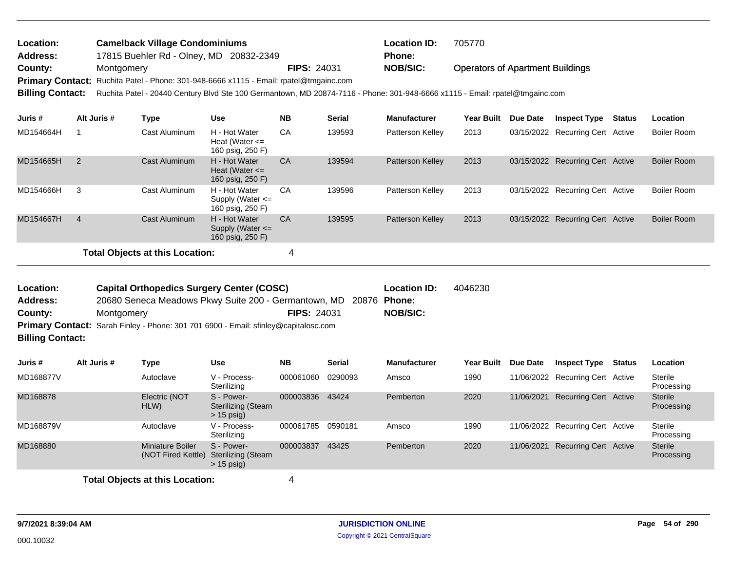| <b>Location:</b>        | <b>Camelback Village Condominiums</b>                                                                                        |                    | <b>Location ID:</b> | 705770                                  |
|-------------------------|------------------------------------------------------------------------------------------------------------------------------|--------------------|---------------------|-----------------------------------------|
| <b>Address:</b>         | 17815 Buehler Rd - Olney, MD 20832-2349                                                                                      |                    | <b>Phone:</b>       |                                         |
| County:                 | Montgomery                                                                                                                   | <b>FIPS: 24031</b> | NOB/SIC:            | <b>Operators of Apartment Buildings</b> |
|                         | Primary Contact: Ruchita Patel - Phone: 301-948-6666 x1115 - Email: rpatel@tmgainc.com                                       |                    |                     |                                         |
| <b>Billing Contact:</b> | Ruchita Patel - 20440 Century Blvd Ste 100 Germantown, MD 20874-7116 - Phone: 301-948-6666 x1115 - Email: rpatel@tmgainc.com |                    |                     |                                         |

| Juris #   | Alt Juris #    | Type                                   | <b>Use</b>                                                | <b>NB</b> | <b>Serial</b> | <b>Manufacturer</b>     | <b>Year Built</b> | Due Date | <b>Inspect Type</b>              | Status | Location           |
|-----------|----------------|----------------------------------------|-----------------------------------------------------------|-----------|---------------|-------------------------|-------------------|----------|----------------------------------|--------|--------------------|
| MD154664H |                | Cast Aluminum                          | H - Hot Water<br>Heat (Water $\leq$<br>160 psig, 250 F)   | CA        | 139593        | Patterson Kelley        | 2013              |          | 03/15/2022 Recurring Cert Active |        | <b>Boiler Room</b> |
| MD154665H | 2              | Cast Aluminum                          | H - Hot Water<br>Heat (Water $\leq$<br>160 psig, 250 F)   | CA        | 139594        | <b>Patterson Kelley</b> | 2013              |          | 03/15/2022 Recurring Cert Active |        | <b>Boiler Room</b> |
| MD154666H | 3              | Cast Aluminum                          | H - Hot Water<br>Supply (Water $\leq$<br>160 psig, 250 F) | CA        | 139596        | Patterson Kelley        | 2013              |          | 03/15/2022 Recurring Cert Active |        | <b>Boiler Room</b> |
| MD154667H | $\overline{4}$ | Cast Aluminum                          | H - Hot Water<br>Supply (Water $\leq$<br>160 psig, 250 F) | CA        | 139595        | <b>Patterson Kelley</b> | 2013              |          | 03/15/2022 Recurring Cert Active |        | Boiler Room        |
|           |                | <b>Total Objects at this Location:</b> |                                                           | 4         |               |                         |                   |          |                                  |        |                    |

| Location:               | <b>Capital Orthopedics Surgery Center (COSC)</b>                                    |                    | <b>Location ID:</b> | 4046230 |
|-------------------------|-------------------------------------------------------------------------------------|--------------------|---------------------|---------|
| <b>Address:</b>         | 20680 Seneca Meadows Pkwy Suite 200 - Germantown, MD 20876 Phone:                   |                    |                     |         |
| County:                 | Montgomery                                                                          | <b>FIPS: 24031</b> | NOB/SIC:            |         |
|                         | Primary Contact: Sarah Finley - Phone: 301 701 6900 - Email: sfinley@capitalosc.com |                    |                     |         |
| <b>Billing Contact:</b> |                                                                                     |                    |                     |         |

| Juris #   | Alt Juris # | Type                                   | <b>Use</b>                                              | <b>NB</b> | <b>Serial</b> | <b>Manufacturer</b> | Year Built | Due Date   | <b>Inspect Type</b>              | <b>Status</b> | Location                     |
|-----------|-------------|----------------------------------------|---------------------------------------------------------|-----------|---------------|---------------------|------------|------------|----------------------------------|---------------|------------------------------|
| MD168877V |             | Autoclave                              | V - Process-<br>Sterilizing                             | 000061060 | 0290093       | Amsco               | 1990       |            | 11/06/2022 Recurring Cert Active |               | Sterile<br>Processing        |
| MD168878  |             | Electric (NOT<br>HLW)                  | S - Power-<br><b>Sterilizing (Steam</b><br>$> 15$ psig) | 000003836 | 43424         | Pemberton           | 2020       | 11/06/2021 | Recurring Cert Active            |               | <b>Sterile</b><br>Processing |
| MD168879V |             | Autoclave                              | V - Process-<br>Sterilizing                             | 000061785 | 0590181       | Amsco               | 1990       |            | 11/06/2022 Recurring Cert Active |               | Sterile<br>Processing        |
| MD168880  |             | Miniature Boiler<br>(NOT Fired Kettle) | S - Power-<br><b>Sterilizing (Steam</b><br>$> 15$ psig) | 000003837 | 43425         | Pemberton           | 2020       | 11/06/2021 | <b>Recurring Cert Active</b>     |               | <b>Sterile</b><br>Processing |
|           |             | <b>Total Objects at this Location:</b> |                                                         |           |               |                     |            |            |                                  |               |                              |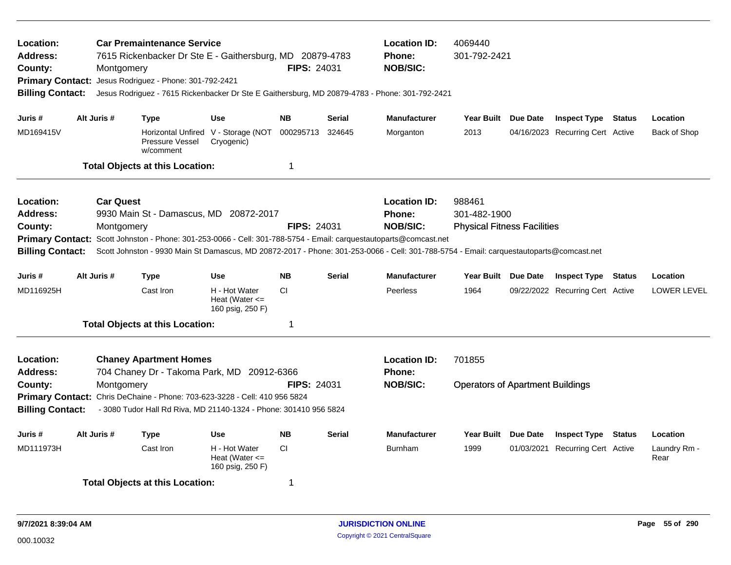| Location:<br><b>Address:</b><br>County:<br><b>Billing Contact:</b>                            | Montgomery                     | <b>Car Premaintenance Service</b><br>7615 Rickenbacker Dr Ste E - Gaithersburg, MD 20879-4783<br>Primary Contact: Jesus Rodriguez - Phone: 301-792-2421<br>Jesus Rodriguez - 7615 Rickenbacker Dr Ste E Gaithersburg, MD 20879-4783 - Phone: 301-792-2421                             |                                                         | <b>FIPS: 24031</b> |               | <b>Location ID:</b><br><b>Phone:</b><br><b>NOB/SIC:</b> | 4069440<br>301-792-2421                                      |          |                                  |               |                      |
|-----------------------------------------------------------------------------------------------|--------------------------------|---------------------------------------------------------------------------------------------------------------------------------------------------------------------------------------------------------------------------------------------------------------------------------------|---------------------------------------------------------|--------------------|---------------|---------------------------------------------------------|--------------------------------------------------------------|----------|----------------------------------|---------------|----------------------|
| Juris #                                                                                       | Alt Juris #                    | <b>Type</b>                                                                                                                                                                                                                                                                           | <b>Use</b>                                              | <b>NB</b>          | Serial        | <b>Manufacturer</b>                                     | Year Built Due Date                                          |          | <b>Inspect Type Status</b>       |               | Location             |
| MD169415V                                                                                     |                                | Pressure Vessel<br>w/comment                                                                                                                                                                                                                                                          | Horizontal Unfired V - Storage (NOT<br>Cryogenic)       | 000295713          | 324645        | Morganton                                               | 2013                                                         |          | 04/16/2023 Recurring Cert Active |               | Back of Shop         |
|                                                                                               |                                | <b>Total Objects at this Location:</b>                                                                                                                                                                                                                                                |                                                         | $\mathbf 1$        |               |                                                         |                                                              |          |                                  |               |                      |
| Location:<br><b>Address:</b><br>County:<br><b>Primary Contact:</b><br><b>Billing Contact:</b> | <b>Car Quest</b><br>Montgomery | 9930 Main St - Damascus, MD 20872-2017<br>Scott Johnston - Phone: 301-253-0066 - Cell: 301-788-5754 - Email: carquestautoparts@comcast.net<br>Scott Johnston - 9930 Main St Damascus, MD 20872-2017 - Phone: 301-253-0066 - Cell: 301-788-5754 - Email: carquestautoparts@comcast.net |                                                         | <b>FIPS: 24031</b> |               | <b>Location ID:</b><br><b>Phone:</b><br><b>NOB/SIC:</b> | 988461<br>301-482-1900<br><b>Physical Fitness Facilities</b> |          |                                  |               |                      |
| Juris #                                                                                       | Alt Juris #                    | <b>Type</b>                                                                                                                                                                                                                                                                           | <b>Use</b>                                              | <b>NB</b>          | <b>Serial</b> | <b>Manufacturer</b>                                     | Year Built Due Date                                          |          | <b>Inspect Type Status</b>       |               | Location             |
| MD116925H                                                                                     |                                | Cast Iron                                                                                                                                                                                                                                                                             | H - Hot Water<br>Heat (Water $\leq$<br>160 psig, 250 F) | CI.                |               | Peerless                                                | 1964                                                         |          | 09/22/2022 Recurring Cert Active |               | <b>LOWER LEVEL</b>   |
|                                                                                               |                                | <b>Total Objects at this Location:</b>                                                                                                                                                                                                                                                |                                                         | -1                 |               |                                                         |                                                              |          |                                  |               |                      |
| Location:<br><b>Address:</b><br>County:<br><b>Primary Contact:</b><br><b>Billing Contact:</b> | Montgomery                     | <b>Chaney Apartment Homes</b><br>704 Chaney Dr - Takoma Park, MD 20912-6366<br>Chris DeChaine - Phone: 703-623-3228 - Cell: 410 956 5824<br>- 3080 Tudor Hall Rd Riva, MD 21140-1324 - Phone: 301410 956 5824                                                                         |                                                         | <b>FIPS: 24031</b> |               | <b>Location ID:</b><br><b>Phone:</b><br><b>NOB/SIC:</b> | 701855<br><b>Operators of Apartment Buildings</b>            |          |                                  |               |                      |
| Juris #                                                                                       | Alt Juris #                    | <b>Type</b>                                                                                                                                                                                                                                                                           | <b>Use</b>                                              | <b>NB</b>          | <b>Serial</b> | <b>Manufacturer</b>                                     | <b>Year Built</b>                                            | Due Date | <b>Inspect Type</b>              | <b>Status</b> | Location             |
| MD111973H                                                                                     |                                | Cast Iron                                                                                                                                                                                                                                                                             | H - Hot Water<br>Heat (Water $\leq$<br>160 psig, 250 F) | <b>CI</b>          |               | <b>Burnham</b>                                          | 1999                                                         |          | 01/03/2021 Recurring Cert Active |               | Laundry Rm -<br>Rear |
|                                                                                               |                                | <b>Total Objects at this Location:</b>                                                                                                                                                                                                                                                |                                                         | -1                 |               |                                                         |                                                              |          |                                  |               |                      |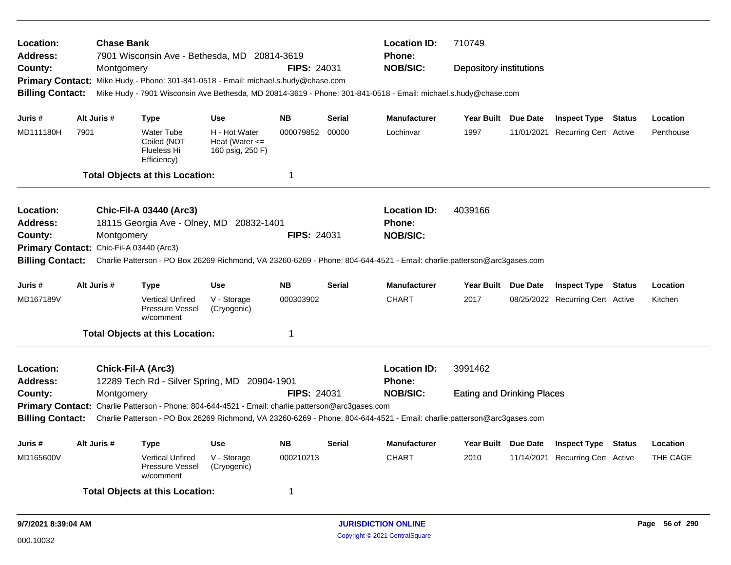| Location:<br><b>Address:</b>             |      | <b>Chase Bank</b>  | 7901 Wisconsin Ave - Bethesda, MD 20814-3619                                                      |                                                         |                    |               | <b>Location ID:</b><br><b>Phone:</b>                                                                                    | 710749                            |            |                                  |           |
|------------------------------------------|------|--------------------|---------------------------------------------------------------------------------------------------|---------------------------------------------------------|--------------------|---------------|-------------------------------------------------------------------------------------------------------------------------|-----------------------------------|------------|----------------------------------|-----------|
| County:                                  |      | Montgomery         |                                                                                                   |                                                         | FIPS: 24031        |               | <b>NOB/SIC:</b>                                                                                                         | Depository institutions           |            |                                  |           |
| <b>Primary Contact:</b>                  |      |                    | Mike Hudy - Phone: 301-841-0518 - Email: michael.s.hudy@chase.com                                 |                                                         |                    |               |                                                                                                                         |                                   |            |                                  |           |
| <b>Billing Contact:</b>                  |      |                    |                                                                                                   |                                                         |                    |               | Mike Hudy - 7901 Wisconsin Ave Bethesda, MD 20814-3619 - Phone: 301-841-0518 - Email: michael.s.hudy@chase.com          |                                   |            |                                  |           |
|                                          |      |                    |                                                                                                   |                                                         |                    |               |                                                                                                                         |                                   |            |                                  |           |
| Juris #                                  |      | Alt Juris #        | <b>Type</b>                                                                                       | <b>Use</b>                                              | <b>NB</b>          | <b>Serial</b> | <b>Manufacturer</b>                                                                                                     | Year Built Due Date               |            | <b>Inspect Type Status</b>       | Location  |
| MD111180H                                | 7901 |                    | <b>Water Tube</b><br>Coiled (NOT<br>Flueless Hi<br>Efficiency)                                    | H - Hot Water<br>Heat (Water $\leq$<br>160 psig, 250 F) | 000079852          | 00000         | Lochinvar                                                                                                               | 1997                              | 11/01/2021 | <b>Recurring Cert Active</b>     | Penthouse |
|                                          |      |                    | <b>Total Objects at this Location:</b>                                                            |                                                         | 1                  |               |                                                                                                                         |                                   |            |                                  |           |
| <b>Location:</b>                         |      |                    | <b>Chic-Fil-A 03440 (Arc3)</b>                                                                    |                                                         |                    |               | <b>Location ID:</b>                                                                                                     | 4039166                           |            |                                  |           |
| <b>Address:</b>                          |      |                    | 18115 Georgia Ave - Olney, MD 20832-1401                                                          |                                                         |                    |               | <b>Phone:</b>                                                                                                           |                                   |            |                                  |           |
| County:                                  |      | Montgomery         |                                                                                                   |                                                         | <b>FIPS: 24031</b> |               | <b>NOB/SIC:</b>                                                                                                         |                                   |            |                                  |           |
| Primary Contact: Chic-Fil-A 03440 (Arc3) |      |                    |                                                                                                   |                                                         |                    |               |                                                                                                                         |                                   |            |                                  |           |
| <b>Billing Contact:</b>                  |      |                    |                                                                                                   |                                                         |                    |               | Charlie Patterson - PO Box 26269 Richmond, VA 23260-6269 - Phone: 804-644-4521 - Email: charlie.patterson@arc3gases.com |                                   |            |                                  |           |
| Juris #                                  |      | Alt Juris #        | <b>Type</b>                                                                                       | <b>Use</b>                                              | <b>NB</b>          | Serial        | <b>Manufacturer</b>                                                                                                     | Year Built Due Date               |            | <b>Inspect Type Status</b>       | Location  |
| MD167189V                                |      |                    | <b>Vertical Unfired</b><br><b>Pressure Vessel</b><br>w/comment                                    | V - Storage<br>(Cryogenic)                              | 000303902          |               | <b>CHART</b>                                                                                                            | 2017                              |            | 08/25/2022 Recurring Cert Active | Kitchen   |
|                                          |      |                    | <b>Total Objects at this Location:</b>                                                            |                                                         | 1                  |               |                                                                                                                         |                                   |            |                                  |           |
| Location:<br><b>Address:</b>             |      | Chick-Fil-A (Arc3) | 12289 Tech Rd - Silver Spring, MD 20904-1901                                                      |                                                         |                    |               | <b>Location ID:</b><br><b>Phone:</b>                                                                                    | 3991462                           |            |                                  |           |
| County:                                  |      | Montgomery         |                                                                                                   |                                                         | <b>FIPS: 24031</b> |               | <b>NOB/SIC:</b>                                                                                                         | <b>Eating and Drinking Places</b> |            |                                  |           |
|                                          |      |                    | Primary Contact: Charlie Patterson - Phone: 804-644-4521 - Email: charlie.patterson@arc3gases.com |                                                         |                    |               |                                                                                                                         |                                   |            |                                  |           |
| <b>Billing Contact:</b>                  |      |                    |                                                                                                   |                                                         |                    |               | Charlie Patterson - PO Box 26269 Richmond, VA 23260-6269 - Phone: 804-644-4521 - Email: charlie.patterson@arc3gases.com |                                   |            |                                  |           |
| Juris #                                  |      | Alt Juris #        | Type                                                                                              | <b>Use</b>                                              | <b>NB</b>          | Serial        | <b>Manufacturer</b>                                                                                                     | Year Built Due Date               |            | <b>Inspect Type Status</b>       | Location  |
| MD165600V                                |      |                    | <b>Vertical Unfired</b><br>Pressure Vessel<br>w/comment                                           | V - Storage<br>(Cryogenic)                              | 000210213          |               | <b>CHART</b>                                                                                                            | 2010                              | 11/14/2021 | <b>Recurring Cert Active</b>     | THE CAGE  |
|                                          |      |                    | <b>Total Objects at this Location:</b>                                                            |                                                         | 1                  |               |                                                                                                                         |                                   |            |                                  |           |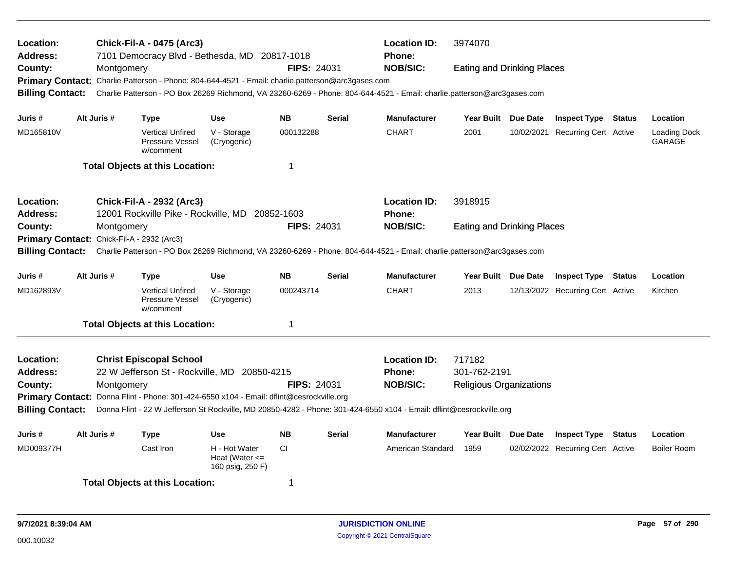| Location:<br>Address:                      |             |             | <b>Chick-Fil-A - 0475 (Arc3)</b><br>7101 Democracy Blvd - Bethesda, MD 20817-1018                 |                                                         |                    |               | <b>Location ID:</b><br><b>Phone:</b>                                                                                    | 3974070                           |                                  |               |                        |
|--------------------------------------------|-------------|-------------|---------------------------------------------------------------------------------------------------|---------------------------------------------------------|--------------------|---------------|-------------------------------------------------------------------------------------------------------------------------|-----------------------------------|----------------------------------|---------------|------------------------|
| County:                                    |             | Montgomery  |                                                                                                   |                                                         | <b>FIPS: 24031</b> |               | <b>NOB/SIC:</b>                                                                                                         | <b>Eating and Drinking Places</b> |                                  |               |                        |
|                                            |             |             | Primary Contact: Charlie Patterson - Phone: 804-644-4521 - Email: charlie.patterson@arc3gases.com |                                                         |                    |               |                                                                                                                         |                                   |                                  |               |                        |
| <b>Billing Contact:</b>                    |             |             |                                                                                                   |                                                         |                    |               | Charlie Patterson - PO Box 26269 Richmond, VA 23260-6269 - Phone: 804-644-4521 - Email: charlie.patterson@arc3gases.com |                                   |                                  |               |                        |
| Juris #                                    |             | Alt Juris # | <b>Type</b>                                                                                       | <b>Use</b>                                              | <b>NB</b>          | <b>Serial</b> | <b>Manufacturer</b>                                                                                                     | Year Built Due Date               | <b>Inspect Type Status</b>       |               | Location               |
| MD165810V                                  |             |             | <b>Vertical Unfired</b><br>Pressure Vessel<br>w/comment                                           | V - Storage<br>(Cryogenic)                              | 000132288          |               | <b>CHART</b>                                                                                                            | 2001                              | 10/02/2021 Recurring Cert Active |               | Loading Dock<br>GARAGE |
|                                            |             |             | <b>Total Objects at this Location:</b>                                                            |                                                         | 1                  |               |                                                                                                                         |                                   |                                  |               |                        |
| Location:                                  |             |             | <b>Chick-Fil-A - 2932 (Arc3)</b>                                                                  |                                                         |                    |               | <b>Location ID:</b>                                                                                                     | 3918915                           |                                  |               |                        |
| <b>Address:</b>                            |             |             | 12001 Rockville Pike - Rockville, MD 20852-1603                                                   |                                                         |                    |               | <b>Phone:</b>                                                                                                           |                                   |                                  |               |                        |
| County:                                    |             | Montgomery  |                                                                                                   |                                                         | <b>FIPS: 24031</b> |               | <b>NOB/SIC:</b>                                                                                                         | <b>Eating and Drinking Places</b> |                                  |               |                        |
| Primary Contact: Chick-Fil-A - 2932 (Arc3) |             |             |                                                                                                   |                                                         |                    |               |                                                                                                                         |                                   |                                  |               |                        |
| <b>Billing Contact:</b>                    |             |             |                                                                                                   |                                                         |                    |               | Charlie Patterson - PO Box 26269 Richmond, VA 23260-6269 - Phone: 804-644-4521 - Email: charlie.patterson@arc3gases.com |                                   |                                  |               |                        |
| Juris #                                    |             | Alt Juris # | <b>Type</b>                                                                                       | Use                                                     | <b>NB</b>          | <b>Serial</b> | <b>Manufacturer</b>                                                                                                     | Year Built Due Date               | <b>Inspect Type Status</b>       |               | Location               |
| MD162893V                                  |             |             | <b>Vertical Unfired</b><br><b>Pressure Vessel</b><br>w/comment                                    | V - Storage<br>(Cryogenic)                              | 000243714          |               | <b>CHART</b>                                                                                                            | 2013                              | 12/13/2022 Recurring Cert Active |               | Kitchen                |
|                                            |             |             | <b>Total Objects at this Location:</b>                                                            |                                                         | 1                  |               |                                                                                                                         |                                   |                                  |               |                        |
| Location:                                  |             |             | <b>Christ Episcopal School</b>                                                                    |                                                         |                    |               | <b>Location ID:</b>                                                                                                     | 717182                            |                                  |               |                        |
| <b>Address:</b>                            |             |             | 22 W Jefferson St - Rockville, MD 20850-4215                                                      |                                                         |                    |               | <b>Phone:</b>                                                                                                           | 301-762-2191                      |                                  |               |                        |
| County:                                    |             | Montgomery  |                                                                                                   |                                                         | <b>FIPS: 24031</b> |               | <b>NOB/SIC:</b>                                                                                                         | <b>Religious Organizations</b>    |                                  |               |                        |
|                                            |             |             | Primary Contact: Donna Flint - Phone: 301-424-6550 x104 - Email: dflint@cesrockville.org          |                                                         |                    |               |                                                                                                                         |                                   |                                  |               |                        |
| <b>Billing Contact:</b>                    |             |             |                                                                                                   |                                                         |                    |               | Donna Flint - 22 W Jefferson St Rockville, MD 20850-4282 - Phone: 301-424-6550 x104 - Email: dflint@cesrockville.org    |                                   |                                  |               |                        |
| Juris #                                    | Alt Juris # |             | Type                                                                                              | <b>Use</b>                                              | <b>NB</b>          | <b>Serial</b> | <b>Manufacturer</b>                                                                                                     | Year Built Due Date               | <b>Inspect Type</b>              | <b>Status</b> | Location               |
| MD009377H                                  |             |             | Cast Iron                                                                                         | H - Hot Water<br>Heat (Water $\leq$<br>160 psig, 250 F) | CI.                |               | American Standard                                                                                                       | 1959                              | 02/02/2022 Recurring Cert Active |               | <b>Boiler Room</b>     |
|                                            |             |             | <b>Total Objects at this Location:</b>                                                            |                                                         | 1                  |               |                                                                                                                         |                                   |                                  |               |                        |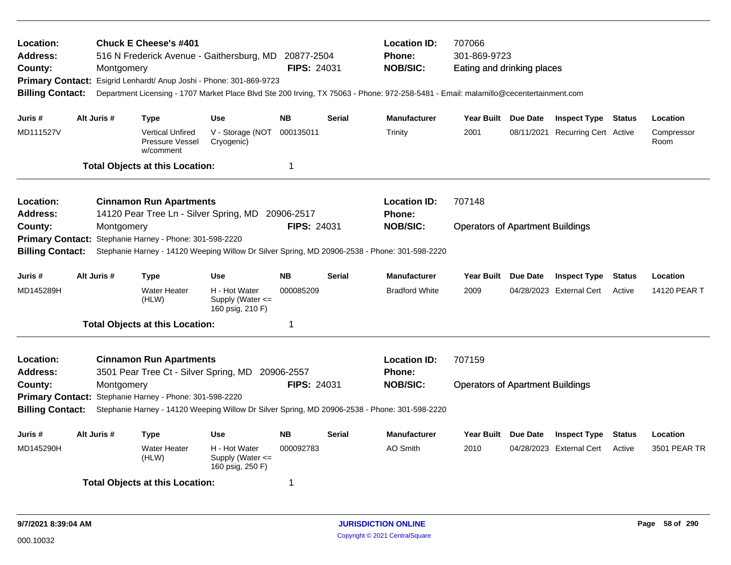| Location:<br><b>Address:</b><br>County:<br><b>Billing Contact:</b> | Montgomery  | <b>Chuck E Cheese's #401</b>                                             | 516 N Frederick Avenue - Gaithersburg, MD 20877-2504<br>Primary Contact: Esigrid Lenhardt/ Anup Joshi - Phone: 301-869-9723<br>Department Licensing - 1707 Market Place Blvd Ste 200 Irving, TX 75063 - Phone: 972-258-5481 - Email: malamillo@cecentertainment.com | <b>FIPS: 24031</b> |               | <b>Location ID:</b><br><b>Phone:</b><br><b>NOB/SIC:</b> | 707066<br>301-869-9723<br>Eating and drinking places |            |                            |               |                    |
|--------------------------------------------------------------------|-------------|--------------------------------------------------------------------------|---------------------------------------------------------------------------------------------------------------------------------------------------------------------------------------------------------------------------------------------------------------------|--------------------|---------------|---------------------------------------------------------|------------------------------------------------------|------------|----------------------------|---------------|--------------------|
| Juris #                                                            | Alt Juris # | <b>Type</b>                                                              | <b>Use</b>                                                                                                                                                                                                                                                          | <b>NB</b>          | <b>Serial</b> | <b>Manufacturer</b>                                     | Year Built Due Date                                  |            | <b>Inspect Type Status</b> |               | Location           |
| MD111527V                                                          |             | <b>Vertical Unfired</b><br>Pressure Vessel<br>w/comment                  | V - Storage (NOT<br>Cryogenic)                                                                                                                                                                                                                                      | 000135011          |               | Trinity                                                 | 2001                                                 | 08/11/2021 | Recurring Cert Active      |               | Compressor<br>Room |
|                                                                    |             | <b>Total Objects at this Location:</b>                                   |                                                                                                                                                                                                                                                                     | $\mathbf{1}$       |               |                                                         |                                                      |            |                            |               |                    |
| <b>Location:</b><br><b>Address:</b>                                |             | <b>Cinnamon Run Apartments</b><br>14120 Pear Tree Ln - Silver Spring, MD |                                                                                                                                                                                                                                                                     | 20906-2517         |               | <b>Location ID:</b><br>Phone:                           | 707148                                               |            |                            |               |                    |
| County:<br><b>Primary Contact:</b><br><b>Billing Contact:</b>      | Montgomery  | Stephanie Harney - Phone: 301-598-2220                                   | Stephanie Harney - 14120 Weeping Willow Dr Silver Spring, MD 20906-2538 - Phone: 301-598-2220                                                                                                                                                                       | <b>FIPS: 24031</b> |               | <b>NOB/SIC:</b>                                         | <b>Operators of Apartment Buildings</b>              |            |                            |               |                    |
| Juris #                                                            | Alt Juris # | <b>Type</b>                                                              | <b>Use</b>                                                                                                                                                                                                                                                          | <b>NB</b>          | <b>Serial</b> | <b>Manufacturer</b>                                     | Year Built Due Date                                  |            | <b>Inspect Type</b>        | <b>Status</b> | Location           |
| MD145289H                                                          |             | <b>Water Heater</b><br>(HLW)                                             | H - Hot Water<br>Supply (Water $\leq$<br>160 psig, 210 F)                                                                                                                                                                                                           | 000085209          |               | <b>Bradford White</b>                                   | 2009                                                 |            | 04/28/2023 External Cert   | Active        | 14120 PEAR T       |
|                                                                    |             | <b>Total Objects at this Location:</b>                                   |                                                                                                                                                                                                                                                                     | -1                 |               |                                                         |                                                      |            |                            |               |                    |
| <b>Location:</b><br><b>Address:</b><br>County:                     | Montgomery  | <b>Cinnamon Run Apartments</b>                                           | 3501 Pear Tree Ct - Silver Spring, MD 20906-2557                                                                                                                                                                                                                    | <b>FIPS: 24031</b> |               | <b>Location ID:</b><br>Phone:<br><b>NOB/SIC:</b>        | 707159<br><b>Operators of Apartment Buildings</b>    |            |                            |               |                    |
| <b>Billing Contact:</b>                                            |             | Primary Contact: Stephanie Harney - Phone: 301-598-2220                  | Stephanie Harney - 14120 Weeping Willow Dr Silver Spring, MD 20906-2538 - Phone: 301-598-2220                                                                                                                                                                       |                    |               |                                                         |                                                      |            |                            |               |                    |
|                                                                    |             |                                                                          |                                                                                                                                                                                                                                                                     |                    |               |                                                         |                                                      |            |                            |               |                    |
| Juris #                                                            | Alt Juris # | <b>Type</b>                                                              | <b>Use</b>                                                                                                                                                                                                                                                          | <b>NB</b>          | <b>Serial</b> | <b>Manufacturer</b>                                     | <b>Year Built</b>                                    | Due Date   | <b>Inspect Type</b>        | <b>Status</b> | Location           |
| MD145290H                                                          |             | <b>Water Heater</b><br>(HLW)                                             | H - Hot Water<br>Supply (Water $\leq$<br>160 psig, 250 F)                                                                                                                                                                                                           | 000092783          |               | <b>AO Smith</b>                                         | 2010                                                 |            | 04/28/2023 External Cert   | Active        | 3501 PEAR TR       |
|                                                                    |             | <b>Total Objects at this Location:</b>                                   |                                                                                                                                                                                                                                                                     | 1                  |               |                                                         |                                                      |            |                            |               |                    |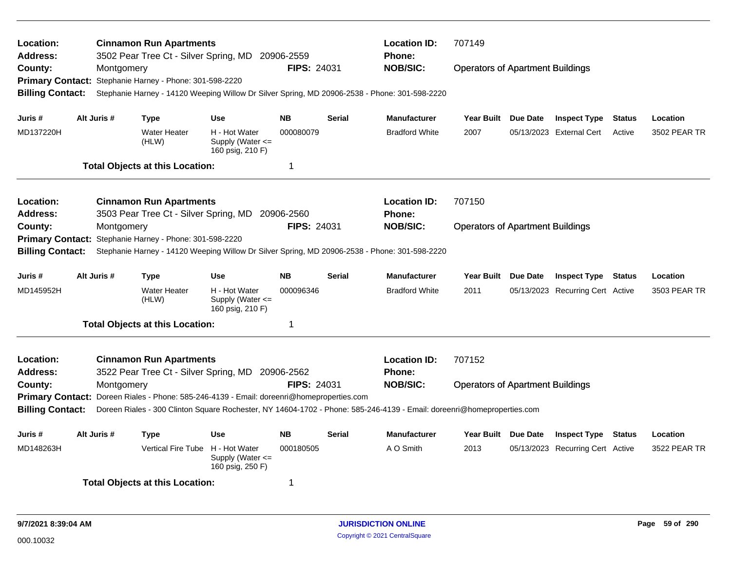| Location:<br>Address:   |                                                                                                                          |             | <b>Cinnamon Run Apartments</b><br>3502 Pear Tree Ct - Silver Spring, MD 20906-2559            |                                                           |                    |               | <b>Location ID:</b><br>Phone: | 707149                                  |                                  |               |              |
|-------------------------|--------------------------------------------------------------------------------------------------------------------------|-------------|-----------------------------------------------------------------------------------------------|-----------------------------------------------------------|--------------------|---------------|-------------------------------|-----------------------------------------|----------------------------------|---------------|--------------|
| County:                 |                                                                                                                          | Montgomery  |                                                                                               |                                                           | <b>FIPS: 24031</b> |               | <b>NOB/SIC:</b>               | <b>Operators of Apartment Buildings</b> |                                  |               |              |
| <b>Primary Contact:</b> |                                                                                                                          |             | Stephanie Harney - Phone: 301-598-2220                                                        |                                                           |                    |               |                               |                                         |                                  |               |              |
| <b>Billing Contact:</b> |                                                                                                                          |             | Stephanie Harney - 14120 Weeping Willow Dr Silver Spring, MD 20906-2538 - Phone: 301-598-2220 |                                                           |                    |               |                               |                                         |                                  |               |              |
| Juris #                 |                                                                                                                          | Alt Juris # | <b>Type</b>                                                                                   | Use                                                       | <b>NB</b>          | Serial        | <b>Manufacturer</b>           | Year Built Due Date                     | <b>Inspect Type</b>              | <b>Status</b> | Location     |
| MD137220H               |                                                                                                                          |             | <b>Water Heater</b><br>(HLW)                                                                  | H - Hot Water<br>Supply (Water $\leq$<br>160 psig, 210 F) | 000080079          |               | <b>Bradford White</b>         | 2007                                    | 05/13/2023 External Cert         | Active        | 3502 PEAR TR |
|                         |                                                                                                                          |             | <b>Total Objects at this Location:</b>                                                        |                                                           | 1                  |               |                               |                                         |                                  |               |              |
| Location:               |                                                                                                                          |             | <b>Cinnamon Run Apartments</b>                                                                |                                                           |                    |               | <b>Location ID:</b>           | 707150                                  |                                  |               |              |
| <b>Address:</b>         |                                                                                                                          |             | 3503 Pear Tree Ct - Silver Spring, MD 20906-2560                                              |                                                           |                    |               | <b>Phone:</b>                 |                                         |                                  |               |              |
| County:                 |                                                                                                                          | Montgomery  |                                                                                               |                                                           | FIPS: 24031        |               | <b>NOB/SIC:</b>               | <b>Operators of Apartment Buildings</b> |                                  |               |              |
| <b>Primary Contact:</b> |                                                                                                                          |             | Stephanie Harney - Phone: 301-598-2220                                                        |                                                           |                    |               |                               |                                         |                                  |               |              |
|                         | <b>Billing Contact:</b><br>Stephanie Harney - 14120 Weeping Willow Dr Silver Spring, MD 20906-2538 - Phone: 301-598-2220 |             |                                                                                               |                                                           |                    |               |                               |                                         |                                  |               |              |
| Juris #                 |                                                                                                                          | Alt Juris # | <b>Type</b>                                                                                   | <b>Use</b>                                                | <b>NB</b>          | <b>Serial</b> | <b>Manufacturer</b>           | Year Built Due Date                     | <b>Inspect Type</b>              | Status        | Location     |
| MD145952H               |                                                                                                                          |             | <b>Water Heater</b><br>(HLW)                                                                  | H - Hot Water<br>Supply (Water <=<br>160 psig, 210 F)     | 000096346          |               | <b>Bradford White</b>         | 2011                                    | 05/13/2023 Recurring Cert Active |               | 3503 PEAR TR |
|                         |                                                                                                                          |             | <b>Total Objects at this Location:</b>                                                        |                                                           | 1                  |               |                               |                                         |                                  |               |              |
| Location:               |                                                                                                                          |             | <b>Cinnamon Run Apartments</b>                                                                |                                                           |                    |               | <b>Location ID:</b>           | 707152                                  |                                  |               |              |
| <b>Address:</b>         |                                                                                                                          |             | 3522 Pear Tree Ct - Silver Spring, MD 20906-2562                                              |                                                           |                    |               | <b>Phone:</b>                 |                                         |                                  |               |              |
| County:                 |                                                                                                                          | Montgomery  |                                                                                               |                                                           | <b>FIPS: 24031</b> |               | <b>NOB/SIC:</b>               | <b>Operators of Apartment Buildings</b> |                                  |               |              |
| <b>Primary Contact:</b> | Doreen Riales - Phone: 585-246-4139 - Email: doreenri@homeproperties.com                                                 |             |                                                                                               |                                                           |                    |               |                               |                                         |                                  |               |              |
| <b>Billing Contact:</b> | Doreen Riales - 300 Clinton Square Rochester, NY 14604-1702 - Phone: 585-246-4139 - Email: doreenri@homeproperties.com   |             |                                                                                               |                                                           |                    |               |                               |                                         |                                  |               |              |
| Juris #                 |                                                                                                                          | Alt Juris # | <b>Type</b>                                                                                   | <b>Use</b>                                                | <b>NB</b>          | <b>Serial</b> | <b>Manufacturer</b>           | Year Built Due Date                     | <b>Inspect Type Status</b>       |               | Location     |
| MD148263H               |                                                                                                                          |             | Vertical Fire Tube H - Hot Water                                                              | Supply (Water <=<br>160 psig, 250 F)                      | 000180505          |               | A O Smith                     | 2013                                    | 05/13/2023 Recurring Cert Active |               | 3522 PEAR TR |
|                         |                                                                                                                          |             | <b>Total Objects at this Location:</b>                                                        |                                                           | 1                  |               |                               |                                         |                                  |               |              |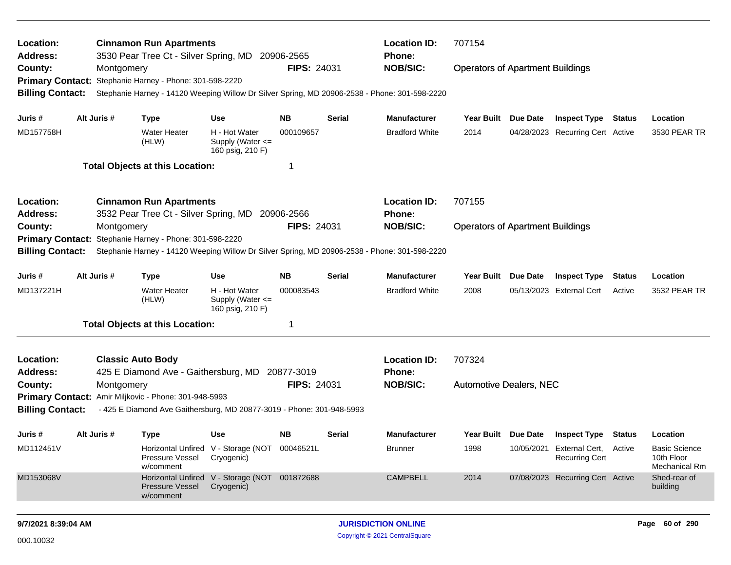| Location:<br>Address:   |             |            | <b>Cinnamon Run Apartments</b><br>3530 Pear Tree Ct - Silver Spring, MD 20906-2565 |                                                             |                    |        | <b>Location ID:</b><br><b>Phone:</b>                                                          | 707154                                  |                 |                                                           |        |                                                            |
|-------------------------|-------------|------------|------------------------------------------------------------------------------------|-------------------------------------------------------------|--------------------|--------|-----------------------------------------------------------------------------------------------|-----------------------------------------|-----------------|-----------------------------------------------------------|--------|------------------------------------------------------------|
| County:                 |             | Montgomery | Primary Contact: Stephanie Harney - Phone: 301-598-2220                            |                                                             | <b>FIPS: 24031</b> |        | <b>NOB/SIC:</b>                                                                               | <b>Operators of Apartment Buildings</b> |                 |                                                           |        |                                                            |
| <b>Billing Contact:</b> |             |            |                                                                                    |                                                             |                    |        | Stephanie Harney - 14120 Weeping Willow Dr Silver Spring, MD 20906-2538 - Phone: 301-598-2220 |                                         |                 |                                                           |        |                                                            |
| Juris #                 | Alt Juris # |            | <b>Type</b>                                                                        | <b>Use</b>                                                  | NB.                | Serial | <b>Manufacturer</b>                                                                           | Year Built Due Date                     |                 | <b>Inspect Type Status</b>                                |        | Location                                                   |
| MD157758H               |             |            | <b>Water Heater</b><br>(HLW)                                                       | H - Hot Water<br>Supply (Water <=<br>160 psig, 210 F)       | 000109657          |        | <b>Bradford White</b>                                                                         | 2014                                    |                 | 04/28/2023 Recurring Cert Active                          |        | 3530 PEAR TR                                               |
|                         |             |            | <b>Total Objects at this Location:</b>                                             |                                                             | -1                 |        |                                                                                               |                                         |                 |                                                           |        |                                                            |
| Location:               |             |            | <b>Cinnamon Run Apartments</b>                                                     |                                                             |                    |        | <b>Location ID:</b>                                                                           | 707155                                  |                 |                                                           |        |                                                            |
| <b>Address:</b>         |             |            | 3532 Pear Tree Ct - Silver Spring, MD                                              |                                                             | 20906-2566         |        | <b>Phone:</b>                                                                                 |                                         |                 |                                                           |        |                                                            |
| County:                 |             | Montgomery |                                                                                    |                                                             | <b>FIPS: 24031</b> |        | <b>NOB/SIC:</b>                                                                               | <b>Operators of Apartment Buildings</b> |                 |                                                           |        |                                                            |
| <b>Primary Contact:</b> |             |            | Stephanie Harney - Phone: 301-598-2220                                             |                                                             |                    |        |                                                                                               |                                         |                 |                                                           |        |                                                            |
| <b>Billing Contact:</b> |             |            |                                                                                    |                                                             |                    |        | Stephanie Harney - 14120 Weeping Willow Dr Silver Spring, MD 20906-2538 - Phone: 301-598-2220 |                                         |                 |                                                           |        |                                                            |
| Juris #                 | Alt Juris # |            | <b>Type</b>                                                                        | <b>Use</b>                                                  | <b>NB</b>          | Serial | <b>Manufacturer</b>                                                                           | <b>Year Built</b>                       | <b>Due Date</b> | <b>Inspect Type</b>                                       | Status | Location                                                   |
| MD137221H               |             |            | <b>Water Heater</b><br>(HLW)                                                       | H - Hot Water<br>Supply (Water <=<br>160 psig, 210 F)       | 000083543          |        | <b>Bradford White</b>                                                                         | 2008                                    |                 | 05/13/2023 External Cert                                  | Active | 3532 PEAR TR                                               |
|                         |             |            | <b>Total Objects at this Location:</b>                                             |                                                             | 1                  |        |                                                                                               |                                         |                 |                                                           |        |                                                            |
| Location:               |             |            | <b>Classic Auto Body</b>                                                           |                                                             |                    |        | <b>Location ID:</b>                                                                           | 707324                                  |                 |                                                           |        |                                                            |
| <b>Address:</b>         |             |            | 425 E Diamond Ave - Gaithersburg, MD 20877-3019                                    |                                                             |                    |        | Phone:                                                                                        |                                         |                 |                                                           |        |                                                            |
| County:                 |             | Montgomery |                                                                                    |                                                             | <b>FIPS: 24031</b> |        | <b>NOB/SIC:</b>                                                                               | <b>Automotive Dealers, NEC</b>          |                 |                                                           |        |                                                            |
|                         |             |            | Primary Contact: Amir Miljkovic - Phone: 301-948-5993                              |                                                             |                    |        |                                                                                               |                                         |                 |                                                           |        |                                                            |
| <b>Billing Contact:</b> |             |            | - 425 E Diamond Ave Gaithersburg, MD 20877-3019 - Phone: 301-948-5993              |                                                             |                    |        |                                                                                               |                                         |                 |                                                           |        |                                                            |
| Juris #                 | Alt Juris # |            | Type                                                                               | Use                                                         | NB.                | Serial | <b>Manufacturer</b>                                                                           | Year Built Due Date                     |                 | <b>Inspect Type Status</b>                                |        | Location                                                   |
| MD112451V               |             |            | Pressure Vessel Cryogenic)<br>w/comment                                            | Horizontal Unfired V - Storage (NOT 00046521L               |                    |        | <b>Brunner</b>                                                                                | 1998                                    |                 | 10/05/2021 External Cert, Active<br><b>Recurring Cert</b> |        | <b>Basic Science</b><br>10th Floor<br><b>Mechanical Rm</b> |
| MD153068V               |             |            | Pressure Vessel<br>w/comment                                                       | Horizontal Unfired V - Storage (NOT 001872688<br>Cryogenic) |                    |        | <b>CAMPBELL</b>                                                                               | 2014                                    |                 | 07/08/2023 Recurring Cert Active                          |        | Shed-rear of<br>building                                   |
| 9/7/2021 8:39:04 AM     |             |            |                                                                                    |                                                             |                    |        | <b>JURISDICTION ONLINE</b>                                                                    |                                         |                 |                                                           |        | Page 60 of 290                                             |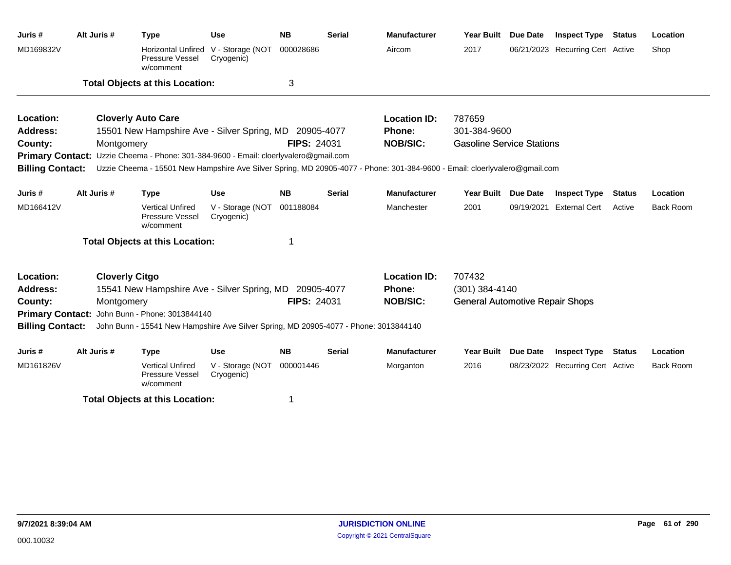| Juris #                 | Alt Juris #           | <b>Type</b>                                                                          | <b>Use</b>                                        | <b>NB</b>          | <b>Serial</b> | <b>Manufacturer</b>                                                                                                                         | Year Built                             | <b>Due Date</b> | <b>Inspect Type</b>              | <b>Status</b> | Location         |
|-------------------------|-----------------------|--------------------------------------------------------------------------------------|---------------------------------------------------|--------------------|---------------|---------------------------------------------------------------------------------------------------------------------------------------------|----------------------------------------|-----------------|----------------------------------|---------------|------------------|
| MD169832V               |                       | Pressure Vessel<br>w/comment                                                         | Horizontal Unfired V - Storage (NOT<br>Cryogenic) | 000028686          |               | Aircom                                                                                                                                      | 2017                                   |                 | 06/21/2023 Recurring Cert Active |               | Shop             |
|                         |                       | <b>Total Objects at this Location:</b>                                               |                                                   | 3                  |               |                                                                                                                                             |                                        |                 |                                  |               |                  |
| Location:               |                       | <b>Cloverly Auto Care</b>                                                            |                                                   |                    |               | <b>Location ID:</b>                                                                                                                         | 787659                                 |                 |                                  |               |                  |
| <b>Address:</b>         |                       | 15501 New Hampshire Ave - Silver Spring, MD 20905-4077                               |                                                   |                    |               | <b>Phone:</b>                                                                                                                               | 301-384-9600                           |                 |                                  |               |                  |
| County:                 | Montgomery            |                                                                                      |                                                   | <b>FIPS: 24031</b> |               | <b>NOB/SIC:</b>                                                                                                                             | <b>Gasoline Service Stations</b>       |                 |                                  |               |                  |
|                         |                       | Primary Contact: Uzzie Cheema - Phone: 301-384-9600 - Email: cloerlyvalero@gmail.com |                                                   |                    |               |                                                                                                                                             |                                        |                 |                                  |               |                  |
|                         |                       |                                                                                      |                                                   |                    |               | Billing Contact: Uzzie Cheema - 15501 New Hampshire Ave Silver Spring, MD 20905-4077 - Phone: 301-384-9600 - Email: cloerlyvalero@gmail.com |                                        |                 |                                  |               |                  |
| Juris #                 | Alt Juris #           | <b>Type</b>                                                                          | <b>Use</b>                                        | <b>NB</b>          | <b>Serial</b> | <b>Manufacturer</b>                                                                                                                         | <b>Year Built</b>                      | <b>Due Date</b> | <b>Inspect Type</b>              | <b>Status</b> | Location         |
| MD166412V               |                       | <b>Vertical Unfired</b><br>Pressure Vessel<br>w/comment                              | V - Storage (NOT<br>Cryogenic)                    | 001188084          |               | Manchester                                                                                                                                  | 2001                                   | 09/19/2021      | <b>External Cert</b>             | Active        | <b>Back Room</b> |
|                         |                       | <b>Total Objects at this Location:</b>                                               |                                                   | 1                  |               |                                                                                                                                             |                                        |                 |                                  |               |                  |
| Location:               | <b>Cloverly Citgo</b> |                                                                                      |                                                   |                    |               | <b>Location ID:</b>                                                                                                                         | 707432                                 |                 |                                  |               |                  |
| <b>Address:</b>         |                       | 15541 New Hampshire Ave - Silver Spring, MD 20905-4077                               |                                                   |                    |               | Phone:                                                                                                                                      | (301) 384-4140                         |                 |                                  |               |                  |
| County:                 | Montgomery            |                                                                                      |                                                   | <b>FIPS: 24031</b> |               | <b>NOB/SIC:</b>                                                                                                                             | <b>General Automotive Repair Shops</b> |                 |                                  |               |                  |
|                         |                       | Primary Contact: John Bunn - Phone: 3013844140                                       |                                                   |                    |               |                                                                                                                                             |                                        |                 |                                  |               |                  |
| <b>Billing Contact:</b> |                       | John Bunn - 15541 New Hampshire Ave Silver Spring, MD 20905-4077 - Phone: 3013844140 |                                                   |                    |               |                                                                                                                                             |                                        |                 |                                  |               |                  |
| Juris#                  | Alt Juris #           | <b>Type</b>                                                                          | <b>Use</b>                                        | <b>NB</b>          | <b>Serial</b> | <b>Manufacturer</b>                                                                                                                         | <b>Year Built</b>                      | <b>Due Date</b> | <b>Inspect Type Status</b>       |               | Location         |
| MD161826V               |                       | <b>Vertical Unfired</b><br>Pressure Vessel<br>w/comment                              | V - Storage (NOT<br>Cryogenic)                    | 000001446          |               | Morganton                                                                                                                                   | 2016                                   |                 | 08/23/2022 Recurring Cert Active |               | <b>Back Room</b> |
|                         |                       | <b>Total Objects at this Location:</b>                                               |                                                   | 1                  |               |                                                                                                                                             |                                        |                 |                                  |               |                  |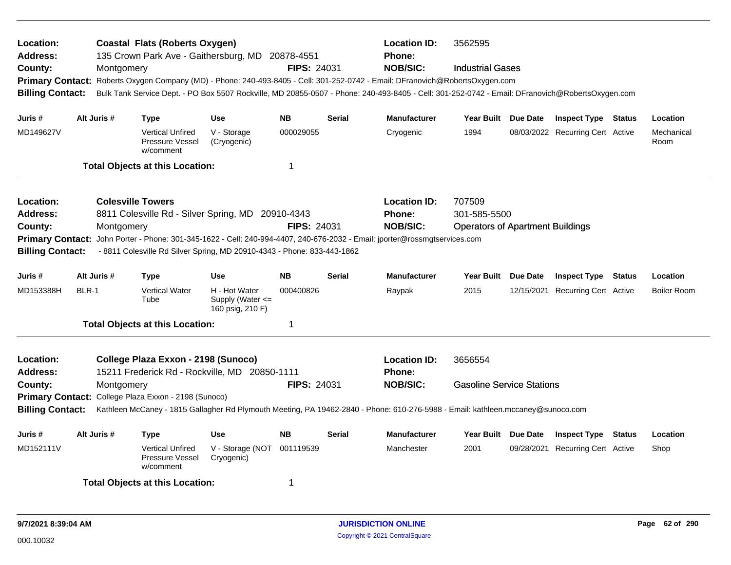| Location:<br><b>Address:</b><br>County:<br><b>Billing Contact:</b>                            | Montgomery                                                                                                                                                 | <b>Coastal Flats (Roberts Oxygen)</b><br>135 Crown Park Ave - Gaithersburg, MD 20878-4551<br>Primary Contact: Roberts Oxygen Company (MD) - Phone: 240-493-8405 - Cell: 301-252-0742 - Email: DFranovich@RobertsOxygen.com<br>Bulk Tank Service Dept. - PO Box 5507 Rockville, MD 20855-0507 - Phone: 240-493-8405 - Cell: 301-252-0742 - Email: DFranovich@RobertsOxygen.com |                                                                                                                                                                                     | <b>FIPS: 24031</b>                          |               | <b>Location ID:</b><br><b>Phone:</b><br><b>NOB/SIC:</b> | 3562595<br><b>Industrial Gases</b>                                |          |                                  |               |                    |
|-----------------------------------------------------------------------------------------------|------------------------------------------------------------------------------------------------------------------------------------------------------------|-------------------------------------------------------------------------------------------------------------------------------------------------------------------------------------------------------------------------------------------------------------------------------------------------------------------------------------------------------------------------------|-------------------------------------------------------------------------------------------------------------------------------------------------------------------------------------|---------------------------------------------|---------------|---------------------------------------------------------|-------------------------------------------------------------------|----------|----------------------------------|---------------|--------------------|
| Juris #                                                                                       | Alt Juris #                                                                                                                                                | <b>Type</b>                                                                                                                                                                                                                                                                                                                                                                   | <b>Use</b>                                                                                                                                                                          | <b>NB</b>                                   | <b>Serial</b> | <b>Manufacturer</b>                                     | Year Built Due Date                                               |          | <b>Inspect Type Status</b>       |               | Location           |
| MD149627V                                                                                     |                                                                                                                                                            | <b>Vertical Unfired</b><br>Pressure Vessel<br>w/comment                                                                                                                                                                                                                                                                                                                       | V - Storage<br>(Cryogenic)                                                                                                                                                          | 000029055                                   |               | Cryogenic                                               | 1994                                                              |          | 08/03/2022 Recurring Cert Active |               | Mechanical<br>Room |
|                                                                                               |                                                                                                                                                            | <b>Total Objects at this Location:</b>                                                                                                                                                                                                                                                                                                                                        |                                                                                                                                                                                     | $\mathbf 1$                                 |               |                                                         |                                                                   |          |                                  |               |                    |
| Location:<br><b>Address:</b><br>County:<br><b>Primary Contact:</b><br><b>Billing Contact:</b> | Montgomery                                                                                                                                                 | <b>Colesville Towers</b><br>8811 Colesville Rd - Silver Spring, MD 20910-4343<br>John Porter - Phone: 301-345-1622 - Cell: 240-994-4407, 240-676-2032 - Email: jporter@rossmgtservices.com<br>- 8811 Colesville Rd Silver Spring, MD 20910-4343 - Phone: 833-443-1862                                                                                                         |                                                                                                                                                                                     | FIPS: 24031                                 |               | <b>Location ID:</b><br><b>Phone:</b><br><b>NOB/SIC:</b> | 707509<br>301-585-5500<br><b>Operators of Apartment Buildings</b> |          |                                  |               |                    |
| Juris #                                                                                       | Alt Juris #                                                                                                                                                | <b>Type</b>                                                                                                                                                                                                                                                                                                                                                                   | Use                                                                                                                                                                                 | <b>NB</b>                                   | <b>Serial</b> | <b>Manufacturer</b>                                     | Year Built Due Date                                               |          | <b>Inspect Type Status</b>       |               | Location           |
| MD153388H                                                                                     | BLR-1                                                                                                                                                      | <b>Vertical Water</b><br>Tube                                                                                                                                                                                                                                                                                                                                                 | H - Hot Water<br>Supply (Water $\leq$<br>160 psig, 210 F)                                                                                                                           | 000400826                                   |               | Raypak                                                  | 2015                                                              |          | 12/15/2021 Recurring Cert Active |               | <b>Boiler Room</b> |
|                                                                                               |                                                                                                                                                            | <b>Total Objects at this Location:</b>                                                                                                                                                                                                                                                                                                                                        |                                                                                                                                                                                     | 1                                           |               |                                                         |                                                                   |          |                                  |               |                    |
| Location:<br><b>Address:</b><br>County:<br><b>Billing Contact:</b>                            | College Plaza Exxon - 2198 (Sunoco)<br>15211 Frederick Rd - Rockville, MD 20850-1111<br>Montgomery<br>Primary Contact: College Plaza Exxon - 2198 (Sunoco) | <b>FIPS: 24031</b>                                                                                                                                                                                                                                                                                                                                                            | <b>Location ID:</b><br>Phone:<br><b>NOB/SIC:</b><br>Kathleen McCaney - 1815 Gallagher Rd Plymouth Meeting, PA 19462-2840 - Phone: 610-276-5988 - Email: kathleen.mccaney@sunoco.com | 3656554<br><b>Gasoline Service Stations</b> |               |                                                         |                                                                   |          |                                  |               |                    |
| Juris #                                                                                       | Alt Juris #                                                                                                                                                | <b>Type</b>                                                                                                                                                                                                                                                                                                                                                                   | Use                                                                                                                                                                                 | <b>NB</b>                                   | <b>Serial</b> | <b>Manufacturer</b>                                     | <b>Year Built</b>                                                 | Due Date | <b>Inspect Type</b>              | <b>Status</b> | Location           |
| MD152111V                                                                                     |                                                                                                                                                            | <b>Vertical Unfired</b><br>Pressure Vessel<br>w/comment                                                                                                                                                                                                                                                                                                                       | V - Storage (NOT<br>Cryogenic)                                                                                                                                                      | 001119539                                   |               | Manchester                                              | 2001                                                              |          | 09/28/2021 Recurring Cert Active |               | Shop               |
|                                                                                               |                                                                                                                                                            | <b>Total Objects at this Location:</b>                                                                                                                                                                                                                                                                                                                                        |                                                                                                                                                                                     | 1                                           |               |                                                         |                                                                   |          |                                  |               |                    |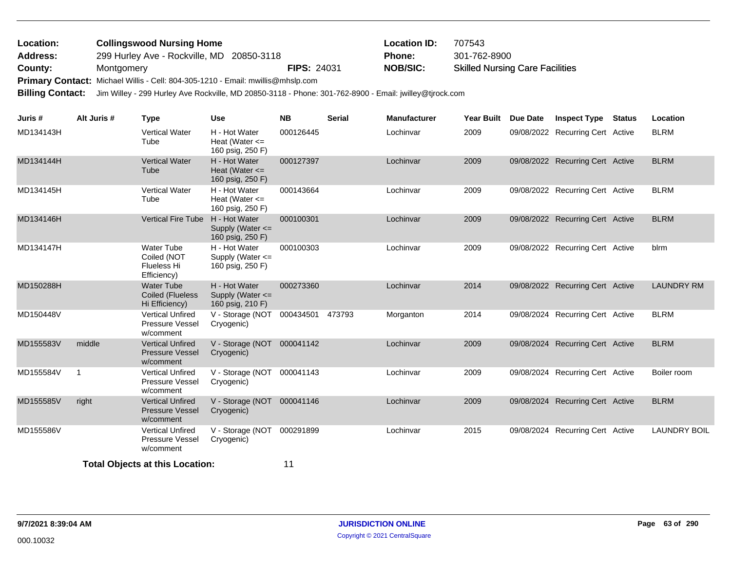| Location:       | <b>Collingswood Nursing Home</b>          |                    | <b>Location ID:</b> | 707543                                 |
|-----------------|-------------------------------------------|--------------------|---------------------|----------------------------------------|
| <b>Address:</b> | 299 Hurley Ave - Rockville, MD 20850-3118 |                    | Phone:              | 301-762-8900                           |
| County:         | Montgomery                                | <b>FIPS: 24031</b> | NOB/SIC:            | <b>Skilled Nursing Care Facilities</b> |
| - -             |                                           |                    |                     |                                        |

Primary Contact: Michael Willis - Cell: 804-305-1210 - Email: mwillis@mhslp.com

**Billing Contact:** Jim Willey - 299 Hurley Ave Rockville, MD 20850-3118 - Phone: 301-762-8900 - Email: jwilley@tjrock.com

| Juris #   | Alt Juris #    | <b>Type</b>                                                    | <b>Use</b>                                              | <b>NB</b> | <b>Serial</b> | <b>Manufacturer</b> | <b>Year Built</b> | Due Date | <b>Inspect Type</b>              | Status | Location            |
|-----------|----------------|----------------------------------------------------------------|---------------------------------------------------------|-----------|---------------|---------------------|-------------------|----------|----------------------------------|--------|---------------------|
| MD134143H |                | <b>Vertical Water</b><br>Tube                                  | H - Hot Water<br>Heat (Water $\leq$<br>160 psig, 250 F) | 000126445 |               | Lochinvar           | 2009              |          | 09/08/2022 Recurring Cert Active |        | <b>BLRM</b>         |
| MD134144H |                | <b>Vertical Water</b><br>Tube                                  | H - Hot Water<br>Heat (Water $\leq$<br>160 psig, 250 F) | 000127397 |               | Lochinvar           | 2009              |          | 09/08/2022 Recurring Cert Active |        | <b>BLRM</b>         |
| MD134145H |                | <b>Vertical Water</b><br>Tube                                  | H - Hot Water<br>Heat (Water $\leq$<br>160 psig, 250 F) | 000143664 |               | Lochinvar           | 2009              |          | 09/08/2022 Recurring Cert Active |        | <b>BLRM</b>         |
| MD134146H |                | <b>Vertical Fire Tube</b>                                      | H - Hot Water<br>Supply (Water <=<br>160 psig, 250 F)   | 000100301 |               | Lochinvar           | 2009              |          | 09/08/2022 Recurring Cert Active |        | <b>BLRM</b>         |
| MD134147H |                | <b>Water Tube</b><br>Coiled (NOT<br>Flueless Hi<br>Efficiency) | H - Hot Water<br>Supply (Water <=<br>160 psig, 250 F)   | 000100303 |               | Lochinvar           | 2009              |          | 09/08/2022 Recurring Cert Active |        | blrm                |
| MD150288H |                | <b>Water Tube</b><br><b>Coiled (Flueless</b><br>Hi Efficiency) | H - Hot Water<br>Supply (Water <=<br>160 psig, 210 F)   | 000273360 |               | Lochinvar           | 2014              |          | 09/08/2022 Recurring Cert Active |        | <b>LAUNDRY RM</b>   |
| MD150448V |                | <b>Vertical Unfired</b><br>Pressure Vessel<br>w/comment        | V - Storage (NOT<br>Cryogenic)                          | 000434501 | 473793        | Morganton           | 2014              |          | 09/08/2024 Recurring Cert Active |        | <b>BLRM</b>         |
| MD155583V | middle         | <b>Vertical Unfired</b><br><b>Pressure Vessel</b><br>w/comment | V - Storage (NOT 000041142<br>Cryogenic)                |           |               | Lochinvar           | 2009              |          | 09/08/2024 Recurring Cert Active |        | <b>BLRM</b>         |
| MD155584V | $\overline{1}$ | <b>Vertical Unfired</b><br>Pressure Vessel<br>w/comment        | V - Storage (NOT<br>Cryogenic)                          | 000041143 |               | Lochinvar           | 2009              |          | 09/08/2024 Recurring Cert Active |        | Boiler room         |
| MD155585V | right          | <b>Vertical Unfired</b><br><b>Pressure Vessel</b><br>w/comment | V - Storage (NOT 000041146<br>Cryogenic)                |           |               | Lochinvar           | 2009              |          | 09/08/2024 Recurring Cert Active |        | <b>BLRM</b>         |
| MD155586V |                | <b>Vertical Unfired</b><br>Pressure Vessel<br>w/comment        | V - Storage (NOT<br>Cryogenic)                          | 000291899 |               | Lochinvar           | 2015              |          | 09/08/2024 Recurring Cert Active |        | <b>LAUNDRY BOIL</b> |
|           |                | <b>Total Objects at this Location:</b>                         |                                                         | 11        |               |                     |                   |          |                                  |        |                     |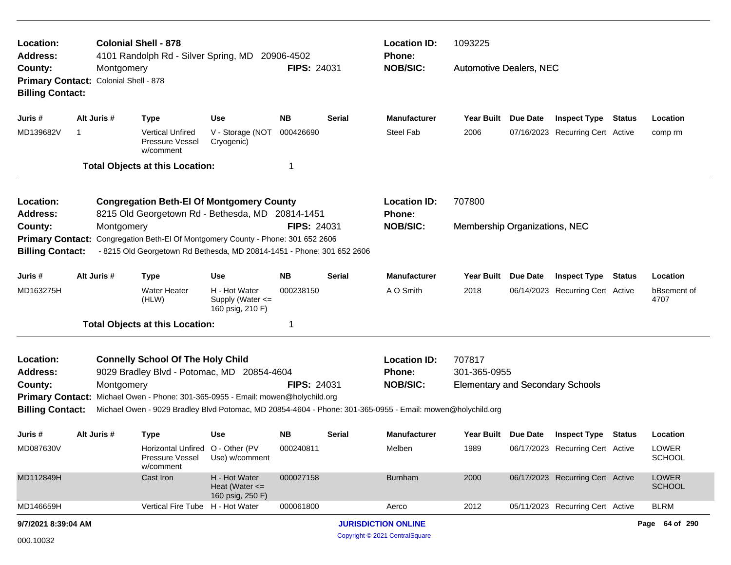| Location:<br>Address:                                         |                                                     | <b>Colonial Shell - 878</b><br>4101 Randolph Rd - Silver Spring, MD 20906-4502                                                                                                                 |                                                         |                    |                     | 1093225<br><b>Location ID:</b><br><b>Phone:</b>         |                                                                   |                            |                                  |          |                               |
|---------------------------------------------------------------|-----------------------------------------------------|------------------------------------------------------------------------------------------------------------------------------------------------------------------------------------------------|---------------------------------------------------------|--------------------|---------------------|---------------------------------------------------------|-------------------------------------------------------------------|----------------------------|----------------------------------|----------|-------------------------------|
| County:<br><b>Billing Contact:</b>                            | Montgomery<br>Primary Contact: Colonial Shell - 878 |                                                                                                                                                                                                |                                                         | <b>FIPS: 24031</b> |                     | <b>NOB/SIC:</b>                                         | <b>Automotive Dealers, NEC</b>                                    |                            |                                  |          |                               |
| Juris #                                                       | Alt Juris #                                         | <b>Type</b>                                                                                                                                                                                    | <b>Use</b>                                              | <b>NB</b>          | Serial              | <b>Manufacturer</b>                                     | Year Built Due Date                                               |                            | <b>Inspect Type Status</b>       |          | Location                      |
| MD139682V                                                     | 1                                                   | <b>Vertical Unfired</b><br><b>Pressure Vessel</b><br>w/comment                                                                                                                                 | V - Storage (NOT<br>Cryogenic)                          | 000426690          |                     | <b>Steel Fab</b>                                        | 2006                                                              |                            | 07/16/2023 Recurring Cert Active |          | comp rm                       |
|                                                               |                                                     | <b>Total Objects at this Location:</b>                                                                                                                                                         |                                                         | -1                 |                     |                                                         |                                                                   |                            |                                  |          |                               |
| Location:<br><b>Address:</b>                                  |                                                     | <b>Congregation Beth-El Of Montgomery County</b><br>8215 Old Georgetown Rd - Bethesda, MD 20814-1451                                                                                           |                                                         |                    |                     | <b>Location ID:</b><br><b>Phone:</b>                    | 707800                                                            |                            |                                  |          |                               |
| County:<br><b>Primary Contact:</b><br><b>Billing Contact:</b> | Montgomery                                          | Congregation Beth-El Of Montgomery County - Phone: 301 652 2606<br>- 8215 Old Georgetown Rd Bethesda, MD 20814-1451 - Phone: 301 652 2606                                                      |                                                         | <b>FIPS: 24031</b> | <b>NOB/SIC:</b>     | Membership Organizations, NEC                           |                                                                   |                            |                                  |          |                               |
| Juris #                                                       | Alt Juris #                                         | <b>Type</b>                                                                                                                                                                                    | <b>Use</b>                                              | Serial             | <b>Manufacturer</b> | Year Built                                              | Due Date                                                          | <b>Inspect Type Status</b> |                                  | Location |                               |
| MD163275H                                                     |                                                     | <b>Water Heater</b><br>(HLW)                                                                                                                                                                   | H - Hot Water<br>Supply (Water <=<br>160 psig, 210 F)   | 000238150          |                     | A O Smith                                               | 2018                                                              |                            | 06/14/2023 Recurring Cert Active |          | bBsement of<br>4707           |
|                                                               |                                                     | <b>Total Objects at this Location:</b>                                                                                                                                                         |                                                         | 1                  |                     |                                                         |                                                                   |                            |                                  |          |                               |
| Location:<br><b>Address:</b><br>County:                       | Montgomery                                          | <b>Connelly School Of The Holy Child</b><br>9029 Bradley Blvd - Potomac, MD 20854-4604                                                                                                         |                                                         | <b>FIPS: 24031</b> |                     | <b>Location ID:</b><br><b>Phone:</b><br><b>NOB/SIC:</b> | 707817<br>301-365-0955<br><b>Elementary and Secondary Schools</b> |                            |                                  |          |                               |
| <b>Billing Contact:</b>                                       |                                                     | Primary Contact: Michael Owen - Phone: 301-365-0955 - Email: mowen@holychild.org<br>Michael Owen - 9029 Bradley Blvd Potomac, MD 20854-4604 - Phone: 301-365-0955 - Email: mowen@holychild.org |                                                         |                    |                     |                                                         |                                                                   |                            |                                  |          |                               |
| Juris #                                                       | Alt Juris #                                         | Type                                                                                                                                                                                           | Use                                                     | NB.                | Serial              | <b>Manufacturer</b>                                     | Year Built Due Date                                               |                            | <b>Inspect Type Status</b>       |          | Location                      |
| MD087630V                                                     |                                                     | Horizontal Unfired O - Other (PV<br>Pressure Vessel<br>w/comment                                                                                                                               | Use) w/comment                                          | 000240811          |                     | Melben                                                  | 1989                                                              |                            | 06/17/2023 Recurring Cert Active |          | LOWER<br><b>SCHOOL</b>        |
| MD112849H                                                     |                                                     | Cast Iron                                                                                                                                                                                      | H - Hot Water<br>Heat (Water $\leq$<br>160 psig, 250 F) | 000027158          |                     | <b>Burnham</b>                                          | 2000                                                              |                            | 06/17/2023 Recurring Cert Active |          | <b>LOWER</b><br><b>SCHOOL</b> |
| MD146659H                                                     |                                                     | <b>Vertical Fire Tube</b>                                                                                                                                                                      | H - Hot Water                                           | 000061800          |                     | Aerco                                                   | 2012                                                              |                            | 05/11/2023 Recurring Cert Active |          | <b>BLRM</b>                   |
| 9/7/2021 8:39:04 AM                                           |                                                     |                                                                                                                                                                                                |                                                         |                    |                     | <b>JURISDICTION ONLINE</b>                              |                                                                   |                            |                                  |          | Page 64 of 290                |
| 000.10032                                                     | Copyright © 2021 CentralSquare                      |                                                                                                                                                                                                |                                                         |                    |                     |                                                         |                                                                   |                            |                                  |          |                               |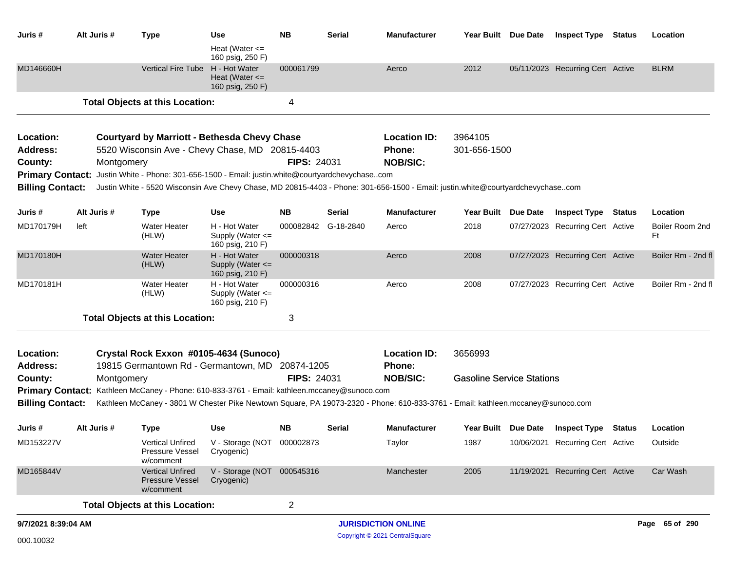| Juris #                 |      | Alt Juris # | <b>Type</b>                                                                                                                     | Use                                                       | <b>NB</b>          | Serial              | <b>Manufacturer</b>        |                                  | Year Built Due Date | <b>Inspect Type Status</b>       | Location              |
|-------------------------|------|-------------|---------------------------------------------------------------------------------------------------------------------------------|-----------------------------------------------------------|--------------------|---------------------|----------------------------|----------------------------------|---------------------|----------------------------------|-----------------------|
|                         |      |             |                                                                                                                                 | Heat (Water $\leq$<br>160 psig, 250 F)                    |                    |                     |                            |                                  |                     |                                  |                       |
| MD146660H               |      |             | <b>Vertical Fire Tube</b>                                                                                                       | H - Hot Water<br>Heat (Water $\leq$<br>160 psig, 250 F)   | 000061799          |                     | Aerco                      | 2012                             |                     | 05/11/2023 Recurring Cert Active | <b>BLRM</b>           |
|                         |      |             | <b>Total Objects at this Location:</b>                                                                                          |                                                           | 4                  |                     |                            |                                  |                     |                                  |                       |
| Location:               |      |             | <b>Courtyard by Marriott - Bethesda Chevy Chase</b>                                                                             |                                                           |                    |                     | <b>Location ID:</b>        | 3964105                          |                     |                                  |                       |
| <b>Address:</b>         |      |             | 5520 Wisconsin Ave - Chevy Chase, MD 20815-4403                                                                                 |                                                           |                    |                     | <b>Phone:</b>              | 301-656-1500                     |                     |                                  |                       |
| County:                 |      | Montgomery  |                                                                                                                                 |                                                           | <b>FIPS: 24031</b> |                     | <b>NOB/SIC:</b>            |                                  |                     |                                  |                       |
| <b>Primary Contact:</b> |      |             | Justin White - Phone: 301-656-1500 - Email: justin.white@courtyardchevychasecom                                                 |                                                           |                    |                     |                            |                                  |                     |                                  |                       |
| <b>Billing Contact:</b> |      |             | Justin White - 5520 Wisconsin Ave Chevy Chase, MD 20815-4403 - Phone: 301-656-1500 - Email: justin.white@courtyardchevychasecom |                                                           |                    |                     |                            |                                  |                     |                                  |                       |
| Juris #                 |      | Alt Juris # | <b>Type</b>                                                                                                                     | Use                                                       | NΒ                 | Serial              | <b>Manufacturer</b>        | Year Built Due Date              |                     | <b>Inspect Type Status</b>       | Location              |
| MD170179H               | left |             | <b>Water Heater</b><br>(HLW)                                                                                                    | H - Hot Water<br>Supply (Water $\leq$<br>160 psig, 210 F) |                    | 000082842 G-18-2840 | Aerco                      | 2018                             |                     | 07/27/2023 Recurring Cert Active | Boiler Room 2nd<br>Ft |
| MD170180H               |      |             | <b>Water Heater</b><br>(HLW)                                                                                                    | H - Hot Water<br>Supply (Water <=<br>160 psig, 210 F)     | 000000318          |                     | Aerco                      | 2008                             |                     | 07/27/2023 Recurring Cert Active | Boiler Rm - 2nd fl    |
| MD170181H               |      |             | <b>Water Heater</b><br>(HLW)                                                                                                    | H - Hot Water<br>Supply (Water <=<br>160 psig, 210 F)     | 000000316          |                     | Aerco                      | 2008                             |                     | 07/27/2023 Recurring Cert Active | Boiler Rm - 2nd fl    |
|                         |      |             | <b>Total Objects at this Location:</b>                                                                                          |                                                           | 3                  |                     |                            |                                  |                     |                                  |                       |
| Location:               |      |             | Crystal Rock Exxon #0105-4634 (Sunoco)                                                                                          |                                                           |                    |                     | <b>Location ID:</b>        | 3656993                          |                     |                                  |                       |
| <b>Address:</b>         |      |             | 19815 Germantown Rd - Germantown, MD 20874-1205                                                                                 |                                                           |                    |                     | <b>Phone:</b>              |                                  |                     |                                  |                       |
| County:                 |      | Montgomery  |                                                                                                                                 |                                                           | <b>FIPS: 24031</b> |                     | <b>NOB/SIC:</b>            | <b>Gasoline Service Stations</b> |                     |                                  |                       |
|                         |      |             | Primary Contact: Kathleen McCaney - Phone: 610-833-3761 - Email: kathleen.mccaney@sunoco.com                                    |                                                           |                    |                     |                            |                                  |                     |                                  |                       |
| <b>Billing Contact:</b> |      |             | Kathleen McCaney - 3801 W Chester Pike Newtown Square, PA 19073-2320 - Phone: 610-833-3761 - Email: kathleen.mccaney@sunoco.com |                                                           |                    |                     |                            |                                  |                     |                                  |                       |
| Juris #                 |      | Alt Juris # | <b>Type</b>                                                                                                                     | <b>Use</b>                                                | NΒ                 | Serial              | <b>Manufacturer</b>        |                                  | Year Built Due Date | <b>Inspect Type Status</b>       | Location              |
| MD153227V               |      |             | Pressure Vessel<br>w/comment                                                                                                    | Vertical Unfired V - Storage (NOT 000002873<br>Cryogenic) |                    |                     | Taylor                     | 1987                             |                     | 10/06/2021 Recurring Cert Active | Outside               |
| MD165844V               |      |             | <b>Vertical Unfired</b><br><b>Pressure Vessel</b><br>w/comment                                                                  | V - Storage (NOT 000545316<br>Cryogenic)                  |                    |                     | Manchester                 | 2005                             |                     | 11/19/2021 Recurring Cert Active | Car Wash              |
|                         |      |             | <b>Total Objects at this Location:</b>                                                                                          |                                                           | $\overline{2}$     |                     |                            |                                  |                     |                                  |                       |
| 9/7/2021 8:39:04 AM     |      |             |                                                                                                                                 |                                                           |                    |                     | <b>JURISDICTION ONLINE</b> |                                  |                     |                                  | Page 65 of 290        |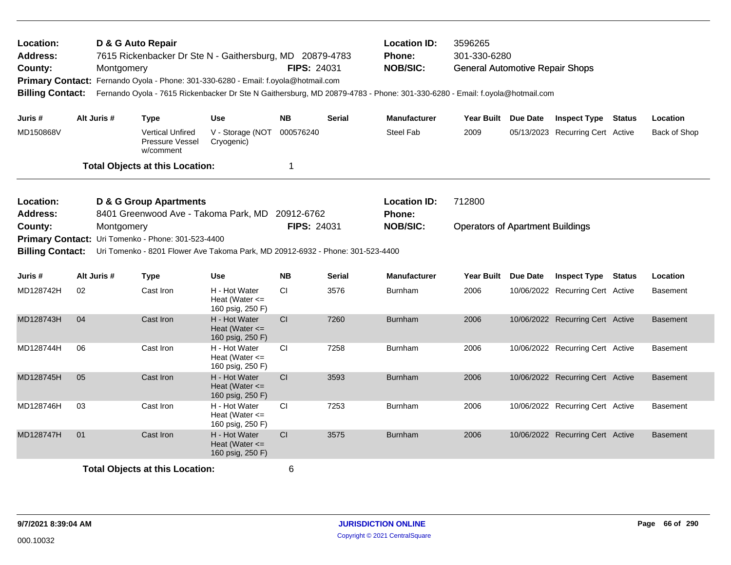| Location:<br>D & G Auto Repair<br>7615 Rickenbacker Dr Ste N - Gaithersburg, MD 20879-4783<br><b>Address:</b><br>County:<br>Montgomery<br>Primary Contact: Fernando Oyola - Phone: 301-330-6280 - Email: f.oyola@hotmail.com<br><b>Billing Contact:</b><br>Alt Juris #<br>Juris #<br><b>Use</b><br>Type |                                        |  |                                                         |                                                         | <b>FIPS: 24031</b>               |               | <b>Location ID:</b><br><b>Phone:</b><br><b>NOB/SIC:</b>                                               | 3596265<br>301-330-6280<br><b>General Automotive Repair Shops</b><br>Fernando Oyola - 7615 Rickenbacker Dr Ste N Gaithersburg, MD 20879-4783 - Phone: 301-330-6280 - Email: f.oyola@hotmail.com |  |                                  |        |                 |
|---------------------------------------------------------------------------------------------------------------------------------------------------------------------------------------------------------------------------------------------------------------------------------------------------------|----------------------------------------|--|---------------------------------------------------------|---------------------------------------------------------|----------------------------------|---------------|-------------------------------------------------------------------------------------------------------|-------------------------------------------------------------------------------------------------------------------------------------------------------------------------------------------------|--|----------------------------------|--------|-----------------|
|                                                                                                                                                                                                                                                                                                         |                                        |  |                                                         |                                                         | <b>NB</b>                        | <b>Serial</b> | <b>Manufacturer</b>                                                                                   | Year Built Due Date                                                                                                                                                                             |  | <b>Inspect Type</b>              | Status | Location        |
| MD150868V                                                                                                                                                                                                                                                                                               |                                        |  | <b>Vertical Unfired</b><br>Pressure Vessel<br>w/comment | V - Storage (NOT<br>Cryogenic)                          | 000576240                        |               | <b>Steel Fab</b>                                                                                      | 2009                                                                                                                                                                                            |  | 05/13/2023 Recurring Cert Active |        | Back of Shop    |
|                                                                                                                                                                                                                                                                                                         |                                        |  | <b>Total Objects at this Location:</b>                  |                                                         | $\mathbf 1$                      |               |                                                                                                       |                                                                                                                                                                                                 |  |                                  |        |                 |
| Location:<br><b>D &amp; G Group Apartments</b><br>8401 Greenwood Ave - Takoma Park, MD<br><b>Address:</b><br>County:<br>Montgomery<br>Primary Contact: Uri Tomenko - Phone: 301-523-4400<br><b>Billing Contact:</b><br>Uri Tomenko - 8201 Flower Ave Takoma Park, MD 20912-6932 - Phone: 301-523-4400   |                                        |  |                                                         |                                                         | 20912-6762<br><b>FIPS: 24031</b> |               | <b>Location ID:</b><br>712800<br>Phone:<br><b>NOB/SIC:</b><br><b>Operators of Apartment Buildings</b> |                                                                                                                                                                                                 |  |                                  |        |                 |
| Juris #                                                                                                                                                                                                                                                                                                 | Alt Juris #                            |  | <b>Type</b>                                             | <b>Use</b>                                              | <b>NB</b>                        | <b>Serial</b> | <b>Manufacturer</b>                                                                                   | Year Built Due Date                                                                                                                                                                             |  | <b>Inspect Type Status</b>       |        | Location        |
| MD128742H                                                                                                                                                                                                                                                                                               | 02                                     |  | Cast Iron                                               | H - Hot Water<br>Heat (Water $\leq$<br>160 psig, 250 F) | CI                               | 3576          | Burnham                                                                                               | 2006                                                                                                                                                                                            |  | 10/06/2022 Recurring Cert Active |        | <b>Basement</b> |
| MD128743H                                                                                                                                                                                                                                                                                               | 04                                     |  | Cast Iron                                               | H - Hot Water<br>Heat (Water $\leq$<br>160 psig, 250 F) | CI                               | 7260          | <b>Burnham</b>                                                                                        | 2006                                                                                                                                                                                            |  | 10/06/2022 Recurring Cert Active |        | <b>Basement</b> |
| MD128744H                                                                                                                                                                                                                                                                                               | 06                                     |  | Cast Iron                                               | H - Hot Water<br>Heat (Water <=<br>160 psig, 250 F)     | CI                               | 7258          | Burnham                                                                                               | 2006                                                                                                                                                                                            |  | 10/06/2022 Recurring Cert Active |        | <b>Basement</b> |
| MD128745H                                                                                                                                                                                                                                                                                               | 05                                     |  | Cast Iron                                               | H - Hot Water<br>Heat (Water $\leq$<br>160 psig, 250 F) | <b>CI</b>                        | 3593          | <b>Burnham</b>                                                                                        | 2006                                                                                                                                                                                            |  | 10/06/2022 Recurring Cert Active |        | <b>Basement</b> |
| MD128746H                                                                                                                                                                                                                                                                                               | 03                                     |  | Cast Iron                                               | H - Hot Water<br>Heat (Water $\leq$<br>160 psig, 250 F) | CI                               | 7253          | Burnham                                                                                               | 2006                                                                                                                                                                                            |  | 10/06/2022 Recurring Cert Active |        | <b>Basement</b> |
| MD128747H                                                                                                                                                                                                                                                                                               | 01                                     |  | Cast Iron                                               | H - Hot Water<br>Heat (Water $\leq$<br>160 psig, 250 F) | CI                               | 3575          | <b>Burnham</b>                                                                                        | 2006                                                                                                                                                                                            |  | 10/06/2022 Recurring Cert Active |        | <b>Basement</b> |
|                                                                                                                                                                                                                                                                                                         | <b>Total Objects at this Location:</b> |  |                                                         |                                                         |                                  |               |                                                                                                       |                                                                                                                                                                                                 |  |                                  |        |                 |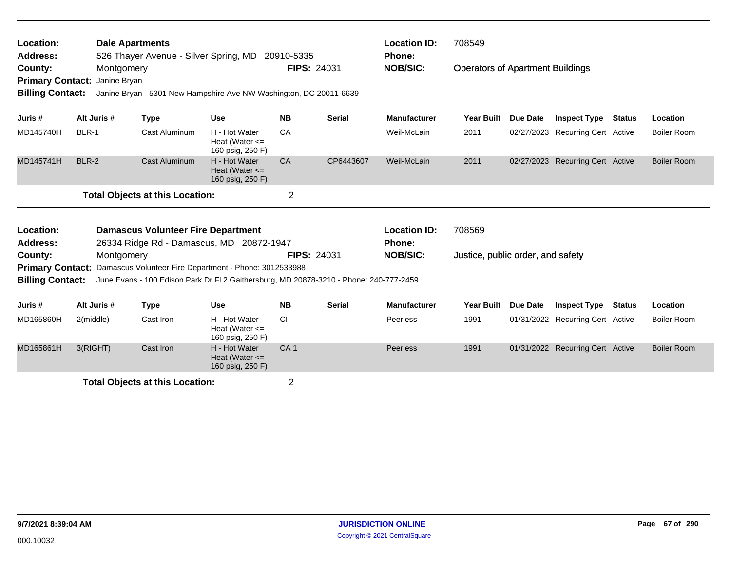| Location:<br><b>Address:</b>                                  |                            | <b>Dale Apartments</b><br>526 Thayer Avenue - Silver Spring, MD 20910-5335                                          |                                                         |                                                                                   |               | <b>Location ID:</b><br><b>Phone:</b>                           | 708549                                  |          |                                  |               |                    |
|---------------------------------------------------------------|----------------------------|---------------------------------------------------------------------------------------------------------------------|---------------------------------------------------------|-----------------------------------------------------------------------------------|---------------|----------------------------------------------------------------|-----------------------------------------|----------|----------------------------------|---------------|--------------------|
| County:<br><b>Primary Contact:</b><br><b>Billing Contact:</b> | Montgomery<br>Janine Bryan |                                                                                                                     |                                                         | FIPS: 24031<br>Janine Bryan - 5301 New Hampshire Ave NW Washington, DC 20011-6639 |               | <b>NOB/SIC:</b>                                                | <b>Operators of Apartment Buildings</b> |          |                                  |               |                    |
| Juris #                                                       | Alt Juris #                | <b>Type</b>                                                                                                         | <b>Use</b>                                              | <b>NB</b>                                                                         | Serial        | <b>Manufacturer</b>                                            | <b>Year Built</b>                       | Due Date | <b>Inspect Type</b>              | <b>Status</b> | Location           |
| MD145740H                                                     | <b>BLR-1</b>               | <b>Cast Aluminum</b>                                                                                                | H - Hot Water<br>Heat (Water $\leq$<br>160 psig, 250 F) | CA                                                                                |               | Weil-McLain                                                    | 2011                                    |          | 02/27/2023 Recurring Cert Active |               | Boiler Room        |
| MD145741H                                                     | <b>BLR-2</b>               | <b>Cast Aluminum</b>                                                                                                | H - Hot Water<br>Heat (Water $\leq$<br>160 psig, 250 F) | CA                                                                                | CP6443607     | Weil-McLain                                                    | 2011                                    |          | 02/27/2023 Recurring Cert Active |               | <b>Boiler Room</b> |
|                                                               |                            | <b>Total Objects at this Location:</b>                                                                              |                                                         | $\overline{2}$                                                                    |               |                                                                |                                         |          |                                  |               |                    |
| Location:                                                     |                            | <b>Damascus Volunteer Fire Department</b>                                                                           |                                                         |                                                                                   |               | <b>Location ID:</b>                                            | 708569                                  |          |                                  |               |                    |
| <b>Address:</b><br>County:                                    | Montgomery                 | 26334 Ridge Rd - Damascus, MD 20872-1947<br>Primary Contact: Damascus Volunteer Fire Department - Phone: 3012533988 |                                                         |                                                                                   | FIPS: 24031   | Phone:<br><b>NOB/SIC:</b><br>Justice, public order, and safety |                                         |          |                                  |               |                    |
| <b>Billing Contact:</b>                                       |                            | June Evans - 100 Edison Park Dr FI 2 Gaithersburg, MD 20878-3210 - Phone: 240-777-2459                              |                                                         |                                                                                   |               |                                                                |                                         |          |                                  |               |                    |
| Juris #                                                       | Alt Juris #                | <b>Type</b>                                                                                                         | Use                                                     | <b>NB</b>                                                                         | <b>Serial</b> | <b>Manufacturer</b>                                            | <b>Year Built</b>                       | Due Date | <b>Inspect Type</b>              | Status        | Location           |
| MD165860H                                                     | 2(middle)                  | Cast Iron                                                                                                           | H - Hot Water<br>Heat (Water $\leq$<br>160 psig, 250 F) | CI.                                                                               |               | Peerless                                                       | 1991                                    |          | 01/31/2022 Recurring Cert Active |               | Boiler Room        |
| MD165861H                                                     | 3(RIGHT)                   | Cast Iron                                                                                                           | H - Hot Water<br>Heat (Water $\leq$<br>160 psig, 250 F) | CA <sub>1</sub>                                                                   |               | <b>Peerless</b>                                                | 1991                                    |          | 01/31/2022 Recurring Cert Active |               | <b>Boiler Room</b> |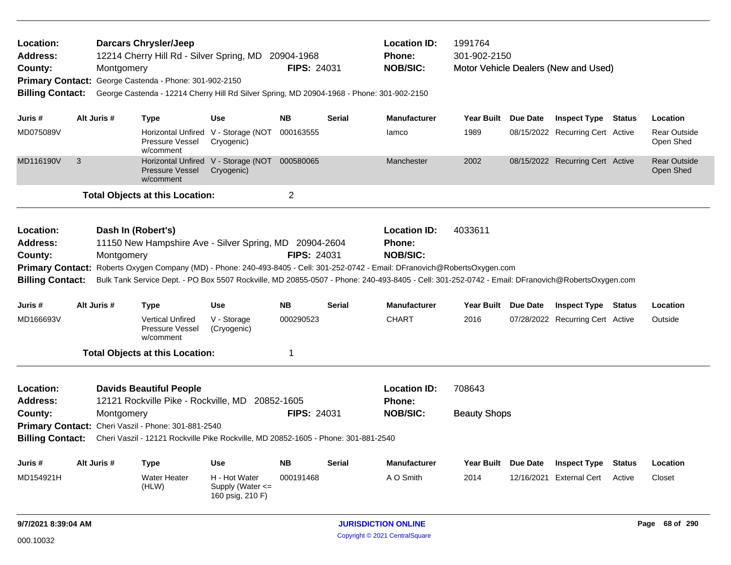| Location:<br>Address:<br>County:<br><b>Primary Contact:</b><br><b>Billing Contact:</b> |             | <b>Darcars Chrysler/Jeep</b><br>12214 Cherry Hill Rd - Silver Spring, MD 20904-1968<br>Montgomery<br>George Castenda - Phone: 301-902-2150<br>George Castenda - 12214 Cherry Hill Rd Silver Spring, MD 20904-1968 - Phone: 301-902-2150                                                                                                                                        |                                                             | <b>FIPS: 24031</b> |                                                  | <b>Location ID:</b><br><b>Phone:</b><br><b>NOB/SIC:</b> | 1991764<br>301-902-2150<br>Motor Vehicle Dealers (New and Used)<br>Year Built Due Date |  |                                  |               |                                  |
|----------------------------------------------------------------------------------------|-------------|--------------------------------------------------------------------------------------------------------------------------------------------------------------------------------------------------------------------------------------------------------------------------------------------------------------------------------------------------------------------------------|-------------------------------------------------------------|--------------------|--------------------------------------------------|---------------------------------------------------------|----------------------------------------------------------------------------------------|--|----------------------------------|---------------|----------------------------------|
| Juris #                                                                                | Alt Juris # | <b>Type</b>                                                                                                                                                                                                                                                                                                                                                                    | <b>Use</b>                                                  | <b>NB</b>          | <b>Serial</b>                                    | <b>Manufacturer</b>                                     |                                                                                        |  | <b>Inspect Type Status</b>       |               | Location                         |
| MD075089V                                                                              |             | <b>Pressure Vessel</b><br>w/comment                                                                                                                                                                                                                                                                                                                                            | Horizontal Unfired V - Storage (NOT 000163555<br>Cryogenic) |                    |                                                  | lamco                                                   | 1989                                                                                   |  | 08/15/2022 Recurring Cert Active |               | <b>Rear Outside</b><br>Open Shed |
| MD116190V                                                                              | 3           | <b>Pressure Vessel</b><br>w/comment                                                                                                                                                                                                                                                                                                                                            | Horizontal Unfired V - Storage (NOT<br>Cryogenic)           | 000580065          |                                                  | Manchester                                              | 2002                                                                                   |  | 08/15/2022 Recurring Cert Active |               | <b>Rear Outside</b><br>Open Shed |
|                                                                                        |             | <b>Total Objects at this Location:</b>                                                                                                                                                                                                                                                                                                                                         |                                                             | $\overline{2}$     |                                                  |                                                         |                                                                                        |  |                                  |               |                                  |
| Location:<br>Address:<br>County:<br><b>Billing Contact:</b>                            |             | Dash In (Robert's)<br>11150 New Hampshire Ave - Silver Spring, MD 20904-2604<br>Montgomery<br>Primary Contact: Roberts Oxygen Company (MD) - Phone: 240-493-8405 - Cell: 301-252-0742 - Email: DFranovich@RobertsOxygen.com<br>Bulk Tank Service Dept. - PO Box 5507 Rockville, MD 20855-0507 - Phone: 240-493-8405 - Cell: 301-252-0742 - Email: DFranovich@RobertsOxygen.com | <b>FIPS: 24031</b>                                          |                    | <b>Location ID:</b><br>Phone:<br><b>NOB/SIC:</b> | 4033611                                                 |                                                                                        |  |                                  |               |                                  |
| Juris #                                                                                | Alt Juris # | <b>Type</b>                                                                                                                                                                                                                                                                                                                                                                    | <b>Use</b>                                                  | <b>NB</b>          | <b>Serial</b>                                    | <b>Manufacturer</b>                                     | Year Built Due Date                                                                    |  | <b>Inspect Type</b>              | <b>Status</b> | Location                         |
| MD166693V                                                                              |             | <b>Vertical Unfired</b><br><b>Pressure Vessel</b><br>w/comment                                                                                                                                                                                                                                                                                                                 | V - Storage<br>(Cryogenic)                                  | 000290523          |                                                  | <b>CHART</b>                                            | 2016                                                                                   |  | 07/28/2022 Recurring Cert Active |               | Outside                          |
|                                                                                        |             | <b>Total Objects at this Location:</b>                                                                                                                                                                                                                                                                                                                                         |                                                             | $\mathbf{1}$       |                                                  |                                                         |                                                                                        |  |                                  |               |                                  |
| Location:<br><b>Address:</b><br>County:<br><b>Billing Contact:</b>                     |             | <b>Davids Beautiful People</b><br>12121 Rockville Pike - Rockville, MD 20852-1605<br>Montgomery<br>Primary Contact: Cheri Vaszil - Phone: 301-881-2540<br>Cheri Vaszil - 12121 Rockville Pike Rockville, MD 20852-1605 - Phone: 301-881-2540                                                                                                                                   |                                                             | <b>FIPS: 24031</b> |                                                  | <b>Location ID:</b><br><b>Phone:</b><br><b>NOB/SIC:</b> | 708643<br><b>Beauty Shops</b>                                                          |  |                                  |               |                                  |
| Juris #                                                                                | Alt Juris # | <b>Type</b>                                                                                                                                                                                                                                                                                                                                                                    | <b>Use</b>                                                  | <b>NB</b>          | Serial                                           | <b>Manufacturer</b>                                     | Year Built Due Date                                                                    |  | <b>Inspect Type</b>              | <b>Status</b> | Location                         |
| MD154921H                                                                              |             | <b>Water Heater</b><br>(HLW)                                                                                                                                                                                                                                                                                                                                                   | H - Hot Water<br>Supply (Water $\leq$<br>160 psig, 210 F)   | 000191468          |                                                  | A O Smith                                               | 2014                                                                                   |  | 12/16/2021 External Cert         | Active        | Closet                           |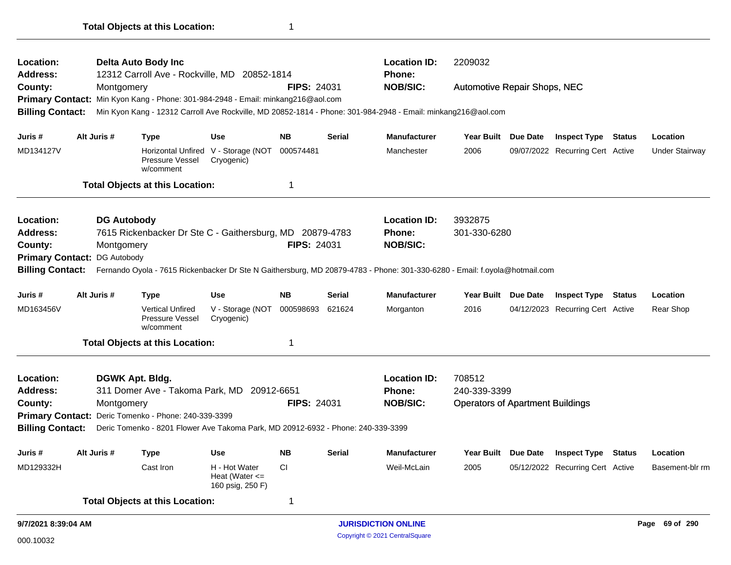| Location:<br><b>Address:</b>                                                                                                                                                     |                     | <b>DG Autobody</b> | 7615 Rickenbacker Dr Ste C - Gaithersburg, MD 20879-4783                         |                                                         |                    |                                              | <b>Location ID:</b><br>Phone: | 3932875<br>301-330-6280                 |                     |                                  |  |                 |  |
|----------------------------------------------------------------------------------------------------------------------------------------------------------------------------------|---------------------|--------------------|----------------------------------------------------------------------------------|---------------------------------------------------------|--------------------|----------------------------------------------|-------------------------------|-----------------------------------------|---------------------|----------------------------------|--|-----------------|--|
| County:<br>Montgomery<br>DG Autobody                                                                                                                                             |                     |                    |                                                                                  | <b>FIPS: 24031</b>                                      |                    | <b>NOB/SIC:</b>                              |                               |                                         |                     |                                  |  |                 |  |
| <b>Primary Contact:</b><br>Fernando Oyola - 7615 Rickenbacker Dr Ste N Gaithersburg, MD 20879-4783 - Phone: 301-330-6280 - Email: f.oyola@hotmail.com<br><b>Billing Contact:</b> |                     |                    |                                                                                  |                                                         |                    |                                              |                               |                                         |                     |                                  |  |                 |  |
|                                                                                                                                                                                  |                     |                    |                                                                                  |                                                         |                    |                                              |                               |                                         |                     |                                  |  |                 |  |
| Juris #                                                                                                                                                                          |                     | Alt Juris #        | <b>Type</b>                                                                      | Use                                                     | <b>NB</b>          | Serial                                       | <b>Manufacturer</b>           | <b>Year Built</b>                       | Due Date            | <b>Inspect Type Status</b>       |  | Location        |  |
| MD163456V                                                                                                                                                                        |                     |                    | <b>Vertical Unfired</b><br>Pressure Vessel<br>w/comment                          | V - Storage (NOT<br>Cryogenic)                          | 000598693          | 621624                                       | Morganton                     | 2016                                    |                     | 04/12/2023 Recurring Cert Active |  | Rear Shop       |  |
|                                                                                                                                                                                  |                     |                    | <b>Total Objects at this Location:</b>                                           |                                                         | 1                  |                                              |                               |                                         |                     |                                  |  |                 |  |
|                                                                                                                                                                                  |                     |                    |                                                                                  |                                                         |                    |                                              |                               |                                         |                     |                                  |  |                 |  |
| Location:                                                                                                                                                                        |                     |                    | DGWK Apt. Bldg.                                                                  |                                                         |                    |                                              | <b>Location ID:</b>           | 708512                                  |                     |                                  |  |                 |  |
| <b>Address:</b>                                                                                                                                                                  |                     |                    | 311 Domer Ave - Takoma Park, MD 20912-6651                                       |                                                         |                    |                                              | <b>Phone:</b>                 | 240-339-3399                            |                     |                                  |  |                 |  |
| County:                                                                                                                                                                          |                     | Montgomery         |                                                                                  |                                                         | <b>FIPS: 24031</b> |                                              | <b>NOB/SIC:</b>               | <b>Operators of Apartment Buildings</b> |                     |                                  |  |                 |  |
|                                                                                                                                                                                  |                     |                    | Primary Contact: Deric Tomenko - Phone: 240-339-3399                             |                                                         |                    |                                              |                               |                                         |                     |                                  |  |                 |  |
| <b>Billing Contact:</b>                                                                                                                                                          |                     |                    | Deric Tomenko - 8201 Flower Ave Takoma Park, MD 20912-6932 - Phone: 240-339-3399 |                                                         |                    |                                              |                               |                                         |                     |                                  |  |                 |  |
| Juris #                                                                                                                                                                          |                     | Alt Juris #        | <b>Type</b>                                                                      | Use                                                     | <b>NB</b>          | <b>Serial</b>                                | <b>Manufacturer</b>           |                                         | Year Built Due Date | <b>Inspect Type Status</b>       |  | Location        |  |
| MD129332H                                                                                                                                                                        |                     |                    | Cast Iron                                                                        | H - Hot Water<br>Heat (Water $\leq$<br>160 psig, 250 F) | CI.                |                                              | Weil-McLain                   | 2005                                    |                     | 05/12/2022 Recurring Cert Active |  | Basement-blr rm |  |
|                                                                                                                                                                                  |                     |                    | <b>Total Objects at this Location:</b>                                           |                                                         | 1                  |                                              |                               |                                         |                     |                                  |  |                 |  |
|                                                                                                                                                                                  | 9/7/2021 8:39:04 AM |                    |                                                                                  |                                                         |                    | <b>JURISDICTION ONLINE</b><br>Page 69 of 290 |                               |                                         |                     |                                  |  |                 |  |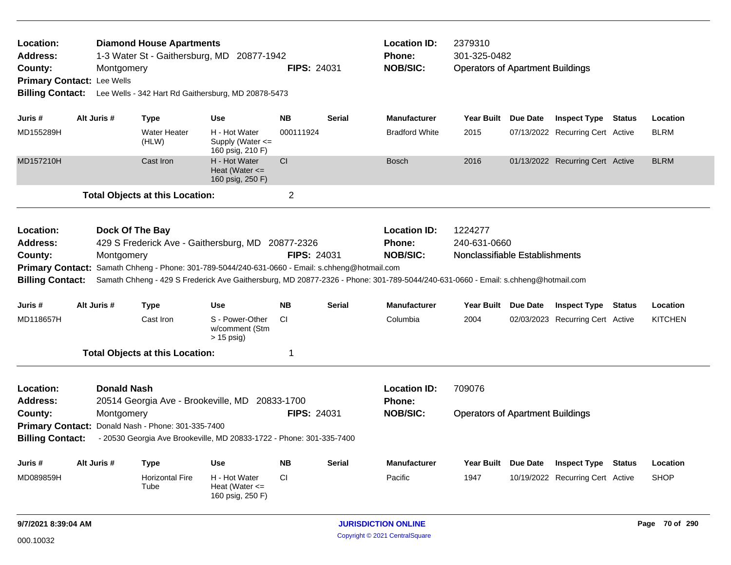| Location:<br>Address:<br>County:<br><b>Billing Contact:</b>                                                                                                                                                                                                                                                                                                                                                           | Montgomery<br>Primary Contact: Lee Wells                                                                                                                                                                                                                          | <b>Diamond House Apartments</b>        | 1-3 Water St - Gaithersburg, MD 20877-1942<br>Lee Wells - 342 Hart Rd Gaithersburg, MD 20878-5473 | <b>FIPS: 24031</b> |               | <b>Location ID:</b><br>Phone:<br><b>NOB/SIC:</b>        | 2379310<br>301-325-0482<br><b>Operators of Apartment Buildings</b> |                                  |               |                |
|-----------------------------------------------------------------------------------------------------------------------------------------------------------------------------------------------------------------------------------------------------------------------------------------------------------------------------------------------------------------------------------------------------------------------|-------------------------------------------------------------------------------------------------------------------------------------------------------------------------------------------------------------------------------------------------------------------|----------------------------------------|---------------------------------------------------------------------------------------------------|--------------------|---------------|---------------------------------------------------------|--------------------------------------------------------------------|----------------------------------|---------------|----------------|
| Juris #                                                                                                                                                                                                                                                                                                                                                                                                               | Alt Juris #                                                                                                                                                                                                                                                       | <b>Type</b>                            | <b>Use</b>                                                                                        | <b>NB</b>          | <b>Serial</b> | <b>Manufacturer</b>                                     | Year Built Due Date                                                | <b>Inspect Type Status</b>       |               | Location       |
| MD155289H                                                                                                                                                                                                                                                                                                                                                                                                             |                                                                                                                                                                                                                                                                   | <b>Water Heater</b><br>(HLW)           | H - Hot Water<br>Supply (Water <=<br>160 psig, 210 F)                                             | 000111924          |               | <b>Bradford White</b>                                   | 2015                                                               | 07/13/2022 Recurring Cert Active |               | <b>BLRM</b>    |
| MD157210H                                                                                                                                                                                                                                                                                                                                                                                                             |                                                                                                                                                                                                                                                                   | Cast Iron                              | H - Hot Water<br>Heat (Water $\leq$<br>160 psig, 250 F)                                           | <b>CI</b>          |               | <b>Bosch</b>                                            | 2016                                                               | 01/13/2022 Recurring Cert Active |               | <b>BLRM</b>    |
|                                                                                                                                                                                                                                                                                                                                                                                                                       |                                                                                                                                                                                                                                                                   | <b>Total Objects at this Location:</b> |                                                                                                   | $\overline{2}$     |               |                                                         |                                                                    |                                  |               |                |
| Location:<br>Dock Of The Bay<br>429 S Frederick Ave - Gaithersburg, MD 20877-2326<br><b>Address:</b><br><b>FIPS: 24031</b><br>County:<br>Montgomery<br>Primary Contact: Samath Chheng - Phone: 301-789-5044/240-631-0660 - Email: s.chheng@hotmail.com<br><b>Billing Contact:</b><br>Samath Chheng - 429 S Frederick Ave Gaithersburg, MD 20877-2326 - Phone: 301-789-5044/240-631-0660 - Email: s.chheng@hotmail.com |                                                                                                                                                                                                                                                                   |                                        |                                                                                                   |                    |               | <b>Location ID:</b><br><b>Phone:</b><br><b>NOB/SIC:</b> | 1224277<br>240-631-0660<br>Nonclassifiable Establishments          |                                  |               |                |
| Juris #                                                                                                                                                                                                                                                                                                                                                                                                               | Alt Juris #                                                                                                                                                                                                                                                       | <b>Type</b>                            | <b>Use</b>                                                                                        | <b>NB</b>          | <b>Serial</b> | <b>Manufacturer</b>                                     | Year Built Due Date                                                | <b>Inspect Type</b>              | Status        | Location       |
| MD118657H                                                                                                                                                                                                                                                                                                                                                                                                             |                                                                                                                                                                                                                                                                   | Cast Iron                              | S - Power-Other<br>w/comment (Stm<br>$> 15$ psig)                                                 | CI.                |               | Columbia                                                | 2004                                                               | 02/03/2023 Recurring Cert Active |               | <b>KITCHEN</b> |
|                                                                                                                                                                                                                                                                                                                                                                                                                       |                                                                                                                                                                                                                                                                   | <b>Total Objects at this Location:</b> |                                                                                                   | $\overline{1}$     |               |                                                         |                                                                    |                                  |               |                |
| Location:<br><b>Address:</b><br>County:                                                                                                                                                                                                                                                                                                                                                                               | <b>Donald Nash</b><br>20514 Georgia Ave - Brookeville, MD 20833-1700<br><b>FIPS: 24031</b><br>Montgomery<br>Primary Contact: Donald Nash - Phone: 301-335-7400<br><b>Billing Contact:</b><br>- 20530 Georgia Ave Brookeville, MD 20833-1722 - Phone: 301-335-7400 |                                        |                                                                                                   |                    |               | <b>Location ID:</b><br><b>Phone:</b><br><b>NOB/SIC:</b> | 709076<br><b>Operators of Apartment Buildings</b>                  |                                  |               |                |
| Juris #                                                                                                                                                                                                                                                                                                                                                                                                               | Alt Juris #<br><b>NB</b><br><b>Use</b><br><b>Type</b>                                                                                                                                                                                                             |                                        |                                                                                                   |                    | <b>Serial</b> | <b>Manufacturer</b>                                     | Year Built Due Date                                                | <b>Inspect Type</b>              | <b>Status</b> | Location       |
| MD089859H                                                                                                                                                                                                                                                                                                                                                                                                             |                                                                                                                                                                                                                                                                   | <b>Horizontal Fire</b><br>Tube         | H - Hot Water<br>Heat (Water $\leq$<br>160 psig, 250 F)                                           | CI                 |               | Pacific                                                 | 1947                                                               | 10/19/2022 Recurring Cert Active |               | <b>SHOP</b>    |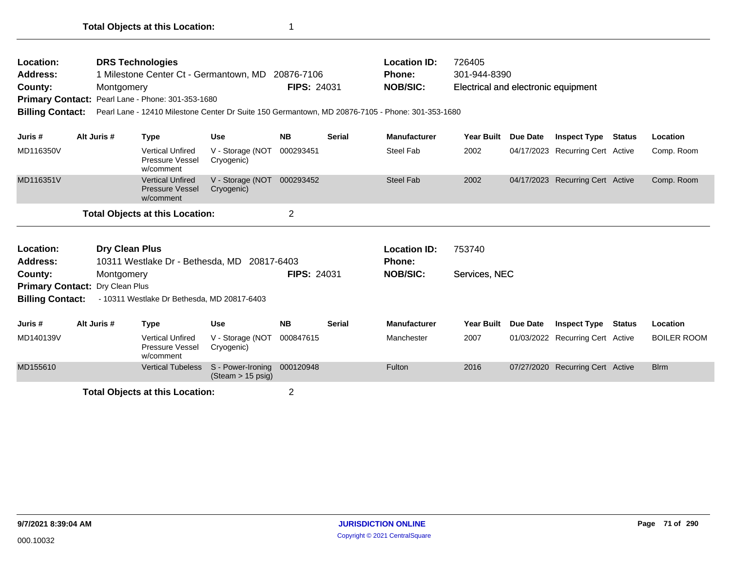| Location:<br>Address:<br>County:<br><b>Primary Contact:</b><br><b>Billing Contact:</b> | Montgomery                                                                                                                                 | <b>DRS Technologies</b><br>Pearl Lane - Phone: 301-353-1680 | 1 Milestone Center Ct - Germantown, MD 20876-7106<br>Pearl Lane - 12410 Milestone Center Dr Suite 150 Germantown, MD 20876-7105 - Phone: 301-353-1680 | <b>FIPS: 24031</b> |               | <b>Location ID:</b><br><b>Phone:</b><br><b>NOB/SIC:</b> | 726405<br>301-944-8390<br>Electrical and electronic equipment |                                  |                                  |               |                    |
|----------------------------------------------------------------------------------------|--------------------------------------------------------------------------------------------------------------------------------------------|-------------------------------------------------------------|-------------------------------------------------------------------------------------------------------------------------------------------------------|--------------------|---------------|---------------------------------------------------------|---------------------------------------------------------------|----------------------------------|----------------------------------|---------------|--------------------|
| Juris #                                                                                | Alt Juris #                                                                                                                                | <b>Type</b>                                                 | <b>Use</b>                                                                                                                                            | <b>NB</b>          | <b>Serial</b> | <b>Manufacturer</b>                                     | <b>Year Built</b>                                             | Due Date                         | <b>Inspect Type</b>              | <b>Status</b> | Location           |
| MD116350V                                                                              |                                                                                                                                            | <b>Vertical Unfired</b><br>Pressure Vessel<br>w/comment     | V - Storage (NOT<br>Cryogenic)                                                                                                                        | 000293451          |               | <b>Steel Fab</b>                                        | 2002                                                          |                                  | 04/17/2023 Recurring Cert Active |               | Comp. Room         |
| MD116351V                                                                              | <b>Vertical Unfired</b><br>V - Storage (NOT<br><b>Pressure Vessel</b><br>Cryogenic)<br>w/comment<br><b>Total Objects at this Location:</b> |                                                             |                                                                                                                                                       | 000293452          |               | <b>Steel Fab</b>                                        | 2002                                                          |                                  | 04/17/2023 Recurring Cert Active |               | Comp. Room         |
|                                                                                        |                                                                                                                                            |                                                             |                                                                                                                                                       | $\overline{2}$     |               |                                                         |                                                               |                                  |                                  |               |                    |
| Location:<br><b>Address:</b>                                                           | Dry Clean Plus<br>10311 Westlake Dr - Bethesda, MD 20817-6403                                                                              |                                                             |                                                                                                                                                       |                    |               | <b>Location ID:</b><br><b>Phone:</b>                    | 753740                                                        |                                  |                                  |               |                    |
| County:                                                                                |                                                                                                                                            |                                                             |                                                                                                                                                       | <b>FIPS: 24031</b> |               | <b>NOB/SIC:</b>                                         | Services, NEC                                                 |                                  |                                  |               |                    |
|                                                                                        | Montgomery<br><b>Primary Contact:</b><br>Dry Clean Plus<br><b>Billing Contact:</b><br>- 10311 Westlake Dr Bethesda, MD 20817-6403          |                                                             |                                                                                                                                                       |                    |               |                                                         |                                                               |                                  |                                  |               |                    |
| Juris #                                                                                | Alt Juris #                                                                                                                                | <b>Type</b>                                                 | <b>Use</b>                                                                                                                                            | <b>NB</b>          | <b>Serial</b> | <b>Manufacturer</b>                                     | <b>Year Built</b>                                             | Due Date                         | <b>Inspect Type</b>              | <b>Status</b> | Location           |
| MD140139V                                                                              |                                                                                                                                            | <b>Vertical Unfired</b><br>Pressure Vessel<br>w/comment     | V - Storage (NOT<br>Cryogenic)                                                                                                                        | 000847615          |               | Manchester                                              | 2007                                                          |                                  | 01/03/2022 Recurring Cert Active |               | <b>BOILER ROOM</b> |
| MD155610                                                                               | <b>Vertical Tubeless</b><br>S - Power-Ironing<br>$(Steam > 15 \text{ psig})$<br>____________________                                       |                                                             | 000120948                                                                                                                                             |                    | Fulton        | 2016                                                    |                                                               | 07/27/2020 Recurring Cert Active |                                  | <b>Blrm</b>   |                    |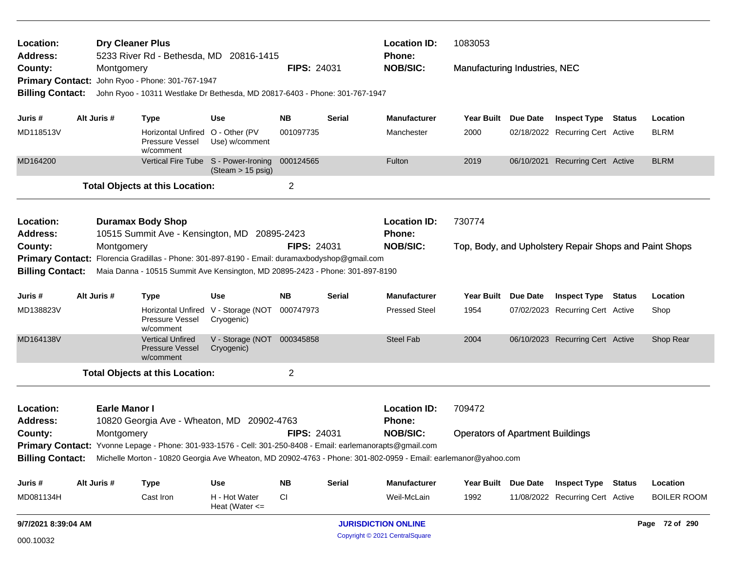| Location:<br><b>Dry Cleaner Plus</b><br>5233 River Rd - Bethesda, MD 20816-1415<br><b>Address:</b> |                                                                                                                                                                                |                      |                                                                                                                |                                                   | <b>Location ID:</b><br>Phone: | 1083053                    |                                      |                                         |  |                                                        |                |                    |
|----------------------------------------------------------------------------------------------------|--------------------------------------------------------------------------------------------------------------------------------------------------------------------------------|----------------------|----------------------------------------------------------------------------------------------------------------|---------------------------------------------------|-------------------------------|----------------------------|--------------------------------------|-----------------------------------------|--|--------------------------------------------------------|----------------|--------------------|
| County:                                                                                            |                                                                                                                                                                                | Montgomery           |                                                                                                                |                                                   | <b>FIPS: 24031</b>            |                            | <b>NOB/SIC:</b>                      | Manufacturing Industries, NEC           |  |                                                        |                |                    |
| <b>Primary Contact:</b>                                                                            |                                                                                                                                                                                |                      | John Ryoo - Phone: 301-767-1947                                                                                |                                                   |                               |                            |                                      |                                         |  |                                                        |                |                    |
| <b>Billing Contact:</b>                                                                            |                                                                                                                                                                                |                      | John Ryoo - 10311 Westlake Dr Bethesda, MD 20817-6403 - Phone: 301-767-1947                                    |                                                   |                               |                            |                                      |                                         |  |                                                        |                |                    |
| Juris #                                                                                            |                                                                                                                                                                                | Alt Juris #          | Type                                                                                                           | <b>Use</b>                                        | <b>NB</b>                     | Serial                     | <b>Manufacturer</b>                  | Year Built Due Date                     |  | <b>Inspect Type Status</b>                             |                | Location           |
| MD118513V                                                                                          |                                                                                                                                                                                |                      | Horizontal Unfired O - Other (PV<br>Pressure Vessel<br>w/comment                                               | Use) w/comment                                    | 001097735                     |                            | Manchester                           | 2000                                    |  | 02/18/2022 Recurring Cert Active                       |                | <b>BLRM</b>        |
| MD164200                                                                                           |                                                                                                                                                                                |                      | Vertical Fire Tube S - Power-Ironing                                                                           | (Steam > 15 psig)                                 | 000124565                     |                            | Fulton                               | 2019                                    |  | 06/10/2021 Recurring Cert Active                       |                | <b>BLRM</b>        |
|                                                                                                    |                                                                                                                                                                                |                      | <b>Total Objects at this Location:</b>                                                                         |                                                   | $\overline{c}$                |                            |                                      |                                         |  |                                                        |                |                    |
| Location:<br><b>Address:</b>                                                                       |                                                                                                                                                                                |                      | <b>Duramax Body Shop</b><br>10515 Summit Ave - Kensington, MD 20895-2423                                       |                                                   |                               |                            | <b>Location ID:</b><br><b>Phone:</b> | 730774                                  |  |                                                        |                |                    |
| County:                                                                                            | Montgomery                                                                                                                                                                     |                      |                                                                                                                |                                                   | <b>FIPS: 24031</b>            |                            | <b>NOB/SIC:</b>                      |                                         |  | Top, Body, and Upholstery Repair Shops and Paint Shops |                |                    |
|                                                                                                    | Primary Contact: Florencia Gradillas - Phone: 301-897-8190 - Email: duramaxbodyshop@gmail.com<br>Maia Danna - 10515 Summit Ave Kensington, MD 20895-2423 - Phone: 301-897-8190 |                      |                                                                                                                |                                                   |                               |                            |                                      |                                         |  |                                                        |                |                    |
| <b>Billing Contact:</b>                                                                            |                                                                                                                                                                                |                      |                                                                                                                |                                                   |                               |                            |                                      |                                         |  |                                                        |                |                    |
| Juris #                                                                                            |                                                                                                                                                                                | Alt Juris #          | <b>Type</b>                                                                                                    | Use                                               | <b>NB</b>                     | Serial                     | <b>Manufacturer</b>                  | Year Built Due Date                     |  | <b>Inspect Type Status</b>                             |                | Location           |
| MD138823V                                                                                          |                                                                                                                                                                                |                      | Pressure Vessel<br>w/comment                                                                                   | Horizontal Unfired V - Storage (NOT<br>Cryogenic) | 000747973                     |                            | <b>Pressed Steel</b>                 | 1954                                    |  | 07/02/2023 Recurring Cert Active                       |                | Shop               |
| MD164138V                                                                                          |                                                                                                                                                                                |                      | <b>Vertical Unfired</b><br><b>Pressure Vessel</b><br>w/comment                                                 | V - Storage (NOT 000345858<br>Cryogenic)          |                               |                            | <b>Steel Fab</b>                     | 2004                                    |  | 06/10/2023 Recurring Cert Active                       |                | Shop Rear          |
|                                                                                                    |                                                                                                                                                                                |                      | <b>Total Objects at this Location:</b>                                                                         |                                                   | $\overline{2}$                |                            |                                      |                                         |  |                                                        |                |                    |
| Location:<br><b>Address:</b>                                                                       |                                                                                                                                                                                | <b>Earle Manor I</b> | 10820 Georgia Ave - Wheaton, MD 20902-4763                                                                     |                                                   |                               |                            | <b>Location ID:</b><br>Phone:        | 709472                                  |  |                                                        |                |                    |
| County:                                                                                            |                                                                                                                                                                                | Montgomery           |                                                                                                                |                                                   | <b>FIPS: 24031</b>            |                            | <b>NOB/SIC:</b>                      | <b>Operators of Apartment Buildings</b> |  |                                                        |                |                    |
|                                                                                                    |                                                                                                                                                                                |                      | Primary Contact: Yvonne Lepage - Phone: 301-933-1576 - Cell: 301-250-8408 - Email: earlemanorapts@gmail.com    |                                                   |                               |                            |                                      |                                         |  |                                                        |                |                    |
| <b>Billing Contact:</b>                                                                            |                                                                                                                                                                                |                      | Michelle Morton - 10820 Georgia Ave Wheaton, MD 20902-4763 - Phone: 301-802-0959 - Email: earlemanor@yahoo.com |                                                   |                               |                            |                                      |                                         |  |                                                        |                |                    |
| Juris #                                                                                            |                                                                                                                                                                                | Alt Juris #          | <b>Type</b>                                                                                                    | <b>Use</b>                                        | <b>NB</b>                     | <b>Serial</b>              | Manufacturer                         | Year Built Due Date                     |  | <b>Inspect Type Status</b>                             |                | Location           |
| MD081134H                                                                                          |                                                                                                                                                                                |                      | Cast Iron                                                                                                      | H - Hot Water<br>Heat (Water $\leq$               | СI                            |                            | Weil-McLain                          | 1992                                    |  | 11/08/2022 Recurring Cert Active                       |                | <b>BOILER ROOM</b> |
| 9/7/2021 8:39:04 AM                                                                                |                                                                                                                                                                                |                      |                                                                                                                |                                                   |                               | <b>JURISDICTION ONLINE</b> |                                      |                                         |  |                                                        | Page 72 of 290 |                    |
| 000.10032                                                                                          |                                                                                                                                                                                |                      |                                                                                                                |                                                   |                               |                            | Copyright © 2021 CentralSquare       |                                         |  |                                                        |                |                    |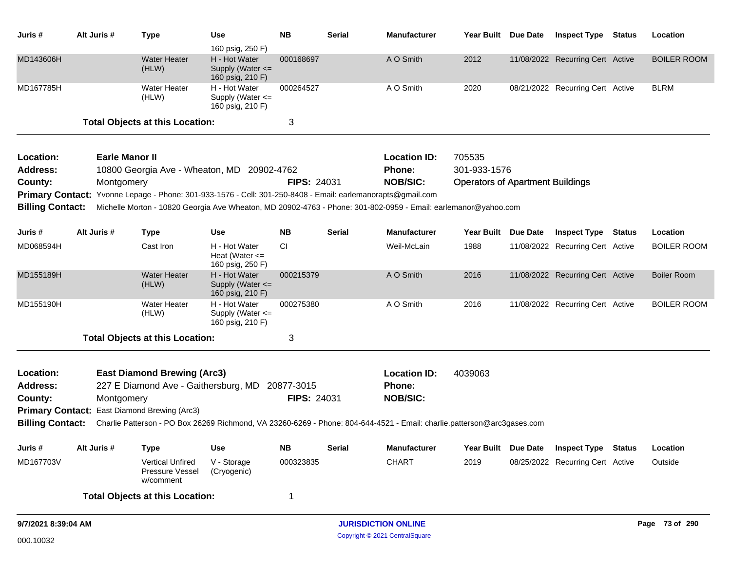| Juris #                 | Alt Juris # | <b>Type</b>                                                                                | Use                                                                           | <b>NB</b>          | Serial        | <b>Manufacturer</b>                                                                                                     |                                         | Year Built Due Date | <b>Inspect Type</b>              | Status        | Location           |
|-------------------------|-------------|--------------------------------------------------------------------------------------------|-------------------------------------------------------------------------------|--------------------|---------------|-------------------------------------------------------------------------------------------------------------------------|-----------------------------------------|---------------------|----------------------------------|---------------|--------------------|
| MD143606H               |             | <b>Water Heater</b><br>(HLW)                                                               | 160 psig, 250 F)<br>H - Hot Water<br>Supply (Water $\leq$<br>160 psig, 210 F) | 000168697          |               | A O Smith                                                                                                               | 2012                                    |                     | 11/08/2022 Recurring Cert Active |               | <b>BOILER ROOM</b> |
| MD167785H               |             | <b>Water Heater</b><br>(HLW)                                                               | H - Hot Water<br>Supply (Water <=<br>160 psig, 210 F)                         | 000264527          |               | A O Smith                                                                                                               | 2020                                    |                     | 08/21/2022 Recurring Cert Active |               | <b>BLRM</b>        |
|                         |             | <b>Total Objects at this Location:</b>                                                     |                                                                               | 3                  |               |                                                                                                                         |                                         |                     |                                  |               |                    |
| Location:               |             | <b>Earle Manor II</b>                                                                      |                                                                               |                    |               | <b>Location ID:</b>                                                                                                     | 705535                                  |                     |                                  |               |                    |
| <b>Address:</b>         |             | 10800 Georgia Ave - Wheaton, MD 20902-4762                                                 |                                                                               |                    |               | Phone:                                                                                                                  | 301-933-1576                            |                     |                                  |               |                    |
| County:                 | Montgomery  |                                                                                            |                                                                               | <b>FIPS: 24031</b> |               | <b>NOB/SIC:</b>                                                                                                         | <b>Operators of Apartment Buildings</b> |                     |                                  |               |                    |
| <b>Primary Contact:</b> |             | Yvonne Lepage - Phone: 301-933-1576 - Cell: 301-250-8408 - Email: earlemanorapts@gmail.com |                                                                               |                    |               |                                                                                                                         |                                         |                     |                                  |               |                    |
| <b>Billing Contact:</b> |             |                                                                                            |                                                                               |                    |               | Michelle Morton - 10820 Georgia Ave Wheaton, MD 20902-4763 - Phone: 301-802-0959 - Email: earlemanor@yahoo.com          |                                         |                     |                                  |               |                    |
| Juris #                 | Alt Juris # | <b>Type</b>                                                                                | Use                                                                           | <b>NB</b>          | Serial        | <b>Manufacturer</b>                                                                                                     | Year Built Due Date                     |                     | <b>Inspect Type</b>              | Status        | Location           |
| MD068594H               |             | Cast Iron                                                                                  | H - Hot Water<br>Heat (Water $\leq$<br>160 psig, 250 F)                       | CI.                |               | Weil-McLain                                                                                                             | 1988                                    |                     | 11/08/2022 Recurring Cert Active |               | <b>BOILER ROOM</b> |
| MD155189H               |             | <b>Water Heater</b><br>(HLW)                                                               | H - Hot Water<br>Supply (Water <=<br>160 psig, 210 F)                         | 000215379          |               | A O Smith                                                                                                               | 2016                                    |                     | 11/08/2022 Recurring Cert Active |               | <b>Boiler Room</b> |
| MD155190H               |             | <b>Water Heater</b><br>(HLW)                                                               | H - Hot Water<br>Supply (Water <=<br>160 psig, 210 F)                         | 000275380          |               | A O Smith                                                                                                               | 2016                                    |                     | 11/08/2022 Recurring Cert Active |               | <b>BOILER ROOM</b> |
|                         |             | <b>Total Objects at this Location:</b>                                                     |                                                                               | 3                  |               |                                                                                                                         |                                         |                     |                                  |               |                    |
| Location:               |             | <b>East Diamond Brewing (Arc3)</b>                                                         |                                                                               |                    |               | <b>Location ID:</b>                                                                                                     | 4039063                                 |                     |                                  |               |                    |
| <b>Address:</b>         |             | 227 E Diamond Ave - Gaithersburg, MD                                                       |                                                                               | 20877-3015         |               | Phone:                                                                                                                  |                                         |                     |                                  |               |                    |
| County:                 | Montgomery  |                                                                                            |                                                                               | <b>FIPS: 24031</b> |               | <b>NOB/SIC:</b>                                                                                                         |                                         |                     |                                  |               |                    |
| <b>Primary Contact:</b> |             | East Diamond Brewing (Arc3)                                                                |                                                                               |                    |               |                                                                                                                         |                                         |                     |                                  |               |                    |
| <b>Billing Contact:</b> |             |                                                                                            |                                                                               |                    |               | Charlie Patterson - PO Box 26269 Richmond, VA 23260-6269 - Phone: 804-644-4521 - Email: charlie.patterson@arc3gases.com |                                         |                     |                                  |               |                    |
| Juris#                  | Alt Juris # | <b>Type</b>                                                                                | <b>Use</b>                                                                    | <b>NB</b>          | <b>Serial</b> | Manufacturer                                                                                                            |                                         | Year Built Due Date | <b>Inspect Type</b>              | <b>Status</b> | Location           |
| MD167703V               |             | <b>Vertical Unfired</b><br>Pressure Vessel<br>w/comment                                    | V - Storage<br>(Cryogenic)                                                    | 000323835          |               | <b>CHART</b>                                                                                                            | 2019                                    |                     | 08/25/2022 Recurring Cert Active |               | Outside            |
|                         |             | <b>Total Objects at this Location:</b>                                                     |                                                                               | 1                  |               |                                                                                                                         |                                         |                     |                                  |               |                    |
| 9/7/2021 8:39:04 AM     |             |                                                                                            |                                                                               |                    |               | <b>JURISDICTION ONLINE</b>                                                                                              |                                         |                     |                                  |               | Page 73 of 290     |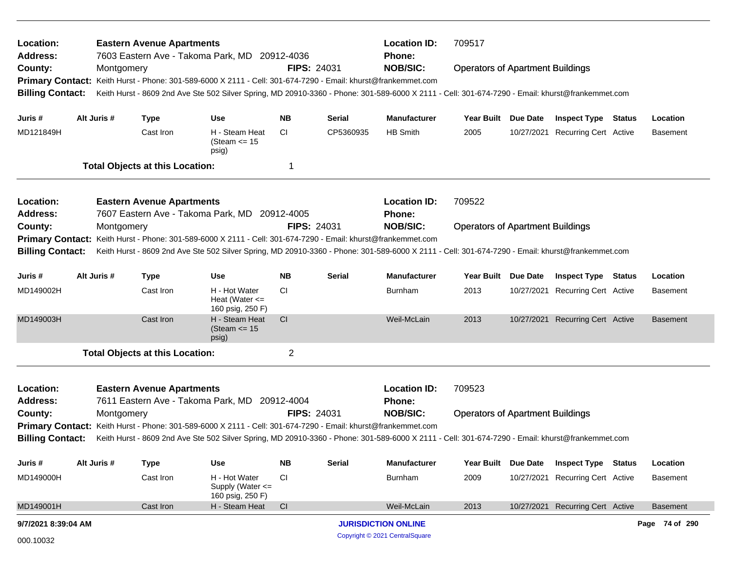| Location:<br><b>Address:</b> |             |            | <b>Eastern Avenue Apartments</b>       | 7603 Eastern Ave - Takoma Park, MD 20912-4036                                                                                                    |                |                    | <b>Location ID:</b><br><b>Phone:</b> | 709517                                  |                 |                                  |                 |
|------------------------------|-------------|------------|----------------------------------------|--------------------------------------------------------------------------------------------------------------------------------------------------|----------------|--------------------|--------------------------------------|-----------------------------------------|-----------------|----------------------------------|-----------------|
| County:                      |             | Montgomery |                                        |                                                                                                                                                  |                | <b>FIPS: 24031</b> | <b>NOB/SIC:</b>                      | <b>Operators of Apartment Buildings</b> |                 |                                  |                 |
|                              |             |            |                                        | Primary Contact: Keith Hurst - Phone: 301-589-6000 X 2111 - Cell: 301-674-7290 - Email: khurst@frankemmet.com                                    |                |                    |                                      |                                         |                 |                                  |                 |
| <b>Billing Contact:</b>      |             |            |                                        | Keith Hurst - 8609 2nd Ave Ste 502 Silver Spring, MD 20910-3360 - Phone: 301-589-6000 X 2111 - Cell: 301-674-7290 - Email: khurst@frankemmet.com |                |                    |                                      |                                         |                 |                                  |                 |
| Juris #                      | Alt Juris # |            | <b>Type</b>                            | Use                                                                                                                                              | <b>NB</b>      | <b>Serial</b>      | <b>Manufacturer</b>                  | Year Built Due Date                     |                 | <b>Inspect Type Status</b>       | Location        |
| MD121849H                    |             |            | Cast Iron                              | H - Steam Heat<br>(Steam $\le$ 15<br>psig)                                                                                                       | CI.            | CP5360935          | HB Smith                             | 2005                                    |                 | 10/27/2021 Recurring Cert Active | <b>Basement</b> |
|                              |             |            | <b>Total Objects at this Location:</b> |                                                                                                                                                  | 1              |                    |                                      |                                         |                 |                                  |                 |
| Location:                    |             |            | <b>Eastern Avenue Apartments</b>       |                                                                                                                                                  |                |                    | <b>Location ID:</b>                  | 709522                                  |                 |                                  |                 |
| <b>Address:</b>              |             |            |                                        | 7607 Eastern Ave - Takoma Park, MD 20912-4005                                                                                                    |                |                    | Phone:                               |                                         |                 |                                  |                 |
| County:                      |             | Montgomery |                                        |                                                                                                                                                  |                | <b>FIPS: 24031</b> | <b>NOB/SIC:</b>                      | <b>Operators of Apartment Buildings</b> |                 |                                  |                 |
| <b>Primary Contact:</b>      |             |            |                                        | Keith Hurst - Phone: 301-589-6000 X 2111 - Cell: 301-674-7290 - Email: khurst@frankemmet.com                                                     |                |                    |                                      |                                         |                 |                                  |                 |
| <b>Billing Contact:</b>      |             |            |                                        | Keith Hurst - 8609 2nd Ave Ste 502 Silver Spring, MD 20910-3360 - Phone: 301-589-6000 X 2111 - Cell: 301-674-7290 - Email: khurst@frankemmet.com |                |                    |                                      |                                         |                 |                                  |                 |
| Juris #                      | Alt Juris # |            | <b>Type</b>                            | Use                                                                                                                                              | <b>NB</b>      | <b>Serial</b>      | <b>Manufacturer</b>                  | <b>Year Built</b>                       | Due Date        | <b>Inspect Type Status</b>       | Location        |
| MD149002H                    |             |            | Cast Iron                              | H - Hot Water<br>Heat (Water $\leq$<br>160 psig, 250 F)                                                                                          | CI.            |                    | Burnham                              | 2013                                    |                 | 10/27/2021 Recurring Cert Active | <b>Basement</b> |
| MD149003H                    |             |            | Cast Iron                              | H - Steam Heat<br>(Steam $\le$ 15<br>psig)                                                                                                       | <sub>CI</sub>  |                    | Weil-McLain                          | 2013                                    |                 | 10/27/2021 Recurring Cert Active | <b>Basement</b> |
|                              |             |            | <b>Total Objects at this Location:</b> |                                                                                                                                                  | $\overline{2}$ |                    |                                      |                                         |                 |                                  |                 |
| Location:                    |             |            | <b>Eastern Avenue Apartments</b>       |                                                                                                                                                  |                |                    | <b>Location ID:</b>                  | 709523                                  |                 |                                  |                 |
| <b>Address:</b>              |             |            |                                        | 7611 Eastern Ave - Takoma Park, MD 20912-4004                                                                                                    |                |                    | <b>Phone:</b>                        |                                         |                 |                                  |                 |
| County:                      |             | Montgomery |                                        |                                                                                                                                                  |                | <b>FIPS: 24031</b> | <b>NOB/SIC:</b>                      | <b>Operators of Apartment Buildings</b> |                 |                                  |                 |
|                              |             |            |                                        | Primary Contact: Keith Hurst - Phone: 301-589-6000 X 2111 - Cell: 301-674-7290 - Email: khurst@frankemmet.com                                    |                |                    |                                      |                                         |                 |                                  |                 |
| <b>Billing Contact:</b>      |             |            |                                        | Keith Hurst - 8609 2nd Ave Ste 502 Silver Spring, MD 20910-3360 - Phone: 301-589-6000 X 2111 - Cell: 301-674-7290 - Email: khurst@frankemmet.com |                |                    |                                      |                                         |                 |                                  |                 |
| Juris #                      | Alt Juris # |            | <b>Type</b>                            | Use                                                                                                                                              | <b>NB</b>      | <b>Serial</b>      | <b>Manufacturer</b>                  | <b>Year Built</b>                       | <b>Due Date</b> | <b>Inspect Type Status</b>       | Location        |
| MD149000H                    |             |            | Cast Iron                              | H - Hot Water<br>Supply (Water <=<br>160 psig, 250 F)                                                                                            | <b>CI</b>      |                    | Burnham                              | 2009                                    |                 | 10/27/2021 Recurring Cert Active | <b>Basement</b> |
| MD149001H                    |             |            | Cast Iron                              | H - Steam Heat                                                                                                                                   | CI             |                    | Weil-McLain                          | 2013                                    |                 | 10/27/2021 Recurring Cert Active | <b>Basement</b> |
| 9/7/2021 8:39:04 AM          |             |            |                                        |                                                                                                                                                  |                |                    | <b>JURISDICTION ONLINE</b>           |                                         |                 |                                  | Page 74 of 290  |
| 000.10032                    |             |            |                                        |                                                                                                                                                  |                |                    | Copyright © 2021 CentralSquare       |                                         |                 |                                  |                 |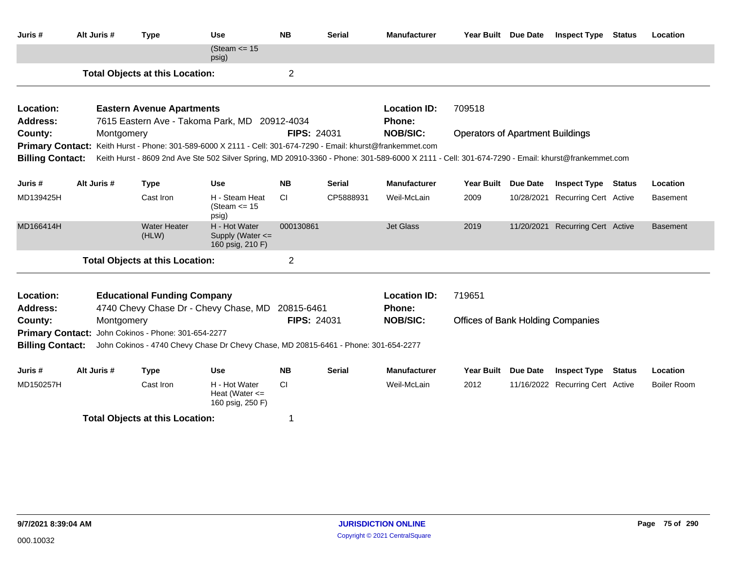| Juris #                 | Alt Juris # | <b>Type</b>                            | <b>Use</b>                                                                                                    | <b>NB</b>          | Serial        | <b>Manufacturer</b> | Year Built Due Date |                                                                                                                                                                                                                                                                                                                                                                                                                                                                                               | <b>Inspect Type</b> | <b>Status</b> | Location        |  |
|-------------------------|-------------|----------------------------------------|---------------------------------------------------------------------------------------------------------------|--------------------|---------------|---------------------|---------------------|-----------------------------------------------------------------------------------------------------------------------------------------------------------------------------------------------------------------------------------------------------------------------------------------------------------------------------------------------------------------------------------------------------------------------------------------------------------------------------------------------|---------------------|---------------|-----------------|--|
|                         |             |                                        | (Steam $\le$ 15<br>psig)                                                                                      |                    |               |                     |                     |                                                                                                                                                                                                                                                                                                                                                                                                                                                                                               |                     |               |                 |  |
|                         |             | <b>Total Objects at this Location:</b> |                                                                                                               | 2                  |               |                     |                     |                                                                                                                                                                                                                                                                                                                                                                                                                                                                                               |                     |               |                 |  |
| Location:               |             |                                        |                                                                                                               |                    |               | <b>Location ID:</b> |                     |                                                                                                                                                                                                                                                                                                                                                                                                                                                                                               |                     |               |                 |  |
| <b>Address:</b>         |             | <b>Eastern Avenue Apartments</b>       | 7615 Eastern Ave - Takoma Park, MD 20912-4034                                                                 |                    |               | Phone:              |                     |                                                                                                                                                                                                                                                                                                                                                                                                                                                                                               |                     |               |                 |  |
| County:                 | Montgomery  |                                        |                                                                                                               | FIPS: 24031        |               | <b>NOB/SIC:</b>     |                     |                                                                                                                                                                                                                                                                                                                                                                                                                                                                                               |                     |               |                 |  |
|                         |             |                                        | Primary Contact: Keith Hurst - Phone: 301-589-6000 X 2111 - Cell: 301-674-7290 - Email: khurst@frankemmet.com |                    |               |                     |                     |                                                                                                                                                                                                                                                                                                                                                                                                                                                                                               |                     |               |                 |  |
| <b>Billing Contact:</b> |             |                                        |                                                                                                               |                    |               |                     |                     |                                                                                                                                                                                                                                                                                                                                                                                                                                                                                               |                     |               |                 |  |
|                         |             |                                        |                                                                                                               |                    |               |                     |                     |                                                                                                                                                                                                                                                                                                                                                                                                                                                                                               |                     |               |                 |  |
| Juris #                 | Alt Juris # | <b>Type</b>                            | <b>Use</b>                                                                                                    | <b>NB</b>          | <b>Serial</b> | <b>Manufacturer</b> | <b>Year Built</b>   | <b>Due Date</b>                                                                                                                                                                                                                                                                                                                                                                                                                                                                               |                     |               | Location        |  |
| MD139425H               |             | Cast Iron                              | H - Steam Heat<br>(Steam $\le$ 15<br>psig)                                                                    | CI.                | CP5888931     | Weil-McLain         | 2009                |                                                                                                                                                                                                                                                                                                                                                                                                                                                                                               |                     |               | <b>Basement</b> |  |
| MD166414H               |             | <b>Water Heater</b><br>(HLW)           | H - Hot Water<br>Supply (Water $\leq$<br>160 psig, 210 F)                                                     | 000130861          |               | <b>Jet Glass</b>    | 2019                |                                                                                                                                                                                                                                                                                                                                                                                                                                                                                               |                     |               | <b>Basement</b> |  |
|                         |             | <b>Total Objects at this Location:</b> |                                                                                                               | $\overline{2}$     |               |                     |                     |                                                                                                                                                                                                                                                                                                                                                                                                                                                                                               |                     |               |                 |  |
| Location:               |             | <b>Educational Funding Company</b>     |                                                                                                               |                    |               | <b>Location ID:</b> |                     |                                                                                                                                                                                                                                                                                                                                                                                                                                                                                               |                     |               |                 |  |
| <b>Address:</b>         |             |                                        | 4740 Chevy Chase Dr - Chevy Chase, MD 20815-6461                                                              |                    |               | Phone:              |                     | 709518<br><b>Operators of Apartment Buildings</b><br>Keith Hurst - 8609 2nd Ave Ste 502 Silver Spring, MD 20910-3360 - Phone: 301-589-6000 X 2111 - Cell: 301-674-7290 - Email: khurst@frankemmet.com<br><b>Inspect Type Status</b><br>10/28/2021 Recurring Cert Active<br>11/20/2021 Recurring Cert Active<br>719651<br><b>Offices of Bank Holding Companies</b><br><b>Year Built</b><br><b>Due Date</b><br><b>Inspect Type</b><br><b>Status</b><br>2012<br>11/16/2022 Recurring Cert Active |                     |               |                 |  |
| County:                 | Montgomery  |                                        |                                                                                                               | <b>FIPS: 24031</b> |               | <b>NOB/SIC:</b>     |                     | Location                                                                                                                                                                                                                                                                                                                                                                                                                                                                                      |                     |               |                 |  |
| <b>Primary Contact:</b> |             | John Cokinos - Phone: 301-654-2277     |                                                                                                               |                    |               |                     |                     |                                                                                                                                                                                                                                                                                                                                                                                                                                                                                               |                     |               |                 |  |
| <b>Billing Contact:</b> |             |                                        | John Cokinos - 4740 Chevy Chase Dr Chevy Chase, MD 20815-6461 - Phone: 301-654-2277                           |                    |               |                     |                     |                                                                                                                                                                                                                                                                                                                                                                                                                                                                                               |                     |               |                 |  |
| Juris #                 | Alt Juris # | <b>Type</b>                            | <b>Use</b>                                                                                                    | NB.                | <b>Serial</b> | <b>Manufacturer</b> |                     |                                                                                                                                                                                                                                                                                                                                                                                                                                                                                               |                     |               |                 |  |
| MD150257H               |             | Cast Iron                              | H - Hot Water<br>Heat (Water $\leq$<br>160 psig, 250 F)                                                       | <b>CI</b>          |               | Weil-McLain         |                     |                                                                                                                                                                                                                                                                                                                                                                                                                                                                                               |                     |               | Boiler Room     |  |
|                         |             | <b>Total Objects at this Location:</b> |                                                                                                               | 1                  |               |                     |                     |                                                                                                                                                                                                                                                                                                                                                                                                                                                                                               |                     |               |                 |  |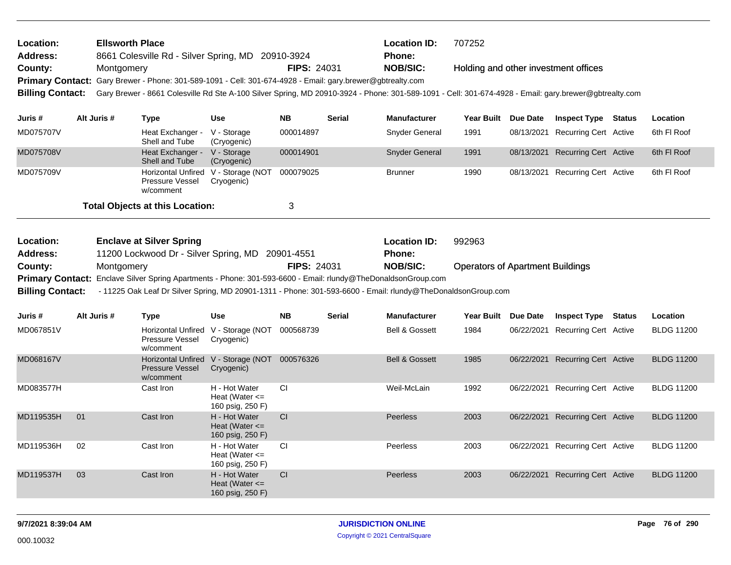| <b>Ellsworth Place</b><br>Location:<br>Address:<br>8661 Colesville Rd - Silver Spring, MD 20910-3924               |             |                                                                                           |                                                             |                    | <b>Location ID:</b><br><b>Phone:</b> | 707252                                                                                                                                                |                                         |                                      |                   |
|--------------------------------------------------------------------------------------------------------------------|-------------|-------------------------------------------------------------------------------------------|-------------------------------------------------------------|--------------------|--------------------------------------|-------------------------------------------------------------------------------------------------------------------------------------------------------|-----------------------------------------|--------------------------------------|-------------------|
| County:                                                                                                            | Montgomery  |                                                                                           |                                                             | <b>FIPS: 24031</b> |                                      | <b>NOB/SIC:</b>                                                                                                                                       |                                         | Holding and other investment offices |                   |
| <b>Primary Contact:</b>                                                                                            |             | Gary Brewer - Phone: 301-589-1091 - Cell: 301-674-4928 - Email: gary.brewer@gbtrealty.com |                                                             |                    |                                      |                                                                                                                                                       |                                         |                                      |                   |
| <b>Billing Contact:</b>                                                                                            |             |                                                                                           |                                                             |                    |                                      | Gary Brewer - 8661 Colesville Rd Ste A-100 Silver Spring, MD 20910-3924 - Phone: 301-589-1091 - Cell: 301-674-4928 - Email: gary.brewer@gbtrealty.com |                                         |                                      |                   |
|                                                                                                                    |             |                                                                                           |                                                             |                    |                                      |                                                                                                                                                       |                                         |                                      |                   |
| Juris #                                                                                                            | Alt Juris # | <b>Type</b>                                                                               | <b>Use</b>                                                  | <b>NB</b>          | <b>Serial</b>                        | <b>Manufacturer</b>                                                                                                                                   | Year Built Due Date                     | <b>Inspect Type Status</b>           | Location          |
| MD075707V                                                                                                          |             | Heat Exchanger -<br>Shell and Tube                                                        | V - Storage<br>(Cryogenic)                                  | 000014897          |                                      | <b>Snyder General</b>                                                                                                                                 | 1991                                    | 08/13/2021 Recurring Cert Active     | 6th FI Roof       |
| MD075708V                                                                                                          |             | Heat Exchanger -<br>Shell and Tube                                                        | V - Storage<br>(Cryogenic)                                  | 000014901          |                                      | Snyder General                                                                                                                                        | 1991                                    | 08/13/2021 Recurring Cert Active     | 6th FI Roof       |
| MD075709V                                                                                                          |             | Pressure Vessel<br>w/comment                                                              | Horizontal Unfired V - Storage (NOT<br>Cryogenic)           | 000079025          |                                      | <b>Brunner</b>                                                                                                                                        | 1990                                    | 08/13/2021 Recurring Cert Active     | 6th FI Roof       |
|                                                                                                                    |             | <b>Total Objects at this Location:</b>                                                    |                                                             | 3                  |                                      |                                                                                                                                                       |                                         |                                      |                   |
|                                                                                                                    |             |                                                                                           |                                                             |                    |                                      |                                                                                                                                                       | 992963                                  |                                      |                   |
| Location:                                                                                                          |             | <b>Enclave at Silver Spring</b>                                                           |                                                             |                    |                                      | <b>Location ID:</b><br><b>Phone:</b>                                                                                                                  |                                         |                                      |                   |
| 11200 Lockwood Dr - Silver Spring, MD 20901-4551<br><b>Address:</b><br><b>FIPS: 24031</b><br>County:<br>Montgomery |             |                                                                                           |                                                             |                    |                                      | <b>NOB/SIC:</b>                                                                                                                                       | <b>Operators of Apartment Buildings</b> |                                      |                   |
| <b>Primary Contact:</b>                                                                                            |             |                                                                                           |                                                             |                    |                                      | Enclave Silver Spring Apartments - Phone: 301-593-6600 - Email: rlundy@TheDonaldsonGroup.com                                                          |                                         |                                      |                   |
| <b>Billing Contact:</b>                                                                                            |             |                                                                                           |                                                             |                    |                                      | - 11225 Oak Leaf Dr Silver Spring, MD 20901-1311 - Phone: 301-593-6600 - Email: rlundy@TheDonaldsonGroup.com                                          |                                         |                                      |                   |
| Juris #                                                                                                            | Alt Juris # | <b>Type</b>                                                                               | <b>Use</b>                                                  | <b>NB</b>          | <b>Serial</b>                        | <b>Manufacturer</b>                                                                                                                                   | Year Built Due Date                     | <b>Inspect Type Status</b>           | Location          |
| MD067851V                                                                                                          |             |                                                                                           | Horizontal Unfired V - Storage (NOT                         | 000568739          |                                      | <b>Bell &amp; Gossett</b>                                                                                                                             | 1984                                    | 06/22/2021 Recurring Cert Active     | <b>BLDG 11200</b> |
|                                                                                                                    |             | <b>Pressure Vessel</b><br>w/comment                                                       | Cryogenic)                                                  |                    |                                      |                                                                                                                                                       |                                         |                                      |                   |
| MD068167V                                                                                                          |             | <b>Pressure Vessel</b><br>w/comment                                                       | Horizontal Unfired V - Storage (NOT 000576326<br>Cryogenic) |                    |                                      | <b>Bell &amp; Gossett</b>                                                                                                                             | 1985                                    | 06/22/2021 Recurring Cert Active     | <b>BLDG 11200</b> |
| MD083577H                                                                                                          |             | Cast Iron                                                                                 | H - Hot Water<br>Heat (Water $\leq$<br>160 psig, 250 F)     | <b>CI</b>          |                                      | Weil-McLain                                                                                                                                           | 1992                                    | 06/22/2021 Recurring Cert Active     | <b>BLDG 11200</b> |
| MD119535H                                                                                                          | 01          | Cast Iron                                                                                 | H - Hot Water<br>Heat (Water $\leq$<br>160 psig, 250 F)     | CI                 |                                      | <b>Peerless</b>                                                                                                                                       | 2003                                    | 06/22/2021 Recurring Cert Active     | <b>BLDG 11200</b> |
| MD119536H                                                                                                          | 02          | Cast Iron                                                                                 | H - Hot Water<br>Heat (Water $\leq$<br>160 psig, 250 F)     | CI                 |                                      | Peerless                                                                                                                                              | 2003                                    | 06/22/2021 Recurring Cert Active     | <b>BLDG 11200</b> |
| MD119537H                                                                                                          | 03          | Cast Iron                                                                                 | H - Hot Water<br>Heat (Water $\leq$<br>160 psig, 250 F)     | CI                 |                                      | <b>Peerless</b>                                                                                                                                       | 2003                                    | 06/22/2021 Recurring Cert Active     | <b>BLDG 11200</b> |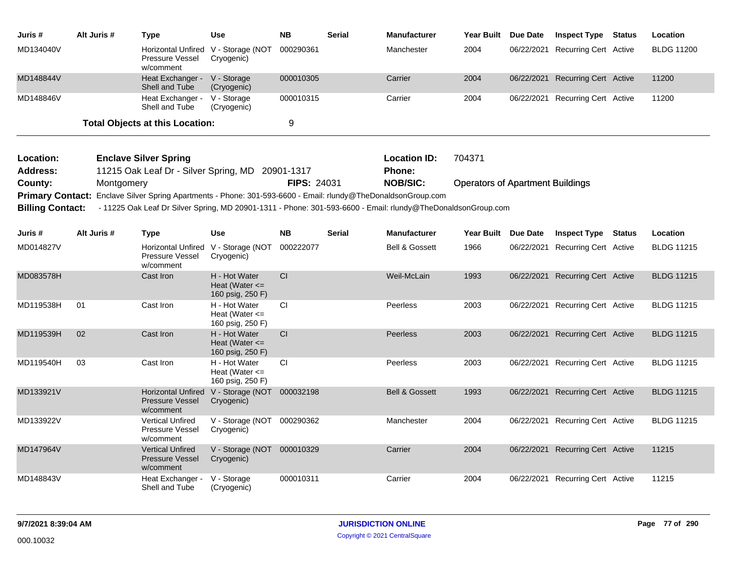| Juris #   | Alt Juris # | Type                                                                | <b>Use</b>                 | <b>NB</b> | <b>Serial</b> | <b>Manufacturer</b> | <b>Year Built</b> | <b>Due Date</b> | <b>Inspect Type</b>              | Status | Location          |
|-----------|-------------|---------------------------------------------------------------------|----------------------------|-----------|---------------|---------------------|-------------------|-----------------|----------------------------------|--------|-------------------|
| MD134040V |             | Horizontal Unfired V - Storage (NOT<br>Pressure Vessel<br>w/comment | Cryogenic)                 | 000290361 |               | Manchester          | 2004              |                 | 06/22/2021 Recurring Cert Active |        | <b>BLDG 11200</b> |
| MD148844V |             | Heat Exchanger -<br>Shell and Tube                                  | V - Storage<br>(Cryogenic) | 000010305 |               | Carrier             | 2004              |                 | 06/22/2021 Recurring Cert Active |        | 11200             |
| MD148846V |             | Heat Exchanger -<br>Shell and Tube                                  | V - Storage<br>(Cryogenic) | 000010315 |               | Carrier             | 2004              |                 | 06/22/2021 Recurring Cert Active |        | 11200             |
|           |             | <b>Total Objects at this Location:</b>                              |                            |           |               |                     |                   |                 |                                  |        |                   |

| <b>Location:</b> | <b>Enclave Silver Spring</b>                                                                                                  |                    | <b>Location ID:</b> | 704371                                  |
|------------------|-------------------------------------------------------------------------------------------------------------------------------|--------------------|---------------------|-----------------------------------------|
| <b>Address:</b>  | 11215 Oak Leaf Dr - Silver Spring, MD 20901-1317                                                                              |                    | Phone:              |                                         |
| County:          | Montgomery                                                                                                                    | <b>FIPS: 24031</b> | <b>NOB/SIC:</b>     | <b>Operators of Apartment Buildings</b> |
|                  | Primary Contact: Enclave Silver Spring Apartments - Phone: 301-593-6600 - Email: rlundy@TheDonaldsonGroup.com                 |                    |                     |                                         |
|                  | Billing Contact: - 11225 Oak Leaf Dr Silver Spring, MD 20901-1311 - Phone: 301-593-6600 - Email: rlundy@TheDonaldsonGroup.com |                    |                     |                                         |

| Juris #   | Alt Juris # | <b>Type</b>                                                      | <b>Use</b>                                              | <b>NB</b> | <b>Serial</b> | <b>Manufacturer</b>       | <b>Year Built</b> | Due Date   | <b>Inspect Type</b>          | <b>Status</b> | Location          |
|-----------|-------------|------------------------------------------------------------------|---------------------------------------------------------|-----------|---------------|---------------------------|-------------------|------------|------------------------------|---------------|-------------------|
| MD014827V |             | <b>Horizontal Unfired</b><br><b>Pressure Vessel</b><br>w/comment | V - Storage (NOT<br>Cryogenic)                          | 000222077 |               | <b>Bell &amp; Gossett</b> | 1966              | 06/22/2021 | Recurring Cert Active        |               | <b>BLDG 11215</b> |
| MD083578H |             | Cast Iron                                                        | H - Hot Water<br>Heat (Water $\leq$<br>160 psig, 250 F) | <b>CI</b> |               | Weil-McLain               | 1993              | 06/22/2021 | Recurring Cert Active        |               | <b>BLDG 11215</b> |
| MD119538H | 01          | Cast Iron                                                        | H - Hot Water<br>Heat (Water $\leq$<br>160 psig, 250 F) | <b>CI</b> |               | <b>Peerless</b>           | 2003              | 06/22/2021 | Recurring Cert Active        |               | <b>BLDG 11215</b> |
| MD119539H | 02          | Cast Iron                                                        | H - Hot Water<br>Heat (Water $\leq$<br>160 psig, 250 F) | <b>CI</b> |               | <b>Peerless</b>           | 2003              | 06/22/2021 | Recurring Cert Active        |               | <b>BLDG 11215</b> |
| MD119540H | 03          | Cast Iron                                                        | H - Hot Water<br>Heat (Water $\leq$<br>160 psig, 250 F) | CI        |               | Peerless                  | 2003              | 06/22/2021 | Recurring Cert Active        |               | <b>BLDG 11215</b> |
| MD133921V |             | <b>Horizontal Unfired</b><br><b>Pressure Vessel</b><br>w/comment | V - Storage (NOT<br>Cryogenic)                          | 000032198 |               | <b>Bell &amp; Gossett</b> | 1993              | 06/22/2021 | Recurring Cert Active        |               | <b>BLDG 11215</b> |
| MD133922V |             | <b>Vertical Unfired</b><br><b>Pressure Vessel</b><br>w/comment   | V - Storage (NOT<br>Cryogenic)                          | 000290362 |               | Manchester                | 2004              | 06/22/2021 | Recurring Cert Active        |               | <b>BLDG 11215</b> |
| MD147964V |             | <b>Vertical Unfired</b><br><b>Pressure Vessel</b><br>w/comment   | V - Storage (NOT<br>Cryogenic)                          | 000010329 |               | Carrier                   | 2004              | 06/22/2021 | <b>Recurring Cert Active</b> |               | 11215             |
| MD148843V |             | Heat Exchanger -<br>Shell and Tube                               | V - Storage<br>(Cryogenic)                              | 000010311 |               | Carrier                   | 2004              | 06/22/2021 | <b>Recurring Cert</b> Active |               | 11215             |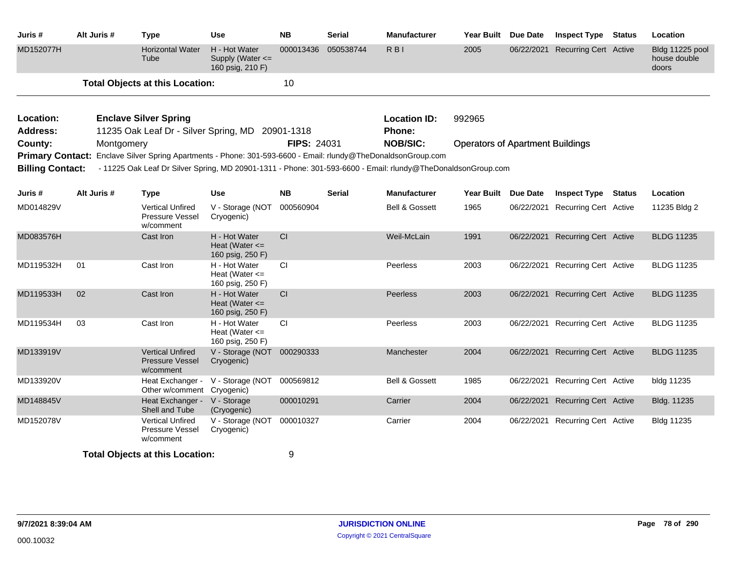| Juris #                      | Alt Juris # | <b>Type</b>                                                                                                   | <b>Use</b>                                              | <b>NB</b>   | <b>Serial</b> | <b>Manufacturer</b>           | Year Built Due Date                     |                 | <b>Inspect Type Status</b>       | Location                                 |
|------------------------------|-------------|---------------------------------------------------------------------------------------------------------------|---------------------------------------------------------|-------------|---------------|-------------------------------|-----------------------------------------|-----------------|----------------------------------|------------------------------------------|
| MD152077H                    |             | <b>Horizontal Water</b><br>Tube                                                                               | H - Hot Water<br>Supply (Water <=<br>160 psig, 210 F)   | 000013436   | 050538744     | $R$ BI                        | 2005                                    | 06/22/2021      | <b>Recurring Cert Active</b>     | Bldg 11225 pool<br>house double<br>doors |
|                              |             | <b>Total Objects at this Location:</b>                                                                        |                                                         | 10          |               |                               |                                         |                 |                                  |                                          |
| Location:<br><b>Address:</b> |             | <b>Enclave Silver Spring</b><br>11235 Oak Leaf Dr - Silver Spring, MD 20901-1318                              |                                                         |             |               | <b>Location ID:</b><br>Phone: | 992965                                  |                 |                                  |                                          |
| County:                      | Montgomery  |                                                                                                               |                                                         | FIPS: 24031 |               | <b>NOB/SIC:</b>               | <b>Operators of Apartment Buildings</b> |                 |                                  |                                          |
|                              |             | Primary Contact: Enclave Silver Spring Apartments - Phone: 301-593-6600 - Email: rlundy@TheDonaldsonGroup.com |                                                         |             |               |                               |                                         |                 |                                  |                                          |
| <b>Billing Contact:</b>      |             | - 11225 Oak Leaf Dr Silver Spring, MD 20901-1311 - Phone: 301-593-6600 - Email: rlundy@TheDonaldsonGroup.com  |                                                         |             |               |                               |                                         |                 |                                  |                                          |
| Juris #                      | Alt Juris # | <b>Type</b>                                                                                                   | <b>Use</b>                                              | <b>NB</b>   | <b>Serial</b> | <b>Manufacturer</b>           | <b>Year Built</b>                       | <b>Due Date</b> | <b>Inspect Type Status</b>       | Location                                 |
| MD014829V                    |             | <b>Vertical Unfired</b><br>Pressure Vessel<br>w/comment                                                       | V - Storage (NOT<br>Cryogenic)                          | 000560904   |               | <b>Bell &amp; Gossett</b>     | 1965                                    | 06/22/2021      | <b>Recurring Cert Active</b>     | 11235 Bldg 2                             |
| MD083576H                    |             | Cast Iron                                                                                                     | H - Hot Water<br>Heat (Water $\leq$<br>160 psig, 250 F) | CI          |               | Weil-McLain                   | 1991                                    |                 | 06/22/2021 Recurring Cert Active | <b>BLDG 11235</b>                        |
| MD119532H                    | 01          | Cast Iron                                                                                                     | H - Hot Water<br>Heat (Water $\leq$<br>160 psig, 250 F) | CI          |               | Peerless                      | 2003                                    |                 | 06/22/2021 Recurring Cert Active | <b>BLDG 11235</b>                        |
| MD119533H                    | 02          | Cast Iron                                                                                                     | H - Hot Water<br>Heat (Water $\leq$<br>160 psig, 250 F) | CI          |               | Peerless                      | 2003                                    |                 | 06/22/2021 Recurring Cert Active | <b>BLDG 11235</b>                        |
| MD119534H                    | 03          | Cast Iron                                                                                                     | H - Hot Water<br>Heat (Water $\leq$<br>160 psig, 250 F) | CI          |               | Peerless                      | 2003                                    |                 | 06/22/2021 Recurring Cert Active | <b>BLDG 11235</b>                        |
| MD133919V                    |             | <b>Vertical Unfired</b><br><b>Pressure Vessel</b><br>w/comment                                                | V - Storage (NOT<br>Cryogenic)                          | 000290333   |               | Manchester                    | 2004                                    | 06/22/2021      | <b>Recurring Cert Active</b>     | <b>BLDG 11235</b>                        |
| MD133920V                    |             | Heat Exchanger -<br>Other w/comment Cryogenic)                                                                | V - Storage (NOT                                        | 000569812   |               | <b>Bell &amp; Gossett</b>     | 1985                                    | 06/22/2021      | <b>Recurring Cert Active</b>     | bldg 11235                               |
| MD148845V                    |             | Heat Exchanger -<br>Shell and Tube                                                                            | V - Storage<br>(Cryogenic)                              | 000010291   |               | Carrier                       | 2004                                    | 06/22/2021      | <b>Recurring Cert Active</b>     | Bldg. 11235                              |
| MD152078V                    |             | <b>Vertical Unfired</b><br><b>Pressure Vessel</b><br>w/comment                                                | V - Storage (NOT<br>Cryogenic)                          | 000010327   |               | Carrier                       | 2004                                    |                 | 06/22/2021 Recurring Cert Active | Bldg 11235                               |
|                              |             | <b>Total Objects at this Location:</b>                                                                        |                                                         | 9           |               |                               |                                         |                 |                                  |                                          |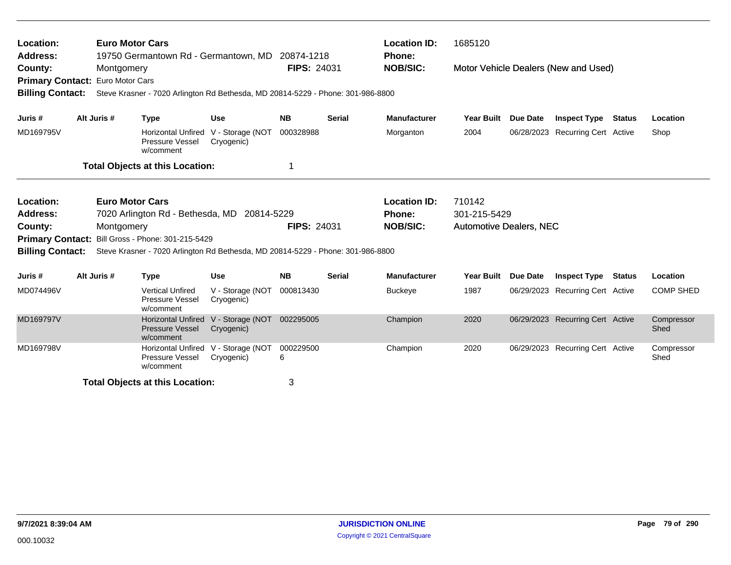| Location:<br><b>Address:</b><br>County:<br>Primary Contact: Euro Motor Cars<br><b>Billing Contact:</b><br>Alt Juris #<br>Juris #                                                                                                                                                                  |             | <b>Euro Motor Cars</b><br>19750 Germantown Rd - Germantown, MD 20874-1218<br>Montgomery<br>Steve Krasner - 7020 Arlington Rd Bethesda, MD 20814-5229 - Phone: 301-986-8800 |                                                                     |                                                                                                         | <b>FIPS: 24031</b> |               | <b>Location ID:</b><br>1685120<br><b>Phone:</b><br><b>NOB/SIC:</b><br>Motor Vehicle Dealers (New and Used) |                                |                 |                                  |               |                    |  |
|---------------------------------------------------------------------------------------------------------------------------------------------------------------------------------------------------------------------------------------------------------------------------------------------------|-------------|----------------------------------------------------------------------------------------------------------------------------------------------------------------------------|---------------------------------------------------------------------|---------------------------------------------------------------------------------------------------------|--------------------|---------------|------------------------------------------------------------------------------------------------------------|--------------------------------|-----------------|----------------------------------|---------------|--------------------|--|
|                                                                                                                                                                                                                                                                                                   |             |                                                                                                                                                                            | <b>Type</b>                                                         | <b>Use</b>                                                                                              | <b>NB</b>          | <b>Serial</b> | <b>Manufacturer</b>                                                                                        | <b>Year Built</b>              | <b>Due Date</b> | <b>Inspect Type</b>              | <b>Status</b> | Location           |  |
| MD169795V                                                                                                                                                                                                                                                                                         |             |                                                                                                                                                                            | Horizontal Unfired V - Storage (NOT<br>Pressure Vessel<br>w/comment | Cryogenic)                                                                                              | 000328988          |               | Morganton                                                                                                  | 2004                           | 06/28/2023      | <b>Recurring Cert Active</b>     |               | Shop               |  |
|                                                                                                                                                                                                                                                                                                   |             |                                                                                                                                                                            | <b>Total Objects at this Location:</b>                              |                                                                                                         | 1                  |               |                                                                                                            |                                |                 |                                  |               |                    |  |
| <b>Euro Motor Cars</b><br>Location:<br>7020 Arlington Rd - Bethesda, MD 20814-5229<br><b>Address:</b><br>County:<br>Montgomery<br>Primary Contact: Bill Gross - Phone: 301-215-5429<br><b>Billing Contact:</b><br>Steve Krasner - 7020 Arlington Rd Bethesda, MD 20814-5229 - Phone: 301-986-8800 |             |                                                                                                                                                                            |                                                                     | 710142<br><b>Location ID:</b><br>301-215-5429<br><b>Phone:</b><br><b>FIPS: 24031</b><br><b>NOB/SIC:</b> |                    |               |                                                                                                            | <b>Automotive Dealers, NEC</b> |                 |                                  |               |                    |  |
| Juris #                                                                                                                                                                                                                                                                                           | Alt Juris # |                                                                                                                                                                            | <b>Type</b>                                                         | <b>Use</b>                                                                                              | <b>NB</b>          | <b>Serial</b> | <b>Manufacturer</b>                                                                                        | <b>Year Built</b>              | <b>Due Date</b> | <b>Inspect Type</b>              | <b>Status</b> | Location           |  |
| MD074496V                                                                                                                                                                                                                                                                                         |             |                                                                                                                                                                            | <b>Vertical Unfired</b><br>Pressure Vessel<br>w/comment             | V - Storage (NOT<br>Cryogenic)                                                                          | 000813430          |               | <b>Buckeye</b>                                                                                             | 1987                           | 06/29/2023      | <b>Recurring Cert Active</b>     |               | <b>COMP SHED</b>   |  |
| MD169797V                                                                                                                                                                                                                                                                                         |             |                                                                                                                                                                            | <b>Horizontal Unfired</b><br><b>Pressure Vessel</b><br>w/comment    | V - Storage (NOT<br>Cryogenic)                                                                          | 002295005          |               | Champion                                                                                                   | 2020                           |                 | 06/29/2023 Recurring Cert Active |               | Compressor<br>Shed |  |
| MD169798V                                                                                                                                                                                                                                                                                         |             |                                                                                                                                                                            | <b>Horizontal Unfired</b><br>Pressure Vessel<br>w/comment           | V - Storage (NOT<br>Cryogenic)                                                                          | 000229500<br>6     |               | Champion                                                                                                   | 2020                           |                 | 06/29/2023 Recurring Cert Active |               | Compressor<br>Shed |  |
|                                                                                                                                                                                                                                                                                                   |             |                                                                                                                                                                            | <b>Total Objects at this Location:</b>                              |                                                                                                         | 3                  |               |                                                                                                            |                                |                 |                                  |               |                    |  |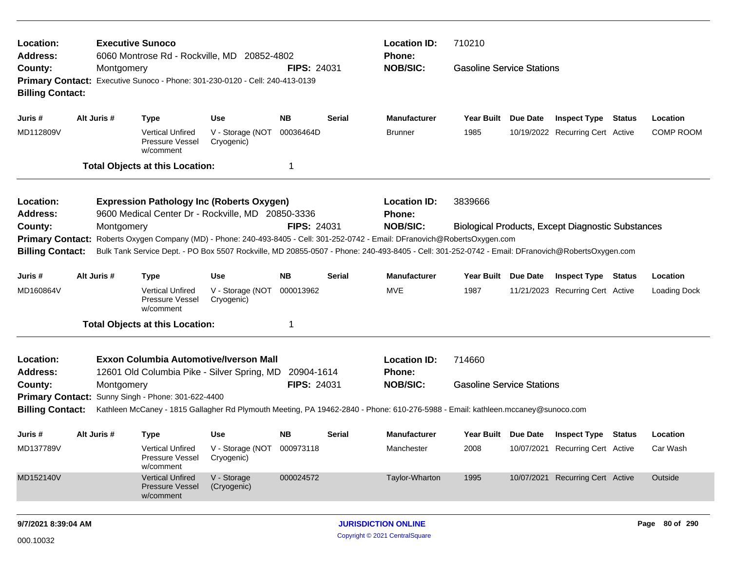| Location:<br>Address:                                                                                                                                                                                            |             |            | <b>Executive Sunoco</b><br>6060 Montrose Rd - Rockville, MD 20852-4802                                |                                |                    |               | <b>Location ID:</b><br>Phone:                                                                                                                                                                                                                                                    | 710210                           |                 |                                                          |  |                     |
|------------------------------------------------------------------------------------------------------------------------------------------------------------------------------------------------------------------|-------------|------------|-------------------------------------------------------------------------------------------------------|--------------------------------|--------------------|---------------|----------------------------------------------------------------------------------------------------------------------------------------------------------------------------------------------------------------------------------------------------------------------------------|----------------------------------|-----------------|----------------------------------------------------------|--|---------------------|
| County:<br><b>Billing Contact:</b>                                                                                                                                                                               |             | Montgomery | Primary Contact: Executive Sunoco - Phone: 301-230-0120 - Cell: 240-413-0139                          |                                | FIPS: 24031        |               | <b>NOB/SIC:</b>                                                                                                                                                                                                                                                                  | <b>Gasoline Service Stations</b> |                 |                                                          |  |                     |
| Juris #                                                                                                                                                                                                          | Alt Juris # |            | <b>Type</b>                                                                                           | <b>Use</b>                     | <b>NB</b>          | <b>Serial</b> | <b>Manufacturer</b>                                                                                                                                                                                                                                                              | Year Built Due Date              |                 | <b>Inspect Type Status</b>                               |  | Location            |
| MD112809V                                                                                                                                                                                                        |             |            | <b>Vertical Unfired</b><br>Pressure Vessel<br>w/comment                                               | V - Storage (NOT<br>Cryogenic) | 00036464D          |               | <b>Brunner</b>                                                                                                                                                                                                                                                                   | 1985                             |                 | 10/19/2022 Recurring Cert Active                         |  | <b>COMP ROOM</b>    |
|                                                                                                                                                                                                                  |             |            | <b>Total Objects at this Location:</b>                                                                |                                | $\mathbf 1$        |               |                                                                                                                                                                                                                                                                                  |                                  |                 |                                                          |  |                     |
| <b>Location:</b><br><b>Address:</b>                                                                                                                                                                              |             |            | <b>Expression Pathology Inc (Roberts Oxygen)</b><br>9600 Medical Center Dr - Rockville, MD 20850-3336 |                                |                    |               | <b>Location ID:</b><br>Phone:                                                                                                                                                                                                                                                    | 3839666                          |                 |                                                          |  |                     |
| County:                                                                                                                                                                                                          |             | Montgomery |                                                                                                       |                                | <b>FIPS: 24031</b> |               | <b>NOB/SIC:</b>                                                                                                                                                                                                                                                                  |                                  |                 | <b>Biological Products, Except Diagnostic Substances</b> |  |                     |
| <b>Billing Contact:</b>                                                                                                                                                                                          |             |            |                                                                                                       |                                |                    |               | Primary Contact: Roberts Oxygen Company (MD) - Phone: 240-493-8405 - Cell: 301-252-0742 - Email: DFranovich@RobertsOxygen.com<br>Bulk Tank Service Dept. - PO Box 5507 Rockville, MD 20855-0507 - Phone: 240-493-8405 - Cell: 301-252-0742 - Email: DFranovich@RobertsOxygen.com |                                  |                 |                                                          |  |                     |
| Juris #                                                                                                                                                                                                          | Alt Juris # |            | <b>Type</b>                                                                                           | <b>Use</b>                     | <b>NB</b>          | <b>Serial</b> | <b>Manufacturer</b>                                                                                                                                                                                                                                                              | Year Built Due Date              |                 | <b>Inspect Type Status</b>                               |  | Location            |
| MD160864V                                                                                                                                                                                                        |             |            | <b>Vertical Unfired</b><br>Pressure Vessel<br>w/comment                                               | V - Storage (NOT<br>Cryogenic) | 000013962          |               | <b>MVE</b>                                                                                                                                                                                                                                                                       | 1987                             |                 | 11/21/2023 Recurring Cert Active                         |  | <b>Loading Dock</b> |
|                                                                                                                                                                                                                  |             |            | <b>Total Objects at this Location:</b>                                                                |                                | 1                  |               |                                                                                                                                                                                                                                                                                  |                                  |                 |                                                          |  |                     |
| <b>Location:</b><br><b>Address:</b>                                                                                                                                                                              |             |            | <b>Exxon Columbia Automotive/Iverson Mall</b><br>12601 Old Columbia Pike - Silver Spring, MD          |                                | 20904-1614         |               | <b>Location ID:</b><br><b>Phone:</b>                                                                                                                                                                                                                                             | 714660                           |                 |                                                          |  |                     |
| County:                                                                                                                                                                                                          |             | Montgomery |                                                                                                       |                                | <b>FIPS: 24031</b> |               | <b>NOB/SIC:</b>                                                                                                                                                                                                                                                                  | <b>Gasoline Service Stations</b> |                 |                                                          |  |                     |
| Primary Contact: Sunny Singh - Phone: 301-622-4400<br><b>Billing Contact:</b><br>Kathleen McCaney - 1815 Gallagher Rd Plymouth Meeting, PA 19462-2840 - Phone: 610-276-5988 - Email: kathleen.mccaney@sunoco.com |             |            |                                                                                                       |                                |                    |               |                                                                                                                                                                                                                                                                                  |                                  |                 |                                                          |  |                     |
| Juris #                                                                                                                                                                                                          | Alt Juris # |            | <b>Type</b>                                                                                           | <b>Use</b>                     | <b>NB</b>          | <b>Serial</b> | Manufacturer                                                                                                                                                                                                                                                                     | <b>Year Built</b>                | <b>Due Date</b> | <b>Inspect Type Status</b>                               |  | Location            |
| MD137789V                                                                                                                                                                                                        |             |            | <b>Vertical Unfired</b><br><b>Pressure Vessel</b><br>w/comment                                        | V - Storage (NOT<br>Cryogenic) | 000973118          |               | Manchester                                                                                                                                                                                                                                                                       | 2008                             |                 | 10/07/2021 Recurring Cert Active                         |  | Car Wash            |
| MD152140V                                                                                                                                                                                                        |             |            | <b>Vertical Unfired</b><br><b>Pressure Vessel</b><br>w/comment                                        | V - Storage<br>(Cryogenic)     | 000024572          |               | Taylor-Wharton                                                                                                                                                                                                                                                                   | 1995                             |                 | 10/07/2021 Recurring Cert Active                         |  | Outside             |
|                                                                                                                                                                                                                  |             |            |                                                                                                       |                                |                    |               |                                                                                                                                                                                                                                                                                  |                                  |                 |                                                          |  |                     |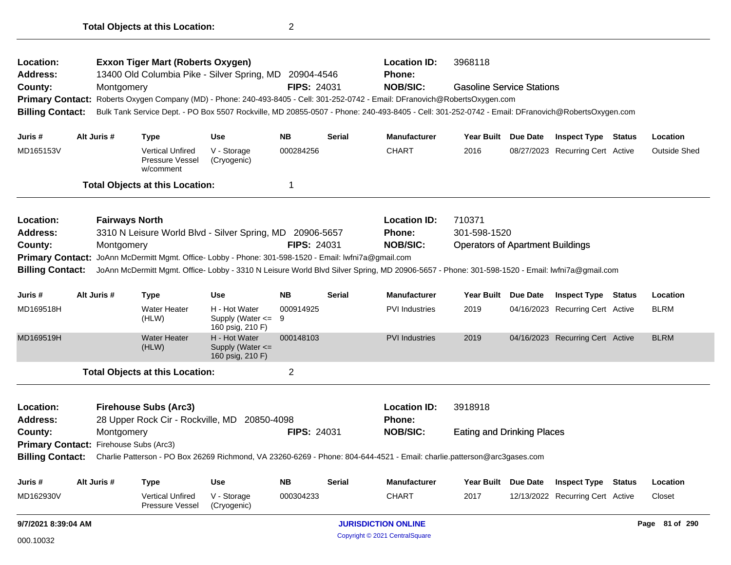| Location:<br>Address:                  |                                                   | <b>Location ID:</b><br>3968118<br><b>Exxon Tiger Mart (Roberts Oxygen)</b><br>13400 Old Columbia Pike - Silver Spring, MD 20904-4546<br>Phone: |                                                                                      |                                                             |                    |               |                                                                                                                                                 |                                         |                     |                                  |               |                     |
|----------------------------------------|---------------------------------------------------|------------------------------------------------------------------------------------------------------------------------------------------------|--------------------------------------------------------------------------------------|-------------------------------------------------------------|--------------------|---------------|-------------------------------------------------------------------------------------------------------------------------------------------------|-----------------------------------------|---------------------|----------------------------------|---------------|---------------------|
| County:                                |                                                   | Montgomery                                                                                                                                     |                                                                                      |                                                             | <b>FIPS: 24031</b> |               | <b>NOB/SIC:</b>                                                                                                                                 | <b>Gasoline Service Stations</b>        |                     |                                  |               |                     |
|                                        |                                                   |                                                                                                                                                |                                                                                      |                                                             |                    |               | Primary Contact: Roberts Oxygen Company (MD) - Phone: 240-493-8405 - Cell: 301-252-0742 - Email: DFranovich@RobertsOxygen.com                   |                                         |                     |                                  |               |                     |
| <b>Billing Contact:</b>                |                                                   |                                                                                                                                                |                                                                                      |                                                             |                    |               | Bulk Tank Service Dept. - PO Box 5507 Rockville, MD 20855-0507 - Phone: 240-493-8405 - Cell: 301-252-0742 - Email: DFranovich@RobertsOxygen.com |                                         |                     |                                  |               |                     |
| Juris #                                |                                                   | Alt Juris #                                                                                                                                    | <b>Type</b>                                                                          | <b>Use</b>                                                  | <b>NB</b>          | <b>Serial</b> | <b>Manufacturer</b>                                                                                                                             |                                         | Year Built Due Date | <b>Inspect Type Status</b>       |               | Location            |
| MD165153V                              |                                                   |                                                                                                                                                | <b>Vertical Unfired</b><br>Pressure Vessel<br>w/comment                              | V - Storage<br>(Cryogenic)                                  | 000284256          |               | <b>CHART</b>                                                                                                                                    | 2016                                    |                     | 08/27/2023 Recurring Cert Active |               | <b>Outside Shed</b> |
|                                        |                                                   |                                                                                                                                                | <b>Total Objects at this Location:</b>                                               |                                                             | $\mathbf 1$        |               |                                                                                                                                                 |                                         |                     |                                  |               |                     |
| Location:                              |                                                   | <b>Fairways North</b>                                                                                                                          |                                                                                      |                                                             |                    |               | <b>Location ID:</b>                                                                                                                             | 710371                                  |                     |                                  |               |                     |
| <b>Address:</b>                        |                                                   |                                                                                                                                                | 3310 N Leisure World Blvd - Silver Spring, MD 20906-5657                             |                                                             |                    |               | <b>Phone:</b>                                                                                                                                   | 301-598-1520                            |                     |                                  |               |                     |
| County:                                |                                                   | Montgomery                                                                                                                                     |                                                                                      |                                                             | <b>FIPS: 24031</b> |               | <b>NOB/SIC:</b>                                                                                                                                 | <b>Operators of Apartment Buildings</b> |                     |                                  |               |                     |
| <b>Primary Contact:</b>                |                                                   |                                                                                                                                                | JoAnn McDermitt Mgmt. Office- Lobby - Phone: 301-598-1520 - Email: lwfni7a@gmail.com |                                                             |                    |               |                                                                                                                                                 |                                         |                     |                                  |               |                     |
| <b>Billing Contact:</b>                |                                                   |                                                                                                                                                |                                                                                      |                                                             |                    |               | JoAnn McDermitt Mgmt. Office- Lobby - 3310 N Leisure World Blvd Silver Spring, MD 20906-5657 - Phone: 301-598-1520 - Email: lwfni7a@gmail.com   |                                         |                     |                                  |               |                     |
| Juris #                                |                                                   | Alt Juris #                                                                                                                                    | <b>Type</b>                                                                          | Use                                                         | <b>NB</b>          | <b>Serial</b> | <b>Manufacturer</b>                                                                                                                             | Year Built                              | Due Date            | <b>Inspect Type Status</b>       |               | Location            |
| MD169518H                              |                                                   |                                                                                                                                                | Water Heater<br>(HLW)                                                                | H - Hot Water<br>Supply (Water $\leq$ 9<br>160 psig, 210 F) | 000914925          |               | <b>PVI</b> Industries                                                                                                                           | 2019                                    |                     | 04/16/2023 Recurring Cert Active |               | BLRM                |
| MD169519H                              |                                                   |                                                                                                                                                | <b>Water Heater</b><br>(HLW)                                                         | H - Hot Water<br>Supply (Water <=<br>160 psig, 210 F)       | 000148103          |               | <b>PVI Industries</b>                                                                                                                           | 2019                                    |                     | 04/16/2023 Recurring Cert Active |               | <b>BLRM</b>         |
|                                        |                                                   |                                                                                                                                                | <b>Total Objects at this Location:</b>                                               |                                                             | 2                  |               |                                                                                                                                                 |                                         |                     |                                  |               |                     |
| Location:                              |                                                   |                                                                                                                                                | <b>Firehouse Subs (Arc3)</b>                                                         |                                                             |                    |               | <b>Location ID:</b>                                                                                                                             | 3918918                                 |                     |                                  |               |                     |
| <b>Address:</b>                        |                                                   |                                                                                                                                                | 28 Upper Rock Cir - Rockville, MD 20850-4098                                         |                                                             |                    |               | <b>Phone:</b>                                                                                                                                   |                                         |                     |                                  |               |                     |
| County:                                |                                                   | Montgomery                                                                                                                                     |                                                                                      |                                                             | <b>FIPS: 24031</b> |               | <b>NOB/SIC:</b>                                                                                                                                 | <b>Eating and Drinking Places</b>       |                     |                                  |               |                     |
| Primary Contact: Firehouse Subs (Arc3) |                                                   |                                                                                                                                                |                                                                                      |                                                             |                    |               |                                                                                                                                                 |                                         |                     |                                  |               |                     |
| <b>Billing Contact:</b>                |                                                   |                                                                                                                                                |                                                                                      |                                                             |                    |               | Charlie Patterson - PO Box 26269 Richmond, VA 23260-6269 - Phone: 804-644-4521 - Email: charlie.patterson@arc3gases.com                         |                                         |                     |                                  |               |                     |
| Juris #                                |                                                   | Alt Juris #                                                                                                                                    | <b>Type</b>                                                                          | <b>Use</b>                                                  | <b>NB</b>          | <b>Serial</b> | <b>Manufacturer</b>                                                                                                                             | Year Built Due Date                     |                     | <b>Inspect Type</b>              | <b>Status</b> | Location            |
| MD162930V                              |                                                   |                                                                                                                                                | <b>Vertical Unfired</b><br><b>Pressure Vessel</b>                                    | V - Storage<br>(Cryogenic)                                  | 000304233          |               | <b>CHART</b>                                                                                                                                    | 2017                                    |                     | 12/13/2022 Recurring Cert Active |               | Closet              |
|                                        | 9/7/2021 8:39:04 AM<br><b>JURISDICTION ONLINE</b> |                                                                                                                                                |                                                                                      |                                                             |                    |               |                                                                                                                                                 |                                         |                     |                                  |               | Page 81 of 290      |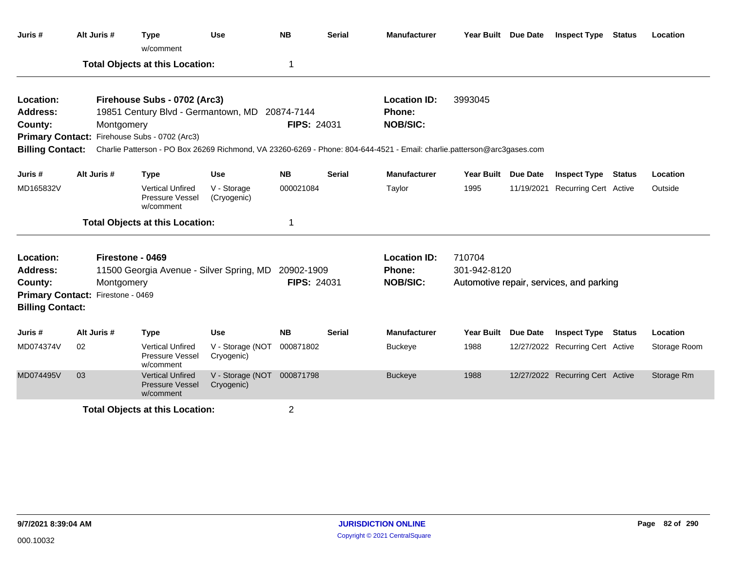| Juris #                                                            | Alt Juris #                                                                                                     | <b>Type</b><br>w/comment                                                                                                        | <b>Use</b>                     | <b>NB</b>                                               | <b>Serial</b>          | <b>Manufacturer</b>                                                                                                                                                         | Year Built Due Date                      |            | <b>Inspect Type Status</b>       |        | Location     |
|--------------------------------------------------------------------|-----------------------------------------------------------------------------------------------------------------|---------------------------------------------------------------------------------------------------------------------------------|--------------------------------|---------------------------------------------------------|------------------------|-----------------------------------------------------------------------------------------------------------------------------------------------------------------------------|------------------------------------------|------------|----------------------------------|--------|--------------|
|                                                                    |                                                                                                                 | <b>Total Objects at this Location:</b>                                                                                          |                                | -1                                                      |                        |                                                                                                                                                                             |                                          |            |                                  |        |              |
| Location:<br><b>Address:</b><br>County:<br><b>Billing Contact:</b> | Montgomery                                                                                                      | Firehouse Subs - 0702 (Arc3)<br>19851 Century Blvd - Germantown, MD 20874-7144<br>Primary Contact: Firehouse Subs - 0702 (Arc3) |                                | <b>FIPS: 24031</b>                                      |                        | <b>Location ID:</b><br>Phone:<br><b>NOB/SIC:</b><br>Charlie Patterson - PO Box 26269 Richmond, VA 23260-6269 - Phone: 804-644-4521 - Email: charlie.patterson@arc3gases.com | 3993045                                  |            |                                  |        |              |
| Juris #                                                            | Alt Juris #                                                                                                     | <b>Type</b>                                                                                                                     | <b>Use</b>                     | <b>NB</b>                                               | <b>Serial</b>          | <b>Manufacturer</b>                                                                                                                                                         | Year Built Due Date                      |            | <b>Inspect Type</b>              | Status | Location     |
| MD165832V                                                          |                                                                                                                 | <b>Vertical Unfired</b><br>Pressure Vessel<br>w/comment                                                                         | V - Storage<br>(Cryogenic)     | 000021084                                               |                        | Taylor                                                                                                                                                                      | 1995                                     | 11/19/2021 | <b>Recurring Cert Active</b>     |        | Outside      |
|                                                                    |                                                                                                                 | <b>Total Objects at this Location:</b>                                                                                          |                                | -1                                                      |                        |                                                                                                                                                                             |                                          |            |                                  |        |              |
| Location:<br><b>Address:</b><br>County:                            | Firestone - 0469<br>11500 Georgia Avenue - Silver Spring, MD<br>Montgomery<br>Primary Contact: Firestone - 0469 | 20902-1909<br>FIPS: 24031                                                                                                       |                                | <b>Location ID:</b><br><b>Phone:</b><br><b>NOB/SIC:</b> | 710704<br>301-942-8120 |                                                                                                                                                                             | Automotive repair, services, and parking |            |                                  |        |              |
| <b>Billing Contact:</b>                                            |                                                                                                                 |                                                                                                                                 |                                |                                                         |                        |                                                                                                                                                                             |                                          |            |                                  |        |              |
| Juris #                                                            | Alt Juris #                                                                                                     | <b>Type</b>                                                                                                                     | <b>Use</b>                     | <b>NB</b>                                               | <b>Serial</b>          | <b>Manufacturer</b>                                                                                                                                                         | Year Built Due Date                      |            | <b>Inspect Type</b>              | Status | Location     |
| MD074374V                                                          | 02                                                                                                              | <b>Vertical Unfired</b><br>Pressure Vessel<br>w/comment                                                                         | V - Storage (NOT<br>Cryogenic) | 000871802                                               |                        | <b>Buckeye</b>                                                                                                                                                              | 1988                                     |            | 12/27/2022 Recurring Cert Active |        | Storage Room |
| MD074495V                                                          | 03                                                                                                              | <b>Vertical Unfired</b><br><b>Pressure Vessel</b><br>w/comment                                                                  | V - Storage (NOT<br>Cryogenic) | 000871798                                               |                        | <b>Buckeye</b>                                                                                                                                                              | 1988                                     |            | 12/27/2022 Recurring Cert Active |        | Storage Rm   |
|                                                                    |                                                                                                                 | <b>Total Objects at this Location:</b>                                                                                          |                                | $\overline{2}$                                          |                        |                                                                                                                                                                             |                                          |            |                                  |        |              |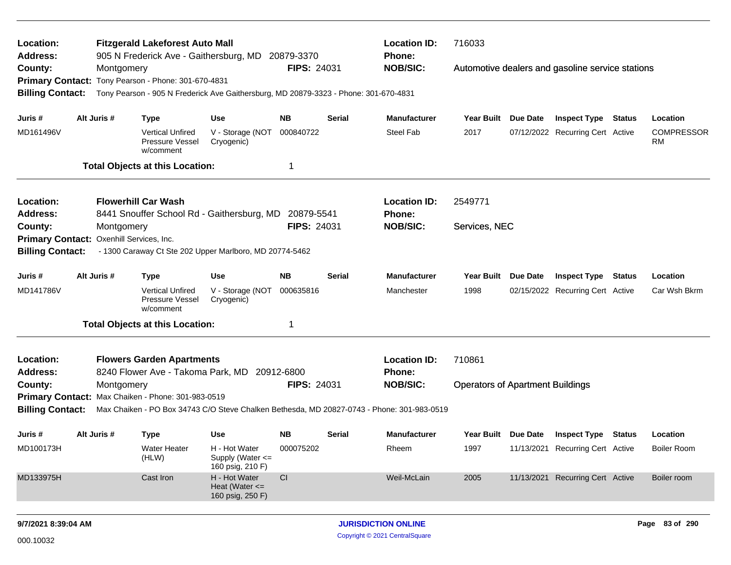| Location:                  |             | <b>Location ID:</b><br><b>Fitzgerald Lakeforest Auto Mall</b><br>905 N Frederick Ave - Gaithersburg, MD 20879-3370<br><b>Phone:</b> |                                                         |                    |               |                                                                                            |                                         |                 |                                                  |        |                         |
|----------------------------|-------------|-------------------------------------------------------------------------------------------------------------------------------------|---------------------------------------------------------|--------------------|---------------|--------------------------------------------------------------------------------------------|-----------------------------------------|-----------------|--------------------------------------------------|--------|-------------------------|
| <b>Address:</b><br>County: | Montgomery  | Primary Contact: Tony Pearson - Phone: 301-670-4831                                                                                 |                                                         | <b>FIPS: 24031</b> |               | <b>NOB/SIC:</b>                                                                            |                                         |                 | Automotive dealers and gasoline service stations |        |                         |
| <b>Billing Contact:</b>    |             | Tony Pearson - 905 N Frederick Ave Gaithersburg, MD 20879-3323 - Phone: 301-670-4831                                                |                                                         |                    |               |                                                                                            |                                         |                 |                                                  |        |                         |
| Juris #                    | Alt Juris # | <b>Type</b>                                                                                                                         | <b>Use</b>                                              | NB.                | <b>Serial</b> | <b>Manufacturer</b>                                                                        | Year Built Due Date                     |                 | <b>Inspect Type Status</b>                       |        | Location                |
| MD161496V                  |             | <b>Vertical Unfired</b><br>Pressure Vessel<br>w/comment                                                                             | V - Storage (NOT<br>Cryogenic)                          | 000840722          |               | <b>Steel Fab</b>                                                                           | 2017                                    |                 | 07/12/2022 Recurring Cert Active                 |        | <b>COMPRESSOR</b><br>RM |
|                            |             | <b>Total Objects at this Location:</b>                                                                                              |                                                         | -1                 |               |                                                                                            |                                         |                 |                                                  |        |                         |
| Location:                  |             | <b>Flowerhill Car Wash</b>                                                                                                          |                                                         |                    |               | <b>Location ID:</b>                                                                        | 2549771                                 |                 |                                                  |        |                         |
| <b>Address:</b>            |             | 8441 Snouffer School Rd - Gaithersburg, MD 20879-5541                                                                               |                                                         |                    |               | <b>Phone:</b>                                                                              |                                         |                 |                                                  |        |                         |
| County:                    | Montgomery  |                                                                                                                                     |                                                         | <b>FIPS: 24031</b> |               | <b>NOB/SIC:</b>                                                                            | Services, NEC                           |                 |                                                  |        |                         |
| <b>Primary Contact:</b>    |             | Oxenhill Services, Inc.                                                                                                             |                                                         |                    |               |                                                                                            |                                         |                 |                                                  |        |                         |
| <b>Billing Contact:</b>    |             | - 1300 Caraway Ct Ste 202 Upper Marlboro, MD 20774-5462                                                                             |                                                         |                    |               |                                                                                            |                                         |                 |                                                  |        |                         |
| Juris #                    | Alt Juris # | <b>Type</b>                                                                                                                         | <b>Use</b>                                              | <b>NB</b>          | <b>Serial</b> | <b>Manufacturer</b>                                                                        | Year Built                              | <b>Due Date</b> | <b>Inspect Type</b>                              | Status | Location                |
| MD141786V                  |             | <b>Vertical Unfired</b><br>Pressure Vessel<br>w/comment                                                                             | V - Storage (NOT<br>Cryogenic)                          | 000635816          |               | Manchester                                                                                 | 1998                                    |                 | 02/15/2022 Recurring Cert Active                 |        | Car Wsh Bkrm            |
|                            |             | <b>Total Objects at this Location:</b>                                                                                              |                                                         | -1                 |               |                                                                                            |                                         |                 |                                                  |        |                         |
| Location:                  |             | <b>Flowers Garden Apartments</b>                                                                                                    |                                                         |                    |               | <b>Location ID:</b>                                                                        | 710861                                  |                 |                                                  |        |                         |
| Address:                   |             | 8240 Flower Ave - Takoma Park, MD 20912-6800                                                                                        |                                                         |                    |               | <b>Phone:</b>                                                                              |                                         |                 |                                                  |        |                         |
| County:                    | Montgomery  |                                                                                                                                     |                                                         | <b>FIPS: 24031</b> |               | <b>NOB/SIC:</b>                                                                            | <b>Operators of Apartment Buildings</b> |                 |                                                  |        |                         |
|                            |             | Primary Contact: Max Chaiken - Phone: 301-983-0519                                                                                  |                                                         |                    |               |                                                                                            |                                         |                 |                                                  |        |                         |
| <b>Billing Contact:</b>    |             |                                                                                                                                     |                                                         |                    |               | Max Chaiken - PO Box 34743 C/O Steve Chalken Bethesda, MD 20827-0743 - Phone: 301-983-0519 |                                         |                 |                                                  |        |                         |
| Juris #                    | Alt Juris # | <b>Type</b>                                                                                                                         | <b>Use</b>                                              | <b>NB</b>          | <b>Serial</b> | <b>Manufacturer</b>                                                                        | Year Built Due Date                     |                 | <b>Inspect Type</b>                              | Status | Location                |
| MD100173H                  |             | Water Heater<br>(HLW)                                                                                                               | H - Hot Water<br>Supply (Water <=<br>160 psig, 210 F)   | 000075202          |               | Rheem                                                                                      | 1997                                    |                 | 11/13/2021 Recurring Cert Active                 |        | Boiler Room             |
| MD133975H                  |             | Cast Iron                                                                                                                           | H - Hot Water<br>Heat (Water $\leq$<br>160 psig, 250 F) | CI                 |               | Weil-McLain                                                                                | 2005                                    |                 | 11/13/2021 Recurring Cert Active                 |        | Boiler room             |
| 9/7/2021 8:39:04 AM        |             |                                                                                                                                     |                                                         |                    |               | <b>JURISDICTION ONLINE</b>                                                                 |                                         |                 |                                                  |        | Page 83 of 290          |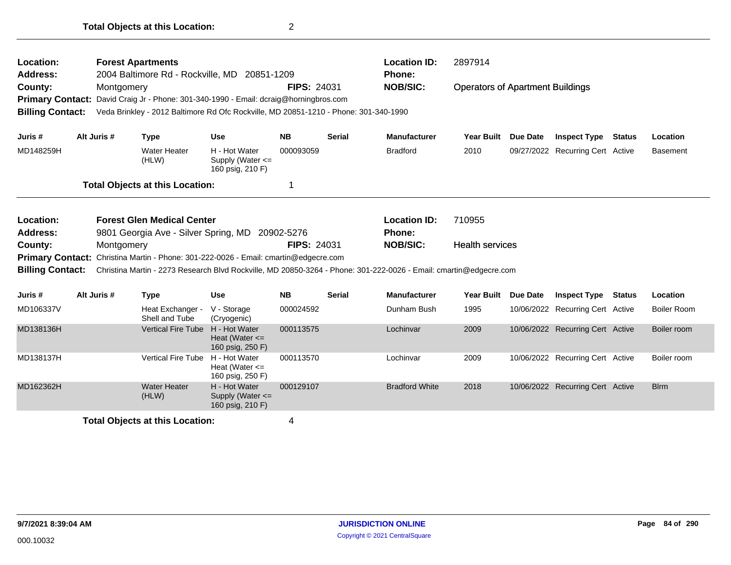| Location:<br>Address:<br>County:                                                                                                                                                                                                                                  | <b>Forest Apartments</b><br>2004 Baltimore Rd - Rockville, MD 20851-1209<br><b>FIPS: 24031</b><br>Montgomery<br>David Craig Jr - Phone: 301-340-1990 - Email: dcraig@horningbros.com<br><b>Primary Contact:</b><br><b>Billing Contact:</b><br>Veda Brinkley - 2012 Baltimore Rd Ofc Rockville, MD 20851-1210 - Phone: 301-340-1990 |  |                                        |                                                           |           |               | <b>Location ID:</b><br><b>Phone:</b><br><b>NOB/SIC:</b>                                                           | 2897914<br><b>Operators of Apartment Buildings</b> |                 |                                  |               |                    |  |
|-------------------------------------------------------------------------------------------------------------------------------------------------------------------------------------------------------------------------------------------------------------------|------------------------------------------------------------------------------------------------------------------------------------------------------------------------------------------------------------------------------------------------------------------------------------------------------------------------------------|--|----------------------------------------|-----------------------------------------------------------|-----------|---------------|-------------------------------------------------------------------------------------------------------------------|----------------------------------------------------|-----------------|----------------------------------|---------------|--------------------|--|
| Juris #                                                                                                                                                                                                                                                           | Alt Juris #                                                                                                                                                                                                                                                                                                                        |  | <b>Type</b>                            | <b>Use</b>                                                | <b>NB</b> | <b>Serial</b> | <b>Manufacturer</b>                                                                                               | <b>Year Built</b>                                  | Due Date        | <b>Inspect Type</b>              | <b>Status</b> | Location           |  |
| MD148259H                                                                                                                                                                                                                                                         |                                                                                                                                                                                                                                                                                                                                    |  | <b>Water Heater</b><br>(HLW)           | H - Hot Water<br>Supply (Water <=<br>160 psig, 210 F)     | 000093059 |               | <b>Bradford</b>                                                                                                   | 2010                                               |                 | 09/27/2022 Recurring Cert Active |               | <b>Basement</b>    |  |
|                                                                                                                                                                                                                                                                   |                                                                                                                                                                                                                                                                                                                                    |  | <b>Total Objects at this Location:</b> |                                                           | 1         |               |                                                                                                                   |                                                    |                 |                                  |               |                    |  |
| <b>Forest Glen Medical Center</b><br>Location:<br>Address:<br>9801 Georgia Ave - Silver Spring, MD<br>20902-5276<br><b>FIPS: 24031</b><br>County:<br>Montgomery<br>Christina Martin - Phone: 301-222-0026 - Email: cmartin@edgecre.com<br><b>Primary Contact:</b> |                                                                                                                                                                                                                                                                                                                                    |  |                                        |                                                           |           |               | <b>Location ID:</b><br><b>Phone:</b><br><b>NOB/SIC:</b>                                                           | 710955<br><b>Health services</b>                   |                 |                                  |               |                    |  |
| <b>Billing Contact:</b>                                                                                                                                                                                                                                           |                                                                                                                                                                                                                                                                                                                                    |  |                                        |                                                           |           |               | Christina Martin - 2273 Research Blvd Rockville, MD 20850-3264 - Phone: 301-222-0026 - Email: cmartin@edgecre.com |                                                    |                 |                                  |               |                    |  |
| Juris #                                                                                                                                                                                                                                                           | Alt Juris #                                                                                                                                                                                                                                                                                                                        |  | <b>Type</b>                            | <b>Use</b>                                                | <b>NB</b> | <b>Serial</b> | <b>Manufacturer</b>                                                                                               | <b>Year Built</b>                                  | <b>Due Date</b> | <b>Inspect Type Status</b>       |               | Location           |  |
| MD106337V                                                                                                                                                                                                                                                         |                                                                                                                                                                                                                                                                                                                                    |  | Heat Exchanger -<br>Shell and Tube     | V - Storage<br>(Cryogenic)                                | 000024592 |               | Dunham Bush                                                                                                       | 1995                                               |                 | 10/06/2022 Recurring Cert Active |               | <b>Boiler Room</b> |  |
| MD138136H                                                                                                                                                                                                                                                         |                                                                                                                                                                                                                                                                                                                                    |  | <b>Vertical Fire Tube</b>              | H - Hot Water<br>Heat (Water $\leq$<br>160 psig, 250 F)   | 000113575 |               | Lochinvar                                                                                                         | 2009                                               |                 | 10/06/2022 Recurring Cert Active |               | Boiler room        |  |
| MD138137H                                                                                                                                                                                                                                                         |                                                                                                                                                                                                                                                                                                                                    |  | <b>Vertical Fire Tube</b>              | H - Hot Water<br>Heat (Water $\leq$<br>160 psig, 250 F)   | 000113570 |               | Lochinvar                                                                                                         | 2009                                               |                 | 10/06/2022 Recurring Cert Active |               | Boiler room        |  |
| MD162362H                                                                                                                                                                                                                                                         |                                                                                                                                                                                                                                                                                                                                    |  | <b>Water Heater</b><br>(HLW)           | H - Hot Water<br>Supply (Water $\leq$<br>160 psig, 210 F) | 000129107 |               | <b>Bradford White</b>                                                                                             | 2018                                               |                 | 10/06/2022 Recurring Cert Active |               | <b>Blrm</b>        |  |
|                                                                                                                                                                                                                                                                   |                                                                                                                                                                                                                                                                                                                                    |  |                                        |                                                           |           |               |                                                                                                                   |                                                    |                 |                                  |               |                    |  |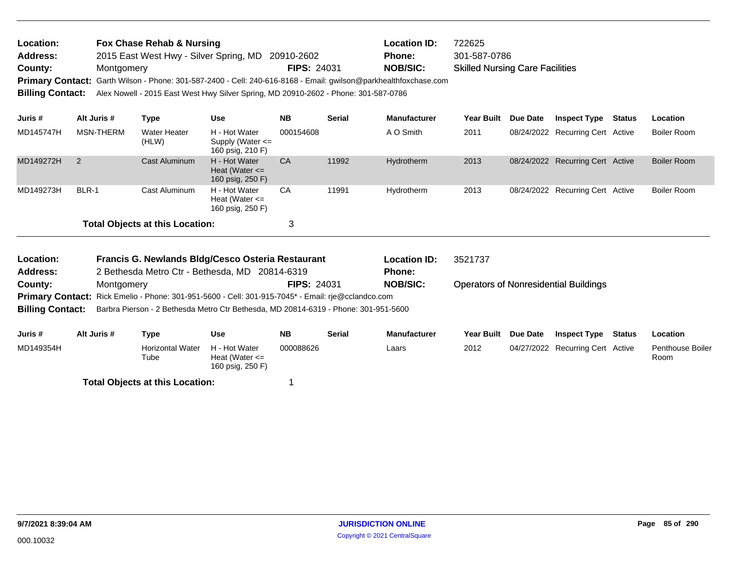| Location:               | Fox Chase Rehab & Nursing                                                                                        |                    | <b>Location ID:</b> | 722625                                 |
|-------------------------|------------------------------------------------------------------------------------------------------------------|--------------------|---------------------|----------------------------------------|
| <b>Address:</b>         | 2015 East West Hwy - Silver Spring, MD 20910-2602                                                                |                    | <b>Phone:</b>       | 301-587-0786                           |
| County:                 | Montgomery                                                                                                       | <b>FIPS: 24031</b> | <b>NOB/SIC:</b>     | <b>Skilled Nursing Care Facilities</b> |
|                         | Primary Contact: Garth Wilson - Phone: 301-587-2400 - Cell: 240-616-8168 - Email: gwilson@parkhealthfoxchase.com |                    |                     |                                        |
| <b>Billing Contact:</b> | Alex Nowell - 2015 East West Hwy Silver Spring, MD 20910-2602 - Phone: 301-587-0786                              |                    |                     |                                        |
|                         |                                                                                                                  |                    |                     |                                        |

| Juris #   | Alt Juris #   | Type                                   | <b>Use</b>                                                | <b>NB</b> | <b>Serial</b> | <b>Manufacturer</b> | <b>Year Built</b> | <b>Due Date</b> | <b>Inspect Type</b>              | <b>Status</b> | Location           |
|-----------|---------------|----------------------------------------|-----------------------------------------------------------|-----------|---------------|---------------------|-------------------|-----------------|----------------------------------|---------------|--------------------|
| MD145747H | MSN-THERM     | Water Heater<br>(HLW)                  | H - Hot Water<br>Supply (Water $\leq$<br>160 psig, 210 F) | 000154608 |               | A O Smith           | 2011              |                 | 08/24/2022 Recurring Cert Active |               | Boiler Room        |
| MD149272H | $\mathcal{P}$ | Cast Aluminum                          | H - Hot Water<br>Heat (Water $\leq$<br>160 psig, 250 F)   | CA        | 11992         | Hydrotherm          | 2013              |                 | 08/24/2022 Recurring Cert Active |               | <b>Boiler Room</b> |
| MD149273H | BLR-1         | Cast Aluminum                          | H - Hot Water<br>Heat (Water $\leq$<br>160 psig, 250 F)   | CA        | 11991         | Hydrotherm          | 2013              |                 | 08/24/2022 Recurring Cert Active |               | Boiler Room        |
|           |               | <b>Total Objects at this Location:</b> |                                                           | 3         |               |                     |                   |                 |                                  |               |                    |

| Location:               |             | Francis G. Newlands Bldg/Cesco Osteria Restaurant                                                  |                                     |                    | <b>Location ID:</b> | 3521737             |            |                 |                                              |        |                                 |
|-------------------------|-------------|----------------------------------------------------------------------------------------------------|-------------------------------------|--------------------|---------------------|---------------------|------------|-----------------|----------------------------------------------|--------|---------------------------------|
| <b>Address:</b>         |             | 2 Bethesda Metro Ctr - Bethesda, MD 20814-6319                                                     |                                     |                    |                     | <b>Phone:</b>       |            |                 |                                              |        |                                 |
| County:                 | Montgomery  |                                                                                                    |                                     | <b>FIPS: 24031</b> |                     | <b>NOB/SIC:</b>     |            |                 | <b>Operators of Nonresidential Buildings</b> |        |                                 |
|                         |             | Primary Contact: Rick Emelio - Phone: 301-951-5600 - Cell: 301-915-7045* - Email: rje@cclandco.com |                                     |                    |                     |                     |            |                 |                                              |        |                                 |
| <b>Billing Contact:</b> |             | Barbra Pierson - 2 Bethesda Metro Ctr Bethesda, MD 20814-6319 - Phone: 301-951-5600                |                                     |                    |                     |                     |            |                 |                                              |        |                                 |
| Juris #                 | Alt Juris # | Type                                                                                               | Use                                 | <b>NB</b>          | <b>Serial</b>       | <b>Manufacturer</b> | Year Built | <b>Due Date</b> | <b>Inspect Type</b>                          | Status | Location                        |
| MD149354H               |             | <b>Horizontal Water</b><br>Tube                                                                    | H - Hot Water<br>Heat (Water $\leq$ | 000088626          |                     | Laars               | 2012       |                 | 04/27/2022 Recurring Cert Active             |        | <b>Penthouse Boiler</b><br>Room |

160 psig, 250 F)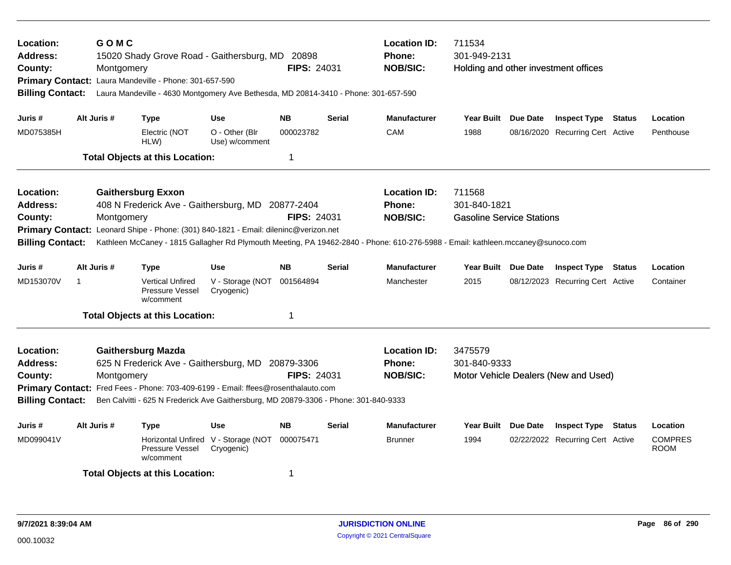| Location:<br><b>Address:</b><br>County:<br><b>Billing Contact:</b>                                                                                                                                                                                                                                                                                                    |   | GOMC<br>Montgomery | 15020 Shady Grove Road - Gaithersburg, MD 20898<br>Primary Contact: Laura Mandeville - Phone: 301-657-590<br>Laura Mandeville - 4630 Montgomery Ave Bethesda, MD 20814-3410 - Phone: 301-657-590 |                                  | <b>FIPS: 24031</b> |               | <b>Location ID:</b><br><b>Phone:</b><br><b>NOB/SIC:</b>                                                                         | 711534<br>301-949-2131<br>Holding and other investment offices |                 |                                      |               |                               |
|-----------------------------------------------------------------------------------------------------------------------------------------------------------------------------------------------------------------------------------------------------------------------------------------------------------------------------------------------------------------------|---|--------------------|--------------------------------------------------------------------------------------------------------------------------------------------------------------------------------------------------|----------------------------------|--------------------|---------------|---------------------------------------------------------------------------------------------------------------------------------|----------------------------------------------------------------|-----------------|--------------------------------------|---------------|-------------------------------|
| Juris #                                                                                                                                                                                                                                                                                                                                                               |   | Alt Juris #        | <b>Type</b>                                                                                                                                                                                      | <b>Use</b>                       | <b>NB</b>          | <b>Serial</b> | <b>Manufacturer</b>                                                                                                             | Year Built                                                     | <b>Due Date</b> | <b>Inspect Type</b>                  | <b>Status</b> | Location                      |
| MD075385H                                                                                                                                                                                                                                                                                                                                                             |   |                    | Electric (NOT<br>HLW)                                                                                                                                                                            | O - Other (Blr<br>Use) w/comment | 000023782          |               | CAM                                                                                                                             | 1988                                                           |                 | 08/16/2020 Recurring Cert Active     |               | Penthouse                     |
|                                                                                                                                                                                                                                                                                                                                                                       |   |                    | <b>Total Objects at this Location:</b>                                                                                                                                                           |                                  | $\mathbf 1$        |               |                                                                                                                                 |                                                                |                 |                                      |               |                               |
| Location:                                                                                                                                                                                                                                                                                                                                                             |   |                    | <b>Gaithersburg Exxon</b>                                                                                                                                                                        |                                  |                    |               | <b>Location ID:</b>                                                                                                             | 711568                                                         |                 |                                      |               |                               |
| <b>Address:</b>                                                                                                                                                                                                                                                                                                                                                       |   |                    | 408 N Frederick Ave - Gaithersburg, MD 20877-2404                                                                                                                                                |                                  |                    |               | Phone:                                                                                                                          | 301-840-1821                                                   |                 |                                      |               |                               |
| County:                                                                                                                                                                                                                                                                                                                                                               |   | Montgomery         |                                                                                                                                                                                                  |                                  | <b>FIPS: 24031</b> |               | <b>NOB/SIC:</b>                                                                                                                 | <b>Gasoline Service Stations</b>                               |                 |                                      |               |                               |
|                                                                                                                                                                                                                                                                                                                                                                       |   |                    | Primary Contact: Leonard Shipe - Phone: (301) 840-1821 - Email: dileninc@verizon.net                                                                                                             |                                  |                    |               |                                                                                                                                 |                                                                |                 |                                      |               |                               |
| <b>Billing Contact:</b>                                                                                                                                                                                                                                                                                                                                               |   |                    |                                                                                                                                                                                                  |                                  |                    |               | Kathleen McCaney - 1815 Gallagher Rd Plymouth Meeting, PA 19462-2840 - Phone: 610-276-5988 - Email: kathleen.mccaney@sunoco.com |                                                                |                 |                                      |               |                               |
| Juris #                                                                                                                                                                                                                                                                                                                                                               |   | Alt Juris #        | Type                                                                                                                                                                                             | <b>Use</b>                       | <b>NB</b>          | <b>Serial</b> | <b>Manufacturer</b>                                                                                                             | <b>Year Built</b>                                              | Due Date        | <b>Inspect Type</b>                  | Status        | Location                      |
| MD153070V                                                                                                                                                                                                                                                                                                                                                             | 1 |                    | <b>Vertical Unfired</b><br>Pressure Vessel<br>w/comment                                                                                                                                          | V - Storage (NOT<br>Cryogenic)   | 001564894          |               | Manchester                                                                                                                      | 2015                                                           |                 | 08/12/2023 Recurring Cert Active     |               | Container                     |
|                                                                                                                                                                                                                                                                                                                                                                       |   |                    | <b>Total Objects at this Location:</b>                                                                                                                                                           |                                  | 1                  |               |                                                                                                                                 |                                                                |                 |                                      |               |                               |
| Location:<br><b>Gaithersburg Mazda</b><br><b>Address:</b><br>625 N Frederick Ave - Gaithersburg, MD 20879-3306<br><b>FIPS: 24031</b><br>County:<br>Montgomery<br>Primary Contact: Fred Fees - Phone: 703-409-6199 - Email: ffees@rosenthalauto.com<br><b>Billing Contact:</b><br>Ben Calvitti - 625 N Frederick Ave Gaithersburg, MD 20879-3306 - Phone: 301-840-9333 |   |                    |                                                                                                                                                                                                  |                                  |                    |               | <b>Location ID:</b><br><b>Phone:</b><br><b>NOB/SIC:</b>                                                                         | 3475579<br>301-840-9333                                        |                 | Motor Vehicle Dealers (New and Used) |               |                               |
|                                                                                                                                                                                                                                                                                                                                                                       |   |                    |                                                                                                                                                                                                  |                                  |                    |               |                                                                                                                                 |                                                                |                 |                                      |               |                               |
| Juris #                                                                                                                                                                                                                                                                                                                                                               |   | Alt Juris #        | Type                                                                                                                                                                                             | <b>Use</b>                       | <b>NB</b>          | <b>Serial</b> | <b>Manufacturer</b>                                                                                                             | <b>Year Built</b>                                              | Due Date        | <b>Inspect Type Status</b>           |               | Location                      |
| MD099041V                                                                                                                                                                                                                                                                                                                                                             |   |                    | Horizontal Unfired V - Storage (NOT<br>Pressure Vessel<br>w/comment                                                                                                                              | Cryogenic)                       | 000075471          |               | <b>Brunner</b>                                                                                                                  | 1994                                                           |                 | 02/22/2022 Recurring Cert Active     |               | <b>COMPRES</b><br><b>ROOM</b> |
|                                                                                                                                                                                                                                                                                                                                                                       |   |                    | <b>Total Objects at this Location:</b>                                                                                                                                                           |                                  | 1                  |               |                                                                                                                                 |                                                                |                 |                                      |               |                               |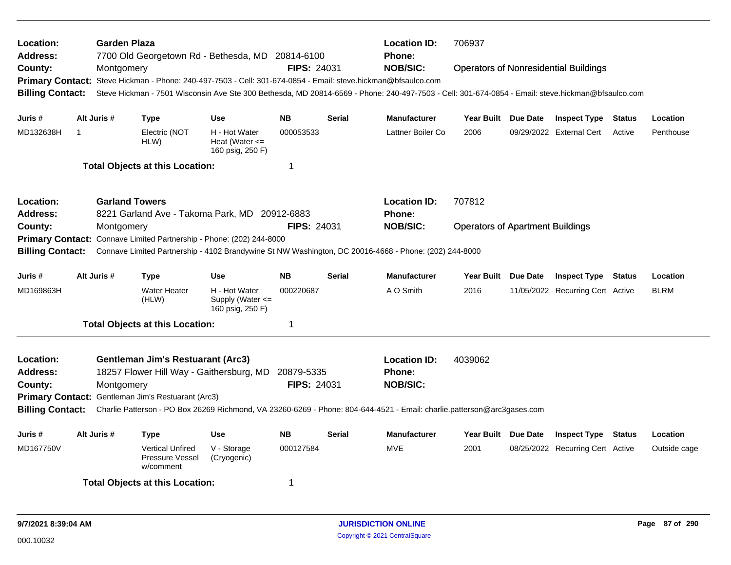| Location:<br><b>Address:</b><br>County:<br><b>Billing Contact:</b> |             | <b>Garden Plaza</b><br>Montgomery   |                                                                                                                                                       |                                                           | <b>Location ID:</b><br>7700 Old Georgetown Rd - Bethesda, MD 20814-6100<br><b>Phone:</b><br><b>NOB/SIC:</b><br>FIPS: 24031<br>Primary Contact: Steve Hickman - Phone: 240-497-7503 - Cell: 301-674-0854 - Email: steve.hickman@bfsaulco.com<br>Steve Hickman - 7501 Wisconsin Ave Ste 300 Bethesda, MD 20814-6569 - Phone: 240-497-7503 - Cell: 301-674-0854 - Email: steve.hickman@bfsaulco.com |               |                                                                                                                                                                                    | 706937<br><b>Operators of Nonresidential Buildings</b> |                 |                                  |               |              |
|--------------------------------------------------------------------|-------------|-------------------------------------|-------------------------------------------------------------------------------------------------------------------------------------------------------|-----------------------------------------------------------|--------------------------------------------------------------------------------------------------------------------------------------------------------------------------------------------------------------------------------------------------------------------------------------------------------------------------------------------------------------------------------------------------|---------------|------------------------------------------------------------------------------------------------------------------------------------------------------------------------------------|--------------------------------------------------------|-----------------|----------------------------------|---------------|--------------|
| Juris #                                                            |             | Alt Juris #                         | <b>Type</b>                                                                                                                                           | <b>Use</b>                                                | <b>NB</b>                                                                                                                                                                                                                                                                                                                                                                                        | <b>Serial</b> | <b>Manufacturer</b>                                                                                                                                                                | Year Built Due Date                                    |                 | <b>Inspect Type</b>              | Status        | Location     |
| MD132638H                                                          | $\mathbf 1$ |                                     | Electric (NOT<br>HLW)                                                                                                                                 | H - Hot Water<br>Heat (Water $\leq$<br>160 psig, 250 F)   | 000053533                                                                                                                                                                                                                                                                                                                                                                                        |               | Lattner Boiler Co                                                                                                                                                                  | 2006                                                   |                 | 09/29/2022 External Cert         | Active        | Penthouse    |
|                                                                    |             |                                     | <b>Total Objects at this Location:</b>                                                                                                                |                                                           | $\mathbf{1}$                                                                                                                                                                                                                                                                                                                                                                                     |               |                                                                                                                                                                                    |                                                        |                 |                                  |               |              |
| Location:<br><b>Address:</b><br>County:                            |             | <b>Garland Towers</b><br>Montgomery | 8221 Garland Ave - Takoma Park, MD 20912-6883                                                                                                         |                                                           | <b>FIPS: 24031</b>                                                                                                                                                                                                                                                                                                                                                                               |               | <b>Location ID:</b><br><b>Phone:</b><br><b>NOB/SIC:</b>                                                                                                                            | 707812<br><b>Operators of Apartment Buildings</b>      |                 |                                  |               |              |
| <b>Billing Contact:</b>                                            |             |                                     | Primary Contact: Connave Limited Partnership - Phone: (202) 244-8000                                                                                  |                                                           |                                                                                                                                                                                                                                                                                                                                                                                                  |               | Connave Limited Partnership - 4102 Brandywine St NW Washington, DC 20016-4668 - Phone: (202) 244-8000                                                                              |                                                        |                 |                                  |               |              |
| Juris #                                                            |             | Alt Juris #                         | <b>Type</b>                                                                                                                                           | <b>Use</b>                                                | <b>NB</b>                                                                                                                                                                                                                                                                                                                                                                                        | <b>Serial</b> | <b>Manufacturer</b>                                                                                                                                                                | Year Built                                             | <b>Due Date</b> | <b>Inspect Type</b>              | <b>Status</b> | Location     |
| MD169863H                                                          |             |                                     | <b>Water Heater</b><br>(HLW)                                                                                                                          | H - Hot Water<br>Supply (Water $\leq$<br>160 psig, 250 F) | 000220687                                                                                                                                                                                                                                                                                                                                                                                        |               | A O Smith                                                                                                                                                                          | 2016                                                   |                 | 11/05/2022 Recurring Cert Active |               | <b>BLRM</b>  |
|                                                                    |             |                                     | <b>Total Objects at this Location:</b>                                                                                                                |                                                           | 1                                                                                                                                                                                                                                                                                                                                                                                                |               |                                                                                                                                                                                    |                                                        |                 |                                  |               |              |
| Location:<br><b>Address:</b><br>County:<br><b>Billing Contact:</b> |             | Montgomery                          | <b>Gentleman Jim's Restuarant (Arc3)</b><br>18257 Flower Hill Way - Gaithersburg, MD 20879-5335<br>Primary Contact: Gentleman Jim's Restuarant (Arc3) |                                                           | <b>FIPS: 24031</b>                                                                                                                                                                                                                                                                                                                                                                               |               | <b>Location ID:</b><br><b>Phone:</b><br><b>NOB/SIC:</b><br>Charlie Patterson - PO Box 26269 Richmond, VA 23260-6269 - Phone: 804-644-4521 - Email: charlie.patterson@arc3gases.com | 4039062                                                |                 |                                  |               |              |
| Juris #                                                            |             | Alt Juris #                         | <b>Type</b>                                                                                                                                           | <b>Use</b>                                                | <b>NB</b>                                                                                                                                                                                                                                                                                                                                                                                        | <b>Serial</b> | <b>Manufacturer</b>                                                                                                                                                                | Year Built Due Date                                    |                 | <b>Inspect Type</b>              | Status        | Location     |
| MD167750V                                                          |             |                                     | <b>Vertical Unfired</b><br>Pressure Vessel<br>w/comment                                                                                               | V - Storage<br>(Cryogenic)                                | 000127584                                                                                                                                                                                                                                                                                                                                                                                        |               | <b>MVE</b>                                                                                                                                                                         | 2001                                                   |                 | 08/25/2022 Recurring Cert Active |               | Outside cage |
|                                                                    |             |                                     | <b>Total Objects at this Location:</b>                                                                                                                |                                                           | 1                                                                                                                                                                                                                                                                                                                                                                                                |               |                                                                                                                                                                                    |                                                        |                 |                                  |               |              |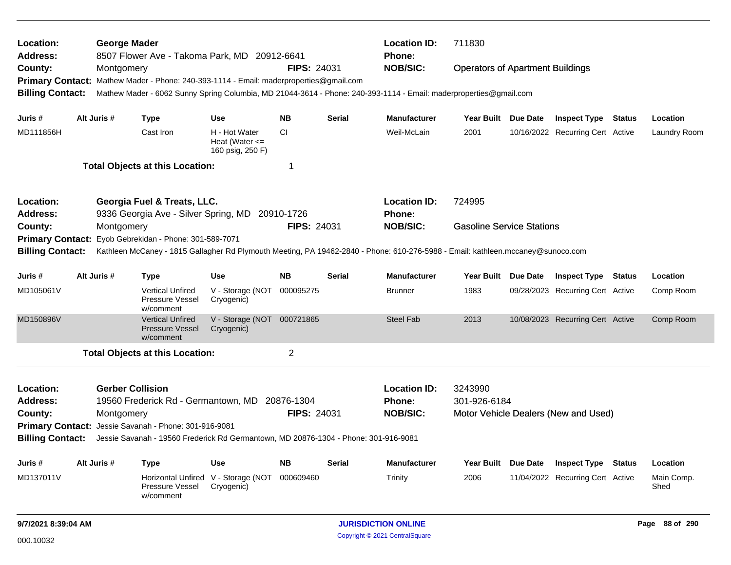| Location:<br><b>Address:</b> | <b>George Mader</b>     | 8507 Flower Ave - Takoma Park, MD 20912-6641                                                                                    |                                                         |                    |               | <b>Location ID:</b><br>Phone: | 711830                                  |          |                                      |                    |
|------------------------------|-------------------------|---------------------------------------------------------------------------------------------------------------------------------|---------------------------------------------------------|--------------------|---------------|-------------------------------|-----------------------------------------|----------|--------------------------------------|--------------------|
| County:                      | Montgomery              |                                                                                                                                 |                                                         | <b>FIPS: 24031</b> |               | <b>NOB/SIC:</b>               | <b>Operators of Apartment Buildings</b> |          |                                      |                    |
|                              |                         | Primary Contact: Mathew Mader - Phone: 240-393-1114 - Email: maderproperties@gmail.com                                          |                                                         |                    |               |                               |                                         |          |                                      |                    |
| <b>Billing Contact:</b>      |                         | Mathew Mader - 6062 Sunny Spring Columbia, MD 21044-3614 - Phone: 240-393-1114 - Email: maderproperties@gmail.com               |                                                         |                    |               |                               |                                         |          |                                      |                    |
| Juris #                      | Alt Juris #             | <b>Type</b>                                                                                                                     | <b>Use</b>                                              | <b>NB</b>          | <b>Serial</b> | <b>Manufacturer</b>           | Year Built Due Date                     |          | <b>Inspect Type Status</b>           | Location           |
| MD111856H                    |                         | Cast Iron                                                                                                                       | H - Hot Water<br>Heat (Water $\leq$<br>160 psig, 250 F) | <b>CI</b>          |               | Weil-McLain                   | 2001                                    |          | 10/16/2022 Recurring Cert Active     | Laundry Room       |
|                              |                         | <b>Total Objects at this Location:</b>                                                                                          |                                                         | 1                  |               |                               |                                         |          |                                      |                    |
| Location:                    |                         | Georgia Fuel & Treats, LLC.                                                                                                     |                                                         |                    |               | <b>Location ID:</b>           | 724995                                  |          |                                      |                    |
| <b>Address:</b>              |                         | 9336 Georgia Ave - Silver Spring, MD 20910-1726                                                                                 |                                                         |                    |               | Phone:                        |                                         |          |                                      |                    |
| County:                      | Montgomery              |                                                                                                                                 |                                                         | <b>FIPS: 24031</b> |               | <b>NOB/SIC:</b>               | <b>Gasoline Service Stations</b>        |          |                                      |                    |
| <b>Primary Contact:</b>      |                         | Eyob Gebrekidan - Phone: 301-589-7071                                                                                           |                                                         |                    |               |                               |                                         |          |                                      |                    |
| <b>Billing Contact:</b>      |                         | Kathleen McCaney - 1815 Gallagher Rd Plymouth Meeting, PA 19462-2840 - Phone: 610-276-5988 - Email: kathleen.mccaney@sunoco.com |                                                         |                    |               |                               |                                         |          |                                      |                    |
| Juris #                      | Alt Juris #             | <b>Type</b>                                                                                                                     | <b>Use</b>                                              | <b>NB</b>          | <b>Serial</b> | <b>Manufacturer</b>           | <b>Year Built</b>                       | Due Date | <b>Inspect Type Status</b>           | Location           |
| MD105061V                    |                         | <b>Vertical Unfired</b><br>Pressure Vessel<br>w/comment                                                                         | V - Storage (NOT<br>Cryogenic)                          | 000095275          |               | <b>Brunner</b>                | 1983                                    |          | 09/28/2023 Recurring Cert Active     | Comp Room          |
| MD150896V                    |                         | <b>Vertical Unfired</b><br>Pressure Vessel<br>w/comment                                                                         | V - Storage (NOT<br>Cryogenic)                          | 000721865          |               | <b>Steel Fab</b>              | 2013                                    |          | 10/08/2023 Recurring Cert Active     | Comp Room          |
|                              |                         | <b>Total Objects at this Location:</b>                                                                                          |                                                         | $\overline{2}$     |               |                               |                                         |          |                                      |                    |
| Location:                    | <b>Gerber Collision</b> |                                                                                                                                 |                                                         |                    |               | <b>Location ID:</b>           | 3243990                                 |          |                                      |                    |
| <b>Address:</b>              |                         | 19560 Frederick Rd - Germantown, MD                                                                                             |                                                         | 20876-1304         |               | Phone:                        | 301-926-6184                            |          |                                      |                    |
| County:                      | Montgomery              |                                                                                                                                 |                                                         | <b>FIPS: 24031</b> |               | <b>NOB/SIC:</b>               |                                         |          | Motor Vehicle Dealers (New and Used) |                    |
|                              |                         | Primary Contact: Jessie Savanah - Phone: 301-916-9081                                                                           |                                                         |                    |               |                               |                                         |          |                                      |                    |
| <b>Billing Contact:</b>      |                         | Jessie Savanah - 19560 Frederick Rd Germantown, MD 20876-1304 - Phone: 301-916-9081                                             |                                                         |                    |               |                               |                                         |          |                                      |                    |
| Juris #                      | Alt Juris #             | <b>Type</b>                                                                                                                     | Use                                                     | <b>NB</b>          | Serial        | <b>Manufacturer</b>           | Year Built Due Date                     |          | <b>Inspect Type Status</b>           | Location           |
| MD137011V                    |                         | <b>Horizontal Unfired</b><br>Pressure Vessel<br>w/comment                                                                       | V - Storage (NOT<br>Cryogenic)                          | 000609460          |               | Trinity                       | 2006                                    |          | 11/04/2022 Recurring Cert Active     | Main Comp.<br>Shed |
|                              |                         |                                                                                                                                 |                                                         |                    |               |                               |                                         |          |                                      |                    |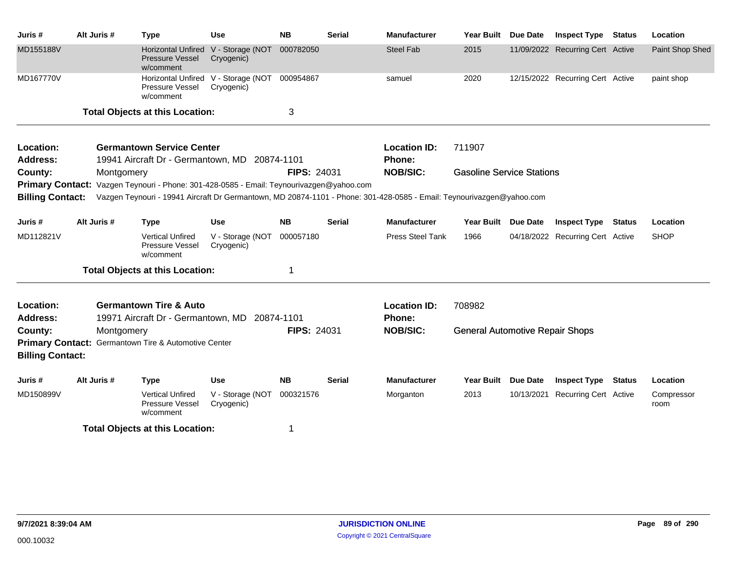| Juris #                 | Alt Juris # | <b>Type</b>                                                                                                                                                                                                       | <b>Use</b>                                                  | <b>NB</b>          | <b>Serial</b> | <b>Manufacturer</b>     | <b>Year Built</b>                      | Due Date        | <b>Inspect Type</b>              | <b>Status</b> | Location           |
|-------------------------|-------------|-------------------------------------------------------------------------------------------------------------------------------------------------------------------------------------------------------------------|-------------------------------------------------------------|--------------------|---------------|-------------------------|----------------------------------------|-----------------|----------------------------------|---------------|--------------------|
| MD155188V               |             | <b>Horizontal Unfired</b><br><b>Pressure Vessel</b><br>w/comment                                                                                                                                                  | V - Storage (NOT<br>Cryogenic)                              | 000782050          |               | <b>Steel Fab</b>        | 2015                                   |                 | 11/09/2022 Recurring Cert Active |               | Paint Shop Shed    |
| MD167770V               |             | Pressure Vessel<br>w/comment                                                                                                                                                                                      | Horizontal Unfired V - Storage (NOT 000954867<br>Cryogenic) |                    |               | samuel                  | 2020                                   |                 | 12/15/2022 Recurring Cert Active |               | paint shop         |
|                         |             | <b>Total Objects at this Location:</b>                                                                                                                                                                            |                                                             | 3                  |               |                         |                                        |                 |                                  |               |                    |
| Location:               |             | <b>Germantown Service Center</b>                                                                                                                                                                                  |                                                             |                    |               | <b>Location ID:</b>     | 711907                                 |                 |                                  |               |                    |
| <b>Address:</b>         |             | 19941 Aircraft Dr - Germantown, MD 20874-1101                                                                                                                                                                     |                                                             |                    |               | Phone:                  |                                        |                 |                                  |               |                    |
| County:                 | Montgomery  |                                                                                                                                                                                                                   |                                                             | <b>FIPS: 24031</b> |               | <b>NOB/SIC:</b>         | <b>Gasoline Service Stations</b>       |                 |                                  |               |                    |
| <b>Billing Contact:</b> |             | Primary Contact: Vazgen Teynouri - Phone: 301-428-0585 - Email: Teynourivazgen@yahoo.com<br>Vazgen Teynouri - 19941 Aircraft Dr Germantown, MD 20874-1101 - Phone: 301-428-0585 - Email: Teynourivazgen@yahoo.com |                                                             |                    |               |                         |                                        |                 |                                  |               |                    |
| Juris #                 | Alt Juris # | <b>Type</b>                                                                                                                                                                                                       | <b>Use</b>                                                  | <b>NB</b>          | <b>Serial</b> | <b>Manufacturer</b>     | <b>Year Built</b>                      | <b>Due Date</b> | <b>Inspect Type</b>              | Status        | Location           |
| MD112821V               |             | <b>Vertical Unfired</b><br>Pressure Vessel<br>w/comment                                                                                                                                                           | V - Storage (NOT<br>Cryogenic)                              | 000057180          |               | <b>Press Steel Tank</b> | 1966                                   |                 | 04/18/2022 Recurring Cert Active |               | <b>SHOP</b>        |
|                         |             | <b>Total Objects at this Location:</b>                                                                                                                                                                            |                                                             | 1                  |               |                         |                                        |                 |                                  |               |                    |
| Location:               |             | <b>Germantown Tire &amp; Auto</b>                                                                                                                                                                                 |                                                             |                    |               | <b>Location ID:</b>     | 708982                                 |                 |                                  |               |                    |
| <b>Address:</b>         |             | 19971 Aircraft Dr - Germantown, MD 20874-1101                                                                                                                                                                     |                                                             |                    |               | Phone:                  |                                        |                 |                                  |               |                    |
| County:                 | Montgomery  |                                                                                                                                                                                                                   |                                                             | <b>FIPS: 24031</b> |               | <b>NOB/SIC:</b>         | <b>General Automotive Repair Shops</b> |                 |                                  |               |                    |
|                         |             | Primary Contact: Germantown Tire & Automotive Center                                                                                                                                                              |                                                             |                    |               |                         |                                        |                 |                                  |               |                    |
| <b>Billing Contact:</b> |             |                                                                                                                                                                                                                   |                                                             |                    |               |                         |                                        |                 |                                  |               |                    |
| Juris #                 | Alt Juris # | <b>Type</b>                                                                                                                                                                                                       | <b>Use</b>                                                  | <b>NB</b>          | <b>Serial</b> | <b>Manufacturer</b>     | <b>Year Built</b>                      | <b>Due Date</b> | <b>Inspect Type</b>              | Status        | Location           |
| MD150899V               |             | <b>Vertical Unfired</b><br>Pressure Vessel<br>w/comment                                                                                                                                                           | V - Storage (NOT<br>Cryogenic)                              | 000321576          |               | Morganton               | 2013                                   |                 | 10/13/2021 Recurring Cert Active |               | Compressor<br>room |
|                         |             | <b>Total Objects at this Location:</b>                                                                                                                                                                            |                                                             | 1                  |               |                         |                                        |                 |                                  |               |                    |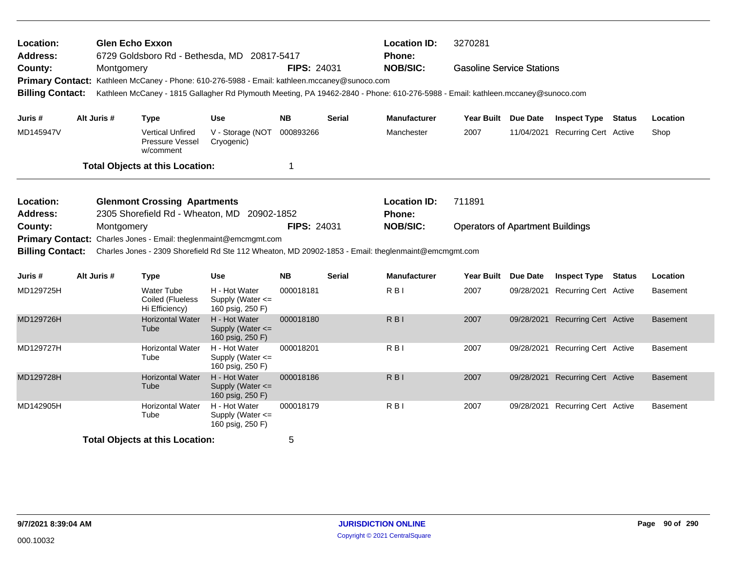| Location:<br><b>Address:</b>       |             | <b>Glen Echo Exxon</b><br>6729 Goldsboro Rd - Bethesda, MD 20817-5417                                                                                                                                                           |                                                           |                    |               | <b>Location ID:</b><br>Phone:                                                                                                                                     | 3270281                          |          |                                  |  |                 |
|------------------------------------|-------------|---------------------------------------------------------------------------------------------------------------------------------------------------------------------------------------------------------------------------------|-----------------------------------------------------------|--------------------|---------------|-------------------------------------------------------------------------------------------------------------------------------------------------------------------|----------------------------------|----------|----------------------------------|--|-----------------|
| County:<br><b>Billing Contact:</b> | Montgomery  | Primary Contact: Kathleen McCaney - Phone: 610-276-5988 - Email: kathleen.mccaney@sunoco.com<br>Kathleen McCaney - 1815 Gallagher Rd Plymouth Meeting, PA 19462-2840 - Phone: 610-276-5988 - Email: kathleen.mccaney@sunoco.com |                                                           | <b>FIPS: 24031</b> |               | <b>NOB/SIC:</b>                                                                                                                                                   | <b>Gasoline Service Stations</b> |          |                                  |  |                 |
|                                    | Alt Juris # |                                                                                                                                                                                                                                 | Use                                                       | NB.                | <b>Serial</b> | <b>Manufacturer</b>                                                                                                                                               | Year Built Due Date              |          | <b>Inspect Type Status</b>       |  | Location        |
| Juris #<br>MD145947V               |             | <b>Type</b><br><b>Vertical Unfired</b><br>Pressure Vessel<br>w/comment                                                                                                                                                          | V - Storage (NOT<br>Cryogenic)                            | 000893266          |               | Manchester                                                                                                                                                        | 2007                             |          | 11/04/2021 Recurring Cert Active |  | Shop            |
|                                    |             | <b>Total Objects at this Location:</b>                                                                                                                                                                                          |                                                           | 1                  |               |                                                                                                                                                                   |                                  |          |                                  |  |                 |
| Location:<br><b>Address:</b>       |             | <b>Glenmont Crossing Apartments</b><br>2305 Shorefield Rd - Wheaton, MD 20902-1852                                                                                                                                              |                                                           |                    |               | <b>Location ID:</b><br><b>Phone:</b>                                                                                                                              | 711891                           |          |                                  |  |                 |
| County:<br><b>Billing Contact:</b> | Montgomery  | Primary Contact: Charles Jones - Email: theglenmaint@emcmgmt.com                                                                                                                                                                |                                                           | <b>FIPS: 24031</b> |               | <b>NOB/SIC:</b><br><b>Operators of Apartment Buildings</b><br>Charles Jones - 2309 Shorefield Rd Ste 112 Wheaton, MD 20902-1853 - Email: theglenmaint@emcmgmt.com |                                  |          |                                  |  |                 |
| Juris #                            | Alt Juris # | <b>Type</b>                                                                                                                                                                                                                     | <b>Use</b>                                                | <b>NB</b>          | <b>Serial</b> | <b>Manufacturer</b>                                                                                                                                               | <b>Year Built</b>                | Due Date | <b>Inspect Type Status</b>       |  | Location        |
| MD129725H                          |             | <b>Water Tube</b><br>Coiled (Flueless<br>Hi Efficiency)                                                                                                                                                                         | H - Hot Water<br>Supply (Water <=<br>160 psig, 250 F)     | 000018181          |               | R <sub>B</sub> I                                                                                                                                                  | 2007                             |          | 09/28/2021 Recurring Cert Active |  | <b>Basement</b> |
| MD129726H                          |             | <b>Horizontal Water</b><br>Tube                                                                                                                                                                                                 | H - Hot Water<br>Supply (Water <=<br>160 psig, 250 F)     | 000018180          |               | R <sub>BI</sub>                                                                                                                                                   | 2007                             |          | 09/28/2021 Recurring Cert Active |  | <b>Basement</b> |
| MD129727H                          |             | <b>Horizontal Water</b><br>Tube                                                                                                                                                                                                 | H - Hot Water<br>Supply (Water <=<br>160 psig, 250 F)     | 000018201          |               | R <sub>B</sub>                                                                                                                                                    | 2007                             |          | 09/28/2021 Recurring Cert Active |  | <b>Basement</b> |
| MD129728H                          |             | <b>Horizontal Water</b><br>Tube                                                                                                                                                                                                 | H - Hot Water<br>Supply (Water $\leq$<br>160 psig, 250 F) | 000018186          |               | $R$ <sub>B</sub> $\vert$                                                                                                                                          | 2007                             |          | 09/28/2021 Recurring Cert Active |  | <b>Basement</b> |
| MD142905H                          |             | <b>Horizontal Water</b><br>Tube                                                                                                                                                                                                 | H - Hot Water<br>Supply (Water <=<br>160 psig, 250 F)     | 000018179          |               | R <sub>B</sub>                                                                                                                                                    | 2007                             |          | 09/28/2021 Recurring Cert Active |  | <b>Basement</b> |
|                                    |             | <b>Total Objects at this Location:</b>                                                                                                                                                                                          |                                                           | 5                  |               |                                                                                                                                                                   |                                  |          |                                  |  |                 |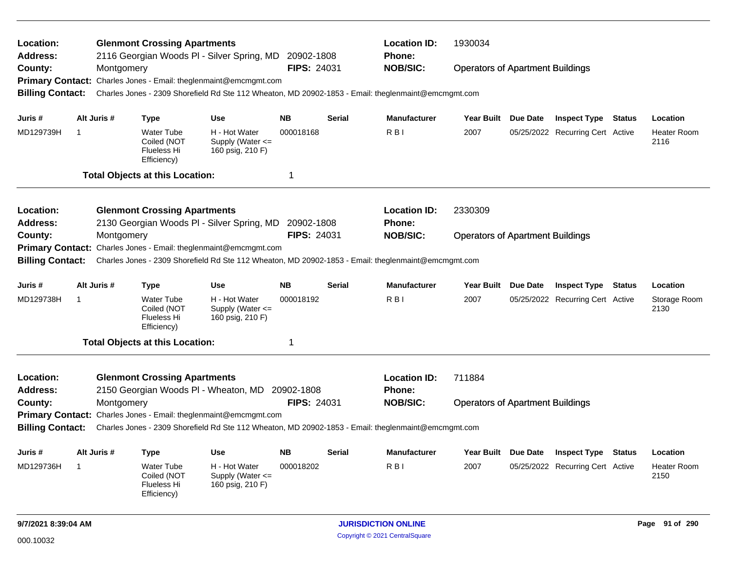| Location:<br>Address:   |                                                                            |             | <b>Glenmont Crossing Apartments</b>                                         | 2116 Georgian Woods PI - Silver Spring, MD 20902-1808                                               |                    |               | <b>Location ID:</b><br><b>Phone:</b> | 1930034                                 |  |                                  |               |                            |
|-------------------------|----------------------------------------------------------------------------|-------------|-----------------------------------------------------------------------------|-----------------------------------------------------------------------------------------------------|--------------------|---------------|--------------------------------------|-----------------------------------------|--|----------------------------------|---------------|----------------------------|
| County:                 |                                                                            | Montgomery  |                                                                             |                                                                                                     | <b>FIPS: 24031</b> |               | <b>NOB/SIC:</b>                      | <b>Operators of Apartment Buildings</b> |  |                                  |               |                            |
|                         |                                                                            |             |                                                                             | Primary Contact: Charles Jones - Email: theglenmaint@emcmgmt.com                                    |                    |               |                                      |                                         |  |                                  |               |                            |
| <b>Billing Contact:</b> |                                                                            |             |                                                                             | Charles Jones - 2309 Shorefield Rd Ste 112 Wheaton, MD 20902-1853 - Email: theglenmaint@emcmgmt.com |                    |               |                                      |                                         |  |                                  |               |                            |
| Juris #                 |                                                                            | Alt Juris # | Type                                                                        | <b>Use</b>                                                                                          | <b>NB</b>          | <b>Serial</b> | <b>Manufacturer</b>                  | Year Built Due Date                     |  | <b>Inspect Type Status</b>       |               | Location                   |
| MD129739H               | -1                                                                         |             | <b>Water Tube</b><br>Coiled (NOT<br>Flueless Hi<br>Efficiency)              | H - Hot Water<br>Supply (Water $\leq$<br>160 psig, 210 F)                                           | 000018168          |               | R <sub>BI</sub>                      | 2007                                    |  | 05/25/2022 Recurring Cert Active |               | <b>Heater Room</b><br>2116 |
|                         |                                                                            |             | <b>Total Objects at this Location:</b>                                      |                                                                                                     | 1                  |               |                                      |                                         |  |                                  |               |                            |
| Location:               |                                                                            |             | <b>Glenmont Crossing Apartments</b>                                         |                                                                                                     |                    |               | <b>Location ID:</b>                  | 2330309                                 |  |                                  |               |                            |
| Address:                |                                                                            |             |                                                                             | 2130 Georgian Woods PI - Silver Spring, MD                                                          | 20902-1808         |               | <b>Phone:</b>                        |                                         |  |                                  |               |                            |
| County:                 |                                                                            | Montgomery  |                                                                             |                                                                                                     | <b>FIPS: 24031</b> |               | <b>NOB/SIC:</b>                      | <b>Operators of Apartment Buildings</b> |  |                                  |               |                            |
|                         |                                                                            |             |                                                                             | Primary Contact: Charles Jones - Email: theglenmaint@emcmgmt.com                                    |                    |               |                                      |                                         |  |                                  |               |                            |
| <b>Billing Contact:</b> |                                                                            |             |                                                                             | Charles Jones - 2309 Shorefield Rd Ste 112 Wheaton, MD 20902-1853 - Email: theglenmaint@emcmgmt.com |                    |               |                                      |                                         |  |                                  |               |                            |
| Juris #                 |                                                                            | Alt Juris # | Type                                                                        | <b>Use</b>                                                                                          | <b>NB</b>          | Serial        | <b>Manufacturer</b>                  | Year Built Due Date                     |  | <b>Inspect Type</b>              | <b>Status</b> | Location                   |
| MD129738H               | -1                                                                         |             | <b>Water Tube</b><br>Coiled (NOT<br>Flueless Hi<br>Efficiency)              | H - Hot Water<br>Supply (Water <=<br>160 psig, 210 F)                                               | 000018192          |               | R <sub>BI</sub>                      | 2007                                    |  | 05/25/2022 Recurring Cert Active |               | Storage Room<br>2130       |
|                         |                                                                            |             | <b>Total Objects at this Location:</b>                                      |                                                                                                     | 1                  |               |                                      |                                         |  |                                  |               |                            |
| Location:<br>Address:   |                                                                            |             | <b>Glenmont Crossing Apartments</b><br>2150 Georgian Woods PI - Wheaton, MD |                                                                                                     | 20902-1808         |               | <b>Location ID:</b><br><b>Phone:</b> | 711884                                  |  |                                  |               |                            |
| County:                 |                                                                            | Montgomery  |                                                                             |                                                                                                     | FIPS: 24031        |               | <b>NOB/SIC:</b>                      | <b>Operators of Apartment Buildings</b> |  |                                  |               |                            |
|                         | <b>Primary Contact:</b><br>Charles Jones - Email: theglenmaint@emcmgmt.com |             |                                                                             |                                                                                                     |                    |               |                                      |                                         |  |                                  |               |                            |
| <b>Billing Contact:</b> |                                                                            |             |                                                                             | Charles Jones - 2309 Shorefield Rd Ste 112 Wheaton, MD 20902-1853 - Email: theglenmaint@emcmgmt.com |                    |               |                                      |                                         |  |                                  |               |                            |
| Juris #                 |                                                                            | Alt Juris # | <b>Type</b>                                                                 | <b>Use</b>                                                                                          | <b>NB</b>          | <b>Serial</b> | <b>Manufacturer</b>                  | Year Built Due Date                     |  | <b>Inspect Type</b>              | <b>Status</b> | Location                   |
| MD129736H               | -1                                                                         |             | <b>Water Tube</b><br>Coiled (NOT<br>Flueless Hi<br>Efficiency)              | H - Hot Water<br>Supply (Water <=<br>160 psig, 210 F)                                               | 000018202          |               | R <sub>B</sub>                       | 2007                                    |  | 05/25/2022 Recurring Cert Active |               | <b>Heater Room</b><br>2150 |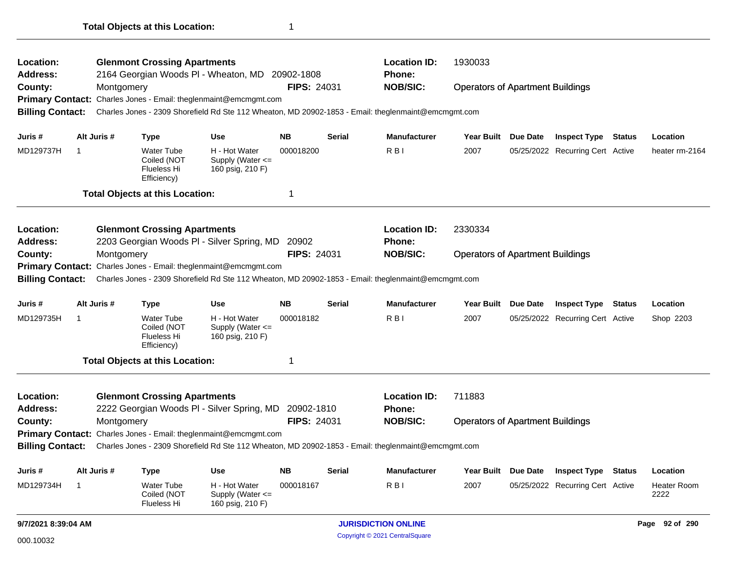| Location:<br>Address:<br>County:                                                                                               |                | Montgomery  | <b>Glenmont Crossing Apartments</b>                                   | 2164 Georgian Woods PI - Wheaton, MD                             | 20902-1808<br><b>FIPS: 24031</b> |               | <b>Location ID:</b><br><b>Phone:</b><br><b>NOB/SIC:</b>                                             | 1930033<br><b>Operators of Apartment Buildings</b> |          |                                  |  |                     |  |
|--------------------------------------------------------------------------------------------------------------------------------|----------------|-------------|-----------------------------------------------------------------------|------------------------------------------------------------------|----------------------------------|---------------|-----------------------------------------------------------------------------------------------------|----------------------------------------------------|----------|----------------------------------|--|---------------------|--|
|                                                                                                                                |                |             |                                                                       | Primary Contact: Charles Jones - Email: theglenmaint@emcmgmt.com |                                  |               |                                                                                                     |                                                    |          |                                  |  |                     |  |
| <b>Billing Contact:</b>                                                                                                        |                |             |                                                                       |                                                                  |                                  |               | Charles Jones - 2309 Shorefield Rd Ste 112 Wheaton, MD 20902-1853 - Email: theglenmaint@emcmgmt.com |                                                    |          |                                  |  |                     |  |
|                                                                                                                                |                |             |                                                                       |                                                                  |                                  |               |                                                                                                     |                                                    |          |                                  |  |                     |  |
| Juris #                                                                                                                        |                | Alt Juris # | <b>Type</b>                                                           | <b>Use</b>                                                       | <b>NB</b>                        | Serial        | <b>Manufacturer</b>                                                                                 | Year Built Due Date                                |          | <b>Inspect Type Status</b>       |  | Location            |  |
| MD129737H                                                                                                                      | $\overline{1}$ |             | <b>Water Tube</b><br>Coiled (NOT<br><b>Flueless Hi</b><br>Efficiency) | H - Hot Water<br>Supply (Water $\leq$<br>160 psig, 210 F)        | 000018200                        |               | R <sub>BI</sub>                                                                                     | 2007                                               |          | 05/25/2022 Recurring Cert Active |  | heater rm-2164      |  |
|                                                                                                                                |                |             | <b>Total Objects at this Location:</b>                                |                                                                  | 1                                |               |                                                                                                     |                                                    |          |                                  |  |                     |  |
| Location:                                                                                                                      |                |             | <b>Glenmont Crossing Apartments</b>                                   |                                                                  |                                  |               | <b>Location ID:</b>                                                                                 | 2330334                                            |          |                                  |  |                     |  |
| <b>Address:</b>                                                                                                                |                |             |                                                                       | 2203 Georgian Woods PI - Silver Spring, MD 20902                 |                                  |               | Phone:                                                                                              |                                                    |          |                                  |  |                     |  |
| County:<br>Primary Contact: Charles Jones - Email: theglenmaint@emcmgmt.com                                                    |                | Montgomery  |                                                                       |                                                                  | <b>FIPS: 24031</b>               |               | <b>NOB/SIC:</b>                                                                                     | <b>Operators of Apartment Buildings</b>            |          |                                  |  |                     |  |
|                                                                                                                                |                |             |                                                                       |                                                                  |                                  |               |                                                                                                     |                                                    |          |                                  |  |                     |  |
| <b>Billing Contact:</b>                                                                                                        |                |             |                                                                       |                                                                  |                                  |               | Charles Jones - 2309 Shorefield Rd Ste 112 Wheaton, MD 20902-1853 - Email: theglenmaint@emcmgmt.com |                                                    |          |                                  |  |                     |  |
| Juris #                                                                                                                        |                | Alt Juris # | <b>Type</b>                                                           | Use                                                              | <b>NB</b>                        | Serial        | <b>Manufacturer</b>                                                                                 | Year Built Due Date                                |          | <b>Inspect Type Status</b>       |  | Location            |  |
| MD129735H                                                                                                                      | -1             |             | <b>Water Tube</b><br>Coiled (NOT<br>Flueless Hi<br>Efficiency)        | H - Hot Water<br>Supply (Water $\leq$<br>160 psig, 210 F)        | 000018182                        |               | R <sub>BI</sub>                                                                                     | 2007                                               |          | 05/25/2022 Recurring Cert Active |  | Shop 2203           |  |
|                                                                                                                                |                |             | <b>Total Objects at this Location:</b>                                |                                                                  | 1                                |               |                                                                                                     |                                                    |          |                                  |  |                     |  |
| Location:<br>Address:                                                                                                          |                |             | <b>Glenmont Crossing Apartments</b>                                   | 2222 Georgian Woods PI - Silver Spring, MD 20902-1810            |                                  |               | <b>Location ID:</b><br><b>Phone:</b>                                                                | 711883                                             |          |                                  |  |                     |  |
| County:                                                                                                                        |                | Montgomery  |                                                                       |                                                                  | <b>FIPS: 24031</b>               |               | <b>NOB/SIC:</b>                                                                                     | <b>Operators of Apartment Buildings</b>            |          |                                  |  |                     |  |
|                                                                                                                                |                |             |                                                                       | Primary Contact: Charles Jones - Email: theglenmaint@emcmgmt.com |                                  |               |                                                                                                     |                                                    |          |                                  |  |                     |  |
| <b>Billing Contact:</b><br>Charles Jones - 2309 Shorefield Rd Ste 112 Wheaton, MD 20902-1853 - Email: theglenmaint@emcmgmt.com |                |             |                                                                       |                                                                  |                                  |               |                                                                                                     |                                                    |          |                                  |  |                     |  |
| Juris #                                                                                                                        |                | Alt Juris # | Type                                                                  | Use                                                              | <b>NB</b>                        | <b>Serial</b> | <b>Manufacturer</b>                                                                                 | <b>Year Built</b>                                  | Due Date | <b>Inspect Type Status</b>       |  | Location            |  |
| MD129734H                                                                                                                      | $\overline{1}$ |             | <b>Water Tube</b><br>Coiled (NOT<br>Flueless Hi                       | H - Hot Water<br>Supply (Water $\leq$<br>160 psig, 210 F)        | 000018167                        |               | R <sub>BI</sub>                                                                                     | 2007                                               |          | 05/25/2022 Recurring Cert Active |  | Heater Room<br>2222 |  |
| 9/7/2021 8:39:04 AM                                                                                                            |                |             |                                                                       |                                                                  |                                  |               | <b>JURISDICTION ONLINE</b><br>Page 92 of 290                                                        |                                                    |          |                                  |  |                     |  |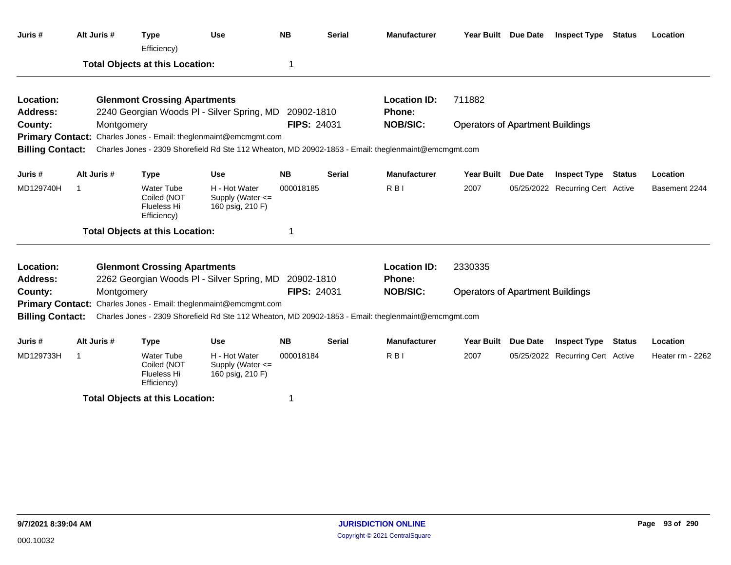| Juris #                 | Alt Juris # | <b>Type</b><br>Efficiency)                                     | <b>Use</b>                                                       | <b>NB</b>          | <b>Serial</b> | <b>Manufacturer</b>                                                                                 |                                         | Year Built Due Date | <b>Inspect Type Status</b>       |               | Location         |
|-------------------------|-------------|----------------------------------------------------------------|------------------------------------------------------------------|--------------------|---------------|-----------------------------------------------------------------------------------------------------|-----------------------------------------|---------------------|----------------------------------|---------------|------------------|
|                         |             | <b>Total Objects at this Location:</b>                         |                                                                  | 1                  |               |                                                                                                     |                                         |                     |                                  |               |                  |
| Location:               |             | <b>Glenmont Crossing Apartments</b>                            |                                                                  |                    |               | <b>Location ID:</b>                                                                                 | 711882                                  |                     |                                  |               |                  |
| Address:                |             |                                                                | 2240 Georgian Woods PI - Silver Spring, MD 20902-1810            |                    |               | <b>Phone:</b>                                                                                       |                                         |                     |                                  |               |                  |
| County:                 | Montgomery  |                                                                |                                                                  | <b>FIPS: 24031</b> |               | <b>NOB/SIC:</b>                                                                                     | <b>Operators of Apartment Buildings</b> |                     |                                  |               |                  |
|                         |             |                                                                | Primary Contact: Charles Jones - Email: theglenmaint@emcmgmt.com |                    |               |                                                                                                     |                                         |                     |                                  |               |                  |
| <b>Billing Contact:</b> |             |                                                                |                                                                  |                    |               | Charles Jones - 2309 Shorefield Rd Ste 112 Wheaton, MD 20902-1853 - Email: theglenmaint@emcmgmt.com |                                         |                     |                                  |               |                  |
| Juris #                 | Alt Juris # | <b>Type</b>                                                    | <b>Use</b>                                                       | <b>NB</b>          | <b>Serial</b> | <b>Manufacturer</b>                                                                                 |                                         | Year Built Due Date | <b>Inspect Type</b>              | <b>Status</b> | Location         |
| MD129740H               | -1          | <b>Water Tube</b><br>Coiled (NOT<br>Flueless Hi<br>Efficiency) | H - Hot Water<br>Supply (Water <=<br>160 psig, 210 F)            | 000018185          |               | R <sub>BI</sub>                                                                                     | 2007                                    |                     | 05/25/2022 Recurring Cert Active |               | Basement 2244    |
|                         |             | <b>Total Objects at this Location:</b>                         |                                                                  | 1                  |               |                                                                                                     |                                         |                     |                                  |               |                  |
| Location:               |             | <b>Glenmont Crossing Apartments</b>                            |                                                                  |                    |               | <b>Location ID:</b>                                                                                 | 2330335                                 |                     |                                  |               |                  |
| <b>Address:</b>         |             |                                                                | 2262 Georgian Woods PI - Silver Spring, MD 20902-1810            |                    |               | <b>Phone:</b>                                                                                       |                                         |                     |                                  |               |                  |
| County:                 | Montgomery  |                                                                |                                                                  | <b>FIPS: 24031</b> |               | <b>NOB/SIC:</b>                                                                                     | <b>Operators of Apartment Buildings</b> |                     |                                  |               |                  |
|                         |             |                                                                | Primary Contact: Charles Jones - Email: theglenmaint@emcmgmt.com |                    |               |                                                                                                     |                                         |                     |                                  |               |                  |
| <b>Billing Contact:</b> |             |                                                                |                                                                  |                    |               | Charles Jones - 2309 Shorefield Rd Ste 112 Wheaton, MD 20902-1853 - Email: theglenmaint@emcmgmt.com |                                         |                     |                                  |               |                  |
| Juris #                 | Alt Juris # | <b>Type</b>                                                    | <b>Use</b>                                                       | <b>NB</b>          | <b>Serial</b> | <b>Manufacturer</b>                                                                                 |                                         | Year Built Due Date | <b>Inspect Type</b>              | <b>Status</b> | Location         |
| MD129733H               | -1          | <b>Water Tube</b><br>Coiled (NOT<br>Flueless Hi<br>Efficiency) | H - Hot Water<br>Supply (Water <=<br>160 psig, 210 F)            | 000018184          |               | R <sub>BI</sub>                                                                                     | 2007                                    |                     | 05/25/2022 Recurring Cert Active |               | Heater rm - 2262 |
|                         |             | <b>Total Objects at this Location:</b>                         |                                                                  | 1                  |               |                                                                                                     |                                         |                     |                                  |               |                  |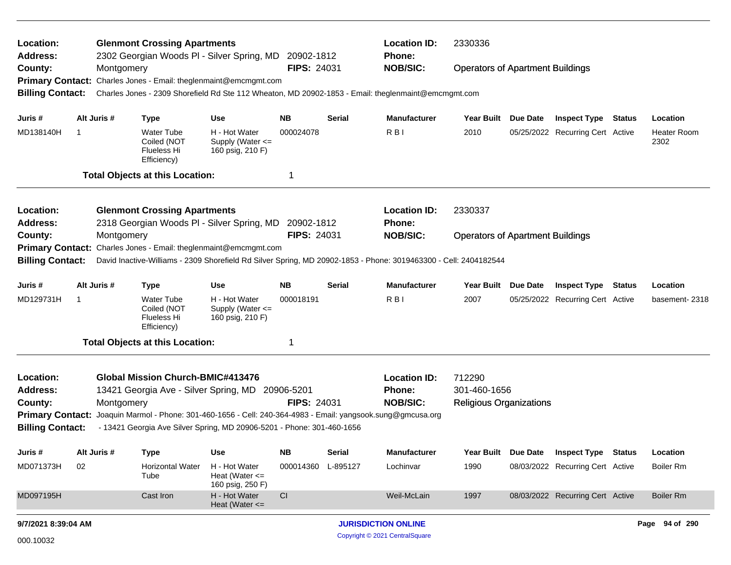| Location:<br><b>Address:</b>                                     |    |             | <b>Glenmont Crossing Apartments</b><br>2302 Georgian Woods PI - Silver Spring, MD            |                                                         | 20902-1812         |                                | <b>Location ID:</b><br>2330336<br>Phone:                                                                         |                                         |                 |                                  |        |                            |
|------------------------------------------------------------------|----|-------------|----------------------------------------------------------------------------------------------|---------------------------------------------------------|--------------------|--------------------------------|------------------------------------------------------------------------------------------------------------------|-----------------------------------------|-----------------|----------------------------------|--------|----------------------------|
| County:                                                          |    | Montgomery  |                                                                                              |                                                         | <b>FIPS: 24031</b> |                                | <b>NOB/SIC:</b>                                                                                                  | <b>Operators of Apartment Buildings</b> |                 |                                  |        |                            |
|                                                                  |    |             | Primary Contact: Charles Jones - Email: theglenmaint@emcmgmt.com                             |                                                         |                    |                                |                                                                                                                  |                                         |                 |                                  |        |                            |
| <b>Billing Contact:</b>                                          |    |             |                                                                                              |                                                         |                    |                                | Charles Jones - 2309 Shorefield Rd Ste 112 Wheaton, MD 20902-1853 - Email: theglenmaint@emcmgmt.com              |                                         |                 |                                  |        |                            |
| Juris #                                                          |    | Alt Juris # | <b>Type</b>                                                                                  | <b>Use</b>                                              | <b>NB</b>          | <b>Serial</b>                  | <b>Manufacturer</b>                                                                                              | Year Built                              | <b>Due Date</b> | <b>Inspect Type Status</b>       |        | Location                   |
| MD138140H                                                        | 1  |             | <b>Water Tube</b><br>Coiled (NOT<br>Flueless Hi<br>Efficiency)                               | H - Hot Water<br>Supply (Water <=<br>160 psig, 210 F)   | 000024078          |                                | R <sub>B</sub>                                                                                                   | 2010                                    |                 | 05/25/2022 Recurring Cert Active |        | <b>Heater Room</b><br>2302 |
|                                                                  |    |             | <b>Total Objects at this Location:</b>                                                       |                                                         | -1                 |                                |                                                                                                                  |                                         |                 |                                  |        |                            |
| Location:<br><b>Address:</b>                                     |    |             | <b>Glenmont Crossing Apartments</b><br>2318 Georgian Woods PI - Silver Spring, MD 20902-1812 |                                                         |                    |                                | <b>Location ID:</b><br>Phone:                                                                                    | 2330337                                 |                 |                                  |        |                            |
| County:<br>Montgomery                                            |    |             |                                                                                              | <b>FIPS: 24031</b>                                      |                    | <b>NOB/SIC:</b>                | <b>Operators of Apartment Buildings</b>                                                                          |                                         |                 |                                  |        |                            |
| Primary Contact: Charles Jones - Email: theglenmaint@emcmgmt.com |    |             |                                                                                              |                                                         |                    |                                |                                                                                                                  |                                         |                 |                                  |        |                            |
| <b>Billing Contact:</b>                                          |    |             |                                                                                              |                                                         |                    |                                | David Inactive-Williams - 2309 Shorefield Rd Silver Spring, MD 20902-1853 - Phone: 3019463300 - Cell: 2404182544 |                                         |                 |                                  |        |                            |
| Juris #                                                          |    | Alt Juris # | <b>Type</b>                                                                                  | <b>Use</b>                                              | <b>NB</b>          | <b>Serial</b>                  | <b>Manufacturer</b>                                                                                              | <b>Year Built</b>                       | <b>Due Date</b> | <b>Inspect Type</b>              | Status | Location                   |
| MD129731H                                                        | -1 |             | <b>Water Tube</b><br>Coiled (NOT<br>Flueless Hi<br>Efficiency)                               | H - Hot Water<br>Supply (Water <=<br>160 psig, 210 F)   | 000018191          |                                | R <sub>B</sub>                                                                                                   | 2007                                    |                 | 05/25/2022 Recurring Cert Active |        | basement-2318              |
|                                                                  |    |             | <b>Total Objects at this Location:</b>                                                       |                                                         | -1                 |                                |                                                                                                                  |                                         |                 |                                  |        |                            |
| Location:                                                        |    |             | <b>Global Mission Church-BMIC#413476</b>                                                     |                                                         |                    |                                | <b>Location ID:</b>                                                                                              | 712290                                  |                 |                                  |        |                            |
| <b>Address:</b>                                                  |    |             | 13421 Georgia Ave - Silver Spring, MD 20906-5201                                             |                                                         |                    |                                | <b>Phone:</b>                                                                                                    | 301-460-1656                            |                 |                                  |        |                            |
| County:                                                          |    | Montgomery  |                                                                                              |                                                         | <b>FIPS: 24031</b> |                                | <b>NOB/SIC:</b>                                                                                                  | <b>Religious Organizations</b>          |                 |                                  |        |                            |
| <b>Primary Contact:</b>                                          |    |             |                                                                                              |                                                         |                    |                                | Joaquin Marmol - Phone: 301-460-1656 - Cell: 240-364-4983 - Email: yangsook.sung@gmcusa.org                      |                                         |                 |                                  |        |                            |
| <b>Billing Contact:</b>                                          |    |             | - 13421 Georgia Ave Silver Spring, MD 20906-5201 - Phone: 301-460-1656                       |                                                         |                    |                                |                                                                                                                  |                                         |                 |                                  |        |                            |
| Juris#                                                           |    | Alt Juris # | <b>Type</b>                                                                                  | Use                                                     | <b>NB</b>          | <b>Serial</b>                  | <b>Manufacturer</b>                                                                                              | <b>Year Built</b>                       | Due Date        | <b>Inspect Type Status</b>       |        | Location                   |
| MD071373H                                                        | 02 |             | <b>Horizontal Water</b><br>Tube                                                              | H - Hot Water<br>Heat (Water $\leq$<br>160 psig, 250 F) | 000014360          | L-895127                       | Lochinvar                                                                                                        | 1990                                    |                 | 08/03/2022 Recurring Cert Active |        | Boiler Rm                  |
| MD097195H                                                        |    |             | Cast Iron                                                                                    | H - Hot Water<br>Heat (Water $\leq$                     | CI                 |                                | Weil-McLain                                                                                                      | 1997                                    |                 | 08/03/2022 Recurring Cert Active |        | <b>Boiler Rm</b>           |
| 9/7/2021 8:39:04 AM                                              |    |             |                                                                                              |                                                         |                    |                                | <b>JURISDICTION ONLINE</b>                                                                                       |                                         |                 |                                  |        | Page 94 of 290             |
| 000.10032                                                        |    |             |                                                                                              |                                                         |                    | Copyright © 2021 CentralSquare |                                                                                                                  |                                         |                 |                                  |        |                            |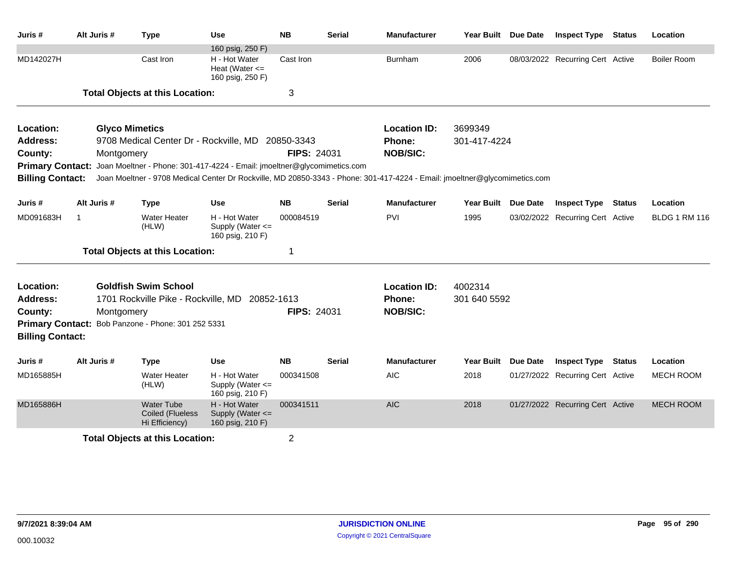| Juris #                                            | Alt Juris #                            | <b>Type</b>                                                                               | Use                                                   | <b>NB</b>          | <b>Serial</b> | <b>Manufacturer</b>                                                                                                        | Year Built Due Date |                 | <b>Inspect Type</b>              | Status | Location             |
|----------------------------------------------------|----------------------------------------|-------------------------------------------------------------------------------------------|-------------------------------------------------------|--------------------|---------------|----------------------------------------------------------------------------------------------------------------------------|---------------------|-----------------|----------------------------------|--------|----------------------|
| MD142027H                                          |                                        | Cast Iron                                                                                 | 160 psig, 250 F)<br>H - Hot Water                     | Cast Iron          |               | <b>Burnham</b>                                                                                                             | 2006                |                 | 08/03/2022 Recurring Cert Active |        | <b>Boiler Room</b>   |
|                                                    |                                        |                                                                                           | Heat (Water $\leq$<br>160 psig, 250 F)                |                    |               |                                                                                                                            |                     |                 |                                  |        |                      |
|                                                    |                                        | <b>Total Objects at this Location:</b>                                                    |                                                       | 3                  |               |                                                                                                                            |                     |                 |                                  |        |                      |
| Location:                                          |                                        | <b>Glyco Mimetics</b>                                                                     |                                                       |                    |               | <b>Location ID:</b>                                                                                                        | 3699349             |                 |                                  |        |                      |
| <b>Address:</b>                                    |                                        | 9708 Medical Center Dr - Rockville, MD 20850-3343                                         |                                                       |                    |               | Phone:                                                                                                                     | 301-417-4224        |                 |                                  |        |                      |
| County:                                            | Montgomery                             |                                                                                           |                                                       | <b>FIPS: 24031</b> |               | <b>NOB/SIC:</b>                                                                                                            |                     |                 |                                  |        |                      |
|                                                    |                                        | Primary Contact: Joan Moeltner - Phone: 301-417-4224 - Email: jmoeltner@glycomimetics.com |                                                       |                    |               |                                                                                                                            |                     |                 |                                  |        |                      |
| <b>Billing Contact:</b>                            |                                        |                                                                                           |                                                       |                    |               | Joan Moeltner - 9708 Medical Center Dr Rockville, MD 20850-3343 - Phone: 301-417-4224 - Email: jmoeltner@glycomimetics.com |                     |                 |                                  |        |                      |
| Juris#                                             | Alt Juris #                            | <b>Type</b>                                                                               | <b>Use</b>                                            | <b>NB</b>          | <b>Serial</b> | <b>Manufacturer</b>                                                                                                        | <b>Year Built</b>   | <b>Due Date</b> | <b>Inspect Type Status</b>       |        | Location             |
| MD091683H                                          | $\mathbf{1}$                           | <b>Water Heater</b><br>(HLW)                                                              | H - Hot Water<br>Supply (Water <=<br>160 psig, 210 F) | 000084519          |               | PVI                                                                                                                        | 1995                |                 | 03/02/2022 Recurring Cert Active |        | <b>BLDG 1 RM 116</b> |
|                                                    |                                        | <b>Total Objects at this Location:</b>                                                    |                                                       | 1                  |               |                                                                                                                            |                     |                 |                                  |        |                      |
| Location:                                          |                                        | <b>Goldfish Swim School</b>                                                               |                                                       |                    |               | <b>Location ID:</b>                                                                                                        | 4002314             |                 |                                  |        |                      |
| <b>Address:</b>                                    |                                        | 1701 Rockville Pike - Rockville, MD                                                       | 20852-1613                                            |                    |               | Phone:                                                                                                                     | 301 640 5592        |                 |                                  |        |                      |
| County:                                            | Montgomery                             |                                                                                           |                                                       | <b>FIPS: 24031</b> |               | <b>NOB/SIC:</b>                                                                                                            |                     |                 |                                  |        |                      |
| <b>Primary Contact:</b><br><b>Billing Contact:</b> |                                        | Bob Panzone - Phone: 301 252 5331                                                         |                                                       |                    |               |                                                                                                                            |                     |                 |                                  |        |                      |
| Juris#                                             | Alt Juris #                            | <b>Type</b>                                                                               | <b>Use</b>                                            | <b>NB</b>          | <b>Serial</b> | <b>Manufacturer</b>                                                                                                        | <b>Year Built</b>   | Due Date        | <b>Inspect Type Status</b>       |        | Location             |
| MD165885H                                          |                                        | <b>Water Heater</b><br>(HLW)                                                              | H - Hot Water<br>Supply (Water <=<br>160 psig, 210 F) | 000341508          |               | <b>AIC</b>                                                                                                                 | 2018                |                 | 01/27/2022 Recurring Cert Active |        | <b>MECH ROOM</b>     |
| MD165886H                                          |                                        | <b>Water Tube</b><br>Coiled (Flueless<br>Hi Efficiency)                                   | H - Hot Water<br>Supply (Water <=<br>160 psig, 210 F) | 000341511          |               | <b>AIC</b>                                                                                                                 | 2018                |                 | 01/27/2022 Recurring Cert Active |        | <b>MECH ROOM</b>     |
|                                                    | <b>Total Objects at this Location:</b> |                                                                                           | 2                                                     |                    |               |                                                                                                                            |                     |                 |                                  |        |                      |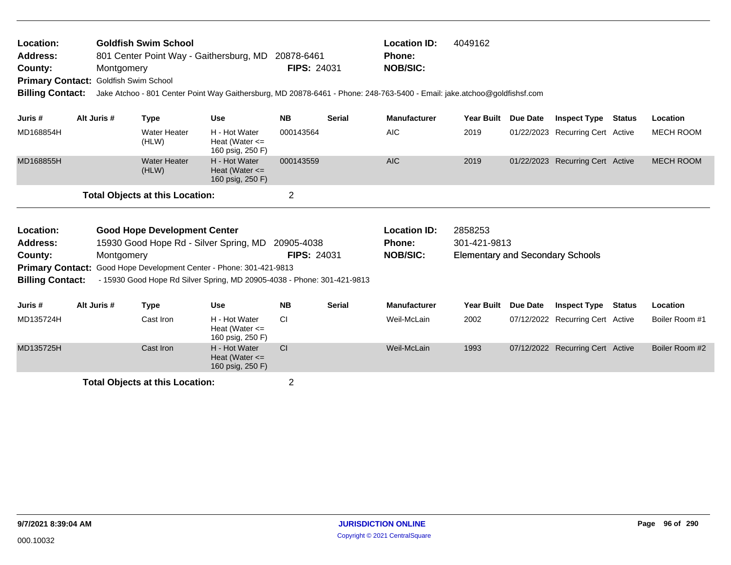| <b>Location:</b> | <b>Goldfish Swim School</b>                        |                    | <b>Location ID:</b> | 4049162 |
|------------------|----------------------------------------------------|--------------------|---------------------|---------|
| Address:         | 801 Center Point Way - Gaithersburg, MD 20878-6461 |                    | Phone:              |         |
| County:          | Montgomery                                         | <b>FIPS: 24031</b> | <b>NOB/SIC:</b>     |         |
|                  | <b>Primary Contact: Goldfish Swim School</b>       |                    |                     |         |

**Billing Contact:** Jake Atchoo - 801 Center Point Way Gaithersburg, MD 20878-6461 - Phone: 248-763-5400 - Email: jake.atchoo@goldfishsf.com

| Juris #   | Alt Juris # | Type                                   | <b>Use</b>                                              | <b>NB</b> | <b>Serial</b> | <b>Manufacturer</b> | <b>Year Built</b> | <b>Due Date</b> | <b>Inspect Type</b>              | Status | Location  |
|-----------|-------------|----------------------------------------|---------------------------------------------------------|-----------|---------------|---------------------|-------------------|-----------------|----------------------------------|--------|-----------|
| MD168854H |             | <b>Water Heater</b><br>(HLW)           | H - Hot Water<br>Heat (Water $\leq$<br>160 psig, 250 F) | 000143564 |               | <b>AIC</b>          | 2019              |                 | 01/22/2023 Recurring Cert Active |        | MECH ROOM |
| MD168855H |             | <b>Water Heater</b><br>(HLW)           | H - Hot Water<br>Heat (Water $\leq$<br>160 psig, 250 F) | 000143559 |               | <b>AIC</b>          | 2019              |                 | 01/22/2023 Recurring Cert Active |        | MECH ROOM |
|           |             | <b>Total Objects at this Location:</b> |                                                         |           |               |                     |                   |                 |                                  |        |           |

| <b>Location:</b>        | <b>Good Hope Development Center</b>                                        |                    | <b>Location ID:</b> | 2858253                                 |
|-------------------------|----------------------------------------------------------------------------|--------------------|---------------------|-----------------------------------------|
| Address:                | 15930 Good Hope Rd - Silver Spring, MD                                     | 20905-4038         | <b>Phone:</b>       | 301-421-9813                            |
| County:                 | Montaomerv                                                                 | <b>FIPS: 24031</b> | <b>NOB/SIC:</b>     | <b>Elementary and Secondary Schools</b> |
|                         | <b>Primary Contact:</b> Good Hope Development Center - Phone: 301-421-9813 |                    |                     |                                         |
| <b>Billing Contact:</b> | - 15930 Good Hope Rd Silver Spring, MD 20905-4038 - Phone: 301-421-9813    |                    |                     |                                         |

| Juris #   | Alt Juris # | Type      | <b>Use</b>                                              | <b>NB</b>     | <b>Serial</b> | <b>Manufacturer</b> | <b>Year Built</b> | <b>Due Date</b> | <b>Inspect Type</b>              | Status | Location       |
|-----------|-------------|-----------|---------------------------------------------------------|---------------|---------------|---------------------|-------------------|-----------------|----------------------------------|--------|----------------|
| MD135724H |             | Cast Iron | H - Hot Water<br>Heat (Water $\leq$<br>160 psig, 250 F) | CI.           |               | Weil-McLain         | 2002              |                 | 07/12/2022 Recurring Cert Active |        | Boiler Room #1 |
| MD135725H |             | Cast Iron | H - Hot Water<br>Heat (Water $\leq$<br>160 psig, 250 F) | <sub>CI</sub> |               | Weil-McLain         | 1993              |                 | 07/12/2022 Recurring Cert Active |        | Boiler Room #2 |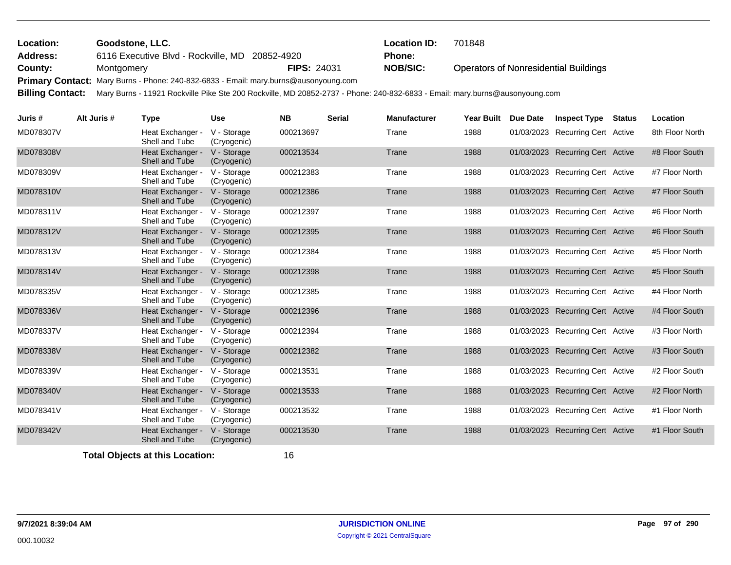| Location: | <b>Goodstone, LLC.</b>                                                               |                    | <b>Location ID:</b> | 701848                                       |
|-----------|--------------------------------------------------------------------------------------|--------------------|---------------------|----------------------------------------------|
| Address:  | 6116 Executive Blvd - Rockville, MD 20852-4920                                       |                    | Phone:              |                                              |
| County:   | Montaomerv                                                                           | <b>FIPS: 24031</b> | <b>NOB/SIC:</b>     | <b>Operators of Nonresidential Buildings</b> |
|           | Primary Contact: Mary Burns - Phone: 240-832-6833 - Email: mary.burns@ausonyoung.com |                    |                     |                                              |

**Billing Contact:** Mary Burns - 11921 Rockville Pike Ste 200 Rockville, MD 20852-2737 - Phone: 240-832-6833 - Email: mary.burns@ausonyoung.com

| Juris #   | Alt Juris # | <b>Type</b>                        | <b>Use</b>                 | <b>NB</b> | <b>Serial</b> | <b>Manufacturer</b> | Year Built | Due Date   | <b>Inspect Type</b>              | <b>Status</b> | Location        |
|-----------|-------------|------------------------------------|----------------------------|-----------|---------------|---------------------|------------|------------|----------------------------------|---------------|-----------------|
| MD078307V |             | Heat Exchanger -<br>Shell and Tube | V - Storage<br>(Cryogenic) | 000213697 |               | Trane               | 1988       | 01/03/2023 | <b>Recurring Cert Active</b>     |               | 8th Floor North |
| MD078308V |             | Heat Exchanger -<br>Shell and Tube | V - Storage<br>(Cryogenic) | 000213534 |               | Trane               | 1988       |            | 01/03/2023 Recurring Cert Active |               | #8 Floor South  |
| MD078309V |             | Heat Exchanger -<br>Shell and Tube | V - Storage<br>(Cryogenic) | 000212383 |               | Trane               | 1988       |            | 01/03/2023 Recurring Cert Active |               | #7 Floor North  |
| MD078310V |             | Heat Exchanger -<br>Shell and Tube | V - Storage<br>(Cryogenic) | 000212386 |               | Trane               | 1988       |            | 01/03/2023 Recurring Cert Active |               | #7 Floor South  |
| MD078311V |             | Heat Exchanger -<br>Shell and Tube | V - Storage<br>(Cryogenic) | 000212397 |               | Trane               | 1988       |            | 01/03/2023 Recurring Cert Active |               | #6 Floor North  |
| MD078312V |             | Heat Exchanger -<br>Shell and Tube | V - Storage<br>(Cryogenic) | 000212395 |               | Trane               | 1988       | 01/03/2023 | <b>Recurring Cert Active</b>     |               | #6 Floor South  |
| MD078313V |             | Heat Exchanger -<br>Shell and Tube | V - Storage<br>(Cryogenic) | 000212384 |               | Trane               | 1988       |            | 01/03/2023 Recurring Cert Active |               | #5 Floor North  |
| MD078314V |             | Heat Exchanger -<br>Shell and Tube | V - Storage<br>(Cryogenic) | 000212398 |               | Trane               | 1988       |            | 01/03/2023 Recurring Cert Active |               | #5 Floor South  |
| MD078335V |             | Heat Exchanger -<br>Shell and Tube | V - Storage<br>(Cryogenic) | 000212385 |               | Trane               | 1988       |            | 01/03/2023 Recurring Cert Active |               | #4 Floor North  |
| MD078336V |             | Heat Exchanger -<br>Shell and Tube | V - Storage<br>(Cryogenic) | 000212396 |               | Trane               | 1988       |            | 01/03/2023 Recurring Cert Active |               | #4 Floor South  |
| MD078337V |             | Heat Exchanger -<br>Shell and Tube | V - Storage<br>(Cryogenic) | 000212394 |               | Trane               | 1988       |            | 01/03/2023 Recurring Cert Active |               | #3 Floor North  |
| MD078338V |             | Heat Exchanger -<br>Shell and Tube | V - Storage<br>(Cryogenic) | 000212382 |               | Trane               | 1988       |            | 01/03/2023 Recurring Cert Active |               | #3 Floor South  |
| MD078339V |             | Heat Exchanger -<br>Shell and Tube | V - Storage<br>(Cryogenic) | 000213531 |               | Trane               | 1988       |            | 01/03/2023 Recurring Cert Active |               | #2 Floor South  |
| MD078340V |             | Heat Exchanger -<br>Shell and Tube | V - Storage<br>(Cryogenic) | 000213533 |               | Trane               | 1988       |            | 01/03/2023 Recurring Cert Active |               | #2 Floor North  |
| MD078341V |             | Heat Exchanger -<br>Shell and Tube | V - Storage<br>(Cryogenic) | 000213532 |               | Trane               | 1988       |            | 01/03/2023 Recurring Cert Active |               | #1 Floor North  |
| MD078342V |             | Heat Exchanger -<br>Shell and Tube | V - Storage<br>(Cryogenic) | 000213530 |               | Trane               | 1988       |            | 01/03/2023 Recurring Cert Active |               | #1 Floor South  |
|           |             |                                    |                            |           |               |                     |            |            |                                  |               |                 |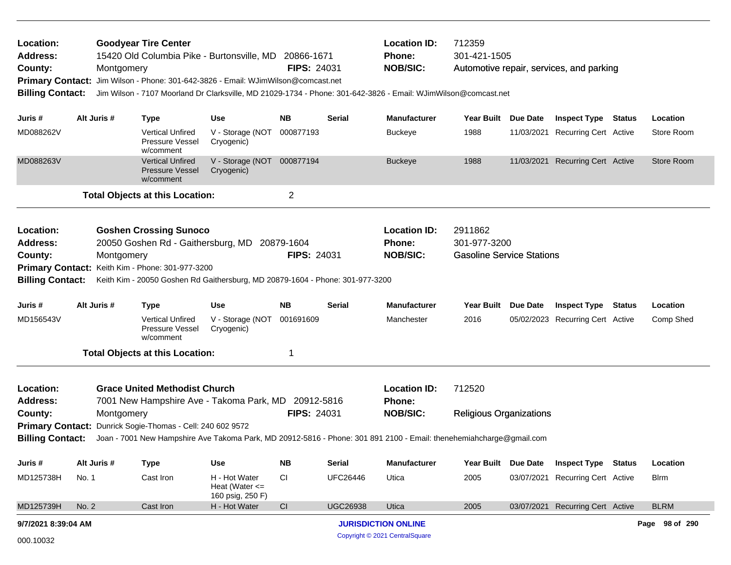| Location:<br><b>Address:</b><br>County:<br><b>Primary Contact:</b><br><b>Billing Contact:</b>                                                                                                                                                                                                                                                                                                                                                    |                                                                                                                                                                                                              | Montgomery | <b>Goodyear Tire Center</b><br>15420 Old Columbia Pike - Burtonsville, MD 20866-1671<br>Jim Wilson - Phone: 301-642-3826 - Email: WJimWilson@comcast.net |                                                         | <b>FIPS: 24031</b> |                 | <b>Location ID:</b><br>Phone:<br><b>NOB/SIC:</b> | 712359<br>301-421-1505<br>Automotive repair, services, and parking<br>Jim Wilson - 7107 Moorland Dr Clarksville, MD 21029-1734 - Phone: 301-642-3826 - Email: WJimWilson@comcast.net |                 |                                  |               |                |  |
|--------------------------------------------------------------------------------------------------------------------------------------------------------------------------------------------------------------------------------------------------------------------------------------------------------------------------------------------------------------------------------------------------------------------------------------------------|--------------------------------------------------------------------------------------------------------------------------------------------------------------------------------------------------------------|------------|----------------------------------------------------------------------------------------------------------------------------------------------------------|---------------------------------------------------------|--------------------|-----------------|--------------------------------------------------|--------------------------------------------------------------------------------------------------------------------------------------------------------------------------------------|-----------------|----------------------------------|---------------|----------------|--|
| Juris #                                                                                                                                                                                                                                                                                                                                                                                                                                          | Alt Juris #                                                                                                                                                                                                  |            | <b>Type</b>                                                                                                                                              | Use                                                     | <b>NB</b>          | <b>Serial</b>   | <b>Manufacturer</b>                              | Year Built Due Date                                                                                                                                                                  |                 | <b>Inspect Type Status</b>       |               | Location       |  |
| MD088262V                                                                                                                                                                                                                                                                                                                                                                                                                                        |                                                                                                                                                                                                              |            | <b>Vertical Unfired</b><br>Pressure Vessel<br>w/comment                                                                                                  | V - Storage (NOT 000877193<br>Cryogenic)                |                    |                 | <b>Buckeye</b>                                   | 1988                                                                                                                                                                                 |                 | 11/03/2021 Recurring Cert Active |               | Store Room     |  |
| MD088263V                                                                                                                                                                                                                                                                                                                                                                                                                                        |                                                                                                                                                                                                              |            | <b>Vertical Unfired</b><br><b>Pressure Vessel</b><br>w/comment                                                                                           | V - Storage (NOT 000877194<br>Cryogenic)                |                    |                 | <b>Buckeye</b>                                   | 1988                                                                                                                                                                                 |                 | 11/03/2021 Recurring Cert Active |               | Store Room     |  |
|                                                                                                                                                                                                                                                                                                                                                                                                                                                  |                                                                                                                                                                                                              |            | <b>Total Objects at this Location:</b>                                                                                                                   |                                                         | 2                  |                 |                                                  |                                                                                                                                                                                      |                 |                                  |               |                |  |
| Location:<br><b>Goshen Crossing Sunoco</b><br><b>Location ID:</b><br>2911862<br><b>Address:</b><br>20050 Goshen Rd - Gaithersburg, MD 20879-1604<br>301-977-3200<br>Phone:<br><b>FIPS: 24031</b><br><b>NOB/SIC:</b><br><b>Gasoline Service Stations</b><br>County:<br>Montgomery<br>Primary Contact: Keith Kim - Phone: 301-977-3200<br><b>Billing Contact:</b><br>Keith Kim - 20050 Goshen Rd Gaithersburg, MD 20879-1604 - Phone: 301-977-3200 |                                                                                                                                                                                                              |            |                                                                                                                                                          |                                                         |                    |                 |                                                  |                                                                                                                                                                                      |                 |                                  |               |                |  |
| Juris #                                                                                                                                                                                                                                                                                                                                                                                                                                          | Alt Juris #                                                                                                                                                                                                  |            | <b>Type</b>                                                                                                                                              | Use                                                     | <b>NB</b>          | Serial          | Manufacturer                                     | Year Built                                                                                                                                                                           | <b>Due Date</b> | <b>Inspect Type</b>              | <b>Status</b> | Location       |  |
| MD156543V                                                                                                                                                                                                                                                                                                                                                                                                                                        |                                                                                                                                                                                                              |            | <b>Vertical Unfired</b><br>Pressure Vessel<br>w/comment                                                                                                  | V - Storage (NOT 001691609<br>Cryogenic)                |                    |                 | Manchester                                       | 2016                                                                                                                                                                                 |                 | 05/02/2023 Recurring Cert Active |               | Comp Shed      |  |
|                                                                                                                                                                                                                                                                                                                                                                                                                                                  |                                                                                                                                                                                                              |            | <b>Total Objects at this Location:</b>                                                                                                                   |                                                         | 1                  |                 |                                                  |                                                                                                                                                                                      |                 |                                  |               |                |  |
| Location:<br>Address:                                                                                                                                                                                                                                                                                                                                                                                                                            |                                                                                                                                                                                                              |            | <b>Grace United Methodist Church</b><br>7001 New Hampshire Ave - Takoma Park, MD 20912-5816                                                              |                                                         |                    |                 | <b>Location ID:</b><br><b>Phone:</b>             | 712520                                                                                                                                                                               |                 |                                  |               |                |  |
| County:                                                                                                                                                                                                                                                                                                                                                                                                                                          |                                                                                                                                                                                                              | Montgomery |                                                                                                                                                          |                                                         | <b>FIPS: 24031</b> |                 | <b>NOB/SIC:</b>                                  | <b>Religious Organizations</b>                                                                                                                                                       |                 |                                  |               |                |  |
|                                                                                                                                                                                                                                                                                                                                                                                                                                                  | Primary Contact: Dunrick Sogie-Thomas - Cell: 240 602 9572<br><b>Billing Contact:</b><br>Joan - 7001 New Hampshire Ave Takoma Park, MD 20912-5816 - Phone: 301 891 2100 - Email: thenehemiahcharge@gmail.com |            |                                                                                                                                                          |                                                         |                    |                 |                                                  |                                                                                                                                                                                      |                 |                                  |               |                |  |
| Juris #                                                                                                                                                                                                                                                                                                                                                                                                                                          | Alt Juris #                                                                                                                                                                                                  |            | <b>Type</b>                                                                                                                                              | Use                                                     | <b>NB</b>          | <b>Serial</b>   | <b>Manufacturer</b>                              | <b>Year Built</b>                                                                                                                                                                    | Due Date        | <b>Inspect Type Status</b>       |               | Location       |  |
| MD125738H                                                                                                                                                                                                                                                                                                                                                                                                                                        | No. 1                                                                                                                                                                                                        |            | Cast Iron                                                                                                                                                | H - Hot Water<br>Heat (Water $\leq$<br>160 psig, 250 F) | <b>CI</b>          | <b>UFC26446</b> | Utica                                            | 2005                                                                                                                                                                                 |                 | 03/07/2021 Recurring Cert Active |               | <b>Blrm</b>    |  |
| MD125739H                                                                                                                                                                                                                                                                                                                                                                                                                                        | No. 2                                                                                                                                                                                                        |            | Cast Iron                                                                                                                                                | H - Hot Water                                           | CI                 | <b>UGC26938</b> | <b>Utica</b>                                     | 2005                                                                                                                                                                                 |                 | 03/07/2021 Recurring Cert Active |               | <b>BLRM</b>    |  |
| 9/7/2021 8:39:04 AM                                                                                                                                                                                                                                                                                                                                                                                                                              |                                                                                                                                                                                                              |            |                                                                                                                                                          |                                                         |                    |                 | <b>JURISDICTION ONLINE</b>                       |                                                                                                                                                                                      |                 |                                  |               | Page 98 of 290 |  |
| 000.10032                                                                                                                                                                                                                                                                                                                                                                                                                                        |                                                                                                                                                                                                              |            |                                                                                                                                                          |                                                         |                    |                 | Copyright © 2021 CentralSquare                   |                                                                                                                                                                                      |                 |                                  |               |                |  |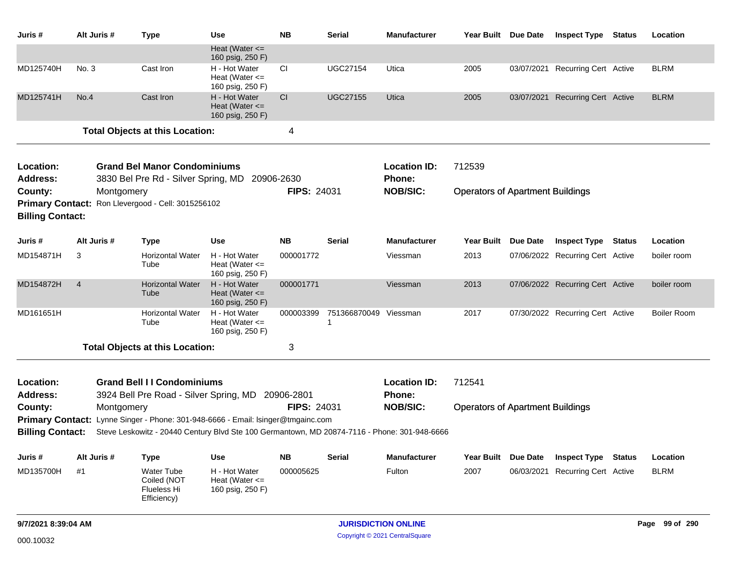| Juris #                            | Alt Juris #    | <b>Type</b>                                                                                                                                                                      | Use                                                     | <b>NB</b>          | <b>Serial</b>         | <b>Manufacturer</b>                  | Year Built Due Date                     |                 | <b>Inspect Type</b>              | <b>Status</b> | Location           |
|------------------------------------|----------------|----------------------------------------------------------------------------------------------------------------------------------------------------------------------------------|---------------------------------------------------------|--------------------|-----------------------|--------------------------------------|-----------------------------------------|-----------------|----------------------------------|---------------|--------------------|
|                                    |                |                                                                                                                                                                                  | Heat (Water $\leq$<br>160 psig, 250 F)                  |                    |                       |                                      |                                         |                 |                                  |               |                    |
| MD125740H                          | No. 3          | Cast Iron                                                                                                                                                                        | H - Hot Water<br>Heat (Water $\leq$<br>160 psig, 250 F) | <b>CI</b>          | <b>UGC27154</b>       | Utica                                | 2005                                    |                 | 03/07/2021 Recurring Cert Active |               | <b>BLRM</b>        |
| MD125741H                          | No.4           | Cast Iron                                                                                                                                                                        | H - Hot Water<br>Heat (Water $\leq$<br>160 psig, 250 F) | CI                 | <b>UGC27155</b>       | Utica                                | 2005                                    |                 | 03/07/2021 Recurring Cert Active |               | <b>BLRM</b>        |
|                                    |                | <b>Total Objects at this Location:</b>                                                                                                                                           |                                                         | 4                  |                       |                                      |                                         |                 |                                  |               |                    |
| Location:<br><b>Address:</b>       |                | <b>Grand Bel Manor Condominiums</b><br>3830 Bel Pre Rd - Silver Spring, MD                                                                                                       |                                                         | 20906-2630         |                       | <b>Location ID:</b><br><b>Phone:</b> | 712539                                  |                 |                                  |               |                    |
| County:                            | Montgomery     |                                                                                                                                                                                  |                                                         | <b>FIPS: 24031</b> |                       | <b>NOB/SIC:</b>                      | <b>Operators of Apartment Buildings</b> |                 |                                  |               |                    |
| <b>Billing Contact:</b>            |                | Primary Contact: Ron Llevergood - Cell: 3015256102                                                                                                                               |                                                         |                    |                       |                                      |                                         |                 |                                  |               |                    |
| Juris #                            | Alt Juris #    | <b>Type</b>                                                                                                                                                                      | Use                                                     | <b>NB</b>          | <b>Serial</b>         | <b>Manufacturer</b>                  | Year Built                              | <b>Due Date</b> | <b>Inspect Type</b>              | <b>Status</b> | Location           |
| MD154871H                          | 3              | <b>Horizontal Water</b><br>Tube                                                                                                                                                  | H - Hot Water<br>Heat (Water $\leq$<br>160 psig, 250 F) | 000001772          |                       | Viessman                             | 2013                                    |                 | 07/06/2022 Recurring Cert Active |               | boiler room        |
| MD154872H                          | $\overline{4}$ | <b>Horizontal Water</b><br>Tube                                                                                                                                                  | H - Hot Water<br>Heat (Water $\leq$<br>160 psig, 250 F) | 000001771          |                       | Viessman                             | 2013                                    |                 | 07/06/2022 Recurring Cert Active |               | boiler room        |
| MD161651H                          |                | <b>Horizontal Water</b><br>Tube                                                                                                                                                  | H - Hot Water<br>Heat (Water $\leq$<br>160 psig, 250 F) | 000003399          | 751366870049 Viessman |                                      | 2017                                    |                 | 07/30/2022 Recurring Cert Active |               | <b>Boiler Room</b> |
|                                    |                | <b>Total Objects at this Location:</b>                                                                                                                                           |                                                         | 3                  |                       |                                      |                                         |                 |                                  |               |                    |
| Location:<br><b>Address:</b>       |                | <b>Grand Bell II Condominiums</b><br>3924 Bell Pre Road - Silver Spring, MD 20906-2801                                                                                           |                                                         |                    |                       | <b>Location ID:</b><br>Phone:        | 712541                                  |                 |                                  |               |                    |
| County:<br><b>Billing Contact:</b> | Montgomery     | Primary Contact: Lynne Singer - Phone: 301-948-6666 - Email: Isinger@tmgainc.com<br>Steve Leskowitz - 20440 Century Blvd Ste 100 Germantown, MD 20874-7116 - Phone: 301-948-6666 |                                                         | <b>FIPS: 24031</b> |                       | <b>NOB/SIC:</b>                      | <b>Operators of Apartment Buildings</b> |                 |                                  |               |                    |
| Juris #                            | Alt Juris #    | <b>Type</b>                                                                                                                                                                      | Use                                                     | <b>NB</b>          | <b>Serial</b>         | <b>Manufacturer</b>                  | Year Built                              | <b>Due Date</b> | <b>Inspect Type</b>              | <b>Status</b> | Location           |
| MD135700H                          | #1             | Water Tube<br>Coiled (NOT<br>Flueless Hi<br>Efficiency)                                                                                                                          | H - Hot Water<br>Heat (Water $\leq$<br>160 psig, 250 F) | 000005625          |                       | Fulton                               | 2007                                    | 06/03/2021      | <b>Recurring Cert Active</b>     |               | <b>BLRM</b>        |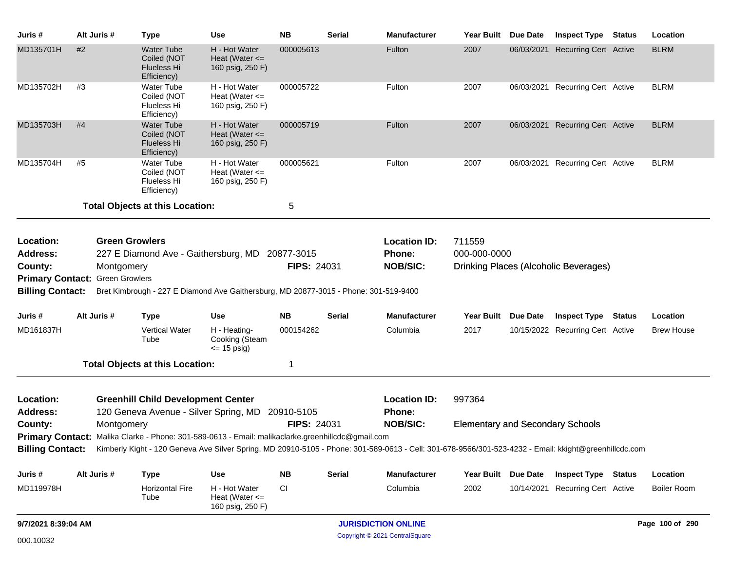| Juris #                                                                                                                                                                                                                                                                                                           | Alt Juris # | <b>Type</b>                                                                                       | <b>Use</b>                                              | <b>NB</b>   | <b>Serial</b> | <b>Manufacturer</b>                                                                                                                                   |                     | Year Built Due Date | <b>Inspect Type</b>                     | Status | Location           |
|-------------------------------------------------------------------------------------------------------------------------------------------------------------------------------------------------------------------------------------------------------------------------------------------------------------------|-------------|---------------------------------------------------------------------------------------------------|---------------------------------------------------------|-------------|---------------|-------------------------------------------------------------------------------------------------------------------------------------------------------|---------------------|---------------------|-----------------------------------------|--------|--------------------|
| MD135701H                                                                                                                                                                                                                                                                                                         | #2          | <b>Water Tube</b><br>Coiled (NOT<br><b>Flueless Hi</b><br>Efficiency)                             | H - Hot Water<br>Heat (Water $\leq$<br>160 psig, 250 F) | 000005613   |               | Fulton                                                                                                                                                | 2007                |                     | 06/03/2021 Recurring Cert Active        |        | <b>BLRM</b>        |
| MD135702H                                                                                                                                                                                                                                                                                                         | #3          | <b>Water Tube</b><br>Coiled (NOT<br>Flueless Hi<br>Efficiency)                                    | H - Hot Water<br>Heat (Water $\leq$<br>160 psig, 250 F) | 000005722   |               | Fulton                                                                                                                                                | 2007                |                     | 06/03/2021 Recurring Cert Active        |        | <b>BLRM</b>        |
| MD135703H                                                                                                                                                                                                                                                                                                         | #4          | <b>Water Tube</b><br>Coiled (NOT<br><b>Flueless Hi</b><br>Efficiency)                             | H - Hot Water<br>Heat (Water $\leq$<br>160 psig, 250 F) | 000005719   |               | Fulton                                                                                                                                                | 2007                |                     | 06/03/2021 Recurring Cert Active        |        | <b>BLRM</b>        |
| MD135704H                                                                                                                                                                                                                                                                                                         | #5          | <b>Water Tube</b><br>Coiled (NOT<br>Flueless Hi<br>Efficiency)                                    | H - Hot Water<br>Heat (Water $\leq$<br>160 psig, 250 F) | 000005621   |               | Fulton                                                                                                                                                | 2007                |                     | 06/03/2021 Recurring Cert Active        |        | <b>BLRM</b>        |
|                                                                                                                                                                                                                                                                                                                   |             | <b>Total Objects at this Location:</b>                                                            |                                                         | 5           |               |                                                                                                                                                       |                     |                     |                                         |        |                    |
| <b>Green Growlers</b><br><b>Location ID:</b><br>711559<br>Location:<br>Phone:<br>000-000-0000<br><b>Address:</b><br>227 E Diamond Ave - Gaithersburg, MD 20877-3015<br><b>FIPS: 24031</b><br><b>NOB/SIC:</b><br>Drinking Places (Alcoholic Beverages)<br>County:<br>Montgomery<br>Primary Contact: Green Growlers |             |                                                                                                   |                                                         |             |               |                                                                                                                                                       |                     |                     |                                         |        |                    |
| <b>Billing Contact:</b>                                                                                                                                                                                                                                                                                           |             | Bret Kimbrough - 227 E Diamond Ave Gaithersburg, MD 20877-3015 - Phone: 301-519-9400              |                                                         |             |               |                                                                                                                                                       |                     |                     |                                         |        |                    |
| Juris #                                                                                                                                                                                                                                                                                                           | Alt Juris # | <b>Type</b>                                                                                       | Use                                                     | <b>NB</b>   | Serial        | <b>Manufacturer</b>                                                                                                                                   | <b>Year Built</b>   | <b>Due Date</b>     | <b>Inspect Type</b>                     | Status | Location           |
| MD161837H                                                                                                                                                                                                                                                                                                         |             | <b>Vertical Water</b><br>Tube                                                                     | H - Heating-<br>Cooking (Steam<br>$\le$ 15 psig)        | 000154262   |               | Columbia                                                                                                                                              | 2017                |                     | 10/15/2022 Recurring Cert Active        |        | <b>Brew House</b>  |
|                                                                                                                                                                                                                                                                                                                   |             | <b>Total Objects at this Location:</b>                                                            |                                                         | -1          |               |                                                                                                                                                       |                     |                     |                                         |        |                    |
| Location:<br><b>Address:</b>                                                                                                                                                                                                                                                                                      |             | <b>Greenhill Child Development Center</b><br>120 Geneva Avenue - Silver Spring, MD                |                                                         | 20910-5105  |               | <b>Location ID:</b><br>Phone:                                                                                                                         | 997364              |                     |                                         |        |                    |
| County:                                                                                                                                                                                                                                                                                                           | Montgomery  |                                                                                                   |                                                         | FIPS: 24031 |               | <b>NOB/SIC:</b>                                                                                                                                       |                     |                     | <b>Elementary and Secondary Schools</b> |        |                    |
|                                                                                                                                                                                                                                                                                                                   |             | Primary Contact: Malika Clarke - Phone: 301-589-0613 - Email: malikaclarke.greenhillcdc@gmail.com |                                                         |             |               |                                                                                                                                                       |                     |                     |                                         |        |                    |
| <b>Billing Contact:</b>                                                                                                                                                                                                                                                                                           |             |                                                                                                   |                                                         |             |               | Kimberly Kight - 120 Geneva Ave Silver Spring, MD 20910-5105 - Phone: 301-589-0613 - Cell: 301-678-9566/301-523-4232 - Email: kkight@greenhillcdc.com |                     |                     |                                         |        |                    |
| Juris #                                                                                                                                                                                                                                                                                                           | Alt Juris # | <b>Type</b>                                                                                       | <b>Use</b>                                              | <b>NB</b>   | <b>Serial</b> | <b>Manufacturer</b>                                                                                                                                   | Year Built Due Date |                     | <b>Inspect Type Status</b>              |        | Location           |
| MD119978H                                                                                                                                                                                                                                                                                                         |             | <b>Horizontal Fire</b><br>Tube                                                                    | H - Hot Water<br>Heat (Water $\leq$<br>160 psig, 250 F) | CI          |               | Columbia                                                                                                                                              | 2002                |                     | 10/14/2021 Recurring Cert Active        |        | <b>Boiler Room</b> |
| 9/7/2021 8:39:04 AM                                                                                                                                                                                                                                                                                               |             |                                                                                                   |                                                         |             |               | <b>JURISDICTION ONLINE</b>                                                                                                                            |                     |                     |                                         |        | Page 100 of 290    |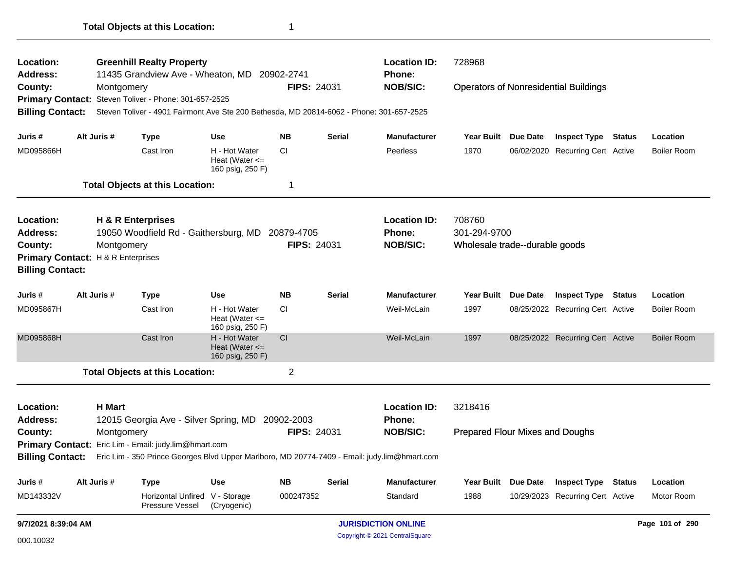| Location:                                   |               | <b>Greenhill Realty Property</b>                                                         |                                                         |                    |               | <b>Location ID:</b>                                                                                           | 728968                          |                     |                                              |               |                    |
|---------------------------------------------|---------------|------------------------------------------------------------------------------------------|---------------------------------------------------------|--------------------|---------------|---------------------------------------------------------------------------------------------------------------|---------------------------------|---------------------|----------------------------------------------|---------------|--------------------|
| Address:                                    |               | 11435 Grandview Ave - Wheaton, MD 20902-2741                                             |                                                         |                    |               | Phone:                                                                                                        |                                 |                     |                                              |               |                    |
| County:                                     | Montgomery    |                                                                                          |                                                         | <b>FIPS: 24031</b> |               | <b>NOB/SIC:</b>                                                                                               |                                 |                     | <b>Operators of Nonresidential Buildings</b> |               |                    |
| <b>Primary Contact:</b>                     |               | Steven Toliver - Phone: 301-657-2525                                                     |                                                         |                    |               |                                                                                                               |                                 |                     |                                              |               |                    |
| <b>Billing Contact:</b>                     |               | Steven Toliver - 4901 Fairmont Ave Ste 200 Bethesda, MD 20814-6062 - Phone: 301-657-2525 |                                                         |                    |               |                                                                                                               |                                 |                     |                                              |               |                    |
| Juris #                                     | Alt Juris #   | <b>Type</b>                                                                              | <b>Use</b>                                              | <b>NB</b>          | <b>Serial</b> | <b>Manufacturer</b>                                                                                           | Year Built Due Date             |                     | <b>Inspect Type Status</b>                   |               | Location           |
| MD095866H                                   |               | Cast Iron                                                                                | H - Hot Water<br>Heat (Water $\leq$<br>160 psig, 250 F) | <b>CI</b>          |               | Peerless                                                                                                      | 1970                            |                     | 06/02/2020 Recurring Cert Active             |               | <b>Boiler Room</b> |
|                                             |               | <b>Total Objects at this Location:</b>                                                   |                                                         | -1                 |               |                                                                                                               |                                 |                     |                                              |               |                    |
| Location:                                   |               | H & R Enterprises                                                                        |                                                         |                    |               | <b>Location ID:</b>                                                                                           | 708760                          |                     |                                              |               |                    |
| <b>Address:</b>                             |               | 19050 Woodfield Rd - Gaithersburg, MD 20879-4705                                         |                                                         |                    |               | Phone:                                                                                                        | 301-294-9700                    |                     |                                              |               |                    |
| County:                                     | Montgomery    |                                                                                          |                                                         | FIPS: 24031        |               | <b>NOB/SIC:</b>                                                                                               | Wholesale trade--durable goods  |                     |                                              |               |                    |
| <b>Primary Contact: H&amp;R Enterprises</b> |               |                                                                                          |                                                         |                    |               |                                                                                                               |                                 |                     |                                              |               |                    |
| <b>Billing Contact:</b>                     |               |                                                                                          |                                                         |                    |               |                                                                                                               |                                 |                     |                                              |               |                    |
| Juris #                                     | Alt Juris #   | <b>Type</b>                                                                              | <b>Use</b>                                              | <b>NB</b>          | <b>Serial</b> | <b>Manufacturer</b>                                                                                           | <b>Year Built</b>               | <b>Due Date</b>     | <b>Inspect Type</b>                          | <b>Status</b> | Location           |
| MD095867H                                   |               | Cast Iron                                                                                | H - Hot Water<br>Heat (Water $\leq$<br>160 psig, 250 F) | <b>CI</b>          |               | Weil-McLain                                                                                                   | 1997                            |                     | 08/25/2022 Recurring Cert Active             |               | <b>Boiler Room</b> |
| MD095868H                                   |               | Cast Iron                                                                                | H - Hot Water<br>Heat (Water $\leq$<br>160 psig, 250 F) | CI                 |               | Weil-McLain                                                                                                   | 1997                            |                     | 08/25/2022 Recurring Cert Active             |               | <b>Boiler Room</b> |
|                                             |               | <b>Total Objects at this Location:</b>                                                   |                                                         | $\overline{2}$     |               |                                                                                                               |                                 |                     |                                              |               |                    |
| Location:                                   | <b>H</b> Mart |                                                                                          |                                                         |                    |               | <b>Location ID:</b>                                                                                           | 3218416                         |                     |                                              |               |                    |
| <b>Address:</b>                             |               | 12015 Georgia Ave - Silver Spring, MD 20902-2003                                         |                                                         |                    |               | <b>Phone:</b>                                                                                                 |                                 |                     |                                              |               |                    |
| County:                                     | Montgomery    |                                                                                          |                                                         | FIPS: 24031        |               | <b>NOB/SIC:</b>                                                                                               | Prepared Flour Mixes and Doughs |                     |                                              |               |                    |
|                                             |               | Primary Contact: Eric Lim - Email: judy.lim@hmart.com                                    |                                                         |                    |               |                                                                                                               |                                 |                     |                                              |               |                    |
|                                             |               |                                                                                          |                                                         |                    |               | Billing Contact: Eric Lim - 350 Prince Georges Blvd Upper Marlboro, MD 20774-7409 - Email: judy.lim@hmart.com |                                 |                     |                                              |               |                    |
| Juris #                                     | Alt Juris #   | <b>Type</b>                                                                              | <b>Use</b>                                              | <b>NB</b>          | <b>Serial</b> | Manufacturer                                                                                                  |                                 | Year Built Due Date | <b>Inspect Type Status</b>                   |               | Location           |
| MD143332V                                   |               | Horizontal Unfired V - Storage<br>Pressure Vessel                                        | (Cryogenic)                                             | 000247352          |               | Standard                                                                                                      | 1988                            |                     | 10/29/2023 Recurring Cert Active             |               | Motor Room         |
| 9/7/2021 8:39:04 AM                         |               |                                                                                          |                                                         |                    |               | <b>JURISDICTION ONLINE</b>                                                                                    |                                 |                     |                                              |               | Page 101 of 290    |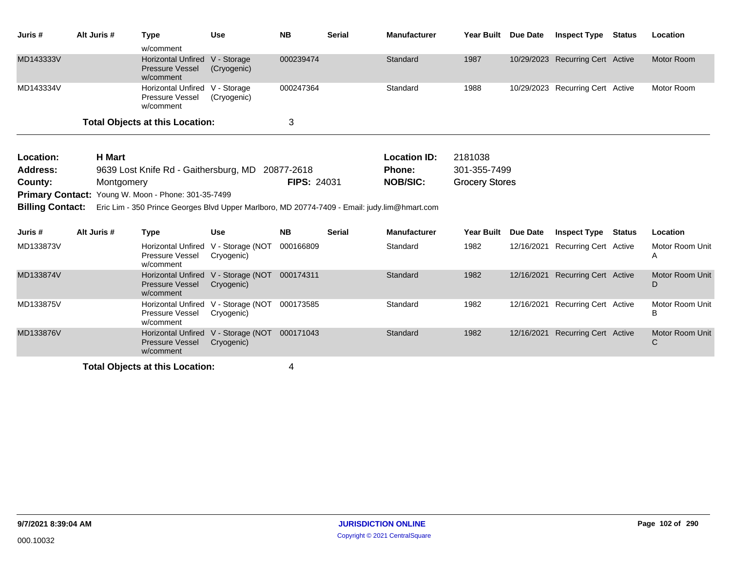| Juris #                 | Alt Juris #   | <b>Type</b>                                                                                  | <b>Use</b>                     | <b>NB</b>          | <b>Serial</b> | <b>Manufacturer</b> | Year Built Due Date   |                 | <b>Inspect Type Status</b>       |               | Location             |
|-------------------------|---------------|----------------------------------------------------------------------------------------------|--------------------------------|--------------------|---------------|---------------------|-----------------------|-----------------|----------------------------------|---------------|----------------------|
|                         |               | w/comment                                                                                    |                                |                    |               |                     |                       |                 |                                  |               |                      |
| MD143333V               |               | <b>Horizontal Unfired</b><br><b>Pressure Vessel</b><br>w/comment                             | V - Storage<br>(Cryogenic)     | 000239474          |               | Standard            | 1987                  |                 | 10/29/2023 Recurring Cert Active |               | Motor Room           |
| MD143334V               |               | <b>Horizontal Unfired</b><br>Pressure Vessel<br>w/comment                                    | V - Storage<br>(Cryogenic)     | 000247364          |               | Standard            | 1988                  |                 | 10/29/2023 Recurring Cert Active |               | Motor Room           |
|                         |               | <b>Total Objects at this Location:</b>                                                       |                                | 3                  |               |                     |                       |                 |                                  |               |                      |
| Location:               | <b>H</b> Mart |                                                                                              |                                |                    |               | <b>Location ID:</b> | 2181038               |                 |                                  |               |                      |
| <b>Address:</b>         |               | 9639 Lost Knife Rd - Gaithersburg, MD                                                        |                                | 20877-2618         |               | <b>Phone:</b>       | 301-355-7499          |                 |                                  |               |                      |
| County:                 | Montgomery    |                                                                                              |                                | <b>FIPS: 24031</b> |               | <b>NOB/SIC:</b>     | <b>Grocery Stores</b> |                 |                                  |               |                      |
|                         |               | <b>Primary Contact: Young W. Moon - Phone: 301-35-7499</b>                                   |                                |                    |               |                     |                       |                 |                                  |               |                      |
| <b>Billing Contact:</b> |               | Eric Lim - 350 Prince Georges Blvd Upper Marlboro, MD 20774-7409 - Email: judy.lim@hmart.com |                                |                    |               |                     |                       |                 |                                  |               |                      |
| Juris #                 | Alt Juris #   | <b>Type</b>                                                                                  | <b>Use</b>                     | <b>NB</b>          | <b>Serial</b> | <b>Manufacturer</b> | <b>Year Built</b>     | <b>Due Date</b> | <b>Inspect Type</b>              | <b>Status</b> | Location             |
| MD133873V               |               | <b>Horizontal Unfired</b><br>Pressure Vessel<br>w/comment                                    | V - Storage (NOT<br>Cryogenic) | 000166809          |               | Standard            | 1982                  | 12/16/2021      | Recurring Cert Active            |               | Motor Room Unit<br>Α |
| MD133874V               |               | <b>Horizontal Unfired</b><br><b>Pressure Vessel</b><br>w/comment                             | V - Storage (NOT<br>Cryogenic) | 000174311          |               | Standard            | 1982                  | 12/16/2021      | <b>Recurring Cert Active</b>     |               | Motor Room Unit<br>D |
| MD133875V               |               | <b>Horizontal Unfired</b><br>Pressure Vessel<br>w/comment                                    | V - Storage (NOT<br>Cryogenic) | 000173585          |               | Standard            | 1982                  |                 | 12/16/2021 Recurring Cert Active |               | Motor Room Unit<br>В |
| MD133876V               |               | <b>Horizontal Unfired</b><br>Pressure Vessel<br>w/comment                                    | V - Storage (NOT<br>Cryogenic) | 000171043          |               | Standard            | 1982                  | 12/16/2021      | <b>Recurring Cert Active</b>     |               | Motor Room Unit<br>C |
|                         |               | .                                                                                            |                                |                    |               |                     |                       |                 |                                  |               |                      |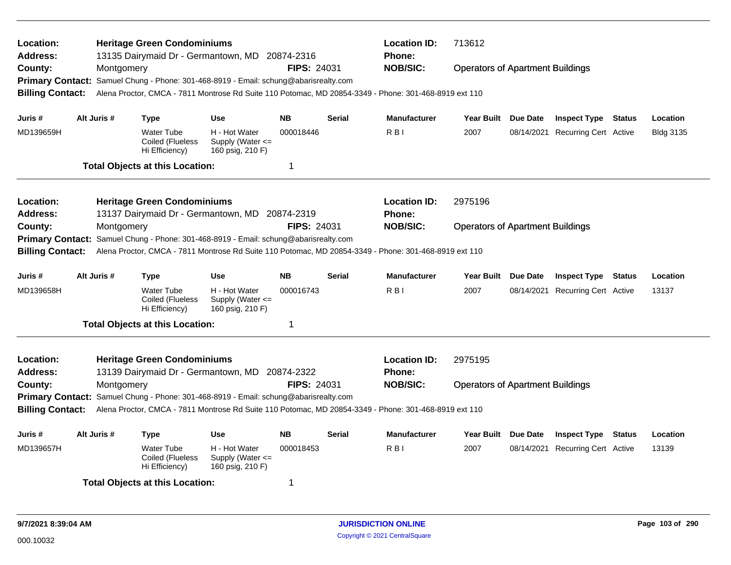| Location:<br><b>Address:</b> |             | <b>Heritage Green Condominiums</b>                      | 13135 Dairymaid Dr - Germantown, MD 20874-2316                                       |                    |               | <b>Location ID:</b><br>Phone:                                                                         | 713612                                  |          |                                  |               |                  |
|------------------------------|-------------|---------------------------------------------------------|--------------------------------------------------------------------------------------|--------------------|---------------|-------------------------------------------------------------------------------------------------------|-----------------------------------------|----------|----------------------------------|---------------|------------------|
| County:                      | Montgomery  |                                                         |                                                                                      | <b>FIPS: 24031</b> |               | <b>NOB/SIC:</b>                                                                                       | <b>Operators of Apartment Buildings</b> |          |                                  |               |                  |
|                              |             |                                                         | Primary Contact: Samuel Chung - Phone: 301-468-8919 - Email: schung@abarisrealty.com |                    |               |                                                                                                       |                                         |          |                                  |               |                  |
| <b>Billing Contact:</b>      |             |                                                         |                                                                                      |                    |               | Alena Proctor, CMCA - 7811 Montrose Rd Suite 110 Potomac, MD 20854-3349 - Phone: 301-468-8919 ext 110 |                                         |          |                                  |               |                  |
| Juris #                      | Alt Juris # | Type                                                    | Use                                                                                  | <b>NB</b>          | <b>Serial</b> | <b>Manufacturer</b>                                                                                   | Year Built Due Date                     |          | <b>Inspect Type Status</b>       |               | Location         |
| MD139659H                    |             | <b>Water Tube</b><br>Coiled (Flueless<br>Hi Efficiency) | H - Hot Water<br>Supply (Water $\leq$<br>160 psig, 210 F)                            | 000018446          |               | R <sub>BI</sub>                                                                                       | 2007                                    |          | 08/14/2021 Recurring Cert Active |               | <b>Bldg 3135</b> |
|                              |             | <b>Total Objects at this Location:</b>                  |                                                                                      | -1                 |               |                                                                                                       |                                         |          |                                  |               |                  |
| Location:                    |             | <b>Heritage Green Condominiums</b>                      |                                                                                      |                    |               | <b>Location ID:</b>                                                                                   | 2975196                                 |          |                                  |               |                  |
| <b>Address:</b>              |             |                                                         | 13137 Dairymaid Dr - Germantown, MD 20874-2319                                       |                    |               | Phone:                                                                                                |                                         |          |                                  |               |                  |
| County:                      | Montgomery  |                                                         |                                                                                      | <b>FIPS: 24031</b> |               | <b>NOB/SIC:</b>                                                                                       | <b>Operators of Apartment Buildings</b> |          |                                  |               |                  |
|                              |             |                                                         | Primary Contact: Samuel Chung - Phone: 301-468-8919 - Email: schung@abarisrealty.com |                    |               |                                                                                                       |                                         |          |                                  |               |                  |
| <b>Billing Contact:</b>      |             |                                                         |                                                                                      |                    |               | Alena Proctor, CMCA - 7811 Montrose Rd Suite 110 Potomac, MD 20854-3349 - Phone: 301-468-8919 ext 110 |                                         |          |                                  |               |                  |
| Juris #                      | Alt Juris # | Type                                                    | <b>Use</b>                                                                           | <b>NB</b>          | <b>Serial</b> | <b>Manufacturer</b>                                                                                   | Year Built Due Date                     |          | <b>Inspect Type Status</b>       |               | Location         |
| MD139658H                    |             | <b>Water Tube</b><br>Coiled (Flueless<br>Hi Efficiency) | H - Hot Water<br>Supply (Water $\leq$<br>160 psig, 210 F)                            | 000016743          |               | R <sub>BI</sub>                                                                                       | 2007                                    |          | 08/14/2021 Recurring Cert Active |               | 13137            |
|                              |             | <b>Total Objects at this Location:</b>                  |                                                                                      | -1                 |               |                                                                                                       |                                         |          |                                  |               |                  |
| Location:                    |             | <b>Heritage Green Condominiums</b>                      |                                                                                      |                    |               | <b>Location ID:</b>                                                                                   | 2975195                                 |          |                                  |               |                  |
| <b>Address:</b>              |             |                                                         | 13139 Dairymaid Dr - Germantown, MD 20874-2322                                       |                    |               | <b>Phone:</b>                                                                                         |                                         |          |                                  |               |                  |
| County:                      | Montgomery  |                                                         |                                                                                      | FIPS: 24031        |               | <b>NOB/SIC:</b>                                                                                       | <b>Operators of Apartment Buildings</b> |          |                                  |               |                  |
| <b>Billing Contact:</b>      |             |                                                         | Primary Contact: Samuel Chung - Phone: 301-468-8919 - Email: schung@abarisrealty.com |                    |               | Alena Proctor, CMCA - 7811 Montrose Rd Suite 110 Potomac, MD 20854-3349 - Phone: 301-468-8919 ext 110 |                                         |          |                                  |               |                  |
| Juris #                      | Alt Juris # | <b>Type</b>                                             | <b>Use</b>                                                                           | <b>NB</b>          | <b>Serial</b> | <b>Manufacturer</b>                                                                                   | <b>Year Built</b>                       | Due Date | <b>Inspect Type</b>              | <b>Status</b> | Location         |
| MD139657H                    |             | <b>Water Tube</b><br>Coiled (Flueless<br>Hi Efficiency) | H - Hot Water<br>Supply (Water <=<br>160 psig, 210 F)                                | 000018453          |               | R <sub>BI</sub>                                                                                       | 2007                                    |          | 08/14/2021 Recurring Cert Active |               | 13139            |
|                              |             | <b>Total Objects at this Location:</b>                  |                                                                                      | -1                 |               |                                                                                                       |                                         |          |                                  |               |                  |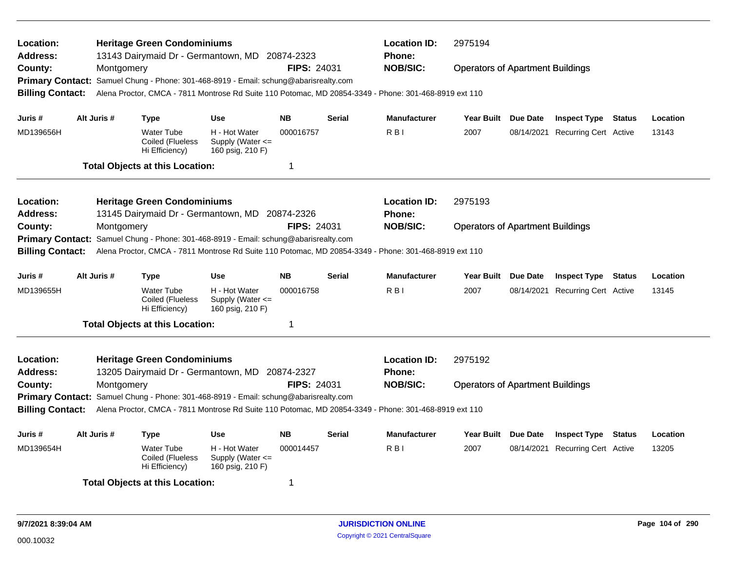| Location:<br><b>Address:</b> |             |            | <b>Heritage Green Condominiums</b><br>13143 Dairymaid Dr - Germantown, MD 20874-2323 |                                                           |                    |               | <b>Location ID:</b><br><b>Phone:</b>                                                                  | 2975194                                 |                 |                                  |          |
|------------------------------|-------------|------------|--------------------------------------------------------------------------------------|-----------------------------------------------------------|--------------------|---------------|-------------------------------------------------------------------------------------------------------|-----------------------------------------|-----------------|----------------------------------|----------|
| County:                      |             | Montgomery |                                                                                      |                                                           | <b>FIPS: 24031</b> |               | <b>NOB/SIC:</b>                                                                                       | <b>Operators of Apartment Buildings</b> |                 |                                  |          |
|                              |             |            | Primary Contact: Samuel Chung - Phone: 301-468-8919 - Email: schung@abarisrealty.com |                                                           |                    |               |                                                                                                       |                                         |                 |                                  |          |
| <b>Billing Contact:</b>      |             |            |                                                                                      |                                                           |                    |               | Alena Proctor, CMCA - 7811 Montrose Rd Suite 110 Potomac, MD 20854-3349 - Phone: 301-468-8919 ext 110 |                                         |                 |                                  |          |
|                              |             |            |                                                                                      |                                                           |                    |               |                                                                                                       |                                         |                 |                                  |          |
| Juris #                      | Alt Juris # |            | Type                                                                                 | <b>Use</b>                                                | <b>NB</b>          | <b>Serial</b> | <b>Manufacturer</b>                                                                                   | Year Built Due Date                     |                 | <b>Inspect Type Status</b>       | Location |
| MD139656H                    |             |            | <b>Water Tube</b><br>Coiled (Flueless<br>Hi Efficiency)                              | H - Hot Water<br>Supply (Water <=<br>160 psig, 210 F)     | 000016757          |               | R <sub>B</sub>                                                                                        | 2007                                    | 08/14/2021      | <b>Recurring Cert Active</b>     | 13143    |
|                              |             |            | <b>Total Objects at this Location:</b>                                               |                                                           | 1                  |               |                                                                                                       |                                         |                 |                                  |          |
| Location:                    |             |            | <b>Heritage Green Condominiums</b>                                                   |                                                           |                    |               | <b>Location ID:</b>                                                                                   | 2975193                                 |                 |                                  |          |
| <b>Address:</b>              |             |            | 13145 Dairymaid Dr - Germantown, MD 20874-2326                                       |                                                           |                    |               | <b>Phone:</b>                                                                                         |                                         |                 |                                  |          |
| County:                      |             | Montgomery |                                                                                      |                                                           | <b>FIPS: 24031</b> |               | <b>NOB/SIC:</b>                                                                                       | <b>Operators of Apartment Buildings</b> |                 |                                  |          |
| <b>Primary Contact:</b>      |             |            | Samuel Chung - Phone: 301-468-8919 - Email: schung@abarisrealty.com                  |                                                           |                    |               |                                                                                                       |                                         |                 |                                  |          |
| <b>Billing Contact:</b>      |             |            |                                                                                      |                                                           |                    |               | Alena Proctor, CMCA - 7811 Montrose Rd Suite 110 Potomac, MD 20854-3349 - Phone: 301-468-8919 ext 110 |                                         |                 |                                  |          |
| Juris #                      | Alt Juris # |            | Type                                                                                 | <b>Use</b>                                                | <b>NB</b>          | <b>Serial</b> | <b>Manufacturer</b>                                                                                   | Year Built Due Date                     |                 | <b>Inspect Type Status</b>       | Location |
| MD139655H                    |             |            | <b>Water Tube</b><br>Coiled (Flueless<br>Hi Efficiency)                              | H - Hot Water<br>Supply (Water <=<br>160 psig, 210 F)     | 000016758          |               | R <sub>BI</sub>                                                                                       | 2007                                    |                 | 08/14/2021 Recurring Cert Active | 13145    |
|                              |             |            | <b>Total Objects at this Location:</b>                                               |                                                           | 1                  |               |                                                                                                       |                                         |                 |                                  |          |
| Location:                    |             |            | <b>Heritage Green Condominiums</b>                                                   |                                                           |                    |               | <b>Location ID:</b>                                                                                   | 2975192                                 |                 |                                  |          |
| Address:                     |             |            | 13205 Dairymaid Dr - Germantown, MD 20874-2327                                       |                                                           |                    |               | <b>Phone:</b>                                                                                         |                                         |                 |                                  |          |
| County:                      |             | Montgomery |                                                                                      |                                                           | FIPS: 24031        |               | <b>NOB/SIC:</b>                                                                                       | <b>Operators of Apartment Buildings</b> |                 |                                  |          |
|                              |             |            | Primary Contact: Samuel Chung - Phone: 301-468-8919 - Email: schung@abarisrealty.com |                                                           |                    |               |                                                                                                       |                                         |                 |                                  |          |
| <b>Billing Contact:</b>      |             |            |                                                                                      |                                                           |                    |               | Alena Proctor, CMCA - 7811 Montrose Rd Suite 110 Potomac, MD 20854-3349 - Phone: 301-468-8919 ext 110 |                                         |                 |                                  |          |
| Juris#                       | Alt Juris # |            | Type                                                                                 | <b>Use</b>                                                | <b>NB</b>          | Serial        | <b>Manufacturer</b>                                                                                   | <b>Year Built</b>                       | <b>Due Date</b> | <b>Inspect Type Status</b>       | Location |
| MD139654H                    |             |            | <b>Water Tube</b><br>Coiled (Flueless<br>Hi Efficiency)                              | H - Hot Water<br>Supply (Water $\leq$<br>160 psig, 210 F) | 000014457          |               | R <sub>B</sub>                                                                                        | 2007                                    |                 | 08/14/2021 Recurring Cert Active | 13205    |
|                              |             |            | <b>Total Objects at this Location:</b>                                               |                                                           | 1                  |               |                                                                                                       |                                         |                 |                                  |          |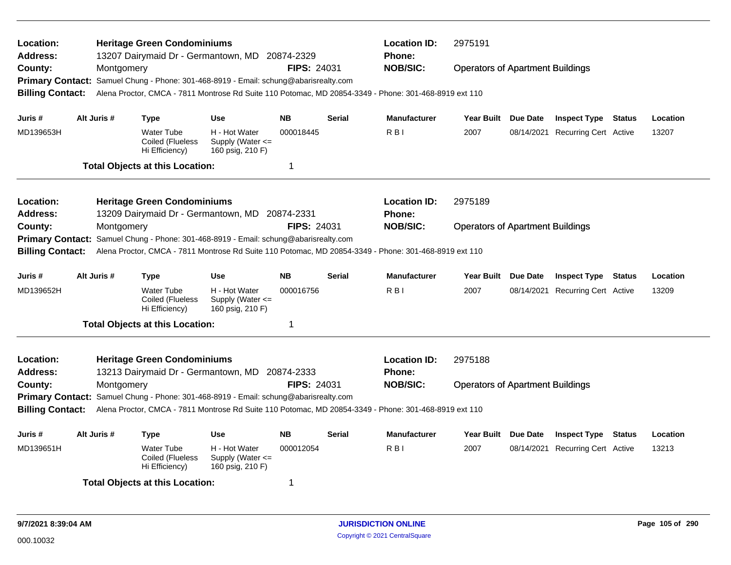| Location:<br><b>Address:</b> |             |            | <b>Heritage Green Condominiums</b>                      | 13207 Dairymaid Dr - Germantown, MD 20874-2329                                       |                    |               | <b>Location ID:</b><br><b>Phone:</b>                                                                  | 2975191                                 |          |                                  |          |
|------------------------------|-------------|------------|---------------------------------------------------------|--------------------------------------------------------------------------------------|--------------------|---------------|-------------------------------------------------------------------------------------------------------|-----------------------------------------|----------|----------------------------------|----------|
| County:                      |             | Montgomery |                                                         |                                                                                      | <b>FIPS: 24031</b> |               | <b>NOB/SIC:</b>                                                                                       | <b>Operators of Apartment Buildings</b> |          |                                  |          |
|                              |             |            |                                                         | Primary Contact: Samuel Chung - Phone: 301-468-8919 - Email: schung@abarisrealty.com |                    |               |                                                                                                       |                                         |          |                                  |          |
| <b>Billing Contact:</b>      |             |            |                                                         |                                                                                      |                    |               | Alena Proctor, CMCA - 7811 Montrose Rd Suite 110 Potomac, MD 20854-3349 - Phone: 301-468-8919 ext 110 |                                         |          |                                  |          |
| Juris #                      | Alt Juris # |            | Type                                                    | <b>Use</b>                                                                           | <b>NB</b>          | <b>Serial</b> | <b>Manufacturer</b>                                                                                   | Year Built Due Date                     |          | <b>Inspect Type Status</b>       | Location |
| MD139653H                    |             |            | <b>Water Tube</b><br>Coiled (Flueless<br>Hi Efficiency) | H - Hot Water<br>Supply (Water $\leq$<br>160 psig, 210 F)                            | 000018445          |               | R <sub>BI</sub>                                                                                       | 2007                                    |          | 08/14/2021 Recurring Cert Active | 13207    |
|                              |             |            | <b>Total Objects at this Location:</b>                  |                                                                                      | 1                  |               |                                                                                                       |                                         |          |                                  |          |
| Location:                    |             |            | <b>Heritage Green Condominiums</b>                      |                                                                                      |                    |               | <b>Location ID:</b>                                                                                   | 2975189                                 |          |                                  |          |
| <b>Address:</b>              |             |            |                                                         | 13209 Dairymaid Dr - Germantown, MD 20874-2331                                       |                    |               | <b>Phone:</b>                                                                                         |                                         |          |                                  |          |
| County:                      |             | Montgomery |                                                         |                                                                                      | <b>FIPS: 24031</b> |               | <b>NOB/SIC:</b>                                                                                       | <b>Operators of Apartment Buildings</b> |          |                                  |          |
| <b>Primary Contact:</b>      |             |            |                                                         | Samuel Chung - Phone: 301-468-8919 - Email: schung@abarisrealty.com                  |                    |               |                                                                                                       |                                         |          |                                  |          |
| <b>Billing Contact:</b>      |             |            |                                                         |                                                                                      |                    |               | Alena Proctor, CMCA - 7811 Montrose Rd Suite 110 Potomac, MD 20854-3349 - Phone: 301-468-8919 ext 110 |                                         |          |                                  |          |
| Juris #                      | Alt Juris # |            | <b>Type</b>                                             | <b>Use</b>                                                                           | <b>NB</b>          | <b>Serial</b> | <b>Manufacturer</b>                                                                                   | Year Built Due Date                     |          | <b>Inspect Type Status</b>       | Location |
| MD139652H                    |             |            | <b>Water Tube</b><br>Coiled (Flueless<br>Hi Efficiency) | H - Hot Water<br>Supply (Water <=<br>160 psig, 210 F)                                | 000016756          |               | R <sub>B</sub>                                                                                        | 2007                                    |          | 08/14/2021 Recurring Cert Active | 13209    |
|                              |             |            | <b>Total Objects at this Location:</b>                  |                                                                                      | 1                  |               |                                                                                                       |                                         |          |                                  |          |
| Location:                    |             |            | <b>Heritage Green Condominiums</b>                      |                                                                                      |                    |               | <b>Location ID:</b>                                                                                   | 2975188                                 |          |                                  |          |
| Address:                     |             |            | 13213 Dairymaid Dr - Germantown, MD                     |                                                                                      | 20874-2333         |               | <b>Phone:</b>                                                                                         |                                         |          |                                  |          |
| County:                      |             | Montgomery |                                                         |                                                                                      | <b>FIPS: 24031</b> |               | <b>NOB/SIC:</b>                                                                                       | <b>Operators of Apartment Buildings</b> |          |                                  |          |
|                              |             |            |                                                         | Primary Contact: Samuel Chung - Phone: 301-468-8919 - Email: schung@abarisrealty.com |                    |               |                                                                                                       |                                         |          |                                  |          |
| <b>Billing Contact:</b>      |             |            |                                                         |                                                                                      |                    |               | Alena Proctor, CMCA - 7811 Montrose Rd Suite 110 Potomac, MD 20854-3349 - Phone: 301-468-8919 ext 110 |                                         |          |                                  |          |
| Juris #                      | Alt Juris # |            | <b>Type</b>                                             | <b>Use</b>                                                                           | <b>NB</b>          | <b>Serial</b> | <b>Manufacturer</b>                                                                                   | <b>Year Built</b>                       | Due Date | <b>Inspect Type Status</b>       | Location |
| MD139651H                    |             |            | <b>Water Tube</b><br>Coiled (Flueless<br>Hi Efficiency) | H - Hot Water<br>Supply (Water <=<br>160 psig, 210 F)                                | 000012054          |               | R <sub>BI</sub>                                                                                       | 2007                                    |          | 08/14/2021 Recurring Cert Active | 13213    |
|                              |             |            | <b>Total Objects at this Location:</b>                  |                                                                                      | 1                  |               |                                                                                                       |                                         |          |                                  |          |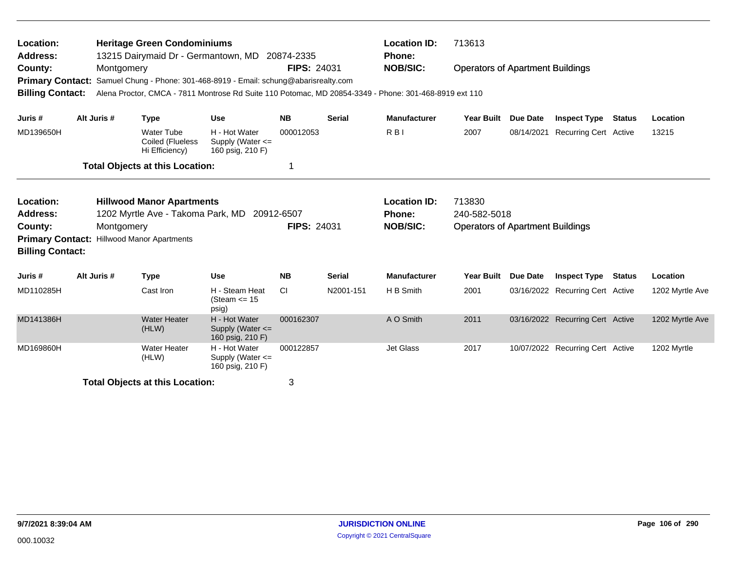| Location:<br>Address:                                         |             |            | <b>Heritage Green Condominiums</b><br>13215 Dairymaid Dr - Germantown, MD |                                                                                                                                                                              | 20874-2335         |               | <b>Location ID:</b><br><b>Phone:</b>                    | 713613                                                            |                 |                                  |                 |
|---------------------------------------------------------------|-------------|------------|---------------------------------------------------------------------------|------------------------------------------------------------------------------------------------------------------------------------------------------------------------------|--------------------|---------------|---------------------------------------------------------|-------------------------------------------------------------------|-----------------|----------------------------------|-----------------|
| County:<br><b>Primary Contact:</b><br><b>Billing Contact:</b> |             | Montgomery |                                                                           | Samuel Chung - Phone: 301-468-8919 - Email: schung@abarisrealty.com<br>Alena Proctor, CMCA - 7811 Montrose Rd Suite 110 Potomac, MD 20854-3349 - Phone: 301-468-8919 ext 110 | FIPS: 24031        |               | <b>NOB/SIC:</b>                                         | <b>Operators of Apartment Buildings</b>                           |                 |                                  |                 |
| Juris #                                                       | Alt Juris # |            | <b>Type</b>                                                               | <b>Use</b>                                                                                                                                                                   | <b>NB</b>          | <b>Serial</b> | <b>Manufacturer</b>                                     | <b>Year Built</b>                                                 | <b>Due Date</b> | <b>Inspect Type Status</b>       | Location        |
| MD139650H                                                     |             |            | Water Tube<br>Coiled (Flueless<br>Hi Efficiency)                          | H - Hot Water<br>Supply (Water <=<br>160 psig, 210 F)                                                                                                                        | 000012053          |               | R <sub>B</sub>                                          | 2007                                                              | 08/14/2021      | Recurring Cert Active            | 13215           |
|                                                               |             |            | <b>Total Objects at this Location:</b>                                    |                                                                                                                                                                              | 1                  |               |                                                         |                                                                   |                 |                                  |                 |
| Location:<br><b>Address:</b><br>County:                       |             | Montgomery | <b>Hillwood Manor Apartments</b><br>1202 Myrtle Ave - Takoma Park, MD     | 20912-6507                                                                                                                                                                   | <b>FIPS: 24031</b> |               | <b>Location ID:</b><br><b>Phone:</b><br><b>NOB/SIC:</b> | 713830<br>240-582-5018<br><b>Operators of Apartment Buildings</b> |                 |                                  |                 |
| <b>Primary Contact:</b><br><b>Billing Contact:</b>            |             |            | <b>Hillwood Manor Apartments</b>                                          |                                                                                                                                                                              |                    |               |                                                         |                                                                   |                 |                                  |                 |
| Juris #                                                       | Alt Juris # |            | <b>Type</b>                                                               | <b>Use</b>                                                                                                                                                                   | <b>NB</b>          | <b>Serial</b> | <b>Manufacturer</b>                                     | <b>Year Built</b>                                                 | <b>Due Date</b> | <b>Inspect Type Status</b>       | Location        |
| MD110285H                                                     |             |            | Cast Iron                                                                 | H - Steam Heat<br>(Steam $\le$ 15<br>psig)                                                                                                                                   | CI                 | N2001-151     | H B Smith                                               | 2001                                                              |                 | 03/16/2022 Recurring Cert Active | 1202 Myrtle Ave |
| MD141386H                                                     |             |            | <b>Water Heater</b><br>(HLW)                                              | H - Hot Water<br>Supply (Water <=<br>160 psig, 210 F)                                                                                                                        | 000162307          |               | A O Smith                                               | 2011                                                              |                 | 03/16/2022 Recurring Cert Active | 1202 Myrtle Ave |
| MD169860H                                                     |             |            | <b>Water Heater</b><br>(HLW)                                              | H - Hot Water<br>Supply (Water $\leq$<br>160 psig, 210 F)                                                                                                                    | 000122857          |               | <b>Jet Glass</b>                                        | 2017                                                              |                 | 10/07/2022 Recurring Cert Active | 1202 Myrtle     |
|                                                               |             |            | <b>Total Objects at this Location:</b>                                    |                                                                                                                                                                              | 3                  |               |                                                         |                                                                   |                 |                                  |                 |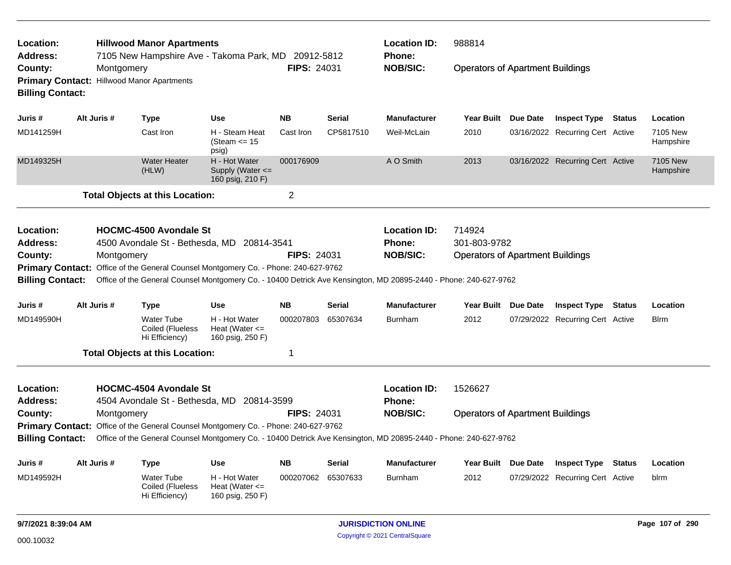| Location:<br><b>Address:</b>            |             | <b>Hillwood Manor Apartments</b><br>7105 New Hampshire Ave - Takoma Park, MD 20912-5812                          |                                                           |                    |               | <b>Location ID:</b><br><b>Phone:</b>                    | 988814                                                            |                 |                                  |               |                       |
|-----------------------------------------|-------------|------------------------------------------------------------------------------------------------------------------|-----------------------------------------------------------|--------------------|---------------|---------------------------------------------------------|-------------------------------------------------------------------|-----------------|----------------------------------|---------------|-----------------------|
| County:<br><b>Billing Contact:</b>      | Montgomery  | Primary Contact: Hillwood Manor Apartments                                                                       |                                                           | <b>FIPS: 24031</b> |               | <b>NOB/SIC:</b>                                         | <b>Operators of Apartment Buildings</b>                           |                 |                                  |               |                       |
| Juris #                                 | Alt Juris # | <b>Type</b>                                                                                                      | <b>Use</b>                                                | <b>NB</b>          | <b>Serial</b> | <b>Manufacturer</b>                                     | <b>Year Built</b>                                                 | Due Date        | <b>Inspect Type</b>              | <b>Status</b> | Location              |
| MD141259H                               |             | Cast Iron                                                                                                        | H - Steam Heat<br>(Steam $\le$ 15<br>psig)                | Cast Iron          | CP5817510     | Weil-McLain                                             | 2010                                                              |                 | 03/16/2022 Recurring Cert Active |               | 7105 New<br>Hampshire |
| MD149325H                               |             | <b>Water Heater</b><br>(HLW)                                                                                     | H - Hot Water<br>Supply (Water $\leq$<br>160 psig, 210 F) | 000176909          |               | A O Smith                                               | 2013                                                              |                 | 03/16/2022 Recurring Cert Active |               | 7105 New<br>Hampshire |
|                                         |             | <b>Total Objects at this Location:</b>                                                                           |                                                           | $\overline{2}$     |               |                                                         |                                                                   |                 |                                  |               |                       |
| Location:<br><b>Address:</b><br>County: | Montgomery  | <b>HOCMC-4500 Avondale St</b><br>4500 Avondale St - Bethesda, MD 20814-3541                                      |                                                           | <b>FIPS: 24031</b> |               | <b>Location ID:</b><br><b>Phone:</b><br><b>NOB/SIC:</b> | 714924<br>301-803-9782<br><b>Operators of Apartment Buildings</b> |                 |                                  |               |                       |
|                                         |             | Primary Contact: Office of the General Counsel Montgomery Co. - Phone: 240-627-9762                              |                                                           |                    |               |                                                         |                                                                   |                 |                                  |               |                       |
| <b>Billing Contact:</b>                 |             | Office of the General Counsel Montgomery Co. - 10400 Detrick Ave Kensington, MD 20895-2440 - Phone: 240-627-9762 |                                                           |                    |               |                                                         |                                                                   |                 |                                  |               |                       |
| Juris #                                 | Alt Juris # | <b>Type</b>                                                                                                      | <b>Use</b>                                                | <b>NB</b>          | <b>Serial</b> | <b>Manufacturer</b>                                     | <b>Year Built</b>                                                 | <b>Due Date</b> | <b>Inspect Type</b>              | Status        | Location              |
| MD149590H                               |             | <b>Water Tube</b><br>Coiled (Flueless<br>Hi Efficiency)                                                          | H - Hot Water<br>Heat (Water $\leq$<br>160 psig, 250 F)   | 000207803          | 65307634      | <b>Burnham</b>                                          | 2012                                                              |                 | 07/29/2022 Recurring Cert Active |               | <b>Blrm</b>           |
|                                         |             | <b>Total Objects at this Location:</b>                                                                           |                                                           | 1                  |               |                                                         |                                                                   |                 |                                  |               |                       |
| Location:<br><b>Address:</b>            |             | HOCMC-4504 Avondale St<br>4504 Avondale St - Bethesda, MD 20814-3599                                             |                                                           |                    |               | <b>Location ID:</b><br><b>Phone:</b>                    | 1526627                                                           |                 |                                  |               |                       |
| County:                                 | Montgomery  |                                                                                                                  |                                                           | <b>FIPS: 24031</b> |               | <b>NOB/SIC:</b>                                         | <b>Operators of Apartment Buildings</b>                           |                 |                                  |               |                       |
|                                         |             | Primary Contact: Office of the General Counsel Montgomery Co. - Phone: 240-627-9762                              |                                                           |                    |               |                                                         |                                                                   |                 |                                  |               |                       |
| <b>Billing Contact:</b>                 |             | Office of the General Counsel Montgomery Co. - 10400 Detrick Ave Kensington, MD 20895-2440 - Phone: 240-627-9762 |                                                           |                    |               |                                                         |                                                                   |                 |                                  |               |                       |
| Juris #                                 | Alt Juris # | <b>Type</b>                                                                                                      | <b>Use</b>                                                | <b>NB</b>          | <b>Serial</b> | <b>Manufacturer</b>                                     | <b>Year Built</b>                                                 | <b>Due Date</b> | <b>Inspect Type</b>              | <b>Status</b> | Location              |
| MD149592H                               |             | <b>Water Tube</b>                                                                                                | H - Hot Water                                             | 000207062          | 65307633      | <b>Burnham</b>                                          | 2012                                                              |                 | 07/29/2022 Recurring Cert Active |               | blrm                  |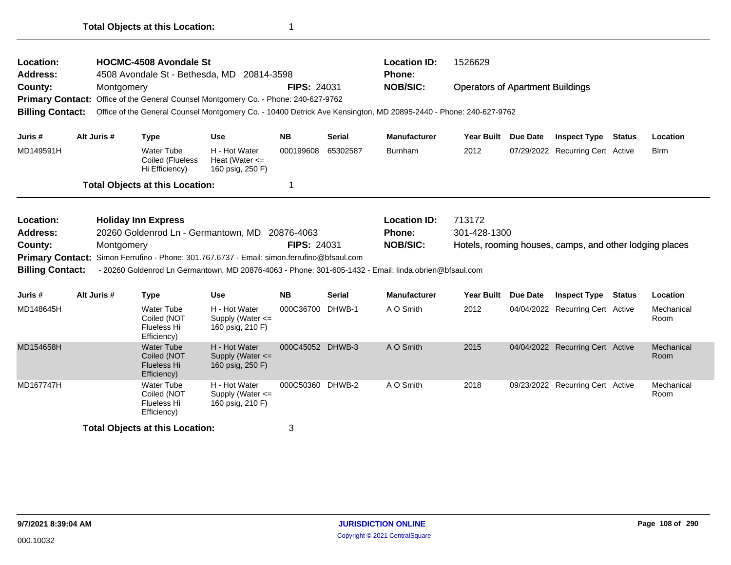| <b>Location:</b><br><b>Address:</b>           |             | <b>HOCMC-4508 Avondale St</b><br>4508 Avondale St - Bethesda, MD 20814-3598                |                                                         |                    |               | <b>Location ID:</b><br>Phone:                                                                                    | 1526629                                 |                 |                                                         |               |                    |
|-----------------------------------------------|-------------|--------------------------------------------------------------------------------------------|---------------------------------------------------------|--------------------|---------------|------------------------------------------------------------------------------------------------------------------|-----------------------------------------|-----------------|---------------------------------------------------------|---------------|--------------------|
| County:                                       | Montgomery  |                                                                                            |                                                         | <b>FIPS: 24031</b> |               | <b>NOB/SIC:</b>                                                                                                  | <b>Operators of Apartment Buildings</b> |                 |                                                         |               |                    |
|                                               |             | Primary Contact: Office of the General Counsel Montgomery Co. - Phone: 240-627-9762        |                                                         |                    |               |                                                                                                                  |                                         |                 |                                                         |               |                    |
| <b>Billing Contact:</b>                       |             |                                                                                            |                                                         |                    |               | Office of the General Counsel Montgomery Co. - 10400 Detrick Ave Kensington, MD 20895-2440 - Phone: 240-627-9762 |                                         |                 |                                                         |               |                    |
| Juris #                                       | Alt Juris # | <b>Type</b>                                                                                | <b>Use</b>                                              | <b>NB</b>          | <b>Serial</b> | <b>Manufacturer</b>                                                                                              | <b>Year Built</b>                       | <b>Due Date</b> | <b>Inspect Type</b>                                     | <b>Status</b> | Location           |
| MD149591H                                     |             | Water Tube<br>Coiled (Flueless<br>Hi Efficiency)                                           | H - Hot Water<br>Heat (Water $\leq$<br>160 psig, 250 F) | 000199608          | 65302587      | <b>Burnham</b>                                                                                                   | 2012                                    |                 | 07/29/2022 Recurring Cert Active                        |               | <b>Blrm</b>        |
|                                               |             | <b>Total Objects at this Location:</b>                                                     |                                                         | 1                  |               |                                                                                                                  |                                         |                 |                                                         |               |                    |
| <b>Location:</b>                              |             | <b>Holiday Inn Express</b>                                                                 |                                                         |                    |               | <b>Location ID:</b>                                                                                              | 713172                                  |                 |                                                         |               |                    |
| <b>Address:</b>                               |             |                                                                                            |                                                         |                    |               |                                                                                                                  |                                         |                 |                                                         |               |                    |
|                                               |             |                                                                                            | 20260 Goldenrod Ln - Germantown, MD 20876-4063          |                    |               | Phone:                                                                                                           | 301-428-1300                            |                 |                                                         |               |                    |
|                                               | Montgomery  |                                                                                            |                                                         | <b>FIPS: 24031</b> |               | <b>NOB/SIC:</b>                                                                                                  |                                         |                 | Hotels, rooming houses, camps, and other lodging places |               |                    |
|                                               |             | Primary Contact: Simon Ferrufino - Phone: 301.767.6737 - Email: simon.ferrufino@bfsaul.com |                                                         |                    |               | - 20260 Goldenrod Ln Germantown, MD 20876-4063 - Phone: 301-605-1432 - Email: linda.obrien@bfsaul.com            |                                         |                 |                                                         |               |                    |
| County:<br><b>Billing Contact:</b><br>Juris # | Alt Juris # | <b>Type</b>                                                                                | <b>Use</b>                                              | <b>NB</b>          | <b>Serial</b> | <b>Manufacturer</b>                                                                                              | Year Built                              | Due Date        | <b>Inspect Type</b>                                     | <b>Status</b> | Location           |
| MD148645H                                     |             | <b>Water Tube</b><br>Coiled (NOT<br>Flueless Hi<br>Efficiency)                             | H - Hot Water<br>Supply (Water <=<br>160 psig, 210 F)   | 000C36700 DHWB-1   |               | A O Smith                                                                                                        | 2012                                    |                 | 04/04/2022 Recurring Cert Active                        |               | Mechanical<br>Room |
| MD154658H                                     |             | Water Tube<br>Coiled (NOT<br><b>Flueless Hi</b><br>Efficiency)                             | H - Hot Water<br>Supply (Water <=<br>160 psig, 250 F)   | 000C45052 DHWB-3   |               | A O Smith                                                                                                        | 2015                                    |                 | 04/04/2022 Recurring Cert Active                        |               | Mechanical<br>Room |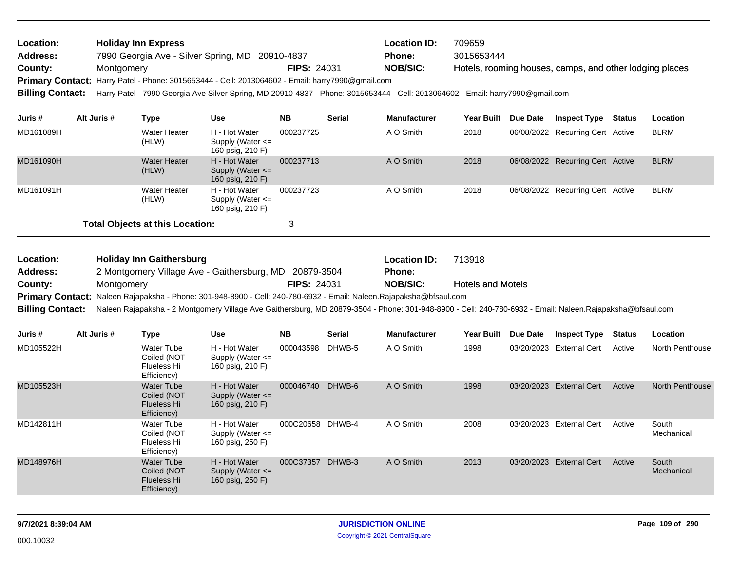| Location:               | <b>Holiday Inn Express</b>                                                                                                      |                    | <b>Location ID:</b> | 709659                                                  |
|-------------------------|---------------------------------------------------------------------------------------------------------------------------------|--------------------|---------------------|---------------------------------------------------------|
| <b>Address:</b>         | 7990 Georgia Ave - Silver Spring, MD 20910-4837                                                                                 |                    | Phone:              | 3015653444                                              |
| County:                 | Montgomery                                                                                                                      | <b>FIPS: 24031</b> | <b>NOB/SIC:</b>     | Hotels, rooming houses, camps, and other lodging places |
|                         | Primary Contact: Harry Patel - Phone: 3015653444 - Cell: 2013064602 - Email: harry7990@gmail.com                                |                    |                     |                                                         |
| <b>Billing Contact:</b> | Harry Patel - 7990 Georgia Ave Silver Spring, MD 20910-4837 - Phone: 3015653444 - Cell: 2013064602 - Email: harry7990@gmail.com |                    |                     |                                                         |
|                         |                                                                                                                                 |                    |                     |                                                         |

| Juris #   | Alt Juris # | Type                                   | Use                                                       | <b>NB</b> | <b>Serial</b> | <b>Manufacturer</b> | <b>Year Built</b> | <b>Due Date</b> | <b>Inspect Type</b>              | Status | Location    |
|-----------|-------------|----------------------------------------|-----------------------------------------------------------|-----------|---------------|---------------------|-------------------|-----------------|----------------------------------|--------|-------------|
| MD161089H |             | Water Heater<br>(HLW)                  | H - Hot Water<br>Supply (Water $\leq$<br>160 psig, 210 F) | 000237725 |               | A O Smith           | 2018              |                 | 06/08/2022 Recurring Cert Active |        | <b>BLRM</b> |
| MD161090H |             | Water Heater<br>(HLW)                  | H - Hot Water<br>Supply (Water $\leq$<br>160 psig, 210 F) | 000237713 |               | A O Smith           | 2018              |                 | 06/08/2022 Recurring Cert Active |        | <b>BLRM</b> |
| MD161091H |             | Water Heater<br>(HLW)                  | H - Hot Water<br>Supply (Water $\leq$<br>160 psig, 210 F) | 000237723 |               | A O Smith           | 2018              |                 | 06/08/2022 Recurring Cert Active |        | <b>BLRM</b> |
|           |             | <b>Total Objects at this Location:</b> |                                                           | 3         |               |                     |                   |                 |                                  |        |             |

| Location:       | <b>Holiday Inn Gaithersburg</b>                                                                                     |                    | <b>Location ID:</b> | 713918                                                                                                                                                                     |
|-----------------|---------------------------------------------------------------------------------------------------------------------|--------------------|---------------------|----------------------------------------------------------------------------------------------------------------------------------------------------------------------------|
| <b>Address:</b> | 2 Montgomery Village Ave - Gaithersburg, MD 20879-3504                                                              |                    | <b>Phone:</b>       |                                                                                                                                                                            |
| County:         | Montaomerv                                                                                                          | <b>FIPS: 24031</b> | NOB/SIC:            | <b>Hotels and Motels</b>                                                                                                                                                   |
|                 | Primary Contact: Naleen Rajapaksha - Phone: 301-948-8900 - Cell: 240-780-6932 - Email: Naleen.Rajapaksha@bfsaul.com |                    |                     |                                                                                                                                                                            |
|                 |                                                                                                                     |                    |                     | Billing Contact: Naleen Rajapaksha - 2 Montgomery Village Ave Gaithersburg, MD 20879-3504 - Phone: 301-948-8900 - Cell: 240-780-6932 - Email: Naleen.Rajapaksha@bfsaul.com |

| Juris #   | Alt Juris # | Type                                                                  | <b>Use</b>                                                | <b>NB</b> | <b>Serial</b> | <b>Manufacturer</b> | <b>Year Built</b> | Due Date   | <b>Inspect Type</b>  | <b>Status</b> | <b>Location</b>     |
|-----------|-------------|-----------------------------------------------------------------------|-----------------------------------------------------------|-----------|---------------|---------------------|-------------------|------------|----------------------|---------------|---------------------|
| MD105522H |             | <b>Water Tube</b><br>Coiled (NOT<br>Flueless Hi<br>Efficiency)        | H - Hot Water<br>Supply (Water $\leq$<br>160 psig, 210 F) | 000043598 | DHWB-5        | A O Smith           | 1998              | 03/20/2023 | <b>External Cert</b> | Active        | North Penthouse     |
| MD105523H |             | <b>Water Tube</b><br>Coiled (NOT<br><b>Flueless Hi</b><br>Efficiency) | H - Hot Water<br>Supply (Water $\leq$<br>160 psig, 210 F) | 000046740 | DHWB-6        | A O Smith           | 1998              | 03/20/2023 | <b>External Cert</b> | Active        | North Penthouse     |
| MD142811H |             | Water Tube<br>Coiled (NOT<br>Flueless Hi<br>Efficiency)               | H - Hot Water<br>Supply (Water $\leq$<br>160 psig, 250 F) | 000C20658 | DHWB-4        | A O Smith           | 2008              | 03/20/2023 | <b>External Cert</b> | Active        | South<br>Mechanical |
| MD148976H |             | <b>Water Tube</b><br>Coiled (NOT<br>Flueless Hi<br>Efficiency)        | H - Hot Water<br>Supply (Water $\leq$<br>160 psig, 250 F) | 000C37357 | DHWB-3        | A O Smith           | 2013              | 03/20/2023 | <b>External Cert</b> | Active        | South<br>Mechanical |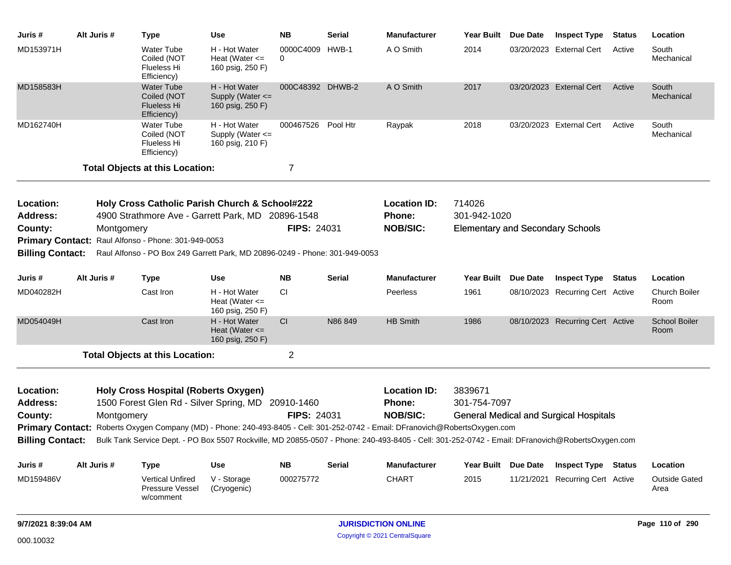| Juris #                      | Alt Juris # |            | <b>Type</b>                                                           | Use                                                                                                 | <b>NB</b>                   | <b>Serial</b> | <b>Manufacturer</b>                                                                                                                                                                                                                                                              | Year Built                              | Due Date        | <b>Inspect Type</b>                           | <b>Status</b> | Location                     |
|------------------------------|-------------|------------|-----------------------------------------------------------------------|-----------------------------------------------------------------------------------------------------|-----------------------------|---------------|----------------------------------------------------------------------------------------------------------------------------------------------------------------------------------------------------------------------------------------------------------------------------------|-----------------------------------------|-----------------|-----------------------------------------------|---------------|------------------------------|
| MD153971H                    |             |            | <b>Water Tube</b><br>Coiled (NOT<br>Flueless Hi<br>Efficiency)        | H - Hot Water<br>Heat (Water $\leq$<br>160 psig, 250 F)                                             | 0000C4009 HWB-1<br>$\Omega$ |               | A O Smith                                                                                                                                                                                                                                                                        | 2014                                    |                 | 03/20/2023 External Cert                      | Active        | South<br>Mechanical          |
| MD158583H                    |             |            | <b>Water Tube</b><br>Coiled (NOT<br><b>Flueless Hi</b><br>Efficiency) | H - Hot Water<br>Supply (Water <=<br>160 psig, 250 F)                                               | 000C48392 DHWB-2            |               | A O Smith                                                                                                                                                                                                                                                                        | 2017                                    |                 | 03/20/2023 External Cert                      | Active        | South<br>Mechanical          |
| MD162740H                    |             |            | <b>Water Tube</b><br>Coiled (NOT<br>Flueless Hi<br>Efficiency)        | H - Hot Water<br>Supply (Water $\leq$<br>160 psig, 210 F)                                           | 000467526 Pool Htr          |               | Raypak                                                                                                                                                                                                                                                                           | 2018                                    |                 | 03/20/2023 External Cert                      | Active        | South<br>Mechanical          |
|                              |             |            | <b>Total Objects at this Location:</b>                                |                                                                                                     | 7                           |               |                                                                                                                                                                                                                                                                                  |                                         |                 |                                               |               |                              |
| Location:<br><b>Address:</b> |             |            |                                                                       | Holy Cross Catholic Parish Church & School#222<br>4900 Strathmore Ave - Garrett Park, MD 20896-1548 |                             |               | <b>Location ID:</b><br>Phone:                                                                                                                                                                                                                                                    | 714026<br>301-942-1020                  |                 |                                               |               |                              |
| County:                      |             | Montgomery |                                                                       |                                                                                                     | <b>FIPS: 24031</b>          |               | <b>NOB/SIC:</b>                                                                                                                                                                                                                                                                  | <b>Elementary and Secondary Schools</b> |                 |                                               |               |                              |
|                              |             |            | Primary Contact: Raul Alfonso - Phone: 301-949-0053                   |                                                                                                     |                             |               |                                                                                                                                                                                                                                                                                  |                                         |                 |                                               |               |                              |
| <b>Billing Contact:</b>      |             |            |                                                                       | Raul Alfonso - PO Box 249 Garrett Park, MD 20896-0249 - Phone: 301-949-0053                         |                             |               |                                                                                                                                                                                                                                                                                  |                                         |                 |                                               |               |                              |
| Juris #                      | Alt Juris # |            | <b>Type</b>                                                           | <b>Use</b>                                                                                          | <b>NB</b>                   | <b>Serial</b> | <b>Manufacturer</b>                                                                                                                                                                                                                                                              | Year Built Due Date                     |                 | <b>Inspect Type Status</b>                    |               | Location                     |
| MD040282H                    |             |            | Cast Iron                                                             | H - Hot Water<br>Heat (Water $\leq$<br>160 psig, 250 F)                                             | <b>CI</b>                   |               | Peerless                                                                                                                                                                                                                                                                         | 1961                                    |                 | 08/10/2023 Recurring Cert Active              |               | Church Boiler<br>Room        |
| MD054049H                    |             |            | Cast Iron                                                             | H - Hot Water<br>Heat (Water $\leq$<br>160 psig, 250 F)                                             | CI                          | N86849        | <b>HB Smith</b>                                                                                                                                                                                                                                                                  | 1986                                    |                 | 08/10/2023 Recurring Cert Active              |               | <b>School Boiler</b><br>Room |
|                              |             |            | <b>Total Objects at this Location:</b>                                |                                                                                                     | $\overline{2}$              |               |                                                                                                                                                                                                                                                                                  |                                         |                 |                                               |               |                              |
| Location:                    |             |            | <b>Holy Cross Hospital (Roberts Oxygen)</b>                           |                                                                                                     |                             |               | <b>Location ID:</b>                                                                                                                                                                                                                                                              | 3839671                                 |                 |                                               |               |                              |
| <b>Address:</b>              |             |            |                                                                       | 1500 Forest Glen Rd - Silver Spring, MD 20910-1460                                                  |                             |               | Phone:                                                                                                                                                                                                                                                                           | 301-754-7097                            |                 |                                               |               |                              |
| County:                      |             | Montgomery |                                                                       |                                                                                                     | <b>FIPS: 24031</b>          |               | <b>NOB/SIC:</b>                                                                                                                                                                                                                                                                  |                                         |                 | <b>General Medical and Surgical Hospitals</b> |               |                              |
| <b>Billing Contact:</b>      |             |            |                                                                       |                                                                                                     |                             |               | Primary Contact: Roberts Oxygen Company (MD) - Phone: 240-493-8405 - Cell: 301-252-0742 - Email: DFranovich@RobertsOxygen.com<br>Bulk Tank Service Dept. - PO Box 5507 Rockville, MD 20855-0507 - Phone: 240-493-8405 - Cell: 301-252-0742 - Email: DFranovich@RobertsOxygen.com |                                         |                 |                                               |               |                              |
| Juris #                      | Alt Juris # |            | <b>Type</b>                                                           | <b>Use</b>                                                                                          | <b>NB</b>                   | <b>Serial</b> | <b>Manufacturer</b>                                                                                                                                                                                                                                                              | Year Built                              | <b>Due Date</b> | <b>Inspect Type Status</b>                    |               | Location                     |
| MD159486V                    |             |            | <b>Vertical Unfired</b><br>Pressure Vessel<br>w/comment               | V - Storage<br>(Cryogenic)                                                                          | 000275772                   |               | <b>CHART</b>                                                                                                                                                                                                                                                                     | 2015                                    |                 | 11/21/2021 Recurring Cert Active              |               | <b>Outside Gated</b><br>Area |
| 9/7/2021 8:39:04 AM          |             |            |                                                                       |                                                                                                     |                             |               | <b>JURISDICTION ONLINE</b>                                                                                                                                                                                                                                                       |                                         |                 |                                               |               | Page 110 of 290              |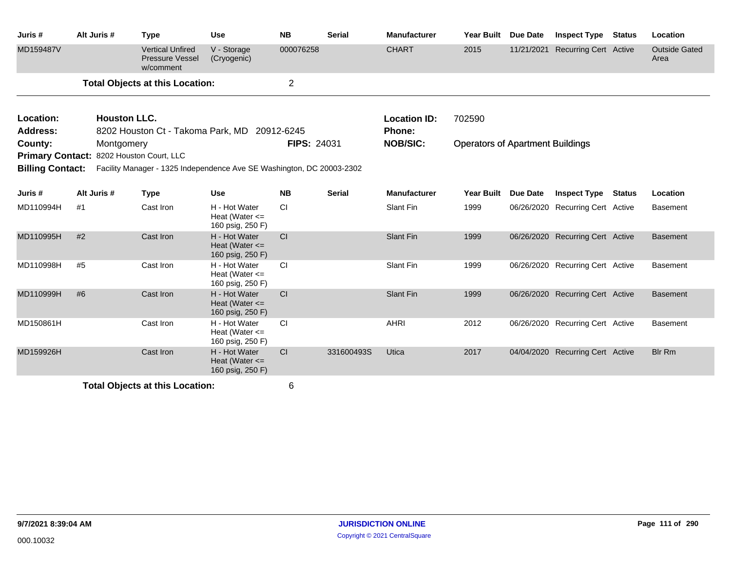| Juris #                 | Alt Juris #                              | <b>Type</b>                                                           | <b>Use</b>                                              | <b>NB</b>      | <b>Serial</b> | <b>Manufacturer</b> | Year Built                              | <b>Due Date</b> | <b>Inspect Type</b>              | <b>Status</b> | Location                     |
|-------------------------|------------------------------------------|-----------------------------------------------------------------------|---------------------------------------------------------|----------------|---------------|---------------------|-----------------------------------------|-----------------|----------------------------------|---------------|------------------------------|
| MD159487V               |                                          | <b>Vertical Unfired</b><br><b>Pressure Vessel</b><br>w/comment        | V - Storage<br>(Cryogenic)                              | 000076258      |               | <b>CHART</b>        | 2015                                    | 11/21/2021      | <b>Recurring Cert Active</b>     |               | <b>Outside Gated</b><br>Area |
|                         |                                          | <b>Total Objects at this Location:</b>                                |                                                         | $\overline{2}$ |               |                     |                                         |                 |                                  |               |                              |
| Location:               | <b>Houston LLC.</b>                      |                                                                       |                                                         |                |               | <b>Location ID:</b> | 702590                                  |                 |                                  |               |                              |
| Address:                |                                          | 8202 Houston Ct - Takoma Park, MD                                     |                                                         | 20912-6245     |               | <b>Phone:</b>       |                                         |                 |                                  |               |                              |
| County:                 | Montgomery                               |                                                                       |                                                         | FIPS: 24031    |               | <b>NOB/SIC:</b>     | <b>Operators of Apartment Buildings</b> |                 |                                  |               |                              |
|                         | Primary Contact: 8202 Houston Court, LLC |                                                                       |                                                         |                |               |                     |                                         |                 |                                  |               |                              |
| <b>Billing Contact:</b> |                                          | Facility Manager - 1325 Independence Ave SE Washington, DC 20003-2302 |                                                         |                |               |                     |                                         |                 |                                  |               |                              |
| Juris #                 | Alt Juris #                              | <b>Type</b>                                                           | <b>Use</b>                                              | <b>NB</b>      | <b>Serial</b> | <b>Manufacturer</b> | <b>Year Built</b>                       | Due Date        | <b>Inspect Type</b>              | <b>Status</b> | Location                     |
| MD110994H               | #1                                       | Cast Iron                                                             | H - Hot Water<br>Heat (Water $\leq$<br>160 psig, 250 F) | CI             |               | Slant Fin           | 1999                                    |                 | 06/26/2020 Recurring Cert Active |               | <b>Basement</b>              |
| MD110995H               | #2                                       | Cast Iron                                                             | H - Hot Water<br>Heat (Water $\leq$<br>160 psig, 250 F) | CI             |               | <b>Slant Fin</b>    | 1999                                    |                 | 06/26/2020 Recurring Cert Active |               | <b>Basement</b>              |
| MD110998H               | #5                                       | Cast Iron                                                             | H - Hot Water<br>Heat (Water $\leq$<br>160 psig, 250 F) | <b>CI</b>      |               | Slant Fin           | 1999                                    |                 | 06/26/2020 Recurring Cert Active |               | <b>Basement</b>              |
| MD110999H               | #6                                       | Cast Iron                                                             | H - Hot Water<br>Heat (Water $\leq$<br>160 psig, 250 F) | <b>CI</b>      |               | <b>Slant Fin</b>    | 1999                                    |                 | 06/26/2020 Recurring Cert Active |               | <b>Basement</b>              |
| MD150861H               |                                          | Cast Iron                                                             | H - Hot Water<br>Heat (Water $\leq$<br>160 psig, 250 F) | CI             |               | <b>AHRI</b>         | 2012                                    |                 | 06/26/2020 Recurring Cert Active |               | <b>Basement</b>              |
| MD159926H               |                                          | Cast Iron                                                             | H - Hot Water<br>Heat (Water $\leq$<br>160 psig, 250 F) | CI             | 331600493S    | Utica               | 2017                                    |                 | 04/04/2020 Recurring Cert Active |               | <b>Blr Rm</b>                |
|                         |                                          | Total Ohianta at this Location                                        |                                                         | $\mathbf{C}$   |               |                     |                                         |                 |                                  |               |                              |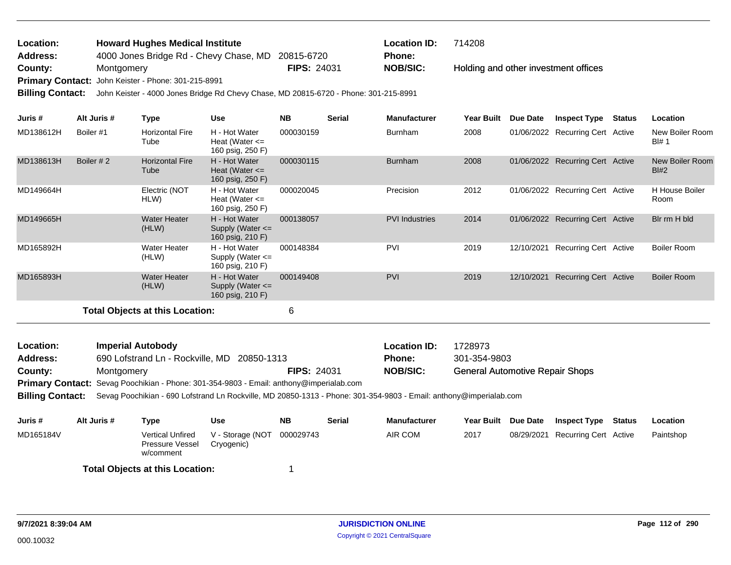| Location:       | <b>Howard Hughes Medical Institute</b>                                                                  |                    | <b>Location ID:</b> | 714208                               |
|-----------------|---------------------------------------------------------------------------------------------------------|--------------------|---------------------|--------------------------------------|
| <b>Address:</b> | 4000 Jones Bridge Rd - Chevy Chase, MD 20815-6720                                                       |                    | <b>Phone:</b>       |                                      |
| County:         | Montaomerv                                                                                              | <b>FIPS: 24031</b> | NOB/SIC:            | Holding and other investment offices |
|                 | <b>Primary Contact:</b> John Keister - Phone: 301-215-8991                                              |                    |                     |                                      |
|                 | <b>Dillian Operante Library (Anno 1986)</b> Direct Dillian Dil Obera AND 00045 0700 Direct 004 045 0004 |                    |                     |                                      |

**Billing Contact:** John Keister - 4000 Jones Bridge Rd Chevy Chase, MD 20815-6720 - Phone: 301-215-8991

| Juris #   | Alt Juris # | Type                                   | <b>Use</b>                                                | <b>NB</b>          | <b>Serial</b> | <b>Manufacturer</b>   | <b>Year Built</b>                      | Due Date   | <b>Inspect Type</b>              | <b>Status</b> | Location                      |
|-----------|-------------|----------------------------------------|-----------------------------------------------------------|--------------------|---------------|-----------------------|----------------------------------------|------------|----------------------------------|---------------|-------------------------------|
| MD138612H | Boiler #1   | <b>Horizontal Fire</b><br>Tube         | H - Hot Water<br>Heat (Water $\leq$<br>160 psig, 250 F)   | 000030159          |               | <b>Burnham</b>        | 2008                                   |            | 01/06/2022 Recurring Cert Active |               | New Boiler Room<br>Bl# 1      |
| MD138613H | Boiler #2   | <b>Horizontal Fire</b><br>Tube         | H - Hot Water<br>Heat (Water $\leq$<br>160 psig, 250 F)   | 000030115          |               | <b>Burnham</b>        | 2008                                   |            | 01/06/2022 Recurring Cert Active |               | New Boiler Room<br>Bl#2       |
| MD149664H |             | Electric (NOT<br>HLW)                  | H - Hot Water<br>Heat (Water $\leq$<br>160 psig, 250 F)   | 000020045          |               | Precision             | 2012                                   |            | 01/06/2022 Recurring Cert Active |               | <b>H</b> House Boiler<br>Room |
| MD149665H |             | <b>Water Heater</b><br>(HLW)           | H - Hot Water<br>Supply (Water $\leq$<br>160 psig, 210 F) | 000138057          |               | <b>PVI</b> Industries | 2014                                   |            | 01/06/2022 Recurring Cert Active |               | Bir rm H bid                  |
| MD165892H |             | <b>Water Heater</b><br>(HLW)           | H - Hot Water<br>Supply (Water $\leq$<br>160 psig, 210 F) | 000148384          |               | <b>PVI</b>            | 2019                                   | 12/10/2021 | Recurring Cert Active            |               | <b>Boiler Room</b>            |
| MD165893H |             | <b>Water Heater</b><br>(HLW)           | H - Hot Water<br>Supply (Water $\leq$<br>160 psig, 210 F) | 000149408          |               | <b>PVI</b>            | 2019                                   | 12/10/2021 | Recurring Cert Active            |               | <b>Boiler Room</b>            |
|           |             | <b>Total Objects at this Location:</b> |                                                           | 6                  |               |                       |                                        |            |                                  |               |                               |
| Location: |             | <b>Imperial Autobody</b>               |                                                           |                    |               | <b>Location ID:</b>   | 1728973                                |            |                                  |               |                               |
| Address:  |             | 690 Lofstrand Ln - Rockville, MD       | 20850-1313                                                |                    |               | <b>Phone:</b>         | 301-354-9803                           |            |                                  |               |                               |
| County:   | Montgomery  |                                        |                                                           | <b>FIPS: 24031</b> |               | <b>NOB/SIC:</b>       | <b>General Automotive Repair Shops</b> |            |                                  |               |                               |

**Primary Contact:** Sevag Poochikian - Phone: 301-354-9803 - Email: anthony@imperialab.com

**Billing Contact:** Sevag Poochikian - 690 Lofstrand Ln Rockville, MD 20850-1313 - Phone: 301-354-9803 - Email: anthony@imperialab.com

| Juris #   | Alt Juris # | Type                                             | Use                                      | NΒ | <b>Serial</b> | Manufacturer | Year Built | Due Date | <b>Inspect Type</b>              | Status | Location  |
|-----------|-------------|--------------------------------------------------|------------------------------------------|----|---------------|--------------|------------|----------|----------------------------------|--------|-----------|
| MD165184V |             | Vertical Unfired<br>Pressure Vessel<br>w/comment | V - Storage (NOT 000029743<br>Cryogenic) |    |               | AIR COM      | 2017       |          | 08/29/2021 Recurring Cert Active |        | Paintshop |
|           |             | <b>Total Objects at this Location:</b>           |                                          |    |               |              |            |          |                                  |        |           |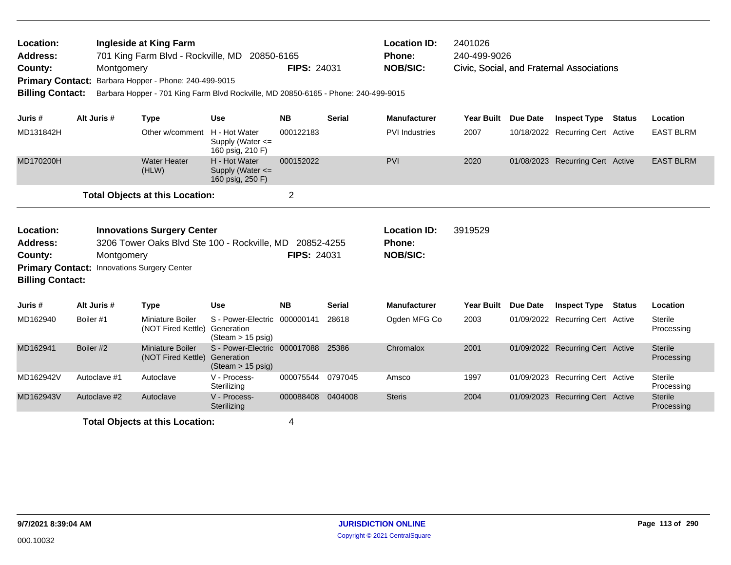| <b>Location ID:</b><br>Ingleside at King Farm<br>2401026<br>Location:<br>701 King Farm Blvd - Rockville, MD 20850-6165<br>240-499-9026<br><b>Address:</b><br>Phone:<br><b>NOB/SIC:</b><br><b>FIPS: 24031</b><br>County:<br>Montgomery<br>Civic, Social, and Fraternal Associations<br>Barbara Hopper - Phone: 240-499-9015<br><b>Primary Contact:</b><br><b>Billing Contact:</b><br>Barbara Hopper - 701 King Farm Blvd Rockville, MD 20850-6165 - Phone: 240-499-9015 |                                                                                                                                                                                                                                                                                         |              |                                               |                                                                                 |                   |               |                       |                   |                 |                                  |        |                              |
|------------------------------------------------------------------------------------------------------------------------------------------------------------------------------------------------------------------------------------------------------------------------------------------------------------------------------------------------------------------------------------------------------------------------------------------------------------------------|-----------------------------------------------------------------------------------------------------------------------------------------------------------------------------------------------------------------------------------------------------------------------------------------|--------------|-----------------------------------------------|---------------------------------------------------------------------------------|-------------------|---------------|-----------------------|-------------------|-----------------|----------------------------------|--------|------------------------------|
| Juris #                                                                                                                                                                                                                                                                                                                                                                                                                                                                |                                                                                                                                                                                                                                                                                         | Alt Juris #  | <b>Type</b>                                   | <b>Use</b>                                                                      | <b>NB</b>         | <b>Serial</b> | <b>Manufacturer</b>   | <b>Year Built</b> | <b>Due Date</b> | <b>Inspect Type</b>              | Status | Location                     |
| MD131842H                                                                                                                                                                                                                                                                                                                                                                                                                                                              |                                                                                                                                                                                                                                                                                         |              | Other w/comment H - Hot Water                 | Supply (Water $\leq$<br>160 psig, 210 F)                                        | 000122183         |               | <b>PVI</b> Industries | 2007              |                 | 10/18/2022 Recurring Cert Active |        | <b>EAST BLRM</b>             |
| MD170200H                                                                                                                                                                                                                                                                                                                                                                                                                                                              |                                                                                                                                                                                                                                                                                         |              | <b>Water Heater</b><br>(HLW)                  | H - Hot Water<br>Supply (Water $\leq$<br>160 psig, 250 F)                       | 000152022         |               | <b>PVI</b>            | 2020              |                 | 01/08/2023 Recurring Cert Active |        | <b>EAST BLRM</b>             |
|                                                                                                                                                                                                                                                                                                                                                                                                                                                                        |                                                                                                                                                                                                                                                                                         |              | <b>Total Objects at this Location:</b>        |                                                                                 | $\overline{2}$    |               |                       |                   |                 |                                  |        |                              |
| Location:<br><b>Address:</b><br>County:                                                                                                                                                                                                                                                                                                                                                                                                                                | <b>Innovations Surgery Center</b><br><b>Location ID:</b><br>3919529<br>3206 Tower Oaks Blvd Ste 100 - Rockville, MD 20852-4255<br><b>Phone:</b><br><b>FIPS: 24031</b><br><b>NOB/SIC:</b><br>Montgomery<br><b>Primary Contact: Innovations Surgery Center</b><br><b>Billing Contact:</b> |              |                                               |                                                                                 |                   |               |                       |                   |                 |                                  |        |                              |
| Juris #                                                                                                                                                                                                                                                                                                                                                                                                                                                                |                                                                                                                                                                                                                                                                                         | Alt Juris #  | Type                                          | Use                                                                             | <b>NB</b>         | <b>Serial</b> | <b>Manufacturer</b>   | <b>Year Built</b> | <b>Due Date</b> | <b>Inspect Type Status</b>       |        | Location                     |
| MD162940                                                                                                                                                                                                                                                                                                                                                                                                                                                               | Boiler #1                                                                                                                                                                                                                                                                               |              | <b>Miniature Boiler</b><br>(NOT Fired Kettle) | S - Power-Electric 000000141<br>Generation<br>(Steam > 15 psig)                 |                   | 28618         | Ogden MFG Co          | 2003              |                 | 01/09/2022 Recurring Cert Active |        | <b>Sterile</b><br>Processing |
| MD162941                                                                                                                                                                                                                                                                                                                                                                                                                                                               | Boiler #2                                                                                                                                                                                                                                                                               |              | <b>Miniature Boiler</b><br>(NOT Fired Kettle) | S - Power-Electric 000017088 25386<br>Generation<br>$(Steam > 15 \text{ psig})$ |                   |               | Chromalox             | 2001              |                 | 01/09/2022 Recurring Cert Active |        | <b>Sterile</b><br>Processing |
| MD162942V                                                                                                                                                                                                                                                                                                                                                                                                                                                              |                                                                                                                                                                                                                                                                                         | Autoclave #1 | Autoclave                                     | V - Process-<br>Sterilizing                                                     | 000075544         | 0797045       | Amsco                 | 1997              |                 | 01/09/2023 Recurring Cert Active |        | <b>Sterile</b><br>Processing |
| MD162943V                                                                                                                                                                                                                                                                                                                                                                                                                                                              |                                                                                                                                                                                                                                                                                         | Autoclave #2 | Autoclave                                     | V - Process-<br>Sterilizing                                                     | 000088408 0404008 |               | <b>Steris</b>         | 2004              |                 | 01/09/2023 Recurring Cert Active |        | <b>Sterile</b><br>Processing |
|                                                                                                                                                                                                                                                                                                                                                                                                                                                                        |                                                                                                                                                                                                                                                                                         |              | <b>Total Objects at this Location:</b>        |                                                                                 | 4                 |               |                       |                   |                 |                                  |        |                              |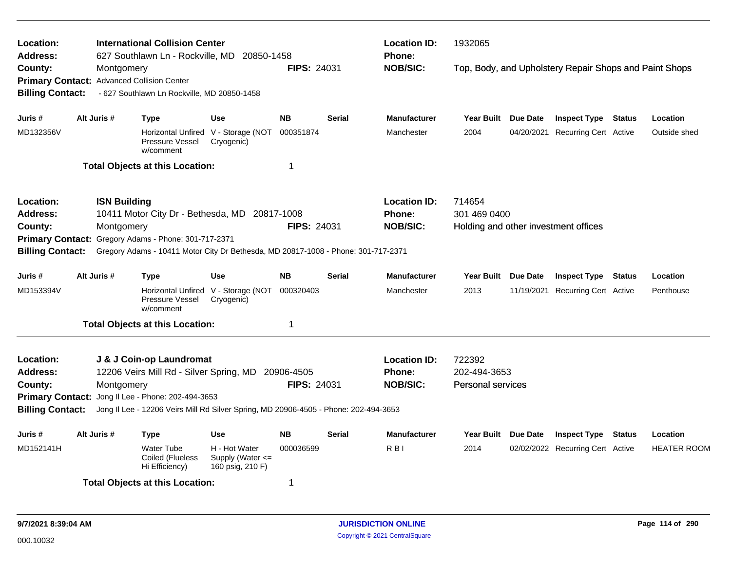| <b>International Collision Center</b><br>Location:<br>627 Southlawn Ln - Rockville, MD 20850-1458<br><b>Address:</b> |                                            |                                                                                      |                                                       |                    |               | <b>Location ID:</b><br>1932065<br><b>Phone:</b> |                                                        |                     |                                      |        |                    |  |  |
|----------------------------------------------------------------------------------------------------------------------|--------------------------------------------|--------------------------------------------------------------------------------------|-------------------------------------------------------|--------------------|---------------|-------------------------------------------------|--------------------------------------------------------|---------------------|--------------------------------------|--------|--------------------|--|--|
| County:                                                                                                              | Montgomery                                 |                                                                                      |                                                       | <b>FIPS: 24031</b> |               | <b>NOB/SIC:</b>                                 | Top, Body, and Upholstery Repair Shops and Paint Shops |                     |                                      |        |                    |  |  |
|                                                                                                                      | Primary Contact: Advanced Collision Center |                                                                                      |                                                       |                    |               |                                                 |                                                        |                     |                                      |        |                    |  |  |
| <b>Billing Contact:</b>                                                                                              |                                            | - 627 Southlawn Ln Rockville, MD 20850-1458                                          |                                                       |                    |               |                                                 |                                                        |                     |                                      |        |                    |  |  |
| Juris #                                                                                                              | Alt Juris #                                | <b>Type</b>                                                                          | <b>Use</b>                                            | <b>NB</b>          | <b>Serial</b> | <b>Manufacturer</b>                             | <b>Year Built</b>                                      | Due Date            | <b>Inspect Type Status</b>           |        | Location           |  |  |
| MD132356V                                                                                                            |                                            | Pressure Vessel<br>w/comment                                                         | Horizontal Unfired V - Storage (NOT<br>Cryogenic)     | 000351874          |               | Manchester                                      | 2004                                                   | 04/20/2021          | Recurring Cert Active                |        | Outside shed       |  |  |
|                                                                                                                      |                                            | <b>Total Objects at this Location:</b>                                               |                                                       | $\mathbf 1$        |               |                                                 |                                                        |                     |                                      |        |                    |  |  |
| Location:                                                                                                            | <b>ISN Building</b>                        |                                                                                      |                                                       |                    |               | <b>Location ID:</b>                             | 714654                                                 |                     |                                      |        |                    |  |  |
| Address:                                                                                                             |                                            | 10411 Motor City Dr - Bethesda, MD 20817-1008                                        |                                                       |                    |               | Phone:                                          | 301 469 0400                                           |                     |                                      |        |                    |  |  |
| County:                                                                                                              | Montgomery                                 |                                                                                      |                                                       | FIPS: 24031        |               | <b>NOB/SIC:</b>                                 |                                                        |                     | Holding and other investment offices |        |                    |  |  |
| <b>Primary Contact:</b>                                                                                              |                                            | Gregory Adams - Phone: 301-717-2371                                                  |                                                       |                    |               |                                                 |                                                        |                     |                                      |        |                    |  |  |
| <b>Billing Contact:</b>                                                                                              |                                            | Gregory Adams - 10411 Motor City Dr Bethesda, MD 20817-1008 - Phone: 301-717-2371    |                                                       |                    |               |                                                 |                                                        |                     |                                      |        |                    |  |  |
| Juris #                                                                                                              | Alt Juris #                                | <b>Type</b>                                                                          | Use                                                   | <b>NB</b>          | <b>Serial</b> | <b>Manufacturer</b>                             |                                                        | Year Built Due Date | <b>Inspect Type Status</b>           |        | Location           |  |  |
| MD153394V                                                                                                            |                                            | Pressure Vessel<br>w/comment                                                         | Horizontal Unfired V - Storage (NOT<br>Cryogenic)     | 000320403          |               | Manchester                                      | 2013                                                   |                     | 11/19/2021 Recurring Cert Active     |        | Penthouse          |  |  |
|                                                                                                                      |                                            | <b>Total Objects at this Location:</b>                                               |                                                       | -1                 |               |                                                 |                                                        |                     |                                      |        |                    |  |  |
| <b>Location:</b>                                                                                                     |                                            | J & J Coin-op Laundromat                                                             |                                                       |                    |               | <b>Location ID:</b>                             | 722392                                                 |                     |                                      |        |                    |  |  |
| <b>Address:</b>                                                                                                      |                                            | 12206 Veirs Mill Rd - Silver Spring, MD                                              |                                                       | 20906-4505         |               | <b>Phone:</b>                                   | 202-494-3653                                           |                     |                                      |        |                    |  |  |
| County:                                                                                                              | Montgomery                                 |                                                                                      |                                                       | FIPS: 24031        |               | <b>NOB/SIC:</b>                                 | Personal services                                      |                     |                                      |        |                    |  |  |
| <b>Primary Contact:</b>                                                                                              |                                            | Jong II Lee - Phone: 202-494-3653                                                    |                                                       |                    |               |                                                 |                                                        |                     |                                      |        |                    |  |  |
| <b>Billing Contact:</b>                                                                                              |                                            | Jong II Lee - 12206 Veirs Mill Rd Silver Spring, MD 20906-4505 - Phone: 202-494-3653 |                                                       |                    |               |                                                 |                                                        |                     |                                      |        |                    |  |  |
| Juris #                                                                                                              | Alt Juris #                                | <b>Type</b>                                                                          | <b>Use</b>                                            | <b>NB</b>          | <b>Serial</b> | <b>Manufacturer</b>                             | Year Built                                             | Due Date            | <b>Inspect Type</b>                  | Status | Location           |  |  |
| MD152141H                                                                                                            |                                            | <b>Water Tube</b><br>Coiled (Flueless<br>Hi Efficiency)                              | H - Hot Water<br>Supply (Water <=<br>160 psig, 210 F) | 000036599          |               | RBI                                             | 2014                                                   |                     | 02/02/2022 Recurring Cert Active     |        | <b>HEATER ROOM</b> |  |  |
|                                                                                                                      |                                            | <b>Total Objects at this Location:</b>                                               |                                                       | $\overline{1}$     |               |                                                 |                                                        |                     |                                      |        |                    |  |  |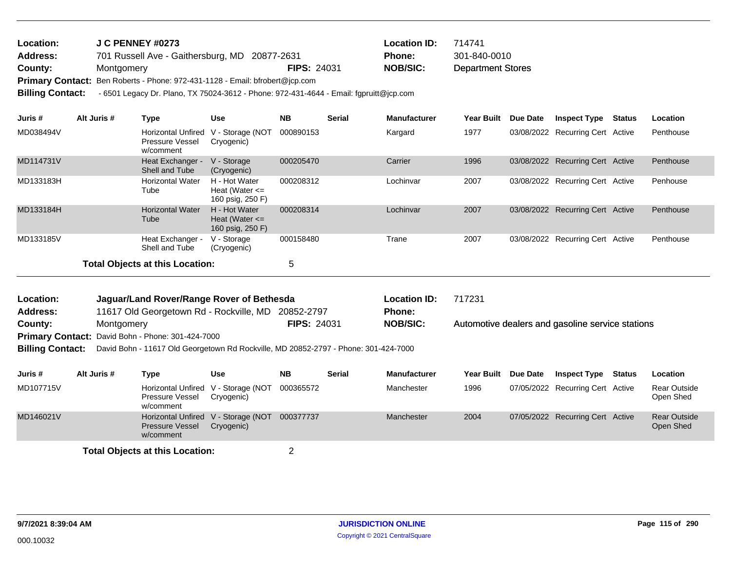| <b>Location:</b> | J C PENNEY #0273                                                                        |                    | <b>Location ID:</b> | 714741                   |
|------------------|-----------------------------------------------------------------------------------------|--------------------|---------------------|--------------------------|
| <b>Address:</b>  | 701 Russell Ave - Gaithersburg, MD 20877-2631                                           |                    | <b>Phone:</b>       | 301-840-0010             |
| County:          | Montgomery                                                                              | <b>FIPS: 24031</b> | <b>NOB/SIC:</b>     | <b>Department Stores</b> |
|                  | $\mathsf{D}$ uimerus Centeet: Den Deberte, Dhones 079,494,4498. Emeil: hfrebert@ien.com |                    |                     |                          |

Primary Contact: Ben Roberts - Phone: 972-431-1128 - Email: bfrobert@jcp.com

**Billing Contact:** - 6501 Legacy Dr. Plano, TX 75024-3612 - Phone: 972-431-4644 - Email: fgpruitt@jcp.com

| Juris #   | Alt Juris # | Type                                               | <b>Use</b>                                              | <b>NB</b> | <b>Serial</b> | <b>Manufacturer</b> | <b>Year Built</b> | <b>Due Date</b> | Inspect Type                     | Status | Location  |
|-----------|-------------|----------------------------------------------------|---------------------------------------------------------|-----------|---------------|---------------------|-------------------|-----------------|----------------------------------|--------|-----------|
| MD038494V |             | Horizontal Unfired<br>Pressure Vessel<br>w/comment | V - Storage (NOT<br>Cryogenic)                          | 000890153 |               | Kargard             | 1977              |                 | 03/08/2022 Recurring Cert Active |        | Penthouse |
| MD114731V |             | Heat Exchanger -<br>Shell and Tube                 | V - Storage<br>(Cryogenic)                              | 000205470 |               | Carrier             | 1996              |                 | 03/08/2022 Recurring Cert Active |        | Penthouse |
| MD133183H |             | <b>Horizontal Water</b><br>Tube                    | H - Hot Water<br>Heat (Water $\leq$<br>160 psig, 250 F) | 000208312 |               | Lochinvar           | 2007              |                 | 03/08/2022 Recurring Cert Active |        | Penhouse  |
| MD133184H |             | <b>Horizontal Water</b><br>Tube                    | H - Hot Water<br>Heat (Water $\leq$<br>160 psig, 250 F) | 000208314 |               | Lochinvar           | 2007              |                 | 03/08/2022 Recurring Cert Active |        | Penthouse |
| MD133185V |             | Heat Exchanger -<br>Shell and Tube                 | V - Storage<br>(Cryogenic)                              | 000158480 |               | Trane               | 2007              |                 | 03/08/2022 Recurring Cert Active |        | Penthouse |
|           |             | <b>Total Objects at this Location:</b>             |                                                         | 5         |               |                     |                   |                 |                                  |        |           |

| Location: | Jaguar/Land Rover/Range Rover of Bethesda                |                    | <b>Location ID:</b> | 717231                                           |
|-----------|----------------------------------------------------------|--------------------|---------------------|--------------------------------------------------|
| Address:  | 11617 Old Georgetown Rd - Rockville, MD 20852-2797       |                    | <b>Phone:</b>       |                                                  |
| County:   | Montgomery                                               | <b>FIPS: 24031</b> | <b>NOB/SIC:</b>     | Automotive dealers and gasoline service stations |
|           | <b>Primary Contact: David Bohn - Phone: 301-424-7000</b> |                    |                     |                                                  |
|           |                                                          |                    |                     |                                                  |

**Billing Contact:** David Bohn - 11617 Old Georgetown Rd Rockville, MD 20852-2797 - Phone: 301-424-7000

| Juris #   | Alt Juris # | Type                                                                | Use        | <b>NB</b> | <b>Serial</b> | <b>Manufacturer</b> | <b>Year Built</b> | <b>Due Date</b> | <b>Inspect Type</b>              | Status | <b>Location</b>           |
|-----------|-------------|---------------------------------------------------------------------|------------|-----------|---------------|---------------------|-------------------|-----------------|----------------------------------|--------|---------------------------|
| MD107715V |             | Horizontal Unfired V - Storage (NOT<br>Pressure Vessel<br>w/comment | Cryogenic) | 000365572 |               | Manchester          | 1996              |                 | 07/05/2022 Recurring Cert Active |        | Rear Outside<br>Open Shed |
| MD146021V |             | Horizontal Unfired V - Storage (NOT<br>Pressure Vessel<br>w/comment | Cryogenic) | 000377737 |               | Manchester          | 2004              |                 | 07/05/2022 Recurring Cert Active |        | Rear Outside<br>Open Shed |
|           |             |                                                                     |            |           |               |                     |                   |                 |                                  |        |                           |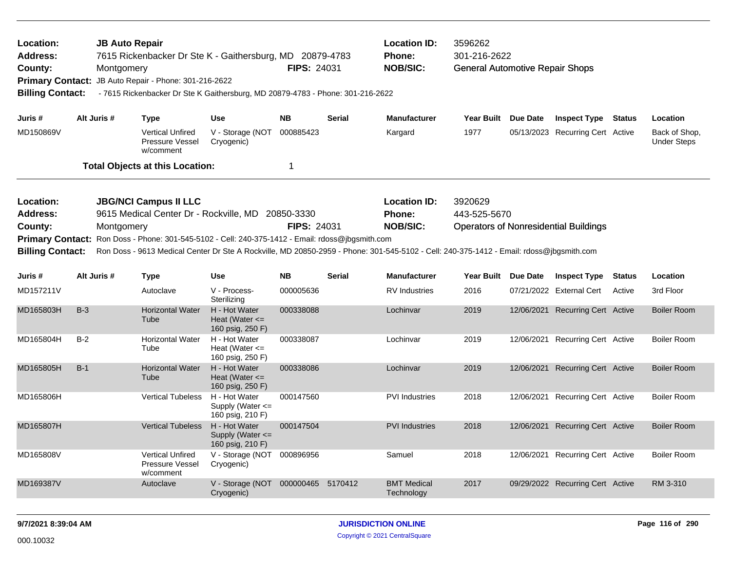| Location:<br><b>JB Auto Repair</b><br>Address:<br>7615 Rickenbacker Dr Ste K - Gaithersburg, MD 20879-4783<br><b>FIPS: 24031</b><br>County:<br>Montgomery<br>JB Auto Repair - Phone: 301-216-2622<br><b>Primary Contact:</b><br><b>Billing Contact:</b><br>- 7615 Rickenbacker Dr Ste K Gaithersburg, MD 20879-4783 - Phone: 301-216-2622 |             |                                                                                                                                                                                                                                                                                                      |                                                           |                           |               | <b>Location ID:</b><br><b>Phone:</b><br><b>NOB/SIC:</b> | 3596262<br>301-216-2622<br><b>General Automotive Repair Shops</b> |            |                                              |               |                                     |
|-------------------------------------------------------------------------------------------------------------------------------------------------------------------------------------------------------------------------------------------------------------------------------------------------------------------------------------------|-------------|------------------------------------------------------------------------------------------------------------------------------------------------------------------------------------------------------------------------------------------------------------------------------------------------------|-----------------------------------------------------------|---------------------------|---------------|---------------------------------------------------------|-------------------------------------------------------------------|------------|----------------------------------------------|---------------|-------------------------------------|
| Juris #                                                                                                                                                                                                                                                                                                                                   | Alt Juris # | Type                                                                                                                                                                                                                                                                                                 | <b>Use</b>                                                | <b>NB</b>                 | <b>Serial</b> | <b>Manufacturer</b>                                     | Year Built Due Date                                               |            | <b>Inspect Type</b>                          | Status        | Location                            |
| MD150869V                                                                                                                                                                                                                                                                                                                                 |             | <b>Vertical Unfired</b><br>Pressure Vessel<br>w/comment                                                                                                                                                                                                                                              | V - Storage (NOT<br>Cryogenic)                            | 000885423                 |               | Kargard                                                 | 1977                                                              |            | 05/13/2023 Recurring Cert Active             |               | Back of Shop,<br><b>Under Steps</b> |
|                                                                                                                                                                                                                                                                                                                                           |             | <b>Total Objects at this Location:</b>                                                                                                                                                                                                                                                               |                                                           | $\mathbf 1$               |               |                                                         |                                                                   |            |                                              |               |                                     |
| Location:<br><b>Address:</b><br>County:<br><b>Primary Contact:</b><br><b>Billing Contact:</b>                                                                                                                                                                                                                                             | Montgomery  | <b>JBG/NCI Campus II LLC</b><br>9615 Medical Center Dr - Rockville, MD<br>Ron Doss - Phone: 301-545-5102 - Cell: 240-375-1412 - Email: rdoss@jbgsmith.com<br>Ron Doss - 9613 Medical Center Dr Ste A Rockville, MD 20850-2959 - Phone: 301-545-5102 - Cell: 240-375-1412 - Email: rdoss@jbgsmith.com |                                                           | 20850-3330<br>FIPS: 24031 |               | <b>Location ID:</b><br>Phone:<br><b>NOB/SIC:</b>        | 3920629<br>443-525-5670                                           |            | <b>Operators of Nonresidential Buildings</b> |               |                                     |
| Juris #                                                                                                                                                                                                                                                                                                                                   | Alt Juris # | Type                                                                                                                                                                                                                                                                                                 | <b>Use</b>                                                | <b>NB</b>                 | <b>Serial</b> | <b>Manufacturer</b>                                     | Year Built Due Date                                               |            | <b>Inspect Type</b>                          | <b>Status</b> | Location                            |
| MD157211V                                                                                                                                                                                                                                                                                                                                 |             | Autoclave                                                                                                                                                                                                                                                                                            | V - Process-<br>Sterilizing                               | 000005636                 |               | <b>RV</b> Industries                                    | 2016                                                              |            | 07/21/2022 External Cert                     | Active        | 3rd Floor                           |
| MD165803H                                                                                                                                                                                                                                                                                                                                 | $B-3$       | <b>Horizontal Water</b><br>Tube                                                                                                                                                                                                                                                                      | H - Hot Water<br>Heat (Water $\leq$<br>160 psig, 250 F)   | 000338088                 |               | Lochinvar                                               | 2019                                                              |            | 12/06/2021 Recurring Cert Active             |               | <b>Boiler Room</b>                  |
| MD165804H                                                                                                                                                                                                                                                                                                                                 | $B-2$       | <b>Horizontal Water</b><br>Tube                                                                                                                                                                                                                                                                      | H - Hot Water<br>Heat (Water $\leq$<br>160 psig, 250 F)   | 000338087                 |               | Lochinvar                                               | 2019                                                              |            | 12/06/2021 Recurring Cert Active             |               | <b>Boiler Room</b>                  |
| MD165805H                                                                                                                                                                                                                                                                                                                                 | $B-1$       | <b>Horizontal Water</b><br>Tube                                                                                                                                                                                                                                                                      | H - Hot Water<br>Heat (Water $\leq$<br>160 psig, 250 F)   | 000338086                 |               | Lochinvar                                               | 2019                                                              | 12/06/2021 | <b>Recurring Cert Active</b>                 |               | <b>Boiler Room</b>                  |
| MD165806H                                                                                                                                                                                                                                                                                                                                 |             | <b>Vertical Tubeless</b>                                                                                                                                                                                                                                                                             | H - Hot Water<br>Supply (Water $\leq$<br>160 psig, 210 F) | 000147560                 |               | <b>PVI Industries</b>                                   | 2018                                                              |            | 12/06/2021 Recurring Cert Active             |               | <b>Boiler Room</b>                  |
| MD165807H                                                                                                                                                                                                                                                                                                                                 |             | <b>Vertical Tubeless</b>                                                                                                                                                                                                                                                                             | H - Hot Water<br>Supply (Water $\leq$<br>160 psig, 210 F) | 000147504                 |               | <b>PVI Industries</b>                                   | 2018                                                              |            | 12/06/2021 Recurring Cert Active             |               | <b>Boiler Room</b>                  |
| MD165808V                                                                                                                                                                                                                                                                                                                                 |             | <b>Vertical Unfired</b><br>Pressure Vessel<br>w/comment                                                                                                                                                                                                                                              | V - Storage (NOT<br>Cryogenic)                            | 000896956                 |               | Samuel                                                  | 2018                                                              |            | 12/06/2021 Recurring Cert Active             |               | <b>Boiler Room</b>                  |
| MD169387V                                                                                                                                                                                                                                                                                                                                 |             | Autoclave                                                                                                                                                                                                                                                                                            | V - Storage (NOT<br>Cryogenic)                            | 000000465 5170412         |               | <b>BMT Medical</b><br>Technology                        | 2017                                                              |            | 09/29/2022 Recurring Cert Active             |               | RM 3-310                            |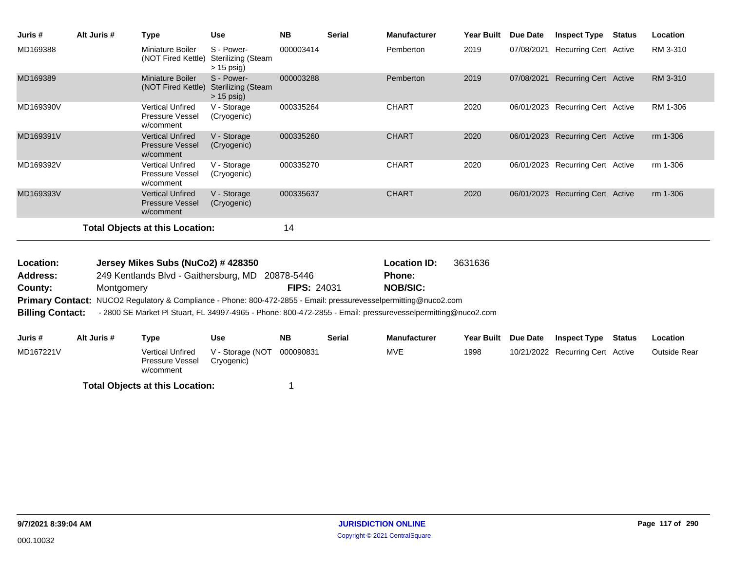| Juris #   | Alt Juris # | <b>Type</b>                                                    | <b>Use</b>                                              | <b>NB</b> | <b>Serial</b> | <b>Manufacturer</b> | <b>Year Built</b> | Due Date   | <b>Inspect Type</b>              | Status | Location |
|-----------|-------------|----------------------------------------------------------------|---------------------------------------------------------|-----------|---------------|---------------------|-------------------|------------|----------------------------------|--------|----------|
| MD169388  |             | Miniature Boiler<br>(NOT Fired Kettle)                         | S - Power-<br><b>Sterilizing (Steam</b><br>$> 15$ psig) | 000003414 |               | Pemberton           | 2019              | 07/08/2021 | <b>Recurring Cert Active</b>     |        | RM 3-310 |
| MD169389  |             | Miniature Boiler<br>(NOT Fired Kettle)                         | S - Power-<br><b>Sterilizing (Steam</b><br>$> 15$ psig) | 000003288 |               | Pemberton           | 2019              | 07/08/2021 | <b>Recurring Cert Active</b>     |        | RM 3-310 |
| MD169390V |             | <b>Vertical Unfired</b><br>Pressure Vessel<br>w/comment        | V - Storage<br>(Cryogenic)                              | 000335264 |               | <b>CHART</b>        | 2020              | 06/01/2023 | Recurring Cert Active            |        | RM 1-306 |
| MD169391V |             | <b>Vertical Unfired</b><br><b>Pressure Vessel</b><br>w/comment | V - Storage<br>(Cryogenic)                              | 000335260 |               | <b>CHART</b>        | 2020              |            | 06/01/2023 Recurring Cert Active |        | rm 1-306 |
| MD169392V |             | <b>Vertical Unfired</b><br><b>Pressure Vessel</b><br>w/comment | V - Storage<br>(Cryogenic)                              | 000335270 |               | <b>CHART</b>        | 2020              |            | 06/01/2023 Recurring Cert Active |        | rm 1-306 |
| MD169393V |             | <b>Vertical Unfired</b><br><b>Pressure Vessel</b><br>w/comment | V - Storage<br>(Cryogenic)                              | 000335637 |               | <b>CHART</b>        | 2020              | 06/01/2023 | <b>Recurring Cert Active</b>     |        | rm 1-306 |
|           |             | <b>Total Objects at this Location:</b>                         |                                                         | 14        |               |                     |                   |            |                                  |        |          |
|           |             |                                                                |                                                         |           |               |                     |                   |            |                                  |        |          |

| Location:               | Jersey Mikes Subs (NuCo2) # 428350                                                                               |                    | <b>Location ID:</b> | 3631636 |
|-------------------------|------------------------------------------------------------------------------------------------------------------|--------------------|---------------------|---------|
| Address:                | 249 Kentlands Blvd - Gaithersburg, MD 20878-5446                                                                 |                    | <b>Phone:</b>       |         |
| County:                 | Montgomery                                                                                                       | <b>FIPS: 24031</b> | <b>NOB/SIC:</b>     |         |
|                         | Primary Contact: NUCO2 Regulatory & Compliance - Phone: 800-472-2855 - Email: pressurevesselpermitting@nuco2.com |                    |                     |         |
| <b>Billing Contact:</b> | - 2800 SE Market PI Stuart, FL 34997-4965 - Phone: 800-472-2855 - Email: pressurevesselpermitting@nuco2.com      |                    |                     |         |
|                         |                                                                                                                  |                    |                     |         |
|                         |                                                                                                                  |                    |                     |         |

| Juris #   | Alt Juris # | Type                                                    | Use                            | <b>NB</b> | Serial | <b>Manufacturer</b> | <b>Year Built</b> | <b>Due Date</b> | <b>Inspect Type Status</b>       | <b>Location</b>     |
|-----------|-------------|---------------------------------------------------------|--------------------------------|-----------|--------|---------------------|-------------------|-----------------|----------------------------------|---------------------|
| MD167221V |             | <b>Vertical Unfired</b><br>Pressure Vessel<br>w/comment | V - Storage (NOT<br>Cryogenic) | 000090831 |        | MVE                 | 1998              |                 | 10/21/2022 Recurring Cert Active | <b>Outside Rear</b> |
|           |             | <b>Total Objects at this Location:</b>                  |                                |           |        |                     |                   |                 |                                  |                     |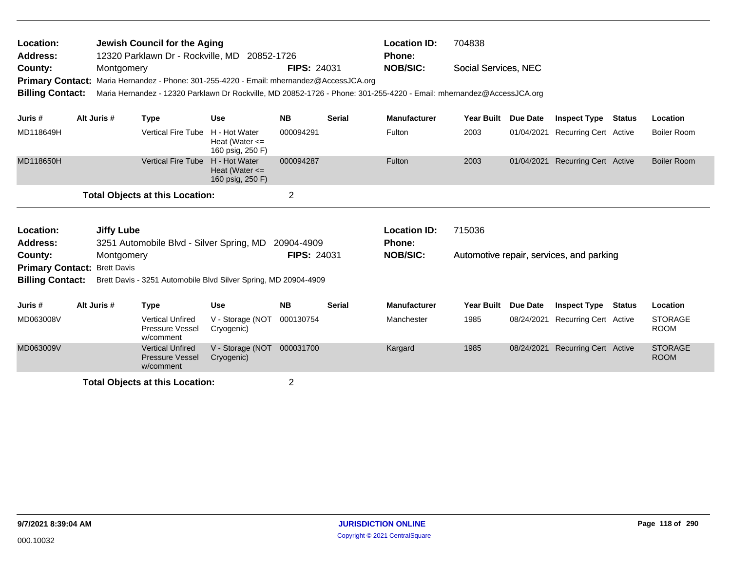| Location:<br>Address:<br>County:<br><b>Primary Contact:</b><br><b>Billing Contact:</b> | Jewish Council for the Aging<br>12320 Parklawn Dr - Rockville, MD 20852-1726<br>Montgomery<br>Maria Hernandez - Phone: 301-255-4220 - Email: mhernandez@AccessJCA.org<br>Maria Hernandez - 12320 Parklawn Dr Rockville, MD 20852-1726 - Phone: 301-255-4220 - Email: mhernandez@AccessJCA.org |             |                                                                |                                                                 | <b>FIPS: 24031</b> |               | <b>Location ID:</b><br><b>Phone:</b><br><b>NOB/SIC:</b> | 704838<br>Social Services, NEC |                 |                                          |               |                               |
|----------------------------------------------------------------------------------------|-----------------------------------------------------------------------------------------------------------------------------------------------------------------------------------------------------------------------------------------------------------------------------------------------|-------------|----------------------------------------------------------------|-----------------------------------------------------------------|--------------------|---------------|---------------------------------------------------------|--------------------------------|-----------------|------------------------------------------|---------------|-------------------------------|
| Juris #                                                                                |                                                                                                                                                                                                                                                                                               | Alt Juris # | <b>Type</b>                                                    | <b>Use</b>                                                      | <b>NB</b>          | <b>Serial</b> | <b>Manufacturer</b>                                     | <b>Year Built</b>              | <b>Due Date</b> | <b>Inspect Type</b>                      | <b>Status</b> | Location                      |
| MD118649H                                                                              |                                                                                                                                                                                                                                                                                               |             | <b>Vertical Fire Tube</b>                                      | H - Hot Water<br>Heat (Water $\leq$<br>160 psig, 250 F)         | 000094291          |               | Fulton                                                  | 2003                           | 01/04/2021      | <b>Recurring Cert Active</b>             |               | Boiler Room                   |
| MD118650H                                                                              |                                                                                                                                                                                                                                                                                               |             | <b>Vertical Fire Tube</b>                                      | H - Hot Water<br>Heat (Water $\leq$<br>160 psig, 250 F)         | 000094287          |               | Fulton                                                  | 2003                           | 01/04/2021      | <b>Recurring Cert Active</b>             |               | <b>Boiler Room</b>            |
|                                                                                        |                                                                                                                                                                                                                                                                                               |             | <b>Total Objects at this Location:</b>                         |                                                                 | $\overline{2}$     |               |                                                         |                                |                 |                                          |               |                               |
| Location:<br><b>Address:</b>                                                           |                                                                                                                                                                                                                                                                                               | Jiffy Lube  | 3251 Automobile Blvd - Silver Spring, MD                       |                                                                 | 20904-4909         |               | <b>Location ID:</b><br><b>Phone:</b>                    | 715036                         |                 |                                          |               |                               |
| County:<br><b>Primary Contact: Brett Davis</b>                                         |                                                                                                                                                                                                                                                                                               | Montgomery  |                                                                |                                                                 | <b>FIPS: 24031</b> |               | <b>NOB/SIC:</b>                                         |                                |                 | Automotive repair, services, and parking |               |                               |
| <b>Billing Contact:</b>                                                                |                                                                                                                                                                                                                                                                                               |             |                                                                | Brett Davis - 3251 Automobile Blvd Silver Spring, MD 20904-4909 |                    |               |                                                         |                                |                 |                                          |               |                               |
| Juris #                                                                                | Alt Juris #                                                                                                                                                                                                                                                                                   |             | <b>Type</b>                                                    | <b>Use</b>                                                      | <b>NB</b>          | <b>Serial</b> | <b>Manufacturer</b>                                     | <b>Year Built</b>              | Due Date        | <b>Inspect Type</b>                      | Status        | Location                      |
| MD063008V                                                                              |                                                                                                                                                                                                                                                                                               |             | <b>Vertical Unfired</b><br>Pressure Vessel<br>w/comment        | V - Storage (NOT<br>Cryogenic)                                  | 000130754          |               | Manchester                                              | 1985                           | 08/24/2021      | <b>Recurring Cert Active</b>             |               | <b>STORAGE</b><br><b>ROOM</b> |
| MD063009V                                                                              |                                                                                                                                                                                                                                                                                               |             | <b>Vertical Unfired</b><br><b>Pressure Vessel</b><br>w/comment | V - Storage (NOT<br>Cryogenic)                                  | 000031700          |               | Kargard                                                 | 1985                           | 08/24/2021      | <b>Recurring Cert Active</b>             |               | <b>STORAGE</b><br><b>ROOM</b> |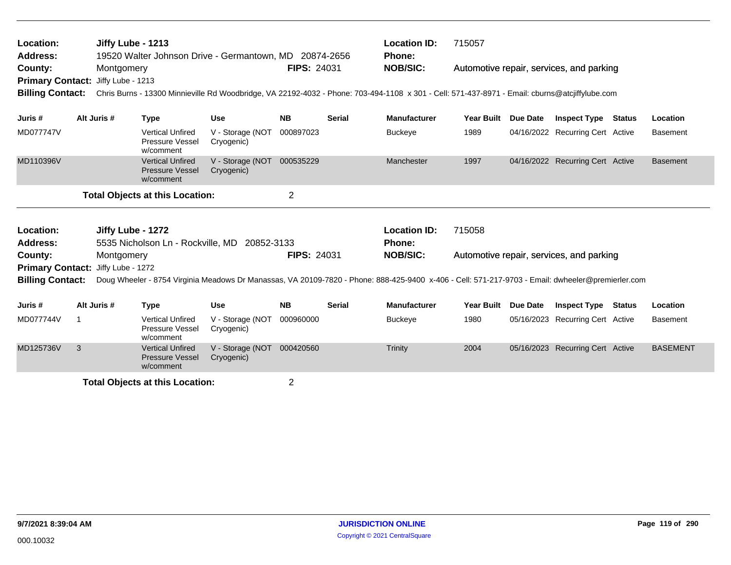| Location:<br><b>Address:</b>       | Jiffy Lube - 1213<br>19520 Walter Johnson Drive - Germantown, MD 20874-2656<br>Montgomery |                   |                                                                |                                              |                    |               | <b>Location ID:</b><br><b>Phone:</b>                                                                                                              | 715057            |                 |                                          |                 |
|------------------------------------|-------------------------------------------------------------------------------------------|-------------------|----------------------------------------------------------------|----------------------------------------------|--------------------|---------------|---------------------------------------------------------------------------------------------------------------------------------------------------|-------------------|-----------------|------------------------------------------|-----------------|
| County:<br><b>Primary Contact:</b> |                                                                                           | Jiffy Lube - 1213 |                                                                |                                              | <b>FIPS: 24031</b> |               | <b>NOB/SIC:</b>                                                                                                                                   |                   |                 | Automotive repair, services, and parking |                 |
| <b>Billing Contact:</b>            |                                                                                           |                   |                                                                |                                              |                    |               | Chris Burns - 13300 Minnieville Rd Woodbridge, VA 22192-4032 - Phone: 703-494-1108 x 301 - Cell: 571-437-8971 - Email: cburns@atcjiffylube.com    |                   |                 |                                          |                 |
| Juris #                            |                                                                                           | Alt Juris #       | <b>Type</b>                                                    | <b>Use</b>                                   | <b>NB</b>          | <b>Serial</b> | <b>Manufacturer</b>                                                                                                                               | <b>Year Built</b> | <b>Due Date</b> | <b>Inspect Type Status</b>               | Location        |
| MD077747V                          |                                                                                           |                   | <b>Vertical Unfired</b><br><b>Pressure Vessel</b><br>w/comment | V - Storage (NOT<br>Cryogenic)               | 000897023          |               | <b>Buckeye</b>                                                                                                                                    | 1989              |                 | 04/16/2022 Recurring Cert Active         | <b>Basement</b> |
| MD110396V                          |                                                                                           |                   | <b>Vertical Unfired</b><br><b>Pressure Vessel</b><br>w/comment | V - Storage (NOT<br>Cryogenic)               | 000535229          |               | Manchester                                                                                                                                        | 1997              |                 | 04/16/2022 Recurring Cert Active         | <b>Basement</b> |
|                                    |                                                                                           |                   | <b>Total Objects at this Location:</b>                         |                                              | $\overline{2}$     |               |                                                                                                                                                   |                   |                 |                                          |                 |
|                                    |                                                                                           |                   |                                                                |                                              |                    |               |                                                                                                                                                   |                   |                 |                                          |                 |
| Location:<br><b>Address:</b>       |                                                                                           | Jiffy Lube - 1272 |                                                                | 5535 Nicholson Ln - Rockville, MD 20852-3133 |                    |               | <b>Location ID:</b><br>Phone:                                                                                                                     | 715058            |                 |                                          |                 |
| County:                            |                                                                                           | Montgomery        |                                                                |                                              | <b>FIPS: 24031</b> |               | <b>NOB/SIC:</b>                                                                                                                                   |                   |                 | Automotive repair, services, and parking |                 |
| <b>Primary Contact:</b>            |                                                                                           | Jiffy Lube - 1272 |                                                                |                                              |                    |               |                                                                                                                                                   |                   |                 |                                          |                 |
| <b>Billing Contact:</b>            |                                                                                           |                   |                                                                |                                              |                    |               | Doug Wheeler - 8754 Virginia Meadows Dr Manassas, VA 20109-7820 - Phone: 888-425-9400 x-406 - Cell: 571-217-9703 - Email: dwheeler@premierler.com |                   |                 |                                          |                 |
| Juris #                            |                                                                                           | Alt Juris #       | <b>Type</b>                                                    | <b>Use</b>                                   | <b>NB</b>          | <b>Serial</b> | <b>Manufacturer</b>                                                                                                                               | <b>Year Built</b> | <b>Due Date</b> | <b>Inspect Type Status</b>               | Location        |
| MD077744V                          | 1                                                                                         |                   | <b>Vertical Unfired</b><br>Pressure Vessel<br>w/comment        | V - Storage (NOT<br>Cryogenic)               | 000960000          |               | <b>Buckeye</b>                                                                                                                                    | 1980              |                 | 05/16/2023 Recurring Cert Active         | <b>Basement</b> |
| MD125736V                          | 3                                                                                         |                   | <b>Vertical Unfired</b><br><b>Pressure Vessel</b><br>w/comment | V - Storage (NOT<br>Cryogenic)               | 000420560          |               | Trinity                                                                                                                                           | 2004              |                 | 05/16/2023 Recurring Cert Active         | <b>BASEMENT</b> |
|                                    |                                                                                           |                   | Total Ohioete at thie Location:                                |                                              | ົ                  |               |                                                                                                                                                   |                   |                 |                                          |                 |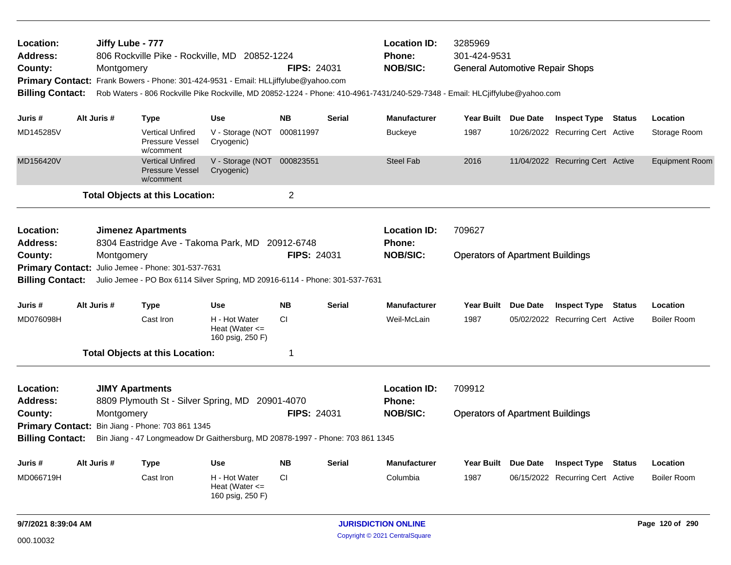| Location:<br>Address:<br>County:<br><b>Primary Contact:</b><br><b>Billing Contact:</b> | Montgomery  | Jiffy Lube - 777<br>806 Rockville Pike - Rockville, MD 20852-1224<br>Frank Bowers - Phone: 301-424-9531 - Email: HLLjiffylube@yahoo.com<br>Rob Waters - 806 Rockville Pike Rockville, MD 20852-1224 - Phone: 410-4961-7431/240-529-7348 - Email: HLCjiffylube@yahoo.com | <b>FIPS: 24031</b>                                                    | <b>Location ID:</b><br>Phone:<br><b>NOB/SIC:</b> | 3285969<br>301-424-9531<br><b>General Automotive Repair Shops</b> |                                                         |                                                   |                 |                                                         |               |                                |
|----------------------------------------------------------------------------------------|-------------|-------------------------------------------------------------------------------------------------------------------------------------------------------------------------------------------------------------------------------------------------------------------------|-----------------------------------------------------------------------|--------------------------------------------------|-------------------------------------------------------------------|---------------------------------------------------------|---------------------------------------------------|-----------------|---------------------------------------------------------|---------------|--------------------------------|
| Juris #                                                                                | Alt Juris # | <b>Type</b>                                                                                                                                                                                                                                                             | <b>Use</b>                                                            | <b>NB</b>                                        | <b>Serial</b>                                                     | <b>Manufacturer</b>                                     | <b>Year Built</b>                                 | Due Date        | <b>Inspect Type</b>                                     | <b>Status</b> | Location                       |
| MD145285V                                                                              |             | <b>Vertical Unfired</b><br><b>Pressure Vessel</b><br>w/comment                                                                                                                                                                                                          | V - Storage (NOT<br>Cryogenic)                                        | 000811997                                        |                                                                   | <b>Buckeye</b>                                          | 1987                                              |                 | 10/26/2022 Recurring Cert Active                        |               | Storage Room                   |
| MD156420V                                                                              |             | <b>Vertical Unfired</b><br><b>Pressure Vessel</b><br>w/comment                                                                                                                                                                                                          | V - Storage (NOT 000823551<br>Cryogenic)                              |                                                  |                                                                   | <b>Steel Fab</b>                                        | 2016                                              |                 | 11/04/2022 Recurring Cert Active                        |               | <b>Equipment Room</b>          |
|                                                                                        |             | <b>Total Objects at this Location:</b>                                                                                                                                                                                                                                  |                                                                       | $\overline{2}$                                   |                                                                   |                                                         |                                                   |                 |                                                         |               |                                |
| Location:<br><b>Address:</b><br>County:<br><b>Billing Contact:</b>                     | Montgomery  | <b>Jimenez Apartments</b><br>8304 Eastridge Ave - Takoma Park, MD<br>Primary Contact: Julio Jemee - Phone: 301-537-7631<br>Julio Jemee - PO Box 6114 Silver Spring, MD 20916-6114 - Phone: 301-537-7631                                                                 |                                                                       | 20912-6748<br><b>FIPS: 24031</b>                 |                                                                   | <b>Location ID:</b><br>Phone:<br><b>NOB/SIC:</b>        | 709627<br><b>Operators of Apartment Buildings</b> |                 |                                                         |               |                                |
| Juris #                                                                                | Alt Juris # | <b>Type</b>                                                                                                                                                                                                                                                             | <b>Use</b>                                                            | <b>NB</b>                                        | <b>Serial</b>                                                     | <b>Manufacturer</b>                                     | <b>Year Built</b>                                 | <b>Due Date</b> | <b>Inspect Type</b>                                     | <b>Status</b> | Location                       |
| MD076098H                                                                              |             | Cast Iron                                                                                                                                                                                                                                                               | H - Hot Water<br>Heat (Water $\leq$<br>160 psig, 250 F)               | CI.                                              |                                                                   | Weil-McLain                                             | 1987                                              |                 | 05/02/2022 Recurring Cert Active                        |               | <b>Boiler Room</b>             |
|                                                                                        |             | <b>Total Objects at this Location:</b>                                                                                                                                                                                                                                  |                                                                       | 1                                                |                                                                   |                                                         |                                                   |                 |                                                         |               |                                |
| Location:<br><b>Address:</b><br>County:                                                | Montgomery  | <b>JIMY Apartments</b><br>8809 Plymouth St - Silver Spring, MD 20901-4070<br>Primary Contact: Bin Jiang - Phone: 703 861 1345                                                                                                                                           |                                                                       | <b>FIPS: 24031</b>                               |                                                                   | <b>Location ID:</b><br><b>Phone:</b><br><b>NOB/SIC:</b> | 709912<br><b>Operators of Apartment Buildings</b> |                 |                                                         |               |                                |
| <b>Billing Contact:</b>                                                                |             | Bin Jiang - 47 Longmeadow Dr Gaithersburg, MD 20878-1997 - Phone: 703 861 1345                                                                                                                                                                                          |                                                                       |                                                  |                                                                   |                                                         |                                                   |                 |                                                         |               |                                |
| Juris #<br>MD066719H                                                                   | Alt Juris # | <b>Type</b><br>Cast Iron                                                                                                                                                                                                                                                | <b>Use</b><br>H - Hot Water<br>Heat (Water $\leq$<br>160 psig, 250 F) | <b>NB</b><br>CI.                                 | <b>Serial</b>                                                     | <b>Manufacturer</b><br>Columbia                         | <b>Year Built</b><br>1987                         | Due Date        | <b>Inspect Type</b><br>06/15/2022 Recurring Cert Active | <b>Status</b> | Location<br><b>Boiler Room</b> |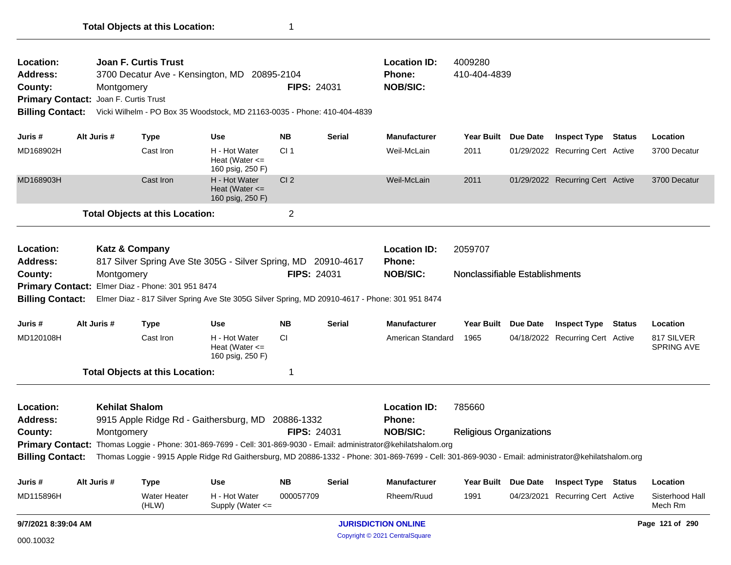| <b>Location:</b><br>Address:<br>County:                                                       | <b>Joan F. Curtis Trust</b><br>3700 Decatur Ave - Kensington, MD 20895-2104<br>Montgomery<br>Joan F. Curtis Trust<br><b>Primary Contact:</b><br><b>Billing Contact:</b><br>Alt Juris # |                                         |                                                   |                                                                                                                                                                                                                                                                                                               | FIPS: 24031<br>Vicki Wilhelm - PO Box 35 Woodstock, MD 21163-0035 - Phone: 410-404-4839 |               |                                                         | 4009280<br>410-404-4839                   |                 |                                  |               |                                 |
|-----------------------------------------------------------------------------------------------|----------------------------------------------------------------------------------------------------------------------------------------------------------------------------------------|-----------------------------------------|---------------------------------------------------|---------------------------------------------------------------------------------------------------------------------------------------------------------------------------------------------------------------------------------------------------------------------------------------------------------------|-----------------------------------------------------------------------------------------|---------------|---------------------------------------------------------|-------------------------------------------|-----------------|----------------------------------|---------------|---------------------------------|
| Juris #                                                                                       |                                                                                                                                                                                        |                                         | <b>Type</b>                                       | <b>Use</b>                                                                                                                                                                                                                                                                                                    | <b>NB</b>                                                                               | <b>Serial</b> | <b>Manufacturer</b>                                     | Year Built Due Date                       |                 | <b>Inspect Type Status</b>       |               | Location                        |
| MD168902H                                                                                     |                                                                                                                                                                                        |                                         | Cast Iron                                         | H - Hot Water<br>Heat (Water $\leq$<br>160 psig, 250 F)                                                                                                                                                                                                                                                       | CI <sub>1</sub>                                                                         |               | Weil-McLain                                             | 2011                                      |                 | 01/29/2022 Recurring Cert Active |               | 3700 Decatur                    |
| MD168903H                                                                                     |                                                                                                                                                                                        |                                         | Cast Iron                                         | H - Hot Water<br>Heat (Water $\leq$<br>160 psig, 250 F)                                                                                                                                                                                                                                                       | CI <sub>2</sub>                                                                         |               | Weil-McLain                                             | 2011                                      |                 | 01/29/2022 Recurring Cert Active |               | 3700 Decatur                    |
|                                                                                               |                                                                                                                                                                                        |                                         | <b>Total Objects at this Location:</b>            |                                                                                                                                                                                                                                                                                                               | $\overline{2}$                                                                          |               |                                                         |                                           |                 |                                  |               |                                 |
| Location:<br><b>Address:</b><br>County:<br><b>Billing Contact:</b>                            |                                                                                                                                                                                        | <b>Katz &amp; Company</b><br>Montgomery | Primary Contact: Elmer Diaz - Phone: 301 951 8474 | 817 Silver Spring Ave Ste 305G - Silver Spring, MD 20910-4617<br>Elmer Diaz - 817 Silver Spring Ave Ste 305G Silver Spring, MD 20910-4617 - Phone: 301 951 8474                                                                                                                                               | <b>FIPS: 24031</b>                                                                      |               | <b>Location ID:</b><br>Phone:<br><b>NOB/SIC:</b>        | 2059707<br>Nonclassifiable Establishments |                 |                                  |               |                                 |
| Juris #                                                                                       |                                                                                                                                                                                        | Alt Juris #                             | <b>Type</b>                                       | <b>Use</b>                                                                                                                                                                                                                                                                                                    | <b>NB</b>                                                                               | Serial        | <b>Manufacturer</b>                                     | <b>Year Built</b>                         | <b>Due Date</b> | <b>Inspect Type</b>              | <b>Status</b> | Location                        |
| MD120108H                                                                                     |                                                                                                                                                                                        |                                         | Cast Iron                                         | H - Hot Water<br>Heat (Water $\leq$<br>160 psig, 250 F)                                                                                                                                                                                                                                                       | <b>CI</b>                                                                               |               | American Standard                                       | 1965                                      |                 | 04/18/2022 Recurring Cert Active |               | 817 SILVER<br><b>SPRING AVE</b> |
|                                                                                               |                                                                                                                                                                                        |                                         | <b>Total Objects at this Location:</b>            |                                                                                                                                                                                                                                                                                                               | -1                                                                                      |               |                                                         |                                           |                 |                                  |               |                                 |
| Location:<br><b>Address:</b><br>County:<br><b>Primary Contact:</b><br><b>Billing Contact:</b> |                                                                                                                                                                                        | <b>Kehilat Shalom</b><br>Montgomery     |                                                   | 9915 Apple Ridge Rd - Gaithersburg, MD 20886-1332<br>Thomas Loggie - Phone: 301-869-7699 - Cell: 301-869-9030 - Email: administrator@kehilatshalom.org<br>Thomas Loggie - 9915 Apple Ridge Rd Gaithersburg, MD 20886-1332 - Phone: 301-869-7699 - Cell: 301-869-9030 - Email: administrator@kehilatshalom.org | <b>FIPS: 24031</b>                                                                      |               | <b>Location ID:</b><br><b>Phone:</b><br><b>NOB/SIC:</b> | 785660<br><b>Religious Organizations</b>  |                 |                                  |               |                                 |
| Juris #                                                                                       |                                                                                                                                                                                        | Alt Juris #                             | <b>Type</b>                                       | <b>Use</b>                                                                                                                                                                                                                                                                                                    | <b>NB</b>                                                                               | Serial        | <b>Manufacturer</b>                                     | Year Built Due Date                       |                 | <b>Inspect Type Status</b>       |               | Location                        |
| MD115896H                                                                                     |                                                                                                                                                                                        |                                         | <b>Water Heater</b><br>(HLW)                      | H - Hot Water<br>Supply (Water <=                                                                                                                                                                                                                                                                             | 000057709                                                                               |               | Rheem/Ruud                                              | 1991                                      | 04/23/2021      | <b>Recurring Cert Active</b>     |               | Sisterhood Hall<br>Mech Rm      |
| 9/7/2021 8:39:04 AM                                                                           |                                                                                                                                                                                        |                                         |                                                   |                                                                                                                                                                                                                                                                                                               |                                                                                         |               | <b>JURISDICTION ONLINE</b>                              |                                           |                 |                                  |               | Page 121 of 290                 |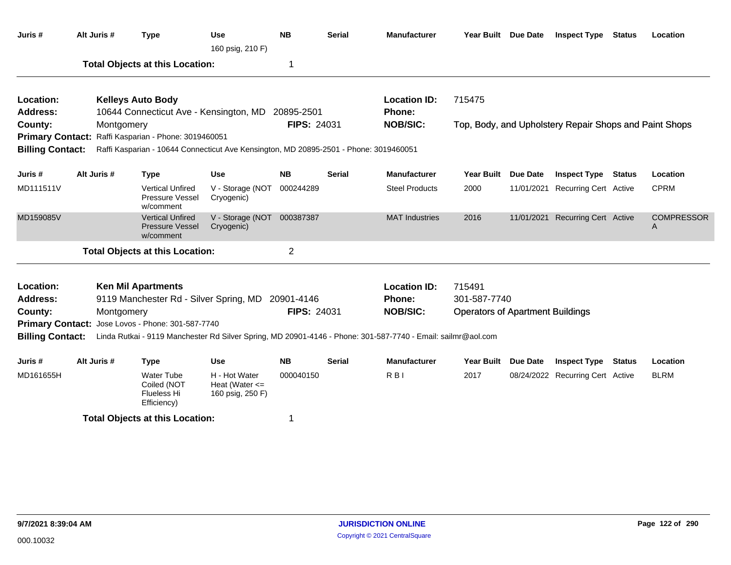| Juris #                      | Alt Juris # | <b>Type</b>                                                                           | Use<br>160 psig, 210 F)                                 | <b>NB</b>          | <b>Serial</b> | <b>Manufacturer</b>                                                                                          | Year Built Due Date                     |                 | <b>Inspect Type Status</b>                             |               | Location               |
|------------------------------|-------------|---------------------------------------------------------------------------------------|---------------------------------------------------------|--------------------|---------------|--------------------------------------------------------------------------------------------------------------|-----------------------------------------|-----------------|--------------------------------------------------------|---------------|------------------------|
|                              |             | <b>Total Objects at this Location:</b>                                                |                                                         | 1                  |               |                                                                                                              |                                         |                 |                                                        |               |                        |
| Location:<br><b>Address:</b> |             | <b>Kelleys Auto Body</b><br>10644 Connecticut Ave - Kensington, MD 20895-2501         |                                                         |                    |               | <b>Location ID:</b><br><b>Phone:</b>                                                                         | 715475                                  |                 |                                                        |               |                        |
| County:                      | Montgomery  |                                                                                       |                                                         | <b>FIPS: 24031</b> |               | <b>NOB/SIC:</b>                                                                                              |                                         |                 | Top, Body, and Upholstery Repair Shops and Paint Shops |               |                        |
| <b>Primary Contact:</b>      |             | Raffi Kasparian - Phone: 3019460051                                                   |                                                         |                    |               |                                                                                                              |                                         |                 |                                                        |               |                        |
| <b>Billing Contact:</b>      |             | Raffi Kasparian - 10644 Connecticut Ave Kensington, MD 20895-2501 - Phone: 3019460051 |                                                         |                    |               |                                                                                                              |                                         |                 |                                                        |               |                        |
| Juris #                      | Alt Juris # | <b>Type</b>                                                                           | <b>Use</b>                                              | <b>NB</b>          | <b>Serial</b> | <b>Manufacturer</b>                                                                                          | <b>Year Built</b>                       | <b>Due Date</b> | <b>Inspect Type</b>                                    | <b>Status</b> | Location               |
| MD111511V                    |             | <b>Vertical Unfired</b><br>Pressure Vessel<br>w/comment                               | V - Storage (NOT<br>Cryogenic)                          | 000244289          |               | <b>Steel Products</b>                                                                                        | 2000                                    |                 | 11/01/2021 Recurring Cert Active                       |               | <b>CPRM</b>            |
| MD159085V                    |             | <b>Vertical Unfired</b><br>Pressure Vessel<br>w/comment                               | V - Storage (NOT<br>Cryogenic)                          | 000387387          |               | <b>MAT Industries</b>                                                                                        | 2016                                    |                 | 11/01/2021 Recurring Cert Active                       |               | <b>COMPRESSOR</b><br>A |
|                              |             | <b>Total Objects at this Location:</b>                                                |                                                         | $\overline{2}$     |               |                                                                                                              |                                         |                 |                                                        |               |                        |
| Location:                    |             | <b>Ken Mil Apartments</b>                                                             |                                                         |                    |               | <b>Location ID:</b>                                                                                          | 715491                                  |                 |                                                        |               |                        |
| Address:                     |             | 9119 Manchester Rd - Silver Spring, MD                                                |                                                         | 20901-4146         |               | Phone:                                                                                                       | 301-587-7740                            |                 |                                                        |               |                        |
| County:                      | Montgomery  |                                                                                       |                                                         | FIPS: 24031        |               | <b>NOB/SIC:</b>                                                                                              | <b>Operators of Apartment Buildings</b> |                 |                                                        |               |                        |
| <b>Primary Contact:</b>      |             | Jose Lovos - Phone: 301-587-7740                                                      |                                                         |                    |               |                                                                                                              |                                         |                 |                                                        |               |                        |
| <b>Billing Contact:</b>      |             |                                                                                       |                                                         |                    |               | Linda Rutkai - 9119 Manchester Rd Silver Spring, MD 20901-4146 - Phone: 301-587-7740 - Email: sailmr@aol.com |                                         |                 |                                                        |               |                        |
| Juris #                      | Alt Juris # | <b>Type</b>                                                                           | <b>Use</b>                                              | <b>NB</b>          | <b>Serial</b> | <b>Manufacturer</b>                                                                                          | <b>Year Built</b>                       | <b>Due Date</b> | <b>Inspect Type</b>                                    | <b>Status</b> | Location               |
| MD161655H                    |             | <b>Water Tube</b><br>Coiled (NOT<br>Flueless Hi<br>Efficiency)                        | H - Hot Water<br>Heat (Water $\leq$<br>160 psig, 250 F) | 000040150          |               | R <sub>B</sub>                                                                                               | 2017                                    |                 | 08/24/2022 Recurring Cert Active                       |               | <b>BLRM</b>            |
|                              |             | <b>Total Objects at this Location:</b>                                                |                                                         | 1                  |               |                                                                                                              |                                         |                 |                                                        |               |                        |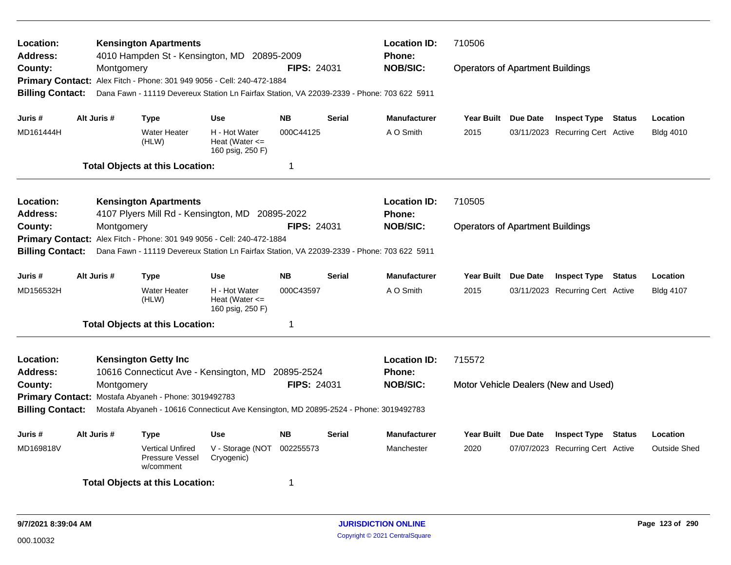| Location:<br><b>Address:</b><br>County:<br><b>Billing Contact:</b> | Montgomery  | <b>Kensington Apartments</b><br>4010 Hampden St - Kensington, MD 20895-2009<br>Primary Contact: Alex Fitch - Phone: 301 949 9056 - Cell: 240-472-1884<br>Dana Fawn - 11119 Devereux Station Ln Fairfax Station, VA 22039-2339 - Phone: 703 622 5911 |                                                         | <b>FIPS: 24031</b>     |               | <b>Location ID:</b><br><b>Phone:</b><br><b>NOB/SIC:</b> | 710506<br><b>Operators of Apartment Buildings</b> |                 |                                                         |        |                                 |
|--------------------------------------------------------------------|-------------|-----------------------------------------------------------------------------------------------------------------------------------------------------------------------------------------------------------------------------------------------------|---------------------------------------------------------|------------------------|---------------|---------------------------------------------------------|---------------------------------------------------|-----------------|---------------------------------------------------------|--------|---------------------------------|
| Juris #                                                            | Alt Juris # | <b>Type</b>                                                                                                                                                                                                                                         | <b>Use</b>                                              | <b>NB</b>              | <b>Serial</b> | Manufacturer                                            | <b>Year Built</b>                                 | Due Date        | <b>Inspect Type</b>                                     | Status | Location                        |
| MD161444H                                                          |             | <b>Water Heater</b><br>(HLW)                                                                                                                                                                                                                        | H - Hot Water<br>Heat (Water $\leq$<br>160 psig, 250 F) | 000C44125              |               | A O Smith                                               | 2015                                              |                 | 03/11/2023 Recurring Cert Active                        |        | <b>Bldg 4010</b>                |
|                                                                    |             | <b>Total Objects at this Location:</b>                                                                                                                                                                                                              |                                                         | -1                     |               |                                                         |                                                   |                 |                                                         |        |                                 |
| Location:<br><b>Address:</b>                                       |             | <b>Kensington Apartments</b><br>4107 Plyers Mill Rd - Kensington, MD 20895-2022                                                                                                                                                                     |                                                         |                        |               | <b>Location ID:</b><br><b>Phone:</b>                    | 710505                                            |                 |                                                         |        |                                 |
| County:<br><b>Billing Contact:</b>                                 | Montgomery  | Primary Contact: Alex Fitch - Phone: 301 949 9056 - Cell: 240-472-1884<br>Dana Fawn - 11119 Devereux Station Ln Fairfax Station, VA 22039-2339 - Phone: 703 622 5911                                                                                |                                                         | <b>FIPS: 24031</b>     |               | <b>NOB/SIC:</b>                                         | <b>Operators of Apartment Buildings</b>           |                 |                                                         |        |                                 |
| Juris #                                                            | Alt Juris # | <b>Type</b>                                                                                                                                                                                                                                         | <b>Use</b>                                              | <b>NB</b>              | <b>Serial</b> | <b>Manufacturer</b>                                     | <b>Year Built</b>                                 | <b>Due Date</b> | <b>Inspect Type</b>                                     | Status | Location                        |
| MD156532H                                                          |             | <b>Water Heater</b><br>(HLW)                                                                                                                                                                                                                        | H - Hot Water<br>Heat (Water $\leq$<br>160 psig, 250 F) | 000C43597              |               | A O Smith                                               | 2015                                              |                 | 03/11/2023 Recurring Cert Active                        |        | <b>Bldg 4107</b>                |
|                                                                    |             | <b>Total Objects at this Location:</b>                                                                                                                                                                                                              |                                                         | -1                     |               |                                                         |                                                   |                 |                                                         |        |                                 |
| Location:<br><b>Address:</b>                                       |             | <b>Kensington Getty Inc</b><br>10616 Connecticut Ave - Kensington, MD                                                                                                                                                                               |                                                         | 20895-2524             |               | <b>Location ID:</b><br><b>Phone:</b>                    | 715572                                            |                 |                                                         |        |                                 |
| County:                                                            | Montgomery  | Primary Contact: Mostafa Abyaneh - Phone: 3019492783                                                                                                                                                                                                |                                                         | <b>FIPS: 24031</b>     |               | <b>NOB/SIC:</b>                                         |                                                   |                 | Motor Vehicle Dealers (New and Used)                    |        |                                 |
| <b>Billing Contact:</b>                                            |             | Mostafa Abyaneh - 10616 Connecticut Ave Kensington, MD 20895-2524 - Phone: 3019492783                                                                                                                                                               |                                                         |                        |               |                                                         |                                                   |                 |                                                         |        |                                 |
| Juris #<br>MD169818V                                               | Alt Juris # | <b>Type</b><br><b>Vertical Unfired</b><br>Pressure Vessel<br>w/comment                                                                                                                                                                              | <b>Use</b><br>V - Storage (NOT<br>Cryogenic)            | <b>NB</b><br>002255573 | <b>Serial</b> | <b>Manufacturer</b><br>Manchester                       | <b>Year Built</b><br>2020                         | <b>Due Date</b> | <b>Inspect Type</b><br>07/07/2023 Recurring Cert Active | Status | Location<br><b>Outside Shed</b> |
|                                                                    |             | <b>Total Objects at this Location:</b>                                                                                                                                                                                                              |                                                         | -1                     |               |                                                         |                                                   |                 |                                                         |        |                                 |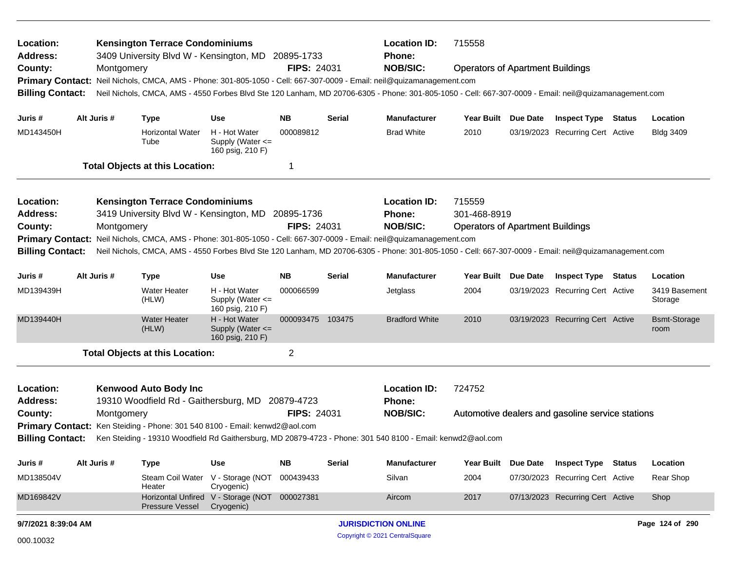| Location:<br><b>Address:</b><br>County:<br><b>Primary Contact:</b><br><b>Billing Contact:</b> |             | Montgomery  | <b>Kensington Terrace Condominiums</b><br>3409 University Blvd W - Kensington, MD 20895-1733                                                                    |                                                           | <b>FIPS: 24031</b>               | <b>Location ID:</b><br>Phone:<br><b>NOB/SIC:</b><br>Neil Nichols, CMCA, AMS - Phone: 301-805-1050 - Cell: 667-307-0009 - Email: neil@quizamanagement.com<br>Neil Nichols, CMCA, AMS - 4550 Forbes Blvd Ste 120 Lanham, MD 20706-6305 - Phone: 301-805-1050 - Cell: 667-307-0009 - Email: neil@quizamanagement.com | 715558<br><b>Operators of Apartment Buildings</b>                                                                                                                                                                                                                                                                        |                                                                   |  |                                                  |                             |
|-----------------------------------------------------------------------------------------------|-------------|-------------|-----------------------------------------------------------------------------------------------------------------------------------------------------------------|-----------------------------------------------------------|----------------------------------|-------------------------------------------------------------------------------------------------------------------------------------------------------------------------------------------------------------------------------------------------------------------------------------------------------------------|--------------------------------------------------------------------------------------------------------------------------------------------------------------------------------------------------------------------------------------------------------------------------------------------------------------------------|-------------------------------------------------------------------|--|--------------------------------------------------|-----------------------------|
| Juris #                                                                                       | Alt Juris # |             | <b>Type</b>                                                                                                                                                     | <b>Use</b>                                                | <b>NB</b>                        | <b>Serial</b>                                                                                                                                                                                                                                                                                                     | <b>Manufacturer</b>                                                                                                                                                                                                                                                                                                      | Year Built Due Date                                               |  | <b>Inspect Type Status</b>                       | Location                    |
| MD143450H                                                                                     |             |             | <b>Horizontal Water</b><br>Tube                                                                                                                                 | H - Hot Water<br>Supply (Water $\leq$<br>160 psig, 210 F) | 000089812                        |                                                                                                                                                                                                                                                                                                                   | <b>Brad White</b>                                                                                                                                                                                                                                                                                                        | 2010                                                              |  | 03/19/2023 Recurring Cert Active                 | <b>Bldg 3409</b>            |
|                                                                                               |             |             | <b>Total Objects at this Location:</b>                                                                                                                          |                                                           | 1                                |                                                                                                                                                                                                                                                                                                                   |                                                                                                                                                                                                                                                                                                                          |                                                                   |  |                                                  |                             |
| Location:<br><b>Address:</b><br>County:<br><b>Primary Contact:</b><br><b>Billing Contact:</b> |             | Montgomery  | <b>Kensington Terrace Condominiums</b><br>3419 University Blvd W - Kensington, MD                                                                               |                                                           | 20895-1736<br><b>FIPS: 24031</b> |                                                                                                                                                                                                                                                                                                                   | <b>Location ID:</b><br><b>Phone:</b><br><b>NOB/SIC:</b><br>Neil Nichols, CMCA, AMS - Phone: 301-805-1050 - Cell: 667-307-0009 - Email: neil@quizamanagement.com<br>Neil Nichols, CMCA, AMS - 4550 Forbes Blvd Ste 120 Lanham, MD 20706-6305 - Phone: 301-805-1050 - Cell: 667-307-0009 - Email: neil@quizamanagement.com | 715559<br>301-468-8919<br><b>Operators of Apartment Buildings</b> |  |                                                  |                             |
| Juris #                                                                                       |             | Alt Juris # | <b>Type</b>                                                                                                                                                     | <b>Use</b>                                                | <b>NB</b>                        | Serial                                                                                                                                                                                                                                                                                                            | <b>Manufacturer</b>                                                                                                                                                                                                                                                                                                      | Year Built Due Date                                               |  | <b>Inspect Type Status</b>                       | Location                    |
| MD139439H                                                                                     |             |             | <b>Water Heater</b><br>(HLW)                                                                                                                                    | H - Hot Water<br>Supply (Water <=<br>160 psig, 210 F)     | 000066599                        |                                                                                                                                                                                                                                                                                                                   | Jetglass                                                                                                                                                                                                                                                                                                                 | 2004                                                              |  | 03/19/2023 Recurring Cert Active                 | 3419 Basement<br>Storage    |
| MD139440H                                                                                     |             |             | <b>Water Heater</b><br>(HLW)                                                                                                                                    | H - Hot Water<br>Supply (Water <=<br>160 psig, 210 F)     | 000093475 103475                 |                                                                                                                                                                                                                                                                                                                   | <b>Bradford White</b>                                                                                                                                                                                                                                                                                                    | 2010                                                              |  | 03/19/2023 Recurring Cert Active                 | <b>Bsmt-Storage</b><br>room |
|                                                                                               |             |             | <b>Total Objects at this Location:</b>                                                                                                                          |                                                           | $\overline{c}$                   |                                                                                                                                                                                                                                                                                                                   |                                                                                                                                                                                                                                                                                                                          |                                                                   |  |                                                  |                             |
| Location:<br><b>Address:</b><br>County:                                                       |             | Montgomery  | <b>Kenwood Auto Body Inc</b><br>19310 Woodfield Rd - Gaithersburg, MD 20879-4723<br>Primary Contact: Ken Steiding - Phone: 301 540 8100 - Email: kenwd2@aol.com |                                                           | <b>FIPS: 24031</b>               |                                                                                                                                                                                                                                                                                                                   | <b>Location ID:</b><br><b>Phone:</b><br><b>NOB/SIC:</b>                                                                                                                                                                                                                                                                  | 724752                                                            |  | Automotive dealers and gasoline service stations |                             |
| <b>Billing Contact:</b>                                                                       |             |             |                                                                                                                                                                 |                                                           |                                  |                                                                                                                                                                                                                                                                                                                   | Ken Steiding - 19310 Woodfield Rd Gaithersburg, MD 20879-4723 - Phone: 301 540 8100 - Email: kenwd2@aol.com                                                                                                                                                                                                              |                                                                   |  |                                                  |                             |
| Juris #                                                                                       | Alt Juris # |             | Type                                                                                                                                                            | Use                                                       | <b>NB</b>                        | Serial                                                                                                                                                                                                                                                                                                            | <b>Manufacturer</b>                                                                                                                                                                                                                                                                                                      | Year Built Due Date                                               |  | <b>Inspect Type Status</b>                       | Location                    |
| MD138504V                                                                                     |             |             | Heater                                                                                                                                                          | Steam Coil Water V - Storage (NOT<br>Cryogenic)           | 000439433                        |                                                                                                                                                                                                                                                                                                                   | Silvan                                                                                                                                                                                                                                                                                                                   | 2004                                                              |  | 07/30/2023 Recurring Cert Active                 | Rear Shop                   |
| MD169842V                                                                                     |             |             | <b>Pressure Vessel</b>                                                                                                                                          | Horizontal Unfired V - Storage (NOT<br>Cryogenic)         | 000027381                        |                                                                                                                                                                                                                                                                                                                   | Aircom                                                                                                                                                                                                                                                                                                                   | 2017                                                              |  | 07/13/2023 Recurring Cert Active                 | Shop                        |
| 9/7/2021 8:39:04 AM                                                                           |             |             |                                                                                                                                                                 |                                                           |                                  |                                                                                                                                                                                                                                                                                                                   | <b>JURISDICTION ONLINE</b>                                                                                                                                                                                                                                                                                               |                                                                   |  |                                                  | Page 124 of 290             |
| 000.10032                                                                                     |             |             |                                                                                                                                                                 |                                                           |                                  |                                                                                                                                                                                                                                                                                                                   | Copyright © 2021 CentralSquare                                                                                                                                                                                                                                                                                           |                                                                   |  |                                                  |                             |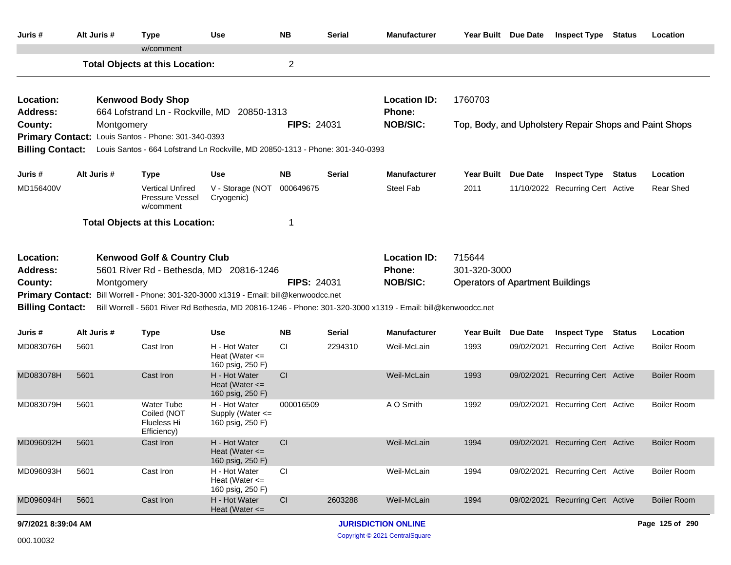| Juris #                                                            | Alt Juris # | <b>Type</b>                                                                                                                                                                | <b>Use</b>                                                | <b>NB</b>              | <b>Serial</b> | <b>Manufacturer</b>                                                                                                                                              |                                                                   | Year Built Due Date | <b>Inspect Type</b>                                     | Status | Location                     |
|--------------------------------------------------------------------|-------------|----------------------------------------------------------------------------------------------------------------------------------------------------------------------------|-----------------------------------------------------------|------------------------|---------------|------------------------------------------------------------------------------------------------------------------------------------------------------------------|-------------------------------------------------------------------|---------------------|---------------------------------------------------------|--------|------------------------------|
|                                                                    |             | w/comment<br><b>Total Objects at this Location:</b>                                                                                                                        |                                                           | 2                      |               |                                                                                                                                                                  |                                                                   |                     |                                                         |        |                              |
| Location:<br><b>Address:</b>                                       |             | <b>Kenwood Body Shop</b><br>664 Lofstrand Ln - Rockville, MD 20850-1313                                                                                                    |                                                           |                        |               | <b>Location ID:</b><br>Phone:                                                                                                                                    | 1760703                                                           |                     |                                                         |        |                              |
| County:<br><b>Billing Contact:</b>                                 | Montgomery  | Primary Contact: Louis Santos - Phone: 301-340-0393<br>Louis Santos - 664 Lofstrand Ln Rockville, MD 20850-1313 - Phone: 301-340-0393                                      |                                                           | <b>FIPS: 24031</b>     |               | <b>NOB/SIC:</b>                                                                                                                                                  |                                                                   |                     | Top, Body, and Upholstery Repair Shops and Paint Shops  |        |                              |
| Juris #<br>MD156400V                                               | Alt Juris # | <b>Type</b><br><b>Vertical Unfired</b><br>Pressure Vessel<br>w/comment                                                                                                     | Use<br>V - Storage (NOT<br>Cryogenic)                     | <b>NB</b><br>000649675 | <b>Serial</b> | <b>Manufacturer</b><br>Steel Fab                                                                                                                                 | <b>Year Built</b><br>2011                                         | Due Date            | <b>Inspect Type</b><br>11/10/2022 Recurring Cert Active | Status | Location<br><b>Rear Shed</b> |
|                                                                    |             | <b>Total Objects at this Location:</b>                                                                                                                                     |                                                           | 1                      |               |                                                                                                                                                                  |                                                                   |                     |                                                         |        |                              |
| Location:<br><b>Address:</b><br>County:<br><b>Billing Contact:</b> | Montgomery  | <b>Kenwood Golf &amp; Country Club</b><br>5601 River Rd - Bethesda, MD 20816-1246<br>Primary Contact: Bill Worrell - Phone: 301-320-3000 x1319 - Email: bill@kenwoodcc.net |                                                           | <b>FIPS: 24031</b>     |               | <b>Location ID:</b><br>Phone:<br><b>NOB/SIC:</b><br>Bill Worrell - 5601 River Rd Bethesda, MD 20816-1246 - Phone: 301-320-3000 x1319 - Email: bill@kenwoodcc.net | 715644<br>301-320-3000<br><b>Operators of Apartment Buildings</b> |                     |                                                         |        |                              |
| Juris #                                                            | Alt Juris # | <b>Type</b>                                                                                                                                                                | Use                                                       | <b>NB</b>              | <b>Serial</b> | <b>Manufacturer</b>                                                                                                                                              | <b>Year Built</b>                                                 | Due Date            | <b>Inspect Type Status</b>                              |        | Location                     |
| MD083076H                                                          | 5601        | Cast Iron                                                                                                                                                                  | H - Hot Water<br>Heat (Water $\leq$<br>160 psig, 250 F)   | СI                     | 2294310       | Weil-McLain                                                                                                                                                      | 1993                                                              |                     | 09/02/2021 Recurring Cert Active                        |        | <b>Boiler Room</b>           |
| MD083078H                                                          | 5601        | Cast Iron                                                                                                                                                                  | H - Hot Water<br>Heat (Water $\leq$<br>160 psig, 250 F)   | CI                     |               | Weil-McLain                                                                                                                                                      | 1993                                                              |                     | 09/02/2021 Recurring Cert Active                        |        | <b>Boiler Room</b>           |
| MD083079H                                                          | 5601        | <b>Water Tube</b><br>Coiled (NOT<br>Flueless Hi<br>Efficiency)                                                                                                             | H - Hot Water<br>Supply (Water $\leq$<br>160 psig, 250 F) | 000016509              |               | A O Smith                                                                                                                                                        | 1992                                                              |                     | 09/02/2021 Recurring Cert Active                        |        | Boiler Room                  |
| MD096092H                                                          | 5601        | Cast Iron                                                                                                                                                                  | H - Hot Water<br>Heat (Water $\leq$<br>160 psig, 250 F)   | CI                     |               | Weil-McLain                                                                                                                                                      | 1994                                                              |                     | 09/02/2021 Recurring Cert Active                        |        | <b>Boiler Room</b>           |
| MD096093H                                                          | 5601        | Cast Iron                                                                                                                                                                  | H - Hot Water<br>Heat (Water $\leq$<br>160 psig, 250 F)   | CI                     |               | Weil-McLain                                                                                                                                                      | 1994                                                              |                     | 09/02/2021 Recurring Cert Active                        |        | <b>Boiler Room</b>           |
| MD096094H                                                          | 5601        | Cast Iron                                                                                                                                                                  | H - Hot Water<br>Heat (Water $\leq$                       | CI                     | 2603288       | Weil-McLain                                                                                                                                                      | 1994                                                              | 09/02/2021          | <b>Recurring Cert Active</b>                            |        | <b>Boiler Room</b>           |
| 9/7/2021 8:39:04 AM                                                |             |                                                                                                                                                                            |                                                           |                        |               | <b>JURISDICTION ONLINE</b>                                                                                                                                       |                                                                   |                     |                                                         |        | Page 125 of 290              |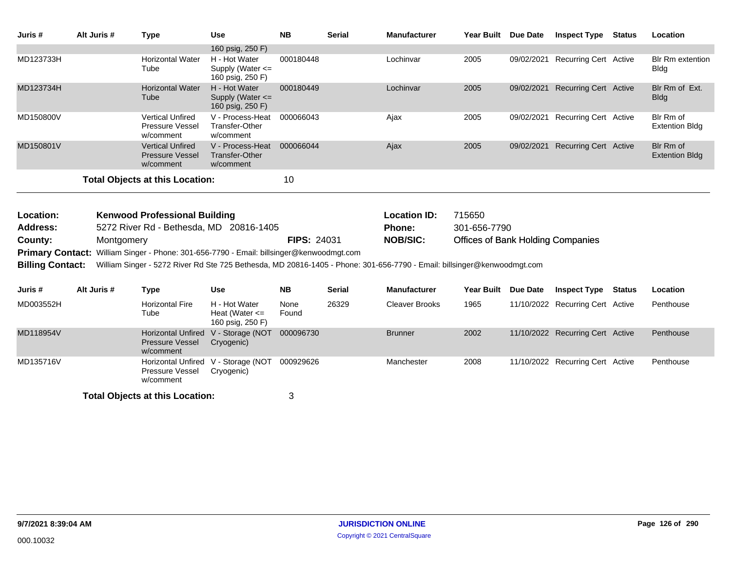| Juris #                 | Alt Juris #                            | <b>Type</b>                                                                                                             | <b>Use</b>                                              | <b>NB</b>          | <b>Serial</b>                                                                            | <b>Manufacturer</b>   | Year Built Due Date                      |          | <b>Inspect Type Status</b>       |        | Location                               |  |
|-------------------------|----------------------------------------|-------------------------------------------------------------------------------------------------------------------------|---------------------------------------------------------|--------------------|------------------------------------------------------------------------------------------|-----------------------|------------------------------------------|----------|----------------------------------|--------|----------------------------------------|--|
|                         |                                        |                                                                                                                         | 160 psig, 250 F)                                        |                    |                                                                                          |                       |                                          |          |                                  |        |                                        |  |
| MD123733H               |                                        | <b>Horizontal Water</b><br>Tube                                                                                         | H - Hot Water<br>Supply (Water <=<br>160 psig, 250 F)   | 000180448          |                                                                                          | Lochinvar             | 2005                                     |          | 09/02/2021 Recurring Cert Active |        | <b>Blr Rm extention</b><br><b>Bldg</b> |  |
| MD123734H               |                                        | <b>Horizontal Water</b><br>Tube                                                                                         | H - Hot Water<br>Supply (Water <=<br>160 psig, 250 F)   | 000180449          |                                                                                          | Lochinvar             | 2005                                     |          | 09/02/2021 Recurring Cert Active |        | Blr Rm of Ext.<br><b>Bldg</b>          |  |
| MD150800V               |                                        | <b>Vertical Unfired</b><br>Pressure Vessel<br>w/comment                                                                 | V - Process-Heat<br>Transfer-Other<br>w/comment         | 000066043          |                                                                                          | Ajax                  | 2005                                     |          | 09/02/2021 Recurring Cert Active |        | Blr Rm of<br><b>Extention Bldg</b>     |  |
| MD150801V               |                                        | <b>Vertical Unfired</b><br><b>Pressure Vessel</b><br>w/comment                                                          | V - Process-Heat<br><b>Transfer-Other</b><br>w/comment  | 000066044          |                                                                                          | Ajax                  | 2005                                     |          | 09/02/2021 Recurring Cert Active |        | Blr Rm of<br><b>Extention Bldg</b>     |  |
|                         | <b>Total Objects at this Location:</b> |                                                                                                                         |                                                         |                    |                                                                                          |                       |                                          |          |                                  |        |                                        |  |
|                         |                                        |                                                                                                                         |                                                         |                    |                                                                                          |                       |                                          |          |                                  |        |                                        |  |
| Location:               |                                        | <b>Kenwood Professional Building</b>                                                                                    |                                                         |                    |                                                                                          | <b>Location ID:</b>   | 715650                                   |          |                                  |        |                                        |  |
| <b>Address:</b>         |                                        | 5272 River Rd - Bethesda, MD 20816-1405                                                                                 |                                                         |                    |                                                                                          | <b>Phone:</b>         | 301-656-7790                             |          |                                  |        |                                        |  |
| County:                 | Montgomery                             |                                                                                                                         |                                                         | <b>FIPS: 24031</b> |                                                                                          | <b>NOB/SIC:</b>       | <b>Offices of Bank Holding Companies</b> |          |                                  |        |                                        |  |
|                         |                                        |                                                                                                                         |                                                         |                    | Primary Contact: William Singer - Phone: 301-656-7790 - Email: billsinger@kenwoodmgt.com |                       |                                          |          |                                  |        |                                        |  |
| <b>Billing Contact:</b> |                                        | William Singer - 5272 River Rd Ste 725 Bethesda, MD 20816-1405 - Phone: 301-656-7790 - Email: billsinger@kenwoodmgt.com |                                                         |                    |                                                                                          |                       |                                          |          |                                  |        |                                        |  |
| Juris#                  | Alt Juris #                            | <b>Type</b>                                                                                                             | <b>Use</b>                                              | <b>NB</b>          | <b>Serial</b>                                                                            | <b>Manufacturer</b>   | <b>Year Built</b>                        | Due Date | <b>Inspect Type</b>              | Status | Location                               |  |
| MD003552H               |                                        | <b>Horizontal Fire</b><br>Tube                                                                                          | H - Hot Water<br>Heat (Water $\leq$<br>160 psig, 250 F) | None<br>Found      | 26329                                                                                    | <b>Cleaver Brooks</b> | 1965                                     |          | 11/10/2022 Recurring Cert Active |        | Penthouse                              |  |
| MD118954V               |                                        | <b>Horizontal Unfired</b><br><b>Pressure Vessel</b><br>w/comment                                                        | V - Storage (NOT<br>Cryogenic)                          | 000096730          |                                                                                          | <b>Brunner</b>        | 2002                                     |          | 11/10/2022 Recurring Cert Active |        | Penthouse                              |  |
| MD135716V               |                                        | Pressure Vessel<br>w/comment                                                                                            | Horizontal Unfired V - Storage (NOT<br>Cryogenic)       | 000929626          |                                                                                          | Manchester            | 2008                                     |          | 11/10/2022 Recurring Cert Active |        | Penthouse                              |  |
|                         |                                        | <b>Total Objects at this Location:</b>                                                                                  |                                                         | 3                  |                                                                                          |                       |                                          |          |                                  |        |                                        |  |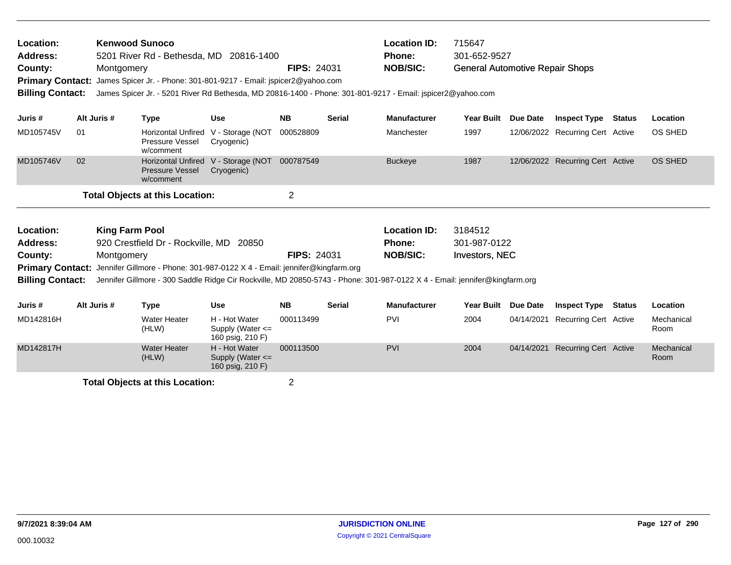| Location:<br><b>Address:</b><br>County:<br><b>Billing Contact:</b> |                                                                                                                                                       | <b>Kenwood Sunoco</b><br>Montgomery | 5201 River Rd - Bethesda, MD 20816-1400<br>Primary Contact: James Spicer Jr. - Phone: 301-801-9217 - Email: jspicer2@yahoo.com |                                                           | <b>FIPS: 24031</b> |                                      | <b>Location ID:</b><br><b>Phone:</b><br><b>NOB/SIC:</b><br>James Spicer Jr. - 5201 River Rd Bethesda, MD 20816-1400 - Phone: 301-801-9217 - Email: jspicer2@yahoo.com | 715647<br>301-652-9527<br><b>General Automotive Repair Shops</b> |                 |                                  |               |                    |
|--------------------------------------------------------------------|-------------------------------------------------------------------------------------------------------------------------------------------------------|-------------------------------------|--------------------------------------------------------------------------------------------------------------------------------|-----------------------------------------------------------|--------------------|--------------------------------------|-----------------------------------------------------------------------------------------------------------------------------------------------------------------------|------------------------------------------------------------------|-----------------|----------------------------------|---------------|--------------------|
| Juris #                                                            |                                                                                                                                                       | Alt Juris #                         | <b>Type</b>                                                                                                                    | <b>Use</b>                                                | <b>NB</b>          | <b>Serial</b>                        | <b>Manufacturer</b>                                                                                                                                                   | <b>Year Built</b>                                                | Due Date        | <b>Inspect Type</b>              | Status        | Location           |
| MD105745V                                                          | 01                                                                                                                                                    |                                     | <b>Horizontal Unfired</b><br>Pressure Vessel<br>w/comment                                                                      | V - Storage (NOT<br>Cryogenic)                            | 000528809          |                                      | Manchester                                                                                                                                                            | 1997                                                             |                 | 12/06/2022 Recurring Cert Active |               | OS SHED            |
| MD105746V                                                          | 02<br><b>Horizontal Unfired</b><br>V - Storage (NOT<br><b>Pressure Vessel</b><br>Cryogenic)<br>w/comment                                              |                                     |                                                                                                                                |                                                           | 000787549          |                                      | <b>Buckeye</b>                                                                                                                                                        | 1987                                                             |                 | 12/06/2022 Recurring Cert Active |               | <b>OS SHED</b>     |
|                                                                    |                                                                                                                                                       |                                     | <b>Total Objects at this Location:</b>                                                                                         |                                                           | $\overline{2}$     |                                      |                                                                                                                                                                       |                                                                  |                 |                                  |               |                    |
| Location:<br><b>Address:</b>                                       | <b>King Farm Pool</b><br>920 Crestfield Dr - Rockville, MD 20850                                                                                      |                                     |                                                                                                                                |                                                           |                    | <b>Location ID:</b><br><b>Phone:</b> | 3184512<br>301-987-0122                                                                                                                                               |                                                                  |                 |                                  |               |                    |
| County:                                                            |                                                                                                                                                       | Montgomery                          |                                                                                                                                |                                                           | <b>FIPS: 24031</b> |                                      | <b>NOB/SIC:</b>                                                                                                                                                       | Investors, NEC                                                   |                 |                                  |               |                    |
|                                                                    |                                                                                                                                                       |                                     | <b>Primary Contact:</b> Jennifer Gillmore - Phone: 301-987-0122 X 4 - Email: jennifer@kingfarm.org                             |                                                           |                    |                                      |                                                                                                                                                                       |                                                                  |                 |                                  |               |                    |
|                                                                    | <b>Billing Contact:</b><br>Jennifer Gillmore - 300 Saddle Ridge Cir Rockville, MD 20850-5743 - Phone: 301-987-0122 X 4 - Email: jennifer@kingfarm.org |                                     |                                                                                                                                |                                                           |                    |                                      |                                                                                                                                                                       |                                                                  |                 |                                  |               |                    |
| Juris #                                                            |                                                                                                                                                       | Alt Juris #                         | <b>Type</b>                                                                                                                    | <b>Use</b>                                                | <b>NB</b>          | <b>Serial</b>                        | <b>Manufacturer</b>                                                                                                                                                   | Year Built                                                       | <b>Due Date</b> | <b>Inspect Type</b>              | <b>Status</b> | Location           |
| MD142816H                                                          |                                                                                                                                                       |                                     | Water Heater<br>(HLW)                                                                                                          | H - Hot Water<br>Supply (Water $\leq$<br>160 psig, 210 F) | 000113499          |                                      | <b>PVI</b>                                                                                                                                                            | 2004                                                             | 04/14/2021      | <b>Recurring Cert Active</b>     |               | Mechanical<br>Room |
| MD142817H                                                          |                                                                                                                                                       |                                     | <b>Water Heater</b>                                                                                                            | H - Hot Water                                             | 000113500          |                                      | PVI                                                                                                                                                                   | 2004                                                             | 04/14/2021      | <b>Recurring Cert Active</b>     |               | Mechanical         |

(HLW)

Supply (Water <= 160 psig, 210 F)

Room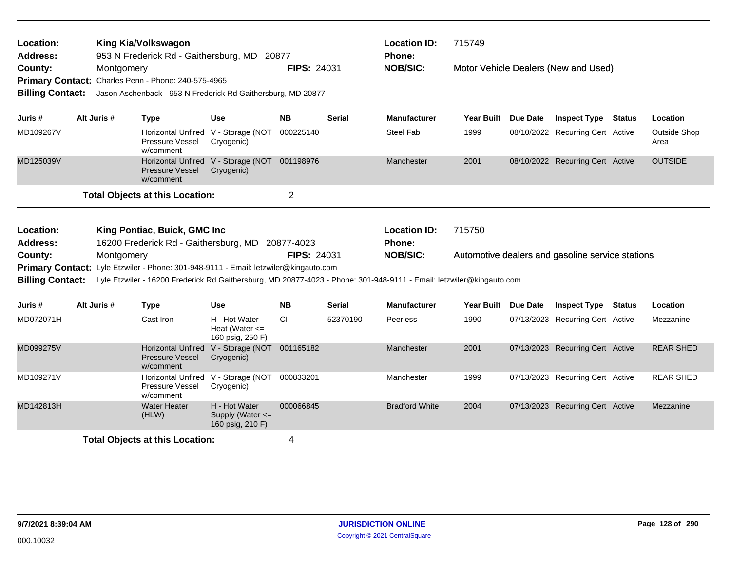| Location:<br><b>Address:</b> |                                        |            | King Kia/Volkswagon                                                 | 953 N Frederick Rd - Gaithersburg, MD 20877                                          |                    |               | <b>Location ID:</b><br>Phone:                                                                                        | 715749              |                 |                                                  |        |                      |
|------------------------------|----------------------------------------|------------|---------------------------------------------------------------------|--------------------------------------------------------------------------------------|--------------------|---------------|----------------------------------------------------------------------------------------------------------------------|---------------------|-----------------|--------------------------------------------------|--------|----------------------|
| County:                      |                                        | Montgomery |                                                                     |                                                                                      | <b>FIPS: 24031</b> |               | <b>NOB/SIC:</b>                                                                                                      |                     |                 | Motor Vehicle Dealers (New and Used)             |        |                      |
|                              |                                        |            | Primary Contact: Charles Penn - Phone: 240-575-4965                 |                                                                                      |                    |               |                                                                                                                      |                     |                 |                                                  |        |                      |
| <b>Billing Contact:</b>      |                                        |            |                                                                     | Jason Aschenback - 953 N Frederick Rd Gaithersburg, MD 20877                         |                    |               |                                                                                                                      |                     |                 |                                                  |        |                      |
| Juris #                      | Alt Juris #                            |            | <b>Type</b>                                                         | <b>Use</b>                                                                           | <b>NB</b>          | <b>Serial</b> | <b>Manufacturer</b>                                                                                                  | Year Built Due Date |                 | <b>Inspect Type Status</b>                       |        | Location             |
| MD109267V                    |                                        |            | Horizontal Unfired V - Storage (NOT<br>Pressure Vessel<br>w/comment | Cryogenic)                                                                           | 000225140          |               | <b>Steel Fab</b>                                                                                                     | 1999                |                 | 08/10/2022 Recurring Cert Active                 |        | Outside Shop<br>Area |
| MD125039V                    |                                        |            | <b>Pressure Vessel</b><br>w/comment                                 | Horizontal Unfired V - Storage (NOT 001198976<br>Cryogenic)                          |                    |               | Manchester                                                                                                           | 2001                |                 | 08/10/2022 Recurring Cert Active                 |        | <b>OUTSIDE</b>       |
|                              | <b>Total Objects at this Location:</b> |            |                                                                     |                                                                                      | $\overline{2}$     |               |                                                                                                                      |                     |                 |                                                  |        |                      |
|                              |                                        |            |                                                                     |                                                                                      |                    |               |                                                                                                                      |                     |                 |                                                  |        |                      |
| Location:                    |                                        |            | King Pontiac, Buick, GMC Inc.                                       |                                                                                      |                    |               | <b>Location ID:</b>                                                                                                  | 715750              |                 |                                                  |        |                      |
|                              |                                        |            |                                                                     |                                                                                      |                    |               |                                                                                                                      |                     |                 |                                                  |        |                      |
| <b>Address:</b>              |                                        |            | 16200 Frederick Rd - Gaithersburg, MD                               |                                                                                      | 20877-4023         |               | <b>Phone:</b>                                                                                                        |                     |                 |                                                  |        |                      |
| County:                      |                                        | Montgomery |                                                                     |                                                                                      | <b>FIPS: 24031</b> |               | <b>NOB/SIC:</b>                                                                                                      |                     |                 | Automotive dealers and gasoline service stations |        |                      |
|                              |                                        |            |                                                                     | Primary Contact: Lyle Etzwiler - Phone: 301-948-9111 - Email: letzwiler@kingauto.com |                    |               |                                                                                                                      |                     |                 |                                                  |        |                      |
| <b>Billing Contact:</b>      |                                        |            |                                                                     |                                                                                      |                    |               | Lyle Etzwiler - 16200 Frederick Rd Gaithersburg, MD 20877-4023 - Phone: 301-948-9111 - Email: letzwiler@kingauto.com |                     |                 |                                                  |        |                      |
| Juris #                      | Alt Juris #                            |            | <b>Type</b>                                                         | <b>Use</b>                                                                           | <b>NB</b>          | <b>Serial</b> | <b>Manufacturer</b>                                                                                                  | <b>Year Built</b>   | <b>Due Date</b> | <b>Inspect Type</b>                              | Status | Location             |
| MD072071H                    |                                        |            | Cast Iron                                                           | H - Hot Water<br>Heat (Water $\leq$<br>160 psig, 250 F)                              | CI                 | 52370190      | <b>Peerless</b>                                                                                                      | 1990                |                 | 07/13/2023 Recurring Cert Active                 |        | Mezzanine            |
| MD099275V                    |                                        |            | <b>Horizontal Unfired</b><br><b>Pressure Vessel</b><br>w/comment    | V - Storage (NOT 001165182<br>Cryogenic)                                             |                    |               | Manchester                                                                                                           | 2001                |                 | 07/13/2023 Recurring Cert Active                 |        | <b>REAR SHED</b>     |
| MD109271V                    |                                        |            | Horizontal Unfired V - Storage (NOT<br>Pressure Vessel<br>w/comment | Cryogenic)                                                                           | 000833201          |               | Manchester                                                                                                           | 1999                |                 | 07/13/2023 Recurring Cert Active                 |        | <b>REAR SHED</b>     |
| MD142813H                    |                                        |            | <b>Water Heater</b><br>(HLW)                                        | H - Hot Water<br>Supply (Water <=<br>160 psig, 210 F)                                | 000066845          |               | <b>Bradford White</b>                                                                                                | 2004                |                 | 07/13/2023 Recurring Cert Active                 |        | Mezzanine            |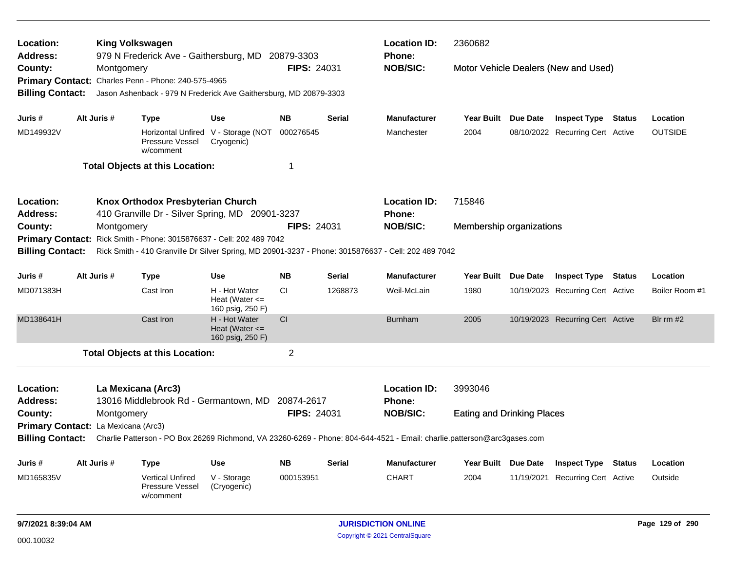| Location:                  |                                                                                                                         |             | <b>King Volkswagen</b>                                            |                                                         |                    |         | <b>Location ID:</b>                                                                                 | 2360682                           |                 |                                      |               |                 |
|----------------------------|-------------------------------------------------------------------------------------------------------------------------|-------------|-------------------------------------------------------------------|---------------------------------------------------------|--------------------|---------|-----------------------------------------------------------------------------------------------------|-----------------------------------|-----------------|--------------------------------------|---------------|-----------------|
| <b>Address:</b><br>County: |                                                                                                                         | Montgomery  | 979 N Frederick Ave - Gaithersburg, MD 20879-3303                 |                                                         | <b>FIPS: 24031</b> |         | Phone:<br><b>NOB/SIC:</b>                                                                           |                                   |                 | Motor Vehicle Dealers (New and Used) |               |                 |
|                            |                                                                                                                         |             | Primary Contact: Charles Penn - Phone: 240-575-4965               |                                                         |                    |         |                                                                                                     |                                   |                 |                                      |               |                 |
| <b>Billing Contact:</b>    |                                                                                                                         |             | Jason Ashenback - 979 N Frederick Ave Gaithersburg, MD 20879-3303 |                                                         |                    |         |                                                                                                     |                                   |                 |                                      |               |                 |
| Juris #                    |                                                                                                                         | Alt Juris # | <b>Type</b>                                                       | <b>Use</b>                                              | NB.                | Serial  | <b>Manufacturer</b>                                                                                 | Year Built Due Date               |                 | <b>Inspect Type Status</b>           |               | Location        |
| MD149932V                  |                                                                                                                         |             | Pressure Vessel<br>w/comment                                      | Horizontal Unfired V - Storage (NOT<br>Cryogenic)       | 000276545          |         | Manchester                                                                                          | 2004                              |                 | 08/10/2022 Recurring Cert Active     |               | <b>OUTSIDE</b>  |
|                            |                                                                                                                         |             | <b>Total Objects at this Location:</b>                            |                                                         | 1                  |         |                                                                                                     |                                   |                 |                                      |               |                 |
| Location:                  |                                                                                                                         |             | Knox Orthodox Presbyterian Church                                 |                                                         |                    |         | <b>Location ID:</b>                                                                                 | 715846                            |                 |                                      |               |                 |
| Address:                   |                                                                                                                         |             | 410 Granville Dr - Silver Spring, MD 20901-3237                   |                                                         |                    |         | <b>Phone:</b>                                                                                       |                                   |                 |                                      |               |                 |
| County:                    |                                                                                                                         | Montgomery  |                                                                   |                                                         | <b>FIPS: 24031</b> |         | <b>NOB/SIC:</b>                                                                                     | Membership organizations          |                 |                                      |               |                 |
| <b>Primary Contact:</b>    |                                                                                                                         |             | Rick Smith - Phone: 3015876637 - Cell: 202 489 7042               |                                                         |                    |         |                                                                                                     |                                   |                 |                                      |               |                 |
| <b>Billing Contact:</b>    |                                                                                                                         |             |                                                                   |                                                         |                    |         | Rick Smith - 410 Granville Dr Silver Spring, MD 20901-3237 - Phone: 3015876637 - Cell: 202 489 7042 |                                   |                 |                                      |               |                 |
| Juris #                    | Alt Juris #<br><b>NB</b><br><b>Type</b><br><b>Use</b><br>Serial                                                         |             |                                                                   |                                                         |                    |         | <b>Manufacturer</b>                                                                                 | <b>Year Built</b>                 | <b>Due Date</b> | <b>Inspect Type Status</b>           |               | Location        |
| MD071383H                  |                                                                                                                         |             | Cast Iron                                                         | H - Hot Water<br>Heat (Water $\leq$<br>160 psig, 250 F) | <b>CI</b>          | 1268873 | Weil-McLain                                                                                         | 1980                              |                 | 10/19/2023 Recurring Cert Active     |               | Boiler Room #1  |
| MD138641H                  |                                                                                                                         |             | Cast Iron                                                         | H - Hot Water<br>Heat (Water $\leq$<br>160 psig, 250 F) | CI                 |         | <b>Burnham</b>                                                                                      | 2005                              |                 | 10/19/2023 Recurring Cert Active     |               | Bir $rm #2$     |
|                            |                                                                                                                         |             | <b>Total Objects at this Location:</b>                            |                                                         | $\overline{2}$     |         |                                                                                                     |                                   |                 |                                      |               |                 |
| Location:                  |                                                                                                                         |             | La Mexicana (Arc3)                                                |                                                         |                    |         | <b>Location ID:</b>                                                                                 | 3993046                           |                 |                                      |               |                 |
| <b>Address:</b>            |                                                                                                                         |             | 13016 Middlebrook Rd - Germantown, MD 20874-2617                  |                                                         |                    |         | Phone:                                                                                              |                                   |                 |                                      |               |                 |
| County:                    |                                                                                                                         |             |                                                                   |                                                         |                    |         | <b>NOB/SIC:</b>                                                                                     | <b>Eating and Drinking Places</b> |                 |                                      |               |                 |
|                            | <b>FIPS: 24031</b><br>Montgomery<br>Primary Contact: La Mexicana (Arc3)                                                 |             |                                                                   |                                                         |                    |         |                                                                                                     |                                   |                 |                                      |               |                 |
| <b>Billing Contact:</b>    | Charlie Patterson - PO Box 26269 Richmond, VA 23260-6269 - Phone: 804-644-4521 - Email: charlie.patterson@arc3gases.com |             |                                                                   |                                                         |                    |         |                                                                                                     |                                   |                 |                                      |               |                 |
| Juris #                    |                                                                                                                         | Alt Juris # | <b>Type</b>                                                       | <b>Use</b>                                              | <b>NB</b>          | Serial  | <b>Manufacturer</b>                                                                                 | Year Built Due Date               |                 | <b>Inspect Type</b>                  | <b>Status</b> | Location        |
| MD165835V                  | 000153951<br><b>Vertical Unfired</b><br>V - Storage<br><b>Pressure Vessel</b><br>(Cryogenic)<br>w/comment               |             |                                                                   |                                                         |                    |         | <b>CHART</b>                                                                                        | 2004                              |                 | 11/19/2021 Recurring Cert Active     |               | Outside         |
| 9/7/2021 8:39:04 AM        |                                                                                                                         |             |                                                                   |                                                         |                    |         | <b>JURISDICTION ONLINE</b>                                                                          |                                   |                 |                                      |               | Page 129 of 290 |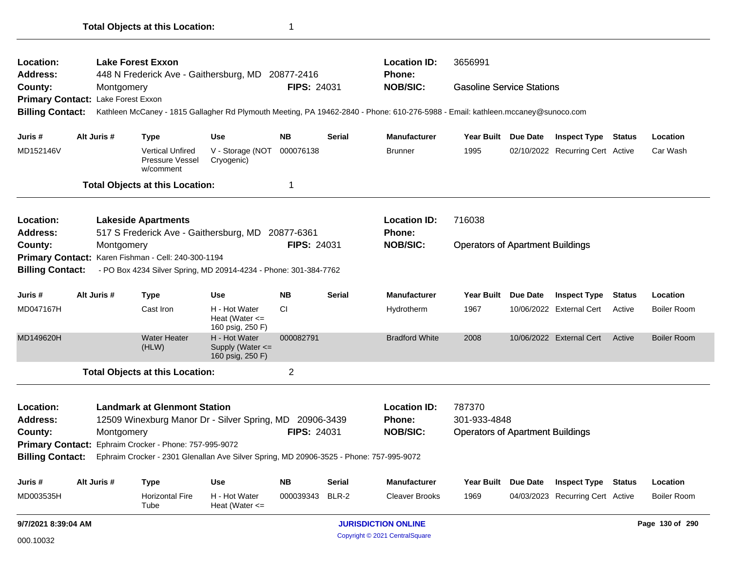|                                                                                               |                     |                                 | <b>Total Objects at this Location:</b>                                                        |                                                                                                                                                    | 1                      |                        |                                                                                                                                                                                     |                                                                   |                                                                |               |                                |
|-----------------------------------------------------------------------------------------------|---------------------|---------------------------------|-----------------------------------------------------------------------------------------------|----------------------------------------------------------------------------------------------------------------------------------------------------|------------------------|------------------------|-------------------------------------------------------------------------------------------------------------------------------------------------------------------------------------|-------------------------------------------------------------------|----------------------------------------------------------------|---------------|--------------------------------|
| Location:<br><b>Address:</b><br>County:<br><b>Primary Contact:</b><br><b>Billing Contact:</b> |                     | Montgomery<br>Lake Forest Exxon | <b>Lake Forest Exxon</b>                                                                      | 448 N Frederick Ave - Gaithersburg, MD 20877-2416                                                                                                  | <b>FIPS: 24031</b>     |                        | <b>Location ID:</b><br>Phone:<br><b>NOB/SIC:</b><br>Kathleen McCaney - 1815 Gallagher Rd Plymouth Meeting, PA 19462-2840 - Phone: 610-276-5988 - Email: kathleen.mccaney@sunoco.com | 3656991<br><b>Gasoline Service Stations</b>                       |                                                                |               |                                |
| Juris #                                                                                       |                     | Alt Juris #                     | <b>Type</b>                                                                                   | Use                                                                                                                                                | <b>NB</b>              | <b>Serial</b>          | <b>Manufacturer</b>                                                                                                                                                                 | Year Built Due Date                                               | <b>Inspect Type Status</b>                                     |               | Location                       |
| MD152146V                                                                                     |                     |                                 | <b>Vertical Unfired</b><br><b>Pressure Vessel</b><br>w/comment                                | V - Storage (NOT 000076138<br>Cryogenic)                                                                                                           |                        |                        | <b>Brunner</b>                                                                                                                                                                      | 1995                                                              | 02/10/2022 Recurring Cert Active                               |               | Car Wash                       |
|                                                                                               |                     |                                 | <b>Total Objects at this Location:</b>                                                        |                                                                                                                                                    | 1                      |                        |                                                                                                                                                                                     |                                                                   |                                                                |               |                                |
| Location:<br>Address:                                                                         |                     |                                 | <b>Lakeside Apartments</b>                                                                    | 517 S Frederick Ave - Gaithersburg, MD 20877-6361                                                                                                  |                        |                        | <b>Location ID:</b><br><b>Phone:</b>                                                                                                                                                | 716038                                                            |                                                                |               |                                |
| County:<br><b>Billing Contact:</b>                                                            |                     | Montgomery                      | Primary Contact: Karen Fishman - Cell: 240-300-1194                                           | - PO Box 4234 Silver Spring, MD 20914-4234 - Phone: 301-384-7762                                                                                   | <b>FIPS: 24031</b>     |                        | <b>NOB/SIC:</b>                                                                                                                                                                     | <b>Operators of Apartment Buildings</b>                           |                                                                |               |                                |
| Juris #                                                                                       |                     | Alt Juris #                     | <b>Type</b>                                                                                   | <b>Use</b>                                                                                                                                         | <b>NB</b>              | <b>Serial</b>          | <b>Manufacturer</b>                                                                                                                                                                 | Year Built Due Date                                               | <b>Inspect Type</b>                                            | <b>Status</b> | Location                       |
| MD047167H                                                                                     |                     |                                 | Cast Iron                                                                                     | H - Hot Water<br>Heat (Water $\leq$<br>160 psig, 250 F)                                                                                            | CI.                    |                        | Hydrotherm                                                                                                                                                                          | 1967                                                              | 10/06/2022 External Cert                                       | Active        | <b>Boiler Room</b>             |
| MD149620H                                                                                     |                     |                                 | <b>Water Heater</b><br>(HLW)                                                                  | H - Hot Water<br>Supply (Water <=<br>160 psig, 250 F)                                                                                              | 000082791              |                        | <b>Bradford White</b>                                                                                                                                                               | 2008                                                              | 10/06/2022 External Cert                                       | Active        | <b>Boiler Room</b>             |
|                                                                                               |                     |                                 | <b>Total Objects at this Location:</b>                                                        |                                                                                                                                                    | 2                      |                        |                                                                                                                                                                                     |                                                                   |                                                                |               |                                |
| Location:<br><b>Address:</b><br>County:<br><b>Billing Contact:</b>                            |                     | Montgomery                      | <b>Landmark at Glenmont Station</b><br>Primary Contact: Ephraim Crocker - Phone: 757-995-9072 | 12509 Winexburg Manor Dr - Silver Spring, MD 20906-3439<br>Ephraim Crocker - 2301 Glenallan Ave Silver Spring, MD 20906-3525 - Phone: 757-995-9072 | <b>FIPS: 24031</b>     |                        | <b>Location ID:</b><br><b>Phone:</b><br><b>NOB/SIC:</b>                                                                                                                             | 787370<br>301-933-4848<br><b>Operators of Apartment Buildings</b> |                                                                |               |                                |
|                                                                                               |                     |                                 |                                                                                               |                                                                                                                                                    |                        |                        |                                                                                                                                                                                     | Year Built Due Date                                               |                                                                |               |                                |
| Juris #<br>MD003535H                                                                          |                     | Alt Juris #                     | <b>Type</b><br><b>Horizontal Fire</b><br>Tube                                                 | <b>Use</b><br>H - Hot Water<br>Heat (Water $\leq$                                                                                                  | <b>NB</b><br>000039343 | <b>Serial</b><br>BLR-2 | <b>Manufacturer</b><br><b>Cleaver Brooks</b>                                                                                                                                        | 1969                                                              | <b>Inspect Type Status</b><br>04/03/2023 Recurring Cert Active |               | Location<br><b>Boiler Room</b> |
|                                                                                               | 9/7/2021 8:39:04 AM |                                 |                                                                                               |                                                                                                                                                    |                        |                        | <b>JURISDICTION ONLINE</b>                                                                                                                                                          |                                                                   |                                                                |               | Page 130 of 290                |

Copyright © 2021 CentralSquare 000.10032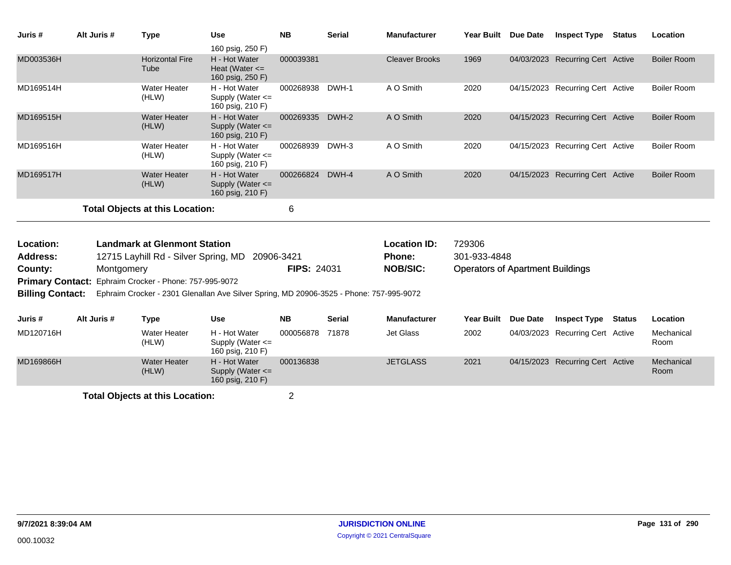| Juris #                 | Alt Juris # | <b>Type</b>                            | <b>Use</b>                                                                              | <b>NB</b>          | <b>Serial</b> | <b>Manufacturer</b>   | <b>Year Built</b>                       | Due Date | <b>Inspect Type Status</b>       |        | Location           |
|-------------------------|-------------|----------------------------------------|-----------------------------------------------------------------------------------------|--------------------|---------------|-----------------------|-----------------------------------------|----------|----------------------------------|--------|--------------------|
|                         |             |                                        | 160 psig, 250 F)                                                                        |                    |               |                       |                                         |          |                                  |        |                    |
| MD003536H               |             | <b>Horizontal Fire</b><br>Tube         | H - Hot Water<br>Heat (Water $\leq$<br>160 psig, 250 F)                                 | 000039381          |               | <b>Cleaver Brooks</b> | 1969                                    |          | 04/03/2023 Recurring Cert Active |        | <b>Boiler Room</b> |
| MD169514H               |             | <b>Water Heater</b><br>(HLW)           | H - Hot Water<br>Supply (Water <=<br>160 psig, 210 F)                                   | 000268938          | DWH-1         | A O Smith             | 2020                                    |          | 04/15/2023 Recurring Cert Active |        | <b>Boiler Room</b> |
| MD169515H               |             | <b>Water Heater</b><br>(HLW)           | H - Hot Water<br>Supply (Water <=<br>160 psig, 210 F)                                   | 000269335          | DWH-2         | A O Smith             | 2020                                    |          | 04/15/2023 Recurring Cert Active |        | <b>Boiler Room</b> |
| MD169516H               |             | <b>Water Heater</b><br>(HLW)           | H - Hot Water<br>Supply (Water $\leq$<br>160 psig, 210 F)                               | 000268939          | DWH-3         | A O Smith             | 2020                                    |          | 04/15/2023 Recurring Cert Active |        | Boiler Room        |
| MD169517H               |             | <b>Water Heater</b><br>(HLW)           | H - Hot Water<br>Supply (Water <=<br>160 psig, 210 F)                                   | 000266824          | DWH-4         | A O Smith             | 2020                                    |          | 04/15/2023 Recurring Cert Active |        | <b>Boiler Room</b> |
|                         |             | <b>Total Objects at this Location:</b> |                                                                                         | 6                  |               |                       |                                         |          |                                  |        |                    |
| Location:               |             | <b>Landmark at Glenmont Station</b>    |                                                                                         |                    |               | <b>Location ID:</b>   | 729306                                  |          |                                  |        |                    |
| <b>Address:</b>         |             | 12715 Layhill Rd - Silver Spring, MD   |                                                                                         | 20906-3421         |               | <b>Phone:</b>         | 301-933-4848                            |          |                                  |        |                    |
| County:                 | Montgomery  |                                        |                                                                                         | <b>FIPS: 24031</b> |               | <b>NOB/SIC:</b>       | <b>Operators of Apartment Buildings</b> |          |                                  |        |                    |
| <b>Primary Contact:</b> |             | Ephraim Crocker - Phone: 757-995-9072  |                                                                                         |                    |               |                       |                                         |          |                                  |        |                    |
| <b>Billing Contact:</b> |             |                                        | Ephraim Crocker - 2301 Glenallan Ave Silver Spring, MD 20906-3525 - Phone: 757-995-9072 |                    |               |                       |                                         |          |                                  |        |                    |
| Juris #                 | Alt Juris # | <b>Type</b>                            | <b>Use</b>                                                                              | <b>NB</b>          | <b>Serial</b> | <b>Manufacturer</b>   | <b>Year Built</b>                       | Due Date | <b>Inspect Type</b>              | Status | Location           |
| MD120716H               |             | <b>Water Heater</b><br>(HLW)           | H - Hot Water<br>Supply (Water $\leq$<br>160 psig, 210 F)                               | 000056878          | 71878         | Jet Glass             | 2002                                    |          | 04/03/2023 Recurring Cert Active |        | Mechanical<br>Room |
| MD169866H               |             | <b>Water Heater</b><br>(HLW)           | H - Hot Water<br>Supply (Water <=<br>160 psig, 210 F)                                   | 000136838          |               | <b>JETGLASS</b>       | 2021                                    |          | 04/15/2023 Recurring Cert Active |        | Mechanical<br>Room |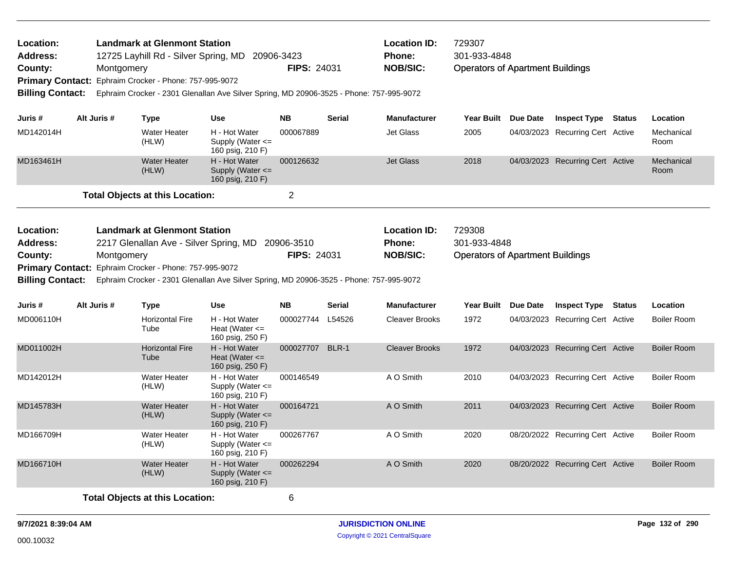| Location:                              |                                                                                           |             | <b>Landmark at Glenmont Station</b>                    |                                                                                         |                                  |               | <b>Location ID:</b>                  | 729307                                  |                                  |               |                    |
|----------------------------------------|-------------------------------------------------------------------------------------------|-------------|--------------------------------------------------------|-----------------------------------------------------------------------------------------|----------------------------------|---------------|--------------------------------------|-----------------------------------------|----------------------------------|---------------|--------------------|
| <b>Address:</b>                        |                                                                                           |             | 12725 Layhill Rd - Silver Spring, MD                   |                                                                                         | 20906-3423                       |               | <b>Phone:</b>                        | 301-933-4848                            |                                  |               |                    |
| County:                                |                                                                                           | Montgomery  |                                                        |                                                                                         | FIPS: 24031                      |               | <b>NOB/SIC:</b>                      | <b>Operators of Apartment Buildings</b> |                                  |               |                    |
| <b>Primary Contact:</b>                |                                                                                           |             | Ephraim Crocker - Phone: 757-995-9072                  |                                                                                         |                                  |               |                                      |                                         |                                  |               |                    |
| <b>Billing Contact:</b>                |                                                                                           |             |                                                        | Ephraim Crocker - 2301 Glenallan Ave Silver Spring, MD 20906-3525 - Phone: 757-995-9072 |                                  |               |                                      |                                         |                                  |               |                    |
| Juris #                                |                                                                                           | Alt Juris # | <b>Type</b>                                            | <b>Use</b>                                                                              | <b>NB</b>                        | <b>Serial</b> | <b>Manufacturer</b>                  | Year Built Due Date                     | <b>Inspect Type</b>              | Status        | Location           |
| MD142014H                              |                                                                                           |             | <b>Water Heater</b><br>(HLW)                           | H - Hot Water<br>Supply (Water $\leq$<br>160 psig, 210 F)                               | 000067889                        |               | <b>Jet Glass</b>                     | 2005                                    | 04/03/2023 Recurring Cert Active |               | Mechanical<br>Room |
| MD163461H                              |                                                                                           |             | <b>Water Heater</b><br>(HLW)                           | H - Hot Water<br>Supply (Water $\leq$<br>160 psig, 210 F)                               | 000126632                        |               | <b>Jet Glass</b>                     | 2018                                    | 04/03/2023 Recurring Cert Active |               | Mechanical<br>Room |
|                                        |                                                                                           |             | <b>Total Objects at this Location:</b>                 |                                                                                         | $\overline{2}$                   |               |                                      |                                         |                                  |               |                    |
| Location:                              | <b>Landmark at Glenmont Station</b><br>Address:<br>2217 Glenallan Ave - Silver Spring, MD |             |                                                        |                                                                                         |                                  |               | <b>Location ID:</b><br><b>Phone:</b> | 729308<br>301-933-4848                  |                                  |               |                    |
| County:<br>Montgomery                  |                                                                                           |             |                                                        |                                                                                         | 20906-3510<br><b>FIPS: 24031</b> |               | <b>NOB/SIC:</b>                      | <b>Operators of Apartment Buildings</b> |                                  |               |                    |
|                                        |                                                                                           |             | Primary Contact: Ephraim Crocker - Phone: 757-995-9072 |                                                                                         |                                  |               |                                      |                                         |                                  |               |                    |
| <b>Billing Contact:</b>                |                                                                                           |             |                                                        | Ephraim Crocker - 2301 Glenallan Ave Silver Spring, MD 20906-3525 - Phone: 757-995-9072 |                                  |               |                                      |                                         |                                  |               |                    |
|                                        |                                                                                           |             |                                                        |                                                                                         |                                  |               |                                      |                                         |                                  |               |                    |
| Juris #                                |                                                                                           | Alt Juris # | <b>Type</b>                                            | <b>Use</b>                                                                              | <b>NB</b>                        | Serial        | <b>Manufacturer</b>                  | Year Built Due Date                     | <b>Inspect Type</b>              | <b>Status</b> | Location           |
| MD006110H                              |                                                                                           |             | <b>Horizontal Fire</b><br>Tube                         | H - Hot Water<br>Heat (Water $\leq$<br>160 psig, 250 F)                                 | 000027744 L54526                 |               | <b>Cleaver Brooks</b>                | 1972                                    | 04/03/2023 Recurring Cert Active |               | <b>Boiler Room</b> |
| MD011002H                              |                                                                                           |             | <b>Horizontal Fire</b><br>Tube                         | H - Hot Water<br>Heat (Water $\leq$<br>160 psig, 250 F)                                 | 000027707 BLR-1                  |               | <b>Cleaver Brooks</b>                | 1972                                    | 04/03/2023 Recurring Cert Active |               | <b>Boiler Room</b> |
| MD142012H                              |                                                                                           |             | <b>Water Heater</b><br>(HLW)                           | H - Hot Water<br>Supply (Water $\leq$<br>160 psig, 210 F)                               | 000146549                        |               | A O Smith                            | 2010                                    | 04/03/2023 Recurring Cert Active |               | <b>Boiler Room</b> |
| MD145783H                              |                                                                                           |             | <b>Water Heater</b><br>(HLW)                           | H - Hot Water<br>Supply (Water $\leq$<br>160 psig, 210 F)                               | 000164721                        |               | A O Smith                            | 2011                                    | 04/03/2023 Recurring Cert Active |               | <b>Boiler Room</b> |
| MD166709H                              |                                                                                           |             | <b>Water Heater</b><br>(HLW)                           | H - Hot Water<br>Supply (Water <=<br>160 psig, 210 F)                                   | 000267767                        |               | A O Smith                            | 2020                                    | 08/20/2022 Recurring Cert Active |               | <b>Boiler Room</b> |
| MD166710H                              |                                                                                           |             | <b>Water Heater</b><br>(HLW)                           | H - Hot Water<br>Supply (Water $\leq$<br>160 psig, 210 F)                               | 000262294                        |               | A O Smith                            | 2020                                    | 08/20/2022 Recurring Cert Active |               | <b>Boiler Room</b> |
| <b>Total Objects at this Location:</b> |                                                                                           |             |                                                        | 6                                                                                       |                                  |               |                                      |                                         |                                  |               |                    |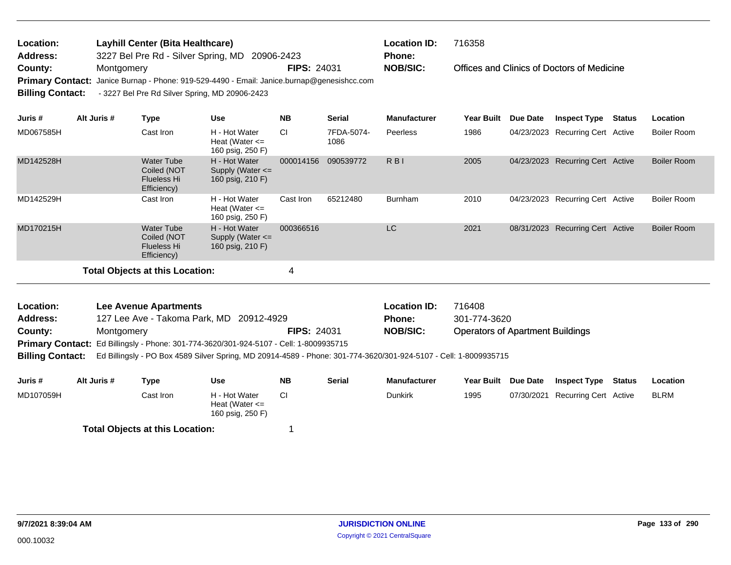| Location:               | Layhill Center (Bita Healthcare)                                                           |                    | <b>Location ID:</b> | 716358                                     |
|-------------------------|--------------------------------------------------------------------------------------------|--------------------|---------------------|--------------------------------------------|
| <b>Address:</b>         | 3227 Bel Pre Rd - Silver Spring, MD 20906-2423                                             |                    | <b>Phone:</b>       |                                            |
| County:                 | Montgomery                                                                                 | <b>FIPS: 24031</b> | <b>NOB/SIC:</b>     | Offices and Clinics of Doctors of Medicine |
|                         | Primary Contact: Janice Burnap - Phone: 919-529-4490 - Email: Janice.burnap@genesishcc.com |                    |                     |                                            |
| <b>Billing Contact:</b> | - 3227 Bel Pre Rd Silver Spring, MD 20906-2423                                             |                    |                     |                                            |
|                         |                                                                                            |                    |                     |                                            |

| Juris#    | Alt Juris # | Type                                                                  | Use                                                       | <b>NB</b> | <b>Serial</b>      | <b>Manufacturer</b>      | <b>Year Built</b> | Due Date | <b>Inspect Type</b>              | Status | Location           |
|-----------|-------------|-----------------------------------------------------------------------|-----------------------------------------------------------|-----------|--------------------|--------------------------|-------------------|----------|----------------------------------|--------|--------------------|
| MD067585H |             | Cast Iron                                                             | H - Hot Water<br>Heat (Water $\leq$<br>160 psig, 250 F)   | <b>CI</b> | 7FDA-5074-<br>1086 | Peerless                 | 1986              |          | 04/23/2023 Recurring Cert Active |        | Boiler Room        |
| MD142528H |             | <b>Water Tube</b><br>Coiled (NOT<br><b>Flueless Hi</b><br>Efficiency) | H - Hot Water<br>Supply (Water $\leq$<br>160 psig, 210 F) | 000014156 | 090539772          | $R$ <sub>B</sub> $\vert$ | 2005              |          | 04/23/2023 Recurring Cert Active |        | <b>Boiler Room</b> |
| MD142529H |             | Cast Iron                                                             | H - Hot Water<br>Heat (Water $\leq$<br>160 psig, 250 F)   | Cast Iron | 65212480           | <b>Burnham</b>           | 2010              |          | 04/23/2023 Recurring Cert Active |        | Boiler Room        |
| MD170215H |             | <b>Water Tube</b><br>Coiled (NOT<br><b>Flueless Hi</b><br>Efficiency) | H - Hot Water<br>Supply (Water $\leq$<br>160 psig, 210 F) | 000366516 |                    | LC                       | 2021              |          | 08/31/2023 Recurring Cert Active |        | <b>Boiler Room</b> |
|           |             | <b>Total Objects at this Location:</b>                                |                                                           | 4         |                    |                          |                   |          |                                  |        |                    |

| Location:       | <b>Lee Avenue Apartments</b>                                                           |                    | <b>Location ID:</b>           | 716408                                  |  |
|-----------------|----------------------------------------------------------------------------------------|--------------------|-------------------------------|-----------------------------------------|--|
| <b>Address:</b> | 127 Lee Ave - Takoma Park, MD 20912-4929                                               |                    | 301-774-3620<br><b>Phone:</b> |                                         |  |
| County:         | Montgomery                                                                             | <b>FIPS: 24031</b> | NOB/SIC:                      | <b>Operators of Apartment Buildings</b> |  |
|                 | Primary Contact: Ed Billingsly - Phone: 301-774-3620/301-924-5107 - Cell: 1-8009935715 |                    |                               |                                         |  |

**Billing Contact:** Ed Billingsly - PO Box 4589 Silver Spring, MD 20914-4589 - Phone: 301-774-3620/301-924-5107 - Cell: 1-8009935715

| Juris #   | Alt Juris # | Type                                   | Use                                                     | <b>NB</b> | <b>Serial</b> | <b>Manufacturer</b> | <b>Year Built</b> | <b>Due Date</b> | <b>Inspect Type</b>   | Status | Location    |
|-----------|-------------|----------------------------------------|---------------------------------------------------------|-----------|---------------|---------------------|-------------------|-----------------|-----------------------|--------|-------------|
| MD107059H |             | Cast Iron                              | H - Hot Water<br>Heat (Water $\leq$<br>160 psig, 250 F) |           |               | <b>Dunkirk</b>      | 1995              | 07/30/2021      | Recurring Cert Active |        | <b>BLRM</b> |
|           |             | <b>Total Objects at this Location:</b> |                                                         |           |               |                     |                   |                 |                       |        |             |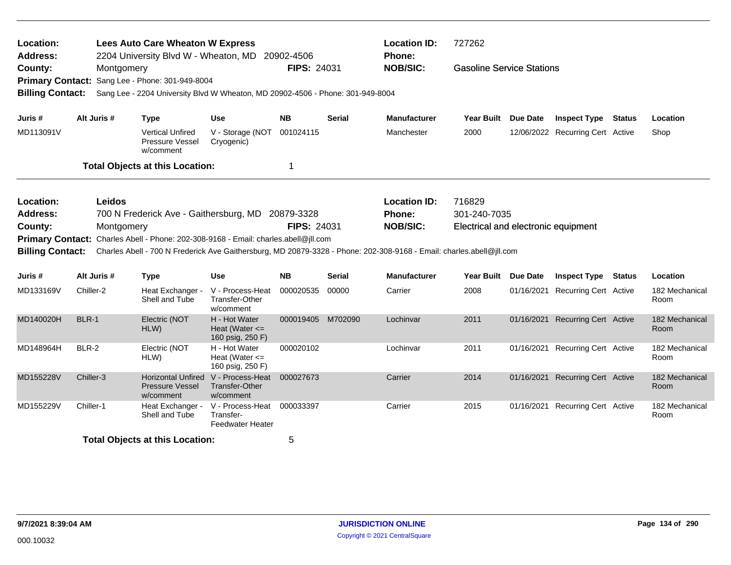| Location:<br><b>Address:</b>                                                                                                                                                                                                                                                                                                                                   |             | <b>Lees Auto Care Wheaton W Express</b><br>2204 University Blvd W - Wheaton, MD 20902-4506                       |                                                                    |                    |               | <b>Location ID:</b><br>Phone:                    | 727262                                                        |                 |                                                                |  |                        |
|----------------------------------------------------------------------------------------------------------------------------------------------------------------------------------------------------------------------------------------------------------------------------------------------------------------------------------------------------------------|-------------|------------------------------------------------------------------------------------------------------------------|--------------------------------------------------------------------|--------------------|---------------|--------------------------------------------------|---------------------------------------------------------------|-----------------|----------------------------------------------------------------|--|------------------------|
| County:<br><b>Primary Contact:</b><br><b>Billing Contact:</b>                                                                                                                                                                                                                                                                                                  | Montgomery  | Sang Lee - Phone: 301-949-8004<br>Sang Lee - 2204 University Blvd W Wheaton, MD 20902-4506 - Phone: 301-949-8004 |                                                                    | <b>FIPS: 24031</b> |               | <b>NOB/SIC:</b>                                  | <b>Gasoline Service Stations</b>                              |                 |                                                                |  |                        |
|                                                                                                                                                                                                                                                                                                                                                                |             |                                                                                                                  |                                                                    | <b>NB</b>          |               |                                                  |                                                               |                 |                                                                |  |                        |
| Juris #<br>MD113091V                                                                                                                                                                                                                                                                                                                                           | Alt Juris # | <b>Type</b><br><b>Vertical Unfired</b><br>Pressure Vessel<br>w/comment                                           | <b>Use</b><br>V - Storage (NOT 001024115<br>Cryogenic)             |                    | <b>Serial</b> | <b>Manufacturer</b><br>Manchester                | Year Built Due Date<br>2000                                   |                 | <b>Inspect Type Status</b><br>12/06/2022 Recurring Cert Active |  | Location<br>Shop       |
|                                                                                                                                                                                                                                                                                                                                                                |             | <b>Total Objects at this Location:</b>                                                                           |                                                                    | 1                  |               |                                                  |                                                               |                 |                                                                |  |                        |
| Leidos<br>Location:<br><b>Address:</b><br>700 N Frederick Ave - Gaithersburg, MD 20879-3328<br>County:<br>Montgomery<br>Primary Contact: Charles Abell - Phone: 202-308-9168 - Email: charles.abell@jll.com<br><b>Billing Contact:</b><br>Charles Abell - 700 N Frederick Ave Gaithersburg, MD 20879-3328 - Phone: 202-308-9168 - Email: charles.abell@jll.com |             |                                                                                                                  |                                                                    | FIPS: 24031        |               | <b>Location ID:</b><br>Phone:<br><b>NOB/SIC:</b> | 716829<br>301-240-7035<br>Electrical and electronic equipment |                 |                                                                |  |                        |
| Juris #                                                                                                                                                                                                                                                                                                                                                        | Alt Juris # | <b>Type</b>                                                                                                      | <b>Use</b>                                                         | <b>NB</b>          | <b>Serial</b> | <b>Manufacturer</b>                              | Year Built                                                    | <b>Due Date</b> | <b>Inspect Type Status</b>                                     |  | Location               |
| MD133169V                                                                                                                                                                                                                                                                                                                                                      | Chiller-2   | Heat Exchanger -<br>Shell and Tube                                                                               | V - Process-Heat<br>Transfer-Other<br>w/comment                    | 000020535          | 00000         | Carrier                                          | 2008                                                          |                 | 01/16/2021 Recurring Cert Active                               |  | 182 Mechanical<br>Room |
| MD140020H                                                                                                                                                                                                                                                                                                                                                      | BLR-1       | Electric (NOT<br>HLW)                                                                                            | H - Hot Water<br>Heat (Water $\leq$<br>160 psig, 250 F)            | 000019405 M702090  |               | Lochinvar                                        | 2011                                                          |                 | 01/16/2021 Recurring Cert Active                               |  | 182 Mechanical<br>Room |
| MD148964H                                                                                                                                                                                                                                                                                                                                                      | BLR-2       | Electric (NOT<br>HLW)                                                                                            | H - Hot Water<br>Heat (Water $\leq$<br>160 psig, 250 F)            | 000020102          |               | Lochinvar                                        | 2011                                                          |                 | 01/16/2021 Recurring Cert Active                               |  | 182 Mechanical<br>Room |
| MD155228V                                                                                                                                                                                                                                                                                                                                                      | Chiller-3   | <b>Horizontal Unfired</b><br><b>Pressure Vessel</b><br>w/comment                                                 | V - Process-Heat<br>Transfer-Other<br>w/comment                    | 000027673          |               | Carrier                                          | 2014                                                          |                 | 01/16/2021 Recurring Cert Active                               |  | 182 Mechanical<br>Room |
| MD155229V                                                                                                                                                                                                                                                                                                                                                      | Chiller-1   | Heat Exchanger -<br>Shell and Tube                                                                               | V - Process-Heat 000033397<br>Transfer-<br><b>Feedwater Heater</b> |                    |               | Carrier                                          | 2015                                                          |                 | 01/16/2021 Recurring Cert Active                               |  | 182 Mechanical<br>Room |
|                                                                                                                                                                                                                                                                                                                                                                |             | <b>Total Objects at this Location:</b>                                                                           |                                                                    | 5                  |               |                                                  |                                                               |                 |                                                                |  |                        |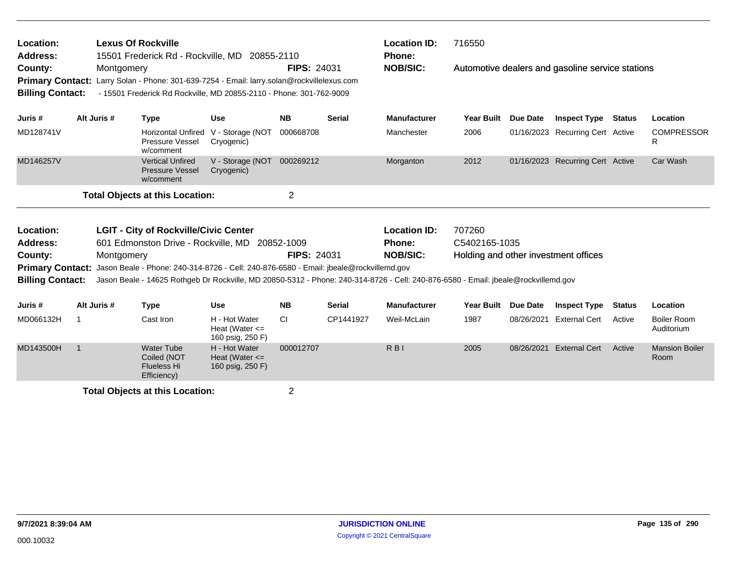| Location:<br><b>Address:</b><br>County:            |                | <b>Lexus Of Rockville</b> |                                                                       | 15501 Frederick Rd - Rockville, MD 20855-2110                                                                                                    | <b>FIPS: 24031</b> |               | <b>Location ID:</b><br><b>Phone:</b><br><b>NOB/SIC:</b>                                                                            | 716550                               | Automotive dealers and gasoline service stations |                                  |               |                                  |  |
|----------------------------------------------------|----------------|---------------------------|-----------------------------------------------------------------------|--------------------------------------------------------------------------------------------------------------------------------------------------|--------------------|---------------|------------------------------------------------------------------------------------------------------------------------------------|--------------------------------------|--------------------------------------------------|----------------------------------|---------------|----------------------------------|--|
| <b>Primary Contact:</b><br><b>Billing Contact:</b> |                | Montgomery                |                                                                       | Larry Solan - Phone: 301-639-7254 - Email: larry.solan@rockvillelexus.com<br>- 15501 Frederick Rd Rockville, MD 20855-2110 - Phone: 301-762-9009 |                    |               |                                                                                                                                    |                                      |                                                  |                                  |               |                                  |  |
| Juris #                                            | Alt Juris #    |                           | <b>Type</b>                                                           | <b>Use</b>                                                                                                                                       | <b>NB</b>          | <b>Serial</b> | <b>Manufacturer</b>                                                                                                                | <b>Year Built</b>                    | <b>Due Date</b>                                  | <b>Inspect Type</b>              | <b>Status</b> | Location                         |  |
| MD128741V                                          |                |                           | Horizontal Unfired<br><b>Pressure Vessel</b><br>w/comment             | V - Storage (NOT<br>Cryogenic)                                                                                                                   | 000668708          |               | Manchester                                                                                                                         | 2006                                 |                                                  | 01/16/2023 Recurring Cert Active |               | <b>COMPRESSOR</b><br>R           |  |
| MD146257V                                          |                |                           | <b>Vertical Unfired</b><br><b>Pressure Vessel</b><br>w/comment        | V - Storage (NOT<br>Cryogenic)                                                                                                                   | 000269212          |               | Morganton                                                                                                                          | 2012                                 |                                                  | 01/16/2023 Recurring Cert Active |               | Car Wash                         |  |
|                                                    |                |                           | <b>Total Objects at this Location:</b>                                |                                                                                                                                                  | $\overline{2}$     |               |                                                                                                                                    |                                      |                                                  |                                  |               |                                  |  |
| Location:                                          |                |                           | <b>LGIT - City of Rockville/Civic Center</b>                          |                                                                                                                                                  |                    |               | <b>Location ID:</b>                                                                                                                | 707260                               |                                                  |                                  |               |                                  |  |
| <b>Address:</b>                                    |                |                           |                                                                       | 601 Edmonston Drive - Rockville, MD 20852-1009                                                                                                   |                    |               | <b>Phone:</b>                                                                                                                      | C5402165-1035                        |                                                  |                                  |               |                                  |  |
| County:                                            |                | Montgomery                |                                                                       | Primary Contact: Jason Beale - Phone: 240-314-8726 - Cell: 240-876-6580 - Email: jbeale@rockvillemd.gov                                          | <b>FIPS: 24031</b> |               | <b>NOB/SIC:</b>                                                                                                                    | Holding and other investment offices |                                                  |                                  |               |                                  |  |
| <b>Billing Contact:</b>                            |                |                           |                                                                       |                                                                                                                                                  |                    |               | Jason Beale - 14625 Rothgeb Dr Rockville, MD 20850-5312 - Phone: 240-314-8726 - Cell: 240-876-6580 - Email: jbeale@rockvillemd.gov |                                      |                                                  |                                  |               |                                  |  |
| Juris #                                            | Alt Juris #    |                           | <b>Type</b>                                                           | <b>Use</b>                                                                                                                                       | <b>NB</b>          | <b>Serial</b> | <b>Manufacturer</b>                                                                                                                | <b>Year Built</b>                    | Due Date                                         | <b>Inspect Type</b>              | <b>Status</b> | Location                         |  |
| MD066132H                                          | -1             |                           | Cast Iron                                                             | H - Hot Water<br>Heat (Water $\leq$<br>160 psig, 250 F)                                                                                          | <b>CI</b>          | CP1441927     | Weil-McLain                                                                                                                        | 1987                                 | 08/26/2021                                       | <b>External Cert</b>             | Active        | <b>Boiler Room</b><br>Auditorium |  |
| MD143500H                                          | $\overline{1}$ |                           | <b>Water Tube</b><br>Coiled (NOT<br><b>Flueless Hi</b><br>Efficiency) | H - Hot Water<br>Heat (Water $\leq$<br>160 psig, 250 F)                                                                                          | 000012707          |               | $R$ <sub>B</sub> $\mid$                                                                                                            | 2005                                 | 08/26/2021                                       | <b>External Cert</b>             | Active        | <b>Mansion Boiler</b><br>Room    |  |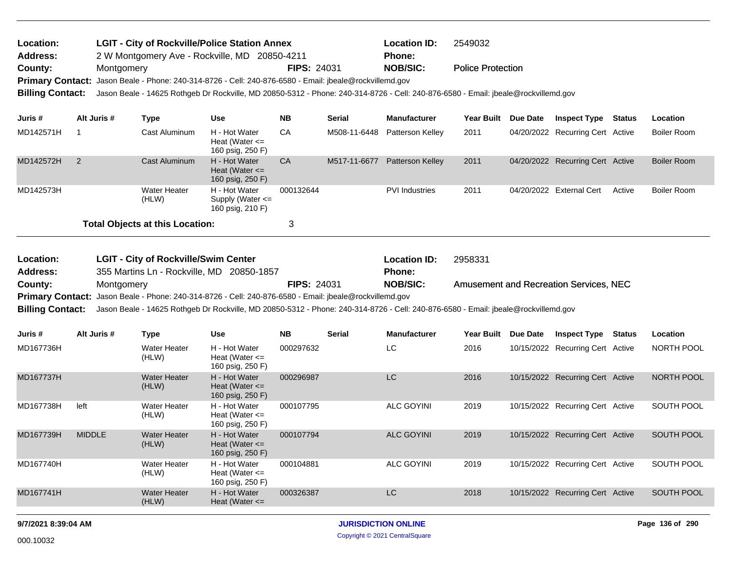| Location:       | <b>LGIT - City of Rockville/Police Station Annex</b> |                                                                                                                                                     | <b>Location ID:</b> | 2549032                  |  |  |  |  |  |  |  |
|-----------------|------------------------------------------------------|-----------------------------------------------------------------------------------------------------------------------------------------------------|---------------------|--------------------------|--|--|--|--|--|--|--|
| <b>Address:</b> |                                                      | 2 W Montgomery Ave - Rockville, MD 20850-4211<br><b>Phone:</b>                                                                                      |                     |                          |  |  |  |  |  |  |  |
| County:         | Montaomerv                                           | <b>FIPS: 24031</b>                                                                                                                                  | <b>NOB/SIC:</b>     | <b>Police Protection</b> |  |  |  |  |  |  |  |
|                 |                                                      | Primary Contact: Jason Beale - Phone: 240-314-8726 - Cell: 240-876-6580 - Email: jbeale@rockvillemd.gov                                             |                     |                          |  |  |  |  |  |  |  |
|                 |                                                      | Billing Contact: Jason Beale - 14625 Rothgeb Dr Rockville, MD 20850-5312 - Phone: 240-314-8726 - Cell: 240-876-6580 - Email: jbeale@rockvillemd.gov |                     |                          |  |  |  |  |  |  |  |

| Juris #   | Alt Juris # | Type                                   | Use                                                       | <b>NB</b> | <b>Serial</b> | <b>Manufacturer</b>     | <b>Year Built</b> | Due Date | <b>Inspect Type</b>              | Status | <b>Location</b> |
|-----------|-------------|----------------------------------------|-----------------------------------------------------------|-----------|---------------|-------------------------|-------------------|----------|----------------------------------|--------|-----------------|
| MD142571H |             | Cast Aluminum                          | H - Hot Water<br>Heat (Water $\leq$<br>160 psig, 250 F)   | CA        | M508-11-6448  | Patterson Kelley        | 2011              |          | 04/20/2022 Recurring Cert Active |        | Boiler Room     |
| MD142572H |             | Cast Aluminum                          | H - Hot Water<br>Heat (Water $\leq$<br>160 psig, 250 F)   | <b>CA</b> | M517-11-6677  | <b>Patterson Kelley</b> | 2011              |          | 04/20/2022 Recurring Cert Active |        | Boiler Room     |
| MD142573H |             | Water Heater<br>(HLW)                  | H - Hot Water<br>Supply (Water $\leq$<br>160 psig, 210 F) | 000132644 |               | <b>PVI</b> Industries   | 2011              |          | 04/20/2022 External Cert         | Active | Boiler Room     |
|           |             | <b>Total Objects at this Location:</b> |                                                           |           |               |                         |                   |          |                                  |        |                 |

| <b>Location:</b> | <b>LGIT - City of Rockville/Swim Center</b>                                                                                                         |                                                                                                         | <b>Location ID:</b> | 2958331                                |  |  |  |  |  |  |  |
|------------------|-----------------------------------------------------------------------------------------------------------------------------------------------------|---------------------------------------------------------------------------------------------------------|---------------------|----------------------------------------|--|--|--|--|--|--|--|
| <b>Address:</b>  | 355 Martins Ln - Rockville, MD 20850-1857                                                                                                           |                                                                                                         | <b>Phone:</b>       |                                        |  |  |  |  |  |  |  |
| County:          | Montaomerv                                                                                                                                          | <b>FIPS: 24031</b>                                                                                      | NOB/SIC:            | Amusement and Recreation Services, NEC |  |  |  |  |  |  |  |
|                  |                                                                                                                                                     | Primary Contact: Jason Beale - Phone: 240-314-8726 - Cell: 240-876-6580 - Email: jbeale@rockvillemd.gov |                     |                                        |  |  |  |  |  |  |  |
|                  | Billing Contact: Jason Beale - 14625 Rothgeb Dr Rockville, MD 20850-5312 - Phone: 240-314-8726 - Cell: 240-876-6580 - Email: jbeale@rockvillemd.gov |                                                                                                         |                     |                                        |  |  |  |  |  |  |  |

| Juris #   | Alt Juris #   | Type                         | <b>Use</b>                                              | <b>NB</b> | <b>Serial</b> | <b>Manufacturer</b> | Year Built | Due Date   | <b>Inspect Type</b>              | Status | <b>Location</b>   |
|-----------|---------------|------------------------------|---------------------------------------------------------|-----------|---------------|---------------------|------------|------------|----------------------------------|--------|-------------------|
| MD167736H |               | <b>Water Heater</b><br>(HLW) | H - Hot Water<br>Heat (Water $\leq$<br>160 psig, 250 F) | 000297632 |               | LC.                 | 2016       |            | 10/15/2022 Recurring Cert Active |        | <b>NORTH POOL</b> |
| MD167737H |               | <b>Water Heater</b><br>(HLW) | H - Hot Water<br>Heat (Water $\leq$<br>160 psig, 250 F) | 000296987 |               | <b>LC</b>           | 2016       | 10/15/2022 | <b>Recurring Cert Active</b>     |        | <b>NORTH POOL</b> |
| MD167738H | left          | <b>Water Heater</b><br>(HLW) | H - Hot Water<br>Heat (Water $\leq$<br>160 psig, 250 F) | 000107795 |               | <b>ALC GOYINI</b>   | 2019       | 10/15/2022 | <b>Recurring Cert Active</b>     |        | <b>SOUTH POOL</b> |
| MD167739H | <b>MIDDLE</b> | <b>Water Heater</b><br>(HLW) | H - Hot Water<br>Heat (Water $\leq$<br>160 psig, 250 F) | 000107794 |               | <b>ALC GOYINI</b>   | 2019       |            | 10/15/2022 Recurring Cert Active |        | <b>SOUTH POOL</b> |
| MD167740H |               | <b>Water Heater</b><br>(HLW) | H - Hot Water<br>Heat (Water $\leq$<br>160 psig, 250 F) | 000104881 |               | ALC GOYINI          | 2019       | 10/15/2022 | <b>Recurring Cert Active</b>     |        | SOUTH POOL        |
| MD167741H |               | <b>Water Heater</b><br>(HLW) | H - Hot Water<br>Heat (Water $\leq$                     | 000326387 |               | <b>LC</b>           | 2018       |            | 10/15/2022 Recurring Cert Active |        | <b>SOUTH POOL</b> |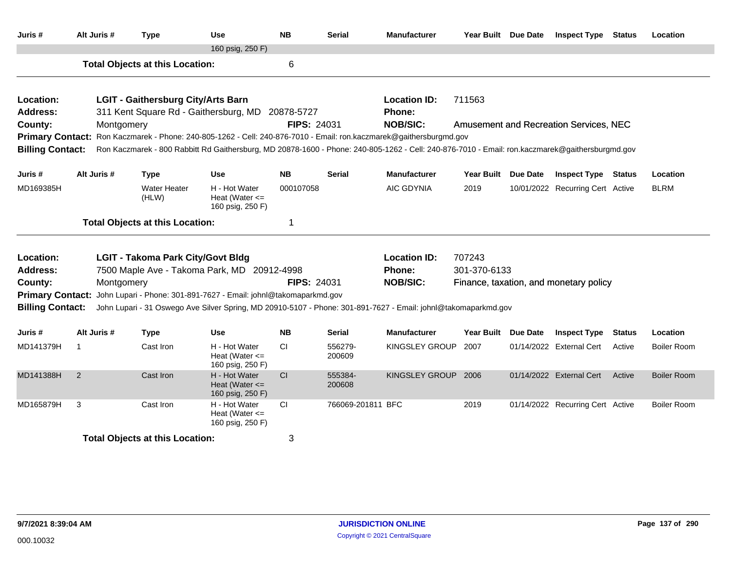| Juris #                                            | Alt Juris # | <b>Type</b>                               | <b>Use</b>                                                                                                                                                                          | <b>NB</b>          | <b>Serial</b>                 | <b>Manufacturer</b> | Year Built Due Date |                 | <b>Inspect Type</b>                    | <b>Status</b> | Location           |
|----------------------------------------------------|-------------|-------------------------------------------|-------------------------------------------------------------------------------------------------------------------------------------------------------------------------------------|--------------------|-------------------------------|---------------------|---------------------|-----------------|----------------------------------------|---------------|--------------------|
|                                                    |             | <b>Total Objects at this Location:</b>    | 160 psig, 250 F)                                                                                                                                                                    | 6                  |                               |                     |                     |                 |                                        |               |                    |
|                                                    |             |                                           |                                                                                                                                                                                     |                    |                               |                     |                     |                 |                                        |               |                    |
| Location:                                          |             | <b>LGIT - Gaithersburg City/Arts Barn</b> |                                                                                                                                                                                     |                    |                               | <b>Location ID:</b> | 711563              |                 |                                        |               |                    |
| <b>Address:</b>                                    |             |                                           | 311 Kent Square Rd - Gaithersburg, MD                                                                                                                                               | 20878-5727         |                               | Phone:              |                     |                 |                                        |               |                    |
| County:                                            | Montgomery  |                                           |                                                                                                                                                                                     | <b>FIPS: 24031</b> |                               | <b>NOB/SIC:</b>     |                     |                 | Amusement and Recreation Services, NEC |               |                    |
|                                                    |             |                                           | Primary Contact: Ron Kaczmarek - Phone: 240-805-1262 - Cell: 240-876-7010 - Email: ron.kaczmarek@gaithersburgmd.gov                                                                 |                    |                               |                     |                     |                 |                                        |               |                    |
| <b>Billing Contact:</b>                            |             |                                           | Ron Kaczmarek - 800 Rabbitt Rd Gaithersburg, MD 20878-1600 - Phone: 240-805-1262 - Cell: 240-876-7010 - Email: ron.kaczmarek@gaithersburgmd.gov                                     |                    |                               |                     |                     |                 |                                        |               |                    |
| Juris #                                            | Alt Juris # | <b>Type</b>                               | Use                                                                                                                                                                                 | <b>NB</b>          | <b>Serial</b>                 | <b>Manufacturer</b> | <b>Year Built</b>   | <b>Due Date</b> | <b>Inspect Type Status</b>             |               | Location           |
| MD169385H                                          |             | <b>Water Heater</b><br>(HLW)              | H - Hot Water<br>Heat (Water $\leq$<br>160 psig, 250 F)                                                                                                                             | 000107058          |                               | <b>AIC GDYNIA</b>   | 2019                |                 | 10/01/2022 Recurring Cert Active       |               | <b>BLRM</b>        |
|                                                    |             | <b>Total Objects at this Location:</b>    |                                                                                                                                                                                     | 1                  |                               |                     |                     |                 |                                        |               |                    |
| Location:                                          |             | <b>LGIT - Takoma Park City/Govt Bldg</b>  |                                                                                                                                                                                     |                    |                               | <b>Location ID:</b> | 707243              |                 |                                        |               |                    |
| <b>Address:</b>                                    |             |                                           | 7500 Maple Ave - Takoma Park, MD 20912-4998                                                                                                                                         |                    | 301-370-6133<br><b>Phone:</b> |                     |                     |                 |                                        |               |                    |
| County:                                            | Montgomery  |                                           |                                                                                                                                                                                     | <b>FIPS: 24031</b> |                               | <b>NOB/SIC:</b>     |                     |                 | Finance, taxation, and monetary policy |               |                    |
| <b>Primary Contact:</b><br><b>Billing Contact:</b> |             |                                           | John Lupari - Phone: 301-891-7627 - Email: johnl@takomaparkmd.gov<br>John Lupari - 31 Oswego Ave Silver Spring, MD 20910-5107 - Phone: 301-891-7627 - Email: johnl@takomaparkmd.gov |                    |                               |                     |                     |                 |                                        |               |                    |
| Juris #                                            | Alt Juris # | <b>Type</b>                               | <b>Use</b>                                                                                                                                                                          | <b>NB</b>          | Serial                        | Manufacturer        | <b>Year Built</b>   | Due Date        | <b>Inspect Type</b>                    | <b>Status</b> | Location           |
| MD141379H                                          | -1          | Cast Iron                                 | H - Hot Water<br>Heat (Water $\leq$<br>160 psig, 250 F)                                                                                                                             | <b>CI</b>          | 556279-<br>200609             | KINGSLEY GROUP      | 2007                |                 | 01/14/2022 External Cert               | Active        | Boiler Room        |
| MD141388H                                          | 2           | Cast Iron                                 | H - Hot Water<br>Heat (Water $\leq$<br>160 psig, 250 F)                                                                                                                             | CI                 | 555384-<br>200608             | KINGSLEY GROUP 2006 |                     |                 | 01/14/2022 External Cert               | Active        | <b>Boiler Room</b> |
| MD165879H                                          | 3           | Cast Iron                                 | H - Hot Water<br>Heat (Water $\leq$<br>160 psig, 250 F)                                                                                                                             | <b>CI</b>          | 766069-201811 BFC             |                     | 2019                |                 | 01/14/2022 Recurring Cert Active       |               | Boiler Room        |
|                                                    |             | <b>Total Objects at this Location:</b>    |                                                                                                                                                                                     | 3                  |                               |                     |                     |                 |                                        |               |                    |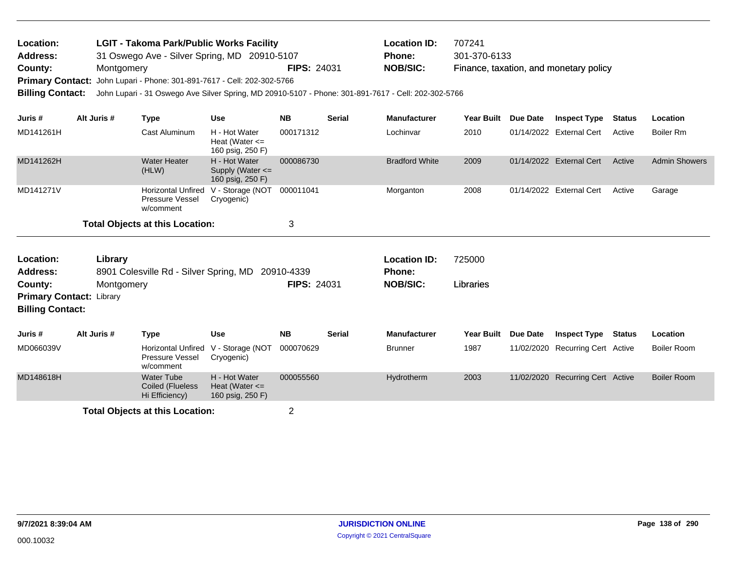| Location:<br>Address:   |             | <b>LGIT - Takoma Park/Public Works Facility</b><br>31 Oswego Ave - Silver Spring, MD 20910-5107     |                                                           |                    |               | <b>Location ID:</b><br>Phone: | 707241<br>301-370-6133 |          |                                        |               |                      |
|-------------------------|-------------|-----------------------------------------------------------------------------------------------------|-----------------------------------------------------------|--------------------|---------------|-------------------------------|------------------------|----------|----------------------------------------|---------------|----------------------|
| County:<br>Montgomery   |             |                                                                                                     |                                                           | <b>FIPS: 24031</b> |               | <b>NOB/SIC:</b>               |                        |          | Finance, taxation, and monetary policy |               |                      |
|                         |             | Primary Contact: John Lupari - Phone: 301-891-7617 - Cell: 202-302-5766                             |                                                           |                    |               |                               |                        |          |                                        |               |                      |
| <b>Billing Contact:</b> |             | John Lupari - 31 Oswego Ave Silver Spring, MD 20910-5107 - Phone: 301-891-7617 - Cell: 202-302-5766 |                                                           |                    |               |                               |                        |          |                                        |               |                      |
| Juris #                 | Alt Juris # | Type                                                                                                | <b>Use</b>                                                | <b>NB</b>          | <b>Serial</b> | <b>Manufacturer</b>           | Year Built             | Due Date | <b>Inspect Type</b>                    | <b>Status</b> | <b>Location</b>      |
| MD141261H               |             | Cast Aluminum                                                                                       | H - Hot Water<br>Heat (Water $\leq$<br>160 psig, 250 F)   | 000171312          |               | Lochinvar                     | 2010                   |          | 01/14/2022 External Cert               | Active        | Boiler Rm            |
| MD141262H               |             | Water Heater<br>(HLW)                                                                               | H - Hot Water<br>Supply (Water $\leq$<br>160 psig, 250 F) | 000086730          |               | <b>Bradford White</b>         | 2009                   |          | 01/14/2022 External Cert               | Active        | <b>Admin Showers</b> |
| MD141271V               |             | Horizontal Unfired<br><b>Pressure Vessel</b><br>w/comment                                           | V - Storage (NOT<br>Cryogenic)                            | 000011041          |               | Morganton                     | 2008                   |          | 01/14/2022 External Cert               | Active        | Garage               |

| Location:<br><b>Address:</b><br>County:<br><b>Primary Contact: Library</b><br><b>Billing Contact:</b> | Library<br>Montgomery | 8901 Colesville Rd - Silver Spring, MD 20910-4339         |                                                         | <b>FIPS: 24031</b> |               | <b>Location ID:</b><br><b>Phone:</b><br><b>NOB/SIC:</b> | 725000<br>Libraries |                 |                                  |        |                    |
|-------------------------------------------------------------------------------------------------------|-----------------------|-----------------------------------------------------------|---------------------------------------------------------|--------------------|---------------|---------------------------------------------------------|---------------------|-----------------|----------------------------------|--------|--------------------|
| Juris #                                                                                               | Alt Juris #           | Type                                                      | <b>Use</b>                                              | <b>NB</b>          | <b>Serial</b> | <b>Manufacturer</b>                                     | <b>Year Built</b>   | <b>Due Date</b> | Inspect Type                     | Status | Location           |
| MD066039V                                                                                             |                       | Horizontal Unfired<br><b>Pressure Vessel</b><br>w/comment | V - Storage (NOT<br>Cryogenic)                          | 000070629          |               | <b>Brunner</b>                                          | 1987                |                 | 11/02/2020 Recurring Cert Active |        | <b>Boiler Room</b> |
| MD148618H                                                                                             |                       | <b>Water Tube</b><br>Coiled (Flueless<br>Hi Efficiency)   | H - Hot Water<br>Heat (Water $\leq$<br>160 psig, 250 F) | 000055560          |               | Hydrotherm                                              | 2003                |                 | 11/02/2020 Recurring Cert Active |        | <b>Boiler Room</b> |
| <b>Total Objects at this Location:</b>                                                                |                       |                                                           |                                                         | 2                  |               |                                                         |                     |                 |                                  |        |                    |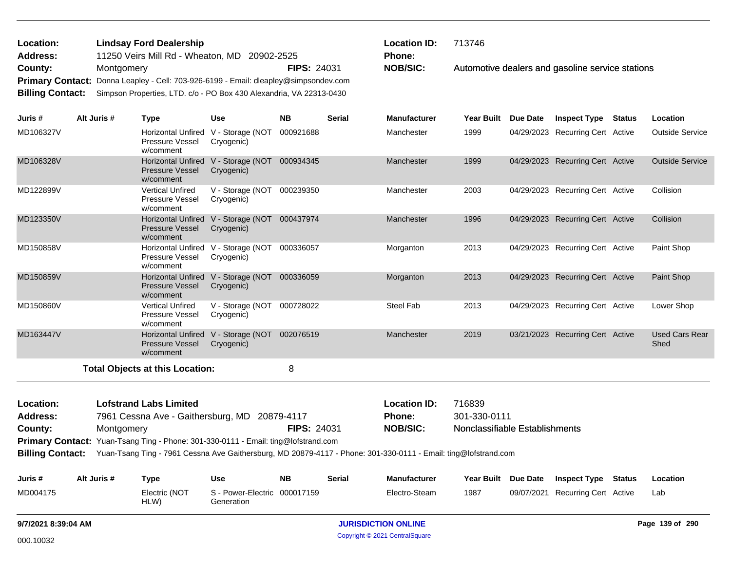| Location: | <b>Lindsay Ford Dealership</b>                                                       |                    | <b>Location</b> |
|-----------|--------------------------------------------------------------------------------------|--------------------|-----------------|
| Address:  | 11250 Veirs Mill Rd - Wheaton, MD 20902-2525                                         |                    | <b>Phone:</b>   |
| County:   | Montgomery                                                                           | <b>FIPS: 24031</b> | <b>NOB/SIC:</b> |
|           | Primary Contact: Donna Leapley - Cell: 703-926-6199 - Email: dleapley@simpsondev.com |                    |                 |
|           | Billing Contact: Simpson Properties, LTD. c/o - PO Box 430 Alexandria, VA 22313-0430 |                    |                 |

Automotive dealers and gasoline service stations **Location ID:** 713746 **Phone:**

| Juris #                  | Alt Juris # | Type                                                             | <b>Use</b>                     | <b>NB</b> | <b>Serial</b> | <b>Manufacturer</b>                            | <b>Year Built</b> | Due Date | <b>Inspect Type</b>              | <b>Status</b> | Location                      |
|--------------------------|-------------|------------------------------------------------------------------|--------------------------------|-----------|---------------|------------------------------------------------|-------------------|----------|----------------------------------|---------------|-------------------------------|
| MD106327V                |             | <b>Horizontal Unfired</b><br><b>Pressure Vessel</b><br>w/comment | V - Storage (NOT<br>Cryogenic) | 000921688 |               | Manchester                                     | 1999              |          | 04/29/2023 Recurring Cert Active |               | <b>Outside Service</b>        |
| MD106328V                |             | <b>Horizontal Unfired</b><br><b>Pressure Vessel</b><br>w/comment | V - Storage (NOT<br>Cryogenic) | 000934345 |               | Manchester                                     | 1999              |          | 04/29/2023 Recurring Cert Active |               | <b>Outside Service</b>        |
| MD122899V                |             | <b>Vertical Unfired</b><br><b>Pressure Vessel</b><br>w/comment   | V - Storage (NOT<br>Cryogenic) | 000239350 |               | Manchester                                     | 2003              |          | 04/29/2023 Recurring Cert Active |               | Collision                     |
| MD123350V                |             | <b>Horizontal Unfired</b><br><b>Pressure Vessel</b><br>w/comment | V - Storage (NOT<br>Cryogenic) | 000437974 |               | Manchester                                     | 1996              |          | 04/29/2023 Recurring Cert Active |               | Collision                     |
| MD150858V                |             | <b>Horizontal Unfired</b><br><b>Pressure Vessel</b><br>w/comment | V - Storage (NOT<br>Cryogenic) | 000336057 |               | Morganton                                      | 2013              |          | 04/29/2023 Recurring Cert Active |               | Paint Shop                    |
| MD150859V                |             | <b>Horizontal Unfired</b><br><b>Pressure Vessel</b><br>w/comment | V - Storage (NOT<br>Cryogenic) | 000336059 |               | Morganton                                      | 2013              |          | 04/29/2023 Recurring Cert Active |               | Paint Shop                    |
| MD150860V                |             | <b>Vertical Unfired</b><br><b>Pressure Vessel</b><br>w/comment   | V - Storage (NOT<br>Cryogenic) | 000728022 |               | <b>Steel Fab</b>                               | 2013              |          | 04/29/2023 Recurring Cert Active |               | Lower Shop                    |
| MD163447V                |             | <b>Horizontal Unfired</b><br><b>Pressure Vessel</b><br>w/comment | V - Storage (NOT<br>Cryogenic) | 002076519 |               | Manchester                                     | 2019              |          | 03/21/2023 Recurring Cert Active |               | <b>Used Cars Rear</b><br>Shed |
|                          |             | <b>Total Objects at this Location:</b>                           |                                | 8         |               |                                                |                   |          |                                  |               |                               |
| المتحدث والمتحدث والمراد |             | the feature of the low this stand                                |                                |           |               | $\mathbf{L}$ and $\mathbf{L}$ and $\mathbf{L}$ | 710000            |          |                                  |               |                               |

| Location:       | <b>Lofstrand Labs Limited</b>                                                             |                    | <b>Location ID:</b> | 716839                         |
|-----------------|-------------------------------------------------------------------------------------------|--------------------|---------------------|--------------------------------|
| <b>Address:</b> | 7961 Cessna Ave - Gaithersburg, MD 20879-4117                                             |                    | <b>Phone:</b>       | 301-330-0111                   |
| County:         | Montgomery                                                                                | <b>FIPS: 24031</b> | NOB/SIC:            | Nonclassifiable Establishments |
|                 | <b>Primary Contact:</b> Yuan-Tsang Ting - Phone: 301-330-0111 - Email: ting@lofstrand.com |                    |                     |                                |

**Billing Contact:** Yuan-Tsang Ting - 7961 Cessna Ave Gaithersburg, MD 20879-4117 - Phone: 301-330-0111 - Email: ting@lofstrand.com

| Juris #  | Alt Juris # | Type                  | Use                                               | <b>NB</b> | Serial | <b>Manufacturer</b> |      | Year Built Due Date Inspect Type | Status | Location |
|----------|-------------|-----------------------|---------------------------------------------------|-----------|--------|---------------------|------|----------------------------------|--------|----------|
| MD004175 |             | Electric (NOT<br>HLW) | S - Power-Electric 000017159<br><b>Generation</b> |           |        | Electro-Steam       | 1987 | 09/07/2021 Recurring Cert Active |        | Lab      |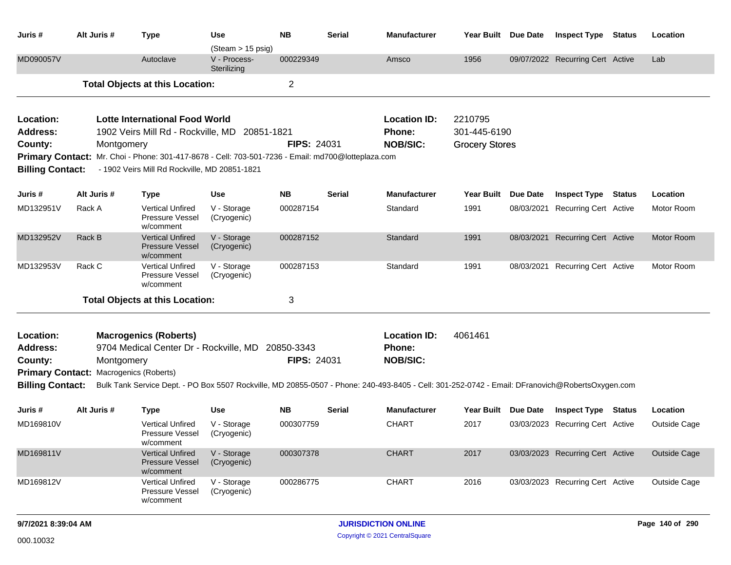| Juris #                                                                                                                                                                                                                                                                                                                                                              | Alt Juris # | <b>Type</b>                                                                                     | Use                                              | <b>NB</b>                        | <b>Serial</b> | <b>Manufacturer</b>                                                                                                                             | Year Built Due Date |                 | <b>Inspect Type Status</b>       |               | Location            |
|----------------------------------------------------------------------------------------------------------------------------------------------------------------------------------------------------------------------------------------------------------------------------------------------------------------------------------------------------------------------|-------------|-------------------------------------------------------------------------------------------------|--------------------------------------------------|----------------------------------|---------------|-------------------------------------------------------------------------------------------------------------------------------------------------|---------------------|-----------------|----------------------------------|---------------|---------------------|
| MD090057V                                                                                                                                                                                                                                                                                                                                                            |             | Autoclave                                                                                       | (Steam > 15 psig)<br>V - Process-<br>Sterilizing | 000229349                        |               | Amsco                                                                                                                                           | 1956                |                 | 09/07/2022 Recurring Cert Active |               | Lab                 |
|                                                                                                                                                                                                                                                                                                                                                                      |             | <b>Total Objects at this Location:</b>                                                          |                                                  | $\overline{2}$                   |               |                                                                                                                                                 |                     |                 |                                  |               |                     |
| Location:<br><b>Lotte International Food World</b><br>1902 Veirs Mill Rd - Rockville, MD<br><b>Address:</b><br>20851-1821<br><b>FIPS: 24031</b><br>County:<br>Montgomery<br>Mr. Choi - Phone: 301-417-8678 - Cell: 703-501-7236 - Email: md700@lotteplaza.com<br><b>Primary Contact:</b><br><b>Billing Contact:</b><br>- 1902 Veirs Mill Rd Rockville, MD 20851-1821 |             |                                                                                                 |                                                  |                                  |               | <b>Location ID:</b><br>2210795<br>301-445-6190<br>Phone:<br><b>NOB/SIC:</b><br><b>Grocery Stores</b>                                            |                     |                 |                                  |               |                     |
| Juris #                                                                                                                                                                                                                                                                                                                                                              | Alt Juris # | <b>Type</b>                                                                                     | <b>Use</b>                                       | <b>NB</b>                        | <b>Serial</b> | <b>Manufacturer</b>                                                                                                                             | <b>Year Built</b>   | <b>Due Date</b> | <b>Inspect Type</b>              | <b>Status</b> | Location            |
| MD132951V                                                                                                                                                                                                                                                                                                                                                            | Rack A      | <b>Vertical Unfired</b><br>Pressure Vessel<br>w/comment                                         | V - Storage<br>(Cryogenic)                       | 000287154                        |               | Standard                                                                                                                                        | 1991                | 08/03/2021      | <b>Recurring Cert Active</b>     |               | Motor Room          |
| MD132952V                                                                                                                                                                                                                                                                                                                                                            | Rack B      | <b>Vertical Unfired</b><br><b>Pressure Vessel</b><br>w/comment                                  | V - Storage<br>(Cryogenic)                       | 000287152                        |               | Standard                                                                                                                                        | 1991                | 08/03/2021      | <b>Recurring Cert Active</b>     |               | Motor Room          |
| MD132953V                                                                                                                                                                                                                                                                                                                                                            | Rack C      | <b>Vertical Unfired</b><br><b>Pressure Vessel</b><br>w/comment                                  | V - Storage<br>(Cryogenic)                       | 000287153                        |               | Standard                                                                                                                                        | 1991                |                 | 08/03/2021 Recurring Cert Active |               | Motor Room          |
|                                                                                                                                                                                                                                                                                                                                                                      |             | <b>Total Objects at this Location:</b>                                                          |                                                  | 3                                |               |                                                                                                                                                 |                     |                 |                                  |               |                     |
| Location:<br><b>Address:</b><br>County:<br><b>Primary Contact:</b>                                                                                                                                                                                                                                                                                                   | Montgomery  | <b>Macrogenics (Roberts)</b><br>9704 Medical Center Dr - Rockville, MD<br>Macrogenics (Roberts) |                                                  | 20850-3343<br><b>FIPS: 24031</b> |               | <b>Location ID:</b><br>Phone:<br><b>NOB/SIC:</b>                                                                                                | 4061461             |                 |                                  |               |                     |
| <b>Billing Contact:</b>                                                                                                                                                                                                                                                                                                                                              |             |                                                                                                 |                                                  |                                  |               | Bulk Tank Service Dept. - PO Box 5507 Rockville, MD 20855-0507 - Phone: 240-493-8405 - Cell: 301-252-0742 - Email: DFranovich@RobertsOxygen.com |                     |                 |                                  |               |                     |
| Juris #                                                                                                                                                                                                                                                                                                                                                              | Alt Juris # | <b>Type</b>                                                                                     | <b>Use</b>                                       | <b>NB</b>                        | <b>Serial</b> | <b>Manufacturer</b>                                                                                                                             | Year Built Due Date |                 | <b>Inspect Type Status</b>       |               | Location            |
| MD169810V                                                                                                                                                                                                                                                                                                                                                            |             | <b>Vertical Unfired</b><br>Pressure Vessel<br>w/comment                                         | V - Storage<br>(Cryogenic)                       | 000307759                        |               | <b>CHART</b>                                                                                                                                    | 2017                |                 | 03/03/2023 Recurring Cert Active |               | Outside Cage        |
| MD169811V                                                                                                                                                                                                                                                                                                                                                            |             | <b>Vertical Unfired</b><br><b>Pressure Vessel</b><br>w/comment                                  | V - Storage<br>(Cryogenic)                       | 000307378                        |               | <b>CHART</b>                                                                                                                                    | 2017                |                 | 03/03/2023 Recurring Cert Active |               | <b>Outside Cage</b> |
| MD169812V                                                                                                                                                                                                                                                                                                                                                            |             | Vertical Unfired<br>Pressure Vessel<br>w/comment                                                | V - Storage<br>(Cryogenic)                       | 000286775                        |               | <b>CHART</b>                                                                                                                                    | 2016                |                 | 03/03/2023 Recurring Cert Active |               | Outside Cage        |
| 9/7/2021 8:39:04 AM                                                                                                                                                                                                                                                                                                                                                  |             |                                                                                                 |                                                  |                                  |               | <b>JURISDICTION ONLINE</b>                                                                                                                      |                     |                 |                                  |               | Page 140 of 290     |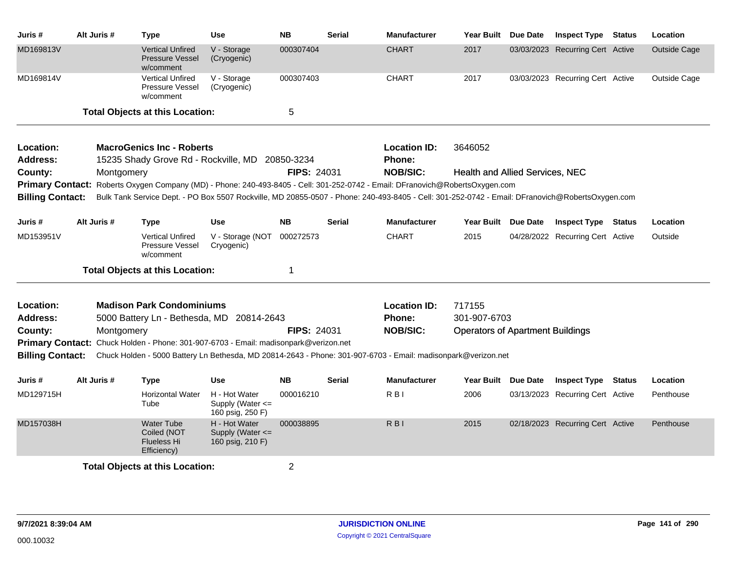| Juris #                              | Alt Juris # | Type                                                                | <b>Use</b>                                            | <b>NB</b>          | <b>Serial</b>   | <b>Manufacturer</b>                                                                                                                             | Year Built                              | Due Date | <b>Inspect Type Status</b>       | Location            |
|--------------------------------------|-------------|---------------------------------------------------------------------|-------------------------------------------------------|--------------------|-----------------|-------------------------------------------------------------------------------------------------------------------------------------------------|-----------------------------------------|----------|----------------------------------|---------------------|
| MD169813V                            |             | <b>Vertical Unfired</b><br><b>Pressure Vessel</b><br>w/comment      | V - Storage<br>(Cryogenic)                            | 000307404          |                 | <b>CHART</b>                                                                                                                                    | 2017                                    |          | 03/03/2023 Recurring Cert Active | <b>Outside Cage</b> |
| MD169814V                            |             | <b>Vertical Unfired</b><br>Pressure Vessel<br>w/comment             | V - Storage<br>(Cryogenic)                            | 000307403          |                 | <b>CHART</b>                                                                                                                                    | 2017                                    |          | 03/03/2023 Recurring Cert Active | Outside Cage        |
|                                      |             | <b>Total Objects at this Location:</b>                              |                                                       | 5                  |                 |                                                                                                                                                 |                                         |          |                                  |                     |
| Location:                            |             | <b>MacroGenics Inc - Roberts</b>                                    |                                                       |                    |                 | <b>Location ID:</b>                                                                                                                             | 3646052                                 |          |                                  |                     |
| <b>Address:</b>                      |             | 15235 Shady Grove Rd - Rockville, MD                                |                                                       | 20850-3234         |                 | Phone:                                                                                                                                          |                                         |          |                                  |                     |
| FIPS: 24031<br>County:<br>Montgomery |             |                                                                     |                                                       |                    | <b>NOB/SIC:</b> | <b>Health and Allied Services, NEC</b>                                                                                                          |                                         |          |                                  |                     |
|                                      |             |                                                                     |                                                       |                    |                 | Primary Contact: Roberts Oxygen Company (MD) - Phone: 240-493-8405 - Cell: 301-252-0742 - Email: DFranovich@RobertsOxygen.com                   |                                         |          |                                  |                     |
| <b>Billing Contact:</b>              |             |                                                                     |                                                       |                    |                 | Bulk Tank Service Dept. - PO Box 5507 Rockville, MD 20855-0507 - Phone: 240-493-8405 - Cell: 301-252-0742 - Email: DFranovich@RobertsOxygen.com |                                         |          |                                  |                     |
| Juris #                              | Alt Juris # | <b>Type</b>                                                         | <b>Use</b>                                            | <b>NB</b>          | <b>Serial</b>   | <b>Manufacturer</b>                                                                                                                             | Year Built Due Date                     |          | <b>Inspect Type Status</b>       | Location            |
| MD153951V                            |             | <b>Vertical Unfired</b><br>Pressure Vessel<br>w/comment             | V - Storage (NOT<br>Cryogenic)                        | 000272573          |                 | <b>CHART</b>                                                                                                                                    | 2015                                    |          | 04/28/2022 Recurring Cert Active | Outside             |
|                                      |             | <b>Total Objects at this Location:</b>                              |                                                       | 1                  |                 |                                                                                                                                                 |                                         |          |                                  |                     |
| Location:                            |             | <b>Madison Park Condominiums</b>                                    |                                                       |                    |                 | <b>Location ID:</b>                                                                                                                             | 717155                                  |          |                                  |                     |
| Address:                             |             | 5000 Battery Ln - Bethesda, MD 20814-2643                           |                                                       |                    |                 | Phone:                                                                                                                                          | 301-907-6703                            |          |                                  |                     |
| County:                              | Montgomery  |                                                                     |                                                       | <b>FIPS: 24031</b> |                 | <b>NOB/SIC:</b>                                                                                                                                 | <b>Operators of Apartment Buildings</b> |          |                                  |                     |
| <b>Primary Contact:</b>              |             | Chuck Holden - Phone: 301-907-6703 - Email: madisonpark@verizon.net |                                                       |                    |                 |                                                                                                                                                 |                                         |          |                                  |                     |
| <b>Billing Contact:</b>              |             |                                                                     |                                                       |                    |                 | Chuck Holden - 5000 Battery Ln Bethesda, MD 20814-2643 - Phone: 301-907-6703 - Email: madisonpark@verizon.net                                   |                                         |          |                                  |                     |
| Juris #                              | Alt Juris # | Type                                                                | <b>Use</b>                                            | <b>NB</b>          | <b>Serial</b>   | <b>Manufacturer</b>                                                                                                                             | Year Built Due Date                     |          | <b>Inspect Type Status</b>       | Location            |
| MD129715H                            |             | <b>Horizontal Water</b><br>Tube                                     | H - Hot Water<br>Supply (Water <=<br>160 psig, 250 F) | 000016210          |                 | R <sub>BI</sub>                                                                                                                                 | 2006                                    |          | 03/13/2023 Recurring Cert Active | Penthouse           |
| MD157038H                            |             | <b>Water Tube</b><br>Coiled (NOT<br>Flueless Hi<br>Efficiency)      | H - Hot Water<br>Supply (Water <=<br>160 psig, 210 F) | 000038895          |                 | $R$ $B$ <sub><math>I</math></sub>                                                                                                               | 2015                                    |          | 02/18/2023 Recurring Cert Active | Penthouse           |
|                                      |             | <b>Total Objects at this Location:</b>                              |                                                       | $\overline{2}$     |                 |                                                                                                                                                 |                                         |          |                                  |                     |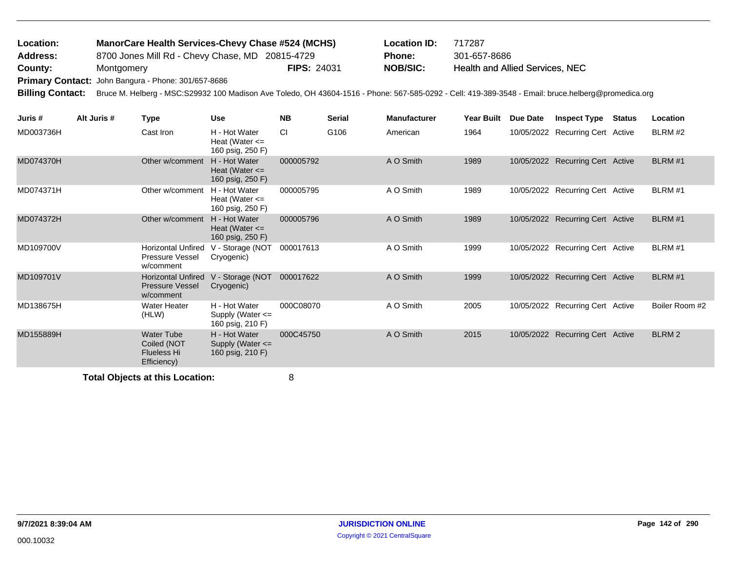| Location:               | ManorCare Health Services-Chevy Chase #524 (MCHS)   |                    | <b>Location ID:</b> | 717287                                                                                                                                              |
|-------------------------|-----------------------------------------------------|--------------------|---------------------|-----------------------------------------------------------------------------------------------------------------------------------------------------|
| <b>Address:</b>         | 8700 Jones Mill Rd - Chevy Chase, MD 20815-4729     |                    | <b>Phone:</b>       | 301-657-8686                                                                                                                                        |
| County:                 | Montgomery                                          | <b>FIPS: 24031</b> | NOB/SIC:            | Health and Allied Services, NEC                                                                                                                     |
|                         | Primary Contact: John Bangura - Phone: 301/657-8686 |                    |                     |                                                                                                                                                     |
| <b>Billing Contact:</b> |                                                     |                    |                     | Bruce M. Helberg - MSC:S29932 100 Madison Ave Toledo, OH 43604-1516 - Phone: 567-585-0292 - Cell: 419-389-3548 - Email: bruce.helberg@promedica.org |

| Juris #   | Alt Juris # | Type                                                                  | <b>Use</b>                                                | <b>NB</b> | <b>Serial</b> | <b>Manufacturer</b> | Year Built | Due Date | <b>Inspect Type</b>              | <b>Status</b> | Location          |
|-----------|-------------|-----------------------------------------------------------------------|-----------------------------------------------------------|-----------|---------------|---------------------|------------|----------|----------------------------------|---------------|-------------------|
| MD003736H |             | Cast Iron                                                             | H - Hot Water<br>Heat (Water $\leq$<br>160 psig, 250 F)   | CI.       | G106          | American            | 1964       |          | 10/05/2022 Recurring Cert Active |               | BLRM #2           |
| MD074370H |             | Other w/comment                                                       | H - Hot Water<br>Heat (Water $\leq$<br>160 psig, 250 F)   | 000005792 |               | A O Smith           | 1989       |          | 10/05/2022 Recurring Cert Active |               | BLRM #1           |
| MD074371H |             | Other w/comment                                                       | H - Hot Water<br>Heat (Water $\leq$<br>160 psig, 250 F)   | 000005795 |               | A O Smith           | 1989       |          | 10/05/2022 Recurring Cert Active |               | BLRM #1           |
| MD074372H |             | Other w/comment                                                       | H - Hot Water<br>Heat (Water $\leq$<br>160 psig, 250 F)   | 000005796 |               | A O Smith           | 1989       |          | 10/05/2022 Recurring Cert Active |               | BLRM #1           |
| MD109700V |             | <b>Horizontal Unfired</b><br>Pressure Vessel<br>w/comment             | V - Storage (NOT<br>Cryogenic)                            | 000017613 |               | A O Smith           | 1999       |          | 10/05/2022 Recurring Cert Active |               | BLRM #1           |
| MD109701V |             | <b>Horizontal Unfired</b><br><b>Pressure Vessel</b><br>w/comment      | V - Storage (NOT<br>Cryogenic)                            | 000017622 |               | A O Smith           | 1999       |          | 10/05/2022 Recurring Cert Active |               | BLRM #1           |
| MD138675H |             | Water Heater<br>(HLW)                                                 | H - Hot Water<br>Supply (Water $\leq$<br>160 psig, 210 F) | 000C08070 |               | A O Smith           | 2005       |          | 10/05/2022 Recurring Cert Active |               | Boiler Room #2    |
| MD155889H |             | <b>Water Tube</b><br>Coiled (NOT<br><b>Flueless Hi</b><br>Efficiency) | H - Hot Water<br>Supply (Water $\leq$<br>160 psig, 210 F) | 000C45750 |               | A O Smith           | 2015       |          | 10/05/2022 Recurring Cert Active |               | BLRM <sub>2</sub> |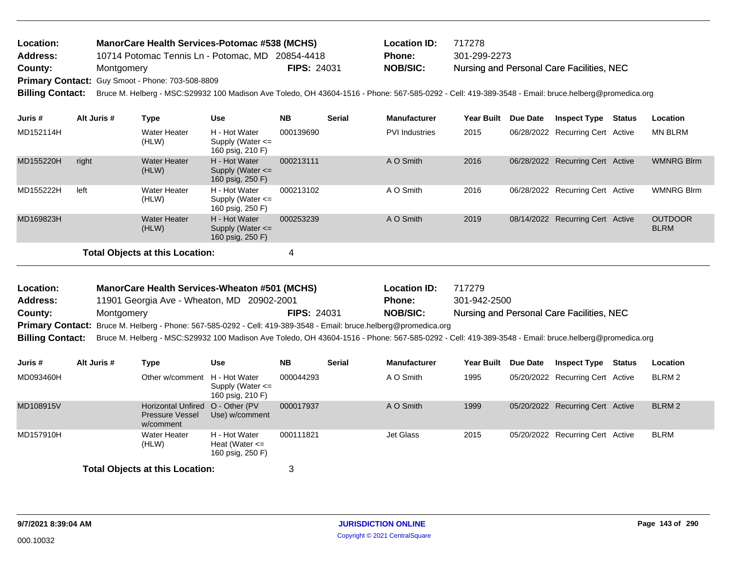| <b>Location:</b>        | <b>ManorCare Health Services-Potomac #538 (MCHS)</b> |                    | Location ID:    | 717278                                                                                                                                              |
|-------------------------|------------------------------------------------------|--------------------|-----------------|-----------------------------------------------------------------------------------------------------------------------------------------------------|
| <b>Address:</b>         | 10714 Potomac Tennis Ln - Potomac, MD 20854-4418     |                    | <b>Phone:</b>   | 301-299-2273                                                                                                                                        |
| County:                 | Montgomery                                           | <b>FIPS: 24031</b> | <b>NOB/SIC:</b> | Nursing and Personal Care Facilities, NEC                                                                                                           |
|                         | Primary Contact: Guy Smoot - Phone: 703-508-8809     |                    |                 |                                                                                                                                                     |
| <b>Billing Contact:</b> |                                                      |                    |                 | Bruce M. Helberg - MSC:S29932 100 Madison Ave Toledo, OH 43604-1516 - Phone: 567-585-0292 - Cell: 419-389-3548 - Email: bruce.helberg@promedica.org |

| Juris #                         | Alt Juris # | Type                         | <b>Use</b>                                                | <b>NB</b> | <b>Serial</b> | <b>Manufacturer</b>   | <b>Year Built</b> | Due Date | <b>Inspect Type Status</b>       | Location                      |
|---------------------------------|-------------|------------------------------|-----------------------------------------------------------|-----------|---------------|-----------------------|-------------------|----------|----------------------------------|-------------------------------|
| MD152114H                       |             | Water Heater<br>(HLW)        | H - Hot Water<br>Supply (Water $\leq$<br>160 psig, 210 F) | 000139690 |               | <b>PVI</b> Industries | 2015              |          | 06/28/2022 Recurring Cert Active | <b>MN BLRM</b>                |
| MD155220H                       | right       | <b>Water Heater</b><br>(HLW) | H - Hot Water<br>Supply (Water $\leq$<br>160 psig, 250 F) | 000213111 |               | A O Smith             | 2016              |          | 06/28/2022 Recurring Cert Active | <b>WMNRG Blrm</b>             |
| MD155222H                       | left        | <b>Water Heater</b><br>(HLW) | H - Hot Water<br>Supply (Water $\leq$<br>160 psig, 250 F) | 000213102 |               | A O Smith             | 2016              |          | 06/28/2022 Recurring Cert Active | <b>WMNRG Blrm</b>             |
| MD169823H                       |             | <b>Water Heater</b><br>(HLW) | H - Hot Water<br>Supply (Water $\leq$<br>160 psig, 250 F) | 000253239 |               | A O Smith             | 2019              |          | 08/14/2022 Recurring Cert Active | <b>OUTDOOR</b><br><b>BLRM</b> |
| Total Objects at this Location: |             |                              |                                                           |           |               |                       |                   |          |                                  |                               |

| Location:       | <b>ManorCare Health Services-Wheaton #501 (MCHS)</b>                                                              |                    | <b>Location ID:</b> | 717279                                                                                                                                                               |
|-----------------|-------------------------------------------------------------------------------------------------------------------|--------------------|---------------------|----------------------------------------------------------------------------------------------------------------------------------------------------------------------|
| <b>Address:</b> | 11901 Georgia Ave - Wheaton, MD 20902-2001                                                                        |                    | <b>Phone:</b>       | 301-942-2500                                                                                                                                                         |
| County:         | Montaomerv                                                                                                        | <b>FIPS: 24031</b> | <b>NOB/SIC:</b>     | Nursing and Personal Care Facilities, NEC                                                                                                                            |
|                 | Primary Contact: Bruce M. Helberg - Phone: 567-585-0292 - Cell: 419-389-3548 - Email: bruce.helberg@promedica.org |                    |                     |                                                                                                                                                                      |
|                 |                                                                                                                   |                    |                     | Billing Contact: Bruce M. Helberg - MSC:S29932 100 Madison Ave Toledo, OH 43604-1516 - Phone: 567-585-0292 - Cell: 419-389-3548 - Email: bruce.helberg@promedica.org |

| Juris #   | Alt Juris # | Type                                                                    | <b>Use</b>                                              | <b>NB</b> | <b>Serial</b> | <b>Manufacturer</b> | <b>Year Built</b> | <b>Due Date</b> | <b>Inspect Type</b>              | Status | Location |
|-----------|-------------|-------------------------------------------------------------------------|---------------------------------------------------------|-----------|---------------|---------------------|-------------------|-----------------|----------------------------------|--------|----------|
| MD093460H |             | Other w/comment H - Hot Water                                           | Supply (Water $\leq$<br>160 psig, 210 F)                | 000044293 |               | A O Smith           | 1995              |                 | 05/20/2022 Recurring Cert Active |        | BLRM 2   |
| MD108915V |             | Horizontal Unfired O - Other (PV<br><b>Pressure Vessel</b><br>w/comment | Use) w/comment                                          | 000017937 |               | A O Smith           | 1999              |                 | 05/20/2022 Recurring Cert Active |        | BLRM 2   |
| MD157910H |             | <b>Water Heater</b><br>(HLW)                                            | H - Hot Water<br>Heat (Water $\leq$<br>160 psig, 250 F) | 000111821 |               | Jet Glass           | 2015              |                 | 05/20/2022 Recurring Cert Active |        | BLRM     |
|           |             | <b>Total Objects at this Location:</b>                                  |                                                         | 3         |               |                     |                   |                 |                                  |        |          |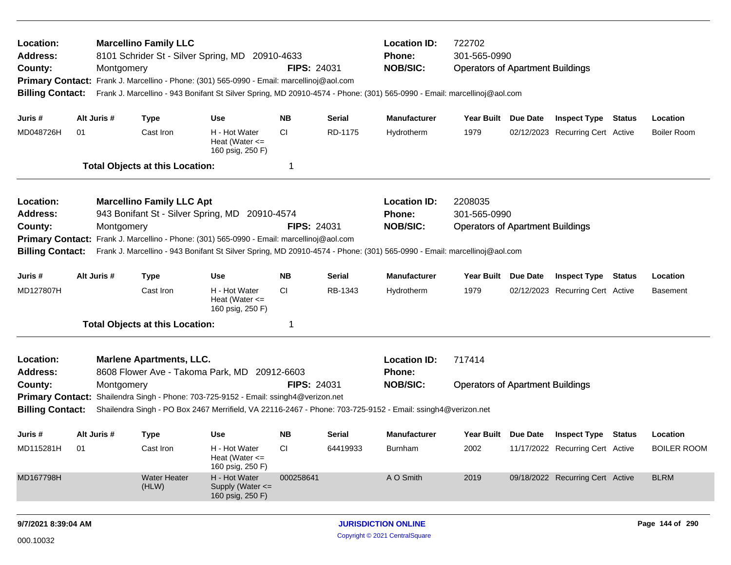| Location:<br>Address:<br>County:<br><b>Primary Contact:</b><br><b>Billing Contact:</b> |                                                                                                                                                                                                                                                                    | Montgomery  | <b>Marcellino Family LLC</b>                                            | 8101 Schrider St - Silver Spring, MD 20910-4633<br>Frank J. Marcellino - Phone: (301) 565-0990 - Email: marcellinoj@aol.com                                                                                       | <b>FIPS: 24031</b> |               | <b>Location ID:</b><br>Phone:<br><b>NOB/SIC:</b>        | 722702<br>301-565-0990<br><b>Operators of Apartment Buildings</b><br>Frank J. Marcellino - 943 Bonifant St Silver Spring, MD 20910-4574 - Phone: (301) 565-0990 - Email: marcellinoj@aol.com |                 |                                  |        |                    |
|----------------------------------------------------------------------------------------|--------------------------------------------------------------------------------------------------------------------------------------------------------------------------------------------------------------------------------------------------------------------|-------------|-------------------------------------------------------------------------|-------------------------------------------------------------------------------------------------------------------------------------------------------------------------------------------------------------------|--------------------|---------------|---------------------------------------------------------|----------------------------------------------------------------------------------------------------------------------------------------------------------------------------------------------|-----------------|----------------------------------|--------|--------------------|
| Juris #                                                                                |                                                                                                                                                                                                                                                                    | Alt Juris # | <b>Type</b>                                                             | Use                                                                                                                                                                                                               | <b>NB</b>          | Serial        | <b>Manufacturer</b>                                     | <b>Year Built</b>                                                                                                                                                                            | Due Date        | <b>Inspect Type Status</b>       |        | Location           |
| MD048726H                                                                              | 01                                                                                                                                                                                                                                                                 |             | Cast Iron                                                               | H - Hot Water<br>Heat (Water $\leq$<br>160 psig, 250 F)                                                                                                                                                           | CI                 | RD-1175       | Hydrotherm                                              | 1979                                                                                                                                                                                         |                 | 02/12/2023 Recurring Cert Active |        | <b>Boiler Room</b> |
|                                                                                        |                                                                                                                                                                                                                                                                    |             | <b>Total Objects at this Location:</b>                                  |                                                                                                                                                                                                                   | -1                 |               |                                                         |                                                                                                                                                                                              |                 |                                  |        |                    |
| Location:<br>Address:<br>County:<br><b>Primary Contact:</b><br><b>Billing Contact:</b> |                                                                                                                                                                                                                                                                    | Montgomery  | <b>Marcellino Family LLC Apt</b><br>943 Bonifant St - Silver Spring, MD | 20910-4574<br>Frank J. Marcellino - Phone: (301) 565-0990 - Email: marcellinoj@aol.com<br>Frank J. Marcellino - 943 Bonifant St Silver Spring, MD 20910-4574 - Phone: (301) 565-0990 - Email: marcellinoj@aol.com | <b>FIPS: 24031</b> |               | <b>Location ID:</b><br><b>Phone:</b><br><b>NOB/SIC:</b> | 2208035<br>301-565-0990<br><b>Operators of Apartment Buildings</b>                                                                                                                           |                 |                                  |        |                    |
| Juris #                                                                                |                                                                                                                                                                                                                                                                    | Alt Juris # | <b>Type</b>                                                             | <b>Use</b>                                                                                                                                                                                                        | <b>NB</b>          | <b>Serial</b> | <b>Manufacturer</b>                                     | <b>Year Built</b>                                                                                                                                                                            | <b>Due Date</b> | <b>Inspect Type</b>              | Status | Location           |
| MD127807H                                                                              |                                                                                                                                                                                                                                                                    |             | Cast Iron                                                               | H - Hot Water<br>Heat (Water $\leq$<br>160 psig, 250 F)                                                                                                                                                           | CI.                | RB-1343       | Hydrotherm                                              | 1979                                                                                                                                                                                         |                 | 02/12/2023 Recurring Cert Active |        | <b>Basement</b>    |
|                                                                                        |                                                                                                                                                                                                                                                                    |             | <b>Total Objects at this Location:</b>                                  |                                                                                                                                                                                                                   | -1                 |               |                                                         |                                                                                                                                                                                              |                 |                                  |        |                    |
| Location:<br><b>Address:</b>                                                           |                                                                                                                                                                                                                                                                    |             | <b>Marlene Apartments, LLC.</b><br>8608 Flower Ave - Takoma Park, MD    |                                                                                                                                                                                                                   | 20912-6603         |               | <b>Location ID:</b><br><b>Phone:</b>                    | 717414                                                                                                                                                                                       |                 |                                  |        |                    |
| County:                                                                                | <b>FIPS: 24031</b><br>Montgomery<br>Primary Contact: Shailendra Singh - Phone: 703-725-9152 - Email: ssingh4@verizon.net<br><b>Billing Contact:</b><br>Shailendra Singh - PO Box 2467 Merrifield, VA 22116-2467 - Phone: 703-725-9152 - Email: ssingh4@verizon.net |             |                                                                         |                                                                                                                                                                                                                   |                    |               | <b>NOB/SIC:</b>                                         | <b>Operators of Apartment Buildings</b>                                                                                                                                                      |                 |                                  |        |                    |
| Juris #                                                                                |                                                                                                                                                                                                                                                                    | Alt Juris # | <b>Type</b>                                                             | Use                                                                                                                                                                                                               | <b>NB</b>          | <b>Serial</b> | <b>Manufacturer</b>                                     | Year Built Due Date                                                                                                                                                                          |                 | <b>Inspect Type Status</b>       |        | Location           |
| MD115281H                                                                              | 01                                                                                                                                                                                                                                                                 |             | Cast Iron                                                               | H - Hot Water<br>Heat (Water $\leq$<br>160 psig, 250 F)                                                                                                                                                           | CI                 | 64419933      | Burnham                                                 | 2002                                                                                                                                                                                         |                 | 11/17/2022 Recurring Cert Active |        | <b>BOILER ROOM</b> |
| MD167798H                                                                              |                                                                                                                                                                                                                                                                    |             | <b>Water Heater</b><br>(HLW)                                            | H - Hot Water<br>Supply (Water <=<br>160 psig, 250 F)                                                                                                                                                             | 000258641          |               | A O Smith                                               | 2019                                                                                                                                                                                         |                 | 09/18/2022 Recurring Cert Active |        | <b>BLRM</b>        |
| 9/7/2021 8:39:04 AM                                                                    |                                                                                                                                                                                                                                                                    |             |                                                                         |                                                                                                                                                                                                                   |                    |               | <b>JURISDICTION ONLINE</b>                              |                                                                                                                                                                                              |                 |                                  |        | Page 144 of 290    |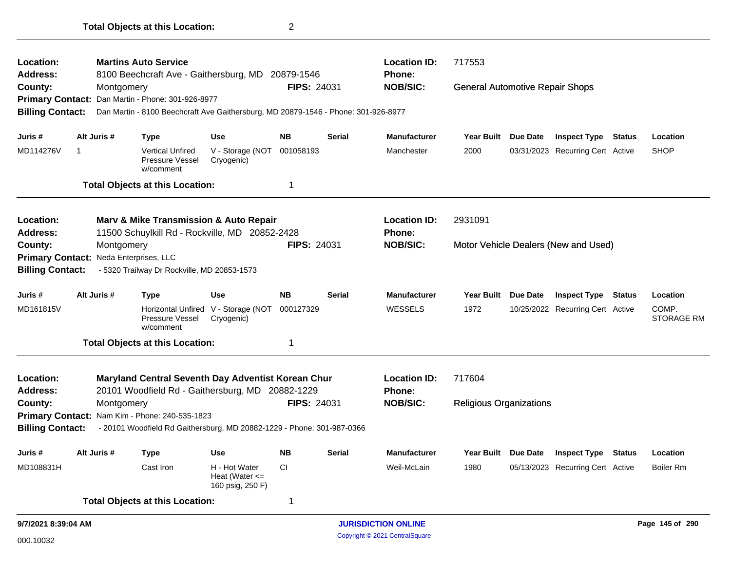| Location:<br>Address:                  |                                                                        |             | <b>Martins Auto Service</b><br>8100 Beechcraft Ave - Gaithersburg, MD 20879-1546                       |                                                         |                    |               | <b>Location ID:</b><br><b>Phone:</b> | 717553                                 |                     |                                      |               |                            |
|----------------------------------------|------------------------------------------------------------------------|-------------|--------------------------------------------------------------------------------------------------------|---------------------------------------------------------|--------------------|---------------|--------------------------------------|----------------------------------------|---------------------|--------------------------------------|---------------|----------------------------|
| County:                                |                                                                        | Montgomery  |                                                                                                        |                                                         | <b>FIPS: 24031</b> |               | <b>NOB/SIC:</b>                      | <b>General Automotive Repair Shops</b> |                     |                                      |               |                            |
|                                        |                                                                        |             | Primary Contact: Dan Martin - Phone: 301-926-8977                                                      |                                                         |                    |               |                                      |                                        |                     |                                      |               |                            |
| <b>Billing Contact:</b>                |                                                                        |             | Dan Martin - 8100 Beechcraft Ave Gaithersburg, MD 20879-1546 - Phone: 301-926-8977                     |                                                         |                    |               |                                      |                                        |                     |                                      |               |                            |
| Juris #                                |                                                                        | Alt Juris # | <b>Type</b>                                                                                            | <b>Use</b>                                              | <b>NB</b>          | <b>Serial</b> | <b>Manufacturer</b>                  | Year Built                             | <b>Due Date</b>     | <b>Inspect Type</b>                  | <b>Status</b> | Location                   |
| MD114276V                              | -1                                                                     |             | <b>Vertical Unfired</b><br>Pressure Vessel<br>w/comment                                                | V - Storage (NOT<br>Cryogenic)                          | 001058193          |               | Manchester                           | 2000                                   |                     | 03/31/2023 Recurring Cert Active     |               | <b>SHOP</b>                |
|                                        |                                                                        |             | <b>Total Objects at this Location:</b>                                                                 |                                                         | 1                  |               |                                      |                                        |                     |                                      |               |                            |
| Location:                              |                                                                        |             | Marv & Mike Transmission & Auto Repair                                                                 |                                                         |                    |               | <b>Location ID:</b>                  | 2931091                                |                     |                                      |               |                            |
| Address:                               |                                                                        |             | 11500 Schuylkill Rd - Rockville, MD 20852-2428                                                         |                                                         |                    |               | Phone:                               |                                        |                     |                                      |               |                            |
| County:                                |                                                                        | Montgomery  |                                                                                                        |                                                         | <b>FIPS: 24031</b> |               | <b>NOB/SIC:</b>                      |                                        |                     | Motor Vehicle Dealers (New and Used) |               |                            |
| Primary Contact: Neda Enterprises, LLC |                                                                        |             |                                                                                                        |                                                         |                    |               |                                      |                                        |                     |                                      |               |                            |
|                                        | - 5320 Trailway Dr Rockville, MD 20853-1573<br><b>Billing Contact:</b> |             |                                                                                                        |                                                         |                    |               |                                      |                                        |                     |                                      |               |                            |
| Juris #                                |                                                                        | Alt Juris # | <b>Type</b>                                                                                            | <b>Use</b>                                              | <b>NB</b>          | <b>Serial</b> | <b>Manufacturer</b>                  | Year Built Due Date                    |                     | <b>Inspect Type Status</b>           |               | Location                   |
| MD161815V                              |                                                                        |             | Pressure Vessel<br>w/comment                                                                           | Horizontal Unfired V - Storage (NOT<br>Cryogenic)       | 000127329          |               | WESSELS                              | 1972                                   |                     | 10/25/2022 Recurring Cert Active     |               | COMP.<br><b>STORAGE RM</b> |
|                                        |                                                                        |             | <b>Total Objects at this Location:</b>                                                                 |                                                         | 1                  |               |                                      |                                        |                     |                                      |               |                            |
| Location:<br><b>Address:</b>           |                                                                        |             | Maryland Central Seventh Day Adventist Korean Chur<br>20101 Woodfield Rd - Gaithersburg, MD 20882-1229 |                                                         |                    |               | <b>Location ID:</b><br><b>Phone:</b> | 717604                                 |                     |                                      |               |                            |
| County:                                |                                                                        | Montgomery  |                                                                                                        |                                                         | <b>FIPS: 24031</b> |               | <b>NOB/SIC:</b>                      | <b>Religious Organizations</b>         |                     |                                      |               |                            |
|                                        |                                                                        |             | Primary Contact: Nam Kim - Phone: 240-535-1823                                                         |                                                         |                    |               |                                      |                                        |                     |                                      |               |                            |
| <b>Billing Contact:</b>                |                                                                        |             | - 20101 Woodfield Rd Gaithersburg, MD 20882-1229 - Phone: 301-987-0366                                 |                                                         |                    |               |                                      |                                        |                     |                                      |               |                            |
| Juris #                                |                                                                        | Alt Juris # | <b>Type</b>                                                                                            | <b>Use</b>                                              | NΒ                 | <b>Serial</b> | <b>Manufacturer</b>                  |                                        | Year Built Due Date | <b>Inspect Type Status</b>           |               | Location                   |
| MD108831H                              |                                                                        |             | Cast Iron                                                                                              | H - Hot Water<br>Heat (Water $\leq$<br>160 psig, 250 F) | CI                 |               | Weil-McLain                          | 1980                                   |                     | 05/13/2023 Recurring Cert Active     |               | <b>Boiler Rm</b>           |
|                                        |                                                                        |             | <b>Total Objects at this Location:</b>                                                                 |                                                         | 1                  |               |                                      |                                        |                     |                                      |               |                            |
| 9/7/2021 8:39:04 AM                    |                                                                        |             |                                                                                                        |                                                         |                    |               | <b>JURISDICTION ONLINE</b>           |                                        |                     |                                      |               | Page 145 of 290            |

**Total Objects at this Location:** 2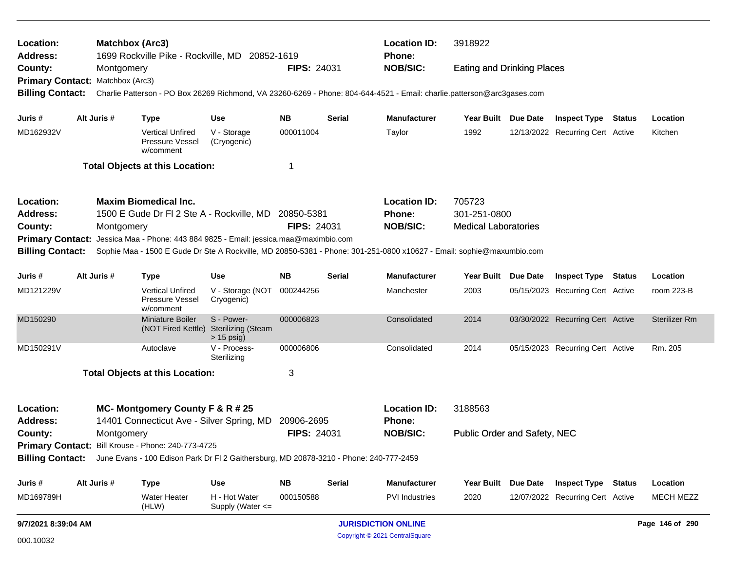| Location:<br>Address:            | <b>Matchbox (Arc3)</b> | 1699 Rockville Pike - Rockville, MD 20852-1619                                                          |                                                         |                    |               | <b>Location ID:</b><br><b>Phone:</b>                                                                                    | 3918922<br><b>Eating and Drinking Places</b> |                 |                                  |  |                      |
|----------------------------------|------------------------|---------------------------------------------------------------------------------------------------------|---------------------------------------------------------|--------------------|---------------|-------------------------------------------------------------------------------------------------------------------------|----------------------------------------------|-----------------|----------------------------------|--|----------------------|
| County:                          | Montgomery             |                                                                                                         |                                                         | <b>FIPS: 24031</b> |               | <b>NOB/SIC:</b>                                                                                                         |                                              |                 |                                  |  |                      |
| Primary Contact: Matchbox (Arc3) |                        |                                                                                                         |                                                         |                    |               |                                                                                                                         |                                              |                 |                                  |  |                      |
| <b>Billing Contact:</b>          |                        |                                                                                                         |                                                         |                    |               | Charlie Patterson - PO Box 26269 Richmond, VA 23260-6269 - Phone: 804-644-4521 - Email: charlie.patterson@arc3gases.com |                                              |                 |                                  |  |                      |
| Juris #                          | Alt Juris #            | <b>Type</b>                                                                                             | <b>Use</b>                                              | <b>NB</b>          | Serial        | <b>Manufacturer</b>                                                                                                     | Year Built Due Date                          |                 | <b>Inspect Type Status</b>       |  | Location             |
| MD162932V                        |                        | <b>Vertical Unfired</b><br>Pressure Vessel<br>w/comment                                                 | V - Storage<br>(Cryogenic)                              | 000011004          |               | Taylor                                                                                                                  | 1992                                         |                 | 12/13/2022 Recurring Cert Active |  | Kitchen              |
|                                  |                        | <b>Total Objects at this Location:</b>                                                                  |                                                         | 1                  |               |                                                                                                                         |                                              |                 |                                  |  |                      |
| Location:                        |                        | <b>Maxim Biomedical Inc.</b>                                                                            |                                                         |                    |               | <b>Location ID:</b>                                                                                                     | 705723                                       |                 |                                  |  |                      |
| Address:                         |                        | 1500 E Gude Dr FI 2 Ste A - Rockville, MD 20850-5381                                                    |                                                         |                    |               | Phone:                                                                                                                  | 301-251-0800                                 |                 |                                  |  |                      |
| County:                          | Montgomery             |                                                                                                         |                                                         | <b>FIPS: 24031</b> |               | <b>NOB/SIC:</b>                                                                                                         | <b>Medical Laboratories</b>                  |                 |                                  |  |                      |
| <b>Primary Contact:</b>          |                        | Jessica Maa - Phone: 443 884 9825 - Email: jessica.maa@maximbio.com                                     |                                                         |                    |               |                                                                                                                         |                                              |                 |                                  |  |                      |
| <b>Billing Contact:</b>          |                        |                                                                                                         |                                                         |                    |               | Sophie Maa - 1500 E Gude Dr Ste A Rockville, MD 20850-5381 - Phone: 301-251-0800 x10627 - Email: sophie@maxumbio.com    |                                              |                 |                                  |  |                      |
| Juris #                          | Alt Juris #            | <b>Type</b>                                                                                             | <b>Use</b>                                              | <b>NB</b>          | <b>Serial</b> | <b>Manufacturer</b>                                                                                                     | Year Built                                   | <b>Due Date</b> | <b>Inspect Type Status</b>       |  | Location             |
| MD121229V                        |                        | <b>Vertical Unfired</b><br>Pressure Vessel<br>w/comment                                                 | V - Storage (NOT<br>Cryogenic)                          | 000244256          |               | Manchester                                                                                                              | 2003                                         |                 | 05/15/2023 Recurring Cert Active |  | room 223-B           |
| MD150290                         |                        | <b>Miniature Boiler</b><br>(NOT Fired Kettle)                                                           | S - Power-<br><b>Sterilizing (Steam</b><br>$> 15$ psig) | 000006823          |               | Consolidated                                                                                                            | 2014                                         |                 | 03/30/2022 Recurring Cert Active |  | <b>Sterilizer Rm</b> |
| MD150291V                        |                        | Autoclave                                                                                               | V - Process-<br>Sterilizing                             | 000006806          |               | Consolidated                                                                                                            | 2014                                         |                 | 05/15/2023 Recurring Cert Active |  | Rm. 205              |
|                                  |                        | <b>Total Objects at this Location:</b>                                                                  |                                                         | 3                  |               |                                                                                                                         |                                              |                 |                                  |  |                      |
| Location:                        |                        | MC- Montgomery County F & R # 25                                                                        |                                                         |                    |               | <b>Location ID:</b>                                                                                                     | 3188563                                      |                 |                                  |  |                      |
| <b>Address:</b>                  |                        | 14401 Connecticut Ave - Silver Spring, MD                                                               |                                                         | 20906-2695         |               | Phone:                                                                                                                  |                                              |                 |                                  |  |                      |
| County:                          | Montgomery             |                                                                                                         |                                                         | <b>FIPS: 24031</b> |               | <b>NOB/SIC:</b>                                                                                                         | Public Order and Safety, NEC                 |                 |                                  |  |                      |
|                                  |                        | Primary Contact: Bill Krouse - Phone: 240-773-4725                                                      |                                                         |                    |               |                                                                                                                         |                                              |                 |                                  |  |                      |
|                                  |                        | Billing Contact: June Evans - 100 Edison Park Dr Fl 2 Gaithersburg, MD 20878-3210 - Phone: 240-777-2459 |                                                         |                    |               |                                                                                                                         |                                              |                 |                                  |  |                      |
| Juris #                          | Alt Juris #            | <b>Type</b>                                                                                             | <b>Use</b>                                              | <b>NB</b>          | <b>Serial</b> | Manufacturer                                                                                                            | Year Built                                   | <b>Due Date</b> | <b>Inspect Type Status</b>       |  | Location             |
| MD169789H                        |                        | Water Heater<br>(HLW)                                                                                   | H - Hot Water<br>Supply (Water <=                       | 000150588          |               | <b>PVI</b> Industries                                                                                                   | 2020                                         |                 | 12/07/2022 Recurring Cert Active |  | <b>MECH MEZZ</b>     |
| 9/7/2021 8:39:04 AM              |                        |                                                                                                         |                                                         |                    |               | <b>JURISDICTION ONLINE</b>                                                                                              |                                              |                 |                                  |  | Page 146 of 290      |

Copyright © 2021 CentralSquare 000.10032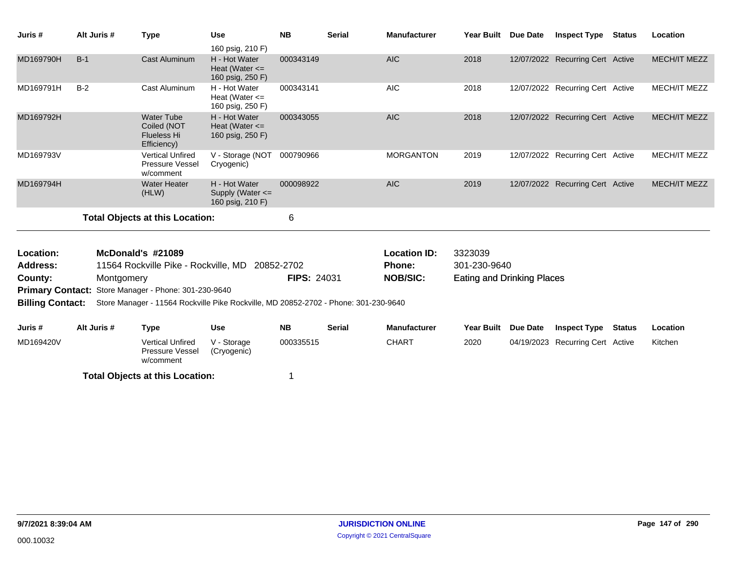| Juris #                 |       | Alt Juris # | <b>Type</b>                                                           | <b>Use</b>                                                                          | <b>NB</b>          | <b>Serial</b> | <b>Manufacturer</b> | <b>Year Built</b>                 | Due Date   | <b>Inspect Type</b>              | Status | Location            |
|-------------------------|-------|-------------|-----------------------------------------------------------------------|-------------------------------------------------------------------------------------|--------------------|---------------|---------------------|-----------------------------------|------------|----------------------------------|--------|---------------------|
|                         |       |             |                                                                       | 160 psig, 210 F)                                                                    |                    |               |                     |                                   |            |                                  |        |                     |
| MD169790H               | $B-1$ |             | <b>Cast Aluminum</b>                                                  | H - Hot Water<br>Heat (Water $\leq$<br>160 psig, 250 F)                             | 000343149          |               | <b>AIC</b>          | 2018                              |            | 12/07/2022 Recurring Cert Active |        | <b>MECH/IT MEZZ</b> |
| MD169791H               | $B-2$ |             | <b>Cast Aluminum</b>                                                  | H - Hot Water<br>Heat (Water $\leq$<br>160 psig, 250 F)                             | 000343141          |               | <b>AIC</b>          | 2018                              |            | 12/07/2022 Recurring Cert Active |        | <b>MECH/IT MEZZ</b> |
| MD169792H               |       |             | <b>Water Tube</b><br>Coiled (NOT<br><b>Flueless Hi</b><br>Efficiency) | H - Hot Water<br>Heat (Water $\leq$<br>160 psig, 250 F)                             | 000343055          |               | <b>AIC</b>          | 2018                              |            | 12/07/2022 Recurring Cert Active |        | <b>MECH/IT MEZZ</b> |
| MD169793V               |       |             | <b>Vertical Unfired</b><br>Pressure Vessel<br>w/comment               | V - Storage (NOT<br>Cryogenic)                                                      | 000790966          |               | <b>MORGANTON</b>    | 2019                              |            | 12/07/2022 Recurring Cert Active |        | <b>MECH/IT MEZZ</b> |
| MD169794H               |       |             | <b>Water Heater</b><br>(HLW)                                          | H - Hot Water<br>Supply (Water $\leq$<br>160 psig, 210 F)                           | 000098922          |               | <b>AIC</b>          | 2019                              |            | 12/07/2022 Recurring Cert Active |        | <b>MECH/IT MEZZ</b> |
|                         |       |             | <b>Total Objects at this Location:</b>                                |                                                                                     | 6                  |               |                     |                                   |            |                                  |        |                     |
| Location:               |       |             | McDonald's #21089                                                     |                                                                                     |                    |               | <b>Location ID:</b> | 3323039                           |            |                                  |        |                     |
| <b>Address:</b>         |       |             | 11564 Rockville Pike - Rockville, MD                                  |                                                                                     | 20852-2702         |               | <b>Phone:</b>       | 301-230-9640                      |            |                                  |        |                     |
| County:                 |       | Montgomery  |                                                                       |                                                                                     | <b>FIPS: 24031</b> |               | <b>NOB/SIC:</b>     | <b>Eating and Drinking Places</b> |            |                                  |        |                     |
| <b>Primary Contact:</b> |       |             | Store Manager - Phone: 301-230-9640                                   |                                                                                     |                    |               |                     |                                   |            |                                  |        |                     |
| <b>Billing Contact:</b> |       |             |                                                                       | Store Manager - 11564 Rockville Pike Rockville, MD 20852-2702 - Phone: 301-230-9640 |                    |               |                     |                                   |            |                                  |        |                     |
| Juris #                 |       | Alt Juris # | <b>Type</b>                                                           | <b>Use</b>                                                                          | <b>NB</b>          | <b>Serial</b> | <b>Manufacturer</b> | <b>Year Built</b>                 | Due Date   | <b>Inspect Type</b>              | Status | Location            |
| MD169420V               |       |             | <b>Vertical Unfired</b><br>Pressure Vessel                            | V - Storage<br>(Cryogenic)                                                          | 000335515          |               | <b>CHART</b>        | 2020                              | 04/19/2023 | <b>Recurring Cert Active</b>     |        | Kitchen             |

w/comment **Total Objects at this Location:** 1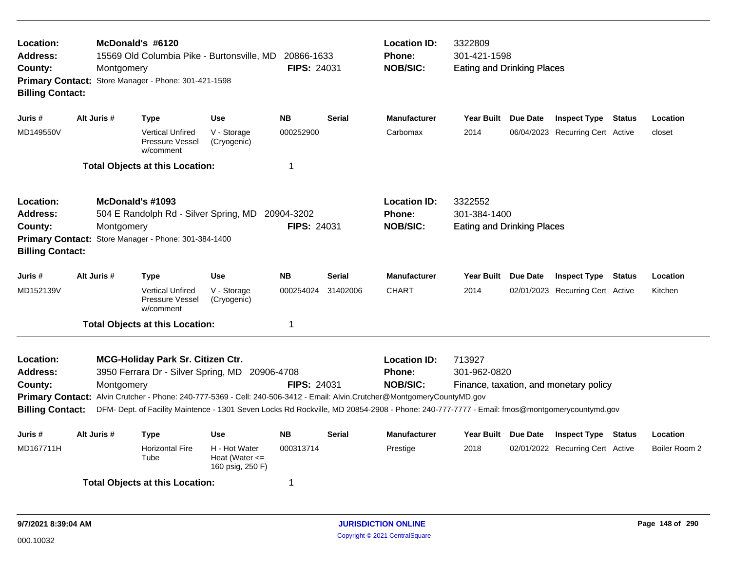| Location:<br>Address:<br>County:<br><b>Billing Contact:</b>                                   | McDonald's #6120<br><b>Location ID:</b><br>3322809<br>301-421-1598<br>15569 Old Columbia Pike - Burtonsville, MD<br>20866-1633<br><b>Phone:</b><br><b>NOB/SIC:</b><br>FIPS: 24031<br><b>Eating and Drinking Places</b><br>Montgomery<br>Primary Contact: Store Manager - Phone: 301-421-1598 |                                                                                                                                                                                                                                                                                                                                               |                                                         |                                  |               |                                                         |                                                              |                 |                                        |        |               |
|-----------------------------------------------------------------------------------------------|----------------------------------------------------------------------------------------------------------------------------------------------------------------------------------------------------------------------------------------------------------------------------------------------|-----------------------------------------------------------------------------------------------------------------------------------------------------------------------------------------------------------------------------------------------------------------------------------------------------------------------------------------------|---------------------------------------------------------|----------------------------------|---------------|---------------------------------------------------------|--------------------------------------------------------------|-----------------|----------------------------------------|--------|---------------|
| Juris #                                                                                       | Alt Juris #                                                                                                                                                                                                                                                                                  | <b>Type</b>                                                                                                                                                                                                                                                                                                                                   | <b>Use</b>                                              | <b>NB</b>                        | <b>Serial</b> | <b>Manufacturer</b>                                     | <b>Year Built</b>                                            | Due Date        | <b>Inspect Type</b>                    | Status | Location      |
| MD149550V                                                                                     |                                                                                                                                                                                                                                                                                              | <b>Vertical Unfired</b><br>Pressure Vessel<br>w/comment                                                                                                                                                                                                                                                                                       | V - Storage<br>(Cryogenic)                              | 000252900                        |               | Carbomax                                                | 2014                                                         |                 | 06/04/2023 Recurring Cert Active       |        | closet        |
|                                                                                               |                                                                                                                                                                                                                                                                                              | <b>Total Objects at this Location:</b>                                                                                                                                                                                                                                                                                                        |                                                         | $\mathbf 1$                      |               |                                                         |                                                              |                 |                                        |        |               |
| Location:<br>Address:<br>County:<br><b>Billing Contact:</b>                                   | Montgomery                                                                                                                                                                                                                                                                                   | McDonald's #1093<br>504 E Randolph Rd - Silver Spring, MD<br>Primary Contact: Store Manager - Phone: 301-384-1400                                                                                                                                                                                                                             |                                                         | 20904-3202<br><b>FIPS: 24031</b> |               | <b>Location ID:</b><br><b>Phone:</b><br><b>NOB/SIC:</b> | 3322552<br>301-384-1400<br><b>Eating and Drinking Places</b> |                 |                                        |        |               |
| Juris#                                                                                        | Alt Juris #                                                                                                                                                                                                                                                                                  | Type                                                                                                                                                                                                                                                                                                                                          | <b>Use</b>                                              | <b>NB</b>                        | <b>Serial</b> | <b>Manufacturer</b>                                     | <b>Year Built</b>                                            | <b>Due Date</b> | <b>Inspect Type Status</b>             |        | Location      |
| MD152139V                                                                                     |                                                                                                                                                                                                                                                                                              | <b>Vertical Unfired</b><br>Pressure Vessel<br>w/comment                                                                                                                                                                                                                                                                                       | V - Storage<br>(Cryogenic)                              | 000254024                        | 31402006      | <b>CHART</b>                                            | 2014                                                         |                 | 02/01/2023 Recurring Cert Active       |        | Kitchen       |
|                                                                                               |                                                                                                                                                                                                                                                                                              | <b>Total Objects at this Location:</b>                                                                                                                                                                                                                                                                                                        |                                                         | $\mathbf 1$                      |               |                                                         |                                                              |                 |                                        |        |               |
| Location:<br><b>Address:</b><br>County:<br><b>Primary Contact:</b><br><b>Billing Contact:</b> | Montgomery                                                                                                                                                                                                                                                                                   | MCG-Holiday Park Sr. Citizen Ctr.<br>3950 Ferrara Dr - Silver Spring, MD 20906-4708<br>Alvin Crutcher - Phone: 240-777-5369 - Cell: 240-506-3412 - Email: Alvin.Crutcher@MontgomeryCountyMD.gov<br>DFM- Dept. of Facility Maintence - 1301 Seven Locks Rd Rockville, MD 20854-2908 - Phone: 240-777-7777 - Email: fmos@montgomerycountymd.gov |                                                         | <b>FIPS: 24031</b>               |               | <b>Location ID:</b><br>Phone:<br><b>NOB/SIC:</b>        | 713927<br>301-962-0820                                       |                 | Finance, taxation, and monetary policy |        |               |
| Juris #                                                                                       | Alt Juris #                                                                                                                                                                                                                                                                                  | <b>Type</b>                                                                                                                                                                                                                                                                                                                                   | <b>Use</b>                                              | <b>NB</b>                        | <b>Serial</b> | <b>Manufacturer</b>                                     | Year Built Due Date                                          |                 | <b>Inspect Type Status</b>             |        | Location      |
| MD167711H                                                                                     |                                                                                                                                                                                                                                                                                              | <b>Horizontal Fire</b><br>Tube                                                                                                                                                                                                                                                                                                                | H - Hot Water<br>Heat (Water $\leq$<br>160 psig, 250 F) | 000313714                        |               | Prestige                                                | 2018                                                         |                 | 02/01/2022 Recurring Cert Active       |        | Boiler Room 2 |
|                                                                                               |                                                                                                                                                                                                                                                                                              | <b>Total Objects at this Location:</b>                                                                                                                                                                                                                                                                                                        |                                                         | -1                               |               |                                                         |                                                              |                 |                                        |        |               |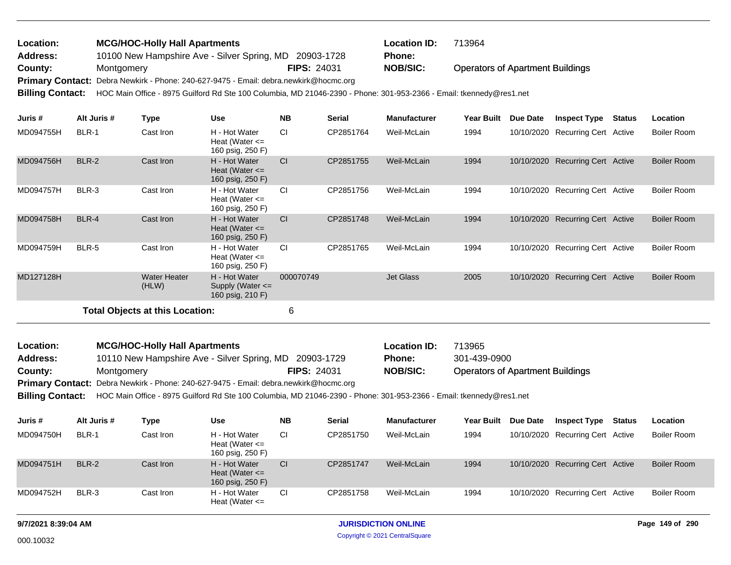## Operators of Apartment Buildings 10100 New Hampshire Ave - Silver Spring, MD 20903-1728 **County:** Montgomery **NOB/SIC: PIPS:** 24031 **NOB/SIC:** Primary Contact: Debra Newkirk - Phone: 240-627-9475 - Email: debra.newkirk@hocmc.org **MCG/HOC-Holly Hall Apartments Location ID:** 713964 **Address: Location: FIPS:** 24031 **Phone:**

**Billing Contact:** HOC Main Office - 8975 Guilford Rd Ste 100 Columbia, MD 21046-2390 - Phone: 301-953-2366 - Email: tkennedy@res1.net

| Juris #   | Alt Juris # | Type                                   | <b>Use</b>                                                | <b>NB</b> | <b>Serial</b> | <b>Manufacturer</b> | <b>Year Built</b> | Due Date   | <b>Inspect Type</b>          | Status | Location           |
|-----------|-------------|----------------------------------------|-----------------------------------------------------------|-----------|---------------|---------------------|-------------------|------------|------------------------------|--------|--------------------|
| MD094755H | BLR-1       | Cast Iron                              | H - Hot Water<br>Heat (Water $\leq$<br>160 psig, 250 F)   | <b>CI</b> | CP2851764     | Weil-McLain         | 1994              | 10/10/2020 | Recurring Cert Active        |        | <b>Boiler Room</b> |
| MD094756H | BLR-2       | Cast Iron                              | H - Hot Water<br>Heat (Water $\leq$<br>160 psig, 250 F)   | CI        | CP2851755     | Weil-McLain         | 1994              | 10/10/2020 | <b>Recurring Cert Active</b> |        | <b>Boiler Room</b> |
| MD094757H | BLR-3       | Cast Iron                              | H - Hot Water<br>Heat (Water $\leq$<br>160 psig, 250 F)   | <b>CI</b> | CP2851756     | Weil-McLain         | 1994              | 10/10/2020 | Recurring Cert Active        |        | Boiler Room        |
| MD094758H | BLR-4       | Cast Iron                              | H - Hot Water<br>Heat (Water $\leq$<br>160 psig, 250 F)   | <b>CI</b> | CP2851748     | Weil-McLain         | 1994              | 10/10/2020 | <b>Recurring Cert Active</b> |        | <b>Boiler Room</b> |
| MD094759H | BLR-5       | Cast Iron                              | H - Hot Water<br>Heat (Water $\leq$<br>160 psig, 250 F)   | <b>CI</b> | CP2851765     | Weil-McLain         | 1994              | 10/10/2020 | Recurring Cert Active        |        | <b>Boiler Room</b> |
| MD127128H |             | <b>Water Heater</b><br>(HLW)           | H - Hot Water<br>Supply (Water $\leq$<br>160 psig, 210 F) | 000070749 |               | <b>Jet Glass</b>    | 2005              | 10/10/2020 | <b>Recurring Cert Active</b> |        | <b>Boiler Room</b> |
|           |             | <b>Total Objects at this Location:</b> |                                                           | 6         |               |                     |                   |            |                              |        |                    |

| <b>Location:</b> | <b>MCG/HOC-Holly Hall Apartments</b>                                                                                                 |                    | <b>Location ID:</b> | 713965                                  |
|------------------|--------------------------------------------------------------------------------------------------------------------------------------|--------------------|---------------------|-----------------------------------------|
| Address:         | 10110 New Hampshire Ave - Silver Spring, MD                                                                                          | 20903-1729         | <b>Phone:</b>       | 301-439-0900                            |
| County:          | Montgomery                                                                                                                           | <b>FIPS: 24031</b> | <b>NOB/SIC:</b>     | <b>Operators of Apartment Buildings</b> |
|                  | <b>Primary Contact:</b> Debra Newkirk - Phone: 240-627-9475 - Email: debra.newkirk@hocmc.org                                         |                    |                     |                                         |
|                  | Billing Contact: HOC Main Office - 8975 Guilford Rd Ste 100 Columbia, MD 21046-2390 - Phone: 301-953-2366 - Email: tkennedy@res1.net |                    |                     |                                         |

**Juris # Alt Juris # Type Use NB Serial Manufacturer Year Built Due Date Inspect Type Status Location** MD094750H BLR-1 Cast Iron H - Hot Water Cl CP2851750 Weil-McLain 1994 10/10/2020 Heat (Water <= 160 psig, 250 F) BLR-1 Cast Iron H - Hot Water CI CP2851750 Weil-McLain 1994 10/10/2020 Recurring Cert Active Boiler Room MD094751H BLR-2 Cast Iron H - Hot Water Cl CP2851747 Weil-McLain 1994 10/10/2020 Heat (Water <= 160 psig, 250 F) BLR-2 Cast Iron H - Hot Water CI CP2851747 Weil-McLain 1994 10/10/2020 Recurring Cert Active Boiler Room MD094752H BLR-3 Cast Iron H - Hot Water CI CP2851758 Weil-McLain 1994 10/10/2020 Heat (Water <= 160 psig, 250 F) BLR-3 Cast Iron H - Hot Water CI CP2851758 Weil-McLain 1994 10/10/2020 Recurring Cert Active Boiler Room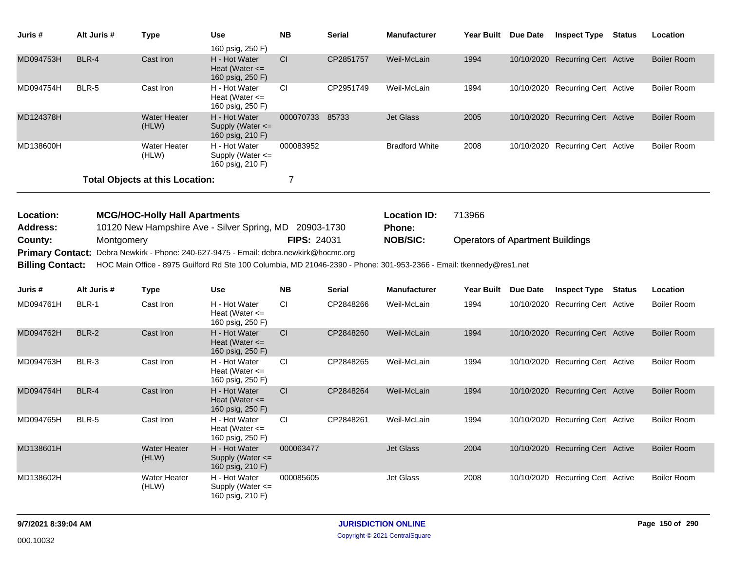| Juris #                                                       | Alt Juris #  | <b>Type</b>                                                                                                                                                                                 | Use<br>160 psig, 250 F)                                   | <b>NB</b>          | <b>Serial</b> | <b>Manufacturer</b>                  | Year Built Due Date                     |                 | <b>Inspect Type</b>              | <b>Status</b> | Location           |
|---------------------------------------------------------------|--------------|---------------------------------------------------------------------------------------------------------------------------------------------------------------------------------------------|-----------------------------------------------------------|--------------------|---------------|--------------------------------------|-----------------------------------------|-----------------|----------------------------------|---------------|--------------------|
| MD094753H                                                     | BLR-4        | Cast Iron                                                                                                                                                                                   | H - Hot Water<br>Heat (Water $\leq$<br>160 psig, 250 F)   | CI.                | CP2851757     | Weil-McLain                          | 1994                                    |                 | 10/10/2020 Recurring Cert Active |               | <b>Boiler Room</b> |
| MD094754H                                                     | <b>BLR-5</b> | Cast Iron                                                                                                                                                                                   | H - Hot Water<br>Heat (Water $\leq$<br>160 psig, 250 F)   | СI                 | CP2951749     | Weil-McLain                          | 1994                                    |                 | 10/10/2020 Recurring Cert Active |               | <b>Boiler Room</b> |
| MD124378H                                                     |              | <b>Water Heater</b><br>(HLW)                                                                                                                                                                | H - Hot Water<br>Supply (Water $\leq$<br>160 psig, 210 F) | 000070733 85733    |               | <b>Jet Glass</b>                     | 2005                                    |                 | 10/10/2020 Recurring Cert Active |               | <b>Boiler Room</b> |
| MD138600H                                                     |              | <b>Water Heater</b><br>(HLW)                                                                                                                                                                | H - Hot Water<br>Supply (Water $\leq$<br>160 psig, 210 F) | 000083952          |               | <b>Bradford White</b>                | 2008                                    |                 | 10/10/2020 Recurring Cert Active |               | <b>Boiler Room</b> |
|                                                               |              | <b>Total Objects at this Location:</b>                                                                                                                                                      |                                                           | 7                  |               |                                      |                                         |                 |                                  |               |                    |
| Location:<br><b>Address:</b>                                  |              | <b>MCG/HOC-Holly Hall Apartments</b><br>10120 New Hampshire Ave - Silver Spring, MD 20903-1730                                                                                              |                                                           |                    |               | <b>Location ID:</b><br><b>Phone:</b> | 713966                                  |                 |                                  |               |                    |
| County:<br><b>Primary Contact:</b><br><b>Billing Contact:</b> | Montgomery   | Debra Newkirk - Phone: 240-627-9475 - Email: debra.newkirk@hocmc.org<br>HOC Main Office - 8975 Guilford Rd Ste 100 Columbia, MD 21046-2390 - Phone: 301-953-2366 - Email: tkennedy@res1.net |                                                           | <b>FIPS: 24031</b> |               | <b>NOB/SIC:</b>                      | <b>Operators of Apartment Buildings</b> |                 |                                  |               |                    |
| Juris #                                                       | Alt Juris #  | <b>Type</b>                                                                                                                                                                                 | Use                                                       | <b>NB</b>          | <b>Serial</b> | <b>Manufacturer</b>                  | <b>Year Built</b>                       | <b>Due Date</b> | <b>Inspect Type</b>              | <b>Status</b> | Location           |
| MD094761H                                                     | BLR-1        | Cast Iron                                                                                                                                                                                   | H - Hot Water<br>Heat (Water $\leq$<br>160 psig, 250 F)   | CI.                | CP2848266     | Weil-McLain                          | 1994                                    |                 | 10/10/2020 Recurring Cert Active |               | <b>Boiler Room</b> |
| MD094762H                                                     | BLR-2        | Cast Iron                                                                                                                                                                                   | H - Hot Water<br>Heat (Water $\leq$<br>160 psig, 250 F)   | CI.                | CP2848260     | Weil-McLain                          | 1994                                    |                 | 10/10/2020 Recurring Cert Active |               | <b>Boiler Room</b> |
| MD094763H                                                     | BLR-3        | Cast Iron                                                                                                                                                                                   | H - Hot Water<br>Heat (Water $\leq$<br>160 psig, 250 F)   | CI.                | CP2848265     | Weil-McLain                          | 1994                                    |                 | 10/10/2020 Recurring Cert Active |               | <b>Boiler Room</b> |
| MD094764H                                                     | BLR-4        | Cast Iron                                                                                                                                                                                   | H - Hot Water<br>Heat (Water $\leq$<br>160 psig, 250 F)   | CI.                | CP2848264     | Weil-McLain                          | 1994                                    |                 | 10/10/2020 Recurring Cert Active |               | <b>Boiler Room</b> |
| MD094765H                                                     | BLR-5        | Cast Iron                                                                                                                                                                                   | H - Hot Water<br>Heat (Water $\leq$<br>160 psig, 250 F)   | <b>CI</b>          | CP2848261     | Weil-McLain                          | 1994                                    |                 | 10/10/2020 Recurring Cert Active |               | <b>Boiler Room</b> |
| MD138601H                                                     |              | <b>Water Heater</b><br>(HLW)                                                                                                                                                                | H - Hot Water<br>Supply (Water $\leq$<br>160 psig, 210 F) | 000063477          |               | <b>Jet Glass</b>                     | 2004                                    |                 | 10/10/2020 Recurring Cert Active |               | <b>Boiler Room</b> |
| MD138602H                                                     |              | <b>Water Heater</b><br>(HLW)                                                                                                                                                                | H - Hot Water<br>Supply (Water $\leq$<br>160 psig, 210 F) | 000085605          |               | <b>Jet Glass</b>                     | 2008                                    |                 | 10/10/2020 Recurring Cert Active |               | <b>Boiler Room</b> |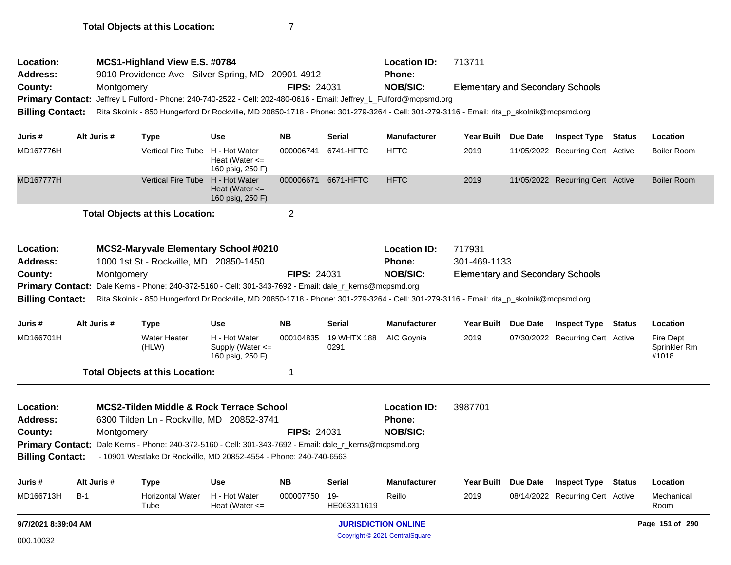| Location:<br><b>Address:</b> |             | MCS1-Highland View E.S. #0784<br>9010 Providence Ave - Silver Spring, MD 20901-4912                                                     |                                                       |                    |                     | <b>Location ID:</b><br>Phone: | 713711                                  |                                  |               |                                           |
|------------------------------|-------------|-----------------------------------------------------------------------------------------------------------------------------------------|-------------------------------------------------------|--------------------|---------------------|-------------------------------|-----------------------------------------|----------------------------------|---------------|-------------------------------------------|
| County:                      | Montgomery  |                                                                                                                                         |                                                       | FIPS: 24031        |                     | <b>NOB/SIC:</b>               | Elementary and Secondary Schools        |                                  |               |                                           |
|                              |             | Primary Contact: Jeffrey L Fulford - Phone: 240-740-2522 - Cell: 202-480-0616 - Email: Jeffrey_L_Fulford@mcpsmd.org                     |                                                       |                    |                     |                               |                                         |                                  |               |                                           |
| <b>Billing Contact:</b>      |             | Rita Skolnik - 850 Hungerford Dr Rockville, MD 20850-1718 - Phone: 301-279-3264 - Cell: 301-279-3116 - Email: rita_p_skolnik@mcpsmd.org |                                                       |                    |                     |                               |                                         |                                  |               |                                           |
|                              |             |                                                                                                                                         |                                                       |                    |                     |                               |                                         |                                  |               |                                           |
| Juris #                      | Alt Juris # | Type                                                                                                                                    | <b>Use</b>                                            | <b>NB</b>          | Serial              | <b>Manufacturer</b>           | Year Built Due Date                     | <b>Inspect Type Status</b>       |               | Location                                  |
| MD167776H                    |             | Vertical Fire Tube H - Hot Water                                                                                                        | Heat (Water $\leq$<br>160 psig, 250 F)                | 000006741          | 6741-HFTC           | <b>HFTC</b>                   | 2019                                    | 11/05/2022 Recurring Cert Active |               | <b>Boiler Room</b>                        |
| MD167777H                    |             | Vertical Fire Tube H - Hot Water                                                                                                        | Heat (Water $\leq$<br>160 psig, 250 F)                | 000006671          | 6671-HFTC           | <b>HFTC</b>                   | 2019                                    | 11/05/2022 Recurring Cert Active |               | <b>Boiler Room</b>                        |
|                              |             | <b>Total Objects at this Location:</b>                                                                                                  |                                                       | $\overline{c}$     |                     |                               |                                         |                                  |               |                                           |
| Location:                    |             | <b>MCS2-Maryvale Elementary School #0210</b>                                                                                            |                                                       |                    |                     | <b>Location ID:</b>           | 717931                                  |                                  |               |                                           |
| <b>Address:</b>              |             | 1000 1st St - Rockville, MD 20850-1450                                                                                                  |                                                       |                    |                     | Phone:                        | 301-469-1133                            |                                  |               |                                           |
| County:                      | Montgomery  |                                                                                                                                         |                                                       | <b>FIPS: 24031</b> |                     | <b>NOB/SIC:</b>               | <b>Elementary and Secondary Schools</b> |                                  |               |                                           |
|                              |             | Primary Contact: Dale Kerns - Phone: 240-372-5160 - Cell: 301-343-7692 - Email: dale_r_kerns@mcpsmd.org                                 |                                                       |                    |                     |                               |                                         |                                  |               |                                           |
| <b>Billing Contact:</b>      |             | Rita Skolnik - 850 Hungerford Dr Rockville, MD 20850-1718 - Phone: 301-279-3264 - Cell: 301-279-3116 - Email: rita_p_skolnik@mcpsmd.org |                                                       |                    |                     |                               |                                         |                                  |               |                                           |
| Juris #                      | Alt Juris # | <b>Type</b>                                                                                                                             | <b>Use</b>                                            | <b>NB</b>          | Serial              | <b>Manufacturer</b>           | Year Built Due Date                     | <b>Inspect Type Status</b>       |               | Location                                  |
| MD166701H                    |             | <b>Water Heater</b><br>(HLW)                                                                                                            | H - Hot Water<br>Supply (Water <=<br>160 psig, 250 F) | 000104835          | 19 WHTX 188<br>0291 | AIC Goynia                    | 2019                                    | 07/30/2022 Recurring Cert Active |               | <b>Fire Dept</b><br>Sprinkler Rm<br>#1018 |
|                              |             | <b>Total Objects at this Location:</b>                                                                                                  |                                                       | 1                  |                     |                               |                                         |                                  |               |                                           |
| Location:                    |             | <b>MCS2-Tilden Middle &amp; Rock Terrace School</b>                                                                                     |                                                       |                    |                     | <b>Location ID:</b>           | 3987701                                 |                                  |               |                                           |
| <b>Address:</b>              |             | 6300 Tilden Ln - Rockville, MD 20852-3741                                                                                               |                                                       |                    |                     | Phone:                        |                                         |                                  |               |                                           |
| County:                      | Montgomery  |                                                                                                                                         |                                                       | <b>FIPS: 24031</b> |                     | <b>NOB/SIC:</b>               |                                         |                                  |               |                                           |
|                              |             | Primary Contact: Dale Kerns - Phone: 240-372-5160 - Cell: 301-343-7692 - Email: dale_r_kerns@mcpsmd.org                                 |                                                       |                    |                     |                               |                                         |                                  |               |                                           |
| <b>Billing Contact:</b>      |             | - 10901 Westlake Dr Rockville, MD 20852-4554 - Phone: 240-740-6563                                                                      |                                                       |                    |                     |                               |                                         |                                  |               |                                           |
| Juris #                      | Alt Juris # | <b>Type</b>                                                                                                                             | <b>Use</b>                                            | <b>NB</b>          | Serial              | <b>Manufacturer</b>           | Year Built Due Date                     | <b>Inspect Type</b>              | <b>Status</b> | Location                                  |
| MD166713H                    | $B-1$       | <b>Horizontal Water</b><br>Tube                                                                                                         | H - Hot Water<br>Heat (Water $\leq$                   | 000007750          | 19-<br>HE063311619  | Reillo                        | 2019                                    | 08/14/2022 Recurring Cert Active |               | Mechanical<br>Room                        |
| 9/7/2021 8:39:04 AM          |             |                                                                                                                                         |                                                       |                    |                     | <b>JURISDICTION ONLINE</b>    |                                         |                                  |               | Page 151 of 290                           |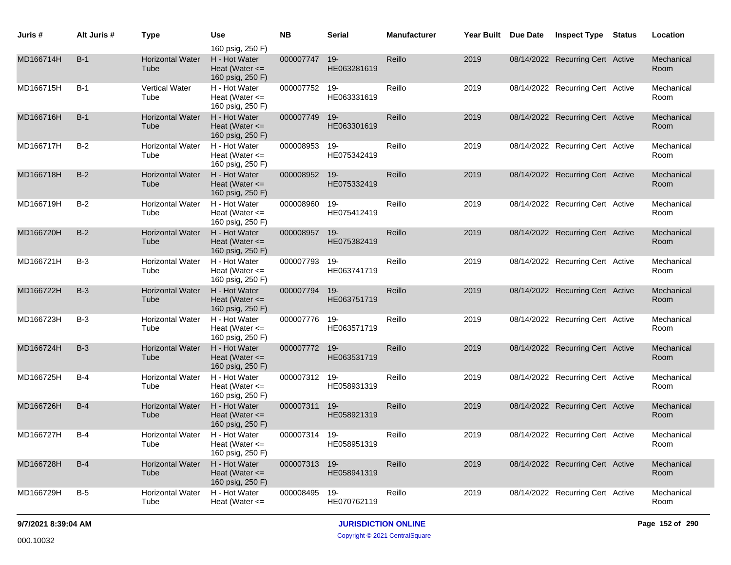| Juris #   | Alt Juris # | <b>Type</b>                     | Use                                                                         | <b>NB</b>     | <b>Serial</b>         | <b>Manufacturer</b> | Year Built | Due Date | <b>Inspect Type</b>              | <b>Status</b> | Location           |
|-----------|-------------|---------------------------------|-----------------------------------------------------------------------------|---------------|-----------------------|---------------------|------------|----------|----------------------------------|---------------|--------------------|
| MD166714H | $B-1$       | <b>Horizontal Water</b><br>Tube | 160 psig, 250 F)<br>H - Hot Water<br>Heat (Water $\leq$<br>160 psig, 250 F) | 000007747     | $19 -$<br>HE063281619 | Reillo              | 2019       |          | 08/14/2022 Recurring Cert Active |               | Mechanical<br>Room |
| MD166715H | $B-1$       | Vertical Water<br>Tube          | H - Hot Water<br>Heat (Water $\leq$<br>160 psig, 250 F)                     | 000007752     | 19-<br>HE063331619    | Reillo              | 2019       |          | 08/14/2022 Recurring Cert Active |               | Mechanical<br>Room |
| MD166716H | $B-1$       | <b>Horizontal Water</b><br>Tube | H - Hot Water<br>Heat (Water $\leq$<br>160 psig, 250 F)                     | 000007749     | $19 -$<br>HE063301619 | Reillo              | 2019       |          | 08/14/2022 Recurring Cert Active |               | Mechanical<br>Room |
| MD166717H | $B-2$       | <b>Horizontal Water</b><br>Tube | H - Hot Water<br>Heat (Water $\leq$<br>160 psig, 250 F)                     | 000008953     | 19-<br>HE075342419    | Reillo              | 2019       |          | 08/14/2022 Recurring Cert Active |               | Mechanical<br>Room |
| MD166718H | $B-2$       | <b>Horizontal Water</b><br>Tube | H - Hot Water<br>Heat (Water $\leq$<br>160 psig, 250 F)                     | 000008952     | $19 -$<br>HE075332419 | Reillo              | 2019       |          | 08/14/2022 Recurring Cert Active |               | Mechanical<br>Room |
| MD166719H | $B-2$       | <b>Horizontal Water</b><br>Tube | H - Hot Water<br>Heat (Water $\leq$<br>160 psig, 250 F)                     | 000008960     | 19-<br>HE075412419    | Reillo              | 2019       |          | 08/14/2022 Recurring Cert Active |               | Mechanical<br>Room |
| MD166720H | $B-2$       | <b>Horizontal Water</b><br>Tube | H - Hot Water<br>Heat (Water $\leq$<br>160 psig, 250 F)                     | 000008957     | 19-<br>HE075382419    | Reillo              | 2019       |          | 08/14/2022 Recurring Cert Active |               | Mechanical<br>Room |
| MD166721H | $B-3$       | <b>Horizontal Water</b><br>Tube | H - Hot Water<br>Heat (Water $\leq$<br>160 psig, 250 F)                     | 000007793     | 19-<br>HE063741719    | Reillo              | 2019       |          | 08/14/2022 Recurring Cert Active |               | Mechanical<br>Room |
| MD166722H | $B-3$       | <b>Horizontal Water</b><br>Tube | H - Hot Water<br>Heat (Water $\leq$<br>160 psig, 250 F)                     | 000007794     | $19 -$<br>HE063751719 | Reillo              | 2019       |          | 08/14/2022 Recurring Cert Active |               | Mechanical<br>Room |
| MD166723H | $B-3$       | <b>Horizontal Water</b><br>Tube | H - Hot Water<br>Heat (Water $\leq$<br>160 psig, 250 F)                     | 000007776     | 19-<br>HE063571719    | Reillo              | 2019       |          | 08/14/2022 Recurring Cert Active |               | Mechanical<br>Room |
| MD166724H | $B-3$       | <b>Horizontal Water</b><br>Tube | H - Hot Water<br>Heat (Water $\leq$<br>160 psig, 250 F)                     | 000007772 19- | HE063531719           | Reillo              | 2019       |          | 08/14/2022 Recurring Cert Active |               | Mechanical<br>Room |
| MD166725H | $B-4$       | <b>Horizontal Water</b><br>Tube | H - Hot Water<br>Heat (Water $\leq$<br>160 psig, 250 F)                     | 000007312     | 19-<br>HE058931319    | Reillo              | 2019       |          | 08/14/2022 Recurring Cert Active |               | Mechanical<br>Room |
| MD166726H | $B-4$       | <b>Horizontal Water</b><br>Tube | H - Hot Water<br>Heat (Water $\leq$<br>160 psig, 250 F)                     | 000007311     | $19 -$<br>HE058921319 | Reillo              | 2019       |          | 08/14/2022 Recurring Cert Active |               | Mechanical<br>Room |
| MD166727H | $B-4$       | <b>Horizontal Water</b><br>Tube | H - Hot Water<br>Heat (Water $\leq$<br>160 psig, 250 F)                     | 000007314 19- | HE058951319           | Reillo              | 2019       |          | 08/14/2022 Recurring Cert Active |               | Mechanical<br>Room |
| MD166728H | $B-4$       | <b>Horizontal Water</b><br>Tube | H - Hot Water<br>Heat (Water $\leq$<br>160 psig, 250 F)                     | 000007313 19- | HE058941319           | Reillo              | 2019       |          | 08/14/2022 Recurring Cert Active |               | Mechanical<br>Room |
| MD166729H | $B-5$       | <b>Horizontal Water</b><br>Tube | H - Hot Water<br>Heat (Water $\leq$                                         | 000008495     | 19-<br>HE070762119    | Reillo              | 2019       |          | 08/14/2022 Recurring Cert Active |               | Mechanical<br>Room |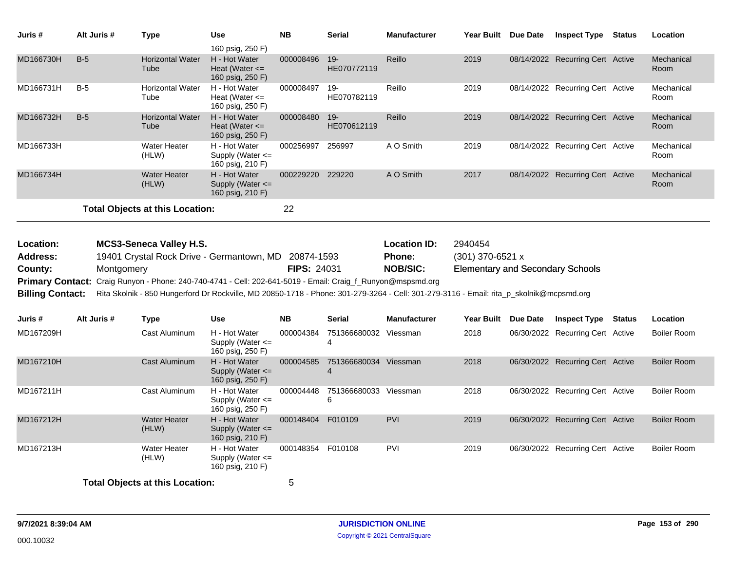| Juris #                                                                                       | Alt Juris # | <b>Type</b>                                                                                                                                                                                                                                                                                                                     | <b>Use</b><br>160 psig, 250 F)                            | <b>NB</b>        | <b>Serial</b>                                           | <b>Manufacturer</b>                                                    | Year Built Due Date |                                  | <b>Inspect Type</b>              | <b>Status</b> | Location           |
|-----------------------------------------------------------------------------------------------|-------------|---------------------------------------------------------------------------------------------------------------------------------------------------------------------------------------------------------------------------------------------------------------------------------------------------------------------------------|-----------------------------------------------------------|------------------|---------------------------------------------------------|------------------------------------------------------------------------|---------------------|----------------------------------|----------------------------------|---------------|--------------------|
| MD166730H                                                                                     | $B-5$       | <b>Horizontal Water</b><br>Tube                                                                                                                                                                                                                                                                                                 | H - Hot Water<br>Heat (Water $\leq$<br>160 psig, 250 F)   | 000008496        | $19 -$<br>HE070772119                                   | Reillo                                                                 | 2019                |                                  | 08/14/2022 Recurring Cert Active |               | Mechanical<br>Room |
| MD166731H                                                                                     | $B-5$       | <b>Horizontal Water</b><br>Tube                                                                                                                                                                                                                                                                                                 | H - Hot Water<br>Heat (Water $\leq$<br>160 psig, 250 F)   | 000008497        | 19-<br>HE070782119                                      | Reillo                                                                 | 2019                |                                  | 08/14/2022 Recurring Cert Active |               | Mechanical<br>Room |
| MD166732H                                                                                     | $B-5$       | <b>Horizontal Water</b><br>Tube                                                                                                                                                                                                                                                                                                 | H - Hot Water<br>Heat (Water $\leq$<br>160 psig, 250 F)   | 000008480        | $19 -$<br>HE070612119                                   | Reillo                                                                 | 2019                |                                  | 08/14/2022 Recurring Cert Active |               | Mechanical<br>Room |
| MD166733H                                                                                     |             | <b>Water Heater</b><br>(HLW)                                                                                                                                                                                                                                                                                                    | H - Hot Water<br>Supply (Water $\leq$<br>160 psig, 210 F) | 000256997 256997 |                                                         | A O Smith                                                              | 2019                |                                  | 08/14/2022 Recurring Cert Active |               | Mechanical<br>Room |
| MD166734H                                                                                     |             | <b>Water Heater</b><br>(HLW)                                                                                                                                                                                                                                                                                                    | H - Hot Water<br>Supply (Water $\leq$<br>160 psig, 210 F) | 000229220 229220 |                                                         | A O Smith                                                              | 2017                |                                  | 08/14/2022 Recurring Cert Active |               | Mechanical<br>Room |
|                                                                                               |             | <b>Total Objects at this Location:</b>                                                                                                                                                                                                                                                                                          |                                                           | 22               |                                                         |                                                                        |                     |                                  |                                  |               |                    |
| Location:<br><b>Address:</b><br>County:<br><b>Primary Contact:</b><br><b>Billing Contact:</b> | Montgomery  | <b>MCS3-Seneca Valley H.S.</b><br>19401 Crystal Rock Drive - Germantown, MD 20874-1593<br>Craig Runyon - Phone: 240-740-4741 - Cell: 202-641-5019 - Email: Craig_f_Runyon@mspsmd.org<br>Rita Skolnik - 850 Hungerford Dr Rockville, MD 20850-1718 - Phone: 301-279-3264 - Cell: 301-279-3116 - Email: rita_p_skolnik@mcpsmd.org | <b>FIPS: 24031</b>                                        |                  | <b>Location ID:</b><br><b>Phone:</b><br><b>NOB/SIC:</b> | 2940454<br>(301) 370-6521 x<br><b>Elementary and Secondary Schools</b> |                     |                                  |                                  |               |                    |
| Juris #                                                                                       | Alt Juris # | <b>Type</b>                                                                                                                                                                                                                                                                                                                     | <b>Use</b>                                                | <b>NB</b>        | <b>Serial</b>                                           | <b>Manufacturer</b>                                                    | Year Built Due Date |                                  | <b>Inspect Type Status</b>       |               | Location           |
| MD167209H                                                                                     |             | Cast Aluminum                                                                                                                                                                                                                                                                                                                   | H - Hot Water<br>Supply (Water $\leq$<br>160 psig, 250 F) | 000004384        | 751366680032 Viessman<br>$\overline{4}$                 |                                                                        | 2018                |                                  | 06/30/2022 Recurring Cert Active |               | Boiler Room        |
| MD167210H                                                                                     |             | Cast Aluminum                                                                                                                                                                                                                                                                                                                   | H - Hot Water<br>Supply (Water <=<br>160 psig, 250 F)     | 000004585        | 751366680034 Viessman<br>$\overline{4}$                 |                                                                        | 2018                |                                  | 06/30/2022 Recurring Cert Active |               | <b>Boiler Room</b> |
| MD167211H                                                                                     |             | Cast Aluminum                                                                                                                                                                                                                                                                                                                   | H - Hot Water<br>Supply (Water $\leq$<br>160 psig, 250 F) | 000004448        | 751366680033 Viessman<br>6                              |                                                                        | 2018                |                                  | 06/30/2022 Recurring Cert Active |               | <b>Boiler Room</b> |
| MD167212H                                                                                     |             |                                                                                                                                                                                                                                                                                                                                 |                                                           | 000148404        | F010109                                                 | PVI                                                                    | 2019                | 06/30/2022 Recurring Cert Active |                                  |               | <b>Boiler Room</b> |
|                                                                                               |             | <b>Water Heater</b><br>(HLW)                                                                                                                                                                                                                                                                                                    | H - Hot Water<br>Supply (Water <=<br>160 psig, 210 F)     |                  |                                                         |                                                                        |                     |                                  |                                  |               |                    |
| MD167213H                                                                                     |             | <b>Water Heater</b><br>(HLW)                                                                                                                                                                                                                                                                                                    | H - Hot Water<br>Supply (Water $\leq$<br>160 psig, 210 F) | 000148354        | F010108                                                 | PVI                                                                    | 2019                |                                  | 06/30/2022 Recurring Cert Active |               | <b>Boiler Room</b> |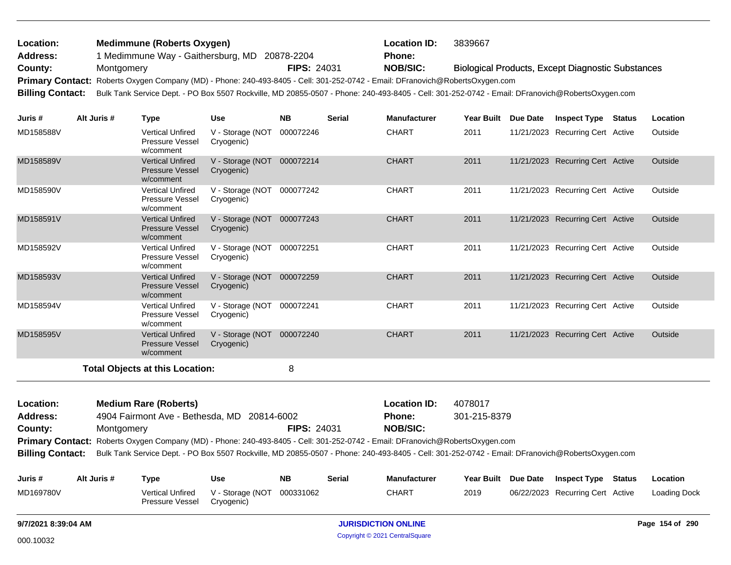| Location:               | <b>Medimmune (Roberts Oxygen)</b>                                                                                             |                    | <b>Location ID:</b> | 3839667                                                                                                                                         |
|-------------------------|-------------------------------------------------------------------------------------------------------------------------------|--------------------|---------------------|-------------------------------------------------------------------------------------------------------------------------------------------------|
| <b>Address:</b>         | 1 Medimmune Way - Gaithersburg, MD 20878-2204                                                                                 |                    | <b>Phone:</b>       |                                                                                                                                                 |
| County:                 | Montgomery                                                                                                                    | <b>FIPS: 24031</b> | <b>NOB/SIC:</b>     | <b>Biological Products, Except Diagnostic Substances</b>                                                                                        |
|                         | Primary Contact: Roberts Oxygen Company (MD) - Phone: 240-493-8405 - Cell: 301-252-0742 - Email: DFranovich@RobertsOxygen.com |                    |                     |                                                                                                                                                 |
| <b>Billing Contact:</b> |                                                                                                                               |                    |                     | Bulk Tank Service Dept. - PO Box 5507 Rockville, MD 20855-0507 - Phone: 240-493-8405 - Cell: 301-252-0742 - Email: DFranovich@RobertsOxygen.com |
|                         |                                                                                                                               |                    |                     |                                                                                                                                                 |

| Juris#    | Alt Juris # | Type                                                           | <b>Use</b>                               | <b>NB</b> | <b>Serial</b> | <b>Manufacturer</b> | <b>Year Built</b> | Due Date | <b>Inspect Type</b>              | Status | Location |
|-----------|-------------|----------------------------------------------------------------|------------------------------------------|-----------|---------------|---------------------|-------------------|----------|----------------------------------|--------|----------|
| MD158588V |             | <b>Vertical Unfired</b><br>Pressure Vessel<br>w/comment        | V - Storage (NOT<br>Cryogenic)           | 000072246 |               | <b>CHART</b>        | 2011              |          | 11/21/2023 Recurring Cert Active |        | Outside  |
| MD158589V |             | <b>Vertical Unfired</b><br><b>Pressure Vessel</b><br>w/comment | V - Storage (NOT 000072214<br>Cryogenic) |           |               | <b>CHART</b>        | 2011              |          | 11/21/2023 Recurring Cert Active |        | Outside  |
| MD158590V |             | <b>Vertical Unfired</b><br>Pressure Vessel<br>w/comment        | V - Storage (NOT 000077242<br>Cryogenic) |           |               | <b>CHART</b>        | 2011              |          | 11/21/2023 Recurring Cert Active |        | Outside  |
| MD158591V |             | <b>Vertical Unfired</b><br><b>Pressure Vessel</b><br>w/comment | V - Storage (NOT<br>Cryogenic)           | 000077243 |               | <b>CHART</b>        | 2011              |          | 11/21/2023 Recurring Cert Active |        | Outside  |
| MD158592V |             | <b>Vertical Unfired</b><br>Pressure Vessel<br>w/comment        | V - Storage (NOT<br>Cryogenic)           | 000072251 |               | <b>CHART</b>        | 2011              |          | 11/21/2023 Recurring Cert Active |        | Outside  |
| MD158593V |             | <b>Vertical Unfired</b><br><b>Pressure Vessel</b><br>w/comment | V - Storage (NOT<br>Cryogenic)           | 000072259 |               | <b>CHART</b>        | 2011              |          | 11/21/2023 Recurring Cert Active |        | Outside  |
| MD158594V |             | <b>Vertical Unfired</b><br>Pressure Vessel<br>w/comment        | V - Storage (NOT<br>Cryogenic)           | 000072241 |               | <b>CHART</b>        | 2011              |          | 11/21/2023 Recurring Cert Active |        | Outside  |
| MD158595V |             | <b>Vertical Unfired</b><br><b>Pressure Vessel</b><br>w/comment | V - Storage (NOT<br>Cryogenic)           | 000072240 |               | <b>CHART</b>        | 2011              |          | 11/21/2023 Recurring Cert Active |        | Outside  |
|           |             | <b>Total Objects at this Location:</b>                         |                                          | 8         |               |                     |                   |          |                                  |        |          |
| Location: |             | Madium Para (Poharte)                                          |                                          |           |               | Location ID:        | <b>A078017</b>    |          |                                  |        |          |

| Location:       | <b>Medium Rare (Roberts)</b>                                                                                                  |                    | <b>Location ID:</b> | 4078017                                                                                                                                                          |
|-----------------|-------------------------------------------------------------------------------------------------------------------------------|--------------------|---------------------|------------------------------------------------------------------------------------------------------------------------------------------------------------------|
| <b>Address:</b> | 4904 Fairmont Ave - Bethesda, MD 20814-6002                                                                                   |                    | <b>Phone:</b>       | 301-215-8379                                                                                                                                                     |
| County:         | Montgomery                                                                                                                    | <b>FIPS: 24031</b> | <b>NOB/SIC:</b>     |                                                                                                                                                                  |
|                 | Primary Contact: Roberts Oxygen Company (MD) - Phone: 240-493-8405 - Cell: 301-252-0742 - Email: DFranovich@RobertsOxygen.com |                    |                     |                                                                                                                                                                  |
|                 |                                                                                                                               |                    |                     | Billing Contact: Bulk Tank Service Dept. - PO Box 5507 Rockville, MD 20855-0507 - Phone: 240-493-8405 - Cell: 301-252-0742 - Email: DFranovich@RobertsOxygen.com |
|                 |                                                                                                                               |                    |                     |                                                                                                                                                                  |

| Juris #   | Alt Juris # | Type                                | Use                                      | <b>NB</b> | Serial | <b>Manufacturer</b> |      | Year Built Due Date Inspect Type | Status | Location     |
|-----------|-------------|-------------------------------------|------------------------------------------|-----------|--------|---------------------|------|----------------------------------|--------|--------------|
| MD169780V |             | Vertical Unfired<br>Pressure Vessel | V - Storage (NOT 000331062<br>Cryogenic) |           |        | CHART               | 2019 | 06/22/2023 Recurring Cert Active |        | Loading Dock |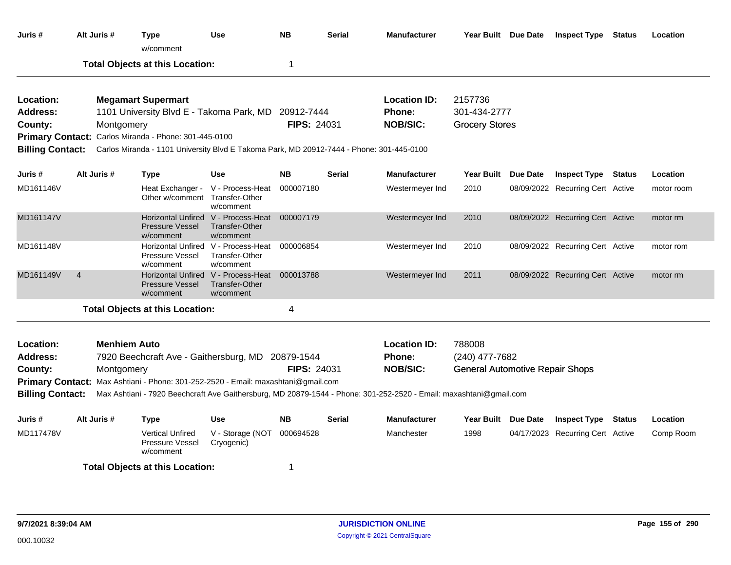| Juris #                                 |                                                                                                                                                                                                                                                                                | Alt Juris #                       | <b>Type</b><br>w/comment                                                          | <b>Use</b>                                                         | <b>NB</b>          | <b>Serial</b> | <b>Manufacturer</b>                                                                                                |                                                                    | Year Built Due Date | <b>Inspect Type Status</b>       |        | Location   |
|-----------------------------------------|--------------------------------------------------------------------------------------------------------------------------------------------------------------------------------------------------------------------------------------------------------------------------------|-----------------------------------|-----------------------------------------------------------------------------------|--------------------------------------------------------------------|--------------------|---------------|--------------------------------------------------------------------------------------------------------------------|--------------------------------------------------------------------|---------------------|----------------------------------|--------|------------|
|                                         |                                                                                                                                                                                                                                                                                |                                   | <b>Total Objects at this Location:</b>                                            |                                                                    | 1                  |               |                                                                                                                    |                                                                    |                     |                                  |        |            |
| Location:<br><b>Address:</b><br>County: | <b>Megamart Supermart</b><br>1101 University Blvd E - Takoma Park, MD 20912-7444<br>Montgomery<br>Primary Contact: Carlos Miranda - Phone: 301-445-0100<br><b>Billing Contact:</b><br>Carlos Miranda - 1101 University Blvd E Takoma Park, MD 20912-7444 - Phone: 301-445-0100 |                                   |                                                                                   |                                                                    | <b>FIPS: 24031</b> |               | <b>Location ID:</b><br>Phone:<br><b>NOB/SIC:</b>                                                                   | 2157736<br>301-434-2777<br><b>Grocery Stores</b>                   |                     |                                  |        |            |
|                                         |                                                                                                                                                                                                                                                                                |                                   |                                                                                   |                                                                    |                    |               |                                                                                                                    |                                                                    |                     |                                  |        |            |
| Juris #                                 |                                                                                                                                                                                                                                                                                | Alt Juris #                       | <b>Type</b>                                                                       | <b>Use</b>                                                         | <b>NB</b>          | <b>Serial</b> | <b>Manufacturer</b>                                                                                                |                                                                    | Year Built Due Date | <b>Inspect Type Status</b>       |        | Location   |
| MD161146V                               |                                                                                                                                                                                                                                                                                |                                   | Heat Exchanger -<br>Other w/comment                                               | V - Process-Heat<br>Transfer-Other<br>w/comment                    | 000007180          |               | Westermeyer Ind                                                                                                    | 2010                                                               |                     | 08/09/2022 Recurring Cert Active |        | motor room |
| MD161147V                               |                                                                                                                                                                                                                                                                                |                                   | <b>Pressure Vessel</b><br>w/comment                                               | Horizontal Unfired V - Process-Heat<br>Transfer-Other<br>w/comment | 000007179          |               | Westermeyer Ind                                                                                                    | 2010                                                               |                     | 08/09/2022 Recurring Cert Active |        | motor rm   |
| MD161148V                               |                                                                                                                                                                                                                                                                                |                                   | Pressure Vessel<br>w/comment                                                      | Horizontal Unfired V - Process-Heat<br>Transfer-Other<br>w/comment | 000006854          |               | Westermeyer Ind                                                                                                    | 2010                                                               |                     | 08/09/2022 Recurring Cert Active |        | motor rom  |
| MD161149V                               | $\overline{4}$                                                                                                                                                                                                                                                                 |                                   | <b>Horizontal Unfired</b><br><b>Pressure Vessel</b><br>w/comment                  | V - Process-Heat<br>Transfer-Other<br>w/comment                    | 000013788          |               | Westermeyer Ind                                                                                                    | 2011                                                               |                     | 08/09/2022 Recurring Cert Active |        | motor rm   |
|                                         |                                                                                                                                                                                                                                                                                |                                   | <b>Total Objects at this Location:</b>                                            |                                                                    | 4                  |               |                                                                                                                    |                                                                    |                     |                                  |        |            |
| Location:<br><b>Address:</b><br>County: |                                                                                                                                                                                                                                                                                | <b>Menhiem Auto</b><br>Montgomery | 7920 Beechcraft Ave - Gaithersburg, MD 20879-1544                                 |                                                                    | <b>FIPS: 24031</b> |               | <b>Location ID:</b><br>Phone:<br><b>NOB/SIC:</b>                                                                   | 788008<br>(240) 477-7682<br><b>General Automotive Repair Shops</b> |                     |                                  |        |            |
| <b>Billing Contact:</b>                 |                                                                                                                                                                                                                                                                                |                                   | Primary Contact: Max Ashtiani - Phone: 301-252-2520 - Email: maxashtani@gmail.com |                                                                    |                    |               | Max Ashtiani - 7920 Beechcraft Ave Gaithersburg, MD 20879-1544 - Phone: 301-252-2520 - Email: maxashtani@gmail.com |                                                                    |                     |                                  |        |            |
| Juris #                                 |                                                                                                                                                                                                                                                                                | Alt Juris #                       | Type                                                                              | <b>Use</b>                                                         | NΒ                 | <b>Serial</b> | <b>Manufacturer</b>                                                                                                |                                                                    | Year Built Due Date | <b>Inspect Type</b>              | Status | Location   |
| MD117478V                               |                                                                                                                                                                                                                                                                                |                                   | <b>Vertical Unfired</b><br>Pressure Vessel<br>w/comment                           | V - Storage (NOT<br>Cryogenic)                                     | 000694528          |               | Manchester                                                                                                         | 1998                                                               |                     | 04/17/2023 Recurring Cert Active |        | Comp Room  |
|                                         |                                                                                                                                                                                                                                                                                |                                   | <b>Total Objects at this Location:</b>                                            |                                                                    | 1                  |               |                                                                                                                    |                                                                    |                     |                                  |        |            |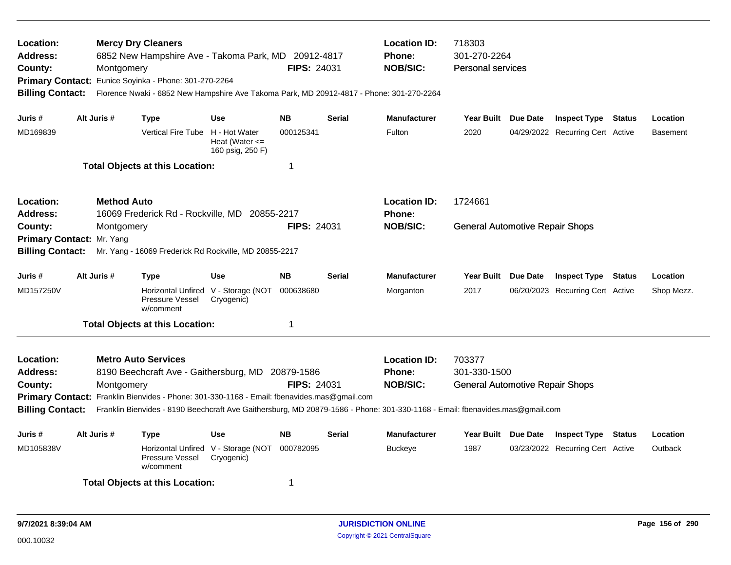| Location:<br><b>Address:</b><br>County:<br><b>Billing Contact:</b> |                                                                                             | Montgomery         | <b>Mercy Dry Cleaners</b><br>6852 New Hampshire Ave - Takoma Park, MD 20912-4817<br>Primary Contact: Eunice Soyinka - Phone: 301-270-2264<br>Florence Nwaki - 6852 New Hampshire Ave Takoma Park, MD 20912-4817 - Phone: 301-270-2264 |                                                         | <b>FIPS: 24031</b> |               | <b>Location ID:</b><br><b>Phone:</b><br><b>NOB/SIC:</b>                                                                      | 718303<br>301-270-2264<br><b>Personal services</b> |  |                                  |               |            |
|--------------------------------------------------------------------|---------------------------------------------------------------------------------------------|--------------------|---------------------------------------------------------------------------------------------------------------------------------------------------------------------------------------------------------------------------------------|---------------------------------------------------------|--------------------|---------------|------------------------------------------------------------------------------------------------------------------------------|----------------------------------------------------|--|----------------------------------|---------------|------------|
| Juris #                                                            |                                                                                             | Alt Juris #        | <b>Type</b>                                                                                                                                                                                                                           | <b>Use</b>                                              | <b>NB</b>          | <b>Serial</b> | <b>Manufacturer</b>                                                                                                          | Year Built Due Date                                |  | <b>Inspect Type Status</b>       |               | Location   |
| MD169839                                                           |                                                                                             |                    | <b>Vertical Fire Tube</b>                                                                                                                                                                                                             | H - Hot Water<br>Heat (Water $\leq$<br>160 psig, 250 F) | 000125341          |               | Fulton                                                                                                                       | 2020                                               |  | 04/29/2022 Recurring Cert Active |               | Basement   |
|                                                                    |                                                                                             |                    | <b>Total Objects at this Location:</b>                                                                                                                                                                                                |                                                         | 1                  |               |                                                                                                                              |                                                    |  |                                  |               |            |
| Location:<br><b>Address:</b>                                       |                                                                                             | <b>Method Auto</b> | 16069 Frederick Rd - Rockville, MD 20855-2217                                                                                                                                                                                         |                                                         |                    |               | <b>Location ID:</b><br><b>Phone:</b>                                                                                         | 1724661                                            |  |                                  |               |            |
| County:<br>Primary Contact: Mr. Yang<br><b>Billing Contact:</b>    |                                                                                             | Montgomery         | Mr. Yang - 16069 Frederick Rd Rockville, MD 20855-2217                                                                                                                                                                                |                                                         | <b>FIPS: 24031</b> |               | <b>NOB/SIC:</b>                                                                                                              | <b>General Automotive Repair Shops</b>             |  |                                  |               |            |
| Juris #                                                            |                                                                                             | Alt Juris #        | <b>Type</b>                                                                                                                                                                                                                           | <b>Use</b>                                              | <b>NB</b>          | <b>Serial</b> | <b>Manufacturer</b>                                                                                                          | Year Built Due Date                                |  | <b>Inspect Type Status</b>       |               | Location   |
| MD157250V                                                          |                                                                                             |                    | Pressure Vessel<br>w/comment                                                                                                                                                                                                          | Horizontal Unfired V - Storage (NOT<br>Cryogenic)       | 000638680          |               | Morganton                                                                                                                    | 2017                                               |  | 06/20/2023 Recurring Cert Active |               | Shop Mezz. |
|                                                                    |                                                                                             |                    | <b>Total Objects at this Location:</b>                                                                                                                                                                                                |                                                         | 1                  |               |                                                                                                                              |                                                    |  |                                  |               |            |
| Location:                                                          |                                                                                             |                    | <b>Metro Auto Services</b>                                                                                                                                                                                                            |                                                         |                    |               | <b>Location ID:</b>                                                                                                          | 703377                                             |  |                                  |               |            |
| <b>Address:</b>                                                    |                                                                                             |                    | 8190 Beechcraft Ave - Gaithersburg, MD 20879-1586                                                                                                                                                                                     |                                                         |                    |               | <b>Phone:</b>                                                                                                                | 301-330-1500                                       |  |                                  |               |            |
| County:                                                            |                                                                                             | Montgomery         |                                                                                                                                                                                                                                       |                                                         | <b>FIPS: 24031</b> |               | <b>NOB/SIC:</b>                                                                                                              | <b>General Automotive Repair Shops</b>             |  |                                  |               |            |
|                                                                    | Primary Contact: Franklin Bienvides - Phone: 301-330-1168 - Email: fbenavides.mas@gmail.com |                    |                                                                                                                                                                                                                                       |                                                         |                    |               |                                                                                                                              |                                                    |  |                                  |               |            |
| <b>Billing Contact:</b>                                            |                                                                                             |                    |                                                                                                                                                                                                                                       |                                                         |                    |               | Franklin Bienvides - 8190 Beechcraft Ave Gaithersburg, MD 20879-1586 - Phone: 301-330-1168 - Email: fbenavides.mas@gmail.com |                                                    |  |                                  |               |            |
| Juris #                                                            |                                                                                             | Alt Juris #        | Type                                                                                                                                                                                                                                  | <b>Use</b>                                              | <b>NB</b>          | <b>Serial</b> | <b>Manufacturer</b>                                                                                                          | Year Built Due Date                                |  | <b>Inspect Type</b>              | <b>Status</b> | Location   |
| MD105838V                                                          |                                                                                             |                    | Horizontal Unfired<br><b>Pressure Vessel</b><br>w/comment                                                                                                                                                                             | V - Storage (NOT<br>Cryogenic)                          | 000782095          |               | <b>Buckeye</b>                                                                                                               | 1987                                               |  | 03/23/2022 Recurring Cert Active |               | Outback    |
|                                                                    |                                                                                             |                    | <b>Total Objects at this Location:</b>                                                                                                                                                                                                |                                                         | 1                  |               |                                                                                                                              |                                                    |  |                                  |               |            |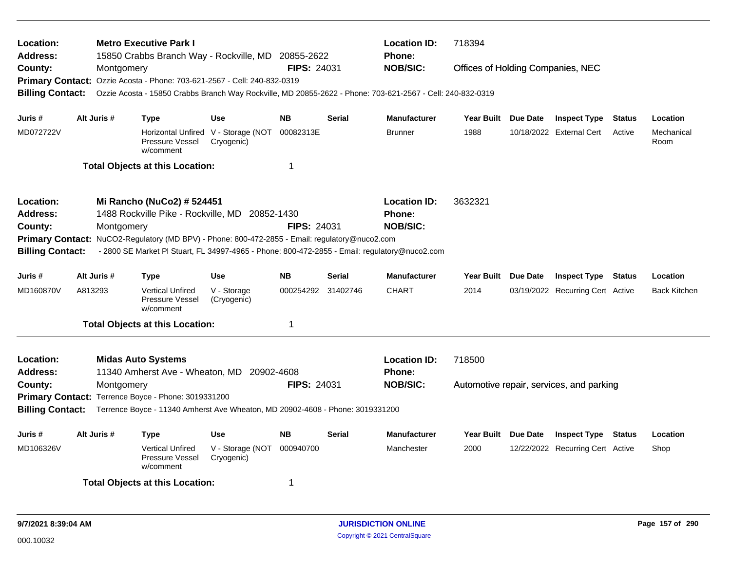| Location:<br><b>Address:</b>                              |             | <b>Metro Executive Park I</b><br>15850 Crabbs Branch Way - Rockville, MD 20855-2622                                                  |                                                   |                    |               | <b>Location ID:</b><br><b>Phone:</b> | 718394                            |          |                                          |               |                     |
|-----------------------------------------------------------|-------------|--------------------------------------------------------------------------------------------------------------------------------------|---------------------------------------------------|--------------------|---------------|--------------------------------------|-----------------------------------|----------|------------------------------------------|---------------|---------------------|
| County:                                                   | Montgomery  |                                                                                                                                      |                                                   | <b>FIPS: 24031</b> |               | <b>NOB/SIC:</b>                      | Offices of Holding Companies, NEC |          |                                          |               |                     |
|                                                           |             | Primary Contact: Ozzie Acosta - Phone: 703-621-2567 - Cell: 240-832-0319                                                             |                                                   |                    |               |                                      |                                   |          |                                          |               |                     |
| <b>Billing Contact:</b>                                   |             | Ozzie Acosta - 15850 Crabbs Branch Way Rockville, MD 20855-2622 - Phone: 703-621-2567 - Cell: 240-832-0319                           |                                                   |                    |               |                                      |                                   |          |                                          |               |                     |
| Juris #                                                   | Alt Juris # | <b>Type</b>                                                                                                                          | <b>Use</b>                                        | <b>NB</b>          | <b>Serial</b> | <b>Manufacturer</b>                  | <b>Year Built</b>                 | Due Date | <b>Inspect Type</b>                      | <b>Status</b> | Location            |
| MD072722V                                                 |             | Pressure Vessel<br>w/comment                                                                                                         | Horizontal Unfired V - Storage (NOT<br>Cryogenic) | 00082313E          |               | <b>Brunner</b>                       | 1988                              |          | 10/18/2022 External Cert                 | Active        | Mechanical<br>Room  |
|                                                           |             | <b>Total Objects at this Location:</b>                                                                                               |                                                   | $\mathbf 1$        |               |                                      |                                   |          |                                          |               |                     |
| Location:                                                 |             | Mi Rancho (NuCo2) # 524451                                                                                                           |                                                   |                    |               | <b>Location ID:</b>                  | 3632321                           |          |                                          |               |                     |
| <b>Address:</b>                                           |             | 1488 Rockville Pike - Rockville, MD 20852-1430                                                                                       |                                                   |                    |               | <b>Phone:</b>                        |                                   |          |                                          |               |                     |
| County:                                                   | Montgomery  |                                                                                                                                      |                                                   | <b>FIPS: 24031</b> |               | <b>NOB/SIC:</b>                      |                                   |          |                                          |               |                     |
| <b>Primary Contact:</b>                                   |             | NuCO2-Regulatory (MD BPV) - Phone: 800-472-2855 - Email: regulatory@nuco2.com                                                        |                                                   |                    |               |                                      |                                   |          |                                          |               |                     |
| <b>Billing Contact:</b>                                   |             | - 2800 SE Market PI Stuart, FL 34997-4965 - Phone: 800-472-2855 - Email: regulatory@nuco2.com                                        |                                                   |                    |               |                                      |                                   |          |                                          |               |                     |
| Alt Juris #<br><b>NB</b><br><b>Type</b><br>Use<br>Juris # |             |                                                                                                                                      |                                                   |                    | Serial        | <b>Manufacturer</b>                  | Year Built                        | Due Date | <b>Inspect Type</b>                      | Status        | Location            |
| MD160870V                                                 | A813293     | <b>Vertical Unfired</b><br><b>Pressure Vessel</b><br>w/comment                                                                       | V - Storage<br>(Cryogenic)                        | 000254292          | 31402746      | <b>CHART</b>                         | 2014                              |          | 03/19/2022 Recurring Cert Active         |               | <b>Back Kitchen</b> |
|                                                           |             | <b>Total Objects at this Location:</b>                                                                                               |                                                   | 1                  |               |                                      |                                   |          |                                          |               |                     |
| Location:                                                 |             | <b>Midas Auto Systems</b>                                                                                                            |                                                   |                    |               | <b>Location ID:</b>                  | 718500                            |          |                                          |               |                     |
| <b>Address:</b>                                           |             | 11340 Amherst Ave - Wheaton, MD 20902-4608                                                                                           |                                                   |                    |               | <b>Phone:</b>                        |                                   |          |                                          |               |                     |
| County:                                                   | Montgomery  |                                                                                                                                      |                                                   | <b>FIPS: 24031</b> |               | <b>NOB/SIC:</b>                      |                                   |          | Automotive repair, services, and parking |               |                     |
| <b>Billing Contact:</b>                                   |             | Primary Contact: Terrence Boyce - Phone: 3019331200<br>Terrence Boyce - 11340 Amherst Ave Wheaton, MD 20902-4608 - Phone: 3019331200 |                                                   |                    |               |                                      |                                   |          |                                          |               |                     |
|                                                           |             |                                                                                                                                      |                                                   |                    |               |                                      |                                   |          |                                          |               |                     |
| Juris #                                                   | Alt Juris # | Type                                                                                                                                 | <b>Use</b>                                        | <b>NB</b>          | <b>Serial</b> | <b>Manufacturer</b>                  | <b>Year Built</b>                 | Due Date | <b>Inspect Type</b>                      | Status        | Location            |
| MD106326V                                                 |             | <b>Vertical Unfired</b><br>Pressure Vessel<br>w/comment                                                                              | V - Storage (NOT<br>Cryogenic)                    | 000940700          |               | Manchester                           | 2000                              |          | 12/22/2022 Recurring Cert Active         |               | Shop                |
|                                                           |             | <b>Total Objects at this Location:</b>                                                                                               |                                                   | 1                  |               |                                      |                                   |          |                                          |               |                     |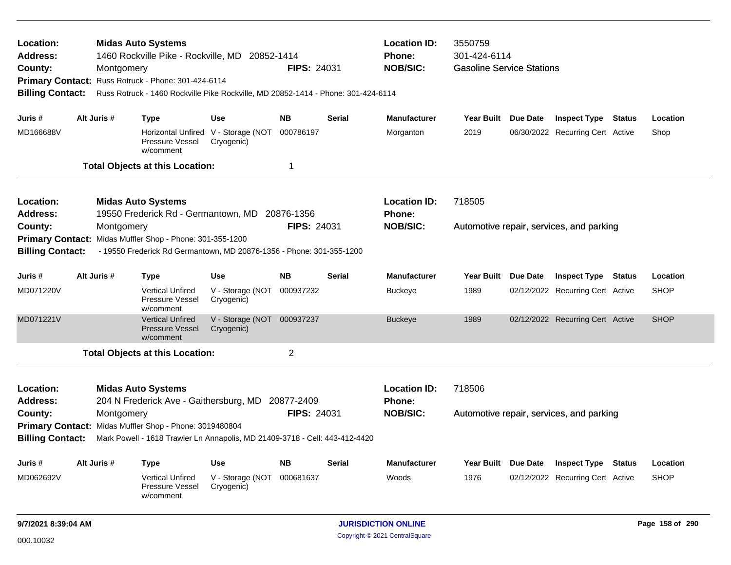| Location:<br><b>Address:</b><br>County:<br>Primary Contact: Russ Rotruck - Phone: 301-424-6114<br><b>Billing Contact:</b>                                                                                                                                                                                                          |             | Montgomery | <b>Midas Auto Systems</b><br>1460 Rockville Pike - Rockville, MD 20852-1414<br>Russ Rotruck - 1460 Rockville Pike Rockville, MD 20852-1414 - Phone: 301-424-6114                     |                                                                 | <b>FIPS: 24031</b>               |                                                  | <b>Location ID:</b><br>Phone:<br><b>NOB/SIC:</b> | 3550759<br>301-424-6114<br><b>Gasoline Service Stations</b>                                   |                                          |                                                                |        |                         |  |
|------------------------------------------------------------------------------------------------------------------------------------------------------------------------------------------------------------------------------------------------------------------------------------------------------------------------------------|-------------|------------|--------------------------------------------------------------------------------------------------------------------------------------------------------------------------------------|-----------------------------------------------------------------|----------------------------------|--------------------------------------------------|--------------------------------------------------|-----------------------------------------------------------------------------------------------|------------------------------------------|----------------------------------------------------------------|--------|-------------------------|--|
| Juris #<br>MD166688V                                                                                                                                                                                                                                                                                                               | Alt Juris # |            | <b>Type</b><br>Pressure Vessel<br>w/comment<br><b>Total Objects at this Location:</b>                                                                                                | <b>Use</b><br>Horizontal Unfired V - Storage (NOT<br>Cryogenic) | <b>NB</b><br>000786197<br>1      | <b>Serial</b>                                    | <b>Manufacturer</b><br>Morganton                 | Year Built Due Date<br>2019                                                                   |                                          | <b>Inspect Type</b><br>06/30/2022 Recurring Cert Active        | Status | Location<br>Shop        |  |
| Location:<br>Address:<br>County:<br><b>Primary Contact:</b><br><b>Billing Contact:</b>                                                                                                                                                                                                                                             |             | Montgomery | <b>Midas Auto Systems</b><br>19550 Frederick Rd - Germantown, MD<br>Midas Muffler Shop - Phone: 301-355-1200<br>- 19550 Frederick Rd Germantown, MD 20876-1356 - Phone: 301-355-1200 |                                                                 | 20876-1356<br><b>FIPS: 24031</b> |                                                  | <b>Location ID:</b><br>Phone:<br><b>NOB/SIC:</b> | 718505                                                                                        |                                          | Automotive repair, services, and parking                       |        |                         |  |
| Juris #<br>MD071220V                                                                                                                                                                                                                                                                                                               | Alt Juris # |            | <b>Type</b><br><b>Vertical Unfired</b><br>Pressure Vessel<br>w/comment                                                                                                               | <b>Use</b><br>V - Storage (NOT<br>Cryogenic)                    | <b>NB</b><br>000937232           | <b>Serial</b>                                    | <b>Manufacturer</b><br><b>Buckeye</b>            | Year Built Due Date<br><b>Inspect Type Status</b><br>02/12/2022 Recurring Cert Active<br>1989 |                                          |                                                                |        | Location<br><b>SHOP</b> |  |
| MD071221V                                                                                                                                                                                                                                                                                                                          |             |            | <b>Vertical Unfired</b><br><b>Pressure Vessel</b><br>w/comment<br><b>Total Objects at this Location:</b>                                                                             | V - Storage (NOT 000937237<br>Cryogenic)                        | $\overline{c}$                   |                                                  | <b>Buckeye</b>                                   | 1989                                                                                          |                                          | 02/12/2022 Recurring Cert Active                               |        | <b>SHOP</b>             |  |
| Location:<br><b>Midas Auto Systems</b><br><b>Address:</b><br>204 N Frederick Ave - Gaithersburg, MD 20877-2409<br><b>FIPS: 24031</b><br>County:<br>Montgomery<br>Primary Contact: Midas Muffler Shop - Phone: 3019480804<br><b>Billing Contact:</b><br>Mark Powell - 1618 Trawler Ln Annapolis, MD 21409-3718 - Cell: 443-412-4420 |             |            |                                                                                                                                                                                      |                                                                 |                                  | <b>Location ID:</b><br>Phone:<br><b>NOB/SIC:</b> | 718506                                           |                                                                                               | Automotive repair, services, and parking |                                                                |        |                         |  |
| Juris #<br>MD062692V                                                                                                                                                                                                                                                                                                               | Alt Juris # |            | <b>Type</b><br><b>Vertical Unfired</b><br>Pressure Vessel<br>w/comment                                                                                                               | <b>Use</b><br>V - Storage (NOT<br>Cryogenic)                    | <b>NB</b><br>000681637           | Serial                                           | <b>Manufacturer</b><br>Woods                     | Year Built Due Date<br>1976                                                                   |                                          | <b>Inspect Type Status</b><br>02/12/2022 Recurring Cert Active |        | Location<br><b>SHOP</b> |  |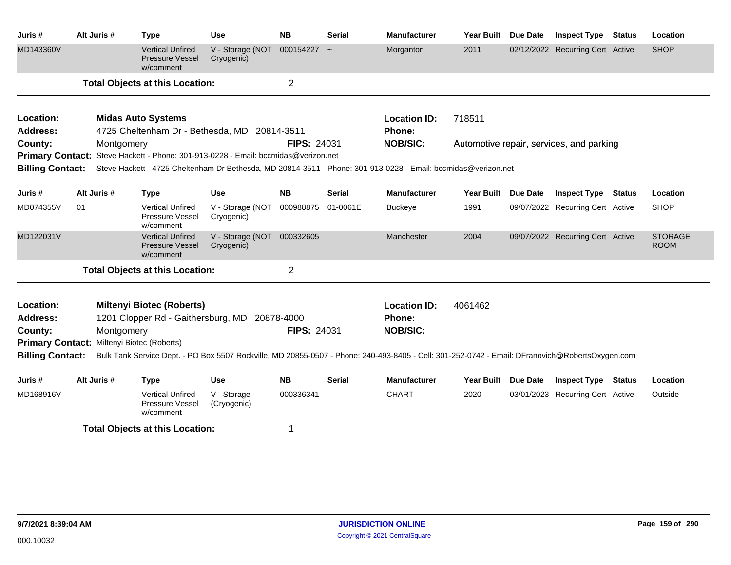| Juris#                  | Alt Juris #                                 | <b>Type</b>                                                                        | <b>Use</b>                               | <b>NB</b>                                                                                                                                       | <b>Serial</b> | <b>Manufacturer</b>                                                                                            | <b>Year Built</b> | <b>Due Date</b> | <b>Inspect Type</b>                      | <b>Status</b> | Location                      |  |
|-------------------------|---------------------------------------------|------------------------------------------------------------------------------------|------------------------------------------|-------------------------------------------------------------------------------------------------------------------------------------------------|---------------|----------------------------------------------------------------------------------------------------------------|-------------------|-----------------|------------------------------------------|---------------|-------------------------------|--|
| MD143360V               |                                             | <b>Vertical Unfired</b><br><b>Pressure Vessel</b><br>w/comment                     | V - Storage (NOT<br>Cryogenic)           | $000154227 -$                                                                                                                                   |               | Morganton                                                                                                      | 2011              |                 | 02/12/2022 Recurring Cert Active         |               | <b>SHOP</b>                   |  |
|                         |                                             | <b>Total Objects at this Location:</b>                                             |                                          | $\overline{2}$                                                                                                                                  |               |                                                                                                                |                   |                 |                                          |               |                               |  |
| Location:               |                                             | <b>Midas Auto Systems</b>                                                          |                                          |                                                                                                                                                 |               | <b>Location ID:</b>                                                                                            | 718511            |                 |                                          |               |                               |  |
| <b>Address:</b>         |                                             | 4725 Cheltenham Dr - Bethesda, MD 20814-3511                                       |                                          |                                                                                                                                                 |               | Phone:                                                                                                         |                   |                 |                                          |               |                               |  |
| County:                 | Montgomery                                  |                                                                                    |                                          | <b>FIPS: 24031</b>                                                                                                                              |               | <b>NOB/SIC:</b>                                                                                                |                   |                 | Automotive repair, services, and parking |               |                               |  |
|                         |                                             | Primary Contact: Steve Hackett - Phone: 301-913-0228 - Email: bccmidas@verizon.net |                                          |                                                                                                                                                 |               |                                                                                                                |                   |                 |                                          |               |                               |  |
| <b>Billing Contact:</b> |                                             |                                                                                    |                                          |                                                                                                                                                 |               | Steve Hackett - 4725 Cheltenham Dr Bethesda, MD 20814-3511 - Phone: 301-913-0228 - Email: bccmidas@verizon.net |                   |                 |                                          |               |                               |  |
| Juris #                 | Alt Juris #                                 | <b>Type</b>                                                                        | <b>Use</b>                               | <b>NB</b>                                                                                                                                       | <b>Serial</b> | <b>Manufacturer</b>                                                                                            | <b>Year Built</b> | <b>Due Date</b> | <b>Inspect Type Status</b>               |               | Location                      |  |
| MD074355V               | 01                                          | <b>Vertical Unfired</b><br>Pressure Vessel<br>w/comment                            | V - Storage (NOT<br>Cryogenic)           | 000988875                                                                                                                                       | 01-0061E      | <b>Buckeye</b>                                                                                                 | 1991              |                 | 09/07/2022 Recurring Cert Active         |               | <b>SHOP</b>                   |  |
| MD122031V               |                                             | <b>Vertical Unfired</b><br>Pressure Vessel<br>w/comment                            | V - Storage (NOT 000332605<br>Cryogenic) |                                                                                                                                                 |               | Manchester                                                                                                     | 2004              |                 | 09/07/2022 Recurring Cert Active         |               | <b>STORAGE</b><br><b>ROOM</b> |  |
|                         |                                             | <b>Total Objects at this Location:</b>                                             |                                          | $\overline{2}$                                                                                                                                  |               |                                                                                                                |                   |                 |                                          |               |                               |  |
| Location:               |                                             | <b>Miltenyi Biotec (Roberts)</b>                                                   |                                          |                                                                                                                                                 |               | <b>Location ID:</b>                                                                                            | 4061462           |                 |                                          |               |                               |  |
| <b>Address:</b>         |                                             | 1201 Clopper Rd - Gaithersburg, MD                                                 |                                          | 20878-4000                                                                                                                                      |               | Phone:                                                                                                         |                   |                 |                                          |               |                               |  |
| County:                 | Montgomery                                  |                                                                                    |                                          | <b>FIPS: 24031</b>                                                                                                                              |               | <b>NOB/SIC:</b>                                                                                                |                   |                 |                                          |               |                               |  |
| <b>Primary Contact:</b> |                                             | Miltenyi Biotec (Roberts)                                                          |                                          |                                                                                                                                                 |               |                                                                                                                |                   |                 |                                          |               |                               |  |
| <b>Billing Contact:</b> |                                             |                                                                                    |                                          | Bulk Tank Service Dept. - PO Box 5507 Rockville, MD 20855-0507 - Phone: 240-493-8405 - Cell: 301-252-0742 - Email: DFranovich@RobertsOxygen.com |               |                                                                                                                |                   |                 |                                          |               |                               |  |
| Juris #                 | Alt Juris #                                 | <b>Type</b>                                                                        | <b>Use</b>                               | <b>NB</b>                                                                                                                                       | <b>Serial</b> | <b>Manufacturer</b>                                                                                            | <b>Year Built</b> | <b>Due Date</b> | <b>Inspect Type Status</b>               |               | Location                      |  |
| MD168916V               |                                             | <b>Vertical Unfired</b><br>Pressure Vessel<br>w/comment                            | V - Storage<br>(Cryogenic)               | 000336341                                                                                                                                       |               | <b>CHART</b>                                                                                                   | 2020              |                 | 03/01/2023 Recurring Cert Active         |               | Outside                       |  |
|                         | <b>Total Objects at this Location:</b><br>1 |                                                                                    |                                          |                                                                                                                                                 |               |                                                                                                                |                   |                 |                                          |               |                               |  |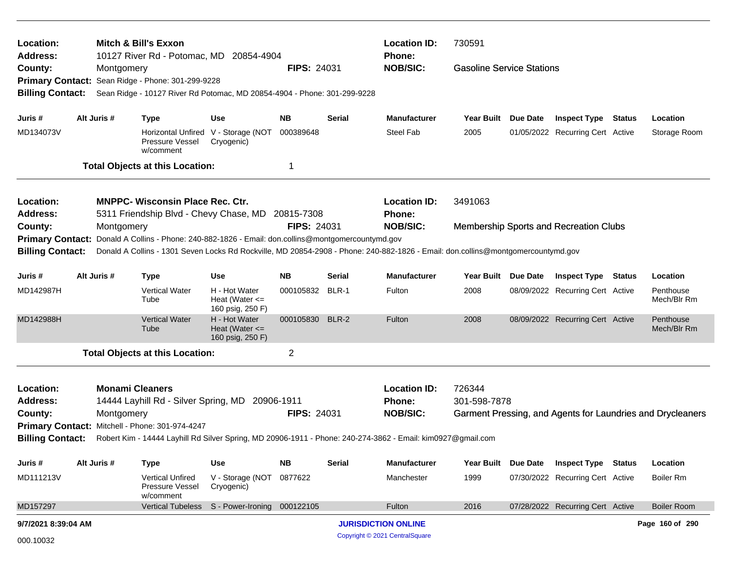| Location:<br><b>Address:</b>       |                                                                                                                                                                                                                                                                   |                                                 | <b>Mitch &amp; Bill's Exxon</b><br>10127 River Rd - Potomac, MD 20854-4904                   |                                                         |                    | <b>Location ID:</b><br><b>Phone:</b> | 730591                                                                                                      |                                  |                 |                                        |  |                                                            |
|------------------------------------|-------------------------------------------------------------------------------------------------------------------------------------------------------------------------------------------------------------------------------------------------------------------|-------------------------------------------------|----------------------------------------------------------------------------------------------|---------------------------------------------------------|--------------------|--------------------------------------|-------------------------------------------------------------------------------------------------------------|----------------------------------|-----------------|----------------------------------------|--|------------------------------------------------------------|
| County:<br><b>Primary Contact:</b> |                                                                                                                                                                                                                                                                   | Montgomery                                      | Sean Ridge - Phone: 301-299-9228                                                             |                                                         | <b>FIPS: 24031</b> |                                      | <b>NOB/SIC:</b>                                                                                             | <b>Gasoline Service Stations</b> |                 |                                        |  |                                                            |
| <b>Billing Contact:</b>            |                                                                                                                                                                                                                                                                   |                                                 | Sean Ridge - 10127 River Rd Potomac, MD 20854-4904 - Phone: 301-299-9228                     |                                                         |                    |                                      |                                                                                                             |                                  |                 |                                        |  |                                                            |
| Juris #                            |                                                                                                                                                                                                                                                                   | Alt Juris #                                     | <b>Type</b>                                                                                  | <b>Use</b>                                              | <b>NB</b>          | Serial                               | <b>Manufacturer</b>                                                                                         | <b>Year Built</b>                | Due Date        | <b>Inspect Type Status</b>             |  | Location                                                   |
| MD134073V                          |                                                                                                                                                                                                                                                                   |                                                 | <b>Pressure Vessel</b><br>w/comment                                                          | Horizontal Unfired V - Storage (NOT<br>Cryogenic)       | 000389648          |                                      | Steel Fab                                                                                                   | 2005                             |                 | 01/05/2022 Recurring Cert Active       |  | Storage Room                                               |
|                                    |                                                                                                                                                                                                                                                                   |                                                 | <b>Total Objects at this Location:</b>                                                       |                                                         | 1                  |                                      |                                                                                                             |                                  |                 |                                        |  |                                                            |
| Location:<br>Address:              |                                                                                                                                                                                                                                                                   |                                                 | <b>MNPPC- Wisconsin Place Rec. Ctr.</b><br>5311 Friendship Blvd - Chevy Chase, MD 20815-7308 |                                                         |                    |                                      | <b>Location ID:</b><br><b>Phone:</b>                                                                        | 3491063                          |                 |                                        |  |                                                            |
| County:                            |                                                                                                                                                                                                                                                                   | Montgomery                                      |                                                                                              |                                                         | <b>FIPS: 24031</b> |                                      | <b>NOB/SIC:</b>                                                                                             |                                  |                 | Membership Sports and Recreation Clubs |  |                                                            |
|                                    | Primary Contact: Donald A Collins - Phone: 240-882-1826 - Email: don.collins@montgomercountymd.gov<br>Donald A Collins - 1301 Seven Locks Rd Rockville, MD 20854-2908 - Phone: 240-882-1826 - Email: don.collins@montgomercountymd.gov<br><b>Billing Contact:</b> |                                                 |                                                                                              |                                                         |                    |                                      |                                                                                                             |                                  |                 |                                        |  |                                                            |
|                                    |                                                                                                                                                                                                                                                                   |                                                 |                                                                                              |                                                         |                    |                                      |                                                                                                             |                                  |                 |                                        |  |                                                            |
| Juris #                            |                                                                                                                                                                                                                                                                   | Alt Juris #                                     | <b>Type</b>                                                                                  | Use                                                     | <b>NB</b>          | Serial                               | <b>Manufacturer</b>                                                                                         | <b>Year Built</b>                | Due Date        | <b>Inspect Type Status</b>             |  | Location                                                   |
| MD142987H                          |                                                                                                                                                                                                                                                                   |                                                 | <b>Vertical Water</b><br>Tube                                                                | H - Hot Water<br>Heat (Water $\leq$<br>160 psig, 250 F) | 000105832          | BLR-1                                | Fulton                                                                                                      | 2008                             |                 | 08/09/2022 Recurring Cert Active       |  | Penthouse<br>Mech/Blr Rm                                   |
| MD142988H                          |                                                                                                                                                                                                                                                                   |                                                 | <b>Vertical Water</b><br>Tube                                                                | H - Hot Water<br>Heat (Water $\leq$<br>160 psig, 250 F) | 000105830 BLR-2    |                                      | Fulton                                                                                                      | 2008                             |                 | 08/09/2022 Recurring Cert Active       |  | Penthouse<br>Mech/Blr Rm                                   |
|                                    |                                                                                                                                                                                                                                                                   |                                                 | <b>Total Objects at this Location:</b>                                                       |                                                         | $\overline{2}$     |                                      |                                                                                                             |                                  |                 |                                        |  |                                                            |
| Location:                          |                                                                                                                                                                                                                                                                   | <b>Monami Cleaners</b>                          |                                                                                              |                                                         |                    |                                      | <b>Location ID:</b>                                                                                         | 726344                           |                 |                                        |  |                                                            |
| <b>Address:</b>                    |                                                                                                                                                                                                                                                                   |                                                 | 14444 Layhill Rd - Silver Spring, MD 20906-1911                                              |                                                         |                    |                                      | <b>Phone:</b>                                                                                               | 301-598-7878                     |                 |                                        |  |                                                            |
| County:                            |                                                                                                                                                                                                                                                                   | Montgomery                                      |                                                                                              |                                                         | <b>FIPS: 24031</b> |                                      | <b>NOB/SIC:</b>                                                                                             |                                  |                 |                                        |  | Garment Pressing, and Agents for Laundries and Drycleaners |
|                                    |                                                                                                                                                                                                                                                                   | Primary Contact: Mitchell - Phone: 301-974-4247 |                                                                                              |                                                         |                    |                                      |                                                                                                             |                                  |                 |                                        |  |                                                            |
| <b>Billing Contact:</b>            |                                                                                                                                                                                                                                                                   |                                                 |                                                                                              |                                                         |                    |                                      | Robert Kim - 14444 Layhill Rd Silver Spring, MD 20906-1911 - Phone: 240-274-3862 - Email: kim0927@gmail.com |                                  |                 |                                        |  |                                                            |
| Juris #                            |                                                                                                                                                                                                                                                                   | Alt Juris #                                     | Type                                                                                         | Use                                                     | NB                 | Serial                               | <b>Manufacturer</b>                                                                                         | <b>Year Built</b>                | <b>Due Date</b> | <b>Inspect Type Status</b>             |  | Location                                                   |
| MD111213V                          |                                                                                                                                                                                                                                                                   |                                                 | Vertical Unfired<br>Pressure Vessel<br>w/comment                                             | V - Storage (NOT<br>Cryogenic)                          | 0877622            |                                      | Manchester                                                                                                  | 1999                             |                 | 07/30/2022 Recurring Cert Active       |  | <b>Boiler Rm</b>                                           |
| MD157297                           |                                                                                                                                                                                                                                                                   |                                                 |                                                                                              | Vertical Tubeless S - Power-Ironing                     | 000122105          |                                      | Fulton                                                                                                      | 2016                             |                 | 07/28/2022 Recurring Cert Active       |  | <b>Boiler Room</b>                                         |
| 9/7/2021 8:39:04 AM                |                                                                                                                                                                                                                                                                   |                                                 |                                                                                              |                                                         |                    |                                      | <b>JURISDICTION ONLINE</b>                                                                                  |                                  |                 |                                        |  | Page 160 of 290                                            |
| 000.10032                          |                                                                                                                                                                                                                                                                   |                                                 |                                                                                              |                                                         |                    |                                      | Copyright © 2021 CentralSquare                                                                              |                                  |                 |                                        |  |                                                            |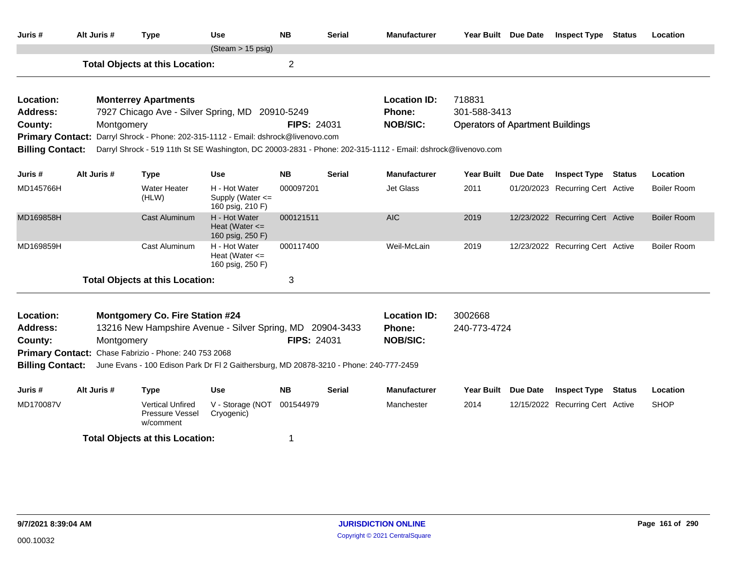| Juris #                 | Alt Juris #                                                                                                                                                                                                                                                                                                                                   | <b>Type</b>                                                       | <b>Use</b>                                            | <b>NB</b>          | <b>Serial</b> | <b>Manufacturer</b> | Year Built Due Date                     |  | <b>Inspect Type Status</b>       |        | Location           |  |  |  |
|-------------------------|-----------------------------------------------------------------------------------------------------------------------------------------------------------------------------------------------------------------------------------------------------------------------------------------------------------------------------------------------|-------------------------------------------------------------------|-------------------------------------------------------|--------------------|---------------|---------------------|-----------------------------------------|--|----------------------------------|--------|--------------------|--|--|--|
|                         |                                                                                                                                                                                                                                                                                                                                               |                                                                   | $(Steam > 15 \text{ psig})$                           |                    |               |                     |                                         |  |                                  |        |                    |  |  |  |
|                         |                                                                                                                                                                                                                                                                                                                                               | <b>Total Objects at this Location:</b>                            |                                                       | $\overline{2}$     |               |                     |                                         |  |                                  |        |                    |  |  |  |
| Location:               |                                                                                                                                                                                                                                                                                                                                               | <b>Monterrey Apartments</b>                                       |                                                       |                    |               | <b>Location ID:</b> | 718831                                  |  |                                  |        |                    |  |  |  |
| <b>Address:</b>         |                                                                                                                                                                                                                                                                                                                                               | 7927 Chicago Ave - Silver Spring, MD 20910-5249                   |                                                       |                    |               | <b>Phone:</b>       | 301-588-3413                            |  |                                  |        |                    |  |  |  |
| County:                 |                                                                                                                                                                                                                                                                                                                                               | Montgomery                                                        |                                                       | <b>FIPS: 24031</b> |               | <b>NOB/SIC:</b>     | <b>Operators of Apartment Buildings</b> |  |                                  |        |                    |  |  |  |
| <b>Primary Contact:</b> |                                                                                                                                                                                                                                                                                                                                               | Darryl Shrock - Phone: 202-315-1112 - Email: dshrock@livenovo.com |                                                       |                    |               |                     |                                         |  |                                  |        |                    |  |  |  |
|                         | <b>Billing Contact:</b><br>Darryl Shrock - 519 11th St SE Washington, DC 20003-2831 - Phone: 202-315-1112 - Email: dshrock@livenovo.com<br>Alt Juris #<br><b>NB</b><br><b>Serial</b><br><b>Manufacturer</b><br><b>Use</b><br>Year Built Due Date<br><b>Inspect Type Status</b><br>Location<br><b>Type</b><br>01/20/2023 Recurring Cert Active |                                                                   |                                                       |                    |               |                     |                                         |  |                                  |        |                    |  |  |  |
| Juris #                 |                                                                                                                                                                                                                                                                                                                                               |                                                                   |                                                       |                    |               |                     |                                         |  |                                  |        |                    |  |  |  |
| MD145766H               |                                                                                                                                                                                                                                                                                                                                               | <b>Water Heater</b><br>(HLW)                                      | H - Hot Water<br>Supply (Water <=<br>160 psig, 210 F) | 000097201          |               | Jet Glass           | 2011                                    |  |                                  |        | <b>Boiler Room</b> |  |  |  |
| MD169858H               |                                                                                                                                                                                                                                                                                                                                               | Cast Aluminum                                                     |                                                       | <b>AIC</b>         | 2019          |                     | 12/23/2022 Recurring Cert Active        |  | <b>Boiler Room</b>               |        |                    |  |  |  |
| MD169859H               |                                                                                                                                                                                                                                                                                                                                               | Cast Aluminum                                                     |                                                       | Weil-McLain        | 2019          |                     | 12/23/2022 Recurring Cert Active        |  | <b>Boiler Room</b>               |        |                    |  |  |  |
|                         |                                                                                                                                                                                                                                                                                                                                               | <b>Total Objects at this Location:</b>                            |                                                       | 3                  |               |                     |                                         |  |                                  |        |                    |  |  |  |
| Location:               |                                                                                                                                                                                                                                                                                                                                               | <b>Montgomery Co. Fire Station #24</b>                            |                                                       |                    |               | <b>Location ID:</b> | 3002668                                 |  |                                  |        |                    |  |  |  |
| <b>Address:</b>         |                                                                                                                                                                                                                                                                                                                                               | 13216 New Hampshire Avenue - Silver Spring, MD 20904-3433         |                                                       |                    |               | Phone:              | 240-773-4724                            |  |                                  |        |                    |  |  |  |
| County:                 |                                                                                                                                                                                                                                                                                                                                               | Montgomery                                                        |                                                       | <b>FIPS: 24031</b> |               | <b>NOB/SIC:</b>     |                                         |  |                                  |        |                    |  |  |  |
|                         |                                                                                                                                                                                                                                                                                                                                               | Primary Contact: Chase Fabrizio - Phone: 240 753 2068             |                                                       |                    |               |                     |                                         |  |                                  |        |                    |  |  |  |
| <b>Billing Contact:</b> | June Evans - 100 Edison Park Dr Fl 2 Gaithersburg, MD 20878-3210 - Phone: 240-777-2459                                                                                                                                                                                                                                                        |                                                                   |                                                       |                    |               |                     |                                         |  |                                  |        |                    |  |  |  |
| Juris #                 | Alt Juris #                                                                                                                                                                                                                                                                                                                                   | <b>Type</b>                                                       | <b>Use</b>                                            | <b>NB</b>          | <b>Serial</b> | <b>Manufacturer</b> | Year Built Due Date                     |  | <b>Inspect Type</b>              | Status | Location           |  |  |  |
| MD170087V               |                                                                                                                                                                                                                                                                                                                                               | <b>Vertical Unfired</b><br>Pressure Vessel<br>w/comment           | V - Storage (NOT 001544979<br>Cryogenic)              |                    |               | Manchester          | 2014                                    |  | 12/15/2022 Recurring Cert Active |        | <b>SHOP</b>        |  |  |  |
|                         | <b>Total Objects at this Location:</b><br>1                                                                                                                                                                                                                                                                                                   |                                                                   |                                                       |                    |               |                     |                                         |  |                                  |        |                    |  |  |  |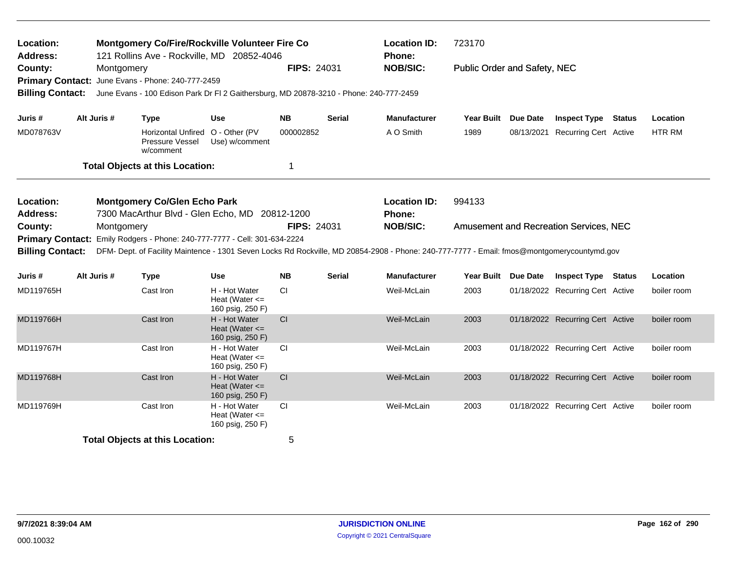| <b>Montgomery Co/Fire/Rockville Volunteer Fire Co</b><br>Location:<br><b>Address:</b><br>121 Rollins Ave - Rockville, MD 20852-4046 |             |                                                                                                                                            |                                                         |                    | <b>Location ID:</b><br>Phone: | 723170                        |                              |                                        |               |
|-------------------------------------------------------------------------------------------------------------------------------------|-------------|--------------------------------------------------------------------------------------------------------------------------------------------|---------------------------------------------------------|--------------------|-------------------------------|-------------------------------|------------------------------|----------------------------------------|---------------|
| County:<br><b>Primary Contact:</b><br><b>Billing Contact:</b>                                                                       | Montgomery  | June Evans - Phone: 240-777-2459<br>June Evans - 100 Edison Park Dr FI 2 Gaithersburg, MD 20878-3210 - Phone: 240-777-2459                 |                                                         | <b>FIPS: 24031</b> |                               | <b>NOB/SIC:</b>               | Public Order and Safety, NEC |                                        |               |
| Juris #                                                                                                                             | Alt Juris # | <b>Type</b>                                                                                                                                | <b>Use</b>                                              | <b>NB</b>          | <b>Serial</b>                 | <b>Manufacturer</b>           | Year Built Due Date          | <b>Inspect Type Status</b>             | Location      |
| MD078763V                                                                                                                           |             | Horizontal Unfired O - Other (PV<br>Pressure Vessel<br>w/comment                                                                           | Use) w/comment                                          | 000002852          |                               | A O Smith                     | 1989                         | 08/13/2021 Recurring Cert Active       | <b>HTR RM</b> |
|                                                                                                                                     |             | <b>Total Objects at this Location:</b>                                                                                                     |                                                         | 1                  |                               |                               |                              |                                        |               |
| Location:<br><b>Address:</b>                                                                                                        |             | <b>Montgomery Co/Glen Echo Park</b><br>7300 MacArthur Blvd - Glen Echo, MD 20812-1200                                                      |                                                         |                    |                               | <b>Location ID:</b><br>Phone: | 994133                       |                                        |               |
| County:<br><b>Primary Contact:</b>                                                                                                  | Montgomery  | Emily Rodgers - Phone: 240-777-7777 - Cell: 301-634-2224                                                                                   |                                                         | <b>FIPS: 24031</b> |                               | <b>NOB/SIC:</b>               |                              | Amusement and Recreation Services, NEC |               |
| <b>Billing Contact:</b>                                                                                                             |             | DFM- Dept. of Facility Maintence - 1301 Seven Locks Rd Rockville, MD 20854-2908 - Phone: 240-777-7777 - Email: fmos@montgomerycountymd.gov |                                                         |                    |                               |                               |                              |                                        |               |
| Juris #                                                                                                                             | Alt Juris # | <b>Type</b>                                                                                                                                | <b>Use</b>                                              | <b>NB</b>          | <b>Serial</b>                 | <b>Manufacturer</b>           | Year Built Due Date          | <b>Inspect Type Status</b>             | Location      |
| MD119765H                                                                                                                           |             | Cast Iron                                                                                                                                  | H - Hot Water<br>Heat (Water $\leq$<br>160 psig, 250 F) | <b>CI</b>          |                               | Weil-McLain                   | 2003                         | 01/18/2022 Recurring Cert Active       | boiler room   |
| MD119766H                                                                                                                           |             | Cast Iron                                                                                                                                  | H - Hot Water<br>Heat (Water $\leq$<br>160 psig, 250 F) | CI                 |                               | Weil-McLain                   | 2003                         | 01/18/2022 Recurring Cert Active       | boiler room   |
| MD119767H                                                                                                                           |             | Cast Iron                                                                                                                                  | H - Hot Water<br>Heat (Water $\leq$<br>160 psig, 250 F) | <b>CI</b>          |                               | Weil-McLain                   | 2003                         | 01/18/2022 Recurring Cert Active       | boiler room   |
| MD119768H                                                                                                                           |             | Cast Iron                                                                                                                                  | H - Hot Water<br>Heat (Water $\leq$<br>160 psig, 250 F) | CI                 |                               | Weil-McLain                   | 2003                         | 01/18/2022 Recurring Cert Active       | boiler room   |
| MD119769H                                                                                                                           |             | Cast Iron                                                                                                                                  | H - Hot Water<br>Heat (Water $\leq$<br>160 psig, 250 F) | <b>CI</b>          |                               | Weil-McLain                   | 2003                         | 01/18/2022 Recurring Cert Active       | boiler room   |
|                                                                                                                                     |             | <b>Total Objects at this Location:</b>                                                                                                     |                                                         | 5                  |                               |                               |                              |                                        |               |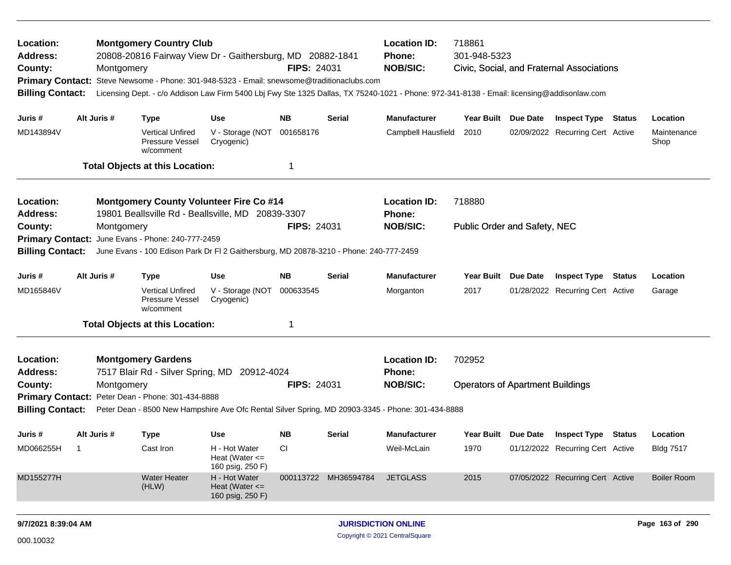| Location:<br><b>Address:</b><br>County:<br><b>Primary Contact:</b><br><b>Billing Contact:</b> |                | Montgomery  | <b>Montgomery Country Club</b><br>20808-20816 Fairway View Dr - Gaithersburg, MD 20882-1841<br>Steve Newsome - Phone: 301-948-5323 - Email: snewsome@traditionaclubs.com |                                                         | <b>FIPS: 24031</b> |                      | 718861<br><b>Location ID:</b><br>301-948-5323<br><b>Phone:</b><br><b>NOB/SIC:</b><br>Civic, Social, and Fraternal Associations<br>Licensing Dept. - c/o Addison Law Firm 5400 Lbj Fwy Ste 1325 Dallas, TX 75240-1021 - Phone: 972-341-8138 - Email: licensing@addisonlaw.com |                                               |          |                                         |                     |
|-----------------------------------------------------------------------------------------------|----------------|-------------|--------------------------------------------------------------------------------------------------------------------------------------------------------------------------|---------------------------------------------------------|--------------------|----------------------|------------------------------------------------------------------------------------------------------------------------------------------------------------------------------------------------------------------------------------------------------------------------------|-----------------------------------------------|----------|-----------------------------------------|---------------------|
| Juris #                                                                                       |                | Alt Juris # | <b>Type</b>                                                                                                                                                              | <b>Use</b>                                              | NB.                | Serial               | <b>Manufacturer</b>                                                                                                                                                                                                                                                          | Year Built Due Date                           |          | <b>Inspect Type Status</b>              | Location            |
| MD143894V                                                                                     |                |             | <b>Vertical Unfired</b><br>Pressure Vessel<br>w/comment                                                                                                                  | V - Storage (NOT<br>Cryogenic)                          | 001658176          |                      | Campbell Hausfield                                                                                                                                                                                                                                                           | 2010                                          |          | 02/09/2022 Recurring Cert Active        | Maintenance<br>Shop |
|                                                                                               |                |             | <b>Total Objects at this Location:</b>                                                                                                                                   |                                                         | -1                 |                      |                                                                                                                                                                                                                                                                              |                                               |          |                                         |                     |
| Location:<br><b>Address:</b><br>County:                                                       |                | Montgomery  | <b>Montgomery County Volunteer Fire Co #14</b><br>19801 Beallsville Rd - Beallsville, MD 20839-3307                                                                      |                                                         | <b>FIPS: 24031</b> |                      | <b>Location ID:</b><br>Phone:<br><b>NOB/SIC:</b>                                                                                                                                                                                                                             | 718880<br><b>Public Order and Safety, NEC</b> |          |                                         |                     |
| <b>Primary Contact:</b>                                                                       |                |             | June Evans - Phone: 240-777-2459                                                                                                                                         |                                                         |                    |                      |                                                                                                                                                                                                                                                                              |                                               |          |                                         |                     |
| <b>Billing Contact:</b>                                                                       |                |             | June Evans - 100 Edison Park Dr FI 2 Gaithersburg, MD 20878-3210 - Phone: 240-777-2459                                                                                   |                                                         |                    |                      |                                                                                                                                                                                                                                                                              |                                               |          |                                         |                     |
| Juris #                                                                                       |                | Alt Juris # | <b>Type</b>                                                                                                                                                              | <b>Use</b>                                              | NB                 | Serial               | <b>Manufacturer</b>                                                                                                                                                                                                                                                          | <b>Year Built</b>                             | Due Date | <b>Inspect Type Status</b>              | Location            |
| MD165846V                                                                                     |                |             | <b>Vertical Unfired</b><br>Pressure Vessel<br>w/comment                                                                                                                  | V - Storage (NOT<br>Cryogenic)                          | 000633545          |                      | Morganton                                                                                                                                                                                                                                                                    | 2017                                          |          | 01/28/2022 Recurring Cert Active        | Garage              |
|                                                                                               |                |             | <b>Total Objects at this Location:</b>                                                                                                                                   |                                                         | 1                  |                      |                                                                                                                                                                                                                                                                              |                                               |          |                                         |                     |
| Location:<br><b>Address:</b>                                                                  |                |             | <b>Montgomery Gardens</b><br>7517 Blair Rd - Silver Spring, MD 20912-4024                                                                                                |                                                         |                    |                      | <b>Location ID:</b><br><b>Phone:</b>                                                                                                                                                                                                                                         | 702952                                        |          |                                         |                     |
| County:                                                                                       |                | Montgomery  |                                                                                                                                                                          |                                                         | <b>FIPS: 24031</b> |                      | <b>NOB/SIC:</b>                                                                                                                                                                                                                                                              | <b>Operators of Apartment Buildings</b>       |          |                                         |                     |
|                                                                                               |                |             | Primary Contact: Peter Dean - Phone: 301-434-8888                                                                                                                        |                                                         |                    |                      |                                                                                                                                                                                                                                                                              |                                               |          |                                         |                     |
| <b>Billing Contact:</b>                                                                       |                |             |                                                                                                                                                                          |                                                         |                    |                      | Peter Dean - 8500 New Hampshire Ave Ofc Rental Silver Spring, MD 20903-3345 - Phone: 301-434-8888                                                                                                                                                                            |                                               |          |                                         |                     |
| Juris #                                                                                       |                | Alt Juris # | <b>Type</b>                                                                                                                                                              | Use                                                     | NB.                | Serial               | <b>Manufacturer</b>                                                                                                                                                                                                                                                          |                                               |          | Year Built Due Date Inspect Type Status | Location            |
| MD066255H                                                                                     | $\blacksquare$ |             | Cast Iron                                                                                                                                                                | H - Hot Water<br>Heat (Water $\leq$<br>160 psig, 250 F) | CI                 |                      | Weil-McLain                                                                                                                                                                                                                                                                  | 1970                                          |          | 01/12/2022 Recurring Cert Active        | <b>Bldg 7517</b>    |
| MD155277H                                                                                     |                |             | <b>Water Heater</b><br>(HLW)                                                                                                                                             | H - Hot Water<br>Heat (Water $\leq$<br>160 psig, 250 F) |                    | 000113722 MH36594784 | <b>JETGLASS</b>                                                                                                                                                                                                                                                              | 2015                                          |          | 07/05/2022 Recurring Cert Active        | <b>Boiler Room</b>  |
| 9/7/2021 8:39:04 AM                                                                           |                |             |                                                                                                                                                                          |                                                         |                    |                      | <b>JURISDICTION ONLINE</b>                                                                                                                                                                                                                                                   |                                               |          |                                         | Page 163 of 290     |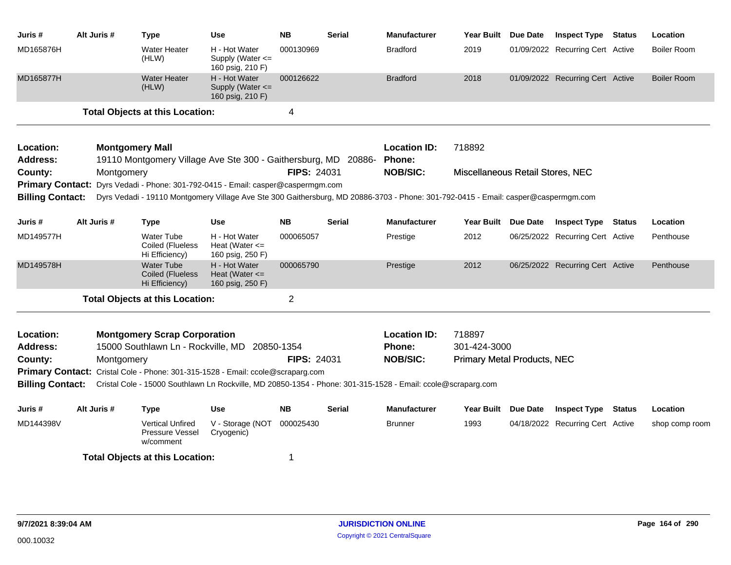| Juris #                      | Alt Juris # | <b>Type</b>                                                                              | <b>Use</b>                                                | <b>NB</b>          | <b>Serial</b> | <b>Manufacturer</b>                                                                                                                | <b>Year Built</b>                  | Due Date | <b>Inspect Type Status</b>       |               | Location           |
|------------------------------|-------------|------------------------------------------------------------------------------------------|-----------------------------------------------------------|--------------------|---------------|------------------------------------------------------------------------------------------------------------------------------------|------------------------------------|----------|----------------------------------|---------------|--------------------|
| MD165876H                    |             | <b>Water Heater</b><br>(HLW)                                                             | H - Hot Water<br>Supply (Water $\leq$<br>160 psig, 210 F) | 000130969          |               | <b>Bradford</b>                                                                                                                    | 2019                               |          | 01/09/2022 Recurring Cert Active |               | Boiler Room        |
| MD165877H                    |             | <b>Water Heater</b><br>(HLW)                                                             | H - Hot Water<br>Supply (Water <=<br>160 psig, 210 F)     | 000126622          |               | <b>Bradford</b>                                                                                                                    | 2018                               |          | 01/09/2022 Recurring Cert Active |               | <b>Boiler Room</b> |
|                              |             | <b>Total Objects at this Location:</b>                                                   |                                                           | 4                  |               |                                                                                                                                    |                                    |          |                                  |               |                    |
| Location:<br><b>Address:</b> |             | <b>Montgomery Mall</b><br>19110 Montgomery Village Ave Ste 300 - Gaithersburg, MD 20886- |                                                           |                    |               | <b>Location ID:</b><br>Phone:                                                                                                      | 718892                             |          |                                  |               |                    |
| County:                      |             | Montgomery                                                                               |                                                           | <b>FIPS: 24031</b> |               | <b>NOB/SIC:</b>                                                                                                                    | Miscellaneous Retail Stores, NEC   |          |                                  |               |                    |
|                              |             | Primary Contact: Dyrs Vedadi - Phone: 301-792-0415 - Email: casper@caspermgm.com         |                                                           |                    |               |                                                                                                                                    |                                    |          |                                  |               |                    |
| <b>Billing Contact:</b>      |             |                                                                                          |                                                           |                    |               | Dyrs Vedadi - 19110 Montgomery Village Ave Ste 300 Gaithersburg, MD 20886-3703 - Phone: 301-792-0415 - Email: casper@caspermgm.com |                                    |          |                                  |               |                    |
| Juris #                      | Alt Juris # | <b>Type</b>                                                                              | <b>Use</b>                                                | <b>NB</b>          | <b>Serial</b> | <b>Manufacturer</b>                                                                                                                | Year Built Due Date                |          | <b>Inspect Type</b>              | <b>Status</b> | Location           |
| MD149577H                    |             | <b>Water Tube</b><br>Coiled (Flueless<br>Hi Efficiency)                                  | H - Hot Water<br>Heat (Water $\leq$<br>160 psig, 250 F)   | 000065057          |               | Prestige                                                                                                                           | 2012                               |          | 06/25/2022 Recurring Cert Active |               | Penthouse          |
| MD149578H                    |             | <b>Water Tube</b><br><b>Coiled (Flueless</b><br>Hi Efficiency)                           | H - Hot Water<br>Heat (Water $\leq$<br>160 psig, 250 F)   | 000065790          |               | Prestige                                                                                                                           | 2012                               |          | 06/25/2022 Recurring Cert Active |               | Penthouse          |
|                              |             | <b>Total Objects at this Location:</b>                                                   |                                                           | $\overline{2}$     |               |                                                                                                                                    |                                    |          |                                  |               |                    |
| Location:                    |             | <b>Montgomery Scrap Corporation</b>                                                      |                                                           |                    |               | <b>Location ID:</b>                                                                                                                | 718897                             |          |                                  |               |                    |
| <b>Address:</b>              |             | 15000 Southlawn Ln - Rockville, MD                                                       |                                                           | 20850-1354         |               | <b>Phone:</b>                                                                                                                      | 301-424-3000                       |          |                                  |               |                    |
| County:                      |             | Montgomery                                                                               |                                                           | <b>FIPS: 24031</b> |               | <b>NOB/SIC:</b>                                                                                                                    | <b>Primary Metal Products, NEC</b> |          |                                  |               |                    |
|                              |             | Primary Contact: Cristal Cole - Phone: 301-315-1528 - Email: ccole@scraparg.com          |                                                           |                    |               |                                                                                                                                    |                                    |          |                                  |               |                    |
| <b>Billing Contact:</b>      |             |                                                                                          |                                                           |                    |               | Cristal Cole - 15000 Southlawn Ln Rockville, MD 20850-1354 - Phone: 301-315-1528 - Email: ccole@scraparg.com                       |                                    |          |                                  |               |                    |
| Juris #                      | Alt Juris # | <b>Type</b>                                                                              | <b>Use</b>                                                | <b>NB</b>          | Serial        | <b>Manufacturer</b>                                                                                                                | Year Built Due Date                |          | <b>Inspect Type</b>              | <b>Status</b> | Location           |
| MD144398V                    |             | <b>Vertical Unfired</b><br>Pressure Vessel<br>w/comment                                  | V - Storage (NOT<br>Cryogenic)                            | 000025430          |               | <b>Brunner</b>                                                                                                                     | 1993                               |          | 04/18/2022 Recurring Cert Active |               | shop comp room     |
|                              |             | <b>Total Objects at this Location:</b>                                                   |                                                           | 1                  |               |                                                                                                                                    |                                    |          |                                  |               |                    |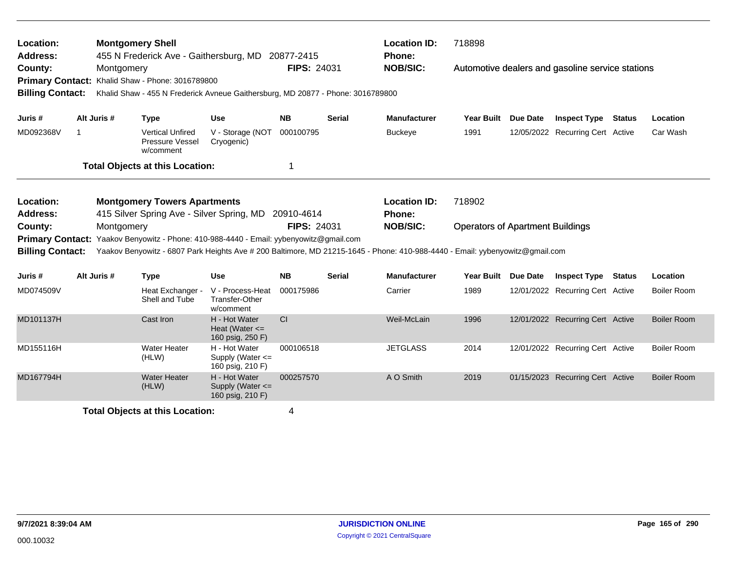| Location:<br><b>Address:</b><br>County:<br><b>Primary Contact:</b><br><b>Billing Contact:</b> |    | <b>Montgomery Shell</b>                                                                                                                                                                                                                                                                                                                                                                                                                                                                                                                                                                                                                                             |                                                         | 455 N Frederick Ave - Gaithersburg, MD 20877-2415                               |                    |               | <b>Location ID:</b><br>Phone:        | 718898            |                 |                                                  |               |                    |
|-----------------------------------------------------------------------------------------------|----|---------------------------------------------------------------------------------------------------------------------------------------------------------------------------------------------------------------------------------------------------------------------------------------------------------------------------------------------------------------------------------------------------------------------------------------------------------------------------------------------------------------------------------------------------------------------------------------------------------------------------------------------------------------------|---------------------------------------------------------|---------------------------------------------------------------------------------|--------------------|---------------|--------------------------------------|-------------------|-----------------|--------------------------------------------------|---------------|--------------------|
|                                                                                               |    | Montgomery                                                                                                                                                                                                                                                                                                                                                                                                                                                                                                                                                                                                                                                          | Khalid Shaw - Phone: 3016789800                         | Khalid Shaw - 455 N Frederick Avneue Gaithersburg, MD 20877 - Phone: 3016789800 | <b>FIPS: 24031</b> |               | <b>NOB/SIC:</b>                      |                   |                 | Automotive dealers and gasoline service stations |               |                    |
| Juris#                                                                                        |    | Alt Juris #                                                                                                                                                                                                                                                                                                                                                                                                                                                                                                                                                                                                                                                         | <b>Type</b>                                             | <b>Use</b>                                                                      | <b>NB</b>          | <b>Serial</b> | <b>Manufacturer</b>                  | <b>Year Built</b> | Due Date        | <b>Inspect Type</b>                              | Status        | Location           |
| MD092368V                                                                                     | -1 |                                                                                                                                                                                                                                                                                                                                                                                                                                                                                                                                                                                                                                                                     | <b>Vertical Unfired</b><br>Pressure Vessel<br>w/comment | V - Storage (NOT<br>Cryogenic)                                                  | 000100795          |               | <b>Buckeye</b>                       | 1991              |                 |                                                  |               | Car Wash           |
|                                                                                               |    |                                                                                                                                                                                                                                                                                                                                                                                                                                                                                                                                                                                                                                                                     |                                                         |                                                                                 | 1                  |               |                                      |                   |                 |                                                  |               |                    |
| Location:<br><b>Address:</b>                                                                  |    |                                                                                                                                                                                                                                                                                                                                                                                                                                                                                                                                                                                                                                                                     |                                                         |                                                                                 |                    |               | <b>Location ID:</b><br><b>Phone:</b> | 718902            |                 |                                                  |               |                    |
| County:                                                                                       |    |                                                                                                                                                                                                                                                                                                                                                                                                                                                                                                                                                                                                                                                                     |                                                         |                                                                                 |                    |               | <b>NOB/SIC:</b>                      |                   |                 |                                                  |               |                    |
| <b>Primary Contact:</b>                                                                       |    |                                                                                                                                                                                                                                                                                                                                                                                                                                                                                                                                                                                                                                                                     |                                                         |                                                                                 |                    |               |                                      |                   |                 |                                                  |               |                    |
| <b>Billing Contact:</b>                                                                       |    |                                                                                                                                                                                                                                                                                                                                                                                                                                                                                                                                                                                                                                                                     |                                                         |                                                                                 |                    |               |                                      |                   |                 |                                                  |               |                    |
| Juris #                                                                                       |    | Alt Juris #                                                                                                                                                                                                                                                                                                                                                                                                                                                                                                                                                                                                                                                         | <b>Type</b>                                             | <b>Use</b>                                                                      | <b>NB</b>          | <b>Serial</b> | <b>Manufacturer</b>                  | <b>Year Built</b> | <b>Due Date</b> | <b>Inspect Type</b>                              | <b>Status</b> | Location           |
| MD074509V                                                                                     |    |                                                                                                                                                                                                                                                                                                                                                                                                                                                                                                                                                                                                                                                                     | Heat Exchanger -<br>Shell and Tube                      | V - Process-Heat<br>Transfer-Other<br>w/comment                                 | 000175986          |               | Carrier                              | 1989              |                 |                                                  |               | <b>Boiler Room</b> |
| MD101137H                                                                                     |    |                                                                                                                                                                                                                                                                                                                                                                                                                                                                                                                                                                                                                                                                     | Cast Iron                                               | H - Hot Water<br>Heat (Water $\leq$<br>160 psig, 250 F)                         | CI                 |               | Weil-McLain                          | 1996              |                 |                                                  |               | <b>Boiler Room</b> |
| MD155116H                                                                                     |    |                                                                                                                                                                                                                                                                                                                                                                                                                                                                                                                                                                                                                                                                     | <b>Water Heater</b><br>(HLW)                            | H - Hot Water<br>Supply (Water $\leq$<br>160 psig, 210 F)                       | 000106518          |               | <b>JETGLASS</b>                      | 2014              |                 |                                                  |               | <b>Boiler Room</b> |
| MD167794H                                                                                     |    |                                                                                                                                                                                                                                                                                                                                                                                                                                                                                                                                                                                                                                                                     | <b>Water Heater</b><br>(HLW)                            | H - Hot Water<br>Supply (Water <=<br>160 psig, 210 F)                           | 000257570          |               | A O Smith                            | 2019              |                 |                                                  |               | <b>Boiler Room</b> |
|                                                                                               |    | 12/05/2022 Recurring Cert Active<br><b>Total Objects at this Location:</b><br><b>Montgomery Towers Apartments</b><br>415 Silver Spring Ave - Silver Spring, MD<br>20910-4614<br><b>FIPS: 24031</b><br>Montgomery<br><b>Operators of Apartment Buildings</b><br>Yaakov Benyowitz - Phone: 410-988-4440 - Email: yybenyowitz@gmail.com<br>Yaakov Benyowitz - 6807 Park Heights Ave # 200 Baltimore, MD 21215-1645 - Phone: 410-988-4440 - Email: yybenyowitz@gmail.com<br>12/01/2022 Recurring Cert Active<br>12/01/2022 Recurring Cert Active<br>12/01/2022 Recurring Cert Active<br>01/15/2023 Recurring Cert Active<br><b>Total Objects at this Location:</b><br>4 |                                                         |                                                                                 |                    |               |                                      |                   |                 |                                                  |               |                    |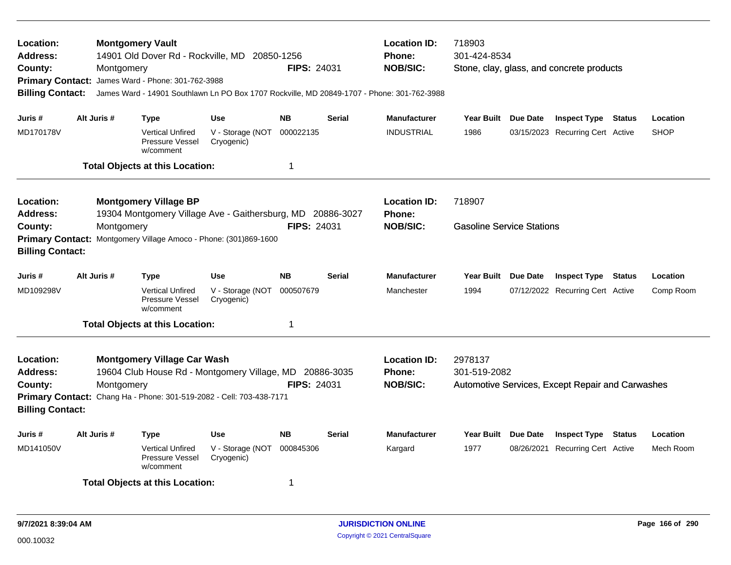| Location:<br>Address:<br>County:<br><b>Billing Contact:</b>        | Montgomery  | <b>Montgomery Vault</b><br>14901 Old Dover Rd - Rockville, MD 20850-1256<br>Primary Contact: James Ward - Phone: 301-762-3988<br>James Ward - 14901 Southlawn Ln PO Box 1707 Rockville, MD 20849-1707 - Phone: 301-762-3988 |                                | <b>FIPS: 24031</b> |               | <b>Location ID:</b><br><b>Phone:</b><br><b>NOB/SIC:</b> | 718903<br>301-424-8534           |            | Stone, clay, glass, and concrete products        |             |
|--------------------------------------------------------------------|-------------|-----------------------------------------------------------------------------------------------------------------------------------------------------------------------------------------------------------------------------|--------------------------------|--------------------|---------------|---------------------------------------------------------|----------------------------------|------------|--------------------------------------------------|-------------|
| Juris #                                                            | Alt Juris # | Type                                                                                                                                                                                                                        | <b>Use</b>                     | <b>NB</b>          | <b>Serial</b> | <b>Manufacturer</b>                                     | Year Built Due Date              |            | <b>Inspect Type Status</b>                       | Location    |
| MD170178V                                                          |             | <b>Vertical Unfired</b><br>Pressure Vessel<br>w/comment                                                                                                                                                                     | V - Storage (NOT<br>Cryogenic) | 000022135          |               | <b>INDUSTRIAL</b>                                       | 1986                             |            | 03/15/2023 Recurring Cert Active                 | <b>SHOP</b> |
|                                                                    |             | <b>Total Objects at this Location:</b>                                                                                                                                                                                      |                                | 1                  |               |                                                         |                                  |            |                                                  |             |
| Location:<br><b>Address:</b>                                       |             | <b>Montgomery Village BP</b><br>19304 Montgomery Village Ave - Gaithersburg, MD 20886-3027                                                                                                                                  |                                |                    |               | <b>Location ID:</b><br><b>Phone:</b>                    | 718907                           |            |                                                  |             |
| County:<br><b>Billing Contact:</b>                                 | Montgomery  | Primary Contact: Montgomery Village Amoco - Phone: (301)869-1600                                                                                                                                                            |                                | <b>FIPS: 24031</b> |               | <b>NOB/SIC:</b>                                         | <b>Gasoline Service Stations</b> |            |                                                  |             |
| Juris #                                                            | Alt Juris # | <b>Type</b>                                                                                                                                                                                                                 | <b>Use</b>                     | <b>NB</b>          | <b>Serial</b> | <b>Manufacturer</b>                                     | Year Built Due Date              |            | <b>Inspect Type Status</b>                       | Location    |
| MD109298V                                                          |             | <b>Vertical Unfired</b><br>Pressure Vessel<br>w/comment                                                                                                                                                                     | V - Storage (NOT<br>Cryogenic) | 000507679          |               | Manchester                                              | 1994                             |            | 07/12/2022 Recurring Cert Active                 | Comp Room   |
|                                                                    |             | <b>Total Objects at this Location:</b>                                                                                                                                                                                      |                                | 1                  |               |                                                         |                                  |            |                                                  |             |
| Location:<br><b>Address:</b><br>County:<br><b>Billing Contact:</b> | Montgomery  | <b>Montgomery Village Car Wash</b><br>19604 Club House Rd - Montgomery Village, MD 20886-3035<br>Primary Contact: Chang Ha - Phone: 301-519-2082 - Cell: 703-438-7171                                                       |                                | FIPS: 24031        |               | <b>Location ID:</b><br><b>Phone:</b><br><b>NOB/SIC:</b> | 2978137<br>301-519-2082          |            | Automotive Services, Except Repair and Carwashes |             |
| Juris #                                                            | Alt Juris # | Type                                                                                                                                                                                                                        | <b>Use</b>                     | <b>NB</b>          | <b>Serial</b> | <b>Manufacturer</b>                                     | Year Built Due Date              |            | <b>Inspect Type Status</b>                       | Location    |
| MD141050V                                                          |             | <b>Vertical Unfired</b><br>Pressure Vessel<br>w/comment                                                                                                                                                                     | V - Storage (NOT<br>Cryogenic) | 000845306          |               | Kargard                                                 | 1977                             | 08/26/2021 | <b>Recurring Cert Active</b>                     | Mech Room   |
|                                                                    |             | <b>Total Objects at this Location:</b>                                                                                                                                                                                      |                                | 1                  |               |                                                         |                                  |            |                                                  |             |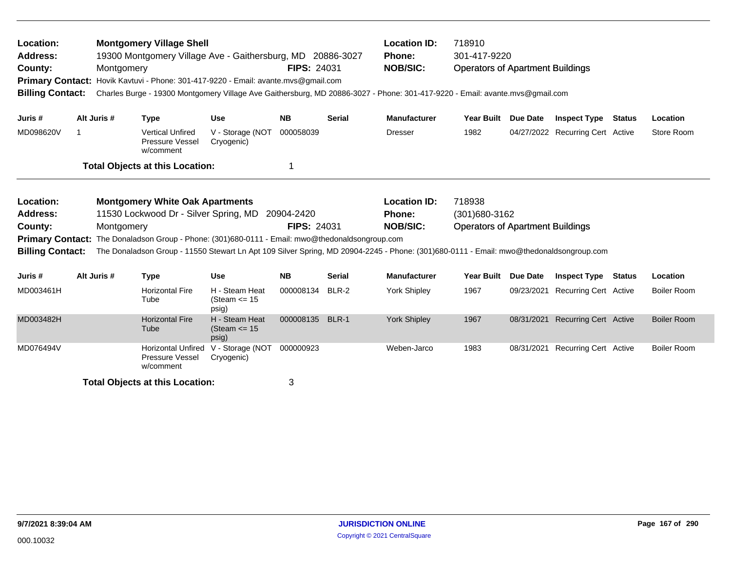| Location:<br><b>Address:</b><br>County:                                                                                                                                                                                                                                                                                                                                                                                                                                                                                                                                                                                                                                                                                                                                                                                                                                                                                                                                                                                                                                                                                                                                                                                                                                                                                                                                                                                                                                               |  |  |                                                           |                                            |           |               | <b>Location ID:</b><br><b>Phone:</b><br><b>NOB/SIC:</b> | 718910            |                 |                              |  |                    |
|---------------------------------------------------------------------------------------------------------------------------------------------------------------------------------------------------------------------------------------------------------------------------------------------------------------------------------------------------------------------------------------------------------------------------------------------------------------------------------------------------------------------------------------------------------------------------------------------------------------------------------------------------------------------------------------------------------------------------------------------------------------------------------------------------------------------------------------------------------------------------------------------------------------------------------------------------------------------------------------------------------------------------------------------------------------------------------------------------------------------------------------------------------------------------------------------------------------------------------------------------------------------------------------------------------------------------------------------------------------------------------------------------------------------------------------------------------------------------------------|--|--|-----------------------------------------------------------|--------------------------------------------|-----------|---------------|---------------------------------------------------------|-------------------|-----------------|------------------------------|--|--------------------|
| <b>Montgomery Village Shell</b><br>301-417-9220<br>19300 Montgomery Village Ave - Gaithersburg, MD 20886-3027<br><b>FIPS: 24031</b><br><b>Operators of Apartment Buildings</b><br>Montgomery<br>Hovik Kavtuvi - Phone: 301-417-9220 - Email: avante.mvs@gmail.com<br><b>Primary Contact:</b><br><b>Billing Contact:</b><br>Charles Burge - 19300 Montgomery Village Ave Gaithersburg, MD 20886-3027 - Phone: 301-417-9220 - Email: avante.mvs@gmail.com<br>Alt Juris #<br><b>Use</b><br><b>NB</b><br><b>Serial</b><br><b>Manufacturer</b><br>Year Built Due Date<br><b>Inspect Type Status</b><br>Juris #<br><b>Type</b><br>MD098620V<br>1982<br><b>Vertical Unfired</b><br>V - Storage (NOT<br>000058039<br>04/27/2022 Recurring Cert Active<br>-1<br><b>Dresser</b><br>Pressure Vessel<br>Cryogenic)<br>w/comment<br><b>Total Objects at this Location:</b><br>1<br>718938<br><b>Montgomery White Oak Apartments</b><br><b>Location ID:</b><br>Location:<br>11530 Lockwood Dr - Silver Spring, MD 20904-2420<br><b>Address:</b><br><b>Phone:</b><br>$(301)680 - 3162$<br><b>FIPS: 24031</b><br><b>NOB/SIC:</b><br><b>Operators of Apartment Buildings</b><br>County:<br>Montgomery<br>The Donaladson Group - Phone: (301)680-0111 - Email: mwo@thedonaldsongroup.com<br><b>Primary Contact:</b><br><b>Billing Contact:</b><br>The Donaladson Group - 11550 Stewart Ln Apt 109 Silver Spring, MD 20904-2245 - Phone: (301)680-0111 - Email: mwo@thedonaldsongroup.com<br>Alt Juris # |  |  |                                                           |                                            | Location  |               |                                                         |                   |                 |                              |  |                    |
|                                                                                                                                                                                                                                                                                                                                                                                                                                                                                                                                                                                                                                                                                                                                                                                                                                                                                                                                                                                                                                                                                                                                                                                                                                                                                                                                                                                                                                                                                       |  |  |                                                           |                                            |           |               |                                                         |                   |                 |                              |  | Store Room         |
|                                                                                                                                                                                                                                                                                                                                                                                                                                                                                                                                                                                                                                                                                                                                                                                                                                                                                                                                                                                                                                                                                                                                                                                                                                                                                                                                                                                                                                                                                       |  |  |                                                           |                                            |           |               |                                                         |                   |                 |                              |  |                    |
|                                                                                                                                                                                                                                                                                                                                                                                                                                                                                                                                                                                                                                                                                                                                                                                                                                                                                                                                                                                                                                                                                                                                                                                                                                                                                                                                                                                                                                                                                       |  |  |                                                           |                                            |           |               |                                                         |                   |                 |                              |  |                    |
| Juris #                                                                                                                                                                                                                                                                                                                                                                                                                                                                                                                                                                                                                                                                                                                                                                                                                                                                                                                                                                                                                                                                                                                                                                                                                                                                                                                                                                                                                                                                               |  |  | <b>Type</b>                                               | <b>Use</b>                                 | <b>NB</b> | <b>Serial</b> | <b>Manufacturer</b>                                     | <b>Year Built</b> | <b>Due Date</b> | <b>Inspect Type Status</b>   |  | Location           |
| MD003461H                                                                                                                                                                                                                                                                                                                                                                                                                                                                                                                                                                                                                                                                                                                                                                                                                                                                                                                                                                                                                                                                                                                                                                                                                                                                                                                                                                                                                                                                             |  |  | <b>Horizontal Fire</b><br>Tube                            | H - Steam Heat<br>(Steam $\le$ 15<br>psig) | 000008134 | BLR-2         | York Shipley                                            | 1967              | 09/23/2021      | <b>Recurring Cert Active</b> |  | <b>Boiler Room</b> |
| MD003482H                                                                                                                                                                                                                                                                                                                                                                                                                                                                                                                                                                                                                                                                                                                                                                                                                                                                                                                                                                                                                                                                                                                                                                                                                                                                                                                                                                                                                                                                             |  |  | <b>Horizontal Fire</b><br>Tube                            | H - Steam Heat<br>(Steam $\le$ 15<br>psig) | 000008135 | BLR-1         | <b>York Shipley</b>                                     | 1967              | 08/31/2021      | <b>Recurring Cert Active</b> |  | <b>Boiler Room</b> |
| MD076494V                                                                                                                                                                                                                                                                                                                                                                                                                                                                                                                                                                                                                                                                                                                                                                                                                                                                                                                                                                                                                                                                                                                                                                                                                                                                                                                                                                                                                                                                             |  |  | <b>Horizontal Unfired</b><br>Pressure Vessel<br>w/comment | V - Storage (NOT<br>Cryogenic)             | 000000923 |               | Weben-Jarco                                             | 1983              | 08/31/2021      | <b>Recurring Cert Active</b> |  | <b>Boiler Room</b> |
|                                                                                                                                                                                                                                                                                                                                                                                                                                                                                                                                                                                                                                                                                                                                                                                                                                                                                                                                                                                                                                                                                                                                                                                                                                                                                                                                                                                                                                                                                       |  |  | <b>Total Objects at this Location:</b>                    |                                            | 3         |               |                                                         |                   |                 |                              |  |                    |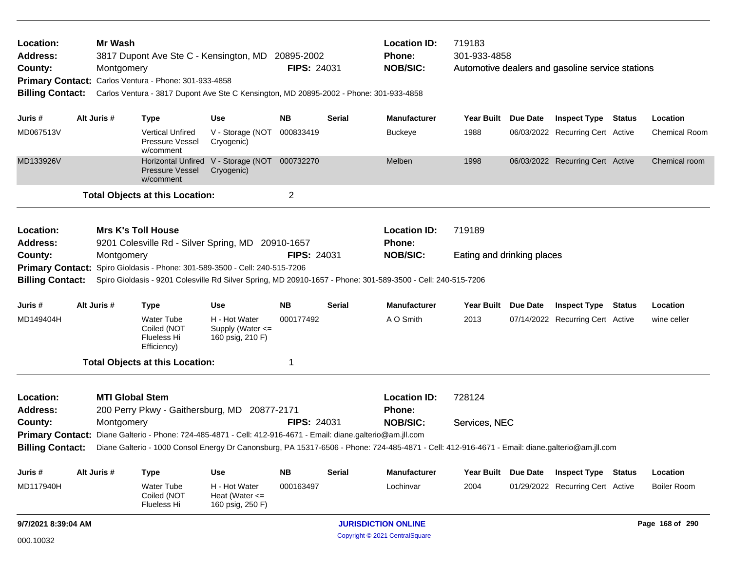| Location:<br>Address:<br>County:                                                                                                                                                                                                                                                                                                                                                                                                                                                                                                                                                                                                                                                                                                                                                                                                                                                                                                                                                                                                                                                                                                                                                                                                                                                                                                                                                                                                                                                                                                                                                                                                                                                                                                                                                                                                                                                                                                                                                                                                                                                                                                                                                                                                                                                                                                                                                                                                      |  | Mr Wash |                                                         |                                |                | <b>Location ID:</b><br>Phone:<br><b>NOB/SIC:</b> | 719183 |  |                            |                      |
|---------------------------------------------------------------------------------------------------------------------------------------------------------------------------------------------------------------------------------------------------------------------------------------------------------------------------------------------------------------------------------------------------------------------------------------------------------------------------------------------------------------------------------------------------------------------------------------------------------------------------------------------------------------------------------------------------------------------------------------------------------------------------------------------------------------------------------------------------------------------------------------------------------------------------------------------------------------------------------------------------------------------------------------------------------------------------------------------------------------------------------------------------------------------------------------------------------------------------------------------------------------------------------------------------------------------------------------------------------------------------------------------------------------------------------------------------------------------------------------------------------------------------------------------------------------------------------------------------------------------------------------------------------------------------------------------------------------------------------------------------------------------------------------------------------------------------------------------------------------------------------------------------------------------------------------------------------------------------------------------------------------------------------------------------------------------------------------------------------------------------------------------------------------------------------------------------------------------------------------------------------------------------------------------------------------------------------------------------------------------------------------------------------------------------------------|--|---------|---------------------------------------------------------|--------------------------------|----------------|--------------------------------------------------|--------|--|----------------------------|----------------------|
|                                                                                                                                                                                                                                                                                                                                                                                                                                                                                                                                                                                                                                                                                                                                                                                                                                                                                                                                                                                                                                                                                                                                                                                                                                                                                                                                                                                                                                                                                                                                                                                                                                                                                                                                                                                                                                                                                                                                                                                                                                                                                                                                                                                                                                                                                                                                                                                                                                       |  |         |                                                         |                                |                |                                                  |        |  |                            | Location             |
| MD067513V                                                                                                                                                                                                                                                                                                                                                                                                                                                                                                                                                                                                                                                                                                                                                                                                                                                                                                                                                                                                                                                                                                                                                                                                                                                                                                                                                                                                                                                                                                                                                                                                                                                                                                                                                                                                                                                                                                                                                                                                                                                                                                                                                                                                                                                                                                                                                                                                                             |  |         | <b>Vertical Unfired</b><br>Pressure Vessel<br>w/comment | V - Storage (NOT<br>Cryogenic) | 000833419      | <b>Buckeye</b>                                   | 1988   |  |                            | <b>Chemical Room</b> |
| MD133926V                                                                                                                                                                                                                                                                                                                                                                                                                                                                                                                                                                                                                                                                                                                                                                                                                                                                                                                                                                                                                                                                                                                                                                                                                                                                                                                                                                                                                                                                                                                                                                                                                                                                                                                                                                                                                                                                                                                                                                                                                                                                                                                                                                                                                                                                                                                                                                                                                             |  |         | <b>Pressure Vessel</b><br>w/comment                     | Cryogenic)                     |                | Melben                                           | 1998   |  |                            | Chemical room        |
|                                                                                                                                                                                                                                                                                                                                                                                                                                                                                                                                                                                                                                                                                                                                                                                                                                                                                                                                                                                                                                                                                                                                                                                                                                                                                                                                                                                                                                                                                                                                                                                                                                                                                                                                                                                                                                                                                                                                                                                                                                                                                                                                                                                                                                                                                                                                                                                                                                       |  |         |                                                         |                                | $\overline{c}$ |                                                  |        |  |                            |                      |
| 3817 Dupont Ave Ste C - Kensington, MD 20895-2002<br>301-933-4858<br><b>FIPS: 24031</b><br>Montgomery<br>Automotive dealers and gasoline service stations<br>Primary Contact: Carlos Ventura - Phone: 301-933-4858<br><b>Billing Contact:</b><br>Carlos Ventura - 3817 Dupont Ave Ste C Kensington, MD 20895-2002 - Phone: 301-933-4858<br>Alt Juris #<br><b>NB</b><br><b>Manufacturer</b><br><b>Inspect Type Status</b><br><b>Use</b><br>Serial<br>Year Built Due Date<br>Juris #<br><b>Type</b><br>06/03/2022 Recurring Cert Active<br><b>Horizontal Unfired</b><br>V - Storage (NOT 000732270<br>06/03/2022 Recurring Cert Active<br><b>Total Objects at this Location:</b><br><b>Mrs K's Toll House</b><br>Location:<br><b>Location ID:</b><br>719189<br><b>Address:</b><br>9201 Colesville Rd - Silver Spring, MD 20910-1657<br><b>Phone:</b><br><b>FIPS: 24031</b><br><b>NOB/SIC:</b><br>County:<br>Montgomery<br>Eating and drinking places<br>Primary Contact: Spiro Gioldasis - Phone: 301-589-3500 - Cell: 240-515-7206<br><b>Billing Contact:</b><br>Spiro Gioldasis - 9201 Colesville Rd Silver Spring, MD 20910-1657 - Phone: 301-589-3500 - Cell: 240-515-7206<br>Alt Juris #<br><b>NB</b><br><b>Manufacturer</b><br>Year Built Due Date<br>Juris #<br><b>Type</b><br><b>Use</b><br>Serial<br>MD149404H<br><b>Water Tube</b><br>H - Hot Water<br>000177492<br>A O Smith<br>2013<br>07/14/2022 Recurring Cert Active<br>Coiled (NOT<br>Supply (Water <=<br>160 psig, 210 F)<br>Flueless Hi<br>Efficiency)<br><b>Total Objects at this Location:</b><br>1<br><b>MTI Global Stem</b><br>Location:<br><b>Location ID:</b><br>728124<br>200 Perry Pkwy - Gaithersburg, MD 20877-2171<br><b>Address:</b><br>Phone:<br><b>FIPS: 24031</b><br><b>NOB/SIC:</b><br>County:<br>Montgomery<br>Services, NEC<br>Primary Contact: Diane Galterio - Phone: 724-485-4871 - Cell: 412-916-4671 - Email: diane.galterio@am.jll.com<br>Billing Contact: Diane Galterio - 1000 Consol Energy Dr Canonsburg, PA 15317-6506 - Phone: 724-485-4871 - Cell: 412-916-4671 - Email: diane.galterio@am.jll.com<br>Alt Juris #<br><b>Use</b><br><b>NB</b><br><b>Serial</b><br><b>Manufacturer</b><br>Year Built Due Date<br>Juris #<br><b>Type</b><br>MD117940H<br><b>Water Tube</b><br>H - Hot Water<br>000163497<br>Lochinvar<br>2004<br>01/29/2022 Recurring Cert Active<br>Coiled (NOT<br>Heat (Water $\leq$<br>Flueless Hi<br>160 psig, 250 F) |  |         |                                                         |                                |                |                                                  |        |  |                            |                      |
|                                                                                                                                                                                                                                                                                                                                                                                                                                                                                                                                                                                                                                                                                                                                                                                                                                                                                                                                                                                                                                                                                                                                                                                                                                                                                                                                                                                                                                                                                                                                                                                                                                                                                                                                                                                                                                                                                                                                                                                                                                                                                                                                                                                                                                                                                                                                                                                                                                       |  |         |                                                         |                                |                |                                                  |        |  |                            |                      |
|                                                                                                                                                                                                                                                                                                                                                                                                                                                                                                                                                                                                                                                                                                                                                                                                                                                                                                                                                                                                                                                                                                                                                                                                                                                                                                                                                                                                                                                                                                                                                                                                                                                                                                                                                                                                                                                                                                                                                                                                                                                                                                                                                                                                                                                                                                                                                                                                                                       |  |         |                                                         |                                |                |                                                  |        |  |                            |                      |
|                                                                                                                                                                                                                                                                                                                                                                                                                                                                                                                                                                                                                                                                                                                                                                                                                                                                                                                                                                                                                                                                                                                                                                                                                                                                                                                                                                                                                                                                                                                                                                                                                                                                                                                                                                                                                                                                                                                                                                                                                                                                                                                                                                                                                                                                                                                                                                                                                                       |  |         |                                                         |                                |                |                                                  |        |  |                            |                      |
|                                                                                                                                                                                                                                                                                                                                                                                                                                                                                                                                                                                                                                                                                                                                                                                                                                                                                                                                                                                                                                                                                                                                                                                                                                                                                                                                                                                                                                                                                                                                                                                                                                                                                                                                                                                                                                                                                                                                                                                                                                                                                                                                                                                                                                                                                                                                                                                                                                       |  |         |                                                         |                                |                |                                                  |        |  | <b>Inspect Type Status</b> | Location             |
|                                                                                                                                                                                                                                                                                                                                                                                                                                                                                                                                                                                                                                                                                                                                                                                                                                                                                                                                                                                                                                                                                                                                                                                                                                                                                                                                                                                                                                                                                                                                                                                                                                                                                                                                                                                                                                                                                                                                                                                                                                                                                                                                                                                                                                                                                                                                                                                                                                       |  |         |                                                         |                                |                |                                                  |        |  |                            | wine celler          |
|                                                                                                                                                                                                                                                                                                                                                                                                                                                                                                                                                                                                                                                                                                                                                                                                                                                                                                                                                                                                                                                                                                                                                                                                                                                                                                                                                                                                                                                                                                                                                                                                                                                                                                                                                                                                                                                                                                                                                                                                                                                                                                                                                                                                                                                                                                                                                                                                                                       |  |         |                                                         |                                |                |                                                  |        |  |                            |                      |
|                                                                                                                                                                                                                                                                                                                                                                                                                                                                                                                                                                                                                                                                                                                                                                                                                                                                                                                                                                                                                                                                                                                                                                                                                                                                                                                                                                                                                                                                                                                                                                                                                                                                                                                                                                                                                                                                                                                                                                                                                                                                                                                                                                                                                                                                                                                                                                                                                                       |  |         |                                                         |                                |                |                                                  |        |  |                            |                      |
|                                                                                                                                                                                                                                                                                                                                                                                                                                                                                                                                                                                                                                                                                                                                                                                                                                                                                                                                                                                                                                                                                                                                                                                                                                                                                                                                                                                                                                                                                                                                                                                                                                                                                                                                                                                                                                                                                                                                                                                                                                                                                                                                                                                                                                                                                                                                                                                                                                       |  |         |                                                         |                                |                |                                                  |        |  |                            |                      |
|                                                                                                                                                                                                                                                                                                                                                                                                                                                                                                                                                                                                                                                                                                                                                                                                                                                                                                                                                                                                                                                                                                                                                                                                                                                                                                                                                                                                                                                                                                                                                                                                                                                                                                                                                                                                                                                                                                                                                                                                                                                                                                                                                                                                                                                                                                                                                                                                                                       |  |         |                                                         |                                |                |                                                  |        |  |                            |                      |
|                                                                                                                                                                                                                                                                                                                                                                                                                                                                                                                                                                                                                                                                                                                                                                                                                                                                                                                                                                                                                                                                                                                                                                                                                                                                                                                                                                                                                                                                                                                                                                                                                                                                                                                                                                                                                                                                                                                                                                                                                                                                                                                                                                                                                                                                                                                                                                                                                                       |  |         |                                                         |                                |                |                                                  |        |  |                            |                      |
|                                                                                                                                                                                                                                                                                                                                                                                                                                                                                                                                                                                                                                                                                                                                                                                                                                                                                                                                                                                                                                                                                                                                                                                                                                                                                                                                                                                                                                                                                                                                                                                                                                                                                                                                                                                                                                                                                                                                                                                                                                                                                                                                                                                                                                                                                                                                                                                                                                       |  |         |                                                         |                                |                |                                                  |        |  | <b>Inspect Type Status</b> | Location             |
|                                                                                                                                                                                                                                                                                                                                                                                                                                                                                                                                                                                                                                                                                                                                                                                                                                                                                                                                                                                                                                                                                                                                                                                                                                                                                                                                                                                                                                                                                                                                                                                                                                                                                                                                                                                                                                                                                                                                                                                                                                                                                                                                                                                                                                                                                                                                                                                                                                       |  |         |                                                         |                                |                |                                                  |        |  |                            | <b>Boiler Room</b>   |
| 9/7/2021 8:39:04 AM                                                                                                                                                                                                                                                                                                                                                                                                                                                                                                                                                                                                                                                                                                                                                                                                                                                                                                                                                                                                                                                                                                                                                                                                                                                                                                                                                                                                                                                                                                                                                                                                                                                                                                                                                                                                                                                                                                                                                                                                                                                                                                                                                                                                                                                                                                                                                                                                                   |  |         |                                                         |                                |                | <b>JURISDICTION ONLINE</b>                       |        |  |                            | Page 168 of 290      |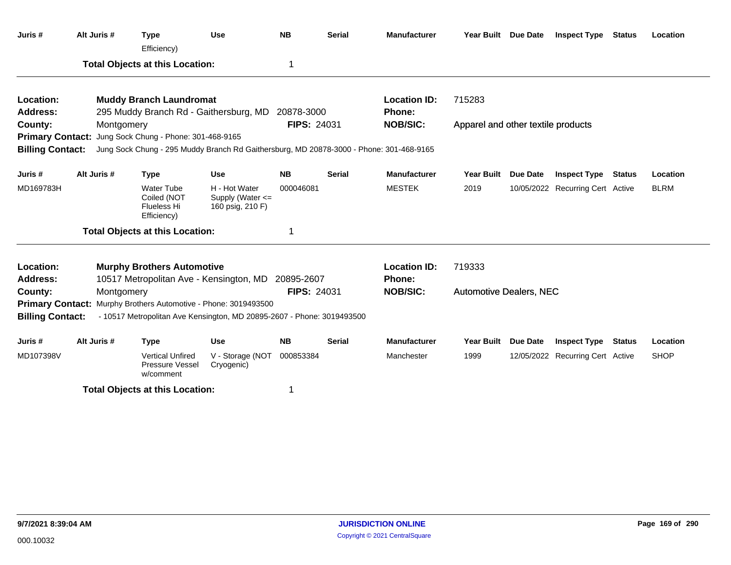| Juris #                 | Alt Juris # | <b>Type</b><br>Efficiency)                                                              | <b>Use</b>                                                | <b>NB</b>          | <b>Serial</b> | <b>Manufacturer</b> |                                    | Year Built Due Date | <b>Inspect Type</b>              | Status        | Location    |
|-------------------------|-------------|-----------------------------------------------------------------------------------------|-----------------------------------------------------------|--------------------|---------------|---------------------|------------------------------------|---------------------|----------------------------------|---------------|-------------|
|                         |             | <b>Total Objects at this Location:</b>                                                  |                                                           | 1                  |               |                     |                                    |                     |                                  |               |             |
| Location:               |             | <b>Muddy Branch Laundromat</b>                                                          |                                                           |                    |               | <b>Location ID:</b> | 715283                             |                     |                                  |               |             |
| <b>Address:</b>         |             | 295 Muddy Branch Rd - Gaithersburg, MD                                                  |                                                           | 20878-3000         |               | Phone:              |                                    |                     |                                  |               |             |
| County:                 | Montgomery  |                                                                                         |                                                           | <b>FIPS: 24031</b> |               | <b>NOB/SIC:</b>     | Apparel and other textile products |                     |                                  |               |             |
|                         |             | Primary Contact: Jung Sock Chung - Phone: 301-468-9165                                  |                                                           |                    |               |                     |                                    |                     |                                  |               |             |
| <b>Billing Contact:</b> |             | Jung Sock Chung - 295 Muddy Branch Rd Gaithersburg, MD 20878-3000 - Phone: 301-468-9165 |                                                           |                    |               |                     |                                    |                     |                                  |               |             |
| Juris #                 | Alt Juris # | <b>Type</b>                                                                             | <b>Use</b>                                                | <b>NB</b>          | <b>Serial</b> | <b>Manufacturer</b> | <b>Year Built</b>                  | <b>Due Date</b>     | <b>Inspect Type</b>              | Status        | Location    |
| MD169783H               |             | <b>Water Tube</b><br>Coiled (NOT<br>Flueless Hi<br>Efficiency)                          | H - Hot Water<br>Supply (Water $\leq$<br>160 psig, 210 F) | 000046081          |               | <b>MESTEK</b>       | 2019                               |                     | 10/05/2022 Recurring Cert Active |               | <b>BLRM</b> |
|                         |             | <b>Total Objects at this Location:</b>                                                  |                                                           | 1                  |               |                     |                                    |                     |                                  |               |             |
| Location:               |             | <b>Murphy Brothers Automotive</b>                                                       |                                                           |                    |               | <b>Location ID:</b> | 719333                             |                     |                                  |               |             |
| <b>Address:</b>         |             | 10517 Metropolitan Ave - Kensington, MD                                                 |                                                           | 20895-2607         |               | Phone:              |                                    |                     |                                  |               |             |
| County:                 | Montgomery  |                                                                                         |                                                           | <b>FIPS: 24031</b> |               | <b>NOB/SIC:</b>     | <b>Automotive Dealers, NEC</b>     |                     |                                  |               |             |
|                         |             | Primary Contact: Murphy Brothers Automotive - Phone: 3019493500                         |                                                           |                    |               |                     |                                    |                     |                                  |               |             |
| <b>Billing Contact:</b> |             | - 10517 Metropolitan Ave Kensington, MD 20895-2607 - Phone: 3019493500                  |                                                           |                    |               |                     |                                    |                     |                                  |               |             |
| Juris #                 | Alt Juris # | <b>Type</b>                                                                             | <b>Use</b>                                                | <b>NB</b>          | <b>Serial</b> | <b>Manufacturer</b> | Year Built                         | Due Date            | <b>Inspect Type</b>              | <b>Status</b> | Location    |
| MD107398V               |             | <b>Vertical Unfired</b><br><b>Pressure Vessel</b><br>w/comment                          | V - Storage (NOT<br>Cryogenic)                            | 000853384          |               | Manchester          | 1999                               |                     | 12/05/2022 Recurring Cert Active |               | <b>SHOP</b> |
|                         |             | <b>Total Objects at this Location:</b>                                                  |                                                           |                    |               |                     |                                    |                     |                                  |               |             |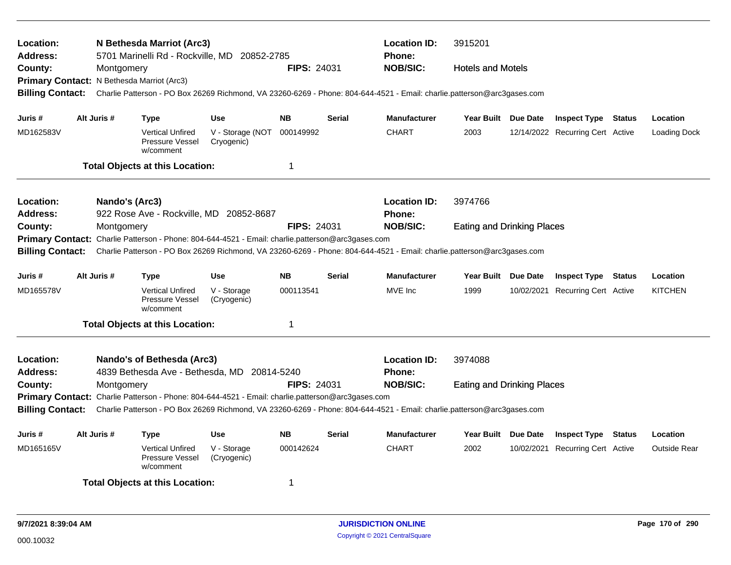| Location:<br><b>Address:</b><br>County:                                                                                                                                                                                                                                                                                                                                                                                                                                                                                                                                                                                                                                                                                                                                                        | Montgomery<br>Primary Contact: N Bethesda Marriot (Arc3) | N Bethesda Marriot (Arc3)<br>5701 Marinelli Rd - Rockville, MD 20852-2785                         |                                | <b>FIPS: 24031</b> |               | <b>Location ID:</b><br><b>Phone:</b><br><b>NOB/SIC:</b>                                                                 | 3915201<br><b>Hotels and Motels</b> |                                  |               |                     |
|------------------------------------------------------------------------------------------------------------------------------------------------------------------------------------------------------------------------------------------------------------------------------------------------------------------------------------------------------------------------------------------------------------------------------------------------------------------------------------------------------------------------------------------------------------------------------------------------------------------------------------------------------------------------------------------------------------------------------------------------------------------------------------------------|----------------------------------------------------------|---------------------------------------------------------------------------------------------------|--------------------------------|--------------------|---------------|-------------------------------------------------------------------------------------------------------------------------|-------------------------------------|----------------------------------|---------------|---------------------|
| <b>Billing Contact:</b>                                                                                                                                                                                                                                                                                                                                                                                                                                                                                                                                                                                                                                                                                                                                                                        |                                                          |                                                                                                   |                                |                    |               | Charlie Patterson - PO Box 26269 Richmond, VA 23260-6269 - Phone: 804-644-4521 - Email: charlie.patterson@arc3gases.com |                                     |                                  |               |                     |
| Juris #                                                                                                                                                                                                                                                                                                                                                                                                                                                                                                                                                                                                                                                                                                                                                                                        | Alt Juris #                                              | <b>Type</b>                                                                                       | <b>Use</b>                     | <b>NB</b>          | <b>Serial</b> | <b>Manufacturer</b>                                                                                                     | Year Built Due Date                 | <b>Inspect Type Status</b>       |               | Location            |
| MD162583V                                                                                                                                                                                                                                                                                                                                                                                                                                                                                                                                                                                                                                                                                                                                                                                      |                                                          | <b>Vertical Unfired</b><br><b>Pressure Vessel</b><br>w/comment                                    | V - Storage (NOT<br>Cryogenic) | 000149992          |               | <b>CHART</b>                                                                                                            | 2003                                | 12/14/2022 Recurring Cert Active |               | <b>Loading Dock</b> |
|                                                                                                                                                                                                                                                                                                                                                                                                                                                                                                                                                                                                                                                                                                                                                                                                |                                                          |                                                                                                   |                                | $\mathbf 1$        |               |                                                                                                                         |                                     |                                  |               |                     |
| Location:<br><b>Address:</b>                                                                                                                                                                                                                                                                                                                                                                                                                                                                                                                                                                                                                                                                                                                                                                   |                                                          |                                                                                                   |                                |                    |               | <b>Location ID:</b><br><b>Phone:</b>                                                                                    | 3974766                             |                                  |               |                     |
| County:                                                                                                                                                                                                                                                                                                                                                                                                                                                                                                                                                                                                                                                                                                                                                                                        |                                                          |                                                                                                   |                                |                    |               | <b>NOB/SIC:</b>                                                                                                         |                                     |                                  |               |                     |
| <b>Total Objects at this Location:</b><br>Nando's (Arc3)<br>922 Rose Ave - Rockville, MD 20852-8687<br><b>FIPS: 24031</b><br>Montgomery<br><b>Eating and Drinking Places</b><br>Primary Contact: Charlie Patterson - Phone: 804-644-4521 - Email: charlie.patterson@arc3gases.com<br>Charlie Patterson - PO Box 26269 Richmond, VA 23260-6269 - Phone: 804-644-4521 - Email: charlie.patterson@arc3gases.com<br><b>Billing Contact:</b><br>Alt Juris #<br><b>Use</b><br><b>NB</b><br><b>Serial</b><br><b>Manufacturer</b><br>Year Built Due Date<br><b>Inspect Type Status</b><br>Location<br>Juris #<br><b>Type</b><br>MVE Inc<br>MD165578V<br><b>Vertical Unfired</b><br>V - Storage<br>000113541<br>1999<br>10/02/2021 Recurring Cert Active<br>Pressure Vessel<br>(Cryogenic)<br>w/comment |                                                          |                                                                                                   |                                |                    |               |                                                                                                                         |                                     |                                  |               |                     |
|                                                                                                                                                                                                                                                                                                                                                                                                                                                                                                                                                                                                                                                                                                                                                                                                |                                                          |                                                                                                   |                                |                    |               |                                                                                                                         |                                     |                                  |               |                     |
|                                                                                                                                                                                                                                                                                                                                                                                                                                                                                                                                                                                                                                                                                                                                                                                                |                                                          |                                                                                                   |                                |                    |               |                                                                                                                         |                                     |                                  |               | <b>KITCHEN</b>      |
|                                                                                                                                                                                                                                                                                                                                                                                                                                                                                                                                                                                                                                                                                                                                                                                                |                                                          | <b>Total Objects at this Location:</b>                                                            |                                | -1                 |               |                                                                                                                         |                                     |                                  |               |                     |
| Location:<br>Address:                                                                                                                                                                                                                                                                                                                                                                                                                                                                                                                                                                                                                                                                                                                                                                          |                                                          | Nando's of Bethesda (Arc3)<br>4839 Bethesda Ave - Bethesda, MD 20814-5240                         |                                |                    |               | <b>Location ID:</b><br>Phone:                                                                                           | 3974088                             |                                  |               |                     |
| County:                                                                                                                                                                                                                                                                                                                                                                                                                                                                                                                                                                                                                                                                                                                                                                                        | Montgomery                                               |                                                                                                   |                                | <b>FIPS: 24031</b> |               | <b>NOB/SIC:</b>                                                                                                         | <b>Eating and Drinking Places</b>   |                                  |               |                     |
|                                                                                                                                                                                                                                                                                                                                                                                                                                                                                                                                                                                                                                                                                                                                                                                                |                                                          | Primary Contact: Charlie Patterson - Phone: 804-644-4521 - Email: charlie.patterson@arc3gases.com |                                |                    |               |                                                                                                                         |                                     |                                  |               |                     |
| <b>Billing Contact:</b>                                                                                                                                                                                                                                                                                                                                                                                                                                                                                                                                                                                                                                                                                                                                                                        |                                                          |                                                                                                   |                                |                    |               | Charlie Patterson - PO Box 26269 Richmond, VA 23260-6269 - Phone: 804-644-4521 - Email: charlie.patterson@arc3gases.com |                                     |                                  |               |                     |
| Juris #                                                                                                                                                                                                                                                                                                                                                                                                                                                                                                                                                                                                                                                                                                                                                                                        | Alt Juris #                                              | <b>Type</b>                                                                                       | <b>Use</b>                     | <b>NB</b>          | <b>Serial</b> | <b>Manufacturer</b>                                                                                                     | Year Built Due Date                 | <b>Inspect Type</b>              | <b>Status</b> | Location            |
| MD165165V                                                                                                                                                                                                                                                                                                                                                                                                                                                                                                                                                                                                                                                                                                                                                                                      |                                                          | <b>Vertical Unfired</b><br>Pressure Vessel<br>w/comment                                           | V - Storage<br>(Cryogenic)     | 000142624          |               | <b>CHART</b>                                                                                                            | 2002                                | 10/02/2021 Recurring Cert Active |               | <b>Outside Rear</b> |
|                                                                                                                                                                                                                                                                                                                                                                                                                                                                                                                                                                                                                                                                                                                                                                                                |                                                          | <b>Total Objects at this Location:</b>                                                            |                                | -1                 |               |                                                                                                                         |                                     |                                  |               |                     |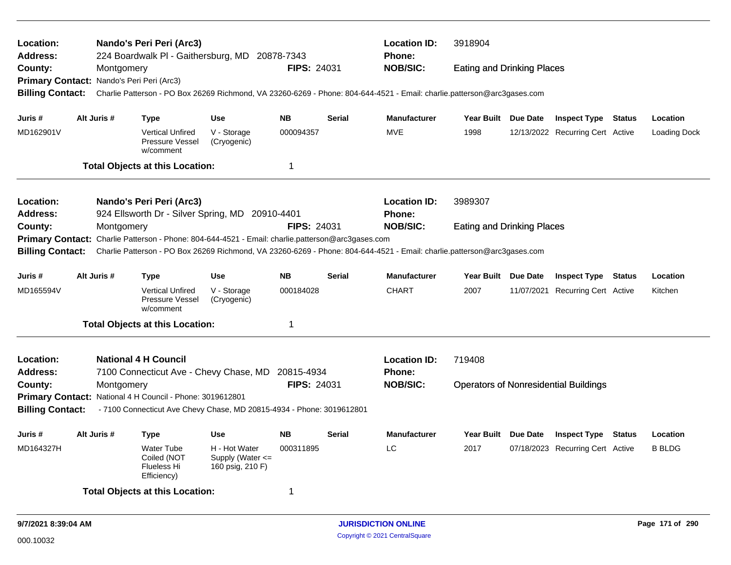| Location:<br><b>Address:</b>                                                                                                                                                                                                                                                                                                                                                                                                                                                                                                                                                                                                                                                                                                                                                                                                                                                                                                                                                                                                                                                                                                                                                                                                                                                                                                                                                                                                                                                                                                                                                                     |  |  |                                        |                  |                                                                                                                                                                                                                                                                                                                                                                                                                                                                                                                                                                                                                                                                                                                                                                                                                                                                                                                                                                                                                                            | <b>Location ID:</b><br>Phone: | 3918904 |  |  |  |
|--------------------------------------------------------------------------------------------------------------------------------------------------------------------------------------------------------------------------------------------------------------------------------------------------------------------------------------------------------------------------------------------------------------------------------------------------------------------------------------------------------------------------------------------------------------------------------------------------------------------------------------------------------------------------------------------------------------------------------------------------------------------------------------------------------------------------------------------------------------------------------------------------------------------------------------------------------------------------------------------------------------------------------------------------------------------------------------------------------------------------------------------------------------------------------------------------------------------------------------------------------------------------------------------------------------------------------------------------------------------------------------------------------------------------------------------------------------------------------------------------------------------------------------------------------------------------------------------------|--|--|----------------------------------------|------------------|--------------------------------------------------------------------------------------------------------------------------------------------------------------------------------------------------------------------------------------------------------------------------------------------------------------------------------------------------------------------------------------------------------------------------------------------------------------------------------------------------------------------------------------------------------------------------------------------------------------------------------------------------------------------------------------------------------------------------------------------------------------------------------------------------------------------------------------------------------------------------------------------------------------------------------------------------------------------------------------------------------------------------------------------|-------------------------------|---------|--|--|--|
|                                                                                                                                                                                                                                                                                                                                                                                                                                                                                                                                                                                                                                                                                                                                                                                                                                                                                                                                                                                                                                                                                                                                                                                                                                                                                                                                                                                                                                                                                                                                                                                                  |  |  |                                        |                  | <b>NOB/SIC:</b><br><b>FIPS: 24031</b><br><b>Eating and Drinking Places</b><br><b>NB</b><br><b>Serial</b><br><b>Manufacturer</b><br>Year Built Due Date<br><b>Inspect Type Status</b><br>Location<br>000094357<br><b>MVE</b><br>1998<br>Loading Dock<br>12/13/2022 Recurring Cert Active<br>$\mathbf 1$<br><b>Location ID:</b><br>3989307<br>Phone:<br><b>NOB/SIC:</b><br><b>FIPS: 24031</b><br><b>Eating and Drinking Places</b><br><b>NB</b><br><b>Manufacturer</b><br><b>Due Date</b><br><b>Serial</b><br><b>Year Built</b><br><b>Inspect Type</b><br><b>Status</b><br>Location<br>000184028<br><b>CHART</b><br>2007<br>11/07/2021 Recurring Cert Active<br>Kitchen<br>$\mathbf 1$<br><b>Location ID:</b><br>719408<br><b>Phone:</b><br><b>FIPS: 24031</b><br><b>NOB/SIC:</b><br><b>Operators of Nonresidential Buildings</b><br><b>NB</b><br><b>Serial</b><br><b>Manufacturer</b><br>Year Built Due Date<br><b>Inspect Type Status</b><br>Location<br>LC<br>000311895<br>2017<br>07/18/2023 Recurring Cert Active<br><b>B BLDG</b><br>1 |                               |         |  |  |  |
|                                                                                                                                                                                                                                                                                                                                                                                                                                                                                                                                                                                                                                                                                                                                                                                                                                                                                                                                                                                                                                                                                                                                                                                                                                                                                                                                                                                                                                                                                                                                                                                                  |  |  |                                        |                  |                                                                                                                                                                                                                                                                                                                                                                                                                                                                                                                                                                                                                                                                                                                                                                                                                                                                                                                                                                                                                                            |                               |         |  |  |  |
| Nando's Peri Peri (Arc3)<br>224 Boardwalk PI - Gaithersburg, MD 20878-7343<br>County:<br>Montgomery<br>Primary Contact: Nando's Peri Peri (Arc3)<br>Charlie Patterson - PO Box 26269 Richmond, VA 23260-6269 - Phone: 804-644-4521 - Email: charlie.patterson@arc3gases.com<br><b>Billing Contact:</b><br>Alt Juris #<br><b>Use</b><br>Juris #<br><b>Type</b><br>MD162901V<br><b>Vertical Unfired</b><br>V - Storage<br>Pressure Vessel<br>(Cryogenic)<br>w/comment<br><b>Total Objects at this Location:</b><br><b>Location:</b><br>Nando's Peri Peri (Arc3)<br><b>Address:</b><br>924 Ellsworth Dr - Silver Spring, MD 20910-4401<br>County:<br>Montgomery<br>Primary Contact: Charlie Patterson - Phone: 804-644-4521 - Email: charlie.patterson@arc3gases.com<br><b>Billing Contact:</b><br>Charlie Patterson - PO Box 26269 Richmond, VA 23260-6269 - Phone: 804-644-4521 - Email: charlie.patterson@arc3gases.com<br>Alt Juris #<br>Juris #<br><b>Type</b><br><b>Use</b><br>MD165594V<br>V - Storage<br><b>Vertical Unfired</b><br>Pressure Vessel<br>(Cryogenic)<br>w/comment<br><b>Total Objects at this Location:</b><br><b>National 4 H Council</b><br><b>Location:</b><br>7100 Connecticut Ave - Chevy Chase, MD 20815-4934<br><b>Address:</b><br>County:<br>Montgomery<br>Primary Contact: National 4 H Council - Phone: 3019612801<br><b>Billing Contact:</b><br>- 7100 Connecticut Ave Chevy Chase, MD 20815-4934 - Phone: 3019612801<br>Alt Juris #<br>Juris #<br><b>Use</b><br><b>Type</b><br>H - Hot Water<br>MD164327H<br><b>Water Tube</b><br>Coiled (NOT<br>Supply (Water <= |  |  |                                        |                  |                                                                                                                                                                                                                                                                                                                                                                                                                                                                                                                                                                                                                                                                                                                                                                                                                                                                                                                                                                                                                                            |                               |         |  |  |  |
|                                                                                                                                                                                                                                                                                                                                                                                                                                                                                                                                                                                                                                                                                                                                                                                                                                                                                                                                                                                                                                                                                                                                                                                                                                                                                                                                                                                                                                                                                                                                                                                                  |  |  |                                        |                  |                                                                                                                                                                                                                                                                                                                                                                                                                                                                                                                                                                                                                                                                                                                                                                                                                                                                                                                                                                                                                                            |                               |         |  |  |  |
|                                                                                                                                                                                                                                                                                                                                                                                                                                                                                                                                                                                                                                                                                                                                                                                                                                                                                                                                                                                                                                                                                                                                                                                                                                                                                                                                                                                                                                                                                                                                                                                                  |  |  |                                        |                  |                                                                                                                                                                                                                                                                                                                                                                                                                                                                                                                                                                                                                                                                                                                                                                                                                                                                                                                                                                                                                                            |                               |         |  |  |  |
|                                                                                                                                                                                                                                                                                                                                                                                                                                                                                                                                                                                                                                                                                                                                                                                                                                                                                                                                                                                                                                                                                                                                                                                                                                                                                                                                                                                                                                                                                                                                                                                                  |  |  |                                        |                  |                                                                                                                                                                                                                                                                                                                                                                                                                                                                                                                                                                                                                                                                                                                                                                                                                                                                                                                                                                                                                                            |                               |         |  |  |  |
|                                                                                                                                                                                                                                                                                                                                                                                                                                                                                                                                                                                                                                                                                                                                                                                                                                                                                                                                                                                                                                                                                                                                                                                                                                                                                                                                                                                                                                                                                                                                                                                                  |  |  |                                        |                  |                                                                                                                                                                                                                                                                                                                                                                                                                                                                                                                                                                                                                                                                                                                                                                                                                                                                                                                                                                                                                                            |                               |         |  |  |  |
|                                                                                                                                                                                                                                                                                                                                                                                                                                                                                                                                                                                                                                                                                                                                                                                                                                                                                                                                                                                                                                                                                                                                                                                                                                                                                                                                                                                                                                                                                                                                                                                                  |  |  |                                        |                  |                                                                                                                                                                                                                                                                                                                                                                                                                                                                                                                                                                                                                                                                                                                                                                                                                                                                                                                                                                                                                                            |                               |         |  |  |  |
|                                                                                                                                                                                                                                                                                                                                                                                                                                                                                                                                                                                                                                                                                                                                                                                                                                                                                                                                                                                                                                                                                                                                                                                                                                                                                                                                                                                                                                                                                                                                                                                                  |  |  |                                        |                  |                                                                                                                                                                                                                                                                                                                                                                                                                                                                                                                                                                                                                                                                                                                                                                                                                                                                                                                                                                                                                                            |                               |         |  |  |  |
|                                                                                                                                                                                                                                                                                                                                                                                                                                                                                                                                                                                                                                                                                                                                                                                                                                                                                                                                                                                                                                                                                                                                                                                                                                                                                                                                                                                                                                                                                                                                                                                                  |  |  |                                        |                  |                                                                                                                                                                                                                                                                                                                                                                                                                                                                                                                                                                                                                                                                                                                                                                                                                                                                                                                                                                                                                                            |                               |         |  |  |  |
|                                                                                                                                                                                                                                                                                                                                                                                                                                                                                                                                                                                                                                                                                                                                                                                                                                                                                                                                                                                                                                                                                                                                                                                                                                                                                                                                                                                                                                                                                                                                                                                                  |  |  |                                        |                  |                                                                                                                                                                                                                                                                                                                                                                                                                                                                                                                                                                                                                                                                                                                                                                                                                                                                                                                                                                                                                                            |                               |         |  |  |  |
|                                                                                                                                                                                                                                                                                                                                                                                                                                                                                                                                                                                                                                                                                                                                                                                                                                                                                                                                                                                                                                                                                                                                                                                                                                                                                                                                                                                                                                                                                                                                                                                                  |  |  |                                        |                  |                                                                                                                                                                                                                                                                                                                                                                                                                                                                                                                                                                                                                                                                                                                                                                                                                                                                                                                                                                                                                                            |                               |         |  |  |  |
|                                                                                                                                                                                                                                                                                                                                                                                                                                                                                                                                                                                                                                                                                                                                                                                                                                                                                                                                                                                                                                                                                                                                                                                                                                                                                                                                                                                                                                                                                                                                                                                                  |  |  |                                        |                  |                                                                                                                                                                                                                                                                                                                                                                                                                                                                                                                                                                                                                                                                                                                                                                                                                                                                                                                                                                                                                                            |                               |         |  |  |  |
|                                                                                                                                                                                                                                                                                                                                                                                                                                                                                                                                                                                                                                                                                                                                                                                                                                                                                                                                                                                                                                                                                                                                                                                                                                                                                                                                                                                                                                                                                                                                                                                                  |  |  |                                        |                  |                                                                                                                                                                                                                                                                                                                                                                                                                                                                                                                                                                                                                                                                                                                                                                                                                                                                                                                                                                                                                                            |                               |         |  |  |  |
|                                                                                                                                                                                                                                                                                                                                                                                                                                                                                                                                                                                                                                                                                                                                                                                                                                                                                                                                                                                                                                                                                                                                                                                                                                                                                                                                                                                                                                                                                                                                                                                                  |  |  |                                        |                  |                                                                                                                                                                                                                                                                                                                                                                                                                                                                                                                                                                                                                                                                                                                                                                                                                                                                                                                                                                                                                                            |                               |         |  |  |  |
|                                                                                                                                                                                                                                                                                                                                                                                                                                                                                                                                                                                                                                                                                                                                                                                                                                                                                                                                                                                                                                                                                                                                                                                                                                                                                                                                                                                                                                                                                                                                                                                                  |  |  |                                        |                  |                                                                                                                                                                                                                                                                                                                                                                                                                                                                                                                                                                                                                                                                                                                                                                                                                                                                                                                                                                                                                                            |                               |         |  |  |  |
|                                                                                                                                                                                                                                                                                                                                                                                                                                                                                                                                                                                                                                                                                                                                                                                                                                                                                                                                                                                                                                                                                                                                                                                                                                                                                                                                                                                                                                                                                                                                                                                                  |  |  |                                        |                  |                                                                                                                                                                                                                                                                                                                                                                                                                                                                                                                                                                                                                                                                                                                                                                                                                                                                                                                                                                                                                                            |                               |         |  |  |  |
|                                                                                                                                                                                                                                                                                                                                                                                                                                                                                                                                                                                                                                                                                                                                                                                                                                                                                                                                                                                                                                                                                                                                                                                                                                                                                                                                                                                                                                                                                                                                                                                                  |  |  |                                        |                  |                                                                                                                                                                                                                                                                                                                                                                                                                                                                                                                                                                                                                                                                                                                                                                                                                                                                                                                                                                                                                                            |                               |         |  |  |  |
|                                                                                                                                                                                                                                                                                                                                                                                                                                                                                                                                                                                                                                                                                                                                                                                                                                                                                                                                                                                                                                                                                                                                                                                                                                                                                                                                                                                                                                                                                                                                                                                                  |  |  |                                        |                  |                                                                                                                                                                                                                                                                                                                                                                                                                                                                                                                                                                                                                                                                                                                                                                                                                                                                                                                                                                                                                                            |                               |         |  |  |  |
|                                                                                                                                                                                                                                                                                                                                                                                                                                                                                                                                                                                                                                                                                                                                                                                                                                                                                                                                                                                                                                                                                                                                                                                                                                                                                                                                                                                                                                                                                                                                                                                                  |  |  |                                        |                  |                                                                                                                                                                                                                                                                                                                                                                                                                                                                                                                                                                                                                                                                                                                                                                                                                                                                                                                                                                                                                                            |                               |         |  |  |  |
|                                                                                                                                                                                                                                                                                                                                                                                                                                                                                                                                                                                                                                                                                                                                                                                                                                                                                                                                                                                                                                                                                                                                                                                                                                                                                                                                                                                                                                                                                                                                                                                                  |  |  | Flueless Hi<br>Efficiency)             | 160 psig, 210 F) |                                                                                                                                                                                                                                                                                                                                                                                                                                                                                                                                                                                                                                                                                                                                                                                                                                                                                                                                                                                                                                            |                               |         |  |  |  |
|                                                                                                                                                                                                                                                                                                                                                                                                                                                                                                                                                                                                                                                                                                                                                                                                                                                                                                                                                                                                                                                                                                                                                                                                                                                                                                                                                                                                                                                                                                                                                                                                  |  |  | <b>Total Objects at this Location:</b> |                  |                                                                                                                                                                                                                                                                                                                                                                                                                                                                                                                                                                                                                                                                                                                                                                                                                                                                                                                                                                                                                                            |                               |         |  |  |  |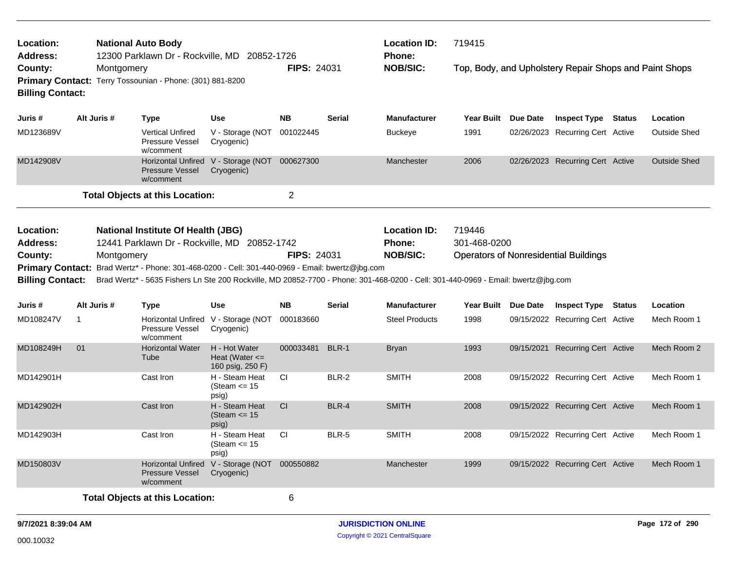| Location:<br>Address:                                              |                                                                                                                                                                                                                                                                                                                                                                                                                                                                                                                                                                                                                                                                     |                                                         |                                                                | <b>Location ID:</b><br>719415<br><b>Phone:</b><br><b>NOB/SIC:</b><br><b>FIPS: 24031</b><br>Top, Body, and Upholstery Repair Shops and Paint Shops<br><b>NB</b><br><b>Serial</b><br><b>Manufacturer</b><br>Year Built Due Date<br><b>Inspect Type Status</b><br>001022445<br><b>Buckeye</b><br>1991<br>02/26/2023 Recurring Cert Active<br>Manchester<br>2006<br>02/26/2023 Recurring Cert Active<br>$\overline{2}$<br><b>Location ID:</b><br>719446<br>301-468-0200<br><b>Phone:</b><br><b>NOB/SIC:</b><br><b>FIPS: 24031</b><br><b>Operators of Nonresidential Buildings</b><br>Brad Wertz* - 5635 Fishers Ln Ste 200 Rockville, MD 20852-7700 - Phone: 301-468-0200 - Cell: 301-440-0969 - Email: bwertz@jbg.com<br><b>NB</b><br><b>Serial</b><br><b>Manufacturer</b><br>Year Built Due Date<br><b>Inspect Type Status</b><br>000183660<br>1998<br>09/15/2022 Recurring Cert Active<br><b>Steel Products</b><br>BLR-1<br>09/15/2021 Recurring Cert Active<br>000033481<br>1993<br><b>Bryan</b><br><b>CI</b><br>BLR-2<br><b>SMITH</b><br>09/15/2022 Recurring Cert Active<br>2008<br>CI<br>BLR-4<br><b>SMITH</b><br>2008<br>09/15/2022 Recurring Cert Active<br><b>CI</b><br>BLR-5<br><b>SMITH</b><br>09/15/2022 Recurring Cert Active<br>2008<br>Manchester<br>1999<br>09/15/2022 Recurring Cert Active |  |  |  |                     |
|--------------------------------------------------------------------|---------------------------------------------------------------------------------------------------------------------------------------------------------------------------------------------------------------------------------------------------------------------------------------------------------------------------------------------------------------------------------------------------------------------------------------------------------------------------------------------------------------------------------------------------------------------------------------------------------------------------------------------------------------------|---------------------------------------------------------|----------------------------------------------------------------|-----------------------------------------------------------------------------------------------------------------------------------------------------------------------------------------------------------------------------------------------------------------------------------------------------------------------------------------------------------------------------------------------------------------------------------------------------------------------------------------------------------------------------------------------------------------------------------------------------------------------------------------------------------------------------------------------------------------------------------------------------------------------------------------------------------------------------------------------------------------------------------------------------------------------------------------------------------------------------------------------------------------------------------------------------------------------------------------------------------------------------------------------------------------------------------------------------------------------------------------------------------------------------------------------------------|--|--|--|---------------------|
| County:<br><b>Billing Contact:</b>                                 |                                                                                                                                                                                                                                                                                                                                                                                                                                                                                                                                                                                                                                                                     |                                                         |                                                                |                                                                                                                                                                                                                                                                                                                                                                                                                                                                                                                                                                                                                                                                                                                                                                                                                                                                                                                                                                                                                                                                                                                                                                                                                                                                                                           |  |  |  |                     |
| Juris #                                                            | Alt Juris #                                                                                                                                                                                                                                                                                                                                                                                                                                                                                                                                                                                                                                                         | <b>Type</b>                                             | <b>Use</b>                                                     |                                                                                                                                                                                                                                                                                                                                                                                                                                                                                                                                                                                                                                                                                                                                                                                                                                                                                                                                                                                                                                                                                                                                                                                                                                                                                                           |  |  |  | Location            |
| MD123689V                                                          |                                                                                                                                                                                                                                                                                                                                                                                                                                                                                                                                                                                                                                                                     | <b>Vertical Unfired</b><br>Pressure Vessel<br>w/comment | V - Storage (NOT<br>Cryogenic)                                 |                                                                                                                                                                                                                                                                                                                                                                                                                                                                                                                                                                                                                                                                                                                                                                                                                                                                                                                                                                                                                                                                                                                                                                                                                                                                                                           |  |  |  | Outside Shed        |
| MD142908V                                                          |                                                                                                                                                                                                                                                                                                                                                                                                                                                                                                                                                                                                                                                                     | <b>Pressure Vessel</b><br>w/comment                     | Cryogenic)                                                     |                                                                                                                                                                                                                                                                                                                                                                                                                                                                                                                                                                                                                                                                                                                                                                                                                                                                                                                                                                                                                                                                                                                                                                                                                                                                                                           |  |  |  | <b>Outside Shed</b> |
|                                                                    |                                                                                                                                                                                                                                                                                                                                                                                                                                                                                                                                                                                                                                                                     |                                                         |                                                                |                                                                                                                                                                                                                                                                                                                                                                                                                                                                                                                                                                                                                                                                                                                                                                                                                                                                                                                                                                                                                                                                                                                                                                                                                                                                                                           |  |  |  |                     |
| Location:<br><b>Address:</b><br>County:<br><b>Billing Contact:</b> |                                                                                                                                                                                                                                                                                                                                                                                                                                                                                                                                                                                                                                                                     |                                                         |                                                                |                                                                                                                                                                                                                                                                                                                                                                                                                                                                                                                                                                                                                                                                                                                                                                                                                                                                                                                                                                                                                                                                                                                                                                                                                                                                                                           |  |  |  |                     |
| Juris #                                                            |                                                                                                                                                                                                                                                                                                                                                                                                                                                                                                                                                                                                                                                                     |                                                         |                                                                |                                                                                                                                                                                                                                                                                                                                                                                                                                                                                                                                                                                                                                                                                                                                                                                                                                                                                                                                                                                                                                                                                                                                                                                                                                                                                                           |  |  |  |                     |
|                                                                    |                                                                                                                                                                                                                                                                                                                                                                                                                                                                                                                                                                                                                                                                     |                                                         | <b>Use</b>                                                     |                                                                                                                                                                                                                                                                                                                                                                                                                                                                                                                                                                                                                                                                                                                                                                                                                                                                                                                                                                                                                                                                                                                                                                                                                                                                                                           |  |  |  | Location            |
| MD108247V                                                          | $\mathbf{1}$                                                                                                                                                                                                                                                                                                                                                                                                                                                                                                                                                                                                                                                        | <b>Type</b><br>Pressure Vessel<br>w/comment             | Cryogenic)                                                     |                                                                                                                                                                                                                                                                                                                                                                                                                                                                                                                                                                                                                                                                                                                                                                                                                                                                                                                                                                                                                                                                                                                                                                                                                                                                                                           |  |  |  | Mech Room 1         |
| MD108249H                                                          | 01                                                                                                                                                                                                                                                                                                                                                                                                                                                                                                                                                                                                                                                                  | <b>Horizontal Water</b><br>Tube                         | H - Hot Water<br>Heat (Water $\leq$                            |                                                                                                                                                                                                                                                                                                                                                                                                                                                                                                                                                                                                                                                                                                                                                                                                                                                                                                                                                                                                                                                                                                                                                                                                                                                                                                           |  |  |  | Mech Room 2         |
| MD142901H                                                          |                                                                                                                                                                                                                                                                                                                                                                                                                                                                                                                                                                                                                                                                     | Cast Iron                                               | 160 psig, 250 F)<br>H - Steam Heat<br>(Steam $\le$ 15<br>psig) |                                                                                                                                                                                                                                                                                                                                                                                                                                                                                                                                                                                                                                                                                                                                                                                                                                                                                                                                                                                                                                                                                                                                                                                                                                                                                                           |  |  |  | Mech Room 1         |
| MD142902H                                                          |                                                                                                                                                                                                                                                                                                                                                                                                                                                                                                                                                                                                                                                                     | Cast Iron                                               | H - Steam Heat<br>(Steam $\le$ 15<br>psig)                     |                                                                                                                                                                                                                                                                                                                                                                                                                                                                                                                                                                                                                                                                                                                                                                                                                                                                                                                                                                                                                                                                                                                                                                                                                                                                                                           |  |  |  | Mech Room 1         |
| MD142903H                                                          |                                                                                                                                                                                                                                                                                                                                                                                                                                                                                                                                                                                                                                                                     | Cast Iron                                               | H - Steam Heat<br>(Steam $\le$ 15<br>psig)                     |                                                                                                                                                                                                                                                                                                                                                                                                                                                                                                                                                                                                                                                                                                                                                                                                                                                                                                                                                                                                                                                                                                                                                                                                                                                                                                           |  |  |  | Mech Room 1         |
| MD150803V                                                          | <b>National Auto Body</b><br>12300 Parklawn Dr - Rockville, MD 20852-1726<br>Montgomery<br>Primary Contact: Terry Tossounian - Phone: (301) 881-8200<br>Horizontal Unfired V - Storage (NOT 000627300<br><b>Total Objects at this Location:</b><br><b>National Institute Of Health (JBG)</b><br>12441 Parklawn Dr - Rockville, MD 20852-1742<br>Montgomery<br>Primary Contact: Brad Wertz* - Phone: 301-468-0200 - Cell: 301-440-0969 - Email: bwertz@jbg.com<br>Alt Juris #<br>Horizontal Unfired V - Storage (NOT<br>Horizontal Unfired V - Storage (NOT 000550882<br><b>Pressure Vessel</b><br>Cryogenic)<br>w/comment<br><b>Total Objects at this Location:</b> |                                                         |                                                                |                                                                                                                                                                                                                                                                                                                                                                                                                                                                                                                                                                                                                                                                                                                                                                                                                                                                                                                                                                                                                                                                                                                                                                                                                                                                                                           |  |  |  | Mech Room 1         |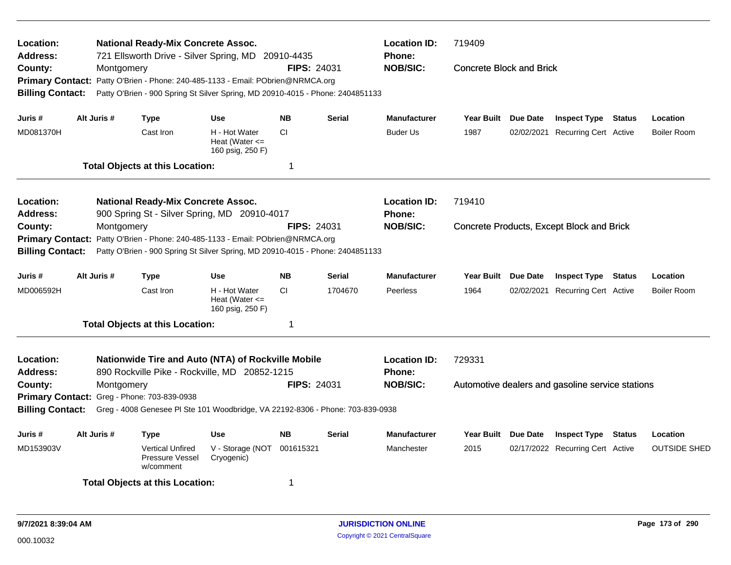| Location:<br>Address:                                         |             | <b>National Ready-Mix Concrete Assoc.</b><br>721 Ellsworth Drive - Silver Spring, MD 20910-4435                                                  |                                                         |                    |               | <b>Location ID:</b><br><b>Phone:</b> | 719409                          |                 |                                                  |               |                     |
|---------------------------------------------------------------|-------------|--------------------------------------------------------------------------------------------------------------------------------------------------|---------------------------------------------------------|--------------------|---------------|--------------------------------------|---------------------------------|-----------------|--------------------------------------------------|---------------|---------------------|
| County:<br><b>Primary Contact:</b><br><b>Billing Contact:</b> | Montgomery  | Patty O'Brien - Phone: 240-485-1133 - Email: PObrien@NRMCA.org<br>Patty O'Brien - 900 Spring St Silver Spring, MD 20910-4015 - Phone: 2404851133 |                                                         | <b>FIPS: 24031</b> |               | <b>NOB/SIC:</b>                      | <b>Concrete Block and Brick</b> |                 |                                                  |               |                     |
| Juris #                                                       | Alt Juris # | <b>Type</b>                                                                                                                                      | Use                                                     | <b>NB</b>          | <b>Serial</b> | <b>Manufacturer</b>                  | Year Built Due Date             |                 | <b>Inspect Type Status</b>                       |               | Location            |
| MD081370H                                                     |             | Cast Iron                                                                                                                                        | H - Hot Water<br>Heat (Water $\leq$<br>160 psig, 250 F) | <b>CI</b>          |               | <b>Buder Us</b>                      | 1987                            | 02/02/2021      | <b>Recurring Cert Active</b>                     |               | <b>Boiler Room</b>  |
|                                                               |             | <b>Total Objects at this Location:</b>                                                                                                           |                                                         | $\mathbf 1$        |               |                                      |                                 |                 |                                                  |               |                     |
| Location:<br><b>Address:</b>                                  |             | <b>National Ready-Mix Concrete Assoc.</b><br>900 Spring St - Silver Spring, MD 20910-4017                                                        |                                                         |                    |               | <b>Location ID:</b><br>Phone:        | 719410                          |                 |                                                  |               |                     |
| County:<br><b>Primary Contact:</b><br><b>Billing Contact:</b> | Montgomery  | Patty O'Brien - Phone: 240-485-1133 - Email: PObrien@NRMCA.org<br>Patty O'Brien - 900 Spring St Silver Spring, MD 20910-4015 - Phone: 2404851133 |                                                         | <b>FIPS: 24031</b> |               | <b>NOB/SIC:</b>                      |                                 |                 | Concrete Products, Except Block and Brick        |               |                     |
| Juris #                                                       | Alt Juris # | <b>Type</b>                                                                                                                                      | Use                                                     | <b>NB</b>          | <b>Serial</b> | <b>Manufacturer</b>                  | Year Built Due Date             |                 | <b>Inspect Type Status</b>                       |               | Location            |
| MD006592H                                                     |             | Cast Iron                                                                                                                                        | H - Hot Water<br>Heat (Water $\leq$<br>160 psig, 250 F) | <b>CI</b>          | 1704670       | Peerless                             | 1964                            | 02/02/2021      | <b>Recurring Cert Active</b>                     |               | <b>Boiler Room</b>  |
|                                                               |             | <b>Total Objects at this Location:</b>                                                                                                           |                                                         | 1                  |               |                                      |                                 |                 |                                                  |               |                     |
| Location:<br><b>Address:</b>                                  |             | Nationwide Tire and Auto (NTA) of Rockville Mobile<br>890 Rockville Pike - Rockville, MD 20852-1215                                              |                                                         |                    |               | <b>Location ID:</b><br><b>Phone:</b> | 729331                          |                 |                                                  |               |                     |
| County:<br><b>Billing Contact:</b>                            | Montgomery  | Primary Contact: Greg - Phone: 703-839-0938<br>Greg - 4008 Genesee Pl Ste 101 Woodbridge, VA 22192-8306 - Phone: 703-839-0938                    |                                                         | FIPS: 24031        |               | <b>NOB/SIC:</b>                      |                                 |                 | Automotive dealers and gasoline service stations |               |                     |
| Juris #                                                       | Alt Juris # | Type                                                                                                                                             | Use                                                     | <b>NB</b>          | <b>Serial</b> | <b>Manufacturer</b>                  | <b>Year Built</b>               | <b>Due Date</b> | <b>Inspect Type</b>                              | <b>Status</b> | Location            |
| MD153903V                                                     |             | <b>Vertical Unfired</b><br>Pressure Vessel<br>w/comment                                                                                          | V - Storage (NOT<br>Cryogenic)                          | 001615321          |               | Manchester                           | 2015                            |                 | 02/17/2022 Recurring Cert Active                 |               | <b>OUTSIDE SHED</b> |
|                                                               |             | <b>Total Objects at this Location:</b>                                                                                                           |                                                         | 1                  |               |                                      |                                 |                 |                                                  |               |                     |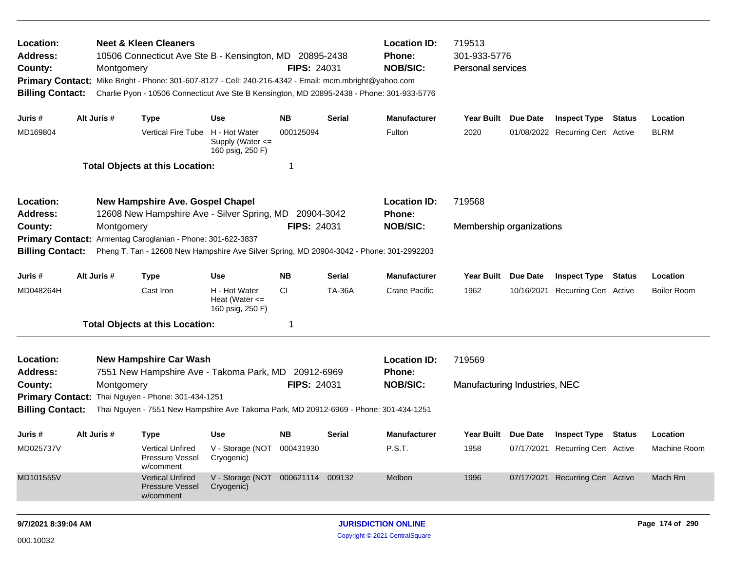| Location:<br>Address:<br>County:<br><b>Primary Contact:</b><br><b>Billing Contact:</b> | Montgomery  | <b>Neet &amp; Kleen Cleaners</b><br>10506 Connecticut Ave Ste B - Kensington, MD 20895-2438<br>Mike Bright - Phone: 301-607-8127 - Cell: 240-216-4342 - Email: mcm.mbright@yahoo.com<br>Charlie Pyon - 10506 Connecticut Ave Ste B Kensington, MD 20895-2438 - Phone: 301-933-5776 |                                                         | <b>FIPS: 24031</b> |               | <b>Location ID:</b><br>Phone:<br><b>NOB/SIC:</b> | 719513<br>301-933-5776<br>Personal services |          |                                  |                    |
|----------------------------------------------------------------------------------------|-------------|------------------------------------------------------------------------------------------------------------------------------------------------------------------------------------------------------------------------------------------------------------------------------------|---------------------------------------------------------|--------------------|---------------|--------------------------------------------------|---------------------------------------------|----------|----------------------------------|--------------------|
| Juris #                                                                                | Alt Juris # | <b>Type</b>                                                                                                                                                                                                                                                                        | Use                                                     | NB.                | Serial        | <b>Manufacturer</b>                              | Year Built Due Date                         |          | <b>Inspect Type Status</b>       | Location           |
| MD169804                                                                               |             | <b>Vertical Fire Tube</b>                                                                                                                                                                                                                                                          | H - Hot Water<br>Supply (Water <=<br>160 psig, 250 F)   | 000125094          |               | Fulton                                           | 2020                                        |          | 01/08/2022 Recurring Cert Active | <b>BLRM</b>        |
|                                                                                        |             | <b>Total Objects at this Location:</b>                                                                                                                                                                                                                                             |                                                         | -1                 |               |                                                  |                                             |          |                                  |                    |
| Location:<br>Address:                                                                  |             | <b>New Hampshire Ave. Gospel Chapel</b><br>12608 New Hampshire Ave - Silver Spring, MD 20904-3042                                                                                                                                                                                  |                                                         |                    |               | <b>Location ID:</b><br><b>Phone:</b>             | 719568                                      |          |                                  |                    |
| County:                                                                                | Montgomery  |                                                                                                                                                                                                                                                                                    |                                                         | <b>FIPS: 24031</b> |               | <b>NOB/SIC:</b>                                  | Membership organizations                    |          |                                  |                    |
| <b>Primary Contact:</b><br><b>Billing Contact:</b>                                     |             | Armentag Caroglanian - Phone: 301-622-3837<br>Pheng T. Tan - 12608 New Hampshire Ave Silver Spring, MD 20904-3042 - Phone: 301-2992203                                                                                                                                             |                                                         |                    |               |                                                  |                                             |          |                                  |                    |
| Juris #                                                                                | Alt Juris # | <b>Type</b>                                                                                                                                                                                                                                                                        | <b>Use</b>                                              | <b>NB</b>          | <b>Serial</b> | <b>Manufacturer</b>                              | <b>Year Built</b>                           | Due Date | <b>Inspect Type Status</b>       | Location           |
| MD048264H                                                                              |             | Cast Iron                                                                                                                                                                                                                                                                          | H - Hot Water<br>Heat (Water $\leq$<br>160 psig, 250 F) | CI.                | <b>TA-36A</b> | <b>Crane Pacific</b>                             | 1962                                        |          | 10/16/2021 Recurring Cert Active | <b>Boiler Room</b> |
|                                                                                        |             | <b>Total Objects at this Location:</b>                                                                                                                                                                                                                                             |                                                         | -1                 |               |                                                  |                                             |          |                                  |                    |
| Location:<br><b>Address:</b>                                                           |             | <b>New Hampshire Car Wash</b><br>7551 New Hampshire Ave - Takoma Park, MD 20912-6969                                                                                                                                                                                               |                                                         |                    |               | <b>Location ID:</b><br>Phone:                    | 719569                                      |          |                                  |                    |
| County:                                                                                | Montgomery  |                                                                                                                                                                                                                                                                                    |                                                         | <b>FIPS: 24031</b> |               | <b>NOB/SIC:</b>                                  | Manufacturing Industries, NEC               |          |                                  |                    |
|                                                                                        |             | Primary Contact: Thai Nguyen - Phone: 301-434-1251                                                                                                                                                                                                                                 |                                                         |                    |               |                                                  |                                             |          |                                  |                    |
| <b>Billing Contact:</b>                                                                |             | Thai Nguyen - 7551 New Hampshire Ave Takoma Park, MD 20912-6969 - Phone: 301-434-1251                                                                                                                                                                                              |                                                         |                    |               |                                                  |                                             |          |                                  |                    |
| Juris #                                                                                | Alt Juris # | <b>Type</b>                                                                                                                                                                                                                                                                        | Use                                                     | <b>NB</b>          | Serial        | <b>Manufacturer</b>                              | Year Built Due Date                         |          | <b>Inspect Type Status</b>       | Location           |
| MD025737V                                                                              |             | <b>Vertical Unfired</b><br>Pressure Vessel<br>w/comment                                                                                                                                                                                                                            | V - Storage (NOT 000431930<br>Cryogenic)                |                    |               | P.S.T.                                           | 1958                                        |          | 07/17/2021 Recurring Cert Active | Machine Room       |
| MD101555V                                                                              |             | <b>Vertical Unfired</b><br><b>Pressure Vessel</b><br>w/comment                                                                                                                                                                                                                     | V - Storage (NOT 000621114 009132<br>Cryogenic)         |                    |               | Melben                                           | 1996                                        |          | 07/17/2021 Recurring Cert Active | Mach Rm            |
| 9/7/2021 8:39:04 AM                                                                    |             |                                                                                                                                                                                                                                                                                    |                                                         |                    |               | <b>JURISDICTION ONLINE</b>                       |                                             |          |                                  | Page 174 of 290    |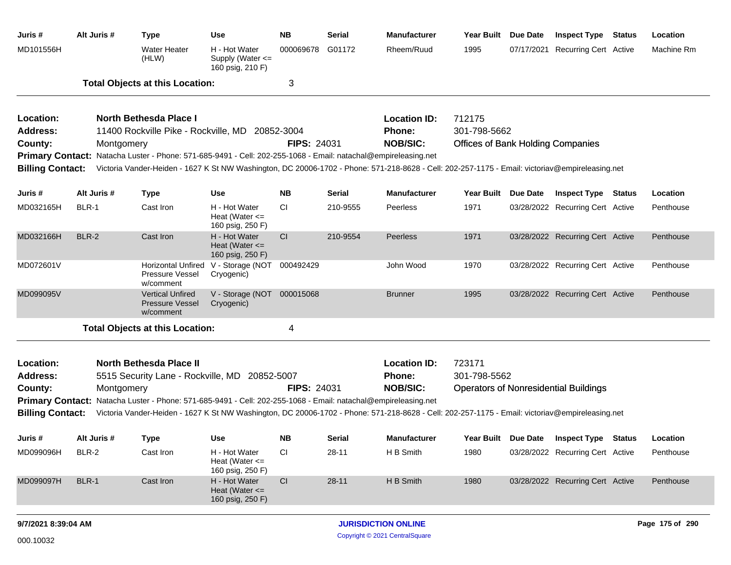| Juris #                      | Alt Juris #  | <b>Type</b>                                                                                                                                     | <b>Use</b>                                              | NΒ                 | <b>Serial</b> | <b>Manufacturer</b>                  | <b>Year Built</b>                        | Due Date | <b>Inspect Type Status</b>                   | Location        |
|------------------------------|--------------|-------------------------------------------------------------------------------------------------------------------------------------------------|---------------------------------------------------------|--------------------|---------------|--------------------------------------|------------------------------------------|----------|----------------------------------------------|-----------------|
| MD101556H                    |              | <b>Water Heater</b><br>(HLW)                                                                                                                    | H - Hot Water<br>Supply (Water <=<br>160 psig, 210 F)   | 000069678          | G01172        | Rheem/Ruud                           | 1995                                     |          | 07/17/2021 Recurring Cert Active             | Machine Rm      |
|                              |              | <b>Total Objects at this Location:</b>                                                                                                          |                                                         | 3                  |               |                                      |                                          |          |                                              |                 |
| Location:                    |              | North Bethesda Place I                                                                                                                          |                                                         |                    |               | <b>Location ID:</b>                  | 712175                                   |          |                                              |                 |
| Address:                     |              | 11400 Rockville Pike - Rockville, MD                                                                                                            |                                                         | 20852-3004         |               | <b>Phone:</b>                        | 301-798-5662                             |          |                                              |                 |
| County:                      | Montgomery   |                                                                                                                                                 |                                                         | <b>FIPS: 24031</b> |               | <b>NOB/SIC:</b>                      | <b>Offices of Bank Holding Companies</b> |          |                                              |                 |
|                              |              | Primary Contact: Natacha Luster - Phone: 571-685-9491 - Cell: 202-255-1068 - Email: natachal@empireleasing.net                                  |                                                         |                    |               |                                      |                                          |          |                                              |                 |
| <b>Billing Contact:</b>      |              | Victoria Vander-Heiden - 1627 K St NW Washington, DC 20006-1702 - Phone: 571-218-8628 - Cell: 202-257-1175 - Email: victoriav@empireleasing.net |                                                         |                    |               |                                      |                                          |          |                                              |                 |
| Juris #                      | Alt Juris #  | <b>Type</b>                                                                                                                                     | <b>Use</b>                                              | <b>NB</b>          | <b>Serial</b> | <b>Manufacturer</b>                  | <b>Year Built</b>                        | Due Date | <b>Inspect Type Status</b>                   | Location        |
| MD032165H                    | BLR-1        | Cast Iron                                                                                                                                       | H - Hot Water<br>Heat (Water $\leq$<br>160 psig, 250 F) | СI                 | 210-9555      | Peerless                             | 1971                                     |          | 03/28/2022 Recurring Cert Active             | Penthouse       |
| MD032166H                    | <b>BLR-2</b> | Cast Iron                                                                                                                                       | H - Hot Water<br>Heat (Water $\leq$<br>160 psig, 250 F) | CI                 | 210-9554      | Peerless                             | 1971                                     |          | 03/28/2022 Recurring Cert Active             | Penthouse       |
| MD072601V                    |              | Pressure Vessel<br>w/comment                                                                                                                    | Horizontal Unfired V - Storage (NOT<br>Cryogenic)       | 000492429          |               | John Wood                            | 1970                                     |          | 03/28/2022 Recurring Cert Active             | Penthouse       |
| MD099095V                    |              | <b>Vertical Unfired</b><br><b>Pressure Vessel</b><br>w/comment                                                                                  | V - Storage (NOT<br>Cryogenic)                          | 000015068          |               | <b>Brunner</b>                       | 1995                                     |          | 03/28/2022 Recurring Cert Active             | Penthouse       |
|                              |              | <b>Total Objects at this Location:</b>                                                                                                          |                                                         | 4                  |               |                                      |                                          |          |                                              |                 |
|                              |              |                                                                                                                                                 |                                                         |                    |               |                                      | 723171                                   |          |                                              |                 |
| Location:<br><b>Address:</b> |              | <b>North Bethesda Place II</b><br>5515 Security Lane - Rockville, MD 20852-5007                                                                 |                                                         |                    |               | <b>Location ID:</b><br><b>Phone:</b> | 301-798-5562                             |          |                                              |                 |
| County:                      | Montgomery   |                                                                                                                                                 |                                                         | <b>FIPS: 24031</b> |               | <b>NOB/SIC:</b>                      |                                          |          | <b>Operators of Nonresidential Buildings</b> |                 |
| <b>Primary Contact:</b>      |              | Natacha Luster - Phone: 571-685-9491 - Cell: 202-255-1068 - Email: natachal@empireleasing.net                                                   |                                                         |                    |               |                                      |                                          |          |                                              |                 |
| <b>Billing Contact:</b>      |              | Victoria Vander-Heiden - 1627 K St NW Washington, DC 20006-1702 - Phone: 571-218-8628 - Cell: 202-257-1175 - Email: victoriav@empireleasing.net |                                                         |                    |               |                                      |                                          |          |                                              |                 |
| Juris #                      | Alt Juris #  | Type                                                                                                                                            | <b>Use</b>                                              | NΒ                 | <b>Serial</b> | <b>Manufacturer</b>                  | <b>Year Built</b>                        | Due Date | <b>Inspect Type Status</b>                   | Location        |
| MD099096H                    | BLR-2        | Cast Iron                                                                                                                                       | H - Hot Water<br>Heat (Water $\leq$<br>160 psig, 250 F) | <b>CI</b>          | $28-11$       | H B Smith                            | 1980                                     |          | 03/28/2022 Recurring Cert Active             | Penthouse       |
| MD099097H                    | BLR-1        | Cast Iron                                                                                                                                       | H - Hot Water<br>Heat (Water $\leq$<br>160 psig, 250 F) | CI                 | $28 - 11$     | H B Smith                            | 1980                                     |          | 03/28/2022 Recurring Cert Active             | Penthouse       |
| 9/7/2021 8:39:04 AM          |              |                                                                                                                                                 |                                                         |                    |               | <b>JURISDICTION ONLINE</b>           |                                          |          |                                              | Page 175 of 290 |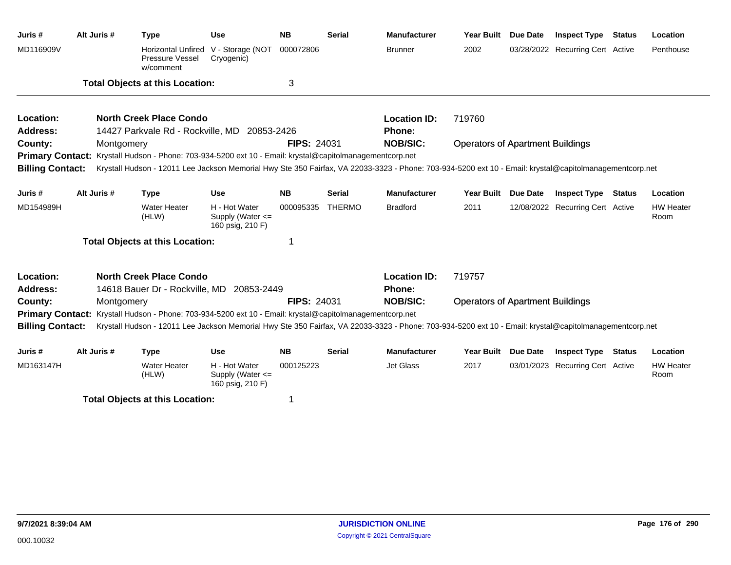| Juris#                  | Alt Juris # | <b>Type</b>                                                                                                                                             | <b>Use</b>                                                | <b>NB</b>          | <b>Serial</b> | <b>Manufacturer</b> | <b>Year Built</b>                       | Due Date        | <b>Inspect Type</b>              | <b>Status</b> | Location                 |
|-------------------------|-------------|---------------------------------------------------------------------------------------------------------------------------------------------------------|-----------------------------------------------------------|--------------------|---------------|---------------------|-----------------------------------------|-----------------|----------------------------------|---------------|--------------------------|
| MD116909V               |             | <b>Horizontal Unfired</b><br>Pressure Vessel<br>w/comment                                                                                               | V - Storage (NOT<br>Cryogenic)                            | 000072806          |               | <b>Brunner</b>      | 2002                                    |                 | 03/28/2022 Recurring Cert Active |               | Penthouse                |
|                         |             | <b>Total Objects at this Location:</b>                                                                                                                  |                                                           | 3                  |               |                     |                                         |                 |                                  |               |                          |
| Location:               |             | <b>North Creek Place Condo</b>                                                                                                                          |                                                           |                    |               | <b>Location ID:</b> | 719760                                  |                 |                                  |               |                          |
| Address:                |             | 14427 Parkvale Rd - Rockville, MD                                                                                                                       | 20853-2426                                                |                    |               | <b>Phone:</b>       |                                         |                 |                                  |               |                          |
| County:                 | Montgomery  |                                                                                                                                                         |                                                           | <b>FIPS: 24031</b> |               | <b>NOB/SIC:</b>     | <b>Operators of Apartment Buildings</b> |                 |                                  |               |                          |
|                         |             | Primary Contact: Krystall Hudson - Phone: 703-934-5200 ext 10 - Email: krystal@capitolmanagementcorp.net                                                |                                                           |                    |               |                     |                                         |                 |                                  |               |                          |
| <b>Billing Contact:</b> |             | Krystall Hudson - 12011 Lee Jackson Memorial Hwy Ste 350 Fairfax, VA 22033-3323 - Phone: 703-934-5200 ext 10 - Email: krystal@capitolmanagementcorp.net |                                                           |                    |               |                     |                                         |                 |                                  |               |                          |
| Juris #                 | Alt Juris # | <b>Type</b>                                                                                                                                             | <b>Use</b>                                                | <b>NB</b>          | <b>Serial</b> | <b>Manufacturer</b> | <b>Year Built</b>                       | <b>Due Date</b> | <b>Inspect Type</b>              | <b>Status</b> | Location                 |
| MD154989H               |             | <b>Water Heater</b><br>(HLW)                                                                                                                            | H - Hot Water<br>Supply (Water <=<br>160 psig, 210 F)     | 000095335          | <b>THERMO</b> | <b>Bradford</b>     | 2011                                    |                 | 12/08/2022 Recurring Cert Active |               | <b>HW Heater</b><br>Room |
|                         |             | <b>Total Objects at this Location:</b>                                                                                                                  |                                                           | 1                  |               |                     |                                         |                 |                                  |               |                          |
| Location:               |             | <b>North Creek Place Condo</b>                                                                                                                          |                                                           |                    |               | <b>Location ID:</b> | 719757                                  |                 |                                  |               |                          |
| <b>Address:</b>         |             | 14618 Bauer Dr - Rockville, MD 20853-2449                                                                                                               |                                                           |                    |               | Phone:              |                                         |                 |                                  |               |                          |
| County:                 | Montgomery  |                                                                                                                                                         |                                                           | <b>FIPS: 24031</b> |               | <b>NOB/SIC:</b>     | <b>Operators of Apartment Buildings</b> |                 |                                  |               |                          |
|                         |             | Primary Contact: Krystall Hudson - Phone: 703-934-5200 ext 10 - Email: krystal@capitolmanagementcorp.net                                                |                                                           |                    |               |                     |                                         |                 |                                  |               |                          |
| <b>Billing Contact:</b> |             | Krystall Hudson - 12011 Lee Jackson Memorial Hwy Ste 350 Fairfax, VA 22033-3323 - Phone: 703-934-5200 ext 10 - Email: krystal@capitolmanagementcorp.net |                                                           |                    |               |                     |                                         |                 |                                  |               |                          |
| Juris #                 | Alt Juris # | <b>Type</b>                                                                                                                                             | <b>Use</b>                                                | <b>NB</b>          | <b>Serial</b> | <b>Manufacturer</b> | <b>Year Built</b>                       | <b>Due Date</b> | <b>Inspect Type</b>              | <b>Status</b> | Location                 |
| MD163147H               |             | <b>Water Heater</b><br>(HLW)                                                                                                                            | H - Hot Water<br>Supply (Water $\leq$<br>160 psig, 210 F) | 000125223          |               | <b>Jet Glass</b>    | 2017                                    |                 | 03/01/2023 Recurring Cert Active |               | <b>HW Heater</b><br>Room |
|                         |             | <b>Total Objects at this Location:</b>                                                                                                                  |                                                           | 1                  |               |                     |                                         |                 |                                  |               |                          |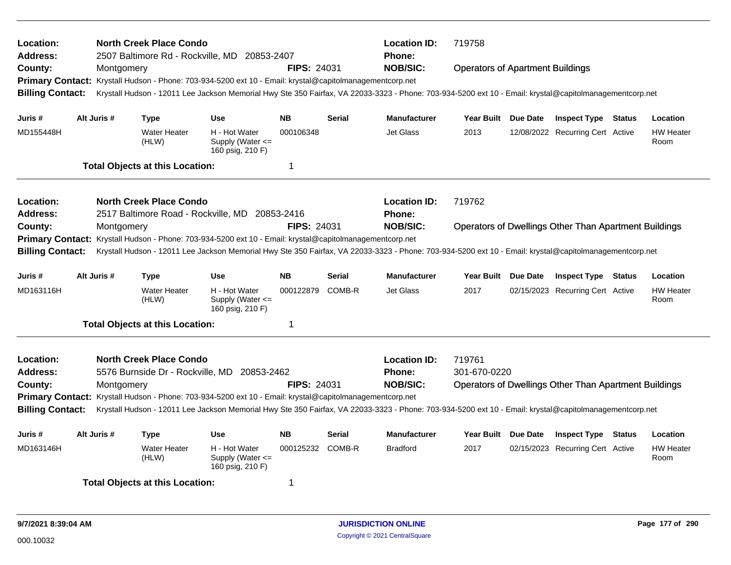| Location:<br>Address:   |                                |             | <b>North Creek Place Condo</b>         | 2507 Baltimore Rd - Rockville, MD 20853-2407                                                                                                            |                    |                                         | <b>Location ID:</b><br>Phone: | 719758                                                       |  |                                  |  |                          |  |  |
|-------------------------|--------------------------------|-------------|----------------------------------------|---------------------------------------------------------------------------------------------------------------------------------------------------------|--------------------|-----------------------------------------|-------------------------------|--------------------------------------------------------------|--|----------------------------------|--|--------------------------|--|--|
| County:                 |                                | Montgomery  |                                        |                                                                                                                                                         | <b>NOB/SIC:</b>    | <b>Operators of Apartment Buildings</b> |                               |                                                              |  |                                  |  |                          |  |  |
| <b>Primary Contact:</b> |                                |             |                                        | Krystall Hudson - Phone: 703-934-5200 ext 10 - Email: krystal@capitolmanagementcorp.net                                                                 |                    |                                         |                               |                                                              |  |                                  |  |                          |  |  |
| <b>Billing Contact:</b> |                                |             |                                        | Krystall Hudson - 12011 Lee Jackson Memorial Hwy Ste 350 Fairfax, VA 22033-3323 - Phone: 703-934-5200 ext 10 - Email: krystal@capitolmanagementcorp.net |                    |                                         |                               |                                                              |  |                                  |  |                          |  |  |
| Juris #                 |                                | Alt Juris # | <b>Type</b>                            | <b>Use</b>                                                                                                                                              | <b>NB</b>          | <b>Serial</b>                           | <b>Manufacturer</b>           | Year Built Due Date                                          |  | <b>Inspect Type Status</b>       |  | Location                 |  |  |
| MD155448H               |                                |             | <b>Water Heater</b><br>(HLW)           | H - Hot Water<br>Supply (Water $\leq$<br>160 psig, 210 F)                                                                                               | 000106348          |                                         | Jet Glass                     | 2013                                                         |  | 12/08/2022 Recurring Cert Active |  | <b>HW Heater</b><br>Room |  |  |
|                         |                                |             | <b>Total Objects at this Location:</b> |                                                                                                                                                         | 1                  |                                         |                               |                                                              |  |                                  |  |                          |  |  |
| Location:               | <b>North Creek Place Condo</b> |             |                                        |                                                                                                                                                         |                    |                                         |                               | 719762                                                       |  |                                  |  |                          |  |  |
| Address:                |                                |             |                                        | 2517 Baltimore Road - Rockville, MD 20853-2416                                                                                                          |                    |                                         | Phone:                        |                                                              |  |                                  |  |                          |  |  |
| County:                 |                                | Montgomery  |                                        |                                                                                                                                                         | <b>FIPS: 24031</b> |                                         | <b>NOB/SIC:</b>               | <b>Operators of Dwellings Other Than Apartment Buildings</b> |  |                                  |  |                          |  |  |
| <b>Primary Contact:</b> |                                |             |                                        | Krystall Hudson - Phone: 703-934-5200 ext 10 - Email: krystal@capitolmanagementcorp.net                                                                 |                    |                                         |                               |                                                              |  |                                  |  |                          |  |  |
| <b>Billing Contact:</b> |                                |             |                                        | Krystall Hudson - 12011 Lee Jackson Memorial Hwy Ste 350 Fairfax, VA 22033-3323 - Phone: 703-934-5200 ext 10 - Email: krystal@capitolmanagementcorp.net |                    |                                         |                               |                                                              |  |                                  |  |                          |  |  |
| Juris #                 |                                | Alt Juris # | <b>Type</b>                            | <b>Use</b>                                                                                                                                              | <b>NB</b>          | <b>Serial</b>                           | <b>Manufacturer</b>           | Year Built Due Date                                          |  | <b>Inspect Type Status</b>       |  | Location                 |  |  |
| MD163116H               |                                |             | <b>Water Heater</b><br>(HLW)           | H - Hot Water<br>Supply (Water <=<br>160 psig, 210 F)                                                                                                   | 000122879          | COMB-R                                  | Jet Glass                     | 2017                                                         |  | 02/15/2023 Recurring Cert Active |  | <b>HW Heater</b><br>Room |  |  |
|                         |                                |             | <b>Total Objects at this Location:</b> |                                                                                                                                                         | 1                  |                                         |                               |                                                              |  |                                  |  |                          |  |  |
| Location:               |                                |             | <b>North Creek Place Condo</b>         |                                                                                                                                                         |                    |                                         | <b>Location ID:</b>           | 719761                                                       |  |                                  |  |                          |  |  |
| <b>Address:</b>         |                                |             |                                        | 5576 Burnside Dr - Rockville, MD 20853-2462                                                                                                             |                    |                                         | <b>Phone:</b>                 | 301-670-0220                                                 |  |                                  |  |                          |  |  |
| County:                 |                                | Montgomery  |                                        |                                                                                                                                                         | <b>FIPS: 24031</b> |                                         | <b>NOB/SIC:</b>               | <b>Operators of Dwellings Other Than Apartment Buildings</b> |  |                                  |  |                          |  |  |
| <b>Primary Contact:</b> |                                |             |                                        | Krystall Hudson - Phone: 703-934-5200 ext 10 - Email: krystal@capitolmanagementcorp.net                                                                 |                    |                                         |                               |                                                              |  |                                  |  |                          |  |  |
| <b>Billing Contact:</b> |                                |             |                                        | Krystall Hudson - 12011 Lee Jackson Memorial Hwy Ste 350 Fairfax, VA 22033-3323 - Phone: 703-934-5200 ext 10 - Email: krystal@capitolmanagementcorp.net |                    |                                         |                               |                                                              |  |                                  |  |                          |  |  |
| Juris #                 |                                | Alt Juris # | <b>Type</b>                            | <b>Use</b>                                                                                                                                              | <b>NB</b>          | <b>Serial</b>                           | <b>Manufacturer</b>           | Year Built Due Date                                          |  | <b>Inspect Type Status</b>       |  | Location                 |  |  |
| MD163146H               |                                |             | <b>Water Heater</b><br>(HLW)           | H - Hot Water<br>Supply (Water $\leq$<br>160 psig, 210 F)                                                                                               | 000125232 COMB-R   |                                         | <b>Bradford</b>               | 2017                                                         |  | 02/15/2023 Recurring Cert Active |  | <b>HW Heater</b><br>Room |  |  |
|                         |                                |             | <b>Total Objects at this Location:</b> |                                                                                                                                                         | 1                  |                                         |                               |                                                              |  |                                  |  |                          |  |  |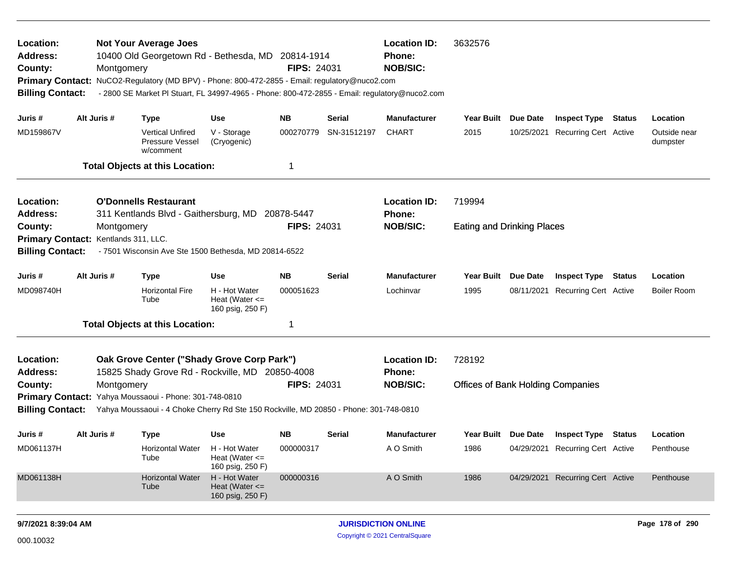| Location:<br><b>Address:</b><br>County:<br><b>Billing Contact:</b> | Montgomery                                                                          | <b>Not Your Average Joes</b><br>10400 Old Georgetown Rd - Bethesda, MD 20814-1914<br>Primary Contact: NuCO2-Regulatory (MD BPV) - Phone: 800-472-2855 - Email: regulatory@nuco2.com<br>- 2800 SE Market PI Stuart, FL 34997-4965 - Phone: 800-472-2855 - Email: regulatory@nuco2.com |                                                         | <b>FIPS: 24031</b> |               | <b>Location ID:</b><br><b>Phone:</b><br><b>NOB/SIC:</b> | 3632576                                  |          |                                  |  |                          |  |
|--------------------------------------------------------------------|-------------------------------------------------------------------------------------|--------------------------------------------------------------------------------------------------------------------------------------------------------------------------------------------------------------------------------------------------------------------------------------|---------------------------------------------------------|--------------------|---------------|---------------------------------------------------------|------------------------------------------|----------|----------------------------------|--|--------------------------|--|
| Juris #                                                            | Alt Juris #                                                                         | <b>Type</b>                                                                                                                                                                                                                                                                          | <b>Use</b>                                              | NB.                | Serial        | <b>Manufacturer</b>                                     | Year Built Due Date                      |          | <b>Inspect Type Status</b>       |  | Location                 |  |
| MD159867V                                                          |                                                                                     | <b>Vertical Unfired</b><br>Pressure Vessel<br>w/comment                                                                                                                                                                                                                              | V - Storage<br>(Cryogenic)                              | 000270779          | SN-31512197   | <b>CHART</b>                                            | 2015                                     |          | 10/25/2021 Recurring Cert Active |  | Outside near<br>dumpster |  |
|                                                                    |                                                                                     | <b>Total Objects at this Location:</b>                                                                                                                                                                                                                                               |                                                         |                    |               |                                                         |                                          |          |                                  |  |                          |  |
| Location:<br><b>Address:</b>                                       | <b>O'Donnells Restaurant</b><br>311 Kentlands Blvd - Gaithersburg, MD<br>20878-5447 |                                                                                                                                                                                                                                                                                      |                                                         |                    |               | <b>Location ID:</b><br><b>Phone:</b>                    | 719994                                   |          |                                  |  |                          |  |
| County:                                                            | Montgomery                                                                          |                                                                                                                                                                                                                                                                                      |                                                         | <b>FIPS: 24031</b> |               | <b>NOB/SIC:</b>                                         | <b>Eating and Drinking Places</b>        |          |                                  |  |                          |  |
|                                                                    | Primary Contact: Kentlands 311, LLC.                                                |                                                                                                                                                                                                                                                                                      |                                                         |                    |               |                                                         |                                          |          |                                  |  |                          |  |
| <b>Billing Contact:</b>                                            |                                                                                     | - 7501 Wisconsin Ave Ste 1500 Bethesda, MD 20814-6522                                                                                                                                                                                                                                |                                                         |                    |               |                                                         |                                          |          |                                  |  |                          |  |
| Juris #                                                            | Alt Juris #                                                                         | <b>Type</b>                                                                                                                                                                                                                                                                          | <b>Use</b>                                              | <b>NB</b>          | <b>Serial</b> | <b>Manufacturer</b>                                     | <b>Year Built</b>                        | Due Date | <b>Inspect Type Status</b>       |  | Location                 |  |
| MD098740H                                                          |                                                                                     | <b>Horizontal Fire</b><br>Tube                                                                                                                                                                                                                                                       | H - Hot Water<br>Heat (Water $\leq$<br>160 psig, 250 F) | 000051623          |               | Lochinvar                                               | 1995                                     |          | 08/11/2021 Recurring Cert Active |  | <b>Boiler Room</b>       |  |
|                                                                    |                                                                                     | <b>Total Objects at this Location:</b>                                                                                                                                                                                                                                               |                                                         | -1                 |               |                                                         |                                          |          |                                  |  |                          |  |
| Location:<br><b>Address:</b>                                       |                                                                                     | Oak Grove Center ("Shady Grove Corp Park")<br>15825 Shady Grove Rd - Rockville, MD 20850-4008                                                                                                                                                                                        |                                                         |                    |               | <b>Location ID:</b><br>Phone:                           | 728192                                   |          |                                  |  |                          |  |
| County:                                                            | Montgomery                                                                          |                                                                                                                                                                                                                                                                                      |                                                         | <b>FIPS: 24031</b> |               | <b>NOB/SIC:</b>                                         | <b>Offices of Bank Holding Companies</b> |          |                                  |  |                          |  |
|                                                                    |                                                                                     | Primary Contact: Yahya Moussaoui - Phone: 301-748-0810                                                                                                                                                                                                                               |                                                         |                    |               |                                                         |                                          |          |                                  |  |                          |  |
| <b>Billing Contact:</b>                                            |                                                                                     | Yahya Moussaoui - 4 Choke Cherry Rd Ste 150 Rockville, MD 20850 - Phone: 301-748-0810                                                                                                                                                                                                |                                                         |                    |               |                                                         |                                          |          |                                  |  |                          |  |
| Juris #                                                            | Alt Juris #                                                                         | <b>Type</b>                                                                                                                                                                                                                                                                          | <b>Use</b>                                              | <b>NB</b>          | <b>Serial</b> | <b>Manufacturer</b>                                     | Year Built Due Date                      |          | <b>Inspect Type Status</b>       |  | Location                 |  |
| MD061137H                                                          |                                                                                     | <b>Horizontal Water</b><br>Tube                                                                                                                                                                                                                                                      | H - Hot Water<br>Heat (Water $\leq$<br>160 psig, 250 F) | 000000317          |               | A O Smith                                               | 1986                                     |          | 04/29/2021 Recurring Cert Active |  | Penthouse                |  |
| MD061138H                                                          |                                                                                     | <b>Horizontal Water</b><br>Tube                                                                                                                                                                                                                                                      | H - Hot Water<br>Heat (Water $\leq$<br>160 psig, 250 F) | 000000316          |               | A O Smith                                               | 1986                                     |          | 04/29/2021 Recurring Cert Active |  | Penthouse                |  |
| 9/7/2021 8:39:04 AM                                                |                                                                                     |                                                                                                                                                                                                                                                                                      |                                                         |                    |               | <b>JURISDICTION ONLINE</b>                              |                                          |          |                                  |  | Page 178 of 290          |  |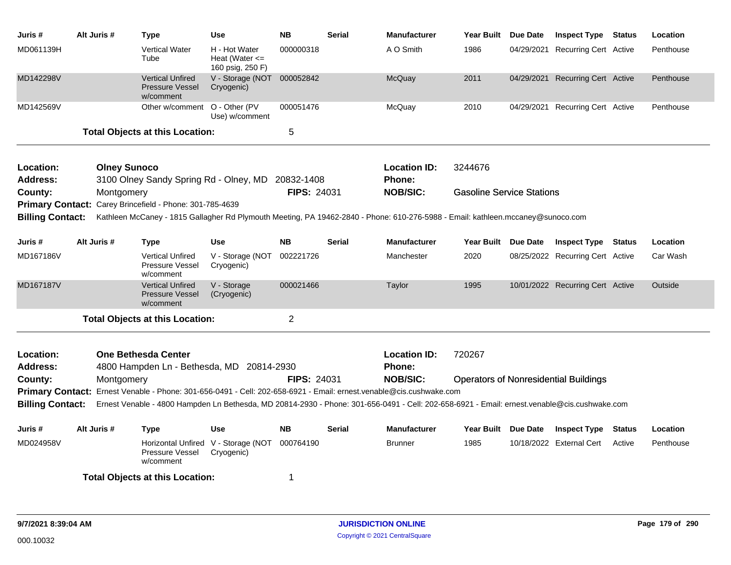| Juris #                                                                                                                                                                 | Alt Juris # | Type                                                                                                                            | <b>Use</b>                                              | <b>NB</b>          | <b>Serial</b> | <b>Manufacturer</b> | Year Built Due Date                          |  | <b>Inspect Type Status</b>       |               | Location  |  |
|-------------------------------------------------------------------------------------------------------------------------------------------------------------------------|-------------|---------------------------------------------------------------------------------------------------------------------------------|---------------------------------------------------------|--------------------|---------------|---------------------|----------------------------------------------|--|----------------------------------|---------------|-----------|--|
| MD061139H                                                                                                                                                               |             | <b>Vertical Water</b><br>Tube                                                                                                   | H - Hot Water<br>Heat (Water $\leq$<br>160 psig, 250 F) | 000000318          |               | A O Smith           | 1986                                         |  | 04/29/2021 Recurring Cert Active |               | Penthouse |  |
| MD142298V                                                                                                                                                               |             | <b>Vertical Unfired</b><br><b>Pressure Vessel</b><br>w/comment                                                                  | V - Storage (NOT<br>Cryogenic)                          | 000052842          |               | <b>McQuay</b>       | 2011                                         |  | 04/29/2021 Recurring Cert Active |               | Penthouse |  |
| MD142569V                                                                                                                                                               |             | Other w/comment O - Other (PV                                                                                                   | Use) w/comment                                          | 000051476          |               | McQuay              | 2010                                         |  | 04/29/2021 Recurring Cert Active |               | Penthouse |  |
|                                                                                                                                                                         |             | <b>Total Objects at this Location:</b>                                                                                          |                                                         | 5                  |               |                     |                                              |  |                                  |               |           |  |
| Location:                                                                                                                                                               |             | <b>Olney Sunoco</b>                                                                                                             |                                                         |                    |               | <b>Location ID:</b> | 3244676                                      |  |                                  |               |           |  |
| <b>Address:</b>                                                                                                                                                         |             | 3100 Olney Sandy Spring Rd - Olney, MD 20832-1408                                                                               |                                                         |                    |               | <b>Phone:</b>       |                                              |  |                                  |               |           |  |
| County:                                                                                                                                                                 | Montgomery  |                                                                                                                                 |                                                         | <b>FIPS: 24031</b> |               | <b>NOB/SIC:</b>     | <b>Gasoline Service Stations</b>             |  |                                  |               |           |  |
|                                                                                                                                                                         |             | Primary Contact: Carey Brincefield - Phone: 301-785-4639                                                                        |                                                         |                    |               |                     |                                              |  |                                  |               |           |  |
| <b>Billing Contact:</b>                                                                                                                                                 |             | Kathleen McCaney - 1815 Gallagher Rd Plymouth Meeting, PA 19462-2840 - Phone: 610-276-5988 - Email: kathleen.mccaney@sunoco.com |                                                         |                    |               |                     |                                              |  |                                  |               |           |  |
| Juris #                                                                                                                                                                 | Alt Juris # | Type                                                                                                                            | Use                                                     | <b>NB</b>          | Serial        | <b>Manufacturer</b> | Year Built Due Date                          |  | <b>Inspect Type Status</b>       |               | Location  |  |
| MD167186V                                                                                                                                                               |             | <b>Vertical Unfired</b><br><b>Pressure Vessel</b><br>w/comment                                                                  | V - Storage (NOT<br>Cryogenic)                          | 002221726          |               | Manchester          | 2020                                         |  | 08/25/2022 Recurring Cert Active |               | Car Wash  |  |
| MD167187V                                                                                                                                                               |             | <b>Vertical Unfired</b><br><b>Pressure Vessel</b><br>w/comment                                                                  | V - Storage<br>(Cryogenic)                              | 000021466          |               | Taylor              | 1995                                         |  | 10/01/2022 Recurring Cert Active |               | Outside   |  |
|                                                                                                                                                                         |             | <b>Total Objects at this Location:</b>                                                                                          |                                                         | $\overline{2}$     |               |                     |                                              |  |                                  |               |           |  |
| Location:                                                                                                                                                               |             | <b>One Bethesda Center</b>                                                                                                      |                                                         |                    |               | <b>Location ID:</b> | 720267                                       |  |                                  |               |           |  |
| <b>Address:</b>                                                                                                                                                         |             | 4800 Hampden Ln - Bethesda, MD 20814-2930                                                                                       |                                                         |                    |               | <b>Phone:</b>       |                                              |  |                                  |               |           |  |
| County:                                                                                                                                                                 | Montgomery  |                                                                                                                                 |                                                         | <b>FIPS: 24031</b> |               | <b>NOB/SIC:</b>     | <b>Operators of Nonresidential Buildings</b> |  |                                  |               |           |  |
| <b>Primary Contact:</b>                                                                                                                                                 |             | Ernest Venable - Phone: 301-656-0491 - Cell: 202-658-6921 - Email: ernest.venable@cis.cushwake.com                              |                                                         |                    |               |                     |                                              |  |                                  |               |           |  |
| Ernest Venable - 4800 Hampden Ln Bethesda, MD 20814-2930 - Phone: 301-656-0491 - Cell: 202-658-6921 - Email: ernest.venable@cis.cushwake.com<br><b>Billing Contact:</b> |             |                                                                                                                                 |                                                         |                    |               |                     |                                              |  |                                  |               |           |  |
| Juris #                                                                                                                                                                 | Alt Juris # | Type                                                                                                                            | Use                                                     | <b>NB</b>          | Serial        | <b>Manufacturer</b> | Year Built Due Date                          |  | <b>Inspect Type</b>              | <b>Status</b> | Location  |  |
| MD024958V                                                                                                                                                               |             | Pressure Vessel<br>w/comment                                                                                                    | Horizontal Unfired V - Storage (NOT<br>Cryogenic)       | 000764190          |               | <b>Brunner</b>      | 1985                                         |  | 10/18/2022 External Cert         | Active        | Penthouse |  |
|                                                                                                                                                                         |             | <b>Total Objects at this Location:</b>                                                                                          |                                                         | -1                 |               |                     |                                              |  |                                  |               |           |  |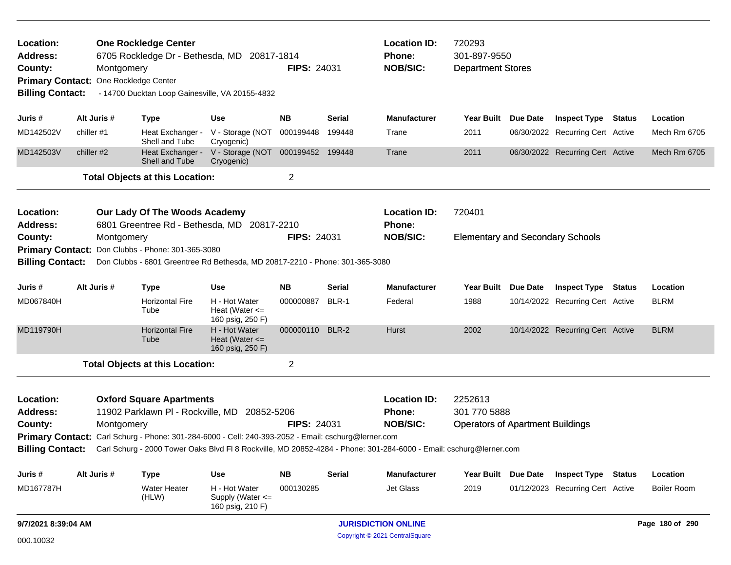| Location:<br><b>One Rockledge Center</b><br>Address:<br>6705 Rockledge Dr - Bethesda, MD 20817-1814<br>County:<br>Montgomery<br>One Rockledge Center<br><b>Primary Contact:</b><br><b>Billing Contact:</b><br>- 14700 Ducktan Loop Gainesville, VA 20155-4832 |                                                                                                                        |            |                                                   |                                                                                                     | <b>Location ID:</b><br>Phone:<br><b>FIPS: 24031</b><br><b>NOB/SIC:</b> |                                       |                                                                                                                                     | 720293<br>301-897-9550<br><b>Department Stores</b>                 |                 |                                         |        |                     |  |
|---------------------------------------------------------------------------------------------------------------------------------------------------------------------------------------------------------------------------------------------------------------|------------------------------------------------------------------------------------------------------------------------|------------|---------------------------------------------------|-----------------------------------------------------------------------------------------------------|------------------------------------------------------------------------|---------------------------------------|-------------------------------------------------------------------------------------------------------------------------------------|--------------------------------------------------------------------|-----------------|-----------------------------------------|--------|---------------------|--|
| Juris #                                                                                                                                                                                                                                                       | Alt Juris #                                                                                                            |            | <b>Type</b>                                       | <b>Use</b>                                                                                          | <b>NB</b>                                                              | Serial                                | <b>Manufacturer</b>                                                                                                                 | Year Built Due Date                                                |                 | <b>Inspect Type Status</b>              |        | Location            |  |
| MD142502V                                                                                                                                                                                                                                                     | chiller #1                                                                                                             |            | Heat Exchanger -<br>Shell and Tube                | V - Storage (NOT<br>Cryogenic)                                                                      | 000199448                                                              | 199448                                | Trane                                                                                                                               | 2011                                                               |                 | 06/30/2022 Recurring Cert Active        |        | Mech Rm 6705        |  |
| MD142503V                                                                                                                                                                                                                                                     | chiller #2                                                                                                             |            | Heat Exchanger -<br>Shell and Tube                | V - Storage (NOT 000199452 199448<br>Cryogenic)                                                     |                                                                        |                                       | Trane                                                                                                                               | 2011                                                               |                 | 06/30/2022 Recurring Cert Active        |        | <b>Mech Rm 6705</b> |  |
|                                                                                                                                                                                                                                                               |                                                                                                                        |            | <b>Total Objects at this Location:</b>            |                                                                                                     | $\overline{2}$                                                         |                                       |                                                                                                                                     |                                                                    |                 |                                         |        |                     |  |
| Location:<br><b>Address:</b>                                                                                                                                                                                                                                  | Our Lady Of The Woods Academy<br>6801 Greentree Rd - Bethesda, MD 20817-2210                                           |            |                                                   |                                                                                                     |                                                                        |                                       | <b>Location ID:</b><br>Phone:                                                                                                       | 720401                                                             |                 |                                         |        |                     |  |
| County:                                                                                                                                                                                                                                                       |                                                                                                                        | Montgomery |                                                   |                                                                                                     |                                                                        | <b>FIPS: 24031</b><br><b>NOB/SIC:</b> |                                                                                                                                     |                                                                    |                 | <b>Elementary and Secondary Schools</b> |        |                     |  |
| <b>Billing Contact:</b>                                                                                                                                                                                                                                       |                                                                                                                        |            | Primary Contact: Don Clubbs - Phone: 301-365-3080 | Don Clubbs - 6801 Greentree Rd Bethesda, MD 20817-2210 - Phone: 301-365-3080                        |                                                                        |                                       |                                                                                                                                     |                                                                    |                 |                                         |        |                     |  |
|                                                                                                                                                                                                                                                               |                                                                                                                        |            |                                                   |                                                                                                     |                                                                        |                                       |                                                                                                                                     |                                                                    |                 |                                         |        |                     |  |
| Juris #                                                                                                                                                                                                                                                       | Alt Juris #                                                                                                            |            | <b>Type</b>                                       | <b>Use</b>                                                                                          | <b>NB</b>                                                              | <b>Serial</b>                         | <b>Manufacturer</b>                                                                                                                 | Year Built                                                         | Due Date        | <b>Inspect Type</b>                     | Status | Location            |  |
| MD067840H                                                                                                                                                                                                                                                     |                                                                                                                        |            | <b>Horizontal Fire</b><br>Tube                    | H - Hot Water<br>Heat (Water $\leq$<br>160 psig, 250 F)                                             | 000000887                                                              | BLR-1                                 | Federal                                                                                                                             | 1988                                                               |                 | 10/14/2022 Recurring Cert Active        |        | <b>BLRM</b>         |  |
| MD119790H                                                                                                                                                                                                                                                     |                                                                                                                        |            | <b>Horizontal Fire</b><br>Tube                    | H - Hot Water<br>Heat (Water $\leq$<br>160 psig, 250 F)                                             | 000000110                                                              | BLR-2                                 | Hurst                                                                                                                               | 2002                                                               |                 | 10/14/2022 Recurring Cert Active        |        | <b>BLRM</b>         |  |
|                                                                                                                                                                                                                                                               |                                                                                                                        |            | <b>Total Objects at this Location:</b>            |                                                                                                     | $\overline{2}$                                                         |                                       |                                                                                                                                     |                                                                    |                 |                                         |        |                     |  |
| Location:<br><b>Address:</b><br>County:                                                                                                                                                                                                                       | <b>Oxford Square Apartments</b><br>11902 Parklawn PI - Rockville, MD<br>20852-5206<br><b>FIPS: 24031</b><br>Montgomery |            |                                                   |                                                                                                     |                                                                        |                                       | <b>Location ID:</b><br><b>Phone:</b><br><b>NOB/SIC:</b>                                                                             | 2252613<br>301 770 5888<br><b>Operators of Apartment Buildings</b> |                 |                                         |        |                     |  |
|                                                                                                                                                                                                                                                               |                                                                                                                        |            |                                                   | Primary Contact: Carl Schurg - Phone: 301-284-6000 - Cell: 240-393-2052 - Email: cschurg@lerner.com |                                                                        |                                       |                                                                                                                                     |                                                                    |                 |                                         |        |                     |  |
|                                                                                                                                                                                                                                                               |                                                                                                                        |            |                                                   |                                                                                                     |                                                                        |                                       | Billing Contact: Carl Schurg - 2000 Tower Oaks Blvd Fl 8 Rockville, MD 20852-4284 - Phone: 301-284-6000 - Email: cschurg@lerner.com |                                                                    |                 |                                         |        |                     |  |
| Juris #                                                                                                                                                                                                                                                       | Alt Juris #                                                                                                            |            | <b>Type</b>                                       | <b>Use</b>                                                                                          | <b>NB</b>                                                              | <b>Serial</b>                         | <b>Manufacturer</b>                                                                                                                 | <b>Year Built</b>                                                  | <b>Due Date</b> | <b>Inspect Type Status</b>              |        | Location            |  |
| MD167787H                                                                                                                                                                                                                                                     |                                                                                                                        |            | Water Heater<br>(HLW)                             | H - Hot Water<br>Supply (Water <=<br>160 psig, 210 F)                                               | 000130285                                                              |                                       | Jet Glass                                                                                                                           | 2019                                                               |                 | 01/12/2023 Recurring Cert Active        |        | <b>Boiler Room</b>  |  |
| 9/7/2021 8:39:04 AM                                                                                                                                                                                                                                           |                                                                                                                        |            |                                                   | <b>JURISDICTION ONLINE</b>                                                                          |                                                                        |                                       |                                                                                                                                     |                                                                    |                 |                                         |        |                     |  |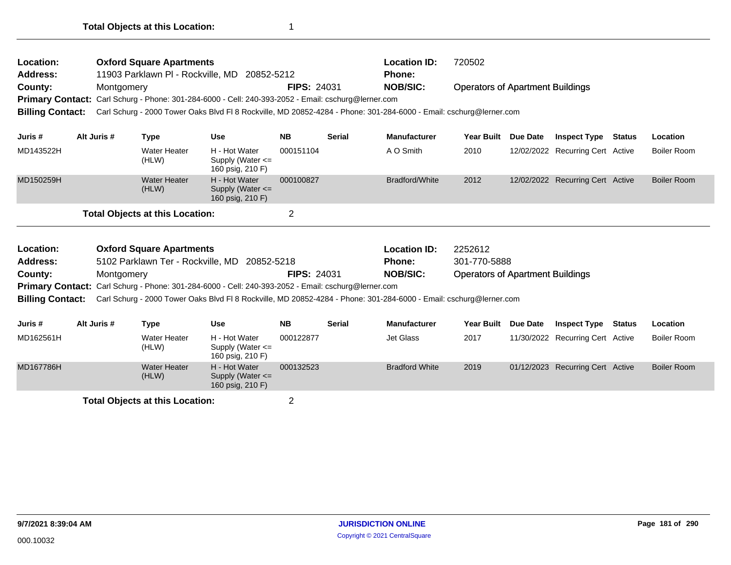| Location:<br><b>Address:</b> |             | <b>Oxford Square Apartments</b>        | 11903 Parklawn PI - Rockville, MD 20852-5212                                                                       |                    |               | <b>Location ID:</b><br><b>Phone:</b> | 720502                                  |          |                                  |        |                    |
|------------------------------|-------------|----------------------------------------|--------------------------------------------------------------------------------------------------------------------|--------------------|---------------|--------------------------------------|-----------------------------------------|----------|----------------------------------|--------|--------------------|
| County:                      | Montgomery  |                                        |                                                                                                                    | <b>FIPS: 24031</b> |               | <b>NOB/SIC:</b>                      | <b>Operators of Apartment Buildings</b> |          |                                  |        |                    |
| <b>Primary Contact:</b>      |             |                                        | Carl Schurg - Phone: 301-284-6000 - Cell: 240-393-2052 - Email: cschurg@lerner.com                                 |                    |               |                                      |                                         |          |                                  |        |                    |
| <b>Billing Contact:</b>      |             |                                        | Carl Schurg - 2000 Tower Oaks Blvd Fl 8 Rockville, MD 20852-4284 - Phone: 301-284-6000 - Email: cschurg@lerner.com |                    |               |                                      |                                         |          |                                  |        |                    |
| Juris #                      | Alt Juris # |                                        | <b>Use</b>                                                                                                         | <b>NB</b>          | <b>Serial</b> | <b>Manufacturer</b>                  | <b>Year Built</b>                       | Due Date | <b>Inspect Type</b>              | Status | Location           |
|                              |             | <b>Type</b>                            |                                                                                                                    |                    |               |                                      |                                         |          |                                  |        |                    |
| MD143522H                    |             | <b>Water Heater</b><br>(HLW)           | H - Hot Water<br>Supply (Water $\leq$<br>160 psig, 210 F)                                                          | 000151104          |               | A O Smith                            | 2010                                    |          | 12/02/2022 Recurring Cert Active |        | Boiler Room        |
| MD150259H                    |             | <b>Water Heater</b><br>(HLW)           | H - Hot Water<br>Supply (Water $\leq$<br>160 psig, 210 F)                                                          | 000100827          |               | Bradford/White                       | 2012                                    |          | 12/02/2022 Recurring Cert Active |        | <b>Boiler Room</b> |
|                              |             | <b>Total Objects at this Location:</b> |                                                                                                                    | $\overline{2}$     |               |                                      |                                         |          |                                  |        |                    |
| Location:                    |             | <b>Oxford Square Apartments</b>        |                                                                                                                    |                    |               | <b>Location ID:</b>                  | 2252612                                 |          |                                  |        |                    |
| <b>Address:</b>              |             |                                        | 5102 Parklawn Ter - Rockville, MD 20852-5218                                                                       |                    |               | <b>Phone:</b>                        | 301-770-5888                            |          |                                  |        |                    |
| County:                      | Montgomery  |                                        |                                                                                                                    | <b>FIPS: 24031</b> |               | <b>NOB/SIC:</b>                      | <b>Operators of Apartment Buildings</b> |          |                                  |        |                    |
| <b>Primary Contact:</b>      |             |                                        | Carl Schurg - Phone: 301-284-6000 - Cell: 240-393-2052 - Email: cschurg@lerner.com                                 |                    |               |                                      |                                         |          |                                  |        |                    |
| <b>Billing Contact:</b>      |             |                                        | Carl Schurg - 2000 Tower Oaks Blvd Fl 8 Rockville, MD 20852-4284 - Phone: 301-284-6000 - Email: cschurg@lerner.com |                    |               |                                      |                                         |          |                                  |        |                    |
| Juris #                      | Alt Juris # | <b>Type</b>                            | <b>Use</b>                                                                                                         | <b>NB</b>          | <b>Serial</b> | <b>Manufacturer</b>                  | <b>Year Built</b>                       | Due Date | <b>Inspect Type Status</b>       |        | Location           |
| MD162561H                    |             | <b>Water Heater</b><br>(HLW)           | H - Hot Water<br>Supply (Water <=<br>160 psig, 210 F)                                                              | 000122877          |               | <b>Jet Glass</b>                     | 2017                                    |          | 11/30/2022 Recurring Cert Active |        | Boiler Room        |
| MD167786H                    |             | <b>Water Heater</b><br>(HLW)           | H - Hot Water<br>Supply (Water $\leq$                                                                              | 000132523          |               | <b>Bradford White</b>                | 2019                                    |          | 01/12/2023 Recurring Cert Active |        | <b>Boiler Room</b> |

Supply (Water <= 160 psig, 210 F)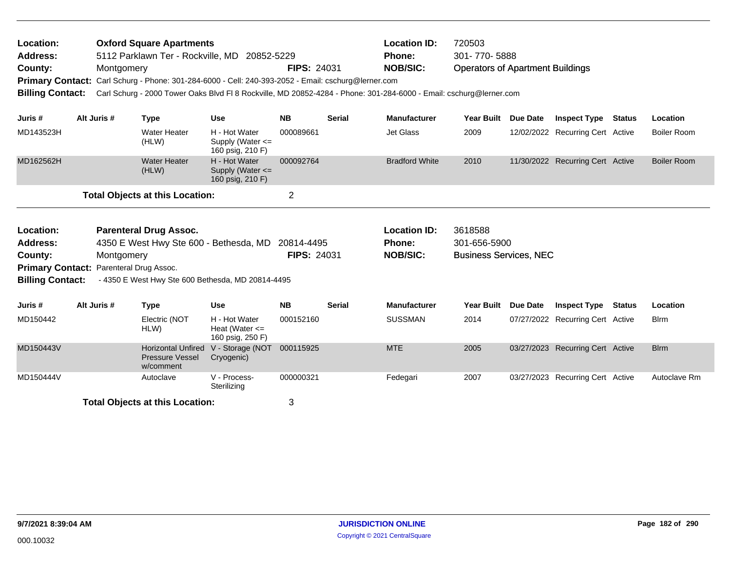| Location:<br>Address:<br>County:<br><b>Billing Contact:</b>                                                   | Montgomery  | <b>Oxford Square Apartments</b><br>5112 Parklawn Ter - Rockville, MD 20852-5229<br>Primary Contact: Carl Schurg - Phone: 301-284-6000 - Cell: 240-393-2052 - Email: cschurg@lerner.com<br>Carl Schurg - 2000 Tower Oaks Blvd Fl 8 Rockville, MD 20852-4284 - Phone: 301-284-6000 - Email: cschurg@lerner.com |                                                           | <b>FIPS: 24031</b> |               | <b>Location ID:</b><br><b>Phone:</b><br><b>NOB/SIC:</b> | 720503<br>301-770-5888<br><b>Operators of Apartment Buildings</b> |          |                                  |        |                    |
|---------------------------------------------------------------------------------------------------------------|-------------|--------------------------------------------------------------------------------------------------------------------------------------------------------------------------------------------------------------------------------------------------------------------------------------------------------------|-----------------------------------------------------------|--------------------|---------------|---------------------------------------------------------|-------------------------------------------------------------------|----------|----------------------------------|--------|--------------------|
| Juris #                                                                                                       | Alt Juris # | <b>Type</b>                                                                                                                                                                                                                                                                                                  | <b>Use</b>                                                | <b>NB</b>          | <b>Serial</b> | <b>Manufacturer</b>                                     | Year Built                                                        | Due Date | <b>Inspect Type</b>              | Status | Location           |
| MD143523H                                                                                                     |             | <b>Water Heater</b><br>(HLW)                                                                                                                                                                                                                                                                                 | H - Hot Water<br>Supply (Water $\leq$<br>160 psig, 210 F) | 000089661          |               | <b>Jet Glass</b>                                        | 2009                                                              |          | 12/02/2022 Recurring Cert Active |        | <b>Boiler Room</b> |
| MD162562H                                                                                                     |             | <b>Water Heater</b><br>(HLW)                                                                                                                                                                                                                                                                                 | H - Hot Water<br>Supply (Water $\leq$<br>160 psig, 210 F) | 000092764          |               | <b>Bradford White</b>                                   | 2010                                                              |          | 11/30/2022 Recurring Cert Active |        | <b>Boiler Room</b> |
|                                                                                                               |             | <b>Total Objects at this Location:</b>                                                                                                                                                                                                                                                                       |                                                           | $\overline{2}$     |               |                                                         |                                                                   |          |                                  |        |                    |
| Location:<br><b>Address:</b><br>County:<br>Primary Contact: Parenteral Drug Assoc.<br><b>Billing Contact:</b> | Montgomery  | <b>Parenteral Drug Assoc.</b><br>4350 E West Hwy Ste 600 - Bethesda, MD 20814-4495                                                                                                                                                                                                                           |                                                           | <b>FIPS: 24031</b> |               | <b>Location ID:</b><br><b>Phone:</b><br><b>NOB/SIC:</b> | 3618588<br>301-656-5900<br><b>Business Services, NEC</b>          |          |                                  |        |                    |
|                                                                                                               |             | - 4350 E West Hwy Ste 600 Bethesda, MD 20814-4495                                                                                                                                                                                                                                                            |                                                           |                    |               |                                                         |                                                                   |          |                                  |        |                    |
| Juris #                                                                                                       | Alt Juris # | <b>Type</b>                                                                                                                                                                                                                                                                                                  | <b>Use</b>                                                | <b>NB</b>          | <b>Serial</b> | <b>Manufacturer</b>                                     | <b>Year Built</b>                                                 | Due Date | <b>Inspect Type</b>              | Status | Location           |
| MD150442                                                                                                      |             | Electric (NOT<br>HLW)                                                                                                                                                                                                                                                                                        | H - Hot Water<br>Heat (Water $\leq$<br>160 psig, 250 F)   | 000152160          |               | <b>SUSSMAN</b>                                          | 2014                                                              |          | 07/27/2022 Recurring Cert Active |        | <b>B</b> lrm       |
| MD150443V                                                                                                     |             | <b>Horizontal Unfired</b><br>Pressure Vessel<br>w/comment                                                                                                                                                                                                                                                    | V - Storage (NOT<br>Cryogenic)                            | 000115925          |               | <b>MTE</b>                                              | 2005                                                              |          | 03/27/2023 Recurring Cert Active |        | <b>Blrm</b>        |
| MD150444V                                                                                                     |             | Autoclave                                                                                                                                                                                                                                                                                                    | V - Process-<br>Sterilizing                               | 000000321          |               | Fedegari                                                | 2007                                                              |          | 03/27/2023 Recurring Cert Active |        | Autoclave Rm       |
|                                                                                                               |             | <b>Total Objects at this Location:</b>                                                                                                                                                                                                                                                                       |                                                           | 3                  |               |                                                         |                                                                   |          |                                  |        |                    |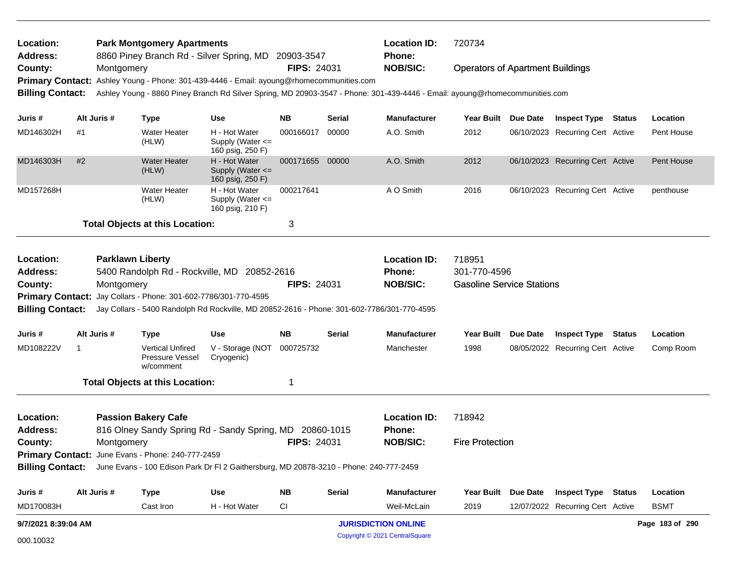| Location:<br>Address:        |                     |                         | <b>Park Montgomery Apartments</b>                               | 8860 Piney Branch Rd - Silver Spring, MD 20903-3547                                                     |                    |                        | <b>Location ID:</b><br><b>Phone:</b>                                                                                        | 720734                                  |                                  |                 |
|------------------------------|---------------------|-------------------------|-----------------------------------------------------------------|---------------------------------------------------------------------------------------------------------|--------------------|------------------------|-----------------------------------------------------------------------------------------------------------------------------|-----------------------------------------|----------------------------------|-----------------|
| County:                      |                     | Montgomery              |                                                                 |                                                                                                         | <b>FIPS: 24031</b> |                        | <b>NOB/SIC:</b>                                                                                                             | <b>Operators of Apartment Buildings</b> |                                  |                 |
|                              |                     |                         |                                                                 | Primary Contact: Ashley Young - Phone: 301-439-4446 - Email: ayoung@rhomecommunities.com                |                    |                        |                                                                                                                             |                                         |                                  |                 |
| <b>Billing Contact:</b>      |                     |                         |                                                                 |                                                                                                         |                    |                        | Ashley Young - 8860 Piney Branch Rd Silver Spring, MD 20903-3547 - Phone: 301-439-4446 - Email: ayoung@rhomecommunities.com |                                         |                                  |                 |
| Juris #                      |                     | Alt Juris #             | Type                                                            | <b>Use</b>                                                                                              | NB.                | Serial                 | <b>Manufacturer</b>                                                                                                         | Year Built Due Date                     | <b>Inspect Type Status</b>       | Location        |
| MD146302H                    | #1                  |                         | <b>Water Heater</b><br>(HLW)                                    | H - Hot Water<br>Supply (Water $\leq$<br>160 psig, 250 F)                                               | 000166017          | 00000                  | A.O. Smith                                                                                                                  | 2012                                    | 06/10/2023 Recurring Cert Active | Pent House      |
| MD146303H                    | #2                  |                         | <b>Water Heater</b><br>(HLW)                                    | H - Hot Water<br>Supply (Water $\leq$<br>160 psig, 250 F)                                               | 000171655 00000    |                        | A.O. Smith                                                                                                                  | 2012                                    | 06/10/2023 Recurring Cert Active | Pent House      |
| MD157268H                    |                     |                         | <b>Water Heater</b><br>(HLW)                                    | H - Hot Water<br>Supply (Water <=<br>160 psig, 210 F)                                                   | 000217641          |                        | A O Smith                                                                                                                   | 2016                                    | 06/10/2023 Recurring Cert Active | penthouse       |
|                              |                     |                         | <b>Total Objects at this Location:</b>                          |                                                                                                         | 3                  |                        |                                                                                                                             |                                         |                                  |                 |
| Location:                    |                     | <b>Parklawn Liberty</b> |                                                                 |                                                                                                         |                    |                        | <b>Location ID:</b>                                                                                                         | 718951                                  |                                  |                 |
| <b>Address:</b>              |                     |                         |                                                                 | 5400 Randolph Rd - Rockville, MD 20852-2616                                                             |                    |                        | <b>Phone:</b>                                                                                                               | 301-770-4596                            |                                  |                 |
| County:                      |                     | Montgomery              |                                                                 |                                                                                                         | <b>FIPS: 24031</b> |                        | <b>NOB/SIC:</b>                                                                                                             | <b>Gasoline Service Stations</b>        |                                  |                 |
|                              |                     |                         | Primary Contact: Jay Collars - Phone: 301-602-7786/301-770-4595 |                                                                                                         |                    |                        |                                                                                                                             |                                         |                                  |                 |
| <b>Billing Contact:</b>      |                     |                         |                                                                 | Jay Collars - 5400 Randolph Rd Rockville, MD 20852-2616 - Phone: 301-602-7786/301-770-4595              |                    |                        |                                                                                                                             |                                         |                                  |                 |
| Juris #                      |                     | Alt Juris #             | Type                                                            | <b>Use</b>                                                                                              | NB.                | <b>Serial</b>          | <b>Manufacturer</b>                                                                                                         | Year Built Due Date                     | <b>Inspect Type Status</b>       | Location        |
| MD108222V                    | -1                  |                         | <b>Vertical Unfired</b><br><b>Pressure Vessel</b><br>w/comment  | V - Storage (NOT<br>Cryogenic)                                                                          | 000725732          |                        | Manchester                                                                                                                  | 1998                                    | 08/05/2022 Recurring Cert Active | Comp Room       |
|                              |                     |                         | <b>Total Objects at this Location:</b>                          |                                                                                                         | 1                  |                        |                                                                                                                             |                                         |                                  |                 |
| Location:<br><b>Address:</b> |                     |                         | <b>Passion Bakery Cafe</b>                                      | 816 Olney Sandy Spring Rd - Sandy Spring, MD 20860-1015                                                 |                    |                        | <b>Location ID:</b><br>Phone:                                                                                               | 718942                                  |                                  |                 |
| County:<br>Montgomery        |                     |                         | <b>FIPS: 24031</b>                                              |                                                                                                         | <b>NOB/SIC:</b>    | <b>Fire Protection</b> |                                                                                                                             |                                         |                                  |                 |
|                              |                     |                         | Primary Contact: June Evans - Phone: 240-777-2459               |                                                                                                         |                    |                        |                                                                                                                             |                                         |                                  |                 |
|                              |                     |                         |                                                                 | Billing Contact: June Evans - 100 Edison Park Dr Fl 2 Gaithersburg, MD 20878-3210 - Phone: 240-777-2459 |                    |                        |                                                                                                                             |                                         |                                  |                 |
| Juris #                      |                     | Alt Juris #             | <b>Type</b>                                                     | Use                                                                                                     | ΝB                 | <b>Serial</b>          | Manufacturer                                                                                                                | Year Built Due Date                     | <b>Inspect Type Status</b>       | Location        |
| MD170083H                    |                     |                         | Cast Iron                                                       | H - Hot Water                                                                                           | СI                 |                        | Weil-McLain                                                                                                                 | 2019                                    | 12/07/2022 Recurring Cert Active | <b>BSMT</b>     |
|                              | 9/7/2021 8:39:04 AM |                         |                                                                 |                                                                                                         |                    |                        | <b>JURISDICTION ONLINE</b>                                                                                                  |                                         |                                  | Page 183 of 290 |

Copyright © 2021 CentralSquare 000.10032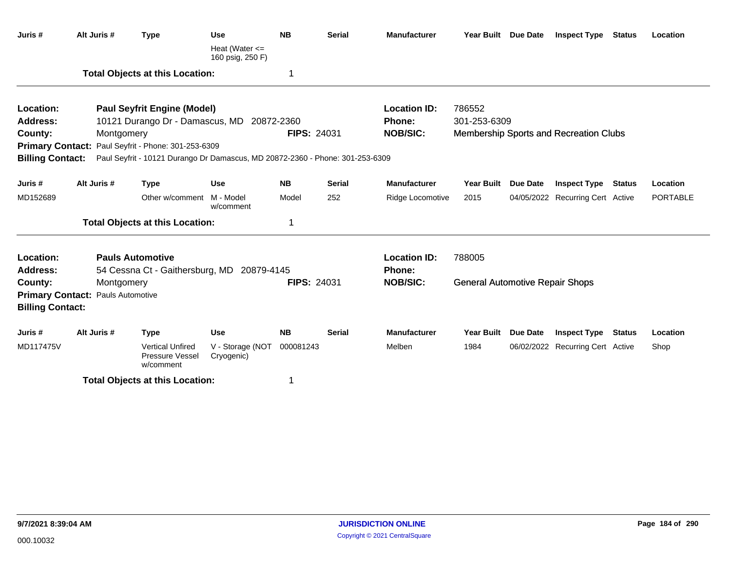| Juris #                 | Alt Juris #                              | <b>Type</b>                                                                   | <b>Use</b><br>Heat (Water $\leq$<br>160 psig, 250 F) | <b>NB</b>          | <b>Serial</b> | <b>Manufacturer</b> | Year Built Due Date                    |          | <b>Inspect Type Status</b>             |               | Location |
|-------------------------|------------------------------------------|-------------------------------------------------------------------------------|------------------------------------------------------|--------------------|---------------|---------------------|----------------------------------------|----------|----------------------------------------|---------------|----------|
|                         |                                          | <b>Total Objects at this Location:</b>                                        |                                                      | 1                  |               |                     |                                        |          |                                        |               |          |
| Location:               |                                          | <b>Paul Seyfrit Engine (Model)</b>                                            |                                                      |                    |               | <b>Location ID:</b> | 786552                                 |          |                                        |               |          |
| <b>Address:</b>         |                                          | 10121 Durango Dr - Damascus, MD 20872-2360                                    |                                                      |                    |               | Phone:              | 301-253-6309                           |          |                                        |               |          |
| County:                 |                                          | Montgomery                                                                    |                                                      | <b>FIPS: 24031</b> |               | <b>NOB/SIC:</b>     |                                        |          | Membership Sports and Recreation Clubs |               |          |
|                         |                                          | Primary Contact: Paul Seyfrit - Phone: 301-253-6309                           |                                                      |                    |               |                     |                                        |          |                                        |               |          |
| <b>Billing Contact:</b> |                                          | Paul Seyfrit - 10121 Durango Dr Damascus, MD 20872-2360 - Phone: 301-253-6309 |                                                      |                    |               |                     |                                        |          |                                        |               |          |
| Juris #                 | Alt Juris #                              | <b>Type</b>                                                                   | <b>Use</b>                                           | <b>NB</b>          | <b>Serial</b> | <b>Manufacturer</b> | <b>Year Built</b>                      | Due Date | <b>Inspect Type</b>                    | <b>Status</b> | Location |
| MD152689                |                                          | Other w/comment M - Model                                                     | w/comment                                            | Model              | 252           | Ridge Locomotive    | 2015                                   |          | 04/05/2022 Recurring Cert Active       |               | PORTABLE |
|                         |                                          | <b>Total Objects at this Location:</b>                                        |                                                      | 1                  |               |                     |                                        |          |                                        |               |          |
| Location:               |                                          | <b>Pauls Automotive</b>                                                       |                                                      |                    |               | <b>Location ID:</b> | 788005                                 |          |                                        |               |          |
| Address:                |                                          | 54 Cessna Ct - Gaithersburg, MD 20879-4145                                    |                                                      |                    |               | Phone:              |                                        |          |                                        |               |          |
| County:                 |                                          | Montgomery                                                                    |                                                      | <b>FIPS: 24031</b> |               | <b>NOB/SIC:</b>     | <b>General Automotive Repair Shops</b> |          |                                        |               |          |
| <b>Billing Contact:</b> | <b>Primary Contact: Pauls Automotive</b> |                                                                               |                                                      |                    |               |                     |                                        |          |                                        |               |          |
|                         |                                          |                                                                               |                                                      |                    |               |                     |                                        |          |                                        |               |          |
| Juris#                  | Alt Juris #                              | <b>Type</b>                                                                   | <b>Use</b>                                           | <b>NB</b>          | <b>Serial</b> | <b>Manufacturer</b> | Year Built                             | Due Date | <b>Inspect Type Status</b>             |               | Location |
| MD117475V               |                                          | <b>Vertical Unfired</b><br>Pressure Vessel<br>w/comment                       | V - Storage (NOT<br>Cryogenic)                       | 000081243          |               | Melben              | 1984                                   |          | 06/02/2022 Recurring Cert Active       |               | Shop     |
|                         |                                          | <b>Total Objects at this Location:</b>                                        |                                                      | 1                  |               |                     |                                        |          |                                        |               |          |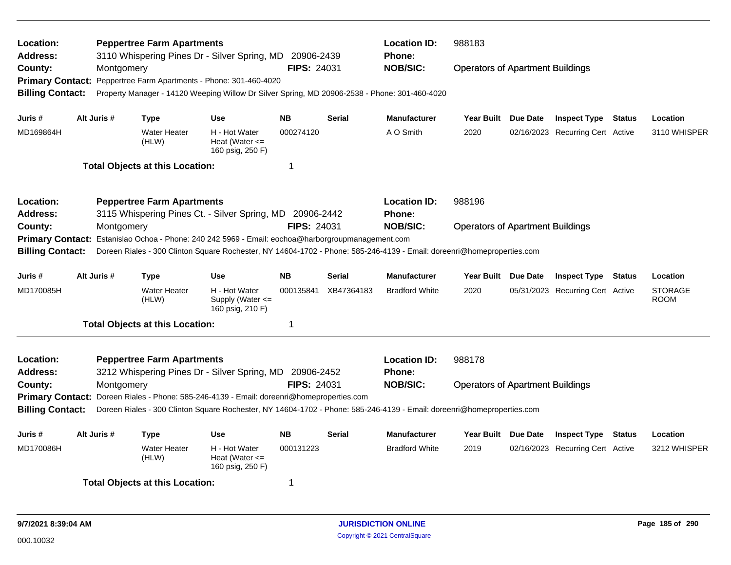| Location:<br><b>Address:</b><br>County:<br><b>Billing Contact:</b> | Montgomery  | <b>Peppertree Farm Apartments</b>      | 3110 Whispering Pines Dr - Silver Spring, MD 20906-2439<br>Primary Contact: Peppertree Farm Apartments - Phone: 301-460-4020<br>Property Manager - 14120 Weeping Willow Dr Silver Spring, MD 20906-2538 - Phone: 301-460-4020 | <b>FIPS: 24031</b> |               | <b>Location ID:</b><br><b>Phone:</b><br><b>NOB/SIC:</b> | 988183<br><b>Operators of Apartment Buildings</b> |          |                                  |                               |
|--------------------------------------------------------------------|-------------|----------------------------------------|-------------------------------------------------------------------------------------------------------------------------------------------------------------------------------------------------------------------------------|--------------------|---------------|---------------------------------------------------------|---------------------------------------------------|----------|----------------------------------|-------------------------------|
| Juris #                                                            | Alt Juris # | <b>Type</b>                            | <b>Use</b>                                                                                                                                                                                                                    | <b>NB</b>          | <b>Serial</b> | <b>Manufacturer</b>                                     | <b>Year Built</b>                                 | Due Date | <b>Inspect Type Status</b>       | Location                      |
| MD169864H                                                          |             | <b>Water Heater</b><br>(HLW)           | H - Hot Water<br>Heat (Water $\leq$<br>160 psig, 250 F)                                                                                                                                                                       | 000274120          |               | A O Smith                                               | 2020                                              |          | 02/16/2023 Recurring Cert Active | 3110 WHISPER                  |
|                                                                    |             | <b>Total Objects at this Location:</b> |                                                                                                                                                                                                                               | 1                  |               |                                                         |                                                   |          |                                  |                               |
| Location:<br>Address:                                              |             | <b>Peppertree Farm Apartments</b>      | 3115 Whispering Pines Ct. - Silver Spring, MD 20906-2442                                                                                                                                                                      |                    |               | <b>Location ID:</b><br><b>Phone:</b>                    | 988196                                            |          |                                  |                               |
| County:                                                            | Montgomery  |                                        | Primary Contact: Estanislao Ochoa - Phone: 240 242 5969 - Email: eochoa@harborgroupmanagement.com                                                                                                                             | <b>FIPS: 24031</b> |               | <b>NOB/SIC:</b>                                         | <b>Operators of Apartment Buildings</b>           |          |                                  |                               |
| <b>Billing Contact:</b>                                            |             |                                        | Doreen Riales - 300 Clinton Square Rochester, NY 14604-1702 - Phone: 585-246-4139 - Email: doreenri@homeproperties.com                                                                                                        |                    |               |                                                         |                                                   |          |                                  |                               |
| Juris #                                                            | Alt Juris # | <b>Type</b>                            | <b>Use</b>                                                                                                                                                                                                                    | <b>NB</b>          | <b>Serial</b> | <b>Manufacturer</b>                                     | Year Built Due Date                               |          | <b>Inspect Type Status</b>       | Location                      |
| MD170085H                                                          |             | <b>Water Heater</b><br>(HLW)           | H - Hot Water<br>Supply (Water $\leq$<br>160 psig, 210 F)                                                                                                                                                                     | 000135841          | XB47364183    | <b>Bradford White</b>                                   | 2020                                              |          | 05/31/2023 Recurring Cert Active | <b>STORAGE</b><br><b>ROOM</b> |
|                                                                    |             | <b>Total Objects at this Location:</b> |                                                                                                                                                                                                                               | 1                  |               |                                                         |                                                   |          |                                  |                               |
| Location:<br><b>Address:</b>                                       |             | <b>Peppertree Farm Apartments</b>      | 3212 Whispering Pines Dr - Silver Spring, MD 20906-2452                                                                                                                                                                       |                    |               | <b>Location ID:</b><br><b>Phone:</b>                    | 988178                                            |          |                                  |                               |
| County:                                                            | Montgomery  |                                        |                                                                                                                                                                                                                               | FIPS: 24031        |               | <b>NOB/SIC:</b>                                         | <b>Operators of Apartment Buildings</b>           |          |                                  |                               |
|                                                                    |             |                                        | Primary Contact: Doreen Riales - Phone: 585-246-4139 - Email: doreenri@homeproperties.com                                                                                                                                     |                    |               |                                                         |                                                   |          |                                  |                               |
| <b>Billing Contact:</b>                                            |             |                                        | Doreen Riales - 300 Clinton Square Rochester, NY 14604-1702 - Phone: 585-246-4139 - Email: doreenri@homeproperties.com                                                                                                        |                    |               |                                                         |                                                   |          |                                  |                               |
| Juris #                                                            | Alt Juris # | <b>Type</b>                            | <b>Use</b>                                                                                                                                                                                                                    | <b>NB</b>          | <b>Serial</b> | <b>Manufacturer</b>                                     | Year Built Due Date                               |          | <b>Inspect Type Status</b>       | Location                      |
| MD170086H                                                          |             | <b>Water Heater</b><br>(HLW)           | H - Hot Water<br>Heat (Water $\leq$<br>160 psig, 250 F)                                                                                                                                                                       | 000131223          |               | <b>Bradford White</b>                                   | 2019                                              |          | 02/16/2023 Recurring Cert Active | 3212 WHISPER                  |
|                                                                    |             | <b>Total Objects at this Location:</b> |                                                                                                                                                                                                                               | 1                  |               |                                                         |                                                   |          |                                  |                               |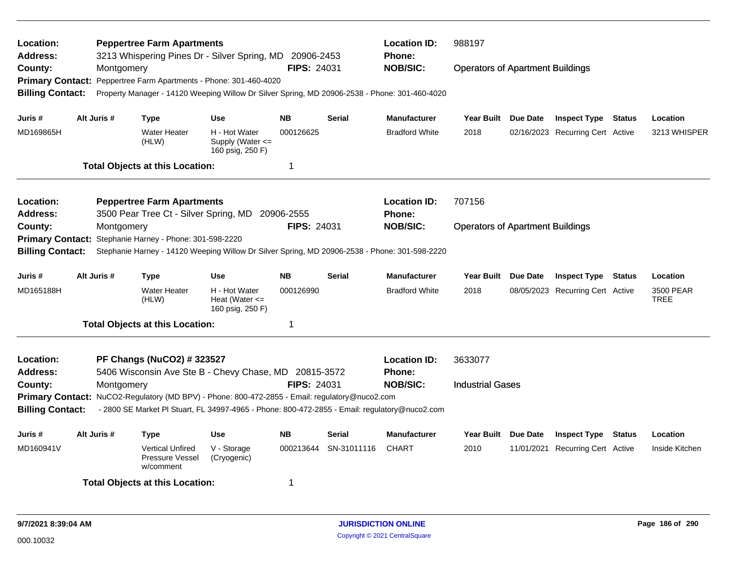| Location:<br><b>Address:</b><br>County:<br><b>Billing Contact:</b>                            | Montgomery  | <b>Peppertree Farm Apartments</b><br>3213 Whispering Pines Dr - Silver Spring, MD 20906-2453<br>Primary Contact: Peppertree Farm Apartments - Phone: 301-460-4020<br>Property Manager - 14120 Weeping Willow Dr Silver Spring, MD 20906-2538 - Phone: 301-460-4020                    |                                                                         | <b>FIPS: 24031</b>                    |                              | <b>Location ID:</b><br><b>Phone:</b><br><b>NOB/SIC:</b> | 988197<br><b>Operators of Apartment Buildings</b> |          |                                                                |               |                                      |
|-----------------------------------------------------------------------------------------------|-------------|---------------------------------------------------------------------------------------------------------------------------------------------------------------------------------------------------------------------------------------------------------------------------------------|-------------------------------------------------------------------------|---------------------------------------|------------------------------|---------------------------------------------------------|---------------------------------------------------|----------|----------------------------------------------------------------|---------------|--------------------------------------|
| Juris #<br>MD169865H                                                                          | Alt Juris # | <b>Type</b><br><b>Water Heater</b><br>(HLW)<br><b>Total Objects at this Location:</b>                                                                                                                                                                                                 | <b>Use</b><br>H - Hot Water<br>Supply (Water $\leq$<br>160 psig, 250 F) | <b>NB</b><br>000126625<br>$\mathbf 1$ | <b>Serial</b>                | <b>Manufacturer</b><br><b>Bradford White</b>            | Year Built Due Date<br>2018                       |          | <b>Inspect Type Status</b><br>02/16/2023 Recurring Cert Active |               | Location<br>3213 WHISPER             |
| Location:<br><b>Address:</b><br>County:<br><b>Primary Contact:</b><br><b>Billing Contact:</b> | Montgomery  | <b>Peppertree Farm Apartments</b><br>3500 Pear Tree Ct - Silver Spring, MD 20906-2555<br>Stephanie Harney - Phone: 301-598-2220<br>Stephanie Harney - 14120 Weeping Willow Dr Silver Spring, MD 20906-2538 - Phone: 301-598-2220                                                      |                                                                         | FIPS: 24031                           |                              | <b>Location ID:</b><br>Phone:<br><b>NOB/SIC:</b>        | 707156<br><b>Operators of Apartment Buildings</b> |          |                                                                |               |                                      |
| Juris #<br>MD165188H                                                                          | Alt Juris # | <b>Type</b><br><b>Water Heater</b><br>(HLW)<br><b>Total Objects at this Location:</b>                                                                                                                                                                                                 | <b>Use</b><br>H - Hot Water<br>Heat (Water $\leq$<br>160 psig, 250 F)   | <b>NB</b><br>000126990<br>$\mathbf 1$ | <b>Serial</b>                | <b>Manufacturer</b><br><b>Bradford White</b>            | Year Built<br>2018                                | Due Date | <b>Inspect Type</b><br>08/05/2023 Recurring Cert Active        | <b>Status</b> | Location<br>3500 PEAR<br><b>TREE</b> |
| Location:<br><b>Address:</b><br>County:<br><b>Billing Contact:</b>                            | Montgomery  | PF Changs (NuCO2) #323527<br>5406 Wisconsin Ave Ste B - Chevy Chase, MD 20815-3572<br>Primary Contact: NuCO2-Regulatory (MD BPV) - Phone: 800-472-2855 - Email: regulatory@nuco2.com<br>- 2800 SE Market PI Stuart, FL 34997-4965 - Phone: 800-472-2855 - Email: regulatory@nuco2.com |                                                                         | FIPS: 24031                           |                              | <b>Location ID:</b><br>Phone:<br><b>NOB/SIC:</b>        | 3633077<br><b>Industrial Gases</b>                |          |                                                                |               |                                      |
| Juris #<br>MD160941V                                                                          | Alt Juris # | <b>Type</b><br><b>Vertical Unfired</b><br><b>Pressure Vessel</b><br>w/comment<br><b>Total Objects at this Location:</b>                                                                                                                                                               | <b>Use</b><br>V - Storage<br>(Cryogenic)                                | <b>NB</b><br>000213644<br>-1          | <b>Serial</b><br>SN-31011116 | <b>Manufacturer</b><br><b>CHART</b>                     | Year Built Due Date<br>2010                       |          | <b>Inspect Type</b><br>11/01/2021 Recurring Cert Active        | <b>Status</b> | Location<br>Inside Kitchen           |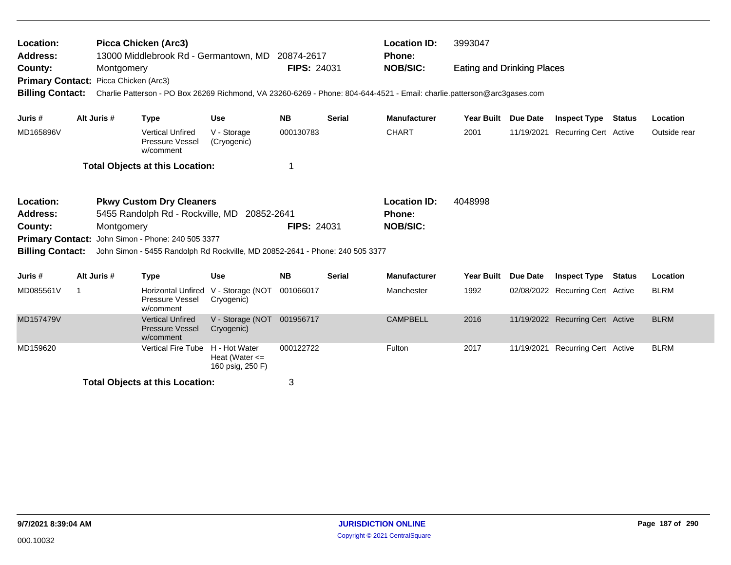| Location:<br><b>Address:</b>                                                |              |             | Picca Chicken (Arc3)<br>13000 Middlebrook Rd - Germantown, MD                                           |                                                         | 20874-2617         |               | <b>Location ID:</b><br><b>Phone:</b>                                                                                                       | 3993047                           |                 |                                  |               |              |
|-----------------------------------------------------------------------------|--------------|-------------|---------------------------------------------------------------------------------------------------------|---------------------------------------------------------|--------------------|---------------|--------------------------------------------------------------------------------------------------------------------------------------------|-----------------------------------|-----------------|----------------------------------|---------------|--------------|
| County:<br>Primary Contact: Picca Chicken (Arc3)<br><b>Billing Contact:</b> |              | Montgomery  |                                                                                                         |                                                         | <b>FIPS: 24031</b> |               | <b>NOB/SIC:</b><br>Charlie Patterson - PO Box 26269 Richmond, VA 23260-6269 - Phone: 804-644-4521 - Email: charlie.patterson@arc3gases.com | <b>Eating and Drinking Places</b> |                 |                                  |               |              |
| Juris #                                                                     |              | Alt Juris # | <b>Type</b>                                                                                             | <b>Use</b>                                              | <b>NB</b>          | <b>Serial</b> | <b>Manufacturer</b>                                                                                                                        | Year Built Due Date               |                 | <b>Inspect Type Status</b>       |               | Location     |
| MD165896V                                                                   |              |             | <b>Vertical Unfired</b><br>Pressure Vessel<br>w/comment                                                 | V - Storage<br>(Cryogenic)                              | 000130783          |               | <b>CHART</b>                                                                                                                               | 2001                              |                 | 11/19/2021 Recurring Cert Active |               | Outside rear |
|                                                                             |              |             | <b>Total Objects at this Location:</b>                                                                  |                                                         |                    |               |                                                                                                                                            |                                   |                 |                                  |               |              |
| Location:<br><b>Address:</b><br>County:<br><b>Primary Contact:</b>          |              | Montgomery  | <b>Pkwy Custom Dry Cleaners</b><br>5455 Randolph Rd - Rockville, MD<br>John Simon - Phone: 240 505 3377 | 20852-2641                                              | <b>FIPS: 24031</b> |               | <b>Location ID:</b><br><b>Phone:</b><br><b>NOB/SIC:</b>                                                                                    | 4048998                           |                 |                                  |               |              |
| <b>Billing Contact:</b>                                                     |              |             | John Simon - 5455 Randolph Rd Rockville, MD 20852-2641 - Phone: 240 505 3377                            |                                                         |                    |               |                                                                                                                                            |                                   |                 |                                  |               |              |
| Juris #                                                                     |              | Alt Juris # | <b>Type</b>                                                                                             | <b>Use</b>                                              | <b>NB</b>          | <b>Serial</b> | <b>Manufacturer</b>                                                                                                                        | <b>Year Built</b>                 | <b>Due Date</b> | <b>Inspect Type</b>              | <b>Status</b> | Location     |
| MD085561V                                                                   | $\mathbf{1}$ |             | <b>Horizontal Unfired</b><br>Pressure Vessel<br>w/comment                                               | V - Storage (NOT<br>Cryogenic)                          | 001066017          |               | Manchester                                                                                                                                 | 1992                              |                 | 02/08/2022 Recurring Cert Active |               | <b>BLRM</b>  |
| MD157479V                                                                   |              |             | <b>Vertical Unfired</b><br><b>Pressure Vessel</b><br>w/comment                                          | V - Storage (NOT<br>Cryogenic)                          | 001956717          |               | <b>CAMPBELL</b>                                                                                                                            | 2016                              |                 | 11/19/2022 Recurring Cert Active |               | <b>BLRM</b>  |
| MD159620                                                                    |              |             | <b>Vertical Fire Tube</b>                                                                               | H - Hot Water<br>Heat (Water $\leq$<br>160 psig, 250 F) | 000122722          |               | Fulton                                                                                                                                     | 2017                              |                 | 11/19/2021 Recurring Cert Active |               | <b>BLRM</b>  |
|                                                                             |              |             | <b>Total Objects at this Location:</b>                                                                  |                                                         | 3                  |               |                                                                                                                                            |                                   |                 |                                  |               |              |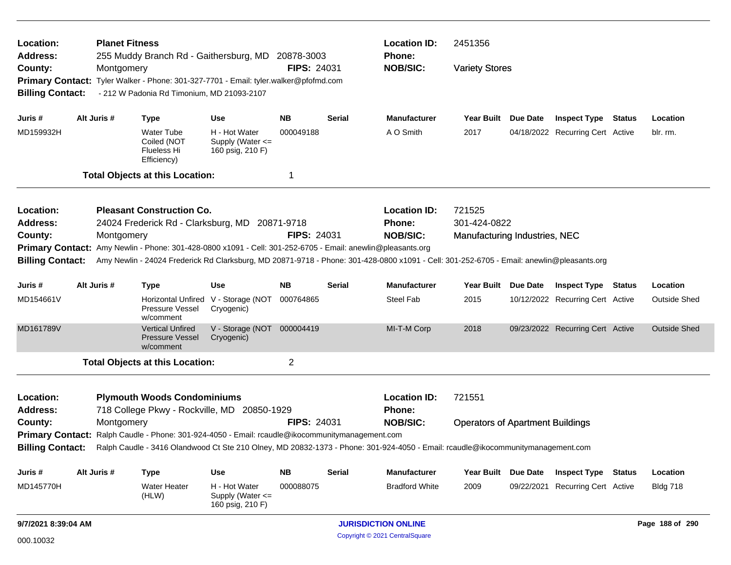| Location:                                                                                                                                                                                                                                                |                                                                                                                                                  | <b>Planet Fitness</b> |                                                                                                                                                                                         |                                                           |                    |               | <b>Location ID:</b>           | 2451356                                 |                                  |                     |
|----------------------------------------------------------------------------------------------------------------------------------------------------------------------------------------------------------------------------------------------------------|--------------------------------------------------------------------------------------------------------------------------------------------------|-----------------------|-----------------------------------------------------------------------------------------------------------------------------------------------------------------------------------------|-----------------------------------------------------------|--------------------|---------------|-------------------------------|-----------------------------------------|----------------------------------|---------------------|
| Address:<br>County:<br><b>Billing Contact:</b>                                                                                                                                                                                                           |                                                                                                                                                  | Montgomery            | 255 Muddy Branch Rd - Gaithersburg, MD 20878-3003<br>Primary Contact: Tyler Walker - Phone: 301-327-7701 - Email: tyler.walker@pfofmd.com<br>- 212 W Padonia Rd Timonium, MD 21093-2107 |                                                           | <b>FIPS: 24031</b> |               | Phone:<br><b>NOB/SIC:</b>     | <b>Variety Stores</b>                   |                                  |                     |
| Juris #                                                                                                                                                                                                                                                  |                                                                                                                                                  | Alt Juris #           | <b>Type</b>                                                                                                                                                                             | <b>Use</b>                                                | NB.                | <b>Serial</b> | <b>Manufacturer</b>           | Year Built Due Date                     | <b>Inspect Type Status</b>       | Location            |
| MD159932H                                                                                                                                                                                                                                                |                                                                                                                                                  |                       | <b>Water Tube</b><br>Coiled (NOT<br><b>Flueless Hi</b><br>Efficiency)                                                                                                                   | H - Hot Water<br>Supply (Water <=<br>160 psig, 210 F)     | 000049188          |               | A O Smith                     | 2017                                    | 04/18/2022 Recurring Cert Active | blr. rm.            |
|                                                                                                                                                                                                                                                          |                                                                                                                                                  |                       | <b>Total Objects at this Location:</b>                                                                                                                                                  |                                                           |                    |               |                               |                                         |                                  |                     |
| Location:<br><b>Address:</b>                                                                                                                                                                                                                             |                                                                                                                                                  |                       | <b>Pleasant Construction Co.</b><br>24024 Frederick Rd - Clarksburg, MD 20871-9718                                                                                                      |                                                           |                    |               | <b>Location ID:</b><br>Phone: | 721525<br>301-424-0822                  |                                  |                     |
| County:                                                                                                                                                                                                                                                  |                                                                                                                                                  | Montgomery            |                                                                                                                                                                                         |                                                           | <b>FIPS: 24031</b> |               | <b>NOB/SIC:</b>               | Manufacturing Industries, NEC           |                                  |                     |
| Primary Contact: Amy Newlin - Phone: 301-428-0800 x1091 - Cell: 301-252-6705 - Email: anewlin@pleasants.org<br>Amy Newlin - 24024 Frederick Rd Clarksburg, MD 20871-9718 - Phone: 301-428-0800 x1091 - Cell: 301-252-6705 - Email: anewlin@pleasants.org |                                                                                                                                                  |                       |                                                                                                                                                                                         |                                                           |                    |               |                               |                                         |                                  |                     |
| <b>Billing Contact:</b>                                                                                                                                                                                                                                  |                                                                                                                                                  |                       |                                                                                                                                                                                         |                                                           |                    |               |                               |                                         |                                  |                     |
| Juris #                                                                                                                                                                                                                                                  |                                                                                                                                                  | Alt Juris #           | <b>Type</b>                                                                                                                                                                             | <b>Use</b>                                                | <b>NB</b>          | <b>Serial</b> | <b>Manufacturer</b>           | Year Built Due Date                     | <b>Inspect Type Status</b>       | Location            |
| MD154661V                                                                                                                                                                                                                                                |                                                                                                                                                  |                       | Pressure Vessel<br>w/comment                                                                                                                                                            | Horizontal Unfired V - Storage (NOT<br>Cryogenic)         | 000764865          |               | <b>Steel Fab</b>              | 2015                                    | 10/12/2022 Recurring Cert Active | Outside Shed        |
| MD161789V                                                                                                                                                                                                                                                |                                                                                                                                                  |                       | <b>Vertical Unfired</b><br><b>Pressure Vessel</b><br>w/comment                                                                                                                          | V - Storage (NOT 000004419<br>Cryogenic)                  |                    |               | MI-T-M Corp                   | 2018                                    | 09/23/2022 Recurring Cert Active | <b>Outside Shed</b> |
|                                                                                                                                                                                                                                                          |                                                                                                                                                  |                       | <b>Total Objects at this Location:</b>                                                                                                                                                  |                                                           | $\overline{c}$     |               |                               |                                         |                                  |                     |
| Location:<br><b>Address:</b>                                                                                                                                                                                                                             |                                                                                                                                                  |                       | <b>Plymouth Woods Condominiums</b><br>718 College Pkwy - Rockville, MD 20850-1929                                                                                                       |                                                           |                    |               | <b>Location ID:</b><br>Phone: | 721551                                  |                                  |                     |
|                                                                                                                                                                                                                                                          |                                                                                                                                                  |                       |                                                                                                                                                                                         |                                                           | <b>FIPS: 24031</b> |               | <b>NOB/SIC:</b>               | <b>Operators of Apartment Buildings</b> |                                  |                     |
| Montgomery<br>County:<br>Primary Contact: Ralph Caudle - Phone: 301-924-4050 - Email: rcaudle@ikocommunitymanagement.com                                                                                                                                 |                                                                                                                                                  |                       |                                                                                                                                                                                         |                                                           |                    |               |                               |                                         |                                  |                     |
|                                                                                                                                                                                                                                                          | Billing Contact: Ralph Caudle - 3416 Olandwood Ct Ste 210 Olney, MD 20832-1373 - Phone: 301-924-4050 - Email: rcaudle@ikocommunitymanagement.com |                       |                                                                                                                                                                                         |                                                           |                    |               |                               |                                         |                                  |                     |
| Juris #                                                                                                                                                                                                                                                  |                                                                                                                                                  | Alt Juris #           | <b>Type</b>                                                                                                                                                                             | <b>Use</b>                                                | <b>NB</b>          | <b>Serial</b> | <b>Manufacturer</b>           | Year Built Due Date                     | <b>Inspect Type Status</b>       | Location            |
| MD145770H                                                                                                                                                                                                                                                |                                                                                                                                                  |                       | <b>Water Heater</b><br>(HLW)                                                                                                                                                            | H - Hot Water<br>Supply (Water $\leq$<br>160 psig, 210 F) | 000088075          |               | <b>Bradford White</b>         | 2009                                    | 09/22/2021 Recurring Cert Active | <b>Bldg 718</b>     |
| 9/7/2021 8:39:04 AM                                                                                                                                                                                                                                      |                                                                                                                                                  |                       |                                                                                                                                                                                         |                                                           |                    |               | <b>JURISDICTION ONLINE</b>    |                                         |                                  | Page 188 of 290     |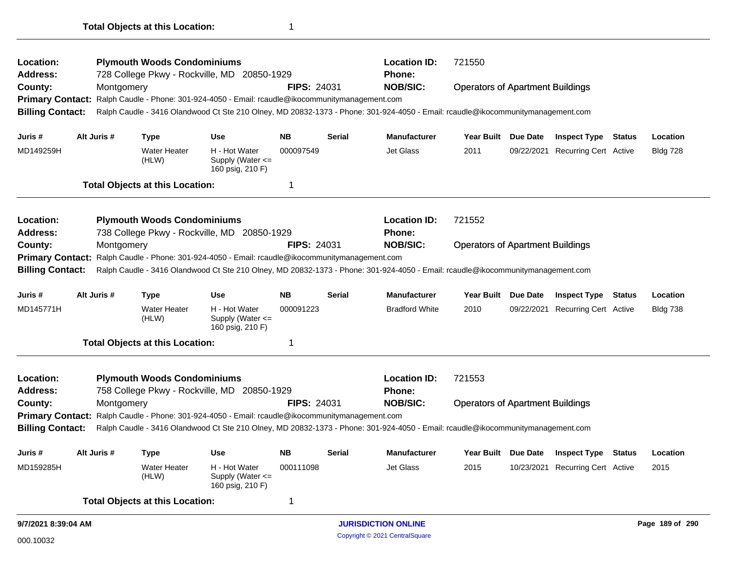| Location:<br><b>Address:</b>                 |  |             | <b>Plymouth Woods Condominiums</b>     |                                                                                                 |                    |               | <b>Location ID:</b>                                                                                                             | 721550                                  |                     |                                  |        |                 |
|----------------------------------------------|--|-------------|----------------------------------------|-------------------------------------------------------------------------------------------------|--------------------|---------------|---------------------------------------------------------------------------------------------------------------------------------|-----------------------------------------|---------------------|----------------------------------|--------|-----------------|
|                                              |  |             |                                        | 728 College Pkwy - Rockville, MD 20850-1929                                                     | <b>FIPS: 24031</b> |               | Phone:<br><b>NOB/SIC:</b>                                                                                                       |                                         |                     |                                  |        |                 |
| County:                                      |  | Montgomery  |                                        | Primary Contact: Ralph Caudle - Phone: 301-924-4050 - Email: rcaudle@ikocommunitymanagement.com |                    |               |                                                                                                                                 | <b>Operators of Apartment Buildings</b> |                     |                                  |        |                 |
| <b>Billing Contact:</b>                      |  |             |                                        |                                                                                                 |                    |               | Ralph Caudle - 3416 Olandwood Ct Ste 210 Olney, MD 20832-1373 - Phone: 301-924-4050 - Email: rcaudle@ikocommunitymanagement.com |                                         |                     |                                  |        |                 |
|                                              |  |             |                                        |                                                                                                 |                    |               |                                                                                                                                 |                                         |                     |                                  |        |                 |
| Juris #                                      |  | Alt Juris # | <b>Type</b>                            | <b>Use</b>                                                                                      | <b>NB</b>          | <b>Serial</b> | <b>Manufacturer</b>                                                                                                             |                                         | Year Built Due Date | <b>Inspect Type Status</b>       |        | Location        |
| MD149259H                                    |  |             | <b>Water Heater</b><br>(HLW)           | H - Hot Water<br>Supply (Water $\leq$<br>160 psig, 210 F)                                       | 000097549          |               | <b>Jet Glass</b>                                                                                                                | 2011                                    |                     | 09/22/2021 Recurring Cert Active |        | <b>Bldg 728</b> |
|                                              |  |             | <b>Total Objects at this Location:</b> |                                                                                                 | 1                  |               |                                                                                                                                 |                                         |                     |                                  |        |                 |
| Location:                                    |  |             | <b>Plymouth Woods Condominiums</b>     |                                                                                                 |                    |               | <b>Location ID:</b>                                                                                                             | 721552                                  |                     |                                  |        |                 |
| <b>Address:</b>                              |  |             |                                        | 738 College Pkwy - Rockville, MD 20850-1929                                                     |                    |               | <b>Phone:</b>                                                                                                                   |                                         |                     |                                  |        |                 |
| County:                                      |  | Montgomery  |                                        |                                                                                                 | <b>FIPS: 24031</b> |               | <b>NOB/SIC:</b>                                                                                                                 | <b>Operators of Apartment Buildings</b> |                     |                                  |        |                 |
| <b>Primary Contact:</b>                      |  |             |                                        | Ralph Caudle - Phone: 301-924-4050 - Email: rcaudle@ikocommunitymanagement.com                  |                    |               |                                                                                                                                 |                                         |                     |                                  |        |                 |
| <b>Billing Contact:</b>                      |  |             |                                        |                                                                                                 |                    |               | Ralph Caudle - 3416 Olandwood Ct Ste 210 Olney, MD 20832-1373 - Phone: 301-924-4050 - Email: rcaudle@ikocommunitymanagement.com |                                         |                     |                                  |        |                 |
| Juris #                                      |  | Alt Juris # | <b>Type</b>                            | <b>Use</b>                                                                                      | <b>NB</b>          | Serial        | <b>Manufacturer</b>                                                                                                             | <b>Year Built</b>                       | <b>Due Date</b>     | <b>Inspect Type</b>              | Status | Location        |
| MD145771H                                    |  |             | <b>Water Heater</b><br>(HLW)           | H - Hot Water<br>Supply (Water <=<br>160 psig, 210 F)                                           | 000091223          |               | <b>Bradford White</b>                                                                                                           | 2010                                    |                     | 09/22/2021 Recurring Cert Active |        | <b>Bldg 738</b> |
|                                              |  |             | <b>Total Objects at this Location:</b> |                                                                                                 | 1                  |               |                                                                                                                                 |                                         |                     |                                  |        |                 |
| Location:                                    |  |             | <b>Plymouth Woods Condominiums</b>     |                                                                                                 |                    |               | <b>Location ID:</b>                                                                                                             | 721553                                  |                     |                                  |        |                 |
| <b>Address:</b>                              |  |             |                                        | 758 College Pkwy - Rockville, MD 20850-1929                                                     |                    |               | <b>Phone:</b>                                                                                                                   |                                         |                     |                                  |        |                 |
| County:                                      |  | Montgomery  |                                        |                                                                                                 | <b>FIPS: 24031</b> |               | <b>NOB/SIC:</b>                                                                                                                 | <b>Operators of Apartment Buildings</b> |                     |                                  |        |                 |
| <b>Primary Contact:</b>                      |  |             |                                        | Ralph Caudle - Phone: 301-924-4050 - Email: rcaudle@ikocommunitymanagement.com                  |                    |               |                                                                                                                                 |                                         |                     |                                  |        |                 |
| <b>Billing Contact:</b>                      |  |             |                                        |                                                                                                 |                    |               | Ralph Caudle - 3416 Olandwood Ct Ste 210 Olney, MD 20832-1373 - Phone: 301-924-4050 - Email: rcaudle@ikocommunitymanagement.com |                                         |                     |                                  |        |                 |
| Alt Juris #<br>Juris #<br><b>Use</b><br>Type |  |             |                                        |                                                                                                 | <b>NB</b>          | <b>Serial</b> | <b>Manufacturer</b>                                                                                                             | <b>Year Built</b>                       | Due Date            | <b>Inspect Type</b>              | Status | Location        |
| MD159285H                                    |  |             | <b>Water Heater</b><br>(HLW)           | H - Hot Water<br>Supply (Water $\leq$<br>160 psig, 210 F)                                       | 000111098          |               | <b>Jet Glass</b>                                                                                                                | 2015                                    |                     | 10/23/2021 Recurring Cert Active |        | 2015            |
|                                              |  |             | <b>Total Objects at this Location:</b> |                                                                                                 | 1                  |               |                                                                                                                                 |                                         |                     |                                  |        |                 |
| 9/7/2021 8:39:04 AM                          |  |             |                                        |                                                                                                 |                    |               | <b>JURISDICTION ONLINE</b>                                                                                                      |                                         |                     |                                  |        | Page 189 of 290 |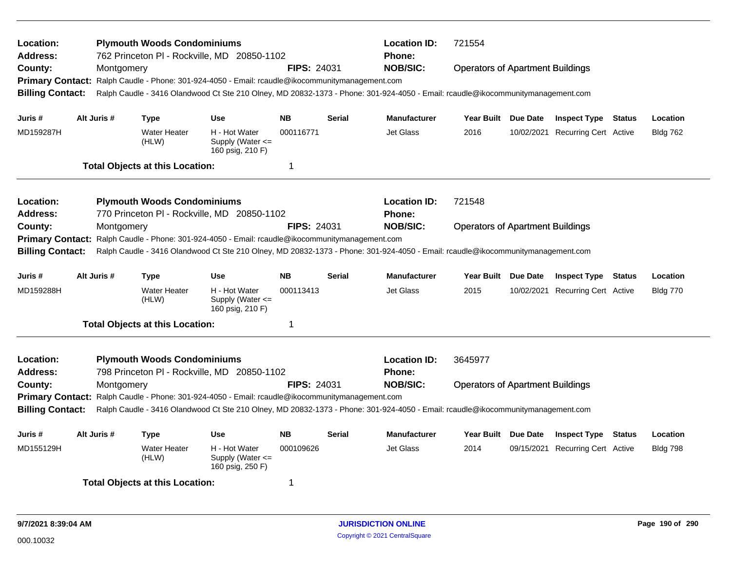| Location:<br>Address:<br>County:<br><b>Primary Contact:</b><br><b>Billing Contact:</b> | Montgomery  | <b>Plymouth Woods Condominiums</b>     | 762 Princeton PI - Rockville, MD 20850-1102<br>Ralph Caudle - Phone: 301-924-4050 - Email: rcaudle@ikocommunitymanagement.com | <b>FIPS: 24031</b> |               | <b>Location ID:</b><br><b>Phone:</b><br><b>NOB/SIC:</b><br>Ralph Caudle - 3416 Olandwood Ct Ste 210 Olney, MD 20832-1373 - Phone: 301-924-4050 - Email: rcaudle@ikocommunitymanagement.com | 721554<br><b>Operators of Apartment Buildings</b> |          |                                  |        |                 |
|----------------------------------------------------------------------------------------|-------------|----------------------------------------|-------------------------------------------------------------------------------------------------------------------------------|--------------------|---------------|--------------------------------------------------------------------------------------------------------------------------------------------------------------------------------------------|---------------------------------------------------|----------|----------------------------------|--------|-----------------|
| Juris #                                                                                | Alt Juris # | <b>Type</b>                            | <b>Use</b>                                                                                                                    | <b>NB</b>          | <b>Serial</b> | <b>Manufacturer</b>                                                                                                                                                                        | <b>Year Built</b>                                 | Due Date | <b>Inspect Type Status</b>       |        | Location        |
| MD159287H                                                                              |             | <b>Water Heater</b><br>(HLW)           | H - Hot Water<br>Supply (Water $\leq$<br>160 psig, 210 F)                                                                     | 000116771          |               | <b>Jet Glass</b>                                                                                                                                                                           | 2016                                              |          | 10/02/2021 Recurring Cert Active |        | <b>Bldg 762</b> |
|                                                                                        |             | <b>Total Objects at this Location:</b> |                                                                                                                               | $\overline{1}$     |               |                                                                                                                                                                                            |                                                   |          |                                  |        |                 |
| Location:                                                                              |             | <b>Plymouth Woods Condominiums</b>     |                                                                                                                               |                    |               | <b>Location ID:</b>                                                                                                                                                                        | 721548                                            |          |                                  |        |                 |
| <b>Address:</b>                                                                        |             |                                        | 770 Princeton PI - Rockville, MD 20850-1102                                                                                   |                    |               | <b>Phone:</b>                                                                                                                                                                              |                                                   |          |                                  |        |                 |
| County:                                                                                | Montgomery  |                                        |                                                                                                                               | <b>FIPS: 24031</b> |               | <b>NOB/SIC:</b>                                                                                                                                                                            | <b>Operators of Apartment Buildings</b>           |          |                                  |        |                 |
| <b>Primary Contact:</b><br><b>Billing Contact:</b>                                     |             |                                        | Ralph Caudle - Phone: 301-924-4050 - Email: rcaudle@ikocommunitymanagement.com                                                |                    |               | Ralph Caudle - 3416 Olandwood Ct Ste 210 Olney, MD 20832-1373 - Phone: 301-924-4050 - Email: rcaudle@ikocommunitymanagement.com                                                            |                                                   |          |                                  |        |                 |
| Juris #                                                                                | Alt Juris # | Type                                   | <b>Use</b>                                                                                                                    | <b>NB</b>          | <b>Serial</b> | <b>Manufacturer</b>                                                                                                                                                                        | Year Built Due Date                               |          | <b>Inspect Type</b>              | Status | Location        |
| MD159288H                                                                              |             | <b>Water Heater</b><br>(HLW)           | H - Hot Water<br>Supply (Water <=<br>160 psig, 210 F)                                                                         | 000113413          |               | <b>Jet Glass</b>                                                                                                                                                                           | 2015                                              |          | 10/02/2021 Recurring Cert Active |        | <b>Bldg 770</b> |
|                                                                                        |             | <b>Total Objects at this Location:</b> |                                                                                                                               | $\mathbf 1$        |               |                                                                                                                                                                                            |                                                   |          |                                  |        |                 |
| Location:<br><b>Address:</b>                                                           |             | <b>Plymouth Woods Condominiums</b>     | 798 Princeton PI - Rockville, MD 20850-1102                                                                                   |                    |               | <b>Location ID:</b><br><b>Phone:</b>                                                                                                                                                       | 3645977                                           |          |                                  |        |                 |
| County:                                                                                | Montgomery  |                                        |                                                                                                                               | <b>FIPS: 24031</b> |               | <b>NOB/SIC:</b>                                                                                                                                                                            | <b>Operators of Apartment Buildings</b>           |          |                                  |        |                 |
| <b>Primary Contact:</b>                                                                |             |                                        | Ralph Caudle - Phone: 301-924-4050 - Email: rcaudle@ikocommunitymanagement.com                                                |                    |               |                                                                                                                                                                                            |                                                   |          |                                  |        |                 |
| <b>Billing Contact:</b>                                                                |             |                                        |                                                                                                                               |                    |               | Ralph Caudle - 3416 Olandwood Ct Ste 210 Olney, MD 20832-1373 - Phone: 301-924-4050 - Email: rcaudle@ikocommunitymanagement.com                                                            |                                                   |          |                                  |        |                 |
| Juris #                                                                                | Alt Juris # | <b>Type</b>                            | <b>Use</b>                                                                                                                    | <b>NB</b>          | <b>Serial</b> | <b>Manufacturer</b>                                                                                                                                                                        | <b>Year Built</b>                                 | Due Date | <b>Inspect Type Status</b>       |        | Location        |
| MD155129H                                                                              |             | <b>Water Heater</b><br>(HLW)           | H - Hot Water<br>Supply (Water <=<br>160 psig, 250 F)                                                                         | 000109626          |               | <b>Jet Glass</b>                                                                                                                                                                           | 2014                                              |          | 09/15/2021 Recurring Cert Active |        | <b>Bldg 798</b> |
|                                                                                        |             | <b>Total Objects at this Location:</b> |                                                                                                                               | -1                 |               |                                                                                                                                                                                            |                                                   |          |                                  |        |                 |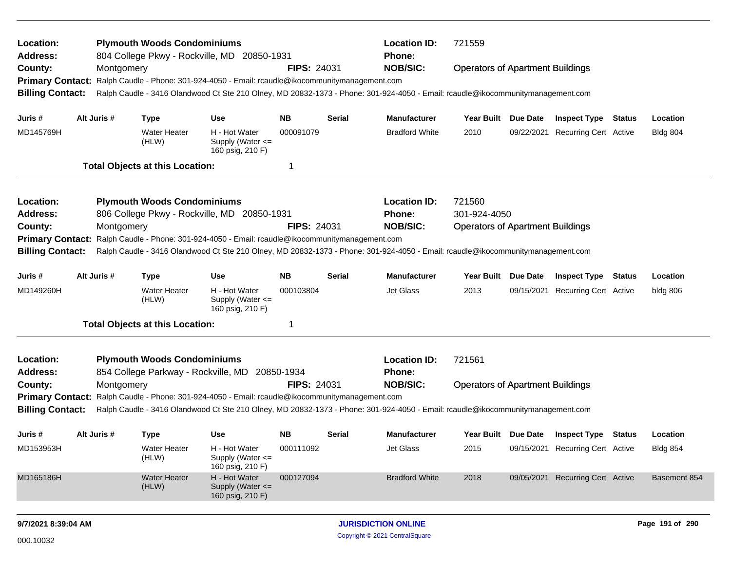| Location:<br>Address:<br>County:<br><b>Primary Contact:</b><br><b>Billing Contact:</b> |                                                                                                                                                                                                                                                                                                                                                                                                                                               | Montgomery  | <b>Plymouth Woods Condominiums</b>                                             | 804 College Pkwy - Rockville, MD 20850-1931<br>Ralph Caudle - Phone: 301-924-4050 - Email: rcaudle@ikocommunitymanagement.com | <b>FIPS: 24031</b>                  |               | <b>Location ID:</b><br><b>Phone:</b><br><b>NOB/SIC:</b><br>Ralph Caudle - 3416 Olandwood Ct Ste 210 Olney, MD 20832-1373 - Phone: 301-924-4050 - Email: rcaudle@ikocommunitymanagement.com | 721559<br><b>Operators of Apartment Buildings</b>                 |                 |                                                                                                    |        |                                             |
|----------------------------------------------------------------------------------------|-----------------------------------------------------------------------------------------------------------------------------------------------------------------------------------------------------------------------------------------------------------------------------------------------------------------------------------------------------------------------------------------------------------------------------------------------|-------------|--------------------------------------------------------------------------------|-------------------------------------------------------------------------------------------------------------------------------|-------------------------------------|---------------|--------------------------------------------------------------------------------------------------------------------------------------------------------------------------------------------|-------------------------------------------------------------------|-----------------|----------------------------------------------------------------------------------------------------|--------|---------------------------------------------|
| Juris #<br>MD145769H                                                                   |                                                                                                                                                                                                                                                                                                                                                                                                                                               | Alt Juris # | <b>Type</b><br>Water Heater<br>(HLW)<br><b>Total Objects at this Location:</b> | <b>Use</b><br>H - Hot Water<br>Supply (Water <=<br>160 psig, 210 F)                                                           | <b>NB</b><br>000091079<br>-1        | <b>Serial</b> | <b>Manufacturer</b><br><b>Bradford White</b>                                                                                                                                               | Year Built Due Date<br>2010                                       | 09/22/2021      | <b>Inspect Type Status</b><br><b>Recurring Cert Active</b>                                         |        | Location<br><b>Bldg 804</b>                 |
| Location:<br>Address:<br>County:<br><b>Primary Contact:</b><br><b>Billing Contact:</b> |                                                                                                                                                                                                                                                                                                                                                                                                                                               | Montgomery  | <b>Plymouth Woods Condominiums</b>                                             | 806 College Pkwy - Rockville, MD 20850-1931<br>Ralph Caudle - Phone: 301-924-4050 - Email: rcaudle@ikocommunitymanagement.com | <b>FIPS: 24031</b>                  |               | <b>Location ID:</b><br><b>Phone:</b><br><b>NOB/SIC:</b><br>Ralph Caudle - 3416 Olandwood Ct Ste 210 Olney, MD 20832-1373 - Phone: 301-924-4050 - Email: rcaudle@ikocommunitymanagement.com | 721560<br>301-924-4050<br><b>Operators of Apartment Buildings</b> |                 |                                                                                                    |        |                                             |
| Juris #<br>MD149260H                                                                   |                                                                                                                                                                                                                                                                                                                                                                                                                                               | Alt Juris # | <b>Type</b><br>Water Heater<br>(HLW)                                           | <b>Use</b><br>H - Hot Water<br>Supply (Water <=<br>160 psig, 210 F)                                                           | <b>NB</b><br>000103804<br>-1        | <b>Serial</b> | <b>Manufacturer</b><br>Jet Glass                                                                                                                                                           | Year Built<br>2013                                                | <b>Due Date</b> | <b>Inspect Type</b><br>09/15/2021 Recurring Cert Active                                            | Status | Location<br>bldg 806                        |
| Location:<br>Address:<br>County:                                                       | <b>Total Objects at this Location:</b><br><b>Plymouth Woods Condominiums</b><br>854 College Parkway - Rockville, MD 20850-1934<br><b>FIPS: 24031</b><br>Montgomery<br><b>Primary Contact:</b><br>Ralph Caudle - Phone: 301-924-4050 - Email: rcaudle@ikocommunitymanagement.com<br><b>Billing Contact:</b><br>Ralph Caudle - 3416 Olandwood Ct Ste 210 Olney, MD 20832-1373 - Phone: 301-924-4050 - Email: rcaudle@ikocommunitymanagement.com |             |                                                                                |                                                                                                                               |                                     |               | <b>Location ID:</b><br><b>Phone:</b><br><b>NOB/SIC:</b>                                                                                                                                    | 721561<br><b>Operators of Apartment Buildings</b>                 |                 |                                                                                                    |        |                                             |
| Juris #<br>MD153953H<br>MD165186H                                                      |                                                                                                                                                                                                                                                                                                                                                                                                                                               | Alt Juris # | <b>Type</b><br>Water Heater<br>(HLW)<br><b>Water Heater</b><br>(HLW)           | <b>Use</b><br>H - Hot Water<br>Supply (Water <=<br>160 psig, 210 F)<br>H - Hot Water<br>Supply (Water <=                      | <b>NB</b><br>000111092<br>000127094 | <b>Serial</b> | <b>Manufacturer</b><br>Jet Glass<br><b>Bradford White</b>                                                                                                                                  | Year Built Due Date<br>2015<br>2018                               |                 | <b>Inspect Type Status</b><br>09/15/2021 Recurring Cert Active<br>09/05/2021 Recurring Cert Active |        | Location<br><b>Bldg 854</b><br>Basement 854 |
|                                                                                        |                                                                                                                                                                                                                                                                                                                                                                                                                                               |             |                                                                                | 160 psig, 210 F)                                                                                                              |                                     |               |                                                                                                                                                                                            |                                                                   |                 |                                                                                                    |        |                                             |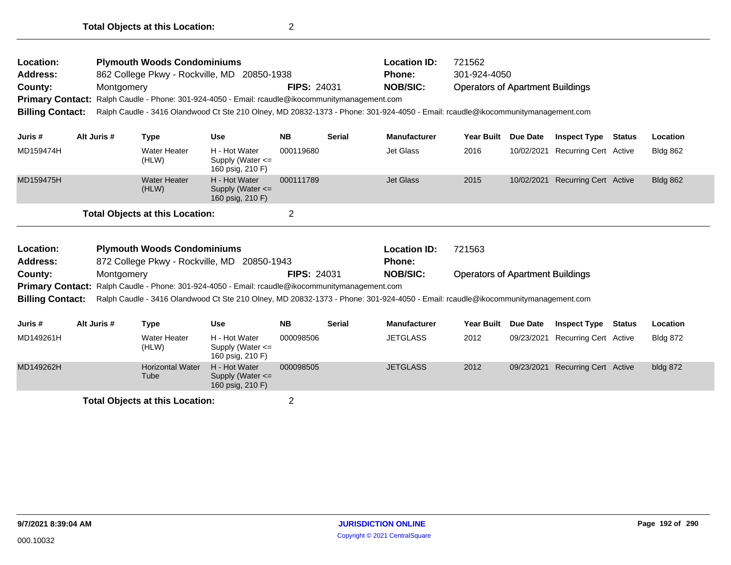| Location:<br><b>Address:</b><br>County:<br><b>Billing Contact:</b> | Montgomery  | <b>Plymouth Woods Condominiums</b><br>862 College Pkwy - Rockville, MD 20850-1938<br>Primary Contact: Ralph Caudle - Phone: 301-924-4050 - Email: rcaudle@ikocommunitymanagement.com<br>Ralph Caudle - 3416 Olandwood Ct Ste 210 Olney, MD 20832-1373 - Phone: 301-924-4050 - Email: rcaudle@ikocommunitymanagement.com |                                                           | <b>FIPS: 24031</b> |               | <b>Location ID:</b><br><b>Phone:</b><br><b>NOB/SIC:</b> | 721562<br>301-924-4050<br><b>Operators of Apartment Buildings</b> |                 |                              |               |                 |
|--------------------------------------------------------------------|-------------|-------------------------------------------------------------------------------------------------------------------------------------------------------------------------------------------------------------------------------------------------------------------------------------------------------------------------|-----------------------------------------------------------|--------------------|---------------|---------------------------------------------------------|-------------------------------------------------------------------|-----------------|------------------------------|---------------|-----------------|
| Juris #                                                            | Alt Juris # | <b>Type</b>                                                                                                                                                                                                                                                                                                             | <b>Use</b>                                                | <b>NB</b>          | <b>Serial</b> | <b>Manufacturer</b>                                     | <b>Year Built</b>                                                 | <b>Due Date</b> | <b>Inspect Type</b>          | Status        | Location        |
| MD159474H                                                          |             | <b>Water Heater</b><br>(HLW)                                                                                                                                                                                                                                                                                            | H - Hot Water<br>Supply (Water <=<br>160 psig, 210 F)     | 000119680          |               | Jet Glass                                               | 2016                                                              | 10/02/2021      | <b>Recurring Cert Active</b> |               | <b>Bldg 862</b> |
| MD159475H                                                          |             | <b>Water Heater</b><br>(HLW)                                                                                                                                                                                                                                                                                            | H - Hot Water<br>Supply (Water <=<br>160 psig, 210 F)     | 000111789          |               | <b>Jet Glass</b>                                        | 2015                                                              | 10/02/2021      | Recurring Cert Active        |               | <b>Bldg 862</b> |
|                                                                    |             | <b>Total Objects at this Location:</b>                                                                                                                                                                                                                                                                                  |                                                           | $\overline{2}$     |               |                                                         |                                                                   |                 |                              |               |                 |
| Location:<br><b>Address:</b>                                       |             | <b>Plymouth Woods Condominiums</b><br>872 College Pkwy - Rockville, MD 20850-1943                                                                                                                                                                                                                                       |                                                           |                    |               | <b>Location ID:</b><br><b>Phone:</b>                    | 721563                                                            |                 |                              |               |                 |
| County:                                                            | Montgomery  |                                                                                                                                                                                                                                                                                                                         |                                                           | <b>FIPS: 24031</b> |               | <b>NOB/SIC:</b>                                         | <b>Operators of Apartment Buildings</b>                           |                 |                              |               |                 |
| <b>Billing Contact:</b>                                            |             | <b>Primary Contact:</b> Ralph Caudle - Phone: 301-924-4050 - Email: rcaudle@ikocommunitymanagement.com<br>Ralph Caudle - 3416 Olandwood Ct Ste 210 Olney, MD 20832-1373 - Phone: 301-924-4050 - Email: rcaudle@ikocommunitymanagement.com                                                                               |                                                           |                    |               |                                                         |                                                                   |                 |                              |               |                 |
| Juris #                                                            | Alt Juris # | <b>Type</b>                                                                                                                                                                                                                                                                                                             | <b>Use</b>                                                | <b>NB</b>          | <b>Serial</b> | <b>Manufacturer</b>                                     | <b>Year Built</b>                                                 | <b>Due Date</b> | <b>Inspect Type</b>          | <b>Status</b> | Location        |
| MD149261H                                                          |             | <b>Water Heater</b><br>(HLW)                                                                                                                                                                                                                                                                                            | H - Hot Water<br>Supply (Water $\leq$<br>160 psig, 210 F) | 000098506          |               | <b>JETGLASS</b>                                         | 2012                                                              | 09/23/2021      | Recurring Cert Active        |               | <b>Bldg 872</b> |
| MD149262H                                                          |             | <b>Horizontal Water</b><br>Tube                                                                                                                                                                                                                                                                                         | H - Hot Water<br>Supply (Water <=<br>160 psig, 210 F)     | 000098505          |               | <b>JETGLASS</b>                                         | 2012                                                              | 09/23/2021      | <b>Recurring Cert Active</b> |               | bldg 872        |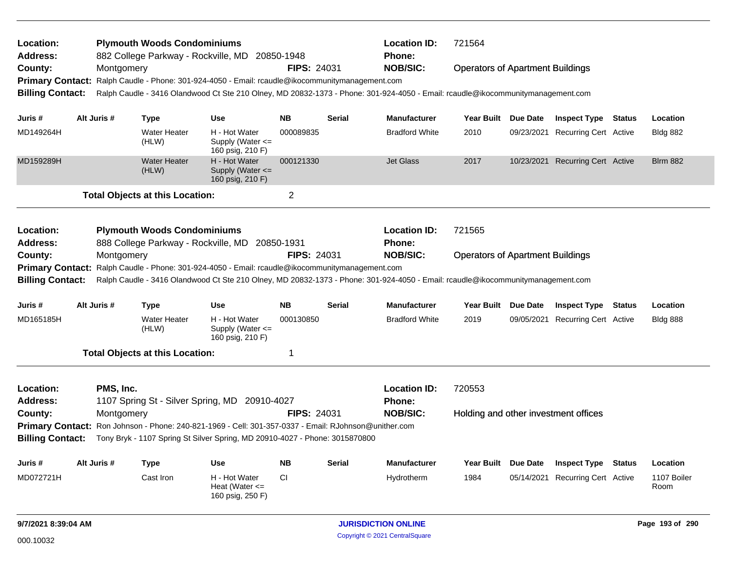| <b>Address:</b>                                    |                                                                                                                                                            | <b>Plymouth Woods Condominiums</b><br>882 College Parkway - Rockville, MD |                                                                                                                                 | 20850-1948         |               | <b>Location ID:</b><br><b>Phone:</b> | 721564                                  |                                         |                                      |               |                 |  |  |
|----------------------------------------------------|------------------------------------------------------------------------------------------------------------------------------------------------------------|---------------------------------------------------------------------------|---------------------------------------------------------------------------------------------------------------------------------|--------------------|---------------|--------------------------------------|-----------------------------------------|-----------------------------------------|--------------------------------------|---------------|-----------------|--|--|
| County:                                            | Montgomery                                                                                                                                                 |                                                                           |                                                                                                                                 | <b>FIPS: 24031</b> |               | <b>NOB/SIC:</b>                      | <b>Operators of Apartment Buildings</b> |                                         |                                      |               |                 |  |  |
| <b>Primary Contact:</b>                            |                                                                                                                                                            |                                                                           | Ralph Caudle - Phone: 301-924-4050 - Email: rcaudle@ikocommunitymanagement.com                                                  |                    |               |                                      |                                         |                                         |                                      |               |                 |  |  |
| <b>Billing Contact:</b>                            |                                                                                                                                                            |                                                                           | Ralph Caudle - 3416 Olandwood Ct Ste 210 Olney, MD 20832-1373 - Phone: 301-924-4050 - Email: rcaudle@ikocommunitymanagement.com |                    |               |                                      |                                         |                                         |                                      |               |                 |  |  |
|                                                    |                                                                                                                                                            |                                                                           |                                                                                                                                 |                    |               |                                      |                                         |                                         |                                      |               |                 |  |  |
| Juris #                                            | Alt Juris #                                                                                                                                                | <b>Type</b>                                                               | <b>Use</b>                                                                                                                      | <b>NB</b>          | <b>Serial</b> | <b>Manufacturer</b>                  | Year Built Due Date                     |                                         | <b>Inspect Type Status</b>           |               | Location        |  |  |
| MD149264H                                          |                                                                                                                                                            | <b>Water Heater</b><br>(HLW)                                              | H - Hot Water<br>Supply (Water $\leq$<br>160 psig, 210 F)                                                                       | 000089835          |               | <b>Bradford White</b>                | 2010                                    | 09/23/2021                              | Recurring Cert Active                |               | <b>Bldg 882</b> |  |  |
| MD159289H                                          |                                                                                                                                                            | <b>Water Heater</b><br>(HLW)                                              | H - Hot Water<br>Supply (Water $\leq$<br>160 psig, 210 F)                                                                       | 000121330          |               | <b>Jet Glass</b>                     | 2017                                    |                                         | 10/23/2021 Recurring Cert Active     |               | <b>Blrm 882</b> |  |  |
|                                                    |                                                                                                                                                            | <b>Total Objects at this Location:</b>                                    |                                                                                                                                 | $\overline{2}$     |               |                                      |                                         |                                         |                                      |               |                 |  |  |
| Location:<br><b>Address:</b>                       |                                                                                                                                                            | <b>Plymouth Woods Condominiums</b>                                        | 888 College Parkway - Rockville, MD 20850-1931                                                                                  |                    |               | <b>Location ID:</b><br><b>Phone:</b> | 721565                                  |                                         |                                      |               |                 |  |  |
| County:                                            | Montgomery                                                                                                                                                 |                                                                           |                                                                                                                                 | <b>FIPS: 24031</b> |               | <b>NOB/SIC:</b>                      |                                         | <b>Operators of Apartment Buildings</b> |                                      |               |                 |  |  |
|                                                    |                                                                                                                                                            |                                                                           | Primary Contact: Ralph Caudle - Phone: 301-924-4050 - Email: rcaudle@ikocommunitymanagement.com                                 |                    |               |                                      |                                         |                                         |                                      |               |                 |  |  |
|                                                    |                                                                                                                                                            |                                                                           |                                                                                                                                 |                    |               |                                      |                                         |                                         |                                      |               |                 |  |  |
|                                                    | <b>Billing Contact:</b><br>Ralph Caudle - 3416 Olandwood Ct Ste 210 Olney, MD 20832-1373 - Phone: 301-924-4050 - Email: rcaudle@ikocommunitymanagement.com |                                                                           |                                                                                                                                 |                    |               |                                      |                                         |                                         |                                      |               |                 |  |  |
|                                                    |                                                                                                                                                            |                                                                           |                                                                                                                                 |                    |               |                                      |                                         |                                         |                                      |               |                 |  |  |
| Juris #                                            | Alt Juris #                                                                                                                                                | <b>Type</b>                                                               | <b>Use</b>                                                                                                                      | <b>NB</b>          | <b>Serial</b> | <b>Manufacturer</b>                  | Year Built Due Date                     |                                         | <b>Inspect Type</b>                  | <b>Status</b> | Location        |  |  |
| MD165185H                                          |                                                                                                                                                            | <b>Water Heater</b><br>(HLW)                                              | H - Hot Water<br>Supply (Water <=<br>160 psig, 210 F)                                                                           | 000130850          |               | <b>Bradford White</b>                | 2019                                    |                                         | 09/05/2021 Recurring Cert Active     |               | <b>Bldg 888</b> |  |  |
|                                                    |                                                                                                                                                            | <b>Total Objects at this Location:</b>                                    |                                                                                                                                 | 1                  |               |                                      |                                         |                                         |                                      |               |                 |  |  |
| Location:                                          | PMS, Inc.                                                                                                                                                  |                                                                           |                                                                                                                                 |                    |               | <b>Location ID:</b>                  | 720553                                  |                                         |                                      |               |                 |  |  |
| <b>Address:</b>                                    |                                                                                                                                                            |                                                                           | 1107 Spring St - Silver Spring, MD 20910-4027                                                                                   |                    |               | <b>Phone:</b>                        |                                         |                                         |                                      |               |                 |  |  |
| County:                                            | Montgomery                                                                                                                                                 |                                                                           | Ron Johnson - Phone: 240-821-1969 - Cell: 301-357-0337 - Email: RJohnson@unither.com                                            | <b>FIPS: 24031</b> |               | <b>NOB/SIC:</b>                      |                                         |                                         | Holding and other investment offices |               |                 |  |  |
| <b>Primary Contact:</b><br><b>Billing Contact:</b> |                                                                                                                                                            |                                                                           | Tony Bryk - 1107 Spring St Silver Spring, MD 20910-4027 - Phone: 3015870800                                                     |                    |               |                                      |                                         |                                         |                                      |               |                 |  |  |
|                                                    |                                                                                                                                                            |                                                                           |                                                                                                                                 |                    |               |                                      |                                         |                                         |                                      |               |                 |  |  |
| Juris #                                            | Alt Juris #                                                                                                                                                | Type                                                                      | <b>Use</b>                                                                                                                      | <b>NB</b>          | <b>Serial</b> | <b>Manufacturer</b>                  | Year Built Due Date                     |                                         | <b>Inspect Type</b>                  | <b>Status</b> | Location        |  |  |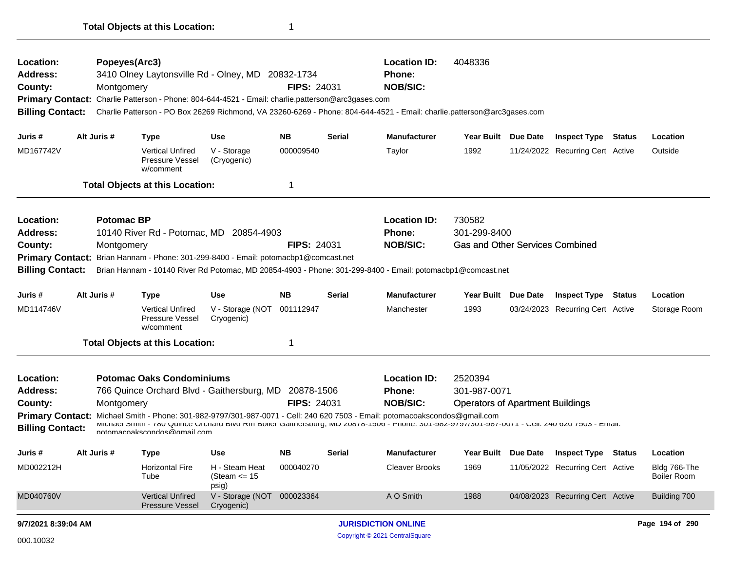| Location:<br>Address:<br>County:<br><b>Billing Contact:</b>                                                                                                                                                                                                                                                                                                                           |  | Popeyes(Arc3)<br>Montgomery | 3410 Olney Laytonsville Rd - Olney, MD 20832-1734<br>Primary Contact: Charlie Patterson - Phone: 804-644-4521 - Email: charlie.patterson@arc3gases.com |                                            | <b>FIPS: 24031</b> |        | <b>Location ID:</b><br>Phone:<br><b>NOB/SIC:</b>                                                                                                                                                                                                                                                                                         | 4048336<br>Charlie Patterson - PO Box 26269 Richmond, VA 23260-6269 - Phone: 804-644-4521 - Email: charlie.patterson@arc3gases.com |          |                                  |  |                                    |  |
|---------------------------------------------------------------------------------------------------------------------------------------------------------------------------------------------------------------------------------------------------------------------------------------------------------------------------------------------------------------------------------------|--|-----------------------------|--------------------------------------------------------------------------------------------------------------------------------------------------------|--------------------------------------------|--------------------|--------|------------------------------------------------------------------------------------------------------------------------------------------------------------------------------------------------------------------------------------------------------------------------------------------------------------------------------------------|------------------------------------------------------------------------------------------------------------------------------------|----------|----------------------------------|--|------------------------------------|--|
| Juris #                                                                                                                                                                                                                                                                                                                                                                               |  | Alt Juris #                 | <b>Type</b>                                                                                                                                            | Use                                        | NB.                | Serial | <b>Manufacturer</b>                                                                                                                                                                                                                                                                                                                      | Year Built Due Date                                                                                                                |          | <b>Inspect Type Status</b>       |  | Location                           |  |
| MD167742V                                                                                                                                                                                                                                                                                                                                                                             |  |                             | <b>Vertical Unfired</b><br><b>Pressure Vessel</b><br>w/comment                                                                                         | V - Storage<br>(Cryogenic)                 | 000009540          |        | Taylor                                                                                                                                                                                                                                                                                                                                   | 1992                                                                                                                               |          | 11/24/2022 Recurring Cert Active |  | Outside                            |  |
|                                                                                                                                                                                                                                                                                                                                                                                       |  |                             | <b>Total Objects at this Location:</b>                                                                                                                 |                                            | 1                  |        |                                                                                                                                                                                                                                                                                                                                          |                                                                                                                                    |          |                                  |  |                                    |  |
| <b>Potomac BP</b><br>Location:<br><b>Address:</b><br>10140 River Rd - Potomac, MD 20854-4903<br>County:<br><b>FIPS: 24031</b><br>Montgomery<br>Brian Hannam - Phone: 301-299-8400 - Email: potomacbp1@comcast.net<br><b>Primary Contact:</b><br><b>Billing Contact:</b><br>Brian Hannam - 10140 River Rd Potomac, MD 20854-4903 - Phone: 301-299-8400 - Email: potomacbp1@comcast.net |  |                             |                                                                                                                                                        |                                            |                    |        | <b>Location ID:</b><br><b>Phone:</b><br><b>NOB/SIC:</b>                                                                                                                                                                                                                                                                                  | 730582<br>301-299-8400<br><b>Gas and Other Services Combined</b>                                                                   |          |                                  |  |                                    |  |
| Juris #                                                                                                                                                                                                                                                                                                                                                                               |  | Alt Juris #                 | <b>Type</b>                                                                                                                                            | <b>Use</b>                                 | <b>NB</b>          | Serial | <b>Manufacturer</b>                                                                                                                                                                                                                                                                                                                      | <b>Year Built</b>                                                                                                                  | Due Date | <b>Inspect Type Status</b>       |  | Location                           |  |
| MD114746V                                                                                                                                                                                                                                                                                                                                                                             |  |                             | <b>Vertical Unfired</b><br><b>Pressure Vessel</b><br>w/comment                                                                                         | V - Storage (NOT<br>Cryogenic)             | 001112947          |        | Manchester                                                                                                                                                                                                                                                                                                                               | 1993                                                                                                                               |          | 03/24/2023 Recurring Cert Active |  | Storage Room                       |  |
|                                                                                                                                                                                                                                                                                                                                                                                       |  |                             | <b>Total Objects at this Location:</b>                                                                                                                 |                                            | 1                  |        |                                                                                                                                                                                                                                                                                                                                          |                                                                                                                                    |          |                                  |  |                                    |  |
| Location:<br><b>Address:</b><br>County:<br><b>Billing Contact:</b>                                                                                                                                                                                                                                                                                                                    |  | Montgomery                  | <b>Potomac Oaks Condominiums</b><br>766 Quince Orchard Blvd - Gaithersburg, MD 20878-1506<br>nntnmarnakernndne@nmail rnm                               |                                            | <b>FIPS: 24031</b> |        | <b>Location ID:</b><br><b>Phone:</b><br><b>NOB/SIC:</b><br>Primary Contact: Michael Smith - Phone: 301-982-9797/301-987-0071 - Cell: 240 620 7503 - Email: potomacoakscondos@gmail.com<br>MICNAEL SMITH - 180 QUINCE OFCHAFA BIVA KM BOIIEF GAITHETSDUFG, MD ZU818-1500 - PHONE: 301-982-91911301-981-0011 - GEII: Z40 0Z0 1503 - EMAII: | 2520394<br>301-987-0071<br><b>Operators of Apartment Buildings</b>                                                                 |          |                                  |  |                                    |  |
| Juris #                                                                                                                                                                                                                                                                                                                                                                               |  | Alt Juris #                 | Type                                                                                                                                                   | <b>Use</b>                                 | <b>NB</b>          | Serial | <b>Manufacturer</b>                                                                                                                                                                                                                                                                                                                      | Year Built Due Date                                                                                                                |          | <b>Inspect Type Status</b>       |  | Location                           |  |
| MD002212H                                                                                                                                                                                                                                                                                                                                                                             |  |                             | Horizontal Fire<br>Tube                                                                                                                                | H - Steam Heat<br>(Steam $\le$ 15<br>psig) | 000040270          |        | Cleaver Brooks                                                                                                                                                                                                                                                                                                                           | 1969                                                                                                                               |          | 11/05/2022 Recurring Cert Active |  | Bldg 766-The<br><b>Boiler Room</b> |  |
| MD040760V                                                                                                                                                                                                                                                                                                                                                                             |  |                             | <b>Vertical Unfired</b><br>Pressure Vessel                                                                                                             | V - Storage (NOT 000023364<br>Cryogenic)   |                    |        | A O Smith                                                                                                                                                                                                                                                                                                                                | 1988                                                                                                                               |          | 04/08/2023 Recurring Cert Active |  | Building 700                       |  |
| 9/7/2021 8:39:04 AM                                                                                                                                                                                                                                                                                                                                                                   |  |                             |                                                                                                                                                        |                                            |                    |        | <b>JURISDICTION ONLINE</b>                                                                                                                                                                                                                                                                                                               |                                                                                                                                    |          |                                  |  | Page 194 of 290                    |  |
| 000.10032                                                                                                                                                                                                                                                                                                                                                                             |  |                             |                                                                                                                                                        |                                            |                    |        | Copyright © 2021 CentralSquare                                                                                                                                                                                                                                                                                                           |                                                                                                                                    |          |                                  |  |                                    |  |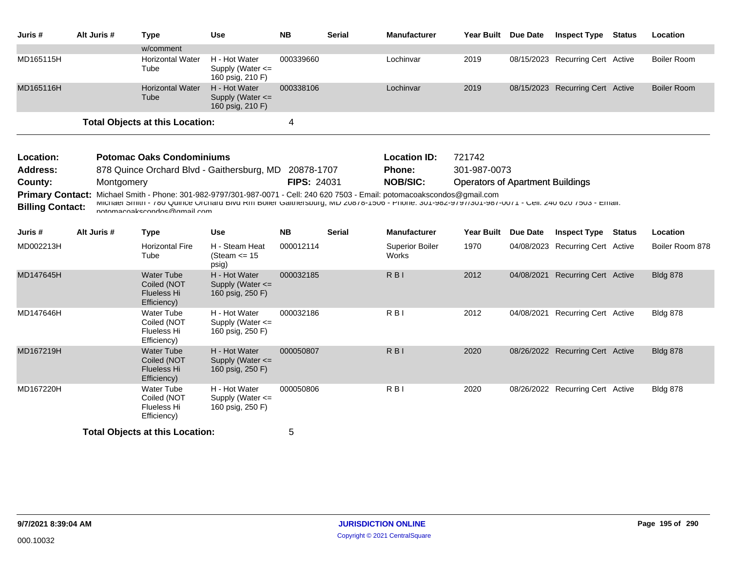| Juris #                                            | Alt Juris # | <b>Type</b>                                                                                                                                                                                                                                                                                            | <b>Use</b>                                                | <b>NB</b>   | <b>Serial</b> | <b>Manufacturer</b>             | Year Built Due Date                     |                 | <b>Inspect Type</b>              | <b>Status</b> | Location           |
|----------------------------------------------------|-------------|--------------------------------------------------------------------------------------------------------------------------------------------------------------------------------------------------------------------------------------------------------------------------------------------------------|-----------------------------------------------------------|-------------|---------------|---------------------------------|-----------------------------------------|-----------------|----------------------------------|---------------|--------------------|
|                                                    |             | w/comment                                                                                                                                                                                                                                                                                              |                                                           |             |               |                                 |                                         |                 |                                  |               |                    |
| MD165115H                                          |             | <b>Horizontal Water</b><br>Tube                                                                                                                                                                                                                                                                        | H - Hot Water<br>Supply (Water $\leq$<br>160 psig, 210 F) | 000339660   |               | Lochinvar                       | 2019                                    |                 | 08/15/2023 Recurring Cert Active |               | <b>Boiler Room</b> |
| MD165116H                                          |             | <b>Horizontal Water</b><br>Tube                                                                                                                                                                                                                                                                        | H - Hot Water<br>Supply (Water <=<br>160 psig, 210 F)     | 000338106   |               | Lochinvar                       | 2019                                    |                 | 08/15/2023 Recurring Cert Active |               | <b>Boiler Room</b> |
|                                                    |             | <b>Total Objects at this Location:</b>                                                                                                                                                                                                                                                                 |                                                           | 4           |               |                                 |                                         |                 |                                  |               |                    |
| Location:                                          |             | <b>Potomac Oaks Condominiums</b>                                                                                                                                                                                                                                                                       |                                                           |             |               | <b>Location ID:</b>             | 721742                                  |                 |                                  |               |                    |
| <b>Address:</b>                                    |             | 878 Quince Orchard Blvd - Gaithersburg, MD 20878-1707                                                                                                                                                                                                                                                  |                                                           |             |               | Phone:                          | 301-987-0073                            |                 |                                  |               |                    |
| County:                                            | Montgomery  |                                                                                                                                                                                                                                                                                                        |                                                           | FIPS: 24031 |               | <b>NOB/SIC:</b>                 | <b>Operators of Apartment Buildings</b> |                 |                                  |               |                    |
| <b>Primary Contact:</b><br><b>Billing Contact:</b> |             | Michael Smith - Phone: 301-982-9797/301-987-0071 - Cell: 240 620 7503 - Email: potomacoakscondos@gmail.com<br>INICITISH 2111111 - YOU QUITICE OTCHARD DIVERTIT DOITER GARRIERSDURG, INID ZUOYO-1000 - PRONE: 301-902-9797/301-907-0071 - GEIII: Z40 020 / 003 - ETRAII:<br>notomacoakecondos@amail.com |                                                           |             |               |                                 |                                         |                 |                                  |               |                    |
| Juris #                                            | Alt Juris # | <b>Type</b>                                                                                                                                                                                                                                                                                            | <b>Use</b>                                                | <b>NB</b>   | <b>Serial</b> | <b>Manufacturer</b>             | <b>Year Built</b>                       | <b>Due Date</b> | <b>Inspect Type Status</b>       |               | Location           |
| MD002213H                                          |             | <b>Horizontal Fire</b><br>Tube                                                                                                                                                                                                                                                                         | H - Steam Heat<br>(Steam $\le$ 15<br>psig)                | 000012114   |               | <b>Superior Boiler</b><br>Works | 1970                                    |                 | 04/08/2023 Recurring Cert Active |               | Boiler Room 878    |
| MD147645H                                          |             | <b>Water Tube</b><br>Coiled (NOT<br><b>Flueless Hi</b><br>Efficiency)                                                                                                                                                                                                                                  | H - Hot Water<br>Supply (Water <=<br>160 psig, 250 F)     | 000032185   |               | $R$ <sub>B</sub>                | 2012                                    | 04/08/2021      | <b>Recurring Cert Active</b>     |               | <b>Bldg 878</b>    |
| MD147646H                                          |             | Water Tube<br>Coiled (NOT<br>Flueless Hi<br>Efficiency)                                                                                                                                                                                                                                                | H - Hot Water<br>Supply (Water <=<br>160 psig, 250 F)     | 000032186   |               | $R$ <sub>B</sub> $\vert$        | 2012                                    |                 | 04/08/2021 Recurring Cert Active |               | <b>Bldg 878</b>    |
| MD167219H                                          |             | <b>Water Tube</b><br>Coiled (NOT<br><b>Flueless Hi</b><br>Efficiency)                                                                                                                                                                                                                                  | H - Hot Water<br>Supply (Water <=<br>160 psig, 250 F)     | 000050807   |               | R <sub>B</sub>                  | 2020                                    |                 | 08/26/2022 Recurring Cert Active |               | <b>Bldg 878</b>    |
| MD167220H                                          |             | <b>Water Tube</b><br>Coiled (NOT<br>Flueless Hi<br>Efficiency)                                                                                                                                                                                                                                         | H - Hot Water<br>Supply (Water $\leq$<br>160 psig, 250 F) | 000050806   |               | R <sub>B</sub>                  | 2020                                    |                 | 08/26/2022 Recurring Cert Active |               | <b>Bldg 878</b>    |
|                                                    |             | <b>Total Objects at this Location:</b>                                                                                                                                                                                                                                                                 |                                                           | 5           |               |                                 |                                         |                 |                                  |               |                    |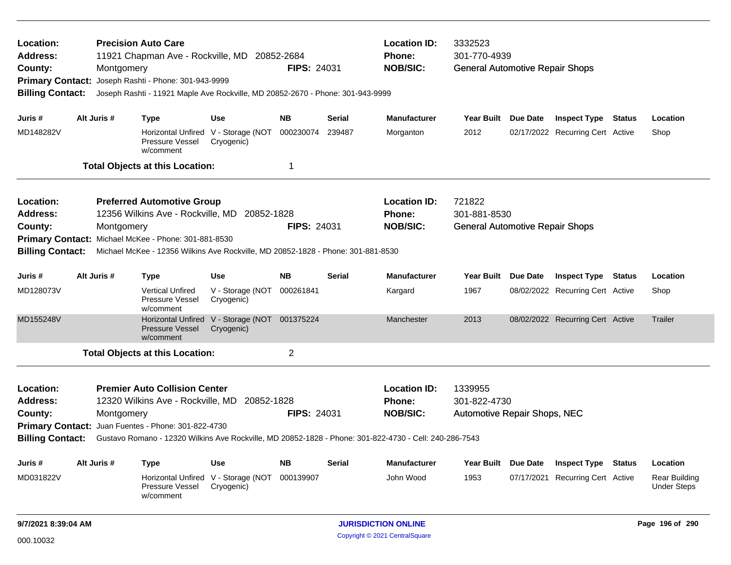| Location:<br>Address:<br>County:<br><b>Primary Contact:</b><br><b>Billing Contact:</b> |                                                                                                             | <b>Precision Auto Care</b><br>11921 Chapman Ave - Rockville, MD 20852-2684<br>Montgomery<br>Joseph Rashti - Phone: 301-943-9999<br>Joseph Rashti - 11921 Maple Ave Rockville, MD 20852-2670 - Phone: 301-943-9999 |                                                   | <b>FIPS: 24031</b> |                    | <b>Location ID:</b><br>3332523<br>301-770-4939<br>Phone:<br><b>NOB/SIC:</b><br><b>General Automotive Repair Shops</b> |                                        |            |                                  |               |                                            |
|----------------------------------------------------------------------------------------|-------------------------------------------------------------------------------------------------------------|-------------------------------------------------------------------------------------------------------------------------------------------------------------------------------------------------------------------|---------------------------------------------------|--------------------|--------------------|-----------------------------------------------------------------------------------------------------------------------|----------------------------------------|------------|----------------------------------|---------------|--------------------------------------------|
| Juris #                                                                                | Alt Juris #                                                                                                 | <b>Type</b>                                                                                                                                                                                                       | <b>Use</b>                                        | <b>NB</b>          | Serial             | <b>Manufacturer</b>                                                                                                   | Year Built Due Date                    |            | <b>Inspect Type</b>              | Status        | Location                                   |
| MD148282V                                                                              |                                                                                                             | Pressure Vessel<br>w/comment                                                                                                                                                                                      | Horizontal Unfired V - Storage (NOT<br>Cryogenic) | 000230074          | 239487             | Morganton                                                                                                             | 2012                                   |            | 02/17/2022 Recurring Cert Active |               | Shop                                       |
|                                                                                        |                                                                                                             | <b>Total Objects at this Location:</b>                                                                                                                                                                            |                                                   | 1                  |                    |                                                                                                                       |                                        |            |                                  |               |                                            |
| Location:                                                                              |                                                                                                             | <b>Preferred Automotive Group</b>                                                                                                                                                                                 |                                                   |                    |                    | <b>Location ID:</b>                                                                                                   | 721822                                 |            |                                  |               |                                            |
| Address:                                                                               |                                                                                                             | 12356 Wilkins Ave - Rockville, MD 20852-1828                                                                                                                                                                      |                                                   |                    |                    | Phone:                                                                                                                | 301-881-8530                           |            |                                  |               |                                            |
| County:                                                                                | Montgomery<br>Michael McKee - Phone: 301-881-8530                                                           |                                                                                                                                                                                                                   |                                                   |                    | <b>FIPS: 24031</b> | <b>NOB/SIC:</b>                                                                                                       | <b>General Automotive Repair Shops</b> |            |                                  |               |                                            |
|                                                                                        | <b>Primary Contact:</b><br>Michael McKee - 12356 Wilkins Ave Rockville, MD 20852-1828 - Phone: 301-881-8530 |                                                                                                                                                                                                                   |                                                   |                    |                    |                                                                                                                       |                                        |            |                                  |               |                                            |
| <b>Billing Contact:</b>                                                                |                                                                                                             |                                                                                                                                                                                                                   |                                                   |                    |                    |                                                                                                                       |                                        |            |                                  |               |                                            |
| Juris #                                                                                | Alt Juris #                                                                                                 | <b>Type</b>                                                                                                                                                                                                       | Use                                               | <b>NB</b>          | Serial             | <b>Manufacturer</b>                                                                                                   | Year Built Due Date                    |            | <b>Inspect Type Status</b>       |               | Location                                   |
| MD128073V                                                                              |                                                                                                             | <b>Vertical Unfired</b><br>Pressure Vessel<br>w/comment                                                                                                                                                           | V - Storage (NOT<br>Cryogenic)                    | 000261841          |                    | Kargard                                                                                                               | 1967                                   |            | 08/02/2022 Recurring Cert Active |               | Shop                                       |
| MD155248V                                                                              |                                                                                                             | <b>Horizontal Unfired</b><br><b>Pressure Vessel</b><br>w/comment                                                                                                                                                  | V - Storage (NOT 001375224<br>Cryogenic)          |                    |                    | Manchester                                                                                                            | 2013                                   |            | 08/02/2022 Recurring Cert Active |               | Trailer                                    |
|                                                                                        |                                                                                                             | <b>Total Objects at this Location:</b>                                                                                                                                                                            |                                                   | $\overline{2}$     |                    |                                                                                                                       |                                        |            |                                  |               |                                            |
| Location:                                                                              |                                                                                                             | <b>Premier Auto Collision Center</b>                                                                                                                                                                              |                                                   |                    |                    | <b>Location ID:</b>                                                                                                   | 1339955                                |            |                                  |               |                                            |
| Address:                                                                               |                                                                                                             | 12320 Wilkins Ave - Rockville, MD 20852-1828                                                                                                                                                                      |                                                   |                    |                    | Phone:                                                                                                                | 301-822-4730                           |            |                                  |               |                                            |
| County:                                                                                |                                                                                                             | Montgomery                                                                                                                                                                                                        |                                                   | <b>FIPS: 24031</b> |                    | <b>NOB/SIC:</b>                                                                                                       | Automotive Repair Shops, NEC           |            |                                  |               |                                            |
|                                                                                        |                                                                                                             | Primary Contact: Juan Fuentes - Phone: 301-822-4730                                                                                                                                                               |                                                   |                    |                    |                                                                                                                       |                                        |            |                                  |               |                                            |
| <b>Billing Contact:</b>                                                                |                                                                                                             | Gustavo Romano - 12320 Wilkins Ave Rockville, MD 20852-1828 - Phone: 301-822-4730 - Cell: 240-286-7543                                                                                                            |                                                   |                    |                    |                                                                                                                       |                                        |            |                                  |               |                                            |
| Juris #                                                                                | Alt Juris #                                                                                                 | <b>Type</b>                                                                                                                                                                                                       | Use                                               | <b>NB</b>          | Serial             | <b>Manufacturer</b>                                                                                                   | Year Built Due Date                    |            | <b>Inspect Type</b>              | <b>Status</b> | Location                                   |
| MD031822V                                                                              |                                                                                                             | Horizontal Unfired<br>Pressure Vessel<br>w/comment                                                                                                                                                                | V - Storage (NOT<br>Cryogenic)                    | 000139907          |                    | John Wood                                                                                                             | 1953                                   | 07/17/2021 | <b>Recurring Cert Active</b>     |               | <b>Rear Building</b><br><b>Under Steps</b> |
| 9/7/2021 8:39:04 AM                                                                    |                                                                                                             |                                                                                                                                                                                                                   |                                                   |                    |                    | <b>JURISDICTION ONLINE</b>                                                                                            |                                        |            |                                  |               | Page 196 of 290                            |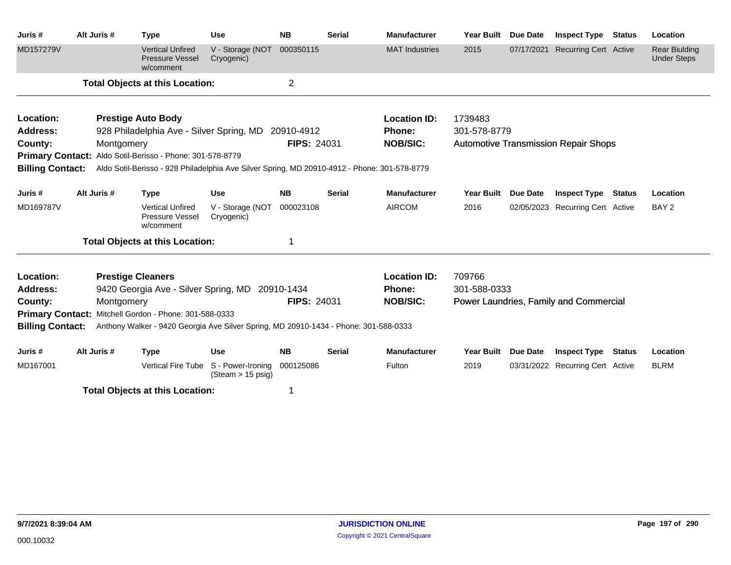| Juris#                  | Alt Juris # | <b>Type</b>                                                                                  | <b>Use</b>                                       | <b>NB</b>          | <b>Serial</b> | <b>Manufacturer</b>   | <b>Year Built</b> | <b>Due Date</b> | <b>Inspect Type</b>                         | <b>Status</b> | Location                                   |
|-------------------------|-------------|----------------------------------------------------------------------------------------------|--------------------------------------------------|--------------------|---------------|-----------------------|-------------------|-----------------|---------------------------------------------|---------------|--------------------------------------------|
| MD157279V               |             | <b>Vertical Unfired</b><br><b>Pressure Vessel</b><br>w/comment                               | V - Storage (NOT<br>Cryogenic)                   | 000350115          |               | <b>MAT</b> Industries | 2015              | 07/17/2021      | <b>Recurring Cert Active</b>                |               | <b>Rear Biulding</b><br><b>Under Steps</b> |
|                         |             | <b>Total Objects at this Location:</b>                                                       |                                                  | $\overline{2}$     |               |                       |                   |                 |                                             |               |                                            |
| Location:               |             | <b>Prestige Auto Body</b>                                                                    |                                                  |                    |               | <b>Location ID:</b>   | 1739483           |                 |                                             |               |                                            |
| <b>Address:</b>         |             | 928 Philadelphia Ave - Silver Spring, MD 20910-4912                                          |                                                  |                    |               | <b>Phone:</b>         | 301-578-8779      |                 |                                             |               |                                            |
| County:                 | Montgomery  |                                                                                              |                                                  | <b>FIPS: 24031</b> |               | <b>NOB/SIC:</b>       |                   |                 | <b>Automotive Transmission Repair Shops</b> |               |                                            |
|                         |             | Primary Contact: Aldo Sotil-Berisso - Phone: 301-578-8779                                    |                                                  |                    |               |                       |                   |                 |                                             |               |                                            |
| <b>Billing Contact:</b> |             | Aldo Sotil-Berisso - 928 Philadelphia Ave Silver Spring, MD 20910-4912 - Phone: 301-578-8779 |                                                  |                    |               |                       |                   |                 |                                             |               |                                            |
| Juris #                 | Alt Juris # | <b>Type</b>                                                                                  | <b>Use</b>                                       | <b>NB</b>          | <b>Serial</b> | <b>Manufacturer</b>   | <b>Year Built</b> | <b>Due Date</b> | <b>Inspect Type</b>                         | Status        | Location                                   |
| MD169787V               |             | <b>Vertical Unfired</b><br>Pressure Vessel<br>w/comment                                      | V - Storage (NOT<br>Cryogenic)                   | 000023108          |               | <b>AIRCOM</b>         | 2016              |                 | 02/05/2023 Recurring Cert Active            |               | BAY <sub>2</sub>                           |
|                         |             | <b>Total Objects at this Location:</b>                                                       |                                                  |                    |               |                       |                   |                 |                                             |               |                                            |
| Location:               |             | <b>Prestige Cleaners</b>                                                                     |                                                  |                    |               | <b>Location ID:</b>   | 709766            |                 |                                             |               |                                            |
| <b>Address:</b>         |             | 9420 Georgia Ave - Silver Spring, MD 20910-1434                                              |                                                  |                    |               | Phone:                | 301-588-0333      |                 |                                             |               |                                            |
| County:                 | Montgomery  |                                                                                              |                                                  | <b>FIPS: 24031</b> |               | <b>NOB/SIC:</b>       |                   |                 | Power Laundries, Family and Commercial      |               |                                            |
| <b>Primary Contact:</b> |             | Mitchell Gordon - Phone: 301-588-0333                                                        |                                                  |                    |               |                       |                   |                 |                                             |               |                                            |
| <b>Billing Contact:</b> |             | Anthony Walker - 9420 Georgia Ave Silver Spring, MD 20910-1434 - Phone: 301-588-0333         |                                                  |                    |               |                       |                   |                 |                                             |               |                                            |
| Juris #                 | Alt Juris # | <b>Type</b>                                                                                  | <b>Use</b>                                       | <b>NB</b>          | <b>Serial</b> | <b>Manufacturer</b>   | <b>Year Built</b> | Due Date        | <b>Inspect Type</b>                         | <b>Status</b> | Location                                   |
| MD167001                |             | Vertical Fire Tube                                                                           | S - Power-Ironing<br>$(Steam > 15 \text{ psig})$ | 000125086          |               | Fulton                | 2019              |                 | 03/31/2022 Recurring Cert Active            |               | <b>BLRM</b>                                |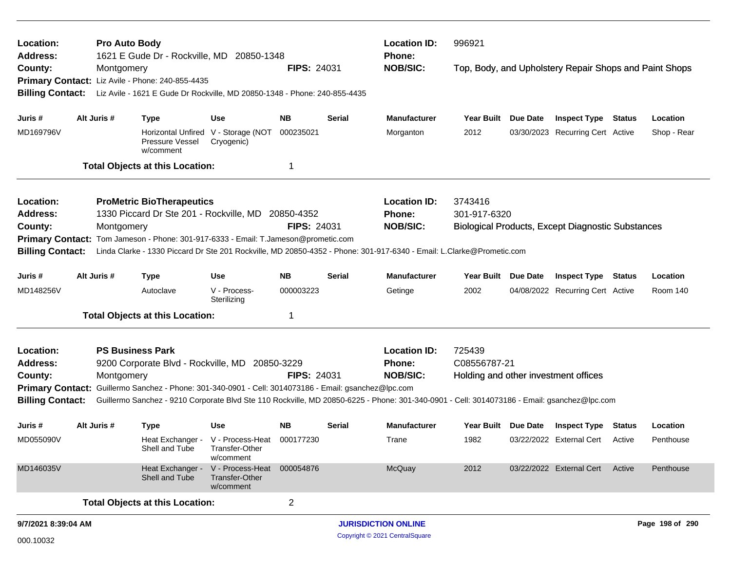| Location:                                                                                                               |                     | <b>Pro Auto Body</b> |                                                                                               |                                                                                                         |                    |               | <b>Location ID:</b>                                                                                                                         | 996921<br>Phone:  |                 |                                                          |               |                 |
|-------------------------------------------------------------------------------------------------------------------------|---------------------|----------------------|-----------------------------------------------------------------------------------------------|---------------------------------------------------------------------------------------------------------|--------------------|---------------|---------------------------------------------------------------------------------------------------------------------------------------------|-------------------|-----------------|----------------------------------------------------------|---------------|-----------------|
| <b>Address:</b><br>County:                                                                                              |                     | Montgomery           | 1621 E Gude Dr - Rockville, MD 20850-1348<br>Primary Contact: Liz Avile - Phone: 240-855-4435 |                                                                                                         | <b>FIPS: 24031</b> |               | <b>NOB/SIC:</b>                                                                                                                             |                   |                 | Top, Body, and Upholstery Repair Shops and Paint Shops   |               |                 |
| <b>Billing Contact:</b>                                                                                                 |                     |                      |                                                                                               | Liz Avile - 1621 E Gude Dr Rockville, MD 20850-1348 - Phone: 240-855-4435<br><b>Inspect Type Status</b> |                    |               |                                                                                                                                             |                   |                 |                                                          |               |                 |
| Juris #                                                                                                                 |                     | Alt Juris #          | <b>Type</b>                                                                                   | <b>Use</b>                                                                                              | <b>NB</b>          | <b>Serial</b> | Manufacturer                                                                                                                                | Year Built        | Due Date        |                                                          |               | Location        |
| MD169796V                                                                                                               |                     |                      | Pressure Vessel<br>w/comment                                                                  | Horizontal Unfired V - Storage (NOT<br>Cryogenic)                                                       | 000235021          |               | Morganton                                                                                                                                   | 2012              |                 | 03/30/2023 Recurring Cert Active                         |               | Shop - Rear     |
|                                                                                                                         |                     |                      | <b>Total Objects at this Location:</b>                                                        |                                                                                                         | 1                  |               |                                                                                                                                             |                   |                 |                                                          |               |                 |
| Location:                                                                                                               |                     |                      | <b>ProMetric BioTherapeutics</b>                                                              |                                                                                                         |                    |               | <b>Location ID:</b>                                                                                                                         | 3743416           |                 |                                                          |               |                 |
| <b>Address:</b>                                                                                                         |                     |                      | 1330 Piccard Dr Ste 201 - Rockville, MD 20850-4352                                            |                                                                                                         |                    |               | Phone:                                                                                                                                      | 301-917-6320      |                 |                                                          |               |                 |
| County:                                                                                                                 |                     | Montgomery           |                                                                                               |                                                                                                         | <b>FIPS: 24031</b> |               | <b>NOB/SIC:</b>                                                                                                                             |                   |                 | <b>Biological Products, Except Diagnostic Substances</b> |               |                 |
| Tom Jameson - Phone: 301-917-6333 - Email: T.Jameson@prometic.com<br><b>Primary Contact:</b><br><b>Billing Contact:</b> |                     |                      |                                                                                               |                                                                                                         |                    |               |                                                                                                                                             |                   |                 |                                                          |               |                 |
| Linda Clarke - 1330 Piccard Dr Ste 201 Rockville, MD 20850-4352 - Phone: 301-917-6340 - Email: L.Clarke@Prometic.com    |                     |                      |                                                                                               |                                                                                                         |                    |               |                                                                                                                                             |                   |                 |                                                          |               |                 |
| Juris #                                                                                                                 |                     | Alt Juris #          | <b>Type</b>                                                                                   | <b>Use</b>                                                                                              | <b>NB</b>          | <b>Serial</b> | <b>Manufacturer</b>                                                                                                                         | <b>Year Built</b> | <b>Due Date</b> | <b>Inspect Type Status</b>                               |               | Location        |
| MD148256V                                                                                                               |                     |                      | Autoclave                                                                                     | V - Process-<br>Sterilizing                                                                             | 000003223          |               | Getinge                                                                                                                                     | 2002              |                 | 04/08/2022 Recurring Cert Active                         |               | Room 140        |
|                                                                                                                         |                     |                      | <b>Total Objects at this Location:</b>                                                        |                                                                                                         | -1                 |               |                                                                                                                                             |                   |                 |                                                          |               |                 |
| Location:                                                                                                               |                     |                      | <b>PS Business Park</b>                                                                       |                                                                                                         |                    |               | <b>Location ID:</b>                                                                                                                         | 725439            |                 |                                                          |               |                 |
| <b>Address:</b>                                                                                                         |                     |                      | 9200 Corporate Blvd - Rockville, MD 20850-3229                                                |                                                                                                         |                    |               | Phone:                                                                                                                                      | C08556787-21      |                 |                                                          |               |                 |
| County:                                                                                                                 |                     | Montgomery           |                                                                                               |                                                                                                         | <b>FIPS: 24031</b> |               | <b>NOB/SIC:</b>                                                                                                                             |                   |                 | Holding and other investment offices                     |               |                 |
| <b>Primary Contact:</b><br><b>Billing Contact:</b>                                                                      |                     |                      | Guillermo Sanchez - Phone: 301-340-0901 - Cell: 3014073186 - Email: gsanchez@lpc.com          |                                                                                                         |                    |               | Guillermo Sanchez - 9210 Corporate Blvd Ste 110 Rockville, MD 20850-6225 - Phone: 301-340-0901 - Cell: 3014073186 - Email: gsanchez@lpc.com |                   |                 |                                                          |               |                 |
| Juris #                                                                                                                 |                     | Alt Juris #          | <b>Type</b>                                                                                   | <b>Use</b>                                                                                              | <b>NB</b>          | <b>Serial</b> | <b>Manufacturer</b>                                                                                                                         | <b>Year Built</b> | Due Date        | <b>Inspect Type</b>                                      | <b>Status</b> | Location        |
| MD055090V                                                                                                               |                     |                      | Shell and Tube                                                                                | Heat Exchanger - V - Process-Heat<br>I ranster-Other<br>w/comment                                       | 000177230          |               | Trane                                                                                                                                       | 1982              |                 | 03/22/2022 External Cert                                 | Active        | Penthouse       |
| MD146035V                                                                                                               |                     |                      | Heat Exchanger -<br>Shell and Tube                                                            | V - Process-Heat<br>Transfer-Other<br>w/comment                                                         | 000054876          |               | McQuay                                                                                                                                      | 2012              |                 | 03/22/2022 External Cert                                 | Active        | Penthouse       |
|                                                                                                                         |                     |                      | <b>Total Objects at this Location:</b>                                                        |                                                                                                         | $\overline{c}$     |               |                                                                                                                                             |                   |                 |                                                          |               |                 |
|                                                                                                                         | 9/7/2021 8:39:04 AM |                      |                                                                                               |                                                                                                         |                    |               | <b>JURISDICTION ONLINE</b>                                                                                                                  |                   |                 |                                                          |               | Page 198 of 290 |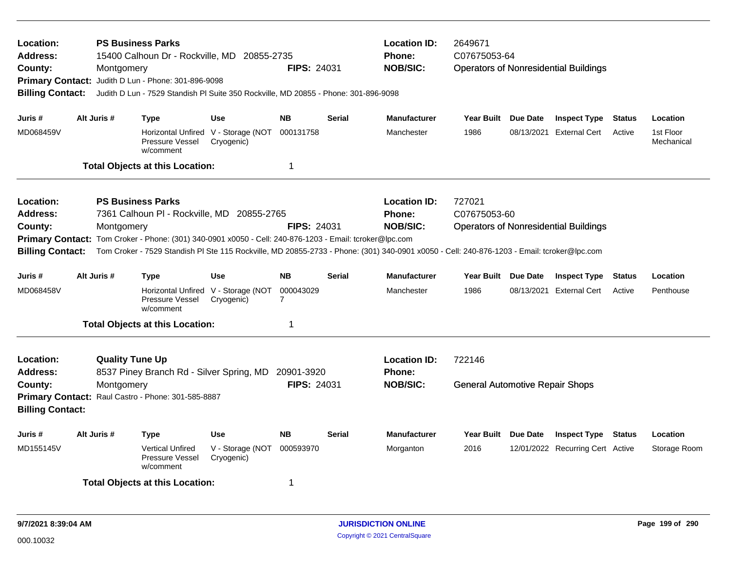| Location:<br><b>Address:</b><br>County:<br><b>Primary Contact:</b><br><b>Billing Contact:</b>                                                                                                                                                                                                                                                                                                                                             | Montgomery  | <b>PS Business Parks</b><br>15400 Calhoun Dr - Rockville, MD 20855-2735<br>Judith D Lun - Phone: 301-896-9098<br>Judith D Lun - 7529 Standish PI Suite 350 Rockville, MD 20855 - Phone: 301-896-9098 |                                                   | <b>FIPS: 24031</b> |               | <b>Location ID:</b><br><b>Phone:</b><br><b>NOB/SIC:</b> | 2649671<br>C07675053-64<br><b>Operators of Nonresidential Buildings</b> |            |                                  |               |                         |  |
|-------------------------------------------------------------------------------------------------------------------------------------------------------------------------------------------------------------------------------------------------------------------------------------------------------------------------------------------------------------------------------------------------------------------------------------------|-------------|------------------------------------------------------------------------------------------------------------------------------------------------------------------------------------------------------|---------------------------------------------------|--------------------|---------------|---------------------------------------------------------|-------------------------------------------------------------------------|------------|----------------------------------|---------------|-------------------------|--|
| Juris #                                                                                                                                                                                                                                                                                                                                                                                                                                   | Alt Juris # | <b>Type</b>                                                                                                                                                                                          | <b>Use</b>                                        | <b>NB</b>          | <b>Serial</b> | <b>Manufacturer</b>                                     | Year Built Due Date                                                     |            | <b>Inspect Type</b>              | <b>Status</b> | Location                |  |
| MD068459V                                                                                                                                                                                                                                                                                                                                                                                                                                 |             | Pressure Vessel<br>w/comment                                                                                                                                                                         | Horizontal Unfired V - Storage (NOT<br>Cryogenic) | 000131758          |               | Manchester                                              | 1986                                                                    | 08/13/2021 | <b>External Cert</b>             | Active        | 1st Floor<br>Mechanical |  |
|                                                                                                                                                                                                                                                                                                                                                                                                                                           |             | <b>Total Objects at this Location:</b>                                                                                                                                                               |                                                   | 1                  |               |                                                         |                                                                         |            |                                  |               |                         |  |
| Location:<br><b>PS Business Parks</b><br><b>Address:</b><br>7361 Calhoun PI - Rockville, MD 20855-2765<br><b>FIPS: 24031</b><br>County:<br>Montgomery<br>Primary Contact: Tom Croker - Phone: (301) 340-0901 x0050 - Cell: 240-876-1203 - Email: tcroker@lpc.com<br>Tom Croker - 7529 Standish PI Ste 115 Rockville, MD 20855-2733 - Phone: (301) 340-0901 x0050 - Cell: 240-876-1203 - Email: tcroker@lpc.com<br><b>Billing Contact:</b> |             |                                                                                                                                                                                                      |                                                   |                    |               | <b>Location ID:</b><br><b>Phone:</b><br><b>NOB/SIC:</b> | 727021<br>C07675053-60<br><b>Operators of Nonresidential Buildings</b>  |            |                                  |               |                         |  |
| Juris #                                                                                                                                                                                                                                                                                                                                                                                                                                   | Alt Juris # | <b>Type</b>                                                                                                                                                                                          | <b>Use</b>                                        | NB                 | <b>Serial</b> | <b>Manufacturer</b>                                     | Year Built Due Date                                                     |            | <b>Inspect Type</b>              | <b>Status</b> | Location                |  |
| MD068458V                                                                                                                                                                                                                                                                                                                                                                                                                                 |             | Pressure Vessel<br>w/comment                                                                                                                                                                         | Horizontal Unfired V - Storage (NOT<br>Cryogenic) | 000043029<br>7     |               | Manchester                                              | 1986                                                                    |            | 08/13/2021 External Cert         | Active        | Penthouse               |  |
|                                                                                                                                                                                                                                                                                                                                                                                                                                           |             |                                                                                                                                                                                                      |                                                   | 1                  |               |                                                         |                                                                         |            |                                  |               |                         |  |
| <b>Total Objects at this Location:</b><br><b>Quality Tune Up</b><br><b>Location:</b><br>8537 Piney Branch Rd - Silver Spring, MD 20901-3920<br><b>Address:</b><br>Montgomery<br>County:<br>Primary Contact: Raul Castro - Phone: 301-585-8887<br><b>Billing Contact:</b>                                                                                                                                                                  |             |                                                                                                                                                                                                      |                                                   | <b>FIPS: 24031</b> |               | <b>Location ID:</b><br>Phone:<br><b>NOB/SIC:</b>        | 722146<br><b>General Automotive Repair Shops</b>                        |            |                                  |               |                         |  |
| Juris #                                                                                                                                                                                                                                                                                                                                                                                                                                   | Alt Juris # | <b>Type</b>                                                                                                                                                                                          | <b>Use</b>                                        | <b>NB</b>          | <b>Serial</b> | Manufacturer                                            | Year Built Due Date                                                     |            | <b>Inspect Type</b>              | <b>Status</b> | Location                |  |
| MD155145V                                                                                                                                                                                                                                                                                                                                                                                                                                 |             | <b>Vertical Unfired</b><br>Pressure Vessel<br>w/comment                                                                                                                                              | V - Storage (NOT<br>Cryogenic)                    | 000593970          |               | Morganton                                               | 2016                                                                    |            | 12/01/2022 Recurring Cert Active |               | Storage Room            |  |
|                                                                                                                                                                                                                                                                                                                                                                                                                                           |             | <b>Total Objects at this Location:</b>                                                                                                                                                               |                                                   | 1                  |               |                                                         |                                                                         |            |                                  |               |                         |  |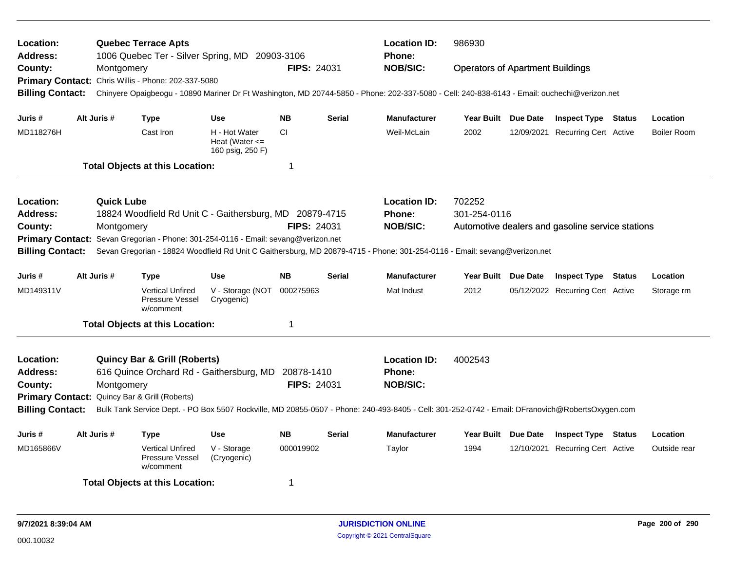| Location:<br>Address:   |                   | <b>Location ID:</b><br><b>Quebec Terrace Apts</b><br>1006 Quebec Ter - Silver Spring, MD 20903-3106<br>Phone: |                                                         |                    |               |                                                                                                                                                 | 986930                                  |  |                                                  |        |                    |  |
|-------------------------|-------------------|---------------------------------------------------------------------------------------------------------------|---------------------------------------------------------|--------------------|---------------|-------------------------------------------------------------------------------------------------------------------------------------------------|-----------------------------------------|--|--------------------------------------------------|--------|--------------------|--|
| County:                 | Montgomery        |                                                                                                               |                                                         | <b>FIPS: 24031</b> |               | <b>NOB/SIC:</b>                                                                                                                                 | <b>Operators of Apartment Buildings</b> |  |                                                  |        |                    |  |
|                         |                   | Primary Contact: Chris Willis - Phone: 202-337-5080                                                           |                                                         |                    |               |                                                                                                                                                 |                                         |  |                                                  |        |                    |  |
| <b>Billing Contact:</b> |                   |                                                                                                               |                                                         |                    |               | Chinyere Opaigbeogu - 10890 Mariner Dr Ft Washington, MD 20744-5850 - Phone: 202-337-5080 - Cell: 240-838-6143 - Email: ouchechi@verizon.net    |                                         |  |                                                  |        |                    |  |
| Juris #                 | Alt Juris #       | <b>Type</b>                                                                                                   | <b>Use</b>                                              | <b>NB</b>          | <b>Serial</b> | <b>Manufacturer</b>                                                                                                                             | Year Built Due Date                     |  | <b>Inspect Type Status</b>                       |        | Location           |  |
| MD118276H               |                   | Cast Iron                                                                                                     | H - Hot Water<br>Heat (Water $\leq$<br>160 psig, 250 F) | <b>CI</b>          |               | Weil-McLain                                                                                                                                     | 2002                                    |  | 12/09/2021 Recurring Cert Active                 |        | <b>Boiler Room</b> |  |
|                         |                   | <b>Total Objects at this Location:</b>                                                                        |                                                         | $\mathbf 1$        |               |                                                                                                                                                 |                                         |  |                                                  |        |                    |  |
| Location:               | <b>Quick Lube</b> |                                                                                                               |                                                         |                    |               | <b>Location ID:</b>                                                                                                                             | 702252                                  |  |                                                  |        |                    |  |
| <b>Address:</b>         |                   | 18824 Woodfield Rd Unit C - Gaithersburg, MD 20879-4715                                                       |                                                         |                    |               | Phone:                                                                                                                                          | 301-254-0116                            |  |                                                  |        |                    |  |
| County:                 | Montgomery        |                                                                                                               |                                                         | <b>FIPS: 24031</b> |               | <b>NOB/SIC:</b>                                                                                                                                 |                                         |  | Automotive dealers and gasoline service stations |        |                    |  |
| <b>Primary Contact:</b> |                   | Sevan Gregorian - Phone: 301-254-0116 - Email: sevang@verizon.net                                             |                                                         |                    |               |                                                                                                                                                 |                                         |  |                                                  |        |                    |  |
| <b>Billing Contact:</b> |                   |                                                                                                               |                                                         |                    |               | Sevan Gregorian - 18824 Woodfield Rd Unit C Gaithersburg, MD 20879-4715 - Phone: 301-254-0116 - Email: sevang@verizon.net                       |                                         |  |                                                  |        |                    |  |
| Juris #                 | Alt Juris #       | Type                                                                                                          | <b>Use</b>                                              | <b>NB</b>          | <b>Serial</b> | <b>Manufacturer</b>                                                                                                                             | Year Built Due Date                     |  | <b>Inspect Type Status</b>                       |        | Location           |  |
| MD149311V               |                   | <b>Vertical Unfired</b><br>Pressure Vessel<br>w/comment                                                       | V - Storage (NOT<br>Cryogenic)                          | 000275963          |               | Mat Indust                                                                                                                                      | 2012                                    |  | 05/12/2022 Recurring Cert Active                 |        | Storage rm         |  |
|                         |                   | <b>Total Objects at this Location:</b>                                                                        |                                                         | 1                  |               |                                                                                                                                                 |                                         |  |                                                  |        |                    |  |
| Location:               |                   | <b>Quincy Bar &amp; Grill (Roberts)</b>                                                                       |                                                         |                    |               | <b>Location ID:</b>                                                                                                                             | 4002543                                 |  |                                                  |        |                    |  |
| Address:                |                   | 616 Quince Orchard Rd - Gaithersburg, MD                                                                      |                                                         | 20878-1410         |               | <b>Phone:</b>                                                                                                                                   |                                         |  |                                                  |        |                    |  |
| County:                 | Montgomery        |                                                                                                               |                                                         | FIPS: 24031        |               | <b>NOB/SIC:</b>                                                                                                                                 |                                         |  |                                                  |        |                    |  |
|                         |                   | Primary Contact: Quincy Bar & Grill (Roberts)                                                                 |                                                         |                    |               |                                                                                                                                                 |                                         |  |                                                  |        |                    |  |
| <b>Billing Contact:</b> |                   |                                                                                                               |                                                         |                    |               | Bulk Tank Service Dept. - PO Box 5507 Rockville, MD 20855-0507 - Phone: 240-493-8405 - Cell: 301-252-0742 - Email: DFranovich@RobertsOxygen.com |                                         |  |                                                  |        |                    |  |
| Juris #                 | Alt Juris #       | <b>Type</b>                                                                                                   | <b>Use</b>                                              | <b>NB</b>          | <b>Serial</b> | <b>Manufacturer</b>                                                                                                                             | Year Built Due Date                     |  | <b>Inspect Type</b>                              | Status | Location           |  |
| MD165866V               |                   | <b>Vertical Unfired</b><br>Pressure Vessel<br>w/comment                                                       | V - Storage<br>(Cryogenic)                              | 000019902          |               | Taylor                                                                                                                                          | 1994                                    |  | 12/10/2021 Recurring Cert Active                 |        | Outside rear       |  |
|                         |                   | <b>Total Objects at this Location:</b>                                                                        |                                                         | 1                  |               |                                                                                                                                                 |                                         |  |                                                  |        |                    |  |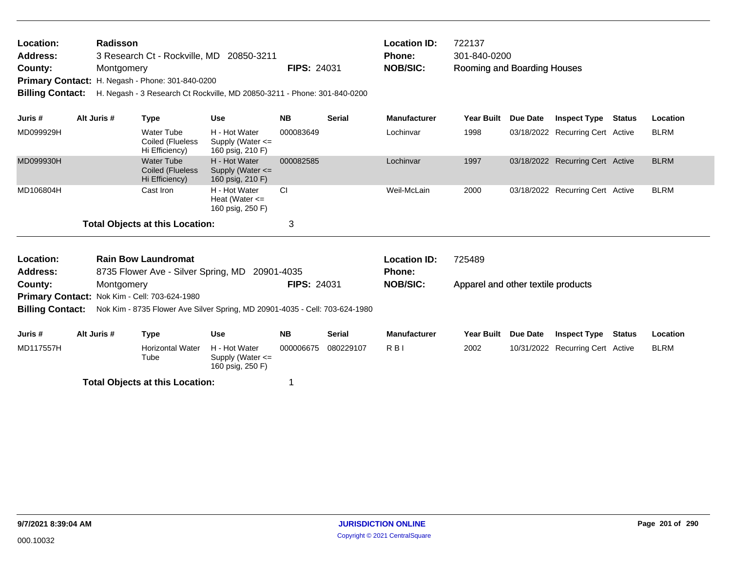| Location:       | <b>Radisson</b>                                         |                    | <b>Location ID:</b> | 722137                      |
|-----------------|---------------------------------------------------------|--------------------|---------------------|-----------------------------|
| <b>Address:</b> | 3 Research Ct - Rockville, MD 20850-3211                |                    | <b>Phone:</b>       | 301-840-0200                |
| County:         | Montgomery                                              | <b>FIPS: 24031</b> | NOB/SIC:            | Rooming and Boarding Houses |
|                 | <b>Primary Contact:</b> H. Negash - Phone: 301-840-0200 |                    |                     |                             |

**Billing Contact:** H. Negash - 3 Research Ct Rockville, MD 20850-3211 - Phone: 301-840-0200

| Juris #                                | Alt Juris # | Type                                             | <b>Use</b>                                                | <b>NB</b> | <b>Serial</b> | <b>Manufacturer</b> | Year Built | Due Date | <b>Inspect Type</b>              | Status | <b>Location</b> |
|----------------------------------------|-------------|--------------------------------------------------|-----------------------------------------------------------|-----------|---------------|---------------------|------------|----------|----------------------------------|--------|-----------------|
| MD099929H                              |             | Water Tube<br>Coiled (Flueless<br>Hi Efficiency) | H - Hot Water<br>Supply (Water $\leq$<br>160 psig, 210 F) | 000083649 |               | Lochinvar           | 1998       |          | 03/18/2022 Recurring Cert Active |        | <b>BLRM</b>     |
| MD099930H                              |             | Water Tube<br>Coiled (Flueless<br>Hi Efficiency) | H - Hot Water<br>Supply (Water $\leq$<br>160 psig, 210 F) | 000082585 |               | Lochinvar           | 1997       |          | 03/18/2022 Recurring Cert Active |        | <b>BLRM</b>     |
| MD106804H                              |             | Cast Iron                                        | H - Hot Water<br>Heat (Water $\leq$<br>160 psig, 250 F)   | <b>CI</b> |               | Weil-McLain         | 2000       |          | 03/18/2022 Recurring Cert Active |        | <b>BLRM</b>     |
| <b>Total Objects at this Location:</b> |             |                                                  | 3                                                         |           |               |                     |            |          |                                  |        |                 |

| Location:<br><b>Address:</b> |                                                                    | <b>Rain Bow Laundromat</b>      | 8735 Flower Ave - Silver Spring, MD 20901-4035                              |                    |               | <b>Location ID:</b><br><b>Phone:</b> | 725489<br>Apparel and other textile products |                 |                                  |  |             |
|------------------------------|--------------------------------------------------------------------|---------------------------------|-----------------------------------------------------------------------------|--------------------|---------------|--------------------------------------|----------------------------------------------|-----------------|----------------------------------|--|-------------|
| County:                      | Montgomery<br><b>Primary Contact: Nok Kim - Cell: 703-624-1980</b> |                                 |                                                                             | <b>FIPS: 24031</b> |               | <b>NOB/SIC:</b>                      |                                              |                 |                                  |  |             |
|                              |                                                                    |                                 |                                                                             |                    |               |                                      |                                              |                 |                                  |  |             |
| <b>Billing Contact:</b>      |                                                                    |                                 | Nok Kim - 8735 Flower Ave Silver Spring, MD 20901-4035 - Cell: 703-624-1980 |                    |               |                                      |                                              |                 |                                  |  |             |
| Juris #                      | Alt Juris #                                                        | Type                            | Use                                                                         | <b>NB</b>          | <b>Serial</b> | <b>Manufacturer</b>                  | <b>Year Built</b>                            | <b>Due Date</b> | <b>Inspect Type Status</b>       |  | Location    |
|                              |                                                                    |                                 |                                                                             |                    |               |                                      |                                              |                 |                                  |  |             |
| MD117557H                    |                                                                    | <b>Horizontal Water</b><br>Tube | H - Hot Water<br>Supply (Water $\leq$                                       | 000006675          | 080229107     | R <sub>BI</sub>                      | 2002                                         |                 | 10/31/2022 Recurring Cert Active |  | <b>BLRM</b> |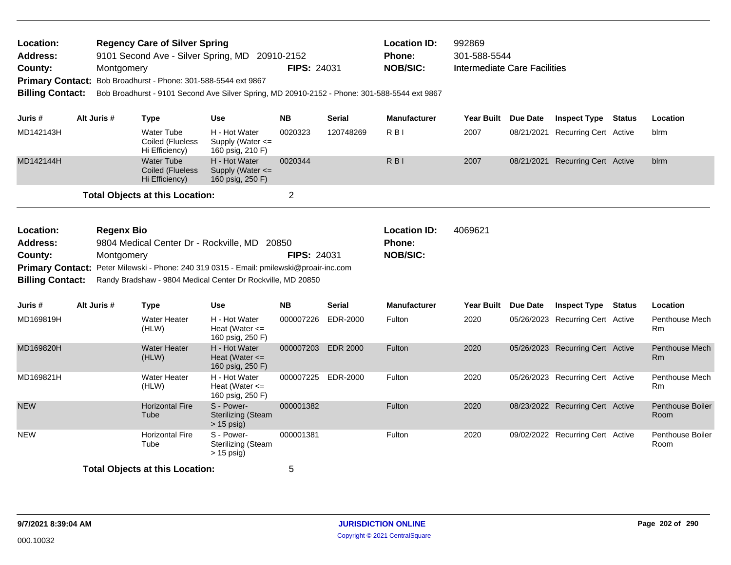| Location:<br><b>Address:</b><br>County:<br><b>Primary Contact:</b><br><b>Billing Contact:</b> |                                                                                                                                                                                                                                                                      | Montgomery  | <b>Regency Care of Silver Spring</b><br>9101 Second Ave - Silver Spring, MD<br>Bob Broadhurst - Phone: 301-588-5544 ext 9867 | Bob Broadhurst - 9101 Second Ave Silver Spring, MD 20910-2152 - Phone: 301-588-5544 ext 9867 | 20910-2152<br><b>FIPS: 24031</b> |                 | <b>Location ID:</b><br>Phone:<br><b>NOB/SIC:</b> | 992869<br>301-588-5544<br><b>Intermediate Care Facilities</b> |          |                                  |               |                                    |
|-----------------------------------------------------------------------------------------------|----------------------------------------------------------------------------------------------------------------------------------------------------------------------------------------------------------------------------------------------------------------------|-------------|------------------------------------------------------------------------------------------------------------------------------|----------------------------------------------------------------------------------------------|----------------------------------|-----------------|--------------------------------------------------|---------------------------------------------------------------|----------|----------------------------------|---------------|------------------------------------|
| Juris #                                                                                       |                                                                                                                                                                                                                                                                      | Alt Juris # | <b>Type</b>                                                                                                                  | <b>Use</b>                                                                                   | <b>NB</b>                        | <b>Serial</b>   | <b>Manufacturer</b>                              | Year Built Due Date                                           |          | <b>Inspect Type Status</b>       |               | Location                           |
| MD142143H                                                                                     |                                                                                                                                                                                                                                                                      |             | <b>Water Tube</b><br>Coiled (Flueless<br>Hi Efficiency)                                                                      | H - Hot Water<br>Supply (Water $\leq$<br>160 psig, 210 F)                                    | 0020323                          | 120748269       | $R$ <sub>B</sub> $\mid$                          | 2007                                                          |          | 08/21/2021 Recurring Cert Active |               | blrm                               |
| MD142144H                                                                                     |                                                                                                                                                                                                                                                                      |             | <b>Water Tube</b><br><b>Coiled (Flueless</b><br>Hi Efficiency)                                                               | H - Hot Water<br>Supply (Water <=<br>160 psig, 250 F)                                        | 0020344                          |                 | R B I                                            | 2007                                                          |          | 08/21/2021 Recurring Cert Active |               | blrm                               |
| <b>Total Objects at this Location:</b>                                                        |                                                                                                                                                                                                                                                                      |             |                                                                                                                              |                                                                                              | $\overline{2}$                   |                 |                                                  |                                                               |          |                                  |               |                                    |
| Location:<br><b>Address:</b><br>County:                                                       | <b>Regenx Bio</b><br>9804 Medical Center Dr - Rockville, MD 20850<br>Montgomery<br>Primary Contact: Peter Milewski - Phone: 240 319 0315 - Email: pmilewski@proair-inc.com<br><b>Billing Contact:</b><br>Randy Bradshaw - 9804 Medical Center Dr Rockville, MD 20850 |             |                                                                                                                              |                                                                                              | <b>FIPS: 24031</b>               |                 | <b>Location ID:</b><br>Phone:<br><b>NOB/SIC:</b> | 4069621                                                       |          |                                  |               |                                    |
| Juris #                                                                                       |                                                                                                                                                                                                                                                                      | Alt Juris # | <b>Type</b>                                                                                                                  | <b>Use</b>                                                                                   | <b>NB</b>                        | <b>Serial</b>   | <b>Manufacturer</b>                              | <b>Year Built</b>                                             | Due Date | <b>Inspect Type</b>              | <b>Status</b> | Location                           |
| MD169819H                                                                                     |                                                                                                                                                                                                                                                                      |             | <b>Water Heater</b><br>(HLW)                                                                                                 | H - Hot Water<br>Heat (Water $\leq$<br>160 psig, 250 F)                                      | 000007226                        | EDR-2000        | Fulton                                           | 2020                                                          |          | 05/26/2023 Recurring Cert Active |               | Penthouse Mech<br>Rm               |
| MD169820H                                                                                     |                                                                                                                                                                                                                                                                      |             | <b>Water Heater</b><br>(HLW)                                                                                                 | H - Hot Water<br>Heat (Water $\leq$<br>160 psig, 250 F)                                      | 000007203                        | <b>EDR 2000</b> | Fulton                                           | 2020                                                          |          | 05/26/2023 Recurring Cert Active |               | <b>Penthouse Mech</b><br><b>Rm</b> |
| MD169821H                                                                                     |                                                                                                                                                                                                                                                                      |             | <b>Water Heater</b><br>(HLW)                                                                                                 | H - Hot Water<br>Heat (Water $\leq$<br>160 psig, 250 F)                                      | 000007225 EDR-2000               |                 | Fulton                                           | 2020                                                          |          | 05/26/2023 Recurring Cert Active |               | Penthouse Mech<br>Rm               |
| <b>NEW</b>                                                                                    |                                                                                                                                                                                                                                                                      |             | <b>Horizontal Fire</b><br>Tube                                                                                               | S - Power-<br><b>Sterilizing (Steam</b><br>$> 15$ psig)                                      | 000001382                        |                 | Fulton                                           | 2020                                                          |          | 08/23/2022 Recurring Cert Active |               | <b>Penthouse Boiler</b><br>Room    |
| <b>NEW</b>                                                                                    |                                                                                                                                                                                                                                                                      |             | <b>Horizontal Fire</b><br>Tube                                                                                               | S - Power-<br><b>Sterilizing (Steam</b><br>$> 15$ psig)                                      | 000001381                        |                 | Fulton                                           | 2020                                                          |          | 09/02/2022 Recurring Cert Active |               | <b>Penthouse Boiler</b><br>Room    |
|                                                                                               |                                                                                                                                                                                                                                                                      |             | <b>Total Objects at this Location:</b>                                                                                       |                                                                                              | 5                                |                 |                                                  |                                                               |          |                                  |               |                                    |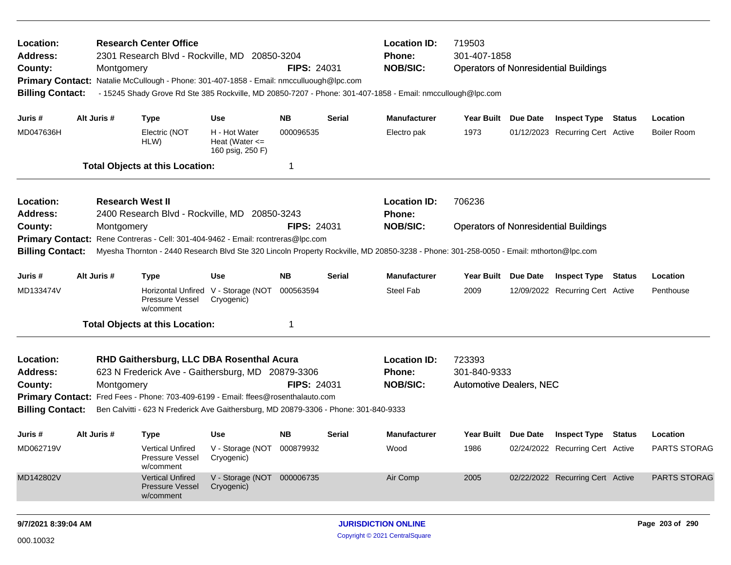| Location:<br><b>Address:</b><br>County:<br><b>Primary Contact:</b><br><b>Billing Contact:</b> | Montgomery  | <b>Research Center Office</b><br>2301 Research Blvd - Rockville, MD 20850-3204<br>Natalie McCullough - Phone: 301-407-1858 - Email: nmcculluough@lpc.com                            |                                                         | <b>FIPS: 24031</b> |                 | <b>Location ID:</b><br><b>Phone:</b><br><b>NOB/SIC:</b><br>- 15245 Shady Grove Rd Ste 385 Rockville, MD 20850-7207 - Phone: 301-407-1858 - Email: nmccullough@lpc.com | 719503<br>301-407-1858                                   |                                              | <b>Operators of Nonresidential Buildings</b> |        |                    |
|-----------------------------------------------------------------------------------------------|-------------|-------------------------------------------------------------------------------------------------------------------------------------------------------------------------------------|---------------------------------------------------------|--------------------|-----------------|-----------------------------------------------------------------------------------------------------------------------------------------------------------------------|----------------------------------------------------------|----------------------------------------------|----------------------------------------------|--------|--------------------|
| Juris #                                                                                       | Alt Juris # | <b>Type</b>                                                                                                                                                                         | <b>Use</b>                                              | <b>NB</b>          | <b>Serial</b>   | <b>Manufacturer</b>                                                                                                                                                   | <b>Year Built</b>                                        | Due Date                                     | <b>Inspect Type Status</b>                   |        | Location           |
| MD047636H                                                                                     |             | Electric (NOT<br>HLW)                                                                                                                                                               | H - Hot Water<br>Heat (Water $\leq$<br>160 psig, 250 F) | 000096535          |                 | Electro pak                                                                                                                                                           | 1973                                                     |                                              | 01/12/2023 Recurring Cert Active             |        | <b>Boiler Room</b> |
|                                                                                               |             | <b>Total Objects at this Location:</b>                                                                                                                                              |                                                         | 1                  |                 |                                                                                                                                                                       |                                                          |                                              |                                              |        |                    |
| Location:<br>Address:                                                                         |             | <b>Research West II</b><br>2400 Research Blvd - Rockville, MD 20850-3243                                                                                                            |                                                         |                    |                 | <b>Location ID:</b><br><b>Phone:</b>                                                                                                                                  | 706236                                                   |                                              |                                              |        |                    |
| County:                                                                                       | Montgomery  |                                                                                                                                                                                     |                                                         | <b>FIPS: 24031</b> | <b>NOB/SIC:</b> |                                                                                                                                                                       |                                                          | <b>Operators of Nonresidential Buildings</b> |                                              |        |                    |
| <b>Primary Contact:</b>                                                                       |             | Rene Contreras - Cell: 301-404-9462 - Email: rcontreras@lpc.com                                                                                                                     |                                                         |                    |                 |                                                                                                                                                                       |                                                          |                                              |                                              |        |                    |
| <b>Billing Contact:</b>                                                                       |             |                                                                                                                                                                                     |                                                         |                    |                 | Myesha Thornton - 2440 Research Blvd Ste 320 Lincoln Property Rockville, MD 20850-3238 - Phone: 301-258-0050 - Email: mthorton@lpc.com                                |                                                          |                                              |                                              |        |                    |
| Juris #                                                                                       | Alt Juris # | <b>Type</b>                                                                                                                                                                         | Use                                                     | <b>NB</b>          | <b>Serial</b>   | <b>Manufacturer</b>                                                                                                                                                   | <b>Year Built</b>                                        | <b>Due Date</b>                              | <b>Inspect Type</b>                          | Status | Location           |
| MD133474V                                                                                     |             | Pressure Vessel<br>w/comment                                                                                                                                                        | Horizontal Unfired V - Storage (NOT<br>Cryogenic)       | 000563594          |                 | <b>Steel Fab</b>                                                                                                                                                      | 2009                                                     |                                              | 12/09/2022 Recurring Cert Active             |        | Penthouse          |
|                                                                                               |             | <b>Total Objects at this Location:</b>                                                                                                                                              |                                                         | 1                  |                 |                                                                                                                                                                       |                                                          |                                              |                                              |        |                    |
| Location:<br><b>Address:</b><br>County:                                                       | Montgomery  | RHD Gaithersburg, LLC DBA Rosenthal Acura<br>623 N Frederick Ave - Gaithersburg, MD 20879-3306<br>Primary Contact: Fred Fees - Phone: 703-409-6199 - Email: ffees@rosenthalauto.com |                                                         | <b>FIPS: 24031</b> |                 | <b>Location ID:</b><br><b>Phone:</b><br><b>NOB/SIC:</b>                                                                                                               | 723393<br>301-840-9333<br><b>Automotive Dealers, NEC</b> |                                              |                                              |        |                    |
| <b>Billing Contact:</b>                                                                       |             | Ben Calvitti - 623 N Frederick Ave Gaithersburg, MD 20879-3306 - Phone: 301-840-9333                                                                                                |                                                         |                    |                 |                                                                                                                                                                       |                                                          |                                              |                                              |        |                    |
| Juris #                                                                                       | Alt Juris # | <b>Type</b>                                                                                                                                                                         | Use                                                     | NB.                | Serial          | <b>Manufacturer</b>                                                                                                                                                   | Year Built Due Date                                      |                                              | <b>Inspect Type Status</b>                   |        | Location           |
| MD062719V                                                                                     |             | Vertical Unfired<br>Pressure Vessel<br>w/comment                                                                                                                                    | V - Storage (NOT 000879932<br>Cryogenic)                |                    |                 | Wood                                                                                                                                                                  | 1986                                                     |                                              | 02/24/2022 Recurring Cert Active             |        | PARTS STORAG       |
| MD142802V                                                                                     |             | <b>Vertical Unfired</b><br><b>Pressure Vessel</b><br>w/comment                                                                                                                      | V - Storage (NOT 000006735<br>Cryogenic)                |                    |                 | Air Comp                                                                                                                                                              | 2005                                                     |                                              | 02/22/2022 Recurring Cert Active             |        | PARTS STORAG       |
| 9/7/2021 8:39:04 AM                                                                           |             |                                                                                                                                                                                     |                                                         |                    |                 | <b>JURISDICTION ONLINE</b>                                                                                                                                            |                                                          |                                              |                                              |        | Page 203 of 290    |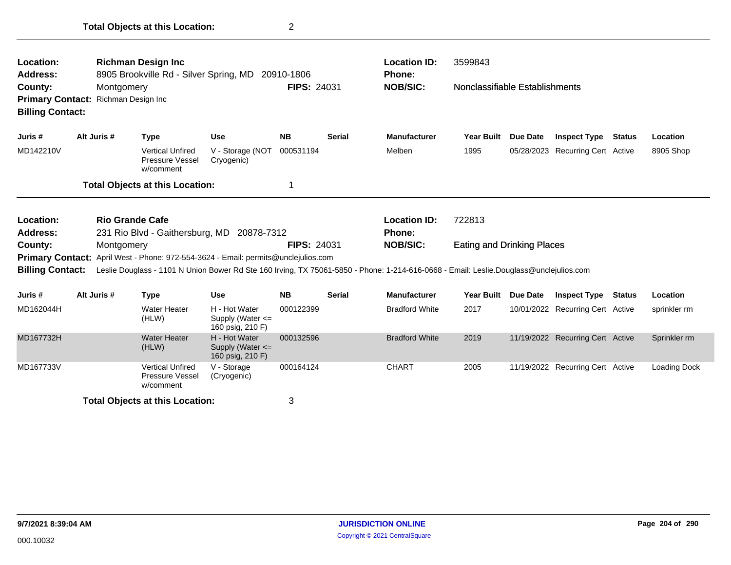| <b>Location:</b><br>Address:<br>County:<br><b>Billing Contact:</b> | Montgomery<br>Primary Contact: Richman Design Inc | <b>Richman Design Inc</b><br>8905 Brookville Rd - Silver Spring, MD 20910-1806     |                                | <b>FIPS: 24031</b> |                 | <b>Location ID:</b><br><b>Phone:</b><br><b>NOB/SIC:</b>                                                                                | 3599843<br>Nonclassifiable Establishments |          |                                  |        |           |
|--------------------------------------------------------------------|---------------------------------------------------|------------------------------------------------------------------------------------|--------------------------------|--------------------|-----------------|----------------------------------------------------------------------------------------------------------------------------------------|-------------------------------------------|----------|----------------------------------|--------|-----------|
| Juris #                                                            | Alt Juris #                                       | <b>Type</b>                                                                        | <b>Use</b>                     | <b>NB</b>          | Serial          | <b>Manufacturer</b>                                                                                                                    | <b>Year Built</b>                         | Due Date | Inspect Type                     | Status | Location  |
| MD142210V                                                          |                                                   | <b>Vertical Unfired</b><br><b>Pressure Vessel</b><br>w/comment                     | V - Storage (NOT<br>Cryogenic) | 000531194          |                 | Melben                                                                                                                                 | 1995                                      |          | 05/28/2023 Recurring Cert Active |        | 8905 Shop |
|                                                                    |                                                   | <b>Total Objects at this Location:</b>                                             |                                |                    |                 |                                                                                                                                        |                                           |          |                                  |        |           |
| Location:                                                          |                                                   | <b>Rio Grande Cafe</b>                                                             |                                |                    |                 | <b>Location ID:</b>                                                                                                                    | 722813                                    |          |                                  |        |           |
| Address:                                                           |                                                   | 231 Rio Blvd - Gaithersburg, MD 20878-7312                                         |                                |                    |                 | <b>Phone:</b>                                                                                                                          |                                           |          |                                  |        |           |
| County:<br>Montgomery                                              |                                                   |                                                                                    | <b>FIPS: 24031</b>             |                    | <b>NOB/SIC:</b> | <b>Eating and Drinking Places</b>                                                                                                      |                                           |          |                                  |        |           |
|                                                                    |                                                   | Primary Contact: April West - Phone: 972-554-3624 - Email: permits@unclejulios.com |                                |                    |                 |                                                                                                                                        |                                           |          |                                  |        |           |
| <b>Billing Contact:</b>                                            |                                                   |                                                                                    |                                |                    |                 | Leslie Douglass - 1101 N Union Bower Rd Ste 160 Irving, TX 75061-5850 - Phone: 1-214-616-0668 - Email: Leslie.Douglass@unclejulios.com |                                           |          |                                  |        |           |

| Juris #   | Alt Juris # | Type                                             | <b>Use</b>                                                | <b>NB</b> | <b>Serial</b> | <b>Manufacturer</b>   | <b>Year Built</b> | <b>Due Date</b> | <b>Inspect Type</b>              | Status | Location     |
|-----------|-------------|--------------------------------------------------|-----------------------------------------------------------|-----------|---------------|-----------------------|-------------------|-----------------|----------------------------------|--------|--------------|
| MD162044H |             | <b>Water Heater</b><br>(HLW)                     | H - Hot Water<br>Supply (Water $\leq$<br>160 psig, 210 F) | 000122399 |               | <b>Bradford White</b> | 2017              |                 | 10/01/2022 Recurring Cert Active |        | sprinkler rm |
| MD167732H |             | Water Heater<br>(HLW)                            | H - Hot Water<br>Supply (Water $\leq$<br>160 psig, 210 F) | 000132596 |               | <b>Bradford White</b> | 2019              |                 | 11/19/2022 Recurring Cert Active |        | Sprinkler rm |
| MD167733V |             | Vertical Unfired<br>Pressure Vessel<br>w/comment | V - Storage<br>(Cryogenic)                                | 000164124 |               | <b>CHART</b>          | 2005              |                 | 11/19/2022 Recurring Cert Active |        | Loading Dock |
|           |             | <b>Total Objects at this Location:</b>           |                                                           | っ<br>w    |               |                       |                   |                 |                                  |        |              |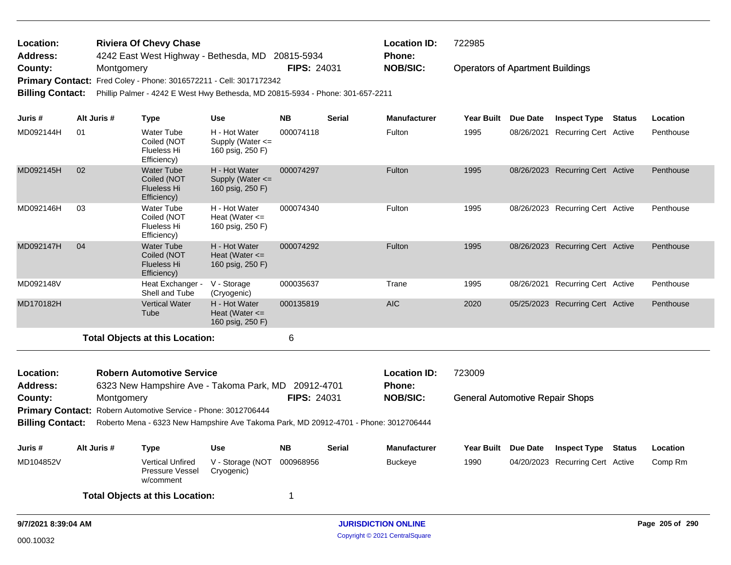| Location:                    |             |            | <b>Riviera Of Chevy Chase</b>                                                           |                                                         |                    |        | <b>Location ID:</b>           | 722985                                  |                     |                                  |                 |
|------------------------------|-------------|------------|-----------------------------------------------------------------------------------------|---------------------------------------------------------|--------------------|--------|-------------------------------|-----------------------------------------|---------------------|----------------------------------|-----------------|
| <b>Address:</b>              |             |            | 4242 East West Highway - Bethesda, MD 20815-5934                                        |                                                         |                    |        | Phone:                        |                                         |                     |                                  |                 |
| County:                      |             | Montgomery |                                                                                         |                                                         | <b>FIPS: 24031</b> |        | <b>NOB/SIC:</b>               | <b>Operators of Apartment Buildings</b> |                     |                                  |                 |
| <b>Primary Contact:</b>      |             |            | Fred Coley - Phone: 3016572211 - Cell: 3017172342                                       |                                                         |                    |        |                               |                                         |                     |                                  |                 |
| <b>Billing Contact:</b>      |             |            | Phillip Palmer - 4242 E West Hwy Bethesda, MD 20815-5934 - Phone: 301-657-2211          |                                                         |                    |        |                               |                                         |                     |                                  |                 |
| Juris #                      | Alt Juris # |            | <b>Type</b>                                                                             | <b>Use</b>                                              | <b>NB</b>          | Serial | <b>Manufacturer</b>           | <b>Year Built</b>                       | Due Date            | <b>Inspect Type Status</b>       | Location        |
| MD092144H                    | 01          |            | <b>Water Tube</b><br>Coiled (NOT<br>Flueless Hi<br>Efficiency)                          | H - Hot Water<br>Supply (Water <=<br>160 psig, 250 F)   | 000074118          |        | Fulton                        | 1995                                    |                     | 08/26/2021 Recurring Cert Active | Penthouse       |
| MD092145H                    | 02          |            | <b>Water Tube</b><br>Coiled (NOT<br><b>Flueless Hi</b><br>Efficiency)                   | H - Hot Water<br>Supply (Water <=<br>160 psig, 250 F)   | 000074297          |        | Fulton                        | 1995                                    |                     | 08/26/2023 Recurring Cert Active | Penthouse       |
| MD092146H                    | 03          |            | <b>Water Tube</b><br>Coiled (NOT<br>Flueless Hi<br>Efficiency)                          | H - Hot Water<br>Heat (Water $\leq$<br>160 psig, 250 F) | 000074340          |        | Fulton                        | 1995                                    |                     | 08/26/2023 Recurring Cert Active | Penthouse       |
| MD092147H                    | 04          |            | <b>Water Tube</b><br>Coiled (NOT<br><b>Flueless Hi</b><br>Efficiency)                   | H - Hot Water<br>Heat (Water $\leq$<br>160 psig, 250 F) | 000074292          |        | Fulton                        | 1995                                    |                     | 08/26/2023 Recurring Cert Active | Penthouse       |
| MD092148V                    |             |            | Heat Exchanger -<br>Shell and Tube                                                      | V - Storage<br>(Cryogenic)                              | 000035637          |        | Trane                         | 1995                                    |                     | 08/26/2021 Recurring Cert Active | Penthouse       |
| MD170182H                    |             |            | <b>Vertical Water</b><br>Tube                                                           | H - Hot Water<br>Heat (Water $\leq$<br>160 psig, 250 F) | 000135819          |        | <b>AIC</b>                    | 2020                                    |                     | 05/25/2023 Recurring Cert Active | Penthouse       |
|                              |             |            | <b>Total Objects at this Location:</b>                                                  |                                                         | 6                  |        |                               |                                         |                     |                                  |                 |
| Location:<br><b>Address:</b> |             |            | <b>Robern Automotive Service</b><br>6323 New Hampshire Ave - Takoma Park, MD 20912-4701 |                                                         |                    |        | <b>Location ID:</b><br>Phone: | 723009                                  |                     |                                  |                 |
| County:                      |             | Montgomery |                                                                                         |                                                         | <b>FIPS: 24031</b> |        | <b>NOB/SIC:</b>               | <b>General Automotive Repair Shops</b>  |                     |                                  |                 |
| <b>Primary Contact:</b>      |             |            | Robern Automotive Service - Phone: 3012706444                                           |                                                         |                    |        |                               |                                         |                     |                                  |                 |
| <b>Billing Contact:</b>      |             |            | Roberto Mena - 6323 New Hampshire Ave Takoma Park, MD 20912-4701 - Phone: 3012706444    |                                                         |                    |        |                               |                                         |                     |                                  |                 |
| Juris #                      | Alt Juris # |            | <b>Type</b>                                                                             | <b>Use</b>                                              | NB.                | Serial | <b>Manufacturer</b>           |                                         | Year Built Due Date | <b>Inspect Type Status</b>       | Location        |
| MD104852V                    |             |            | <b>Vertical Unfired</b><br>Pressure Vessel<br>w/comment                                 | V - Storage (NOT<br>Cryogenic)                          | 000968956          |        | <b>Buckeye</b>                | 1990                                    |                     | 04/20/2023 Recurring Cert Active | Comp Rm         |
|                              |             |            | <b>Total Objects at this Location:</b>                                                  |                                                         | 1                  |        |                               |                                         |                     |                                  |                 |
| 9/7/2021 8:39:04 AM          |             |            |                                                                                         |                                                         |                    |        | <b>JURISDICTION ONLINE</b>    |                                         |                     |                                  | Page 205 of 290 |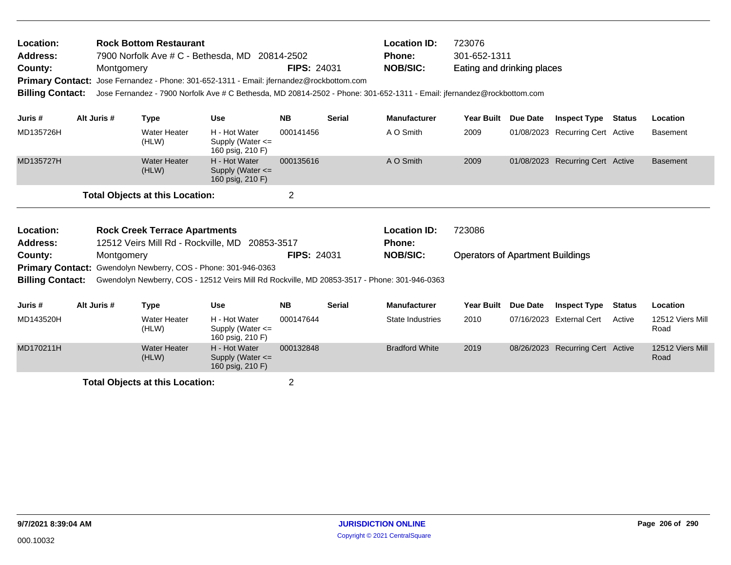| Location:<br>Address:<br>County:<br><b>Billing Contact:</b>                                                        | Montgomery                                                                                                                                                                   | <b>Rock Bottom Restaurant</b>          | 7900 Norfolk Ave # C - Bethesda, MD 20814-2502<br>Primary Contact: Jose Fernandez - Phone: 301-652-1311 - Email: jfernandez@rockbottom.com | <b>FIPS: 24031</b> |               | <b>Location ID:</b><br>Phone:<br><b>NOB/SIC:</b><br>Jose Fernandez - 7900 Norfolk Ave # C Bethesda, MD 20814-2502 - Phone: 301-652-1311 - Email: jfernandez@rockbottom.com | 723076<br>301-652-1311<br>Eating and drinking places |          |                                  |        |                 |
|--------------------------------------------------------------------------------------------------------------------|------------------------------------------------------------------------------------------------------------------------------------------------------------------------------|----------------------------------------|--------------------------------------------------------------------------------------------------------------------------------------------|--------------------|---------------|----------------------------------------------------------------------------------------------------------------------------------------------------------------------------|------------------------------------------------------|----------|----------------------------------|--------|-----------------|
| Juris #                                                                                                            | Alt Juris #                                                                                                                                                                  | <b>Type</b>                            | <b>Use</b>                                                                                                                                 | <b>NB</b>          | <b>Serial</b> | <b>Manufacturer</b>                                                                                                                                                        | <b>Year Built</b>                                    | Due Date | <b>Inspect Type</b>              | Status | Location        |
| MD135726H                                                                                                          |                                                                                                                                                                              | Water Heater<br>(HLW)                  | H - Hot Water<br>Supply (Water <=<br>160 psig, 210 F)                                                                                      | 000141456          |               | A O Smith                                                                                                                                                                  | 2009                                                 |          | 01/08/2023 Recurring Cert Active |        | <b>Basement</b> |
| MD135727H                                                                                                          |                                                                                                                                                                              | <b>Water Heater</b><br>(HLW)           | H - Hot Water<br>Supply (Water $\leq$<br>160 psig, 210 F)                                                                                  | 000135616          |               | A O Smith                                                                                                                                                                  | 2009                                                 |          | 01/08/2023 Recurring Cert Active |        | <b>Basement</b> |
|                                                                                                                    |                                                                                                                                                                              | <b>Total Objects at this Location:</b> |                                                                                                                                            | $\overline{2}$     |               |                                                                                                                                                                            |                                                      |          |                                  |        |                 |
| Location:<br><b>Rock Creek Terrace Apartments</b><br>12512 Veirs Mill Rd - Rockville, MD<br>Address:<br>20853-3517 |                                                                                                                                                                              |                                        |                                                                                                                                            |                    |               | <b>Location ID:</b><br>Phone:                                                                                                                                              | 723086                                               |          |                                  |        |                 |
| County:<br><b>Billing Contact:</b>                                                                                 | Montgomery<br>Primary Contact: Gwendolyn Newberry, COS - Phone: 301-946-0363<br>Gwendolyn Newberry, COS - 12512 Veirs Mill Rd Rockville, MD 20853-3517 - Phone: 301-946-0363 |                                        |                                                                                                                                            | <b>FIPS: 24031</b> |               | <b>NOB/SIC:</b>                                                                                                                                                            | <b>Operators of Apartment Buildings</b>              |          |                                  |        |                 |

| Juris #   | Alt Juris # | Type                         | Use                                                       | <b>NB</b> | <b>Serial</b> | <b>Manufacturer</b>   | <b>Year Built</b> | <b>Due Date</b> | <b>Inspect Type</b>              | <b>Status</b> | Location                 |
|-----------|-------------|------------------------------|-----------------------------------------------------------|-----------|---------------|-----------------------|-------------------|-----------------|----------------------------------|---------------|--------------------------|
| MD143520H |             | Water Heater<br>(HLW)        | H - Hot Water<br>Supply (Water $\leq$<br>160 psig, 210 F) | 000147644 |               | State Industries      | 2010              |                 | 07/16/2023 External Cert         | Active        | 12512 Viers Mill<br>Road |
| MD170211H |             | <b>Water Heater</b><br>(HLW) | H - Hot Water<br>Supply (Water $\leq$<br>160 psig, 210 F) | 000132848 |               | <b>Bradford White</b> | 2019              |                 | 08/26/2023 Recurring Cert Active |               | 12512 Viers Mill<br>Road |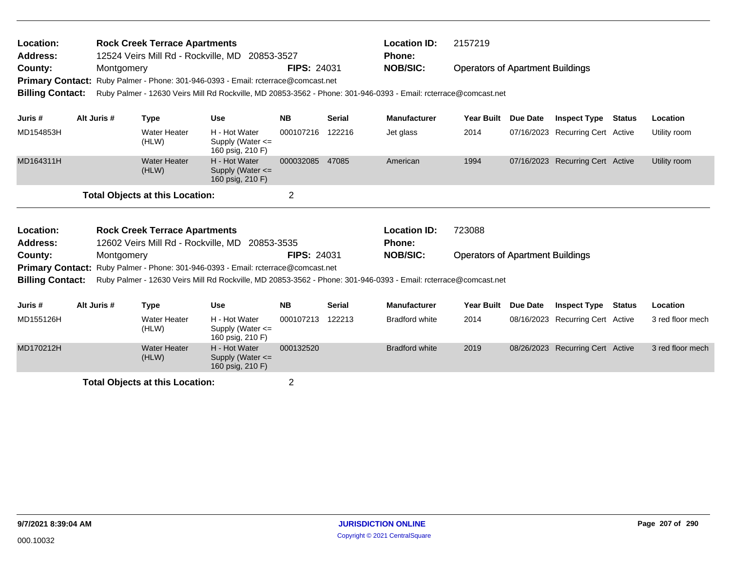| Location:<br>Address:<br>County: | Montgomery  | <b>Rock Creek Terrace Apartments</b>   | 12524 Veirs Mill Rd - Rockville, MD 20853-3527<br>Primary Contact: Ruby Palmer - Phone: 301-946-0393 - Email: rcterrace@comcast.net | <b>FIPS: 24031</b> |               | <b>Location ID:</b><br>Phone:<br><b>NOB/SIC:</b> | 2157219<br><b>Operators of Apartment Buildings</b> |          |                                  |        |                  |
|----------------------------------|-------------|----------------------------------------|-------------------------------------------------------------------------------------------------------------------------------------|--------------------|---------------|--------------------------------------------------|----------------------------------------------------|----------|----------------------------------|--------|------------------|
| <b>Billing Contact:</b>          |             |                                        | Ruby Palmer - 12630 Veirs Mill Rd Rockville, MD 20853-3562 - Phone: 301-946-0393 - Email: rcterrace@comcast.net                     |                    |               |                                                  |                                                    |          |                                  |        |                  |
| Juris #                          | Alt Juris # | <b>Type</b>                            | <b>Use</b>                                                                                                                          | <b>NB</b>          | <b>Serial</b> | <b>Manufacturer</b>                              | <b>Year Built</b>                                  | Due Date | <b>Inspect Type</b>              | Status | Location         |
| MD154853H                        |             | <b>Water Heater</b><br>(HLW)           | H - Hot Water<br>Supply (Water $\leq$<br>160 psig, 210 F)                                                                           | 000107216          | 122216        | Jet glass                                        | 2014                                               |          | 07/16/2023 Recurring Cert Active |        | Utility room     |
| MD164311H                        |             | <b>Water Heater</b><br>(HLW)           | H - Hot Water<br>Supply (Water $\leq$<br>160 psig, 210 F)                                                                           | 000032085          | 47085         | American                                         | 1994                                               |          | 07/16/2023 Recurring Cert Active |        | Utility room     |
|                                  |             | <b>Total Objects at this Location:</b> |                                                                                                                                     | $\overline{2}$     |               |                                                  |                                                    |          |                                  |        |                  |
| Location:                        |             | <b>Rock Creek Terrace Apartments</b>   |                                                                                                                                     |                    |               | <b>Location ID:</b>                              | 723088                                             |          |                                  |        |                  |
| <b>Address:</b>                  |             |                                        | 12602 Veirs Mill Rd - Rockville, MD 20853-3535                                                                                      |                    |               | <b>Phone:</b>                                    |                                                    |          |                                  |        |                  |
| County:                          | Montgomery  |                                        | <b>Primary Contact:</b> Ruby Palmer - Phone: 301-946-0393 - Email: rcterrace@comcast.net                                            | <b>FIPS: 24031</b> |               | <b>NOB/SIC:</b>                                  | <b>Operators of Apartment Buildings</b>            |          |                                  |        |                  |
| <b>Billing Contact:</b>          |             |                                        | Ruby Palmer - 12630 Veirs Mill Rd Rockville, MD 20853-3562 - Phone: 301-946-0393 - Email: rcterrace@comcast.net                     |                    |               |                                                  |                                                    |          |                                  |        |                  |
| Juris #                          | Alt Juris # | <b>Type</b>                            | <b>Use</b>                                                                                                                          | <b>NB</b>          | <b>Serial</b> | <b>Manufacturer</b>                              | <b>Year Built</b>                                  | Due Date | <b>Inspect Type</b>              | Status | Location         |
| MD155126H                        |             | <b>Water Heater</b><br>(HLW)           | H - Hot Water<br>Supply (Water $\leq$<br>160 psig, 210 F)                                                                           | 000107213          | 122213        | <b>Bradford white</b>                            | 2014                                               |          | 08/16/2023 Recurring Cert Active |        | 3 red floor mech |
| MD170212H                        |             | <b>Water Heater</b><br>(HLW)           | H - Hot Water<br>Supply (Water $\leq$<br>160 psig, 210 F)                                                                           | 000132520          |               | <b>Bradford white</b>                            | 2019                                               |          | 08/26/2023 Recurring Cert Active |        | 3 red floor mech |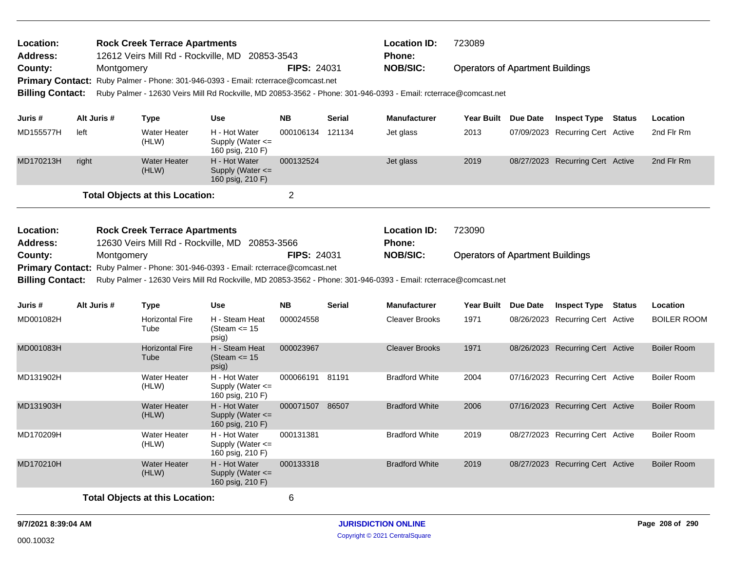| Location:<br>Address:                                                                                                                                                                                                           |                       |             | <b>Rock Creek Terrace Apartments</b>   | 12612 Veirs Mill Rd - Rockville, MD 20853-3543                   |                    |                    | <b>Location ID:</b><br><b>Phone:</b>                                                                            | 723089                                  |                                  |        |                    |
|---------------------------------------------------------------------------------------------------------------------------------------------------------------------------------------------------------------------------------|-----------------------|-------------|----------------------------------------|------------------------------------------------------------------|--------------------|--------------------|-----------------------------------------------------------------------------------------------------------------|-----------------------------------------|----------------------------------|--------|--------------------|
| County:                                                                                                                                                                                                                         |                       | Montgomery  |                                        |                                                                  | <b>FIPS: 24031</b> |                    | <b>NOB/SIC:</b>                                                                                                 | <b>Operators of Apartment Buildings</b> |                                  |        |                    |
| <b>Primary Contact:</b>                                                                                                                                                                                                         |                       |             |                                        | Ruby Palmer - Phone: 301-946-0393 - Email: rcterrace@comcast.net |                    |                    |                                                                                                                 |                                         |                                  |        |                    |
| <b>Billing Contact:</b>                                                                                                                                                                                                         |                       |             |                                        |                                                                  |                    |                    | Ruby Palmer - 12630 Veirs Mill Rd Rockville, MD 20853-3562 - Phone: 301-946-0393 - Email: rcterrace@comcast.net |                                         |                                  |        |                    |
|                                                                                                                                                                                                                                 |                       |             |                                        |                                                                  |                    |                    |                                                                                                                 |                                         |                                  |        |                    |
| Juris #                                                                                                                                                                                                                         |                       | Alt Juris # | <b>Type</b>                            | <b>Use</b>                                                       | <b>NB</b>          | <b>Serial</b>      | <b>Manufacturer</b>                                                                                             | Year Built Due Date                     | <b>Inspect Type Status</b>       |        | Location           |
| MD155577H                                                                                                                                                                                                                       | left                  |             | <b>Water Heater</b><br>(HLW)           | H - Hot Water<br>Supply (Water $\leq$<br>160 psig, 210 F)        | 000106134 121134   |                    | Jet glass                                                                                                       | 2013                                    | 07/09/2023 Recurring Cert Active |        | 2nd Flr Rm         |
| MD170213H                                                                                                                                                                                                                       | right                 |             | <b>Water Heater</b><br>(HLW)           | H - Hot Water<br>Supply (Water $\leq$<br>160 psig, 210 F)        | 000132524          |                    | Jet glass                                                                                                       | 2019                                    | 08/27/2023 Recurring Cert Active |        | 2nd Flr Rm         |
|                                                                                                                                                                                                                                 |                       |             | <b>Total Objects at this Location:</b> |                                                                  | $\overline{2}$     |                    |                                                                                                                 |                                         |                                  |        |                    |
| Location:<br><b>Address:</b>                                                                                                                                                                                                    |                       |             | <b>Rock Creek Terrace Apartments</b>   | 12630 Veirs Mill Rd - Rockville, MD 20853-3566                   |                    |                    | <b>Location ID:</b><br><b>Phone:</b>                                                                            | 723090                                  |                                  |        |                    |
|                                                                                                                                                                                                                                 | County:<br>Montgomery |             |                                        |                                                                  |                    | <b>FIPS: 24031</b> | <b>NOB/SIC:</b>                                                                                                 | <b>Operators of Apartment Buildings</b> |                                  |        |                    |
|                                                                                                                                                                                                                                 |                       |             |                                        |                                                                  |                    |                    |                                                                                                                 |                                         |                                  |        |                    |
| Primary Contact: Ruby Palmer - Phone: 301-946-0393 - Email: rcterrace@comcast.net<br><b>Billing Contact:</b><br>Ruby Palmer - 12630 Veirs Mill Rd Rockville, MD 20853-3562 - Phone: 301-946-0393 - Email: rcterrace@comcast.net |                       |             |                                        |                                                                  |                    |                    |                                                                                                                 |                                         |                                  |        |                    |
| Juris #                                                                                                                                                                                                                         |                       | Alt Juris # | <b>Type</b>                            | <b>Use</b>                                                       | <b>NB</b>          | <b>Serial</b>      | <b>Manufacturer</b>                                                                                             | Year Built Due Date                     | <b>Inspect Type</b>              | Status | Location           |
| MD001082H                                                                                                                                                                                                                       |                       |             | <b>Horizontal Fire</b><br>Tube         | H - Steam Heat<br>(Steam $\le$ 15<br>psig)                       | 000024558          |                    | <b>Cleaver Brooks</b>                                                                                           | 1971                                    | 08/26/2023 Recurring Cert Active |        | <b>BOILER ROOM</b> |
| MD001083H                                                                                                                                                                                                                       |                       |             | <b>Horizontal Fire</b><br>Tube         | H - Steam Heat<br>(Steam $\le$ 15<br>psig)                       | 000023967          |                    | <b>Cleaver Brooks</b>                                                                                           | 1971                                    | 08/26/2023 Recurring Cert Active |        | <b>Boiler Room</b> |
| MD131902H                                                                                                                                                                                                                       |                       |             | <b>Water Heater</b><br>(HLW)           | H - Hot Water<br>Supply (Water $\leq$<br>160 psig, 210 F)        | 000066191 81191    |                    | <b>Bradford White</b>                                                                                           | 2004                                    | 07/16/2023 Recurring Cert Active |        | <b>Boiler Room</b> |
| MD131903H                                                                                                                                                                                                                       |                       |             | <b>Water Heater</b><br>(HLW)           | H - Hot Water<br>Supply (Water <=<br>160 psig, 210 F)            | 000071507 86507    |                    | <b>Bradford White</b>                                                                                           | 2006                                    | 07/16/2023 Recurring Cert Active |        | <b>Boiler Room</b> |
| MD170209H                                                                                                                                                                                                                       |                       |             | <b>Water Heater</b><br>(HLW)           | H - Hot Water<br>Supply (Water $\leq$<br>160 psig, 210 F)        | 000131381          |                    | <b>Bradford White</b>                                                                                           | 2019                                    | 08/27/2023 Recurring Cert Active |        | <b>Boiler Room</b> |
| MD170210H                                                                                                                                                                                                                       |                       |             | <b>Water Heater</b><br>(HLW)           | H - Hot Water<br>Supply (Water $\leq$<br>160 psig, 210 F)        | 000133318          |                    | <b>Bradford White</b>                                                                                           | 2019                                    | 08/27/2023 Recurring Cert Active |        | <b>Boiler Room</b> |
|                                                                                                                                                                                                                                 |                       |             | <b>Total Objects at this Location:</b> |                                                                  | 6                  |                    |                                                                                                                 |                                         |                                  |        |                    |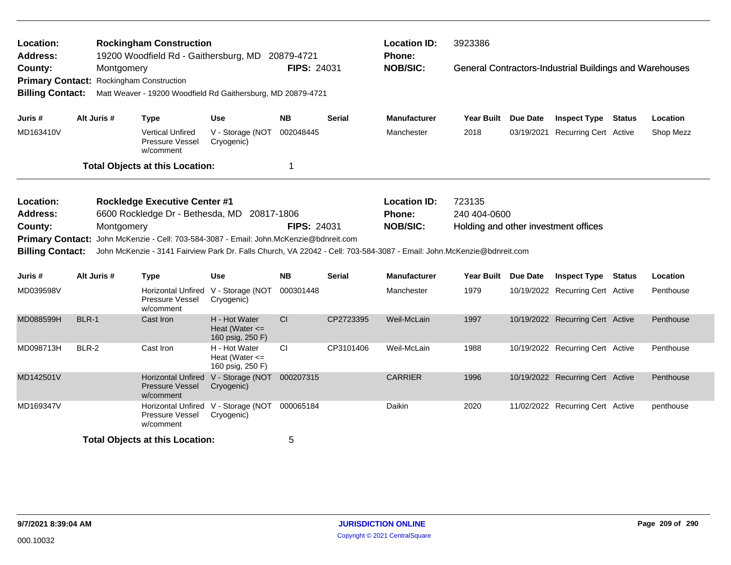| Location:<br><b>Address:</b>                                                                  |                                                                                                                                                                                                                                            | <b>Rockingham Construction</b><br>19200 Woodfield Rd - Gaithersburg, MD 20879-4721             |                                                         |                    |               | <b>Location ID:</b><br>Phone:                           | 3923386                                                        |                                                                |               |           |
|-----------------------------------------------------------------------------------------------|--------------------------------------------------------------------------------------------------------------------------------------------------------------------------------------------------------------------------------------------|------------------------------------------------------------------------------------------------|---------------------------------------------------------|--------------------|---------------|---------------------------------------------------------|----------------------------------------------------------------|----------------------------------------------------------------|---------------|-----------|
| County:<br><b>Primary Contact:</b><br><b>Billing Contact:</b>                                 | Montgomery                                                                                                                                                                                                                                 | <b>Rockingham Construction</b><br>Matt Weaver - 19200 Woodfield Rd Gaithersburg, MD 20879-4721 |                                                         | <b>FIPS: 24031</b> |               | <b>NOB/SIC:</b>                                         |                                                                | <b>General Contractors-Industrial Buildings and Warehouses</b> |               |           |
| Juris #                                                                                       | Alt Juris #                                                                                                                                                                                                                                | <b>Type</b>                                                                                    | <b>Use</b>                                              | <b>NB</b>          | <b>Serial</b> | Manufacturer                                            | Year Built Due Date                                            | <b>Inspect Type Status</b>                                     |               | Location  |
| MD163410V                                                                                     |                                                                                                                                                                                                                                            | <b>Vertical Unfired</b><br>Pressure Vessel<br>w/comment                                        | V - Storage (NOT<br>Cryogenic)                          | 002048445          |               | Manchester                                              | 2018                                                           | 03/19/2021 Recurring Cert Active                               |               | Shop Mezz |
|                                                                                               |                                                                                                                                                                                                                                            | <b>Total Objects at this Location:</b>                                                         |                                                         | -1                 |               |                                                         |                                                                |                                                                |               |           |
| Location:<br><b>Address:</b><br>County:<br><b>Primary Contact:</b><br><b>Billing Contact:</b> | Montgomery                                                                                                                                                                                                                                 | <b>Rockledge Executive Center #1</b><br>6600 Rockledge Dr - Bethesda, MD 20817-1806            |                                                         | <b>FIPS: 24031</b> |               | <b>Location ID:</b><br><b>Phone:</b><br><b>NOB/SIC:</b> | 723135<br>240 404-0600<br>Holding and other investment offices |                                                                |               |           |
| Juris #                                                                                       | John McKenzie - Cell: 703-584-3087 - Email: John McKenzie@bdnreit.com<br>John McKenzie - 3141 Fairview Park Dr. Falls Church, VA 22042 - Cell: 703-584-3087 - Email: John.McKenzie@bdnreit.com<br>Alt Juris #<br><b>Use</b><br><b>Type</b> |                                                                                                |                                                         | <b>NB</b>          | <b>Serial</b> | <b>Manufacturer</b>                                     | Year Built Due Date                                            | <b>Inspect Type</b>                                            | <b>Status</b> | Location  |
| MD039598V                                                                                     |                                                                                                                                                                                                                                            | Pressure Vessel<br>w/comment                                                                   | Horizontal Unfired V - Storage (NOT<br>Cryogenic)       | 000301448          |               | Manchester                                              | 1979                                                           | 10/19/2022 Recurring Cert Active                               |               | Penthouse |
| MD088599H                                                                                     | BLR-1                                                                                                                                                                                                                                      | Cast Iron                                                                                      | H - Hot Water<br>Heat (Water $\leq$<br>160 psig, 250 F) | CI                 | CP2723395     | Weil-McLain                                             | 1997                                                           | 10/19/2022 Recurring Cert Active                               |               | Penthouse |
| MD098713H                                                                                     | <b>BLR-2</b>                                                                                                                                                                                                                               | Cast Iron                                                                                      | H - Hot Water<br>Heat (Water $\leq$<br>160 psig, 250 F) | <b>CI</b>          | CP3101406     | Weil-McLain                                             | 1988                                                           | 10/19/2022 Recurring Cert Active                               |               | Penthouse |
| MD142501V                                                                                     |                                                                                                                                                                                                                                            | <b>Pressure Vessel</b><br>w/comment                                                            | Horizontal Unfired V - Storage (NOT<br>Cryogenic)       | 000207315          |               | <b>CARRIER</b>                                          | 1996                                                           | 10/19/2022 Recurring Cert Active                               |               | Penthouse |
| MD169347V                                                                                     |                                                                                                                                                                                                                                            | Pressure Vessel<br>w/comment                                                                   | Horizontal Unfired V - Storage (NOT<br>Cryogenic)       | 000065184          |               | Daikin                                                  | 2020                                                           | 11/02/2022 Recurring Cert Active                               |               | penthouse |
|                                                                                               |                                                                                                                                                                                                                                            | <b>Total Objects at this Location:</b>                                                         |                                                         | 5                  |               |                                                         |                                                                |                                                                |               |           |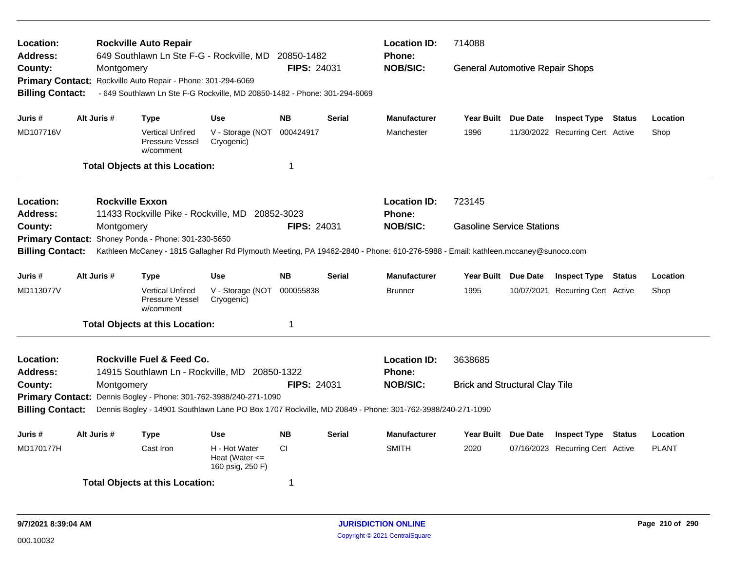| Location:<br><b>Address:</b>       |             | <b>Rockville Auto Repair</b><br>649 Southlawn Ln Ste F-G - Rockville, MD 20850-1482                                             |                                                         |                    |               | <b>Location ID:</b><br><b>Phone:</b> | 714088                                 |                                  |               |              |
|------------------------------------|-------------|---------------------------------------------------------------------------------------------------------------------------------|---------------------------------------------------------|--------------------|---------------|--------------------------------------|----------------------------------------|----------------------------------|---------------|--------------|
| County:<br><b>Primary Contact:</b> | Montgomery  | Rockville Auto Repair - Phone: 301-294-6069                                                                                     |                                                         | <b>FIPS: 24031</b> |               | <b>NOB/SIC:</b>                      | <b>General Automotive Repair Shops</b> |                                  |               |              |
| <b>Billing Contact:</b>            |             | - 649 Southlawn Ln Ste F-G Rockville, MD 20850-1482 - Phone: 301-294-6069                                                       |                                                         |                    |               |                                      |                                        |                                  |               |              |
| Juris #                            | Alt Juris # | <b>Type</b>                                                                                                                     | <b>Use</b>                                              | <b>NB</b>          | <b>Serial</b> | <b>Manufacturer</b>                  | Year Built Due Date                    | <b>Inspect Type Status</b>       |               | Location     |
| MD107716V                          |             | <b>Vertical Unfired</b><br>Pressure Vessel<br>w/comment                                                                         | V - Storage (NOT<br>Cryogenic)                          | 000424917          |               | Manchester                           | 1996                                   | 11/30/2022 Recurring Cert Active |               | Shop         |
|                                    |             | <b>Total Objects at this Location:</b>                                                                                          |                                                         | $\mathbf 1$        |               |                                      |                                        |                                  |               |              |
| <b>Location:</b>                   |             | <b>Rockville Exxon</b>                                                                                                          |                                                         |                    |               | <b>Location ID:</b>                  | 723145                                 |                                  |               |              |
| <b>Address:</b>                    |             | 11433 Rockville Pike - Rockville, MD 20852-3023                                                                                 |                                                         |                    |               | Phone:                               |                                        |                                  |               |              |
| County:                            | Montgomery  |                                                                                                                                 |                                                         | <b>FIPS: 24031</b> |               | <b>NOB/SIC:</b>                      | <b>Gasoline Service Stations</b>       |                                  |               |              |
| <b>Primary Contact:</b>            |             | Shoney Ponda - Phone: 301-230-5650                                                                                              |                                                         |                    |               |                                      |                                        |                                  |               |              |
| <b>Billing Contact:</b>            |             | Kathleen McCaney - 1815 Gallagher Rd Plymouth Meeting, PA 19462-2840 - Phone: 610-276-5988 - Email: kathleen.mccaney@sunoco.com |                                                         |                    |               |                                      |                                        |                                  |               |              |
| Juris #                            | Alt Juris # | <b>Type</b>                                                                                                                     | <b>Use</b>                                              | <b>NB</b>          | <b>Serial</b> | <b>Manufacturer</b>                  | Year Built Due Date                    | <b>Inspect Type Status</b>       |               | Location     |
| MD113077V                          |             | <b>Vertical Unfired</b><br>Pressure Vessel<br>w/comment                                                                         | V - Storage (NOT<br>Cryogenic)                          | 000055838          |               | <b>Brunner</b>                       | 1995                                   | 10/07/2021 Recurring Cert Active |               | Shop         |
|                                    |             | <b>Total Objects at this Location:</b>                                                                                          |                                                         | $\mathbf 1$        |               |                                      |                                        |                                  |               |              |
| Location:                          |             | Rockville Fuel & Feed Co.                                                                                                       |                                                         |                    |               | <b>Location ID:</b>                  | 3638685                                |                                  |               |              |
| Address:                           |             | 14915 Southlawn Ln - Rockville, MD 20850-1322                                                                                   |                                                         |                    |               | <b>Phone:</b>                        |                                        |                                  |               |              |
| County:                            | Montgomery  |                                                                                                                                 |                                                         | <b>FIPS: 24031</b> |               | <b>NOB/SIC:</b>                      | <b>Brick and Structural Clay Tile</b>  |                                  |               |              |
| <b>Primary Contact:</b>            |             | Dennis Bogley - Phone: 301-762-3988/240-271-1090                                                                                |                                                         |                    |               |                                      |                                        |                                  |               |              |
| <b>Billing Contact:</b>            |             | Dennis Bogley - 14901 Southlawn Lane PO Box 1707 Rockville, MD 20849 - Phone: 301-762-3988/240-271-1090                         |                                                         |                    |               |                                      |                                        |                                  |               |              |
| Juris #                            | Alt Juris # | <b>Type</b>                                                                                                                     | <b>Use</b>                                              | <b>NB</b>          | <b>Serial</b> | <b>Manufacturer</b>                  | Year Built Due Date                    | <b>Inspect Type</b>              | <b>Status</b> | Location     |
| MD170177H                          |             | Cast Iron                                                                                                                       | H - Hot Water<br>Heat (Water $\leq$<br>160 psig, 250 F) | <b>CI</b>          |               | <b>SMITH</b>                         | 2020                                   | 07/16/2023 Recurring Cert Active |               | <b>PLANT</b> |
|                                    |             | <b>Total Objects at this Location:</b>                                                                                          |                                                         | -1                 |               |                                      |                                        |                                  |               |              |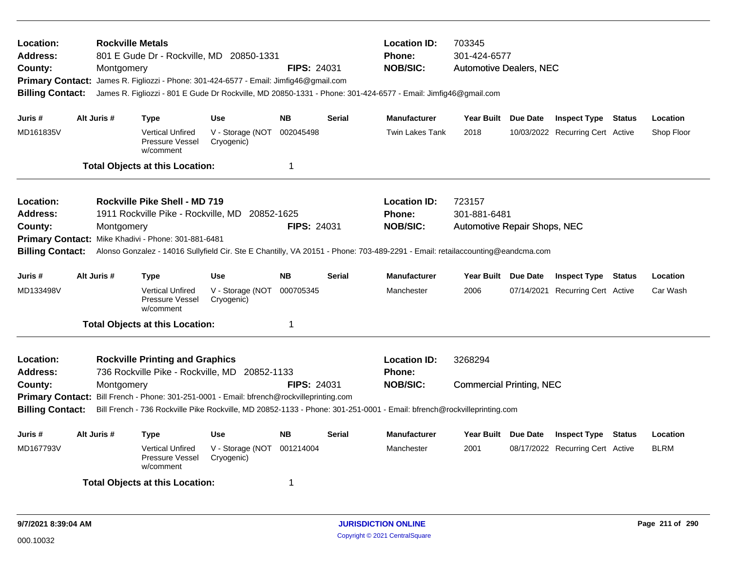| Location:<br><b>Address:</b><br>County:<br><b>Billing Contact:</b>                     |             | Montgomery | <b>Rockville Metals</b>                                             | 801 E Gude Dr - Rockville, MD 20850-1331<br>Primary Contact: James R. Figliozzi - Phone: 301-424-6577 - Email: Jimfig46@gmail.com          | <b>FIPS: 24031</b> |               | <b>Location ID:</b><br>Phone:<br><b>NOB/SIC:</b><br>James R. Figliozzi - 801 E Gude Dr Rockville, MD 20850-1331 - Phone: 301-424-6577 - Email: Jimfig46@gmail.com                        | 703345<br>301-424-6577<br><b>Automotive Dealers, NEC</b> |          |                                  |        |             |
|----------------------------------------------------------------------------------------|-------------|------------|---------------------------------------------------------------------|--------------------------------------------------------------------------------------------------------------------------------------------|--------------------|---------------|------------------------------------------------------------------------------------------------------------------------------------------------------------------------------------------|----------------------------------------------------------|----------|----------------------------------|--------|-------------|
| Juris #                                                                                | Alt Juris # |            | Type                                                                | <b>Use</b>                                                                                                                                 | <b>NB</b>          | <b>Serial</b> | <b>Manufacturer</b>                                                                                                                                                                      | Year Built                                               | Due Date | <b>Inspect Type Status</b>       |        | Location    |
| MD161835V                                                                              |             |            | <b>Vertical Unfired</b><br>Pressure Vessel<br>w/comment             | V - Storage (NOT<br>Cryogenic)                                                                                                             | 002045498          |               | <b>Twin Lakes Tank</b>                                                                                                                                                                   | 2018                                                     |          | 10/03/2022 Recurring Cert Active |        | Shop Floor  |
|                                                                                        |             |            | <b>Total Objects at this Location:</b>                              |                                                                                                                                            | 1                  |               |                                                                                                                                                                                          |                                                          |          |                                  |        |             |
| Location:<br>Address:<br>County:<br><b>Primary Contact:</b><br><b>Billing Contact:</b> |             | Montgomery | Rockville Pike Shell - MD 719<br>Mike Khadivi - Phone: 301-881-6481 | 1911 Rockville Pike - Rockville, MD 20852-1625                                                                                             | FIPS: 24031        |               | <b>Location ID:</b><br><b>Phone:</b><br><b>NOB/SIC:</b><br>Alonso Gonzalez - 14016 Sullyfield Cir. Ste E Chantilly, VA 20151 - Phone: 703-489-2291 - Email: retailaccounting@eandcma.com | 723157<br>301-881-6481<br>Automotive Repair Shops, NEC   |          |                                  |        |             |
| Juris #                                                                                | Alt Juris # |            | Type                                                                | <b>Use</b>                                                                                                                                 | <b>NB</b>          | <b>Serial</b> | <b>Manufacturer</b>                                                                                                                                                                      | Year Built Due Date                                      |          | <b>Inspect Type Status</b>       |        | Location    |
| MD133498V                                                                              |             |            | <b>Vertical Unfired</b><br>Pressure Vessel<br>w/comment             | V - Storage (NOT<br>Cryogenic)                                                                                                             | 000705345          |               | Manchester                                                                                                                                                                               | 2006                                                     |          | 07/14/2021 Recurring Cert Active |        | Car Wash    |
|                                                                                        |             |            | <b>Total Objects at this Location:</b>                              |                                                                                                                                            | $\overline{1}$     |               |                                                                                                                                                                                          |                                                          |          |                                  |        |             |
| Location:<br><b>Address:</b><br>County:<br><b>Billing Contact:</b>                     |             | Montgomery | <b>Rockville Printing and Graphics</b>                              | 736 Rockville Pike - Rockville, MD 20852-1133<br>Primary Contact: Bill French - Phone: 301-251-0001 - Email: bfrench@rockvilleprinting.com | <b>FIPS: 24031</b> |               | <b>Location ID:</b><br><b>Phone:</b><br><b>NOB/SIC:</b><br>Bill French - 736 Rockville Pike Rockville, MD 20852-1133 - Phone: 301-251-0001 - Email: bfrench@rockvilleprinting.com        | 3268294<br><b>Commercial Printing, NEC</b>               |          |                                  |        |             |
| Juris #                                                                                | Alt Juris # |            | Type                                                                | <b>Use</b>                                                                                                                                 | <b>NB</b>          | <b>Serial</b> | <b>Manufacturer</b>                                                                                                                                                                      | Year Built Due Date                                      |          | <b>Inspect Type</b>              | Status | Location    |
| MD167793V                                                                              |             |            | <b>Vertical Unfired</b><br>Pressure Vessel<br>w/comment             | V - Storage (NOT<br>Cryogenic)                                                                                                             | 001214004          |               | Manchester                                                                                                                                                                               | 2001                                                     |          | 08/17/2022 Recurring Cert Active |        | <b>BLRM</b> |
|                                                                                        |             |            | <b>Total Objects at this Location:</b>                              |                                                                                                                                            | -1                 |               |                                                                                                                                                                                          |                                                          |          |                                  |        |             |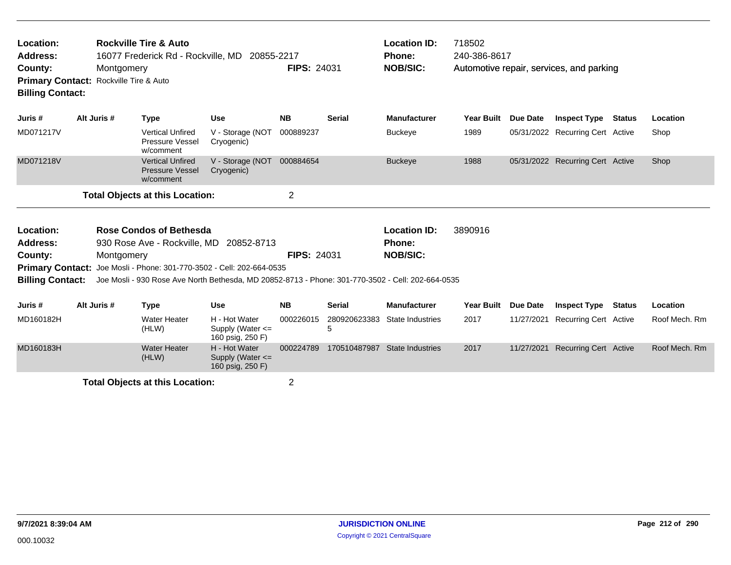| Location:<br>Address:<br>County: | <b>Rockville Tire &amp; Auto</b><br>16077 Frederick Rd - Rockville, MD 20855-2217<br>Montgomery<br>Rockville Tire & Auto<br><b>Primary Contact:</b><br><b>Billing Contact:</b><br>Alt Juris #<br><b>Use</b><br><b>Type</b> |             |                                                                |                                                                                                   |                    | <b>FIPS: 24031</b> | <b>Location ID:</b><br><b>Phone:</b><br><b>NOB/SIC:</b> | 718502<br>240-386-8617 |            | Automotive repair, services, and parking |               |               |
|----------------------------------|----------------------------------------------------------------------------------------------------------------------------------------------------------------------------------------------------------------------------|-------------|----------------------------------------------------------------|---------------------------------------------------------------------------------------------------|--------------------|--------------------|---------------------------------------------------------|------------------------|------------|------------------------------------------|---------------|---------------|
| Juris #                          |                                                                                                                                                                                                                            |             |                                                                |                                                                                                   | <b>NB</b>          | Serial             | <b>Manufacturer</b>                                     | Year Built             | Due Date   | <b>Inspect Type</b>                      | Status        | Location      |
| MD071217V                        |                                                                                                                                                                                                                            |             | <b>Vertical Unfired</b><br>Pressure Vessel<br>w/comment        | V - Storage (NOT<br>Cryogenic)                                                                    | 000889237          |                    | <b>Buckeye</b>                                          | 1989                   |            | 05/31/2022 Recurring Cert Active         |               | Shop          |
| MD071218V                        |                                                                                                                                                                                                                            |             | <b>Vertical Unfired</b><br><b>Pressure Vessel</b><br>w/comment | V - Storage (NOT<br>Cryogenic)                                                                    | 000884654          |                    | <b>Buckeye</b>                                          | 1988                   |            | 05/31/2022 Recurring Cert Active         |               | Shop          |
|                                  |                                                                                                                                                                                                                            |             | <b>Total Objects at this Location:</b>                         |                                                                                                   | $\overline{2}$     |                    |                                                         |                        |            |                                          |               |               |
| Location:                        | Rose Condos of Bethesda<br>930 Rose Ave - Rockville, MD 20852-8713                                                                                                                                                         |             |                                                                |                                                                                                   |                    |                    | <b>Location ID:</b>                                     | 3890916                |            |                                          |               |               |
| Address:                         |                                                                                                                                                                                                                            |             |                                                                |                                                                                                   | <b>FIPS: 24031</b> |                    | <b>Phone:</b>                                           |                        |            |                                          |               |               |
| County:                          |                                                                                                                                                                                                                            | Montgomery  |                                                                | Primary Contact: Joe Mosli - Phone: 301-770-3502 - Cell: 202-664-0535                             |                    |                    | <b>NOB/SIC:</b>                                         |                        |            |                                          |               |               |
| <b>Billing Contact:</b>          |                                                                                                                                                                                                                            |             |                                                                | Joe Mosli - 930 Rose Ave North Bethesda, MD 20852-8713 - Phone: 301-770-3502 - Cell: 202-664-0535 |                    |                    |                                                         |                        |            |                                          |               |               |
| Juris #                          |                                                                                                                                                                                                                            | Alt Juris # | <b>Type</b>                                                    | <b>Use</b>                                                                                        | <b>NB</b>          | <b>Serial</b>      | <b>Manufacturer</b>                                     | <b>Year Built</b>      | Due Date   | <b>Inspect Type</b>                      | <b>Status</b> | Location      |
| MD160182H                        |                                                                                                                                                                                                                            |             | <b>Water Heater</b><br>(HLW)                                   | H - Hot Water<br>Supply (Water $\leq$<br>160 psig, 250 F)                                         | 000226015          | 280920623383<br>5  | State Industries                                        | 2017                   | 11/27/2021 | <b>Recurring Cert Active</b>             |               | Roof Mech. Rm |
| MD160183H                        |                                                                                                                                                                                                                            |             | <b>Water Heater</b><br>(HLW)                                   | H - Hot Water<br>Supply (Water $\leq$<br>160 psig, 250 F)                                         | 000224789          | 170510487987       | <b>State Industries</b>                                 | 2017                   | 11/27/2021 | <b>Recurring Cert Active</b>             |               | Roof Mech. Rm |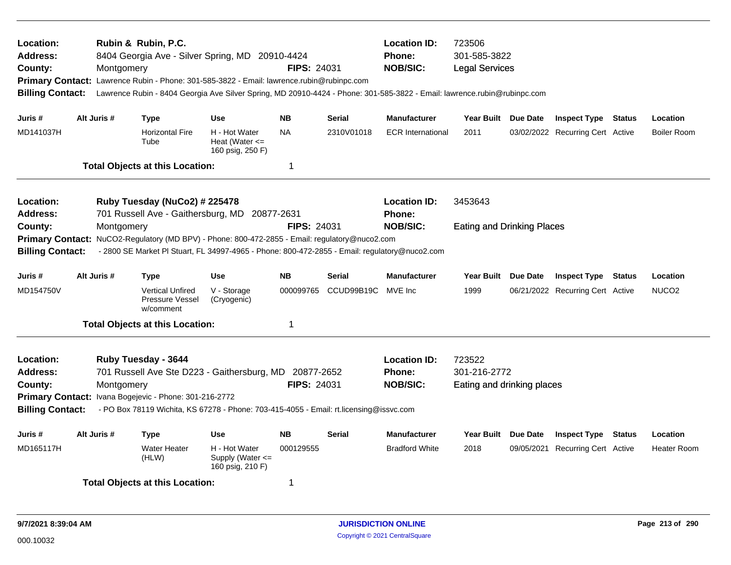| Location:<br><b>Address:</b><br>County:<br><b>Billing Contact:</b>                                                                                                                                                                                                                                                                          | Montgomery                                                                     | Rubin & Rubin, P.C.<br>8404 Georgia Ave - Silver Spring, MD 20910-4424<br>Primary Contact: Lawrence Rubin - Phone: 301-585-3822 - Email: lawrence.rubin@rubinpc.com<br>Lawrence Rubin - 8404 Georgia Ave Silver Spring, MD 20910-4424 - Phone: 301-585-3822 - Email: lawrence.rubin@rubinpc.com |                                                         | <b>FIPS: 24031</b> |               | <b>Location ID:</b><br><b>Phone:</b><br><b>NOB/SIC:</b> | 723506<br>301-585-3822<br><b>Legal Services</b>      |            |                                  |        |                    |
|---------------------------------------------------------------------------------------------------------------------------------------------------------------------------------------------------------------------------------------------------------------------------------------------------------------------------------------------|--------------------------------------------------------------------------------|-------------------------------------------------------------------------------------------------------------------------------------------------------------------------------------------------------------------------------------------------------------------------------------------------|---------------------------------------------------------|--------------------|---------------|---------------------------------------------------------|------------------------------------------------------|------------|----------------------------------|--------|--------------------|
| Juris #                                                                                                                                                                                                                                                                                                                                     | Alt Juris #                                                                    | <b>Type</b>                                                                                                                                                                                                                                                                                     | <b>Use</b>                                              | <b>NB</b>          | <b>Serial</b> | <b>Manufacturer</b>                                     | Year Built Due Date                                  |            | <b>Inspect Type Status</b>       |        | Location           |
| MD141037H                                                                                                                                                                                                                                                                                                                                   |                                                                                | <b>Horizontal Fire</b><br>Tube                                                                                                                                                                                                                                                                  | H - Hot Water<br>Heat (Water $\leq$<br>160 psig, 250 F) | <b>NA</b>          | 2310V01018    | <b>ECR</b> International                                | 2011                                                 |            | 03/02/2022 Recurring Cert Active |        | Boiler Room        |
|                                                                                                                                                                                                                                                                                                                                             |                                                                                | <b>Total Objects at this Location:</b>                                                                                                                                                                                                                                                          |                                                         | $\mathbf 1$        |               |                                                         |                                                      |            |                                  |        |                    |
| Location:<br><b>Address:</b>                                                                                                                                                                                                                                                                                                                | Ruby Tuesday (NuCo2) # 225478<br>701 Russell Ave - Gaithersburg, MD 20877-2631 |                                                                                                                                                                                                                                                                                                 | <b>Location ID:</b><br><b>Phone:</b>                    | 3453643            |               |                                                         |                                                      |            |                                  |        |                    |
| County:<br><b>Billing Contact:</b>                                                                                                                                                                                                                                                                                                          | Montgomery                                                                     | Primary Contact: NuCO2-Regulatory (MD BPV) - Phone: 800-472-2855 - Email: regulatory@nuco2.com<br>- 2800 SE Market PI Stuart, FL 34997-4965 - Phone: 800-472-2855 - Email: regulatory@nuco2.com                                                                                                 |                                                         | <b>FIPS: 24031</b> |               | <b>NOB/SIC:</b>                                         | <b>Eating and Drinking Places</b>                    |            |                                  |        |                    |
| Juris #                                                                                                                                                                                                                                                                                                                                     | Alt Juris #                                                                    | <b>Type</b>                                                                                                                                                                                                                                                                                     | <b>Use</b>                                              | <b>NB</b>          | <b>Serial</b> | <b>Manufacturer</b>                                     | Year Built Due Date                                  |            | <b>Inspect Type Status</b>       |        | Location           |
| MD154750V                                                                                                                                                                                                                                                                                                                                   |                                                                                | <b>Vertical Unfired</b><br><b>Pressure Vessel</b><br>w/comment                                                                                                                                                                                                                                  | V - Storage<br>(Cryogenic)                              | 000099765          | CCUD99B19C    | MVE Inc                                                 | 1999                                                 |            | 06/21/2022 Recurring Cert Active |        | NUCO <sub>2</sub>  |
|                                                                                                                                                                                                                                                                                                                                             |                                                                                | <b>Total Objects at this Location:</b>                                                                                                                                                                                                                                                          |                                                         | $\mathbf 1$        |               |                                                         |                                                      |            |                                  |        |                    |
| Location:<br>Ruby Tuesday - 3644<br><b>Address:</b><br>701 Russell Ave Ste D223 - Gaithersburg, MD 20877-2652<br><b>FIPS: 24031</b><br>County:<br>Montgomery<br>Primary Contact: Ivana Bogejevic - Phone: 301-216-2772<br><b>Billing Contact:</b><br>- PO Box 78119 Wichita, KS 67278 - Phone: 703-415-4055 - Email: rt.licensing@issvc.com |                                                                                |                                                                                                                                                                                                                                                                                                 |                                                         |                    |               | <b>Location ID:</b><br><b>Phone:</b><br><b>NOB/SIC:</b> | 723522<br>301-216-2772<br>Eating and drinking places |            |                                  |        |                    |
| Juris #                                                                                                                                                                                                                                                                                                                                     | Alt Juris #                                                                    | <b>Type</b>                                                                                                                                                                                                                                                                                     | <b>Use</b>                                              | <b>NB</b>          | <b>Serial</b> | <b>Manufacturer</b>                                     | <b>Year Built</b>                                    | Due Date   | <b>Inspect Type</b>              | Status | Location           |
| MD165117H                                                                                                                                                                                                                                                                                                                                   |                                                                                | <b>Water Heater</b><br>(HLW)                                                                                                                                                                                                                                                                    | H - Hot Water<br>Supply (Water <=<br>160 psig, 210 F)   | 000129555          |               | Bradford White                                          | 2018                                                 | 09/05/2021 | <b>Recurring Cert Active</b>     |        | <b>Heater Room</b> |
|                                                                                                                                                                                                                                                                                                                                             |                                                                                | <b>Total Objects at this Location:</b>                                                                                                                                                                                                                                                          |                                                         | 1                  |               |                                                         |                                                      |            |                                  |        |                    |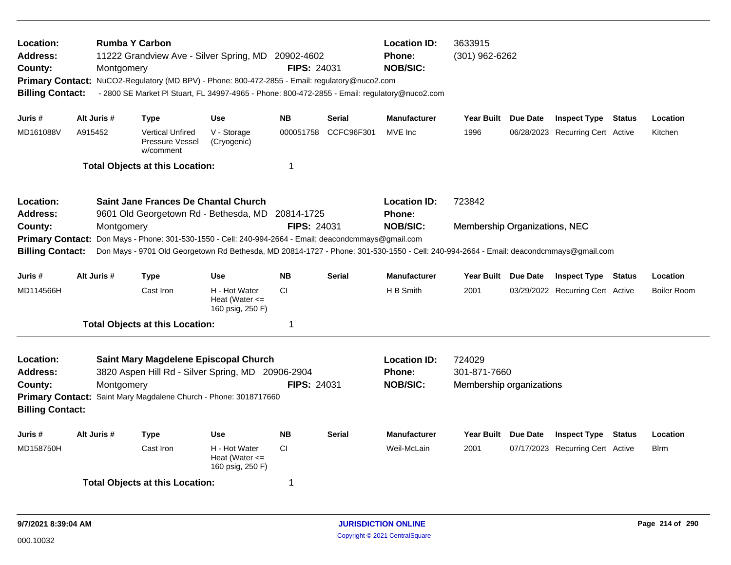| <b>Rumba Y Carbon</b><br>Location:<br><b>Address:</b><br>11222 Grandview Ave - Silver Spring, MD 20902-4602<br>County:<br>Montgomery<br>Primary Contact: NuCO2-Regulatory (MD BPV) - Phone: 800-472-2855 - Email: regulatory@nuco2.com<br>- 2800 SE Market PI Stuart, FL 34997-4965 - Phone: 800-472-2855 - Email: regulatory@nuco2.com<br><b>Billing Contact:</b> |                                                                                                                                                     |                                                                |                                                         | <b>FIPS: 24031</b>      |               | <b>Location ID:</b><br><b>Phone:</b><br><b>NOB/SIC:</b> | 3633915<br>$(301)$ 962-6262                                                                                                                                                               |                     |                                  |        |                    |  |
|--------------------------------------------------------------------------------------------------------------------------------------------------------------------------------------------------------------------------------------------------------------------------------------------------------------------------------------------------------------------|-----------------------------------------------------------------------------------------------------------------------------------------------------|----------------------------------------------------------------|---------------------------------------------------------|-------------------------|---------------|---------------------------------------------------------|-------------------------------------------------------------------------------------------------------------------------------------------------------------------------------------------|---------------------|----------------------------------|--------|--------------------|--|
| Juris #                                                                                                                                                                                                                                                                                                                                                            | Alt Juris #                                                                                                                                         | <b>Type</b>                                                    | <b>Use</b>                                              | <b>NB</b>               | <b>Serial</b> | <b>Manufacturer</b>                                     | Year Built                                                                                                                                                                                | Due Date            | <b>Inspect Type Status</b>       |        | Location           |  |
| MD161088V                                                                                                                                                                                                                                                                                                                                                          | A915452                                                                                                                                             | <b>Vertical Unfired</b><br><b>Pressure Vessel</b><br>w/comment | V - Storage<br>(Cryogenic)                              | 000051758               | CCFC96F301    | MVE Inc                                                 | 1996                                                                                                                                                                                      |                     | 06/28/2023 Recurring Cert Active |        | Kitchen            |  |
|                                                                                                                                                                                                                                                                                                                                                                    |                                                                                                                                                     | <b>Total Objects at this Location:</b>                         |                                                         | $\overline{\mathbf{1}}$ |               |                                                         |                                                                                                                                                                                           |                     |                                  |        |                    |  |
| Saint Jane Frances De Chantal Church<br>Location:<br><b>Address:</b><br>9601 Old Georgetown Rd - Bethesda, MD 20814-1725                                                                                                                                                                                                                                           |                                                                                                                                                     |                                                                |                                                         |                         |               | <b>Location ID:</b><br>Phone:                           | 723842                                                                                                                                                                                    |                     |                                  |        |                    |  |
| County:<br><b>Billing Contact:</b>                                                                                                                                                                                                                                                                                                                                 | <b>FIPS: 24031</b><br>Montgomery<br>Don Mays - Phone: 301-530-1550 - Cell: 240-994-2664 - Email: deacondcmmays@gmail.com<br><b>Primary Contact:</b> |                                                                |                                                         |                         |               |                                                         | <b>NOB/SIC:</b><br>Membership Organizations, NEC<br>Don Mays - 9701 Old Georgetown Rd Bethesda, MD 20814-1727 - Phone: 301-530-1550 - Cell: 240-994-2664 - Email: deacondcmmays@gmail.com |                     |                                  |        |                    |  |
| Juris #                                                                                                                                                                                                                                                                                                                                                            | Alt Juris #                                                                                                                                         | <b>Type</b>                                                    | <b>Use</b>                                              | <b>NB</b>               | <b>Serial</b> | <b>Manufacturer</b>                                     |                                                                                                                                                                                           | Year Built Due Date | <b>Inspect Type Status</b>       |        | <b>Location</b>    |  |
| MD114566H                                                                                                                                                                                                                                                                                                                                                          |                                                                                                                                                     | Cast Iron                                                      | H - Hot Water<br>Heat (Water $\leq$<br>160 psig, 250 F) | <b>CI</b>               |               | H B Smith                                               | 2001                                                                                                                                                                                      |                     | 03/29/2022 Recurring Cert Active |        | <b>Boiler Room</b> |  |
|                                                                                                                                                                                                                                                                                                                                                                    |                                                                                                                                                     | <b>Total Objects at this Location:</b>                         |                                                         | $\overline{\mathbf{1}}$ |               |                                                         |                                                                                                                                                                                           |                     |                                  |        |                    |  |
| Location:<br>Saint Mary Magdelene Episcopal Church<br>3820 Aspen Hill Rd - Silver Spring, MD 20906-2904<br>Address:<br><b>FIPS: 24031</b><br>Montgomery<br>County:<br>Primary Contact: Saint Mary Magdalene Church - Phone: 3018717660<br><b>Billing Contact:</b>                                                                                                  |                                                                                                                                                     |                                                                |                                                         |                         |               | <b>Location ID:</b><br>Phone:<br><b>NOB/SIC:</b>        | 724029<br>301-871-7660<br>Membership organizations                                                                                                                                        |                     |                                  |        |                    |  |
| Juris #                                                                                                                                                                                                                                                                                                                                                            | Alt Juris #                                                                                                                                         | <b>Type</b>                                                    | <b>Use</b>                                              | <b>NB</b>               | <b>Serial</b> | <b>Manufacturer</b>                                     | <b>Year Built</b>                                                                                                                                                                         | Due Date            | <b>Inspect Type</b>              | Status | Location           |  |
| MD158750H                                                                                                                                                                                                                                                                                                                                                          |                                                                                                                                                     | Cast Iron                                                      | H - Hot Water<br>Heat (Water $\leq$<br>160 psig, 250 F) | <b>CI</b>               |               | Weil-McLain                                             | 2001                                                                                                                                                                                      |                     | 07/17/2023 Recurring Cert Active |        | <b>Blrm</b>        |  |
|                                                                                                                                                                                                                                                                                                                                                                    |                                                                                                                                                     | <b>Total Objects at this Location:</b>                         |                                                         | -1                      |               |                                                         |                                                                                                                                                                                           |                     |                                  |        |                    |  |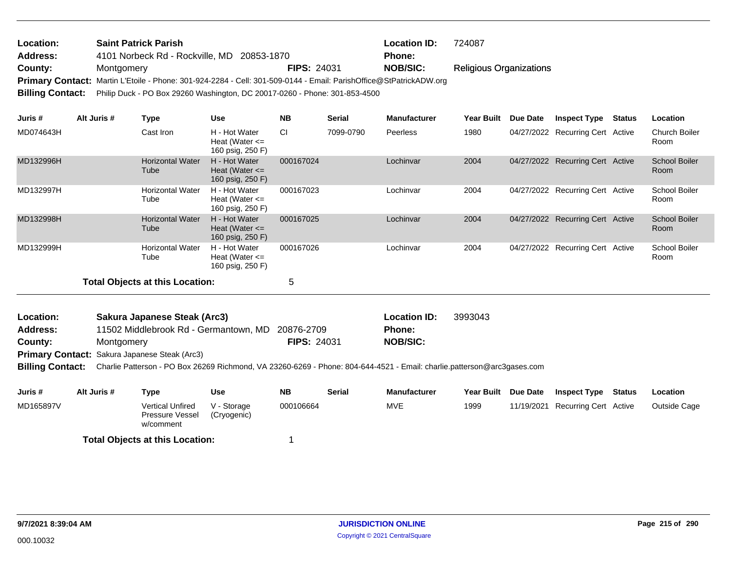| <b>Location:</b> | <b>Saint Patrick Parish</b>                                                                                        |                    | <b>Location ID:</b> | 724087                         |
|------------------|--------------------------------------------------------------------------------------------------------------------|--------------------|---------------------|--------------------------------|
| <b>Address:</b>  | 4101 Norbeck Rd - Rockville, MD 20853-1870                                                                         |                    | <b>Phone:</b>       |                                |
| County:          | Montgomery                                                                                                         | <b>FIPS: 24031</b> | NOB/SIC:            | <b>Religious Organizations</b> |
|                  | Primary Contact: Martin L'Etoile - Phone: 301-924-2284 - Cell: 301-509-0144 - Email: ParishOffice@StPatrickADW.org |                    |                     |                                |
|                  | Billing Contact: Philip Duck - PO Box 29260 Washington, DC 20017-0260 - Phone: 301-853-4500                        |                    |                     |                                |

| Juris #   | Alt Juris # | Type                                   | <b>Use</b>                                              | <b>NB</b> | <b>Serial</b> | <b>Manufacturer</b> | Year Built | <b>Due Date</b> | <b>Inspect Type</b>              | Status | Location                     |
|-----------|-------------|----------------------------------------|---------------------------------------------------------|-----------|---------------|---------------------|------------|-----------------|----------------------------------|--------|------------------------------|
| MD074643H |             | Cast Iron                              | H - Hot Water<br>Heat (Water $\leq$<br>160 psig, 250 F) | <b>CI</b> | 7099-0790     | Peerless            | 1980       |                 | 04/27/2022 Recurring Cert Active |        | <b>Church Boiler</b><br>Room |
| MD132996H |             | <b>Horizontal Water</b><br>Tube        | H - Hot Water<br>Heat (Water $\leq$<br>160 psig, 250 F) | 000167024 |               | Lochinvar           | 2004       |                 | 04/27/2022 Recurring Cert Active |        | <b>School Boiler</b><br>Room |
| MD132997H |             | <b>Horizontal Water</b><br>Tube        | H - Hot Water<br>Heat (Water $\leq$<br>160 psig, 250 F) | 000167023 |               | Lochinvar           | 2004       |                 | 04/27/2022 Recurring Cert Active |        | School Boiler<br>Room        |
| MD132998H |             | <b>Horizontal Water</b><br>Tube        | H - Hot Water<br>Heat (Water $\leq$<br>160 psig, 250 F) | 000167025 |               | Lochinvar           | 2004       |                 | 04/27/2022 Recurring Cert Active |        | <b>School Boiler</b><br>Room |
| MD132999H |             | <b>Horizontal Water</b><br>Tube        | H - Hot Water<br>Heat (Water $\leq$<br>160 psig, 250 F) | 000167026 |               | Lochinvar           | 2004       |                 | 04/27/2022 Recurring Cert Active |        | School Boiler<br>Room        |
|           |             | <b>Total Objects at this Location:</b> |                                                         | 5         |               |                     |            |                 |                                  |        |                              |

| Location:       | Sakura Japanese Steak (Arc3)                         |                    | <b>Location ID:</b> | 3993043 |
|-----------------|------------------------------------------------------|--------------------|---------------------|---------|
| <b>Address:</b> | 11502 Middlebrook Rd - Germantown, MD 20876-2709     |                    | Phone:              |         |
| County:         | Montgomery                                           | <b>FIPS: 24031</b> | <b>NOB/SIC:</b>     |         |
|                 | <b>Primary Contact:</b> Sakura Japanese Steak (Arc3) |                    |                     |         |

**Billing Contact:** Charlie Patterson - PO Box 26269 Richmond, VA 23260-6269 - Phone: 804-644-4521 - Email: charlie.patterson@arc3gases.com

| Juris #                                | Alt Juris # | Type                                             | Use                        | <b>NB</b> | <b>Serial</b> | <b>Manufacturer</b> | Year Built | <b>Due Date</b> | <b>Inspect Type</b>   | Status | Location     |
|----------------------------------------|-------------|--------------------------------------------------|----------------------------|-----------|---------------|---------------------|------------|-----------------|-----------------------|--------|--------------|
| MD165897V                              |             | Vertical Unfired<br>Pressure Vessel<br>w/comment | V - Storage<br>(Cryogenic) | 000106664 |               | <b>MVE</b>          | 1999       | 11/19/2021      | Recurring Cert Active |        | Outside Cage |
| <b>Total Objects at this Location:</b> |             |                                                  |                            |           |               |                     |            |                 |                       |        |              |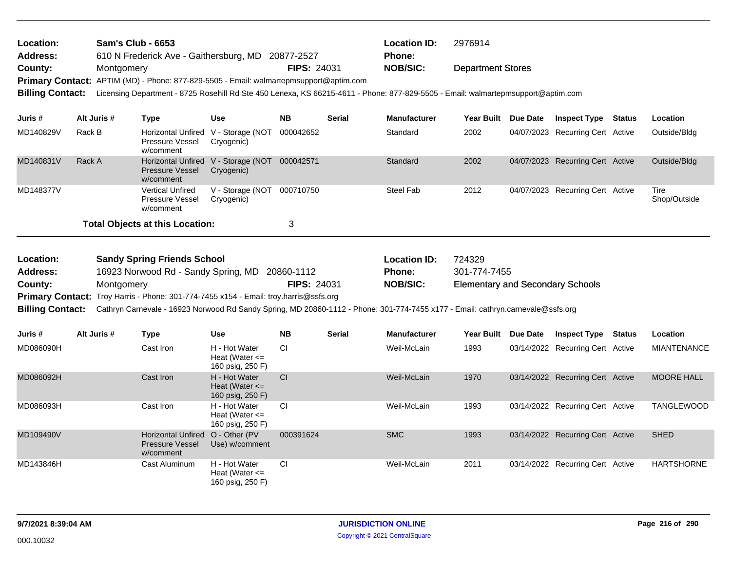| Location: | <b>Sam's Club - 6653</b>                                                                                                            |                    | <b>Location ID:</b> | 2976914                  |
|-----------|-------------------------------------------------------------------------------------------------------------------------------------|--------------------|---------------------|--------------------------|
| Address:  | 610 N Frederick Ave - Gaithersburg, MD 20877-2527                                                                                   |                    | <b>Phone:</b>       |                          |
| County:   | Montgomery                                                                                                                          | <b>FIPS: 24031</b> | NOB/SIC:            | <b>Department Stores</b> |
|           | Primary Contact: APTIM (MD) - Phone: 877-829-5505 - Email: walmartepmsupport@aptim.com                                              |                    |                     |                          |
|           | Dillie Contact: Housing December 0705 Deckill DJ 04-450 Lance 160 00045 4044 Dhouse 077 000 5505. Each understanding of Quality and |                    |                     |                          |

**Billing Contact:** Licensing Department - 8725 Rosehill Rd Ste 450 Lenexa, KS 66215-4611 - Phone: 877-829-5505 - Email: walmartepmsupport@aptim.com

| Juris #   | Alt Juris #                                 | Type                                                                       | <b>Use</b>                     | <b>NB</b> | <b>Serial</b> | <b>Manufacturer</b> | Year Built | Due Date | <b>Inspect Type</b>              | <b>Status</b> | <b>Location</b>      |
|-----------|---------------------------------------------|----------------------------------------------------------------------------|--------------------------------|-----------|---------------|---------------------|------------|----------|----------------------------------|---------------|----------------------|
| MD140829V | Rack B                                      | Horizontal Unfired V - Storage (NOT<br>Pressure Vessel<br>w/comment        | Cryogenic)                     | 000042652 |               | Standard            | 2002       |          | 04/07/2023 Recurring Cert Active |               | Outside/Bldg         |
| MD140831V | Rack A                                      | Horizontal Unfired V - Storage (NOT<br><b>Pressure Vessel</b><br>w/comment | Cryogenic)                     | 000042571 |               | Standard            | 2002       |          | 04/07/2023 Recurring Cert Active |               | Outside/Bldg         |
| MD148377V |                                             | <b>Vertical Unfired</b><br>Pressure Vessel<br>w/comment                    | V - Storage (NOT<br>Cryogenic) | 000710750 |               | Steel Fab           | 2012       |          | 04/07/2023 Recurring Cert Active |               | Tire<br>Shop/Outside |
|           | <b>Total Objects at this Location:</b><br>3 |                                                                            |                                |           |               |                     |            |          |                                  |               |                      |

| Location:               | <b>Sandy Spring Friends School</b>                                                                                              |                    | <b>Location ID:</b> | 724329                                  |  |  |  |  |
|-------------------------|---------------------------------------------------------------------------------------------------------------------------------|--------------------|---------------------|-----------------------------------------|--|--|--|--|
| <b>Address:</b>         | 16923 Norwood Rd - Sandy Spring, MD 20860-1112                                                                                  |                    | <b>Phone:</b>       | 301-774-7455                            |  |  |  |  |
| County:                 | Montgomery                                                                                                                      | <b>FIPS: 24031</b> | <b>NOB/SIC:</b>     | <b>Elementary and Secondary Schools</b> |  |  |  |  |
|                         | <b>Primary Contact:</b> Troy Harris - Phone: 301-774-7455 x154 - Email: troy.harris@ssfs.org                                    |                    |                     |                                         |  |  |  |  |
| <b>Billing Contact:</b> | Cathryn Carnevale - 16923 Norwood Rd Sandy Spring, MD 20860-1112 - Phone: 301-774-7455 x177 - Email: cathryn.carnevale@ssfs.org |                    |                     |                                         |  |  |  |  |

| Juris #   | Alt Juris # | Type                                                             | <b>Use</b>                                              | <b>NB</b> | <b>Serial</b> | <b>Manufacturer</b> | <b>Year Built</b> | Due Date | <b>Inspect Type</b>              | <b>Status</b> | Location           |
|-----------|-------------|------------------------------------------------------------------|---------------------------------------------------------|-----------|---------------|---------------------|-------------------|----------|----------------------------------|---------------|--------------------|
| MD086090H |             | Cast Iron                                                        | H - Hot Water<br>Heat (Water $\leq$<br>160 psig, 250 F) | CI        |               | Weil-McLain         | 1993              |          | 03/14/2022 Recurring Cert Active |               | <b>MIANTENANCE</b> |
| MD086092H |             | Cast Iron                                                        | H - Hot Water<br>Heat (Water $\leq$<br>160 psig, 250 F) | <b>CI</b> |               | Weil-McLain         | 1970              |          | 03/14/2022 Recurring Cert Active |               | <b>MOORE HALL</b>  |
| MD086093H |             | Cast Iron                                                        | H - Hot Water<br>Heat (Water $\leq$<br>160 psig, 250 F) | <b>CI</b> |               | Weil-McLain         | 1993              |          | 03/14/2022 Recurring Cert Active |               | <b>TANGLEWOOD</b>  |
| MD109490V |             | <b>Horizontal Unfired</b><br><b>Pressure Vessel</b><br>w/comment | O - Other (PV)<br>Use) w/comment                        | 000391624 |               | <b>SMC</b>          | 1993              |          | 03/14/2022 Recurring Cert Active |               | <b>SHED</b>        |
| MD143846H |             | Cast Aluminum                                                    | H - Hot Water<br>Heat (Water $\leq$<br>160 psig, 250 F) | <b>CI</b> |               | Weil-McLain         | 2011              |          | 03/14/2022 Recurring Cert Active |               | <b>HARTSHORNE</b>  |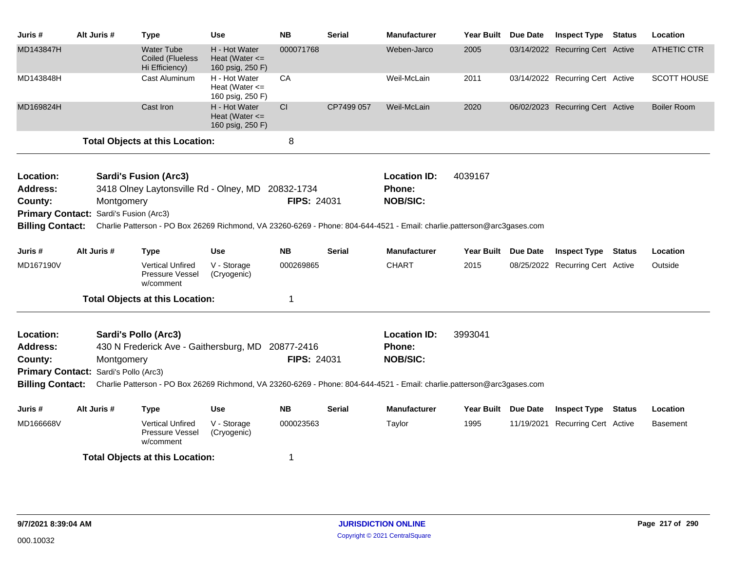| Juris #                                | Alt Juris # |            | <b>Type</b>                                                    | <b>Use</b>                                              | <b>NB</b>          | <b>Serial</b> | <b>Manufacturer</b>                                                                                                                      | <b>Year Built</b> | Due Date        | <b>Inspect Type</b>              | <b>Status</b> | Location           |
|----------------------------------------|-------------|------------|----------------------------------------------------------------|---------------------------------------------------------|--------------------|---------------|------------------------------------------------------------------------------------------------------------------------------------------|-------------------|-----------------|----------------------------------|---------------|--------------------|
| MD143847H                              |             |            | <b>Water Tube</b><br>Coiled (Flueless<br>Hi Efficiency)        | H - Hot Water<br>Heat (Water $\leq$<br>160 psig, 250 F) | 000071768          |               | Weben-Jarco                                                                                                                              | 2005              |                 | 03/14/2022 Recurring Cert Active |               | <b>ATHETIC CTR</b> |
| MD143848H                              |             |            | Cast Aluminum                                                  | H - Hot Water<br>Heat (Water $\leq$<br>160 psig, 250 F) | CA                 |               | Weil-McLain                                                                                                                              | 2011              |                 | 03/14/2022 Recurring Cert Active |               | SCOTT HOUSE        |
| MD169824H                              |             |            | Cast Iron                                                      | H - Hot Water<br>Heat (Water $\leq$<br>160 psig, 250 F) | CI                 | CP7499 057    | Weil-McLain                                                                                                                              | 2020              |                 | 06/02/2023 Recurring Cert Active |               | <b>Boiler Room</b> |
|                                        |             |            | <b>Total Objects at this Location:</b>                         |                                                         | 8                  |               |                                                                                                                                          |                   |                 |                                  |               |                    |
| Location:                              |             |            | <b>Sardi's Fusion (Arc3)</b>                                   |                                                         |                    |               | <b>Location ID:</b>                                                                                                                      | 4039167           |                 |                                  |               |                    |
| Address:                               |             |            | 3418 Olney Laytonsville Rd - Olney, MD                         |                                                         | 20832-1734         |               | Phone:                                                                                                                                   |                   |                 |                                  |               |                    |
| County:                                |             | Montgomery |                                                                |                                                         | <b>FIPS: 24031</b> |               | <b>NOB/SIC:</b>                                                                                                                          |                   |                 |                                  |               |                    |
| Primary Contact: Sardi's Fusion (Arc3) |             |            |                                                                |                                                         |                    |               |                                                                                                                                          |                   |                 |                                  |               |                    |
|                                        |             |            |                                                                |                                                         |                    |               | Billing Contact: Charlie Patterson - PO Box 26269 Richmond, VA 23260-6269 - Phone: 804-644-4521 - Email: charlie.patterson@arc3gases.com |                   |                 |                                  |               |                    |
| Juris #                                | Alt Juris # |            | <b>Type</b>                                                    | <b>Use</b>                                              | <b>NB</b>          | <b>Serial</b> | <b>Manufacturer</b>                                                                                                                      | <b>Year Built</b> | <b>Due Date</b> | <b>Inspect Type</b>              | <b>Status</b> | Location           |
| MD167190V                              |             |            | <b>Vertical Unfired</b><br><b>Pressure Vessel</b><br>w/comment | V - Storage<br>(Cryogenic)                              | 000269865          |               | <b>CHART</b>                                                                                                                             | 2015              |                 | 08/25/2022 Recurring Cert Active |               | Outside            |
|                                        |             |            | <b>Total Objects at this Location:</b>                         |                                                         | 1                  |               |                                                                                                                                          |                   |                 |                                  |               |                    |
| Location:<br><b>Address:</b>           |             |            | Sardi's Pollo (Arc3)<br>430 N Frederick Ave - Gaithersburg, MD |                                                         | 20877-2416         |               | <b>Location ID:</b><br>Phone:                                                                                                            | 3993041           |                 |                                  |               |                    |
| County:                                |             | Montgomery |                                                                |                                                         | FIPS: 24031        |               | <b>NOB/SIC:</b>                                                                                                                          |                   |                 |                                  |               |                    |
| Primary Contact: Sardi's Pollo (Arc3)  |             |            |                                                                |                                                         |                    |               |                                                                                                                                          |                   |                 |                                  |               |                    |
| <b>Billing Contact:</b>                |             |            |                                                                |                                                         |                    |               | Charlie Patterson - PO Box 26269 Richmond, VA 23260-6269 - Phone: 804-644-4521 - Email: charlie.patterson@arc3gases.com                  |                   |                 |                                  |               |                    |
| Juris #                                | Alt Juris # |            | <b>Type</b>                                                    | <b>Use</b>                                              | <b>NB</b>          | <b>Serial</b> | <b>Manufacturer</b>                                                                                                                      | <b>Year Built</b> | <b>Due Date</b> | <b>Inspect Type</b>              | <b>Status</b> | Location           |
| MD166668V                              |             |            | <b>Vertical Unfired</b><br>Pressure Vessel<br>w/comment        | V - Storage<br>(Cryogenic)                              | 000023563          |               | Taylor                                                                                                                                   | 1995              |                 | 11/19/2021 Recurring Cert Active |               | <b>Basement</b>    |
|                                        |             |            | <b>Total Objects at this Location:</b>                         |                                                         | 1                  |               |                                                                                                                                          |                   |                 |                                  |               |                    |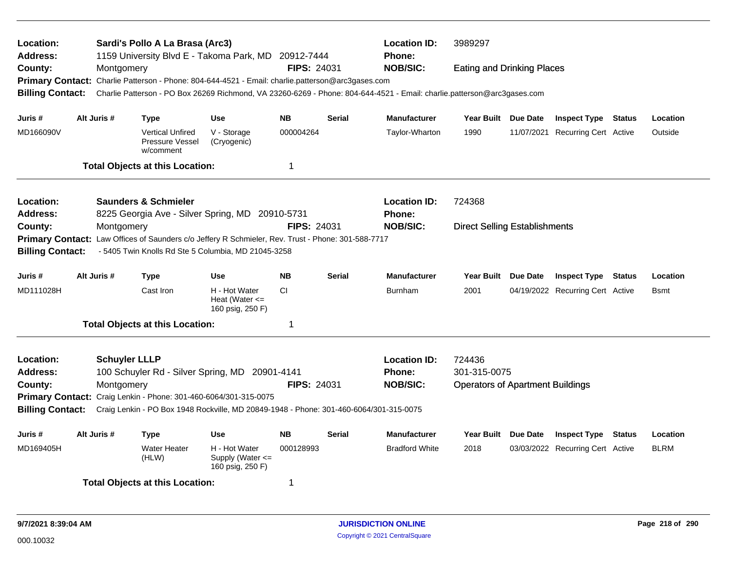| Location:<br><b>Address:</b> |             |                      | Sardi's Pollo A La Brasa (Arc3)                         | 1159 University Blvd E - Takoma Park, MD 20912-7444                                                |                    |               | <b>Location ID:</b><br><b>Phone:</b>                                                                                    | 3989297                                 |          |                                  |        |              |
|------------------------------|-------------|----------------------|---------------------------------------------------------|----------------------------------------------------------------------------------------------------|--------------------|---------------|-------------------------------------------------------------------------------------------------------------------------|-----------------------------------------|----------|----------------------------------|--------|--------------|
| County:                      |             | Montgomery           |                                                         |                                                                                                    | <b>FIPS: 24031</b> |               | <b>NOB/SIC:</b>                                                                                                         | <b>Eating and Drinking Places</b>       |          |                                  |        |              |
|                              |             |                      |                                                         | Primary Contact: Charlie Patterson - Phone: 804-644-4521 - Email: charlie.patterson@arc3gases.com  |                    |               |                                                                                                                         |                                         |          |                                  |        |              |
| <b>Billing Contact:</b>      |             |                      |                                                         |                                                                                                    |                    |               | Charlie Patterson - PO Box 26269 Richmond, VA 23260-6269 - Phone: 804-644-4521 - Email: charlie.patterson@arc3gases.com |                                         |          |                                  |        |              |
| Juris #                      | Alt Juris # |                      | <b>Type</b>                                             | <b>Use</b>                                                                                         | <b>NB</b>          | <b>Serial</b> | <b>Manufacturer</b>                                                                                                     | Year Built Due Date                     |          | <b>Inspect Type Status</b>       |        | Location     |
| MD166090V                    |             |                      | <b>Vertical Unfired</b><br>Pressure Vessel<br>w/comment | V - Storage<br>(Cryogenic)                                                                         | 000004264          |               | Taylor-Wharton                                                                                                          | 1990                                    |          | 11/07/2021 Recurring Cert Active |        | Outside      |
|                              |             |                      | <b>Total Objects at this Location:</b>                  |                                                                                                    | 1                  |               |                                                                                                                         |                                         |          |                                  |        |              |
| Location:                    |             |                      | <b>Saunders &amp; Schmieler</b>                         |                                                                                                    |                    |               | <b>Location ID:</b>                                                                                                     | 724368                                  |          |                                  |        |              |
| <b>Address:</b>              |             |                      |                                                         | 8225 Georgia Ave - Silver Spring, MD 20910-5731                                                    |                    |               | Phone:                                                                                                                  |                                         |          |                                  |        |              |
| County:                      |             | Montgomery           |                                                         |                                                                                                    | <b>FIPS: 24031</b> |               | <b>NOB/SIC:</b>                                                                                                         | <b>Direct Selling Establishments</b>    |          |                                  |        |              |
|                              |             |                      |                                                         | Primary Contact: Law Offices of Saunders c/o Jeffery R Schmieler, Rev. Trust - Phone: 301-588-7717 |                    |               |                                                                                                                         |                                         |          |                                  |        |              |
| <b>Billing Contact:</b>      |             |                      |                                                         | - 5405 Twin Knolls Rd Ste 5 Columbia, MD 21045-3258                                                |                    |               |                                                                                                                         |                                         |          |                                  |        |              |
| Juris #                      | Alt Juris # |                      | <b>Type</b>                                             | <b>Use</b>                                                                                         | <b>NB</b>          | <b>Serial</b> | <b>Manufacturer</b>                                                                                                     | Year Built Due Date                     |          | <b>Inspect Type Status</b>       |        | Location     |
| MD111028H                    |             |                      | Cast Iron                                               | H - Hot Water<br>Heat (Water $\leq$<br>160 psig, 250 F)                                            | CI.                |               | <b>Burnham</b>                                                                                                          | 2001                                    |          | 04/19/2022 Recurring Cert Active |        | <b>B</b> smt |
|                              |             |                      | <b>Total Objects at this Location:</b>                  |                                                                                                    | $\mathbf 1$        |               |                                                                                                                         |                                         |          |                                  |        |              |
| Location:                    |             | <b>Schuyler LLLP</b> |                                                         |                                                                                                    |                    |               | <b>Location ID:</b>                                                                                                     | 724436                                  |          |                                  |        |              |
| <b>Address:</b>              |             |                      |                                                         | 100 Schuyler Rd - Silver Spring, MD 20901-4141                                                     |                    |               | <b>Phone:</b>                                                                                                           | 301-315-0075                            |          |                                  |        |              |
| County:                      |             | Montgomery           |                                                         |                                                                                                    | <b>FIPS: 24031</b> |               | <b>NOB/SIC:</b>                                                                                                         | <b>Operators of Apartment Buildings</b> |          |                                  |        |              |
|                              |             |                      |                                                         | Primary Contact: Craig Lenkin - Phone: 301-460-6064/301-315-0075                                   |                    |               |                                                                                                                         |                                         |          |                                  |        |              |
| <b>Billing Contact:</b>      |             |                      |                                                         | Craig Lenkin - PO Box 1948 Rockville, MD 20849-1948 - Phone: 301-460-6064/301-315-0075             |                    |               |                                                                                                                         |                                         |          |                                  |        |              |
| Juris #                      | Alt Juris # |                      | <b>Type</b>                                             | <b>Use</b>                                                                                         | <b>NB</b>          | Serial        | <b>Manufacturer</b>                                                                                                     | <b>Year Built</b>                       | Due Date | <b>Inspect Type</b>              | Status | Location     |
| MD169405H                    |             |                      | <b>Water Heater</b><br>(HLW)                            | H - Hot Water<br>Supply (Water <=<br>160 psig, 250 F)                                              | 000128993          |               | <b>Bradford White</b>                                                                                                   | 2018                                    |          | 03/03/2022 Recurring Cert Active |        | <b>BLRM</b>  |
|                              |             |                      | <b>Total Objects at this Location:</b>                  |                                                                                                    | 1                  |               |                                                                                                                         |                                         |          |                                  |        |              |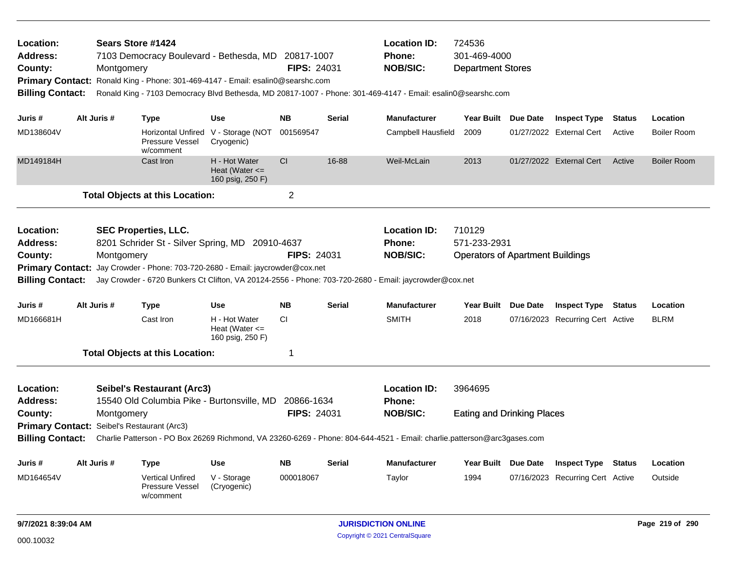| Location:<br><b>Address:</b><br>County:<br><b>Billing Contact:</b>                                                |             | Montgomery | Sears Store #1424<br>7103 Democracy Boulevard - Bethesda, MD<br>Primary Contact: Ronald King - Phone: 301-469-4147 - Email: esalin0@searshc.com |                                                             | 20817-1007<br><b>FIPS: 24031</b> |               | <b>Location ID:</b><br><b>Phone:</b><br><b>NOB/SIC:</b><br>Ronald King - 7103 Democracy Blvd Bethesda, MD 20817-1007 - Phone: 301-469-4147 - Email: esalin0@searshc.com     | 724536<br>301-469-4000<br><b>Department Stores</b>                |                                  |               |                    |
|-------------------------------------------------------------------------------------------------------------------|-------------|------------|-------------------------------------------------------------------------------------------------------------------------------------------------|-------------------------------------------------------------|----------------------------------|---------------|-----------------------------------------------------------------------------------------------------------------------------------------------------------------------------|-------------------------------------------------------------------|----------------------------------|---------------|--------------------|
| Juris #                                                                                                           | Alt Juris # |            | Type                                                                                                                                            | <b>Use</b>                                                  | <b>NB</b>                        | <b>Serial</b> | <b>Manufacturer</b>                                                                                                                                                         | Year Built Due Date                                               | <b>Inspect Type</b>              | <b>Status</b> | Location           |
| MD138604V                                                                                                         |             |            | Pressure Vessel<br>w/comment                                                                                                                    | Horizontal Unfired V - Storage (NOT 001569547<br>Cryogenic) |                                  |               | Campbell Hausfield                                                                                                                                                          | 2009                                                              | 01/27/2022 External Cert         | Active        | <b>Boiler Room</b> |
| MD149184H                                                                                                         |             |            | Cast Iron                                                                                                                                       | H - Hot Water<br>Heat (Water $\leq$<br>160 psig, 250 F)     | <b>CI</b>                        | 16-88         | Weil-McLain                                                                                                                                                                 | 2013                                                              | 01/27/2022 External Cert         | Active        | <b>Boiler Room</b> |
|                                                                                                                   |             |            | <b>Total Objects at this Location:</b>                                                                                                          |                                                             | $\overline{2}$                   |               |                                                                                                                                                                             |                                                                   |                                  |               |                    |
| Location:<br><b>Address:</b><br>County:<br><b>Primary Contact:</b><br><b>Billing Contact:</b>                     |             | Montgomery | <b>SEC Properties, LLC.</b><br>8201 Schrider St - Silver Spring, MD 20910-4637<br>Jay Crowder - Phone: 703-720-2680 - Email: jaycrowder@cox.net |                                                             | <b>FIPS: 24031</b>               |               | <b>Location ID:</b><br><b>Phone:</b><br><b>NOB/SIC:</b><br>Jay Crowder - 6720 Bunkers Ct Clifton, VA 20124-2556 - Phone: 703-720-2680 - Email: jaycrowder@cox.net           | 710129<br>571-233-2931<br><b>Operators of Apartment Buildings</b> |                                  |               |                    |
| Juris #                                                                                                           | Alt Juris # |            | Type                                                                                                                                            | <b>Use</b>                                                  | <b>NB</b>                        | <b>Serial</b> | <b>Manufacturer</b>                                                                                                                                                         | Year Built Due Date                                               | <b>Inspect Type Status</b>       |               | Location           |
| MD166681H                                                                                                         |             |            | Cast Iron                                                                                                                                       | H - Hot Water<br>Heat (Water $\leq$<br>160 psig, 250 F)     | CI.                              |               | <b>SMITH</b>                                                                                                                                                                | 2018                                                              | 07/16/2023 Recurring Cert Active |               | <b>BLRM</b>        |
|                                                                                                                   |             |            | <b>Total Objects at this Location:</b>                                                                                                          |                                                             | $\mathbf{1}$                     |               |                                                                                                                                                                             |                                                                   |                                  |               |                    |
| Location:<br><b>Address:</b><br>County:<br>Primary Contact: Seibel's Restaurant (Arc3)<br><b>Billing Contact:</b> |             | Montgomery | <b>Seibel's Restaurant (Arc3)</b><br>15540 Old Columbia Pike - Burtonsville, MD                                                                 |                                                             | 20866-1634<br><b>FIPS: 24031</b> |               | <b>Location ID:</b><br>Phone:<br><b>NOB/SIC:</b><br>Charlie Patterson - PO Box 26269 Richmond, VA 23260-6269 - Phone: 804-644-4521 - Email: charlie.patterson@arc3gases.com | 3964695<br><b>Eating and Drinking Places</b>                      |                                  |               |                    |
| Juris #                                                                                                           | Alt Juris # |            | Type                                                                                                                                            | <b>Use</b>                                                  | <b>NB</b>                        | <b>Serial</b> | <b>Manufacturer</b>                                                                                                                                                         | Year Built Due Date                                               | <b>Inspect Type Status</b>       |               | Location           |
| MD164654V                                                                                                         |             |            | <b>Vertical Unfired</b><br>Pressure Vessel<br>w/comment                                                                                         | V - Storage<br>(Cryogenic)                                  | 000018067                        |               | Taylor                                                                                                                                                                      | 1994                                                              | 07/16/2023 Recurring Cert Active |               | Outside            |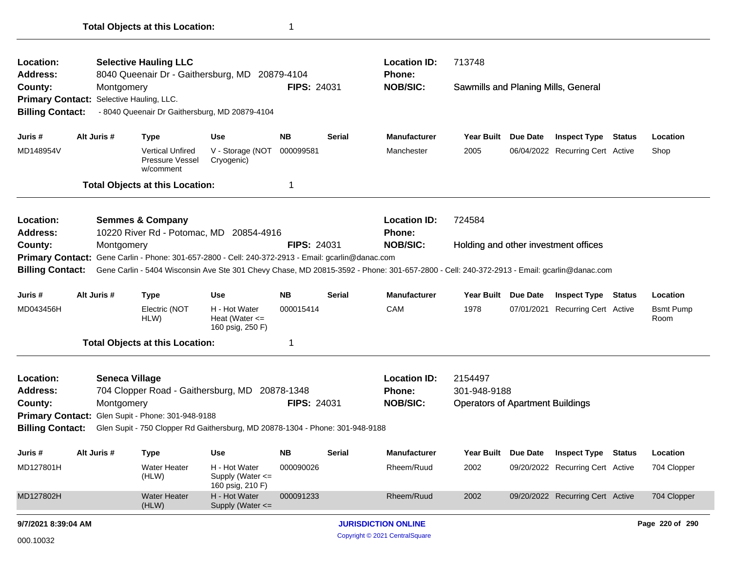| <b>Location:</b><br>Address:                                                                                                |  |                       | <b>Selective Hauling LLC</b><br>8040 Queenair Dr - Gaithersburg, MD 20879-4104 |                                                           |                    |               | <b>Location ID:</b><br>Phone:                                                                                                             | 713748                                  |                 |                                  |                          |
|-----------------------------------------------------------------------------------------------------------------------------|--|-----------------------|--------------------------------------------------------------------------------|-----------------------------------------------------------|--------------------|---------------|-------------------------------------------------------------------------------------------------------------------------------------------|-----------------------------------------|-----------------|----------------------------------|--------------------------|
| County:                                                                                                                     |  | Montgomery            |                                                                                |                                                           | <b>FIPS: 24031</b> |               | <b>NOB/SIC:</b>                                                                                                                           | Sawmills and Planing Mills, General     |                 |                                  |                          |
| Primary Contact: Selective Hauling, LLC.                                                                                    |  |                       |                                                                                |                                                           |                    |               |                                                                                                                                           |                                         |                 |                                  |                          |
| <b>Billing Contact:</b>                                                                                                     |  |                       | - 8040 Queenair Dr Gaithersburg, MD 20879-4104                                 |                                                           |                    |               |                                                                                                                                           |                                         |                 |                                  |                          |
| Juris #                                                                                                                     |  | Alt Juris #           | <b>Type</b>                                                                    | <b>Use</b>                                                | <b>NB</b>          | Serial        | <b>Manufacturer</b>                                                                                                                       | <b>Year Built</b>                       | Due Date        | <b>Inspect Type Status</b>       | Location                 |
| MD148954V                                                                                                                   |  |                       | <b>Vertical Unfired</b><br>Pressure Vessel<br>w/comment                        | V - Storage (NOT<br>Cryogenic)                            | 000099581          |               | Manchester                                                                                                                                | 2005                                    |                 | 06/04/2022 Recurring Cert Active | Shop                     |
|                                                                                                                             |  |                       | <b>Total Objects at this Location:</b>                                         |                                                           | $\mathbf 1$        |               |                                                                                                                                           |                                         |                 |                                  |                          |
| Location:<br>Address:                                                                                                       |  |                       | <b>Semmes &amp; Company</b><br>10220 River Rd - Potomac, MD 20854-4916         |                                                           |                    |               | <b>Location ID:</b><br>Phone:                                                                                                             | 724584                                  |                 |                                  |                          |
| County:<br>Montgomery<br>Primary Contact: Gene Carlin - Phone: 301-657-2800 - Cell: 240-372-2913 - Email: gcarlin@danac.com |  |                       |                                                                                |                                                           | <b>FIPS: 24031</b> |               | <b>NOB/SIC:</b>                                                                                                                           | Holding and other investment offices    |                 |                                  |                          |
|                                                                                                                             |  |                       |                                                                                |                                                           |                    |               |                                                                                                                                           |                                         |                 |                                  |                          |
| <b>Billing Contact:</b>                                                                                                     |  |                       |                                                                                |                                                           |                    |               | Gene Carlin - 5404 Wisconsin Ave Ste 301 Chevy Chase, MD 20815-3592 - Phone: 301-657-2800 - Cell: 240-372-2913 - Email: gcarlin@danac.com |                                         |                 |                                  |                          |
| Juris #                                                                                                                     |  | Alt Juris #           | Type                                                                           | <b>Use</b>                                                | <b>NB</b>          | <b>Serial</b> | <b>Manufacturer</b>                                                                                                                       | Year Built                              | <b>Due Date</b> | <b>Inspect Type Status</b>       | Location                 |
| MD043456H                                                                                                                   |  |                       | Electric (NOT<br>HLW)                                                          | H - Hot Water<br>Heat (Water $\leq$<br>160 psig, 250 F)   | 000015414          |               | CAM                                                                                                                                       | 1978                                    | 07/01/2021      | <b>Recurring Cert Active</b>     | <b>Bsmt Pump</b><br>Room |
|                                                                                                                             |  |                       | <b>Total Objects at this Location:</b>                                         |                                                           | 1                  |               |                                                                                                                                           |                                         |                 |                                  |                          |
| <b>Location:</b>                                                                                                            |  | <b>Seneca Village</b> |                                                                                |                                                           |                    |               | <b>Location ID:</b>                                                                                                                       | 2154497                                 |                 |                                  |                          |
| <b>Address:</b>                                                                                                             |  |                       | 704 Clopper Road - Gaithersburg, MD 20878-1348                                 |                                                           |                    |               | Phone:                                                                                                                                    | 301-948-9188                            |                 |                                  |                          |
| County:                                                                                                                     |  | Montgomery            |                                                                                |                                                           | <b>FIPS: 24031</b> |               | <b>NOB/SIC:</b>                                                                                                                           | <b>Operators of Apartment Buildings</b> |                 |                                  |                          |
| <b>Primary Contact:</b>                                                                                                     |  |                       | Glen Supit - Phone: 301-948-9188                                               |                                                           |                    |               |                                                                                                                                           |                                         |                 |                                  |                          |
| <b>Billing Contact:</b>                                                                                                     |  |                       | Glen Supit - 750 Clopper Rd Gaithersburg, MD 20878-1304 - Phone: 301-948-9188  |                                                           |                    |               |                                                                                                                                           |                                         |                 |                                  |                          |
| Juris #                                                                                                                     |  | Alt Juris #           | <b>Type</b>                                                                    | <b>Use</b>                                                | <b>NB</b>          | <b>Serial</b> | <b>Manufacturer</b>                                                                                                                       | <b>Year Built</b>                       | Due Date        | <b>Inspect Type Status</b>       | Location                 |
| MD127801H                                                                                                                   |  |                       | <b>Water Heater</b><br>(HLW)                                                   | H - Hot Water<br>Supply (Water $\leq$<br>160 psig, 210 F) | 000090026          |               | Rheem/Ruud                                                                                                                                | 2002                                    |                 | 09/20/2022 Recurring Cert Active | 704 Clopper              |
| MD127802H                                                                                                                   |  |                       | <b>Water Heater</b><br>(HLW)                                                   | H - Hot Water<br>Supply (Water $\leq$                     | 000091233          |               | Rheem/Ruud                                                                                                                                | 2002                                    |                 | 09/20/2022 Recurring Cert Active | 704 Clopper              |
| 9/7/2021 8:39:04 AM                                                                                                         |  |                       |                                                                                |                                                           |                    |               | <b>JURISDICTION ONLINE</b>                                                                                                                |                                         |                 |                                  | Page 220 of 290          |

Copyright © 2021 CentralSquare 000.10032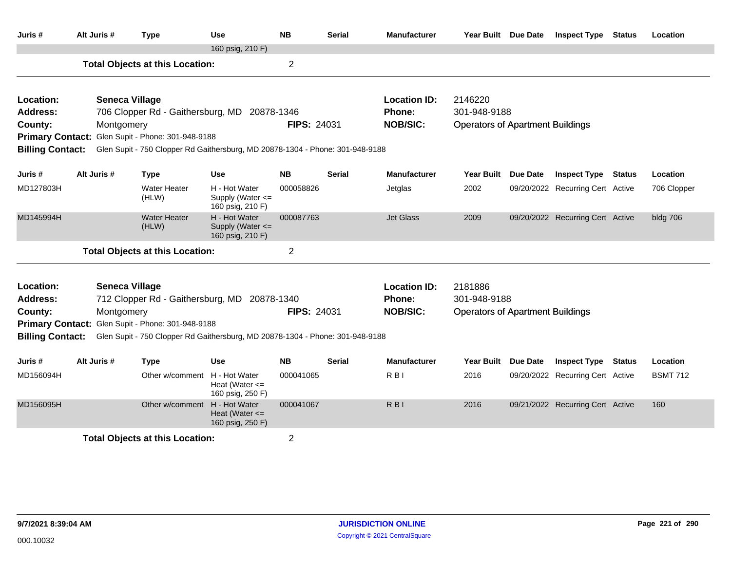| Juris #                                            | Alt Juris # | <b>Type</b>                                                                                                       | Use                                                     | <b>NB</b>      | Serial        | <b>Manufacturer</b>       | Year Built Due Date                                     |                 | <b>Inspect Type</b>              | <b>Status</b> | Location        |
|----------------------------------------------------|-------------|-------------------------------------------------------------------------------------------------------------------|---------------------------------------------------------|----------------|---------------|---------------------------|---------------------------------------------------------|-----------------|----------------------------------|---------------|-----------------|
|                                                    |             | <b>Total Objects at this Location:</b>                                                                            | 160 psig, 210 F)                                        | $\overline{2}$ |               |                           |                                                         |                 |                                  |               |                 |
| Location:                                          |             | <b>Seneca Village</b>                                                                                             |                                                         |                |               | <b>Location ID:</b>       | 2146220                                                 |                 |                                  |               |                 |
| <b>Address:</b><br>County:                         | Montgomery  | 706 Clopper Rd - Gaithersburg, MD                                                                                 | 20878-1346                                              | FIPS: 24031    |               | Phone:<br><b>NOB/SIC:</b> | 301-948-9188<br><b>Operators of Apartment Buildings</b> |                 |                                  |               |                 |
|                                                    |             | Primary Contact: Glen Supit - Phone: 301-948-9188                                                                 |                                                         |                |               |                           |                                                         |                 |                                  |               |                 |
| <b>Billing Contact:</b>                            |             | Glen Supit - 750 Clopper Rd Gaithersburg, MD 20878-1304 - Phone: 301-948-9188                                     |                                                         |                |               |                           |                                                         |                 |                                  |               |                 |
| Juris #                                            | Alt Juris # | <b>Type</b>                                                                                                       | Use                                                     | <b>NB</b>      | Serial        | <b>Manufacturer</b>       | <b>Year Built</b>                                       | <b>Due Date</b> | <b>Inspect Type</b>              | <b>Status</b> | Location        |
| MD127803H                                          |             | <b>Water Heater</b><br>(HLW)                                                                                      | H - Hot Water<br>Supply (Water <=<br>160 psig, 210 F)   | 000058826      |               | Jetglas                   | 2002                                                    |                 | 09/20/2022 Recurring Cert Active |               | 706 Clopper     |
| MD145994H                                          |             | <b>Water Heater</b><br>(HLW)                                                                                      | H - Hot Water<br>Supply (Water <=<br>160 psig, 210 F)   | 000087763      |               | <b>Jet Glass</b>          | 2009                                                    |                 | 09/20/2022 Recurring Cert Active |               | bldg 706        |
|                                                    |             | <b>Total Objects at this Location:</b>                                                                            |                                                         | $\overline{c}$ |               |                           |                                                         |                 |                                  |               |                 |
| Location:                                          |             | <b>Seneca Village</b>                                                                                             |                                                         |                |               | <b>Location ID:</b>       | 2181886                                                 |                 |                                  |               |                 |
| <b>Address:</b>                                    |             | 712 Clopper Rd - Gaithersburg, MD 20878-1340                                                                      |                                                         |                |               | Phone:                    | 301-948-9188                                            |                 |                                  |               |                 |
| County:                                            | Montgomery  |                                                                                                                   |                                                         | FIPS: 24031    |               | <b>NOB/SIC:</b>           | <b>Operators of Apartment Buildings</b>                 |                 |                                  |               |                 |
| <b>Primary Contact:</b><br><b>Billing Contact:</b> |             | Glen Supit - Phone: 301-948-9188<br>Glen Supit - 750 Clopper Rd Gaithersburg, MD 20878-1304 - Phone: 301-948-9188 |                                                         |                |               |                           |                                                         |                 |                                  |               |                 |
| Juris #                                            | Alt Juris # | <b>Type</b>                                                                                                       | <b>Use</b>                                              | <b>NB</b>      | <b>Serial</b> | <b>Manufacturer</b>       | <b>Year Built</b>                                       | Due Date        | <b>Inspect Type Status</b>       |               | Location        |
| MD156094H                                          |             | Other w/comment                                                                                                   | H - Hot Water<br>Heat (Water $\leq$<br>160 psig, 250 F) | 000041065      |               | $R$ <sub>B</sub> $\vert$  | 2016                                                    |                 | 09/20/2022 Recurring Cert Active |               | <b>BSMT 712</b> |
| MD156095H                                          |             | Other w/comment                                                                                                   | H - Hot Water<br>Heat (Water $\leq$<br>160 psig, 250 F) | 000041067      |               | <b>RBI</b>                | 2016                                                    |                 | 09/21/2022 Recurring Cert Active |               | 160             |
|                                                    |             | <b>Total Objects at this Location:</b>                                                                            |                                                         | $\overline{2}$ |               |                           |                                                         |                 |                                  |               |                 |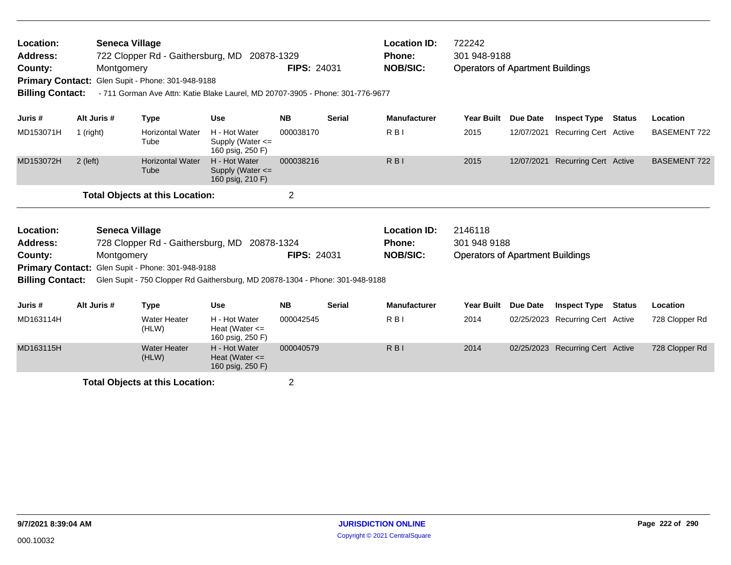| Location:<br><b>Address:</b><br>County:<br><b>Primary Contact:</b><br><b>Billing Contact:</b> |             | <b>Seneca Village</b><br>722 Clopper Rd - Gaithersburg, MD 20878-1329<br>Montgomery<br>Glen Supit - Phone: 301-948-9188<br>- 711 Gorman Ave Attn: Katie Blake Laurel, MD 20707-3905 - Phone: 301-776-9677 |                                                         | <b>FIPS: 24031</b> |               | <b>Location ID:</b><br><b>Phone:</b><br><b>NOB/SIC:</b> | 722242<br>301 948-9188<br><b>Operators of Apartment Buildings</b> |                 |                                  |               |                     |
|-----------------------------------------------------------------------------------------------|-------------|-----------------------------------------------------------------------------------------------------------------------------------------------------------------------------------------------------------|---------------------------------------------------------|--------------------|---------------|---------------------------------------------------------|-------------------------------------------------------------------|-----------------|----------------------------------|---------------|---------------------|
| Juris #                                                                                       | Alt Juris # | <b>Type</b>                                                                                                                                                                                               | <b>Use</b>                                              | <b>NB</b>          | <b>Serial</b> | <b>Manufacturer</b>                                     | <b>Year Built</b>                                                 | <b>Due Date</b> | <b>Inspect Type</b>              | <b>Status</b> | Location            |
| MD153071H                                                                                     | 1 (right)   | <b>Horizontal Water</b><br>Tube                                                                                                                                                                           | H - Hot Water<br>Supply (Water <=<br>160 psig, 250 F)   | 000038170          |               | $R$ <sub>B</sub> $\mid$                                 | 2015                                                              | 12/07/2021      | <b>Recurring Cert Active</b>     |               | <b>BASEMENT 722</b> |
| MD153072H                                                                                     | $2$ (left)  | <b>Horizontal Water</b><br>Tube                                                                                                                                                                           | H - Hot Water<br>Supply (Water <=<br>160 psig, 210 F)   | 000038216          |               | $R$ <sub>B</sub> $\vert$                                | 2015                                                              | 12/07/2021      | <b>Recurring Cert Active</b>     |               | <b>BASEMENT 722</b> |
|                                                                                               |             | <b>Total Objects at this Location:</b>                                                                                                                                                                    |                                                         | $\overline{2}$     |               |                                                         |                                                                   |                 |                                  |               |                     |
| Location:                                                                                     |             | Seneca Village                                                                                                                                                                                            |                                                         |                    |               | <b>Location ID:</b>                                     | 2146118                                                           |                 |                                  |               |                     |
| <b>Address:</b><br>County:                                                                    |             | 728 Clopper Rd - Gaithersburg, MD<br>Montgomery                                                                                                                                                           | 20878-1324                                              | <b>FIPS: 24031</b> |               | <b>Phone:</b><br><b>NOB/SIC:</b>                        | 301 948 9188<br><b>Operators of Apartment Buildings</b>           |                 |                                  |               |                     |
|                                                                                               |             | Primary Contact: Glen Supit - Phone: 301-948-9188                                                                                                                                                         |                                                         |                    |               |                                                         |                                                                   |                 |                                  |               |                     |
| <b>Billing Contact:</b>                                                                       |             | Glen Supit - 750 Clopper Rd Gaithersburg, MD 20878-1304 - Phone: 301-948-9188                                                                                                                             |                                                         |                    |               |                                                         |                                                                   |                 |                                  |               |                     |
| Juris #                                                                                       | Alt Juris # | <b>Type</b>                                                                                                                                                                                               | <b>Use</b>                                              | <b>NB</b>          | <b>Serial</b> | <b>Manufacturer</b>                                     | <b>Year Built</b>                                                 | <b>Due Date</b> | <b>Inspect Type</b>              | <b>Status</b> | Location            |
| MD163114H                                                                                     |             | <b>Water Heater</b><br>(HLW)                                                                                                                                                                              | H - Hot Water<br>Heat (Water $\leq$<br>160 psig, 250 F) | 000042545          |               | R <sub>BI</sub>                                         | 2014                                                              | 02/25/2023      | <b>Recurring Cert Active</b>     |               | 728 Clopper Rd      |
| MD163115H                                                                                     |             | <b>Water Heater</b><br>(HLW)                                                                                                                                                                              | H - Hot Water<br>Heat (Water $\leq$<br>160 psig, 250 F) | 000040579          |               | $R$ <sub>B</sub> $\vert$                                | 2014                                                              |                 | 02/25/2023 Recurring Cert Active |               | 728 Clopper Rd      |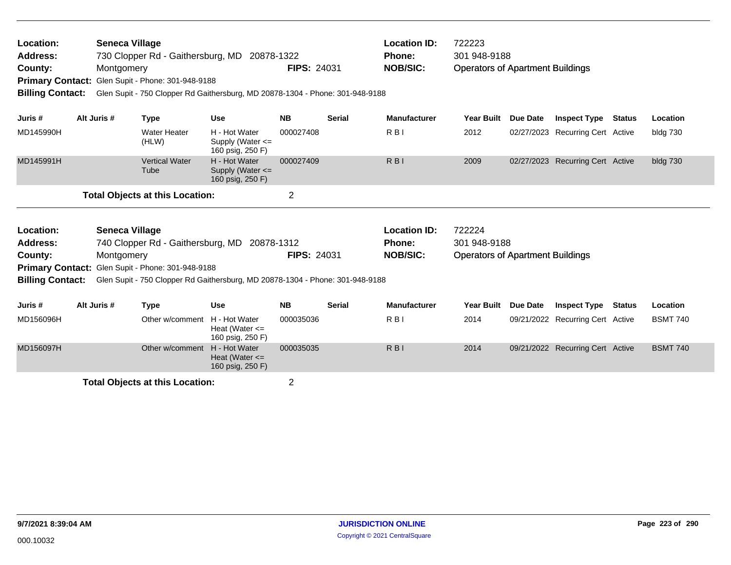| Location:<br>Address:<br>County:<br><b>Billing Contact:</b>                                                                                            |             | Seneca Village<br>Montgomery | 730 Clopper Rd - Gaithersburg, MD 20878-1322<br>Primary Contact: Glen Supit - Phone: 301-948-9188<br>Glen Supit - 750 Clopper Rd Gaithersburg, MD 20878-1304 - Phone: 301-948-9188 |                                                           | <b>FIPS: 24031</b> |               | <b>Location ID:</b><br>Phone:<br><b>NOB/SIC:</b> | 722223<br>301 948-9188<br><b>Operators of Apartment Buildings</b> |                 |                                  |               |                 |
|--------------------------------------------------------------------------------------------------------------------------------------------------------|-------------|------------------------------|------------------------------------------------------------------------------------------------------------------------------------------------------------------------------------|-----------------------------------------------------------|--------------------|---------------|--------------------------------------------------|-------------------------------------------------------------------|-----------------|----------------------------------|---------------|-----------------|
| Juris #                                                                                                                                                | Alt Juris # |                              | <b>Type</b>                                                                                                                                                                        | <b>Use</b>                                                | <b>NB</b>          | <b>Serial</b> | <b>Manufacturer</b>                              | Year Built                                                        | <b>Due Date</b> | <b>Inspect Type Status</b>       |               | Location        |
| MD145990H                                                                                                                                              |             |                              | <b>Water Heater</b><br>(HLW)                                                                                                                                                       | H - Hot Water<br>Supply (Water $\leq$<br>160 psig, 250 F) | 000027408          |               | R <sub>B</sub>                                   | 2012                                                              |                 | 02/27/2023 Recurring Cert Active |               | bldg 730        |
| MD145991H                                                                                                                                              |             |                              | <b>Vertical Water</b><br>Tube                                                                                                                                                      | H - Hot Water<br>Supply (Water <=<br>160 psig, 250 F)     | 000027409          |               | R <sub>B</sub> I                                 | 2009                                                              |                 | 02/27/2023 Recurring Cert Active |               | bldg 730        |
|                                                                                                                                                        |             |                              |                                                                                                                                                                                    |                                                           | $\overline{2}$     |               |                                                  |                                                                   |                 |                                  |               |                 |
| <b>Total Objects at this Location:</b><br><b>Seneca Village</b><br>Location:<br>Address:<br>740 Clopper Rd - Gaithersburg, MD 20878-1312<br>Montgomery |             |                              |                                                                                                                                                                                    |                                                           |                    |               | <b>Location ID:</b><br><b>Phone:</b>             | 722224<br>301 948-9188                                            |                 |                                  |               |                 |
| County:                                                                                                                                                |             |                              | Primary Contact: Glen Supit - Phone: 301-948-9188                                                                                                                                  |                                                           | <b>FIPS: 24031</b> |               | <b>NOB/SIC:</b>                                  | <b>Operators of Apartment Buildings</b>                           |                 |                                  |               |                 |
| <b>Billing Contact:</b>                                                                                                                                |             |                              | Glen Supit - 750 Clopper Rd Gaithersburg, MD 20878-1304 - Phone: 301-948-9188                                                                                                      |                                                           |                    |               |                                                  |                                                                   |                 |                                  |               |                 |
| Juris #                                                                                                                                                | Alt Juris # |                              | <b>Type</b>                                                                                                                                                                        | <b>Use</b>                                                | <b>NB</b>          | <b>Serial</b> | <b>Manufacturer</b>                              | <b>Year Built</b>                                                 | Due Date        | <b>Inspect Type</b>              | <b>Status</b> | Location        |
| MD156096H                                                                                                                                              |             |                              | Other w/comment                                                                                                                                                                    | H - Hot Water<br>Heat (Water $\leq$<br>160 psig, 250 F)   | 000035036          |               | $R$ <sub>B</sub>                                 | 2014                                                              |                 | 09/21/2022 Recurring Cert Active |               | <b>BSMT 740</b> |
| MD156097H                                                                                                                                              |             |                              | Other w/comment                                                                                                                                                                    | H - Hot Water<br>Heat (Water $\leq$<br>160 psig, 250 F)   | 000035035          |               | $R$ <sub>B</sub> $\vert$                         | 2014                                                              |                 | 09/21/2022 Recurring Cert Active |               | <b>BSMT 740</b> |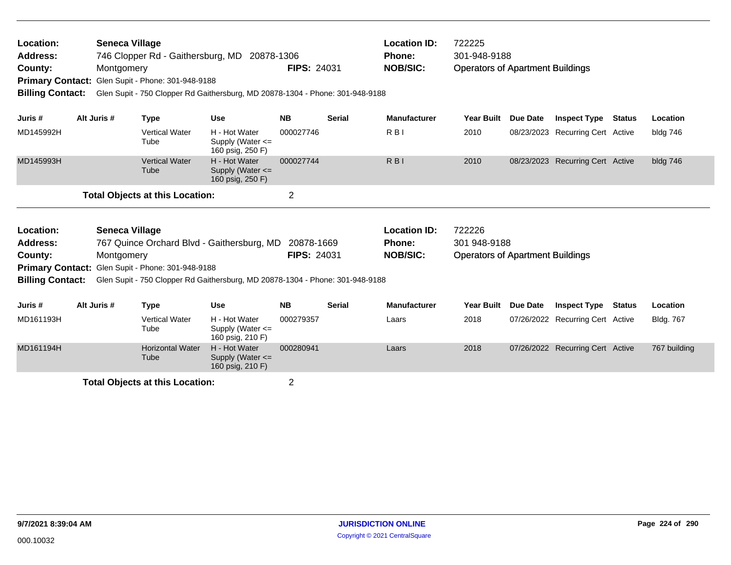| Location:<br><b>Address:</b><br>County:<br><b>Billing Contact:</b> | <b>Seneca Village</b><br>Montgomery | Primary Contact: Glen Supit - Phone: 301-948-9188 | 746 Clopper Rd - Gaithersburg, MD 20878-1306<br>Glen Supit - 750 Clopper Rd Gaithersburg, MD 20878-1304 - Phone: 301-948-9188 | <b>FIPS: 24031</b> |               | <b>Location ID:</b><br>Phone:<br><b>NOB/SIC:</b> | 722225<br>301-948-9188<br><b>Operators of Apartment Buildings</b> |                 |                                  |               |                  |
|--------------------------------------------------------------------|-------------------------------------|---------------------------------------------------|-------------------------------------------------------------------------------------------------------------------------------|--------------------|---------------|--------------------------------------------------|-------------------------------------------------------------------|-----------------|----------------------------------|---------------|------------------|
| Juris #                                                            | Alt Juris #                         | <b>Type</b>                                       | <b>Use</b>                                                                                                                    | <b>NB</b>          | <b>Serial</b> | <b>Manufacturer</b>                              | <b>Year Built</b>                                                 | Due Date        | <b>Inspect Type</b>              | Status        | Location         |
| MD145992H                                                          |                                     | <b>Vertical Water</b><br>Tube                     | H - Hot Water<br>Supply (Water $\leq$<br>160 psig, 250 F)                                                                     | 000027746          |               | R <sub>BI</sub>                                  | 2010                                                              |                 | 08/23/2023 Recurring Cert Active |               | bldg 746         |
| MD145993H                                                          |                                     | <b>Vertical Water</b><br>Tube                     | H - Hot Water<br>Supply (Water <=<br>160 psig, 250 F)                                                                         | 000027744          |               | $R$ <sub>B</sub> $\vert$                         | 2010                                                              |                 | 08/23/2023 Recurring Cert Active |               | bldg 746         |
|                                                                    |                                     | <b>Total Objects at this Location:</b>            |                                                                                                                               | $\overline{c}$     |               |                                                  |                                                                   |                 |                                  |               |                  |
| Location:                                                          | <b>Seneca Village</b>               |                                                   |                                                                                                                               |                    |               | <b>Location ID:</b>                              | 722226                                                            |                 |                                  |               |                  |
| <b>Address:</b>                                                    |                                     |                                                   | 767 Quince Orchard Blvd - Gaithersburg, MD                                                                                    | 20878-1669         |               | <b>Phone:</b>                                    | 301 948-9188                                                      |                 |                                  |               |                  |
| County:                                                            | Montgomery                          |                                                   |                                                                                                                               | <b>FIPS: 24031</b> |               | <b>NOB/SIC:</b>                                  | <b>Operators of Apartment Buildings</b>                           |                 |                                  |               |                  |
| <b>Billing Contact:</b>                                            |                                     | Primary Contact: Glen Supit - Phone: 301-948-9188 | Glen Supit - 750 Clopper Rd Gaithersburg, MD 20878-1304 - Phone: 301-948-9188                                                 |                    |               |                                                  |                                                                   |                 |                                  |               |                  |
| Juris #                                                            | Alt Juris #                         | <b>Type</b>                                       | <b>Use</b>                                                                                                                    | <b>NB</b>          | <b>Serial</b> | <b>Manufacturer</b>                              | <b>Year Built</b>                                                 | <b>Due Date</b> | <b>Inspect Type</b>              | <b>Status</b> | Location         |
| MD161193H                                                          |                                     | <b>Vertical Water</b><br>Tube                     | H - Hot Water<br>Supply (Water <=<br>160 psig, 210 F)                                                                         | 000279357          |               | Laars                                            | 2018                                                              |                 | 07/26/2022 Recurring Cert Active |               | <b>Bldg. 767</b> |
| MD161194H                                                          |                                     | <b>Horizontal Water</b><br>Tube                   | H - Hot Water<br>Supply (Water $\leq$<br>160 psig, 210 F)                                                                     | 000280941          |               | Laars                                            | 2018                                                              |                 | 07/26/2022 Recurring Cert Active |               | 767 building     |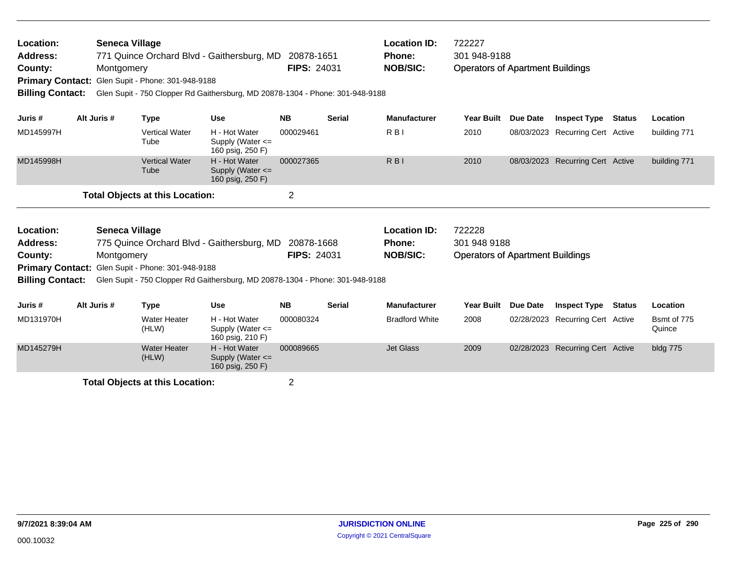| Location:<br><b>Address:</b><br>County:<br><b>Primary Contact:</b><br><b>Billing Contact:</b> | <b>Seneca Village</b><br>Montgomery | Glen Supit - Phone: 301-948-9188                  | 771 Quince Orchard Blvd - Gaithersburg, MD 20878-1651<br>Glen Supit - 750 Clopper Rd Gaithersburg, MD 20878-1304 - Phone: 301-948-9188 | <b>FIPS: 24031</b> |               | <b>Location ID:</b><br>Phone:<br><b>NOB/SIC:</b> | 722227<br>301 948-9188<br><b>Operators of Apartment Buildings</b> |          |                                  |               |                       |
|-----------------------------------------------------------------------------------------------|-------------------------------------|---------------------------------------------------|----------------------------------------------------------------------------------------------------------------------------------------|--------------------|---------------|--------------------------------------------------|-------------------------------------------------------------------|----------|----------------------------------|---------------|-----------------------|
| Juris #                                                                                       | Alt Juris #                         | <b>Type</b>                                       | <b>Use</b>                                                                                                                             | <b>NB</b>          | <b>Serial</b> | <b>Manufacturer</b>                              | Year Built                                                        | Due Date | <b>Inspect Type Status</b>       |               | Location              |
| MD145997H                                                                                     |                                     | <b>Vertical Water</b><br>Tube                     | H - Hot Water<br>Supply (Water $\leq$<br>160 psig, 250 F)                                                                              | 000029461          |               | R <sub>BI</sub>                                  | 2010                                                              |          | 08/03/2023 Recurring Cert Active |               | building 771          |
| MD145998H                                                                                     |                                     | <b>Vertical Water</b><br>Tube                     | H - Hot Water<br>Supply (Water $\leq$<br>160 psig, 250 F)                                                                              | 000027365          |               | R <sub>BI</sub>                                  | 2010                                                              |          | 08/03/2023 Recurring Cert Active |               | building 771          |
|                                                                                               |                                     | <b>Total Objects at this Location:</b>            |                                                                                                                                        | $\overline{c}$     |               |                                                  |                                                                   |          |                                  |               |                       |
| Location:<br><b>Address:</b>                                                                  | <b>Seneca Village</b>               |                                                   | 775 Quince Orchard Blvd - Gaithersburg, MD                                                                                             | 20878-1668         |               | <b>Location ID:</b><br>Phone:                    | 722228<br>301 948 9188                                            |          |                                  |               |                       |
| County:                                                                                       | Montgomery                          |                                                   |                                                                                                                                        | <b>FIPS: 24031</b> |               | <b>NOB/SIC:</b>                                  | <b>Operators of Apartment Buildings</b>                           |          |                                  |               |                       |
| <b>Billing Contact:</b>                                                                       |                                     | Primary Contact: Glen Supit - Phone: 301-948-9188 | Glen Supit - 750 Clopper Rd Gaithersburg, MD 20878-1304 - Phone: 301-948-9188                                                          |                    |               |                                                  |                                                                   |          |                                  |               |                       |
| Juris #                                                                                       | Alt Juris #                         | <b>Type</b>                                       | <b>Use</b>                                                                                                                             | <b>NB</b>          | <b>Serial</b> | <b>Manufacturer</b>                              | <b>Year Built</b>                                                 | Due Date | <b>Inspect Type</b>              | <b>Status</b> | Location              |
| MD131970H                                                                                     |                                     | <b>Water Heater</b><br>(HLW)                      | H - Hot Water<br>Supply (Water <=<br>160 psig, 210 F)                                                                                  | 000080324          |               | <b>Bradford White</b>                            | 2008                                                              |          | 02/28/2023 Recurring Cert Active |               | Bsmt of 775<br>Quince |
| MD145279H                                                                                     |                                     | <b>Water Heater</b><br>(HLW)                      | H - Hot Water<br>Supply (Water $\leq$<br>160 psig, 250 F)                                                                              | 000089665          |               | <b>Jet Glass</b>                                 | 2009                                                              |          | 02/28/2023 Recurring Cert Active |               | bldg 775              |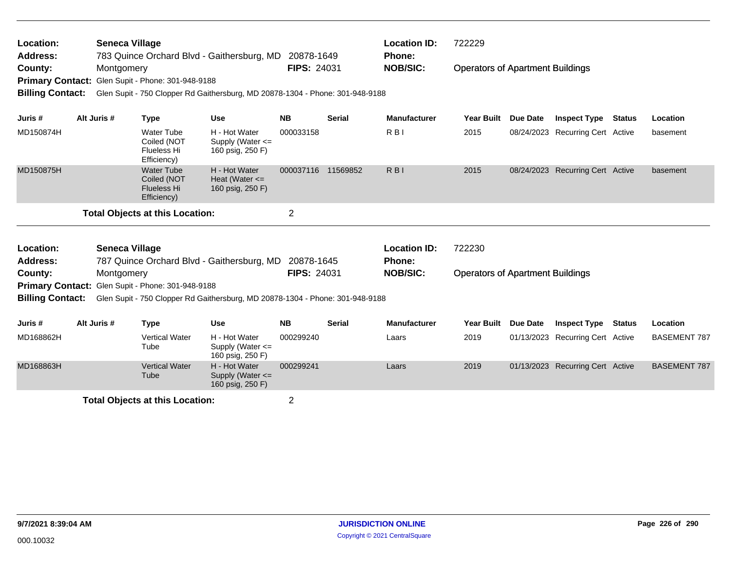| Location:<br><b>Address:</b><br>County:<br><b>Billing Contact:</b> | <b>Seneca Village</b><br>Montgomery | Primary Contact: Glen Supit - Phone: 301-948-9188                     | 783 Quince Orchard Blvd - Gaithersburg, MD 20878-1649<br>Glen Supit - 750 Clopper Rd Gaithersburg, MD 20878-1304 - Phone: 301-948-9188 | <b>FIPS: 24031</b> |               | <b>Location ID:</b><br>Phone:<br><b>NOB/SIC:</b> | 722229<br><b>Operators of Apartment Buildings</b> |                 |                                  |               |                     |
|--------------------------------------------------------------------|-------------------------------------|-----------------------------------------------------------------------|----------------------------------------------------------------------------------------------------------------------------------------|--------------------|---------------|--------------------------------------------------|---------------------------------------------------|-----------------|----------------------------------|---------------|---------------------|
| Juris #                                                            | Alt Juris #                         | <b>Type</b>                                                           | <b>Use</b>                                                                                                                             | <b>NB</b>          | <b>Serial</b> | <b>Manufacturer</b>                              | <b>Year Built</b>                                 | Due Date        | <b>Inspect Type Status</b>       |               | Location            |
| MD150874H                                                          |                                     | <b>Water Tube</b><br>Coiled (NOT<br><b>Flueless Hi</b><br>Efficiency) | H - Hot Water<br>Supply (Water <=<br>160 psig, 250 F)                                                                                  | 000033158          |               | R <sub>BI</sub>                                  | 2015                                              |                 | 08/24/2023 Recurring Cert Active |               | basement            |
| MD150875H                                                          |                                     | <b>Water Tube</b><br>Coiled (NOT<br><b>Flueless Hi</b><br>Efficiency) | H - Hot Water<br>Heat (Water $\leq$<br>160 psig, 250 F)                                                                                | 000037116 11569852 |               | R <sub>BI</sub>                                  | 2015                                              |                 | 08/24/2023 Recurring Cert Active |               | basement            |
|                                                                    |                                     | <b>Total Objects at this Location:</b>                                |                                                                                                                                        | 2                  |               |                                                  |                                                   |                 |                                  |               |                     |
| Location:                                                          | <b>Seneca Village</b>               |                                                                       |                                                                                                                                        |                    |               | <b>Location ID:</b>                              | 722230                                            |                 |                                  |               |                     |
| <b>Address:</b><br>County:                                         | Montgomery                          | Primary Contact: Glen Supit - Phone: 301-948-9188                     | 787 Quince Orchard Blvd - Gaithersburg, MD 20878-1645                                                                                  | <b>FIPS: 24031</b> |               | <b>Phone:</b><br><b>NOB/SIC:</b>                 | <b>Operators of Apartment Buildings</b>           |                 |                                  |               |                     |
| <b>Billing Contact:</b>                                            |                                     |                                                                       | Glen Supit - 750 Clopper Rd Gaithersburg, MD 20878-1304 - Phone: 301-948-9188                                                          |                    |               |                                                  |                                                   |                 |                                  |               |                     |
| Juris #                                                            | Alt Juris #                         | <b>Type</b>                                                           | <b>Use</b>                                                                                                                             | <b>NB</b>          | <b>Serial</b> | <b>Manufacturer</b>                              | <b>Year Built</b>                                 | <b>Due Date</b> | <b>Inspect Type</b>              | <b>Status</b> | Location            |
| MD168862H                                                          |                                     | <b>Vertical Water</b><br>Tube                                         | H - Hot Water<br>Supply (Water <=<br>160 psig, 250 F)                                                                                  | 000299240          |               | Laars                                            | 2019                                              |                 | 01/13/2023 Recurring Cert Active |               | <b>BASEMENT 787</b> |
| MD168863H                                                          |                                     | <b>Vertical Water</b><br>Tube                                         | H - Hot Water<br>Supply (Water <=<br>160 psig, 250 F)                                                                                  | 000299241          |               | Laars                                            | 2019                                              |                 | 01/13/2023 Recurring Cert Active |               | <b>BASEMENT 787</b> |
|                                                                    |                                     | <b>Total Objects at this Location:</b>                                |                                                                                                                                        | $\overline{2}$     |               |                                                  |                                                   |                 |                                  |               |                     |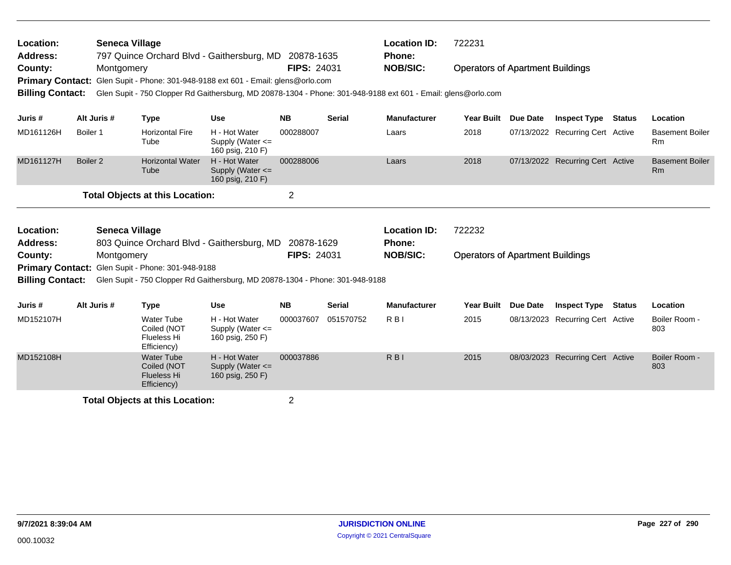| Location:<br><b>Address:</b>       |                     | <b>Seneca Village</b> |                                                                       | 797 Quince Orchard Blvd - Gaithersburg, MD 20878-1635                             |                    |               | <b>Location ID:</b><br>Phone:                                                                                                    | 722231                                  |                 |                                  |               |                                     |
|------------------------------------|---------------------|-----------------------|-----------------------------------------------------------------------|-----------------------------------------------------------------------------------|--------------------|---------------|----------------------------------------------------------------------------------------------------------------------------------|-----------------------------------------|-----------------|----------------------------------|---------------|-------------------------------------|
| County:<br><b>Billing Contact:</b> |                     | Montgomery            |                                                                       | Primary Contact: Glen Supit - Phone: 301-948-9188 ext 601 - Email: glens@orlo.com | <b>FIPS: 24031</b> |               | <b>NOB/SIC:</b><br>Glen Supit - 750 Clopper Rd Gaithersburg, MD 20878-1304 - Phone: 301-948-9188 ext 601 - Email: glens@orlo.com | <b>Operators of Apartment Buildings</b> |                 |                                  |               |                                     |
| Juris#                             | Alt Juris #         |                       | <b>Type</b>                                                           | <b>Use</b>                                                                        | <b>NB</b>          | <b>Serial</b> | <b>Manufacturer</b>                                                                                                              | <b>Year Built</b>                       | Due Date        | <b>Inspect Type</b>              | <b>Status</b> | Location                            |
| MD161126H                          | Boiler 1            |                       | <b>Horizontal Fire</b><br>Tube                                        | H - Hot Water<br>Supply (Water $\leq$<br>160 psig, 210 F)                         | 000288007          |               | Laars                                                                                                                            | 2018                                    |                 | 07/13/2022 Recurring Cert Active |               | <b>Basement Boiler</b><br><b>Rm</b> |
| MD161127H                          | Boiler <sub>2</sub> |                       | <b>Horizontal Water</b><br>Tube                                       | H - Hot Water<br>Supply (Water <=<br>160 psig, 210 F)                             | 000288006          |               | Laars                                                                                                                            | 2018                                    |                 | 07/13/2022 Recurring Cert Active |               | <b>Basement Boiler</b><br>Rm        |
|                                    |                     |                       | <b>Total Objects at this Location:</b>                                |                                                                                   | 2                  |               |                                                                                                                                  |                                         |                 |                                  |               |                                     |
| Location:                          |                     | <b>Seneca Village</b> |                                                                       |                                                                                   |                    |               | <b>Location ID:</b>                                                                                                              | 722232                                  |                 |                                  |               |                                     |
| <b>Address:</b>                    |                     |                       |                                                                       | 803 Quince Orchard Blvd - Gaithersburg, MD 20878-1629                             |                    |               | <b>Phone:</b>                                                                                                                    |                                         |                 |                                  |               |                                     |
| County:                            |                     | Montgomery            |                                                                       |                                                                                   | <b>FIPS: 24031</b> |               | <b>NOB/SIC:</b>                                                                                                                  | <b>Operators of Apartment Buildings</b> |                 |                                  |               |                                     |
|                                    |                     |                       | Primary Contact: Glen Supit - Phone: 301-948-9188                     |                                                                                   |                    |               |                                                                                                                                  |                                         |                 |                                  |               |                                     |
| <b>Billing Contact:</b>            |                     |                       |                                                                       | Glen Supit - 750 Clopper Rd Gaithersburg, MD 20878-1304 - Phone: 301-948-9188     |                    |               |                                                                                                                                  |                                         |                 |                                  |               |                                     |
| Juris #                            | Alt Juris #         |                       | <b>Type</b>                                                           | <b>Use</b>                                                                        | <b>NB</b>          | Serial        | <b>Manufacturer</b>                                                                                                              | <b>Year Built</b>                       | <b>Due Date</b> | <b>Inspect Type</b>              | <b>Status</b> | Location                            |
| MD152107H                          |                     |                       | <b>Water Tube</b><br>Coiled (NOT<br><b>Flueless Hi</b><br>Efficiency) | H - Hot Water<br>Supply (Water $\leq$<br>160 psig, 250 F)                         | 000037607          | 051570752     | R <sub>BI</sub>                                                                                                                  | 2015                                    |                 | 08/13/2023 Recurring Cert Active |               | Boiler Room -<br>803                |
| MD152108H                          |                     |                       | <b>Water Tube</b><br>Coiled (NOT<br><b>Flueless Hi</b><br>Efficiency) | H - Hot Water<br>Supply (Water <=<br>160 psig, 250 F)                             | 000037886          |               | $R$ <sub>B</sub> $\vert$                                                                                                         | 2015                                    |                 | 08/03/2023 Recurring Cert Active |               | Boiler Room -<br>803                |
|                                    |                     |                       | <b>Total Objects at this Location:</b>                                |                                                                                   | $\overline{2}$     |               |                                                                                                                                  |                                         |                 |                                  |               |                                     |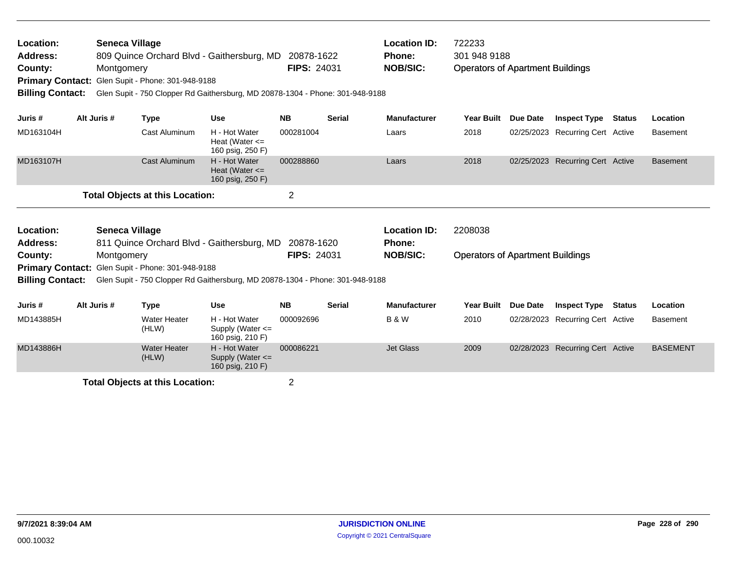| Location:<br>Address:<br>County:<br><b>Billing Contact:</b> | <b>Seneca Village</b><br>Montgomery | Primary Contact: Glen Supit - Phone: 301-948-9188 | 809 Quince Orchard Blvd - Gaithersburg, MD 20878-1622<br>Glen Supit - 750 Clopper Rd Gaithersburg, MD 20878-1304 - Phone: 301-948-9188 | <b>FIPS: 24031</b> |               | <b>Location ID:</b><br>Phone:<br><b>NOB/SIC:</b> | 722233<br>301 948 9188<br><b>Operators of Apartment Buildings</b> |          |                                  |               |                 |
|-------------------------------------------------------------|-------------------------------------|---------------------------------------------------|----------------------------------------------------------------------------------------------------------------------------------------|--------------------|---------------|--------------------------------------------------|-------------------------------------------------------------------|----------|----------------------------------|---------------|-----------------|
| Juris #                                                     | Alt Juris #                         | <b>Type</b>                                       | <b>Use</b>                                                                                                                             | <b>NB</b>          | <b>Serial</b> | <b>Manufacturer</b>                              | Year Built                                                        | Due Date | <b>Inspect Type</b>              | Status        | Location        |
| MD163104H                                                   |                                     | <b>Cast Aluminum</b>                              | H - Hot Water<br>Heat (Water $\leq$<br>160 psig, 250 F)                                                                                | 000281004          |               | Laars                                            | 2018                                                              |          | 02/25/2023 Recurring Cert Active |               | <b>Basement</b> |
| MD163107H                                                   |                                     | <b>Cast Aluminum</b>                              | H - Hot Water<br>Heat (Water $\leq$<br>160 psig, 250 F)                                                                                | 000288860          |               | Laars                                            | 2018                                                              |          | 02/25/2023 Recurring Cert Active |               | <b>Basement</b> |
|                                                             |                                     | <b>Total Objects at this Location:</b>            |                                                                                                                                        | $\overline{2}$     |               |                                                  |                                                                   |          |                                  |               |                 |
| Location:                                                   | <b>Seneca Village</b>               |                                                   |                                                                                                                                        |                    |               | <b>Location ID:</b>                              | 2208038                                                           |          |                                  |               |                 |
| <b>Address:</b><br>County:                                  | Montgomery                          |                                                   | 811 Quince Orchard Blvd - Gaithersburg, MD 20878-1620                                                                                  | <b>FIPS: 24031</b> |               | <b>Phone:</b><br><b>NOB/SIC:</b>                 | <b>Operators of Apartment Buildings</b>                           |          |                                  |               |                 |
| <b>Billing Contact:</b>                                     |                                     | Primary Contact: Glen Supit - Phone: 301-948-9188 | Glen Supit - 750 Clopper Rd Gaithersburg, MD 20878-1304 - Phone: 301-948-9188                                                          |                    |               |                                                  |                                                                   |          |                                  |               |                 |
| Juris #                                                     | Alt Juris #                         | <b>Type</b>                                       | <b>Use</b>                                                                                                                             | <b>NB</b>          | <b>Serial</b> | <b>Manufacturer</b>                              | <b>Year Built</b>                                                 | Due Date | <b>Inspect Type</b>              | <b>Status</b> | Location        |
| MD143885H                                                   |                                     | <b>Water Heater</b><br>(HLW)                      | H - Hot Water<br>Supply (Water $\leq$<br>160 psig, 210 F)                                                                              | 000092696          |               | <b>B&amp;W</b>                                   | 2010                                                              |          | 02/28/2023 Recurring Cert Active |               | <b>Basement</b> |
| MD143886H                                                   |                                     | <b>Water Heater</b><br>(HLW)                      | H - Hot Water<br>Supply (Water $\leq$<br>160 psig, 210 F)                                                                              | 000086221          |               | <b>Jet Glass</b>                                 | 2009                                                              |          | 02/28/2023 Recurring Cert Active |               | <b>BASEMENT</b> |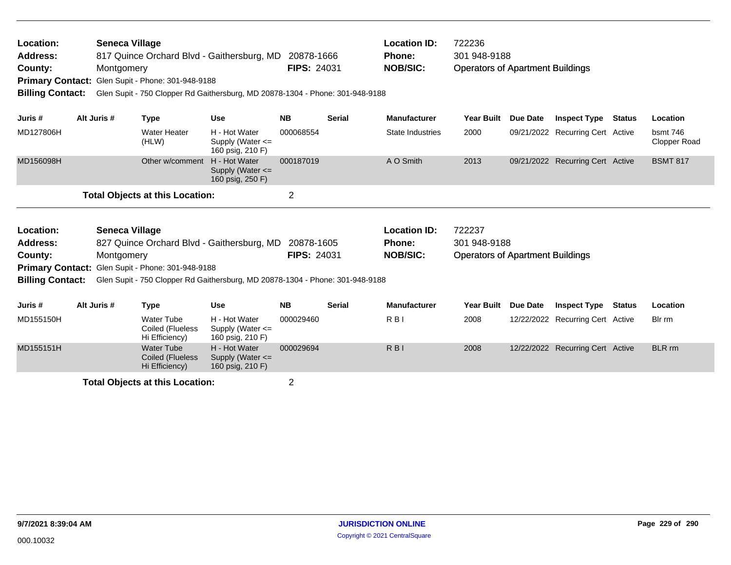| Location:<br><b>Address:</b><br>County: | <b>Seneca Village</b><br>817 Quince Orchard Blvd - Gaithersburg, MD 20878-1666<br>Montgomery<br>Primary Contact: Glen Supit - Phone: 301-948-9188<br><b>Billing Contact:</b><br>Glen Supit - 750 Clopper Rd Gaithersburg, MD 20878-1304 - Phone: 301-948-9188 |                       |                                                         |                                                                               | <b>FIPS: 24031</b> |               | <b>Location ID:</b><br><b>Phone:</b><br><b>NOB/SIC:</b> | 722236<br>301 948-9188<br><b>Operators of Apartment Buildings</b> |                 |                                  |               |                          |
|-----------------------------------------|---------------------------------------------------------------------------------------------------------------------------------------------------------------------------------------------------------------------------------------------------------------|-----------------------|---------------------------------------------------------|-------------------------------------------------------------------------------|--------------------|---------------|---------------------------------------------------------|-------------------------------------------------------------------|-----------------|----------------------------------|---------------|--------------------------|
| Juris #                                 |                                                                                                                                                                                                                                                               | Alt Juris #           | <b>Type</b>                                             | <b>Use</b>                                                                    | <b>NB</b>          | <b>Serial</b> | <b>Manufacturer</b>                                     | Year Built                                                        | <b>Due Date</b> | <b>Inspect Type</b>              | <b>Status</b> | Location                 |
| MD127806H                               |                                                                                                                                                                                                                                                               |                       | <b>Water Heater</b><br>(HLW)                            | H - Hot Water<br>Supply (Water <=<br>160 psig, 210 F)                         | 000068554          |               | <b>State Industries</b>                                 | 2000                                                              |                 | 09/21/2022 Recurring Cert Active |               | bsmt 746<br>Clopper Road |
| MD156098H                               |                                                                                                                                                                                                                                                               |                       | Other w/comment                                         | H - Hot Water<br>Supply (Water $\leq$<br>160 psig, 250 F)                     | 000187019          |               | A O Smith                                               | 2013                                                              |                 | 09/21/2022 Recurring Cert Active |               | <b>BSMT 817</b>          |
|                                         |                                                                                                                                                                                                                                                               |                       | <b>Total Objects at this Location:</b>                  |                                                                               | $\overline{2}$     |               |                                                         |                                                                   |                 |                                  |               |                          |
| Location:                               |                                                                                                                                                                                                                                                               | <b>Seneca Village</b> |                                                         |                                                                               |                    |               | <b>Location ID:</b>                                     | 722237                                                            |                 |                                  |               |                          |
| <b>Address:</b>                         |                                                                                                                                                                                                                                                               |                       |                                                         | 827 Quince Orchard Blvd - Gaithersburg, MD 20878-1605                         | <b>FIPS: 24031</b> |               | <b>Phone:</b>                                           | 301 948-9188                                                      |                 |                                  |               |                          |
| County:                                 |                                                                                                                                                                                                                                                               | Montgomery            | Primary Contact: Glen Supit - Phone: 301-948-9188       |                                                                               |                    |               | <b>NOB/SIC:</b>                                         | <b>Operators of Apartment Buildings</b>                           |                 |                                  |               |                          |
| <b>Billing Contact:</b>                 |                                                                                                                                                                                                                                                               |                       |                                                         | Glen Supit - 750 Clopper Rd Gaithersburg, MD 20878-1304 - Phone: 301-948-9188 |                    |               |                                                         |                                                                   |                 |                                  |               |                          |
| Juris #                                 |                                                                                                                                                                                                                                                               | Alt Juris #           | <b>Type</b>                                             | <b>Use</b>                                                                    | <b>NB</b>          | <b>Serial</b> | <b>Manufacturer</b>                                     | <b>Year Built</b>                                                 | Due Date        | <b>Inspect Type</b>              | Status        | Location                 |
| MD155150H                               |                                                                                                                                                                                                                                                               |                       | <b>Water Tube</b><br>Coiled (Flueless<br>Hi Efficiency) | H - Hot Water<br>Supply (Water $\leq$<br>160 psig, 210 F)                     | 000029460          |               | R <sub>BI</sub>                                         | 2008                                                              |                 | 12/22/2022 Recurring Cert Active |               | Blr rm                   |
| MD155151H                               |                                                                                                                                                                                                                                                               |                       | <b>Water Tube</b><br>Coiled (Flueless<br>Hi Efficiency) | H - Hot Water<br>Supply (Water <=<br>160 psig, 210 F)                         | 000029694          |               | $R$ <sub>B</sub>                                        | 2008                                                              |                 | 12/22/2022 Recurring Cert Active |               | <b>BLR</b> rm            |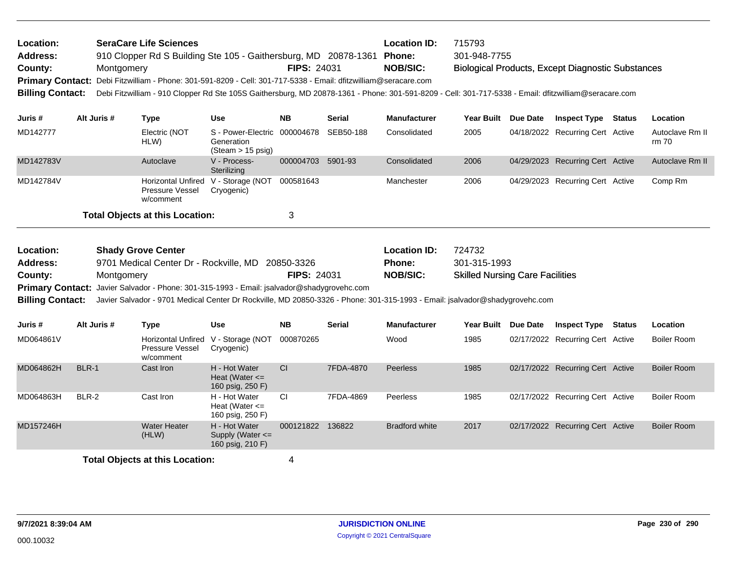| Location:<br><b>Address:</b><br>County:<br><b>Primary Contact:</b><br><b>Billing Contact:</b> |                                                                                                                                                                                                      | Montgomery  | <b>SeraCare Life Sciences</b><br>910 Clopper Rd S Building Ste 105 - Gaithersburg, MD 20878-1361 Phone:<br>Debi Fitzwilliam - Phone: 301-591-8209 - Cell: 301-717-5338 - Email: dfitzwilliam@seracare.com |                                                                           | <b>FIPS: 24031</b> |               | <b>Location ID:</b><br><b>NOB/SIC:</b><br>Debi Fitzwilliam - 910 Clopper Rd Ste 105S Gaithersburg, MD 20878-1361 - Phone: 301-591-8209 - Cell: 301-717-5338 - Email: dfitzwilliam@seracare.com | 715793<br>301-948-7755                                           | <b>Biological Products, Except Diagnostic Substances</b> |               |                          |
|-----------------------------------------------------------------------------------------------|------------------------------------------------------------------------------------------------------------------------------------------------------------------------------------------------------|-------------|-----------------------------------------------------------------------------------------------------------------------------------------------------------------------------------------------------------|---------------------------------------------------------------------------|--------------------|---------------|------------------------------------------------------------------------------------------------------------------------------------------------------------------------------------------------|------------------------------------------------------------------|----------------------------------------------------------|---------------|--------------------------|
| Juris #                                                                                       |                                                                                                                                                                                                      | Alt Juris # | <b>Type</b>                                                                                                                                                                                               | <b>Use</b>                                                                | <b>NB</b>          | Serial        | <b>Manufacturer</b>                                                                                                                                                                            | Year Built Due Date                                              | <b>Inspect Type Status</b>                               |               | Location                 |
| MD142777                                                                                      |                                                                                                                                                                                                      |             | Electric (NOT<br>HLW)                                                                                                                                                                                     | S - Power-Electric 000004678<br>Generation<br>$(Steam > 15 \text{ psig})$ |                    | SEB50-188     | Consolidated                                                                                                                                                                                   | 2005                                                             | 04/18/2022 Recurring Cert Active                         |               | Autoclave Rm II<br>rm 70 |
| MD142783V                                                                                     |                                                                                                                                                                                                      |             | Autoclave                                                                                                                                                                                                 | V - Process-<br>Sterilizing                                               | 000004703 5901-93  |               | Consolidated                                                                                                                                                                                   | 2006                                                             | 04/29/2023 Recurring Cert Active                         |               | Autoclave Rm II          |
| MD142784V                                                                                     |                                                                                                                                                                                                      |             | <b>Horizontal Unfired</b><br>Pressure Vessel<br>w/comment                                                                                                                                                 | V - Storage (NOT 000581643<br>Cryogenic)                                  |                    |               | Manchester                                                                                                                                                                                     | 2006                                                             | 04/29/2023 Recurring Cert Active                         |               | Comp Rm                  |
|                                                                                               |                                                                                                                                                                                                      |             | <b>Total Objects at this Location:</b>                                                                                                                                                                    |                                                                           | 3                  |               |                                                                                                                                                                                                |                                                                  |                                                          |               |                          |
| Location:<br><b>Address:</b><br>County:<br><b>Billing Contact:</b>                            | <b>Shady Grove Center</b><br>9701 Medical Center Dr - Rockville, MD 20850-3326<br>Montgomery<br>Javier Salvador - Phone: 301-315-1993 - Email: jsalvador@shadygrovehc.com<br><b>Primary Contact:</b> |             |                                                                                                                                                                                                           |                                                                           | <b>FIPS: 24031</b> |               | <b>Location ID:</b><br><b>Phone:</b><br><b>NOB/SIC:</b><br>Javier Salvador - 9701 Medical Center Dr Rockville, MD 20850-3326 - Phone: 301-315-1993 - Email: jsalvador@shadygrovehc.com         | 724732<br>301-315-1993<br><b>Skilled Nursing Care Facilities</b> |                                                          |               |                          |
|                                                                                               |                                                                                                                                                                                                      |             |                                                                                                                                                                                                           |                                                                           |                    |               |                                                                                                                                                                                                |                                                                  |                                                          |               |                          |
| Juris #                                                                                       |                                                                                                                                                                                                      | Alt Juris # | Type                                                                                                                                                                                                      | <b>Use</b>                                                                | <b>NB</b>          | <b>Serial</b> | <b>Manufacturer</b>                                                                                                                                                                            | Year Built Due Date                                              | <b>Inspect Type</b>                                      | <b>Status</b> | Location                 |
| MD064861V                                                                                     |                                                                                                                                                                                                      |             | <b>Pressure Vessel</b><br>w/comment                                                                                                                                                                       | Horizontal Unfired V - Storage (NOT<br>Cryogenic)                         | 000870265          |               | Wood                                                                                                                                                                                           | 1985                                                             | 02/17/2022 Recurring Cert Active                         |               | <b>Boiler Room</b>       |
| MD064862H                                                                                     | BLR-1                                                                                                                                                                                                |             | Cast Iron                                                                                                                                                                                                 | H - Hot Water<br>Heat (Water $\leq$<br>160 psig, 250 F)                   | CI.                | 7FDA-4870     | <b>Peerless</b>                                                                                                                                                                                | 1985                                                             | 02/17/2022 Recurring Cert Active                         |               | <b>Boiler Room</b>       |
| MD064863H                                                                                     | BLR-2                                                                                                                                                                                                |             | Cast Iron                                                                                                                                                                                                 | H - Hot Water<br>Heat (Water $\leq$<br>160 psig, 250 F)                   | CI.                | 7FDA-4869     | Peerless                                                                                                                                                                                       | 1985                                                             | 02/17/2022 Recurring Cert Active                         |               | <b>Boiler Room</b>       |
| MD157246H                                                                                     |                                                                                                                                                                                                      |             | <b>Water Heater</b><br>(HLW)                                                                                                                                                                              | H - Hot Water<br>Supply (Water $\leq$<br>160 psig, 210 F)                 | 000121822 136822   |               | <b>Bradford white</b>                                                                                                                                                                          | 2017                                                             | 02/17/2022 Recurring Cert Active                         |               | <b>Boiler Room</b>       |
|                                                                                               |                                                                                                                                                                                                      |             | <b>Total Objects at this Location:</b>                                                                                                                                                                    |                                                                           | 4                  |               |                                                                                                                                                                                                |                                                                  |                                                          |               |                          |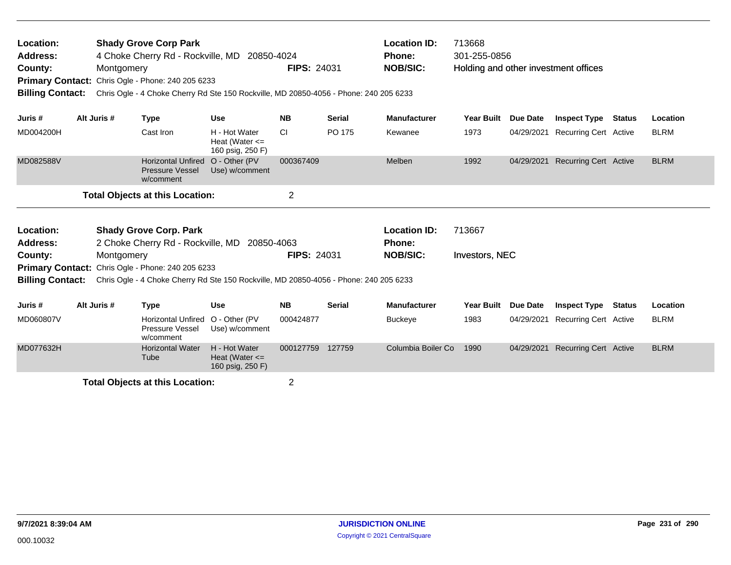| Location:<br><b>Address:</b><br>County:<br><b>Primary Contact:</b><br><b>Billing Contact:</b> | <b>Shady Grove Corp Park</b><br>4 Choke Cherry Rd - Rockville, MD<br>Montgomery<br>Chris Ogle - Phone: 240 205 6233<br>Chris Ogle - 4 Choke Cherry Rd Ste 150 Rockville, MD 20850-4056 - Phone: 240 205 6233<br>Alt Juris # |             |                                                                    | 20850-4024                                                                            | <b>FIPS: 24031</b> |               | <b>Location ID:</b><br><b>Phone:</b><br><b>NOB/SIC:</b> | 713668<br>301-255-0856<br>Holding and other investment offices |            |                              |               |             |
|-----------------------------------------------------------------------------------------------|-----------------------------------------------------------------------------------------------------------------------------------------------------------------------------------------------------------------------------|-------------|--------------------------------------------------------------------|---------------------------------------------------------------------------------------|--------------------|---------------|---------------------------------------------------------|----------------------------------------------------------------|------------|------------------------------|---------------|-------------|
| Juris #                                                                                       |                                                                                                                                                                                                                             |             | <b>Type</b>                                                        | Use                                                                                   | <b>NB</b>          | <b>Serial</b> | <b>Manufacturer</b>                                     | <b>Year Built</b>                                              | Due Date   | <b>Inspect Type Status</b>   |               | Location    |
| MD004200H                                                                                     |                                                                                                                                                                                                                             |             | Cast Iron                                                          | H - Hot Water<br>Heat (Water $\leq$<br>160 psig, 250 F)                               | <b>CI</b>          | PO 175        | Kewanee                                                 | 1973                                                           | 04/29/2021 | <b>Recurring Cert Active</b> |               | <b>BLRM</b> |
| MD082588V                                                                                     |                                                                                                                                                                                                                             |             | <b>Horizontal Unfired</b><br><b>Pressure Vessel</b><br>w/comment   | O - Other (PV<br>Use) w/comment                                                       | 000367409          |               | Melben                                                  | 1992                                                           | 04/29/2021 | <b>Recurring Cert Active</b> |               | <b>BLRM</b> |
|                                                                                               |                                                                                                                                                                                                                             |             | <b>Total Objects at this Location:</b>                             |                                                                                       | $\overline{2}$     |               |                                                         |                                                                |            |                              |               |             |
| Location:<br><b>Address:</b>                                                                  |                                                                                                                                                                                                                             |             | <b>Shady Grove Corp. Park</b><br>2 Choke Cherry Rd - Rockville, MD | 20850-4063                                                                            |                    |               | <b>Location ID:</b><br><b>Phone:</b>                    | 713667                                                         |            |                              |               |             |
| County:<br><b>Primary Contact:</b>                                                            |                                                                                                                                                                                                                             | Montgomery  | Chris Ogle - Phone: 240 205 6233                                   |                                                                                       | <b>FIPS: 24031</b> |               | <b>NOB/SIC:</b>                                         | Investors, NEC                                                 |            |                              |               |             |
| <b>Billing Contact:</b>                                                                       |                                                                                                                                                                                                                             |             |                                                                    | Chris Ogle - 4 Choke Cherry Rd Ste 150 Rockville, MD 20850-4056 - Phone: 240 205 6233 |                    |               |                                                         |                                                                |            |                              |               |             |
| Juris #                                                                                       |                                                                                                                                                                                                                             | Alt Juris # | <b>Type</b>                                                        | <b>Use</b>                                                                            | <b>NB</b>          | <b>Serial</b> | <b>Manufacturer</b>                                     | <b>Year Built</b>                                              | Due Date   | <b>Inspect Type</b>          | <b>Status</b> | Location    |
| MD060807V                                                                                     |                                                                                                                                                                                                                             |             | <b>Horizontal Unfired</b><br>Pressure Vessel<br>w/comment          | O - Other (PV<br>Use) w/comment                                                       | 000424877          |               | <b>Buckeye</b>                                          | 1983                                                           | 04/29/2021 | <b>Recurring Cert Active</b> |               | <b>BLRM</b> |
| MD077632H                                                                                     |                                                                                                                                                                                                                             |             | <b>Horizontal Water</b><br>Tube                                    | H - Hot Water<br>Heat (Water $\leq$<br>160 psig, 250 F)                               | 000127759          | 127759        | Columbia Boiler Co                                      | 1990                                                           | 04/29/2021 | <b>Recurring Cert Active</b> |               | <b>BLRM</b> |
|                                                                                               |                                                                                                                                                                                                                             |             | Total Ohioata at this Location                                     |                                                                                       | ົ                  |               |                                                         |                                                                |            |                              |               |             |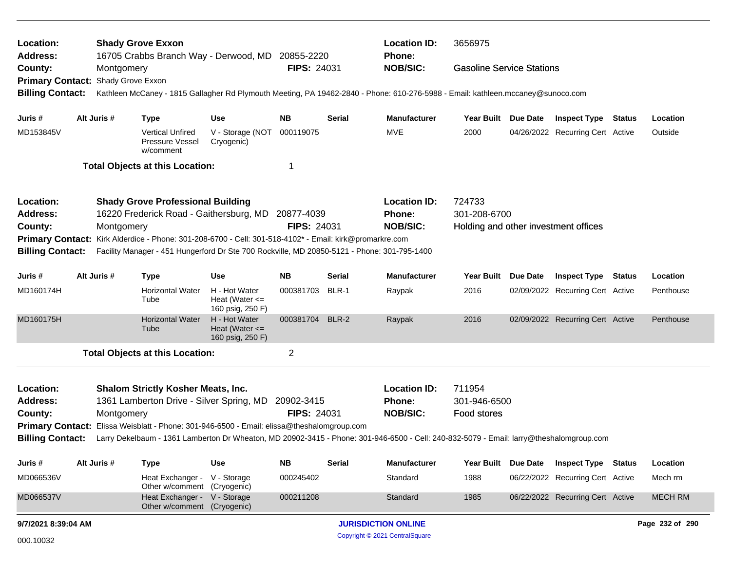| <b>Location ID:</b><br>3656975<br>Location:<br><b>Shady Grove Exxon</b><br>16705 Crabbs Branch Way - Derwood, MD 20855-2220<br><b>Address:</b><br><b>Phone:</b> |                                                                                                                                                                                                                                   |                                                                                            |                                                         |                    |                                |                                                                                                                                         |                                      |                 |                                  |  |                 |
|-----------------------------------------------------------------------------------------------------------------------------------------------------------------|-----------------------------------------------------------------------------------------------------------------------------------------------------------------------------------------------------------------------------------|--------------------------------------------------------------------------------------------|---------------------------------------------------------|--------------------|--------------------------------|-----------------------------------------------------------------------------------------------------------------------------------------|--------------------------------------|-----------------|----------------------------------|--|-----------------|
| County:                                                                                                                                                         | Montgomery                                                                                                                                                                                                                        |                                                                                            |                                                         | <b>FIPS: 24031</b> |                                | <b>NOB/SIC:</b>                                                                                                                         | <b>Gasoline Service Stations</b>     |                 |                                  |  |                 |
| <b>Primary Contact:</b>                                                                                                                                         | Shady Grove Exxon                                                                                                                                                                                                                 |                                                                                            |                                                         |                    |                                |                                                                                                                                         |                                      |                 |                                  |  |                 |
| <b>Billing Contact:</b>                                                                                                                                         |                                                                                                                                                                                                                                   |                                                                                            |                                                         |                    |                                | Kathleen McCaney - 1815 Gallagher Rd Plymouth Meeting, PA 19462-2840 - Phone: 610-276-5988 - Email: kathleen.mccaney@sunoco.com         |                                      |                 |                                  |  |                 |
| Juris #                                                                                                                                                         | Alt Juris #                                                                                                                                                                                                                       | <b>Type</b>                                                                                | <b>Use</b>                                              | <b>NB</b>          | Serial                         | <b>Manufacturer</b>                                                                                                                     | Year Built Due Date                  |                 | <b>Inspect Type Status</b>       |  | Location        |
| MD153845V                                                                                                                                                       |                                                                                                                                                                                                                                   | <b>Vertical Unfired</b><br>Pressure Vessel<br>w/comment                                    | V - Storage (NOT<br>Cryogenic)                          | 000119075          |                                | <b>MVE</b>                                                                                                                              | 2000                                 |                 | 04/26/2022 Recurring Cert Active |  | Outside         |
|                                                                                                                                                                 |                                                                                                                                                                                                                                   | <b>Total Objects at this Location:</b>                                                     |                                                         | -1                 |                                |                                                                                                                                         |                                      |                 |                                  |  |                 |
| Location:                                                                                                                                                       |                                                                                                                                                                                                                                   | <b>Shady Grove Professional Building</b>                                                   |                                                         |                    |                                | <b>Location ID:</b>                                                                                                                     | 724733                               |                 |                                  |  |                 |
| Address:                                                                                                                                                        |                                                                                                                                                                                                                                   | 16220 Frederick Road - Gaithersburg, MD 20877-4039                                         |                                                         |                    |                                | Phone:                                                                                                                                  | 301-208-6700                         |                 |                                  |  |                 |
| County:                                                                                                                                                         | Montgomery                                                                                                                                                                                                                        |                                                                                            |                                                         | <b>FIPS: 24031</b> |                                | <b>NOB/SIC:</b>                                                                                                                         | Holding and other investment offices |                 |                                  |  |                 |
|                                                                                                                                                                 | Primary Contact: Kirk Alderdice - Phone: 301-208-6700 - Cell: 301-518-4102* - Email: kirk@promarkre.com<br><b>Billing Contact:</b><br>Facility Manager - 451 Hungerford Dr Ste 700 Rockville, MD 20850-5121 - Phone: 301-795-1400 |                                                                                            |                                                         |                    |                                |                                                                                                                                         |                                      |                 |                                  |  |                 |
|                                                                                                                                                                 |                                                                                                                                                                                                                                   |                                                                                            |                                                         |                    |                                |                                                                                                                                         |                                      |                 |                                  |  |                 |
| Juris #                                                                                                                                                         | Alt Juris #                                                                                                                                                                                                                       | <b>Type</b>                                                                                | <b>Use</b>                                              | <b>NB</b>          | <b>Serial</b>                  | <b>Manufacturer</b>                                                                                                                     | Year Built Due Date                  |                 | <b>Inspect Type Status</b>       |  | Location        |
| MD160174H                                                                                                                                                       |                                                                                                                                                                                                                                   | <b>Horizontal Water</b><br>Tube                                                            | H - Hot Water<br>Heat (Water $\leq$<br>160 psig, 250 F) | 000381703 BLR-1    |                                | Raypak                                                                                                                                  | 2016                                 |                 | 02/09/2022 Recurring Cert Active |  | Penthouse       |
| MD160175H                                                                                                                                                       |                                                                                                                                                                                                                                   | <b>Horizontal Water</b><br>Tube                                                            | H - Hot Water<br>Heat (Water $\leq$<br>160 psig, 250 F) | 000381704 BLR-2    |                                | Raypak                                                                                                                                  | 2016                                 |                 | 02/09/2022 Recurring Cert Active |  | Penthouse       |
|                                                                                                                                                                 |                                                                                                                                                                                                                                   | <b>Total Objects at this Location:</b>                                                     |                                                         | $\overline{2}$     |                                |                                                                                                                                         |                                      |                 |                                  |  |                 |
| Location:                                                                                                                                                       |                                                                                                                                                                                                                                   | <b>Shalom Strictly Kosher Meats, Inc.</b>                                                  |                                                         |                    |                                | <b>Location ID:</b>                                                                                                                     | 711954                               |                 |                                  |  |                 |
| <b>Address:</b>                                                                                                                                                 |                                                                                                                                                                                                                                   | 1361 Lamberton Drive - Silver Spring, MD                                                   |                                                         | 20902-3415         |                                | <b>Phone:</b>                                                                                                                           | 301-946-6500                         |                 |                                  |  |                 |
| County:                                                                                                                                                         | Montgomery                                                                                                                                                                                                                        |                                                                                            |                                                         | <b>FIPS: 24031</b> |                                | <b>NOB/SIC:</b>                                                                                                                         | Food stores                          |                 |                                  |  |                 |
|                                                                                                                                                                 |                                                                                                                                                                                                                                   | Primary Contact: Elissa Weisblatt - Phone: 301-946-6500 - Email: elissa@theshalomgroup.com |                                                         |                    |                                |                                                                                                                                         |                                      |                 |                                  |  |                 |
| <b>Billing Contact:</b>                                                                                                                                         |                                                                                                                                                                                                                                   |                                                                                            |                                                         |                    |                                | Larry Dekelbaum - 1361 Lamberton Dr Wheaton, MD 20902-3415 - Phone: 301-946-6500 - Cell: 240-832-5079 - Email: larry@theshalomgroup.com |                                      |                 |                                  |  |                 |
| Juris #                                                                                                                                                         | Alt Juris #                                                                                                                                                                                                                       | <b>Type</b>                                                                                | <b>Use</b>                                              | <b>NB</b>          | <b>Serial</b>                  | Manufacturer                                                                                                                            | <b>Year Built</b>                    | <b>Due Date</b> | <b>Inspect Type Status</b>       |  | Location        |
| MD066536V                                                                                                                                                       |                                                                                                                                                                                                                                   | Heat Exchanger - V - Storage<br>Other w/comment (Cryogenic)                                |                                                         | 000245402          |                                | Standard                                                                                                                                | 1988                                 |                 | 06/22/2022 Recurring Cert Active |  | Mech rm         |
| MD066537V                                                                                                                                                       |                                                                                                                                                                                                                                   | Heat Exchanger - V - Storage<br>Other w/comment (Cryogenic)                                |                                                         | 000211208          |                                | Standard                                                                                                                                | 1985                                 |                 | 06/22/2022 Recurring Cert Active |  | <b>MECH RM</b>  |
| 9/7/2021 8:39:04 AM                                                                                                                                             |                                                                                                                                                                                                                                   |                                                                                            |                                                         |                    |                                | <b>JURISDICTION ONLINE</b>                                                                                                              |                                      |                 |                                  |  | Page 232 of 290 |
| 000.10032                                                                                                                                                       |                                                                                                                                                                                                                                   |                                                                                            |                                                         |                    | Copyright © 2021 CentralSquare |                                                                                                                                         |                                      |                 |                                  |  |                 |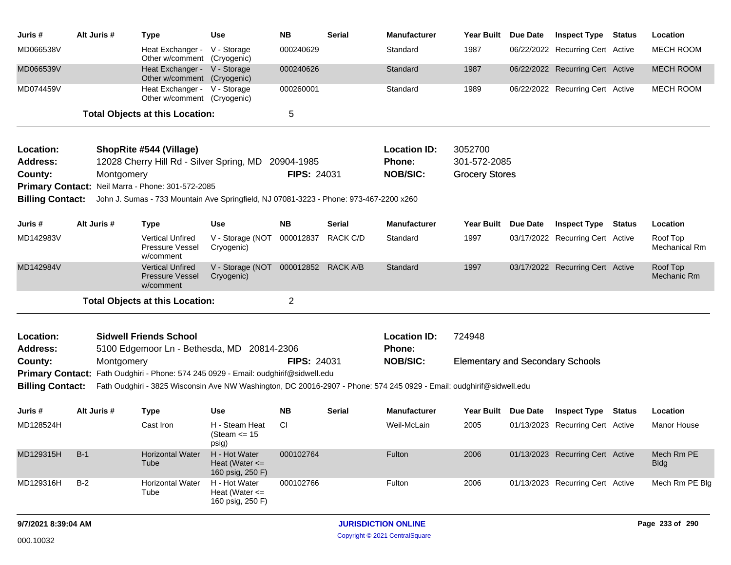| Juris #                 | Alt Juris # | <b>Type</b>                                                                                                          | <b>Use</b>                                              | <b>NB</b>          | Serial        | <b>Manufacturer</b> | <b>Year Built</b>                       | Due Date | <b>Inspect Type Status</b>       |        | Location                  |
|-------------------------|-------------|----------------------------------------------------------------------------------------------------------------------|---------------------------------------------------------|--------------------|---------------|---------------------|-----------------------------------------|----------|----------------------------------|--------|---------------------------|
| MD066538V               |             | Heat Exchanger - V - Storage<br>Other w/comment (Cryogenic)                                                          |                                                         | 000240629          |               | Standard            | 1987                                    |          | 06/22/2022 Recurring Cert Active |        | MECH ROOM                 |
| MD066539V               |             | Heat Exchanger - V - Storage<br>Other w/comment (Cryogenic)                                                          |                                                         | 000240626          |               | Standard            | 1987                                    |          | 06/22/2022 Recurring Cert Active |        | <b>MECH ROOM</b>          |
| MD074459V               |             | Heat Exchanger - V - Storage<br>Other w/comment (Cryogenic)                                                          |                                                         | 000260001          |               | Standard            | 1989                                    |          | 06/22/2022 Recurring Cert Active |        | MECH ROOM                 |
|                         |             | <b>Total Objects at this Location:</b>                                                                               |                                                         | 5                  |               |                     |                                         |          |                                  |        |                           |
| Location:               |             | ShopRite #544 (Village)                                                                                              |                                                         |                    |               | <b>Location ID:</b> | 3052700                                 |          |                                  |        |                           |
| <b>Address:</b>         |             | 12028 Cherry Hill Rd - Silver Spring, MD 20904-1985                                                                  |                                                         |                    |               | <b>Phone:</b>       | 301-572-2085                            |          |                                  |        |                           |
| County:                 | Montgomery  |                                                                                                                      |                                                         | <b>FIPS: 24031</b> |               | <b>NOB/SIC:</b>     | <b>Grocery Stores</b>                   |          |                                  |        |                           |
|                         |             | Primary Contact: Neil Marra - Phone: 301-572-2085                                                                    |                                                         |                    |               |                     |                                         |          |                                  |        |                           |
| <b>Billing Contact:</b> |             | John J. Sumas - 733 Mountain Ave Springfield, NJ 07081-3223 - Phone: 973-467-2200 x260                               |                                                         |                    |               |                     |                                         |          |                                  |        |                           |
| Juris #                 | Alt Juris # | <b>Type</b>                                                                                                          | <b>Use</b>                                              | <b>NB</b>          | Serial        | <b>Manufacturer</b> | Year Built Due Date                     |          | <b>Inspect Type Status</b>       |        | Location                  |
| MD142983V               |             | <b>Vertical Unfired</b><br><b>Pressure Vessel</b><br>w/comment                                                       | V - Storage (NOT<br>Cryogenic)                          | 000012837          | RACK C/D      | Standard            | 1997                                    |          | 03/17/2022 Recurring Cert Active |        | Roof Top<br>Mechanical Rm |
| MD142984V               |             | <b>Vertical Unfired</b><br><b>Pressure Vessel</b><br>w/comment                                                       | V - Storage (NOT 000012852 RACK A/B<br>Cryogenic)       |                    |               | Standard            | 1997                                    |          | 03/17/2022 Recurring Cert Active |        | Roof Top<br>Mechanic Rm   |
|                         |             | <b>Total Objects at this Location:</b>                                                                               |                                                         | $\overline{2}$     |               |                     |                                         |          |                                  |        |                           |
| Location:               |             | <b>Sidwell Friends School</b>                                                                                        |                                                         |                    |               | <b>Location ID:</b> | 724948                                  |          |                                  |        |                           |
| <b>Address:</b>         |             | 5100 Edgemoor Ln - Bethesda, MD 20814-2306                                                                           |                                                         |                    |               | <b>Phone:</b>       |                                         |          |                                  |        |                           |
| County:                 | Montgomery  |                                                                                                                      |                                                         | <b>FIPS: 24031</b> |               | <b>NOB/SIC:</b>     | <b>Elementary and Secondary Schools</b> |          |                                  |        |                           |
| <b>Primary Contact:</b> |             | Fath Oudghiri - Phone: 574 245 0929 - Email: oudghirif@sidwell.edu                                                   |                                                         |                    |               |                     |                                         |          |                                  |        |                           |
| <b>Billing Contact:</b> |             | Fath Oudghiri - 3825 Wisconsin Ave NW Washington, DC 20016-2907 - Phone: 574 245 0929 - Email: oudghirif@sidwell.edu |                                                         |                    |               |                     |                                         |          |                                  |        |                           |
| Juris #                 | Alt Juris # | <b>Type</b>                                                                                                          | <b>Use</b>                                              | <b>NB</b>          | <b>Serial</b> | <b>Manufacturer</b> | Year Built Due Date                     |          | <b>Inspect Type</b>              | Status | Location                  |
| MD128524H               |             | Cast Iron                                                                                                            | H - Steam Heat<br>(Steam <= 15<br>psig)                 | <b>CI</b>          |               | Weil-McLain         | 2005                                    |          | 01/13/2023 Recurring Cert Active |        | Manor House               |
| MD129315H               | $B-1$       | <b>Horizontal Water</b><br>Tube                                                                                      | H - Hot Water<br>Heat (Water $\leq$<br>160 psig, 250 F) | 000102764          |               | Fulton              | 2006                                    |          | 01/13/2023 Recurring Cert Active |        | Mech Rm PE<br><b>Bldg</b> |
| MD129316H               | $B-2$       | <b>Horizontal Water</b><br>Tube                                                                                      | H - Hot Water<br>Heat (Water $\leq$<br>160 psig, 250 F) | 000102766          |               | Fulton              | 2006                                    |          | 01/13/2023 Recurring Cert Active |        | Mech Rm PE Blg            |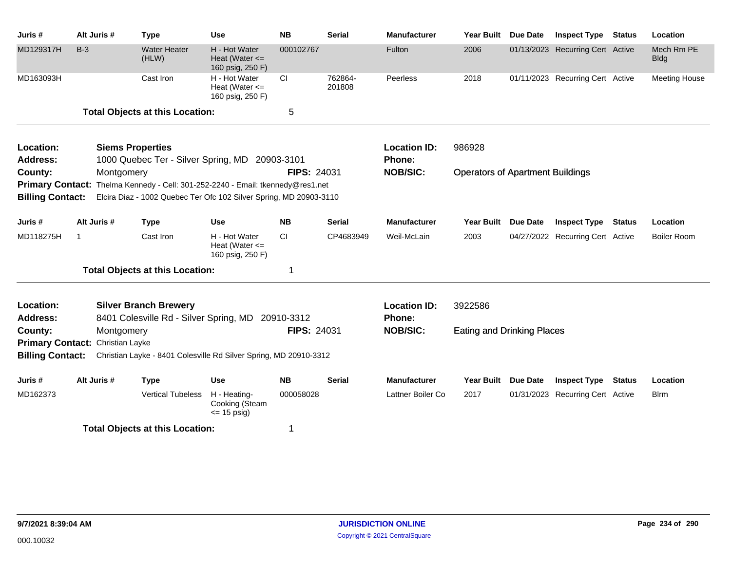| Juris#                             | Alt Juris # | <b>Type</b>                                                                                                                                                         | <b>Use</b>                                              | <b>NB</b>          | <b>Serial</b>     | <b>Manufacturer</b>           | <b>Year Built</b>                       | Due Date        | <b>Inspect Type</b>              | <b>Status</b> | Location                  |
|------------------------------------|-------------|---------------------------------------------------------------------------------------------------------------------------------------------------------------------|---------------------------------------------------------|--------------------|-------------------|-------------------------------|-----------------------------------------|-----------------|----------------------------------|---------------|---------------------------|
| MD129317H                          | $B-3$       | <b>Water Heater</b><br>(HLW)                                                                                                                                        | H - Hot Water<br>Heat (Water $\leq$<br>160 psig, 250 F) | 000102767          |                   | Fulton                        | 2006                                    |                 | 01/13/2023 Recurring Cert Active |               | Mech Rm PE<br><b>Bldg</b> |
| MD163093H                          |             | Cast Iron                                                                                                                                                           | H - Hot Water<br>Heat (Water $\leq$<br>160 psig, 250 F) | <b>CI</b>          | 762864-<br>201808 | Peerless                      | 2018                                    |                 | 01/11/2023 Recurring Cert Active |               | <b>Meeting House</b>      |
|                                    |             | <b>Total Objects at this Location:</b>                                                                                                                              |                                                         | 5                  |                   |                               |                                         |                 |                                  |               |                           |
| Location:<br><b>Address:</b>       |             | <b>Siems Properties</b><br>1000 Quebec Ter - Silver Spring, MD 20903-3101                                                                                           |                                                         |                    |                   | <b>Location ID:</b><br>Phone: | 986928                                  |                 |                                  |               |                           |
| County:<br><b>Billing Contact:</b> |             | Montgomery<br>Primary Contact: Thelma Kennedy - Cell: 301-252-2240 - Email: tkennedy@res1.net<br>Elcira Diaz - 1002 Quebec Ter Ofc 102 Silver Spring, MD 20903-3110 |                                                         | <b>FIPS: 24031</b> |                   | <b>NOB/SIC:</b>               | <b>Operators of Apartment Buildings</b> |                 |                                  |               |                           |
| Juris #                            | Alt Juris # | <b>Type</b>                                                                                                                                                         | Use                                                     | <b>NB</b>          | <b>Serial</b>     | <b>Manufacturer</b>           | Year Built                              | <b>Due Date</b> | <b>Inspect Type Status</b>       |               | Location                  |
| MD118275H                          | $\mathbf 1$ | Cast Iron                                                                                                                                                           | H - Hot Water<br>Heat (Water $\leq$<br>160 psig, 250 F) | CI.                | CP4683949         | Weil-McLain                   | 2003                                    |                 | 04/27/2022 Recurring Cert Active |               | Boiler Room               |
|                                    |             | <b>Total Objects at this Location:</b>                                                                                                                              |                                                         | 1                  |                   |                               |                                         |                 |                                  |               |                           |
| Location:<br><b>Address:</b>       |             | <b>Silver Branch Brewery</b><br>8401 Colesville Rd - Silver Spring, MD 20910-3312                                                                                   |                                                         |                    |                   | <b>Location ID:</b><br>Phone: | 3922586                                 |                 |                                  |               |                           |
| County:                            |             | Montgomery                                                                                                                                                          |                                                         | <b>FIPS: 24031</b> |                   | <b>NOB/SIC:</b>               | <b>Eating and Drinking Places</b>       |                 |                                  |               |                           |
| <b>Primary Contact:</b>            |             | Christian Layke                                                                                                                                                     |                                                         |                    |                   |                               |                                         |                 |                                  |               |                           |
| <b>Billing Contact:</b>            |             | Christian Layke - 8401 Colesville Rd Silver Spring, MD 20910-3312                                                                                                   |                                                         |                    |                   |                               |                                         |                 |                                  |               |                           |
| Juris #                            | Alt Juris # | <b>Type</b>                                                                                                                                                         | Use                                                     | <b>NB</b>          | <b>Serial</b>     | <b>Manufacturer</b>           | <b>Year Built</b>                       | <b>Due Date</b> | <b>Inspect Type</b>              | <b>Status</b> | Location                  |
| MD162373                           |             | <b>Vertical Tubeless</b>                                                                                                                                            | H - Heating-<br>Cooking (Steam<br>$\leq$ 15 psig)       | 000058028          |                   | Lattner Boiler Co             | 2017                                    |                 | 01/31/2023 Recurring Cert Active |               | <b>B</b> Irm              |
|                                    |             | <b>Total Objects at this Location:</b>                                                                                                                              |                                                         | 1                  |                   |                               |                                         |                 |                                  |               |                           |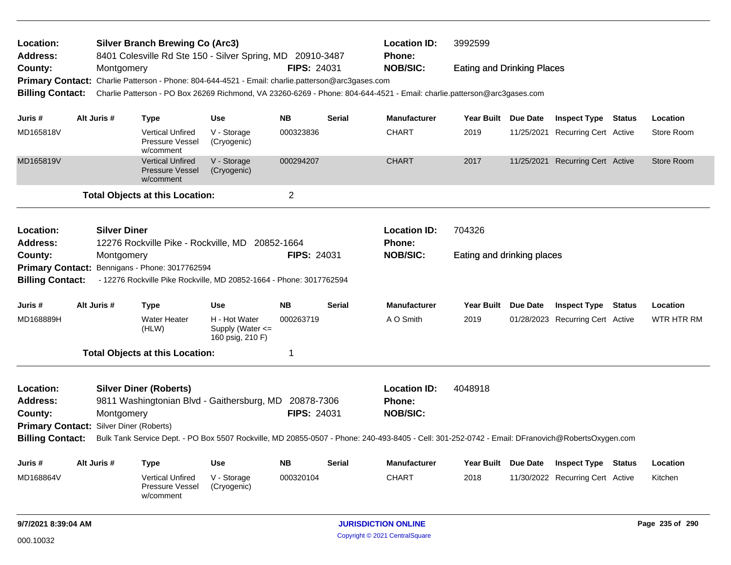| Location:<br><b>Address:</b>                   |                     | <b>Silver Branch Brewing Co (Arc3)</b><br>8401 Colesville Rd Ste 150 - Silver Spring, MD 20910-3487 |                                                       |                    |               | <b>Location ID:</b><br><b>Phone:</b>                                                                                                            | 3992599                           |                                  |               |                   |
|------------------------------------------------|---------------------|-----------------------------------------------------------------------------------------------------|-------------------------------------------------------|--------------------|---------------|-------------------------------------------------------------------------------------------------------------------------------------------------|-----------------------------------|----------------------------------|---------------|-------------------|
| County:                                        | Montgomery          |                                                                                                     |                                                       | <b>FIPS: 24031</b> |               | <b>NOB/SIC:</b>                                                                                                                                 | <b>Eating and Drinking Places</b> |                                  |               |                   |
|                                                |                     | Primary Contact: Charlie Patterson - Phone: 804-644-4521 - Email: charlie.patterson@arc3gases.com   |                                                       |                    |               |                                                                                                                                                 |                                   |                                  |               |                   |
| <b>Billing Contact:</b>                        |                     |                                                                                                     |                                                       |                    |               | Charlie Patterson - PO Box 26269 Richmond, VA 23260-6269 - Phone: 804-644-4521 - Email: charlie.patterson@arc3gases.com                         |                                   |                                  |               |                   |
| Juris #                                        | Alt Juris #         | <b>Type</b>                                                                                         | <b>Use</b>                                            | NΒ                 | <b>Serial</b> | <b>Manufacturer</b>                                                                                                                             | Year Built Due Date               | <b>Inspect Type</b>              | Status        | Location          |
| MD165818V                                      |                     | <b>Vertical Unfired</b><br>Pressure Vessel<br>w/comment                                             | V - Storage<br>(Cryogenic)                            | 000323836          |               | <b>CHART</b>                                                                                                                                    | 2019                              | 11/25/2021 Recurring Cert Active |               | Store Room        |
| MD165819V                                      |                     | <b>Vertical Unfired</b><br><b>Pressure Vessel</b><br>w/comment                                      | V - Storage<br>(Cryogenic)                            | 000294207          |               | <b>CHART</b>                                                                                                                                    | 2017                              | 11/25/2021 Recurring Cert Active |               | Store Room        |
|                                                |                     | <b>Total Objects at this Location:</b>                                                              |                                                       | $\overline{2}$     |               |                                                                                                                                                 |                                   |                                  |               |                   |
| Location:                                      | <b>Silver Diner</b> |                                                                                                     |                                                       |                    |               | <b>Location ID:</b>                                                                                                                             | 704326                            |                                  |               |                   |
| <b>Address:</b>                                |                     | 12276 Rockville Pike - Rockville, MD 20852-1664                                                     |                                                       |                    |               | <b>Phone:</b>                                                                                                                                   |                                   |                                  |               |                   |
| County:                                        | Montgomery          |                                                                                                     |                                                       | <b>FIPS: 24031</b> |               | <b>NOB/SIC:</b>                                                                                                                                 | Eating and drinking places        |                                  |               |                   |
|                                                |                     | Primary Contact: Bennigans - Phone: 3017762594                                                      |                                                       |                    |               |                                                                                                                                                 |                                   |                                  |               |                   |
| <b>Billing Contact:</b>                        |                     | - 12276 Rockville Pike Rockville, MD 20852-1664 - Phone: 3017762594                                 |                                                       |                    |               |                                                                                                                                                 |                                   |                                  |               |                   |
| Juris #                                        | Alt Juris #         | <b>Type</b>                                                                                         | Use                                                   | <b>NB</b>          | <b>Serial</b> | <b>Manufacturer</b>                                                                                                                             | Year Built Due Date               | <b>Inspect Type Status</b>       |               | Location          |
| MD168889H                                      |                     | <b>Water Heater</b><br>(HLW)                                                                        | H - Hot Water<br>Supply (Water <=<br>160 psig, 210 F) | 000263719          |               | A O Smith                                                                                                                                       | 2019                              | 01/28/2023 Recurring Cert Active |               | <b>WTR HTR RM</b> |
|                                                |                     | <b>Total Objects at this Location:</b>                                                              |                                                       | 1                  |               |                                                                                                                                                 |                                   |                                  |               |                   |
| Location:                                      |                     | <b>Silver Diner (Roberts)</b>                                                                       |                                                       |                    |               | <b>Location ID:</b>                                                                                                                             | 4048918                           |                                  |               |                   |
| Address:                                       |                     | 9811 Washingtonian Blvd - Gaithersburg, MD 20878-7306                                               |                                                       |                    |               | <b>Phone:</b>                                                                                                                                   |                                   |                                  |               |                   |
| County:                                        | Montgomery          |                                                                                                     |                                                       | <b>FIPS: 24031</b> |               | <b>NOB/SIC:</b>                                                                                                                                 |                                   |                                  |               |                   |
| <b>Primary Contact: Silver Diner (Roberts)</b> |                     |                                                                                                     |                                                       |                    |               |                                                                                                                                                 |                                   |                                  |               |                   |
| <b>Billing Contact:</b>                        |                     |                                                                                                     |                                                       |                    |               | Bulk Tank Service Dept. - PO Box 5507 Rockville, MD 20855-0507 - Phone: 240-493-8405 - Cell: 301-252-0742 - Email: DFranovich@RobertsOxygen.com |                                   |                                  |               |                   |
| Juris #                                        | Alt Juris #         | <b>Type</b>                                                                                         | <b>Use</b>                                            | <b>NB</b>          | Serial        | <b>Manufacturer</b>                                                                                                                             | Year Built Due Date               | <b>Inspect Type</b>              | <b>Status</b> | Location          |
| MD168864V                                      |                     | <b>Vertical Unfired</b><br>Pressure Vessel<br>w/comment                                             | V - Storage<br>(Cryogenic)                            | 000320104          |               | <b>CHART</b>                                                                                                                                    | 2018                              | 11/30/2022 Recurring Cert Active |               | Kitchen           |
| 9/7/2021 8:39:04 AM                            |                     |                                                                                                     |                                                       |                    |               | <b>JURISDICTION ONLINE</b>                                                                                                                      |                                   |                                  |               | Page 235 of 290   |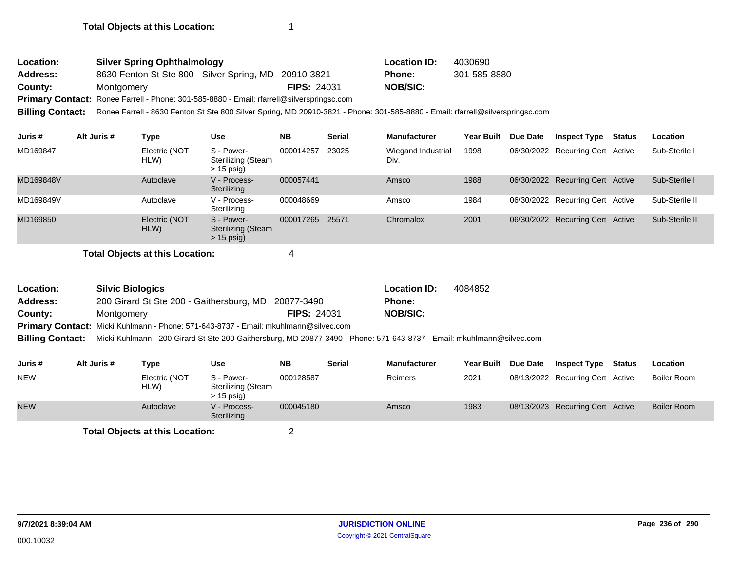| Location:       | <b>Silver Spring Ophthalmology</b>                                                        |                    | <b>Location ID:</b> | 4030690      |
|-----------------|-------------------------------------------------------------------------------------------|--------------------|---------------------|--------------|
| <b>Address:</b> | 8630 Fenton St Ste 800 - Silver Spring, MD 20910-3821                                     |                    | Phone:              | 301-585-8880 |
| County:         | Montgomery                                                                                | <b>FIPS: 24031</b> | <b>NOB/SIC:</b>     |              |
|                 | Primary Contact: Ronee Farrell - Phone: 301-585-8880 - Email: rfarrell@silverspringsc.com |                    |                     |              |
|                 | $\mathbf{u}$ as a second contract of $\mathbf{u}$                                         |                    |                     |              |

**Billing Contact:** Ronee Farrell - 8630 Fenton St Ste 800 Silver Spring, MD 20910-3821 - Phone: 301-585-8880 - Email: rfarrell@silverspringsc.com

| Juris #   | Alt Juris # | Type                  | <b>Use</b>                                              | <b>NB</b> | <b>Serial</b> | <b>Manufacturer</b>        | <b>Year Built</b> | Due Date | <b>Inspect Type</b>              | Status | <b>Location</b> |
|-----------|-------------|-----------------------|---------------------------------------------------------|-----------|---------------|----------------------------|-------------------|----------|----------------------------------|--------|-----------------|
| MD169847  |             | Electric (NOT<br>HLW) | S - Power-<br>Sterilizing (Steam<br>$> 15$ psig)        | 000014257 | 23025         | Wiegand Industrial<br>Div. | 1998              |          | 06/30/2022 Recurring Cert Active |        | Sub-Sterile I   |
| MD169848V |             | Autoclave             | V - Process-<br>Sterilizing                             | 000057441 |               | Amsco                      | 1988              |          | 06/30/2022 Recurring Cert Active |        | Sub-Sterile I   |
| MD169849V |             | Autoclave             | V - Process-<br>Sterilizing                             | 000048669 |               | Amsco                      | 1984              |          | 06/30/2022 Recurring Cert Active |        | Sub-Sterile II  |
| MD169850  |             | Electric (NOT<br>HLW) | S - Power-<br><b>Sterilizing (Steam</b><br>$> 15$ psig) | 000017265 | 25571         | Chromalox                  | 2001              |          | 06/30/2022 Recurring Cert Active |        | Sub-Sterile II  |
|           |             |                       |                                                         |           |               |                            |                   |          |                                  |        |                 |

| Location:               | <b>Silvic Biologics</b>                                                                                                |                    | <b>Location ID:</b> | 4084852 |
|-------------------------|------------------------------------------------------------------------------------------------------------------------|--------------------|---------------------|---------|
| <b>Address:</b>         | 200 Girard St Ste 200 - Gaithersburg, MD 20877-3490                                                                    |                    | <b>Phone:</b>       |         |
| County:                 | Montgomery                                                                                                             | <b>FIPS: 24031</b> | <b>NOB/SIC:</b>     |         |
|                         | Primary Contact: Micki Kuhlmann - Phone: 571-643-8737 - Email: mkuhlmann@silvec.com                                    |                    |                     |         |
| <b>Billing Contact:</b> | Micki Kuhlmann - 200 Girard St Ste 200 Gaithersburg, MD 20877-3490 - Phone: 571-643-8737 - Email: mkuhlmann@silvec.com |                    |                     |         |

| Juris #    | Alt Juris # | Type                            | Use                                              | <b>NB</b> | Serial | <b>Manufacturer</b> | Year Built Due Date | <b>Inspect Type</b>              | Status | Location           |
|------------|-------------|---------------------------------|--------------------------------------------------|-----------|--------|---------------------|---------------------|----------------------------------|--------|--------------------|
| <b>NEW</b> |             | Electric (NOT<br>HLW)           | S - Power-<br>Sterilizing (Steam<br>$> 15$ psig) | 000128587 |        | Reimers             | 2021                | 08/13/2022 Recurring Cert Active |        | Boiler Room        |
| <b>NEW</b> |             | Autoclave                       | V - Process-<br>Sterilizing                      | 000045180 |        | Amsco               | 1983                | 08/13/2023 Recurring Cert Active |        | <b>Boiler Room</b> |
|            |             | Total Obiects at this Location: |                                                  |           |        |                     |                     |                                  |        |                    |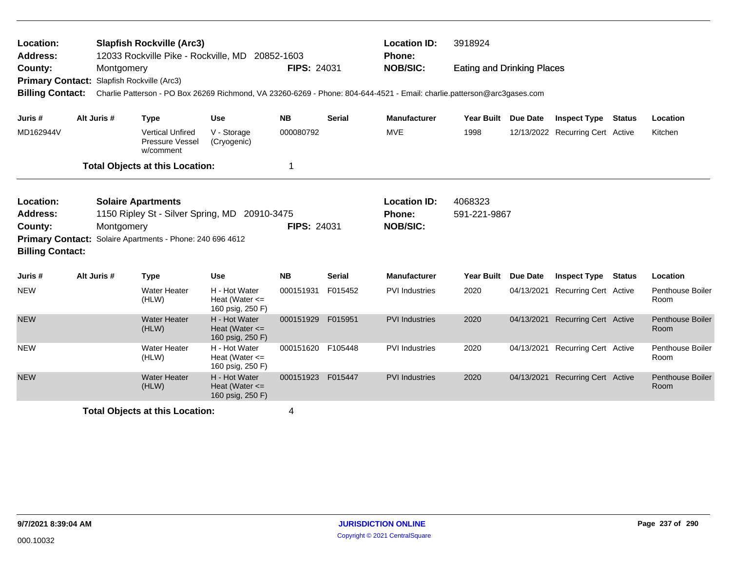| Location:<br><b>Address:</b>                                                                  |             | <b>Slapfish Rockville (Arc3)</b><br>12033 Rockville Pike - Rockville, MD 20852-1603                                                                                                                  |                                                         |                    |               | <b>Location ID:</b><br><b>Phone:</b>             | 3918924                           |                 |                                  |               |                                 |
|-----------------------------------------------------------------------------------------------|-------------|------------------------------------------------------------------------------------------------------------------------------------------------------------------------------------------------------|---------------------------------------------------------|--------------------|---------------|--------------------------------------------------|-----------------------------------|-----------------|----------------------------------|---------------|---------------------------------|
| County:                                                                                       |             | Montgomery<br>Primary Contact: Slapfish Rockville (Arc3)<br>Billing Contact: Charlie Patterson - PO Box 26269 Richmond, VA 23260-6269 - Phone: 804-644-4521 - Email: charlie.patterson@arc3gases.com |                                                         | <b>FIPS: 24031</b> |               | <b>NOB/SIC:</b>                                  | <b>Eating and Drinking Places</b> |                 |                                  |               |                                 |
| Juris #                                                                                       | Alt Juris # | <b>Type</b>                                                                                                                                                                                          | <b>Use</b>                                              | <b>NB</b>          | <b>Serial</b> | <b>Manufacturer</b>                              | <b>Year Built</b>                 | Due Date        | <b>Inspect Type</b>              | <b>Status</b> | Location                        |
| MD162944V                                                                                     |             | <b>Vertical Unfired</b><br>Pressure Vessel<br>w/comment                                                                                                                                              | V - Storage<br>(Cryogenic)                              | 000080792          |               | <b>MVE</b>                                       | 1998                              |                 | 12/13/2022 Recurring Cert Active |               | Kitchen                         |
|                                                                                               |             | <b>Total Objects at this Location:</b>                                                                                                                                                               |                                                         | 1                  |               |                                                  |                                   |                 |                                  |               |                                 |
| Location:<br><b>Address:</b><br>County:<br><b>Primary Contact:</b><br><b>Billing Contact:</b> |             | <b>Solaire Apartments</b><br>1150 Ripley St - Silver Spring, MD 20910-3475<br>Montgomery<br>Solaire Apartments - Phone: 240 696 4612                                                                 |                                                         | <b>FIPS: 24031</b> |               | <b>Location ID:</b><br>Phone:<br><b>NOB/SIC:</b> | 4068323<br>591-221-9867           |                 |                                  |               |                                 |
| Juris #                                                                                       | Alt Juris # | <b>Type</b>                                                                                                                                                                                          | Use                                                     | <b>NB</b>          | <b>Serial</b> | <b>Manufacturer</b>                              | <b>Year Built</b>                 | <b>Due Date</b> | <b>Inspect Type</b>              | Status        | Location                        |
| <b>NEW</b>                                                                                    |             | Water Heater<br>(HLW)                                                                                                                                                                                | H - Hot Water<br>Heat (Water $\leq$<br>160 psig, 250 F) | 000151931          | F015452       | <b>PVI</b> Industries                            | 2020                              | 04/13/2021      | <b>Recurring Cert Active</b>     |               | <b>Penthouse Boiler</b><br>Room |
| <b>NEW</b>                                                                                    |             | <b>Water Heater</b><br>(HLW)                                                                                                                                                                         | H - Hot Water<br>Heat (Water $\leq$<br>160 psig, 250 F) | 000151929          | F015951       | <b>PVI</b> Industries                            | 2020                              |                 | 04/13/2021 Recurring Cert Active |               | <b>Penthouse Boiler</b><br>Room |
| <b>NEW</b>                                                                                    |             | <b>Water Heater</b><br>(HLW)                                                                                                                                                                         | H - Hot Water<br>Heat (Water $\leq$<br>160 psig, 250 F) | 000151620          | F105448       | <b>PVI</b> Industries                            | 2020                              |                 | 04/13/2021 Recurring Cert Active |               | <b>Penthouse Boiler</b><br>Room |
| <b>NEW</b>                                                                                    |             | <b>Water Heater</b><br>(HLW)                                                                                                                                                                         | H - Hot Water<br>Heat (Water $\leq$<br>160 psig, 250 F) | 000151923 F015447  |               | <b>PVI Industries</b>                            | 2020                              |                 | 04/13/2021 Recurring Cert Active |               | <b>Penthouse Boiler</b><br>Room |
|                                                                                               |             | <b>Total Objects at this Location:</b>                                                                                                                                                               |                                                         | 4                  |               |                                                  |                                   |                 |                                  |               |                                 |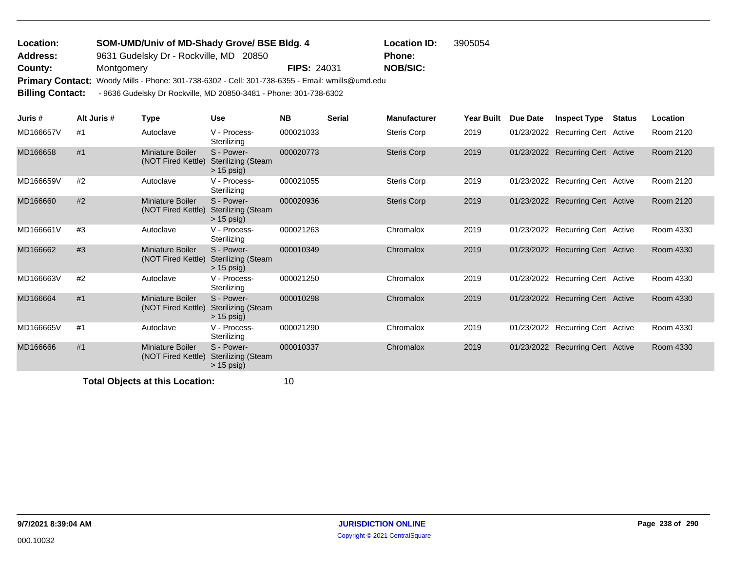| Location:               |                                                                                                 | SOM-UMD/Univ of MD-Shady Grove/ BSE Bldg. 4 |               |  |  |  |  |  |  |
|-------------------------|-------------------------------------------------------------------------------------------------|---------------------------------------------|---------------|--|--|--|--|--|--|
| Address:                | 9631 Gudelsky Dr - Rockville, MD 20850                                                          |                                             | <b>Phone:</b> |  |  |  |  |  |  |
| County:                 | Montgomery                                                                                      | <b>NOB/SIC:</b>                             |               |  |  |  |  |  |  |
|                         | Primary Contact: Woody Mills - Phone: 301-738-6302 - Cell: 301-738-6355 - Email: wmills@umd.edu |                                             |               |  |  |  |  |  |  |
| <b>Billing Contact:</b> | - 9636 Gudelsky Dr Rockville, MD 20850-3481 - Phone: 301-738-6302                               |                                             |               |  |  |  |  |  |  |

| Juris #   | Alt Juris # | Type                                          | Use                                                     | <b>NB</b> | <b>Serial</b> | <b>Manufacturer</b> | Year Built | Due Date | <b>Inspect Type</b>              | Status | <b>Location</b> |
|-----------|-------------|-----------------------------------------------|---------------------------------------------------------|-----------|---------------|---------------------|------------|----------|----------------------------------|--------|-----------------|
| MD166657V | #1          | Autoclave                                     | V - Process-<br>Sterilizing                             | 000021033 |               | <b>Steris Corp</b>  | 2019       |          | 01/23/2022 Recurring Cert Active |        | Room 2120       |
| MD166658  | #1          | <b>Miniature Boiler</b><br>(NOT Fired Kettle) | S - Power-<br><b>Sterilizing (Steam</b><br>$> 15$ psig) | 000020773 |               | <b>Steris Corp</b>  | 2019       |          | 01/23/2022 Recurring Cert Active |        | Room 2120       |
| MD166659V | #2          | Autoclave                                     | V - Process-<br>Sterilizing                             | 000021055 |               | Steris Corp         | 2019       |          | 01/23/2022 Recurring Cert Active |        | Room 2120       |
| MD166660  | #2          | Miniature Boiler<br>(NOT Fired Kettle)        | S - Power-<br><b>Sterilizing (Steam</b><br>$> 15$ psig) | 000020936 |               | <b>Steris Corp</b>  | 2019       |          | 01/23/2022 Recurring Cert Active |        | Room 2120       |
| MD166661V | #3          | Autoclave                                     | V - Process-<br>Sterilizing                             | 000021263 |               | Chromalox           | 2019       |          | 01/23/2022 Recurring Cert Active |        | Room 4330       |
| MD166662  | #3          | Miniature Boiler<br>(NOT Fired Kettle)        | S - Power-<br><b>Sterilizing (Steam</b><br>$> 15$ psig) | 000010349 |               | Chromalox           | 2019       |          | 01/23/2022 Recurring Cert Active |        | Room 4330       |
| MD166663V | #2          | Autoclave                                     | V - Process-<br>Sterilizing                             | 000021250 |               | Chromalox           | 2019       |          | 01/23/2022 Recurring Cert Active |        | Room 4330       |
| MD166664  | #1          | Miniature Boiler<br>(NOT Fired Kettle)        | S - Power-<br><b>Sterilizing (Steam</b><br>$> 15$ psig) | 000010298 |               | Chromalox           | 2019       |          | 01/23/2022 Recurring Cert Active |        | Room 4330       |
| MD166665V | #1          | Autoclave                                     | V - Process-<br>Sterilizing                             | 000021290 |               | Chromalox           | 2019       |          | 01/23/2022 Recurring Cert Active |        | Room 4330       |
| MD166666  | #1          | Miniature Boiler<br>(NOT Fired Kettle)        | S - Power-<br><b>Sterilizing (Steam</b><br>$> 15$ psig) | 000010337 |               | Chromalox           | 2019       |          | 01/23/2022 Recurring Cert Active |        | Room 4330       |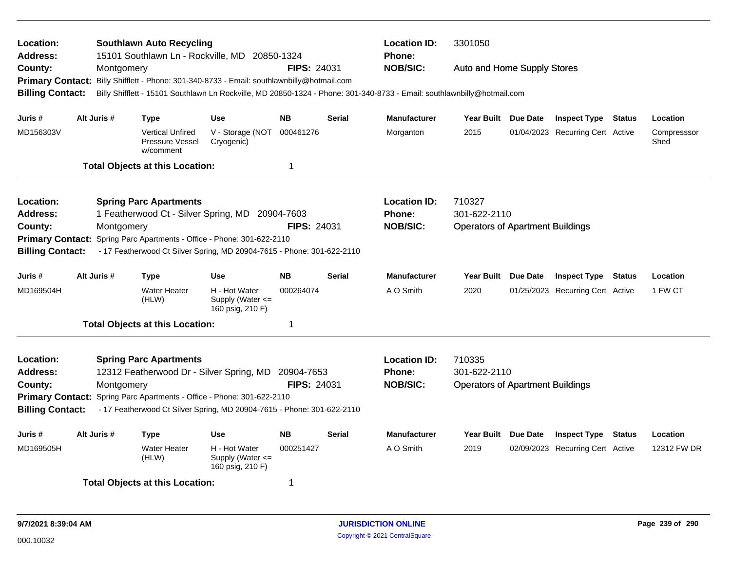| Location:<br><b>Address:</b><br>County:<br><b>Primary Contact:</b><br><b>Billing Contact:</b> | Montgomery                                                                                         | <b>Southlawn Auto Recycling</b><br>15101 Southlawn Ln - Rockville, MD 20850-1324<br>Billy Shifflett - Phone: 301-340-8733 - Email: southlawnbilly@hotmail.com                                                                            |                                                           | <b>FIPS: 24031</b> |               | <b>Location ID:</b><br>3301050<br><b>Phone:</b><br><b>NOB/SIC:</b><br>Auto and Home Supply Stores<br>Billy Shifflett - 15101 Southlawn Ln Rockville, MD 20850-1324 - Phone: 301-340-8733 - Email: southlawnbilly@hotmail.com |                                                                   |  |                                  |               |                     |  |
|-----------------------------------------------------------------------------------------------|----------------------------------------------------------------------------------------------------|------------------------------------------------------------------------------------------------------------------------------------------------------------------------------------------------------------------------------------------|-----------------------------------------------------------|--------------------|---------------|------------------------------------------------------------------------------------------------------------------------------------------------------------------------------------------------------------------------------|-------------------------------------------------------------------|--|----------------------------------|---------------|---------------------|--|
| Juris #                                                                                       | Alt Juris #                                                                                        | <b>Type</b>                                                                                                                                                                                                                              | Use                                                       | <b>NB</b>          | Serial        | <b>Manufacturer</b>                                                                                                                                                                                                          | Year Built Due Date                                               |  | <b>Inspect Type</b>              | Status        | Location            |  |
| MD156303V                                                                                     |                                                                                                    | <b>Vertical Unfired</b><br>Pressure Vessel<br>w/comment                                                                                                                                                                                  | V - Storage (NOT<br>Cryogenic)                            | 000461276          |               | Morganton                                                                                                                                                                                                                    | 2015                                                              |  | 01/04/2023 Recurring Cert Active |               | Compresssor<br>Shed |  |
|                                                                                               |                                                                                                    | <b>Total Objects at this Location:</b>                                                                                                                                                                                                   |                                                           | 1                  |               |                                                                                                                                                                                                                              |                                                                   |  |                                  |               |                     |  |
| Location:<br><b>Address:</b><br>County:<br><b>Billing Contact:</b>                            | Montgomery                                                                                         | <b>Spring Parc Apartments</b><br>1 Featherwood Ct - Silver Spring, MD 20904-7603<br>Primary Contact: Spring Parc Apartments - Office - Phone: 301-622-2110<br>- 17 Featherwood Ct Silver Spring, MD 20904-7615 - Phone: 301-622-2110     |                                                           | <b>FIPS: 24031</b> |               | <b>Location ID:</b><br>Phone:<br><b>NOB/SIC:</b>                                                                                                                                                                             | 710327<br>301-622-2110<br><b>Operators of Apartment Buildings</b> |  |                                  |               |                     |  |
| Juris #                                                                                       | Alt Juris #                                                                                        | <b>Type</b>                                                                                                                                                                                                                              | <b>Use</b>                                                | <b>NB</b>          | <b>Serial</b> | <b>Manufacturer</b>                                                                                                                                                                                                          | Year Built Due Date                                               |  | <b>Inspect Type</b>              | <b>Status</b> | Location            |  |
| MD169504H                                                                                     |                                                                                                    | <b>Water Heater</b><br>(HLW)                                                                                                                                                                                                             | H - Hot Water<br>Supply (Water $\leq$<br>160 psig, 210 F) | 000264074          |               | A O Smith                                                                                                                                                                                                                    | 2020                                                              |  | 01/25/2023 Recurring Cert Active |               | 1 FW CT             |  |
|                                                                                               |                                                                                                    | <b>Total Objects at this Location:</b>                                                                                                                                                                                                   |                                                           | 1                  |               |                                                                                                                                                                                                                              |                                                                   |  |                                  |               |                     |  |
| Location:<br><b>Address:</b><br>County:<br><b>Billing Contact:</b>                            | Montgomery                                                                                         | <b>Spring Parc Apartments</b><br>12312 Featherwood Dr - Silver Spring, MD 20904-7653<br>Primary Contact: Spring Parc Apartments - Office - Phone: 301-622-2110<br>- 17 Featherwood Ct Silver Spring, MD 20904-7615 - Phone: 301-622-2110 |                                                           | <b>FIPS: 24031</b> |               | <b>Location ID:</b><br><b>Phone:</b><br><b>NOB/SIC:</b>                                                                                                                                                                      | 710335<br>301-622-2110<br><b>Operators of Apartment Buildings</b> |  |                                  |               |                     |  |
| Juris #                                                                                       | Alt Juris #                                                                                        | <b>Type</b>                                                                                                                                                                                                                              | Use                                                       | <b>NB</b>          | <b>Serial</b> | <b>Manufacturer</b>                                                                                                                                                                                                          | Year Built Due Date                                               |  | <b>Inspect Type</b>              | <b>Status</b> | Location            |  |
| MD169505H                                                                                     | <b>Water Heater</b><br>H - Hot Water<br>000251427<br>(HLW)<br>Supply (Water <=<br>160 psig, 210 F) |                                                                                                                                                                                                                                          |                                                           |                    |               | A O Smith                                                                                                                                                                                                                    | 2019                                                              |  | 02/09/2023 Recurring Cert Active |               | 12312 FW DR         |  |
|                                                                                               |                                                                                                    | <b>Total Objects at this Location:</b>                                                                                                                                                                                                   |                                                           | 1                  |               |                                                                                                                                                                                                                              |                                                                   |  |                                  |               |                     |  |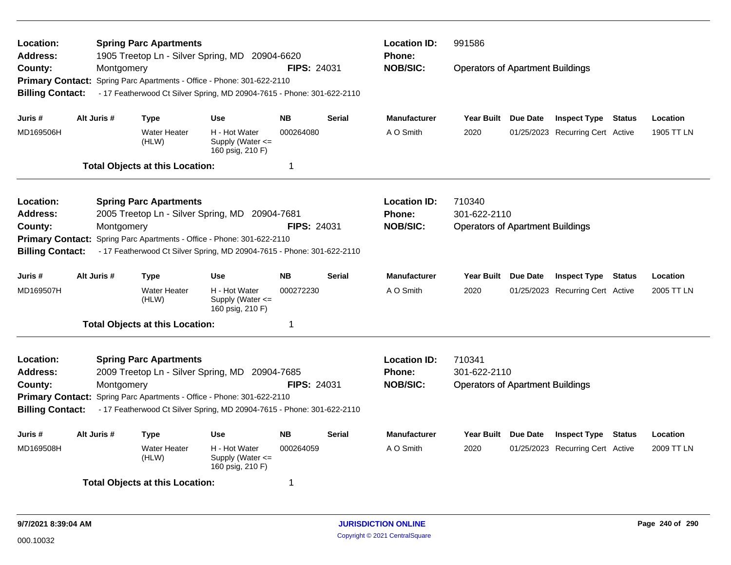| Location:<br><b>Address:</b> |                                                                                                        | <b>Spring Parc Apartments</b><br>1905 Treetop Ln - Silver Spring, MD 20904-6620 |                                                                        | <b>Location ID:</b><br><b>Phone:</b> | 991586<br><b>Operators of Apartment Buildings</b> |                     |                                         |  |                                  |               |            |
|------------------------------|--------------------------------------------------------------------------------------------------------|---------------------------------------------------------------------------------|------------------------------------------------------------------------|--------------------------------------|---------------------------------------------------|---------------------|-----------------------------------------|--|----------------------------------|---------------|------------|
| County:                      | Montgomery                                                                                             |                                                                                 |                                                                        | <b>FIPS: 24031</b>                   |                                                   | <b>NOB/SIC:</b>     |                                         |  |                                  |               |            |
|                              |                                                                                                        |                                                                                 | Primary Contact: Spring Parc Apartments - Office - Phone: 301-622-2110 |                                      |                                                   |                     |                                         |  |                                  |               |            |
| <b>Billing Contact:</b>      |                                                                                                        |                                                                                 | - 17 Featherwood Ct Silver Spring, MD 20904-7615 - Phone: 301-622-2110 |                                      |                                                   |                     |                                         |  |                                  |               |            |
| Juris #                      | Alt Juris #                                                                                            | Type                                                                            | Use                                                                    | <b>NB</b>                            | <b>Serial</b>                                     | <b>Manufacturer</b> | Year Built Due Date                     |  | <b>Inspect Type Status</b>       |               | Location   |
| MD169506H                    |                                                                                                        | <b>Water Heater</b><br>(HLW)                                                    | H - Hot Water<br>Supply (Water $\leq$<br>160 psig, 210 F)              | 000264080                            |                                                   | A O Smith           | 2020                                    |  | 01/25/2023 Recurring Cert Active |               | 1905 TT LN |
|                              |                                                                                                        | <b>Total Objects at this Location:</b>                                          |                                                                        | $\mathbf 1$                          |                                                   |                     |                                         |  |                                  |               |            |
| Location:                    |                                                                                                        | <b>Spring Parc Apartments</b>                                                   |                                                                        |                                      |                                                   | <b>Location ID:</b> | 710340                                  |  |                                  |               |            |
| <b>Address:</b>              |                                                                                                        |                                                                                 | 2005 Treetop Ln - Silver Spring, MD 20904-7681                         |                                      |                                                   | <b>Phone:</b>       | 301-622-2110                            |  |                                  |               |            |
| County:                      | Montgomery                                                                                             |                                                                                 |                                                                        | <b>FIPS: 24031</b>                   |                                                   | <b>NOB/SIC:</b>     | <b>Operators of Apartment Buildings</b> |  |                                  |               |            |
| <b>Primary Contact:</b>      |                                                                                                        |                                                                                 | Spring Parc Apartments - Office - Phone: 301-622-2110                  |                                      |                                                   |                     |                                         |  |                                  |               |            |
| <b>Billing Contact:</b>      |                                                                                                        |                                                                                 | - 17 Featherwood Ct Silver Spring, MD 20904-7615 - Phone: 301-622-2110 |                                      |                                                   |                     |                                         |  |                                  |               |            |
| Juris #                      | Alt Juris #                                                                                            | <b>Type</b>                                                                     | Use                                                                    | <b>NB</b>                            | <b>Serial</b>                                     | Manufacturer        | Year Built Due Date                     |  | <b>Inspect Type Status</b>       |               | Location   |
| MD169507H                    |                                                                                                        | <b>Water Heater</b><br>(HLW)                                                    | H - Hot Water<br>Supply (Water $\leq$<br>160 psig, 210 F)              | 000272230                            |                                                   | A O Smith           | 2020                                    |  | 01/25/2023 Recurring Cert Active |               | 2005 TT LN |
|                              |                                                                                                        | <b>Total Objects at this Location:</b>                                          |                                                                        | 1                                    |                                                   |                     |                                         |  |                                  |               |            |
| Location:                    |                                                                                                        | <b>Spring Parc Apartments</b>                                                   |                                                                        |                                      |                                                   | <b>Location ID:</b> | 710341                                  |  |                                  |               |            |
| <b>Address:</b>              |                                                                                                        |                                                                                 | 2009 Treetop Ln - Silver Spring, MD 20904-7685                         |                                      |                                                   | <b>Phone:</b>       | 301-622-2110                            |  |                                  |               |            |
| County:                      | Montgomery                                                                                             |                                                                                 |                                                                        | <b>FIPS: 24031</b>                   |                                                   | <b>NOB/SIC:</b>     | <b>Operators of Apartment Buildings</b> |  |                                  |               |            |
|                              |                                                                                                        |                                                                                 | Primary Contact: Spring Parc Apartments - Office - Phone: 301-622-2110 |                                      |                                                   |                     |                                         |  |                                  |               |            |
| <b>Billing Contact:</b>      |                                                                                                        |                                                                                 | - 17 Featherwood Ct Silver Spring, MD 20904-7615 - Phone: 301-622-2110 |                                      |                                                   |                     |                                         |  |                                  |               |            |
| Juris #                      | Alt Juris #                                                                                            | <b>Type</b>                                                                     | Use                                                                    | <b>NB</b>                            | <b>Serial</b>                                     | <b>Manufacturer</b> | Year Built Due Date                     |  | <b>Inspect Type</b>              | <b>Status</b> | Location   |
| MD169508H                    | <b>Water Heater</b><br>H - Hot Water<br>000264059<br>(HLW)<br>Supply (Water $\leq$<br>160 psig, 210 F) |                                                                                 |                                                                        |                                      |                                                   |                     | 2020                                    |  | 01/25/2023 Recurring Cert Active |               | 2009 TT LN |
|                              |                                                                                                        | <b>Total Objects at this Location:</b>                                          |                                                                        | 1                                    |                                                   |                     |                                         |  |                                  |               |            |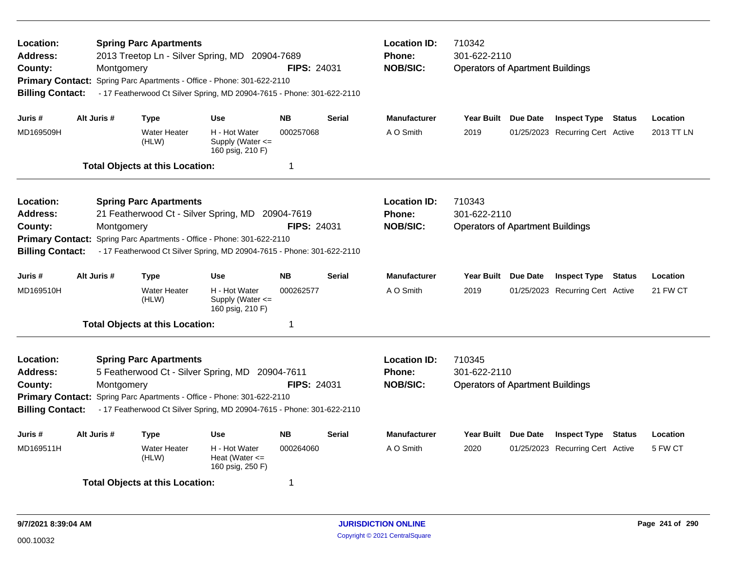| Location:<br><b>Address:</b><br>County:<br><b>Billing Contact:</b>                            | Montgomery  | <b>Spring Parc Apartments</b><br>2013 Treetop Ln - Silver Spring, MD 20904-7689<br>Primary Contact: Spring Parc Apartments - Office - Phone: 301-622-2110<br>- 17 Featherwood Ct Silver Spring, MD 20904-7615 - Phone: 301-622-2110  |                                                           | <b>FIPS: 24031</b> |               | <b>Location ID:</b><br><b>Phone:</b><br><b>NOB/SIC:</b> | 710342<br>301-622-2110<br><b>Operators of Apartment Buildings</b> |                 |                                  |        |            |  |
|-----------------------------------------------------------------------------------------------|-------------|--------------------------------------------------------------------------------------------------------------------------------------------------------------------------------------------------------------------------------------|-----------------------------------------------------------|--------------------|---------------|---------------------------------------------------------|-------------------------------------------------------------------|-----------------|----------------------------------|--------|------------|--|
| Juris #                                                                                       | Alt Juris # | <b>Type</b>                                                                                                                                                                                                                          | <b>Use</b>                                                | <b>NB</b>          | <b>Serial</b> | <b>Manufacturer</b>                                     | Year Built Due Date                                               |                 | <b>Inspect Type Status</b>       |        | Location   |  |
| MD169509H                                                                                     |             | <b>Water Heater</b><br>(HLW)                                                                                                                                                                                                         | H - Hot Water<br>Supply (Water $\leq$<br>160 psig, 210 F) | 000257068          |               | A O Smith                                               | 2019                                                              |                 | 01/25/2023 Recurring Cert Active |        | 2013 TT LN |  |
|                                                                                               |             | <b>Total Objects at this Location:</b>                                                                                                                                                                                               |                                                           | $\mathbf 1$        |               |                                                         |                                                                   |                 |                                  |        |            |  |
| Location:<br><b>Address:</b><br>County:<br><b>Primary Contact:</b><br><b>Billing Contact:</b> | Montgomery  | <b>Spring Parc Apartments</b><br>21 Featherwood Ct - Silver Spring, MD 20904-7619<br>Spring Parc Apartments - Office - Phone: 301-622-2110<br>- 17 Featherwood Ct Silver Spring, MD 20904-7615 - Phone: 301-622-2110                 |                                                           | <b>FIPS: 24031</b> |               | <b>Location ID:</b><br>Phone:<br><b>NOB/SIC:</b>        | 710343<br>301-622-2110<br><b>Operators of Apartment Buildings</b> |                 |                                  |        |            |  |
| Juris #                                                                                       | Alt Juris # | <b>Type</b>                                                                                                                                                                                                                          | Use                                                       | <b>NB</b>          | <b>Serial</b> | <b>Manufacturer</b>                                     | <b>Year Built</b>                                                 | <b>Due Date</b> | <b>Inspect Type Status</b>       |        | Location   |  |
| MD169510H                                                                                     |             | <b>Water Heater</b><br>(HLW)                                                                                                                                                                                                         | H - Hot Water<br>Supply (Water $\leq$<br>160 psig, 210 F) | 000262577          |               | A O Smith                                               | 2019                                                              |                 | 01/25/2023 Recurring Cert Active |        | 21 FW CT   |  |
|                                                                                               |             | <b>Total Objects at this Location:</b>                                                                                                                                                                                               |                                                           | $\mathbf 1$        |               |                                                         |                                                                   |                 |                                  |        |            |  |
| <b>Location:</b><br><b>Address:</b><br>County:<br><b>Billing Contact:</b>                     | Montgomery  | <b>Spring Parc Apartments</b><br>5 Featherwood Ct - Silver Spring, MD 20904-7611<br>Primary Contact: Spring Parc Apartments - Office - Phone: 301-622-2110<br>- 17 Featherwood Ct Silver Spring, MD 20904-7615 - Phone: 301-622-2110 |                                                           | <b>FIPS: 24031</b> |               | <b>Location ID:</b><br><b>Phone:</b><br><b>NOB/SIC:</b> | 710345<br>301-622-2110<br><b>Operators of Apartment Buildings</b> |                 |                                  |        |            |  |
| Juris #                                                                                       | Alt Juris # | <b>Type</b>                                                                                                                                                                                                                          | Use                                                       | <b>NB</b>          | <b>Serial</b> | <b>Manufacturer</b>                                     | <b>Year Built</b>                                                 | Due Date        | <b>Inspect Type</b>              | Status | Location   |  |
| MD169511H                                                                                     |             | <b>Water Heater</b><br>(HLW)                                                                                                                                                                                                         | H - Hot Water<br>Heat (Water $\leq$<br>160 psig, 250 F)   | 000264060          |               | A O Smith                                               | 2020                                                              |                 | 01/25/2023 Recurring Cert Active |        | 5 FW CT    |  |
|                                                                                               |             | <b>Total Objects at this Location:</b>                                                                                                                                                                                               |                                                           | 1                  |               |                                                         |                                                                   |                 |                                  |        |            |  |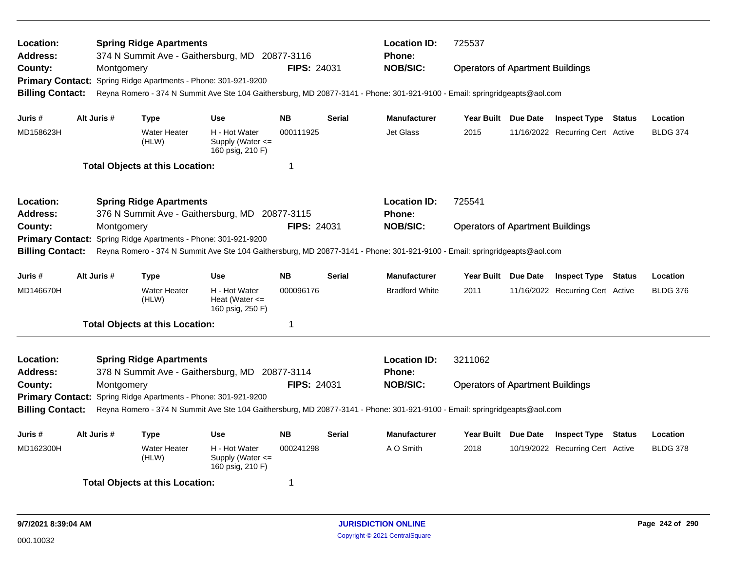| Location:<br><b>Address:</b>                                                                                    |  |             | <b>Spring Ridge Apartments</b>                                 | 374 N Summit Ave - Gaithersburg, MD 20877-3116            |                    |               | <b>Location ID:</b><br><b>Phone:</b>                                                                                       | 725537                                  |                                  |                                  |                 |                 |  |
|-----------------------------------------------------------------------------------------------------------------|--|-------------|----------------------------------------------------------------|-----------------------------------------------------------|--------------------|---------------|----------------------------------------------------------------------------------------------------------------------------|-----------------------------------------|----------------------------------|----------------------------------|-----------------|-----------------|--|
| County:                                                                                                         |  | Montgomery  |                                                                |                                                           | FIPS: 24031        |               | <b>NOB/SIC:</b>                                                                                                            | <b>Operators of Apartment Buildings</b> |                                  |                                  |                 |                 |  |
|                                                                                                                 |  |             | Primary Contact: Spring Ridge Apartments - Phone: 301-921-9200 |                                                           |                    |               |                                                                                                                            |                                         |                                  |                                  |                 |                 |  |
| <b>Billing Contact:</b>                                                                                         |  |             |                                                                |                                                           |                    |               | Reyna Romero - 374 N Summit Ave Ste 104 Gaithersburg, MD 20877-3141 - Phone: 301-921-9100 - Email: springridgeapts@aol.com |                                         |                                  |                                  |                 |                 |  |
| Juris #                                                                                                         |  | Alt Juris # | Type                                                           | <b>Use</b>                                                | <b>NB</b>          | <b>Serial</b> | <b>Manufacturer</b>                                                                                                        | Year Built Due Date                     |                                  | <b>Inspect Type Status</b>       |                 | Location        |  |
| MD158623H                                                                                                       |  |             | <b>Water Heater</b><br>(HLW)                                   | H - Hot Water<br>Supply (Water $\leq$<br>160 psig, 210 F) | 000111925          |               | <b>Jet Glass</b>                                                                                                           | 2015                                    |                                  | 11/16/2022 Recurring Cert Active |                 | <b>BLDG 374</b> |  |
|                                                                                                                 |  |             | <b>Total Objects at this Location:</b>                         |                                                           | -1                 |               |                                                                                                                            |                                         |                                  |                                  |                 |                 |  |
| Location:                                                                                                       |  |             | <b>Spring Ridge Apartments</b>                                 |                                                           |                    |               | <b>Location ID:</b>                                                                                                        | 725541                                  |                                  |                                  |                 |                 |  |
| Address:                                                                                                        |  |             |                                                                | 376 N Summit Ave - Gaithersburg, MD 20877-3115            |                    |               | Phone:                                                                                                                     |                                         |                                  |                                  |                 |                 |  |
| County:                                                                                                         |  | Montgomery  |                                                                |                                                           | <b>FIPS: 24031</b> |               | <b>NOB/SIC:</b>                                                                                                            | <b>Operators of Apartment Buildings</b> |                                  |                                  |                 |                 |  |
| <b>Primary Contact:</b>                                                                                         |  |             | Spring Ridge Apartments - Phone: 301-921-9200                  |                                                           |                    |               |                                                                                                                            |                                         |                                  |                                  |                 |                 |  |
| <b>Billing Contact:</b>                                                                                         |  |             |                                                                |                                                           |                    |               | Reyna Romero - 374 N Summit Ave Ste 104 Gaithersburg, MD 20877-3141 - Phone: 301-921-9100 - Email: springridgeapts@aol.com |                                         |                                  |                                  |                 |                 |  |
| Juris #                                                                                                         |  | Alt Juris # | <b>Type</b>                                                    | <b>Use</b>                                                | <b>NB</b>          | <b>Serial</b> | <b>Manufacturer</b>                                                                                                        | Year Built Due Date                     |                                  | <b>Inspect Type Status</b>       |                 | Location        |  |
| MD146670H                                                                                                       |  |             | <b>Water Heater</b><br>(HLW)                                   | H - Hot Water<br>Heat (Water $\leq$<br>160 psig, 250 F)   | 000096176          |               | <b>Bradford White</b>                                                                                                      | 2011                                    |                                  | 11/16/2022 Recurring Cert Active |                 | <b>BLDG 376</b> |  |
|                                                                                                                 |  |             | <b>Total Objects at this Location:</b>                         |                                                           | -1                 |               |                                                                                                                            |                                         |                                  |                                  |                 |                 |  |
| Location:                                                                                                       |  |             | <b>Spring Ridge Apartments</b>                                 |                                                           |                    |               | <b>Location ID:</b>                                                                                                        | 3211062                                 |                                  |                                  |                 |                 |  |
| Address:                                                                                                        |  |             |                                                                |                                                           |                    |               | <b>Phone:</b>                                                                                                              |                                         |                                  |                                  |                 |                 |  |
| 378 N Summit Ave - Gaithersburg, MD 20877-3114<br>County:<br>Montgomery                                         |  |             |                                                                |                                                           |                    | FIPS: 24031   | <b>NOB/SIC:</b>                                                                                                            | <b>Operators of Apartment Buildings</b> |                                  |                                  |                 |                 |  |
| <b>Primary Contact:</b><br>Spring Ridge Apartments - Phone: 301-921-9200                                        |  |             |                                                                |                                                           |                    |               |                                                                                                                            |                                         |                                  |                                  |                 |                 |  |
| <b>Billing Contact:</b>                                                                                         |  |             |                                                                |                                                           |                    |               | Reyna Romero - 374 N Summit Ave Ste 104 Gaithersburg, MD 20877-3141 - Phone: 301-921-9100 - Email: springridgeapts@aol.com |                                         |                                  |                                  |                 |                 |  |
| Juris #                                                                                                         |  | Alt Juris # | Type                                                           | Use                                                       | <b>NB</b>          | <b>Serial</b> | <b>Manufacturer</b>                                                                                                        | Year Built Due Date                     |                                  | <b>Inspect Type Status</b>       |                 | Location        |  |
| MD162300H<br>H - Hot Water<br>000241298<br><b>Water Heater</b><br>Supply (Water <=<br>(HLW)<br>160 psig, 210 F) |  |             |                                                                |                                                           |                    | A O Smith     | 2018                                                                                                                       |                                         | 10/19/2022 Recurring Cert Active |                                  | <b>BLDG 378</b> |                 |  |
|                                                                                                                 |  |             | <b>Total Objects at this Location:</b>                         |                                                           | -1                 |               |                                                                                                                            |                                         |                                  |                                  |                 |                 |  |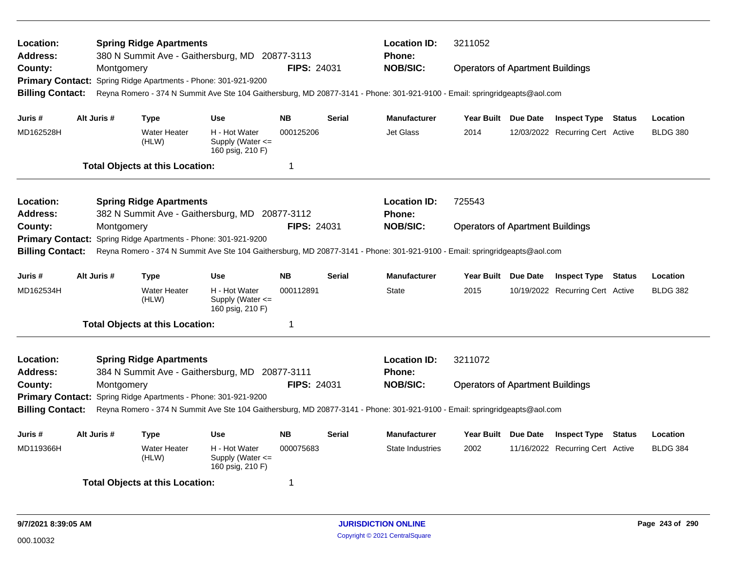| Location:<br><b>Address:</b>                                   |  |             | <b>Spring Ridge Apartments</b>                                 | 380 N Summit Ave - Gaithersburg, MD 20877-3113            |                    |               | <b>Location ID:</b><br><b>Phone:</b>                                                                                       | 3211052<br><b>Operators of Apartment Buildings</b> |  |                                  |  |                 |
|----------------------------------------------------------------|--|-------------|----------------------------------------------------------------|-----------------------------------------------------------|--------------------|---------------|----------------------------------------------------------------------------------------------------------------------------|----------------------------------------------------|--|----------------------------------|--|-----------------|
| County:                                                        |  | Montgomery  |                                                                |                                                           | <b>FIPS: 24031</b> |               | <b>NOB/SIC:</b>                                                                                                            |                                                    |  |                                  |  |                 |
|                                                                |  |             | Primary Contact: Spring Ridge Apartments - Phone: 301-921-9200 |                                                           |                    |               |                                                                                                                            |                                                    |  |                                  |  |                 |
| <b>Billing Contact:</b>                                        |  |             |                                                                |                                                           |                    |               | Reyna Romero - 374 N Summit Ave Ste 104 Gaithersburg, MD 20877-3141 - Phone: 301-921-9100 - Email: springridgeapts@aol.com |                                                    |  |                                  |  |                 |
| Juris #                                                        |  | Alt Juris # | <b>Type</b>                                                    | <b>Use</b>                                                | <b>NB</b>          | <b>Serial</b> | <b>Manufacturer</b>                                                                                                        | Year Built Due Date                                |  | <b>Inspect Type Status</b>       |  | Location        |
| MD162528H                                                      |  |             | <b>Water Heater</b><br>(HLW)                                   | H - Hot Water<br>Supply (Water $\leq$<br>160 psig, 210 F) | 000125206          |               | <b>Jet Glass</b>                                                                                                           | 2014                                               |  | 12/03/2022 Recurring Cert Active |  | <b>BLDG 380</b> |
|                                                                |  |             | <b>Total Objects at this Location:</b>                         |                                                           | 1                  |               |                                                                                                                            |                                                    |  |                                  |  |                 |
| <b>Location:</b>                                               |  |             | <b>Spring Ridge Apartments</b>                                 |                                                           |                    |               | <b>Location ID:</b>                                                                                                        | 725543                                             |  |                                  |  |                 |
| <b>Address:</b>                                                |  |             |                                                                | 382 N Summit Ave - Gaithersburg, MD 20877-3112            |                    |               | Phone:                                                                                                                     |                                                    |  |                                  |  |                 |
| County:                                                        |  | Montgomery  |                                                                |                                                           | <b>FIPS: 24031</b> |               | <b>NOB/SIC:</b>                                                                                                            | <b>Operators of Apartment Buildings</b>            |  |                                  |  |                 |
| <b>Primary Contact:</b>                                        |  |             | Spring Ridge Apartments - Phone: 301-921-9200                  |                                                           |                    |               |                                                                                                                            |                                                    |  |                                  |  |                 |
| <b>Billing Contact:</b>                                        |  |             |                                                                |                                                           |                    |               | Reyna Romero - 374 N Summit Ave Ste 104 Gaithersburg, MD 20877-3141 - Phone: 301-921-9100 - Email: springridgeapts@aol.com |                                                    |  |                                  |  |                 |
| Juris #                                                        |  | Alt Juris # | <b>Type</b>                                                    | <b>Use</b>                                                | <b>NB</b>          | <b>Serial</b> | <b>Manufacturer</b>                                                                                                        | Year Built Due Date                                |  | <b>Inspect Type Status</b>       |  | Location        |
| MD162534H                                                      |  |             | <b>Water Heater</b><br>(HLW)                                   | H - Hot Water<br>Supply (Water <=<br>160 psig, 210 F)     | 000112891          |               | <b>State</b>                                                                                                               | 2015                                               |  | 10/19/2022 Recurring Cert Active |  | <b>BLDG 382</b> |
|                                                                |  |             | <b>Total Objects at this Location:</b>                         |                                                           | -1                 |               |                                                                                                                            |                                                    |  |                                  |  |                 |
| <b>Location:</b>                                               |  |             | <b>Spring Ridge Apartments</b>                                 |                                                           |                    |               | <b>Location ID:</b>                                                                                                        | 3211072                                            |  |                                  |  |                 |
| <b>Address:</b>                                                |  |             |                                                                | 384 N Summit Ave - Gaithersburg, MD 20877-3111            |                    |               | Phone:                                                                                                                     |                                                    |  |                                  |  |                 |
| County:                                                        |  | Montgomery  |                                                                |                                                           | FIPS: 24031        |               | <b>NOB/SIC:</b>                                                                                                            | <b>Operators of Apartment Buildings</b>            |  |                                  |  |                 |
| Primary Contact: Spring Ridge Apartments - Phone: 301-921-9200 |  |             |                                                                |                                                           |                    |               |                                                                                                                            |                                                    |  |                                  |  |                 |
| <b>Billing Contact:</b>                                        |  |             |                                                                |                                                           |                    |               | Reyna Romero - 374 N Summit Ave Ste 104 Gaithersburg, MD 20877-3141 - Phone: 301-921-9100 - Email: springridgeapts@aol.com |                                                    |  |                                  |  |                 |
| Juris #                                                        |  | Alt Juris # | <b>Type</b>                                                    | <b>Use</b>                                                | <b>NB</b>          | <b>Serial</b> | <b>Manufacturer</b>                                                                                                        | Year Built Due Date                                |  | <b>Inspect Type Status</b>       |  | Location        |
| MD119366H                                                      |  |             | <b>Water Heater</b><br>(HLW)                                   | H - Hot Water<br>Supply (Water <=<br>160 psig, 210 F)     | 000075683          |               | <b>State Industries</b>                                                                                                    | 2002                                               |  | 11/16/2022 Recurring Cert Active |  | <b>BLDG 384</b> |
|                                                                |  |             | <b>Total Objects at this Location:</b>                         |                                                           | -1                 |               |                                                                                                                            |                                                    |  |                                  |  |                 |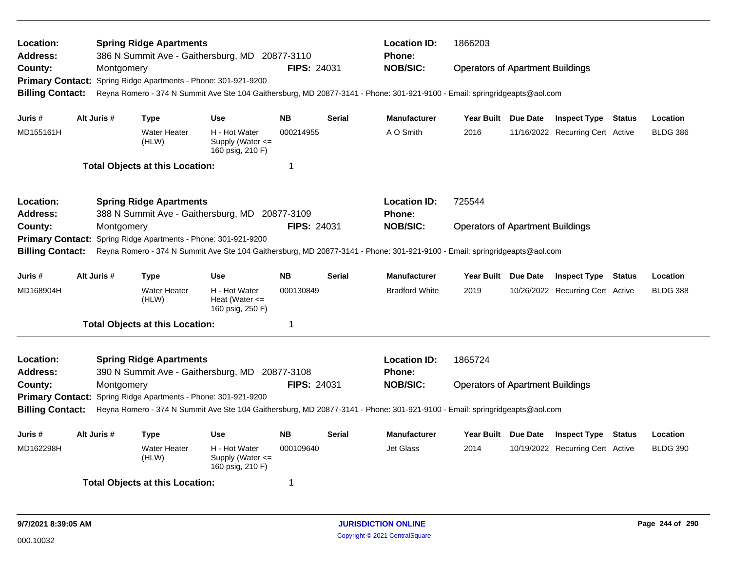| <b>Location:</b><br><b>Address:</b>                                                                             |                                                                          |             | <b>Spring Ridge Apartments</b>                                 | 386 N Summit Ave - Gaithersburg, MD 20877-3110          |                    |               | <b>Location ID:</b><br><b>Phone:</b>                                                                                       | 1866203                                 |                                  |                 |                 |
|-----------------------------------------------------------------------------------------------------------------|--------------------------------------------------------------------------|-------------|----------------------------------------------------------------|---------------------------------------------------------|--------------------|---------------|----------------------------------------------------------------------------------------------------------------------------|-----------------------------------------|----------------------------------|-----------------|-----------------|
| County:                                                                                                         |                                                                          | Montgomery  |                                                                |                                                         | <b>FIPS: 24031</b> |               | <b>NOB/SIC:</b>                                                                                                            | <b>Operators of Apartment Buildings</b> |                                  |                 |                 |
|                                                                                                                 |                                                                          |             | Primary Contact: Spring Ridge Apartments - Phone: 301-921-9200 |                                                         |                    |               |                                                                                                                            |                                         |                                  |                 |                 |
| <b>Billing Contact:</b>                                                                                         |                                                                          |             |                                                                |                                                         |                    |               | Reyna Romero - 374 N Summit Ave Ste 104 Gaithersburg, MD 20877-3141 - Phone: 301-921-9100 - Email: springridgeapts@aol.com |                                         |                                  |                 |                 |
| Juris #                                                                                                         |                                                                          | Alt Juris # | Type                                                           | <b>Use</b>                                              | <b>NB</b>          | <b>Serial</b> | <b>Manufacturer</b>                                                                                                        | Year Built Due Date                     | <b>Inspect Type Status</b>       |                 | Location        |
| MD155161H                                                                                                       |                                                                          |             | <b>Water Heater</b><br>(HLW)                                   | H - Hot Water<br>Supply (Water <=<br>160 psig, 210 F)   | 000214955          |               | A O Smith                                                                                                                  | 2016                                    | 11/16/2022 Recurring Cert Active |                 | <b>BLDG 386</b> |
|                                                                                                                 |                                                                          |             | <b>Total Objects at this Location:</b>                         |                                                         | -1                 |               |                                                                                                                            |                                         |                                  |                 |                 |
| Location:                                                                                                       |                                                                          |             | <b>Spring Ridge Apartments</b>                                 |                                                         |                    |               | <b>Location ID:</b>                                                                                                        | 725544                                  |                                  |                 |                 |
| <b>Address:</b>                                                                                                 |                                                                          |             |                                                                | 388 N Summit Ave - Gaithersburg, MD 20877-3109          |                    |               | <b>Phone:</b>                                                                                                              |                                         |                                  |                 |                 |
| County:                                                                                                         |                                                                          | Montgomery  |                                                                |                                                         | FIPS: 24031        |               | <b>NOB/SIC:</b>                                                                                                            | <b>Operators of Apartment Buildings</b> |                                  |                 |                 |
| <b>Primary Contact:</b>                                                                                         |                                                                          |             | Spring Ridge Apartments - Phone: 301-921-9200                  |                                                         |                    |               |                                                                                                                            |                                         |                                  |                 |                 |
| <b>Billing Contact:</b>                                                                                         |                                                                          |             |                                                                |                                                         |                    |               | Reyna Romero - 374 N Summit Ave Ste 104 Gaithersburg, MD 20877-3141 - Phone: 301-921-9100 - Email: springridgeapts@aol.com |                                         |                                  |                 |                 |
| Juris #                                                                                                         |                                                                          | Alt Juris # | Type                                                           | <b>Use</b>                                              | <b>NB</b>          | <b>Serial</b> | <b>Manufacturer</b>                                                                                                        | Year Built Due Date                     | <b>Inspect Type Status</b>       |                 | Location        |
| MD168904H                                                                                                       |                                                                          |             | <b>Water Heater</b><br>(HLW)                                   | H - Hot Water<br>Heat (Water $\leq$<br>160 psig, 250 F) | 000130849          |               | <b>Bradford White</b>                                                                                                      | 2019                                    | 10/26/2022 Recurring Cert Active |                 | <b>BLDG 388</b> |
|                                                                                                                 |                                                                          |             | <b>Total Objects at this Location:</b>                         |                                                         | -1                 |               |                                                                                                                            |                                         |                                  |                 |                 |
| Location:                                                                                                       |                                                                          |             | <b>Spring Ridge Apartments</b>                                 |                                                         |                    |               | <b>Location ID:</b>                                                                                                        | 1865724                                 |                                  |                 |                 |
| <b>Address:</b>                                                                                                 |                                                                          |             |                                                                | 390 N Summit Ave - Gaithersburg, MD 20877-3108          |                    |               | <b>Phone:</b>                                                                                                              |                                         |                                  |                 |                 |
| County:                                                                                                         | FIPS: 24031<br>Montgomery                                                |             |                                                                |                                                         |                    |               | <b>NOB/SIC:</b>                                                                                                            | <b>Operators of Apartment Buildings</b> |                                  |                 |                 |
|                                                                                                                 | <b>Primary Contact:</b><br>Spring Ridge Apartments - Phone: 301-921-9200 |             |                                                                |                                                         |                    |               |                                                                                                                            |                                         |                                  |                 |                 |
| <b>Billing Contact:</b>                                                                                         |                                                                          |             |                                                                |                                                         |                    |               | Reyna Romero - 374 N Summit Ave Ste 104 Gaithersburg, MD 20877-3141 - Phone: 301-921-9100 - Email: springridgeapts@aol.com |                                         |                                  |                 |                 |
| Juris #                                                                                                         |                                                                          | Alt Juris # | Type                                                           | Use                                                     | <b>NB</b>          | <b>Serial</b> | <b>Manufacturer</b>                                                                                                        | Year Built Due Date                     | <b>Inspect Type</b>              | Status          | Location        |
| MD162298H<br>H - Hot Water<br>000109640<br><b>Water Heater</b><br>Supply (Water <=<br>(HLW)<br>160 psig, 210 F) |                                                                          |             |                                                                |                                                         |                    | Jet Glass     | 2014                                                                                                                       | 10/19/2022 Recurring Cert Active        |                                  | <b>BLDG 390</b> |                 |
|                                                                                                                 |                                                                          |             | <b>Total Objects at this Location:</b>                         |                                                         | -1                 |               |                                                                                                                            |                                         |                                  |                 |                 |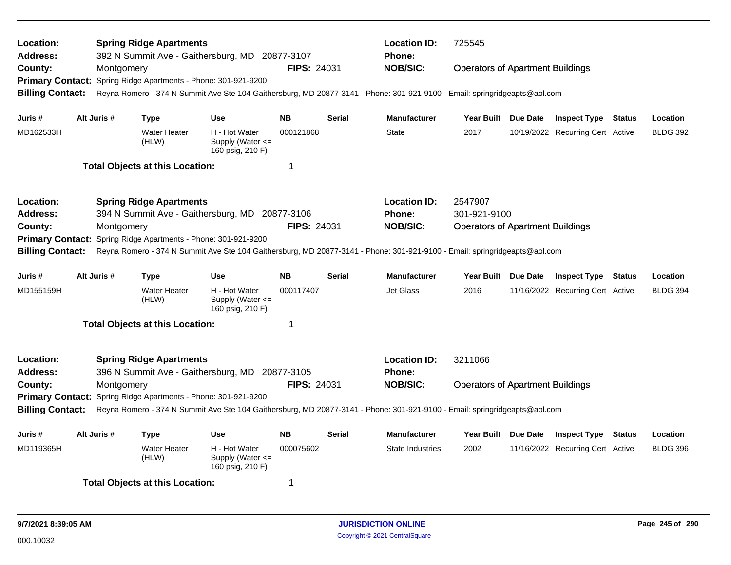| Location:<br>Address:   |             | <b>Spring Ridge Apartments</b>                | 392 N Summit Ave - Gaithersburg, MD 20877-3107            |                         |               | <b>Location ID:</b><br><b>Phone:</b>                                                                                       | 725545                                  |  |                                  |               |                 |  |
|-------------------------|-------------|-----------------------------------------------|-----------------------------------------------------------|-------------------------|---------------|----------------------------------------------------------------------------------------------------------------------------|-----------------------------------------|--|----------------------------------|---------------|-----------------|--|
| County:                 | Montgomery  |                                               |                                                           | <b>FIPS: 24031</b>      |               | <b>NOB/SIC:</b>                                                                                                            | <b>Operators of Apartment Buildings</b> |  |                                  |               |                 |  |
| <b>Primary Contact:</b> |             | Spring Ridge Apartments - Phone: 301-921-9200 |                                                           |                         |               |                                                                                                                            |                                         |  |                                  |               |                 |  |
| <b>Billing Contact:</b> |             |                                               |                                                           |                         |               | Reyna Romero - 374 N Summit Ave Ste 104 Gaithersburg, MD 20877-3141 - Phone: 301-921-9100 - Email: springridgeapts@aol.com |                                         |  |                                  |               |                 |  |
| Juris #                 | Alt Juris # | <b>Type</b>                                   | <b>Use</b>                                                | <b>NB</b>               | <b>Serial</b> | <b>Manufacturer</b>                                                                                                        | Year Built Due Date                     |  | <b>Inspect Type Status</b>       |               | Location        |  |
| MD162533H               |             | <b>Water Heater</b><br>(HLW)                  | H - Hot Water<br>Supply (Water <=<br>160 psig, 210 F)     | 000121868               |               | State                                                                                                                      | 2017                                    |  | 10/19/2022 Recurring Cert Active |               | <b>BLDG 392</b> |  |
|                         |             | <b>Total Objects at this Location:</b>        |                                                           | -1                      |               |                                                                                                                            |                                         |  |                                  |               |                 |  |
| Location:               |             | <b>Spring Ridge Apartments</b>                |                                                           |                         |               | <b>Location ID:</b>                                                                                                        | 2547907                                 |  |                                  |               |                 |  |
| <b>Address:</b>         |             |                                               | 394 N Summit Ave - Gaithersburg, MD 20877-3106            |                         |               | <b>Phone:</b>                                                                                                              | 301-921-9100                            |  |                                  |               |                 |  |
| County:                 | Montgomery  |                                               |                                                           | <b>FIPS: 24031</b>      |               | <b>NOB/SIC:</b>                                                                                                            | <b>Operators of Apartment Buildings</b> |  |                                  |               |                 |  |
| <b>Primary Contact:</b> |             | Spring Ridge Apartments - Phone: 301-921-9200 |                                                           |                         |               |                                                                                                                            |                                         |  |                                  |               |                 |  |
| <b>Billing Contact:</b> |             |                                               |                                                           |                         |               | Reyna Romero - 374 N Summit Ave Ste 104 Gaithersburg, MD 20877-3141 - Phone: 301-921-9100 - Email: springridgeapts@aol.com |                                         |  |                                  |               |                 |  |
| Juris #                 | Alt Juris # | Type                                          | Use                                                       | <b>NB</b>               | Serial        | <b>Manufacturer</b>                                                                                                        | Year Built Due Date                     |  | <b>Inspect Type Status</b>       |               | Location        |  |
| MD155159H               |             | <b>Water Heater</b><br>(HLW)                  | H - Hot Water<br>Supply (Water <=<br>160 psig, 210 F)     | 000117407               |               | <b>Jet Glass</b>                                                                                                           | 2016                                    |  | 11/16/2022 Recurring Cert Active |               | <b>BLDG 394</b> |  |
|                         |             | <b>Total Objects at this Location:</b>        |                                                           | $\overline{\mathbf{1}}$ |               |                                                                                                                            |                                         |  |                                  |               |                 |  |
| Location:               |             | <b>Spring Ridge Apartments</b>                |                                                           |                         |               | <b>Location ID:</b>                                                                                                        | 3211066                                 |  |                                  |               |                 |  |
| <b>Address:</b>         |             |                                               | 396 N Summit Ave - Gaithersburg, MD 20877-3105            |                         |               | <b>Phone:</b>                                                                                                              |                                         |  |                                  |               |                 |  |
| County:                 | Montgomery  |                                               |                                                           | <b>FIPS: 24031</b>      |               | <b>NOB/SIC:</b>                                                                                                            | <b>Operators of Apartment Buildings</b> |  |                                  |               |                 |  |
| <b>Primary Contact:</b> |             | Spring Ridge Apartments - Phone: 301-921-9200 |                                                           |                         |               |                                                                                                                            |                                         |  |                                  |               |                 |  |
| <b>Billing Contact:</b> |             |                                               |                                                           |                         |               | Reyna Romero - 374 N Summit Ave Ste 104 Gaithersburg, MD 20877-3141 - Phone: 301-921-9100 - Email: springridgeapts@aol.com |                                         |  |                                  |               |                 |  |
| Juris #                 | Alt Juris # | Type                                          | Use                                                       | <b>NB</b>               | Serial        | <b>Manufacturer</b>                                                                                                        | Year Built Due Date                     |  | <b>Inspect Type</b>              | <b>Status</b> | Location        |  |
| MD119365H               |             | <b>Water Heater</b><br>(HLW)                  | H - Hot Water<br>Supply (Water $\leq$<br>160 psig, 210 F) | 000075602               |               | <b>State Industries</b>                                                                                                    | 2002                                    |  | 11/16/2022 Recurring Cert Active |               | <b>BLDG 396</b> |  |
|                         |             | <b>Total Objects at this Location:</b>        |                                                           | -1                      |               |                                                                                                                            |                                         |  |                                  |               |                 |  |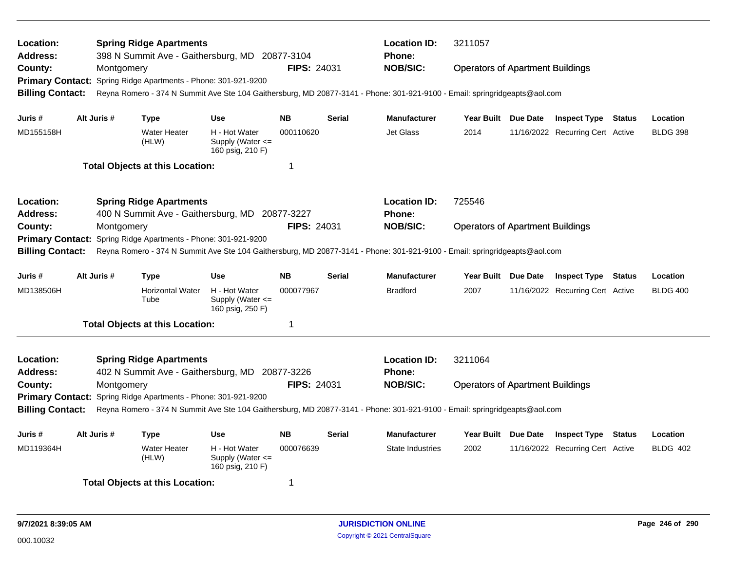| Location:<br><b>Address:</b>                                                                                                                          |  |             | <b>Spring Ridge Apartments</b>                                 | 398 N Summit Ave - Gaithersburg, MD 20877-3104        |                    |               | <b>Location ID:</b><br><b>Phone:</b>                                                                                       | 3211057                                 |                                  |               |                 |
|-------------------------------------------------------------------------------------------------------------------------------------------------------|--|-------------|----------------------------------------------------------------|-------------------------------------------------------|--------------------|---------------|----------------------------------------------------------------------------------------------------------------------------|-----------------------------------------|----------------------------------|---------------|-----------------|
| County:                                                                                                                                               |  | Montgomery  |                                                                |                                                       | <b>FIPS: 24031</b> |               | <b>NOB/SIC:</b>                                                                                                            | <b>Operators of Apartment Buildings</b> |                                  |               |                 |
|                                                                                                                                                       |  |             | Primary Contact: Spring Ridge Apartments - Phone: 301-921-9200 |                                                       |                    |               |                                                                                                                            |                                         |                                  |               |                 |
| <b>Billing Contact:</b>                                                                                                                               |  |             |                                                                |                                                       |                    |               | Reyna Romero - 374 N Summit Ave Ste 104 Gaithersburg, MD 20877-3141 - Phone: 301-921-9100 - Email: springridgeapts@aol.com |                                         |                                  |               |                 |
|                                                                                                                                                       |  |             |                                                                |                                                       |                    |               |                                                                                                                            |                                         |                                  |               |                 |
| Juris #                                                                                                                                               |  | Alt Juris # | Type                                                           | <b>Use</b>                                            | <b>NB</b>          | <b>Serial</b> | <b>Manufacturer</b>                                                                                                        | Year Built Due Date                     | <b>Inspect Type Status</b>       |               | Location        |
| MD155158H                                                                                                                                             |  |             | <b>Water Heater</b><br>(HLW)                                   | H - Hot Water<br>Supply (Water <=<br>160 psig, 210 F) | 000110620          |               | Jet Glass                                                                                                                  | 2014                                    | 11/16/2022 Recurring Cert Active |               | <b>BLDG 398</b> |
|                                                                                                                                                       |  |             | <b>Total Objects at this Location:</b>                         |                                                       | $\mathbf 1$        |               |                                                                                                                            |                                         |                                  |               |                 |
| <b>Location:</b>                                                                                                                                      |  |             | <b>Spring Ridge Apartments</b>                                 |                                                       |                    |               | <b>Location ID:</b>                                                                                                        | 725546                                  |                                  |               |                 |
| <b>Address:</b>                                                                                                                                       |  |             |                                                                | 400 N Summit Ave - Gaithersburg, MD 20877-3227        |                    |               | <b>Phone:</b>                                                                                                              |                                         |                                  |               |                 |
| County:                                                                                                                                               |  | Montgomery  |                                                                |                                                       | <b>FIPS: 24031</b> |               | <b>NOB/SIC:</b>                                                                                                            | <b>Operators of Apartment Buildings</b> |                                  |               |                 |
| <b>Primary Contact:</b>                                                                                                                               |  |             | Spring Ridge Apartments - Phone: 301-921-9200                  |                                                       |                    |               |                                                                                                                            |                                         |                                  |               |                 |
| <b>Billing Contact:</b>                                                                                                                               |  |             |                                                                |                                                       |                    |               | Reyna Romero - 374 N Summit Ave Ste 104 Gaithersburg, MD 20877-3141 - Phone: 301-921-9100 - Email: springridgeapts@aol.com |                                         |                                  |               |                 |
| Juris #                                                                                                                                               |  | Alt Juris # | <b>Type</b>                                                    | <b>Use</b>                                            | <b>NB</b>          | <b>Serial</b> | <b>Manufacturer</b>                                                                                                        | Year Built Due Date                     | <b>Inspect Type Status</b>       |               | Location        |
| MD138506H                                                                                                                                             |  |             | <b>Horizontal Water</b><br>Tube                                | H - Hot Water<br>Supply (Water <=<br>160 psig, 250 F) | 000077967          |               | <b>Bradford</b>                                                                                                            | 2007                                    | 11/16/2022 Recurring Cert Active |               | <b>BLDG 400</b> |
|                                                                                                                                                       |  |             | <b>Total Objects at this Location:</b>                         |                                                       | $\mathbf 1$        |               |                                                                                                                            |                                         |                                  |               |                 |
| <b>Location:</b>                                                                                                                                      |  |             | <b>Spring Ridge Apartments</b>                                 |                                                       |                    |               | <b>Location ID:</b>                                                                                                        | 3211064                                 |                                  |               |                 |
| <b>Address:</b>                                                                                                                                       |  |             |                                                                | 402 N Summit Ave - Gaithersburg, MD 20877-3226        |                    |               | <b>Phone:</b>                                                                                                              |                                         |                                  |               |                 |
| County:                                                                                                                                               |  | Montgomery  |                                                                |                                                       | FIPS: 24031        |               | <b>NOB/SIC:</b>                                                                                                            | <b>Operators of Apartment Buildings</b> |                                  |               |                 |
|                                                                                                                                                       |  |             | Primary Contact: Spring Ridge Apartments - Phone: 301-921-9200 |                                                       |                    |               |                                                                                                                            |                                         |                                  |               |                 |
| <b>Billing Contact:</b><br>Reyna Romero - 374 N Summit Ave Ste 104 Gaithersburg, MD 20877-3141 - Phone: 301-921-9100 - Email: springridgeapts@aol.com |  |             |                                                                |                                                       |                    |               |                                                                                                                            |                                         |                                  |               |                 |
| Juris #                                                                                                                                               |  | Alt Juris # | Type                                                           | Use                                                   | <b>NB</b>          | <b>Serial</b> | <b>Manufacturer</b>                                                                                                        | Year Built Due Date                     | <b>Inspect Type</b>              | <b>Status</b> | Location        |
| MD119364H                                                                                                                                             |  |             | <b>Water Heater</b><br>(HLW)                                   | H - Hot Water<br>Supply (Water <=<br>160 psig, 210 F) | 000076639          |               | <b>State Industries</b>                                                                                                    | 2002                                    | 11/16/2022 Recurring Cert Active |               | <b>BLDG 402</b> |
|                                                                                                                                                       |  |             | <b>Total Objects at this Location:</b>                         |                                                       | -1                 |               |                                                                                                                            |                                         |                                  |               |                 |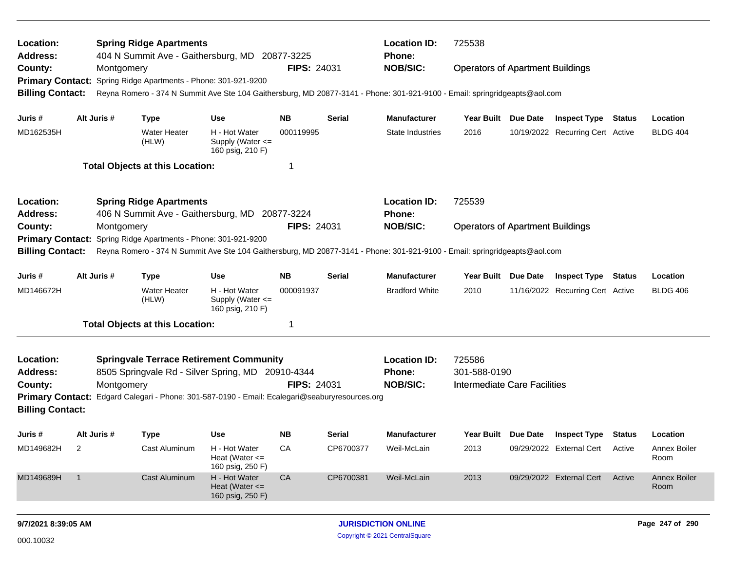| Location:<br>Address:   |                          |             | <b>Spring Ridge Apartments</b>                                 | 404 N Summit Ave - Gaithersburg, MD 20877-3225                                                                             |                    |           | <b>Location ID:</b><br><b>Phone:</b> | 725538                                  |                 |                                  |               |                             |
|-------------------------|--------------------------|-------------|----------------------------------------------------------------|----------------------------------------------------------------------------------------------------------------------------|--------------------|-----------|--------------------------------------|-----------------------------------------|-----------------|----------------------------------|---------------|-----------------------------|
| County:                 |                          | Montgomery  |                                                                |                                                                                                                            | <b>FIPS: 24031</b> |           | <b>NOB/SIC:</b>                      | <b>Operators of Apartment Buildings</b> |                 |                                  |               |                             |
|                         |                          |             | Primary Contact: Spring Ridge Apartments - Phone: 301-921-9200 |                                                                                                                            |                    |           |                                      |                                         |                 |                                  |               |                             |
| <b>Billing Contact:</b> |                          |             |                                                                | Reyna Romero - 374 N Summit Ave Ste 104 Gaithersburg, MD 20877-3141 - Phone: 301-921-9100 - Email: springridgeapts@aol.com |                    |           |                                      |                                         |                 |                                  |               |                             |
| Juris #                 |                          | Alt Juris # | <b>Type</b>                                                    | Use                                                                                                                        | <b>NB</b>          | Serial    | <b>Manufacturer</b>                  | Year Built Due Date                     |                 | <b>Inspect Type Status</b>       |               | Location                    |
| MD162535H               |                          |             | <b>Water Heater</b><br>(HLW)                                   | H - Hot Water<br>Supply (Water <=<br>160 psig, 210 F)                                                                      | 000119995          |           | <b>State Industries</b>              | 2016                                    |                 | 10/19/2022 Recurring Cert Active |               | <b>BLDG 404</b>             |
|                         |                          |             | <b>Total Objects at this Location:</b>                         |                                                                                                                            | -1                 |           |                                      |                                         |                 |                                  |               |                             |
| Location:               |                          |             | <b>Spring Ridge Apartments</b>                                 |                                                                                                                            |                    |           | <b>Location ID:</b>                  | 725539                                  |                 |                                  |               |                             |
| <b>Address:</b>         |                          |             |                                                                | 406 N Summit Ave - Gaithersburg, MD 20877-3224                                                                             |                    |           | <b>Phone:</b>                        |                                         |                 |                                  |               |                             |
| County:                 |                          | Montgomery  |                                                                |                                                                                                                            | <b>FIPS: 24031</b> |           | <b>NOB/SIC:</b>                      | <b>Operators of Apartment Buildings</b> |                 |                                  |               |                             |
| <b>Primary Contact:</b> |                          |             | Spring Ridge Apartments - Phone: 301-921-9200                  |                                                                                                                            |                    |           |                                      |                                         |                 |                                  |               |                             |
| <b>Billing Contact:</b> |                          |             |                                                                | Reyna Romero - 374 N Summit Ave Ste 104 Gaithersburg, MD 20877-3141 - Phone: 301-921-9100 - Email: springridgeapts@aol.com |                    |           |                                      |                                         |                 |                                  |               |                             |
| Juris #                 |                          | Alt Juris # | <b>Type</b>                                                    | <b>Use</b>                                                                                                                 | <b>NB</b>          | Serial    | <b>Manufacturer</b>                  | <b>Year Built</b>                       | <b>Due Date</b> | <b>Inspect Type</b>              | <b>Status</b> | Location                    |
| MD146672H               |                          |             | <b>Water Heater</b><br>(HLW)                                   | H - Hot Water<br>Supply (Water <=<br>160 psig, 210 F)                                                                      | 000091937          |           | <b>Bradford White</b>                | 2010                                    |                 | 11/16/2022 Recurring Cert Active |               | <b>BLDG 406</b>             |
|                         |                          |             | <b>Total Objects at this Location:</b>                         |                                                                                                                            | -1                 |           |                                      |                                         |                 |                                  |               |                             |
| Location:<br>Address:   |                          |             |                                                                | <b>Springvale Terrace Retirement Community</b><br>8505 Springvale Rd - Silver Spring, MD 20910-4344                        |                    |           | <b>Location ID:</b><br>Phone:        | 725586<br>301-588-0190                  |                 |                                  |               |                             |
| County:                 |                          | Montgomery  |                                                                |                                                                                                                            | <b>FIPS: 24031</b> |           | <b>NOB/SIC:</b>                      | Intermediate Care Facilities            |                 |                                  |               |                             |
| <b>Billing Contact:</b> |                          |             |                                                                | Primary Contact: Edgard Calegari - Phone: 301-587-0190 - Email: Ecalegari@seaburyresources.org                             |                    |           |                                      |                                         |                 |                                  |               |                             |
| Juris #                 |                          | Alt Juris # | <b>Type</b>                                                    | Use                                                                                                                        | <b>NB</b>          | Serial    | <b>Manufacturer</b>                  | Year Built Due Date                     |                 | <b>Inspect Type Status</b>       |               | Location                    |
| MD149682H               | $\overline{\phantom{0}}$ |             | Cast Aluminum                                                  | H - Hot Water<br>Heat (Water $\leq$<br>160 psig, 250 F)                                                                    | CA                 | CP6700377 | Weil-McLain                          | 2013                                    |                 | 09/29/2022 External Cert Active  |               | <b>Annex Boiler</b><br>Room |
| MD149689H               | $\overline{1}$           |             | Cast Aluminum                                                  | H - Hot Water<br>Heat (Water $\leq$<br>160 psig, 250 F)                                                                    | CA                 | CP6700381 | Weil-McLain                          | 2013                                    |                 | 09/29/2022 External Cert         | Active        | <b>Annex Boiler</b><br>Room |
| 9/7/2021 8:39:05 AM     |                          |             |                                                                |                                                                                                                            |                    |           | <b>JURISDICTION ONLINE</b>           |                                         |                 |                                  |               | Page 247 of 290             |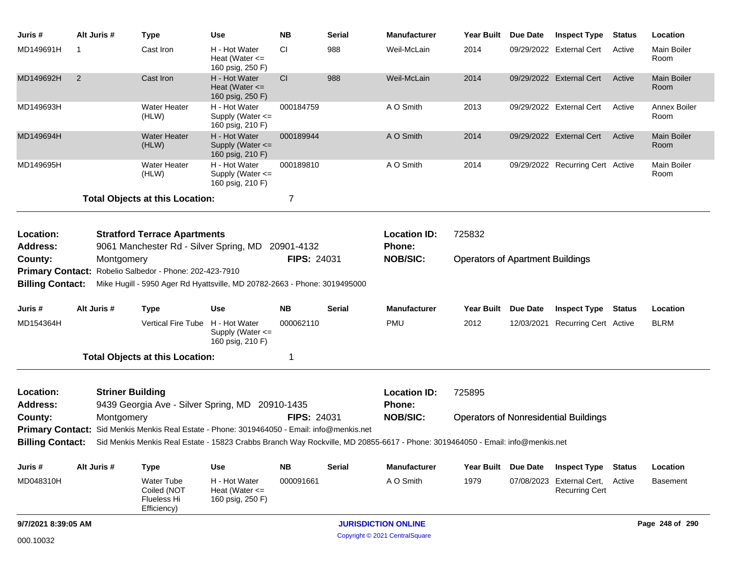| Juris #                            | Alt Juris #    | <b>Type</b>                                                                                                                                    | Use                                                     | <b>NB</b>          | <b>Serial</b> | <b>Manufacturer</b>                  | Year Built                              | <b>Due Date</b> | <b>Inspect Type</b>                                | <b>Status</b> | Location                   |
|------------------------------------|----------------|------------------------------------------------------------------------------------------------------------------------------------------------|---------------------------------------------------------|--------------------|---------------|--------------------------------------|-----------------------------------------|-----------------|----------------------------------------------------|---------------|----------------------------|
| MD149691H                          | -1             | Cast Iron                                                                                                                                      | H - Hot Water<br>Heat (Water $\leq$<br>160 psig, 250 F) | CI.                | 988           | Weil-McLain                          | 2014                                    |                 | 09/29/2022 External Cert                           | Active        | Main Boiler<br>Room        |
| MD149692H                          | $\overline{2}$ | Cast Iron                                                                                                                                      | H - Hot Water<br>Heat (Water $\leq$<br>160 psig, 250 F) | CI                 | 988           | Weil-McLain                          | 2014                                    |                 | 09/29/2022 External Cert                           | Active        | <b>Main Boiler</b><br>Room |
| MD149693H                          |                | <b>Water Heater</b><br>(HLW)                                                                                                                   | H - Hot Water<br>Supply (Water <=<br>160 psig, 210 F)   | 000184759          |               | A O Smith                            | 2013                                    |                 | 09/29/2022 External Cert                           | Active        | Annex Boiler<br>Room       |
| MD149694H                          |                | Water Heater<br>(HLW)                                                                                                                          | H - Hot Water<br>Supply (Water <=<br>160 psig, 210 F)   | 000189944          |               | A O Smith                            | 2014                                    |                 | 09/29/2022 External Cert                           | Active        | <b>Main Boiler</b><br>Room |
| MD149695H                          |                | Water Heater<br>(HLW)                                                                                                                          | H - Hot Water<br>Supply (Water <=<br>160 psig, 210 F)   | 000189810          |               | A O Smith                            | 2014                                    |                 | 09/29/2022 Recurring Cert Active                   |               | Main Boiler<br>Room        |
|                                    |                | <b>Total Objects at this Location:</b>                                                                                                         |                                                         | 7                  |               |                                      |                                         |                 |                                                    |               |                            |
| Location:<br><b>Address:</b>       |                | <b>Stratford Terrace Apartments</b><br>9061 Manchester Rd - Silver Spring, MD                                                                  |                                                         | 20901-4132         |               | <b>Location ID:</b><br><b>Phone:</b> | 725832                                  |                 |                                                    |               |                            |
| County:<br><b>Billing Contact:</b> | Montgomery     | Primary Contact: Robelio Salbedor - Phone: 202-423-7910<br>Mike Hugill - 5950 Ager Rd Hyattsville, MD 20782-2663 - Phone: 3019495000           |                                                         | <b>FIPS: 24031</b> |               | <b>NOB/SIC:</b>                      | <b>Operators of Apartment Buildings</b> |                 |                                                    |               |                            |
| Juris #                            | Alt Juris #    | <b>Type</b>                                                                                                                                    | Use                                                     | <b>NB</b>          | Serial        | <b>Manufacturer</b>                  | <b>Year Built</b>                       | <b>Due Date</b> | <b>Inspect Type</b>                                | Status        | Location                   |
| MD154364H                          |                | Vertical Fire Tube H - Hot Water                                                                                                               | Supply (Water <=<br>160 psig, 210 F)                    | 000062110          |               | <b>PMU</b>                           | 2012                                    |                 | 12/03/2021 Recurring Cert Active                   |               | <b>BLRM</b>                |
|                                    |                | <b>Total Objects at this Location:</b>                                                                                                         |                                                         | 1                  |               |                                      |                                         |                 |                                                    |               |                            |
| Location:<br><b>Address:</b>       |                | <b>Striner Building</b><br>9439 Georgia Ave - Silver Spring, MD 20910-1435                                                                     |                                                         |                    |               | <b>Location ID:</b><br><b>Phone:</b> | 725895                                  |                 |                                                    |               |                            |
| County:                            | Montgomery     |                                                                                                                                                |                                                         | <b>FIPS: 24031</b> |               | <b>NOB/SIC:</b>                      |                                         |                 | <b>Operators of Nonresidential Buildings</b>       |               |                            |
|                                    |                | Primary Contact: Sid Menkis Menkis Real Estate - Phone: 3019464050 - Email: info@menkis.net                                                    |                                                         |                    |               |                                      |                                         |                 |                                                    |               |                            |
|                                    |                | Billing Contact: Sid Menkis Menkis Real Estate - 15823 Crabbs Branch Way Rockville, MD 20855-6617 - Phone: 3019464050 - Email: info@menkis.net |                                                         |                    |               |                                      |                                         |                 |                                                    |               |                            |
| Juris #                            | Alt Juris #    | <b>Type</b>                                                                                                                                    | <b>Use</b>                                              | <b>NB</b>          | <b>Serial</b> | Manufacturer                         | Year Built                              | Due Date        | <b>Inspect Type</b>                                | <b>Status</b> | Location                   |
| MD048310H                          |                | Water Tube<br>Coiled (NOT<br>Flueless Hi<br>Efficiency)                                                                                        | H - Hot Water<br>Heat (Water $\leq$<br>160 psig, 250 F) | 000091661          |               | A O Smith                            | 1979                                    |                 | 07/08/2023 External Cert,<br><b>Recurring Cert</b> | Active        | <b>Basement</b>            |
| 9/7/2021 8:39:05 AM                |                |                                                                                                                                                |                                                         |                    |               | <b>JURISDICTION ONLINE</b>           |                                         |                 |                                                    |               | Page 248 of 290            |
| 000.10032                          |                |                                                                                                                                                |                                                         |                    |               | Copyright © 2021 CentralSquare       |                                         |                 |                                                    |               |                            |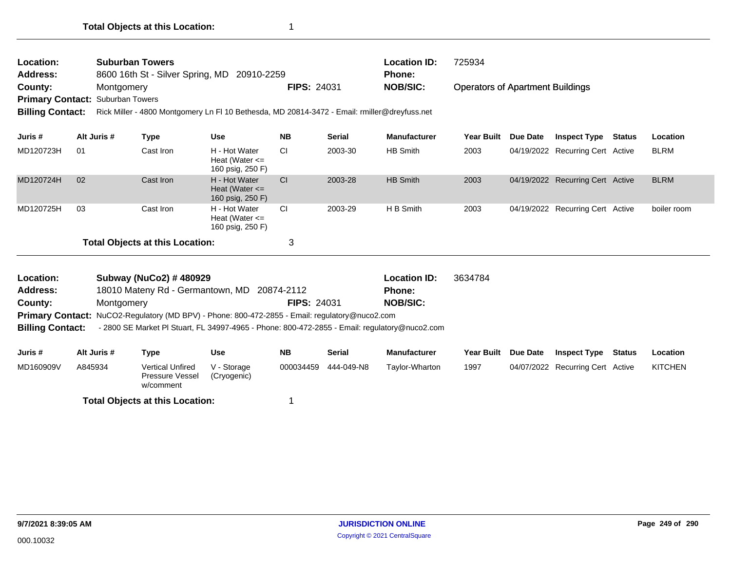| Location:<br><b>Suburban Towers</b><br><b>Address:</b><br>8600 16th St - Silver Spring, MD<br>20910-2259<br>County:<br>Montgomery<br><b>Primary Contact: Suburban Towers</b><br><b>Billing Contact:</b><br>Rick Miller - 4800 Montgomery Ln FI 10 Bethesda, MD 20814-3472 - Email: rmiller@dreyfuss.net |             |           |                                                         | <b>Location ID:</b><br><b>Phone:</b><br><b>FIPS: 24031</b><br><b>NOB/SIC:</b> |               |                     | 725934<br><b>Operators of Apartment Buildings</b> |            |                                  |        |             |  |
|---------------------------------------------------------------------------------------------------------------------------------------------------------------------------------------------------------------------------------------------------------------------------------------------------------|-------------|-----------|---------------------------------------------------------|-------------------------------------------------------------------------------|---------------|---------------------|---------------------------------------------------|------------|----------------------------------|--------|-------------|--|
| Juris #                                                                                                                                                                                                                                                                                                 | Alt Juris # | Type      | <b>Use</b>                                              | <b>NB</b>                                                                     | <b>Serial</b> | <b>Manufacturer</b> | <b>Year Built</b>                                 | Due Date   | <b>Inspect Type</b>              | Status | Location    |  |
| MD120723H                                                                                                                                                                                                                                                                                               | 01          | Cast Iron | H - Hot Water<br>Heat (Water $\leq$<br>160 psig, 250 F) | <b>CI</b>                                                                     | 2003-30       | HB Smith            | 2003                                              |            | 04/19/2022 Recurring Cert Active |        | <b>BLRM</b> |  |
| MD120724H                                                                                                                                                                                                                                                                                               | 02          | Cast Iron | H - Hot Water<br>Heat (Water $\leq$<br>160 psig, 250 F) | <b>CI</b>                                                                     | 2003-28       | HB Smith            | 2003                                              | 04/19/2022 | <b>Recurring Cert Active</b>     |        | <b>BLRM</b> |  |
| MD120725H                                                                                                                                                                                                                                                                                               | 03          | Cast Iron | H - Hot Water<br>Heat (Water $\leq$<br>160 psig, 250 F) | <b>CI</b>                                                                     | 2003-29       | H B Smith           | 2003                                              |            | 04/19/2022 Recurring Cert Active |        | boiler room |  |
| <b>Total Objects at this Location:</b>                                                                                                                                                                                                                                                                  |             |           |                                                         | 3                                                                             |               |                     |                                                   |            |                                  |        |             |  |
|                                                                                                                                                                                                                                                                                                         |             |           |                                                         |                                                                               |               |                     |                                                   |            |                                  |        |             |  |

| <b>Location:</b>        | Subway (NuCo2) # 480929                                                                        |                    | <b>Location ID:</b> | 3634784 |
|-------------------------|------------------------------------------------------------------------------------------------|--------------------|---------------------|---------|
| Address:                | 18010 Mateny Rd - Germantown, MD 20874-2112                                                    |                    | <b>Phone:</b>       |         |
| County:                 | Montgomery                                                                                     | <b>FIPS: 24031</b> | <b>NOB/SIC:</b>     |         |
|                         | Primary Contact: NuCO2-Regulatory (MD BPV) - Phone: 800-472-2855 - Email: regulatory@nuco2.com |                    |                     |         |
| <b>Billing Contact:</b> | - 2800 SE Market Pl Stuart, FL 34997-4965 - Phone: 800-472-2855 - Email: regulatory@nuco2.com  |                    |                     |         |

| Juris #   | Alt Juris # | Type                                                    | Use                        | <b>NB</b> | Serial     | <b>Manufacturer</b> | Year Built | <b>Due Date</b> | <b>Inspect Type</b>              | Status | Location       |
|-----------|-------------|---------------------------------------------------------|----------------------------|-----------|------------|---------------------|------------|-----------------|----------------------------------|--------|----------------|
| MD160909V | A845934     | <b>Vertical Unfired</b><br>Pressure Vessel<br>w/comment | V - Storage<br>(Cryogenic) | 000034459 | 444-049-N8 | Taylor-Wharton      | 1997       |                 | 04/07/2022 Recurring Cert Active |        | <b>KITCHEN</b> |
|           |             | <b>Total Objects at this Location:</b>                  |                            |           |            |                     |            |                 |                                  |        |                |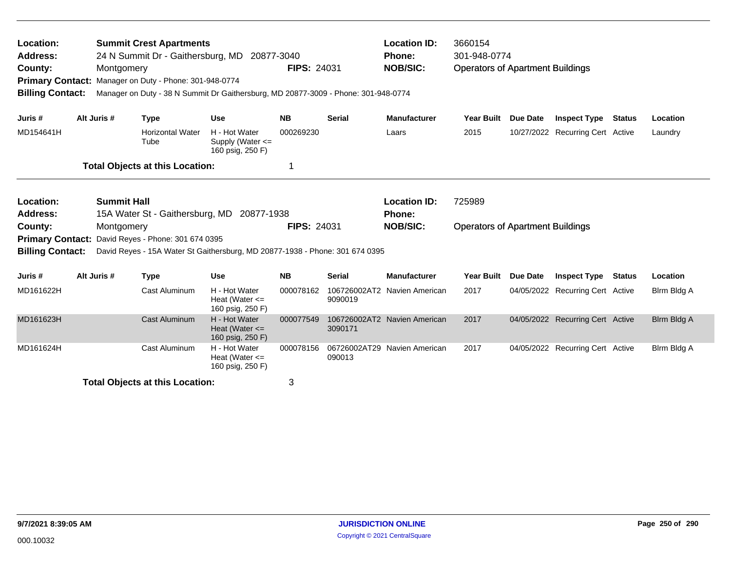| Location:<br><b>Summit Crest Apartments</b><br>24 N Summit Dr - Gaithersburg, MD 20877-3040<br>Address:<br>County:<br>Montgomery<br>Primary Contact: Manager on Duty - Phone: 301-948-0774<br><b>Billing Contact:</b><br>Manager on Duty - 38 N Summit Dr Gaithersburg, MD 20877-3009 - Phone: 301-948-0774 |  |                    |                                                                              | <b>Location ID:</b><br>Phone:<br><b>NOB/SIC:</b><br><b>FIPS: 24031</b> |                               |                         | 3660154<br>301-948-0774<br><b>Operators of Apartment Buildings</b> |                   |                 |                                  |               |             |
|-------------------------------------------------------------------------------------------------------------------------------------------------------------------------------------------------------------------------------------------------------------------------------------------------------------|--|--------------------|------------------------------------------------------------------------------|------------------------------------------------------------------------|-------------------------------|-------------------------|--------------------------------------------------------------------|-------------------|-----------------|----------------------------------|---------------|-------------|
| Juris #                                                                                                                                                                                                                                                                                                     |  | Alt Juris #        | <b>Type</b>                                                                  | <b>Use</b>                                                             | <b>NB</b>                     | <b>Serial</b>           | <b>Manufacturer</b>                                                | <b>Year Built</b> | Due Date        | <b>Inspect Type</b>              | <b>Status</b> | Location    |
| MD154641H                                                                                                                                                                                                                                                                                                   |  |                    | <b>Horizontal Water</b><br>Tube                                              | H - Hot Water<br>Supply (Water $\leq$<br>160 psig, 250 F)              | 000269230                     |                         | Laars                                                              | 2015              |                 | 10/27/2022 Recurring Cert Active |               | Laundry     |
|                                                                                                                                                                                                                                                                                                             |  |                    | <b>Total Objects at this Location:</b>                                       |                                                                        | 1                             |                         |                                                                    |                   |                 |                                  |               |             |
| Location:<br><b>Address:</b>                                                                                                                                                                                                                                                                                |  | <b>Summit Hall</b> | 15A Water St - Gaithersburg, MD                                              | 20877-1938                                                             | <b>Location ID:</b><br>Phone: |                         |                                                                    | 725989            |                 |                                  |               |             |
| County:<br>Montgomery<br>Primary Contact: David Reyes - Phone: 301 674 0395                                                                                                                                                                                                                                 |  |                    |                                                                              |                                                                        | <b>FIPS: 24031</b>            |                         | <b>NOB/SIC:</b><br><b>Operators of Apartment Buildings</b>         |                   |                 |                                  |               |             |
| <b>Billing Contact:</b>                                                                                                                                                                                                                                                                                     |  |                    | David Reyes - 15A Water St Gaithersburg, MD 20877-1938 - Phone: 301 674 0395 |                                                                        |                               |                         |                                                                    |                   |                 |                                  |               |             |
| Juris #                                                                                                                                                                                                                                                                                                     |  | Alt Juris #        | <b>Type</b>                                                                  | <b>Use</b>                                                             | <b>NB</b>                     | <b>Serial</b>           | <b>Manufacturer</b>                                                | Year Built        | <b>Due Date</b> | <b>Inspect Type</b>              | Status        | Location    |
| MD161622H                                                                                                                                                                                                                                                                                                   |  |                    | Cast Aluminum                                                                | H - Hot Water<br>Heat (Water $\leq$<br>160 psig, 250 F)                | 000078162                     | 106726002AT2<br>9090019 | Navien American                                                    | 2017              |                 | 04/05/2022 Recurring Cert Active |               | Birm Bidg A |
| MD161623H                                                                                                                                                                                                                                                                                                   |  |                    | <b>Cast Aluminum</b>                                                         | H - Hot Water<br>Heat (Water $\leq$<br>160 psig, 250 F)                | 000077549                     | 3090171                 | 106726002AT2 Navien American                                       | 2017              |                 | 04/05/2022 Recurring Cert Active |               | Blrm Bldg A |
| MD161624H                                                                                                                                                                                                                                                                                                   |  |                    | <b>Cast Aluminum</b>                                                         | H - Hot Water<br>Heat (Water $\leq$<br>160 psig, 250 F)                | 000078156                     | 090013                  | 06726002AT29 Navien American                                       | 2017              |                 | 04/05/2022 Recurring Cert Active |               | Blrm Bldg A |
|                                                                                                                                                                                                                                                                                                             |  |                    | <b>Total Objects at this Location:</b>                                       |                                                                        | 3                             |                         |                                                                    |                   |                 |                                  |               |             |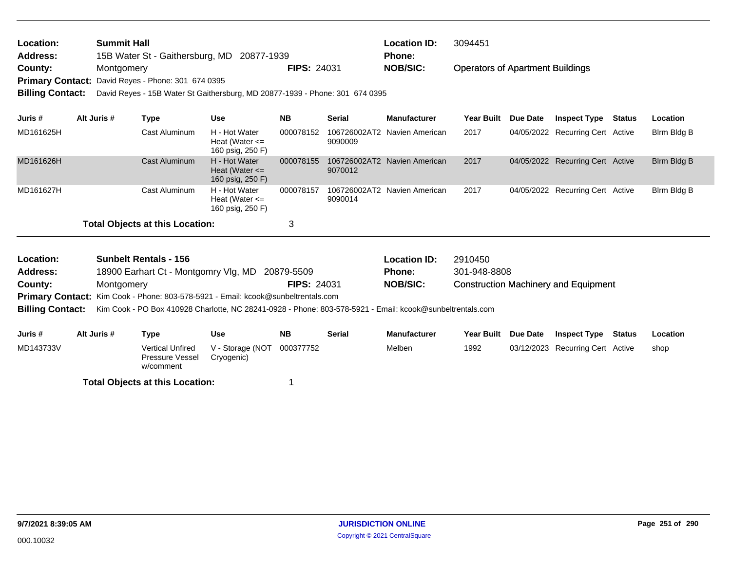| Location:               | <b>Summit Hall</b>                                                           |                    | <b>Location ID:</b> | 3094451                                 |
|-------------------------|------------------------------------------------------------------------------|--------------------|---------------------|-----------------------------------------|
| <b>Address:</b>         | 15B Water St - Gaithersburg, MD 20877-1939                                   |                    | Phone:              |                                         |
| County:                 | Montgomery                                                                   | <b>FIPS: 24031</b> | <b>NOB/SIC:</b>     | <b>Operators of Apartment Buildings</b> |
|                         | <b>Primary Contact: David Reyes - Phone: 301 674 0395</b>                    |                    |                     |                                         |
| <b>Billing Contact:</b> | David Reyes - 15B Water St Gaithersburg, MD 20877-1939 - Phone: 301 674 0395 |                    |                     |                                         |

| Juris #   | Alt Juris # | Type                                   | <b>Use</b>                                              | <b>NB</b> | <b>Serial</b> | <b>Manufacturer</b>          | <b>Year Built</b> | Due Date | <b>Inspect Type</b>              | Status | <b>Location</b> |
|-----------|-------------|----------------------------------------|---------------------------------------------------------|-----------|---------------|------------------------------|-------------------|----------|----------------------------------|--------|-----------------|
| MD161625H |             | Cast Aluminum                          | H - Hot Water<br>Heat (Water $\leq$<br>160 psig, 250 F) | 000078152 | 9090009       | 106726002AT2 Navien American | 2017              |          | 04/05/2022 Recurring Cert Active |        | Birm Bidg B     |
| MD161626H |             | Cast Aluminum                          | H - Hot Water<br>Heat (Water $\leq$<br>160 psig, 250 F) | 000078155 | 9070012       | 106726002AT2 Navien American | 2017              |          | 04/05/2022 Recurring Cert Active |        | Birm Bidg B     |
| MD161627H |             | Cast Aluminum                          | H - Hot Water<br>Heat (Water $\leq$<br>160 psig, 250 F) | 000078157 | 9090014       | 106726002AT2 Navien American | 2017              |          | 04/05/2022 Recurring Cert Active |        | Birm Bidg B     |
|           |             | <b>Total Objects at this Location:</b> |                                                         |           |               |                              |                   |          |                                  |        |                 |

| <b>Location:</b> | <b>Sunbelt Rentals - 156</b>                                                                                               |                    | <b>Location ID:</b> | 2910450                                     |
|------------------|----------------------------------------------------------------------------------------------------------------------------|--------------------|---------------------|---------------------------------------------|
| <b>Address:</b>  | 18900 Earhart Ct - Montgomry Vlg, MD 20879-5509                                                                            |                    | <b>Phone:</b>       | 301-948-8808                                |
| County:          | <b>Montgomery</b>                                                                                                          | <b>FIPS: 24031</b> | <b>NOB/SIC:</b>     | <b>Construction Machinery and Equipment</b> |
|                  | <b>Primary Contact:</b> Kim Cook - Phone: 803-578-5921 - Email: kcook@sunbeltrentals.com                                   |                    |                     |                                             |
|                  | Billing Contact: Kim Cook - PO Box 410928 Charlotte, NC 28241-0928 - Phone: 803-578-5921 - Email: kcook@sunbeltrentals.com |                    |                     |                                             |
|                  |                                                                                                                            |                    |                     |                                             |
|                  |                                                                                                                            |                    |                     |                                             |

| Juris #   | Alt Juris # | Type                                             | Use                            | <b>NB</b> | <b>Serial</b> | <b>Manufacturer</b> | Year Built Due Date | Inspect Type                     | Status | Location |
|-----------|-------------|--------------------------------------------------|--------------------------------|-----------|---------------|---------------------|---------------------|----------------------------------|--------|----------|
| MD143733V |             | Vertical Unfired<br>Pressure Vessel<br>w/comment | V - Storage (NOT<br>Cryogenic) | 000377752 |               | Melben              | 1992                | 03/12/2023 Recurring Cert Active |        | shop     |
|           |             | <b>Total Objects at this Location:</b>           |                                |           |               |                     |                     |                                  |        |          |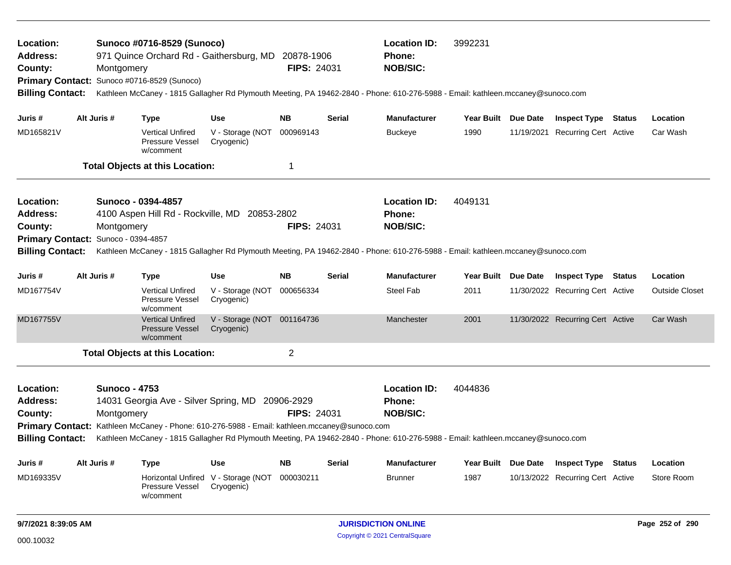| Location:<br><b>Address:</b>                                                                                                                                       |                                    | <b>Total Objects at this Location:</b><br>Sunoco - 0394-4857<br>4100 Aspen Hill Rd - Rockville, MD 20853-2802 |                                | 1                  |               | <b>Location ID:</b><br>Phone:                                                                                                                                                       | 4049131             |                                  |        |                       |
|--------------------------------------------------------------------------------------------------------------------------------------------------------------------|------------------------------------|---------------------------------------------------------------------------------------------------------------|--------------------------------|--------------------|---------------|-------------------------------------------------------------------------------------------------------------------------------------------------------------------------------------|---------------------|----------------------------------|--------|-----------------------|
| County:<br>Primary Contact: Sunoco - 0394-4857<br><b>Billing Contact:</b>                                                                                          | Montgomery                         |                                                                                                               |                                | <b>FIPS: 24031</b> |               | <b>NOB/SIC:</b><br>Kathleen McCaney - 1815 Gallagher Rd Plymouth Meeting, PA 19462-2840 - Phone: 610-276-5988 - Email: kathleen.mccaney@sunoco.com                                  |                     |                                  |        |                       |
| Juris #                                                                                                                                                            | Alt Juris #                        | <b>Type</b>                                                                                                   | <b>Use</b>                     | <b>NB</b>          | <b>Serial</b> | <b>Manufacturer</b>                                                                                                                                                                 | Year Built Due Date | <b>Inspect Type Status</b>       |        | Location              |
| MD167754V                                                                                                                                                          |                                    | <b>Vertical Unfired</b><br>Pressure Vessel<br>w/comment                                                       | V - Storage (NOT<br>Cryogenic) | 000656334          |               | Steel Fab                                                                                                                                                                           | 2011                | 11/30/2022 Recurring Cert Active |        | <b>Outside Closet</b> |
| MD167755V                                                                                                                                                          |                                    | <b>Vertical Unfired</b><br><b>Pressure Vessel</b><br>w/comment                                                | V - Storage (NOT<br>Cryogenic) | 001164736          |               | Manchester                                                                                                                                                                          | 2001                | 11/30/2022 Recurring Cert Active |        | Car Wash              |
|                                                                                                                                                                    |                                    | <b>Total Objects at this Location:</b>                                                                        |                                | $\overline{2}$     |               |                                                                                                                                                                                     |                     |                                  |        |                       |
| Location:<br><b>Address:</b><br>County:<br>Primary Contact: Kathleen McCaney - Phone: 610-276-5988 - Email: kathleen.mccaney@sunoco.com<br><b>Billing Contact:</b> | <b>Sunoco - 4753</b><br>Montgomery | 14031 Georgia Ave - Silver Spring, MD 20906-2929                                                              |                                | <b>FIPS: 24031</b> |               | <b>Location ID:</b><br>Phone:<br><b>NOB/SIC:</b><br>Kathleen McCaney - 1815 Gallagher Rd Plymouth Meeting, PA 19462-2840 - Phone: 610-276-5988 - Email: kathleen.mccaney@sunoco.com | 4044836             |                                  |        |                       |
| Juris #                                                                                                                                                            | Alt Juris #                        | Type                                                                                                          | <b>Use</b>                     | <b>NB</b>          | <b>Serial</b> | <b>Manufacturer</b>                                                                                                                                                                 | Year Built Due Date | <b>Inspect Type</b>              | Status | Location              |
| MD169335V                                                                                                                                                          |                                    | Horizontal Unfired V - Storage (NOT                                                                           | Cryogenic)                     | 000030211          |               | <b>Brunner</b>                                                                                                                                                                      | 1987                | 10/13/2022 Recurring Cert Active |        | Store Room            |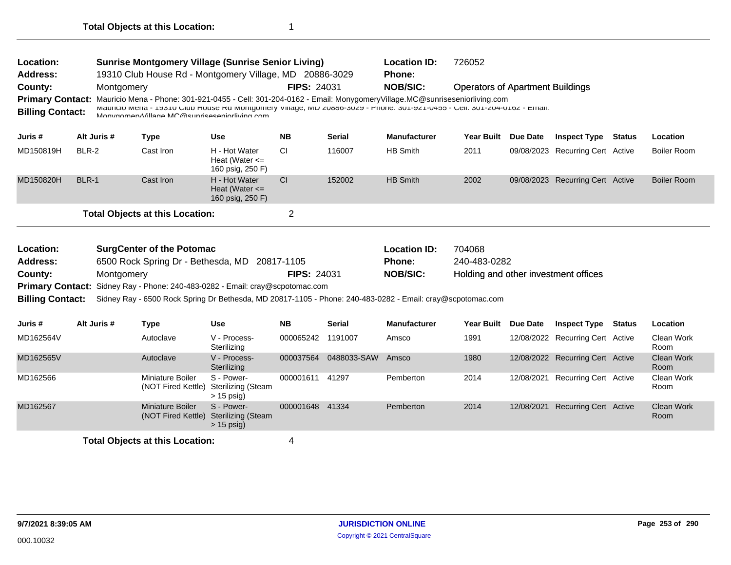| Location:<br><b>Address:</b><br>County: | <b>Sunrise Montgomery Village (Sunrise Senior Living)</b><br>19310 Club House Rd - Montgomery Village, MD 20886-3029<br><b>FIPS: 24031</b><br>Montgomery<br>Mauricio Mena - Phone: 301-921-0455 - Cell: 301-204-0162 - Email: MonygomeryVillage.MC@sunriseseniorliving.com<br><b>Primary Contact:</b> |             |                                                                                                                                                                             |                                                         |                   |               | <b>Location ID:</b><br>Phone:<br><b>NOB/SIC:</b> | 726052<br><b>Operators of Apartment Buildings</b> |                 |                                  |               |                           |
|-----------------------------------------|-------------------------------------------------------------------------------------------------------------------------------------------------------------------------------------------------------------------------------------------------------------------------------------------------------|-------------|-----------------------------------------------------------------------------------------------------------------------------------------------------------------------------|---------------------------------------------------------|-------------------|---------------|--------------------------------------------------|---------------------------------------------------|-----------------|----------------------------------|---------------|---------------------------|
| <b>Billing Contact:</b>                 |                                                                                                                                                                                                                                                                                                       |             | INIGIDIO MERIC - 19310 GIUD HOUSE RO MORIGORIERY VIRAGE, MD ZUOOD-3029 - PRORE: 301-921-0400 - GER: 301-204-0102 - ERRIRI:<br>Monygomery Village MC@sunriseseniorliving com |                                                         |                   |               |                                                  |                                                   |                 |                                  |               |                           |
| Juris #                                 |                                                                                                                                                                                                                                                                                                       | Alt Juris # | <b>Type</b>                                                                                                                                                                 | <b>Use</b>                                              | <b>NB</b>         | <b>Serial</b> | <b>Manufacturer</b>                              | <b>Year Built</b>                                 | Due Date        | <b>Inspect Type</b>              | <b>Status</b> | Location                  |
| MD150819H                               | BLR-2                                                                                                                                                                                                                                                                                                 |             | Cast Iron                                                                                                                                                                   | H - Hot Water<br>Heat (Water $\leq$<br>160 psig, 250 F) | CI                | 116007        | <b>HB Smith</b>                                  | 2011                                              |                 | 09/08/2023 Recurring Cert Active |               | <b>Boiler Room</b>        |
| MD150820H                               | <b>BLR-1</b>                                                                                                                                                                                                                                                                                          |             | Cast Iron                                                                                                                                                                   | H - Hot Water<br>Heat (Water $\leq$<br>160 psig, 250 F) | CI                | 152002        | <b>HB Smith</b>                                  | 2002                                              |                 | 09/08/2023 Recurring Cert Active |               | <b>Boiler Room</b>        |
|                                         |                                                                                                                                                                                                                                                                                                       |             | <b>Total Objects at this Location:</b>                                                                                                                                      |                                                         | $\overline{2}$    |               |                                                  |                                                   |                 |                                  |               |                           |
|                                         |                                                                                                                                                                                                                                                                                                       |             |                                                                                                                                                                             |                                                         |                   |               |                                                  |                                                   |                 |                                  |               |                           |
| Location:                               |                                                                                                                                                                                                                                                                                                       |             | <b>SurgCenter of the Potomac</b>                                                                                                                                            |                                                         |                   |               | <b>Location ID:</b>                              | 704068                                            |                 |                                  |               |                           |
| <b>Address:</b>                         |                                                                                                                                                                                                                                                                                                       |             | 6500 Rock Spring Dr - Bethesda, MD 20817-1105                                                                                                                               |                                                         |                   |               | Phone:                                           | 240-483-0282                                      |                 |                                  |               |                           |
| County:                                 |                                                                                                                                                                                                                                                                                                       | Montgomery  |                                                                                                                                                                             |                                                         | FIPS: 24031       |               | <b>NOB/SIC:</b>                                  | Holding and other investment offices              |                 |                                  |               |                           |
|                                         |                                                                                                                                                                                                                                                                                                       |             | Primary Contact: Sidney Ray - Phone: 240-483-0282 - Email: cray@scpotomac.com                                                                                               |                                                         |                   |               |                                                  |                                                   |                 |                                  |               |                           |
| <b>Billing Contact:</b>                 |                                                                                                                                                                                                                                                                                                       |             | Sidney Ray - 6500 Rock Spring Dr Bethesda, MD 20817-1105 - Phone: 240-483-0282 - Email: cray@scpotomac.com                                                                  |                                                         |                   |               |                                                  |                                                   |                 |                                  |               |                           |
| Juris #                                 |                                                                                                                                                                                                                                                                                                       | Alt Juris # | <b>Type</b>                                                                                                                                                                 | <b>Use</b>                                              | <b>NB</b>         | <b>Serial</b> | <b>Manufacturer</b>                              | <b>Year Built</b>                                 | <b>Due Date</b> | <b>Inspect Type Status</b>       |               | Location                  |
| MD162564V                               |                                                                                                                                                                                                                                                                                                       |             | Autoclave                                                                                                                                                                   | V - Process-<br>Sterilizing                             | 000065242 1191007 |               | Amsco                                            | 1991                                              |                 | 12/08/2022 Recurring Cert Active |               | Clean Work<br>Room        |
| MD162565V                               |                                                                                                                                                                                                                                                                                                       |             | Autoclave                                                                                                                                                                   | V - Process-<br>Sterilizing                             | 000037564         | 0488033-SAW   | Amsco                                            | 1980                                              |                 | 12/08/2022 Recurring Cert Active |               | <b>Clean Work</b><br>Room |
| MD162566                                |                                                                                                                                                                                                                                                                                                       |             | Miniature Boiler<br>(NOT Fired Kettle)                                                                                                                                      | S - Power-<br><b>Sterilizing (Steam</b><br>$> 15$ psig) | 000001611 41297   |               | Pemberton                                        | 2014                                              | 12/08/2021      | <b>Recurring Cert Active</b>     |               | Clean Work<br>Room        |
| MD162567                                |                                                                                                                                                                                                                                                                                                       |             | <b>Miniature Boiler</b><br>(NOT Fired Kettle)                                                                                                                               | S - Power-<br><b>Sterilizing (Steam</b><br>$> 15$ psig) | 000001648 41334   |               | Pemberton                                        | 2014                                              | 12/08/2021      | <b>Recurring Cert Active</b>     |               | Clean Work<br>Room        |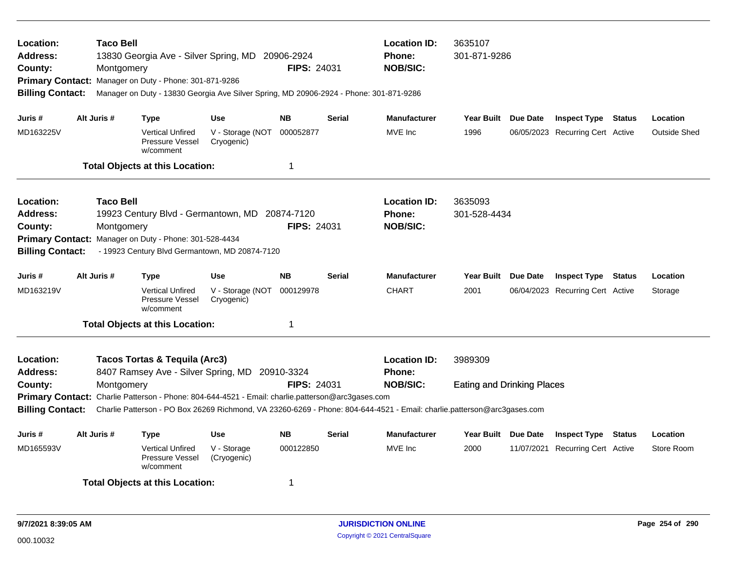| Location:<br>Address:<br>County:<br><b>Primary Contact:</b><br><b>Billing Contact:</b>        |             | <b>Taco Bell</b><br>Montgomery | Manager on Duty - Phone: 301-871-9286                   | 13830 Georgia Ave - Silver Spring, MD 20906-2924<br>Manager on Duty - 13830 Georgia Ave Silver Spring, MD 20906-2924 - Phone: 301-871-9286          | <b>FIPS: 24031</b> |               | <b>Location ID:</b><br><b>Phone:</b><br><b>NOB/SIC:</b>                                                                                                                            | 3635107<br>301-871-9286                      |                                  |                     |
|-----------------------------------------------------------------------------------------------|-------------|--------------------------------|---------------------------------------------------------|-----------------------------------------------------------------------------------------------------------------------------------------------------|--------------------|---------------|------------------------------------------------------------------------------------------------------------------------------------------------------------------------------------|----------------------------------------------|----------------------------------|---------------------|
| Juris #                                                                                       | Alt Juris # |                                | <b>Type</b>                                             | <b>Use</b>                                                                                                                                          | <b>NB</b>          | Serial        | <b>Manufacturer</b>                                                                                                                                                                | Year Built Due Date                          | <b>Inspect Type Status</b>       | Location            |
| MD163225V                                                                                     |             |                                | <b>Vertical Unfired</b><br>Pressure Vessel<br>w/comment | V - Storage (NOT<br>Cryogenic)                                                                                                                      | 000052877          |               | MVE Inc                                                                                                                                                                            | 1996                                         | 06/05/2023 Recurring Cert Active | <b>Outside Shed</b> |
|                                                                                               |             |                                | <b>Total Objects at this Location:</b>                  |                                                                                                                                                     | 1                  |               |                                                                                                                                                                                    |                                              |                                  |                     |
| Location:<br><b>Address:</b><br>County:<br><b>Primary Contact:</b><br><b>Billing Contact:</b> |             | <b>Taco Bell</b><br>Montgomery | Manager on Duty - Phone: 301-528-4434                   | 19923 Century Blvd - Germantown, MD 20874-7120<br>- 19923 Century Blvd Germantown, MD 20874-7120                                                    | FIPS: 24031        |               | <b>Location ID:</b><br><b>Phone:</b><br><b>NOB/SIC:</b>                                                                                                                            | 3635093<br>301-528-4434                      |                                  |                     |
| Juris #                                                                                       | Alt Juris # |                                | <b>Type</b>                                             | <b>Use</b>                                                                                                                                          | <b>NB</b>          | <b>Serial</b> | <b>Manufacturer</b>                                                                                                                                                                | Year Built Due Date                          | <b>Inspect Type Status</b>       | Location            |
| MD163219V                                                                                     |             |                                | <b>Vertical Unfired</b><br>Pressure Vessel<br>w/comment | V - Storage (NOT<br>Cryogenic)                                                                                                                      | 000129978          |               | <b>CHART</b>                                                                                                                                                                       | 2001                                         | 06/04/2023 Recurring Cert Active | Storage             |
|                                                                                               |             |                                | <b>Total Objects at this Location:</b>                  |                                                                                                                                                     | 1                  |               |                                                                                                                                                                                    |                                              |                                  |                     |
| Location:<br><b>Address:</b><br>County:<br><b>Billing Contact:</b>                            |             | Montgomery                     | <b>Tacos Tortas &amp; Tequila (Arc3)</b>                | 8407 Ramsey Ave - Silver Spring, MD 20910-3324<br>Primary Contact: Charlie Patterson - Phone: 804-644-4521 - Email: charlie.patterson@arc3gases.com | <b>FIPS: 24031</b> |               | <b>Location ID:</b><br><b>Phone:</b><br><b>NOB/SIC:</b><br>Charlie Patterson - PO Box 26269 Richmond, VA 23260-6269 - Phone: 804-644-4521 - Email: charlie.patterson@arc3gases.com | 3989309<br><b>Eating and Drinking Places</b> |                                  |                     |
| Juris #                                                                                       | Alt Juris # |                                | <b>Type</b>                                             | <b>Use</b>                                                                                                                                          | <b>NB</b>          | <b>Serial</b> | <b>Manufacturer</b>                                                                                                                                                                | Year Built Due Date                          | <b>Inspect Type Status</b>       | Location            |
| MD165593V                                                                                     |             |                                | <b>Vertical Unfired</b><br>Pressure Vessel<br>w/comment | V - Storage<br>(Cryogenic)                                                                                                                          | 000122850          |               | MVE Inc                                                                                                                                                                            | 2000                                         | 11/07/2021 Recurring Cert Active | Store Room          |
|                                                                                               |             |                                | <b>Total Objects at this Location:</b>                  |                                                                                                                                                     | 1                  |               |                                                                                                                                                                                    |                                              |                                  |                     |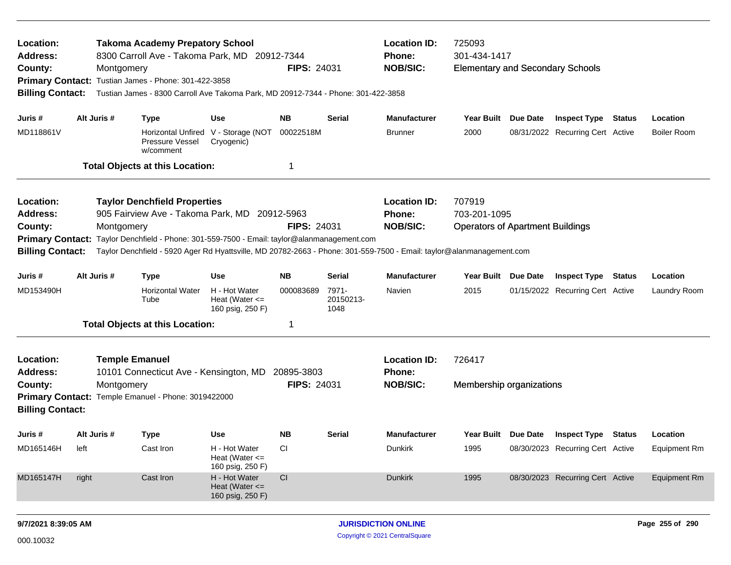| Location:<br>Address:<br>County:<br><b>Billing Contact:</b>                                   |                                                                                                                                                                                                                    | <b>Takoma Academy Prepatory School</b><br>8300 Carroll Ave - Takoma Park, MD 20912-7344<br>Montgomery<br>Primary Contact: Tustian James - Phone: 301-422-3858<br>Tustian James - 8300 Carroll Ave Takoma Park, MD 20912-7344 - Phone: 301-422-3858                                                       |                                                          | <b>FIPS: 24031</b> |                            | <b>Location ID:</b><br><b>Phone:</b><br><b>NOB/SIC:</b> | 725093<br>301-434-1417<br><b>Elementary and Secondary Schools</b> |                                                                |                                |
|-----------------------------------------------------------------------------------------------|--------------------------------------------------------------------------------------------------------------------------------------------------------------------------------------------------------------------|----------------------------------------------------------------------------------------------------------------------------------------------------------------------------------------------------------------------------------------------------------------------------------------------------------|----------------------------------------------------------|--------------------|----------------------------|---------------------------------------------------------|-------------------------------------------------------------------|----------------------------------------------------------------|--------------------------------|
| Juris #<br>MD118861V                                                                          | Alt Juris #                                                                                                                                                                                                        | <b>Type</b><br>Pressure Vessel<br>w/comment                                                                                                                                                                                                                                                              | Use<br>Horizontal Unfired V - Storage (NOT<br>Cryogenic) | NB.<br>00022518M   | Serial                     | <b>Manufacturer</b><br><b>Brunner</b>                   | Year Built Due Date<br>2000                                       | <b>Inspect Type Status</b><br>08/31/2022 Recurring Cert Active | Location<br><b>Boiler Room</b> |
|                                                                                               |                                                                                                                                                                                                                    | <b>Total Objects at this Location:</b>                                                                                                                                                                                                                                                                   |                                                          | -1                 |                            |                                                         |                                                                   |                                                                |                                |
| Location:<br><b>Address:</b><br>County:<br><b>Primary Contact:</b><br><b>Billing Contact:</b> |                                                                                                                                                                                                                    | <b>Taylor Denchfield Properties</b><br>905 Fairview Ave - Takoma Park, MD 20912-5963<br>Montgomery<br>Taylor Denchfield - Phone: 301-559-7500 - Email: taylor@alanmanagement.com<br>Taylor Denchfield - 5920 Ager Rd Hyattsville, MD 20782-2663 - Phone: 301-559-7500 - Email: taylor@alanmanagement.com |                                                          | <b>FIPS: 24031</b> |                            | <b>Location ID:</b><br><b>Phone:</b><br><b>NOB/SIC:</b> | 707919<br>703-201-1095<br><b>Operators of Apartment Buildings</b> |                                                                |                                |
| Juris #                                                                                       | Alt Juris #                                                                                                                                                                                                        | <b>Type</b>                                                                                                                                                                                                                                                                                              | <b>Use</b>                                               | <b>NB</b>          | Serial                     | <b>Manufacturer</b>                                     | Year Built Due Date                                               | <b>Inspect Type Status</b>                                     | Location                       |
| MD153490H                                                                                     |                                                                                                                                                                                                                    | <b>Horizontal Water</b><br>Tube                                                                                                                                                                                                                                                                          | H - Hot Water<br>Heat (Water $\leq$<br>160 psig, 250 F)  | 000083689          | 7971-<br>20150213-<br>1048 | Navien                                                  | 2015                                                              | 01/15/2022 Recurring Cert Active                               | Laundry Room                   |
|                                                                                               |                                                                                                                                                                                                                    |                                                                                                                                                                                                                                                                                                          |                                                          | 1                  |                            |                                                         |                                                                   |                                                                |                                |
| Location:<br><b>Address:</b><br>County:                                                       | <b>Total Objects at this Location:</b><br><b>Temple Emanuel</b><br>10101 Connecticut Ave - Kensington, MD<br>20895-3803<br><b>FIPS: 24031</b><br>Montgomery<br>Primary Contact: Temple Emanuel - Phone: 3019422000 |                                                                                                                                                                                                                                                                                                          |                                                          |                    |                            |                                                         | 726417<br>Membership organizations                                |                                                                |                                |
| <b>Billing Contact:</b>                                                                       |                                                                                                                                                                                                                    |                                                                                                                                                                                                                                                                                                          |                                                          |                    |                            |                                                         |                                                                   |                                                                |                                |
| Juris #                                                                                       | Alt Juris #                                                                                                                                                                                                        | Type                                                                                                                                                                                                                                                                                                     | Use                                                      | NB.                | Serial                     | <b>Manufacturer</b>                                     | Year Built Due Date                                               | <b>Inspect Type Status</b>                                     | Location                       |
| MD165146H                                                                                     | left                                                                                                                                                                                                               | Cast Iron                                                                                                                                                                                                                                                                                                | H - Hot Water<br>Heat (Water $\leq$<br>160 psig, 250 F)  | <sub>CI</sub>      |                            | Dunkirk                                                 | 1995                                                              | 08/30/2023 Recurring Cert Active                               | <b>Equipment Rm</b>            |
| MD165147H                                                                                     | right                                                                                                                                                                                                              | Cast Iron                                                                                                                                                                                                                                                                                                | H - Hot Water<br>Heat (Water $\leq$<br>160 psig, 250 F)  | CI                 |                            | Dunkirk                                                 | 1995                                                              | 08/30/2023 Recurring Cert Active                               | <b>Equipment Rm</b>            |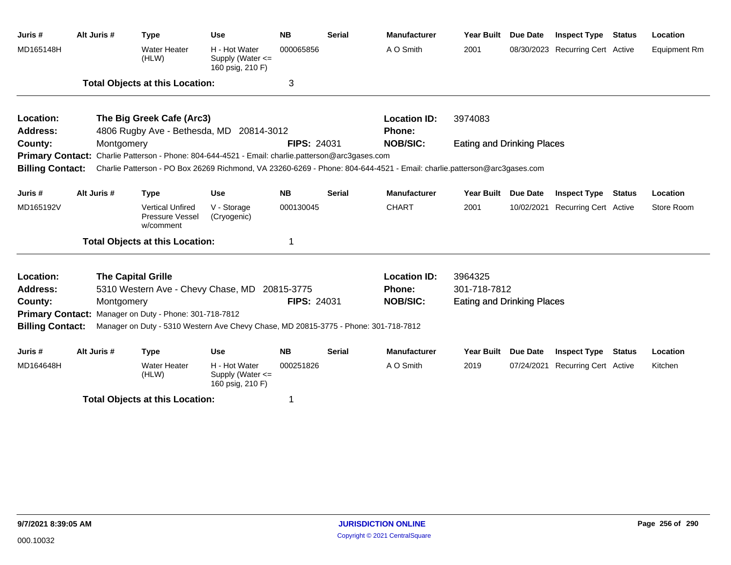| Juris #                 | Alt Juris # | <b>Type</b>                                                                                                             | <b>Use</b>                                            | <b>NB</b>          | <b>Serial</b> | <b>Manufacturer</b> | <b>Year Built</b>                 | Due Date        | <b>Inspect Type</b>          | <b>Status</b> | Location            |
|-------------------------|-------------|-------------------------------------------------------------------------------------------------------------------------|-------------------------------------------------------|--------------------|---------------|---------------------|-----------------------------------|-----------------|------------------------------|---------------|---------------------|
| MD165148H               |             | <b>Water Heater</b><br>(HLW)                                                                                            | H - Hot Water<br>Supply (Water <=<br>160 psig, 210 F) | 000065856          |               | A O Smith           | 2001                              | 08/30/2023      | <b>Recurring Cert Active</b> |               | <b>Equipment Rm</b> |
|                         |             | <b>Total Objects at this Location:</b>                                                                                  |                                                       | 3                  |               |                     |                                   |                 |                              |               |                     |
| Location:               |             | The Big Greek Cafe (Arc3)                                                                                               |                                                       |                    |               | <b>Location ID:</b> | 3974083                           |                 |                              |               |                     |
| <b>Address:</b>         |             | 4806 Rugby Ave - Bethesda, MD                                                                                           | 20814-3012                                            |                    |               | <b>Phone:</b>       |                                   |                 |                              |               |                     |
| County:                 | Montgomery  |                                                                                                                         |                                                       | <b>FIPS: 24031</b> |               | <b>NOB/SIC:</b>     | <b>Eating and Drinking Places</b> |                 |                              |               |                     |
|                         |             | Primary Contact: Charlie Patterson - Phone: 804-644-4521 - Email: charlie.patterson@arc3gases.com                       |                                                       |                    |               |                     |                                   |                 |                              |               |                     |
| <b>Billing Contact:</b> |             | Charlie Patterson - PO Box 26269 Richmond, VA 23260-6269 - Phone: 804-644-4521 - Email: charlie.patterson@arc3gases.com |                                                       |                    |               |                     |                                   |                 |                              |               |                     |
| Juris #                 | Alt Juris # | <b>Type</b>                                                                                                             | <b>Use</b>                                            | <b>NB</b>          | <b>Serial</b> | <b>Manufacturer</b> | <b>Year Built</b>                 | <b>Due Date</b> | <b>Inspect Type Status</b>   |               | Location            |
| MD165192V               |             | <b>Vertical Unfired</b><br>Pressure Vessel<br>w/comment                                                                 | V - Storage<br>(Cryogenic)                            | 000130045          |               | <b>CHART</b>        | 2001                              | 10/02/2021      | <b>Recurring Cert Active</b> |               | Store Room          |
|                         |             | <b>Total Objects at this Location:</b>                                                                                  |                                                       |                    |               |                     |                                   |                 |                              |               |                     |
| Location:               |             | <b>The Capital Grille</b>                                                                                               |                                                       |                    |               | <b>Location ID:</b> | 3964325                           |                 |                              |               |                     |
| <b>Address:</b>         |             | 5310 Western Ave - Chevy Chase, MD                                                                                      |                                                       | 20815-3775         |               | <b>Phone:</b>       | 301-718-7812                      |                 |                              |               |                     |
| County:                 | Montgomery  |                                                                                                                         |                                                       | <b>FIPS: 24031</b> |               | <b>NOB/SIC:</b>     | <b>Eating and Drinking Places</b> |                 |                              |               |                     |
|                         |             | Primary Contact: Manager on Duty - Phone: 301-718-7812                                                                  |                                                       |                    |               |                     |                                   |                 |                              |               |                     |
| <b>Billing Contact:</b> |             | Manager on Duty - 5310 Western Ave Chevy Chase, MD 20815-3775 - Phone: 301-718-7812                                     |                                                       |                    |               |                     |                                   |                 |                              |               |                     |
| Juris #                 | Alt Juris # | <b>Type</b>                                                                                                             | <b>Use</b>                                            | <b>NB</b>          | <b>Serial</b> | <b>Manufacturer</b> | <b>Year Built</b>                 | <b>Due Date</b> | <b>Inspect Type</b>          | <b>Status</b> | Location            |
| MD164648H               |             | <b>Water Heater</b><br>(HLW)                                                                                            | H - Hot Water<br>Supply (Water <=<br>160 psig, 210 F) | 000251826          |               | A O Smith           | 2019                              | 07/24/2021      | <b>Recurring Cert Active</b> |               | Kitchen             |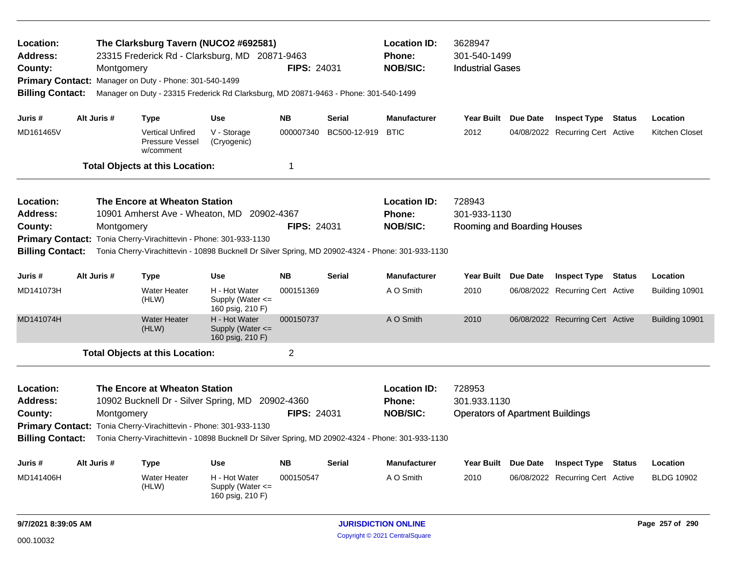| Location:<br><b>Address:</b><br>County:<br><b>Billing Contact:</b>                                                  |             | Montgomery | Primary Contact: Manager on Duty - Phone: 301-540-1499                                             | The Clarksburg Tavern (NUCO2 #692581)<br>23315 Frederick Rd - Clarksburg, MD 20871-9463<br>Manager on Duty - 23315 Frederick Rd Clarksburg, MD 20871-9463 - Phone: 301-540-1499 | <b>FIPS: 24031</b> |               | <b>Location ID:</b><br><b>Phone:</b><br><b>NOB/SIC:</b> | 3628947<br>301-540-1499<br><b>Industrial Gases</b>                |                                  |                   |                |
|---------------------------------------------------------------------------------------------------------------------|-------------|------------|----------------------------------------------------------------------------------------------------|---------------------------------------------------------------------------------------------------------------------------------------------------------------------------------|--------------------|---------------|---------------------------------------------------------|-------------------------------------------------------------------|----------------------------------|-------------------|----------------|
| Juris #                                                                                                             | Alt Juris # |            | <b>Type</b>                                                                                        | <b>Use</b>                                                                                                                                                                      | <b>NB</b>          | Serial        | <b>Manufacturer</b>                                     | Year Built Due Date                                               | <b>Inspect Type Status</b>       |                   | Location       |
| MD161465V                                                                                                           |             |            | <b>Vertical Unfired</b><br><b>Pressure Vessel</b><br>w/comment                                     | V - Storage<br>(Cryogenic)                                                                                                                                                      | 000007340          | BC500-12-919  | <b>BTIC</b>                                             | 2012                                                              | 04/08/2022 Recurring Cert Active |                   | Kitchen Closet |
|                                                                                                                     |             |            | <b>Total Objects at this Location:</b>                                                             |                                                                                                                                                                                 | 1                  |               |                                                         |                                                                   |                                  |                   |                |
| Location:<br><b>Address:</b><br>County:<br><b>Billing Contact:</b>                                                  |             | Montgomery | The Encore at Wheaton Station<br>Primary Contact: Tonia Cherry-Virachittevin - Phone: 301-933-1130 | 10901 Amherst Ave - Wheaton, MD 20902-4367<br>Tonia Cherry-Virachittevin - 10898 Bucknell Dr Silver Spring, MD 20902-4324 - Phone: 301-933-1130                                 | <b>FIPS: 24031</b> |               | <b>Location ID:</b><br><b>Phone:</b><br><b>NOB/SIC:</b> | 728943<br>301-933-1130<br>Rooming and Boarding Houses             |                                  |                   |                |
| Juris #                                                                                                             | Alt Juris # |            | <b>Type</b>                                                                                        | <b>Use</b>                                                                                                                                                                      | <b>NB</b>          | <b>Serial</b> | <b>Manufacturer</b>                                     | Year Built Due Date                                               | <b>Inspect Type</b>              | <b>Status</b>     | Location       |
| MD141073H                                                                                                           |             |            | <b>Water Heater</b><br>(HLW)                                                                       | H - Hot Water<br>Supply (Water $\leq$<br>160 psig, 210 F)                                                                                                                       | 000151369          |               | A O Smith                                               | 2010                                                              | 06/08/2022 Recurring Cert Active |                   | Building 10901 |
| MD141074H                                                                                                           |             |            | <b>Water Heater</b><br>(HLW)                                                                       | H - Hot Water<br>Supply (Water $\leq$<br>160 psig, 210 F)                                                                                                                       | 000150737          |               | A O Smith                                               | 2010                                                              | 06/08/2022 Recurring Cert Active |                   | Building 10901 |
|                                                                                                                     |             |            | <b>Total Objects at this Location:</b>                                                             |                                                                                                                                                                                 | $\overline{2}$     |               |                                                         |                                                                   |                                  |                   |                |
| Location:<br><b>Address:</b><br>County:<br><b>Billing Contact:</b>                                                  |             | Montgomery | The Encore at Wheaton Station<br>Primary Contact: Tonia Cherry-Virachittevin - Phone: 301-933-1130 | 10902 Bucknell Dr - Silver Spring, MD 20902-4360<br>Tonia Cherry-Virachittevin - 10898 Bucknell Dr Silver Spring, MD 20902-4324 - Phone: 301-933-1130                           | <b>FIPS: 24031</b> |               | <b>Location ID:</b><br><b>Phone:</b><br><b>NOB/SIC:</b> | 728953<br>301.933.1130<br><b>Operators of Apartment Buildings</b> |                                  |                   |                |
| Juris #                                                                                                             | Alt Juris # |            | <b>Type</b>                                                                                        | <b>Use</b>                                                                                                                                                                      | <b>NB</b>          | <b>Serial</b> | <b>Manufacturer</b>                                     | Year Built Due Date                                               | <b>Inspect Type</b>              | <b>Status</b>     | Location       |
| MD141406H<br><b>Water Heater</b><br>H - Hot Water<br>000150547<br>(HLW)<br>Supply (Water $\leq$<br>160 psig, 210 F) |             |            |                                                                                                    |                                                                                                                                                                                 |                    | A O Smith     | 2010                                                    | 06/08/2022 Recurring Cert Active                                  |                                  | <b>BLDG 10902</b> |                |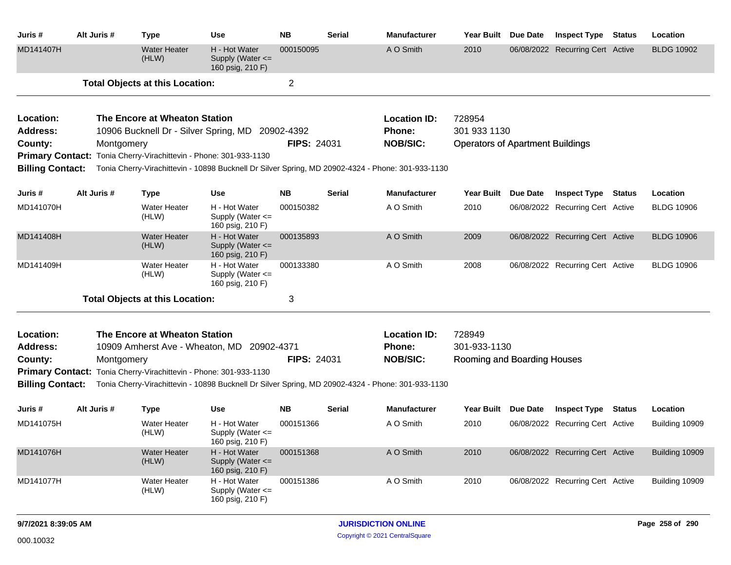| Juris #                 | Alt Juris # | <b>Type</b>                            | <b>Use</b>                                                        | <b>NB</b>          | <b>Serial</b> | <b>Manufacturer</b>                                                                               | Year Built                              | Due Date | <b>Inspect Type</b>              | <b>Status</b> | Location          |
|-------------------------|-------------|----------------------------------------|-------------------------------------------------------------------|--------------------|---------------|---------------------------------------------------------------------------------------------------|-----------------------------------------|----------|----------------------------------|---------------|-------------------|
| MD141407H               |             | <b>Water Heater</b><br>(HLW)           | H - Hot Water<br>Supply (Water $\leq$<br>160 psig, 210 F)         | 000150095          |               | A O Smith                                                                                         | 2010                                    |          | 06/08/2022 Recurring Cert Active |               | <b>BLDG 10902</b> |
|                         |             | <b>Total Objects at this Location:</b> |                                                                   | $\overline{2}$     |               |                                                                                                   |                                         |          |                                  |               |                   |
| Location:               |             | The Encore at Wheaton Station          |                                                                   |                    |               | <b>Location ID:</b>                                                                               | 728954                                  |          |                                  |               |                   |
| Address:                |             |                                        | 10906 Bucknell Dr - Silver Spring, MD 20902-4392                  |                    |               | <b>Phone:</b>                                                                                     | 301 933 1130                            |          |                                  |               |                   |
| County:                 | Montgomery  |                                        |                                                                   | <b>FIPS: 24031</b> |               | <b>NOB/SIC:</b>                                                                                   | <b>Operators of Apartment Buildings</b> |          |                                  |               |                   |
|                         |             |                                        | Primary Contact: Tonia Cherry-Virachittevin - Phone: 301-933-1130 |                    |               |                                                                                                   |                                         |          |                                  |               |                   |
| <b>Billing Contact:</b> |             |                                        |                                                                   |                    |               | Tonia Cherry-Virachittevin - 10898 Bucknell Dr Silver Spring, MD 20902-4324 - Phone: 301-933-1130 |                                         |          |                                  |               |                   |
| Juris #                 | Alt Juris # | Type                                   | <b>Use</b>                                                        | <b>NB</b>          | <b>Serial</b> | <b>Manufacturer</b>                                                                               | <b>Year Built</b>                       | Due Date | <b>Inspect Type</b>              | Status        | Location          |
| MD141070H               |             | <b>Water Heater</b><br>(HLW)           | H - Hot Water<br>Supply (Water $\leq$<br>160 psig, 210 F)         | 000150382          |               | A O Smith                                                                                         | 2010                                    |          | 06/08/2022 Recurring Cert Active |               | <b>BLDG 10906</b> |
| MD141408H               |             | <b>Water Heater</b><br>(HLW)           | H - Hot Water<br>Supply (Water <=<br>160 psig, 210 F)             | 000135893          |               | A O Smith                                                                                         | 2009                                    |          | 06/08/2022 Recurring Cert Active |               | <b>BLDG 10906</b> |
| MD141409H               |             | <b>Water Heater</b><br>(HLW)           | H - Hot Water<br>Supply (Water $\leq$<br>160 psig, 210 F)         | 000133380          |               | A O Smith                                                                                         | 2008                                    |          | 06/08/2022 Recurring Cert Active |               | <b>BLDG 10906</b> |
|                         |             | <b>Total Objects at this Location:</b> |                                                                   | 3                  |               |                                                                                                   |                                         |          |                                  |               |                   |
| Location:               |             | The Encore at Wheaton Station          |                                                                   |                    |               | <b>Location ID:</b>                                                                               | 728949                                  |          |                                  |               |                   |
| <b>Address:</b>         |             |                                        | 10909 Amherst Ave - Wheaton, MD 20902-4371                        |                    |               | Phone:                                                                                            | 301-933-1130                            |          |                                  |               |                   |
| County:                 | Montgomery  |                                        |                                                                   | <b>FIPS: 24031</b> |               | <b>NOB/SIC:</b>                                                                                   | Rooming and Boarding Houses             |          |                                  |               |                   |
|                         |             |                                        | Primary Contact: Tonia Cherry-Virachittevin - Phone: 301-933-1130 |                    |               |                                                                                                   |                                         |          |                                  |               |                   |
| <b>Billing Contact:</b> |             |                                        |                                                                   |                    |               | Tonia Cherry-Virachittevin - 10898 Bucknell Dr Silver Spring, MD 20902-4324 - Phone: 301-933-1130 |                                         |          |                                  |               |                   |
| Juris #                 | Alt Juris # | Type                                   | <b>Use</b>                                                        | <b>NB</b>          | <b>Serial</b> | <b>Manufacturer</b>                                                                               | <b>Year Built</b>                       | Due Date | <b>Inspect Type</b>              | <b>Status</b> | Location          |
| MD141075H               |             | <b>Water Heater</b><br>(HLW)           | H - Hot Water<br>Supply (Water $\leq$<br>160 psig, 210 F)         | 000151366          |               | A O Smith                                                                                         | 2010                                    |          | 06/08/2022 Recurring Cert Active |               | Building 10909    |
| MD141076H               |             | <b>Water Heater</b><br>(HLW)           | H - Hot Water<br>Supply (Water <=<br>160 psig, 210 F)             | 000151368          |               | A O Smith                                                                                         | 2010                                    |          | 06/08/2022 Recurring Cert Active |               | Building 10909    |
| MD141077H               |             | <b>Water Heater</b><br>(HLW)           | H - Hot Water<br>Supply (Water <=<br>160 psig, 210 F)             | 000151386          |               | A O Smith                                                                                         | 2010                                    |          | 06/08/2022 Recurring Cert Active |               | Building 10909    |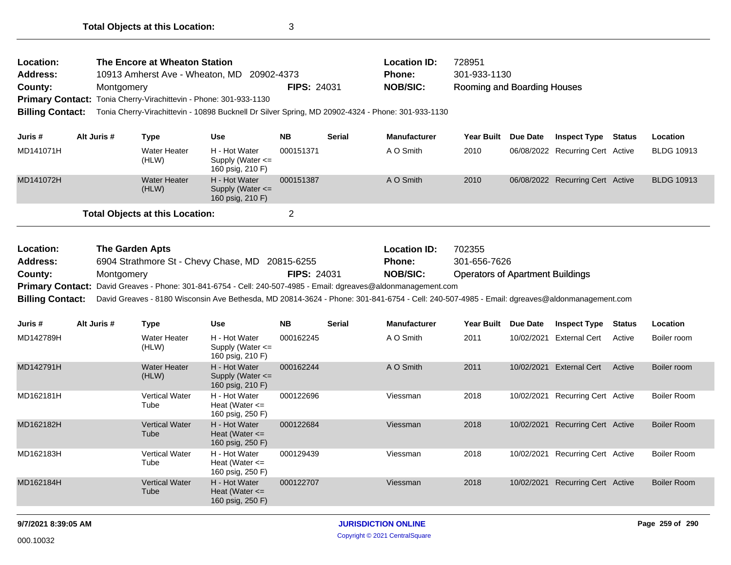| Location:                                                          |             | The Encore at Wheaton Station                                                                                                               |                                                           |                    |               | <b>Location ID:</b> | 728951                                  |            |                                  |               |                    |
|--------------------------------------------------------------------|-------------|---------------------------------------------------------------------------------------------------------------------------------------------|-----------------------------------------------------------|--------------------|---------------|---------------------|-----------------------------------------|------------|----------------------------------|---------------|--------------------|
| <b>Address:</b>                                                    |             | 10913 Amherst Ave - Wheaton, MD                                                                                                             | 20902-4373                                                |                    |               | Phone:              | 301-933-1130                            |            |                                  |               |                    |
| County:                                                            | Montgomery  |                                                                                                                                             |                                                           | <b>FIPS: 24031</b> |               | <b>NOB/SIC:</b>     | Rooming and Boarding Houses             |            |                                  |               |                    |
|                                                                    |             | Primary Contact: Tonia Cherry-Virachittevin - Phone: 301-933-1130                                                                           |                                                           |                    |               |                     |                                         |            |                                  |               |                    |
| <b>Billing Contact:</b>                                            |             | Tonia Cherry-Virachittevin - 10898 Bucknell Dr Silver Spring, MD 20902-4324 - Phone: 301-933-1130                                           |                                                           |                    |               |                     |                                         |            |                                  |               |                    |
| Juris #                                                            | Alt Juris # | <b>Type</b>                                                                                                                                 | <b>Use</b>                                                | <b>NB</b>          | <b>Serial</b> | <b>Manufacturer</b> | Year Built                              | Due Date   | <b>Inspect Type Status</b>       |               | Location           |
| MD141071H                                                          |             | <b>Water Heater</b><br>(HLW)                                                                                                                | H - Hot Water<br>Supply (Water $\leq$<br>160 psig, 210 F) | 000151371          |               | A O Smith           | 2010                                    |            | 06/08/2022 Recurring Cert Active |               | <b>BLDG 10913</b>  |
| MD141072H                                                          |             | <b>Water Heater</b><br>(HLW)                                                                                                                | H - Hot Water<br>Supply (Water <=<br>160 psig, 210 F)     | 000151387          |               | A O Smith           | 2010                                    |            | 06/08/2022 Recurring Cert Active |               | <b>BLDG 10913</b>  |
|                                                                    |             | <b>Total Objects at this Location:</b>                                                                                                      |                                                           | 2                  |               |                     |                                         |            |                                  |               |                    |
|                                                                    |             |                                                                                                                                             |                                                           |                    |               |                     |                                         |            |                                  |               |                    |
| Location:                                                          |             | <b>The Garden Apts</b>                                                                                                                      |                                                           |                    |               | <b>Location ID:</b> | 702355                                  |            |                                  |               |                    |
| <b>Address:</b><br>6904 Strathmore St - Chevy Chase, MD 20815-6255 |             |                                                                                                                                             |                                                           |                    |               | Phone:              | 301-656-7626                            |            |                                  |               |                    |
| <b>FIPS: 24031</b><br>County:<br>Montgomery                        |             |                                                                                                                                             |                                                           |                    |               | <b>NOB/SIC:</b>     | <b>Operators of Apartment Buildings</b> |            |                                  |               |                    |
|                                                                    |             | Primary Contact: David Greaves - Phone: 301-841-6754 - Cell: 240-507-4985 - Email: dgreaves@aldonmanagement.com                             |                                                           |                    |               |                     |                                         |            |                                  |               |                    |
| <b>Billing Contact:</b>                                            |             | David Greaves - 8180 Wisconsin Ave Bethesda, MD 20814-3624 - Phone: 301-841-6754 - Cell: 240-507-4985 - Email: dgreaves@aldonmanagement.com |                                                           |                    |               |                     |                                         |            |                                  |               |                    |
| Juris #                                                            | Alt Juris # | <b>Type</b>                                                                                                                                 | <b>Use</b>                                                | <b>NB</b>          | <b>Serial</b> | <b>Manufacturer</b> | Year Built                              | Due Date   | <b>Inspect Type</b>              | <b>Status</b> | Location           |
| MD142789H                                                          |             | <b>Water Heater</b><br>(HLW)                                                                                                                | H - Hot Water<br>Supply (Water $\leq$<br>160 psig, 210 F) | 000162245          |               | A O Smith           | 2011                                    |            | 10/02/2021 External Cert         | Active        | Boiler room        |
| MD142791H                                                          |             | <b>Water Heater</b><br>(HLW)                                                                                                                | H - Hot Water<br>Supply (Water <=<br>160 psig, 210 F)     | 000162244          |               | A O Smith           | 2011                                    | 10/02/2021 | <b>External Cert</b>             | Active        | Boiler room        |
| MD162181H                                                          |             | <b>Vertical Water</b><br>Tube                                                                                                               | H - Hot Water<br>Heat (Water $\leq$<br>160 psig, 250 F)   | 000122696          |               | Viessman            | 2018                                    |            | 10/02/2021 Recurring Cert Active |               | <b>Boiler Room</b> |
| MD162182H                                                          |             | <b>Vertical Water</b><br>Tube                                                                                                               | H - Hot Water<br>Heat (Water $\leq$<br>160 psig, 250 F)   | 000122684          |               | Viessman            | 2018                                    |            | 10/02/2021 Recurring Cert Active |               | <b>Boiler Room</b> |
| MD162183H                                                          |             | Vertical Water<br>Tube                                                                                                                      | H - Hot Water<br>Heat (Water $\leq$<br>160 psig, 250 F)   | 000129439          |               | Viessman            | 2018                                    |            | 10/02/2021 Recurring Cert Active |               | <b>Boiler Room</b> |
| MD162184H                                                          |             | <b>Vertical Water</b><br>Tube                                                                                                               | H - Hot Water<br>Heat (Water $\leq$<br>160 psig, 250 F)   | 000122707          |               | Viessman            | 2018                                    |            | 10/02/2021 Recurring Cert Active |               | <b>Boiler Room</b> |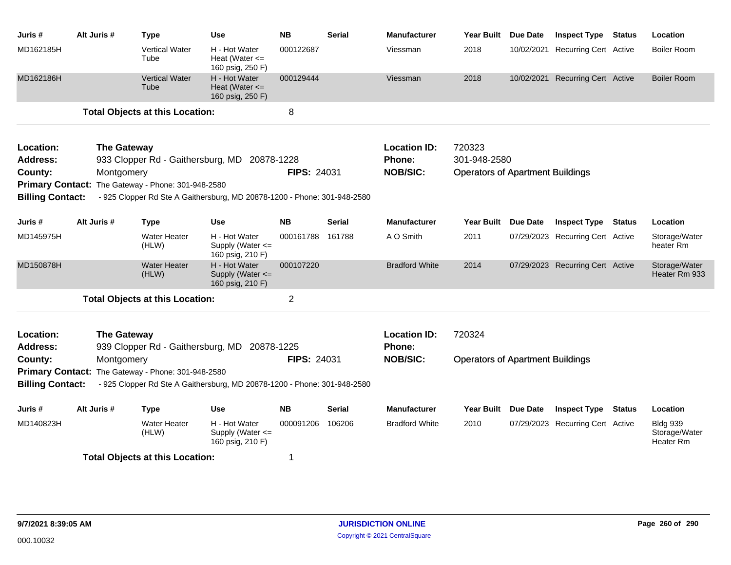| Juris #                          | Alt Juris #                      | Type                                               | Use                                                                      | <b>NB</b>          | <b>Serial</b> | <b>Manufacturer</b>                                     | <b>Year Built</b>                                                 | Due Date   | <b>Inspect Type</b>              | <b>Status</b> | Location                                      |
|----------------------------------|----------------------------------|----------------------------------------------------|--------------------------------------------------------------------------|--------------------|---------------|---------------------------------------------------------|-------------------------------------------------------------------|------------|----------------------------------|---------------|-----------------------------------------------|
| MD162185H                        |                                  | <b>Vertical Water</b><br>Tube                      | H - Hot Water<br>Heat (Water $\leq$<br>160 psig, 250 F)                  | 000122687          |               | Viessman                                                | 2018                                                              | 10/02/2021 | <b>Recurring Cert Active</b>     |               | <b>Boiler Room</b>                            |
| MD162186H                        |                                  | <b>Vertical Water</b><br>Tube                      | H - Hot Water<br>Heat (Water $\leq$<br>160 psig, 250 F)                  | 000129444          |               | Viessman                                                | 2018                                                              | 10/02/2021 | <b>Recurring Cert Active</b>     |               | <b>Boiler Room</b>                            |
|                                  |                                  | <b>Total Objects at this Location:</b>             |                                                                          | 8                  |               |                                                         |                                                                   |            |                                  |               |                                               |
| Location:<br>Address:<br>County: | <b>The Gateway</b><br>Montgomery |                                                    | 933 Clopper Rd - Gaithersburg, MD 20878-1228                             | <b>FIPS: 24031</b> |               | <b>Location ID:</b><br><b>Phone:</b><br><b>NOB/SIC:</b> | 720323<br>301-948-2580<br><b>Operators of Apartment Buildings</b> |            |                                  |               |                                               |
| <b>Billing Contact:</b>          |                                  | Primary Contact: The Gateway - Phone: 301-948-2580 | - 925 Clopper Rd Ste A Gaithersburg, MD 20878-1200 - Phone: 301-948-2580 |                    |               |                                                         |                                                                   |            |                                  |               |                                               |
| Juris #                          | Alt Juris #                      | <b>Type</b>                                        | <b>Use</b>                                                               | <b>NB</b>          | <b>Serial</b> | <b>Manufacturer</b>                                     | Year Built Due Date                                               |            | <b>Inspect Type</b>              | <b>Status</b> | Location                                      |
| MD145975H                        |                                  | <b>Water Heater</b><br>(HLW)                       | H - Hot Water<br>Supply (Water <=<br>160 psig, 210 F)                    | 000161788          | 161788        | A O Smith                                               | 2011                                                              |            | 07/29/2023 Recurring Cert Active |               | Storage/Water<br>heater Rm                    |
| MD150878H                        |                                  | <b>Water Heater</b><br>(HLW)                       | H - Hot Water<br>Supply (Water <=<br>160 psig, 210 F)                    | 000107220          |               | <b>Bradford White</b>                                   | 2014                                                              |            | 07/29/2023 Recurring Cert Active |               | Storage/Water<br>Heater Rm 933                |
|                                  |                                  | <b>Total Objects at this Location:</b>             |                                                                          | $\overline{2}$     |               |                                                         |                                                                   |            |                                  |               |                                               |
| Location:<br><b>Address:</b>     | <b>The Gateway</b>               |                                                    | 939 Clopper Rd - Gaithersburg, MD 20878-1225                             |                    |               | <b>Location ID:</b><br><b>Phone:</b>                    | 720324                                                            |            |                                  |               |                                               |
| County:                          | Montgomery                       |                                                    |                                                                          | <b>FIPS: 24031</b> |               | <b>NOB/SIC:</b>                                         | <b>Operators of Apartment Buildings</b>                           |            |                                  |               |                                               |
|                                  |                                  | Primary Contact: The Gateway - Phone: 301-948-2580 |                                                                          |                    |               |                                                         |                                                                   |            |                                  |               |                                               |
| <b>Billing Contact:</b>          |                                  |                                                    | - 925 Clopper Rd Ste A Gaithersburg, MD 20878-1200 - Phone: 301-948-2580 |                    |               |                                                         |                                                                   |            |                                  |               |                                               |
| Juris #                          | Alt Juris #                      | <b>Type</b>                                        | <b>Use</b>                                                               | <b>NB</b>          | <b>Serial</b> | <b>Manufacturer</b>                                     | Year Built Due Date                                               |            | <b>Inspect Type</b>              | <b>Status</b> | Location                                      |
| MD140823H                        |                                  | <b>Water Heater</b><br>(HLW)                       | H - Hot Water<br>Supply (Water <=<br>160 psig, 210 F)                    | 000091206          | 106206        | <b>Bradford White</b>                                   | 2010                                                              |            | 07/29/2023 Recurring Cert Active |               | <b>Bldg 939</b><br>Storage/Water<br>Heater Rm |
|                                  |                                  | <b>Total Objects at this Location:</b>             |                                                                          | 1                  |               |                                                         |                                                                   |            |                                  |               |                                               |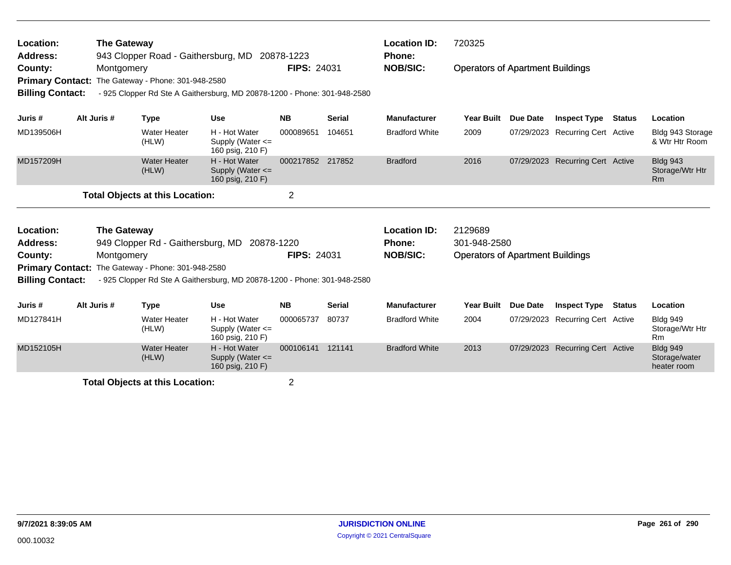| Location:<br><b>Address:</b><br>County:<br><b>Primary Contact:</b><br><b>Billing Contact:</b> |                                                                                     | <b>The Gateway</b><br>Montgomery | The Gateway - Phone: 301-948-2580      | 943 Clopper Road - Gaithersburg, MD 20878-1223<br>- 925 Clopper Rd Ste A Gaithersburg, MD 20878-1200 - Phone: 301-948-2580 | <b>FIPS: 24031</b> |               | <b>Location ID:</b><br><b>Phone:</b><br><b>NOB/SIC:</b> | 720325<br><b>Operators of Apartment Buildings</b>                  |                 |                                  |               |                                                 |
|-----------------------------------------------------------------------------------------------|-------------------------------------------------------------------------------------|----------------------------------|----------------------------------------|----------------------------------------------------------------------------------------------------------------------------|--------------------|---------------|---------------------------------------------------------|--------------------------------------------------------------------|-----------------|----------------------------------|---------------|-------------------------------------------------|
| Juris #                                                                                       |                                                                                     | Alt Juris #                      | <b>Type</b>                            | <b>Use</b>                                                                                                                 | <b>NB</b>          | <b>Serial</b> | <b>Manufacturer</b>                                     | <b>Year Built</b>                                                  | Due Date        | <b>Inspect Type</b>              | <b>Status</b> | Location                                        |
| MD139506H                                                                                     |                                                                                     |                                  | <b>Water Heater</b><br>(HLW)           | H - Hot Water<br>Supply (Water $\leq$<br>160 psig, 210 F)                                                                  | 000089651          | 104651        | <b>Bradford White</b>                                   | 2009                                                               |                 | 07/29/2023 Recurring Cert Active |               | Bldg 943 Storage<br>& Wtr Htr Room              |
| MD157209H                                                                                     |                                                                                     |                                  | <b>Water Heater</b><br>(HLW)           | H - Hot Water<br>Supply (Water <=<br>160 psig, 210 F)                                                                      | 000217852 217852   |               | <b>Bradford</b>                                         | 2016                                                               |                 | 07/29/2023 Recurring Cert Active |               | <b>Bldg 943</b><br>Storage/Wtr Htr<br>Rm        |
|                                                                                               |                                                                                     |                                  | <b>Total Objects at this Location:</b> |                                                                                                                            | $\overline{2}$     |               |                                                         |                                                                    |                 |                                  |               |                                                 |
| Location:<br><b>Address:</b><br>County:                                                       | <b>The Gateway</b><br>949 Clopper Rd - Gaithersburg, MD<br>20878-1220<br>Montgomery |                                  |                                        |                                                                                                                            | <b>FIPS: 24031</b> |               | <b>Location ID:</b><br><b>Phone:</b><br><b>NOB/SIC:</b> | 2129689<br>301-948-2580<br><b>Operators of Apartment Buildings</b> |                 |                                  |               |                                                 |
| <b>Primary Contact:</b><br><b>Billing Contact:</b>                                            |                                                                                     |                                  | The Gateway - Phone: 301-948-2580      | - 925 Clopper Rd Ste A Gaithersburg, MD 20878-1200 - Phone: 301-948-2580                                                   |                    |               |                                                         |                                                                    |                 |                                  |               |                                                 |
| Juris #                                                                                       |                                                                                     | Alt Juris #                      | <b>Type</b>                            | <b>Use</b>                                                                                                                 | <b>NB</b>          | <b>Serial</b> | <b>Manufacturer</b>                                     | <b>Year Built</b>                                                  | <b>Due Date</b> | <b>Inspect Type</b>              | <b>Status</b> | Location                                        |
| MD127841H                                                                                     |                                                                                     |                                  | <b>Water Heater</b><br>(HLW)           | H - Hot Water<br>Supply (Water $\leq$<br>160 psig, 210 F)                                                                  | 000065737          | 80737         | <b>Bradford White</b>                                   | 2004                                                               | 07/29/2023      | <b>Recurring Cert Active</b>     |               | <b>Bldg 949</b><br>Storage/Wtr Htr<br>Rm        |
| MD152105H                                                                                     |                                                                                     |                                  | <b>Water Heater</b><br>(HLW)           | H - Hot Water<br>Supply (Water $\leq$<br>160 psig, 210 F)                                                                  | 000106141          | 121141        | <b>Bradford White</b>                                   | 2013                                                               |                 | 07/29/2023 Recurring Cert Active |               | <b>Bldg 949</b><br>Storage/water<br>heater room |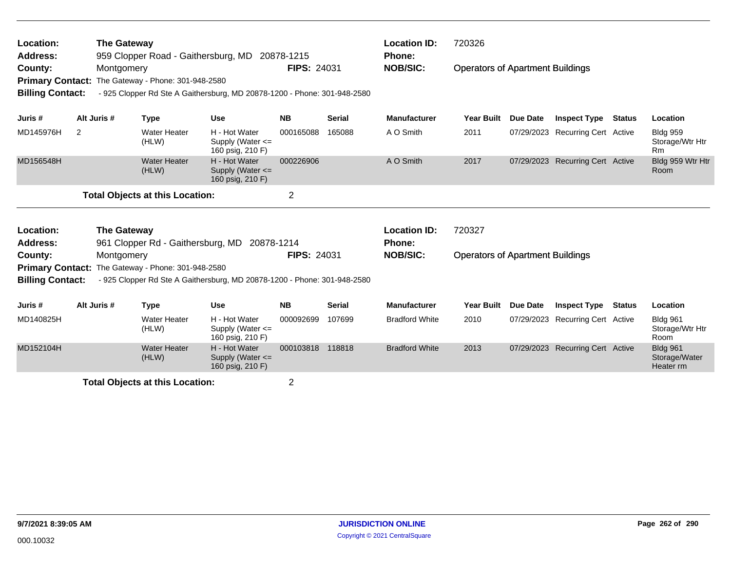| Location:<br><b>The Gateway</b><br>959 Clopper Road - Gaithersburg, MD 20878-1215<br><b>Address:</b><br>County:<br>Montgomery<br>The Gateway - Phone: 301-948-2580<br><b>Primary Contact:</b><br><b>Billing Contact:</b><br>- 925 Clopper Rd Ste A Gaithersburg, MD 20878-1200 - Phone: 301-948-2580<br>Alt Juris #<br><b>Use</b><br><b>Type</b> |                                                                                                   |             |                              |                                                           | <b>FIPS: 24031</b> |               | <b>Location ID:</b><br><b>Phone:</b><br><b>NOB/SIC:</b> | 720326<br><b>Operators of Apartment Buildings</b> |                 |                                  |               |                                               |
|--------------------------------------------------------------------------------------------------------------------------------------------------------------------------------------------------------------------------------------------------------------------------------------------------------------------------------------------------|---------------------------------------------------------------------------------------------------|-------------|------------------------------|-----------------------------------------------------------|--------------------|---------------|---------------------------------------------------------|---------------------------------------------------|-----------------|----------------------------------|---------------|-----------------------------------------------|
| Juris #                                                                                                                                                                                                                                                                                                                                          |                                                                                                   |             |                              |                                                           | <b>NB</b>          | <b>Serial</b> | <b>Manufacturer</b>                                     | <b>Year Built</b>                                 | <b>Due Date</b> | <b>Inspect Type</b>              | <b>Status</b> | Location                                      |
| MD145976H                                                                                                                                                                                                                                                                                                                                        | $\overline{2}$                                                                                    |             | <b>Water Heater</b><br>(HLW) | H - Hot Water<br>Supply (Water $\leq$<br>160 psig, 210 F) | 000165088          | 165088        | A O Smith                                               | 2011                                              | 07/29/2023      | <b>Recurring Cert Active</b>     |               | <b>Bldg 959</b><br>Storage/Wtr Htr<br>Rm      |
| MD156548H                                                                                                                                                                                                                                                                                                                                        |                                                                                                   |             | <b>Water Heater</b><br>(HLW) | H - Hot Water<br>Supply (Water <=<br>160 psig, 210 F)     | 000226906          |               | A O Smith                                               | 2017                                              |                 | 07/29/2023 Recurring Cert Active |               | Bldg 959 Wtr Htr<br>Room                      |
|                                                                                                                                                                                                                                                                                                                                                  |                                                                                                   |             |                              |                                                           | $\overline{2}$     |               |                                                         |                                                   |                 |                                  |               |                                               |
| Location:<br><b>Address:</b>                                                                                                                                                                                                                                                                                                                     | <b>Total Objects at this Location:</b><br><b>The Gateway</b><br>961 Clopper Rd - Gaithersburg, MD |             |                              |                                                           | 20878-1214         |               | <b>Location ID:</b><br><b>Phone:</b>                    | 720327                                            |                 |                                  |               |                                               |
| County:                                                                                                                                                                                                                                                                                                                                          |                                                                                                   | Montgomery  |                              |                                                           | <b>FIPS: 24031</b> |               | <b>NOB/SIC:</b>                                         | <b>Operators of Apartment Buildings</b>           |                 |                                  |               |                                               |
| <b>Primary Contact:</b><br>The Gateway - Phone: 301-948-2580<br><b>Billing Contact:</b><br>- 925 Clopper Rd Ste A Gaithersburg, MD 20878-1200 - Phone: 301-948-2580                                                                                                                                                                              |                                                                                                   |             |                              |                                                           |                    |               |                                                         |                                                   |                 |                                  |               |                                               |
| Juris #                                                                                                                                                                                                                                                                                                                                          |                                                                                                   | Alt Juris # | <b>Type</b>                  | <b>Use</b>                                                | <b>NB</b>          | <b>Serial</b> | <b>Manufacturer</b>                                     | <b>Year Built</b>                                 | <b>Due Date</b> | <b>Inspect Type</b>              | <b>Status</b> | Location                                      |
| MD140825H                                                                                                                                                                                                                                                                                                                                        |                                                                                                   |             | <b>Water Heater</b><br>(HLW) | H - Hot Water<br>Supply (Water $\leq$<br>160 psig, 210 F) | 000092699          | 107699        | <b>Bradford White</b>                                   | 2010                                              | 07/29/2023      | <b>Recurring Cert Active</b>     |               | <b>Bldg 961</b><br>Storage/Wtr Htr<br>Room    |
| MD152104H                                                                                                                                                                                                                                                                                                                                        |                                                                                                   |             | <b>Water Heater</b><br>(HLW) | H - Hot Water<br>Supply (Water <=<br>160 psig, 210 F)     | 000103818 118818   |               | <b>Bradford White</b>                                   | 2013                                              |                 | 07/29/2023 Recurring Cert Active |               | <b>Bldg 961</b><br>Storage/Water<br>Heater rm |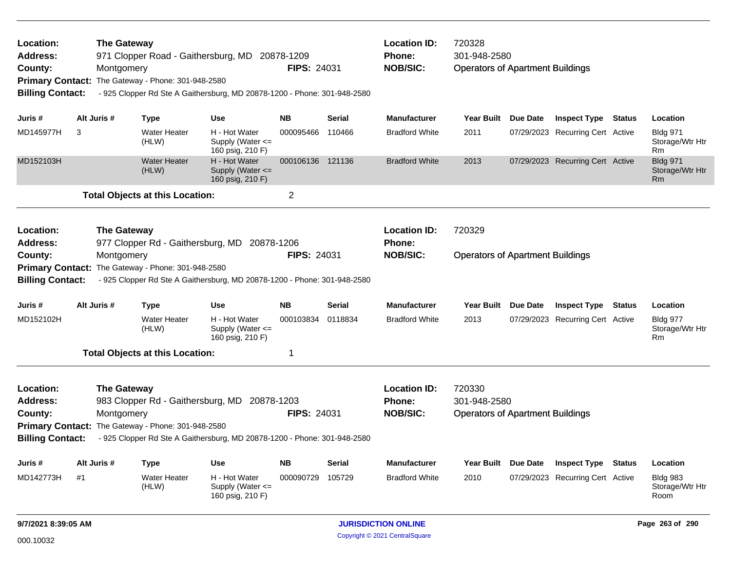| Location:<br>Address:<br>County:<br><b>Billing Contact:</b> |    | <b>The Gateway</b><br>Montgomery | 971 Clopper Road - Gaithersburg, MD 20878-1209<br>Primary Contact: The Gateway - Phone: 301-948-2580<br>- 925 Clopper Rd Ste A Gaithersburg, MD 20878-1200 - Phone: 301-948-2580 |                                                           | <b>FIPS: 24031</b> |               | <b>Location ID:</b><br><b>Phone:</b><br><b>NOB/SIC:</b> | 720328<br>301-948-2580<br><b>Operators of Apartment Buildings</b> |                                  |        |                                                      |
|-------------------------------------------------------------|----|----------------------------------|----------------------------------------------------------------------------------------------------------------------------------------------------------------------------------|-----------------------------------------------------------|--------------------|---------------|---------------------------------------------------------|-------------------------------------------------------------------|----------------------------------|--------|------------------------------------------------------|
| Juris #                                                     |    | Alt Juris #                      | Type                                                                                                                                                                             | <b>Use</b>                                                | <b>NB</b>          | <b>Serial</b> | <b>Manufacturer</b>                                     | Year Built Due Date                                               | <b>Inspect Type Status</b>       |        | Location                                             |
| MD145977H                                                   | 3  |                                  | <b>Water Heater</b><br>(HLW)                                                                                                                                                     | H - Hot Water<br>Supply (Water $\leq$<br>160 psig, 210 F) | 000095466          | 110466        | <b>Bradford White</b>                                   | 2011                                                              | 07/29/2023 Recurring Cert Active |        | <b>Bldg 971</b><br>Storage/Wtr Htr<br>Rm             |
| MD152103H                                                   |    |                                  | Water Heater<br>(HLW)                                                                                                                                                            | H - Hot Water<br>Supply (Water $\leq$<br>160 psig, 210 F) | 000106136 121136   |               | <b>Bradford White</b>                                   | 2013                                                              | 07/29/2023 Recurring Cert Active |        | <b>Bldg 971</b><br>Storage/Wtr Htr<br>Rm             |
|                                                             |    |                                  | <b>Total Objects at this Location:</b>                                                                                                                                           |                                                           | 2                  |               |                                                         |                                                                   |                                  |        |                                                      |
| Location:<br><b>Address:</b>                                |    | <b>The Gateway</b>               | 977 Clopper Rd - Gaithersburg, MD 20878-1206                                                                                                                                     |                                                           |                    |               | <b>Location ID:</b><br><b>Phone:</b>                    | 720329                                                            |                                  |        |                                                      |
| County:                                                     |    | Montgomery                       |                                                                                                                                                                                  |                                                           | <b>FIPS: 24031</b> |               | <b>NOB/SIC:</b>                                         | <b>Operators of Apartment Buildings</b>                           |                                  |        |                                                      |
|                                                             |    |                                  | Primary Contact: The Gateway - Phone: 301-948-2580                                                                                                                               |                                                           |                    |               |                                                         |                                                                   |                                  |        |                                                      |
| <b>Billing Contact:</b>                                     |    |                                  | - 925 Clopper Rd Ste A Gaithersburg, MD 20878-1200 - Phone: 301-948-2580                                                                                                         |                                                           |                    |               |                                                         |                                                                   |                                  |        |                                                      |
| Juris #                                                     |    | Alt Juris #                      | Type                                                                                                                                                                             | <b>Use</b>                                                | <b>NB</b>          | <b>Serial</b> | Manufacturer                                            | Year Built Due Date                                               | <b>Inspect Type</b>              | Status | Location                                             |
| MD152102H                                                   |    |                                  | <b>Water Heater</b><br>(HLW)                                                                                                                                                     | H - Hot Water<br>Supply (Water $\leq$<br>160 psig, 210 F) | 000103834          | 0118834       | <b>Bradford White</b>                                   | 2013                                                              | 07/29/2023 Recurring Cert Active |        | <b>Bldg 977</b><br>Storage/Wtr Htr<br>R <sub>m</sub> |
|                                                             |    |                                  | <b>Total Objects at this Location:</b>                                                                                                                                           |                                                           | $\mathbf 1$        |               |                                                         |                                                                   |                                  |        |                                                      |
| Location:<br>Address:<br>County:<br><b>Billing Contact:</b> |    | <b>The Gateway</b><br>Montgomery | 983 Clopper Rd - Gaithersburg, MD 20878-1203<br>Primary Contact: The Gateway - Phone: 301-948-2580<br>- 925 Clopper Rd Ste A Gaithersburg, MD 20878-1200 - Phone: 301-948-2580   |                                                           | <b>FIPS: 24031</b> |               | <b>Location ID:</b><br><b>Phone:</b><br><b>NOB/SIC:</b> | 720330<br>301-948-2580<br><b>Operators of Apartment Buildings</b> |                                  |        |                                                      |
| Juris #                                                     |    | Alt Juris #                      | Type                                                                                                                                                                             | <b>Use</b>                                                | <b>NB</b>          | <b>Serial</b> | Manufacturer                                            | Year Built Due Date                                               | <b>Inspect Type</b>              | Status | Location                                             |
| MD142773H                                                   | #1 |                                  | <b>Water Heater</b><br>(HLW)                                                                                                                                                     | H - Hot Water<br>Supply (Water $\leq$<br>160 psig, 210 F) | 000090729          | 105729        | <b>Bradford White</b>                                   | 2010                                                              | 07/29/2023 Recurring Cert Active |        | <b>Bldg 983</b><br>Storage/Wtr Htr<br>Room           |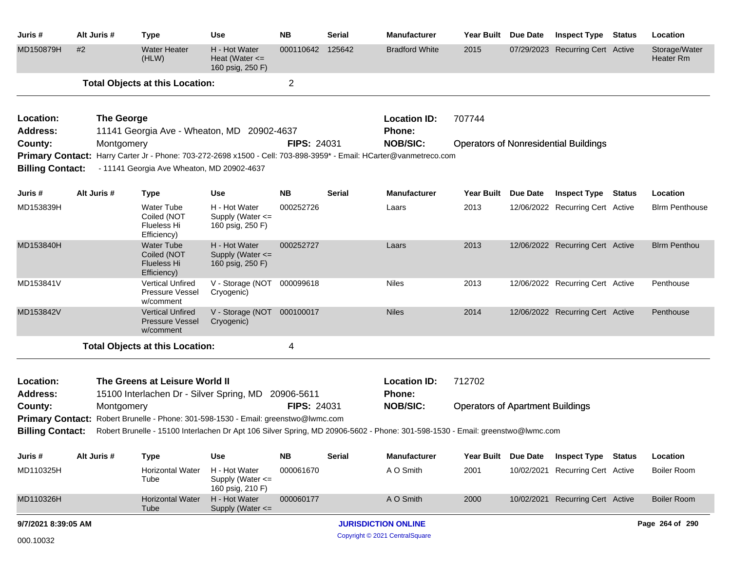| Juris #                      | Alt Juris #       | <b>Type</b>                                                                           | <b>Use</b>                                                | <b>NB</b>          | <b>Serial</b> | Manufacturer                                                                                                                  | Year Built Due Date                     |                 | <b>Inspect Type Status</b>                   | Location                          |
|------------------------------|-------------------|---------------------------------------------------------------------------------------|-----------------------------------------------------------|--------------------|---------------|-------------------------------------------------------------------------------------------------------------------------------|-----------------------------------------|-----------------|----------------------------------------------|-----------------------------------|
| MD150879H                    | #2                | <b>Water Heater</b><br>(HLW)                                                          | H - Hot Water<br>Heat (Water $\leq$<br>160 psig, 250 F)   | 000110642          | 125642        | <b>Bradford White</b>                                                                                                         | 2015                                    |                 | 07/29/2023 Recurring Cert Active             | Storage/Water<br><b>Heater Rm</b> |
|                              |                   | <b>Total Objects at this Location:</b>                                                |                                                           | $\overline{2}$     |               |                                                                                                                               |                                         |                 |                                              |                                   |
| Location:                    | <b>The George</b> |                                                                                       |                                                           |                    |               | <b>Location ID:</b>                                                                                                           | 707744                                  |                 |                                              |                                   |
| <b>Address:</b>              |                   | 11141 Georgia Ave - Wheaton, MD 20902-4637                                            |                                                           |                    |               | Phone:                                                                                                                        |                                         |                 |                                              |                                   |
| County:                      | Montgomery        |                                                                                       |                                                           | <b>FIPS: 24031</b> |               | <b>NOB/SIC:</b>                                                                                                               |                                         |                 | <b>Operators of Nonresidential Buildings</b> |                                   |
|                              |                   |                                                                                       |                                                           |                    |               | Primary Contact: Harry Carter Jr - Phone: 703-272-2698 x1500 - Cell: 703-898-3959* - Email: HCarter@vanmetreco.com            |                                         |                 |                                              |                                   |
| <b>Billing Contact:</b>      |                   | - 11141 Georgia Ave Wheaton, MD 20902-4637                                            |                                                           |                    |               |                                                                                                                               |                                         |                 |                                              |                                   |
| Juris #                      | Alt Juris #       | <b>Type</b>                                                                           | <b>Use</b>                                                | <b>NB</b>          | <b>Serial</b> | <b>Manufacturer</b>                                                                                                           | <b>Year Built</b>                       | <b>Due Date</b> | <b>Inspect Type Status</b>                   | Location                          |
| MD153839H                    |                   | <b>Water Tube</b><br>Coiled (NOT<br><b>Flueless Hi</b><br>Efficiency)                 | H - Hot Water<br>Supply (Water <=<br>160 psig, 250 F)     | 000252726          |               | Laars                                                                                                                         | 2013                                    |                 | 12/06/2022 Recurring Cert Active             | <b>Blrm Penthouse</b>             |
| MD153840H                    |                   | <b>Water Tube</b><br>Coiled (NOT<br>Flueless Hi<br>Efficiency)                        | H - Hot Water<br>Supply (Water <=<br>160 psig, 250 F)     | 000252727          |               | Laars                                                                                                                         | 2013                                    |                 | 12/06/2022 Recurring Cert Active             | <b>Blrm Penthou</b>               |
| MD153841V                    |                   | <b>Vertical Unfired</b><br>Pressure Vessel<br>w/comment                               | V - Storage (NOT<br>Cryogenic)                            | 000099618          |               | <b>Niles</b>                                                                                                                  | 2013                                    |                 | 12/06/2022 Recurring Cert Active             | Penthouse                         |
| MD153842V                    |                   | <b>Vertical Unfired</b><br><b>Pressure Vessel</b><br>w/comment                        | V - Storage (NOT 000100017<br>Cryogenic)                  |                    |               | <b>Niles</b>                                                                                                                  | 2014                                    |                 | 12/06/2022 Recurring Cert Active             | Penthouse                         |
|                              |                   | <b>Total Objects at this Location:</b>                                                |                                                           | 4                  |               |                                                                                                                               |                                         |                 |                                              |                                   |
|                              |                   |                                                                                       |                                                           |                    |               |                                                                                                                               |                                         |                 |                                              |                                   |
| Location:<br><b>Address:</b> |                   | The Greens at Leisure World II<br>15100 Interlachen Dr - Silver Spring, MD 20906-5611 |                                                           |                    |               | <b>Location ID:</b><br>Phone:                                                                                                 | 712702                                  |                 |                                              |                                   |
| County:                      | Montgomery        |                                                                                       |                                                           | <b>FIPS: 24031</b> |               | <b>NOB/SIC:</b>                                                                                                               | <b>Operators of Apartment Buildings</b> |                 |                                              |                                   |
| <b>Primary Contact:</b>      |                   | Robert Brunelle - Phone: 301-598-1530 - Email: greenstwo@lwmc.com                     |                                                           |                    |               |                                                                                                                               |                                         |                 |                                              |                                   |
| <b>Billing Contact:</b>      |                   |                                                                                       |                                                           |                    |               | Robert Brunelle - 15100 Interlachen Dr Apt 106 Silver Spring, MD 20906-5602 - Phone: 301-598-1530 - Email: greenstwo@lwmc.com |                                         |                 |                                              |                                   |
| Juris#                       | Alt Juris #       | <b>Type</b>                                                                           | <b>Use</b>                                                | <b>NB</b>          | <b>Serial</b> | <b>Manufacturer</b>                                                                                                           | <b>Year Built</b>                       | Due Date        | <b>Inspect Type Status</b>                   | Location                          |
| MD110325H                    |                   | <b>Horizontal Water</b><br>Tube                                                       | H - Hot Water<br>Supply (Water $\leq$<br>160 psig, 210 F) | 000061670          |               | A O Smith                                                                                                                     | 2001                                    |                 | 10/02/2021 Recurring Cert Active             | <b>Boiler Room</b>                |
| MD110326H                    |                   | <b>Horizontal Water</b><br>Tube                                                       | H - Hot Water<br>Supply (Water <=                         | 000060177          |               | A O Smith                                                                                                                     | 2000                                    |                 | 10/02/2021 Recurring Cert Active             | <b>Boiler Room</b>                |
| 9/7/2021 8:39:05 AM          |                   |                                                                                       |                                                           |                    |               | <b>JURISDICTION ONLINE</b>                                                                                                    |                                         |                 |                                              | Page 264 of 290                   |
| 000.10032                    |                   |                                                                                       |                                                           |                    |               | Copyright © 2021 CentralSquare                                                                                                |                                         |                 |                                              |                                   |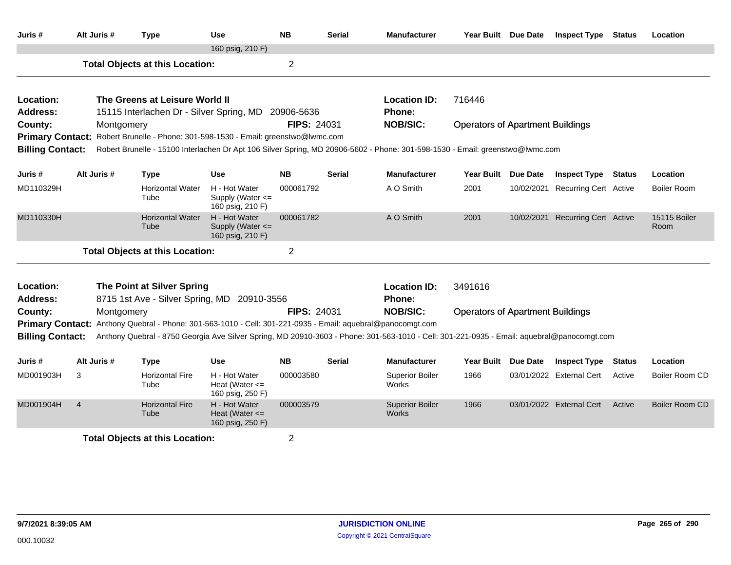| Juris #                 | Alt Juris #    | <b>Type</b>                                                                                | Use                                                     | <b>NB</b>          | <b>Serial</b> | <b>Manufacturer</b>                                                                                                                        | Year Built Due Date                     |                 | <b>Inspect Type</b>              | <b>Status</b> | Location                    |
|-------------------------|----------------|--------------------------------------------------------------------------------------------|---------------------------------------------------------|--------------------|---------------|--------------------------------------------------------------------------------------------------------------------------------------------|-----------------------------------------|-----------------|----------------------------------|---------------|-----------------------------|
|                         |                |                                                                                            | 160 psig, 210 F)                                        |                    |               |                                                                                                                                            |                                         |                 |                                  |               |                             |
|                         |                | <b>Total Objects at this Location:</b>                                                     |                                                         | $\overline{2}$     |               |                                                                                                                                            |                                         |                 |                                  |               |                             |
| Location:               |                | The Greens at Leisure World II                                                             |                                                         |                    |               | <b>Location ID:</b>                                                                                                                        | 716446                                  |                 |                                  |               |                             |
| <b>Address:</b>         |                | 15115 Interlachen Dr - Silver Spring, MD 20906-5636                                        |                                                         |                    |               | Phone:                                                                                                                                     |                                         |                 |                                  |               |                             |
| County:                 | Montgomery     |                                                                                            |                                                         | <b>FIPS: 24031</b> |               | <b>NOB/SIC:</b>                                                                                                                            | <b>Operators of Apartment Buildings</b> |                 |                                  |               |                             |
|                         |                | Primary Contact: Robert Brunelle - Phone: 301-598-1530 - Email: greenstwo@lwmc.com         |                                                         |                    |               |                                                                                                                                            |                                         |                 |                                  |               |                             |
| <b>Billing Contact:</b> |                |                                                                                            |                                                         |                    |               | Robert Brunelle - 15100 Interlachen Dr Apt 106 Silver Spring, MD 20906-5602 - Phone: 301-598-1530 - Email: greenstwo@lwmc.com              |                                         |                 |                                  |               |                             |
| Juris #                 | Alt Juris #    | <b>Type</b>                                                                                | Use                                                     | <b>NB</b>          | <b>Serial</b> | <b>Manufacturer</b>                                                                                                                        | <b>Year Built</b>                       | <b>Due Date</b> | <b>Inspect Type Status</b>       |               | Location                    |
| MD110329H               |                | <b>Horizontal Water</b><br>Tube                                                            | H - Hot Water<br>Supply (Water <=<br>160 psig, 210 F)   | 000061792          |               | A O Smith                                                                                                                                  | 2001                                    |                 | 10/02/2021 Recurring Cert Active |               | Boiler Room                 |
| MD110330H               |                | <b>Horizontal Water</b><br>Tube                                                            | H - Hot Water<br>Supply (Water <=<br>160 psig, 210 F)   | 000061782          |               | A O Smith                                                                                                                                  | 2001                                    |                 | 10/02/2021 Recurring Cert Active |               | <b>15115 Boiler</b><br>Room |
|                         |                | <b>Total Objects at this Location:</b>                                                     |                                                         | $\overline{2}$     |               |                                                                                                                                            |                                         |                 |                                  |               |                             |
| Location:               |                | The Point at Silver Spring                                                                 |                                                         |                    |               | <b>Location ID:</b>                                                                                                                        | 3491616                                 |                 |                                  |               |                             |
| <b>Address:</b>         |                | 8715 1st Ave - Silver Spring, MD 20910-3556                                                |                                                         |                    |               | Phone:                                                                                                                                     |                                         |                 |                                  |               |                             |
| County:                 | Montgomery     |                                                                                            |                                                         | <b>FIPS: 24031</b> |               | <b>NOB/SIC:</b>                                                                                                                            | <b>Operators of Apartment Buildings</b> |                 |                                  |               |                             |
| <b>Primary Contact:</b> |                | Anthony Quebral - Phone: 301-563-1010 - Cell: 301-221-0935 - Email: aquebral@panocomgt.com |                                                         |                    |               |                                                                                                                                            |                                         |                 |                                  |               |                             |
| <b>Billing Contact:</b> |                |                                                                                            |                                                         |                    |               | Anthony Quebral - 8750 Georgia Ave Silver Spring, MD 20910-3603 - Phone: 301-563-1010 - Cell: 301-221-0935 - Email: aquebral@panocomgt.com |                                         |                 |                                  |               |                             |
| Juris #                 | Alt Juris #    | <b>Type</b>                                                                                | <b>Use</b>                                              | <b>NB</b>          | <b>Serial</b> | <b>Manufacturer</b>                                                                                                                        | <b>Year Built</b>                       | <b>Due Date</b> | <b>Inspect Type</b>              | <b>Status</b> | Location                    |
| MD001903H               | 3              | <b>Horizontal Fire</b><br>Tube                                                             | H - Hot Water<br>Heat (Water $\leq$<br>160 psig, 250 F) | 000003580          |               | <b>Superior Boiler</b><br>Works                                                                                                            | 1966                                    |                 | 03/01/2022 External Cert         | Active        | Boiler Room CD              |
| MD001904H               | $\overline{4}$ | <b>Horizontal Fire</b><br>Tube                                                             | H - Hot Water<br>Heat (Water $\leq$<br>160 psig, 250 F) | 000003579          |               | <b>Superior Boiler</b><br>Works                                                                                                            | 1966                                    |                 | 03/01/2022 External Cert         | Active        | Boiler Room CD              |
|                         |                | <b>Total Objects at this Location:</b>                                                     |                                                         | $\overline{2}$     |               |                                                                                                                                            |                                         |                 |                                  |               |                             |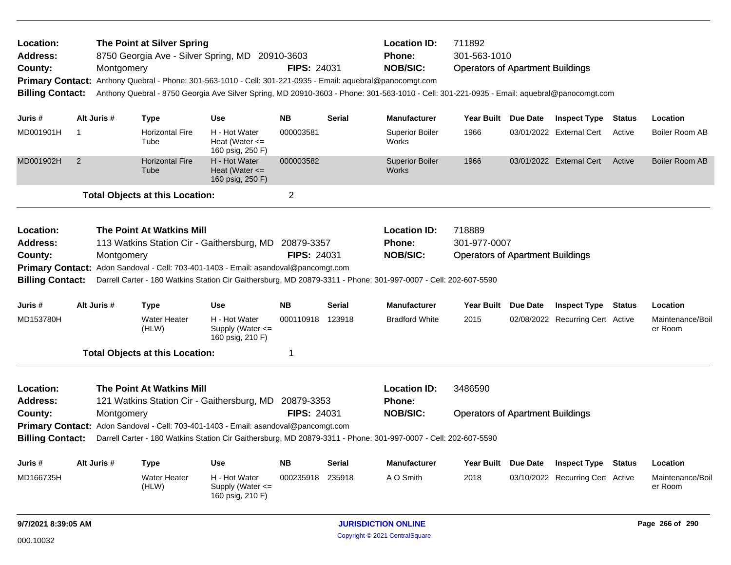| Location:<br><b>Address:</b><br>County: |             | Montgomery  | The Point at Silver Spring             | 8750 Georgia Ave - Silver Spring, MD 20910-3603<br>Primary Contact: Anthony Quebral - Phone: 301-563-1010 - Cell: 301-221-0935 - Email: aquebral@panocomgt.com | <b>FIPS: 24031</b> |               | <b>Location ID:</b><br>Phone:<br><b>NOB/SIC:</b>                                                                                           | 711892<br>301-563-1010<br><b>Operators of Apartment Buildings</b> |                 |                                  |               |                             |
|-----------------------------------------|-------------|-------------|----------------------------------------|----------------------------------------------------------------------------------------------------------------------------------------------------------------|--------------------|---------------|--------------------------------------------------------------------------------------------------------------------------------------------|-------------------------------------------------------------------|-----------------|----------------------------------|---------------|-----------------------------|
| <b>Billing Contact:</b>                 |             |             |                                        |                                                                                                                                                                |                    |               | Anthony Quebral - 8750 Georgia Ave Silver Spring, MD 20910-3603 - Phone: 301-563-1010 - Cell: 301-221-0935 - Email: aquebral@panocomgt.com |                                                                   |                 |                                  |               |                             |
| Juris #                                 |             | Alt Juris # | <b>Type</b>                            | <b>Use</b>                                                                                                                                                     | <b>NB</b>          | <b>Serial</b> | <b>Manufacturer</b>                                                                                                                        | <b>Year Built</b>                                                 | Due Date        | <b>Inspect Type</b>              | <b>Status</b> | Location                    |
| MD001901H                               | $\mathbf 1$ |             | <b>Horizontal Fire</b><br>Tube         | H - Hot Water<br>Heat (Water $\leq$<br>160 psig, 250 F)                                                                                                        | 000003581          |               | <b>Superior Boiler</b><br>Works                                                                                                            | 1966                                                              |                 | 03/01/2022 External Cert         | Active        | Boiler Room AB              |
| MD001902H                               | 2           |             | <b>Horizontal Fire</b><br>Tube         | H - Hot Water<br>Heat (Water $\leq$<br>160 psig, 250 F)                                                                                                        | 000003582          |               | <b>Superior Boiler</b><br>Works                                                                                                            | 1966                                                              |                 | 03/01/2022 External Cert         | Active        | Boiler Room AB              |
|                                         |             |             | <b>Total Objects at this Location:</b> |                                                                                                                                                                | $\overline{2}$     |               |                                                                                                                                            |                                                                   |                 |                                  |               |                             |
| Location:                               |             |             | <b>The Point At Watkins Mill</b>       |                                                                                                                                                                |                    |               | <b>Location ID:</b>                                                                                                                        | 718889                                                            |                 |                                  |               |                             |
| Address:                                |             |             |                                        | 113 Watkins Station Cir - Gaithersburg, MD                                                                                                                     | 20879-3357         |               | Phone:                                                                                                                                     | 301-977-0007                                                      |                 |                                  |               |                             |
| County:                                 |             | Montgomery  |                                        |                                                                                                                                                                | <b>FIPS: 24031</b> |               | <b>NOB/SIC:</b>                                                                                                                            | <b>Operators of Apartment Buildings</b>                           |                 |                                  |               |                             |
| <b>Billing Contact:</b>                 |             |             |                                        | <b>Primary Contact:</b> Adon Sandoval - Cell: 703-401-1403 - Email: asandoval@pancomgt.com                                                                     |                    |               | Darrell Carter - 180 Watkins Station Cir Gaithersburg, MD 20879-3311 - Phone: 301-997-0007 - Cell: 202-607-5590                            |                                                                   |                 |                                  |               |                             |
|                                         |             |             |                                        |                                                                                                                                                                |                    |               |                                                                                                                                            |                                                                   |                 |                                  |               |                             |
| Juris #                                 |             | Alt Juris # | <b>Type</b>                            | <b>Use</b>                                                                                                                                                     | <b>NB</b>          | <b>Serial</b> | <b>Manufacturer</b>                                                                                                                        | <b>Year Built</b>                                                 | Due Date        | <b>Inspect Type Status</b>       |               | Location                    |
| MD153780H                               |             |             | <b>Water Heater</b><br>(HLW)           | H - Hot Water<br>Supply (Water $\leq$<br>160 psig, 210 F)                                                                                                      | 000110918          | 123918        | <b>Bradford White</b>                                                                                                                      | 2015                                                              |                 | 02/08/2022 Recurring Cert Active |               | Maintenance/Boil<br>er Room |
|                                         |             |             | <b>Total Objects at this Location:</b> |                                                                                                                                                                | 1                  |               |                                                                                                                                            |                                                                   |                 |                                  |               |                             |
| Location:                               |             |             | <b>The Point At Watkins Mill</b>       |                                                                                                                                                                |                    |               | <b>Location ID:</b>                                                                                                                        | 3486590                                                           |                 |                                  |               |                             |
| Address:                                |             |             |                                        | 121 Watkins Station Cir - Gaithersburg, MD 20879-3353                                                                                                          |                    |               | <b>Phone:</b>                                                                                                                              |                                                                   |                 |                                  |               |                             |
| County:                                 |             | Montgomery  |                                        |                                                                                                                                                                | <b>FIPS: 24031</b> |               | <b>NOB/SIC:</b>                                                                                                                            | <b>Operators of Apartment Buildings</b>                           |                 |                                  |               |                             |
|                                         |             |             |                                        | <b>Primary Contact:</b> Adon Sandoval - Cell: 703-401-1403 - Email: asandoval@pancomgt.com                                                                     |                    |               |                                                                                                                                            |                                                                   |                 |                                  |               |                             |
| <b>Billing Contact:</b>                 |             |             |                                        |                                                                                                                                                                |                    |               | Darrell Carter - 180 Watkins Station Cir Gaithersburg, MD 20879-3311 - Phone: 301-997-0007 - Cell: 202-607-5590                            |                                                                   |                 |                                  |               |                             |
| Juris #                                 |             | Alt Juris # | <b>Type</b>                            | <b>Use</b>                                                                                                                                                     | <b>NB</b>          | <b>Serial</b> | <b>Manufacturer</b>                                                                                                                        | <b>Year Built</b>                                                 | <b>Due Date</b> | <b>Inspect Type</b>              | <b>Status</b> | Location                    |
| MD166735H                               |             |             | <b>Water Heater</b><br>(HLW)           | H - Hot Water<br>Supply (Water $\leq$<br>160 psig, 210 F)                                                                                                      | 000235918          | 235918        | A O Smith                                                                                                                                  | 2018                                                              |                 | 03/10/2022 Recurring Cert Active |               | Maintenance/Boil<br>er Room |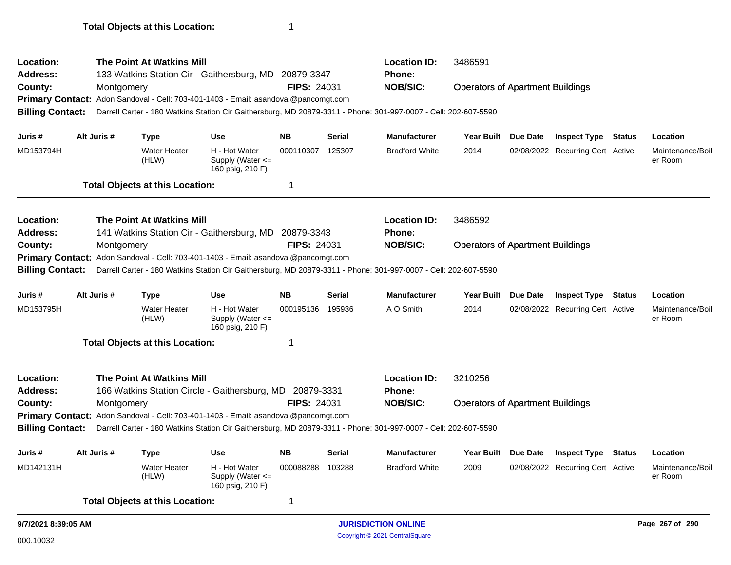| Location:<br><b>Address:</b> |                                                                                                                                            |             | The Point At Watkins Mill              | 133 Watkins Station Cir - Gaithersburg, MD 20879-3347                               |                    |               | <b>Location ID:</b><br><b>Phone:</b>                                                                            | 3486591                                 |                 |                                  |  |                             |
|------------------------------|--------------------------------------------------------------------------------------------------------------------------------------------|-------------|----------------------------------------|-------------------------------------------------------------------------------------|--------------------|---------------|-----------------------------------------------------------------------------------------------------------------|-----------------------------------------|-----------------|----------------------------------|--|-----------------------------|
| County:                      |                                                                                                                                            | Montgomery  |                                        |                                                                                     | <b>FIPS: 24031</b> |               | <b>NOB/SIC:</b>                                                                                                 | <b>Operators of Apartment Buildings</b> |                 |                                  |  |                             |
| <b>Primary Contact:</b>      |                                                                                                                                            |             |                                        | Adon Sandoval - Cell: 703-401-1403 - Email: asandoval@pancomgt.com                  |                    |               |                                                                                                                 |                                         |                 |                                  |  |                             |
| <b>Billing Contact:</b>      |                                                                                                                                            |             |                                        |                                                                                     |                    |               | Darrell Carter - 180 Watkins Station Cir Gaithersburg, MD 20879-3311 - Phone: 301-997-0007 - Cell: 202-607-5590 |                                         |                 |                                  |  |                             |
| Juris #                      |                                                                                                                                            | Alt Juris # | <b>Type</b>                            | <b>Use</b>                                                                          | <b>NB</b>          | <b>Serial</b> | <b>Manufacturer</b>                                                                                             | <b>Year Built</b>                       | Due Date        | <b>Inspect Type Status</b>       |  | Location                    |
| MD153794H                    |                                                                                                                                            |             | <b>Water Heater</b><br>(HLW)           | H - Hot Water<br>Supply (Water <=<br>160 psig, 210 F)                               | 000110307          | 125307        | <b>Bradford White</b>                                                                                           | 2014                                    |                 | 02/08/2022 Recurring Cert Active |  | Maintenance/Boil<br>er Room |
|                              |                                                                                                                                            |             | <b>Total Objects at this Location:</b> |                                                                                     | 1                  |               |                                                                                                                 |                                         |                 |                                  |  |                             |
| Location:                    |                                                                                                                                            |             | <b>The Point At Watkins Mill</b>       |                                                                                     |                    |               | <b>Location ID:</b>                                                                                             | 3486592                                 |                 |                                  |  |                             |
| <b>Address:</b>              |                                                                                                                                            |             |                                        | 141 Watkins Station Cir - Gaithersburg, MD                                          | 20879-3343         |               | <b>Phone:</b>                                                                                                   |                                         |                 |                                  |  |                             |
| County:                      |                                                                                                                                            | Montgomery  |                                        |                                                                                     | <b>FIPS: 24031</b> |               | <b>NOB/SIC:</b>                                                                                                 | <b>Operators of Apartment Buildings</b> |                 |                                  |  |                             |
| <b>Primary Contact:</b>      |                                                                                                                                            |             |                                        | Adon Sandoval - Cell: 703-401-1403 - Email: asandoval@pancomgt.com                  |                    |               |                                                                                                                 |                                         |                 |                                  |  |                             |
|                              | <b>Billing Contact:</b><br>Darrell Carter - 180 Watkins Station Cir Gaithersburg, MD 20879-3311 - Phone: 301-997-0007 - Cell: 202-607-5590 |             |                                        |                                                                                     |                    |               |                                                                                                                 |                                         |                 |                                  |  |                             |
| Juris #                      |                                                                                                                                            | Alt Juris # | <b>Type</b>                            | <b>Use</b>                                                                          | <b>NB</b>          | <b>Serial</b> | <b>Manufacturer</b>                                                                                             | <b>Year Built</b>                       | <b>Due Date</b> | <b>Inspect Type Status</b>       |  | Location                    |
| MD153795H                    |                                                                                                                                            |             | <b>Water Heater</b><br>(HLW)           | H - Hot Water<br>Supply (Water <=<br>160 psig, 210 F)                               | 000195136 195936   |               | A O Smith                                                                                                       | 2014                                    |                 | 02/08/2022 Recurring Cert Active |  | Maintenance/Boil<br>er Room |
|                              |                                                                                                                                            |             | <b>Total Objects at this Location:</b> |                                                                                     |                    |               |                                                                                                                 |                                         |                 |                                  |  |                             |
| Location:                    |                                                                                                                                            |             | The Point At Watkins Mill              |                                                                                     |                    |               | <b>Location ID:</b>                                                                                             | 3210256                                 |                 |                                  |  |                             |
| <b>Address:</b>              |                                                                                                                                            |             |                                        | 166 Watkins Station Circle - Gaithersburg, MD 20879-3331                            |                    |               | <b>Phone:</b>                                                                                                   |                                         |                 |                                  |  |                             |
| County:                      |                                                                                                                                            | Montgomery  |                                        |                                                                                     | <b>FIPS: 24031</b> |               | <b>NOB/SIC:</b>                                                                                                 | <b>Operators of Apartment Buildings</b> |                 |                                  |  |                             |
|                              |                                                                                                                                            |             |                                        | Primary Contact: Adon Sandoval - Cell: 703-401-1403 - Email: asandoval@pancomgt.com |                    |               |                                                                                                                 |                                         |                 |                                  |  |                             |
|                              | <b>Billing Contact:</b><br>Darrell Carter - 180 Watkins Station Cir Gaithersburg, MD 20879-3311 - Phone: 301-997-0007 - Cell: 202-607-5590 |             |                                        |                                                                                     |                    |               |                                                                                                                 |                                         |                 |                                  |  |                             |
| Juris#                       |                                                                                                                                            | Alt Juris # | <b>Type</b>                            | <b>Use</b>                                                                          | NΒ                 | <b>Serial</b> | Manufacturer                                                                                                    | Year Built                              | <b>Due Date</b> | <b>Inspect Type Status</b>       |  | Location                    |
| MD142131H                    |                                                                                                                                            |             | <b>Water Heater</b><br>(HLW)           | H - Hot Water<br>Supply (Water <=<br>160 psig, 210 F)                               | 000088288 103288   |               | <b>Bradford White</b>                                                                                           | 2009                                    |                 | 02/08/2022 Recurring Cert Active |  | Maintenance/Boil<br>er Room |
|                              |                                                                                                                                            |             | <b>Total Objects at this Location:</b> |                                                                                     | 1                  |               |                                                                                                                 |                                         |                 |                                  |  |                             |
| 9/7/2021 8:39:05 AM          |                                                                                                                                            |             |                                        |                                                                                     |                    |               | <b>JURISDICTION ONLINE</b>                                                                                      |                                         |                 |                                  |  | Page 267 of 290             |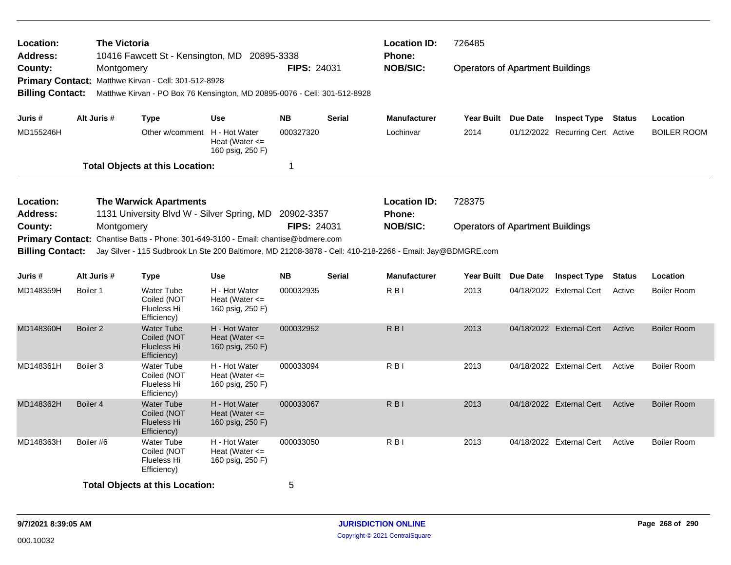| <b>Location:</b><br><b>Address:</b> |                                                                   | <b>The Victoria</b><br>10416 Fawcett St - Kensington, MD 20895-3338                                        |                                                         |                    |               | <b>Location ID:</b><br><b>Phone:</b> | 726485                                  |          |                                  |               |                    |
|-------------------------------------|-------------------------------------------------------------------|------------------------------------------------------------------------------------------------------------|---------------------------------------------------------|--------------------|---------------|--------------------------------------|-----------------------------------------|----------|----------------------------------|---------------|--------------------|
| County:<br><b>Primary Contact:</b>  |                                                                   | Montgomery<br>Matthwe Kirvan - Cell: 301-512-8928                                                          |                                                         | <b>FIPS: 24031</b> |               | <b>NOB/SIC:</b>                      | <b>Operators of Apartment Buildings</b> |          |                                  |               |                    |
| <b>Billing Contact:</b>             |                                                                   | Matthwe Kirvan - PO Box 76 Kensington, MD 20895-0076 - Cell: 301-512-8928                                  |                                                         |                    |               |                                      |                                         |          |                                  |               |                    |
| Juris #                             | Alt Juris #                                                       | <b>Type</b>                                                                                                | Use                                                     | <b>NB</b>          | <b>Serial</b> | <b>Manufacturer</b>                  | Year Built Due Date                     |          | <b>Inspect Type Status</b>       |               | Location           |
| MD155246H                           |                                                                   | Other w/comment H - Hot Water                                                                              | Heat (Water $\leq$<br>160 psig, 250 F)                  | 000327320          |               | Lochinvar                            | 2014                                    |          | 01/12/2022 Recurring Cert Active |               | BOILER ROOM        |
|                                     |                                                                   | <b>Total Objects at this Location:</b>                                                                     |                                                         | 1                  |               |                                      |                                         |          |                                  |               |                    |
| Location:<br>Address:               |                                                                   | <b>The Warwick Apartments</b><br>1131 University Blvd W - Silver Spring, MD                                |                                                         | 20902-3357         |               | <b>Location ID:</b><br><b>Phone:</b> | 728375                                  |          |                                  |               |                    |
| County:                             |                                                                   | Montgomery                                                                                                 |                                                         | <b>FIPS: 24031</b> |               | <b>NOB/SIC:</b>                      | <b>Operators of Apartment Buildings</b> |          |                                  |               |                    |
| <b>Primary Contact:</b>             | Chantise Batts - Phone: 301-649-3100 - Email: chantise@bdmere.com |                                                                                                            |                                                         |                    |               |                                      |                                         |          |                                  |               |                    |
| <b>Billing Contact:</b>             |                                                                   | Jay Silver - 115 Sudbrook Ln Ste 200 Baltimore, MD 21208-3878 - Cell: 410-218-2266 - Email: Jay@BDMGRE.com |                                                         |                    |               |                                      |                                         |          |                                  |               |                    |
| Juris #                             | Alt Juris #                                                       | <b>Type</b>                                                                                                | <b>Use</b>                                              | <b>NB</b>          | <b>Serial</b> | <b>Manufacturer</b>                  | Year Built                              | Due Date | <b>Inspect Type</b>              | <b>Status</b> | Location           |
| MD148359H                           | Boiler 1                                                          | <b>Water Tube</b><br>Coiled (NOT<br>Flueless Hi<br>Efficiency)                                             | H - Hot Water<br>Heat (Water $\leq$<br>160 psig, 250 F) | 000032935          |               | R B I                                | 2013                                    |          | 04/18/2022 External Cert         | Active        | <b>Boiler Room</b> |
| MD148360H                           | Boiler <sub>2</sub>                                               | <b>Water Tube</b><br>Coiled (NOT<br><b>Flueless Hi</b><br>Efficiency)                                      | H - Hot Water<br>Heat (Water $\leq$<br>160 psig, 250 F) | 000032952          |               | R <sub>BI</sub>                      | 2013                                    |          | 04/18/2022 External Cert         | Active        | <b>Boiler Room</b> |
| MD148361H                           | Boiler <sub>3</sub>                                               | <b>Water Tube</b><br>Coiled (NOT<br>Flueless Hi<br>Efficiency)                                             | H - Hot Water<br>Heat (Water $\leq$<br>160 psig, 250 F) | 000033094          |               | R <sub>BI</sub>                      | 2013                                    |          | 04/18/2022 External Cert         | Active        | <b>Boiler Room</b> |
| MD148362H                           | Boiler 4                                                          | <b>Water Tube</b><br>Coiled (NOT<br><b>Flueless Hi</b><br>Efficiency)                                      | H - Hot Water<br>Heat (Water $\leq$<br>160 psig, 250 F) | 000033067          |               | R B I                                | 2013                                    |          | 04/18/2022 External Cert         | Active        | <b>Boiler Room</b> |
| MD148363H                           | Boiler #6                                                         | Water Tube<br>Coiled (NOT<br>Flueless Hi<br>Efficiency)                                                    | H - Hot Water<br>Heat (Water $\leq$<br>160 psig, 250 F) | 000033050          |               | R <sub>BI</sub>                      | 2013                                    |          | 04/18/2022 External Cert         | Active        | <b>Boiler Room</b> |
|                                     |                                                                   | <b>Total Objects at this Location:</b>                                                                     |                                                         | 5                  |               |                                      |                                         |          |                                  |               |                    |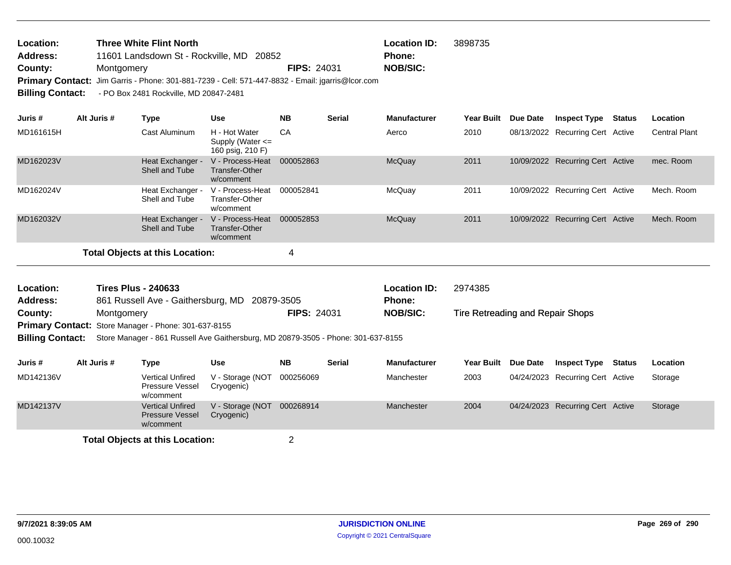| <b>Location:</b> | <b>Three White Flint North</b>                                                                   |                    | <b>Location ID:</b> | 3898735 |
|------------------|--------------------------------------------------------------------------------------------------|--------------------|---------------------|---------|
| Address:         | 11601 Landsdown St - Rockville, MD 20852                                                         |                    | <b>Phone:</b>       |         |
| County:          | Montgomery                                                                                       | <b>FIPS: 24031</b> | NOB/SIC:            |         |
|                  | Primary Contact: Jim Garris - Phone: 301-881-7239 - Cell: 571-447-8832 - Email: jgarris@lcor.com |                    |                     |         |
|                  | Billing Contact: - PO Box 2481 Rockville, MD 20847-2481                                          |                    |                     |         |

| Juris #   | Alt Juris # | Type                                   | <b>Use</b>                                                | <b>NB</b> | <b>Serial</b> | <b>Manufacturer</b> | <b>Year Built</b> | <b>Due Date</b> | <b>Inspect Type</b>              | Status | <b>Location</b>      |
|-----------|-------------|----------------------------------------|-----------------------------------------------------------|-----------|---------------|---------------------|-------------------|-----------------|----------------------------------|--------|----------------------|
| MD161615H |             | Cast Aluminum                          | H - Hot Water<br>Supply (Water $\leq$<br>160 psig, 210 F) | CA        |               | Aerco               | 2010              |                 | 08/13/2022 Recurring Cert Active |        | <b>Central Plant</b> |
| MD162023V |             | Heat Exchanger -<br>Shell and Tube     | V - Process-Heat<br>Transfer-Other<br>w/comment           | 000052863 |               | <b>McQuay</b>       | 2011              |                 | 10/09/2022 Recurring Cert Active |        | mec. Room            |
| MD162024V |             | Heat Exchanger -<br>Shell and Tube     | V - Process-Heat<br>Transfer-Other<br>w/comment           | 000052841 |               | McQuay              | 2011              |                 | 10/09/2022 Recurring Cert Active |        | Mech. Room           |
| MD162032V |             | Heat Exchanger -<br>Shell and Tube     | V - Process-Heat<br>Transfer-Other<br>w/comment           | 000052853 |               | McQuay              | 2011              |                 | 10/09/2022 Recurring Cert Active |        | Mech. Room           |
|           |             | <b>Total Objects at this Location:</b> |                                                           | 4         |               |                     |                   |                 |                                  |        |                      |

| Location:       | <b>Tires Plus - 240633</b>                           |                    | <b>Location ID:</b> | 2974385                          |
|-----------------|------------------------------------------------------|--------------------|---------------------|----------------------------------|
| <b>Address:</b> | 861 Russell Ave - Gaithersburg, MD 20879-3505        |                    | <b>Phone:</b>       |                                  |
| County:         | Montgomery                                           | <b>FIPS: 24031</b> | <b>NOB/SIC:</b>     | Tire Retreading and Repair Shops |
|                 | Primary Contact: Store Manager - Phone: 301-637-8155 |                    |                     |                                  |

**Billing Contact:** Store Manager - 861 Russell Ave Gaithersburg, MD 20879-3505 - Phone: 301-637-8155

|           | Type                                                           | Use                            | <b>NB</b> | <b>Serial</b> | <b>Manufacturer</b> | Year Built Due Date | Inspect Type                     | Status | <b>Location</b> |
|-----------|----------------------------------------------------------------|--------------------------------|-----------|---------------|---------------------|---------------------|----------------------------------|--------|-----------------|
| MD142136V | <b>Vertical Unfired</b><br>Pressure Vessel<br>w/comment        | V - Storage (NOT<br>Cryogenic) | 000256069 |               | Manchester          | 2003                | 04/24/2023 Recurring Cert Active |        | Storage         |
| MD142137V | <b>Vertical Unfired</b><br><b>Pressure Vessel</b><br>w/comment | V - Storage (NOT<br>Cryogenic) | 000268914 |               | Manchester          | 2004                | 04/24/2023 Recurring Cert Active |        | Storage         |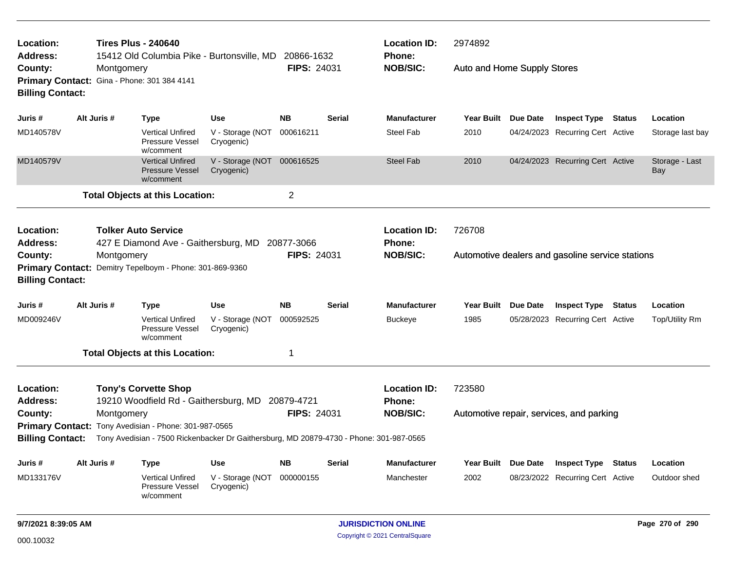| Location:<br>Address:                                 |             | <b>Tires Plus - 240640</b><br>15412 Old Columbia Pike - Burtonsville, MD                         |                                          | 20866-1632                |               | <b>Location ID:</b><br>Phone: | 2974892                     |                 |                                                  |               |                       |
|-------------------------------------------------------|-------------|--------------------------------------------------------------------------------------------------|------------------------------------------|---------------------------|---------------|-------------------------------|-----------------------------|-----------------|--------------------------------------------------|---------------|-----------------------|
| County:<br><b>Billing Contact:</b>                    | Montgomery  | Primary Contact: Gina - Phone: 301 384 4141                                                      |                                          | <b>FIPS: 24031</b>        |               | <b>NOB/SIC:</b>               | Auto and Home Supply Stores |                 |                                                  |               |                       |
| Juris #                                               | Alt Juris # | <b>Type</b>                                                                                      | <b>Use</b>                               | <b>NB</b>                 | <b>Serial</b> | <b>Manufacturer</b>           | <b>Year Built</b>           | Due Date        | <b>Inspect Type Status</b>                       |               | Location              |
| MD140578V                                             |             | <b>Vertical Unfired</b><br>Pressure Vessel<br>w/comment                                          | V - Storage (NOT<br>Cryogenic)           | 000616211                 |               | Steel Fab                     | 2010                        |                 | 04/24/2023 Recurring Cert Active                 |               | Storage last bay      |
| MD140579V                                             |             | <b>Vertical Unfired</b><br><b>Pressure Vessel</b><br>w/comment                                   | V - Storage (NOT 000616525<br>Cryogenic) |                           |               | <b>Steel Fab</b>              | 2010                        |                 | 04/24/2023 Recurring Cert Active                 |               | Storage - Last<br>Bay |
|                                                       |             | <b>Total Objects at this Location:</b>                                                           |                                          | $\overline{c}$            |               |                               |                             |                 |                                                  |               |                       |
| Location:                                             |             | <b>Tolker Auto Service</b>                                                                       |                                          |                           |               | <b>Location ID:</b>           | 726708                      |                 |                                                  |               |                       |
| <b>Address:</b><br>County:<br><b>Billing Contact:</b> | Montgomery  | 427 E Diamond Ave - Gaithersburg, MD<br>Primary Contact: Demitry Tepelboym - Phone: 301-869-9360 |                                          | 20877-3066<br>FIPS: 24031 |               | Phone:<br><b>NOB/SIC:</b>     |                             |                 | Automotive dealers and gasoline service stations |               |                       |
| Juris #                                               | Alt Juris # | <b>Type</b>                                                                                      | Use                                      | <b>NB</b>                 | <b>Serial</b> | <b>Manufacturer</b>           | <b>Year Built</b>           | Due Date        | <b>Inspect Type</b>                              | <b>Status</b> | Location              |
| MD009246V                                             |             | <b>Vertical Unfired</b><br>Pressure Vessel<br>w/comment                                          | V - Storage (NOT<br>Cryogenic)           | 000592525                 |               | <b>Buckeye</b>                | 1985                        |                 | 05/28/2023 Recurring Cert Active                 |               | Top/Utility Rm        |
|                                                       |             | <b>Total Objects at this Location:</b>                                                           |                                          | 1                         |               |                               |                             |                 |                                                  |               |                       |
| Location:<br>Address:                                 |             | <b>Tony's Corvette Shop</b><br>19210 Woodfield Rd - Gaithersburg, MD 20879-4721                  |                                          |                           |               | <b>Location ID:</b><br>Phone: | 723580                      |                 |                                                  |               |                       |
| County:                                               | Montgomery  |                                                                                                  |                                          | FIPS: 24031               |               | <b>NOB/SIC:</b>               |                             |                 | Automotive repair, services, and parking         |               |                       |
|                                                       |             | Primary Contact: Tony Avedisian - Phone: 301-987-0565                                            |                                          |                           |               |                               |                             |                 |                                                  |               |                       |
| <b>Billing Contact:</b>                               |             | Tony Avedisian - 7500 Rickenbacker Dr Gaithersburg, MD 20879-4730 - Phone: 301-987-0565          |                                          |                           |               |                               |                             |                 |                                                  |               |                       |
| Juris #                                               | Alt Juris # | <b>Type</b>                                                                                      | Use                                      | <b>NB</b>                 | <b>Serial</b> | <b>Manufacturer</b>           | <b>Year Built</b>           | <b>Due Date</b> | <b>Inspect Type</b>                              | <b>Status</b> | Location              |
| MD133176V                                             |             | <b>Vertical Unfired</b><br>Pressure Vessel<br>w/comment                                          | V - Storage (NOT<br>Cryogenic)           | 000000155                 |               | Manchester                    | 2002                        |                 | 08/23/2022 Recurring Cert Active                 |               | Outdoor shed          |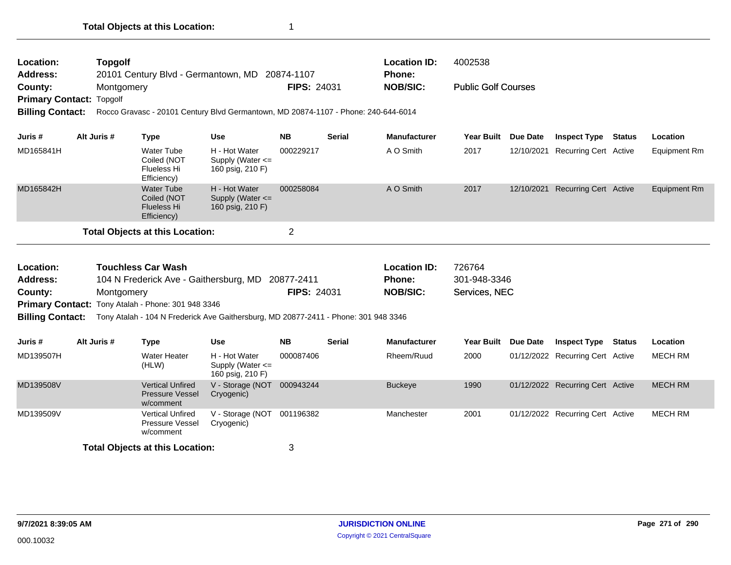| Location:<br><b>Address:</b><br>County:            | <b>Topgolf</b><br>Montgomery | 20101 Century Blvd - Germantown, MD 20874-1107                                      |                                                           | <b>FIPS: 24031</b> |               | <b>Location ID:</b><br>Phone:<br><b>NOB/SIC:</b> | 4002538<br><b>Public Golf Courses</b> |                 |                                  |               |                |
|----------------------------------------------------|------------------------------|-------------------------------------------------------------------------------------|-----------------------------------------------------------|--------------------|---------------|--------------------------------------------------|---------------------------------------|-----------------|----------------------------------|---------------|----------------|
| <b>Primary Contact:</b><br><b>Billing Contact:</b> | Topgolf                      | Rocco Gravasc - 20101 Century Blvd Germantown, MD 20874-1107 - Phone: 240-644-6014  |                                                           |                    |               |                                                  |                                       |                 |                                  |               |                |
| Juris #                                            | Alt Juris #                  | <b>Type</b>                                                                         | <b>Use</b>                                                | <b>NB</b>          | <b>Serial</b> | <b>Manufacturer</b>                              | <b>Year Built</b>                     | <b>Due Date</b> | <b>Inspect Type</b>              | <b>Status</b> | Location       |
| MD165841H                                          |                              | <b>Water Tube</b><br>Coiled (NOT<br><b>Flueless Hi</b><br>Efficiency)               | H - Hot Water<br>Supply (Water $\leq$<br>160 psig, 210 F) | 000229217          |               | A O Smith                                        | 2017                                  |                 | 12/10/2021 Recurring Cert Active |               | Equipment Rm   |
| MD165842H                                          |                              | <b>Water Tube</b><br>Coiled (NOT<br><b>Flueless Hi</b><br>Efficiency)               | H - Hot Water<br>Supply (Water $\leq$<br>160 psig, 210 F) | 000258084          |               | A O Smith                                        | 2017                                  |                 | 12/10/2021 Recurring Cert Active |               | Equipment Rm   |
|                                                    |                              | <b>Total Objects at this Location:</b>                                              |                                                           | $\overline{2}$     |               |                                                  |                                       |                 |                                  |               |                |
| Location:                                          |                              | <b>Touchless Car Wash</b>                                                           |                                                           |                    |               | <b>Location ID:</b>                              | 726764                                |                 |                                  |               |                |
| <b>Address:</b>                                    |                              | 104 N Frederick Ave - Gaithersburg, MD 20877-2411                                   |                                                           |                    |               | <b>Phone:</b>                                    | 301-948-3346                          |                 |                                  |               |                |
| County:                                            | Montgomery                   | Primary Contact: Tony Atalah - Phone: 301 948 3346                                  |                                                           | <b>FIPS: 24031</b> |               | <b>NOB/SIC:</b>                                  | Services, NEC                         |                 |                                  |               |                |
| <b>Billing Contact:</b>                            |                              | Tony Atalah - 104 N Frederick Ave Gaithersburg, MD 20877-2411 - Phone: 301 948 3346 |                                                           |                    |               |                                                  |                                       |                 |                                  |               |                |
|                                                    |                              |                                                                                     |                                                           |                    |               |                                                  |                                       |                 |                                  |               |                |
| Juris #                                            | Alt Juris #                  | <b>Type</b>                                                                         | <b>Use</b>                                                | <b>NB</b>          | <b>Serial</b> | <b>Manufacturer</b>                              | <b>Year Built</b>                     | <b>Due Date</b> | <b>Inspect Type Status</b>       |               | Location       |
| MD139507H                                          |                              | <b>Water Heater</b><br>(HLW)                                                        | H - Hot Water<br>Supply (Water <=<br>160 psig, 210 F)     | 000087406          |               | Rheem/Ruud                                       | 2000                                  |                 | 01/12/2022 Recurring Cert Active |               | <b>MECH RM</b> |
| MD139508V                                          |                              | <b>Vertical Unfired</b><br><b>Pressure Vessel</b><br>w/comment                      | V - Storage (NOT<br>Cryogenic)                            | 000943244          |               | <b>Buckeye</b>                                   | 1990                                  |                 | 01/12/2022 Recurring Cert Active |               | <b>MECH RM</b> |
| MD139509V                                          |                              | <b>Vertical Unfired</b><br>Pressure Vessel<br>w/comment                             | V - Storage (NOT<br>Cryogenic)                            | 001196382          |               | Manchester                                       | 2001                                  |                 | 01/12/2022 Recurring Cert Active |               | <b>MECH RM</b> |
|                                                    |                              | Total Ohiects at this Location:                                                     |                                                           | ર                  |               |                                                  |                                       |                 |                                  |               |                |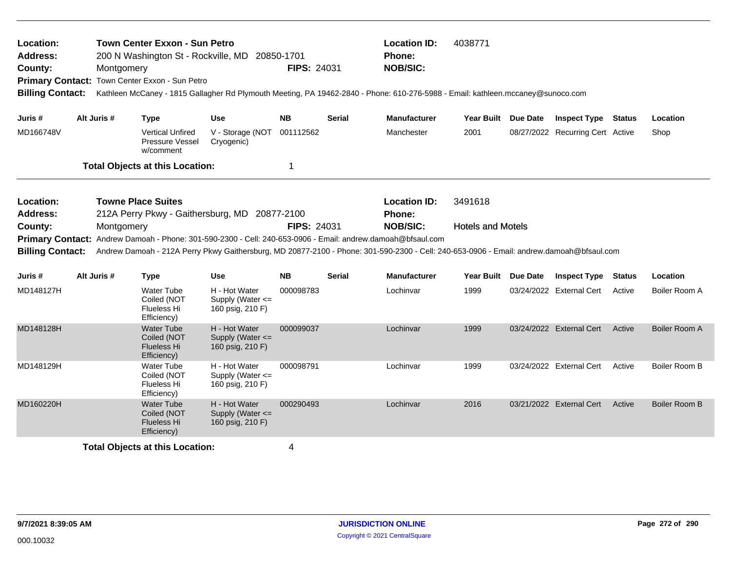| Location:<br><b>Address:</b><br>County: | <b>Town Center Exxon - Sun Petro</b><br><b>Location ID:</b><br>4038771<br>200 N Washington St - Rockville, MD<br>Phone:<br>20850-1701<br><b>FIPS: 24031</b><br><b>NOB/SIC:</b><br>Montgomery<br>Primary Contact: Town Center Exxon - Sun Petro<br>Kathleen McCaney - 1815 Gallagher Rd Plymouth Meeting, PA 19462-2840 - Phone: 610-276-5988 - Email: kathleen.mccaney@sunoco.com<br><b>Billing Contact:</b> |                                                                            |                                                           |              |                                                                                                                                                                                                                                                                            |                               |                     |                                  |               |               |
|-----------------------------------------|--------------------------------------------------------------------------------------------------------------------------------------------------------------------------------------------------------------------------------------------------------------------------------------------------------------------------------------------------------------------------------------------------------------|----------------------------------------------------------------------------|-----------------------------------------------------------|--------------|----------------------------------------------------------------------------------------------------------------------------------------------------------------------------------------------------------------------------------------------------------------------------|-------------------------------|---------------------|----------------------------------|---------------|---------------|
| Juris #                                 | Alt Juris #                                                                                                                                                                                                                                                                                                                                                                                                  | <b>Type</b>                                                                | <b>Use</b>                                                | <b>NB</b>    | <b>Serial</b>                                                                                                                                                                                                                                                              | <b>Manufacturer</b>           | Year Built Due Date | <b>Inspect Type Status</b>       |               | Location      |
| MD166748V                               |                                                                                                                                                                                                                                                                                                                                                                                                              | <b>Vertical Unfired</b><br>Pressure Vessel<br>w/comment                    | V - Storage (NOT 001112562<br>Cryogenic)                  |              |                                                                                                                                                                                                                                                                            | Manchester                    | 2001                | 08/27/2022 Recurring Cert Active |               | Shop          |
|                                         |                                                                                                                                                                                                                                                                                                                                                                                                              | <b>Total Objects at this Location:</b>                                     |                                                           | $\mathbf{1}$ |                                                                                                                                                                                                                                                                            |                               |                     |                                  |               |               |
| Location:<br><b>Address:</b>            |                                                                                                                                                                                                                                                                                                                                                                                                              | <b>Towne Place Suites</b><br>212A Perry Pkwy - Gaithersburg, MD 20877-2100 |                                                           |              |                                                                                                                                                                                                                                                                            | <b>Location ID:</b><br>Phone: | 3491618             |                                  |               |               |
| County:<br><b>Billing Contact:</b>      | Montgomery                                                                                                                                                                                                                                                                                                                                                                                                   |                                                                            | <b>FIPS: 24031</b>                                        |              | <b>NOB/SIC:</b><br>Primary Contact: Andrew Damoah - Phone: 301-590-2300 - Cell: 240-653-0906 - Email: andrew.damoah@bfsaul.com<br>Andrew Damoah - 212A Perry Pkwy Gaithersburg, MD 20877-2100 - Phone: 301-590-2300 - Cell: 240-653-0906 - Email: andrew.damoah@bfsaul.com | <b>Hotels and Motels</b>      |                     |                                  |               |               |
| Juris #                                 | Alt Juris #                                                                                                                                                                                                                                                                                                                                                                                                  | <b>Type</b>                                                                | <b>Use</b>                                                | <b>NB</b>    | <b>Serial</b>                                                                                                                                                                                                                                                              | <b>Manufacturer</b>           | Year Built Due Date | <b>Inspect Type</b>              | <b>Status</b> | Location      |
| MD148127H                               |                                                                                                                                                                                                                                                                                                                                                                                                              | <b>Water Tube</b><br>Coiled (NOT<br>Flueless Hi<br>Efficiency)             | H - Hot Water<br>Supply (Water $\leq$<br>160 psig, 210 F) | 000098783    |                                                                                                                                                                                                                                                                            | Lochinvar                     | 1999                | 03/24/2022 External Cert         | Active        | Boiler Room A |
| MD148128H                               |                                                                                                                                                                                                                                                                                                                                                                                                              | <b>Water Tube</b><br>Coiled (NOT<br><b>Flueless Hi</b><br>Efficiency)      | H - Hot Water<br>Supply (Water <=<br>160 psig, 210 F)     | 000099037    |                                                                                                                                                                                                                                                                            | Lochinvar                     | 1999                | 03/24/2022 External Cert         | Active        | Boiler Room A |
| MD148129H                               |                                                                                                                                                                                                                                                                                                                                                                                                              | Water Tube<br>Coiled (NOT<br>Flueless Hi<br>Efficiency)                    | H - Hot Water<br>Supply (Water <=<br>160 psig, 210 F)     | 000098791    |                                                                                                                                                                                                                                                                            | Lochinvar                     | 1999                | 03/24/2022 External Cert         | Active        | Boiler Room B |
| MD160220H                               |                                                                                                                                                                                                                                                                                                                                                                                                              | <b>Water Tube</b><br>Coiled (NOT<br><b>Flueless Hi</b><br>Efficiency)      | H - Hot Water<br>Supply (Water <=<br>160 psig, 210 F)     | 000290493    |                                                                                                                                                                                                                                                                            | Lochinvar                     | 2016                | 03/21/2022 External Cert         | Active        | Boiler Room B |
|                                         |                                                                                                                                                                                                                                                                                                                                                                                                              | <b>Total Objects at this Location:</b>                                     |                                                           | 4            |                                                                                                                                                                                                                                                                            |                               |                     |                                  |               |               |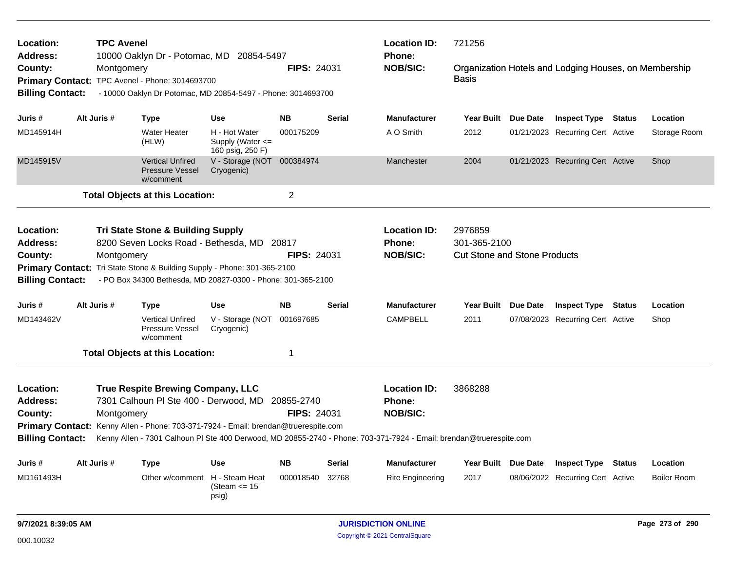| Location:<br><b>Address:</b>            | <b>TPC Avenel</b> | 10000 Oaklyn Dr - Potomac, MD 20854-5497                                                                                                                                            |                                                        |                    |               | <b>Location ID:</b><br>721256<br><b>Phone:</b><br>Organization Hotels and Lodging Houses, on Membership             |                                                                |  |                                                         |               |                    |
|-----------------------------------------|-------------------|-------------------------------------------------------------------------------------------------------------------------------------------------------------------------------------|--------------------------------------------------------|--------------------|---------------|---------------------------------------------------------------------------------------------------------------------|----------------------------------------------------------------|--|---------------------------------------------------------|---------------|--------------------|
| County:<br><b>Billing Contact:</b>      | Montgomery        | Primary Contact: TPC Avenel - Phone: 3014693700<br>- 10000 Oaklyn Dr Potomac, MD 20854-5497 - Phone: 3014693700                                                                     |                                                        | <b>FIPS: 24031</b> |               | <b>NOB/SIC:</b>                                                                                                     | <b>Basis</b>                                                   |  |                                                         |               |                    |
| Juris #                                 | Alt Juris #       | <b>Type</b>                                                                                                                                                                         | Use                                                    | <b>NB</b>          | <b>Serial</b> | <b>Manufacturer</b>                                                                                                 | Year Built Due Date                                            |  | <b>Inspect Type Status</b>                              |               | Location           |
| MD145914H                               |                   | <b>Water Heater</b><br>(HLW)                                                                                                                                                        | H - Hot Water<br>Supply (Water <=<br>160 psig, 250 F)  | 000175209          |               | A O Smith                                                                                                           | 2012                                                           |  | 01/21/2023 Recurring Cert Active                        |               | Storage Room       |
| MD145915V                               |                   | <b>Vertical Unfired</b><br><b>Pressure Vessel</b><br>w/comment                                                                                                                      | V - Storage (NOT 000384974<br>Cryogenic)               |                    |               | Manchester                                                                                                          | 2004                                                           |  | 01/21/2023 Recurring Cert Active                        |               | Shop               |
|                                         |                   | <b>Total Objects at this Location:</b>                                                                                                                                              |                                                        | $\overline{c}$     |               |                                                                                                                     |                                                                |  |                                                         |               |                    |
| Location:<br><b>Address:</b><br>County: | Montgomery        | Tri State Stone & Building Supply<br>8200 Seven Locks Road - Bethesda, MD 20817<br>Primary Contact: Tri State Stone & Building Supply - Phone: 301-365-2100                         |                                                        | <b>FIPS: 24031</b> |               | <b>Location ID:</b><br><b>Phone:</b><br><b>NOB/SIC:</b>                                                             | 2976859<br>301-365-2100<br><b>Cut Stone and Stone Products</b> |  |                                                         |               |                    |
| <b>Billing Contact:</b>                 |                   | - PO Box 34300 Bethesda, MD 20827-0300 - Phone: 301-365-2100                                                                                                                        |                                                        |                    |               |                                                                                                                     |                                                                |  |                                                         |               |                    |
| Juris #<br>MD143462V                    | Alt Juris #       | <b>Type</b><br><b>Vertical Unfired</b><br><b>Pressure Vessel</b><br>w/comment                                                                                                       | <b>Use</b><br>V - Storage (NOT 001697685<br>Cryogenic) | <b>NB</b>          | <b>Serial</b> | <b>Manufacturer</b><br><b>CAMPBELL</b>                                                                              | Year Built Due Date<br>2011                                    |  | <b>Inspect Type</b><br>07/08/2023 Recurring Cert Active | <b>Status</b> | Location<br>Shop   |
|                                         |                   | <b>Total Objects at this Location:</b>                                                                                                                                              |                                                        | 1                  |               |                                                                                                                     |                                                                |  |                                                         |               |                    |
| Location:<br>Address:<br>County:        | Montgomery        | <b>True Respite Brewing Company, LLC</b><br>7301 Calhoun PI Ste 400 - Derwood, MD 20855-2740<br>Primary Contact: Kenny Allen - Phone: 703-371-7924 - Email: brendan@truerespite.com |                                                        | <b>FIPS: 24031</b> |               | <b>Location ID:</b><br>Phone:<br><b>NOB/SIC:</b>                                                                    | 3868288                                                        |  |                                                         |               |                    |
| <b>Billing Contact:</b>                 |                   |                                                                                                                                                                                     |                                                        |                    |               | Kenny Allen - 7301 Calhoun Pl Ste 400 Derwood, MD 20855-2740 - Phone: 703-371-7924 - Email: brendan@truerespite.com |                                                                |  |                                                         |               |                    |
| Juris #                                 | Alt Juris #       | <b>Type</b>                                                                                                                                                                         | <b>Use</b>                                             | <b>NB</b>          | Serial        | <b>Manufacturer</b>                                                                                                 | Year Built Due Date                                            |  | <b>Inspect Type Status</b>                              |               | Location           |
| MD161493H                               |                   | Other w/comment                                                                                                                                                                     | H - Steam Heat<br>(Steam $\le$ 15<br>psig)             | 000018540          | 32768         | <b>Rite Engineering</b>                                                                                             | 2017                                                           |  | 08/06/2022 Recurring Cert Active                        |               | <b>Boiler Room</b> |
| 9/7/2021 8:39:05 AM                     |                   |                                                                                                                                                                                     |                                                        |                    |               | <b>JURISDICTION ONLINE</b>                                                                                          |                                                                |  |                                                         |               | Page 273 of 290    |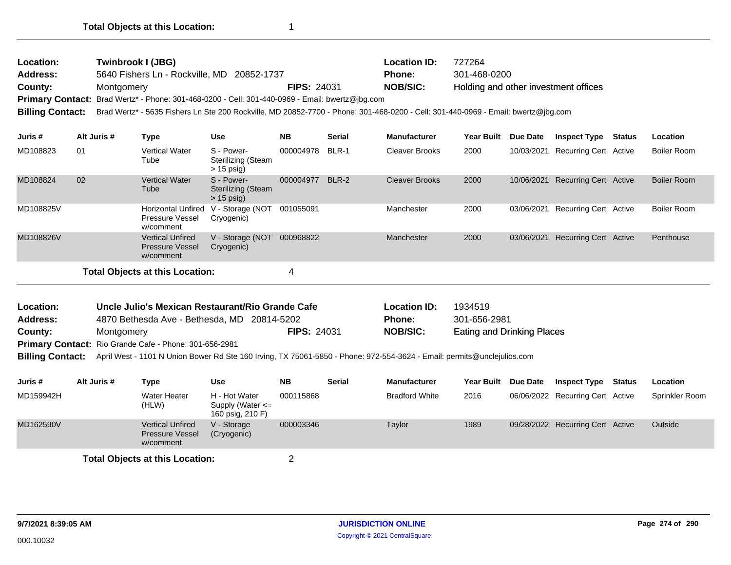| Location:<br><b>Address:</b><br>County:<br><b>Billing Contact:</b> | Montgomery  | Twinbrook I (JBG)<br>5640 Fishers Ln - Rockville, MD 20852-1737<br>Primary Contact: Brad Wertz* - Phone: 301-468-0200 - Cell: 301-440-0969 - Email: bwertz@jbg.com<br>Brad Wertz* - 5635 Fishers Ln Ste 200 Rockville, MD 20852-7700 - Phone: 301-468-0200 - Cell: 301-440-0969 - Email: bwertz@jbg.com |                                                         | <b>FIPS: 24031</b> |               | <b>Location ID:</b><br><b>Phone:</b><br><b>NOB/SIC:</b> | 727264<br>301-468-0200<br>Holding and other investment offices |            |                              |        |                    |
|--------------------------------------------------------------------|-------------|---------------------------------------------------------------------------------------------------------------------------------------------------------------------------------------------------------------------------------------------------------------------------------------------------------|---------------------------------------------------------|--------------------|---------------|---------------------------------------------------------|----------------------------------------------------------------|------------|------------------------------|--------|--------------------|
| Juris #                                                            | Alt Juris # | <b>Type</b>                                                                                                                                                                                                                                                                                             | Use                                                     | <b>NB</b>          | <b>Serial</b> | <b>Manufacturer</b>                                     | <b>Year Built</b>                                              | Due Date   | <b>Inspect Type</b>          | Status | Location           |
| MD108823                                                           | 01          | <b>Vertical Water</b><br>Tube                                                                                                                                                                                                                                                                           | S - Power-<br><b>Sterilizing (Steam</b><br>$> 15$ psig) | 000004978          | BLR-1         | <b>Cleaver Brooks</b>                                   | 2000                                                           | 10/03/2021 | Recurring Cert Active        |        | Boiler Room        |
| MD108824                                                           | 02          | <b>Vertical Water</b><br>Tube                                                                                                                                                                                                                                                                           | S - Power-<br><b>Sterilizing (Steam</b><br>$> 15$ psig) | 000004977          | BLR-2         | <b>Cleaver Brooks</b>                                   | 2000                                                           | 10/06/2021 | Recurring Cert Active        |        | <b>Boiler Room</b> |
| MD108825V                                                          |             | <b>Horizontal Unfired</b><br>Pressure Vessel<br>w/comment                                                                                                                                                                                                                                               | V - Storage (NOT<br>Cryogenic)                          | 001055091          |               | Manchester                                              | 2000                                                           | 03/06/2021 | <b>Recurring Cert Active</b> |        | Boiler Room        |
| MD108826V                                                          |             | <b>Vertical Unfired</b><br><b>Pressure Vessel</b><br>w/comment                                                                                                                                                                                                                                          | V - Storage (NOT<br>Cryogenic)                          | 000968822          |               | Manchester                                              | 2000                                                           | 03/06/2021 | <b>Recurring Cert Active</b> |        | Penthouse          |
|                                                                    |             | <b>Total Objects at this Location:</b>                                                                                                                                                                                                                                                                  |                                                         | 4                  |               |                                                         |                                                                |            |                              |        |                    |

| <b>Location:</b> | Uncle Julio's Mexican Restaurant/Rio Grande Cafe              |                    | <b>Location ID:</b> | 1934519                           |
|------------------|---------------------------------------------------------------|--------------------|---------------------|-----------------------------------|
| <b>Address:</b>  | 4870 Bethesda Ave - Bethesda, MD 20814-5202                   |                    | Phone:              | 301-656-2981                      |
| County:          | Montgomery                                                    | <b>FIPS: 24031</b> | NOB/SIC:            | <b>Eating and Drinking Places</b> |
|                  | <b>Drimary Contact:</b> Pio Crando Cafo - Phono: 301-656-2081 |                    |                     |                                   |

Primary Contact: Rio Grande Cafe - Phone: 301-656-2981

**Billing Contact:** April West - 1101 N Union Bower Rd Ste 160 Irving, TX 75061-5850 - Phone: 972-554-3624 - Email: permits@unclejulios.com

| Juris #   | Alt Juris # | Type                                                           | <b>Use</b>                                                | <b>NB</b> | <b>Serial</b> | <b>Manufacturer</b>   | <b>Year Built</b> | <b>Due Date</b> | <b>Inspect Type</b>              | Status | Location       |
|-----------|-------------|----------------------------------------------------------------|-----------------------------------------------------------|-----------|---------------|-----------------------|-------------------|-----------------|----------------------------------|--------|----------------|
| MD159942H |             | Water Heater<br>(HLW)                                          | H - Hot Water<br>Supply (Water $\leq$<br>160 psig, 210 F) | 000115868 |               | <b>Bradford White</b> | 2016              |                 | 06/06/2022 Recurring Cert Active |        | Sprinkler Room |
| MD162590V |             | <b>Vertical Unfired</b><br><b>Pressure Vessel</b><br>w/comment | V - Storage<br>(Cryogenic)                                | 000003346 |               | Taylor                | 1989              |                 | 09/28/2022 Recurring Cert Active |        | Outside        |
|           |             | <b>Total Objects at this Location:</b>                         |                                                           |           |               |                       |                   |                 |                                  |        |                |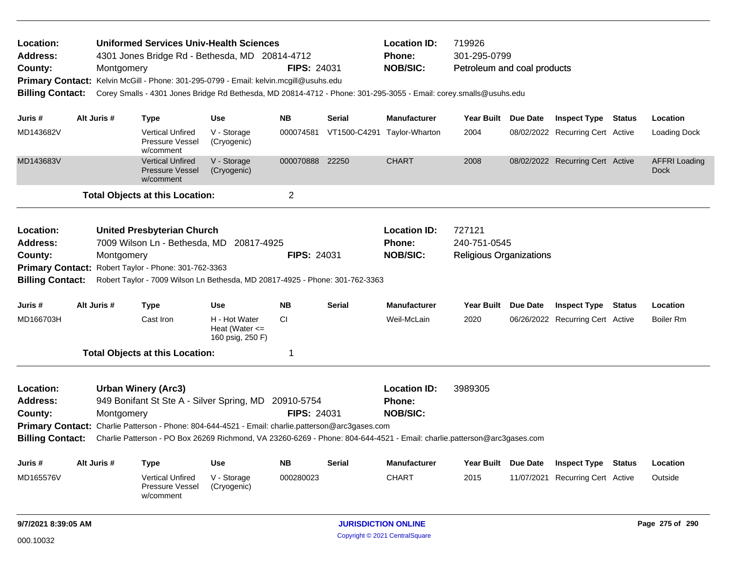| Location:<br><b>Address:</b><br>County:<br><b>Billing Contact:</b> |                                                                                                                                                                                                                                                                                                                                                             | Montgomery | <b>Uniformed Services Univ-Health Sciences</b><br>4301 Jones Bridge Rd - Bethesda, MD 20814-4712<br>Primary Contact: Kelvin McGill - Phone: 301-295-0799 - Email: kelvin.mcgill@usuhs.edu<br>Corey Smalls - 4301 Jones Bridge Rd Bethesda, MD 20814-4712 - Phone: 301-295-3055 - Email: corey.smalls@usuhs.edu |                                                         | <b>FIPS: 24031</b> |               | <b>Location ID:</b><br><b>Phone:</b><br><b>NOB/SIC:</b> | 719926<br>301-295-0799<br>Petroleum and coal products    |                 |                                  |               |                                     |
|--------------------------------------------------------------------|-------------------------------------------------------------------------------------------------------------------------------------------------------------------------------------------------------------------------------------------------------------------------------------------------------------------------------------------------------------|------------|----------------------------------------------------------------------------------------------------------------------------------------------------------------------------------------------------------------------------------------------------------------------------------------------------------------|---------------------------------------------------------|--------------------|---------------|---------------------------------------------------------|----------------------------------------------------------|-----------------|----------------------------------|---------------|-------------------------------------|
| Juris #                                                            | Alt Juris #                                                                                                                                                                                                                                                                                                                                                 |            | <b>Type</b>                                                                                                                                                                                                                                                                                                    | Use                                                     | <b>NB</b>          | Serial        | <b>Manufacturer</b>                                     | Year Built Due Date                                      |                 | <b>Inspect Type Status</b>       |               | Location                            |
| MD143682V                                                          |                                                                                                                                                                                                                                                                                                                                                             |            | <b>Vertical Unfired</b><br>Pressure Vessel<br>w/comment                                                                                                                                                                                                                                                        | V - Storage<br>(Cryogenic)                              | 000074581          | VT1500-C4291  | Taylor-Wharton                                          | 2004                                                     |                 | 08/02/2022 Recurring Cert Active |               | Loading Dock                        |
| MD143683V                                                          |                                                                                                                                                                                                                                                                                                                                                             |            | <b>Vertical Unfired</b><br><b>Pressure Vessel</b><br>w/comment                                                                                                                                                                                                                                                 | V - Storage<br>(Cryogenic)                              | 000070888 22250    |               | <b>CHART</b>                                            | 2008                                                     |                 | 08/02/2022 Recurring Cert Active |               | <b>AFFRI Loading</b><br><b>Dock</b> |
|                                                                    |                                                                                                                                                                                                                                                                                                                                                             |            | <b>Total Objects at this Location:</b>                                                                                                                                                                                                                                                                         |                                                         | $\overline{2}$     |               |                                                         |                                                          |                 |                                  |               |                                     |
| Location:<br><b>Address:</b><br>County:<br><b>Billing Contact:</b> |                                                                                                                                                                                                                                                                                                                                                             | Montgomery | <b>United Presbyterian Church</b><br>7009 Wilson Ln - Bethesda, MD 20817-4925<br>Primary Contact: Robert Taylor - Phone: 301-762-3363<br>Robert Taylor - 7009 Wilson Ln Bethesda, MD 20817-4925 - Phone: 301-762-3363                                                                                          |                                                         | <b>FIPS: 24031</b> |               | <b>Location ID:</b><br><b>Phone:</b><br><b>NOB/SIC:</b> | 727121<br>240-751-0545<br><b>Religious Organizations</b> |                 |                                  |               |                                     |
| Juris #                                                            | Alt Juris #                                                                                                                                                                                                                                                                                                                                                 |            | <b>Type</b>                                                                                                                                                                                                                                                                                                    | Use                                                     | <b>NB</b>          | <b>Serial</b> | <b>Manufacturer</b>                                     | Year Built Due Date                                      |                 | <b>Inspect Type Status</b>       |               | Location                            |
| MD166703H                                                          |                                                                                                                                                                                                                                                                                                                                                             |            | Cast Iron                                                                                                                                                                                                                                                                                                      | H - Hot Water<br>Heat (Water $\leq$<br>160 psig, 250 F) | CI.                |               | Weil-McLain                                             | 2020                                                     |                 | 06/26/2022 Recurring Cert Active |               | <b>Boiler Rm</b>                    |
|                                                                    |                                                                                                                                                                                                                                                                                                                                                             |            | <b>Total Objects at this Location:</b>                                                                                                                                                                                                                                                                         |                                                         | 1                  |               |                                                         |                                                          |                 |                                  |               |                                     |
| Location:<br><b>Address:</b><br>County:                            | <b>Urban Winery (Arc3)</b><br>949 Bonifant St Ste A - Silver Spring, MD 20910-5754<br>Montgomery<br>Primary Contact: Charlie Patterson - Phone: 804-644-4521 - Email: charlie.patterson@arc3gases.com<br>Charlie Patterson - PO Box 26269 Richmond, VA 23260-6269 - Phone: 804-644-4521 - Email: charlie.patterson@arc3gases.com<br><b>Billing Contact:</b> |            |                                                                                                                                                                                                                                                                                                                |                                                         | <b>FIPS: 24031</b> |               | <b>Location ID:</b><br><b>Phone:</b><br><b>NOB/SIC:</b> | 3989305                                                  |                 |                                  |               |                                     |
| Juris #                                                            | Alt Juris #                                                                                                                                                                                                                                                                                                                                                 |            | Type                                                                                                                                                                                                                                                                                                           | Use                                                     | <b>NB</b>          | <b>Serial</b> | <b>Manufacturer</b>                                     | Year Built Due Date                                      |                 | <b>Inspect Type</b>              | <b>Status</b> | Location                            |
| MD165576V                                                          |                                                                                                                                                                                                                                                                                                                                                             |            | <b>Vertical Unfired</b><br>Pressure Vessel<br>w/comment                                                                                                                                                                                                                                                        | V - Storage<br>(Cryogenic)                              | 000280023          |               | <b>CHART</b>                                            | 2015                                                     |                 | 11/07/2021 Recurring Cert Active |               | Outside                             |
| 9/7/2021 8:39:05 AM                                                |                                                                                                                                                                                                                                                                                                                                                             |            |                                                                                                                                                                                                                                                                                                                |                                                         |                    |               |                                                         |                                                          | Page 275 of 290 |                                  |               |                                     |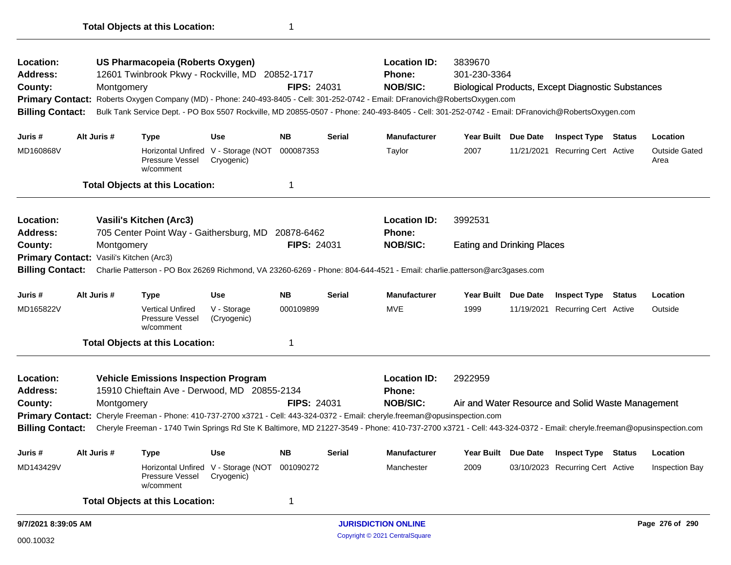| Location:                                |                                                                                                                                                                                               | US Pharmacopeia (Roberts Oxygen) |                                                                |                                                   |                    |                            |                                                                                                                                                 |                                   |                 |                                                          |                              |
|------------------------------------------|-----------------------------------------------------------------------------------------------------------------------------------------------------------------------------------------------|----------------------------------|----------------------------------------------------------------|---------------------------------------------------|--------------------|----------------------------|-------------------------------------------------------------------------------------------------------------------------------------------------|-----------------------------------|-----------------|----------------------------------------------------------|------------------------------|
| <b>Address:</b>                          |                                                                                                                                                                                               |                                  | 12601 Twinbrook Pkwy - Rockville, MD 20852-1717                |                                                   |                    |                            | Phone:                                                                                                                                          | 301-230-3364                      |                 |                                                          |                              |
| County:                                  |                                                                                                                                                                                               | Montgomery                       |                                                                |                                                   | <b>FIPS: 24031</b> |                            | <b>NOB/SIC:</b>                                                                                                                                 |                                   |                 | <b>Biological Products, Except Diagnostic Substances</b> |                              |
|                                          |                                                                                                                                                                                               |                                  |                                                                |                                                   |                    |                            | Primary Contact: Roberts Oxygen Company (MD) - Phone: 240-493-8405 - Cell: 301-252-0742 - Email: DFranovich@RobertsOxygen.com                   |                                   |                 |                                                          |                              |
| <b>Billing Contact:</b>                  |                                                                                                                                                                                               |                                  |                                                                |                                                   |                    |                            | Bulk Tank Service Dept. - PO Box 5507 Rockville, MD 20855-0507 - Phone: 240-493-8405 - Cell: 301-252-0742 - Email: DFranovich@RobertsOxygen.com |                                   |                 |                                                          |                              |
| Juris #                                  |                                                                                                                                                                                               | Alt Juris #                      | <b>Type</b>                                                    | <b>Use</b>                                        | <b>NB</b>          | <b>Serial</b>              | Manufacturer                                                                                                                                    | Year Built Due Date               |                 | <b>Inspect Type Status</b>                               | Location                     |
| MD160868V                                |                                                                                                                                                                                               |                                  | Pressure Vessel<br>w/comment                                   | Horizontal Unfired V - Storage (NOT<br>Cryogenic) | 000087353          |                            | Taylor                                                                                                                                          | 2007                              |                 | 11/21/2021 Recurring Cert Active                         | <b>Outside Gated</b><br>Area |
|                                          |                                                                                                                                                                                               |                                  | <b>Total Objects at this Location:</b>                         |                                                   | $\mathbf 1$        |                            |                                                                                                                                                 |                                   |                 |                                                          |                              |
| Location:                                |                                                                                                                                                                                               |                                  | Vasili's Kitchen (Arc3)                                        |                                                   |                    |                            | <b>Location ID:</b>                                                                                                                             | 3992531                           |                 |                                                          |                              |
| <b>Address:</b>                          |                                                                                                                                                                                               |                                  | 705 Center Point Way - Gaithersburg, MD 20878-6462             |                                                   |                    |                            | <b>Phone:</b>                                                                                                                                   |                                   |                 |                                                          |                              |
| County:                                  |                                                                                                                                                                                               | Montgomery                       |                                                                |                                                   | <b>FIPS: 24031</b> |                            | <b>NOB/SIC:</b>                                                                                                                                 | <b>Eating and Drinking Places</b> |                 |                                                          |                              |
| Primary Contact: Vasili's Kitchen (Arc3) |                                                                                                                                                                                               |                                  |                                                                |                                                   |                    |                            |                                                                                                                                                 |                                   |                 |                                                          |                              |
| <b>Billing Contact:</b>                  |                                                                                                                                                                                               |                                  |                                                                |                                                   |                    |                            | Charlie Patterson - PO Box 26269 Richmond, VA 23260-6269 - Phone: 804-644-4521 - Email: charlie.patterson@arc3gases.com                         |                                   |                 |                                                          |                              |
| Juris #                                  |                                                                                                                                                                                               | Alt Juris #                      | <b>Type</b>                                                    | <b>Use</b>                                        | <b>NB</b>          | <b>Serial</b>              | <b>Manufacturer</b>                                                                                                                             | Year Built Due Date               |                 | <b>Inspect Type Status</b>                               | Location                     |
| MD165822V                                |                                                                                                                                                                                               |                                  | <b>Vertical Unfired</b><br><b>Pressure Vessel</b><br>w/comment | V - Storage<br>(Cryogenic)                        | 000109899          |                            | <b>MVE</b>                                                                                                                                      | 1999                              |                 | 11/19/2021 Recurring Cert Active                         | Outside                      |
|                                          |                                                                                                                                                                                               |                                  | <b>Total Objects at this Location:</b>                         |                                                   | $\mathbf{1}$       |                            |                                                                                                                                                 |                                   |                 |                                                          |                              |
| Location:                                |                                                                                                                                                                                               |                                  | <b>Vehicle Emissions Inspection Program</b>                    |                                                   |                    |                            | <b>Location ID:</b>                                                                                                                             | 2922959                           |                 |                                                          |                              |
| <b>Address:</b>                          |                                                                                                                                                                                               |                                  | 15910 Chieftain Ave - Derwood, MD 20855-2134                   |                                                   |                    |                            | <b>Phone:</b>                                                                                                                                   |                                   |                 |                                                          |                              |
| County:                                  |                                                                                                                                                                                               | Montgomery                       |                                                                |                                                   | <b>FIPS: 24031</b> |                            | <b>NOB/SIC:</b>                                                                                                                                 |                                   |                 | Air and Water Resource and Solid Waste Management        |                              |
|                                          |                                                                                                                                                                                               |                                  |                                                                |                                                   |                    |                            | Primary Contact: Cheryle Freeman - Phone: 410-737-2700 x3721 - Cell: 443-324-0372 - Email: cheryle.freeman@opusinspection.com                   |                                   |                 |                                                          |                              |
|                                          | Cheryle Freeman - 1740 Twin Springs Rd Ste K Baltimore, MD 21227-3549 - Phone: 410-737-2700 x3721 - Cell: 443-324-0372 - Email: cheryle.freeman@opusinspection.com<br><b>Billing Contact:</b> |                                  |                                                                |                                                   |                    |                            |                                                                                                                                                 |                                   |                 |                                                          |                              |
| Juris #                                  |                                                                                                                                                                                               | Alt Juris #                      | <b>Type</b>                                                    | <b>Use</b>                                        | <b>NB</b>          | <b>Serial</b>              | <b>Manufacturer</b>                                                                                                                             | <b>Year Built</b>                 | <b>Due Date</b> | <b>Inspect Type Status</b>                               | Location                     |
| MD143429V                                |                                                                                                                                                                                               |                                  | Pressure Vessel<br>w/comment                                   | Horizontal Unfired V - Storage (NOT<br>Cryogenic) | 001090272          |                            | Manchester                                                                                                                                      | 2009                              |                 | 03/10/2023 Recurring Cert Active                         | <b>Inspection Bay</b>        |
|                                          |                                                                                                                                                                                               |                                  | <b>Total Objects at this Location:</b>                         |                                                   | 1                  |                            |                                                                                                                                                 |                                   |                 |                                                          |                              |
| 9/7/2021 8:39:05 AM                      |                                                                                                                                                                                               |                                  |                                                                |                                                   |                    | <b>JURISDICTION ONLINE</b> |                                                                                                                                                 |                                   |                 | Page 276 of 290                                          |                              |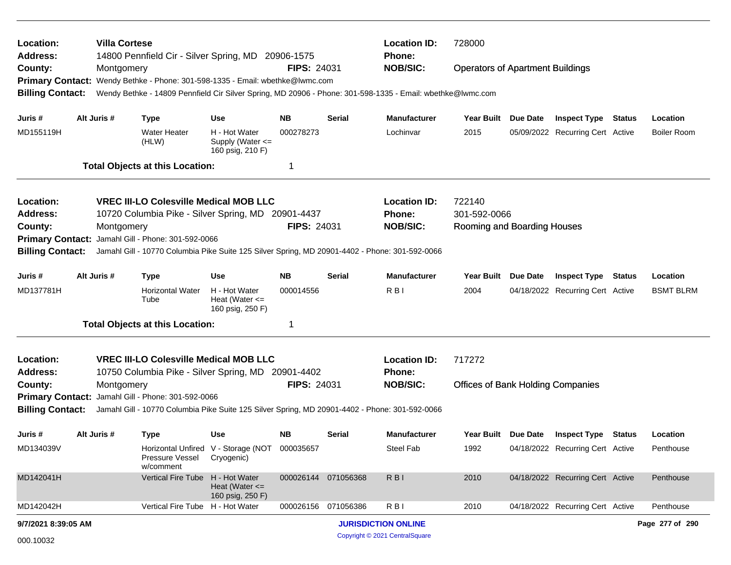| Location:<br><b>Address:</b>                       |             | <b>Villa Cortese</b> | <b>Location ID:</b><br>728000<br>14800 Pennfield Cir - Silver Spring, MD 20906-1575<br>Phone:                                                        |                                                         |                     |               |                                                                                                            |                                          |          |                                  |               |                    |
|----------------------------------------------------|-------------|----------------------|------------------------------------------------------------------------------------------------------------------------------------------------------|---------------------------------------------------------|---------------------|---------------|------------------------------------------------------------------------------------------------------------|------------------------------------------|----------|----------------------------------|---------------|--------------------|
| County:                                            |             | Montgomery           |                                                                                                                                                      |                                                         | <b>FIPS: 24031</b>  |               | <b>NOB/SIC:</b>                                                                                            | <b>Operators of Apartment Buildings</b>  |          |                                  |               |                    |
| <b>Primary Contact:</b><br><b>Billing Contact:</b> |             |                      | Wendy Bethke - Phone: 301-598-1335 - Email: wbethke@lwmc.com                                                                                         |                                                         |                     |               | Wendy Bethke - 14809 Pennfield Cir Silver Spring, MD 20906 - Phone: 301-598-1335 - Email: wbethke@lwmc.com |                                          |          |                                  |               |                    |
| Juris #                                            | Alt Juris # |                      | <b>Type</b>                                                                                                                                          | <b>Use</b>                                              | <b>NB</b>           | <b>Serial</b> | <b>Manufacturer</b>                                                                                        | <b>Year Built</b>                        | Due Date | <b>Inspect Type</b>              | Status        | Location           |
| MD155119H                                          |             |                      | <b>Water Heater</b><br>(HLW)                                                                                                                         | H - Hot Water<br>Supply (Water <=<br>160 psig, 210 F)   | 000278273           |               | Lochinvar                                                                                                  | 2015                                     |          | 05/09/2022 Recurring Cert Active |               | <b>Boiler Room</b> |
|                                                    |             |                      | <b>Total Objects at this Location:</b>                                                                                                               |                                                         | -1                  |               |                                                                                                            |                                          |          |                                  |               |                    |
| Location:                                          |             |                      | <b>VREC III-LO Colesville Medical MOB LLC</b>                                                                                                        |                                                         |                     |               | <b>Location ID:</b>                                                                                        | 722140                                   |          |                                  |               |                    |
| <b>Address:</b>                                    |             |                      | 10720 Columbia Pike - Silver Spring, MD 20901-4437                                                                                                   |                                                         |                     |               | <b>Phone:</b>                                                                                              | 301-592-0066                             |          |                                  |               |                    |
| County:                                            |             | Montgomery           |                                                                                                                                                      |                                                         | <b>FIPS: 24031</b>  |               | <b>NOB/SIC:</b>                                                                                            | Rooming and Boarding Houses              |          |                                  |               |                    |
| <b>Primary Contact:</b>                            |             |                      | Jamahl Gill - Phone: 301-592-0066                                                                                                                    |                                                         |                     |               |                                                                                                            |                                          |          |                                  |               |                    |
| <b>Billing Contact:</b>                            |             |                      | Jamahl Gill - 10770 Columbia Pike Suite 125 Silver Spring, MD 20901-4402 - Phone: 301-592-0066                                                       |                                                         |                     |               |                                                                                                            |                                          |          |                                  |               |                    |
| Juris #                                            | Alt Juris # |                      | <b>Type</b>                                                                                                                                          | <b>Use</b>                                              | <b>NB</b>           | <b>Serial</b> | <b>Manufacturer</b>                                                                                        | <b>Year Built</b>                        | Due Date | <b>Inspect Type</b>              | <b>Status</b> | Location           |
| MD137781H                                          |             |                      | <b>Horizontal Water</b><br>Tube                                                                                                                      | H - Hot Water<br>Heat (Water $\leq$<br>160 psig, 250 F) | 000014556           |               | R B I                                                                                                      | 2004                                     |          | 04/18/2022 Recurring Cert Active |               | <b>BSMT BLRM</b>   |
|                                                    |             |                      | <b>Total Objects at this Location:</b>                                                                                                               |                                                         | -1                  |               |                                                                                                            |                                          |          |                                  |               |                    |
| Location:                                          |             |                      | <b>VREC III-LO Colesville Medical MOB LLC</b>                                                                                                        |                                                         |                     |               | <b>Location ID:</b>                                                                                        | 717272                                   |          |                                  |               |                    |
| <b>Address:</b>                                    |             |                      | 10750 Columbia Pike - Silver Spring, MD 20901-4402                                                                                                   |                                                         |                     |               | <b>Phone:</b>                                                                                              |                                          |          |                                  |               |                    |
| County:                                            |             | Montgomery           |                                                                                                                                                      |                                                         | <b>FIPS: 24031</b>  |               | <b>NOB/SIC:</b>                                                                                            | <b>Offices of Bank Holding Companies</b> |          |                                  |               |                    |
|                                                    |             |                      | Primary Contact: Jamahl Gill - Phone: 301-592-0066<br>Jamahl Gill - 10770 Columbia Pike Suite 125 Silver Spring, MD 20901-4402 - Phone: 301-592-0066 |                                                         |                     |               |                                                                                                            |                                          |          |                                  |               |                    |
| <b>Billing Contact:</b>                            |             |                      |                                                                                                                                                      |                                                         |                     |               |                                                                                                            |                                          |          |                                  |               |                    |
| Juris #                                            | Alt Juris # |                      | <b>Type</b>                                                                                                                                          | <b>Use</b>                                              | NB.                 | <b>Serial</b> | <b>Manufacturer</b>                                                                                        | Year Built Due Date                      |          | <b>Inspect Type Status</b>       |               | Location           |
| MD134039V                                          |             |                      | Pressure Vessel<br>w/comment                                                                                                                         | Horizontal Unfired V - Storage (NOT<br>Cryogenic)       | 000035657           |               | Steel Fab                                                                                                  | 1992                                     |          | 04/18/2022 Recurring Cert Active |               | Penthouse          |
| MD142041H                                          |             |                      | Vertical Fire Tube H - Hot Water                                                                                                                     | Heat (Water $\leq$<br>160 psig, 250 F)                  | 000026144 071056368 |               | R <sub>BI</sub>                                                                                            | 2010                                     |          | 04/18/2022 Recurring Cert Active |               | Penthouse          |
| MD142042H                                          |             |                      | Vertical Fire Tube H - Hot Water                                                                                                                     |                                                         | 000026156 071056386 |               | RBI                                                                                                        | 2010                                     |          | 04/18/2022 Recurring Cert Active |               | Penthouse          |
| 9/7/2021 8:39:05 AM                                |             |                      |                                                                                                                                                      |                                                         |                     |               | <b>JURISDICTION ONLINE</b>                                                                                 |                                          |          |                                  |               | Page 277 of 290    |
| 000.10032                                          |             |                      |                                                                                                                                                      |                                                         |                     |               | Copyright © 2021 CentralSquare                                                                             |                                          |          |                                  |               |                    |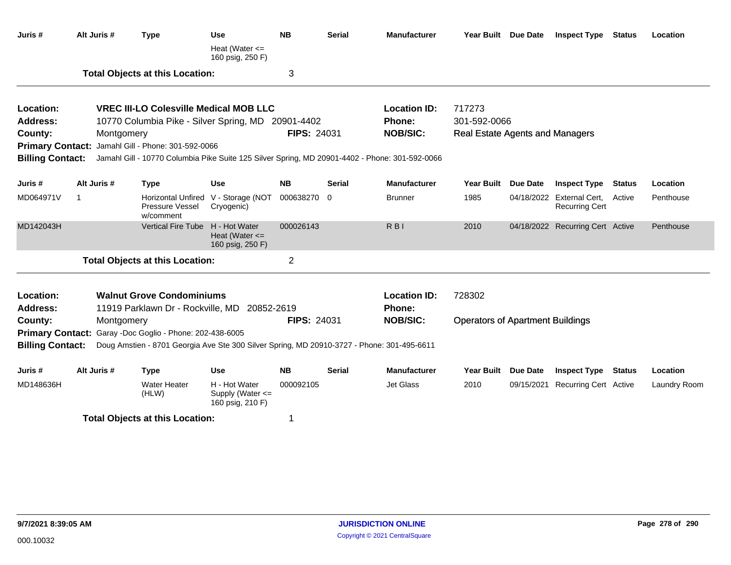| Juris #                      | Alt Juris #    | <b>Type</b>                                                                                | <b>Use</b>                                              | <b>NB</b>          | <b>Serial</b> | <b>Manufacturer</b>                                                                            |                                         | Year Built Due Date | <b>Inspect Type Status</b>                         |               | Location     |
|------------------------------|----------------|--------------------------------------------------------------------------------------------|---------------------------------------------------------|--------------------|---------------|------------------------------------------------------------------------------------------------|-----------------------------------------|---------------------|----------------------------------------------------|---------------|--------------|
|                              |                |                                                                                            | Heat (Water $\leq$<br>160 psig, 250 F)                  |                    |               |                                                                                                |                                         |                     |                                                    |               |              |
|                              |                | <b>Total Objects at this Location:</b>                                                     |                                                         | 3                  |               |                                                                                                |                                         |                     |                                                    |               |              |
| Location:                    |                | <b>VREC III-LO Colesville Medical MOB LLC</b>                                              |                                                         |                    |               | <b>Location ID:</b>                                                                            | 717273                                  |                     |                                                    |               |              |
| Address:                     |                | 10770 Columbia Pike - Silver Spring, MD                                                    |                                                         | 20901-4402         |               | Phone:                                                                                         | 301-592-0066                            |                     |                                                    |               |              |
| County:                      | Montgomery     |                                                                                            |                                                         | FIPS: 24031        |               | <b>NOB/SIC:</b>                                                                                | <b>Real Estate Agents and Managers</b>  |                     |                                                    |               |              |
|                              |                | Primary Contact: Jamahl Gill - Phone: 301-592-0066                                         |                                                         |                    |               |                                                                                                |                                         |                     |                                                    |               |              |
| <b>Billing Contact:</b>      |                |                                                                                            |                                                         |                    |               | Jamahl Gill - 10770 Columbia Pike Suite 125 Silver Spring, MD 20901-4402 - Phone: 301-592-0066 |                                         |                     |                                                    |               |              |
| Juris #                      | Alt Juris #    | <b>Type</b>                                                                                | <b>Use</b>                                              | <b>NB</b>          | <b>Serial</b> | <b>Manufacturer</b>                                                                            | <b>Year Built</b>                       | <b>Due Date</b>     | <b>Inspect Type</b>                                | <b>Status</b> | Location     |
| MD064971V                    | $\overline{1}$ | <b>Horizontal Unfired</b><br>Pressure Vessel<br>w/comment                                  | V - Storage (NOT<br>Cryogenic)                          | 000638270 0        |               | <b>Brunner</b>                                                                                 | 1985                                    |                     | 04/18/2022 External Cert,<br><b>Recurring Cert</b> | Active        | Penthouse    |
| MD142043H                    |                | <b>Vertical Fire Tube</b>                                                                  | H - Hot Water<br>Heat (Water $\leq$<br>160 psig, 250 F) | 000026143          |               | <b>RBI</b>                                                                                     | 2010                                    |                     | 04/18/2022 Recurring Cert Active                   |               | Penthouse    |
|                              |                | <b>Total Objects at this Location:</b>                                                     |                                                         | $\overline{2}$     |               |                                                                                                |                                         |                     |                                                    |               |              |
| Location:<br><b>Address:</b> |                | <b>Walnut Grove Condominiums</b><br>11919 Parklawn Dr - Rockville, MD                      | 20852-2619                                              |                    |               | <b>Location ID:</b><br><b>Phone:</b>                                                           | 728302                                  |                     |                                                    |               |              |
| County:                      | Montgomery     |                                                                                            |                                                         | <b>FIPS: 24031</b> |               | <b>NOB/SIC:</b>                                                                                | <b>Operators of Apartment Buildings</b> |                     |                                                    |               |              |
|                              |                | Primary Contact: Garay -Doc Goglio - Phone: 202-438-6005                                   |                                                         |                    |               |                                                                                                |                                         |                     |                                                    |               |              |
| <b>Billing Contact:</b>      |                | Doug Amstien - 8701 Georgia Ave Ste 300 Silver Spring, MD 20910-3727 - Phone: 301-495-6611 |                                                         |                    |               |                                                                                                |                                         |                     |                                                    |               |              |
| Juris #                      | Alt Juris #    | <b>Type</b>                                                                                | <b>Use</b>                                              | <b>NB</b>          | Serial        | <b>Manufacturer</b>                                                                            | Year Built Due Date                     |                     | <b>Inspect Type</b>                                | Status        | Location     |
| MD148636H                    |                | <b>Water Heater</b><br>(HLW)                                                               | H - Hot Water<br>Supply (Water <=<br>160 psig, 210 F)   | 000092105          |               | Jet Glass                                                                                      | 2010                                    |                     | 09/15/2021 Recurring Cert Active                   |               | Laundry Room |
|                              |                | <b>Total Objects at this Location:</b>                                                     |                                                         | 1                  |               |                                                                                                |                                         |                     |                                                    |               |              |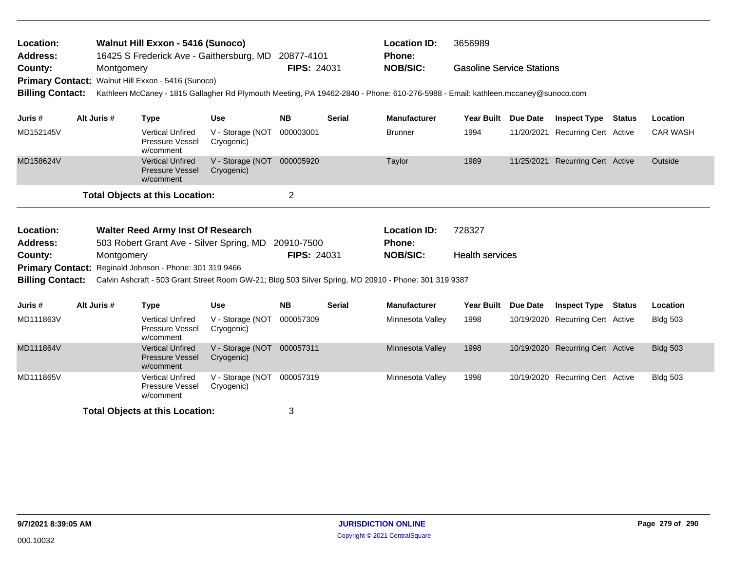| <b>Walnut Hill Exxon - 5416 (Sunoco)</b><br>Location:<br>16425 S Frederick Ave - Gaithersburg, MD 20877-4101<br><b>Address:</b> |                                                                                                 |             |                                                                |                                          |                                                                 |               | <b>Location ID:</b><br><b>Phone:</b>                                                                                            | 3656989                          |                 |                                  |                 |
|---------------------------------------------------------------------------------------------------------------------------------|-------------------------------------------------------------------------------------------------|-------------|----------------------------------------------------------------|------------------------------------------|-----------------------------------------------------------------|---------------|---------------------------------------------------------------------------------------------------------------------------------|----------------------------------|-----------------|----------------------------------|-----------------|
| County:<br><b>Primary Contact:</b>                                                                                              |                                                                                                 | Montgomery  | Walnut Hill Exxon - 5416 (Sunoco)                              |                                          | <b>FIPS: 24031</b>                                              |               | <b>NOB/SIC:</b>                                                                                                                 | <b>Gasoline Service Stations</b> |                 |                                  |                 |
| <b>Billing Contact:</b>                                                                                                         |                                                                                                 |             |                                                                |                                          |                                                                 |               | Kathleen McCaney - 1815 Gallagher Rd Plymouth Meeting, PA 19462-2840 - Phone: 610-276-5988 - Email: kathleen.mccaney@sunoco.com |                                  |                 |                                  |                 |
| Juris #                                                                                                                         |                                                                                                 | Alt Juris # | <b>Type</b>                                                    | <b>Use</b>                               | <b>NB</b>                                                       | <b>Serial</b> | <b>Manufacturer</b>                                                                                                             | <b>Year Built</b>                | <b>Due Date</b> | <b>Inspect Type Status</b>       | Location        |
| MD152145V                                                                                                                       |                                                                                                 |             | <b>Vertical Unfired</b><br><b>Pressure Vessel</b><br>w/comment | V - Storage (NOT<br>Cryogenic)           | 000003001                                                       |               | <b>Brunner</b>                                                                                                                  | 1994                             | 11/20/2021      | <b>Recurring Cert Active</b>     | <b>CAR WASH</b> |
| MD158624V                                                                                                                       |                                                                                                 |             | <b>Vertical Unfired</b><br><b>Pressure Vessel</b><br>w/comment | V - Storage (NOT 000005920<br>Cryogenic) |                                                                 |               | Taylor                                                                                                                          | 1989                             |                 | 11/25/2021 Recurring Cert Active | Outside         |
|                                                                                                                                 |                                                                                                 |             | <b>Total Objects at this Location:</b>                         |                                          | $\overline{c}$                                                  |               |                                                                                                                                 |                                  |                 |                                  |                 |
| Location:<br><b>Address:</b>                                                                                                    | <b>Walter Reed Army Inst Of Research</b><br>503 Robert Grant Ave - Silver Spring, MD 20910-7500 |             |                                                                |                                          |                                                                 |               | <b>Location ID:</b><br><b>Phone:</b>                                                                                            | 728327                           |                 |                                  |                 |
| County:                                                                                                                         |                                                                                                 | Montgomery  |                                                                |                                          | <b>FIPS: 24031</b><br><b>NOB/SIC:</b><br><b>Health services</b> |               |                                                                                                                                 |                                  |                 |                                  |                 |
| <b>Billing Contact:</b>                                                                                                         |                                                                                                 |             | Primary Contact: Reginald Johnson - Phone: 301 319 9466        |                                          |                                                                 |               | Calvin Ashcraft - 503 Grant Street Room GW-21; Bldg 503 Silver Spring, MD 20910 - Phone: 301 319 9387                           |                                  |                 |                                  |                 |
| Juris #                                                                                                                         |                                                                                                 | Alt Juris # | <b>Type</b>                                                    | <b>Use</b>                               | <b>NB</b>                                                       | <b>Serial</b> | <b>Manufacturer</b>                                                                                                             | <b>Year Built</b>                | Due Date        | <b>Inspect Type Status</b>       | Location        |
| MD111863V                                                                                                                       |                                                                                                 |             | <b>Vertical Unfired</b><br><b>Pressure Vessel</b><br>w/comment | V - Storage (NOT<br>Cryogenic)           | 000057309                                                       |               | Minnesota Valley                                                                                                                | 1998                             |                 | 10/19/2020 Recurring Cert Active | <b>Bldg 503</b> |
| MD111864V                                                                                                                       |                                                                                                 |             | <b>Vertical Unfired</b><br><b>Pressure Vessel</b><br>w/comment | V - Storage (NOT<br>Cryogenic)           | 000057311                                                       |               | Minnesota Valley                                                                                                                | 1998                             |                 | 10/19/2020 Recurring Cert Active | <b>Bldg 503</b> |
| MD111865V                                                                                                                       |                                                                                                 |             | <b>Vertical Unfired</b><br>Pressure Vessel<br>w/comment        | V - Storage (NOT<br>Cryogenic)           | 000057319                                                       |               | Minnesota Valley                                                                                                                | 1998                             |                 | 10/19/2020 Recurring Cert Active | <b>Bldg 503</b> |
|                                                                                                                                 | <b>Total Objects at this Location:</b>                                                          |             |                                                                |                                          |                                                                 |               |                                                                                                                                 |                                  |                 |                                  |                 |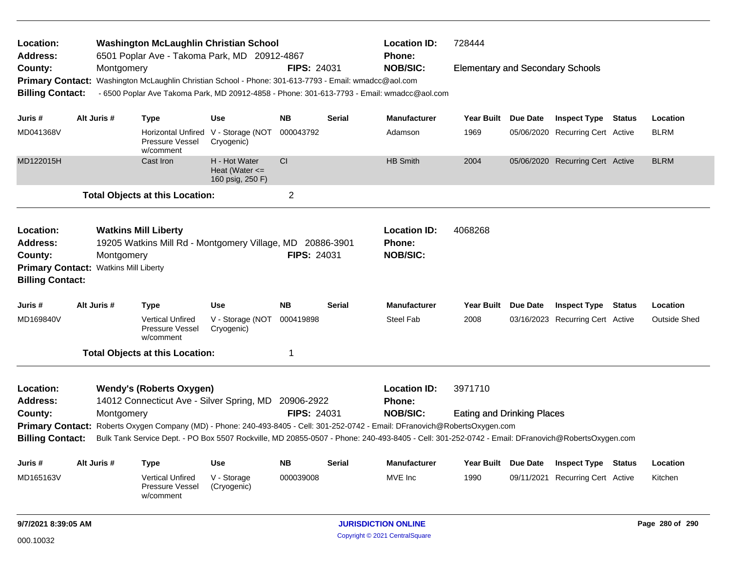| Location:<br><b>Address:</b>                       |                                                                                                                                                                            |            | <b>Washington McLaughlin Christian School</b><br>6501 Poplar Ave - Takoma Park, MD 20912-4867                                 |                                                         |                    |               | <b>Location ID:</b><br>Phone: | 728444                                  |            |                                  |  |                     |
|----------------------------------------------------|----------------------------------------------------------------------------------------------------------------------------------------------------------------------------|------------|-------------------------------------------------------------------------------------------------------------------------------|---------------------------------------------------------|--------------------|---------------|-------------------------------|-----------------------------------------|------------|----------------------------------|--|---------------------|
| County:                                            |                                                                                                                                                                            | Montgomery |                                                                                                                               |                                                         | <b>FIPS: 24031</b> |               | <b>NOB/SIC:</b>               | <b>Elementary and Secondary Schools</b> |            |                                  |  |                     |
| <b>Primary Contact:</b>                            |                                                                                                                                                                            |            | Washington McLaughlin Christian School - Phone: 301-613-7793 - Email: wmadcc@aol.com                                          |                                                         |                    |               |                               |                                         |            |                                  |  |                     |
| <b>Billing Contact:</b>                            |                                                                                                                                                                            |            | - 6500 Poplar Ave Takoma Park, MD 20912-4858 - Phone: 301-613-7793 - Email: wmadcc@aol.com                                    |                                                         |                    |               |                               |                                         |            |                                  |  |                     |
| Juris #                                            | Alt Juris #                                                                                                                                                                |            | <b>Type</b>                                                                                                                   | <b>Use</b>                                              | NΒ                 | Serial        | <b>Manufacturer</b>           | Year Built Due Date                     |            | <b>Inspect Type Status</b>       |  | Location            |
| MD041368V                                          |                                                                                                                                                                            |            | Pressure Vessel<br>w/comment                                                                                                  | Horizontal Unfired V - Storage (NOT<br>Cryogenic)       | 000043792          |               | Adamson                       | 1969                                    |            | 05/06/2020 Recurring Cert Active |  | <b>BLRM</b>         |
| MD122015H                                          |                                                                                                                                                                            |            | Cast Iron                                                                                                                     | H - Hot Water<br>Heat (Water $\leq$<br>160 psig, 250 F) | <b>CI</b>          |               | <b>HB Smith</b>               | 2004                                    |            | 05/06/2020 Recurring Cert Active |  | <b>BLRM</b>         |
|                                                    |                                                                                                                                                                            |            | <b>Total Objects at this Location:</b>                                                                                        |                                                         | 2                  |               |                               |                                         |            |                                  |  |                     |
| Location:                                          |                                                                                                                                                                            |            | <b>Watkins Mill Liberty</b>                                                                                                   |                                                         |                    |               | <b>Location ID:</b>           | 4068268                                 |            |                                  |  |                     |
| <b>Address:</b>                                    |                                                                                                                                                                            |            | 19205 Watkins Mill Rd - Montgomery Village, MD 20886-3901                                                                     |                                                         |                    |               | <b>Phone:</b>                 |                                         |            |                                  |  |                     |
| County:                                            | Montgomery<br><b>Watkins Mill Liberty</b>                                                                                                                                  |            |                                                                                                                               |                                                         | <b>FIPS: 24031</b> |               | <b>NOB/SIC:</b>               |                                         |            |                                  |  |                     |
| <b>Primary Contact:</b><br><b>Billing Contact:</b> |                                                                                                                                                                            |            |                                                                                                                               |                                                         |                    |               |                               |                                         |            |                                  |  |                     |
| Juris #                                            | Alt Juris #                                                                                                                                                                |            | <b>Type</b>                                                                                                                   | Use                                                     | <b>NB</b>          | <b>Serial</b> | <b>Manufacturer</b>           | Year Built Due Date                     |            | <b>Inspect Type Status</b>       |  | Location            |
| MD169840V                                          |                                                                                                                                                                            |            | <b>Vertical Unfired</b><br>Pressure Vessel<br>w/comment                                                                       | V - Storage (NOT<br>Cryogenic)                          | 000419898          |               | <b>Steel Fab</b>              | 2008                                    |            | 03/16/2023 Recurring Cert Active |  | <b>Outside Shed</b> |
|                                                    |                                                                                                                                                                            |            | <b>Total Objects at this Location:</b>                                                                                        |                                                         | 1                  |               |                               |                                         |            |                                  |  |                     |
| Location:                                          |                                                                                                                                                                            |            | <b>Wendy's (Roberts Oxygen)</b>                                                                                               |                                                         |                    |               | <b>Location ID:</b>           | 3971710                                 |            |                                  |  |                     |
| <b>Address:</b>                                    |                                                                                                                                                                            |            | 14012 Connecticut Ave - Silver Spring, MD                                                                                     |                                                         | 20906-2922         |               | Phone:                        |                                         |            |                                  |  |                     |
| County:                                            |                                                                                                                                                                            | Montgomery |                                                                                                                               |                                                         | <b>FIPS: 24031</b> |               | <b>NOB/SIC:</b>               | <b>Eating and Drinking Places</b>       |            |                                  |  |                     |
|                                                    |                                                                                                                                                                            |            | Primary Contact: Roberts Oxygen Company (MD) - Phone: 240-493-8405 - Cell: 301-252-0742 - Email: DFranovich@RobertsOxygen.com |                                                         |                    |               |                               |                                         |            |                                  |  |                     |
|                                                    | <b>Billing Contact:</b><br>Bulk Tank Service Dept. - PO Box 5507 Rockville, MD 20855-0507 - Phone: 240-493-8405 - Cell: 301-252-0742 - Email: DFranovich@RobertsOxygen.com |            |                                                                                                                               |                                                         |                    |               |                               |                                         |            |                                  |  |                     |
| Juris #                                            | Alt Juris #                                                                                                                                                                |            | <b>Type</b>                                                                                                                   | <b>Use</b>                                              | <b>NB</b>          | Serial        | Manufacturer                  | Year Built Due Date                     |            | <b>Inspect Type Status</b>       |  | Location            |
| MD165163V                                          |                                                                                                                                                                            |            | <b>Vertical Unfired</b><br><b>Pressure Vessel</b><br>w/comment                                                                | V - Storage<br>(Cryogenic)                              | 000039008          |               | MVE Inc                       | 1990                                    | 09/11/2021 | <b>Recurring Cert Active</b>     |  | Kitchen             |
| 9/7/2021 8:39:05 AM                                |                                                                                                                                                                            |            |                                                                                                                               |                                                         |                    |               | <b>JURISDICTION ONLINE</b>    |                                         |            |                                  |  | Page 280 of 290     |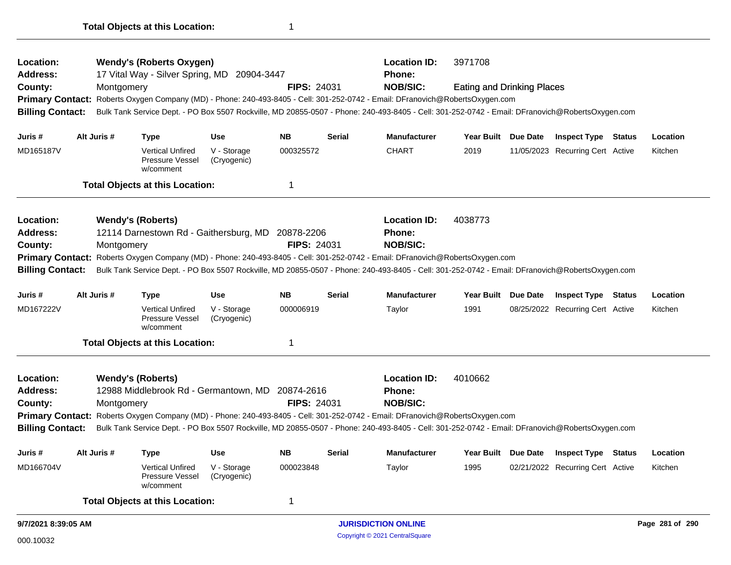| Location:                                                                                                                                                                                                                                                                                                   |  | <b>Location ID:</b><br>3971708<br><b>Wendy's (Roberts Oxygen)</b><br>17 Vital Way - Silver Spring, MD 20904-3447<br><b>Phone:</b> |                                                         |                            |                    |               |                                                                                                                                                 |                                   |                     |                                               |  |          |  |  |  |  |
|-------------------------------------------------------------------------------------------------------------------------------------------------------------------------------------------------------------------------------------------------------------------------------------------------------------|--|-----------------------------------------------------------------------------------------------------------------------------------|---------------------------------------------------------|----------------------------|--------------------|---------------|-------------------------------------------------------------------------------------------------------------------------------------------------|-----------------------------------|---------------------|-----------------------------------------------|--|----------|--|--|--|--|
| <b>Address:</b><br>County:                                                                                                                                                                                                                                                                                  |  |                                                                                                                                   |                                                         |                            | <b>FIPS: 24031</b> |               | <b>NOB/SIC:</b>                                                                                                                                 |                                   |                     |                                               |  |          |  |  |  |  |
|                                                                                                                                                                                                                                                                                                             |  | Montgomery                                                                                                                        |                                                         |                            |                    |               | Primary Contact: Roberts Oxygen Company (MD) - Phone: 240-493-8405 - Cell: 301-252-0742 - Email: DFranovich@RobertsOxygen.com                   | <b>Eating and Drinking Places</b> |                     |                                               |  |          |  |  |  |  |
| <b>Billing Contact:</b>                                                                                                                                                                                                                                                                                     |  |                                                                                                                                   |                                                         |                            |                    |               | Bulk Tank Service Dept. - PO Box 5507 Rockville, MD 20855-0507 - Phone: 240-493-8405 - Cell: 301-252-0742 - Email: DFranovich@RobertsOxygen.com |                                   |                     |                                               |  |          |  |  |  |  |
| Juris#                                                                                                                                                                                                                                                                                                      |  | Alt Juris #                                                                                                                       | <b>Type</b>                                             | Use                        | <b>NB</b>          | <b>Serial</b> | <b>Manufacturer</b>                                                                                                                             |                                   | Year Built Due Date | <b>Inspect Type Status</b>                    |  | Location |  |  |  |  |
| MD165187V                                                                                                                                                                                                                                                                                                   |  |                                                                                                                                   | <b>Vertical Unfired</b><br>Pressure Vessel<br>w/comment | V - Storage<br>(Cryogenic) | 000325572          |               | <b>CHART</b>                                                                                                                                    | 2019                              |                     | 11/05/2023 Recurring Cert Active              |  | Kitchen  |  |  |  |  |
|                                                                                                                                                                                                                                                                                                             |  |                                                                                                                                   | <b>Total Objects at this Location:</b>                  |                            | $\mathbf 1$        |               |                                                                                                                                                 |                                   |                     |                                               |  |          |  |  |  |  |
| Location:                                                                                                                                                                                                                                                                                                   |  |                                                                                                                                   | <b>Wendy's (Roberts)</b>                                |                            |                    |               | <b>Location ID:</b>                                                                                                                             | 4038773                           |                     |                                               |  |          |  |  |  |  |
| <b>Address:</b>                                                                                                                                                                                                                                                                                             |  |                                                                                                                                   | 12114 Darnestown Rd - Gaithersburg, MD 20878-2206       |                            |                    |               | <b>Phone:</b>                                                                                                                                   |                                   |                     |                                               |  |          |  |  |  |  |
| County:                                                                                                                                                                                                                                                                                                     |  | Montgomery                                                                                                                        |                                                         |                            | <b>FIPS: 24031</b> |               | <b>NOB/SIC:</b>                                                                                                                                 |                                   |                     |                                               |  |          |  |  |  |  |
|                                                                                                                                                                                                                                                                                                             |  |                                                                                                                                   |                                                         |                            |                    |               | Primary Contact: Roberts Oxygen Company (MD) - Phone: 240-493-8405 - Cell: 301-252-0742 - Email: DFranovich@RobertsOxygen.com                   |                                   |                     |                                               |  |          |  |  |  |  |
| <b>Billing Contact:</b>                                                                                                                                                                                                                                                                                     |  |                                                                                                                                   |                                                         |                            |                    |               | Bulk Tank Service Dept. - PO Box 5507 Rockville, MD 20855-0507 - Phone: 240-493-8405 - Cell: 301-252-0742 - Email: DFranovich@RobertsOxygen.com |                                   |                     |                                               |  |          |  |  |  |  |
| Juris#                                                                                                                                                                                                                                                                                                      |  | Alt Juris #                                                                                                                       | <b>Type</b>                                             | <b>Use</b>                 | <b>NB</b>          | <b>Serial</b> | <b>Manufacturer</b>                                                                                                                             | Year Built Due Date               |                     | <b>Inspect Type Status</b>                    |  | Location |  |  |  |  |
| MD167222V                                                                                                                                                                                                                                                                                                   |  |                                                                                                                                   | <b>Vertical Unfired</b><br>Pressure Vessel<br>w/comment | V - Storage<br>(Cryogenic) | 000006919          |               | Taylor                                                                                                                                          | 1991                              |                     | 08/25/2022 Recurring Cert Active              |  | Kitchen  |  |  |  |  |
|                                                                                                                                                                                                                                                                                                             |  |                                                                                                                                   | <b>Total Objects at this Location:</b>                  |                            | 1                  |               |                                                                                                                                                 |                                   |                     |                                               |  |          |  |  |  |  |
| Location:                                                                                                                                                                                                                                                                                                   |  |                                                                                                                                   | <b>Wendy's (Roberts)</b>                                |                            |                    |               | <b>Location ID:</b>                                                                                                                             | 4010662                           |                     |                                               |  |          |  |  |  |  |
| Address:                                                                                                                                                                                                                                                                                                    |  |                                                                                                                                   | 12988 Middlebrook Rd - Germantown, MD 20874-2616        |                            |                    |               | <b>Phone:</b>                                                                                                                                   |                                   |                     |                                               |  |          |  |  |  |  |
| County:                                                                                                                                                                                                                                                                                                     |  | Montgomery                                                                                                                        |                                                         |                            | <b>FIPS: 24031</b> |               | <b>NOB/SIC:</b>                                                                                                                                 |                                   |                     |                                               |  |          |  |  |  |  |
|                                                                                                                                                                                                                                                                                                             |  |                                                                                                                                   |                                                         |                            |                    |               |                                                                                                                                                 |                                   |                     |                                               |  |          |  |  |  |  |
| Primary Contact: Roberts Oxygen Company (MD) - Phone: 240-493-8405 - Cell: 301-252-0742 - Email: DFranovich@RobertsOxygen.com<br><b>Billing Contact:</b><br>Bulk Tank Service Dept. - PO Box 5507 Rockville, MD 20855-0507 - Phone: 240-493-8405 - Cell: 301-252-0742 - Email: DFranovich@RobertsOxygen.com |  |                                                                                                                                   |                                                         |                            |                    |               |                                                                                                                                                 |                                   |                     |                                               |  |          |  |  |  |  |
| Juris #                                                                                                                                                                                                                                                                                                     |  | Alt Juris #                                                                                                                       | <b>Type</b>                                             | <b>Use</b>                 | <b>NB</b>          | <b>Serial</b> | <b>Manufacturer</b>                                                                                                                             |                                   | Year Built Due Date | <b>Inspect Type Status</b>                    |  | Location |  |  |  |  |
| MD166704V                                                                                                                                                                                                                                                                                                   |  |                                                                                                                                   | <b>Vertical Unfired</b><br>Pressure Vessel<br>w/comment | V - Storage<br>(Cryogenic) | 000023848          |               | Taylor                                                                                                                                          | 1995                              |                     | 02/21/2022 Recurring Cert Active              |  | Kitchen  |  |  |  |  |
|                                                                                                                                                                                                                                                                                                             |  |                                                                                                                                   | <b>Total Objects at this Location:</b>                  |                            | $\mathbf 1$        |               |                                                                                                                                                 |                                   |                     |                                               |  |          |  |  |  |  |
| 9/7/2021 8:39:05 AM                                                                                                                                                                                                                                                                                         |  |                                                                                                                                   |                                                         |                            |                    |               |                                                                                                                                                 |                                   |                     | <b>JURISDICTION ONLINE</b><br>Page 281 of 290 |  |          |  |  |  |  |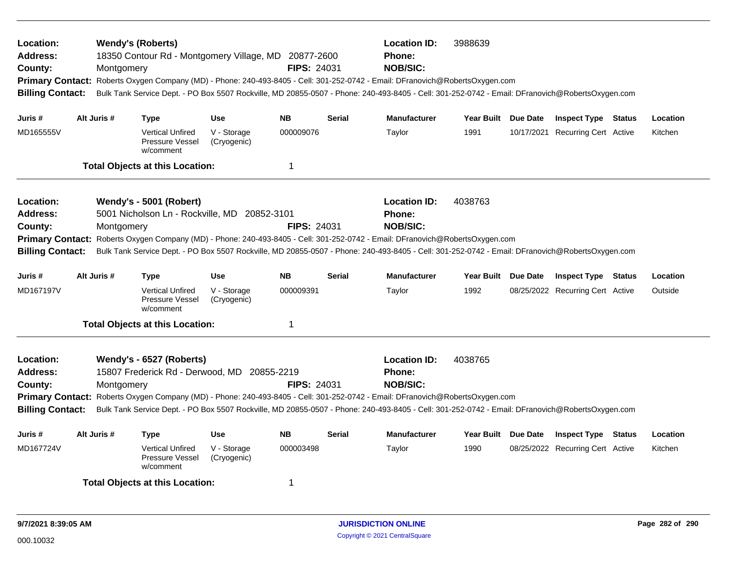| Location:<br><b>Address:</b><br>County:<br><b>Billing Contact:</b>                                                                                                                                                                                                                                                                                                                                                                                                    | Montgomery  | <b>Wendy's (Roberts)</b><br>18350 Contour Rd - Montgomery Village, MD 20877-2600 |                            | <b>FIPS: 24031</b> |               | <b>Location ID:</b><br>3988639<br><b>Phone:</b><br><b>NOB/SIC:</b><br>Primary Contact: Roberts Oxygen Company (MD) - Phone: 240-493-8405 - Cell: 301-252-0742 - Email: DFranovich@RobertsOxygen.com<br>Bulk Tank Service Dept. - PO Box 5507 Rockville, MD 20855-0507 - Phone: 240-493-8405 - Cell: 301-252-0742 - Email: DFranovich@RobertsOxygen.com |                     |  |                                  |  |          |
|-----------------------------------------------------------------------------------------------------------------------------------------------------------------------------------------------------------------------------------------------------------------------------------------------------------------------------------------------------------------------------------------------------------------------------------------------------------------------|-------------|----------------------------------------------------------------------------------|----------------------------|--------------------|---------------|--------------------------------------------------------------------------------------------------------------------------------------------------------------------------------------------------------------------------------------------------------------------------------------------------------------------------------------------------------|---------------------|--|----------------------------------|--|----------|
| Juris #                                                                                                                                                                                                                                                                                                                                                                                                                                                               | Alt Juris # | Type                                                                             | <b>Use</b>                 | <b>NB</b>          | <b>Serial</b> | <b>Manufacturer</b>                                                                                                                                                                                                                                                                                                                                    | Year Built Due Date |  | <b>Inspect Type Status</b>       |  | Location |
| MD165555V                                                                                                                                                                                                                                                                                                                                                                                                                                                             |             | <b>Vertical Unfired</b><br>Pressure Vessel<br>w/comment                          | V - Storage<br>(Cryogenic) | 000009076          |               | Taylor                                                                                                                                                                                                                                                                                                                                                 | 1991                |  | 10/17/2021 Recurring Cert Active |  | Kitchen  |
|                                                                                                                                                                                                                                                                                                                                                                                                                                                                       |             | <b>Total Objects at this Location:</b>                                           |                            | $\mathbf 1$        |               |                                                                                                                                                                                                                                                                                                                                                        |                     |  |                                  |  |          |
| Location:<br><b>Address:</b><br>County:<br><b>Primary Contact:</b><br><b>Billing Contact:</b>                                                                                                                                                                                                                                                                                                                                                                         | Montgomery  | <b>Wendy's - 5001 (Robert)</b><br>5001 Nicholson Ln - Rockville, MD 20852-3101   |                            | <b>FIPS: 24031</b> |               | <b>Location ID:</b><br><b>Phone:</b><br><b>NOB/SIC:</b><br>Roberts Oxygen Company (MD) - Phone: 240-493-8405 - Cell: 301-252-0742 - Email: DFranovich@RobertsOxygen.com<br>Bulk Tank Service Dept. - PO Box 5507 Rockville, MD 20855-0507 - Phone: 240-493-8405 - Cell: 301-252-0742 - Email: DFranovich@RobertsOxygen.com                             | 4038763             |  |                                  |  |          |
| Juris #                                                                                                                                                                                                                                                                                                                                                                                                                                                               | Alt Juris # | <b>Type</b>                                                                      | <b>Use</b>                 | <b>NB</b>          | <b>Serial</b> | <b>Manufacturer</b>                                                                                                                                                                                                                                                                                                                                    | Year Built Due Date |  | <b>Inspect Type Status</b>       |  | Location |
| MD167197V                                                                                                                                                                                                                                                                                                                                                                                                                                                             |             | <b>Vertical Unfired</b><br><b>Pressure Vessel</b><br>w/comment                   | V - Storage<br>(Cryogenic) | 000009391          |               | Taylor                                                                                                                                                                                                                                                                                                                                                 | 1992                |  | 08/25/2022 Recurring Cert Active |  | Outside  |
|                                                                                                                                                                                                                                                                                                                                                                                                                                                                       |             | <b>Total Objects at this Location:</b>                                           |                            | 1                  |               |                                                                                                                                                                                                                                                                                                                                                        |                     |  |                                  |  |          |
| Location:<br>Wendy's - 6527 (Roberts)<br><b>Address:</b><br>15807 Frederick Rd - Derwood, MD 20855-2219<br><b>FIPS: 24031</b><br>County:<br>Montgomery<br>Primary Contact: Roberts Oxygen Company (MD) - Phone: 240-493-8405 - Cell: 301-252-0742 - Email: DFranovich@RobertsOxygen.com<br>Bulk Tank Service Dept. - PO Box 5507 Rockville, MD 20855-0507 - Phone: 240-493-8405 - Cell: 301-252-0742 - Email: DFranovich@RobertsOxygen.com<br><b>Billing Contact:</b> |             |                                                                                  |                            |                    |               | <b>Location ID:</b><br>Phone:<br><b>NOB/SIC:</b>                                                                                                                                                                                                                                                                                                       | 4038765             |  |                                  |  |          |
| Juris #                                                                                                                                                                                                                                                                                                                                                                                                                                                               | Alt Juris # | Type                                                                             | <b>Use</b>                 | <b>NB</b>          | <b>Serial</b> | <b>Manufacturer</b>                                                                                                                                                                                                                                                                                                                                    | Year Built Due Date |  | <b>Inspect Type Status</b>       |  | Location |
| MD167724V                                                                                                                                                                                                                                                                                                                                                                                                                                                             |             | <b>Vertical Unfired</b><br>Pressure Vessel<br>w/comment                          | V - Storage<br>(Cryogenic) | 000003498          |               | Taylor                                                                                                                                                                                                                                                                                                                                                 | 1990                |  | 08/25/2022 Recurring Cert Active |  | Kitchen  |
|                                                                                                                                                                                                                                                                                                                                                                                                                                                                       |             | <b>Total Objects at this Location:</b>                                           |                            | -1                 |               |                                                                                                                                                                                                                                                                                                                                                        |                     |  |                                  |  |          |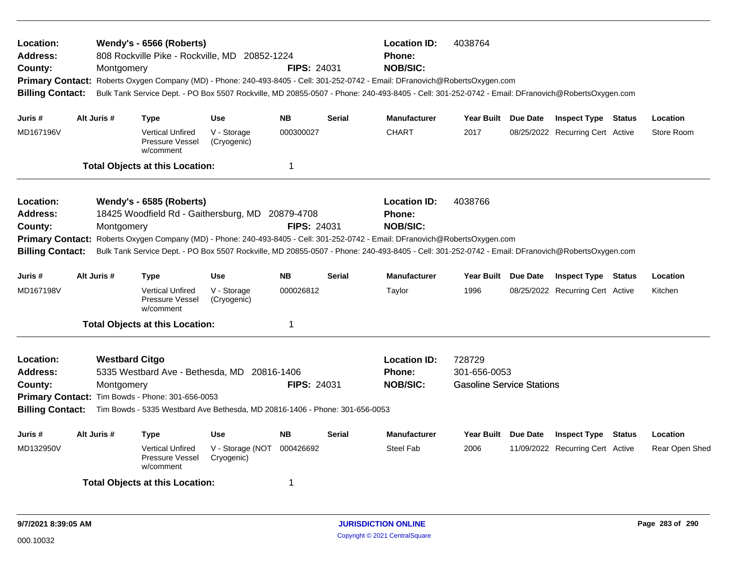| Location:<br><b>Address:</b><br>County:<br><b>Billing Contact:</b>                            | Montgomery                          | Wendy's - 6566 (Roberts)<br>808 Rockville Pike - Rockville, MD 20852-1224                                                                                                      |                                | <b>FIPS: 24031</b> |               | <b>Location ID:</b><br>Phone:<br><b>NOB/SIC:</b><br>Primary Contact: Roberts Oxygen Company (MD) - Phone: 240-493-8405 - Cell: 301-252-0742 - Email: DFranovich@RobertsOxygen.com<br>Bulk Tank Service Dept. - PO Box 5507 Rockville, MD 20855-0507 - Phone: 240-493-8405 - Cell: 301-252-0742 - Email: DFranovich@RobertsOxygen.com | 4038764                                                    |                                  |               |                |
|-----------------------------------------------------------------------------------------------|-------------------------------------|--------------------------------------------------------------------------------------------------------------------------------------------------------------------------------|--------------------------------|--------------------|---------------|--------------------------------------------------------------------------------------------------------------------------------------------------------------------------------------------------------------------------------------------------------------------------------------------------------------------------------------|------------------------------------------------------------|----------------------------------|---------------|----------------|
| Juris #                                                                                       | Alt Juris #                         | <b>Type</b>                                                                                                                                                                    | <b>Use</b>                     | <b>NB</b>          | <b>Serial</b> | <b>Manufacturer</b>                                                                                                                                                                                                                                                                                                                  | Year Built Due Date                                        | <b>Inspect Type Status</b>       |               | Location       |
| MD167196V                                                                                     |                                     | <b>Vertical Unfired</b><br>Pressure Vessel<br>w/comment                                                                                                                        | V - Storage<br>(Cryogenic)     | 000300027          |               | <b>CHART</b>                                                                                                                                                                                                                                                                                                                         | 2017                                                       | 08/25/2022 Recurring Cert Active |               | Store Room     |
|                                                                                               |                                     | <b>Total Objects at this Location:</b>                                                                                                                                         |                                | $\mathbf 1$        |               |                                                                                                                                                                                                                                                                                                                                      |                                                            |                                  |               |                |
| Location:<br><b>Address:</b><br>County:<br><b>Primary Contact:</b><br><b>Billing Contact:</b> | Montgomery                          | Wendy's - 6585 (Roberts)<br>18425 Woodfield Rd - Gaithersburg, MD 20879-4708                                                                                                   |                                | <b>FIPS: 24031</b> |               | <b>Location ID:</b><br>Phone:<br><b>NOB/SIC:</b><br>Roberts Oxygen Company (MD) - Phone: 240-493-8405 - Cell: 301-252-0742 - Email: DFranovich@RobertsOxygen.com<br>Bulk Tank Service Dept. - PO Box 5507 Rockville, MD 20855-0507 - Phone: 240-493-8405 - Cell: 301-252-0742 - Email: DFranovich@RobertsOxygen.com                  | 4038766                                                    |                                  |               |                |
| Juris #                                                                                       | Alt Juris #                         | <b>Type</b>                                                                                                                                                                    | <b>Use</b>                     | <b>NB</b>          | <b>Serial</b> | <b>Manufacturer</b>                                                                                                                                                                                                                                                                                                                  | Year Built Due Date                                        | <b>Inspect Type Status</b>       |               | Location       |
| MD167198V                                                                                     |                                     | <b>Vertical Unfired</b><br>Pressure Vessel<br>w/comment                                                                                                                        | V - Storage<br>(Cryogenic)     | 000026812          |               | Taylor                                                                                                                                                                                                                                                                                                                               | 1996                                                       | 08/25/2022 Recurring Cert Active |               | Kitchen        |
|                                                                                               |                                     | <b>Total Objects at this Location:</b>                                                                                                                                         |                                | 1                  |               |                                                                                                                                                                                                                                                                                                                                      |                                                            |                                  |               |                |
| Location:<br>Address:<br>County:<br><b>Billing Contact:</b>                                   | <b>Westbard Citgo</b><br>Montgomery | 5335 Westbard Ave - Bethesda, MD 20816-1406<br>Primary Contact: Tim Bowds - Phone: 301-656-0053<br>Tim Bowds - 5335 Westbard Ave Bethesda, MD 20816-1406 - Phone: 301-656-0053 |                                | <b>FIPS: 24031</b> |               | <b>Location ID:</b><br><b>Phone:</b><br><b>NOB/SIC:</b>                                                                                                                                                                                                                                                                              | 728729<br>301-656-0053<br><b>Gasoline Service Stations</b> |                                  |               |                |
| Juris #                                                                                       | Alt Juris #                         | Type                                                                                                                                                                           | <b>Use</b>                     | <b>NB</b>          | Serial        | <b>Manufacturer</b>                                                                                                                                                                                                                                                                                                                  | Year Built Due Date                                        | <b>Inspect Type</b>              | <b>Status</b> | Location       |
| MD132950V                                                                                     |                                     | <b>Vertical Unfired</b><br>Pressure Vessel<br>w/comment                                                                                                                        | V - Storage (NOT<br>Cryogenic) | 000426692          |               | Steel Fab                                                                                                                                                                                                                                                                                                                            | 2006                                                       | 11/09/2022 Recurring Cert Active |               | Rear Open Shed |
|                                                                                               |                                     | <b>Total Objects at this Location:</b>                                                                                                                                         |                                | -1                 |               |                                                                                                                                                                                                                                                                                                                                      |                                                            |                                  |               |                |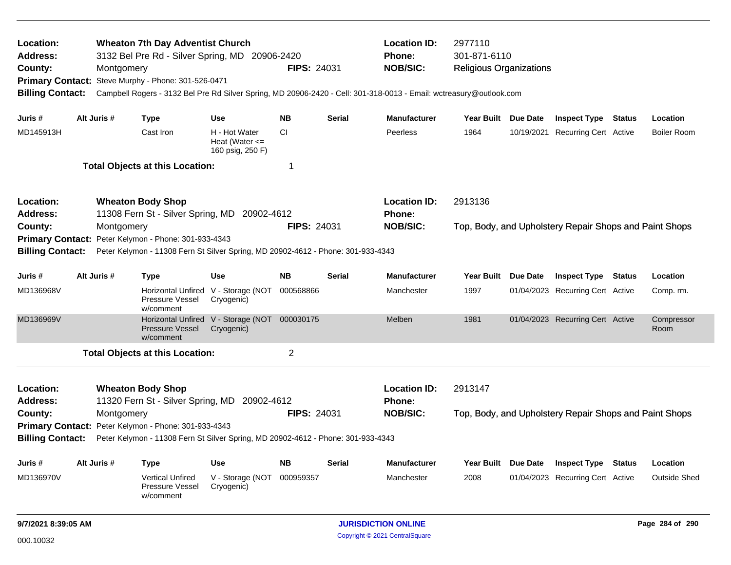| Location:<br><b>Address:</b><br>County:<br><b>Billing Contact:</b> | Montgomery  | <b>Wheaton 7th Day Adventist Church</b><br>3132 Bel Pre Rd - Silver Spring, MD 20906-2420<br>Primary Contact: Steve Murphy - Phone: 301-526-0471 |                                                             | <b>FIPS: 24031</b> |               | <b>Location ID:</b><br>2977110<br><b>Phone:</b><br>301-871-6110<br><b>NOB/SIC:</b><br><b>Religious Organizations</b><br>Campbell Rogers - 3132 Bel Pre Rd Silver Spring, MD 20906-2420 - Cell: 301-318-0013 - Email: wctreasury@outlook.com |                                                        |                 |                                                        |               |                     |
|--------------------------------------------------------------------|-------------|--------------------------------------------------------------------------------------------------------------------------------------------------|-------------------------------------------------------------|--------------------|---------------|---------------------------------------------------------------------------------------------------------------------------------------------------------------------------------------------------------------------------------------------|--------------------------------------------------------|-----------------|--------------------------------------------------------|---------------|---------------------|
| Juris #                                                            | Alt Juris # | <b>Type</b>                                                                                                                                      | <b>Use</b>                                                  | <b>NB</b>          | <b>Serial</b> | <b>Manufacturer</b>                                                                                                                                                                                                                         | Year Built Due Date                                    |                 | <b>Inspect Type Status</b>                             |               | Location            |
| MD145913H                                                          |             | Cast Iron                                                                                                                                        | H - Hot Water<br>Heat (Water $\leq$<br>160 psig, 250 F)     | <b>CI</b>          |               | Peerless                                                                                                                                                                                                                                    | 1964                                                   |                 | 10/19/2021 Recurring Cert Active                       |               | <b>Boiler Room</b>  |
|                                                                    |             | <b>Total Objects at this Location:</b>                                                                                                           |                                                             | 1                  |               |                                                                                                                                                                                                                                             |                                                        |                 |                                                        |               |                     |
| Location:<br><b>Address:</b>                                       |             | <b>Wheaton Body Shop</b><br>11308 Fern St - Silver Spring, MD 20902-4612                                                                         |                                                             |                    |               | <b>Location ID:</b><br><b>Phone:</b>                                                                                                                                                                                                        | 2913136                                                |                 |                                                        |               |                     |
| County:<br>Montgomery                                              |             |                                                                                                                                                  |                                                             | <b>FIPS: 24031</b> |               | <b>NOB/SIC:</b>                                                                                                                                                                                                                             | Top, Body, and Upholstery Repair Shops and Paint Shops |                 |                                                        |               |                     |
| Peter Kelymon - Phone: 301-933-4343<br><b>Primary Contact:</b>     |             |                                                                                                                                                  |                                                             |                    |               |                                                                                                                                                                                                                                             |                                                        |                 |                                                        |               |                     |
| <b>Billing Contact:</b>                                            |             | Peter Kelymon - 11308 Fern St Silver Spring, MD 20902-4612 - Phone: 301-933-4343                                                                 |                                                             |                    |               |                                                                                                                                                                                                                                             |                                                        |                 |                                                        |               |                     |
| Juris #                                                            | Alt Juris # | <b>Type</b>                                                                                                                                      | <b>Use</b>                                                  | <b>NB</b>          | <b>Serial</b> | <b>Manufacturer</b>                                                                                                                                                                                                                         | Year Built                                             | <b>Due Date</b> | <b>Inspect Type</b>                                    | Status        | Location            |
| MD136968V                                                          |             | <b>Horizontal Unfired</b><br><b>Pressure Vessel</b><br>w/comment                                                                                 | V - Storage (NOT<br>Cryogenic)                              | 000568866          |               | Manchester                                                                                                                                                                                                                                  | 1997                                                   |                 | 01/04/2023 Recurring Cert Active                       |               | Comp. rm.           |
| MD136969V                                                          |             | <b>Pressure Vessel</b><br>w/comment                                                                                                              | Horizontal Unfired V - Storage (NOT 000030175<br>Cryogenic) |                    |               | Melben                                                                                                                                                                                                                                      | 1981                                                   |                 | 01/04/2023 Recurring Cert Active                       |               | Compressor<br>Room  |
|                                                                    |             | <b>Total Objects at this Location:</b>                                                                                                           |                                                             | $\overline{c}$     |               |                                                                                                                                                                                                                                             |                                                        |                 |                                                        |               |                     |
| Location:<br><b>Address:</b>                                       |             | <b>Wheaton Body Shop</b><br>11320 Fern St - Silver Spring, MD 20902-4612                                                                         |                                                             |                    |               | <b>Location ID:</b><br><b>Phone:</b>                                                                                                                                                                                                        | 2913147                                                |                 |                                                        |               |                     |
| County:                                                            | Montgomery  |                                                                                                                                                  |                                                             | <b>FIPS: 24031</b> |               | <b>NOB/SIC:</b>                                                                                                                                                                                                                             |                                                        |                 | Top, Body, and Upholstery Repair Shops and Paint Shops |               |                     |
| <b>Primary Contact:</b>                                            |             | Peter Kelymon - Phone: 301-933-4343                                                                                                              |                                                             |                    |               |                                                                                                                                                                                                                                             |                                                        |                 |                                                        |               |                     |
| <b>Billing Contact:</b>                                            |             | Peter Kelymon - 11308 Fern St Silver Spring, MD 20902-4612 - Phone: 301-933-4343                                                                 |                                                             |                    |               |                                                                                                                                                                                                                                             |                                                        |                 |                                                        |               |                     |
| Juris #                                                            | Alt Juris # | Type                                                                                                                                             | <b>Use</b>                                                  | <b>NB</b>          | <b>Serial</b> | <b>Manufacturer</b>                                                                                                                                                                                                                         | Year Built Due Date                                    |                 | <b>Inspect Type</b>                                    | <b>Status</b> | Location            |
| MD136970V                                                          |             | <b>Vertical Unfired</b><br>Pressure Vessel<br>w/comment                                                                                          | V - Storage (NOT<br>Cryogenic)                              | 000959357          |               | Manchester                                                                                                                                                                                                                                  | 2008                                                   |                 | 01/04/2023 Recurring Cert Active                       |               | <b>Outside Shed</b> |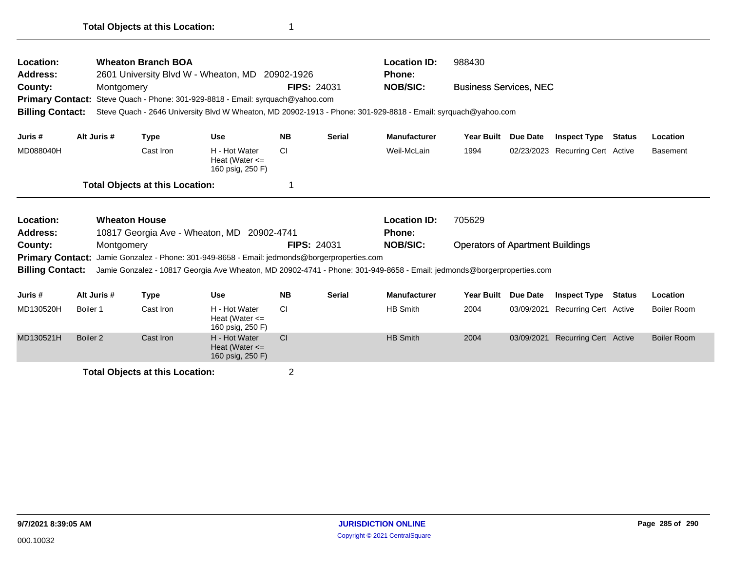| <b>Wheaton Branch BOA</b><br>Location:<br><b>Address:</b><br>2601 University Blvd W - Wheaton, MD 20902-1926<br>County:<br>Montgomery<br>Steve Quach - Phone: 301-929-8818 - Email: syrguach@yahoo.com<br><b>Primary Contact:</b><br><b>Billing Contact:</b><br>Steve Quach - 2646 University Blvd W Wheaton, MD 20902-1913 - Phone: 301-929-8818 - Email: syrquach@yahoo.com |                                                                                                                                                                                                                                                                                                                         |                                        |                                                         |                | <b>FIPS: 24031</b> | <b>Location ID:</b><br>Phone:<br><b>NOB/SIC:</b> | 988430<br><b>Business Services, NEC</b> |            |                                  |  |                    |
|-------------------------------------------------------------------------------------------------------------------------------------------------------------------------------------------------------------------------------------------------------------------------------------------------------------------------------------------------------------------------------|-------------------------------------------------------------------------------------------------------------------------------------------------------------------------------------------------------------------------------------------------------------------------------------------------------------------------|----------------------------------------|---------------------------------------------------------|----------------|--------------------|--------------------------------------------------|-----------------------------------------|------------|----------------------------------|--|--------------------|
| Juris #                                                                                                                                                                                                                                                                                                                                                                       | Alt Juris #                                                                                                                                                                                                                                                                                                             | <b>Type</b>                            | <b>Use</b>                                              | <b>NB</b>      | <b>Serial</b>      | <b>Manufacturer</b>                              | <b>Year Built</b>                       | Due Date   | <b>Inspect Type Status</b>       |  | Location           |
| MD088040H                                                                                                                                                                                                                                                                                                                                                                     |                                                                                                                                                                                                                                                                                                                         | Cast Iron                              | H - Hot Water<br>Heat (Water $\leq$<br>160 psig, 250 F) | СI             |                    | Weil-McLain                                      | 1994                                    |            | 02/23/2023 Recurring Cert Active |  | <b>Basement</b>    |
|                                                                                                                                                                                                                                                                                                                                                                               |                                                                                                                                                                                                                                                                                                                         | <b>Total Objects at this Location:</b> |                                                         |                |                    |                                                  |                                         |            |                                  |  |                    |
| Location:<br><b>Address:</b>                                                                                                                                                                                                                                                                                                                                                  |                                                                                                                                                                                                                                                                                                                         | <b>Wheaton House</b>                   |                                                         |                |                    | <b>Location ID:</b><br>Phone:                    | 705629                                  |            |                                  |  |                    |
| County:                                                                                                                                                                                                                                                                                                                                                                       | 10817 Georgia Ave - Wheaton, MD 20902-4741<br>Montgomery<br><b>Primary Contact:</b><br>Jamie Gonzalez - Phone: 301-949-8658 - Email: jedmonds@borgerproperties.com<br><b>Billing Contact:</b><br>Jamie Gonzalez - 10817 Georgia Ave Wheaton, MD 20902-4741 - Phone: 301-949-8658 - Email: jedmonds@borgerproperties.com |                                        |                                                         |                |                    | <b>NOB/SIC:</b>                                  | <b>Operators of Apartment Buildings</b> |            |                                  |  |                    |
| Juris #                                                                                                                                                                                                                                                                                                                                                                       | Alt Juris #                                                                                                                                                                                                                                                                                                             | <b>Type</b>                            | <b>Use</b>                                              | <b>NB</b>      | <b>Serial</b>      | <b>Manufacturer</b>                              | <b>Year Built</b>                       | Due Date   | <b>Inspect Type Status</b>       |  | Location           |
| MD130520H                                                                                                                                                                                                                                                                                                                                                                     | Boiler 1                                                                                                                                                                                                                                                                                                                | Cast Iron                              | H - Hot Water<br>Heat (Water $\leq$<br>160 psig, 250 F) | CI.            |                    | <b>HB Smith</b>                                  | 2004                                    | 03/09/2021 | <b>Recurring Cert Active</b>     |  | Boiler Room        |
| MD130521H                                                                                                                                                                                                                                                                                                                                                                     | Boiler <sub>2</sub>                                                                                                                                                                                                                                                                                                     | Cast Iron                              | H - Hot Water<br>Heat (Water $\leq$<br>160 psig, 250 F) | CI             |                    | <b>HB Smith</b>                                  | 2004                                    | 03/09/2021 | <b>Recurring Cert Active</b>     |  | <b>Boiler Room</b> |
| <b>Total Objects at this Location:</b>                                                                                                                                                                                                                                                                                                                                        |                                                                                                                                                                                                                                                                                                                         |                                        |                                                         | $\overline{2}$ |                    |                                                  |                                         |            |                                  |  |                    |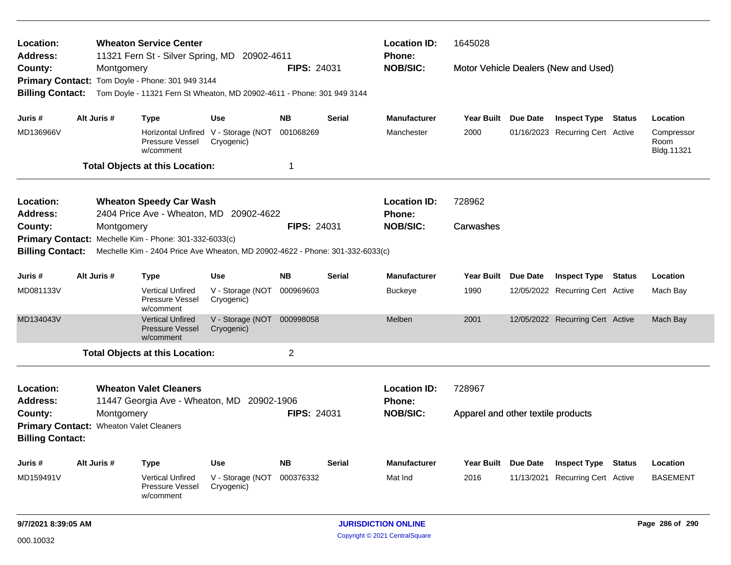| Location:<br>Address:                                                         |                                                        |             | <b>Wheaton Service Center</b><br>11321 Fern St - Silver Spring, MD 20902-4611 |                                | <b>Location ID:</b><br><b>Phone:</b> | 1645028                              |                               |                                    |                 |                                  |        |                                  |
|-------------------------------------------------------------------------------|--------------------------------------------------------|-------------|-------------------------------------------------------------------------------|--------------------------------|--------------------------------------|--------------------------------------|-------------------------------|------------------------------------|-----------------|----------------------------------|--------|----------------------------------|
| County:                                                                       |                                                        | Montgomery  |                                                                               |                                | <b>NOB/SIC:</b>                      | Motor Vehicle Dealers (New and Used) |                               |                                    |                 |                                  |        |                                  |
|                                                                               |                                                        |             | Primary Contact: Tom Doyle - Phone: 301 949 3144                              |                                |                                      |                                      |                               |                                    |                 |                                  |        |                                  |
| <b>Billing Contact:</b>                                                       |                                                        |             | Tom Doyle - 11321 Fern St Wheaton, MD 20902-4611 - Phone: 301 949 3144        |                                |                                      |                                      |                               |                                    |                 |                                  |        |                                  |
| Juris #                                                                       |                                                        | Alt Juris # | <b>Type</b>                                                                   | <b>Use</b>                     | <b>NB</b>                            | <b>Serial</b>                        | <b>Manufacturer</b>           | Year Built Due Date                |                 | <b>Inspect Type Status</b>       |        | Location                         |
| MD136966V                                                                     |                                                        |             | Horizontal Unfired V - Storage (NOT<br>Pressure Vessel<br>w/comment           | Cryogenic)                     | 001068269                            |                                      | Manchester                    | 2000                               |                 | 01/16/2023 Recurring Cert Active |        | Compressor<br>Room<br>Bldg.11321 |
| <b>Total Objects at this Location:</b><br>$\overline{1}$                      |                                                        |             |                                                                               |                                |                                      |                                      |                               |                                    |                 |                                  |        |                                  |
| <b>Location:</b><br><b>Address:</b>                                           |                                                        |             | <b>Wheaton Speedy Car Wash</b><br>2404 Price Ave - Wheaton, MD 20902-4622     |                                |                                      |                                      | <b>Location ID:</b><br>Phone: | 728962                             |                 |                                  |        |                                  |
| County:                                                                       |                                                        | Montgomery  |                                                                               |                                |                                      | <b>FIPS: 24031</b>                   | <b>NOB/SIC:</b>               | Carwashes                          |                 |                                  |        |                                  |
|                                                                               | Primary Contact: Mechelle Kim - Phone: 301-332-6033(c) |             |                                                                               |                                |                                      |                                      |                               |                                    |                 |                                  |        |                                  |
| <b>Billing Contact:</b>                                                       |                                                        |             | Mechelle Kim - 2404 Price Ave Wheaton, MD 20902-4622 - Phone: 301-332-6033(c) |                                |                                      |                                      |                               |                                    |                 |                                  |        |                                  |
| Juris #                                                                       |                                                        | Alt Juris # | Type                                                                          | <b>Use</b>                     | <b>NB</b>                            | <b>Serial</b>                        | <b>Manufacturer</b>           | Year Built                         | <b>Due Date</b> | <b>Inspect Type</b>              | Status | Location                         |
| MD081133V                                                                     |                                                        |             | <b>Vertical Unfired</b><br>Pressure Vessel<br>w/comment                       | V - Storage (NOT<br>Cryogenic) | 000969603                            |                                      | Buckeye                       | 1990                               |                 | 12/05/2022 Recurring Cert Active |        | Mach Bay                         |
| MD134043V                                                                     |                                                        |             | <b>Vertical Unfired</b><br><b>Pressure Vessel</b><br>w/comment                | V - Storage (NOT<br>Cryogenic) | 000998058                            |                                      | <b>Melben</b>                 | 2001                               |                 | 12/05/2022 Recurring Cert Active |        | Mach Bay                         |
|                                                                               |                                                        |             | <b>Total Objects at this Location:</b>                                        |                                | $\overline{2}$                       |                                      |                               |                                    |                 |                                  |        |                                  |
| Location:<br>Address:                                                         |                                                        |             | <b>Wheaton Valet Cleaners</b><br>11447 Georgia Ave - Wheaton, MD              | 20902-1906                     |                                      |                                      | <b>Location ID:</b><br>Phone: | 728967                             |                 |                                  |        |                                  |
| County:<br>Primary Contact: Wheaton Valet Cleaners<br><b>Billing Contact:</b> |                                                        | Montgomery  |                                                                               |                                | <b>FIPS: 24031</b>                   |                                      | <b>NOB/SIC:</b>               | Apparel and other textile products |                 |                                  |        |                                  |
| Juris #                                                                       |                                                        | Alt Juris # | Type                                                                          | Use                            | <b>NB</b>                            | <b>Serial</b>                        | <b>Manufacturer</b>           | Year Built Due Date                |                 | <b>Inspect Type</b>              | Status | Location                         |
| MD159491V                                                                     |                                                        |             | <b>Vertical Unfired</b><br>Pressure Vessel<br>w/comment                       | V - Storage (NOT<br>Cryogenic) | 000376332                            |                                      | Mat Ind                       | 2016                               | 11/13/2021      | <b>Recurring Cert Active</b>     |        | <b>BASEMENT</b>                  |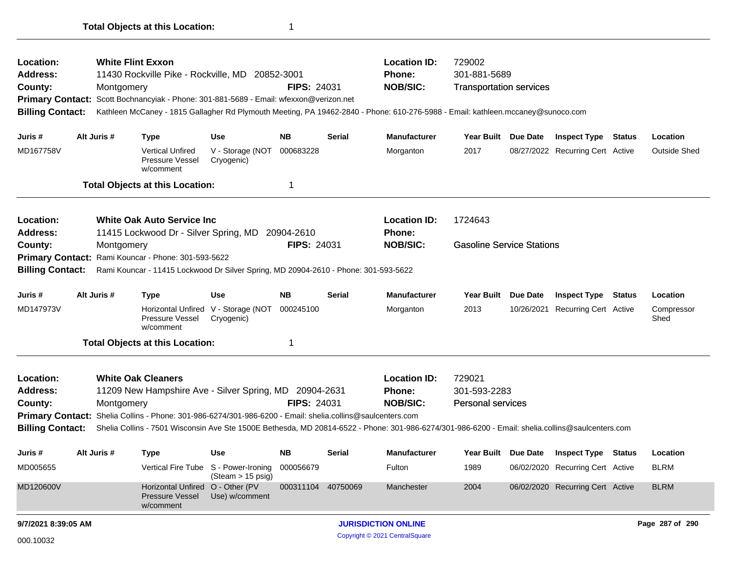| Location:<br>Address:<br>County:<br><b>Primary Contact:</b><br><b>Billing Contact:</b>                                                                                                                                                                                                                                                                                                                                                                   |  | Montgomery  | <b>White Flint Exxon</b><br>11430 Rockville Pike - Rockville, MD 20852-3001<br>Scott Bochnancyiak - Phone: 301-881-5689 - Email: wfexxon@verizon.net                                                     |                                                                         | <b>FIPS: 24031</b>                    |                                                         | <b>Location ID:</b><br><b>Phone:</b><br><b>NOB/SIC:</b>      | 729002<br>301-881-5689<br><b>Transportation services</b><br>Kathleen McCaney - 1815 Gallagher Rd Plymouth Meeting, PA 19462-2840 - Phone: 610-276-5988 - Email: kathleen.mccaney@sunoco.com |                        |                                                                                                    |        |                                        |  |
|----------------------------------------------------------------------------------------------------------------------------------------------------------------------------------------------------------------------------------------------------------------------------------------------------------------------------------------------------------------------------------------------------------------------------------------------------------|--|-------------|----------------------------------------------------------------------------------------------------------------------------------------------------------------------------------------------------------|-------------------------------------------------------------------------|---------------------------------------|---------------------------------------------------------|--------------------------------------------------------------|---------------------------------------------------------------------------------------------------------------------------------------------------------------------------------------------|------------------------|----------------------------------------------------------------------------------------------------|--------|----------------------------------------|--|
| Juris #<br>MD167758V                                                                                                                                                                                                                                                                                                                                                                                                                                     |  | Alt Juris # | <b>Type</b><br><b>Vertical Unfired</b><br>Pressure Vessel<br>w/comment<br><b>Total Objects at this Location:</b>                                                                                         | <b>Use</b><br>V - Storage (NOT<br>Cryogenic)                            | <b>NB</b><br>000683228<br>1           | <b>Serial</b>                                           | <b>Manufacturer</b><br>Morganton                             | Year Built Due Date<br>2017                                                                                                                                                                 |                        | <b>Inspect Type Status</b><br>08/27/2022 Recurring Cert Active                                     |        | Location<br><b>Outside Shed</b>        |  |
| Location:<br><b>Address:</b><br>County:<br><b>Primary Contact:</b><br><b>Billing Contact:</b>                                                                                                                                                                                                                                                                                                                                                            |  | Montgomery  | <b>White Oak Auto Service Inc.</b><br>11415 Lockwood Dr - Silver Spring, MD<br>Rami Kouncar - Phone: 301-593-5622<br>Rami Kouncar - 11415 Lockwood Dr Silver Spring, MD 20904-2610 - Phone: 301-593-5622 |                                                                         | 20904-2610<br><b>FIPS: 24031</b>      |                                                         | <b>Location ID:</b><br><b>Phone:</b><br><b>NOB/SIC:</b>      | 1724643<br><b>Gasoline Service Stations</b>                                                                                                                                                 |                        |                                                                                                    |        |                                        |  |
| Juris #<br>MD147973V                                                                                                                                                                                                                                                                                                                                                                                                                                     |  | Alt Juris # | <b>Type</b><br>Pressure Vessel<br>w/comment<br><b>Total Objects at this Location:</b>                                                                                                                    | <b>Use</b><br>Horizontal Unfired V - Storage (NOT<br>Cryogenic)         | <b>NB</b><br>000245100<br>1           | Serial                                                  | <b>Manufacturer</b><br>Morganton                             | <b>Year Built</b><br>2013                                                                                                                                                                   | Due Date<br>10/26/2021 | <b>Inspect Type</b><br><b>Recurring Cert Active</b>                                                | Status | Location<br>Compressor<br>Shed         |  |
| <b>White Oak Cleaners</b><br>Location:<br>11209 New Hampshire Ave - Silver Spring, MD 20904-2631<br><b>Address:</b><br>FIPS: 24031<br>County:<br>Montgomery<br>Primary Contact: Shelia Collins - Phone: 301-986-6274/301-986-6200 - Email: shelia.collins@saulcenters.com<br><b>Billing Contact:</b><br>Shelia Collins - 7501 Wisconsin Ave Ste 1500E Bethesda, MD 20814-6522 - Phone: 301-986-6274/301-986-6200 - Email: shelia.collins@saulcenters.com |  |             |                                                                                                                                                                                                          |                                                                         |                                       | <b>Location ID:</b><br><b>Phone:</b><br><b>NOB/SIC:</b> | 729021<br>301-593-2283<br><b>Personal services</b>           |                                                                                                                                                                                             |                        |                                                                                                    |        |                                        |  |
| Juris #<br>MD005655<br>MD120600V                                                                                                                                                                                                                                                                                                                                                                                                                         |  | Alt Juris # | <b>Type</b><br>Horizontal Unfired O - Other (PV                                                                                                                                                          | <b>Use</b><br>Vertical Fire Tube S - Power-Ironing<br>(Steam > 15 psig) | NΒ<br>000056679<br>000311104 40750069 | Serial                                                  | <b>Manufacturer</b><br>Fulton<br>Manchester                  | Year Built Due Date<br>1989<br>2004                                                                                                                                                         |                        | <b>Inspect Type Status</b><br>06/02/2020 Recurring Cert Active<br>06/02/2020 Recurring Cert Active |        | Location<br><b>BLRM</b><br><b>BLRM</b> |  |
| 9/7/2021 8:39:05 AM<br>000.10032                                                                                                                                                                                                                                                                                                                                                                                                                         |  |             | <b>Pressure Vessel</b><br>w/comment                                                                                                                                                                      | Use) w/comment                                                          |                                       |                                                         | <b>JURISDICTION ONLINE</b><br>Copyright © 2021 CentralSquare |                                                                                                                                                                                             |                        |                                                                                                    |        | Page 287 of 290                        |  |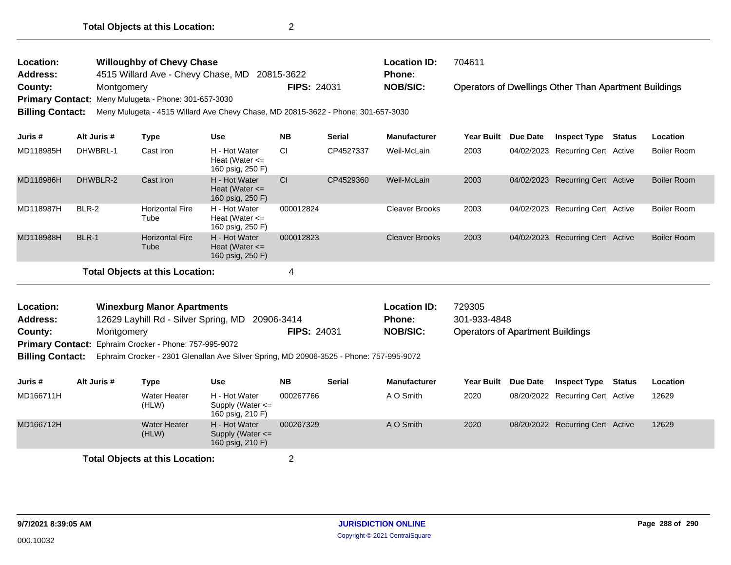**FIPS:** 24031

Operators of Dwellings Other Than Apartment Buildings **County:** Montgomery **NOB/SIC: PIPS:** 24031 **NOB/SIC:** 

**Primary Contact:** Meny Mulugeta - Phone: 301-657-3030

**Billing Contact:** Meny Mulugeta - 4515 Willard Ave Chevy Chase, MD 20815-3622 - Phone: 301-657-3030

| Juris #                         | Alt Juris # | Type                           | Use                                                     | <b>NB</b> | <b>Serial</b> | <b>Manufacturer</b>   | <b>Year Built</b> | Due Date   | <b>Inspect Type</b>              | <b>Status</b> | Location           |
|---------------------------------|-------------|--------------------------------|---------------------------------------------------------|-----------|---------------|-----------------------|-------------------|------------|----------------------------------|---------------|--------------------|
| MD118985H                       | DHWBRL-1    | Cast Iron                      | H - Hot Water<br>Heat (Water $\leq$<br>160 psig, 250 F) | CI        | CP4527337     | Weil-McLain           | 2003              | 04/02/2023 | Recurring Cert Active            |               | <b>Boiler Room</b> |
| MD118986H                       | DHWBLR-2    | Cast Iron                      | H - Hot Water<br>Heat (Water $\leq$<br>160 psig, 250 F) | CI        | CP4529360     | Weil-McLain           | 2003              |            | 04/02/2023 Recurring Cert Active |               | <b>Boiler Room</b> |
| MD118987H                       | BLR-2       | <b>Horizontal Fire</b><br>Tube | H - Hot Water<br>Heat (Water $\leq$<br>160 psig, 250 F) | 000012824 |               | <b>Cleaver Brooks</b> | 2003              | 04/02/2023 | <b>Recurring Cert Active</b>     |               | Boiler Room        |
| MD118988H                       | BLR-1       | <b>Horizontal Fire</b><br>Tube | H - Hot Water<br>Heat (Water $\leq$<br>160 psig, 250 F) | 000012823 |               | <b>Cleaver Brooks</b> | 2003              |            | 04/02/2023 Recurring Cert Active |               | <b>Boiler Room</b> |
| Total Objects at this Location: |             |                                |                                                         | 4         |               |                       |                   |            |                                  |               |                    |

| Location:       | <b>Winexburg Manor Apartments</b>                             |                    | <b>Location ID:</b> | 729305                                  |
|-----------------|---------------------------------------------------------------|--------------------|---------------------|-----------------------------------------|
| <b>Address:</b> | 12629 Layhill Rd - Silver Spring, MD 20906-3414               |                    | <b>Phone:</b>       | 301-933-4848                            |
| County:         | Montaomerv                                                    | <b>FIPS: 24031</b> | <b>NOB/SIC:</b>     | <b>Operators of Apartment Buildings</b> |
|                 | <b>Primary Contact:</b> Ephraim Crocker - Phone: 757-995-9072 |                    |                     |                                         |
|                 |                                                               |                    |                     |                                         |

**Billing Contact:** Ephraim Crocker - 2301 Glenallan Ave Silver Spring, MD 20906-3525 - Phone: 757-995-9072

| Juris #                                | Alt Juris # | Type                  | Use                                                       | <b>NB</b> | <b>Serial</b> | <b>Manufacturer</b> | <b>Year Built</b> | <b>Due Date</b> | <b>Inspect Type</b>              | Status | Location |
|----------------------------------------|-------------|-----------------------|-----------------------------------------------------------|-----------|---------------|---------------------|-------------------|-----------------|----------------------------------|--------|----------|
| MD166711H                              |             | Water Heater<br>(HLW) | H - Hot Water<br>Supply (Water $\leq$<br>160 psig, 210 F) | 000267766 |               | A O Smith           | 2020              |                 | 08/20/2022 Recurring Cert Active |        | 12629    |
| MD166712H                              |             | Water Heater<br>(HLW) | H - Hot Water<br>Supply (Water $\leq$<br>160 psig, 210 F) | 000267329 |               | A O Smith           | 2020              |                 | 08/20/2022 Recurring Cert Active |        | 12629    |
| <b>Total Objects at this Location:</b> |             |                       |                                                           |           |               |                     |                   |                 |                                  |        |          |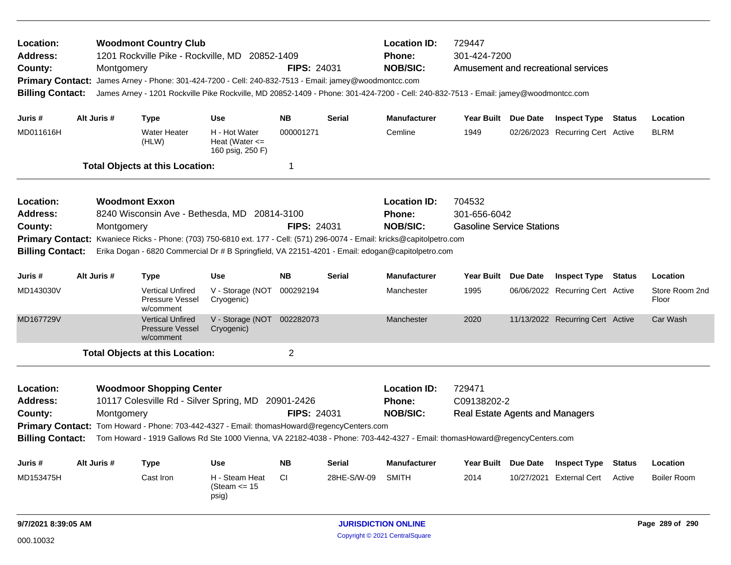| Location:<br><b>Address:</b><br>County:<br><b>Primary Contact:</b><br><b>Billing Contact:</b> |             | Montgomery                                         | <b>Woodmont Country Club</b><br>1201 Rockville Pike - Rockville, MD 20852-1409<br>James Arney - Phone: 301-424-7200 - Cell: 240-832-7513 - Email: jamey@woodmontcc.com |                                                         | <b>FIPS: 24031</b>         |               | <b>Location ID:</b><br>Phone:<br><b>NOB/SIC:</b> | 729447<br>301-424-7200<br>Amusement and recreational services<br>James Arney - 1201 Rockville Pike Rockville, MD 20852-1409 - Phone: 301-424-7200 - Cell: 240-832-7513 - Email: jamey@woodmontcc.com |                     |                                  |                 |                         |  |  |
|-----------------------------------------------------------------------------------------------|-------------|----------------------------------------------------|------------------------------------------------------------------------------------------------------------------------------------------------------------------------|---------------------------------------------------------|----------------------------|---------------|--------------------------------------------------|------------------------------------------------------------------------------------------------------------------------------------------------------------------------------------------------------|---------------------|----------------------------------|-----------------|-------------------------|--|--|
|                                                                                               |             |                                                    |                                                                                                                                                                        |                                                         |                            |               |                                                  |                                                                                                                                                                                                      |                     |                                  |                 |                         |  |  |
| Juris #                                                                                       | Alt Juris # |                                                    | <b>Type</b>                                                                                                                                                            | <b>Use</b>                                              | <b>NB</b>                  | <b>Serial</b> | <b>Manufacturer</b>                              | Year Built Due Date                                                                                                                                                                                  |                     | <b>Inspect Type Status</b>       |                 | Location                |  |  |
| MD011616H                                                                                     |             |                                                    | <b>Water Heater</b><br>(HLW)                                                                                                                                           | H - Hot Water<br>Heat (Water $\leq$<br>160 psig, 250 F) | 000001271                  |               | Cemline                                          | 1949                                                                                                                                                                                                 |                     | 02/26/2023 Recurring Cert Active |                 | <b>BLRM</b>             |  |  |
|                                                                                               |             |                                                    | <b>Total Objects at this Location:</b>                                                                                                                                 |                                                         | -1                         |               |                                                  |                                                                                                                                                                                                      |                     |                                  |                 |                         |  |  |
| Location:                                                                                     |             |                                                    | <b>Woodmont Exxon</b>                                                                                                                                                  |                                                         |                            |               | <b>Location ID:</b>                              | 704532                                                                                                                                                                                               |                     |                                  |                 |                         |  |  |
| <b>Address:</b><br>8240 Wisconsin Ave - Bethesda, MD 20814-3100                               |             |                                                    |                                                                                                                                                                        |                                                         |                            |               | Phone:                                           | 301-656-6042                                                                                                                                                                                         |                     |                                  |                 |                         |  |  |
| County:                                                                                       |             | <b>FIPS: 24031</b><br>Montgomery                   |                                                                                                                                                                        |                                                         |                            |               | <b>NOB/SIC:</b>                                  | <b>Gasoline Service Stations</b>                                                                                                                                                                     |                     |                                  |                 |                         |  |  |
| <b>Primary Contact:</b>                                                                       |             |                                                    | Kwaniece Ricks - Phone: (703) 750-6810 ext. 177 - Cell: (571) 296-0074 - Email: kricks@capitolpetro.com                                                                |                                                         |                            |               |                                                  |                                                                                                                                                                                                      |                     |                                  |                 |                         |  |  |
| <b>Billing Contact:</b>                                                                       |             |                                                    | Erika Dogan - 6820 Commercial Dr # B Springfield, VA 22151-4201 - Email: edogan@capitolpetro.com                                                                       |                                                         |                            |               |                                                  |                                                                                                                                                                                                      |                     |                                  |                 |                         |  |  |
| Juris #                                                                                       | Alt Juris # |                                                    | <b>Type</b>                                                                                                                                                            | <b>Use</b>                                              | <b>NB</b>                  | Serial        | Manufacturer                                     | Year Built Due Date                                                                                                                                                                                  |                     | <b>Inspect Type Status</b>       |                 | Location                |  |  |
| MD143030V                                                                                     |             |                                                    | <b>Vertical Unfired</b><br>Pressure Vessel<br>w/comment                                                                                                                | V - Storage (NOT<br>Cryogenic)                          | 000292194                  |               | Manchester                                       | 1995                                                                                                                                                                                                 |                     | 06/06/2022 Recurring Cert Active |                 | Store Room 2nd<br>Floor |  |  |
| MD167729V                                                                                     |             |                                                    | <b>Vertical Unfired</b><br><b>Pressure Vessel</b><br>w/comment                                                                                                         | V - Storage (NOT<br>Cryogenic)                          | 002282073                  |               | Manchester                                       | 2020                                                                                                                                                                                                 |                     | 11/13/2022 Recurring Cert Active |                 | Car Wash                |  |  |
|                                                                                               |             |                                                    | <b>Total Objects at this Location:</b>                                                                                                                                 |                                                         | $\overline{2}$             |               |                                                  |                                                                                                                                                                                                      |                     |                                  |                 |                         |  |  |
| Location:                                                                                     |             |                                                    | <b>Woodmoor Shopping Center</b>                                                                                                                                        |                                                         |                            |               | <b>Location ID:</b>                              | 729471                                                                                                                                                                                               |                     |                                  |                 |                         |  |  |
| <b>Address:</b>                                                                               |             | 10117 Colesville Rd - Silver Spring, MD 20901-2426 |                                                                                                                                                                        |                                                         |                            |               | Phone:                                           | C09138202-2                                                                                                                                                                                          |                     |                                  |                 |                         |  |  |
| County:                                                                                       |             | <b>FIPS: 24031</b><br>Montgomery                   |                                                                                                                                                                        |                                                         |                            |               | <b>NOB/SIC:</b>                                  | <b>Real Estate Agents and Managers</b>                                                                                                                                                               |                     |                                  |                 |                         |  |  |
|                                                                                               |             |                                                    | Primary Contact: Tom Howard - Phone: 703-442-4327 - Email: thomasHoward@regencyCenters.com                                                                             |                                                         |                            |               |                                                  |                                                                                                                                                                                                      |                     |                                  |                 |                         |  |  |
| <b>Billing Contact:</b>                                                                       |             |                                                    | Tom Howard - 1919 Gallows Rd Ste 1000 Vienna, VA 22182-4038 - Phone: 703-442-4327 - Email: thomasHoward@regencyCenters.com                                             |                                                         |                            |               |                                                  |                                                                                                                                                                                                      |                     |                                  |                 |                         |  |  |
| Juris #                                                                                       | Alt Juris # |                                                    | <b>Type</b>                                                                                                                                                            | Use                                                     | NΒ                         | <b>Serial</b> | <b>Manufacturer</b>                              |                                                                                                                                                                                                      | Year Built Due Date | <b>Inspect Type</b>              | Status          | Location                |  |  |
| MD153475H                                                                                     |             |                                                    | Cast Iron                                                                                                                                                              | H - Steam Heat<br>(Steam $\le$ 15<br>psig)              | CI.                        | 28HE-S/W-09   | SMITH                                            | 2014                                                                                                                                                                                                 |                     | 10/27/2021 External Cert         | Active          | <b>Boiler Room</b>      |  |  |
| 9/7/2021 8:39:05 AM                                                                           |             |                                                    |                                                                                                                                                                        |                                                         | <b>JURISDICTION ONLINE</b> |               |                                                  |                                                                                                                                                                                                      |                     |                                  | Page 289 of 290 |                         |  |  |